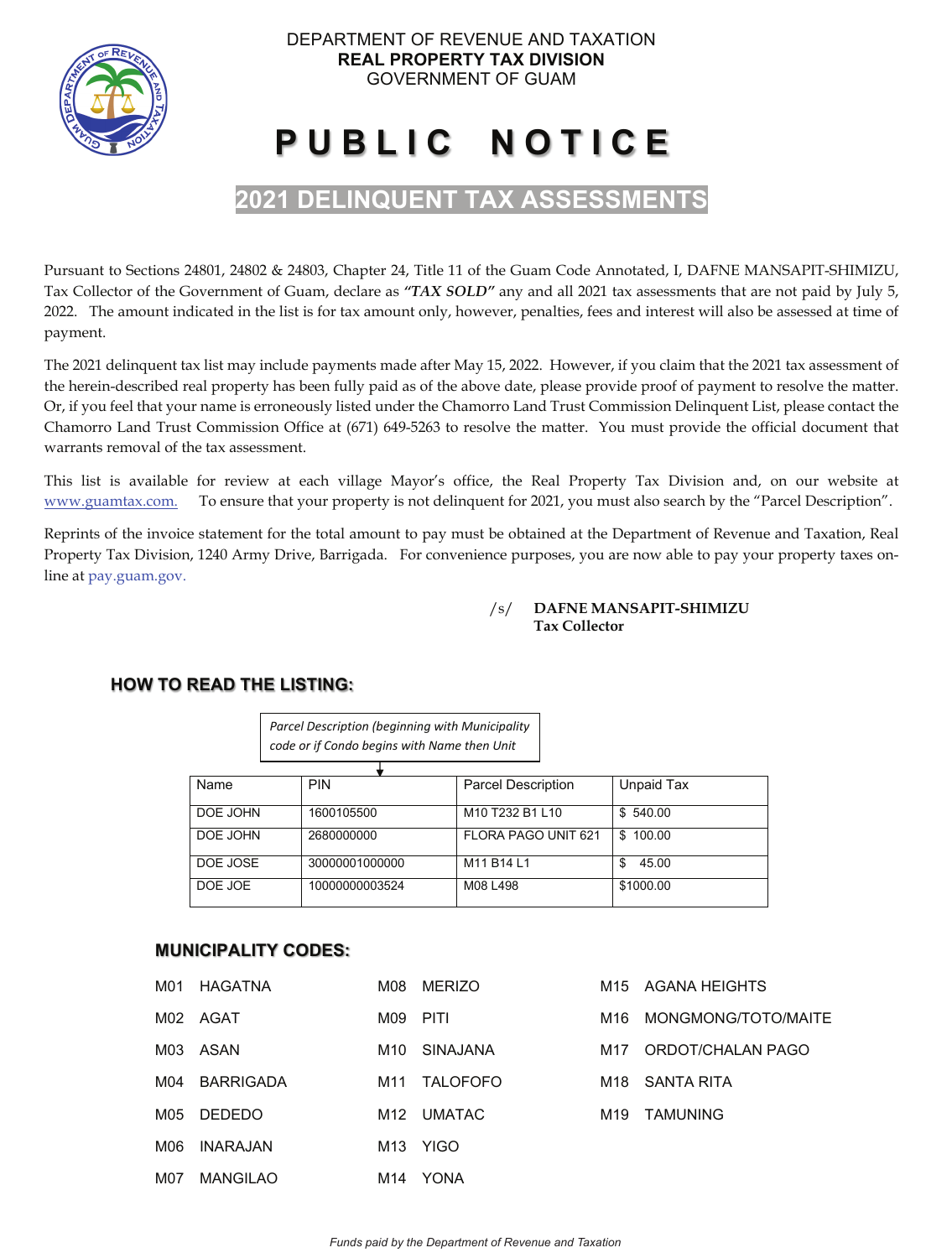

# **P U B L I C N O T I C E**

# **2021 DELINQUENT TAX ASSESSMENTS**

Pursuant to Sections 24801, 24802 & 24803, Chapter 24, Title 11 of the Guam Code Annotated, I, DAFNE MANSAPIT-SHIMIZU, Tax Collector of the Government of Guam, declare as *"TAX SOLD"* any and all 2021 tax assessments that are not paid by July 5, 2022. The amount indicated in the list is for tax amount only, however, penalties, fees and interest will also be assessed at time of payment.

The 2021 delinquent tax list may include payments made after May 15, 2022. However, if you claim that the 2021 tax assessment of the herein-described real property has been fully paid as of the above date, please provide proof of payment to resolve the matter. Or, if you feel that your name is erroneously listed under the Chamorro Land Trust Commission Delinquent List, please contact the Chamorro Land Trust Commission Office at (671) 649-5263 to resolve the matter. You must provide the official document that warrants removal of the tax assessment.

This list is available for review at each village Mayor's office, the Real Property Tax Division and, on our website at www.guamtax.com. To ensure that your property is not delinquent for 2021, you must also search by the "Parcel Description".

Reprints of the invoice statement for the total amount to pay must be obtained at the Department of Revenue and Taxation, Real Property Tax Division, 1240 Army Drive, Barrigada. For convenience purposes, you are now able to pay your property taxes online at pay.guam.gov.

#### /s/ **DAFNE MANSAPIT-SHIMIZU Tax Collector**

# **FRUM FO READ THE LISTING:**

*Parcel Description (beginning with Municipality code or if Condo begins with Name then Unit*

| Name     | <b>PIN</b>     | <b>Parcel Description</b>                                       | Unpaid Tax   |
|----------|----------------|-----------------------------------------------------------------|--------------|
| DOE JOHN | 1600105500     | M <sub>10</sub> T <sub>232</sub> B <sub>1</sub> L <sub>10</sub> | \$540.00     |
| DOE JOHN | 2680000000     | FLORA PAGO UNIT 621                                             | 100.00<br>£. |
| DOE JOSE | 30000001000000 | M11 B14 L1                                                      | 45.00<br>\$. |
| DOE JOE  | 10000000003524 | M08 L498                                                        | \$1000.00    |

# **MUNICIPALITY CODES:**

| M01 | HAGATNA          | M08  | <b>MERIZO</b>   | M15  | AGANA HEIGHTS       |
|-----|------------------|------|-----------------|------|---------------------|
|     | M02 AGAT         | M09. | <b>PITI</b>     | M16. | MONGMONG/TOTO/MAITE |
| M03 | ASAN             | M10  | <b>SINAJANA</b> | M17  | ORDOT/CHALAN PAGO   |
| M04 | <b>BARRIGADA</b> | M11  | <b>TALOFOFO</b> | M18  | SANTA RITA          |
| M05 | <b>DEDEDO</b>    | M12  | <b>UMATAC</b>   | M19  | <b>TAMUNING</b>     |
| M06 | INARAJAN         | M13  | <b>YIGO</b>     |      |                     |
| M07 | <b>MANGILAO</b>  | M14  | <b>YONA</b>     |      |                     |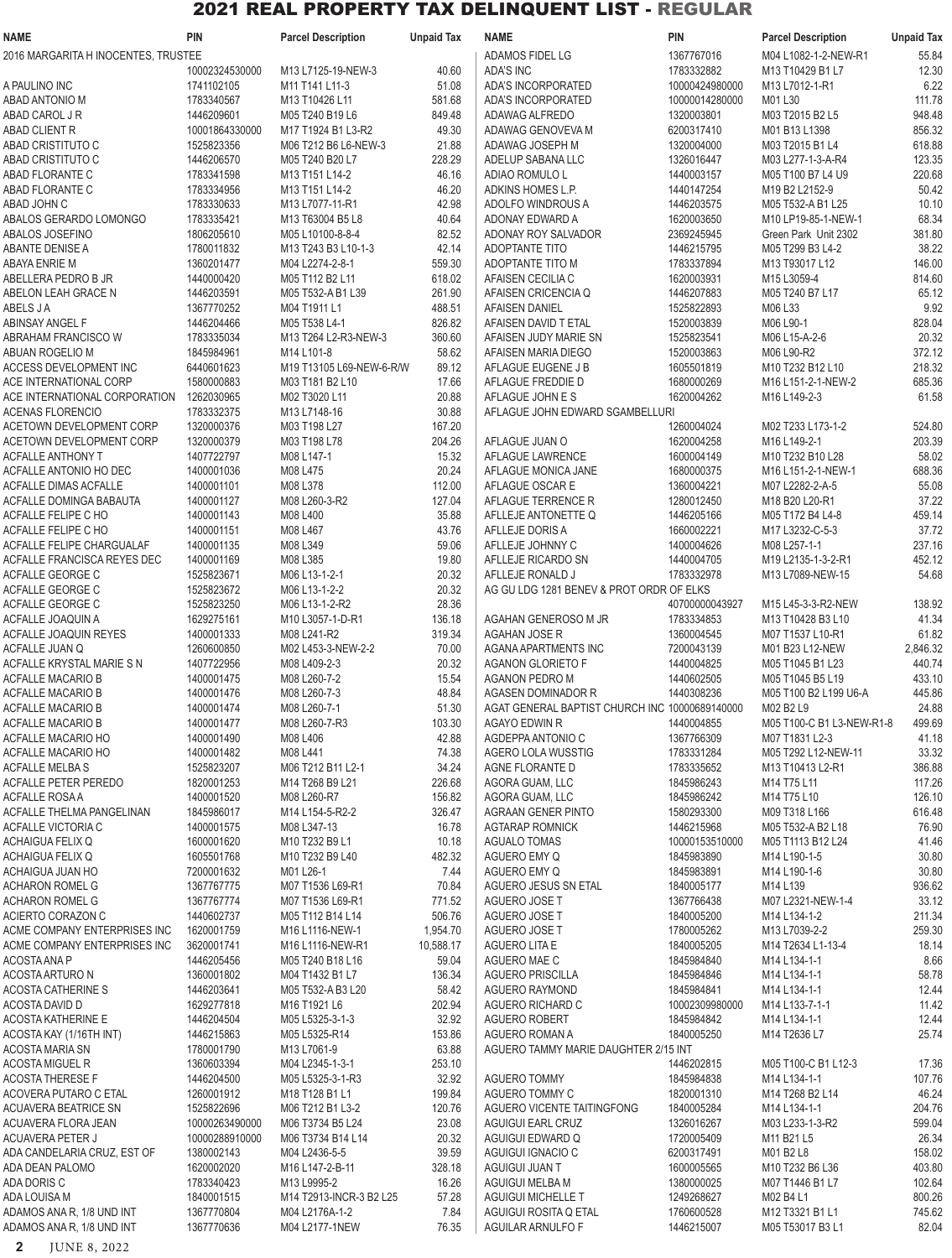| NAME                                | PIN            | <b>Parcel Description</b> | <b>Unpaid Tax</b> | NAME                                           | pin            | <b>Parcel Description</b> | <b>Unpaid Tax</b> |
|-------------------------------------|----------------|---------------------------|-------------------|------------------------------------------------|----------------|---------------------------|-------------------|
| 2016 MARGARITA H INOCENTES, TRUSTEE |                |                           |                   | ADAMOS FIDEL LG                                | 1367767016     | M04 L1082-1-2-NEW-R1      | 55.84             |
|                                     | 10002324530000 | M13 L7125-19-NEW-3        | 40.60             | <b>ADA'S INC</b>                               | 1783332882     | M13 T10429 B1 L7          | 12.30             |
| A PAULINO INC                       | 1741102105     | M11 T141 L11-3            | 51.08             | ADA'S INCORPORATED                             | 10000424980000 | M13 L7012-1-R1            | 6.22              |
|                                     |                |                           |                   |                                                |                |                           |                   |
| N OINOTABAD ABAD                    | 1783340567     | M13 T10426 L11            | 581.68            | ADA'S INCORPORATED                             | 10000014280000 | M01 L30                   | 111.78            |
| ABAD CAROL J R                      | 1446209601     | M05 T240 B19 L6           | 849.48            | ADAWAG ALFREDO                                 | 1320003801     | M03 T2015 B2 L5           | 948.48            |
| ABAD CLIENT R                       | 10001864330000 | M17 T1924 B1 L3-R2        | 49.30             | ADAWAG GENOVEVA M                              | 6200317410     | M01 B13 L1398             | 856.32            |
| ABAD CRISTITUTO C                   | 1525823356     | M06 T212 B6 L6-NEW-3      | 21.88             | ADAWAG JOSEPH M                                | 1320004000     | M03 T2015 B1 L4           | 618.88            |
| ABAD CRISTITUTO C                   | 1446206570     | M05 T240 B20 L7           | 228.29            | ADELUP SABANA LLC                              | 1326016447     | M03 L277-1-3-A-R4         | 123.35            |
| ABAD FLORANTE C                     | 1783341598     | M13 T151 L14-2            | 46.16             | ADIAO ROMULO L                                 | 1440003157     | M05 T100 B7 L4 U9         | 220.68            |
| ABAD FLORANTE C                     | 1783334956     | M13 T151 L14-2            | 46.20             | ADKINS HOMES L.P.                              | 1440147254     | M19 B2 L2152-9            | 50.42             |
|                                     |                |                           |                   |                                                |                |                           |                   |
| ABAD JOHN C                         | 1783330633     | M13 L7077-11-R1           | 42.98             | ADOLFO WINDROUS A                              | 1446203575     | M05 T532-A B1 L25         | 10.10             |
| ABALOS GERARDO LOMONGO              | 1783335421     | M13 T63004 B5 L8          | 40.64             | ADONAY EDWARD A                                | 1620003650     | M10 LP19-85-1-NEW-1       | 68.34             |
| ABALOS JOSEFINO                     | 1806205610     | M05 L10100-8-8-4          | 82.52             | ADONAY ROY SALVADOR                            | 2369245945     | Green Park Unit 2302      | 381.80            |
| ABANTE DENISE A                     | 1780011832     | M13 T243 B3 L10-1-3       | 42.14             | ADOPTANTE TITO                                 | 1446215795     | M05 T299 B3 L4-2          | 38.22             |
| ABAYA ENRIE M                       | 1360201477     | M04 L2274-2-8-1           | 559.30            | ADOPTANTE TITO M                               | 1783337894     | M13 T93017 L12            | 146.00            |
| ABELLERA PEDRO B JR                 | 1440000420     | M05 T112 B2 L11           | 618.02            | AFAISEN CECILIA C                              | 1620003931     | M15 L3059-4               | 814.60            |
| ABELON LEAH GRACE N                 | 1446203591     | M05 T532-A B1 L39         | 261.90            | AFAISEN CRICENCIA Q                            | 1446207883     | M05 T240 B7 L17           | 65.12             |
| ABELS J A                           | 1367770252     | M04 T1911 L1              | 488.51            | <b>AFAISEN DANIEL</b>                          | 1525822893     | M06 L33                   | 9.92              |
|                                     |                |                           |                   |                                                |                |                           |                   |
| ABINSAY ANGEL F                     | 1446204466     | M05 T538 L4-1             | 826.82            | AFAISEN DAVID T ETAL                           | 1520003839     | M06 L90-1                 | 828.04            |
| ABRAHAM FRANCISCO W                 | 1783335034     | M13 T264 L2-R3-NEW-3      | 360.60            | AFAISEN JUDY MARIE SN                          | 1525823541     | M06 L15-A-2-6             | 20.32             |
| ABUAN ROGELIO M                     | 1845984961     | M14 L101-8                | 58.62             | AFAISEN MARIA DIEGO                            | 1520003863     | M06 L90-R2                | 372.12            |
| ACCESS DEVELOPMENT INC              | 6440601623     | M19 T13105 L69-NEW-6-R/W  | 89.12             | AFLAGUE EUGENE J B                             | 1605501819     | M10 T232 B12 L10          | 218.32            |
| ACE INTERNATIONAL CORP              | 1580000883     | M03 T181 B2 L10           | 17.66             | AFLAGUE FREDDIE D                              | 1680000269     | M16 L151-2-1-NEW-2        | 685.36            |
| ACE INTERNATIONAL CORPORATION       | 1262030965     | M02 T3020 L11             | 20.88             | AFLAGUE JOHN E S                               | 1620004262     | M16 L149-2-3              | 61.58             |
| ACENAS FLORENCIO                    | 1783332375     | M13 L7148-16              | 30.88             | AFLAGUE JOHN EDWARD SGAMBELLURI                |                |                           |                   |
|                                     |                |                           |                   |                                                |                |                           |                   |
| ACETOWN DEVELOPMENT CORP            | 1320000376     | M03 T198 L27              | 167.20            |                                                | 1260004024     | M02 T233 L173-1-2         | 524.80            |
| ACETOWN DEVELOPMENT CORP            | 1320000379     | M03 T198 L78              | 204.26            | AFLAGUE JUAN O                                 | 1620004258     | M16 L149-2-1              | 203.39            |
| ACFALLE ANTHONY T                   | 1407722797     | M08 L147-1                | 15.32             | AFLAGUE LAWRENCE                               | 1600004149     | M10 T232 B10 L28          | 58.02             |
| ACFALLE ANTONIO HO DEC              | 1400001036     | M08 L475                  | 20.24             | AFLAGUE MONICA JANE                            | 1680000375     | M16 L151-2-1-NEW-1        | 688.36            |
| ACFALLE DIMAS ACFALLE               | 1400001101     | M08 L378                  | 112.00            | AFLAGUE OSCAR E                                | 1360004221     | M07 L2282-2-A-5           | 55.08             |
| ACFALLE DOMINGA BABAUTA             | 1400001127     | M08 L260-3-R2             | 127.04            | AFLAGUE TERRENCE R                             | 1280012450     | M18 B20 L20-R1            | 37.22             |
|                                     |                |                           | 35.88             |                                                |                |                           | 459.14            |
| ACFALLE FELIPE C HO                 | 1400001143     | M08 L400                  |                   | AFLLEJE ANTONETTE Q                            | 1446205166     | M05 T172 B4 L4-8          |                   |
| ACFALLE FELIPE C HO                 | 1400001151     | M08 L467                  | 43.76             | AFLLEJE DORIS A                                | 1660002221     | M17 L3232-C-5-3           | 37.72             |
| ACFALLE FELIPE CHARGUALAF           | 1400001135     | M08 L349                  | 59.06             | AFLLEJE JOHNNY C                               | 1400004626     | M08 L257-1-1              | 237.16            |
| ACFALLE FRANCISCA REYES DEC         | 1400001169     | M08 L385                  | 19.80             | AFLLEJE RICARDO SN                             | 1440004705     | M19 L2135-1-3-2-R1        | 452.12            |
| ACFALLE GEORGE C                    | 1525823671     | M06 L13-1-2-1             | 20.32             | AFLLEJE RONALD J                               | 1783332978     | M13 L7089-NEW-15          | 54.68             |
| ACFALLE GEORGE C                    | 1525823672     | M06 L13-1-2-2             | 20.32             | AG GU LDG 1281 BENEV & PROT ORDR OF ELKS       |                |                           |                   |
| ACFALLE GEORGE C                    | 1525823250     | M06 L13-1-2-R2            | 28.36             |                                                | 40700000043927 | M15 L45-3-3-R2-NEW        | 138.92            |
| ACFALLE JOAQUIN A                   | 1629275161     | M10 L3057-1-D-R1          | 136.18            | AGAHAN GENEROSO M JR                           | 1783334853     | M13 T10428 B3 L10         | 41.34             |
|                                     |                |                           |                   |                                                |                |                           |                   |
| ACFALLE JOAQUIN REYES               | 1400001333     | M08 L241-R2               | 319.34            | <b>AGAHAN JOSE R</b>                           | 1360004545     | M07 T1537 L10-R1          | 61.82             |
| ACFALLE JUAN Q                      | 1260600850     | M02 L453-3-NEW-2-2        | 70.00             | AGANA APARTMENTS INC                           | 7200043139     | M01 B23 L12-NEW           | 2,846.32          |
| ACFALLE KRYSTAL MARIE S N           | 1407722956     | M08 L409-2-3              | 20.32             | <b>AGANON GLORIETO F</b>                       | 1440004825     | M05 T1045 B1 L23          | 440.74            |
| ACFALLE MACARIO B                   | 1400001475     | M08 L260-7-2              | 15.54             | AGANON PEDRO M                                 | 1440602505     | M05 T1045 B5 L19          | 433.10            |
| <b>ACFALLE MACARIO B</b>            | 1400001476     | M08 L260-7-3              | 48.84             | AGASEN DOMINADOR R                             | 1440308236     | M05 T100 B2 L199 U6-A     | 445.86            |
| ACFALLE MACARIO B                   | 1400001474     | M08 L260-7-1              | 51.30             | AGAT GENERAL BAPTIST CHURCH INC 10000689140000 |                | M02 B2 L9                 | 24.88             |
| <b>ACFALLE MACARIO B</b>            | 1400001477     | M08 L260-7-R3             | 103.30            | AGAYO EDWIN R                                  | 1440004855     | M05 T100-C B1 L3-NEW-R1-8 | 499.69            |
|                                     |                |                           |                   |                                                |                |                           |                   |
| ACFALLE MACARIO HO                  | 1400001490     | M08 L406                  | 42.88             | AGDEPPA ANTONIO C                              | 1367766309     | M07 T1831 L2-3            | 41.18             |
| ACFALLE MACARIO HO                  | 1400001482     | M08 L441                  | 74.38             | AGERO LOLA WUSSTIG                             | 1783331284     | M05 T292 L12-NEW-11       | 33.32             |
| <b>ACFALLE MELBAS</b>               | 1525823207     | M06 T212 B11 L2-1         | 34.24             | AGNE FLORANTE D                                | 1783335652     | M13 T10413 L2-R1          | 386.88            |
| <b>ACFALLE PETER PEREDO</b>         | 1820001253     | M14 T268 B9 L21           | 226.68            | AGORA GUAM, LLC                                | 1845986243     | M14 T75 L11               | 117.26            |
| <b>ACFALLE ROSAA</b>                | 1400001520     | M08 L260-R7               | 156.82            | AGORA GUAM, LLC                                | 1845986242     | M14 T75 L10               | 126.10            |
| ACFALLE THELMA PANGELINAN           | 1845986017     | M14 L154-5-R2-2           | 326.47            | AGRAAN GENER PINTO                             | 1580293300     | M09 T318 L166             | 616.48            |
| ACFALLE VICTORIA C                  | 1400001575     | M08 L347-13               | 16.78             | <b>AGTARAP ROMNICK</b>                         | 1446215968     | M05 T532-A B2 L18         | 76.90             |
|                                     |                |                           |                   |                                                |                |                           |                   |
| ACHAIGUA FELIX Q                    | 1600001620     | M10 T232 B9 L1            | 10.18             | <b>AGUALO TOMAS</b>                            | 10000153510000 | M05 T1113 B12 L24         | 41.46             |
| ACHAIGUA FELIX Q                    | 1605501768     | M10 T232 B9 L40           | 482.32            | AGUERO EMY Q                                   | 1845983890     | M14 L190-1-5              | 30.80             |
| ACHAIGUA JUAN HO                    | 7200001632     | M01 L26-1                 | 7.44              | AGUERO EMY Q                                   | 1845983891     | M14 L190-1-6              | 30.80             |
| ACHARON ROMEL G                     | 1367767775     | M07 T1536 L69-R1          | 70.84             | AGUERO JESUS SN ETAL                           | 1840005177     | M14 L139                  | 936.62            |
| ACHARON ROMEL G                     | 1367767774     | M07 T1536 L69-R1          | 771.52            | AGUERO JOSE T                                  | 1367766438     | M07 L2321-NEW-1-4         | 33.12             |
| ACIERTO CORAZON C                   | 1440602737     | M05 T112 B14 L14          | 506.76            | AGUERO JOSE T                                  | 1840005200     | M14 L134-1-2              | 211.34            |
| ACME COMPANY ENTERPRISES INC        | 1620001759     | M16 L1116-NEW-1           | 1,954.70          | AGUERO JOSE T                                  | 1780005262     | M13 L7039-2-2             | 259.30            |
|                                     |                |                           |                   |                                                |                |                           |                   |
| ACME COMPANY ENTERPRISES INC        | 3620001741     | M16 L1116-NEW-R1          | 10,588.17         | AGUERO LITA E                                  | 1840005205     | M14 T2634 L1-13-4         | 18.14             |
| ACOSTA ANA P                        | 1446205456     | M05 T240 B18 L16          | 59.04             | AGUERO MAE C                                   | 1845984840     | M14 L134-1-1              | 8.66              |
| ACOSTA ARTURO N                     | 1360001802     | M04 T1432 B1 L7           | 136.34            | <b>AGUERO PRISCILLA</b>                        | 1845984846     | M14 L134-1-1              | 58.78             |
| ACOSTA CATHERINE S                  | 1446203641     | M05 T532-A B3 L20         | 58.42             | AGUERO RAYMOND                                 | 1845984841     | M14 L134-1-1              | 12.44             |
| ACOSTA DAVID D                      | 1629277818     | M16 T1921 L6              | 202.94            | AGUERO RICHARD C                               | 10002309980000 | M14 L133-7-1-1            | 11.42             |
| <b>ACOSTA KATHERINE E</b>           | 1446204504     | M05 L5325-3-1-3           | 32.92             | <b>AGUERO ROBERT</b>                           | 1845984842     | M14 L134-1-1              | 12.44             |
| ACOSTA KAY (1/16TH INT)             | 1446215863     | M05 L5325-R14             | 153.86            | AGUERO ROMAN A                                 | 1840005250     | M14 T2636 L7              | 25.74             |
|                                     |                |                           |                   |                                                |                |                           |                   |
| ACOSTA MARIA SN                     | 1780001790     | M13 L7061-9               | 63.88             | AGUERO TAMMY MARIE DAUGHTER 2/15 INT           |                |                           |                   |
| ACOSTA MIGUEL R                     | 1360603394     | M04 L2345-1-3-1           | 253.10            |                                                | 1446202815     | M05 T100-C B1 L12-3       | 17.36             |
| ACOSTA THERESE F                    | 1446204500     | M05 L5325-3-1-R3          | 32.92             | AGUERO TOMMY                                   | 1845984838     | M14 L134-1-1              | 107.76            |
| ACOVERA PUTARO C ETAL               | 1260001912     | M18 T128 B1 L1            | 199.84            | AGUERO TOMMY C                                 | 1820001310     | M14 T268 B2 L14           | 46.24             |
| ACUAVERA BEATRICE SN                | 1525822696     | M06 T212 B1 L3-2          | 120.76            | AGUERO VICENTE TAITINGFONG                     | 1840005284     | M14 L134-1-1              | 204.76            |
| ACUAVERA FLORA JEAN                 | 10000263490000 | M06 T3734 B5 L24          | 23.08             | AGUIGUI EARL CRUZ                              | 1326016267     | M03 L233-1-3-R2           | 599.04            |
| <b>ACUAVERA PETER J</b>             | 10000288910000 | M06 T3734 B14 L14         | 20.32             | AGUIGUI EDWARD Q                               | 1720005409     | M11 B21 L5                | 26.34             |
|                                     |                |                           |                   |                                                |                |                           |                   |
| ADA CANDELARIA CRUZ, EST OF         | 1380002143     | M04 L2436-5-5             | 39.59             | AGUIGUI IGNACIO C                              | 6200317491     | M01 B2 L8                 | 158.02            |
| ADA DEAN PALOMO                     | 1620002020     | M16 L147-2-B-11           | 328.18            | AGUIGUI JUAN T                                 | 1600005565     | M10 T232 B6 L36           | 403.80            |
| ADA DORIS C                         | 1783340423     | M13 L9995-2               | 16.26             | AGUIGUI MELBA M                                | 1380000025     | M07 T1446 B1 L7           | 102.64            |
| ADA LOUISA M                        | 1840001515     | M14 T2913-INCR-3 B2 L25   | 57.28             | <b>AGUIGUI MICHELLE T</b>                      | 1249268627     | M02 B4 L1                 | 800.26            |
| ADAMOS ANA R. 1/8 UND INT           | 1367770804     | M04 L2176A-1-2            | 7.84              | AGUIGUI ROSITA Q ETAL                          | 1760600528     | M12 T3321 B1 L1           | 745.62            |
| ADAMOS ANA R, 1/8 UND INT           | 1367770636     | M04 L2177-1NEW            | 76.35             | AGUILAR ARNULFO F                              | 1446215007     | M05 T53017 B3 L1          | 82.04             |
|                                     |                |                           |                   |                                                |                |                           |                   |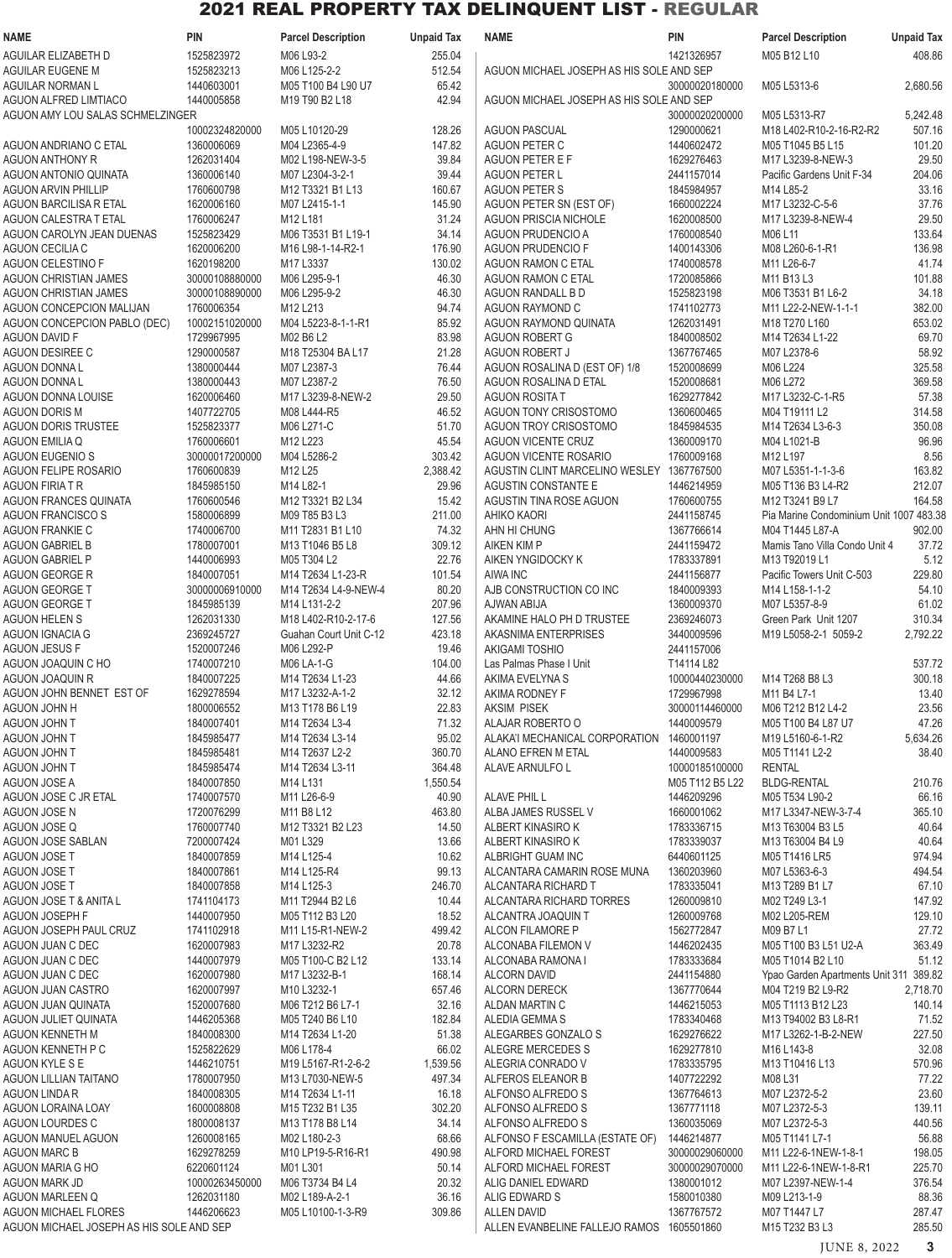| <b>NAME</b>                                          | <b>PIN</b>                   | <b>Parcel Description</b>                               | <b>Unpaid Tax</b> | <b>NAME</b>                                                   | <b>PIN</b>                   | <b>Parcel Description</b><br><b>Unpaid Tax</b>                                                   |
|------------------------------------------------------|------------------------------|---------------------------------------------------------|-------------------|---------------------------------------------------------------|------------------------------|--------------------------------------------------------------------------------------------------|
| AGUILAR ELIZABETH D                                  | 1525823972                   | M06 L93-2                                               | 255.04            |                                                               | 1421326957                   | M05 B12 L10<br>408.86                                                                            |
| AGUILAR EUGENE M                                     | 1525823213                   | M06 L125-2-2                                            | 512.54            | AGUON MICHAEL JOSEPH AS HIS SOLE AND SEP                      |                              |                                                                                                  |
| AGUILAR NORMAN L<br><b>AGUON ALFRED LIMTIACO</b>     | 1440603001<br>1440005858     | M05 T100 B4 L90 U7<br>M19 T90 B2 L18                    | 65.42<br>42.94    | AGUON MICHAEL JOSEPH AS HIS SOLE AND SEP                      | 30000020180000               | 2,680.56<br>M05 L5313-6                                                                          |
| AGUON AMY LOU SALAS SCHMELZINGER                     |                              |                                                         |                   |                                                               | 30000020200000               | M05 L5313-R7<br>5,242.48                                                                         |
|                                                      | 10002324820000               | M05 L10120-29                                           | 128.26            | <b>AGUON PASCUAL</b>                                          | 1290000621                   | M18 L402-R10-2-16-R2-R2<br>507.16                                                                |
| AGUON ANDRIANO C ETAL                                | 1360006069                   | M04 L2365-4-9                                           | 147.82            | AGUON PETER C                                                 | 1440602472                   | 101.20<br>M05 T1045 B5 L15                                                                       |
| <b>AGUON ANTHONY R</b>                               | 1262031404                   | M02 L198-NEW-3-5                                        | 39.84             | AGUON PETER E F                                               | 1629276463                   | 29.50<br>M17 L3239-8-NEW-3                                                                       |
| <b>AGUON ANTONIO QUINATA</b>                         | 1360006140                   | M07 L2304-3-2-1                                         | 39.44             | <b>AGUON PETER L</b>                                          | 2441157014                   | Pacific Gardens Unit F-34<br>204.06                                                              |
| <b>AGUON ARVIN PHILLIP</b><br>AGUON BARCILISA R ETAL | 1760600798<br>1620006160     | M12 T3321 B1 L13<br>M07 L2415-1-1                       | 160.67<br>145.90  | <b>AGUON PETER S</b><br>AGUON PETER SN (EST OF)               | 1845984957<br>1660002224     | 33.16<br>M14 L85-2<br>37.76<br>M17 L3232-C-5-6                                                   |
| AGUON CALESTRA T ETAL                                | 1760006247                   | M12 L181                                                | 31.24             | <b>AGUON PRISCIA NICHOLE</b>                                  | 1620008500                   | M17 L3239-8-NEW-4<br>29.50                                                                       |
| AGUON CAROLYN JEAN DUENAS                            | 1525823429                   | M06 T3531 B1 L19-1                                      | 34.14             | <b>AGUON PRUDENCIO A</b>                                      | 1760008540                   | 133.64<br>M06 L11                                                                                |
| AGUON CECILIA C                                      | 1620006200                   | M <sub>16</sub> L <sub>98</sub> -1-14-R <sub>2</sub> -1 | 176.90            | <b>AGUON PRUDENCIO F</b>                                      | 1400143306                   | 136.98<br>M08 L260-6-1-R1                                                                        |
| <b>AGUON CELESTINO F</b>                             | 1620198200                   | M17 L3337                                               | 130.02            | <b>AGUON RAMON C ETAL</b>                                     | 1740008578                   | M11 L26-6-7<br>41.74                                                                             |
| <b>AGUON CHRISTIAN JAMES</b>                         | 30000108880000               | M06 L295-9-1                                            | 46.30             | AGUON RAMON C ETAL                                            | 1720085866                   | M11 B13 L3<br>101.88                                                                             |
| AGUON CHRISTIAN JAMES<br>AGUON CONCEPCION MALIJAN    | 30000108890000<br>1760006354 | M06 L295-9-2<br>M12 L213                                | 46.30<br>94.74    | AGUON RANDALL B D<br>AGUON RAYMOND C                          | 1525823198<br>1741102773     | 34.18<br>M06 T3531 B1 L6-2<br>382.00<br>M11 L22-2-NEW-1-1-1                                      |
| AGUON CONCEPCION PABLO (DEC)                         | 10002151020000               | M04 L5223-8-1-1-R1                                      | 85.92             | AGUON RAYMOND QUINATA                                         | 1262031491                   | 653.02<br>M18 T270 L160                                                                          |
| <b>AGUON DAVID F</b>                                 | 1729967995                   | M02 B6 L2                                               | 83.98             | <b>AGUON ROBERT G</b>                                         | 1840008502                   | 69.70<br>M14 T2634 L1-22                                                                         |
| AGUON DESIREE C                                      | 1290000587                   | M18 T25304 BA L17                                       | 21.28             | <b>AGUON ROBERT J</b>                                         | 1367767465                   | M07 L2378-6<br>58.92                                                                             |
| <b>AGUON DONNAL</b>                                  | 1380000444                   | M07 L2387-3                                             | 76.44             | AGUON ROSALINA D (EST OF) 1/8                                 | 1520008699                   | 325.58<br>M06 L224                                                                               |
| <b>AGUON DONNAL</b>                                  | 1380000443                   | M07 L2387-2                                             | 76.50             | AGUON ROSALINA D ETAL                                         | 1520008681                   | M06 L272<br>369.58                                                                               |
| AGUON DONNA LOUISE<br><b>AGUON DORIS M</b>           | 1620006460<br>1407722705     | M17 L3239-8-NEW-2<br>M08 L444-R5                        | 29.50<br>46.52    | <b>AGUON ROSITA T</b><br>AGUON TONY CRISOSTOMO                | 1629277842<br>1360600465     | 57.38<br>M17 L3232-C-1-R5<br>314.58<br>M04 T19111 L2                                             |
| <b>AGUON DORIS TRUSTEE</b>                           | 1525823377                   | M06 L271-C                                              | 51.70             | <b>AGUON TROY CRISOSTOMO</b>                                  | 1845984535                   | 350.08<br>M14 T2634 L3-6-3                                                                       |
| <b>AGUON EMILIA Q</b>                                | 1760006601                   | M12 L223                                                | 45.54             | AGUON VICENTE CRUZ                                            | 1360009170                   | 96.96<br>M04 L1021-B                                                                             |
| <b>AGUON EUGENIO S</b>                               | 30000017200000               | M04 L5286-2                                             | 303.42            | AGUON VICENTE ROSARIO                                         | 1760009168                   | M12 L197<br>8.56                                                                                 |
| <b>AGUON FELIPE ROSARIO</b>                          | 1760600839                   | M12 L25                                                 | 2,388.42          | AGUSTIN CLINT MARCELINO WESLEY 1367767500                     |                              | 163.82<br>M07 L5351-1-1-3-6                                                                      |
| AGUON FIRIA T R                                      | 1845985150                   | M14 L82-1                                               | 29.96             | AGUSTIN CONSTANTE E                                           | 1446214959                   | 212.07<br>M05 T136 B3 L4-R2                                                                      |
| <b>AGUON FRANCES QUINATA</b>                         | 1760600546<br>1580006899     | M12 T3321 B2 L34                                        | 15.42<br>211.00   | AGUSTIN TINA ROSE AGUON                                       | 1760600755<br>2441158745     | 164.58<br>M12 T3241 B9 L7<br>Pia Marine Condominium Unit 1007 483.38                             |
| <b>AGUON FRANCISCO S</b><br>AGUON FRANKIE C          | 1740006700                   | M09 T85 B3 L3<br>M11 T2831 B1 L10                       | 74.32             | AHIKO KAORI<br>AHN HI CHUNG                                   | 1367766614                   | M04 T1445 L87-A<br>902.00                                                                        |
| <b>AGUON GABRIEL B</b>                               | 1780007001                   | M13 T1046 B5 L8                                         | 309.12            | <b>AIKEN KIM P</b>                                            | 2441159472                   | Mamis Tano Villa Condo Unit 4<br>37.72                                                           |
| <b>AGUON GABRIEL P</b>                               | 1440006993                   | M05 T304 L2                                             | 22.76             | AIKEN YNGIDOCKY K                                             | 1783337891                   | 5.12<br>M13 T92019 L1                                                                            |
| AGUON GEORGE R                                       | 1840007051                   | M14 T2634 L1-23-R                                       | 101.54            | AIWA INC                                                      | 2441156877                   | 229.80<br>Pacific Towers Unit C-503                                                              |
| <b>AGUON GEORGE T</b>                                | 30000006910000               | M14 T2634 L4-9-NEW-4                                    | 80.20             | AJB CONSTRUCTION CO INC                                       | 1840009393                   | 54.10<br>M14 L158-1-1-2                                                                          |
| <b>AGUON GEORGE T</b>                                | 1845985139                   | M14 L131-2-2                                            | 207.96            | AJWAN ABIJA                                                   | 1360009370                   | 61.02<br>M07 L5357-8-9                                                                           |
| <b>AGUON HELEN S</b><br><b>AGUON IGNACIA G</b>       | 1262031330<br>2369245727     | M18 L402-R10-2-17-6<br>Guahan Court Unit C-12           | 127.56<br>423.18  | AKAMINE HALO PH D TRUSTEE<br>AKASNIMA ENTERPRISES             | 2369246073<br>3440009596     | Green Park Unit 1207<br>310.34<br>2,792.22<br>M19 L5058-2-1 5059-2                               |
| <b>AGUON JESUS F</b>                                 | 1520007246                   | M06 L292-P                                              | 19.46             | <b>AKIGAMI TOSHIO</b>                                         | 2441157006                   |                                                                                                  |
| AGUON JOAQUIN C HO                                   | 1740007210                   | M06 LA-1-G                                              | 104.00            | Las Palmas Phase I Unit                                       | T14114 L82                   | 537.72                                                                                           |
| AGUON JOAQUIN R                                      | 1840007225                   | M14 T2634 L1-23                                         | 44.66             | AKIMA EVELYNA S                                               | 10000440230000               | 300.18<br>M14 T268 B8 L3                                                                         |
| AGUON JOHN BENNET EST OF                             | 1629278594                   | M17 L3232-A-1-2                                         | 32.12             | AKIMA RODNEY F                                                | 1729967998                   | M11 B4 L7-1<br>13.40                                                                             |
| <b>H ANDU MOUDA</b>                                  | 1800006552                   | M13 T178 B6 L19                                         | 22.83             | <b>AKSIM PISEK</b>                                            | 30000114460000               | 23.56<br>M06 T212 B12 L4-2                                                                       |
| AGUON JOHN T<br>AGUON JOHN T                         | 1840007401<br>1845985477     | M14 T2634 L3-4<br>M14 T2634 L3-14                       | 71.32<br>95.02    | ALAJAR ROBERTO O<br>ALAKA'I MECHANICAL CORPORATION 1460001197 | 1440009579                   | 47.26<br>M05 T100 B4 L87 U7<br>5,634.26<br>M <sub>19</sub> L <sub>5160-6</sub> -1-R <sub>2</sub> |
| AGUON JOHN T                                         | 1845985481                   | M14 T2637 L2-2                                          | 360.70            | ALANO EFREN M ETAL                                            | 1440009583                   | 38.40<br>M05 T1141 L2-2                                                                          |
| AGUON JOHN T                                         | 1845985474                   | M14 T2634 L3-11                                         | 364.48            | ALAVE ARNULFO L                                               | 10000185100000               | <b>RENTAL</b>                                                                                    |
| AGUON JOSE A                                         | 1840007850                   | M14 L131                                                | 1,550.54          |                                                               | M05 T112 B5 L22              | <b>BLDG-RENTAL</b><br>210.76                                                                     |
| AGUON JOSE C JR ETAL                                 | 1740007570                   | M11 L26-6-9                                             | 40.90             | ALAVE PHIL L                                                  | 1446209296                   | M05 T534 L90-2<br>66.16                                                                          |
| AGUON JOSE N                                         | 1720076299                   | M11 B8 L12                                              | 463.80            | ALBA JAMES RUSSEL V                                           | 1660001062                   | 365.10<br>M17 L3347-NEW-3-7-4                                                                    |
| AGUON JOSE Q<br>AGUON JOSE SABLAN                    | 1760007740<br>7200007424     | M12 T3321 B2 L23<br>M01L329                             | 14.50<br>13.66    | ALBERT KINASIRO K<br>ALBERT KINASIRO K                        | 1783336715<br>1783339037     | 40.64<br>M13 T63004 B3 L5<br>40.64<br>M13 T63004 B4 L9                                           |
| AGUON JOSE T                                         | 1840007859                   | M14 L125-4                                              | 10.62             | ALBRIGHT GUAM INC                                             | 6440601125                   | 974.94<br>M05 T1416 LR5                                                                          |
| AGUON JOSE T                                         | 1840007861                   | M14 L125-R4                                             | 99.13             | ALCANTARA CAMARIN ROSE MUNA                                   | 1360203960                   | M07 L5363-6-3<br>494.54                                                                          |
| AGUON JOSE T                                         | 1840007858                   | M14 L125-3                                              | 246.70            | ALCANTARA RICHARD T                                           | 1783335041                   | M13 T289 B1 L7<br>67.10                                                                          |
| AGUON JOSE T & ANITA L                               | 1741104173                   | M11 T2944 B2 L6                                         | 10.44             | ALCANTARA RICHARD TORRES                                      | 1260009810                   | 147.92<br>M02 T249 L3-1                                                                          |
| AGUON JOSEPH F                                       | 1440007950                   | M05 T112 B3 L20                                         | 18.52             | ALCANTRA JOAQUIN T                                            | 1260009768                   | M02 L205-REM<br>129.10                                                                           |
| AGUON JOSEPH PAUL CRUZ<br>AGUON JUAN C DEC           | 1741102918<br>1620007983     | M11 L15-R1-NEW-2<br>M17 L3232-R2                        | 499.42<br>20.78   | ALCON FILAMORE P<br>ALCONABA FILEMON V                        | 1562772847<br>1446202435     | M09 B7 L1<br>27.72<br>M05 T100 B3 L51 U2-A<br>363.49                                             |
| AGUON JUAN C DEC                                     | 1440007979                   | M05 T100-C B2 L12                                       | 133.14            | ALCONABA RAMONA I                                             | 1783333684                   | M05 T1014 B2 L10<br>51.12                                                                        |
| AGUON JUAN C DEC                                     | 1620007980                   | M17 L3232-B-1                                           | 168.14            | <b>ALCORN DAVID</b>                                           | 2441154880                   | Ypao Garden Apartments Unit 311 389.82                                                           |
| AGUON JUAN CASTRO                                    | 1620007997                   | M10 L3232-1                                             | 657.46            | ALCORN DERECK                                                 | 1367770644                   | M04 T219 B2 L9-R2<br>2,718.70                                                                    |
| AGUON JUAN QUINATA                                   | 1520007680                   | M06 T212 B6 L7-1                                        | 32.16             | ALDAN MARTIN C                                                | 1446215053                   | 140.14<br>M05 T1113 B12 L23                                                                      |
| AGUON JULIET QUINATA                                 | 1446205368                   | M05 T240 B6 L10                                         | 182.84            | ALEDIA GEMMA S                                                | 1783340468                   | 71.52<br>M13 T94002 B3 L8-R1                                                                     |
| AGUON KENNETH M<br>AGUON KENNETH P C                 | 1840008300<br>1525822629     | M14 T2634 L1-20<br>M06 L178-4                           | 51.38<br>66.02    | ALEGARBES GONZALO S<br>ALEGRE MERCEDES S                      | 1629276622<br>1629277810     | 227.50<br>M17 L3262-1-B-2-NEW<br>32.08<br>M16 L143-8                                             |
| AGUON KYLE S E                                       | 1446210751                   | M19 L5167-R1-2-6-2                                      | 1,539.56          | ALEGRIA CONRADO V                                             | 1783335795                   | M13 T10416 L13<br>570.96                                                                         |
| <b>AGUON LILLIAN TAITANO</b>                         | 1780007950                   | M13 L7030-NEW-5                                         | 497.34            | ALFEROS ELEANOR B                                             | 1407722292                   | 77.22<br>M08 L31                                                                                 |
| <b>AGUON LINDA R</b>                                 | 1840008305                   | M14 T2634 L1-11                                         | 16.18             | ALFONSO ALFREDO S                                             | 1367764613                   | 23.60<br>M07 L2372-5-2                                                                           |
| AGUON LORAINA LOAY                                   | 1600008808                   | M15 T232 B1 L35                                         | 302.20            | ALFONSO ALFREDO S                                             | 1367771118                   | M07 L2372-5-3<br>139.11                                                                          |
| <b>AGUON LOURDES C</b>                               | 1800008137                   | M13 T178 B8 L14                                         | 34.14             | ALFONSO ALFREDO S                                             | 1360035069                   | 440.56<br>M07 L2372-5-3                                                                          |
| AGUON MANUEL AGUON<br><b>AGUON MARC B</b>            | 1260008165<br>1629278259     | M02 L180-2-3<br>M10 LP19-5-R16-R1                       | 68.66<br>490.98   | ALFONSO F ESCAMILLA (ESTATE OF)<br>ALFORD MICHAEL FOREST      | 1446214877<br>30000029060000 | M05 T1141 L7-1<br>56.88<br>M11 L22-6-1NEW-1-8-1<br>198.05                                        |
| AGUON MARIA G HO                                     | 6220601124                   | M01L301                                                 | 50.14             | ALFORD MICHAEL FOREST                                         | 30000029070000               | M11 L22-6-1NEW-1-8-R1<br>225.70                                                                  |
| AGUON MARK JD                                        | 10000263450000               | M06 T3734 B4 L4                                         | 20.32             | ALIG DANIEL EDWARD                                            | 1380001012                   | 376.54<br>M07 L2397-NEW-1-4                                                                      |
| AGUON MARLEEN Q                                      | 1262031180                   | M02 L189-A-2-1                                          | 36.16             | ALIG EDWARD S                                                 | 1580010380                   | 88.36<br>M09 L213-1-9                                                                            |
| <b>AGUON MICHAEL FLORES</b>                          | 1446206623                   | M05 L10100-1-3-R9                                       | 309.86            | <b>ALLEN DAVID</b>                                            | 1367767572                   | M07 T1447 L7<br>287.47                                                                           |
| AGUON MICHAEL JOSEPH AS HIS SOLE AND SEP             |                              |                                                         |                   | ALLEN EVANBELINE FALLEJO RAMOS 1605501860                     |                              | M15 T232 B3 L3<br>285.50                                                                         |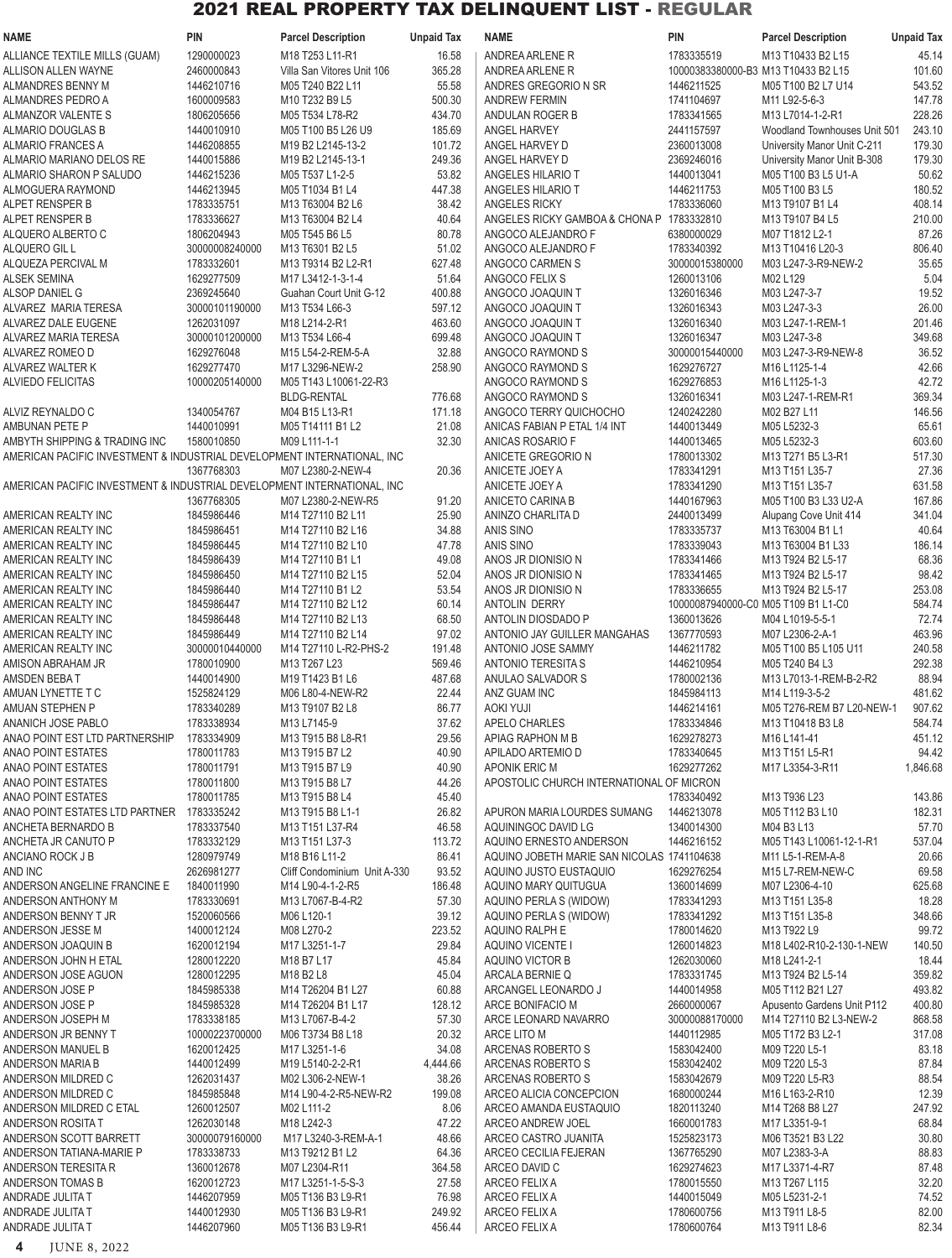| <b>NAME</b>                                                             | PIN                      | <b>Parcel Description</b>                 | <b>Unpaid Tax</b> | <b>NAME</b>                                  | PIN                                 | <b>Parcel Description</b>             | <b>Unpaid Tax</b> |
|-------------------------------------------------------------------------|--------------------------|-------------------------------------------|-------------------|----------------------------------------------|-------------------------------------|---------------------------------------|-------------------|
| ALLIANCE TEXTILE MILLS (GUAM)                                           | 1290000023               | M18 T253 L11-R1                           | 16.58             | ANDREA ARLENE R                              | 1783335519                          | M13 T10433 B2 L15                     | 45.14             |
| ALLISON ALLEN WAYNE                                                     | 2460000843               | Villa San Vitores Unit 106                | 365.28            | ANDREA ARLENE R                              | 10000383380000-B3 M13 T10433 B2 L15 |                                       | 101.60            |
| ALMANDRES BENNY M                                                       | 1446210716               | M05 T240 B22 L11                          | 55.58             | ANDRES GREGORIO N SR                         | 1446211525                          | M05 T100 B2 L7 U14                    | 543.52            |
| ALMANDRES PEDRO A                                                       | 1600009583               | M10 T232 B9 L5                            | 500.30            | ANDREW FERMIN                                | 1741104697                          | M11 L92-5-6-3                         | 147.78            |
| ALMANZOR VALENTE S                                                      | 1806205656               | M05 T534 L78-R2                           | 434.70            | ANDULAN ROGER B                              | 1783341565                          | M13 L7014-1-2-R1                      | 228.26            |
| ALMARIO DOUGLAS B                                                       | 1440010910               | M05 T100 B5 L26 U9                        | 185.69            | <b>ANGEL HARVEY</b>                          | 2441157597                          | Woodland Townhouses Unit 501          | 243.10            |
| ALMARIO FRANCES A                                                       | 1446208855               | M19 B2 L2145-13-2                         | 101.72            | ANGEL HARVEY D                               | 2360013008                          | University Manor Unit C-211           | 179.30            |
| ALMARIO MARIANO DELOS RE                                                | 1440015886<br>1446215236 | M19 B2 L2145-13-1<br>M05 T537 L1-2-5      | 249.36<br>53.82   | ANGEL HARVEY D                               | 2369246016                          | University Manor Unit B-308           | 179.30<br>50.62   |
| ALMARIO SHARON P SALUDO<br>ALMOGUERA RAYMOND                            | 1446213945               | M05 T1034 B1 L4                           | 447.38            | ANGELES HILARIO T<br>ANGELES HILARIO T       | 1440013041<br>1446211753            | M05 T100 B3 L5 U1-A<br>M05 T100 B3 L5 | 180.52            |
| ALPET RENSPER B                                                         | 1783335751               | M13 T63004 B2 L6                          | 38.42             | ANGELES RICKY                                | 1783336060                          | M13 T9107 B1 L4                       | 408.14            |
| ALPET RENSPER B                                                         | 1783336627               | M13 T63004 B2 L4                          | 40.64             | ANGELES RICKY GAMBOA & CHONA P 1783332810    |                                     | M13 T9107 B4 L5                       | 210.00            |
| ALQUERO ALBERTO C                                                       | 1806204943               | M05 T545 B6 L5                            | 80.78             | ANGOCO ALEJANDRO F                           | 6380000029                          | M07 T1812 L2-1                        | 87.26             |
| ALQUERO GIL L                                                           | 30000008240000           | M13 T6301 B2 L5                           | 51.02             | ANGOCO ALEJANDRO F                           | 1783340392                          | M13 T10416 L20-3                      | 806.40            |
| ALQUEZA PERCIVAL M                                                      | 1783332601               | M13 T9314 B2 L2-R1                        | 627.48            | ANGOCO CARMEN S                              | 30000015380000                      | M03 L247-3-R9-NEW-2                   | 35.65             |
| <b>ALSEK SEMINA</b>                                                     | 1629277509               | M17 L3412-1-3-1-4                         | 51.64             | ANGOCO FELIX S                               | 1260013106                          | M02 L129                              | 5.04              |
| ALSOP DANIEL G                                                          | 2369245640               | Guahan Court Unit G-12                    | 400.88            | ANGOCO JOAQUIN T                             | 1326016346                          | M03 L247-3-7                          | 19.52             |
| ALVAREZ MARIA TERESA                                                    | 30000101190000           | M13 T534 L66-3                            | 597.12            | ANGOCO JOAQUIN T                             | 1326016343                          | M03 L247-3-3                          | 26.00             |
| ALVAREZ DALE EUGENE                                                     | 1262031097               | M18 L214-2-R1                             | 463.60            | ANGOCO JOAQUIN T                             | 1326016340                          | M03 L247-1-REM-1                      | 201.46            |
| ALVAREZ MARIA TERESA                                                    | 30000101200000           | M13 T534 L66-4                            | 699.48            | ANGOCO JOAQUIN T                             | 1326016347                          | M03 L247-3-8                          | 349.68            |
| ALVAREZ ROMEO D                                                         | 1629276048               | M15 L54-2-REM-5-A                         | 32.88             | ANGOCO RAYMOND S                             | 30000015440000                      | M03 L247-3-R9-NEW-8                   | 36.52             |
| ALVAREZ WALTER K                                                        | 1629277470               | M17 L3296-NEW-2                           | 258.90            | ANGOCO RAYMOND S                             | 1629276727                          | M16 L1125-1-4                         | 42.66             |
| ALVIEDO FELICITAS                                                       | 10000205140000           | M05 T143 L10061-22-R3                     |                   | ANGOCO RAYMOND S                             | 1629276853                          | M16 L1125-1-3                         | 42.72             |
|                                                                         |                          | <b>BLDG-RENTAL</b>                        | 776.68            | ANGOCO RAYMOND S                             | 1326016341                          | M03 L247-1-REM-R1                     | 369.34            |
| ALVIZ REYNALDO C                                                        | 1340054767               | M04 B15 L13-R1                            | 171.18            | ANGOCO TERRY QUICHOCHO                       | 1240242280                          | M02 B27 L11                           | 146.56            |
| AMBUNAN PETE P                                                          | 1440010991               | M05 T14111 B1 L2                          | 21.08             | ANICAS FABIAN P ETAL 1/4 INT                 | 1440013449                          | M05 L5232-3                           | 65.61             |
| AMBYTH SHIPPING & TRADING INC                                           | 1580010850               | M09 L111-1-1                              | 32.30             | ANICAS ROSARIO F                             | 1440013465                          | M05 L5232-3                           | 603.60            |
| AMERICAN PACIFIC INVESTMENT & INDUSTRIAL DEVELOPMENT INTERNATIONAL, INC |                          |                                           |                   | ANICETE GREGORIO N                           | 1780013302                          | M13 T271 B5 L3-R1                     | 517.30            |
| AMERICAN PACIFIC INVESTMENT & INDUSTRIAL DEVELOPMENT INTERNATIONAL, INC | 1367768303               | M07 L2380-2-NEW-4                         | 20.36             | ANICETE JOEY A                               | 1783341291<br>1783341290            | M13 T151 L35-7<br>M13 T151 L35-7      | 27.36<br>631.58   |
|                                                                         | 1367768305               | M07 L2380-2-NEW-R5                        | 91.20             | ANICETE JOEY A<br>ANICETO CARINA B           | 1440167963                          | M05 T100 B3 L33 U2-A                  | 167.86            |
| AMERICAN REALTY INC                                                     | 1845986446               | M14 T27110 B2 L11                         | 25.90             | ANINZO CHARLITA D                            | 2440013499                          | Alupang Cove Unit 414                 | 341.04            |
| AMERICAN REALTY INC                                                     | 1845986451               | M14 T27110 B2 L16                         | 34.88             | ANIS SINO                                    | 1783335737                          | M13 T63004 B1 L1                      | 40.64             |
| AMERICAN REALTY INC                                                     | 1845986445               | M14 T27110 B2 L10                         | 47.78             | ANIS SINO                                    | 1783339043                          | M13 T63004 B1 L33                     | 186.14            |
| AMERICAN REALTY INC                                                     | 1845986439               | M14 T27110 B1 L1                          | 49.08             | ANOS JR DIONISIO N                           | 1783341466                          | M13 T924 B2 L5-17                     | 68.36             |
| AMERICAN REALTY INC                                                     | 1845986450               | M14 T27110 B2 L15                         | 52.04             | ANOS JR DIONISIO N                           | 1783341465                          | M13 T924 B2 L5-17                     | 98.42             |
| AMERICAN REALTY INC                                                     | 1845986440               | M14 T27110 B1 L2                          | 53.54             | ANOS JR DIONISIO N                           | 1783336655                          | M13 T924 B2 L5-17                     | 253.08            |
| AMERICAN REALTY INC                                                     | 1845986447               | M14 T27110 B2 L12                         | 60.14             | ANTOLIN DERRY                                | 10000087940000-C0 M05 T109 B1 L1-C0 |                                       | 584.74            |
| AMERICAN REALTY INC                                                     | 1845986448               | M14 T27110 B2 L13                         | 68.50             | ANTOLIN DIOSDADO P                           | 1360013626                          | M04 L1019-5-5-1                       | 72.74             |
| AMERICAN REALTY INC                                                     | 1845986449               | M14 T27110 B2 L14                         | 97.02             | ANTONIO JAY GUILLER MANGAHAS                 | 1367770593                          | M07 L2306-2-A-1                       | 463.96            |
| AMERICAN REALTY INC                                                     | 30000010440000           | M14 T27110 L-R2-PHS-2                     | 191.48            | ANTONIO JOSE SAMMY                           | 1446211782                          | M05 T100 B5 L105 U11                  | 240.58            |
| AMISON ABRAHAM JR                                                       | 1780010900               | M13 T267 L23                              | 569.46            | <b>ANTONIO TERESITA S</b>                    | 1446210954                          | M05 T240 B4 L3                        | 292.38            |
| AMSDEN BEBAT                                                            | 1440014900               | M19 T1423 B1 L6                           | 487.68            | ANULAO SALVADOR S                            | 1780002136                          | M13 L7013-1-REM-B-2-R2                | 88.94             |
| AMUAN LYNETTE T C                                                       | 1525824129               | M06 L80-4-NEW-R2                          | 22.44             | ANZ GUAM INC                                 | 1845984113                          | M14 L119-3-5-2                        | 481.62            |
| AMUAN STEPHEN P                                                         | 1783340289               | M13 T9107 B2 L8                           | 86.77             | <b>AOKI YUJI</b>                             | 1446214161                          | M05 T276-REM B7 L20-NEW-1             | 907.62            |
| ANANICH JOSE PABLO                                                      | 1783338934               | M13 L7145-9                               | 37.62             | APELO CHARLES                                | 1783334846                          | M13 T10418 B3 L8                      | 584.74            |
| ANAO POINT EST LTD PARTNERSHIP                                          | 1783334909               | M13 T915 B8 L8-R1                         | 29.56             | APIAG RAPHON M B                             | 1629278273                          | M16 L141-41                           | 451.12            |
| <b>ANAO POINT ESTATES</b>                                               | 1780011783               | M13 T915 B7 L2                            | 40.90             | APILADO ARTEMIO D                            | 1783340645                          | M13 T151 L5-R1                        | 94.42             |
| <b>ANAO POINT ESTATES</b>                                               | 1780011791               | M13 T915 B7 L9                            | 40.90             | APONIK ERIC M                                | 1629277262                          | M17 L3354-3-R11                       | 1,846.68          |
| <b>ANAO POINT ESTATES</b><br>ANAO POINT ESTATES                         | 1780011800<br>1780011785 | M13 T915 B8 L7<br>M13 T915 B8 L4          | 44.26<br>45.40    | APOSTOLIC CHURCH INTERNATIONAL OF MICRON     | 1783340492                          | M13 T936 L23                          | 143.86            |
| ANAO POINT ESTATES LTD PARTNER 1783335242                               |                          | M13 T915 B8 L1-1                          | 26.82             | APURON MARIA LOURDES SUMANG                  | 1446213078                          | M05 T112 B3 L10                       | 182.31            |
| ANCHETA BERNARDO B                                                      | 1783337540               | M13 T151 L37-R4                           | 46.58             | AQUININGOC DAVID LG                          | 1340014300                          | M04 B3 L13                            | 57.70             |
| ANCHETA JR CANUTO P                                                     | 1783332129               | M13 T151 L37-3                            | 113.72            | AQUINO ERNESTO ANDERSON                      | 1446216152                          | M05 T143 L10061-12-1-R1               | 537.04            |
| ANCIANO ROCK J B                                                        | 1280979749               | M18 B16 L11-2                             | 86.41             | AQUINO JOBETH MARIE SAN NICOLAS 1741104638   |                                     | M11 L5-1-REM-A-8                      | 20.66             |
| AND INC                                                                 | 2626981277               | Cliff Condominium Unit A-330              | 93.52             | AQUINO JUSTO EUSTAQUIO                       | 1629276254                          | M15 L7-REM-NEW-C                      | 69.58             |
| ANDERSON ANGELINE FRANCINE E                                            | 1840011990               | M14 L90-4-1-2-R5                          | 186.48            | AQUINO MARY QUITUGUA                         | 1360014699                          | M07 L2306-4-10                        | 625.68            |
| ANDERSON ANTHONY M                                                      | 1783330691               | M13 L7067-B-4-R2                          | 57.30             | AQUINO PERLA S (WIDOW)                       | 1783341293                          | M13 T151 L35-8                        | 18.28             |
| ANDERSON BENNY T JR                                                     | 1520060566               | M06 L120-1                                | 39.12             | AQUINO PERLA S (WIDOW)                       | 1783341292                          | M13 T151 L35-8                        | 348.66            |
| ANDERSON JESSE M                                                        | 1400012124               | M08 L270-2                                | 223.52            | AQUINO RALPH E                               | 1780014620                          | M13 T922 L9                           | 99.72             |
| ANDERSON JOAQUIN B                                                      | 1620012194               | M17 L3251-1-7                             | 29.84             | AQUINO VICENTE I                             | 1260014823                          | M18 L402-R10-2-130-1-NEW              | 140.50            |
| ANDERSON JOHN H ETAL                                                    | 1280012220               | M18 B7 L17                                | 45.84             | AQUINO VICTOR B                              | 1262030060                          | M18 L241-2-1                          | 18.44             |
| ANDERSON JOSE AGUON                                                     | 1280012295               | M18 B2 L8                                 | 45.04             | ARCALA BERNIE Q                              | 1783331745                          | M13 T924 B2 L5-14                     | 359.82            |
| ANDERSON JOSE P                                                         | 1845985338               | M14 T26204 B1 L27                         | 60.88             | ARCANGEL LEONARDO J                          | 1440014958                          | M05 T112 B21 L27                      | 493.82            |
| ANDERSON JOSE P                                                         | 1845985328               | M14 T26204 B1 L17                         | 128.12            | ARCE BONIFACIO M                             | 2660000067                          | Apusento Gardens Unit P112            | 400.80            |
| ANDERSON JOSEPH M                                                       | 1783338185               | M13 L7067-B-4-2                           | 57.30             | ARCE LEONARD NAVARRO                         | 30000088170000                      | M14 T27110 B2 L3-NEW-2                | 868.58            |
| ANDERSON JR BENNY T                                                     | 10000223700000           | M06 T3734 B8 L18                          | 20.32             | ARCE LITO M                                  | 1440112985                          | M05 T172 B3 L2-1                      | 317.08            |
| ANDERSON MANUEL B                                                       | 1620012425               | M17 L3251-1-6                             | 34.08             | ARCENAS ROBERTO S                            | 1583042400                          | M09 T220 L5-1                         | 83.18             |
| ANDERSON MARIA B                                                        | 1440012499<br>1262031437 | M19 L5140-2-2-R1                          | 4,444.66          | ARCENAS ROBERTO S                            | 1583042402<br>1583042679            | M09 T220 L5-3                         | 87.84<br>88.54    |
| ANDERSON MILDRED C<br>ANDERSON MILDRED C                                | 1845985848               | M02 L306-2-NEW-1<br>M14 L90-4-2-R5-NEW-R2 | 38.26<br>199.08   | ARCENAS ROBERTO S<br>ARCEO ALICIA CONCEPCION | 1680000244                          | M09 T220 L5-R3<br>M16 L163-2-R10      | 12.39             |
| ANDERSON MILDRED C ETAL                                                 | 1260012507               | M02 L111-2                                | 8.06              | ARCEO AMANDA EUSTAQUIO                       | 1820113240                          | M14 T268 B8 L27                       | 247.92            |
| ANDERSON ROSITA T                                                       | 1262030148               | M18 L242-3                                | 47.22             | ARCEO ANDREW JOEL                            | 1660001783                          | M17 L3351-9-1                         | 68.84             |
| ANDERSON SCOTT BARRETT                                                  | 30000079160000           | M17 L3240-3-REM-A-1                       | 48.66             | ARCEO CASTRO JUANITA                         | 1525823173                          | M06 T3521 B3 L22                      | 30.80             |
| ANDERSON TATIANA-MARIE P                                                | 1783338733               | M13 T9212 B1 L2                           | 64.36             | ARCEO CECILIA FEJERAN                        | 1367765290                          | M07 L2383-3-A                         | 88.83             |
| ANDERSON TERESITA R                                                     | 1360012678               | M07 L2304-R11                             | 364.58            | ARCEO DAVID C                                | 1629274623                          | M17 L3371-4-R7                        | 87.48             |
| ANDERSON TOMAS B                                                        | 1620012723               | M17 L3251-1-5-S-3                         | 27.58             | ARCEO FELIX A                                | 1780015550                          | M13 T267 L115                         | 32.20             |
| ANDRADE JULITA T                                                        | 1446207959               | M05 T136 B3 L9-R1                         | 76.98             | ARCEO FELIX A                                | 1440015049                          | M05 L5231-2-1                         | 74.52             |
| ANDRADE JULITA T                                                        | 1440012930               | M05 T136 B3 L9-R1                         | 249.92            | ARCEO FELIX A                                | 1780600756                          | M13 T911 L8-5                         | 82.00             |
| ANDRADE JULITA T                                                        | 1446207960               | M05 T136 B3 L9-R1                         | 456.44            | ARCEO FELIX A                                | 1780600764                          | M13 T911 L8-6                         | 82.34             |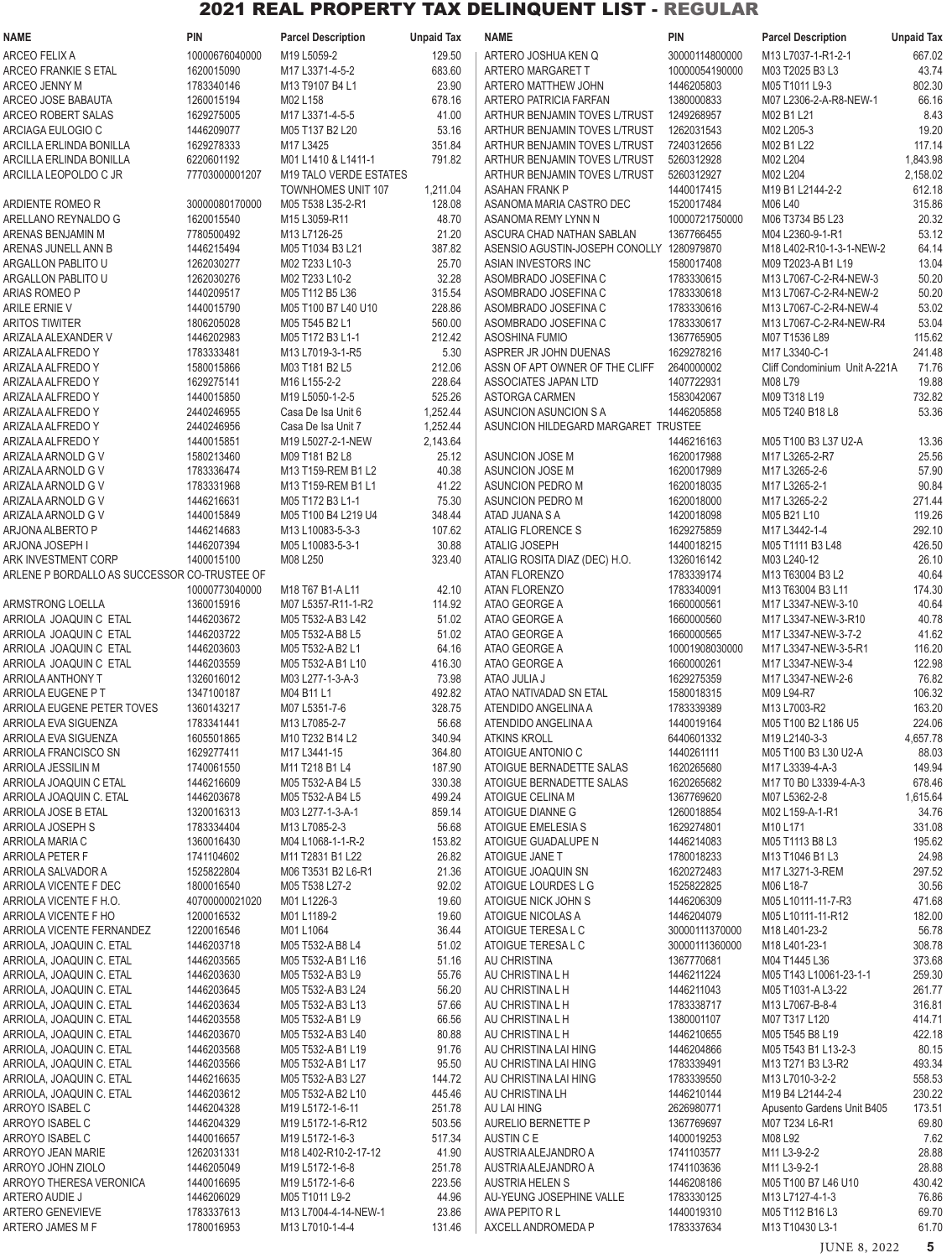| <b>NAME</b>                                       | <b>PIN</b>                   | <b>Parcel Description</b>                     | <b>Unpaid Tax</b> | <b>NAME</b>                                                           | <b>PIN</b>                   | <b>Parcel Description</b>                      | <b>Unpaid Tax</b>    |
|---------------------------------------------------|------------------------------|-----------------------------------------------|-------------------|-----------------------------------------------------------------------|------------------------------|------------------------------------------------|----------------------|
| ARCEO FELIX A                                     | 10000676040000               | M19 L5059-2                                   | 129.50            | ARTERO JOSHUA KEN Q                                                   | 30000114800000               | M13 L7037-1-R1-2-1                             | 667.02               |
| ARCEO FRANKIE S ETAL                              | 1620015090                   | M17 L3371-4-5-2                               | 683.60            | ARTERO MARGARET T                                                     | 10000054190000               | M03 T2025 B3 L3                                | 43.74                |
| ARCEO JENNY M                                     | 1783340146                   | M13 T9107 B4 L1                               | 23.90             | ARTERO MATTHEW JOHN                                                   | 1446205803                   | M05 T1011 L9-3                                 | 802.30               |
| ARCEO JOSE BABAUTA                                | 1260015194                   | M02 L158                                      | 678.16            | ARTERO PATRICIA FARFAN                                                | 1380000833                   | M07 L2306-2-A-R8-NEW-1                         | 66.16                |
| ARCEO ROBERT SALAS                                | 1629275005                   | M17 L3371-4-5-5                               | 41.00             | ARTHUR BENJAMIN TOVES L/TRUST                                         | 1249268957                   | M02 B1 L21                                     | 8.43                 |
| ARCIAGA EULOGIO C                                 | 1446209077                   | M05 T137 B2 L20                               | 53.16             | ARTHUR BENJAMIN TOVES L/TRUST                                         | 1262031543                   | M02 L205-3                                     | 19.20                |
| ARCILLA ERLINDA BONILLA                           | 1629278333                   | M17 L3425                                     | 351.84            | ARTHUR BENJAMIN TOVES L/TRUST                                         | 7240312656                   | M02 B1 L22                                     | 117.14               |
| ARCILLA ERLINDA BONILLA<br>ARCILLA LEOPOLDO C JR  | 6220601192<br>77703000001207 | M01 L1410 & L1411-1<br>M19 TALO VERDE ESTATES | 791.82            | ARTHUR BENJAMIN TOVES L/TRUST<br><b>ARTHUR BENJAMIN TOVES L/TRUST</b> | 5260312928<br>5260312927     | M02 L204<br>M02 L204                           | 1,843.98<br>2,158.02 |
|                                                   |                              | TOWNHOMES UNIT 107                            | 1,211.04          | ASAHAN FRANK P                                                        | 1440017415                   | M19 B1 L2144-2-2                               | 612.18               |
| ARDIENTE ROMEO R                                  | 30000080170000               | M05 T538 L35-2-R1                             | 128.08            | ASANOMA MARIA CASTRO DEC                                              | 1520017484                   | M06 L40                                        | 315.86               |
| ARELLANO REYNALDO G                               | 1620015540                   | M15 L3059-R11                                 | 48.70             | ASANOMA REMY LYNN N                                                   | 10000721750000               | M06 T3734 B5 L23                               | 20.32                |
| ARENAS BENJAMIN M                                 | 7780500492                   | M13 L7126-25                                  | 21.20             | ASCURA CHAD NATHAN SABLAN                                             | 1367766455                   | M04 L2360-9-1-R1                               | 53.12                |
| ARENAS JUNELL ANN B                               | 1446215494                   | M05 T1034 B3 L21                              | 387.82            | ASENSIO AGUSTIN-JOSEPH CONOLLY 1280979870                             |                              | M18 L402-R10-1-3-1-NEW-2                       | 64.14                |
| ARGALLON PABLITO U                                | 1262030277                   | M02 T233 L10-3                                | 25.70             | ASIAN INVESTORS INC                                                   | 1580017408                   | M09 T2023-A B1 L19                             | 13.04                |
| ARGALLON PABLITO U                                | 1262030276                   | M02 T233 L10-2                                | 32.28             | ASOMBRADO JOSEFINA C                                                  | 1783330615                   | M13 L7067-C-2-R4-NEW-3                         | 50.20                |
| ARIAS ROMEO P                                     | 1440209517                   | M05 T112 B5 L36                               | 315.54            | ASOMBRADO JOSEFINA C                                                  | 1783330618                   | M13 L7067-C-2-R4-NEW-2                         | 50.20                |
| ARILE ERNIE V                                     | 1440015790                   | M05 T100 B7 L40 U10                           | 228.86            | ASOMBRADO JOSEFINA C                                                  | 1783330616                   | M13 L7067-C-2-R4-NEW-4                         | 53.02                |
| <b>ARITOS TIWITER</b>                             | 1806205028                   | M05 T545 B2 L1                                | 560.00            | ASOMBRADO JOSEFINA C                                                  | 1783330617                   | M13 L7067-C-2-R4-NEW-R4                        | 53.04                |
| ARIZALA ALEXANDER V                               | 1446202983                   | M05 T172 B3 L1-1                              | 212.42            | ASOSHINA FUMIO                                                        | 1367765905<br>1629278216     | M07 T1536 L89<br>M17 L3340-C-1                 | 115.62               |
| ARIZALA ALFREDO Y<br>ARIZALA ALFREDO Y            | 1783333481<br>1580015866     | M13 L7019-3-1-R5<br>M03 T181 B2 L5            | 5.30<br>212.06    | ASPRER JR JOHN DUENAS<br>ASSN OF APT OWNER OF THE CLIFF               | 2640000002                   | Cliff Condominium Unit A-221A                  | 241.48<br>71.76      |
| ARIZALA ALFREDO Y                                 | 1629275141                   | M <sub>16</sub> L <sub>155</sub> -2-2         | 228.64            | ASSOCIATES JAPAN LTD                                                  | 1407722931                   | M08 L79                                        | 19.88                |
| ARIZALA ALFREDO Y                                 | 1440015850                   | M19 L5050-1-2-5                               | 525.26            | ASTORGA CARMEN                                                        | 1583042067                   | M09 T318 L19                                   | 732.82               |
| ARIZALA ALFREDO Y                                 | 2440246955                   | Casa De Isa Unit 6                            | 1,252.44          | ASUNCION ASUNCION S A                                                 | 1446205858                   | M05 T240 B18 L8                                | 53.36                |
| ARIZALA ALFREDO Y                                 | 2440246956                   | Casa De Isa Unit 7                            | 1,252.44          | ASUNCION HILDEGARD MARGARET TRUSTEE                                   |                              |                                                |                      |
| ARIZALA ALFREDO Y                                 | 1440015851                   | M19 L5027-2-1-NEW                             | 2,143.64          |                                                                       | 1446216163                   | M05 T100 B3 L37 U2-A                           | 13.36                |
| ARIZALA ARNOLD G V                                | 1580213460                   | M09 T181 B2 L8                                | 25.12             | ASUNCION JOSE M                                                       | 1620017988                   | M17 L3265-2-R7                                 | 25.56                |
| ARIZALA ARNOLD G V                                | 1783336474                   | M13 T159-REM B1 L2                            | 40.38             | ASUNCION JOSE M                                                       | 1620017989                   | M17 L3265-2-6                                  | 57.90                |
| ARIZALA ARNOLD G V                                | 1783331968                   | M13 T159-REM B1 L1                            | 41.22             | <b>ASUNCION PEDRO M</b>                                               | 1620018035                   | M17 L3265-2-1                                  | 90.84                |
| ARIZALA ARNOLD G V                                | 1446216631                   | M05 T172 B3 L1-1                              | 75.30             | <b>ASUNCION PEDRO M</b>                                               | 1620018000                   | M17 L3265-2-2                                  | 271.44               |
| ARIZALA ARNOLD G V                                | 1440015849                   | M05 T100 B4 L219 U4                           | 348.44            | ATAD JUANA S A                                                        | 1420018098                   | M05 B21 L10                                    | 119.26               |
| ARJONA ALBERTO P                                  | 1446214683                   | M13 L10083-5-3-3                              | 107.62            | ATALIG FLORENCE S                                                     | 1629275859                   | M17 L3442-1-4                                  | 292.10               |
| ARJONA JOSEPH I<br>ARK INVESTMENT CORP            | 1446207394<br>1400015100     | M05 L10083-5-3-1<br>M08 L250                  | 30.88             | <b>ATALIG JOSEPH</b>                                                  | 1440018215<br>1326016142     | M05 T1111 B3 L48<br>M03 L240-12                | 426.50<br>26.10      |
| ARLENE P BORDALLO AS SUCCESSOR CO-TRUSTEE OF      |                              |                                               | 323.40            | ATALIG ROSITA DIAZ (DEC) H.O.<br><b>ATAN FLORENZO</b>                 | 1783339174                   | M13 T63004 B3 L2                               | 40.64                |
|                                                   | 10000773040000               | M18 T67 B1-A L11                              | 42.10             | <b>ATAN FLORENZO</b>                                                  | 1783340091                   | M13 T63004 B3 L11                              | 174.30               |
| ARMSTRONG LOELLA                                  | 1360015916                   | M07 L5357-R11-1-R2                            | 114.92            | ATAO GEORGE A                                                         | 1660000561                   | M17 L3347-NEW-3-10                             | 40.64                |
| ARRIOLA JOAQUIN C ETAL                            | 1446203672                   | M05 T532-A B3 L42                             | 51.02             | ATAO GEORGE A                                                         | 1660000560                   | M17 L3347-NEW-3-R10                            | 40.78                |
| ARRIOLA JOAQUIN C ETAL                            | 1446203722                   | M05 T532-A B8 L5                              | 51.02             | ATAO GEORGE A                                                         | 1660000565                   | M17 L3347-NEW-3-7-2                            | 41.62                |
| ARRIOLA JOAQUIN C ETAL                            | 1446203603                   | M05 T532-A B2 L1                              | 64.16             | ATAO GEORGE A                                                         | 10001908030000               | M17 L3347-NEW-3-5-R1                           | 116.20               |
| ARRIOLA JOAQUIN C ETAL                            | 1446203559                   | M05 T532-A B1 L10                             | 416.30            | ATAO GEORGE A                                                         | 1660000261                   | M17 L3347-NEW-3-4                              | 122.98               |
| ARRIOLA ANTHONY T                                 | 1326016012                   | M03 L277-1-3-A-3                              | 73.98             | ATAO JULIA J                                                          | 1629275359                   | M17 L3347-NEW-2-6                              | 76.82                |
| ARRIOLA EUGENE P T                                | 1347100187                   | M04 B11 L1                                    | 492.82            | ATAO NATIVADAD SN ETAL                                                | 1580018315                   | M09 L94-R7                                     | 106.32               |
| ARRIOLA EUGENE PETER TOVES                        | 1360143217                   | M07 L5351-7-6                                 | 328.75            | ATENDIDO ANGELINA A                                                   | 1783339389                   | M13 L7003-R2                                   | 163.20               |
| ARRIOLA EVA SIGUENZA                              | 1783341441                   | M13 L7085-2-7                                 | 56.68             | ATENDIDO ANGELINA A                                                   | 1440019164                   | M05 T100 B2 L186 U5                            | 224.06               |
| ARRIOLA EVA SIGUENZA<br>ARRIOLA FRANCISCO SN      | 1605501865<br>1629277411     | M10 T232 B14 L2<br>M17 L3441-15               | 340.94<br>364.80  | <b>ATKINS KROLL</b><br>ATOIGUE ANTONIO C                              | 6440601332<br>1440261111     | M19 L2140-3-3<br>M05 T100 B3 L30 U2-A          | 4,657.78<br>88.03    |
| ARRIOLA JESSILIN M                                | 1740061550                   | M11 T218 B1 L4                                | 187.90            | ATOIGUE BERNADETTE SALAS                                              | 1620265680                   | M17 L3339-4-A-3                                | 149.94               |
| ARRIOLA JOAQUIN C ETAL                            | 1446216609                   | M05 T532-A B4 L5                              | 330.38            | ATOIGUE BERNADETTE SALAS                                              | 1620265682                   | M17 T0 B0 L3339-4-A-3                          | 678.46               |
| ARRIOLA JOAQUIN C. ETAL                           | 1446203678                   | M05 T532-A B4 L5                              | 499.24            | ATOIGUE CELINA M                                                      | 1367769620                   | M07 L5362-2-8                                  | 1,615.64             |
| ARRIOLA JOSE B ETAL                               | 1320016313                   | M03 L277-1-3-A-1                              | 859.14            | ATOIGUE DIANNE G                                                      | 1260018854                   | M02 L159-A-1-R1                                | 34.76                |
| ARRIOLA JOSEPH S                                  | 1783334404                   | M13 L7085-2-3                                 | 56.68             | ATOIGUE EMELESIA S                                                    | 1629274801                   | M10 L171                                       | 331.08               |
| ARRIOLA MARIA C                                   | 1360016430                   | M04 L1068-1-1-R-2                             | 153.82            | ATOIGUE GUADALUPE N                                                   | 1446214083                   | M05 T1113 B8 L3                                | 195.62               |
| <b>ARRIOLA PETER F</b>                            | 1741104602                   | M11 T2831 B1 L22                              | 26.82             | ATOIGUE JANE T                                                        | 1780018233                   | M13 T1046 B1 L3                                | 24.98                |
| ARRIOLA SALVADOR A                                | 1525822804                   | M06 T3531 B2 L6-R1                            | 21.36             | ATOIGUE JOAQUIN SN                                                    | 1620272483                   | M17 L3271-3-REM                                | 297.52               |
| ARRIOLA VICENTE F DEC                             | 1800016540                   | M05 T538 L27-2                                | 92.02             | ATOIGUE LOURDES L G                                                   | 1525822825                   | M06 L18-7                                      | 30.56                |
| ARRIOLA VICENTE F H.O.                            | 40700000021020               | M01L1226-3                                    | 19.60             | ATOIGUE NICK JOHN S                                                   | 1446206309                   | M05 L10111-11-7-R3                             | 471.68               |
| ARRIOLA VICENTE F HO<br>ARRIOLA VICENTE FERNANDEZ | 1200016532<br>1220016546     | M01 L1189-2<br>M01L1064                       | 19.60<br>36.44    | ATOIGUE NICOLAS A<br>ATOIGUE TERESA L C                               | 1446204079<br>30000111370000 | M05 L10111-11-R12<br>M18 L401-23-2             | 182.00<br>56.78      |
| ARRIOLA, JOAQUIN C. ETAL                          | 1446203718                   | M05 T532-A B8 L4                              | 51.02             | ATOIGUE TERESA L C                                                    | 30000111360000               | M18 L401-23-1                                  | 308.78               |
| ARRIOLA, JOAQUIN C. ETAL                          | 1446203565                   | M05 T532-A B1 L16                             | 51.16             | AU CHRISTINA                                                          | 1367770681                   | M04 T1445 L36                                  | 373.68               |
| ARRIOLA, JOAQUIN C. ETAL                          | 1446203630                   | M05 T532-A B3 L9                              | 55.76             | AU CHRISTINA L H                                                      | 1446211224                   | M05 T143 L10061-23-1-1                         | 259.30               |
| ARRIOLA, JOAQUIN C. ETAL                          | 1446203645                   | M05 T532-A B3 L24                             | 56.20             | AU CHRISTINA L H                                                      | 1446211043                   | M05 T1031-A L3-22                              | 261.77               |
| ARRIOLA, JOAQUIN C. ETAL                          | 1446203634                   | M05 T532-A B3 L13                             | 57.66             | AU CHRISTINA L H                                                      | 1783338717                   | M13 L7067-B-8-4                                | 316.81               |
| ARRIOLA, JOAQUIN C. ETAL                          | 1446203558                   | M05 T532-A B1 L9                              | 66.56             | AU CHRISTINA L H                                                      | 1380001107                   | M07 T317 L120                                  | 414.71               |
| ARRIOLA, JOAQUIN C. ETAL                          | 1446203670                   | M05 T532-A B3 L40                             | 80.88             | AU CHRISTINA L H                                                      | 1446210655                   | M05 T545 B8 L19                                | 422.18               |
| ARRIOLA, JOAQUIN C. ETAL                          | 1446203568                   | M05 T532-A B1 L19                             | 91.76             | AU CHRISTINA LAI HING                                                 | 1446204866                   | M05 T543 B1 L13-2-3                            | 80.15                |
| ARRIOLA, JOAQUIN C. ETAL                          | 1446203566                   | M05 T532-A B1 L17                             | 95.50             | AU CHRISTINA LAI HING                                                 | 1783339491                   | M13 T271 B3 L3-R2                              | 493.34               |
| ARRIOLA, JOAQUIN C. ETAL                          | 1446216635                   | M05 T532-A B3 L27                             | 144.72            | AU CHRISTINA LAI HING                                                 | 1783339550                   | M13 L7010-3-2-2                                | 558.53               |
| ARRIOLA, JOAQUIN C. ETAL<br>ARROYO ISABEL C       | 1446203612<br>1446204328     | M05 T532-A B2 L10<br>M19 L5172-1-6-11         | 445.46<br>251.78  | AU CHRISTINA LH<br>AU LAI HING                                        | 1446210144<br>2626980771     | M19 B4 L2144-2-4<br>Apusento Gardens Unit B405 | 230.22<br>173.51     |
| ARROYO ISABEL C                                   | 1446204329                   | M19 L5172-1-6-R12                             | 503.56            | AURELIO BERNETTE P                                                    | 1367769697                   | M07 T234 L6-R1                                 | 69.80                |
| ARROYO ISABEL C                                   | 1440016657                   | M19 L5172-1-6-3                               | 517.34            | AUSTIN C E                                                            | 1400019253                   | M08 L92                                        | 7.62                 |
| ARROYO JEAN MARIE                                 | 1262031331                   | M18 L402-R10-2-17-12                          | 41.90             | AUSTRIA ALEJANDRO A                                                   | 1741103577                   | M11 L3-9-2-2                                   | 28.88                |
| ARROYO JOHN ZIOLO                                 | 1446205049                   | M19 L5172-1-6-8                               | 251.78            | AUSTRIA ALEJANDRO A                                                   | 1741103636                   | M11 L3-9-2-1                                   | 28.88                |
| ARROYO THERESA VERONICA                           | 1440016695                   | M19 L5172-1-6-6                               | 223.56            | <b>AUSTRIA HELEN S</b>                                                | 1446208186                   | M05 T100 B7 L46 U10                            | 430.42               |
| ARTERO AUDIE J                                    | 1446206029                   | M05 T1011 L9-2                                | 44.96             | AU-YEUNG JOSEPHINE VALLE                                              | 1783330125                   | M13 L7127-4-1-3                                | 76.86                |
| <b>ARTERO GENEVIEVE</b>                           | 1783337613                   | M13 L7004-4-14-NEW-1                          | 23.86             | AWA PEPITO R L                                                        | 1440019310                   | M05 T112 B16 L3                                | 69.70                |
| ARTERO JAMES M F                                  | 1780016953                   | M13 L7010-1-4-4                               | 131.46            | AXCELL ANDROMEDA P                                                    | 1783337634                   | M13 T10430 L3-1                                | 61.70                |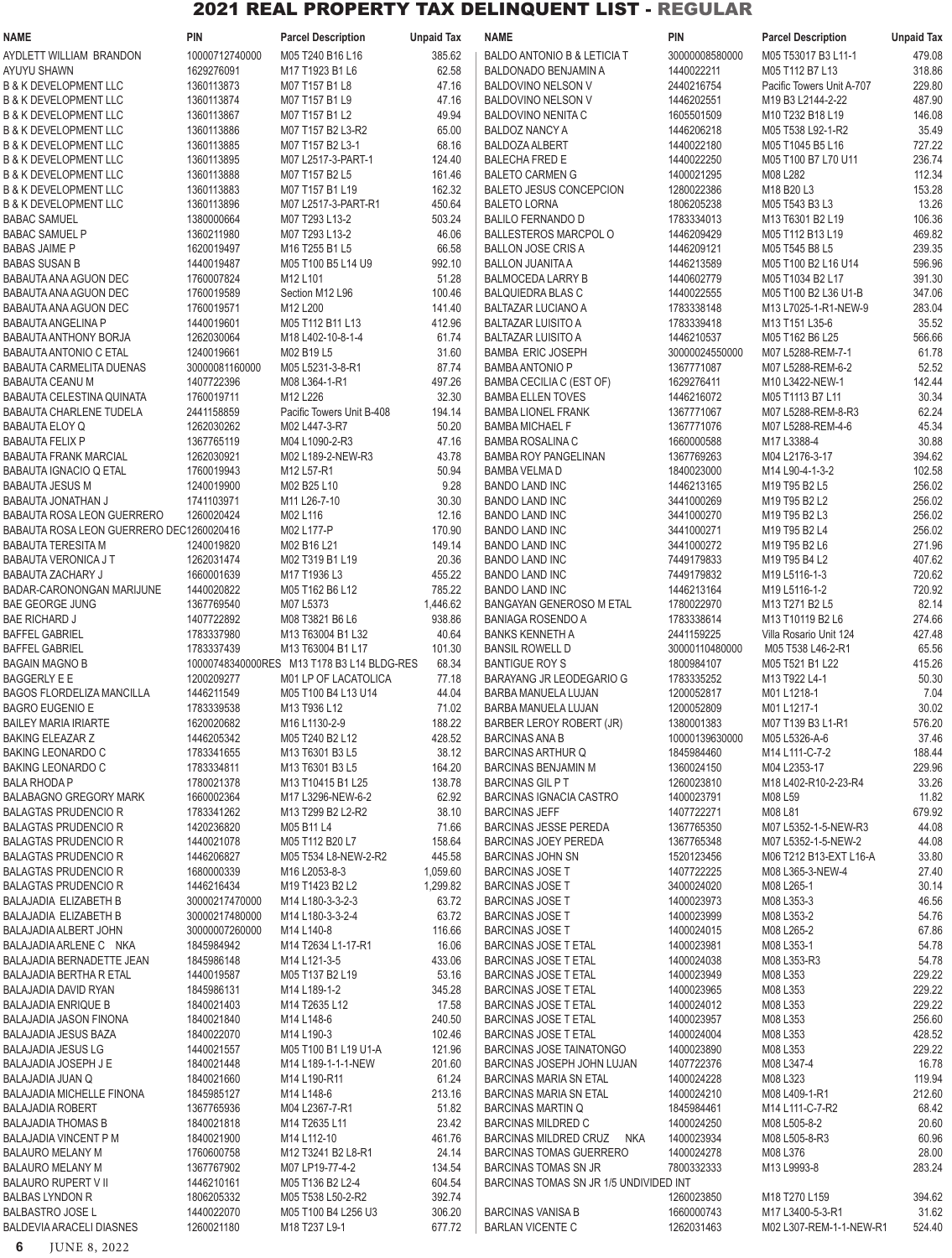| <b>NAME</b>                                                          | <b>PIN</b>               | <b>Parcel Description</b>                  | <b>Unpaid Tax</b> | <b>NAME</b>                                                 | <b>PIN</b>               | <b>Parcel Description</b>                   | <b>Unpaid Tax</b> |
|----------------------------------------------------------------------|--------------------------|--------------------------------------------|-------------------|-------------------------------------------------------------|--------------------------|---------------------------------------------|-------------------|
| AYDLETT WILLIAM BRANDON                                              | 10000712740000           | M05 T240 B16 L16                           | 385.62            | BALDO ANTONIO B & LETICIA T                                 | 30000008580000           | M05 T53017 B3 L11-1                         | 479.08            |
| AYUYU SHAWN                                                          | 1629276091               | M17 T1923 B1 L6                            | 62.58             | BALDONADO BENJAMIN A                                        | 1440022211               | M05 T112 B7 L13                             | 318.86            |
| <b>B &amp; K DEVELOPMENT LLC</b>                                     | 1360113873               | M07 T157 B1 L8                             | 47.16             | BALDOVINO NELSON V                                          | 2440216754               | Pacific Towers Unit A-707                   | 229.80            |
| <b>B &amp; K DEVELOPMENT LLC</b>                                     | 1360113874               | M07 T157 B1 L9                             | 47.16             | BALDOVINO NELSON V                                          | 1446202551               | M19 B3 L2144-2-22                           | 487.90            |
| <b>B &amp; K DEVELOPMENT LLC</b>                                     | 1360113867               | M07 T157 B1 L2                             | 49.94             | <b>BALDOVINO NENITA C</b>                                   | 1605501509               | M10 T232 B18 L19                            | 146.08            |
| <b>B &amp; K DEVELOPMENT LLC</b>                                     | 1360113886               | M07 T157 B2 L3-R2                          | 65.00             | <b>BALDOZ NANCY A</b>                                       | 1446206218               | M05 T538 L92-1-R2                           | 35.49             |
| <b>B &amp; K DEVELOPMENT LLC</b>                                     | 1360113885               | M07 T157 B2 L3-1                           | 68.16             | <b>BALDOZA ALBERT</b>                                       | 1440022180               | M05 T1045 B5 L16                            | 727.22            |
| <b>B &amp; K DEVELOPMENT LLC</b>                                     | 1360113895               | M07 L2517-3-PART-1                         | 124.40            | <b>BALECHA FRED E</b>                                       | 1440022250               | M05 T100 B7 L70 U11                         | 236.74            |
| <b>B &amp; K DEVELOPMENT LLC</b><br><b>B &amp; K DEVELOPMENT LLC</b> | 1360113888<br>1360113883 | M07 T157 B2 L5<br>M07 T157 B1 L19          | 161.46<br>162.32  | <b>BALETO CARMEN G</b><br><b>BALETO JESUS CONCEPCION</b>    | 1400021295<br>1280022386 | M08 L282<br>M18 B20 L3                      | 112.34<br>153.28  |
| <b>B &amp; K DEVELOPMENT LLC</b>                                     | 1360113896               | M07 L2517-3-PART-R1                        | 450.64            | <b>BALETO LORNA</b>                                         | 1806205238               | M05 T543 B3 L3                              | 13.26             |
| <b>BABAC SAMUEL</b>                                                  | 1380000664               | M07 T293 L13-2                             | 503.24            | <b>BALILO FERNANDO D</b>                                    | 1783334013               | M13 T6301 B2 L19                            | 106.36            |
| <b>BABAC SAMUEL P</b>                                                | 1360211980               | M07 T293 L13-2                             | 46.06             | <b>BALLESTEROS MARCPOL O</b>                                | 1446209429               | M05 T112 B13 L19                            | 469.82            |
| <b>BABAS JAIME P</b>                                                 | 1620019497               | M16 T255 B1 L5                             | 66.58             | <b>BALLON JOSE CRIS A</b>                                   | 1446209121               | M05 T545 B8 L5                              | 239.35            |
| <b>BABAS SUSAN B</b>                                                 | 1440019487               | M05 T100 B5 L14 U9                         | 992.10            | <b>BALLON JUANITA A</b>                                     | 1446213589               | M05 T100 B2 L16 U14                         | 596.96            |
| BABAUTA ANA AGUON DEC                                                | 1760007824               | M12 L101                                   | 51.28             | <b>BALMOCEDA LARRY B</b>                                    | 1440602779               | M05 T1034 B2 L17                            | 391.30            |
| BABAUTA ANA AGUON DEC                                                | 1760019589               | Section M12 L96                            | 100.46            | <b>BALQUIEDRA BLAS C</b>                                    | 1440022555               | M05 T100 B2 L36 U1-B                        | 347.06            |
| BABAUTA ANA AGUON DEC                                                | 1760019571               | M12 L200                                   | 141.40            | <b>BALTAZAR LUCIANO A</b>                                   | 1783338148               | M13 L7025-1-R1-NEW-9                        | 283.04            |
| <b>BABAUTA ANGELINA P</b>                                            | 1440019601               | M05 T112 B11 L13                           | 412.96            | <b>BALTAZAR LUISITO A</b>                                   | 1783339418               | M13 T151 L35-6                              | 35.52             |
| BABAUTA ANTHONY BORJA                                                | 1262030064               | M18 L402-10-8-1-4                          | 61.74             | <b>BALTAZAR LUISITO A</b>                                   | 1446210537               | M05 T162 B6 L25                             | 566.66            |
| <b>BABAUTA ANTONIO C ETAL</b>                                        | 1240019661               | M02 B19 L5                                 | 31.60             | <b>BAMBA ERIC JOSEPH</b>                                    | 30000024550000           | M07 L5288-REM-7-1                           | 61.78             |
| <b>BABAUTA CARMELITA DUENAS</b>                                      | 30000081160000           | M05 L5231-3-8-R1                           | 87.74             | <b>BAMBA ANTONIO P</b>                                      | 1367771087               | M07 L5288-REM-6-2                           | 52.52             |
| <b>BABAUTA CEANU M</b><br><b>BABAUTA CELESTINA QUINATA</b>           | 1407722396<br>1760019711 | M08 L364-1-R1<br>M12 L226                  | 497.26<br>32.30   | BAMBA CECILIA C (EST OF)                                    | 1629276411               | M10 L3422-NEW-1                             | 142.44<br>30.34   |
| <b>BABAUTA CHARLENE TUDELA</b>                                       | 2441158859               | Pacific Towers Unit B-408                  | 194.14            | <b>BAMBA ELLEN TOVES</b><br><b>BAMBA LIONEL FRANK</b>       | 1446216072<br>1367771067 | M05 T1113 B7 L11<br>M07 L5288-REM-8-R3      | 62.24             |
| <b>BABAUTA ELOY Q</b>                                                | 1262030262               | M02 L447-3-R7                              | 50.20             | <b>BAMBA MICHAEL F</b>                                      | 1367771076               | M07 L5288-REM-4-6                           | 45.34             |
| <b>BABAUTA FELIX P</b>                                               | 1367765119               | M04 L1090-2-R3                             | 47.16             | <b>BAMBA ROSALINA C</b>                                     | 1660000588               | M17 L3388-4                                 | 30.88             |
| <b>BABAUTA FRANK MARCIAL</b>                                         | 1262030921               | M02 L189-2-NEW-R3                          | 43.78             | <b>BAMBA ROY PANGELINAN</b>                                 | 1367769263               | M04 L2176-3-17                              | 394.62            |
| <b>BABAUTA IGNACIO Q ETAL</b>                                        | 1760019943               | M12 L57-R1                                 | 50.94             | <b>BAMBA VELMA D</b>                                        | 1840023000               | M14 L90-4-1-3-2                             | 102.58            |
| <b>BABAUTA JESUS M</b>                                               | 1240019900               | M02 B25 L10                                | 9.28              | <b>BANDO LAND INC</b>                                       | 1446213165               | M19 T95 B2 L5                               | 256.02            |
| BABAUTA JONATHAN J                                                   | 1741103971               | M11 L26-7-10                               | 30.30             | <b>BANDO LAND INC</b>                                       | 3441000269               | M19 T95 B2 L2                               | 256.02            |
| <b>BABAUTA ROSA LEON GUERRERO</b>                                    | 1260020424               | M02 L116                                   | 12.16             | <b>BANDO LAND INC</b>                                       | 3441000270               | M19 T95 B2 L3                               | 256.02            |
| BABAUTA ROSA LEON GUERRERO DEC1260020416                             |                          | M02 L177-P                                 | 170.90            | <b>BANDO LAND INC</b>                                       | 3441000271               | M19 T95 B2 L4                               | 256.02            |
| BABAUTA TERESITA M                                                   | 1240019820               | M02 B16 L21                                | 149.14            | <b>BANDO LAND INC</b>                                       | 3441000272               | M19 T95 B2 L6                               | 271.96            |
| BABAUTA VERONICA J T                                                 | 1262031474               | M02 T319 B1 L19                            | 20.36             | <b>BANDO LAND INC</b>                                       | 7449179833               | M19 T95 B4 L2                               | 407.62            |
| <b>BABAUTA ZACHARY J</b>                                             | 1660001639               | M17 T1936 L3                               | 455.22            | <b>BANDO LAND INC</b>                                       | 7449179832               | M19 L5116-1-3                               | 720.62            |
| BADAR-CARONONGAN MARIJUNE                                            | 1440020822               | M05 T162 B6 L12                            | 785.22            | <b>BANDO LAND INC</b>                                       | 1446213164               | M19 L5116-1-2                               | 720.92            |
| <b>BAE GEORGE JUNG</b>                                               | 1367769540               | M07 L5373                                  | 1,446.62          | <b>BANGAYAN GENEROSO M ETAL</b>                             | 1780022970               | M13 T271 B2 L5                              | 82.14             |
| <b>BAE RICHARD J</b><br><b>BAFFEL GABRIEL</b>                        | 1407722892<br>1783337980 | M08 T3821 B6 L6<br>M13 T63004 B1 L32       | 938.86<br>40.64   | <b>BANIAGA ROSENDO A</b><br><b>BANKS KENNETH A</b>          | 1783338614<br>2441159225 | M13 T10119 B2 L6<br>Villa Rosario Unit 124  | 274.66<br>427.48  |
| <b>BAFFEL GABRIEL</b>                                                | 1783337439               | M13 T63004 B1 L17                          | 101.30            | <b>BANSIL ROWELL D</b>                                      | 30000110480000           | M05 T538 L46-2-R1                           | 65.56             |
| <b>BAGAIN MAGNO B</b>                                                |                          | 10000748340000RES M13 T178 B3 L14 BLDG-RES | 68.34             | <b>BANTIGUE ROY S</b>                                       | 1800984107               | M05 T521 B1 L22                             | 415.26            |
| <b>BAGGERLY E E</b>                                                  | 1200209277               | M01 LP OF LACATOLICA                       | 77.18             | BARAYANG JR LEODEGARIO G                                    | 1783335252               | M13 T922 L4-1                               | 50.30             |
| <b>BAGOS FLORDELIZA MANCILLA</b>                                     | 1446211549               | M05 T100 B4 L13 U14                        | 44.04             | BARBA MANUELA LUJAN                                         | 1200052817               | M01 L1218-1                                 | 7.04              |
| <b>BAGRO EUGENIO E</b>                                               | 1783339538               | M13 T936 L12                               | 71.02             | <b>BARBA MANUELA LUJAN</b>                                  | 1200052809               | M01 L1217-1                                 | 30.02             |
| <b>BAILEY MARIA IRIARTE</b>                                          | 1620020682               | M16 L1130-2-9                              | 188.22            | BARBER LEROY ROBERT (JR)                                    | 1380001383               | M07 T139 B3 L1-R1                           | 576.20            |
| <b>BAKING ELEAZAR Z</b>                                              | 1446205342               | M05 T240 B2 L12                            | 428.52            | <b>BARCINAS ANA B</b>                                       | 10000139630000           | M05 L5326-A-6                               | 37.46             |
| <b>BAKING LEONARDO C</b>                                             | 1783341655               | M13 T6301 B3 L5                            | 38.12             | <b>BARCINAS ARTHUR Q</b>                                    | 1845984460               | M14 L111-C-7-2                              | 188.44            |
| <b>BAKING LEONARDO C</b>                                             | 1783334811               | M13 T6301 B3 L5                            | 164.20            | <b>BARCINAS BENJAMIN M</b>                                  | 1360024150               | M04 L2353-17                                | 229.96            |
| <b>BALA RHODA P</b>                                                  | 1780021378               | M13 T10415 B1 L25                          | 138.78            | <b>BARCINAS GIL PT</b>                                      | 1260023810               | M18 L402-R10-2-23-R4                        | 33.26             |
| <b>BALABAGNO GREGORY MARK</b>                                        | 1660002364               | M17 L3296-NEW-6-2                          | 62.92             | <b>BARCINAS IGNACIA CASTRO</b>                              | 1400023791               | M08 L59                                     | 11.82             |
| <b>BALAGTAS PRUDENCIO R</b>                                          | 1783341262               | M13 T299 B2 L2-R2                          | 38.10             | <b>BARCINAS JEFF</b>                                        | 1407722271               | M08 L81                                     | 679.92            |
| <b>BALAGTAS PRUDENCIO R</b><br><b>BALAGTAS PRUDENCIO R</b>           | 1420236820<br>1440021078 | M05 B11 L4<br>M05 T112 B20 L7              | 71.66             | <b>BARCINAS JESSE PEREDA</b><br><b>BARCINAS JOEY PEREDA</b> | 1367765350<br>1367765348 | M07 L5352-1-5-NEW-R3<br>M07 L5352-1-5-NEW-2 | 44.08<br>44.08    |
| <b>BALAGTAS PRUDENCIO R</b>                                          | 1446206827               | M05 T534 L8-NEW-2-R2                       | 158.64<br>445.58  | <b>BARCINAS JOHN SN</b>                                     | 1520123456               | M06 T212 B13-EXT L16-A                      | 33.80             |
| <b>BALAGTAS PRUDENCIO R</b>                                          | 1680000339               | M16 L2053-8-3                              | 1,059.60          | <b>BARCINAS JOSE T</b>                                      | 1407722225               | M08 L365-3-NEW-4                            | 27.40             |
| <b>BALAGTAS PRUDENCIO R</b>                                          | 1446216434               | M19 T1423 B2 L2                            | 1,299.82          | <b>BARCINAS JOSE T</b>                                      | 3400024020               | M08 L265-1                                  | 30.14             |
| BALAJADIA ELIZABETH B                                                | 30000217470000           | M14 L180-3-3-2-3                           | 63.72             | <b>BARCINAS JOSE T</b>                                      | 1400023973               | M08 L353-3                                  | 46.56             |
| BALAJADIA ELIZABETH B                                                | 30000217480000           | M14 L180-3-3-2-4                           | 63.72             | <b>BARCINAS JOSE T</b>                                      | 1400023999               | M08 L353-2                                  | 54.76             |
| BALAJADIA ALBERT JOHN                                                | 30000007260000           | M14 L140-8                                 | 116.66            | <b>BARCINAS JOSE T</b>                                      | 1400024015               | M08 L265-2                                  | 67.86             |
| BALAJADIA ARLENE C NKA                                               | 1845984942               | M14 T2634 L1-17-R1                         | 16.06             | BARCINAS JOSE T ETAL                                        | 1400023981               | M08 L353-1                                  | 54.78             |
| BALAJADIA BERNADETTE JEAN                                            | 1845986148               | M14 L121-3-5                               | 433.06            | <b>BARCINAS JOSE T ETAL</b>                                 | 1400024038               | M08 L353-R3                                 | 54.78             |
| <b>BALAJADIA BERTHA R ETAL</b>                                       | 1440019587               | M05 T137 B2 L19                            | 53.16             | <b>BARCINAS JOSE T ETAL</b>                                 | 1400023949               | M08 L353                                    | 229.22            |
| <b>BALAJADIA DAVID RYAN</b>                                          | 1845986131               | M14 L189-1-2                               | 345.28            | <b>BARCINAS JOSE T ETAL</b>                                 | 1400023965               | M08 L353                                    | 229.22            |
| <b>BALAJADIA ENRIQUE B</b>                                           | 1840021403               | M14 T2635 L12                              | 17.58             | <b>BARCINAS JOSE T ETAL</b>                                 | 1400024012               | M08 L353                                    | 229.22            |
| BALAJADIA JASON FINONA                                               | 1840021840               | M14 L148-6                                 | 240.50            | <b>BARCINAS JOSE T ETAL</b>                                 | 1400023957               | M08 L353                                    | 256.60            |
| <b>BALAJADIA JESUS BAZA</b><br><b>BALAJADIA JESUS LG</b>             | 1840022070<br>1440021557 | M14 L190-3<br>M05 T100 B1 L19 U1-A         | 102.46<br>121.96  | <b>BARCINAS JOSE T ETAL</b><br>BARCINAS JOSE TAINATONGO     | 1400024004<br>1400023890 | M08 L353<br>M08 L353                        | 428.52<br>229.22  |
| BALAJADIA JOSEPH J E                                                 | 1840021448               | M14 L189-1-1-1-NEW                         | 201.60            | BARCINAS JOSEPH JOHN LUJAN                                  | 1407722376               | M08 L347-4                                  | 16.78             |
| BALAJADIA JUAN Q                                                     | 1840021660               | M14 L190-R11                               | 61.24             | <b>BARCINAS MARIA SN ETAL</b>                               | 1400024228               | M08 L323                                    | 119.94            |
| <b>BALAJADIA MICHELLE FINONA</b>                                     | 1845985127               | M14 L148-6                                 | 213.16            | <b>BARCINAS MARIA SN ETAL</b>                               | 1400024210               | M08 L409-1-R1                               | 212.60            |
| <b>BALAJADIA ROBERT</b>                                              | 1367765936               | M04 L2367-7-R1                             | 51.82             | <b>BARCINAS MARTIN Q</b>                                    | 1845984461               | M14 L111-C-7-R2                             | 68.42             |
| <b>BALAJADIA THOMAS B</b>                                            | 1840021818               | M14 T2635 L11                              | 23.42             | <b>BARCINAS MILDRED C</b>                                   | 1400024250               | M08 L505-8-2                                | 20.60             |
| <b>BALAJADIA VINCENT P M</b>                                         | 1840021900               | M14 L112-10                                | 461.76            | BARCINAS MILDRED CRUZ NKA                                   | 1400023934               | M08 L505-8-R3                               | 60.96             |
| <b>BALAURO MELANY M</b>                                              | 1760600758               | M12 T3241 B2 L8-R1                         | 24.14             | <b>BARCINAS TOMAS GUERRERO</b>                              | 1400024278               | M08 L376                                    | 28.00             |
| <b>BALAURO MELANY M</b>                                              | 1367767902               | M07 LP19-77-4-2                            | 134.54            | <b>BARCINAS TOMAS SN JR</b>                                 | 7800332333               | M13 L9993-8                                 | 283.24            |
| <b>BALAURO RUPERT V II</b>                                           | 1446210161               | M05 T136 B2 L2-4                           | 604.54            | BARCINAS TOMAS SN JR 1/5 UNDIVIDED INT                      |                          |                                             |                   |
| <b>BALBAS LYNDON R</b>                                               | 1806205332               | M05 T538 L50-2-R2                          | 392.74            |                                                             | 1260023850               | M18 T270 L159                               | 394.62            |
| <b>BALBASTRO JOSE L</b>                                              | 1440022070               | M05 T100 B4 L256 U3                        | 306.20            | <b>BARCINAS VANISA B</b>                                    | 1660000743               | M17 L3400-5-3-R1                            | 31.62             |
| <b>BALDEVIA ARACELI DIASNES</b>                                      | 1260021180               | M18 T237 L9-1                              | 677.72            | <b>BARLAN VICENTE C</b>                                     | 1262031463               | M02 L307-REM-1-1-NEW-R1                     | 524.40            |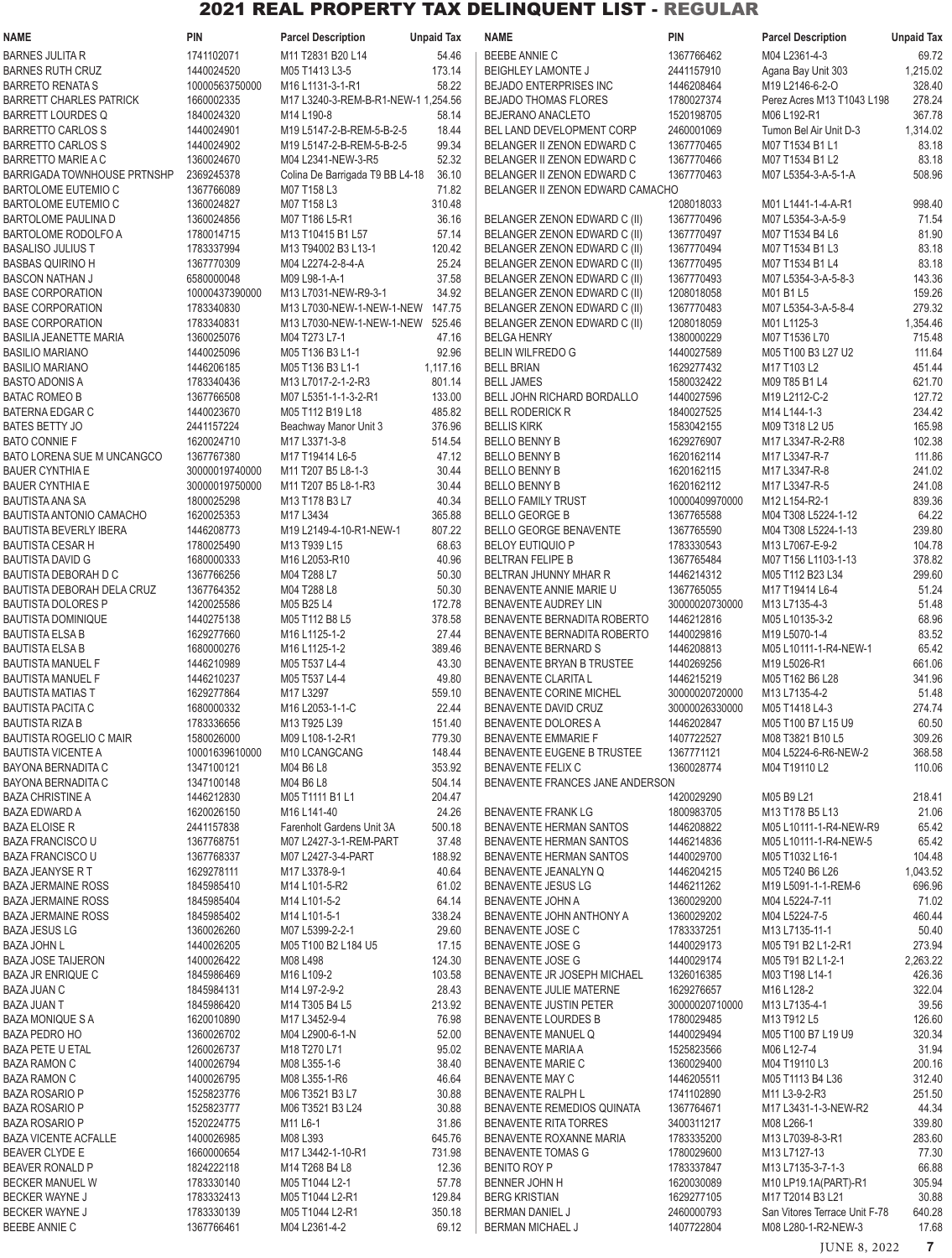| NAME                                                   | <b>PIN</b>                       | <b>Parcel Description</b>                                | <b>Unpaid Tax</b> | <b>NAME</b>                                                  | <b>PIN</b>               | <b>Parcel Description</b>                 | <b>Unpaid Tax</b> |
|--------------------------------------------------------|----------------------------------|----------------------------------------------------------|-------------------|--------------------------------------------------------------|--------------------------|-------------------------------------------|-------------------|
| <b>BARNES JULITA R</b>                                 | 1741102071                       | M11 T2831 B20 L14                                        | 54.46             | <b>BEEBE ANNIE C</b>                                         | 1367766462               | M04 L2361-4-3                             | 69.72             |
| <b>BARNES RUTH CRUZ</b>                                | 1440024520                       | M05 T1413 L3-5                                           | 173.14            | <b>BEIGHLEY LAMONTE J</b>                                    | 2441157910               | Agana Bay Unit 303                        | 1,215.02          |
| <b>BARRETO RENATA S</b>                                | 10000563750000                   | M16 L1131-3-1-R1                                         | 58.22             | <b>BEJADO ENTERPRISES INC</b>                                | 1446208464               | M19 L2146-6-2-O                           | 328.40            |
| <b>BARRETT CHARLES PATRICK</b>                         | 1660002335                       | M17 L3240-3-REM-B-R1-NEW-1 1,254.56                      |                   | <b>BEJADO THOMAS FLORES</b>                                  | 1780027374               | Perez Acres M13 T1043 L198                | 278.24            |
| <b>BARRETT LOURDES Q</b>                               | 1840024320                       | M14 L190-8                                               | 58.14             | <b>BEJERANO ANACLETO</b>                                     | 1520198705               | M06 L192-R1                               | 367.78            |
| <b>BARRETTO CARLOS S</b>                               | 1440024901<br>1440024902         | M19 L5147-2-B-REM-5-B-2-5                                | 18.44             | BEL LAND DEVELOPMENT CORP                                    | 2460001069<br>1367770465 | Tumon Bel Air Unit D-3                    | 1,314.02<br>83.18 |
| <b>BARRETTO CARLOS S</b><br><b>BARRETTO MARIE A C</b>  | 1360024670                       | M19 L5147-2-B-REM-5-B-2-5<br>M04 L2341-NEW-3-R5          | 99.34<br>52.32    | BELANGER II ZENON EDWARD C<br>BELANGER II ZENON EDWARD C     | 1367770466               | M07 T1534 B1 L1<br>M07 T1534 B1 L2        | 83.18             |
| <b>BARRIGADA TOWNHOUSE PRTNSHP</b>                     | 2369245378                       | Colina De Barrigada T9 BB L4-18                          | 36.10             | BELANGER II ZENON EDWARD C                                   | 1367770463               | M07 L5354-3-A-5-1-A                       | 508.96            |
| BARTOLOME EUTEMIO C                                    | 1367766089                       | M07 T158 L3                                              | 71.82             | BELANGER II ZENON EDWARD CAMACHO                             |                          |                                           |                   |
| <b>BARTOLOME EUTEMIO C</b>                             | 1360024827                       | M07 T158 L3                                              | 310.48            |                                                              | 1208018033               | M01 L1441-1-4-A-R1                        | 998.40            |
| <b>BARTOLOME PAULINA D</b>                             | 1360024856                       | M07 T186 L5-R1                                           | 36.16             | BELANGER ZENON EDWARD C (II)                                 | 1367770496               | M07 L5354-3-A-5-9                         | 71.54             |
| BARTOLOME RODOLFO A                                    | 1780014715                       | M13 T10415 B1 L57                                        | 57.14             | BELANGER ZENON EDWARD C (II)                                 | 1367770497               | M07 T1534 B4 L6                           | 81.90             |
| <b>BASALISO JULIUS T</b>                               | 1783337994                       | M13 T94002 B3 L13-1                                      | 120.42            | BELANGER ZENON EDWARD C (II)                                 | 1367770494               | M07 T1534 B1 L3                           | 83.18             |
| <b>BASBAS QUIRINO H</b>                                | 1367770309                       | M04 L2274-2-8-4-A                                        | 25.24             | BELANGER ZENON EDWARD C (II)                                 | 1367770495               | M07 T1534 B1 L4                           | 83.18             |
| <b>BASCON NATHAN J</b>                                 | 6580000048                       | M09 L98-1-A-1                                            | 37.58             | BELANGER ZENON EDWARD C (II)                                 | 1367770493               | M07 L5354-3-A-5-8-3                       | 143.36            |
| <b>BASE CORPORATION</b>                                | 10000437390000<br>1783340830     | M13 L7031-NEW-R9-3-1<br>M13 L7030-NEW-1-NEW-1-NEW 147.75 | 34.92             | BELANGER ZENON EDWARD C (II)                                 | 1208018058               | M01 B1 L5<br>M07 L5354-3-A-5-8-4          | 159.26<br>279.32  |
| <b>BASE CORPORATION</b><br><b>BASE CORPORATION</b>     | 1783340831                       | M13 L7030-NEW-1-NEW-1-NEW 525.46                         |                   | BELANGER ZENON EDWARD C (II)<br>BELANGER ZENON EDWARD C (II) | 1367770483<br>1208018059 | M01 L1125-3                               | 1,354.46          |
| <b>BASILIA JEANETTE MARIA</b>                          | 1360025076                       | M04 T273 L7-1                                            | 47.16             | <b>BELGA HENRY</b>                                           | 1380000229               | M07 T1536 L70                             | 715.48            |
| <b>BASILIO MARIANO</b>                                 | 1440025096                       | M05 T136 B3 L1-1                                         | 92.96             | <b>BELIN WILFREDO G</b>                                      | 1440027589               | M05 T100 B3 L27 U2                        | 111.64            |
| <b>BASILIO MARIANO</b>                                 | 1446206185                       | M05 T136 B3 L1-1                                         | 1,117.16          | <b>BELL BRIAN</b>                                            | 1629277432               | M17 T103 L2                               | 451.44            |
| <b>BASTO ADONIS A</b>                                  | 1783340436                       | M13 L7017-2-1-2-R3                                       | 801.14            | <b>BELL JAMES</b>                                            | 1580032422               | M09 T85 B1 L4                             | 621.70            |
| <b>BATAC ROMEO B</b>                                   | 1367766508                       | M07 L5351-1-1-3-2-R1                                     | 133.00            | BELL JOHN RICHARD BORDALLO                                   | 1440027596               | M19 L2112-C-2                             | 127.72            |
| <b>BATERNA EDGAR C</b>                                 | 1440023670                       | M05 T112 B19 L18                                         | 485.82            | <b>BELL RODERICK R</b>                                       | 1840027525               | M14 L144-1-3                              | 234.42            |
| <b>BATES BETTY JO</b>                                  | 2441157224                       | Beachway Manor Unit 3                                    | 376.96            | <b>BELLIS KIRK</b>                                           | 1583042155               | M09 T318 L2 U5                            | 165.98            |
| <b>BATO CONNIE F</b>                                   | 1620024710                       | M17 L3371-3-8                                            | 514.54            | <b>BELLO BENNY B</b>                                         | 1629276907               | M17 L3347-R-2-R8                          | 102.38            |
| BATO LORENA SUE M UNCANGCO                             | 1367767380                       | M17 T19414 L6-5                                          | 47.12<br>30.44    | <b>BELLO BENNY B</b>                                         | 1620162114               | M17 L3347-R-7                             | 111.86            |
| <b>BAUER CYNTHIA E</b><br><b>BAUER CYNTHIA E</b>       | 30000019740000<br>30000019750000 | M11 T207 B5 L8-1-3<br>M11 T207 B5 L8-1-R3                | 30.44             | <b>BELLO BENNY B</b><br><b>BELLO BENNY B</b>                 | 1620162115<br>1620162112 | M17 L3347-R-8<br>M17 L3347-R-5            | 241.02<br>241.08  |
| <b>BAUTISTA ANA SA</b>                                 | 1800025298                       | M13 T178 B3 L7                                           | 40.34             | <b>BELLO FAMILY TRUST</b>                                    | 10000409970000           | M12 L154-R2-1                             | 839.36            |
| BAUTISTA ANTONIO CAMACHO                               | 1620025353                       | M17 L3434                                                | 365.88            | <b>BELLO GEORGE B</b>                                        | 1367765588               | M04 T308 L5224-1-12                       | 64.22             |
| <b>BAUTISTA BEVERLY IBERA</b>                          | 1446208773                       | M19 L2149-4-10-R1-NEW-1                                  | 807.22            | BELLO GEORGE BENAVENTE                                       | 1367765590               | M04 T308 L5224-1-13                       | 239.80            |
| <b>BAUTISTA CESAR H</b>                                | 1780025490                       | M13 T939 L15                                             | 68.63             | <b>BELOY EUTIQUIO P</b>                                      | 1783330543               | M13 L7067-E-9-2                           | 104.78            |
| <b>BAUTISTA DAVID G</b>                                | 1680000333                       | M16 L2053-R10                                            | 40.96             | <b>BELTRAN FELIPE B</b>                                      | 1367765484               | M07 T156 L1103-1-13                       | 378.82            |
| <b>BAUTISTA DEBORAH D C</b>                            | 1367766256                       | M04 T288 L7                                              | 50.30             | BELTRAN JHUNNY MHAR R                                        | 1446214312               | M05 T112 B23 L34                          | 299.60            |
| <b>BAUTISTA DEBORAH DELA CRUZ</b>                      | 1367764352                       | M04 T288 L8                                              | 50.30             | BENAVENTE ANNIE MARIE U                                      | 1367765055               | M17 T19414 L6-4                           | 51.24             |
| <b>BAUTISTA DOLORES P</b>                              | 1420025586                       | M05 B25 L4                                               | 172.78            | <b>BENAVENTE AUDREY LIN</b>                                  | 30000020730000           | M13 L7135-4-3                             | 51.48             |
| <b>BAUTISTA DOMINIQUE</b><br><b>BAUTISTA ELSA B</b>    | 1440275138<br>1629277660         | M05 T112 B8 L5<br>M16 L1125-1-2                          | 378.58<br>27.44   | BENAVENTE BERNADITA ROBERTO<br>BENAVENTE BERNADITA ROBERTO   | 1446212816<br>1440029816 | M05 L10135-3-2<br>M19 L5070-1-4           | 68.96<br>83.52    |
| <b>BAUTISTA ELSA B</b>                                 | 1680000276                       | M16 L1125-1-2                                            | 389.46            | <b>BENAVENTE BERNARD S</b>                                   | 1446208813               | M05 L10111-1-R4-NEW-1                     | 65.42             |
| <b>BAUTISTA MANUEL F</b>                               | 1446210989                       | M05 T537 L4-4                                            | 43.30             | BENAVENTE BRYAN B TRUSTEE                                    | 1440269256               | M19 L5026-R1                              | 661.06            |
| <b>BAUTISTA MANUEL F</b>                               | 1446210237                       | M05 T537 L4-4                                            | 49.80             | <b>BENAVENTE CLARITA L</b>                                   | 1446215219               | M05 T162 B6 L28                           | 341.96            |
| <b>BAUTISTA MATIAS T</b>                               | 1629277864                       | M17 L3297                                                | 559.10            | BENAVENTE CORINE MICHEL                                      | 30000020720000           | M13 L7135-4-2                             | 51.48             |
| <b>BAUTISTA PACITA C</b>                               | 1680000332                       | M16 L2053-1-1-C                                          | 22.44             | BENAVENTE DAVID CRUZ                                         | 30000026330000           | M05 T1418 L4-3                            | 274.74            |
| <b>BAUTISTA RIZA B</b>                                 | 1783336656                       | M13 T925 L39                                             | 151.40            | BENAVENTE DOLORES A                                          | 1446202847               | M05 T100 B7 L15 U9                        | 60.50             |
| <b>BAUTISTA ROGELIO C MAIR</b>                         | 1580026000                       | M09 L108-1-2-R1                                          | 779.30            | <b>BENAVENTE EMMARIE F</b>                                   | 1407722527               | M08 T3821 B10 L5                          | 309.26            |
| <b>BAUTISTA VICENTE A</b><br>BAYONA BERNADITA C        | 10001639610000<br>1347100121     | M10 LCANGCANG<br>M04 B6 L8                               | 148.44<br>353.92  | BENAVENTE EUGENE B TRUSTEE<br><b>BENAVENTE FELIX C</b>       | 1367771121<br>1360028774 | M04 L5224-6-R6-NEW-2<br>M04 T19110 L2     | 368.58<br>110.06  |
| <b>BAYONA BERNADITA C</b>                              | 1347100148                       | M04 B6 L8                                                | 504.14            | BENAVENTE FRANCES JANE ANDERSON                              |                          |                                           |                   |
| <b>BAZA CHRISTINE A</b>                                | 1446212830                       | M05 T1111 B1 L1                                          | 204.47            |                                                              | 1420029290               | M05 B9 L21                                | 218.41            |
| <b>BAZA EDWARD A</b>                                   | 1620026150                       | M16 L141-40                                              | 24.26             | <b>BENAVENTE FRANK LG</b>                                    | 1800983705               | M13 T178 B5 L13                           | 21.06             |
| <b>BAZA ELOISE R</b>                                   | 2441157838                       | Farenholt Gardens Unit 3A                                | 500.18            | BENAVENTE HERMAN SANTOS                                      | 1446208822               | M05 L10111-1-R4-NEW-R9                    | 65.42             |
| <b>BAZA FRANCISCO U</b>                                | 1367768751                       | M07 L2427-3-1-REM-PART                                   | 37.48             | BENAVENTE HERMAN SANTOS                                      | 1446214836               | M05 L10111-1-R4-NEW-5                     | 65.42             |
| <b>BAZA FRANCISCO U</b>                                | 1367768337                       | M07 L2427-3-4-PART                                       | 188.92            | BENAVENTE HERMAN SANTOS                                      | 1440029700               | M05 T1032 L16-1                           | 104.48            |
| <b>BAZA JEANYSE R T</b>                                | 1629278111                       | M17 L3378-9-1                                            | 40.64             | BENAVENTE JEANALYN Q                                         | 1446204215               | M05 T240 B6 L26                           | 1,043.52          |
| <b>BAZA JERMAINE ROSS</b><br><b>BAZA JERMAINE ROSS</b> | 1845985410<br>1845985404         | M14 L101-5-R2<br>M14 L101-5-2                            | 61.02<br>64.14    | BENAVENTE JESUS LG<br>BENAVENTE JOHN A                       | 1446211262<br>1360029200 | M19 L5091-1-1-REM-6<br>M04 L5224-7-11     | 696.96<br>71.02   |
| <b>BAZA JERMAINE ROSS</b>                              | 1845985402                       | M14 L101-5-1                                             | 338.24            | BENAVENTE JOHN ANTHONY A                                     | 1360029202               | M04 L5224-7-5                             | 460.44            |
| <b>BAZA JESUS LG</b>                                   | 1360026260                       | M07 L5399-2-2-1                                          | 29.60             | BENAVENTE JOSE C                                             | 1783337251               | M13 L7135-11-1                            | 50.40             |
| <b>BAZA JOHN L</b>                                     | 1440026205                       | M05 T100 B2 L184 U5                                      | 17.15             | <b>BENAVENTE JOSE G</b>                                      | 1440029173               | M05 T91 B2 L1-2-R1                        | 273.94            |
| <b>BAZA JOSE TAIJERON</b>                              | 1400026422                       | M08 L498                                                 | 124.30            | BENAVENTE JOSE G                                             | 1440029174               | M05 T91 B2 L1-2-1                         | 2,263.22          |
| <b>BAZA JR ENRIQUE C</b>                               | 1845986469                       | M16 L109-2                                               | 103.58            | BENAVENTE JR JOSEPH MICHAEL                                  | 1326016385               | M03 T198 L14-1                            | 426.36            |
| <b>BAZA JUAN C</b>                                     | 1845984131                       | M14 L97-2-9-2                                            | 28.43             | BENAVENTE JULIE MATERNE                                      | 1629276657               | M16 L128-2                                | 322.04            |
| <b>BAZA JUAN T</b>                                     | 1845986420                       | M14 T305 B4 L5                                           | 213.92            | BENAVENTE JUSTIN PETER                                       | 30000020710000           | M13 L7135-4-1                             | 39.56             |
| <b>BAZA MONIQUE S A</b><br><b>BAZA PEDRO HO</b>        | 1620010890<br>1360026702         | M17 L3452-9-4                                            | 76.98             | <b>BENAVENTE LOURDES B</b>                                   | 1780029485<br>1440029494 | M13 T912 L5                               | 126.60            |
| <b>BAZA PETE U ETAL</b>                                | 1260026737                       | M04 L2900-6-1-N<br>M18 T270 L71                          | 52.00<br>95.02    | BENAVENTE MANUEL Q<br><b>BENAVENTE MARIA A</b>               | 1525823566               | M05 T100 B7 L19 U9<br>M06 L12-7-4         | 320.34<br>31.94   |
| <b>BAZA RAMON C</b>                                    | 1400026794                       | M08 L355-1-6                                             | 38.40             | <b>BENAVENTE MARIE C</b>                                     | 1360029400               | M04 T19110 L3                             | 200.16            |
| <b>BAZA RAMON C</b>                                    | 1400026795                       | M08 L355-1-R6                                            | 46.64             | BENAVENTE MAY C                                              | 1446205511               | M05 T1113 B4 L36                          | 312.40            |
| <b>BAZA ROSARIO P</b>                                  | 1525823776                       | M06 T3521 B3 L7                                          | 30.88             | BENAVENTE RALPH L                                            | 1741102890               | M11 L3-9-2-R3                             | 251.50            |
| <b>BAZA ROSARIO P</b>                                  | 1525823777                       | M06 T3521 B3 L24                                         | 30.88             | BENAVENTE REMEDIOS QUINATA                                   | 1367764671               | M17 L3431-1-3-NEW-R2                      | 44.34             |
| <b>BAZA ROSARIO P</b>                                  | 1520224775                       | M11 L6-1                                                 | 31.86             | <b>BENAVENTE RITA TORRES</b>                                 | 3400311217               | M08 L266-1                                | 339.80            |
| <b>BAZA VICENTE ACFALLE</b>                            | 1400026985                       | M08 L393                                                 | 645.76            | BENAVENTE ROXANNE MARIA                                      | 1783335200               | M13 L7039-8-3-R1                          | 283.60            |
| <b>BEAVER CLYDE E</b>                                  | 1660000654                       | M17 L3442-1-10-R1                                        | 731.98            | <b>BENAVENTE TOMAS G</b>                                     | 1780029600               | M13 L7127-13                              | 77.30             |
| <b>BEAVER RONALD P</b><br><b>BECKER MANUEL W</b>       | 1824222118<br>1783330140         | M14 T268 B4 L8<br>M05 T1044 L2-1                         | 12.36<br>57.78    | BENITO ROY P<br>BENNER JOHN H                                | 1783337847<br>1620030089 | M13 L7135-3-7-1-3<br>M10 LP19.1A(PART)-R1 | 66.88<br>305.94   |
| <b>BECKER WAYNE J</b>                                  | 1783332413                       | M05 T1044 L2-R1                                          | 129.84            | <b>BERG KRISTIAN</b>                                         | 1629277105               | M17 T2014 B3 L21                          | 30.88             |
| <b>BECKER WAYNE J</b>                                  | 1783330139                       | M05 T1044 L2-R1                                          | 350.18            | BERMAN DANIEL J                                              | 2460000793               | San Vitores Terrace Unit F-78             | 640.28            |
| <b>BEEBE ANNIE C</b>                                   | 1367766461                       | M04 L2361-4-2                                            | 69.12             | BERMAN MICHAEL J                                             | 1407722804               | M08 L280-1-R2-NEW-3                       | 17.68             |
|                                                        |                                  |                                                          |                   |                                                              |                          |                                           |                   |

JUNE 8, 2022 **7**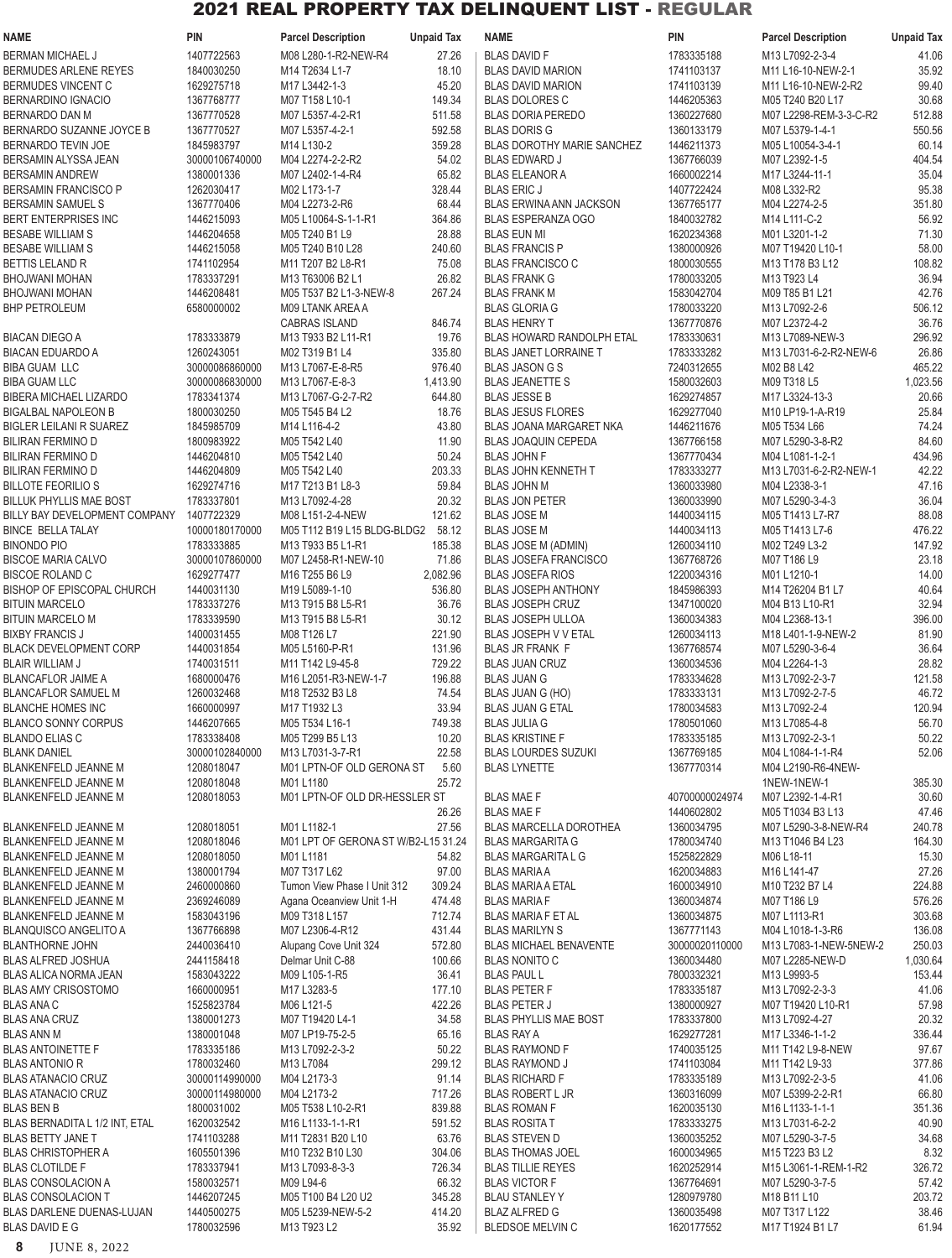| <b>NAME</b>                                                | <b>PIN</b>                   | <b>Parcel Description</b>                 | <b>Unpaid Tax</b>  | <b>NAME</b>                                             | <b>PIN</b>                   | <b>Parcel Description</b>                 | <b>Unpaid Tax</b>  |
|------------------------------------------------------------|------------------------------|-------------------------------------------|--------------------|---------------------------------------------------------|------------------------------|-------------------------------------------|--------------------|
| <b>BERMAN MICHAEL J</b>                                    | 1407722563                   | M08 L280-1-R2-NEW-R4                      | 27.26              | <b>BLAS DAVID F</b>                                     | 1783335188                   | M13 L7092-2-3-4                           | 41.06              |
| BERMUDES ARLENE REYES                                      | 1840030250                   | M14 T2634 L1-7                            | 18.10              | <b>BLAS DAVID MARION</b>                                | 1741103137                   | M11 L16-10-NEW-2-1                        | 35.92              |
| <b>BERMUDES VINCENT C</b>                                  | 1629275718                   | M17 L3442-1-3                             | 45.20              | <b>BLAS DAVID MARION</b>                                | 1741103139                   | M11 L16-10-NEW-2-R2                       | 99.40              |
| <b>BERNARDINO IGNACIO</b>                                  | 1367768777                   | M07 T158 L10-1                            | 149.34             | <b>BLAS DOLORES C</b>                                   | 1446205363                   | M05 T240 B20 L17                          | 30.68              |
| <b>BERNARDO DAN M</b>                                      | 1367770528                   | M07 L5357-4-2-R1                          | 511.58             | <b>BLAS DORIA PEREDO</b>                                | 1360227680                   | M07 L2298-REM-3-3-C-R2                    | 512.88             |
| BERNARDO SUZANNE JOYCE B                                   | 1367770527                   | M07 L5357-4-2-1                           | 592.58             | <b>BLAS DORIS G</b>                                     | 1360133179                   | M07 L5379-1-4-1                           | 550.56             |
| BERNARDO TEVIN JOE                                         | 1845983797                   | M14 L130-2                                | 359.28             | <b>BLAS DOROTHY MARIE SANCHEZ</b>                       | 1446211373                   | M05 L10054-3-4-1                          | 60.14              |
| BERSAMIN ALYSSA JEAN                                       | 30000106740000               | M04 L2274-2-2-R2                          | 54.02              | <b>BLAS EDWARD J</b>                                    | 1367766039                   | M07 L2392-1-5                             | 404.54             |
| <b>BERSAMIN ANDREW</b><br><b>BERSAMIN FRANCISCO P</b>      | 1380001336<br>1262030417     | M07 L2402-1-4-R4<br>M02 L173-1-7          | 65.82<br>328.44    | <b>BLAS ELEANOR A</b><br><b>BLAS ERIC J</b>             | 1660002214<br>1407722424     | M17 L3244-11-1<br>M08 L332-R2             | 35.04<br>95.38     |
| <b>BERSAMIN SAMUEL S</b>                                   | 1367770406                   | M04 L2273-2-R6                            | 68.44              | <b>BLAS ERWINA ANN JACKSON</b>                          | 1367765177                   | M04 L2274-2-5                             | 351.80             |
| <b>BERT ENTERPRISES INC</b>                                | 1446215093                   | M05 L10064-S-1-1-R1                       | 364.86             | <b>BLAS ESPERANZA OGO</b>                               | 1840032782                   | M14 L111-C-2                              | 56.92              |
| <b>BESABE WILLIAM S</b>                                    | 1446204658                   | M05 T240 B1 L9                            | 28.88              | <b>BLAS EUN MI</b>                                      | 1620234368                   | M01 L3201-1-2                             | 71.30              |
| <b>BESABE WILLIAM S</b>                                    | 1446215058                   | M05 T240 B10 L28                          | 240.60             | <b>BLAS FRANCIS P</b>                                   | 1380000926                   | M07 T19420 L10-1                          | 58.00              |
| <b>BETTIS LELAND R</b>                                     | 1741102954                   | M11 T207 B2 L8-R1                         | 75.08              | <b>BLAS FRANCISCO C</b>                                 | 1800030555                   | M13 T178 B3 L12                           | 108.82             |
| <b>BHOJWANI MOHAN</b>                                      | 1783337291                   | M13 T63006 B2 L1                          | 26.82              | <b>BLAS FRANK G</b>                                     | 1780033205                   | M13 T923 L4                               | 36.94              |
| <b>BHOJWANI MOHAN</b>                                      | 1446208481                   | M05 T537 B2 L1-3-NEW-8                    | 267.24             | <b>BLAS FRANK M</b>                                     | 1583042704                   | M09 T85 B1 L21                            | 42.76              |
| <b>BHP PETROLEUM</b>                                       | 6580000002                   | M09 LTANK AREA A                          |                    | <b>BLAS GLORIA G</b>                                    | 1780033220                   | M13 L7092-2-6                             | 506.12             |
|                                                            |                              | <b>CABRAS ISLAND</b>                      | 846.74             | <b>BLAS HENRY T</b>                                     | 1367770876                   | M07 L2372-4-2                             | 36.76              |
| <b>BIACAN DIEGO A</b>                                      | 1783333879                   | M13 T933 B2 L11-R1                        | 19.76              | <b>BLAS HOWARD RANDOLPH ETAL</b>                        | 1783330631                   | M13 L7089-NEW-3                           | 296.92             |
| <b>BIACAN EDUARDO A</b>                                    | 1260243051                   | M02 T319 B1 L4                            | 335.80             | <b>BLAS JANET LORRAINE T</b>                            | 1783333282                   | M13 L7031-6-2-R2-NEW-6                    | 26.86              |
| <b>BIBA GUAM LLC</b><br><b>BIBA GUAM LLC</b>               | 30000086860000               | M13 L7067-E-8-R5                          | 976.40             | <b>BLAS JASON G S</b>                                   | 7240312655                   | M02 B8 L42<br>M09 T318 L5                 | 465.22             |
| BIBERA MICHAEL LIZARDO                                     | 30000086830000<br>1783341374 | M13 L7067-E-8-3<br>M13 L7067-G-2-7-R2     | 1,413.90<br>644.80 | <b>BLAS JEANETTE S</b><br><b>BLAS JESSE B</b>           | 1580032603<br>1629274857     | M17 L3324-13-3                            | 1,023.56<br>20.66  |
| <b>BIGALBAL NAPOLEON B</b>                                 | 1800030250                   | M05 T545 B4 L2                            | 18.76              | <b>BLAS JESUS FLORES</b>                                | 1629277040                   | M10 LP19-1-A-R19                          | 25.84              |
| <b>BIGLER LEILANI R SUAREZ</b>                             | 1845985709                   | M14 L116-4-2                              | 43.80              | <b>BLAS JOANA MARGARET NKA</b>                          | 1446211676                   | M05 T534 L66                              | 74.24              |
| <b>BILIRAN FERMINO D</b>                                   | 1800983922                   | M05 T542 L40                              | 11.90              | <b>BLAS JOAQUIN CEPEDA</b>                              | 1367766158                   | M07 L5290-3-8-R2                          | 84.60              |
| <b>BILIRAN FERMINO D</b>                                   | 1446204810                   | M05 T542 L40                              | 50.24              | <b>BLAS JOHN F</b>                                      | 1367770434                   | M04 L1081-1-2-1                           | 434.96             |
| <b>BILIRAN FERMINO D</b>                                   | 1446204809                   | M05 T542 L40                              | 203.33             | BLAS JOHN KENNETH T                                     | 1783333277                   | M13 L7031-6-2-R2-NEW-1                    | 42.22              |
| <b>BILLOTE FEORILIO S</b>                                  | 1629274716                   | M17 T213 B1 L8-3                          | 59.84              | <b>BLAS JOHN M</b>                                      | 1360033980                   | M04 L2338-3-1                             | 47.16              |
| <b>BILLUK PHYLLIS MAE BOST</b>                             | 1783337801                   | M13 L7092-4-28                            | 20.32              | <b>BLAS JON PETER</b>                                   | 1360033990                   | M07 L5290-3-4-3                           | 36.04              |
| BILLY BAY DEVELOPMENT COMPANY                              | 1407722329                   | M08 L151-2-4-NEW                          | 121.62             | <b>BLAS JOSE M</b>                                      | 1440034115                   | M05 T1413 L7-R7                           | 88.08              |
| <b>BINCE BELLA TALAY</b>                                   | 10000180170000               | M05 T112 B19 L15 BLDG-BLDG2               | 58.12              | <b>BLAS JOSE M</b>                                      | 1440034113                   | M05 T1413 L7-6                            | 476.22             |
| <b>BINONDO PIO</b>                                         | 1783333885                   | M13 T933 B5 L1-R1                         | 185.38             | <b>BLAS JOSE M (ADMIN)</b>                              | 1260034110                   | M02 T249 L3-2                             | 147.92             |
| <b>BISCOE MARIA CALVO</b><br><b>BISCOE ROLAND C</b>        | 30000107860000<br>1629277477 | M07 L2458-R1-NEW-10<br>M16 T255 B6 L9     | 71.86              | <b>BLAS JOSEFA FRANCISCO</b><br><b>BLAS JOSEFA RIOS</b> | 1367768726                   | M07 T186 L9<br>M01 L1210-1                | 23.18<br>14.00     |
| <b>BISHOP OF EPISCOPAL CHURCH</b>                          | 1440031130                   | M19 L5089-1-10                            | 2,082.96<br>536.80 | <b>BLAS JOSEPH ANTHONY</b>                              | 1220034316<br>1845986393     | M14 T26204 B1 L7                          | 40.64              |
| <b>BITUIN MARCELO</b>                                      | 1783337276                   | M13 T915 B8 L5-R1                         | 36.76              | <b>BLAS JOSEPH CRUZ</b>                                 | 1347100020                   | M04 B13 L10-R1                            | 32.94              |
| <b>BITUIN MARCELO M</b>                                    | 1783339590                   | M13 T915 B8 L5-R1                         | 30.12              | <b>BLAS JOSEPH ULLOA</b>                                | 1360034383                   | M04 L2368-13-1                            | 396.00             |
| <b>BIXBY FRANCIS J</b>                                     | 1400031455                   | M08 T126 L7                               | 221.90             | BLAS JOSEPH V V ETAL                                    | 1260034113                   | M18 L401-1-9-NEW-2                        | 81.90              |
| <b>BLACK DEVELOPMENT CORP</b>                              | 1440031854                   | M05 L5160-P-R1                            | 131.96             | <b>BLAS JR FRANK F</b>                                  | 1367768574                   | M07 L5290-3-6-4                           | 36.64              |
| <b>BLAIR WILLIAM J</b>                                     | 1740031511                   | M11 T142 L9-45-8                          | 729.22             | <b>BLAS JUAN CRUZ</b>                                   | 1360034536                   | M04 L2264-1-3                             | 28.82              |
| <b>BLANCAFLOR JAIME A</b>                                  | 1680000476                   | M16 L2051-R3-NEW-1-7                      | 196.88             | <b>BLAS JUAN G</b>                                      | 1783334628                   | M13 L7092-2-3-7                           | 121.58             |
| <b>BLANCAFLOR SAMUEL M</b>                                 | 1260032468                   | M18 T2532 B3 L8                           | 74.54              | BLAS JUAN G (HO)                                        | 1783333131                   | M13 L7092-2-7-5                           | 46.72              |
| <b>BLANCHE HOMES INC</b>                                   | 1660000997                   | M17 T1932 L3                              | 33.94              | <b>BLAS JUAN G ETAL</b>                                 | 1780034583                   | M13 L7092-2-4                             | 120.94             |
| <b>BLANCO SONNY CORPUS</b>                                 | 1446207665                   | M05 T534 L16-1                            | 749.38             | <b>BLAS JULIA G</b>                                     | 1780501060                   | M13 L7085-4-8                             | 56.70              |
| <b>BLANDO ELIAS C</b>                                      | 1783338408                   | M05 T299 B5 L13                           | 10.20              | <b>BLAS KRISTINE F</b>                                  | 1783335185                   | M13 L7092-2-3-1                           | 50.22              |
| <b>BLANK DANIEL</b>                                        | 30000102840000               | M13 L7031-3-7-R1                          | 22.58              | <b>BLAS LOURDES SUZUKI</b>                              | 1367769185                   | M04 L1084-1-1-R4                          | 52.06              |
| <b>BLANKENFELD JEANNE M</b><br><b>BLANKENFELD JEANNE M</b> | 1208018047<br>1208018048     | M01 LPTN-OF OLD GERONA ST<br>M01L1180     | 5.60<br>25.72      | <b>BLAS LYNETTE</b>                                     | 1367770314                   | M04 L2190-R6-4NEW-<br>1NEW-1NEW-1         | 385.30             |
| <b>BLANKENFELD JEANNE M</b>                                | 1208018053                   | M01 LPTN-OF OLD DR-HESSLER ST             |                    | <b>BLAS MAE F</b>                                       | 40700000024974               | M07 L2392-1-4-R1                          | 30.60              |
|                                                            |                              |                                           | 26.26              | <b>BLAS MAE F</b>                                       | 1440602802                   | M05 T1034 B3 L13                          | 47.46              |
| <b>BLANKENFELD JEANNE M</b>                                | 1208018051                   | M01 L1182-1                               | 27.56              | BLAS MARCELLA DOROTHEA                                  | 1360034795                   | M07 L5290-3-8-NEW-R4                      | 240.78             |
| <b>BLANKENFELD JEANNE M</b>                                | 1208018046                   | M01 LPT OF GERONA ST W/B2-L15 31.24       |                    | <b>BLAS MARGARITA G</b>                                 | 1780034740                   | M13 T1046 B4 L23                          | 164.30             |
| <b>BLANKENFELD JEANNE M</b>                                | 1208018050                   | M01L1181                                  | 54.82              | <b>BLAS MARGARITA L G</b>                               | 1525822829                   | M06 L18-11                                | 15.30              |
| BLANKENFELD JEANNE M                                       | 1380001794                   | M07 T317 L62                              | 97.00              | <b>BLAS MARIA A</b>                                     | 1620034883                   | M <sub>16</sub> L <sub>141-47</sub>       | 27.26              |
| <b>BLANKENFELD JEANNE M</b>                                | 2460000860                   | Tumon View Phase I Unit 312               | 309.24             | <b>BLAS MARIA A ETAL</b>                                | 1600034910                   | M10 T232 B7 L4                            | 224.88             |
| <b>BLANKENFELD JEANNE M</b>                                | 2369246089                   | Agana Oceanview Unit 1-H                  | 474.48             | <b>BLAS MARIA F</b>                                     | 1360034874                   | M07 T186 L9                               | 576.26             |
| <b>BLANKENFELD JEANNE M</b>                                | 1583043196                   | M09 T318 L157                             | 712.74             | <b>BLAS MARIA F ET AL</b>                               | 1360034875                   | M07 L1113-R1                              | 303.68             |
| <b>BLANQUISCO ANGELITO A</b>                               | 1367766898                   | M07 L2306-4-R12                           | 431.44             | <b>BLAS MARILYN S</b>                                   | 1367771143                   | M04 L1018-1-3-R6                          | 136.08             |
| <b>BLANTHORNE JOHN</b><br>BLAS ALFRED JOSHUA               | 2440036410<br>2441158418     | Alupang Cove Unit 324<br>Delmar Unit C-88 | 572.80<br>100.66   | <b>BLAS MICHAEL BENAVENTE</b><br><b>BLAS NONITO C</b>   | 30000020110000<br>1360034480 | M13 L7083-1-NEW-5NEW-2<br>M07 L2285-NEW-D | 250.03<br>1,030.64 |
| BLAS ALICA NORMA JEAN                                      | 1583043222                   | M09 L105-1-R5                             | 36.41              | <b>BLAS PAUL L</b>                                      | 7800332321                   | M13 L9993-5                               | 153.44             |
| <b>BLAS AMY CRISOSTOMO</b>                                 | 1660000951                   | M17 L3283-5                               | 177.10             | <b>BLAS PETER F</b>                                     | 1783335187                   | M13 L7092-2-3-3                           | 41.06              |
| <b>BLAS ANA C</b>                                          | 1525823784                   | M06 L121-5                                | 422.26             | <b>BLAS PETER J</b>                                     | 1380000927                   | M07 T19420 L10-R1                         | 57.98              |
| <b>BLAS ANA CRUZ</b>                                       | 1380001273                   | M07 T19420 L4-1                           | 34.58              | <b>BLAS PHYLLIS MAE BOST</b>                            | 1783337800                   | M13 L7092-4-27                            | 20.32              |
| <b>BLAS ANN M</b>                                          | 1380001048                   | M07 LP19-75-2-5                           | 65.16              | <b>BLAS RAY A</b>                                       | 1629277281                   | M17 L3346-1-1-2                           | 336.44             |
| <b>BLAS ANTOINETTE F</b>                                   | 1783335186                   | M13 L7092-2-3-2                           | 50.22              | <b>BLAS RAYMOND F</b>                                   | 1740035125                   | M11 T142 L9-8-NEW                         | 97.67              |
| <b>BLAS ANTONIO R</b>                                      | 1780032460                   | M13 L7084                                 | 299.12             | <b>BLAS RAYMOND J</b>                                   | 1741103084                   | M11 T142 L9-33                            | 377.86             |
| <b>BLAS ATANACIO CRUZ</b>                                  | 30000114990000               | M04 L2173-3                               | 91.14              | <b>BLAS RICHARD F</b>                                   | 1783335189                   | M13 L7092-2-3-5                           | 41.06              |
| <b>BLAS ATANACIO CRUZ</b>                                  | 30000114980000               | M04 L2173-2                               | 717.26             | <b>BLAS ROBERT L JR</b>                                 | 1360316099                   | M07 L5399-2-2-R1                          | 66.80              |
| <b>BLAS BEN B</b>                                          | 1800031002                   | M05 T538 L10-2-R1                         | 839.88             | <b>BLAS ROMAN F</b>                                     | 1620035130                   | M16 L1133-1-1-1                           | 351.36             |
| BLAS BERNADITA L 1/2 INT, ETAL                             | 1620032542                   | M16 L1133-1-1-R1                          | 591.52             | <b>BLAS ROSITA T</b>                                    | 1783333275                   | M13 L7031-6-2-2                           | 40.90              |
| <b>BLAS BETTY JANE T</b><br><b>BLAS CHRISTOPHER A</b>      | 1741103288<br>1605501396     | M11 T2831 B20 L10<br>M10 T232 B10 L30     | 63.76<br>304.06    | <b>BLAS STEVEN D</b><br><b>BLAS THOMAS JOEL</b>         | 1360035252<br>1600034965     | M07 L5290-3-7-5<br>M15 T223 B3 L2         | 34.68              |
| <b>BLAS CLOTILDE F</b>                                     | 1783337941                   | M13 L7093-8-3-3                           | 726.34             | <b>BLAS TILLIE REYES</b>                                | 1620252914                   | M15 L3061-1-REM-1-R2                      | 8.32<br>326.72     |
| <b>BLAS CONSOLACION A</b>                                  | 1580032571                   | M09 L94-6                                 | 66.32              | <b>BLAS VICTOR F</b>                                    | 1367764691                   | M07 L5290-3-7-5                           | 57.42              |
| <b>BLAS CONSOLACION T</b>                                  | 1446207245                   | M05 T100 B4 L20 U2                        | 345.28             | <b>BLAU STANLEY Y</b>                                   | 1280979780                   | M18 B11 L10                               | 203.72             |
| BLAS DARLENE DUENAS-LUJAN                                  | 1440500275                   | M05 L5239-NEW-5-2                         | 414.20             | <b>BLAZ ALFRED G</b>                                    | 1360035498                   | M07 T317 L122                             | 38.46              |
| <b>BLAS DAVID E G</b>                                      | 1780032596                   | M13 T923 L2                               | 35.92              | <b>BLEDSOE MELVIN C</b>                                 | 1620177552                   | M17 T1924 B1 L7                           | 61.94              |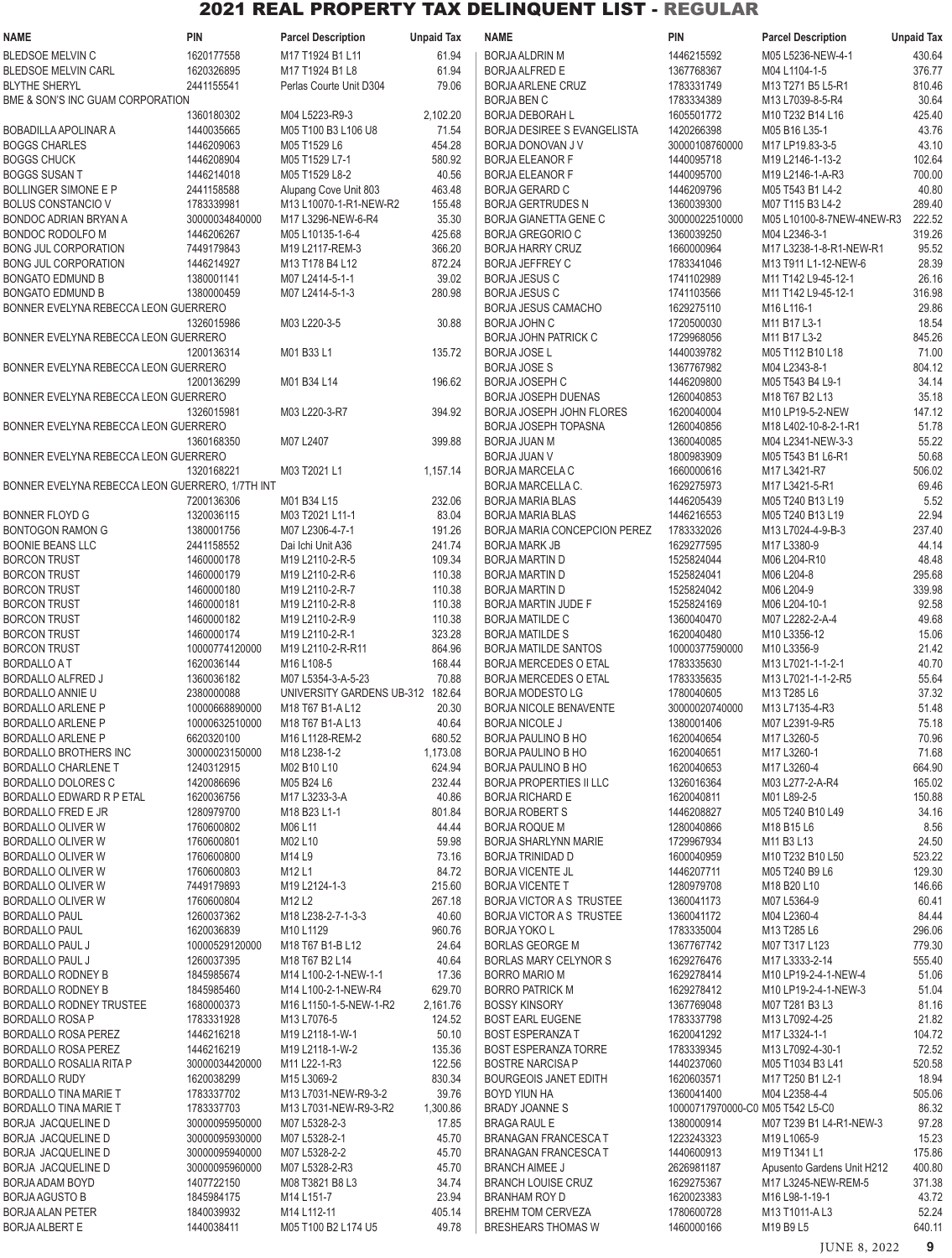| NAME                                            | <b>PIN</b>     | <b>Parcel Description</b>        | <b>Unpaid Tax</b> | <b>NAME</b>                     | <b>PIN</b>                       | <b>Parcel Description</b>                       | <b>Unpaid Tax</b> |
|-------------------------------------------------|----------------|----------------------------------|-------------------|---------------------------------|----------------------------------|-------------------------------------------------|-------------------|
| <b>BLEDSOE MELVIN C</b>                         | 1620177558     | M17 T1924 B1 L11                 | 61.94             | <b>BORJA ALDRIN M</b>           | 1446215592                       | M05 L5236-NEW-4-1                               | 430.64            |
| <b>BLEDSOE MELVIN CARL</b>                      | 1620326895     | M17 T1924 B1 L8                  | 61.94             | <b>BORJA ALFRED E</b>           | 1367768367                       | M04 L1104-1-5                                   | 376.77            |
| <b>BLYTHE SHERYL</b>                            | 2441155541     | Perlas Courte Unit D304          | 79.06             | <b>BORJA ARLENE CRUZ</b>        | 1783331749                       | M13 T271 B5 L5-R1                               | 810.46            |
| BME & SON'S INC GUAM CORPORATION                |                |                                  |                   | <b>BORJA BEN C</b>              | 1783334389                       | M13 L7039-8-5-R4                                | 30.64             |
|                                                 | 1360180302     | M04 L5223-R9-3                   | 2,102.20          | <b>BORJA DEBORAH L</b>          | 1605501772                       | M10 T232 B14 L16                                | 425.40            |
| BOBADILLA APOLINAR A                            | 1440035665     | M05 T100 B3 L106 U8              | 71.54             | BORJA DESIREE S EVANGELISTA     | 1420266398                       | M05 B16 L35-1                                   | 43.76             |
| <b>BOGGS CHARLES</b>                            | 1446209063     |                                  | 454.28            |                                 | 30000108760000                   |                                                 | 43.10             |
|                                                 |                | M05 T1529 L6                     |                   | BORJA DONOVAN J V               |                                  | M17 LP19.83-3-5                                 |                   |
| <b>BOGGS CHUCK</b>                              | 1446208904     | M05 T1529 L7-1                   | 580.92            | <b>BORJA ELEANOR F</b>          | 1440095718                       | M19 L2146-1-13-2                                | 102.64            |
| <b>BOGGS SUSAN T</b>                            | 1446214018     | M05 T1529 L8-2                   | 40.56             | <b>BORJA ELEANOR F</b>          | 1440095700                       | M19 L2146-1-A-R3                                | 700.00            |
| BOLLINGER SIMONE E P                            | 2441158588     | Alupang Cove Unit 803            | 463.48            | <b>BORJA GERARD C</b>           | 1446209796                       | M05 T543 B1 L4-2                                | 40.80             |
| <b>BOLUS CONSTANCIO V</b>                       | 1783339981     | M13 L10070-1-R1-NEW-R2           | 155.48            | <b>BORJA GERTRUDES N</b>        | 1360039300                       | M07 T115 B3 L4-2                                | 289.40            |
| BONDOC ADRIAN BRYAN A                           | 30000034840000 | M17 L3296-NEW-6-R4               | 35.30             | <b>BORJA GIANETTA GENE C</b>    | 30000022510000                   | M05 L10100-8-7NEW-4NEW-R3                       | 222.52            |
| BONDOC RODOLFO M                                | 1446206267     | M05 L10135-1-6-4                 | 425.68            | <b>BORJA GREGORIO C</b>         | 1360039250                       | M04 L2346-3-1                                   | 319.26            |
| BONG JUL CORPORATION                            | 7449179843     | M19 L2117-REM-3                  | 366.20            | <b>BORJA HARRY CRUZ</b>         | 1660000964                       | M17 L3238-1-8-R1-NEW-R1                         | 95.52             |
| BONG JUL CORPORATION                            | 1446214927     | M13 T178 B4 L12                  | 872.24            | <b>BORJA JEFFREY C</b>          | 1783341046                       | M13 T911 L1-12-NEW-6                            | 28.39             |
| <b>BONGATO EDMUND B</b>                         | 1380001141     | M07 L2414-5-1-1                  | 39.02             | <b>BORJA JESUS C</b>            | 1741102989                       | M11 T142 L9-45-12-1                             | 26.16             |
| <b>BONGATO EDMUND B</b>                         | 1380000459     | M07 L2414-5-1-3                  | 280.98            | <b>BORJA JESUS C</b>            | 1741103566                       | M11 T142 L9-45-12-1                             | 316.98            |
| BONNER EVELYNA REBECCA LEON GUERRERO            |                |                                  |                   | <b>BORJA JESUS CAMACHO</b>      | 1629275110                       | M <sub>16</sub> L <sub>116-1</sub>              | 29.86             |
|                                                 | 1326015986     | M03 L220-3-5                     | 30.88             | <b>BORJA JOHN C</b>             | 1720500030                       | M11 B17 L3-1                                    | 18.54             |
| BONNER EVELYNA REBECCA LEON GUERRERO            |                |                                  |                   | <b>BORJA JOHN PATRICK C</b>     | 1729968056                       | M11 B17 L3-2                                    | 845.26            |
|                                                 | 1200136314     | M01 B33 L1                       | 135.72            | <b>BORJA JOSE L</b>             | 1440039782                       | M05 T112 B10 L18                                | 71.00             |
| BONNER EVELYNA REBECCA LEON GUERRERO            |                |                                  |                   | <b>BORJA JOSE S</b>             | 1367767982                       | M04 L2343-8-1                                   | 804.12            |
|                                                 | 1200136299     | M01 B34 L14                      | 196.62            | <b>BORJA JOSEPH C</b>           | 1446209800                       | M05 T543 B4 L9-1                                | 34.14             |
| BONNER EVELYNA REBECCA LEON GUERRERO            |                |                                  |                   | <b>BORJA JOSEPH DUENAS</b>      | 1260040853                       | M18 T67 B2 L13                                  | 35.18             |
|                                                 | 1326015981     | M03 L220-3-R7                    | 394.92            | <b>BORJA JOSEPH JOHN FLORES</b> | 1620040004                       | M10 LP19-5-2-NEW                                | 147.12            |
| BONNER EVELYNA REBECCA LEON GUERRERO            |                |                                  |                   | <b>BORJA JOSEPH TOPASNA</b>     | 1260040856                       | M18 L402-10-8-2-1-R1                            | 51.78             |
|                                                 | 1360168350     | M07 L2407                        | 399.88            | <b>BORJA JUAN M</b>             | 1360040085                       | M04 L2341-NEW-3-3                               | 55.22             |
|                                                 |                |                                  |                   |                                 |                                  |                                                 |                   |
| BONNER EVELYNA REBECCA LEON GUERRERO            |                |                                  |                   | <b>BORJA JUAN V</b>             | 1800983909                       | M05 T543 B1 L6-R1                               | 50.68             |
|                                                 | 1320168221     | M03 T2021 L1                     | 1,157.14          | <b>BORJA MARCELA C</b>          | 1660000616                       | M17 L3421-R7                                    | 506.02            |
| BONNER EVELYNA REBECCA LEON GUERRERO, 1/7TH INT |                |                                  |                   | BORJA MARCELLA C.               | 1629275973                       | M17 L3421-5-R1                                  | 69.46             |
|                                                 | 7200136306     | M01 B34 L15                      | 232.06            | <b>BORJA MARIA BLAS</b>         | 1446205439                       | M05 T240 B13 L19                                | 5.52              |
| BONNER FLOYD G                                  | 1320036115     | M03 T2021 L11-1                  | 83.04             | <b>BORJA MARIA BLAS</b>         | 1446216553                       | M05 T240 B13 L19                                | 22.94             |
| BONTOGON RAMON G                                | 1380001756     | M07 L2306-4-7-1                  | 191.26            | BORJA MARIA CONCEPCION PEREZ    | 1783332026                       | M13 L7024-4-9-B-3                               | 237.40            |
| <b>BOONIE BEANS LLC</b>                         | 2441158552     | Dai Ichi Unit A36                | 241.74            | <b>BORJA MARK JB</b>            | 1629277595                       | M17 L3380-9                                     | 44.14             |
| <b>BORCON TRUST</b>                             | 1460000178     | M19 L2110-2-R-5                  | 109.34            | <b>BORJA MARTIN D</b>           | 1525824044                       | M06 L204-R10                                    | 48.48             |
| <b>BORCON TRUST</b>                             | 1460000179     | M19 L2110-2-R-6                  | 110.38            | <b>BORJA MARTIN D</b>           | 1525824041                       | M06 L204-8                                      | 295.68            |
| <b>BORCON TRUST</b>                             | 1460000180     | M19 L2110-2-R-7                  | 110.38            | <b>BORJA MARTIN D</b>           | 1525824042                       | M06 L204-9                                      | 339.98            |
| <b>BORCON TRUST</b>                             | 1460000181     | M19 L2110-2-R-8                  | 110.38            | <b>BORJA MARTIN JUDE F</b>      | 1525824169                       | M06 L204-10-1                                   | 92.58             |
| <b>BORCON TRUST</b>                             | 1460000182     | M19 L2110-2-R-9                  | 110.38            | <b>BORJA MATILDE C</b>          | 1360040470                       | M07 L2282-2-A-4                                 | 49.68             |
| <b>BORCON TRUST</b>                             | 1460000174     | M19 L2110-2-R-1                  | 323.28            | <b>BORJA MATILDE S</b>          | 1620040480                       | M10 L3356-12                                    | 15.06             |
| <b>BORCON TRUST</b>                             | 10000774120000 | M19 L2110-2-R-R11                | 864.96            | <b>BORJA MATILDE SANTOS</b>     | 10000377590000                   | M10 L3356-9                                     | 21.42             |
| <b>BORDALLO A T</b>                             | 1620036144     | M16 L108-5                       | 168.44            | <b>BORJA MERCEDES O ETAL</b>    | 1783335630                       | M13 L7021-1-1-2-1                               | 40.70             |
| BORDALLO ALFRED J                               | 1360036182     | M07 L5354-3-A-5-23               | 70.88             | <b>BORJA MERCEDES O ETAL</b>    | 1783335635                       | M13 L7021-1-1-2-R5                              | 55.64             |
| BORDALLO ANNIE U                                | 2380000088     | UNIVERSITY GARDENS UB-312 182.64 |                   | BORJA MODESTO LG                | 1780040605                       | M <sub>13</sub> T <sub>285</sub> L <sub>6</sub> | 37.32             |
| <b>BORDALLO ARLENE P</b>                        | 10000668890000 | M18 T67 B1-A L12                 | 20.30             | BORJA NICOLE BENAVENTE          | 30000020740000                   | M13 L7135-4-R3                                  | 51.48             |
| BORDALLO ARLENE P                               | 10000632510000 | M18 T67 B1-A L13                 | 40.64             | <b>BORJA NICOLE J</b>           | 1380001406                       | M07 L2391-9-R5                                  | 75.18             |
| <b>BORDALLO ARLENE P</b>                        | 6620320100     | M16 L1128-REM-2                  | 680.52            | BORJA PAULINO B HO              | 1620040654                       | M17 L3260-5                                     | 70.96             |
| BORDALLO BROTHERS INC                           | 30000023150000 | M18 L238-1-2                     | 1,173.08          | BORJA PAULINO B HO              | 1620040651                       | M17 L3260-1                                     | 71.68             |
|                                                 | 1240312915     |                                  | 624.94            | <b>BORJA PAULINO B HO</b>       |                                  | M17 L3260-4                                     |                   |
| <b>BORDALLO CHARLENE T</b>                      |                | M02 B10 L10                      |                   |                                 | 1620040653                       |                                                 | 664.90            |
| BORDALLO DOLORES C                              | 1420086696     | M05 B24 L6                       | 232.44            | <b>BORJA PROPERTIES II LLC</b>  | 1326016364                       | M03 L277-2-A-R4                                 | 165.02            |
| <b>BORDALLO EDWARD R P ETAL</b>                 | 1620036756     | M17 L3233-3-A                    | 40.86             | <b>BORJA RICHARD E</b>          | 1620040811                       | M01 L89-2-5                                     | 150.88            |
| BORDALLO FRED E JR                              | 1280979700     | M18 B23 L1-1                     | 801.84            | <b>BORJA ROBERT S</b>           | 1446208827                       | M05 T240 B10 L49                                | 34.16             |
| BORDALLO OLIVER W                               | 1760600802     | M06 L11                          | 44.44             | <b>BORJA ROQUE M</b>            | 1280040866                       | M18 B15 L6                                      | 8.56              |
| <b>BORDALLO OLIVER W</b>                        | 1760600801     | M02 L10                          | 59.98             | <b>BORJA SHARLYNN MARIE</b>     | 1729967934                       | M11 B3 L13                                      | 24.50             |
| BORDALLO OLIVER W                               | 1760600800     | M14 L9                           | 73.16             | <b>BORJA TRINIDAD D</b>         | 1600040959                       | M10 T232 B10 L50                                | 523.22            |
| BORDALLO OLIVER W                               | 1760600803     | M12L1                            | 84.72             | <b>BORJA VICENTE JL</b>         | 1446207711                       | M05 T240 B9 L6                                  | 129.30            |
| BORDALLO OLIVER W                               | 7449179893     | M19 L2124-1-3                    | 215.60            | <b>BORJA VICENTE T</b>          | 1280979708                       | M18 B20 L10                                     | 146.66            |
| BORDALLO OLIVER W                               | 1760600804     | M12L2                            | 267.18            | <b>BORJA VICTOR A S TRUSTEE</b> | 1360041173                       | M07 L5364-9                                     | 60.41             |
| <b>BORDALLO PAUL</b>                            | 1260037362     | M18 L238-2-7-1-3-3               | 40.60             | <b>BORJA VICTOR A S TRUSTEE</b> | 1360041172                       | M04 L2360-4                                     | 84.44             |
| <b>BORDALLO PAUL</b>                            | 1620036839     | M10L1129                         | 960.76            | <b>BORJA YOKO L</b>             | 1783335004                       | M13 T285 L6                                     | 296.06            |
| <b>BORDALLO PAUL J</b>                          | 10000529120000 | M18 T67 B1-B L12                 | 24.64             | <b>BORLAS GEORGE M</b>          | 1367767742                       | M07 T317 L123                                   | 779.30            |
| <b>BORDALLO PAUL J</b>                          | 1260037395     | M18 T67 B2 L14                   | 40.64             | <b>BORLAS MARY CELYNOR S</b>    | 1629276476                       | M17 L3333-2-14                                  | 555.40            |
| BORDALLO RODNEY B                               | 1845985674     | M14 L100-2-1-NEW-1-1             | 17.36             | <b>BORRO MARIO M</b>            | 1629278414                       | M10 LP19-2-4-1-NEW-4                            | 51.06             |
| <b>BORDALLO RODNEY B</b>                        | 1845985460     | M14 L100-2-1-NEW-R4              | 629.70            | <b>BORRO PATRICK M</b>          | 1629278412                       | M10 LP19-2-4-1-NEW-3                            | 51.04             |
| BORDALLO RODNEY TRUSTEE                         | 1680000373     | M16 L1150-1-5-NEW-1-R2           | 2,161.76          | <b>BOSSY KINSORY</b>            | 1367769048                       | M07 T281 B3 L3                                  | 81.16             |
| BORDALLO ROSA P                                 | 1783331928     | M13 L7076-5                      | 124.52            | <b>BOST EARL EUGENE</b>         | 1783337798                       | M13 L7092-4-25                                  | 21.82             |
| BORDALLO ROSA PEREZ                             | 1446216218     | M19 L2118-1-W-1                  | 50.10             | <b>BOST ESPERANZA T</b>         | 1620041292                       | M17 L3324-1-1                                   | 104.72            |
| BORDALLO ROSA PEREZ                             | 1446216219     | M19 L2118-1-W-2                  | 135.36            | <b>BOST ESPERANZA TORRE</b>     | 1783339345                       | M13 L7092-4-30-1                                | 72.52             |
|                                                 | 30000034420000 |                                  |                   | <b>BOSTRE NARCISA P</b>         | 1440237060                       |                                                 |                   |
| BORDALLO ROSALIA RITA P                         |                | M11 L22-1-R3                     | 122.56            |                                 |                                  | M05 T1034 B3 L41                                | 520.58            |
| <b>BORDALLO RUDY</b>                            | 1620038299     | M15 L3069-2                      | 830.34            | <b>BOURGEOIS JANET EDITH</b>    | 1620603571                       | M17 T250 B1 L2-1                                | 18.94             |
| BORDALLO TINA MARIE T                           | 1783337702     | M13 L7031-NEW-R9-3-2             | 39.76             | BOYD YIUN HA                    | 1360041400                       | M04 L2358-4-4                                   | 505.06            |
| BORDALLO TINA MARIE T                           | 1783337703     | M13 L7031-NEW-R9-3-R2            | 1,300.86          | <b>BRADY JOANNES</b>            | 10000717970000-C0 M05 T542 L5-C0 |                                                 | 86.32             |
| BORJA JACQUELINE D                              | 30000095950000 | M07 L5328-2-3                    | 17.85             | <b>BRAGA RAUL E</b>             | 1380000914                       | M07 T239 B1 L4-R1-NEW-3                         | 97.28             |
| BORJA JACQUELINE D                              | 30000095930000 | M07 L5328-2-1                    | 45.70             | <b>BRANAGAN FRANCESCAT</b>      | 1223243323                       | M19 L1065-9                                     | 15.23             |
| BORJA JACQUELINE D                              | 30000095940000 | M07 L5328-2-2                    | 45.70             | <b>BRANAGAN FRANCESCAT</b>      | 1440600913                       | M19 T1341 L1                                    | 175.86            |
| BORJA JACQUELINE D                              | 30000095960000 | M07 L5328-2-R3                   | 45.70             | <b>BRANCH AIMEE J</b>           | 2626981187                       | Apusento Gardens Unit H212                      | 400.80            |
| BORJA ADAM BOYD                                 | 1407722150     | M08 T3821 B8 L3                  | 34.74             | <b>BRANCH LOUISE CRUZ</b>       | 1629275367                       | M17 L3245-NEW-REM-5                             | 371.38            |
| BORJA AGUSTO B                                  | 1845984175     | M14 L151-7                       | 23.94             | <b>BRANHAM ROY D</b>            | 1620023383                       | M16 L98-1-19-1                                  | 43.72             |
| <b>BORJA ALAN PETER</b>                         | 1840039932     | M14 L112-11                      | 405.14            | <b>BREHM TOM CERVEZA</b>        | 1780600728                       | M13 T1011-AL3                                   | 52.24             |
| <b>BORJA ALBERT E</b>                           | 1440038411     | M05 T100 B2 L174 U5              | 49.78             | <b>BRESHEARS THOMAS W</b>       | 1460000166                       | M19 B9 L5                                       | 640.11            |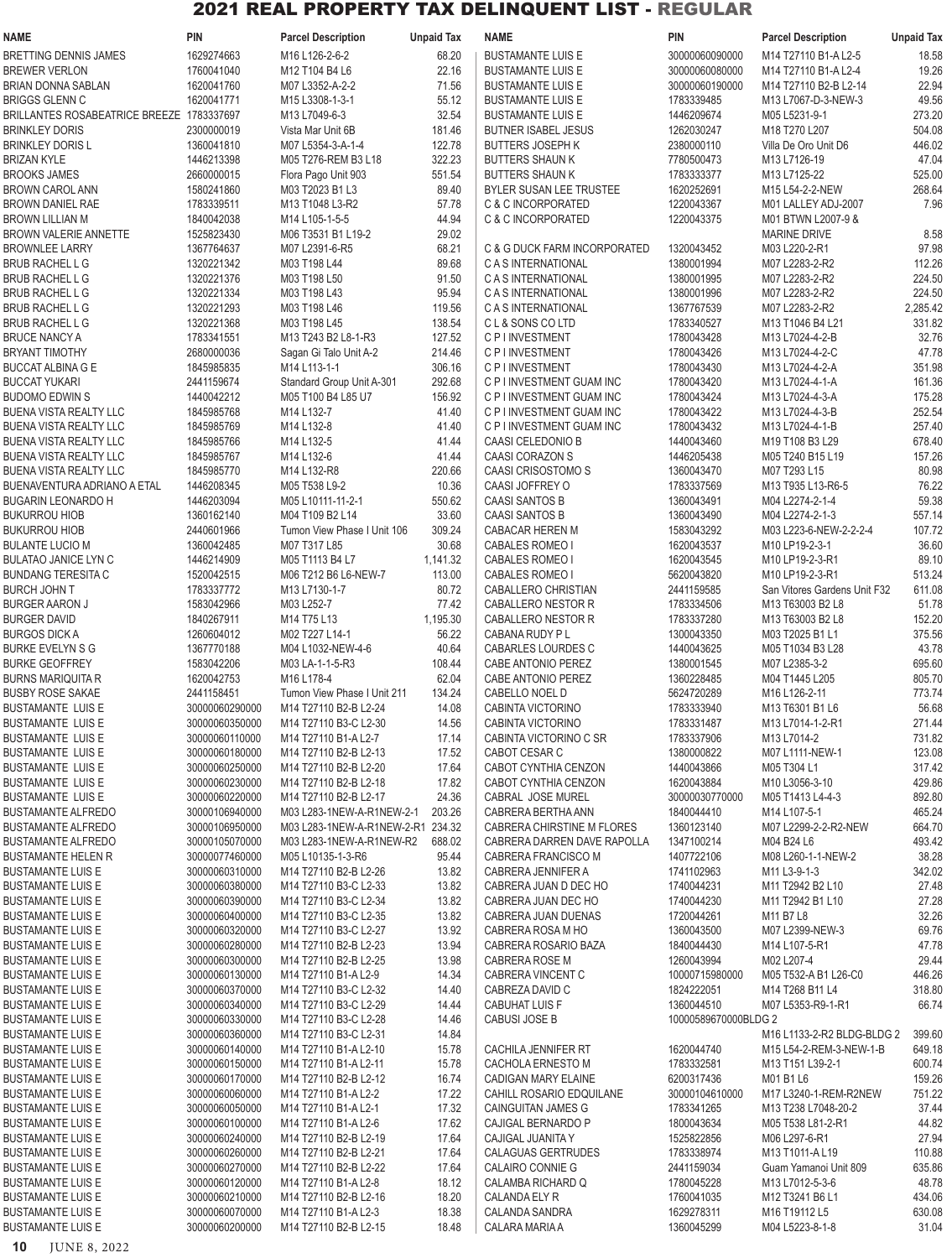| <b>NAME</b>                                       | <b>PIN</b>                       | <b>Parcel Description</b>                      | <b>Unpaid Tax</b> | <b>NAME</b>                                       | PIN                          | <b>Parcel Description</b>              | <b>Unpaid Tax</b>  |
|---------------------------------------------------|----------------------------------|------------------------------------------------|-------------------|---------------------------------------------------|------------------------------|----------------------------------------|--------------------|
| BRETTING DENNIS JAMES                             | 1629274663                       | M16 L126-2-6-2                                 | 68.20             | <b>BUSTAMANTE LUIS E</b>                          | 30000060090000               | M14 T27110 B1-A L2-5                   | 18.58              |
| BREWER VERLON                                     | 1760041040                       | M12 T104 B4 L6                                 | 22.16             | <b>BUSTAMANTE LUIS E</b>                          | 30000060080000               | M14 T27110 B1-A L2-4                   | 19.26              |
| BRIAN DONNA SABLAN                                | 1620041760                       | M07 L3352-A-2-2                                | 71.56             | <b>BUSTAMANTE LUIS E</b>                          | 30000060190000               | M14 T27110 B2-B L2-14                  | 22.94              |
| BRIGGS GLENN C                                    | 1620041771                       | M15 L3308-1-3-1                                | 55.12             | <b>BUSTAMANTE LUIS E</b>                          | 1783339485                   | M13 L7067-D-3-NEW-3                    | 49.56              |
| BRILLANTES ROSABEATRICE BREEZE 1783337697         |                                  | M13 L7049-6-3                                  | 32.54             | <b>BUSTAMANTE LUIS E</b>                          | 1446209674                   | M05 L5231-9-1                          | 273.20             |
| <b>BRINKLEY DORIS</b><br><b>BRINKLEY DORIS L</b>  | 2300000019<br>1360041810         | Vista Mar Unit 6B                              | 181.46            | <b>BUTNER ISABEL JESUS</b>                        | 1262030247<br>2380000110     | M18 T270 L207                          | 504.08<br>446.02   |
| BRIZAN KYLE                                       | 1446213398                       | M07 L5354-3-A-1-4<br>M05 T276-REM B3 L18       | 122.78<br>322.23  | <b>BUTTERS JOSEPH K</b><br><b>BUTTERS SHAUN K</b> | 7780500473                   | Villa De Oro Unit D6<br>M13 L7126-19   | 47.04              |
| BROOKS JAMES                                      | 2660000015                       | Flora Pago Unit 903                            | 551.54            | <b>BUTTERS SHAUN K</b>                            | 1783333377                   | M13 L7125-22                           | 525.00             |
| <b>BROWN CAROL ANN</b>                            | 1580241860                       | M03 T2023 B1 L3                                | 89.40             | <b>BYLER SUSAN LEE TRUSTEE</b>                    | 1620252691                   | M15 L54-2-2-NEW                        | 268.64             |
| BROWN DANIEL RAE                                  | 1783339511                       | M13 T1048 L3-R2                                | 57.78             | C & C INCORPORATED                                | 1220043367                   | M01 LALLEY ADJ-2007                    | 7.96               |
| BROWN LILLIAN M                                   | 1840042038                       | M14 L105-1-5-5                                 | 44.94             | C & C INCORPORATED                                | 1220043375                   | M01 BTWN L2007-9 &                     |                    |
| <b>BROWN VALERIE ANNETTE</b>                      | 1525823430                       | M06 T3531 B1 L19-2                             | 29.02             |                                                   |                              | <b>MARINE DRIVE</b>                    | 8.58               |
| <b>BROWNLEE LARRY</b>                             | 1367764637                       | M07 L2391-6-R5                                 | 68.21             | C & G DUCK FARM INCORPORATED                      | 1320043452                   | M03 L220-2-R1                          | 97.98              |
| BRUB RACHEL L G                                   | 1320221342                       | M03 T198 L44                                   | 89.68             | C A S INTERNATIONAL                               | 1380001994                   | M07 L2283-2-R2                         | 112.26             |
| BRUB RACHEL L G                                   | 1320221376                       | M03 T198 L50                                   | 91.50             | C A S INTERNATIONAL                               | 1380001995                   | M07 L2283-2-R2                         | 224.50             |
| BRUB RACHEL L G                                   | 1320221334                       | M03 T198 L43                                   | 95.94             | C A S INTERNATIONAL                               | 1380001996                   | M07 L2283-2-R2                         | 224.50             |
| BRUB RACHEL L G<br>BRUB RACHEL L G                | 1320221293<br>1320221368         | M03 T198 L46<br>M03 T198 L45                   | 119.56<br>138.54  | C A S INTERNATIONAL<br>CL&SONS COLTD              | 1367767539<br>1783340527     | M07 L2283-2-R2<br>M13 T1046 B4 L21     | 2,285.42<br>331.82 |
| BRUCE NANCY A                                     | 1783341551                       | M13 T243 B2 L8-1-R3                            | 127.52            | C P I INVESTMENT                                  | 1780043428                   | M13 L7024-4-2-B                        | 32.76              |
| BRYANT TIMOTHY                                    | 2680000036                       | Sagan Gi Talo Unit A-2                         | 214.46            | C P I INVESTMENT                                  | 1780043426                   | M13 L7024-4-2-C                        | 47.78              |
| BUCCAT ALBINA G E                                 | 1845985835                       | M14 L113-1-1                                   | 306.16            | <b>C P I INVESTMENT</b>                           | 1780043430                   | M13 L7024-4-2-A                        | 351.98             |
| BUCCAT YUKARI                                     | 2441159674                       | Standard Group Unit A-301                      | 292.68            | C P I INVESTMENT GUAM INC                         | 1780043420                   | M13 L7024-4-1-A                        | 161.36             |
| BUDOMO EDWIN S                                    | 1440042212                       | M05 T100 B4 L85 U7                             | 156.92            | C P I INVESTMENT GUAM INC                         | 1780043424                   | M13 L7024-4-3-A                        | 175.28             |
| BUENA VISTA REALTY LLC                            | 1845985768                       | M14 L132-7                                     | 41.40             | C P I INVESTMENT GUAM INC                         | 1780043422                   | M13 L7024-4-3-B                        | 252.54             |
| BUENA VISTA REALTY LLC                            | 1845985769                       | M14 L132-8                                     | 41.40             | C P I INVESTMENT GUAM INC                         | 1780043432                   | M13 L7024-4-1-B                        | 257.40             |
| BUENA VISTA REALTY LLC                            | 1845985766                       | M14 L132-5                                     | 41.44             | CAASI CELEDONIO B                                 | 1440043460                   | M19 T108 B3 L29                        | 678.40             |
| BUENA VISTA REALTY LLC                            | 1845985767                       | M14 L132-6                                     | 41.44             | <b>CAASI CORAZON S</b>                            | 1446205438                   | M05 T240 B15 L19                       | 157.26             |
| BUENA VISTA REALTY LLC                            | 1845985770                       | M14 L132-R8                                    | 220.66            | CAASI CRISOSTOMO S                                | 1360043470                   | M07 T293 L15                           | 80.98              |
| BUENAVENTURA ADRIANO A ETAL<br>BUGARIN LEONARDO H | 1446208345<br>1446203094         | M05 T538 L9-2<br>M05 L10111-11-2-1             | 10.36<br>550.62   | CAASI JOFFREY O<br><b>CAASI SANTOS B</b>          | 1783337569<br>1360043491     | M13 T935 L13-R6-5<br>M04 L2274-2-1-4   | 76.22<br>59.38     |
| BUKURROU HIOB                                     | 1360162140                       | M04 T109 B2 L14                                | 33.60             | <b>CAASI SANTOS B</b>                             | 1360043490                   | M04 L2274-2-1-3                        | 557.14             |
| BUKURROU HIOB                                     | 2440601966                       | Tumon View Phase I Unit 106                    | 309.24            | CABACAR HEREN M                                   | 1583043292                   | M03 L223-6-NEW-2-2-2-4                 | 107.72             |
| BULANTE LUCIO M                                   | 1360042485                       | M07 T317 L85                                   | 30.68             | <b>CABALES ROMEO I</b>                            | 1620043537                   | M10 LP19-2-3-1                         | 36.60              |
| BULATAO JANICE LYN C                              | 1446214909                       | M05 T1113 B4 L7                                | 1,141.32          | <b>CABALES ROMEO I</b>                            | 1620043545                   | M10 LP19-2-3-R1                        | 89.10              |
| BUNDANG TERESITA C                                | 1520042515                       | M06 T212 B6 L6-NEW-7                           | 113.00            | <b>CABALES ROMEO I</b>                            | 5620043820                   | M10 LP19-2-3-R1                        | 513.24             |
| BURCH JOHN T                                      | 1783337772                       | M13 L7130-1-7                                  | 80.72             | CABALLERO CHRISTIAN                               | 2441159585                   | San Vitores Gardens Unit F32           | 611.08             |
| <b>BURGER AARON J</b>                             | 1583042966                       | M03 L252-7                                     | 77.42             | CABALLERO NESTOR R                                | 1783334506                   | M13 T63003 B2 L8                       | 51.78              |
| BURGER DAVID                                      | 1840267911                       | M14 T75 L13                                    | 1,195.30          | CABALLERO NESTOR R                                | 1783337280                   | M13 T63003 B2 L8                       | 152.20             |
| BURGOS DICK A<br>BURKE EVELYN S G                 | 1260604012<br>1367770188         | M02 T227 L14-1<br>M04 L1032-NEW-4-6            | 56.22<br>40.64    | CABANA RUDY P L<br>CABARLES LOURDES C             | 1300043350<br>1440043625     | M03 T2025 B1 L1<br>M05 T1034 B3 L28    | 375.56<br>43.78    |
| <b>BURKE GEOFFREY</b>                             | 1583042206                       | M03 LA-1-1-5-R3                                | 108.44            | CABE ANTONIO PEREZ                                | 1380001545                   | M07 L2385-3-2                          | 695.60             |
| BURNS MARIQUITA R                                 | 1620042753                       | M16 L178-4                                     | 62.04             | <b>CABE ANTONIO PEREZ</b>                         | 1360228485                   | M04 T1445 L205                         | 805.70             |
| <b>BUSBY ROSE SAKAE</b>                           | 2441158451                       | Tumon View Phase I Unit 211                    | 134.24            | CABELLO NOEL D                                    | 5624720289                   | M <sub>16</sub> L <sub>126</sub> -2-11 | 773.74             |
| BUSTAMANTE LUIS E                                 | 30000060290000                   | M14 T27110 B2-B L2-24                          | 14.08             | CABINTA VICTORINO                                 | 1783333940                   | M13 T6301 B1 L6                        | 56.68              |
| BUSTAMANTE LUIS E                                 | 30000060350000                   | M14 T27110 B3-C L2-30                          | 14.56             | CABINTA VICTORINO                                 | 1783331487                   | M13 L7014-1-2-R1                       | 271.44             |
| BUSTAMANTE LUIS E                                 | 30000060110000                   | M14 T27110 B1-A L2-7                           | 17.14             | CABINTA VICTORINO C SR                            | 1783337906                   | M13 L7014-2                            | 731.82             |
| <b>BUSTAMANTE LUIS E</b>                          | 30000060180000                   | M14 T27110 B2-B L2-13                          | 17.52             | CABOT CESAR C                                     | 1380000822                   | M07 L1111-NEW-1                        | 123.08             |
| BUSTAMANTE LUIS E                                 | 30000060250000                   | M14 T27110 B2-B L2-20                          | 17.64             | CABOT CYNTHIA CENZON                              | 1440043866                   | M05 T304 L1                            | 317.42             |
| <b>BUSTAMANTE LUIS E</b><br>BUSTAMANTE LUIS E     | 30000060230000<br>30000060220000 | M14 T27110 B2-B L2-18<br>M14 T27110 B2-B L2-17 | 17.82<br>24.36    | CABOT CYNTHIA CENZON<br>CABRAL JOSE MUREL         | 1620043884<br>30000030770000 | M10 L3056-3-10<br>M05 T1413 L4-4-3     | 429.86<br>892.80   |
| BUSTAMANTE ALFREDO                                | 30000106940000                   | M03 L283-1NEW-A-R1NEW-2-1                      | 203.26            | CABRERA BERTHA ANN                                | 1840044410                   | M14 L107-5-1                           | 465.24             |
| BUSTAMANTE ALFREDO                                | 30000106950000                   | M03 L283-1NEW-A-R1NEW-2-R1 234.32              |                   | CABRERA CHIRSTINE M FLORES                        | 1360123140                   | M07 L2299-2-2-R2-NEW                   | 664.70             |
| BUSTAMANTE ALFREDO                                | 30000105070000                   | M03 L283-1NEW-A-R1NEW-R2                       | 688.02            | CABRERA DARREN DAVE RAPOLLA                       | 1347100214                   | M04 B24 L6                             | 493.42             |
| <b>BUSTAMANTE HELEN R</b>                         | 30000077460000                   | M05 L10135-1-3-R6                              | 95.44             | CABRERA FRANCISCO M                               | 1407722106                   | M08 L260-1-1-NEW-2                     | 38.28              |
| BUSTAMANTE LUIS E                                 | 30000060310000                   | M14 T27110 B2-B L2-26                          | 13.82             | CABRERA JENNIFER A                                | 1741102963                   | M11 L3-9-1-3                           | 342.02             |
| BUSTAMANTE LUIS E                                 | 30000060380000                   | M14 T27110 B3-C L2-33                          | 13.82             | CABRERA JUAN D DEC HO                             | 1740044231                   | M11 T2942 B2 L10                       | 27.48              |
| BUSTAMANTE LUIS E                                 | 30000060390000                   | M14 T27110 B3-C L2-34                          | 13.82             | CABRERA JUAN DEC HO                               | 1740044230                   | M11 T2942 B1 L10                       | 27.28              |
| BUSTAMANTE LUIS E<br>BUSTAMANTE LUIS E            | 30000060400000<br>30000060320000 | M14 T27110 B3-C L2-35<br>M14 T27110 B3-C L2-27 | 13.82<br>13.92    | CABRERA JUAN DUENAS<br>CABRERA ROSA M HO          | 1720044261<br>1360043500     | M11 B7 L8<br>M07 L2399-NEW-3           | 32.26<br>69.76     |
| BUSTAMANTE LUIS E                                 | 30000060280000                   | M14 T27110 B2-B L2-23                          | 13.94             | CABRERA ROSARIO BAZA                              | 1840044430                   | M14 L107-5-R1                          | 47.78              |
| BUSTAMANTE LUIS E                                 | 30000060300000                   | M14 T27110 B2-B L2-25                          | 13.98             | CABRERA ROSE M                                    | 1260043994                   | M02 L207-4                             | 29.44              |
| BUSTAMANTE LUIS E                                 | 30000060130000                   | M14 T27110 B1-A L2-9                           | 14.34             | CABRERA VINCENT C                                 | 10000715980000               | M05 T532-A B1 L26-C0                   | 446.26             |
| BUSTAMANTE LUIS E                                 | 30000060370000                   | M14 T27110 B3-C L2-32                          | 14.40             | CABREZA DAVID C                                   | 1824222051                   | M14 T268 B11 L4                        | 318.80             |
| BUSTAMANTE LUIS E                                 | 30000060340000                   | M14 T27110 B3-C L2-29                          | 14.44             | <b>CABUHAT LUIS F</b>                             | 1360044510                   | M07 L5353-R9-1-R1                      | 66.74              |
| BUSTAMANTE LUIS E                                 | 30000060330000                   | M14 T27110 B3-C L2-28                          | 14.46             | CABUSI JOSE B                                     | 10000589670000BLDG 2         |                                        |                    |
| BUSTAMANTE LUIS E                                 | 30000060360000                   | M14 T27110 B3-C L2-31                          | 14.84             |                                                   |                              | M16 L1133-2-R2 BLDG-BLDG 2             | 399.60             |
| BUSTAMANTE LUIS E                                 | 30000060140000                   | M14 T27110 B1-A L2-10                          | 15.78             | CACHILA JENNIFER RT                               | 1620044740                   | M15 L54-2-REM-3-NEW-1-B                | 649.18             |
| BUSTAMANTE LUIS E                                 | 30000060150000                   | M14 T27110 B1-A L2-11                          | 15.78             | CACHOLA ERNESTO M                                 | 1783332581<br>6200317436     | M13 T151 L39-2-1                       | 600.74             |
| BUSTAMANTE LUIS E<br>BUSTAMANTE LUIS E            | 30000060170000<br>30000060060000 | M14 T27110 B2-B L2-12<br>M14 T27110 B1-A L2-2  | 16.74<br>17.22    | CADIGAN MARY ELAINE<br>CAHILL ROSARIO EDQUILANE   | 30000104610000               | M01 B1 L6<br>M17 L3240-1-REM-R2NEW     | 159.26<br>751.22   |
| BUSTAMANTE LUIS E                                 | 30000060050000                   | M14 T27110 B1-A L2-1                           | 17.32             | <b>CAINGUITAN JAMES G</b>                         | 1783341265                   | M13 T238 L7048-20-2                    | 37.44              |
| BUSTAMANTE LUIS E                                 | 30000060100000                   | M14 T27110 B1-A L2-6                           | 17.62             | CAJIGAL BERNARDO P                                | 1800043634                   | M05 T538 L81-2-R1                      | 44.82              |
| BUSTAMANTE LUIS E                                 | 30000060240000                   | M14 T27110 B2-B L2-19                          | 17.64             | CAJIGAL JUANITA Y                                 | 1525822856                   | M06 L297-6-R1                          | 27.94              |
| BUSTAMANTE LUIS E                                 | 30000060260000                   | M14 T27110 B2-B L2-21                          | 17.64             | CALAGUAS GERTRUDES                                | 1783338974                   | M13 T1011-A L19                        | 110.88             |
| BUSTAMANTE LUIS E                                 | 30000060270000                   | M14 T27110 B2-B L2-22                          | 17.64             | CALAIRO CONNIE G                                  | 2441159034                   | Guam Yamanoi Unit 809                  | 635.86             |
| BUSTAMANTE LUIS E                                 | 30000060120000                   | M14 T27110 B1-A L2-8                           | 18.12             | CALAMBA RICHARD Q                                 | 1780045228                   | M13 L7012-5-3-6                        | 48.78              |
| <b>BUSTAMANTE LUIS E</b>                          | 30000060210000                   | M14 T27110 B2-B L2-16                          | 18.20             | <b>CALANDA ELY R</b>                              | 1760041035                   | M12 T3241 B6 L1                        | 434.06             |
| BUSTAMANTE LUIS E                                 | 30000060070000                   | M14 T27110 B1-A L2-3                           | 18.38             | <b>CALANDA SANDRA</b>                             | 1629278311                   | M16 T19112 L5                          | 630.08             |
| BUSTAMANTE LUIS E                                 | 30000060200000                   | M14 T27110 B2-B L2-15                          | 18.48             | CALARA MARIA A                                    | 1360045299                   | M04 L5223-8-1-8                        | 31.04              |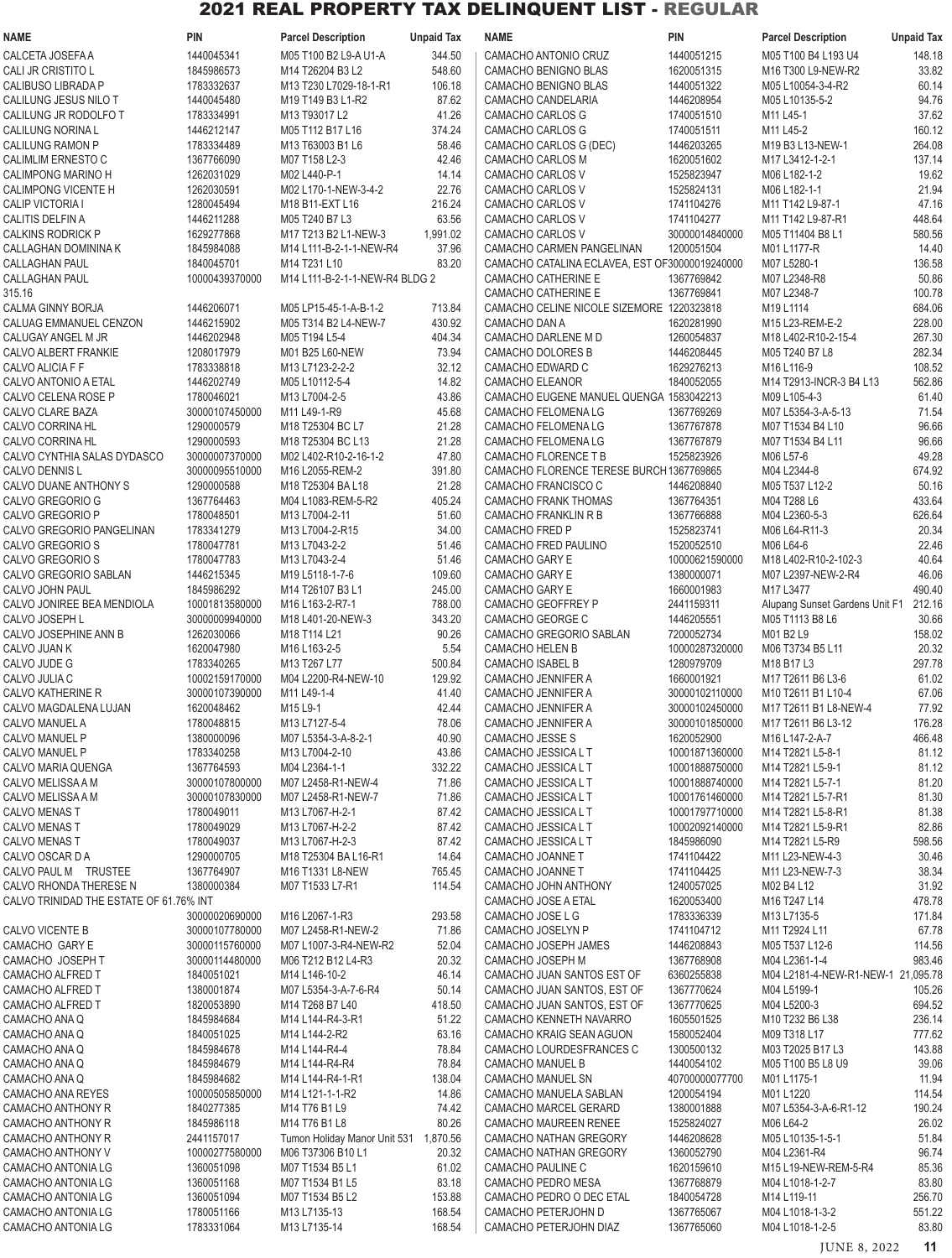| NAME                                                 | <b>PIN</b>                   | <b>Parcel Description</b>                             | <b>Unpaid Tax</b> | <b>NAME</b>                                                      | <b>PIN</b>                       | <b>Parcel Description</b>                           | <b>Unpaid Tax</b> |
|------------------------------------------------------|------------------------------|-------------------------------------------------------|-------------------|------------------------------------------------------------------|----------------------------------|-----------------------------------------------------|-------------------|
| CALCETA JOSEFA A                                     | 1440045341                   | M05 T100 B2 L9-A U1-A                                 | 344.50            | CAMACHO ANTONIO CRUZ                                             | 1440051215                       | M05 T100 B4 L193 U4                                 | 148.18            |
| CALI JR CRISTITO L                                   | 1845986573                   | M14 T26204 B3 L2                                      | 548.60            | CAMACHO BENIGNO BLAS                                             | 1620051315                       | M16 T300 L9-NEW-R2                                  | 33.82             |
| CALIBUSO LIBRADA P                                   | 1783332637                   | M13 T230 L7029-18-1-R1                                | 106.18            | CAMACHO BENIGNO BLAS                                             | 1440051322                       | M05 L10054-3-4-R2                                   | 60.14             |
| CALILUNG JESUS NILO T                                | 1440045480                   | M19 T149 B3 L1-R2                                     | 87.62             | CAMACHO CANDELARIA                                               | 1446208954                       | M05 L10135-5-2                                      | 94.76             |
| CALILUNG JR RODOLFO T<br>CALILUNG NORINA L           | 1783334991<br>1446212147     | M13 T93017 L2<br>M05 T112 B17 L16                     | 41.26<br>374.24   | CAMACHO CARLOS G<br>CAMACHO CARLOS G                             | 1740051510<br>1740051511         | M11 L45-1<br>M11 L45-2                              | 37.62<br>160.12   |
| CALILUNG RAMON P                                     | 1783334489                   | M13 T63003 B1 L6                                      | 58.46             | CAMACHO CARLOS G (DEC)                                           | 1446203265                       | M19 B3 L13-NEW-1                                    | 264.08            |
| CALIMLIM ERNESTO C                                   | 1367766090                   | M07 T158 L2-3                                         | 42.46             | CAMACHO CARLOS M                                                 | 1620051602                       | M17 L3412-1-2-1                                     | 137.14            |
| CALIMPONG MARINO H                                   | 1262031029                   | M02 L440-P-1                                          | 14.14             | CAMACHO CARLOS V                                                 | 1525823947                       | M06 L182-1-2                                        | 19.62             |
| CALIMPONG VICENTE H                                  | 1262030591                   | M02 L170-1-NEW-3-4-2                                  | 22.76             | CAMACHO CARLOS V                                                 | 1525824131                       | M06 L182-1-1                                        | 21.94             |
| CALIP VICTORIA I                                     | 1280045494                   | M <sub>18</sub> B <sub>11</sub> -EXT L <sub>16</sub>  | 216.24            | CAMACHO CARLOS V                                                 | 1741104276                       | M11 T142 L9-87-1                                    | 47.16             |
| CALITIS DELFIN A                                     | 1446211288                   | M05 T240 B7 L3                                        | 63.56             | CAMACHO CARLOS V                                                 | 1741104277                       | M11 T142 L9-87-R1                                   | 448.64            |
| CALKINS RODRICK P<br>CALLAGHAN DOMININA K            | 1629277868<br>1845984088     | M17 T213 B2 L1-NEW-3<br>M14 L111-B-2-1-1-NEW-R4       | 1,991.02<br>37.96 | CAMACHO CARLOS V<br>CAMACHO CARMEN PANGELINAN                    | 30000014840000<br>1200051504     | M05 T11404 B8 L1<br>M01 L1177-R                     | 580.56<br>14.40   |
| CALLAGHAN PAUL                                       | 1840045701                   | M14 T231 L10                                          | 83.20             | CAMACHO CATALINA ECLAVEA, EST OF30000019240000                   |                                  | M07 L5280-1                                         | 136.58            |
| CALLAGHAN PAUL                                       | 10000439370000               | M14 L111-B-2-1-1-NEW-R4 BLDG 2                        |                   | CAMACHO CATHERINE E                                              | 1367769842                       | M07 L2348-R8                                        | 50.86             |
| 315.16                                               |                              |                                                       |                   | CAMACHO CATHERINE E                                              | 1367769841                       | M07 L2348-7                                         | 100.78            |
| CALMA GINNY BORJA                                    | 1446206071                   | M05 LP15-45-1-A-B-1-2                                 | 713.84            | CAMACHO CELINE NICOLE SIZEMORE 1220323818                        |                                  | M19 L1114                                           | 684.06            |
| CALUAG EMMANUEL CENZON                               | 1446215902                   | M05 T314 B2 L4-NEW-7                                  | 430.92            | CAMACHO DAN A                                                    | 1620281990                       | M15 L23-REM-E-2                                     | 228.00            |
| CALUGAY ANGEL M JR<br>CALVO ALBERT FRANKIE           | 1446202948<br>1208017979     | M05 T194 L5-4<br>M01 B25 L60-NEW                      | 404.34<br>73.94   | CAMACHO DARLENE M D<br>CAMACHO DOLORES B                         | 1260054837<br>1446208445         | M18 L402-R10-2-15-4<br>M05 T240 B7 L8               | 267.30<br>282.34  |
| CALVO ALICIA F F                                     | 1783338818                   | M13 L7123-2-2-2                                       | 32.12             | CAMACHO EDWARD C                                                 | 1629276213                       | M <sub>16</sub> L <sub>116-9</sub>                  | 108.52            |
| CALVO ANTONIO A ETAL                                 | 1446202749                   | M05 L10112-5-4                                        | 14.82             | <b>CAMACHO ELEANOR</b>                                           | 1840052055                       | M14 T2913-INCR-3 B4 L13                             | 562.86            |
| CALVO CELENA ROSE P                                  | 1780046021                   | M13 L7004-2-5                                         | 43.86             | CAMACHO EUGENE MANUEL QUENGA 1583042213                          |                                  | M09 L105-4-3                                        | 61.40             |
| CALVO CLARE BAZA                                     | 30000107450000               | M11 L49-1-R9                                          | 45.68             | CAMACHO FELOMENA LG                                              | 1367769269                       | M07 L5354-3-A-5-13                                  | 71.54             |
| CALVO CORRINA HL                                     | 1290000579                   | M18 T25304 BC L7                                      | 21.28             | CAMACHO FELOMENA LG                                              | 1367767878                       | M07 T1534 B4 L10                                    | 96.66             |
| CALVO CORRINA HL                                     | 1290000593<br>30000007370000 | M18 T25304 BC L13<br>M02 L402-R10-2-16-1-2            | 21.28<br>47.80    | CAMACHO FELOMENA LG                                              | 1367767879<br>1525823926         | M07 T1534 B4 L11<br>M06 L57-6                       | 96.66             |
| CALVO CYNTHIA SALAS DYDASCO<br><b>CALVO DENNIS L</b> | 30000095510000               | M16 L2055-REM-2                                       | 391.80            | CAMACHO FLORENCE T B<br>CAMACHO FLORENCE TERESE BURCH 1367769865 |                                  | M04 L2344-8                                         | 49.28<br>674.92   |
| CALVO DUANE ANTHONY S                                | 1290000588                   | M <sub>18</sub> T <sub>25304</sub> BA L <sub>18</sub> | 21.28             | CAMACHO FRANCISCO C                                              | 1446208840                       | M05 T537 L12-2                                      | 50.16             |
| CALVO GREGORIO G                                     | 1367764463                   | M04 L1083-REM-5-R2                                    | 405.24            | CAMACHO FRANK THOMAS                                             | 1367764351                       | M04 T288 L6                                         | 433.64            |
| CALVO GREGORIO P                                     | 1780048501                   | M13 L7004-2-11                                        | 51.60             | <b>CAMACHO FRANKLIN R B</b>                                      | 1367766888                       | M04 L2360-5-3                                       | 626.64            |
| CALVO GREGORIO PANGELINAN                            | 1783341279                   | M13 L7004-2-R15                                       | 34.00             | <b>CAMACHO FRED P</b>                                            | 1525823741                       | M06 L64-R11-3                                       | 20.34             |
| CALVO GREGORIO S                                     | 1780047781                   | M13 L7043-2-2                                         | 51.46             | CAMACHO FRED PAULINO                                             | 1520052510                       | M06 L64-6                                           | 22.46             |
| CALVO GREGORIO S<br>CALVO GREGORIO SABLAN            | 1780047783<br>1446215345     | M13 L7043-2-4<br>M19 L5118-1-7-6                      | 51.46<br>109.60   | CAMACHO GARY E<br>CAMACHO GARY E                                 | 10000621590000<br>1380000071     | M18 L402-R10-2-102-3<br>M07 L2397-NEW-2-R4          | 40.64<br>46.06    |
| CALVO JOHN PAUL                                      | 1845986292                   | M14 T26107 B3 L1                                      | 245.00            | CAMACHO GARY E                                                   | 1660001983                       | M17 L3477                                           | 490.40            |
| CALVO JONIREE BEA MENDIOLA                           | 10001813580000               | M16 L163-2-R7-1                                       | 788.00            | CAMACHO GEOFFREY P                                               | 2441159311                       | Alupang Sunset Gardens Unit F1                      | 212.16            |
| CALVO JOSEPH L                                       | 30000009940000               | M18 L401-20-NEW-3                                     | 343.20            | CAMACHO GEORGE C                                                 | 1446205551                       | M05 T1113 B8 L6                                     | 30.66             |
| CALVO JOSEPHINE ANN B                                | 1262030066                   | M18 T114 L21                                          | 90.26             | CAMACHO GREGORIO SABLAN                                          | 7200052734                       | M01 B2 L9                                           | 158.02            |
| CALVO JUAN K                                         | 1620047980                   | M16 L163-2-5                                          | 5.54              | CAMACHO HELEN B                                                  | 10000287320000                   | M06 T3734 B5 L11                                    | 20.32             |
| CALVO JUDE G<br>CALVO JULIA C                        | 1783340265<br>10002159170000 | M13 T267 L77<br>M04 L2200-R4-NEW-10                   | 500.84<br>129.92  | CAMACHO ISABEL B<br><b>CAMACHO JENNIFER A</b>                    | 1280979709<br>1660001921         | M18 B17 L3<br>M17 T2611 B6 L3-6                     | 297.78<br>61.02   |
| CALVO KATHERINE R                                    | 30000107390000               | M11 L49-1-4                                           | 41.40             | CAMACHO JENNIFER A                                               | 30000102110000                   | M10 T2611 B1 L10-4                                  | 67.06             |
| CALVO MAGDALENA LUJAN                                | 1620048462                   | M15 L9-1                                              | 42.44             | CAMACHO JENNIFER A                                               | 30000102450000                   | M17 T2611 B1 L8-NEW-4                               | 77.92             |
| CALVO MANUEL A                                       | 1780048815                   | M13 L7127-5-4                                         | 78.06             | CAMACHO JENNIFER A                                               | 30000101850000                   | M17 T2611 B6 L3-12                                  | 176.28            |
| CALVO MANUEL P                                       | 1380000096                   | M07 L5354-3-A-8-2-1                                   | 40.90             | CAMACHO JESSE S                                                  | 1620052900                       | M16 L147-2-A-7                                      | 466.48            |
| CALVO MANUEL P                                       | 1783340258                   | M13 L7004-2-10                                        | 43.86             | CAMACHO JESSICA L T                                              | 10001871360000                   | M14 T2821 L5-8-1                                    | 81.12             |
| CALVO MARIA QUENGA<br>CALVO MELISSA A M              | 1367764593<br>30000107800000 | M04 L2364-1-1<br>M07 L2458-R1-NEW-4                   | 332.22<br>71.86   | CAMACHO JESSICA L T<br>CAMACHO JESSICA L T                       | 10001888750000<br>10001888740000 | M14 T2821 L5-9-1<br>M14 T2821 L5-7-1                | 81.12<br>81.20    |
| CALVO MELISSA A M                                    | 30000107830000               | M07 L2458-R1-NEW-7                                    | 71.86             | CAMACHO JESSICA L T                                              | 10001761460000                   | M14 T2821 L5-7-R1                                   | 81.30             |
| CALVO MENAS T                                        | 1780049011                   | M13 L7067-H-2-1                                       | 87.42             | CAMACHO JESSICA L T                                              | 10001797710000                   | M14 T2821 L5-8-R1                                   | 81.38             |
| CALVO MENAS T                                        | 1780049029                   | M13 L7067-H-2-2                                       | 87.42             | CAMACHO JESSICA L T                                              | 10002092140000                   | M14 T2821 L5-9-R1                                   | 82.86             |
| CALVO MENAS T                                        | 1780049037                   | M13 L7067-H-2-3                                       | 87.42             | CAMACHO JESSICA L T                                              | 1845986090                       | M14 T2821 L5-R9                                     | 598.56            |
| CALVO OSCAR DA                                       | 1290000705<br>1367764907     | M18 T25304 BA L16-R1                                  | 14.64             | CAMACHO JOANNE T                                                 | 1741104422                       | M11 L23-NEW-4-3                                     | 30.46             |
| CALVO PAUL M TRUSTEE<br>CALVO RHONDA THERESE N       | 1380000384                   | M16 T1331 L8-NEW<br>M07 T1533 L7-R1                   | 765.45<br>114.54  | CAMACHO JOANNE T<br>CAMACHO JOHN ANTHONY                         | 1741104425<br>1240057025         | M11 L23-NEW-7-3<br>M02 B4 L12                       | 38.34<br>31.92    |
| CALVO TRINIDAD THE ESTATE OF 61.76% INT              |                              |                                                       |                   | CAMACHO JOSE A ETAL                                              | 1620053400                       | M16 T247 L14                                        | 478.78            |
|                                                      | 30000020690000               | M16 L2067-1-R3                                        | 293.58            | CAMACHO JOSE L G                                                 | 1783336339                       | M13 L7135-5                                         | 171.84            |
| CALVO VICENTE B                                      | 30000107780000               | M07 L2458-R1-NEW-2                                    | 71.86             | CAMACHO JOSELYN P                                                | 1741104712                       | M11 T2924 L11                                       | 67.78             |
| CAMACHO GARY E                                       | 30000115760000               | M07 L1007-3-R4-NEW-R2                                 | 52.04             | CAMACHO JOSEPH JAMES                                             | 1446208843                       | M05 T537 L12-6                                      | 114.56            |
| CAMACHO JOSEPH T<br>CAMACHO ALFRED T                 | 30000114480000<br>1840051021 | M06 T212 B12 L4-R3<br>M14 L146-10-2                   | 20.32<br>46.14    | CAMACHO JOSEPH M<br>CAMACHO JUAN SANTOS EST OF                   | 1367768908<br>6360255838         | M04 L2361-1-4<br>M04 L2181-4-NEW-R1-NEW-1 21,095.78 | 983.46            |
| CAMACHO ALFRED T                                     | 1380001874                   | M07 L5354-3-A-7-6-R4                                  | 50.14             | CAMACHO JUAN SANTOS, EST OF                                      | 1367770624                       | M04 L5199-1                                         | 105.26            |
| CAMACHO ALFRED T                                     | 1820053890                   | M14 T268 B7 L40                                       | 418.50            | CAMACHO JUAN SANTOS, EST OF                                      | 1367770625                       | M04 L5200-3                                         | 694.52            |
| CAMACHO ANA Q                                        | 1845984684                   | M14 L144-R4-3-R1                                      | 51.22             | CAMACHO KENNETH NAVARRO                                          | 1605501525                       | M10 T232 B6 L38                                     | 236.14            |
| CAMACHO ANA Q                                        | 1840051025                   | M14 L144-2-R2                                         | 63.16             | CAMACHO KRAIG SEAN AGUON                                         | 1580052404                       | M09 T318 L17                                        | 777.62            |
| CAMACHO ANA Q                                        | 1845984678                   | M14 L144-R4-4                                         | 78.84             | CAMACHO LOURDESFRANCES C                                         | 1300500132                       | M03 T2025 B17 L3                                    | 143.88            |
| CAMACHO ANA Q<br>CAMACHO ANA Q                       | 1845984679<br>1845984682     | M14 L144-R4-R4<br>M14 L144-R4-1-R1                    | 78.84<br>138.04   | CAMACHO MANUEL B<br>CAMACHO MANUEL SN                            | 1440054102<br>40700000077700     | M05 T100 B5 L8 U9<br>M01 L1175-1                    | 39.06<br>11.94    |
| CAMACHO ANA REYES                                    | 10000505850000               | M14 L121-1-1-R2                                       | 14.86             | CAMACHO MANUELA SABLAN                                           | 1200054194                       | M01 L1220                                           | 114.54            |
| CAMACHO ANTHONY R                                    | 1840277385                   | M14 T76 B1 L9                                         | 74.42             | CAMACHO MARCEL GERARD                                            | 1380001888                       | M07 L5354-3-A-6-R1-12                               | 190.24            |
| CAMACHO ANTHONY R                                    | 1845986118                   | M14 T76 B1 L8                                         | 80.26             | CAMACHO MAUREEN RENEE                                            | 1525824027                       | M06 L64-2                                           | 26.02             |
| CAMACHO ANTHONY R                                    | 2441157017                   | Tumon Holiday Manor Unit 531 1,870.56                 |                   | CAMACHO NATHAN GREGORY                                           | 1446208628                       | M05 L10135-1-5-1                                    | 51.84             |
| CAMACHO ANTHONY V                                    | 10000277580000               | M06 T37306 B10 L1                                     | 20.32             | CAMACHO NATHAN GREGORY                                           | 1360052790                       | M04 L2361-R4                                        | 96.74             |
| CAMACHO ANTONIA LG<br><b>CAMACHO ANTONIA LG</b>      | 1360051098<br>1360051168     | M07 T1534 B5 L1<br>M07 T1534 B1 L5                    | 61.02<br>83.18    | <b>CAMACHO PAULINE C</b><br>CAMACHO PEDRO MESA                   | 1620159610<br>1367768879         | M15 L19-NEW-REM-5-R4<br>M04 L1018-1-2-7             | 85.36<br>83.80    |
| CAMACHO ANTONIA LG                                   | 1360051094                   | M07 T1534 B5 L2                                       | 153.88            | CAMACHO PEDRO O DEC ETAL                                         | 1840054728                       | M14 L119-11                                         | 256.70            |
| CAMACHO ANTONIA LG                                   | 1780051166                   | M13 L7135-13                                          | 168.54            | CAMACHO PETERJOHN D                                              | 1367765067                       | M04 L1018-1-3-2                                     | 551.22            |
| CAMACHO ANTONIA LG                                   | 1783331064                   | M13 L7135-14                                          | 168.54            | CAMACHO PETERJOHN DIAZ                                           | 1367765060                       | M04 L1018-1-2-5                                     | 83.80             |

JUNE 8, 2022 **11**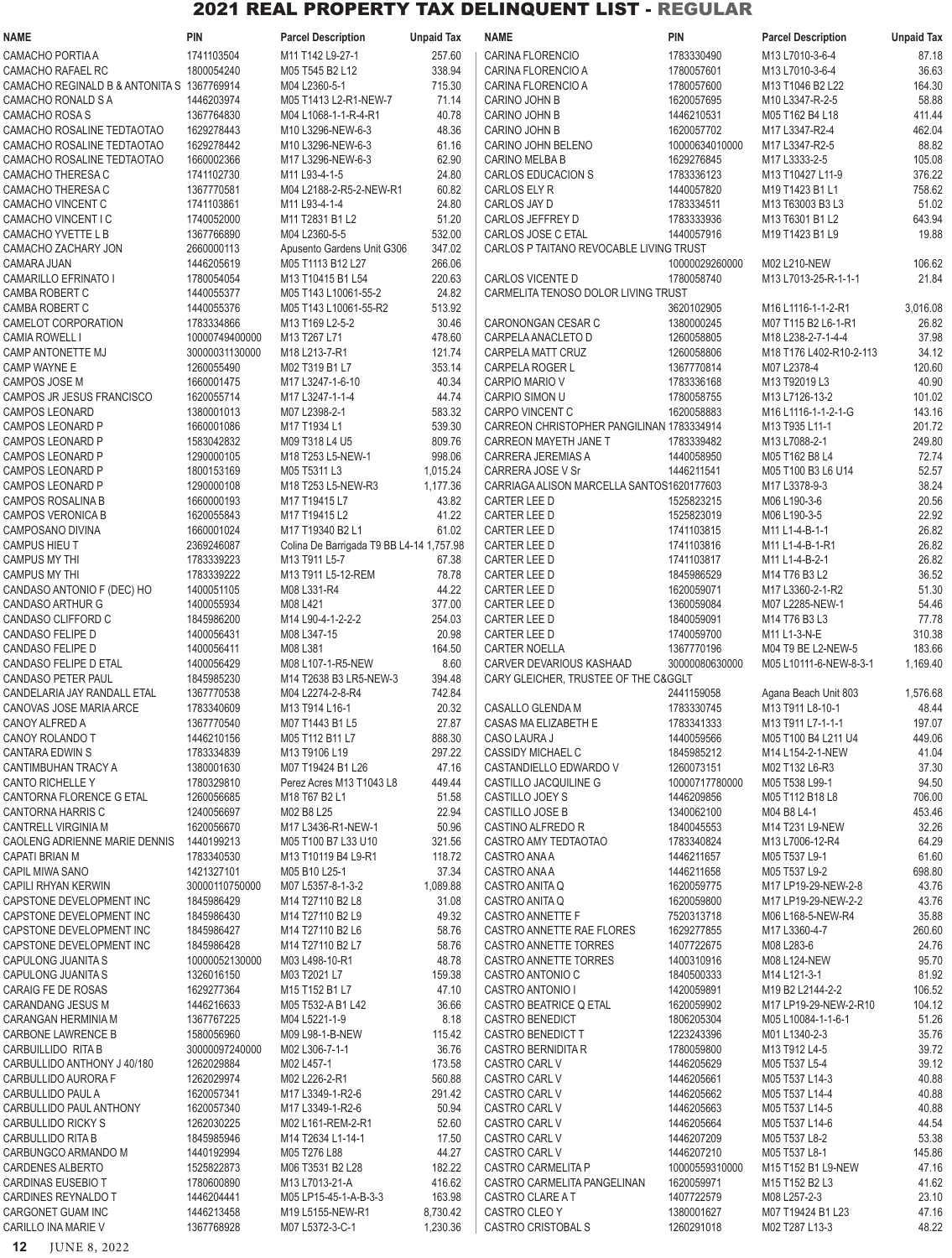| <b>NAME</b>                                          | <b>PIN</b>                   | <b>Parcel Description</b>                | <b>Unpaid Tax</b> | NAME                                               | <b>PIN</b>               | <b>Parcel Description</b>              | <b>Unpaid Tax</b> |
|------------------------------------------------------|------------------------------|------------------------------------------|-------------------|----------------------------------------------------|--------------------------|----------------------------------------|-------------------|
| CAMACHO PORTIA A                                     | 1741103504                   | M11 T142 L9-27-1                         | 257.60            | CARINA FLORENCIO                                   | 1783330490               | M13 L7010-3-6-4                        | 87.18             |
| CAMACHO RAFAEL RC                                    | 1800054240                   | M05 T545 B2 L12                          | 338.94            | CARINA FLORENCIO A                                 | 1780057601               | M13 L7010-3-6-4                        | 36.63             |
| CAMACHO REGINALD B & ANTONITA S 1367769914           |                              | M04 L2360-5-1                            | 715.30            | CARINA FLORENCIO A                                 | 1780057600               | M13 T1046 B2 L22                       | 164.30            |
| CAMACHO RONALD S A                                   | 1446203974                   | M05 T1413 L2-R1-NEW-7                    | 71.14             | CARINO JOHN B                                      | 1620057695               | M10 L3347-R-2-5                        | 58.88             |
| CAMACHO ROSA S                                       | 1367764830                   | M04 L1068-1-1-R-4-R1                     | 40.78             | CARINO JOHN B                                      | 1446210531               | M05 T162 B4 L18                        | 411.44            |
| CAMACHO ROSALINE TEDTAOTAO                           | 1629278443                   | M10 L3296-NEW-6-3                        | 48.36             | CARINO JOHN B                                      | 1620057702               | M17 L3347-R2-4                         | 462.04            |
| CAMACHO ROSALINE TEDTAOTAO                           | 1629278442                   | M10 L3296-NEW-6-3                        | 61.16             | CARINO JOHN BELENO                                 | 10000634010000           | M17 L3347-R2-5                         | 88.82             |
| CAMACHO ROSALINE TEDTAOTAO                           | 1660002366<br>1741102730     | M17 L3296-NEW-6-3<br>M11 L93-4-1-5       | 62.90             | <b>CARINO MELBA B</b><br>CARLOS EDUCACION S        | 1629276845<br>1783336123 | M17 L3333-2-5                          | 105.08            |
| CAMACHO THERESA C<br><b>CAMACHO THERESA C</b>        | 1367770581                   | M04 L2188-2-R5-2-NEW-R1                  | 24.80<br>60.82    | CARLOS ELY R                                       | 1440057820               | M13 T10427 L11-9<br>M19 T1423 B1 L1    | 376.22<br>758.62  |
| CAMACHO VINCENT C                                    | 1741103861                   | M11 L93-4-1-4                            | 24.80             | CARLOS JAY D                                       | 1783334511               | M13 T63003 B3 L3                       | 51.02             |
| <b>CAMACHO VINCENT I C</b>                           | 1740052000                   | M11 T2831 B1 L2                          | 51.20             | CARLOS JEFFREY D                                   | 1783333936               | M13 T6301 B1 L2                        | 643.94            |
| CAMACHO YVETTE L B                                   | 1367766890                   | M04 L2360-5-5                            | 532.00            | CARLOS JOSE C ETAL                                 | 1440057916               | M19 T1423 B1 L9                        | 19.88             |
| CAMACHO ZACHARY JON                                  | 2660000113                   | Apusento Gardens Unit G306               | 347.02            | CARLOS P TAITANO REVOCABLE LIVING TRUST            |                          |                                        |                   |
| CAMARA JUAN                                          | 1446205619                   | M05 T1113 B12 L27                        | 266.06            |                                                    | 10000029260000           | M02 L210-NEW                           | 106.62            |
| <b>CAMARILLO EFRINATO I</b>                          | 1780054054                   | M13 T10415 B1 L54                        | 220.63            | CARLOS VICENTE D                                   | 1780058740               | M13 L7013-25-R-1-1-1                   | 21.84             |
| <b>CAMBA ROBERT C</b>                                | 1440055377                   | M05 T143 L10061-55-2                     | 24.82             | CARMELITA TENOSO DOLOR LIVING TRUST                |                          |                                        |                   |
| <b>CAMBA ROBERT C</b>                                | 1440055376                   | M05 T143 L10061-55-R2                    | 513.92            |                                                    | 3620102905               | M16 L1116-1-1-2-R1                     | 3,016.08          |
| CAMELOT CORPORATION                                  | 1783334866                   | M13 T169 L2-5-2                          | 30.46             | CARONONGAN CESAR C                                 | 1380000245               | M07 T115 B2 L6-1-R1                    | 26.82             |
| <b>CAMIA ROWELL I</b>                                | 10000749400000               | M13 T267 L71                             | 478.60            | CARPELA ANACLETO D                                 | 1260058805               | M18 L238-2-7-1-4-4                     | 37.98             |
| CAMP ANTONETTE MJ                                    | 30000031130000<br>1260055490 | M18 L213-7-R1                            | 121.74<br>353.14  | CARPELA MATT CRUZ                                  | 1260058806<br>1367770814 | M18 T176 L402-R10-2-113<br>M07 L2378-4 | 34.12             |
| CAMP WAYNE E<br><b>CAMPOS JOSE M</b>                 | 1660001475                   | M02 T319 B1 L7<br>M17 L3247-1-6-10       | 40.34             | CARPELA ROGER L<br>CARPIO MARIO V                  | 1783336168               | M13 T92019 L3                          | 120.60<br>40.90   |
| CAMPOS JR JESUS FRANCISCO                            | 1620055714                   | M17 L3247-1-1-4                          | 44.74             | CARPIO SIMON U                                     | 1780058755               | M13 L7126-13-2                         | 101.02            |
| <b>CAMPOS LEONARD</b>                                | 1380001013                   | M07 L2398-2-1                            | 583.32            | <b>CARPO VINCENT C</b>                             | 1620058883               | M16 L1116-1-1-2-1-G                    | 143.16            |
| <b>CAMPOS LEONARD P</b>                              | 1660001086                   | M17 T1934 L1                             | 539.30            | CARREON CHRISTOPHER PANGILINAN 1783334914          |                          | M13 T935 L11-1                         | 201.72            |
| CAMPOS LEONARD P                                     | 1583042832                   | M09 T318 L4 U5                           | 809.76            | CARREON MAYETH JANE T                              | 1783339482               | M13 L7088-2-1                          | 249.80            |
| <b>CAMPOS LEONARD P</b>                              | 1290000105                   | M18 T253 L5-NEW-1                        | 998.06            | CARRERA JEREMIAS A                                 | 1440058950               | M05 T162 B8 L4                         | 72.74             |
| <b>CAMPOS LEONARD P</b>                              | 1800153169                   | M05 T5311 L3                             | 1,015.24          | CARRERA JOSE V Sr                                  | 1446211541               | M05 T100 B3 L6 U14                     | 52.57             |
| <b>CAMPOS LEONARD P</b>                              | 1290000108                   | M18 T253 L5-NEW-R3                       | 1,177.36          | CARRIAGA ALISON MARCELLA SANTOS1620177603          |                          | M17 L3378-9-3                          | 38.24             |
| CAMPOS ROSALINA B                                    | 1660000193                   | M17 T19415 L7                            | 43.82             | CARTER LEE D                                       | 1525823215               | M06 L190-3-6                           | 20.56             |
| <b>CAMPOS VERONICA B</b>                             | 1620055843                   | M17 T19415 L2                            | 41.22             | CARTER LEE D                                       | 1525823019               | M06 L190-3-5                           | 22.92             |
| CAMPOSANO DIVINA                                     | 1660001024                   | M17 T19340 B2 L1                         | 61.02             | CARTER LEE D                                       | 1741103815               | M11 L1-4-B-1-1                         | 26.82             |
| <b>CAMPUS HIEU T</b>                                 | 2369246087                   | Colina De Barrigada T9 BB L4-14 1,757.98 |                   | CARTER LEE D                                       | 1741103816               | M11 L1-4-B-1-R1                        | 26.82             |
| <b>CAMPUS MY THI</b><br><b>CAMPUS MY THI</b>         | 1783339223<br>1783339222     | M13 T911 L5-7<br>M13 T911 L5-12-REM      | 67.38<br>78.78    | CARTER LEE D<br>CARTER LEE D                       | 1741103817<br>1845986529 | M11 L1-4-B-2-1<br>M14 T76 B3 L2        | 26.82<br>36.52    |
| CANDASO ANTONIO F (DEC) HO                           | 1400051105                   | M08 L331-R4                              | 44.22             | CARTER LEE D                                       | 1620059071               | M17 L3360-2-1-R2                       | 51.30             |
| CANDASO ARTHUR G                                     | 1400055934                   | M08 L421                                 | 377.00            | CARTER LEE D                                       | 1360059084               | M07 L2285-NEW-1                        | 54.46             |
| CANDASO CLIFFORD C                                   | 1845986200                   | M14 L90-4-1-2-2-2                        | 254.03            | CARTER LEE D                                       | 1840059091               | M14 T76 B3 L3                          | 77.78             |
| <b>CANDASO FELIPE D</b>                              | 1400056431                   | M08 L347-15                              | 20.98             | CARTER LEE D                                       | 1740059700               | M11 L1-3-N-E                           | 310.38            |
| <b>CANDASO FELIPE D</b>                              | 1400056411                   | M08 L381                                 | 164.50            | <b>CARTER NOELLA</b>                               | 1367770196               | M04 T9 BE L2-NEW-5                     | 183.66            |
| CANDASO FELIPE D ETAL                                | 1400056429                   | M08 L107-1-R5-NEW                        | 8.60              | CARVER DEVARIOUS KASHAAD                           | 30000080630000           | M05 L10111-6-NEW-8-3-1                 | 1,169.40          |
| <b>CANDASO PETER PAUL</b>                            | 1845985230                   | M14 T2638 B3 LR5-NEW-3                   | 394.48            | CARY GLEICHER, TRUSTEE OF THE C&GGLT               |                          |                                        |                   |
| CANDELARIA JAY RANDALL ETAL                          | 1367770538                   | M04 L2274-2-8-R4                         | 742.84            |                                                    | 2441159058               | Agana Beach Unit 803                   | 1,576.68          |
| CANOVAS JOSE MARIA ARCE                              | 1783340609                   | M13 T914 L16-1                           | 20.32             | CASALLO GLENDA M                                   | 1783330745               | M13 T911 L8-10-1                       | 48.44             |
| CANOY ALFRED A                                       | 1367770540                   | M07 T1443 B1 L5                          | 27.87             | CASAS MA ELIZABETH E                               | 1783341333               | M13 T911 L7-1-1-1                      | 197.07            |
| CANOY ROLANDO T                                      | 1446210156                   | M05 T112 B11 L7                          | 888.30            | CASO LAURA J                                       | 1440059566               | M05 T100 B4 L211 U4                    | 449.06            |
| <b>CANTARA EDWIN S</b><br>CANTIMBUHAN TRACY A        | 1783334839<br>1380001630     | M13 T9106 L19<br>M07 T19424 B1 L26       | 297.22<br>47.16   | <b>CASSIDY MICHAEL C</b><br>CASTANDIELLO EDWARDO V | 1845985212<br>1260073151 | M14 L154-2-1-NEW<br>M02 T132 L6-R3     | 41.04<br>37.30    |
| <b>CANTO RICHELLE Y</b>                              | 1780329810                   | Perez Acres M13 T1043 L8                 | 449.44            | CASTILLO JACQUILINE G                              | 10000717780000           | M05 T538 L99-1                         | 94.50             |
| CANTORNA FLORENCE G ETAL                             | 1260056685                   | M18 T67 B2 L1                            | 51.58             | CASTILLO JOEY S                                    | 1446209856               | M05 T112 B18 L8                        | 706.00            |
| <b>CANTORNA HARRIS C</b>                             | 1240056697                   | M02 B8 L25                               | 22.94             | CASTILLO JOSE B                                    | 1340062100               | M04 B8 L4-1                            | 453.46            |
| <b>CANTRELL VIRGINIA M</b>                           | 1620056670                   | M17 L3436-R1-NEW-1                       | 50.96             | CASTINO ALFREDO R                                  | 1840045553               | M14 T231 L9-NEW                        | 32.26             |
| CAOLENG ADRIENNE MARIE DENNIS                        | 1440199213                   | M05 T100 B7 L33 U10                      | 321.56            | CASTRO AMY TEDTAOTAO                               | 1783340824               | M13 L7006-12-R4                        | 64.29             |
| <b>CAPATI BRIAN M</b>                                | 1783340530                   | M13 T10119 B4 L9-R1                      | 118.72            | CASTRO ANA A                                       | 1446211657               | M05 T537 L9-1                          | 61.60             |
| <b>CAPIL MIWA SANO</b>                               | 1421327101                   | M05 B10 L25-1                            | 37.34             | CASTRO ANA A                                       | 1446211658               | M05 T537 L9-2                          | 698.80            |
| CAPILI RHYAN KERWIN                                  | 30000110750000               | M07 L5357-8-1-3-2                        | 1,089.88          | CASTRO ANITA Q                                     | 1620059775               | M17 LP19-29-NEW-2-8                    | 43.76             |
| CAPSTONE DEVELOPMENT INC                             | 1845986429                   | M14 T27110 B2 L8                         | 31.08             | CASTRO ANITA Q                                     | 1620059800               | M17 LP19-29-NEW-2-2                    | 43.76             |
| CAPSTONE DEVELOPMENT INC                             | 1845986430                   | M14 T27110 B2 L9                         | 49.32             | CASTRO ANNETTE F                                   | 7520313718               | M06 L168-5-NEW-R4                      | 35.88             |
| CAPSTONE DEVELOPMENT INC<br>CAPSTONE DEVELOPMENT INC | 1845986427                   | M14 T27110 B2 L6<br>M14 T27110 B2 L7     | 58.76             | CASTRO ANNETTE RAE FLORES                          | 1629277855<br>1407722675 | M17 L3360-4-7                          | 260.60<br>24.76   |
| CAPULONG JUANITA S                                   | 1845986428<br>10000052130000 | M03 L498-10-R1                           | 58.76<br>48.78    | CASTRO ANNETTE TORRES<br>CASTRO ANNETTE TORRES     | 1400310916               | M08 L283-6<br>M08 L124-NEW             | 95.70             |
| CAPULONG JUANITA S                                   | 1326016150                   | M03 T2021 L7                             | 159.38            | CASTRO ANTONIO C                                   | 1840500333               | M14 L121-3-1                           | 81.92             |
| CARAIG FE DE ROSAS                                   | 1629277364                   | M15 T152 B1 L7                           | 47.10             | CASTRO ANTONIO I                                   | 1420059891               | M19 B2 L2144-2-2                       | 106.52            |
| CARANDANG JESUS M                                    | 1446216633                   | M05 T532-A B1 L42                        | 36.66             | CASTRO BEATRICE Q ETAL                             | 1620059902               | M17 LP19-29-NEW-2-R10                  | 104.12            |
| CARANGAN HERMINIA M                                  | 1367767225                   | M04 L5221-1-9                            | 8.18              | <b>CASTRO BENEDICT</b>                             | 1806205304               | M05 L10084-1-1-6-1                     | 51.26             |
| <b>CARBONE LAWRENCE B</b>                            | 1580056960                   | M09 L98-1-B-NEW                          | 115.42            | CASTRO BENEDICT T                                  | 1223243396               | M01 L1340-2-3                          | 35.76             |
| CARBUILLIDO RITA B                                   | 30000097240000               | M02 L306-7-1-1                           | 36.76             | CASTRO BERNIDITA R                                 | 1780059800               | M13 T912 L4-5                          | 39.72             |
| CARBULLIDO ANTHONY J 40/180                          | 1262029884                   | M02 L457-1                               | 173.58            | CASTRO CARL V                                      | 1446205629               | M05 T537 L5-4                          | 39.12             |
| CARBULLIDO AURORA F                                  | 1262029974                   | M02 L226-2-R1                            | 560.88            | CASTRO CARL V                                      | 1446205661               | M05 T537 L14-3                         | 40.88             |
| CARBULLIDO PAUL A                                    | 1620057341                   | M17 L3349-1-R2-6                         | 291.42            | CASTRO CARL V                                      | 1446205662               | M05 T537 L14-4                         | 40.88             |
| CARBULLIDO PAUL ANTHONY                              | 1620057340                   | M17 L3349-1-R2-6                         | 50.94             | CASTRO CARL V                                      | 1446205663               | M05 T537 L14-5                         | 40.88             |
| CARBULLIDO RICKY S<br>CARBULLIDO RITA B              | 1262030225<br>1845985946     | M02 L161-REM-2-R1<br>M14 T2634 L1-14-1   | 52.60<br>17.50    | CASTRO CARL V<br>CASTRO CARL V                     | 1446205664<br>1446207209 | M05 T537 L14-6<br>M05 T537 L8-2        | 44.54<br>53.38    |
| CARBUNGCO ARMANDO M                                  | 1440192994                   | M05 T276 L88                             | 44.27             | CASTRO CARL V                                      | 1446207210               | M05 T537 L8-1                          | 145.86            |
| <b>CARDENES ALBERTO</b>                              | 1525822873                   | M06 T3531 B2 L28                         | 182.22            | CASTRO CARMELITA P                                 | 10000559310000           | M15 T152 B1 L9-NEW                     | 47.16             |
| <b>CARDINAS EUSEBIO T</b>                            | 1780600890                   | M13 L7013-21-A                           | 416.62            | CASTRO CARMELITA PANGELINAN                        | 1620059971               | M15 T152 B2 L3                         | 41.62             |
| CARDINES REYNALDO T                                  | 1446204441                   | M05 LP15-45-1-A-B-3-3                    | 163.98            | CASTRO CLARE A T                                   | 1407722579               | M08 L257-2-3                           | 23.10             |
| CARGONET GUAM INC                                    | 1446213458                   | M19 L5155-NEW-R1                         | 8,730.42          | CASTRO CLEO Y                                      | 1380001627               | M07 T19424 B1 L23                      | 47.16             |
| CARILLO INA MARIE V                                  | 1367768928                   | M07 L5372-3-C-1                          | 1,230.36          | CASTRO CRISTOBAL S                                 | 1260291018               | M02 T287 L13-3                         | 48.22             |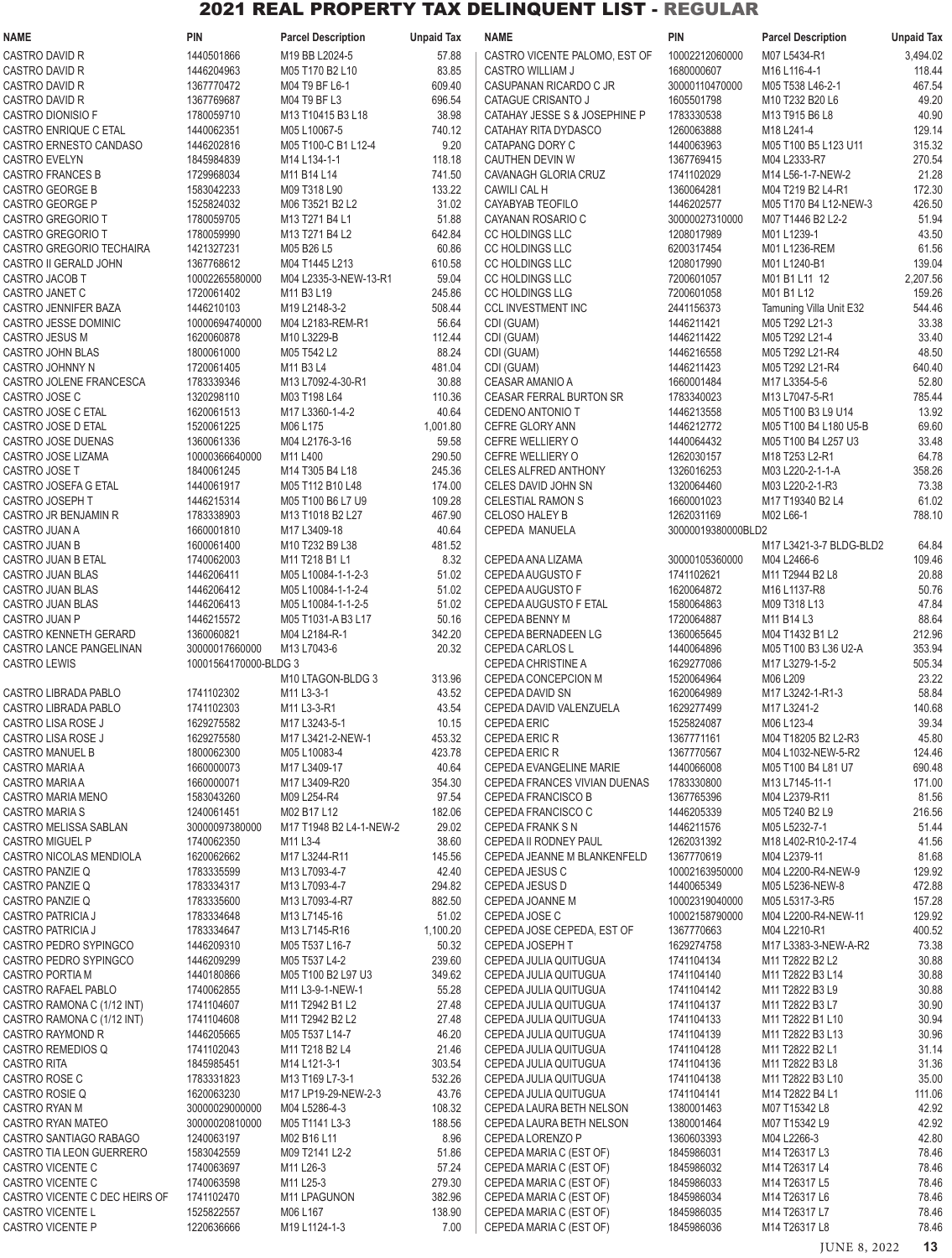| <b>NAME</b>                                       | <b>PIN</b>               | <b>Parcel Description</b>                | <b>Unpaid Tax</b> | <b>NAME</b>                                         | <b>PIN</b>                   | <b>Parcel Description</b>                  | <b>Unpaid Tax</b> |
|---------------------------------------------------|--------------------------|------------------------------------------|-------------------|-----------------------------------------------------|------------------------------|--------------------------------------------|-------------------|
| CASTRO DAVID R                                    | 1440501866               | M19 BB L2024-5                           | 57.88             | CASTRO VICENTE PALOMO, EST OF                       | 10002212060000               | M07 L5434-R1                               | 3,494.02          |
| CASTRO DAVID R                                    | 1446204963               | M05 T170 B2 L10                          | 83.85             | CASTRO WILLIAM J                                    | 1680000607                   | M16 L116-4-1                               | 118.44            |
| CASTRO DAVID R                                    | 1367770472               | M04 T9 BF L6-1                           | 609.40            | CASUPANAN RICARDO C JR                              | 30000110470000               | M05 T538 L46-2-1                           | 467.54            |
| <b>CASTRO DAVID R</b><br>CASTRO DIONISIO F        | 1367769687<br>1780059710 | M04 T9 BF L3<br>M13 T10415 B3 L18        | 696.54<br>38.98   | CATAGUE CRISANTO J<br>CATAHAY JESSE S & JOSEPHINE P | 1605501798<br>1783330538     | M10 T232 B20 L6<br>M13 T915 B6 L8          | 49.20<br>40.90    |
| CASTRO ENRIQUE C ETAL                             | 1440062351               | M05 L10067-5                             | 740.12            | CATAHAY RITA DYDASCO                                | 1260063888                   | M18 L241-4                                 | 129.14            |
| CASTRO ERNESTO CANDASO                            | 1446202816               | M05 T100-C B1 L12-4                      | 9.20              | CATAPANG DORY C                                     | 1440063963                   | M05 T100 B5 L123 U11                       | 315.32            |
| <b>CASTRO EVELYN</b>                              | 1845984839               | M14 L134-1-1                             | 118.18            | CAUTHEN DEVIN W                                     | 1367769415                   | M04 L2333-R7                               | 270.54            |
| <b>CASTRO FRANCES B</b>                           | 1729968034               | M11 B14 L14                              | 741.50            | CAVANAGH GLORIA CRUZ                                | 1741102029                   | M14 L56-1-7-NEW-2                          | 21.28             |
| <b>CASTRO GEORGE B</b>                            | 1583042233               | M09 T318 L90                             | 133.22            | CAWILI CAL H                                        | 1360064281                   | M04 T219 B2 L4-R1                          | 172.30            |
| CASTRO GEORGE P<br><b>CASTRO GREGORIO T</b>       | 1525824032<br>1780059705 | M06 T3521 B2 L2<br>M13 T271 B4 L1        | 31.02<br>51.88    | CAYABYAB TEOFILO<br>CAYANAN ROSARIO C               | 1446202577<br>30000027310000 | M05 T170 B4 L12-NEW-3<br>M07 T1446 B2 L2-2 | 426.50<br>51.94   |
| CASTRO GREGORIO T                                 | 1780059990               | M13 T271 B4 L2                           | 642.84            | CC HOLDINGS LLC                                     | 1208017989                   | M01 L1239-1                                | 43.50             |
| CASTRO GREGORIO TECHAIRA                          | 1421327231               | M05 B26 L5                               | 60.86             | CC HOLDINGS LLC                                     | 6200317454                   | M01 L1236-REM                              | 61.56             |
| CASTRO II GERALD JOHN                             | 1367768612               | M04 T1445 L213                           | 610.58            | CC HOLDINGS LLC                                     | 1208017990                   | M01 L1240-B1                               | 139.04            |
| CASTRO JACOB T                                    | 10002265580000           | M04 L2335-3-NEW-13-R1                    | 59.04             | CC HOLDINGS LLC                                     | 7200601057                   | M01 B1 L11 12                              | 2,207.56          |
| CASTRO JANET C<br>CASTRO JENNIFER BAZA            | 1720061402<br>1446210103 | M11 B3 L19<br>M19 L2148-3-2              | 245.86<br>508.44  | CC HOLDINGS LLG<br><b>CCL INVESTMENT INC</b>        | 7200601058<br>2441156373     | M01 B1 L12<br>Tamuning Villa Unit E32      | 159.26<br>544.46  |
| CASTRO JESSE DOMINIC                              | 10000694740000           | M04 L2183-REM-R1                         | 56.64             | CDI (GUAM)                                          | 1446211421                   | M05 T292 L21-3                             | 33.38             |
| CASTRO JESUS M                                    | 1620060878               | M10 L3229-B                              | 112.44            | CDI (GUAM)                                          | 1446211422                   | M05 T292 L21-4                             | 33.40             |
| CASTRO JOHN BLAS                                  | 1800061000               | M05 T542 L2                              | 88.24             | CDI (GUAM)                                          | 1446216558                   | M05 T292 L21-R4                            | 48.50             |
| CASTRO JOHNNY N                                   | 1720061405               | M11 B3 L4                                | 481.04            | CDI (GUAM)                                          | 1446211423                   | M05 T292 L21-R4                            | 640.40            |
| CASTRO JOLENE FRANCESCA                           | 1783339346               | M13 L7092-4-30-R1                        | 30.88             | CEASAR AMANIO A                                     | 1660001484                   | M17 L3354-5-6                              | 52.80             |
| CASTRO JOSE C<br>CASTRO JOSE C ETAL               | 1320298110<br>1620061513 | M03 T198 L64<br>M17 L3360-1-4-2          | 110.36<br>40.64   | CEASAR FERRAL BURTON SR<br><b>CEDENO ANTONIO T</b>  | 1783340023<br>1446213558     | M13 L7047-5-R1<br>M05 T100 B3 L9 U14       | 785.44<br>13.92   |
| CASTRO JOSE D ETAL                                | 1520061225               | M06 L175                                 | 1,001.80          | CEFRE GLORY ANN                                     | 1446212772                   | M05 T100 B4 L180 U5-B                      | 69.60             |
| CASTRO JOSE DUENAS                                | 1360061336               | M04 L2176-3-16                           | 59.58             | CEFRE WELLIERY O                                    | 1440064432                   | M05 T100 B4 L257 U3                        | 33.48             |
| CASTRO JOSE LIZAMA                                | 10000366640000           | M11 L400                                 | 290.50            | CEFRE WELLIERY O                                    | 1262030157                   | M18 T253 L2-R1                             | 64.78             |
| CASTRO JOSE T                                     | 1840061245               | M14 T305 B4 L18                          | 245.36            | CELES ALFRED ANTHONY                                | 1326016253                   | M03 L220-2-1-1-A                           | 358.26            |
| CASTRO JOSEFA G ETAL                              | 1440061917               | M05 T112 B10 L48                         | 174.00            | CELES DAVID JOHN SN                                 | 1320064460                   | M03 L220-2-1-R3                            | 73.38             |
| <b>CASTRO JOSEPH T</b><br>CASTRO JR BENJAMIN R    | 1446215314<br>1783338903 | M05 T100 B6 L7 U9<br>M13 T1018 B2 L27    | 109.28<br>467.90  | <b>CELESTIAL RAMON S</b><br><b>CELOSO HALEY B</b>   | 1660001023<br>1262031169     | M17 T19340 B2 L4<br>M02 L66-1              | 61.02<br>788.10   |
| CASTRO JUAN A                                     | 1660001810               | M17 L3409-18                             | 40.64             | CEPEDA MANUELA                                      | 30000019380000BLD2           |                                            |                   |
| CASTRO JUAN B                                     | 1600061400               | M10 T232 B9 L38                          | 481.52            |                                                     |                              | M17 L3421-3-7 BLDG-BLD2                    | 64.84             |
| CASTRO JUAN B ETAL                                | 1740062003               | M11 T218 B1 L1                           | 8.32              | CEPEDA ANA LIZAMA                                   | 30000105360000               | M04 L2466-6                                | 109.46            |
| CASTRO JUAN BLAS                                  | 1446206411               | M05 L10084-1-1-2-3                       | 51.02             | CEPEDA AUGUSTO F                                    | 1741102621                   | M11 T2944 B2 L8                            | 20.88             |
| CASTRO JUAN BLAS                                  | 1446206412               | M05 L10084-1-1-2-4                       | 51.02             | CEPEDA AUGUSTO F                                    | 1620064872                   | M16 L1137-R8                               | 50.76             |
| <b>CASTRO JUAN BLAS</b><br>CASTRO JUAN P          | 1446206413<br>1446215572 | M05 L10084-1-1-2-5<br>M05 T1031-A B3 L17 | 51.02<br>50.16    | CEPEDA AUGUSTO F ETAL<br><b>CEPEDA BENNY M</b>      | 1580064863<br>1720064887     | M09 T318 L13<br>M11 B14 L3                 | 47.84<br>88.64    |
| CASTRO KENNETH GERARD                             | 1360060821               | M04 L2184-R-1                            | 342.20            | CEPEDA BERNADEEN LG                                 | 1360065645                   | M04 T1432 B1 L2                            | 212.96            |
| CASTRO LANCE PANGELINAN                           | 30000017660000           | M13 L7043-6                              | 20.32             | <b>CEPEDA CARLOS L</b>                              | 1440064896                   | M05 T100 B3 L36 U2-A                       | 353.94            |
| <b>CASTRO LEWIS</b>                               | 10001564170000-BLDG 3    |                                          |                   | <b>CEPEDA CHRISTINE A</b>                           | 1629277086                   | M17 L3279-1-5-2                            | 505.34            |
|                                                   |                          | M10 LTAGON-BLDG 3                        | 313.96            | CEPEDA CONCEPCION M                                 | 1520064964                   | M06 L209                                   | 23.22             |
| CASTRO LIBRADA PABLO<br>CASTRO LIBRADA PABLO      | 1741102302<br>1741102303 | M11 L3-3-1                               | 43.52             | CEPEDA DAVID SN                                     | 1620064989<br>1629277499     | M17 L3242-1-R1-3                           | 58.84             |
| CASTRO LISA ROSE J                                | 1629275582               | M11 L3-3-R1<br>M17 L3243-5-1             | 43.54<br>10.15    | CEPEDA DAVID VALENZUELA<br><b>CEPEDA ERIC</b>       | 1525824087                   | M17 L3241-2<br>M06 L123-4                  | 140.68<br>39.34   |
| CASTRO LISA ROSE J                                | 1629275580               | M17 L3421-2-NEW-1                        | 453.32            | <b>CEPEDA ERIC R</b>                                | 1367771161                   | M04 T18205 B2 L2-R3                        | 45.80             |
| <b>CASTRO MANUEL B</b>                            | 1800062300               | M05 L10083-4                             | 423.78            | <b>CEPEDA ERIC R</b>                                | 1367770567                   | M04 L1032-NEW-5-R2                         | 124.46            |
| CASTRO MARIA A                                    | 1660000073               | M17 L3409-17                             | 40.64             | CEPEDA EVANGELINE MARIE                             | 1440066008                   | M05 T100 B4 L81 U7                         | 690.48            |
| CASTRO MARIA A                                    | 1660000071               | M17 L3409-R20                            | 354.30            | CEPEDA FRANCES VIVIAN DUENAS                        | 1783330800                   | M13 L7145-11-1                             | 171.00            |
| CASTRO MARIA MENO<br><b>CASTRO MARIA S</b>        | 1583043260<br>1240061451 | M09 L254-R4<br>M02 B17 L12               | 97.54<br>182.06   | CEPEDA FRANCISCO B<br>CEPEDA FRANCISCO C            | 1367765396<br>1446205339     | M04 L2379-R11<br>M05 T240 B2 L9            | 81.56<br>216.56   |
| CASTRO MELISSA SABLAN                             | 30000097380000           | M17 T1948 B2 L4-1-NEW-2                  | 29.02             | <b>CEPEDA FRANK S N</b>                             | 1446211576                   | M05 L5232-7-1                              | 51.44             |
| <b>CASTRO MIGUEL P</b>                            | 1740062350               | M11 L3-4                                 | 38.60             | CEPEDA II RODNEY PAUL                               | 1262031392                   | M18 L402-R10-2-17-4                        | 41.56             |
| CASTRO NICOLAS MENDIOLA                           | 1620062662               | M17 L3244-R11                            | 145.56            | CEPEDA JEANNE M BLANKENFELD                         | 1367770619                   | M04 L2379-11                               | 81.68             |
| CASTRO PANZIE Q                                   | 1783335599               | M13 L7093-4-7                            | 42.40             | CEPEDA JESUS C                                      | 10002163950000               | M04 L2200-R4-NEW-9                         | 129.92            |
| CASTRO PANZIE Q<br>CASTRO PANZIE Q                | 1783334317<br>1783335600 | M13 L7093-4-7<br>M13 L7093-4-R7          | 294.82<br>882.50  | CEPEDA JESUS D<br>CEPEDA JOANNE M                   | 1440065349<br>10002319040000 | M05 L5236-NEW-8<br>M05 L5317-3-R5          | 472.88<br>157.28  |
| CASTRO PATRICIA J                                 | 1783334648               | M13 L7145-16                             | 51.02             | CEPEDA JOSE C                                       | 10002158790000               | M04 L2200-R4-NEW-11                        | 129.92            |
| CASTRO PATRICIA J                                 | 1783334647               | M13 L7145-R16                            | 1,100.20          | CEPEDA JOSE CEPEDA, EST OF                          | 1367770663                   | M04 L2210-R1                               | 400.52            |
| CASTRO PEDRO SYPINGCO                             | 1446209310               | M05 T537 L16-7                           | 50.32             | CEPEDA JOSEPH T                                     | 1629274758                   | M17 L3383-3-NEW-A-R2                       | 73.38             |
| CASTRO PEDRO SYPINGCO                             | 1446209299               | M05 T537 L4-2                            | 239.60            | CEPEDA JULIA QUITUGUA                               | 1741104134                   | M11 T2822 B2 L2                            | 30.88             |
| <b>CASTRO PORTIA M</b>                            | 1440180866<br>1740062855 | M05 T100 B2 L97 U3                       | 349.62            | CEPEDA JULIA QUITUGUA                               | 1741104140                   | M11 T2822 B3 L14                           | 30.88<br>30.88    |
| CASTRO RAFAEL PABLO<br>CASTRO RAMONA C (1/12 INT) | 1741104607               | M11 L3-9-1-NEW-1<br>M11 T2942 B1 L2      | 55.28<br>27.48    | CEPEDA JULIA QUITUGUA<br>CEPEDA JULIA QUITUGUA      | 1741104142<br>1741104137     | M11 T2822 B3 L9<br>M11 T2822 B3 L7         | 30.90             |
| CASTRO RAMONA C (1/12 INT)                        | 1741104608               | M11 T2942 B2 L2                          | 27.48             | CEPEDA JULIA QUITUGUA                               | 1741104133                   | M11 T2822 B1 L10                           | 30.94             |
| CASTRO RAYMOND R                                  | 1446205665               | M05 T537 L14-7                           | 46.20             | CEPEDA JULIA QUITUGUA                               | 1741104139                   | M11 T2822 B3 L13                           | 30.96             |
| CASTRO REMEDIOS Q                                 | 1741102043               | M11 T218 B2 L4                           | 21.46             | CEPEDA JULIA QUITUGUA                               | 1741104128                   | M11 T2822 B2 L1                            | 31.14             |
| <b>CASTRO RITA</b>                                | 1845985451               | M14 L121-3-1                             | 303.54            | CEPEDA JULIA QUITUGUA                               | 1741104136                   | M11 T2822 B3 L8                            | 31.36             |
| CASTRO ROSE C<br>CASTRO ROSIE Q                   | 1783331823<br>1620063230 | M13 T169 L7-3-1<br>M17 LP19-29-NEW-2-3   | 532.26<br>43.76   | CEPEDA JULIA QUITUGUA                               | 1741104138<br>1741104141     | M11 T2822 B3 L10<br>M14 T2822 B4 L1        | 35.00<br>111.06   |
| CASTRO RYAN M                                     | 30000029000000           | M04 L5286-4-3                            | 108.32            | CEPEDA JULIA QUITUGUA<br>CEPEDA LAURA BETH NELSON   | 1380001463                   | M07 T15342 L8                              | 42.92             |
| CASTRO RYAN MATEO                                 | 30000020810000           | M05 T1141 L3-3                           | 188.56            | CEPEDA LAURA BETH NELSON                            | 1380001464                   | M07 T15342 L9                              | 42.92             |
| CASTRO SANTIAGO RABAGO                            | 1240063197               | M02 B16 L11                              | 8.96              | CEPEDA LORENZO P                                    | 1360603393                   | M04 L2266-3                                | 42.80             |
| CASTRO TIA LEON GUERRERO                          | 1583042559               | M09 T2141 L2-2                           | 51.86             | CEPEDA MARIA C (EST OF)                             | 1845986031                   | M14 T26317 L3                              | 78.46             |
| CASTRO VICENTE C                                  | 1740063697               | M11 L26-3                                | 57.24             | CEPEDA MARIA C (EST OF)                             | 1845986032                   | M14 T26317 L4                              | 78.46             |
| CASTRO VICENTE C<br>CASTRO VICENTE C DEC HEIRS OF | 1740063598<br>1741102470 | M11 L25-3<br>M11 LPAGUNON                | 279.30<br>382.96  | CEPEDA MARIA C (EST OF)<br>CEPEDA MARIA C (EST OF)  | 1845986033<br>1845986034     | M14 T26317 L5<br>M14 T26317 L6             | 78.46<br>78.46    |
| <b>CASTRO VICENTE L</b>                           | 1525822557               | M06 L167                                 | 138.90            | CEPEDA MARIA C (EST OF)                             | 1845986035                   | M14 T26317 L7                              | 78.46             |
| CASTRO VICENTE P                                  | 1220636666               | M19 L1124-1-3                            | 7.00              | CEPEDA MARIA C (EST OF)                             | 1845986036                   | M14 T26317 L8                              | 78.46             |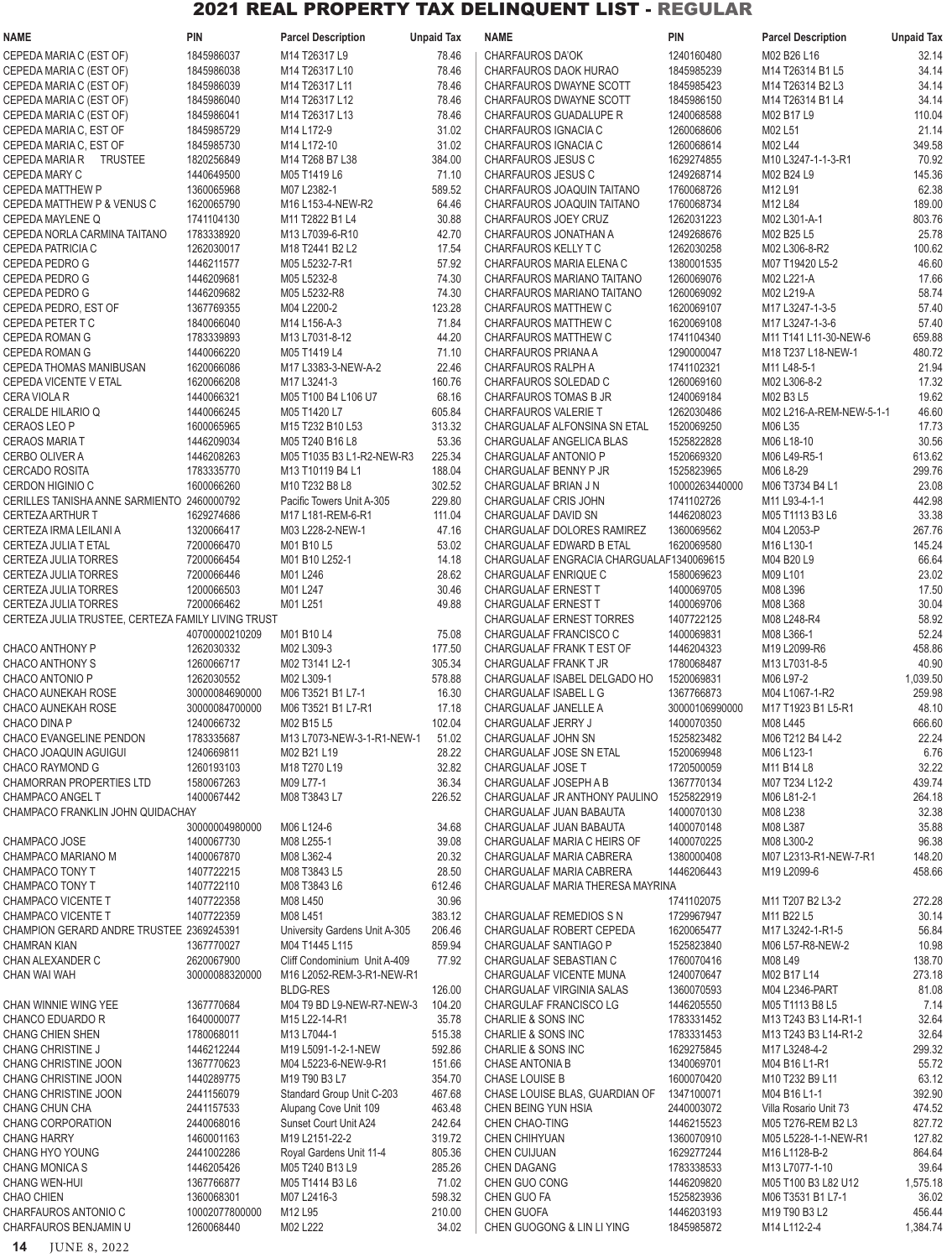| <b>NAME</b>                                                           | <b>PIN</b>                   | <b>Parcel Description</b>                                                                   | <b>Unpaid Tax</b> | <b>NAME</b>                                              | <b>PIN</b>                   | <b>Parcel Description</b>                  | <b>Unpaid Tax</b>  |
|-----------------------------------------------------------------------|------------------------------|---------------------------------------------------------------------------------------------|-------------------|----------------------------------------------------------|------------------------------|--------------------------------------------|--------------------|
| CEPEDA MARIA C (EST OF)                                               | 1845986037                   | M14 T26317 L9                                                                               | 78.46             | <b>CHARFAUROS DA'OK</b>                                  | 1240160480                   | M02 B26 L16                                | 32.14              |
| CEPEDA MARIA C (EST OF)                                               | 1845986038                   | M14 T26317 L10                                                                              | 78.46             | CHARFAUROS DAOK HURAO                                    | 1845985239                   | M14 T26314 B1 L5                           | 34.14              |
| CEPEDA MARIA C (EST OF)                                               | 1845986039                   | M14 T26317 L11                                                                              | 78.46             | CHARFAUROS DWAYNE SCOTT                                  | 1845985423                   | M14 T26314 B2 L3                           | 34.14              |
| CEPEDA MARIA C (EST OF)<br>CEPEDA MARIA C (EST OF)                    | 1845986040<br>1845986041     | M14 T26317 L12<br>M14 T26317 L13                                                            | 78.46<br>78.46    | CHARFAUROS DWAYNE SCOTT<br>CHARFAUROS GUADALUPE R        | 1845986150<br>1240068588     | M14 T26314 B1 L4<br>M02 B17 L9             | 34.14<br>110.04    |
| CEPEDA MARIA C, EST OF                                                | 1845985729                   | M14 L172-9                                                                                  | 31.02             | CHARFAUROS IGNACIA C                                     | 1260068606                   | M02 L51                                    | 21.14              |
| CEPEDA MARIA C, EST OF                                                | 1845985730                   | M14 L172-10                                                                                 | 31.02             | CHARFAUROS IGNACIA C                                     | 1260068614                   | M02 L44                                    | 349.58             |
| CEPEDA MARIA R TRUSTEE                                                | 1820256849                   | M14 T268 B7 L38                                                                             | 384.00            | CHARFAUROS JESUS C                                       | 1629274855                   | M10 L3247-1-1-3-R1                         | 70.92              |
| <b>CEPEDA MARY C</b>                                                  | 1440649500                   | M05 T1419 L6                                                                                | 71.10             | <b>CHARFAUROS JESUS C</b>                                | 1249268714                   | M02 B24 L9                                 | 145.36             |
| <b>CEPEDA MATTHEW P</b><br>CEPEDA MATTHEW P & VENUS C                 | 1360065968<br>1620065790     | M07 L2382-1<br>M16 L153-4-NEW-R2                                                            | 589.52<br>64.46   | CHARFAUROS JOAQUIN TAITANO<br>CHARFAUROS JOAQUIN TAITANO | 1760068726<br>1760068734     | M12 L91<br>M12 L84                         | 62.38<br>189.00    |
| CEPEDA MAYLENE Q                                                      | 1741104130                   | M11 T2822 B1 L4                                                                             | 30.88             | CHARFAUROS JOEY CRUZ                                     | 1262031223                   | M02 L301-A-1                               | 803.76             |
| CEPEDA NORLA CARMINA TAITANO                                          | 1783338920                   | M13 L7039-6-R10                                                                             | 42.70             | CHARFAUROS JONATHAN A                                    | 1249268676                   | M02 B25 L5                                 | 25.78              |
| CEPEDA PATRICIA C                                                     | 1262030017                   | M18 T2441 B2 L2                                                                             | 17.54             | CHARFAUROS KELLY T C                                     | 1262030258                   | M02 L306-8-R2                              | 100.62             |
| CEPEDA PEDRO G                                                        | 1446211577                   | M05 L5232-7-R1                                                                              | 57.92             | CHARFAUROS MARIA ELENA C                                 | 1380001535                   | M07 T19420 L5-2                            | 46.60              |
| CEPEDA PEDRO G                                                        | 1446209681                   | M05 L5232-8                                                                                 | 74.30             | CHARFAUROS MARIANO TAITANO                               | 1260069076                   | M02 L221-A<br>M02 L219-A                   | 17.66              |
| CEPEDA PEDRO G<br>CEPEDA PEDRO, EST OF                                | 1446209682<br>1367769355     | M05 L5232-R8<br>M04 L2200-2                                                                 | 74.30<br>123.28   | CHARFAUROS MARIANO TAITANO<br>CHARFAUROS MATTHEW C       | 1260069092<br>1620069107     | M17 L3247-1-3-5                            | 58.74<br>57.40     |
| CEPEDA PETER T C                                                      | 1840066040                   | M14 L156-A-3                                                                                | 71.84             | <b>CHARFAUROS MATTHEW C</b>                              | 1620069108                   | M17 L3247-1-3-6                            | 57.40              |
| CEPEDA ROMAN G                                                        | 1783339893                   | M13 L7031-8-12                                                                              | 44.20             | CHARFAUROS MATTHEW C                                     | 1741104340                   | M11 T141 L11-30-NEW-6                      | 659.88             |
| CEPEDA ROMAN G                                                        | 1440066220                   | M05 T1419 L4                                                                                | 71.10             | CHARFAUROS PRIANA A                                      | 1290000047                   | M18 T237 L18-NEW-1                         | 480.72             |
| <b>CEPEDA THOMAS MANIBUSAN</b>                                        | 1620066086                   | M17 L3383-3-NEW-A-2                                                                         | 22.46             | CHARFAUROS RALPH A                                       | 1741102321                   | M11 L48-5-1                                | 21.94              |
| <b>CEPEDA VICENTE V ETAL</b>                                          | 1620066208<br>1440066321     | M17 L3241-3<br>M05 T100 B4 L106 U7                                                          | 160.76<br>68.16   | CHARFAUROS SOLEDAD C<br>CHARFAUROS TOMAS B JR            | 1260069160<br>1240069184     | M02 L306-8-2<br>M02 B3 L5                  | 17.32<br>19.62     |
| CERA VIOLA R<br>CERALDE HILARIO Q                                     | 1440066245                   | M05 T1420 L7                                                                                | 605.84            | <b>CHARFAUROS VALERIE T</b>                              | 1262030486                   | M02 L216-A-REM-NEW-5-1-1                   | 46.60              |
| <b>CERAOS LEO P</b>                                                   | 1600065965                   | M15 T232 B10 L53                                                                            | 313.32            | CHARGUALAF ALFONSINA SN ETAL                             | 1520069250                   | M06 L35                                    | 17.73              |
| <b>CERAOS MARIA T</b>                                                 | 1446209034                   | M05 T240 B16 L8                                                                             | 53.36             | CHARGUALAF ANGELICA BLAS                                 | 1525822828                   | M06 L18-10                                 | 30.56              |
| <b>CERBO OLIVER A</b>                                                 | 1446208263                   | M05 T1035 B3 L1-R2-NEW-R3                                                                   | 225.34            | <b>CHARGUALAF ANTONIO P</b>                              | 1520669320                   | M06 L49-R5-1                               | 613.62             |
| <b>CERCADO ROSITA</b>                                                 | 1783335770                   | M13 T10119 B4 L1                                                                            | 188.04            | CHARGUALAF BENNY P JR                                    | 1525823965                   | M06 L8-29                                  | 299.76             |
| <b>CERDON HIGINIO C</b><br>CERILLES TANISHA ANNE SARMIENTO 2460000792 | 1600066260                   | M <sub>10</sub> T <sub>232</sub> B <sub>8</sub> L <sub>8</sub><br>Pacific Towers Unit A-305 | 302.52<br>229.80  | CHARGUALAF BRIAN J N<br>CHARGUALAF CRIS JOHN             | 10000263440000<br>1741102726 | M06 T3734 B4 L1<br>M11 L93-4-1-1           | 23.08<br>442.98    |
| <b>CERTEZA ARTHUR T</b>                                               | 1629274686                   | M17 L181-REM-6-R1                                                                           | 111.04            | CHARGUALAF DAVID SN                                      | 1446208023                   | M05 T1113 B3 L6                            | 33.38              |
| CERTEZA IRMA LEILANI A                                                | 1320066417                   | M03 L228-2-NEW-1                                                                            | 47.16             | CHARGUALAF DOLORES RAMIREZ                               | 1360069562                   | M04 L2053-P                                | 267.76             |
| CERTEZA JULIA T ETAL                                                  | 7200066470                   | M01 B10 L5                                                                                  | 53.02             | CHARGUALAF EDWARD B ETAL                                 | 1620069580                   | M16 L130-1                                 | 145.24             |
| CERTEZA JULIA TORRES                                                  | 7200066454                   | M01 B10 L252-1                                                                              | 14.18             | CHARGUALAF ENGRACIA CHARGUALAF1340069615                 |                              | M04 B20 L9                                 | 66.64              |
| CERTEZA JULIA TORRES                                                  | 7200066446                   | M01 L246                                                                                    | 28.62<br>30.46    | CHARGUALAF ENRIQUE C                                     | 1580069623                   | M09 L101                                   | 23.02              |
| CERTEZA JULIA TORRES<br>CERTEZA JULIA TORRES                          | 1200066503<br>7200066462     | M01 L247<br>M01 L251                                                                        | 49.88             | CHARGUALAF ERNEST T<br><b>CHARGUALAF ERNEST T</b>        | 1400069705<br>1400069706     | M08 L396<br>M08 L368                       | 17.50<br>30.04     |
| CERTEZA JULIA TRUSTEE, CERTEZA FAMILY LIVING TRUST                    |                              |                                                                                             |                   | <b>CHARGUALAF ERNEST TORRES</b>                          | 1407722125                   | M08 L248-R4                                | 58.92              |
|                                                                       | 40700000210209               | M01 B10 L4                                                                                  | 75.08             | CHARGUALAF FRANCISCO C                                   | 1400069831                   | M08 L366-1                                 | 52.24              |
| CHACO ANTHONY P                                                       | 1262030332                   | M02 L309-3                                                                                  | 177.50            | CHARGUALAF FRANK T EST OF                                | 1446204323                   | M19 L2099-R6                               | 458.86             |
| <b>CHACO ANTHONY S</b>                                                | 1260066717                   | M02 T3141 L2-1                                                                              | 305.34            | CHARGUALAF FRANK T JR                                    | 1780068487                   | M13 L7031-8-5                              | 40.90              |
| CHACO ANTONIO P<br><b>CHACO AUNEKAH ROSE</b>                          | 1262030552<br>30000084690000 | M02 L309-1<br>M06 T3521 B1 L7-1                                                             | 578.88<br>16.30   | CHARGUALAF ISABEL DELGADO HO<br>CHARGUALAF ISABEL L G    | 1520069831<br>1367766873     | M06 L97-2<br>M04 L1067-1-R2                | 1,039.50<br>259.98 |
| CHACO AUNEKAH ROSE                                                    | 30000084700000               | M06 T3521 B1 L7-R1                                                                          | 17.18             | CHARGUALAF JANELLE A                                     | 30000106990000               | M17 T1923 B1 L5-R1                         | 48.10              |
| CHACO DINA P                                                          | 1240066732                   | M02 B15 L5                                                                                  | 102.04            | CHARGUALAF JERRY J                                       | 1400070350                   | M08 L445                                   | 666.60             |
| CHACO EVANGELINE PENDON                                               | 1783335687                   | M13 L7073-NEW-3-1-R1-NEW-1                                                                  | 51.02             | CHARGUALAF JOHN SN                                       | 1525823482                   | M06 T212 B4 L4-2                           | 22.24              |
| CHACO JOAQUIN AGUIGUI                                                 | 1240669811                   | M02 B21 L19                                                                                 | 28.22             | CHARGUALAF JOSE SN ETAL                                  | 1520069948                   | M06 L123-1                                 | 6.76               |
| CHACO RAYMOND G<br><b>CHAMORRAN PROPERTIES LTD</b>                    | 1260193103<br>1580067263     | M18 T270 L19<br>M09 L77-1                                                                   | 32.82<br>36.34    | CHARGUALAF JOSE T<br>CHARGUALAF JOSEPH A B               | 1720500059<br>1367770134     | M11 B14 L8<br>M07 T234 L12-2               | 32.22<br>439.74    |
| CHAMPACO ANGEL T                                                      | 1400067442                   | M08 T3843 L7                                                                                | 226.52            | CHARGUALAF JR ANTHONY PAULINO                            | 1525822919                   | M06 L81-2-1                                | 264.18             |
| CHAMPACO FRANKLIN JOHN QUIDACHAY                                      |                              |                                                                                             |                   | CHARGUALAF JUAN BABAUTA                                  | 1400070130                   | M08 L238                                   | 32.38              |
|                                                                       | 30000004980000               | M06 L124-6                                                                                  | 34.68             | CHARGUALAF JUAN BABAUTA                                  | 1400070148                   | M08 L387                                   | 35.88              |
| CHAMPACO JOSE                                                         | 1400067730                   | M08 L255-1                                                                                  | 39.08             | CHARGUALAF MARIA C HEIRS OF                              | 1400070225                   | M08 L300-2                                 | 96.38              |
| CHAMPACO MARIANO M<br>CHAMPACO TONY T                                 | 1400067870<br>1407722215     | M08 L362-4<br>M08 T3843 L5                                                                  | 20.32<br>28.50    | CHARGUALAF MARIA CABRERA<br>CHARGUALAF MARIA CABRERA     | 1380000408<br>1446206443     | M07 L2313-R1-NEW-7-R1<br>M19 L2099-6       | 148.20<br>458.66   |
| CHAMPACO TONY T                                                       | 1407722110                   | M08 T3843 L6                                                                                | 612.46            | CHARGUALAF MARIA THERESA MAYRINA                         |                              |                                            |                    |
| CHAMPACO VICENTE T                                                    | 1407722358                   | M08 L450                                                                                    | 30.96             |                                                          | 1741102075                   | M11 T207 B2 L3-2                           | 272.28             |
| <b>CHAMPACO VICENTE T</b>                                             | 1407722359                   | M08 L451                                                                                    | 383.12            | CHARGUALAF REMEDIOS S N                                  | 1729967947                   | M11 B22 L5                                 | 30.14              |
| CHAMPION GERARD ANDRE TRUSTEE 2369245391                              |                              | University Gardens Unit A-305                                                               | 206.46            | CHARGUALAF ROBERT CEPEDA                                 | 1620065477                   | M17 L3242-1-R1-5                           | 56.84              |
| <b>CHAMRAN KIAN</b><br>CHAN ALEXANDER C                               | 1367770027<br>2620067900     | M04 T1445 L115<br>Cliff Condominium Unit A-409                                              | 859.94<br>77.92   | CHARGUALAF SANTIAGO P<br>CHARGUALAF SEBASTIAN C          | 1525823840<br>1760070416     | M06 L57-R8-NEW-2<br>M08 L49                | 10.98<br>138.70    |
| CHAN WAI WAH                                                          | 30000088320000               | M16 L2052-REM-3-R1-NEW-R1                                                                   |                   | CHARGUALAF VICENTE MUNA                                  | 1240070647                   | M02 B17 L14                                | 273.18             |
|                                                                       |                              | <b>BLDG-RES</b>                                                                             | 126.00            | CHARGUALAF VIRGINIA SALAS                                | 1360070593                   | M04 L2346-PART                             | 81.08              |
| CHAN WINNIE WING YEE                                                  | 1367770684                   | M04 T9 BD L9-NEW-R7-NEW-3                                                                   | 104.20            | CHARGULAF FRANCISCO LG                                   | 1446205550                   | M05 T1113 B8 L5                            | 7.14               |
| CHANCO EDUARDO R                                                      | 1640000077                   | M15 L22-14-R1                                                                               | 35.78             | CHARLIE & SONS INC                                       | 1783331452                   | M13 T243 B3 L14-R1-1                       | 32.64              |
| <b>CHANG CHIEN SHEN</b>                                               | 1780068011                   | M13 L7044-1                                                                                 | 515.38            | <b>CHARLIE &amp; SONS INC</b>                            | 1783331453                   | M13 T243 B3 L14-R1-2                       | 32.64              |
| CHANG CHRISTINE J<br>CHANG CHRISTINE JOON                             | 1446212244<br>1367770623     | M19 L5091-1-2-1-NEW<br>M04 L5223-6-NEW-9-R1                                                 | 592.86<br>151.66  | CHARLIE & SONS INC<br>CHASE ANTONIA B                    | 1629275845<br>1340069701     | M17 L3248-4-2<br>M04 B16 L1-R1             | 299.32<br>55.72    |
| CHANG CHRISTINE JOON                                                  | 1440289775                   | M19 T90 B3 L7                                                                               | 354.70            | CHASE LOUISE B                                           | 1600070420                   | M10 T232 B9 L11                            | 63.12              |
| CHANG CHRISTINE JOON                                                  | 2441156079                   | Standard Group Unit C-203                                                                   | 467.68            | CHASE LOUISE BLAS, GUARDIAN OF                           | 1347100071                   | M04 B16 L1-1                               | 392.90             |
| CHANG CHUN CHA                                                        | 2441157533                   | Alupang Cove Unit 109                                                                       | 463.48            | CHEN BEING YUN HSIA                                      | 2440003072                   | Villa Rosario Unit 73                      | 474.52             |
| CHANG CORPORATION<br><b>CHANG HARRY</b>                               | 2440068016<br>1460001163     | Sunset Court Unit A24<br>M19 L2151-22-2                                                     | 242.64<br>319.72  | CHEN CHAO-TING<br>CHEN CHIHYUAN                          | 1446215523<br>1360070910     | M05 T276-REM B2 L3<br>M05 L5228-1-1-NEW-R1 | 827.72<br>127.82   |
| CHANG HYO YOUNG                                                       | 2441002286                   | Royal Gardens Unit 11-4                                                                     | 805.36            | <b>CHEN CUIJUAN</b>                                      | 1629277244                   | M16 L1128-B-2                              | 864.64             |
| CHANG MONICA S                                                        | 1446205426                   | M05 T240 B13 L9                                                                             | 285.26            | <b>CHEN DAGANG</b>                                       | 1783338533                   | M13 L7077-1-10                             | 39.64              |
| CHANG WEN-HUI                                                         | 1367766877                   | M05 T1414 B3 L6                                                                             | 71.02             | CHEN GUO CONG                                            | 1446209820                   | M05 T100 B3 L82 U12                        | 1,575.18           |
| <b>CHAO CHIEN</b>                                                     | 1360068301                   | M07 L2416-3                                                                                 | 598.32            | CHEN GUO FA                                              | 1525823936                   | M06 T3531 B1 L7-1                          | 36.02              |
| CHARFAUROS ANTONIO C<br>CHARFAUROS BENJAMIN U                         | 10002077800000<br>1260068440 | M12 L95<br>M02 L222                                                                         | 210.00<br>34.02   | <b>CHEN GUOFA</b><br>CHEN GUOGONG & LIN LI YING          | 1446203193<br>1845985872     | M19 T90 B3 L2<br>M14 L112-2-4              | 456.44<br>1,384.74 |
|                                                                       |                              |                                                                                             |                   |                                                          |                              |                                            |                    |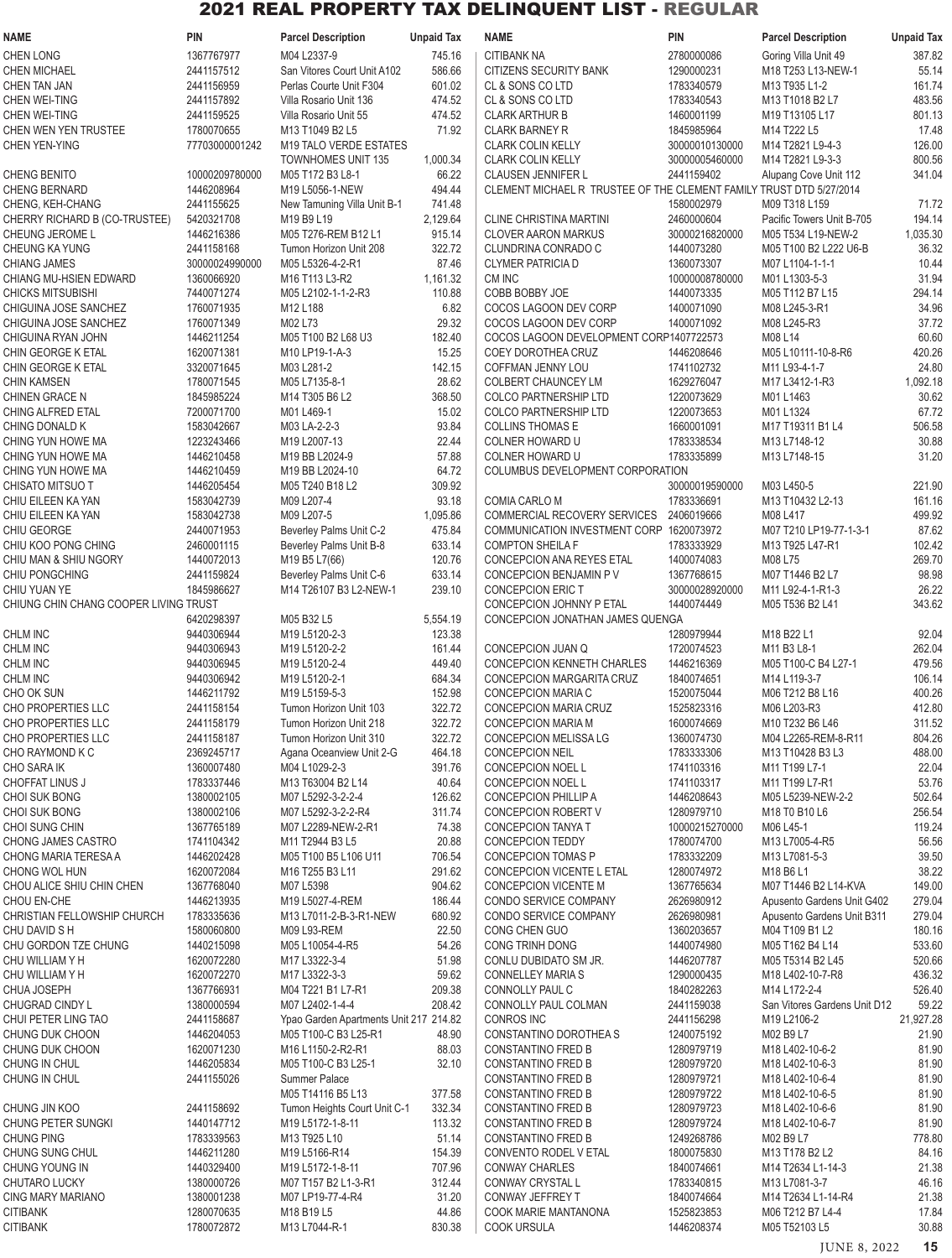| <b>NAME</b>                                 | <b>PIN</b>               | <b>Parcel Description</b>                                      | <b>Unpaid Tax</b> | <b>NAME</b>                                                         | PIN                          | <b>Parcel Description</b>                 | <b>Unpaid Tax</b>  |
|---------------------------------------------|--------------------------|----------------------------------------------------------------|-------------------|---------------------------------------------------------------------|------------------------------|-------------------------------------------|--------------------|
| <b>CHEN LONG</b>                            | 1367767977               | M04 L2337-9                                                    | 745.16            | <b>CITIBANK NA</b>                                                  | 2780000086                   | Goring Villa Unit 49                      | 387.82             |
| <b>CHEN MICHAEL</b>                         | 2441157512               | San Vitores Court Unit A102                                    | 586.66            | <b>CITIZENS SECURITY BANK</b>                                       | 1290000231                   | M18 T253 L13-NEW-1                        | 55.14              |
| <b>CHEN TAN JAN</b>                         | 2441156959               | Perlas Courte Unit F304                                        | 601.02            | CL & SONS CO LTD                                                    | 1783340579                   | M13 T935 L1-2                             | 161.74             |
| CHEN WEI-TING                               | 2441157892               | Villa Rosario Unit 136                                         | 474.52            | CL & SONS CO LTD                                                    | 1783340543                   | M13 T1018 B2 L7                           | 483.56             |
| CHEN WEI-TING                               | 2441159525               | Villa Rosario Unit 55                                          | 474.52            | <b>CLARK ARTHUR B</b>                                               | 1460001199                   | M19 T13105 L17                            | 801.13             |
| CHEN WEN YEN TRUSTEE                        | 1780070655               | M13 T1049 B2 L5                                                | 71.92             | <b>CLARK BARNEY R</b>                                               | 1845985964                   | M14 T222 L5                               | 17.48              |
| <b>CHEN YEN-YING</b>                        | 77703000001242           | M19 TALO VERDE ESTATES                                         |                   | <b>CLARK COLIN KELLY</b>                                            | 30000010130000               | M14 T2821 L9-4-3                          | 126.00             |
| CHENG BENITO                                | 10000209780000           | <b>TOWNHOMES UNIT 135</b><br>M05 T172 B3 L8-1                  | 1,000.34<br>66.22 | <b>CLARK COLIN KELLY</b><br>CLAUSEN JENNIFER L                      | 30000005460000<br>2441159402 | M14 T2821 L9-3-3                          | 800.56<br>341.04   |
| <b>CHENG BERNARD</b>                        | 1446208964               | M19 L5056-1-NEW                                                | 494.44            | CLEMENT MICHAEL R TRUSTEE OF THE CLEMENT FAMILY TRUST DTD 5/27/2014 |                              | Alupang Cove Unit 112                     |                    |
| CHENG, KEH-CHANG                            | 2441155625               | New Tamuning Villa Unit B-1                                    | 741.48            |                                                                     | 1580002979                   | M09 T318 L159                             | 71.72              |
| CHERRY RICHARD B (CO-TRUSTEE)               | 5420321708               | M19 B9 L19                                                     | 2,129.64          | <b>CLINE CHRISTINA MARTINI</b>                                      | 2460000604                   | Pacific Towers Unit B-705                 | 194.14             |
| CHEUNG JEROME L                             | 1446216386               | M05 T276-REM B12 L1                                            | 915.14            | <b>CLOVER AARON MARKUS</b>                                          | 30000216820000               | M05 T534 L19-NEW-2                        | 1,035.30           |
| CHEUNG KA YUNG                              | 2441158168               | Tumon Horizon Unit 208                                         | 322.72            | CLUNDRINA CONRADO C                                                 | 1440073280                   | M05 T100 B2 L222 U6-B                     | 36.32              |
| <b>CHIANG JAMES</b>                         | 30000024990000           | M05 L5326-4-2-R1                                               | 87.46             | <b>CLYMER PATRICIA D</b>                                            | 1360073307                   | M07 L1104-1-1-1                           | 10.44              |
| CHIANG MU-HSIEN EDWARD                      | 1360066920               | M16 T113 L3-R2                                                 | 1,161.32          | CM INC                                                              | 10000008780000               | M01 L1303-5-3                             | 31.94              |
| <b>CHICKS MITSUBISHI</b>                    | 7440071274               | M05 L2102-1-1-2-R3                                             | 110.88            | COBB BOBBY JOE                                                      | 1440073335                   | M05 T112 B7 L15                           | 294.14             |
| CHIGUINA JOSE SANCHEZ                       | 1760071935               | M12 L188                                                       | 6.82              | COCOS LAGOON DEV CORP                                               | 1400071090                   | M08 L245-3-R1                             | 34.96              |
| CHIGUINA JOSE SANCHEZ                       | 1760071349               | M02 L73                                                        | 29.32             | COCOS LAGOON DEV CORP                                               | 1400071092                   | M08 L245-R3                               | 37.72              |
| CHIGUINA RYAN JOHN<br>CHIN GEORGE K ETAL    | 1446211254<br>1620071381 | M05 T100 B2 L68 U3<br>M10 LP19-1-A-3                           | 182.40<br>15.25   | COCOS LAGOON DEVELOPMENT CORP1407722573<br>COEY DOROTHEA CRUZ       | 1446208646                   | M08 L14<br>M05 L10111-10-8-R6             | 60.60<br>420.26    |
| CHIN GEORGE K ETAL                          | 3320071645               | M03 L281-2                                                     | 142.15            | <b>COFFMAN JENNY LOU</b>                                            | 1741102732                   | M11 L93-4-1-7                             | 24.80              |
| <b>CHIN KAMSEN</b>                          | 1780071545               | M05 L7135-8-1                                                  | 28.62             | COLBERT CHAUNCEY LM                                                 | 1629276047                   | M17 L3412-1-R3                            | 1,092.18           |
| <b>CHINEN GRACE N</b>                       | 1845985224               | M14 T305 B6 L2                                                 | 368.50            | <b>COLCO PARTNERSHIP LTD</b>                                        | 1220073629                   | M01 L1463                                 | 30.62              |
| CHING ALFRED ETAL                           | 7200071700               | M01 L469-1                                                     | 15.02             | <b>COLCO PARTNERSHIP LTD</b>                                        | 1220073653                   | M01 L1324                                 | 67.72              |
| CHING DONALD K                              | 1583042667               | M03 LA-2-2-3                                                   | 93.84             | <b>COLLINS THOMAS E</b>                                             | 1660001091                   | M17 T19311 B1 L4                          | 506.58             |
| CHING YUN HOWE MA                           | 1223243466               | M19 L2007-13                                                   | 22.44             | COLNER HOWARD U                                                     | 1783338534                   | M13 L7148-12                              | 30.88              |
| CHING YUN HOWE MA                           | 1446210458               | M19 BB L2024-9                                                 | 57.88             | COLNER HOWARD U                                                     | 1783335899                   | M13 L7148-15                              | 31.20              |
| CHING YUN HOWE MA                           | 1446210459               | M19 BB L2024-10                                                | 64.72             | COLUMBUS DEVELOPMENT CORPORATION                                    |                              |                                           |                    |
| CHISATO MITSUO T                            | 1446205454               | M05 T240 B18 L2                                                | 309.92            |                                                                     | 30000019590000               | M03 L450-5                                | 221.90             |
| CHIU EILEEN KA YAN                          | 1583042739               | M09 L207-4                                                     | 93.18             | COMIA CARLO M                                                       | 1783336691                   | M13 T10432 L2-13                          | 161.16             |
| CHIU EILEEN KA YAN                          | 1583042738               | M09 L207-5                                                     | 1,095.86          | COMMERCIAL RECOVERY SERVICES                                        | 2406019666                   | M08 L417                                  | 499.92             |
| CHIU GEORGE<br>CHIU KOO PONG CHING          | 2440071953<br>2460001115 | Beverley Palms Unit C-2<br>Beverley Palms Unit B-8             | 475.84<br>633.14  | COMMUNICATION INVESTMENT CORP 1620073972<br><b>COMPTON SHEILA F</b> | 1783333929                   | M07 T210 LP19-77-1-3-1<br>M13 T925 L47-R1 | 87.62<br>102.42    |
| CHIU MAN & SHIU NGORY                       | 1440072013               | M19 B5 L7(66)                                                  | 120.76            | CONCEPCION ANA REYES ETAL                                           | 1400074083                   | M08 L75                                   | 269.70             |
| CHIU PONGCHING                              | 2441159824               | Beverley Palms Unit C-6                                        | 633.14            | CONCEPCION BENJAMIN PV                                              | 1367768615                   | M07 T1446 B2 L7                           | 98.98              |
| CHIU YUAN YE                                | 1845986627               | M14 T26107 B3 L2-NEW-1                                         | 239.10            | <b>CONCEPCION ERIC T</b>                                            | 30000028920000               | M11 L92-4-1-R1-3                          | 26.22              |
| CHIUNG CHIN CHANG COOPER LIVING TRUST       |                          |                                                                |                   | CONCEPCION JOHNNY P ETAL                                            | 1440074449                   | M05 T536 B2 L41                           | 343.62             |
|                                             | 6420298397               | M05 B32 L5                                                     | 5,554.19          | CONCEPCION JONATHAN JAMES QUENGA                                    |                              |                                           |                    |
| CHLM INC                                    | 9440306944               | M19 L5120-2-3                                                  | 123.38            |                                                                     | 1280979944                   | M18 B22 L1                                | 92.04              |
| CHLM INC                                    | 9440306943               | M19 L5120-2-2                                                  | 161.44            | CONCEPCION JUAN Q                                                   | 1720074523                   | M11 B3 L8-1                               | 262.04             |
| CHLM INC                                    | 9440306945               | M19 L5120-2-4                                                  | 449.40            | <b>CONCEPCION KENNETH CHARLES</b>                                   | 1446216369                   | M05 T100-C B4 L27-1                       | 479.56             |
| CHLM INC                                    | 9440306942               | M19 L5120-2-1                                                  | 684.34            | CONCEPCION MARGARITA CRUZ                                           | 1840074651                   | M14 L119-3-7                              | 106.14             |
| CHO OK SUN                                  | 1446211792               | M19 L5159-5-3                                                  | 152.98            | CONCEPCION MARIA C<br><b>CONCEPCION MARIA CRUZ</b>                  | 1520075044                   | M06 T212 B8 L16                           | 400.26             |
| CHO PROPERTIES LLC<br>CHO PROPERTIES LLC    | 2441158154<br>2441158179 | Tumon Horizon Unit 103<br>Tumon Horizon Unit 218               | 322.72<br>322.72  | <b>CONCEPCION MARIA M</b>                                           | 1525823316<br>1600074669     | M06 L203-R3<br>M10 T232 B6 L46            | 412.80<br>311.52   |
| CHO PROPERTIES LLC                          | 2441158187               | Tumon Horizon Unit 310                                         | 322.72            | <b>CONCEPCION MELISSA LG</b>                                        | 1360074730                   | M04 L2265-REM-8-R11                       | 804.26             |
| CHO RAYMOND K C                             | 2369245717               | Agana Oceanview Unit 2-G                                       | 464.18            | <b>CONCEPCION NEIL</b>                                              | 1783333306                   | M13 T10428 B3 L3                          | 488.00             |
| CHO SARA IK                                 | 1360007480               | M04 L1029-2-3                                                  | 391.76            | CONCEPCION NOEL L                                                   | 1741103316                   | M11 T199 L7-1                             | 22.04              |
| CHOFFAT LINUS J                             | 1783337446               | M13 T63004 B2 L14                                              | 40.64             | CONCEPCION NOEL L                                                   | 1741103317                   | M11 T199 L7-R1                            | 53.76              |
| CHOI SUK BONG                               | 1380002105               | M07 L5292-3-2-2-4                                              | 126.62            | CONCEPCION PHILLIP A                                                | 1446208643                   | M05 L5239-NEW-2-2                         | 502.64             |
| <b>CHOI SUK BONG</b>                        | 1380002106               | M07 L5292-3-2-2-R4                                             | 311.74            | CONCEPCION ROBERT V                                                 | 1280979710                   | M18 TO B10 L6                             | 256.54             |
| CHOI SUNG CHIN                              | 1367765189               | M07 L2289-NEW-2-R1                                             | 74.38             | CONCEPCION TANYA T                                                  | 10000215270000               | M06 L45-1                                 | 119.24             |
| CHONG JAMES CASTRO                          | 1741104342               | M11 T2944 B3 L5                                                | 20.88             | CONCEPCION TEDDY                                                    | 1780074700                   | M13 L7005-4-R5                            | 56.56              |
| CHONG MARIA TERESA A<br>CHONG WOL HUN       | 1446202428<br>1620072084 | M05 T100 B5 L106 U11<br>M16 T255 B3 L11                        | 706.54<br>291.62  | CONCEPCION TOMAS P<br>CONCEPCION VICENTE L ETAL                     | 1783332209<br>1280074972     | M13 L7081-5-3<br>M18 B6 L1                | 39.50<br>38.22     |
| CHOU ALICE SHIU CHIN CHEN                   | 1367768040               | M07 L5398                                                      | 904.62            | CONCEPCION VICENTE M                                                | 1367765634                   | M07 T1446 B2 L14-KVA                      | 149.00             |
| CHOU EN-CHE                                 | 1446213935               | M19 L5027-4-REM                                                | 186.44            | CONDO SERVICE COMPANY                                               | 2626980912                   | Apusento Gardens Unit G402                | 279.04             |
| CHRISTIAN FELLOWSHIP CHURCH                 | 1783335636               | M13 L7011-2-B-3-R1-NEW                                         | 680.92            | CONDO SERVICE COMPANY                                               | 2626980981                   | Apusento Gardens Unit B311                | 279.04             |
| CHU DAVID S H                               | 1580060800               | M09 L93-REM                                                    | 22.50             | CONG CHEN GUO                                                       | 1360203657                   | M04 T109 B1 L2                            | 180.16             |
| CHU GORDON TZE CHUNG                        | 1440215098               | M05 L10054-4-R5                                                | 54.26             | CONG TRINH DONG                                                     | 1440074980                   | M05 T162 B4 L14                           | 533.60             |
| CHU WILLIAM Y H                             | 1620072280               | M17 L3322-3-4                                                  | 51.98             | CONLU DUBIDATO SM JR.                                               | 1446207787                   | M05 T5314 B2 L45                          | 520.66             |
| CHU WILLIAM Y H                             | 1620072270               | M17 L3322-3-3                                                  | 59.62             | <b>CONNELLEY MARIA S</b>                                            | 1290000435                   | M18 L402-10-7-R8                          | 436.32             |
| CHUA JOSEPH                                 | 1367766931               | M04 T221 B1 L7-R1                                              | 209.38            | CONNOLLY PAUL C                                                     | 1840282263                   | M14 L172-2-4                              | 526.40             |
| CHUGRAD CINDY L                             | 1380000594               | M07 L2402-1-4-4                                                | 208.42            | CONNOLLY PAUL COLMAN                                                | 2441159038                   | San Vitores Gardens Unit D12              | 59.22              |
| CHUI PETER LING TAO<br>CHUNG DUK CHOON      | 2441158687<br>1446204053 | Ypao Garden Apartments Unit 217 214.82<br>M05 T100-C B3 L25-R1 | 48.90             | <b>CONROS INC</b><br>CONSTANTINO DOROTHEAS                          | 2441156298<br>1240075192     | M19 L2106-2<br>M02 B9 L7                  | 21,927.28<br>21.90 |
| CHUNG DUK CHOON                             | 1620071230               | M16 L1150-2-R2-R1                                              | 88.03             | <b>CONSTANTINO FRED B</b>                                           | 1280979719                   | M18 L402-10-6-2                           | 81.90              |
| CHUNG IN CHUL                               | 1446205834               | M05 T100-C B3 L25-1                                            | 32.10             | <b>CONSTANTINO FRED B</b>                                           | 1280979720                   | M18 L402-10-6-3                           | 81.90              |
| CHUNG IN CHUL                               | 2441155026               | Summer Palace                                                  |                   | CONSTANTINO FRED B                                                  | 1280979721                   | M18 L402-10-6-4                           | 81.90              |
|                                             |                          | M05 T14116 B5 L13                                              | 377.58            | CONSTANTINO FRED B                                                  | 1280979722                   | M18 L402-10-6-5                           | 81.90              |
| CHUNG JIN KOO                               | 2441158692               | Tumon Heights Court Unit C-1                                   | 332.34            | CONSTANTINO FRED B                                                  | 1280979723                   | M18 L402-10-6-6                           | 81.90              |
| <b>CHUNG PETER SUNGKI</b>                   | 1440147712               | M19 L5172-1-8-11                                               | 113.32            | CONSTANTINO FRED B                                                  | 1280979724                   | M18 L402-10-6-7                           | 81.90              |
| <b>CHUNG PING</b>                           | 1783339563               | M13 T925 L10                                                   | 51.14             | CONSTANTINO FRED B                                                  | 1249268786                   | M02 B9 L7                                 | 778.80             |
| CHUNG SUNG CHUL                             | 1446211280               | M19 L5166-R14                                                  | 154.39            | CONVENTO RODEL V ETAL                                               | 1800075830                   | M13 T178 B2 L2                            | 84.16              |
| CHUNG YOUNG IN                              | 1440329400               | M19 L5172-1-8-11                                               | 707.96            | <b>CONWAY CHARLES</b>                                               | 1840074661                   | M14 T2634 L1-14-3                         | 21.38              |
| CHUTARO LUCKY                               | 1380000726               | M07 T157 B2 L1-3-R1<br>M07 LP19-77-4-R4                        | 312.44            | CONWAY CRYSTAL L                                                    | 1783340815<br>1840074664     | M13 L7081-3-7                             | 46.16              |
| <b>CING MARY MARIANO</b><br><b>CITIBANK</b> | 1380001238<br>1280070635 | M18 B19 L5                                                     | 31.20<br>44.86    | CONWAY JEFFREY T<br>COOK MARIE MANTANONA                            | 1525823853                   | M14 T2634 L1-14-R4<br>M06 T212 B7 L4-4    | 21.38<br>17.84     |
| <b>CITIBANK</b>                             | 1780072872               | M13 L7044-R-1                                                  | 830.38            | <b>COOK URSULA</b>                                                  | 1446208374                   | M05 T52103 L5                             | 30.88              |
|                                             |                          |                                                                |                   |                                                                     |                              |                                           |                    |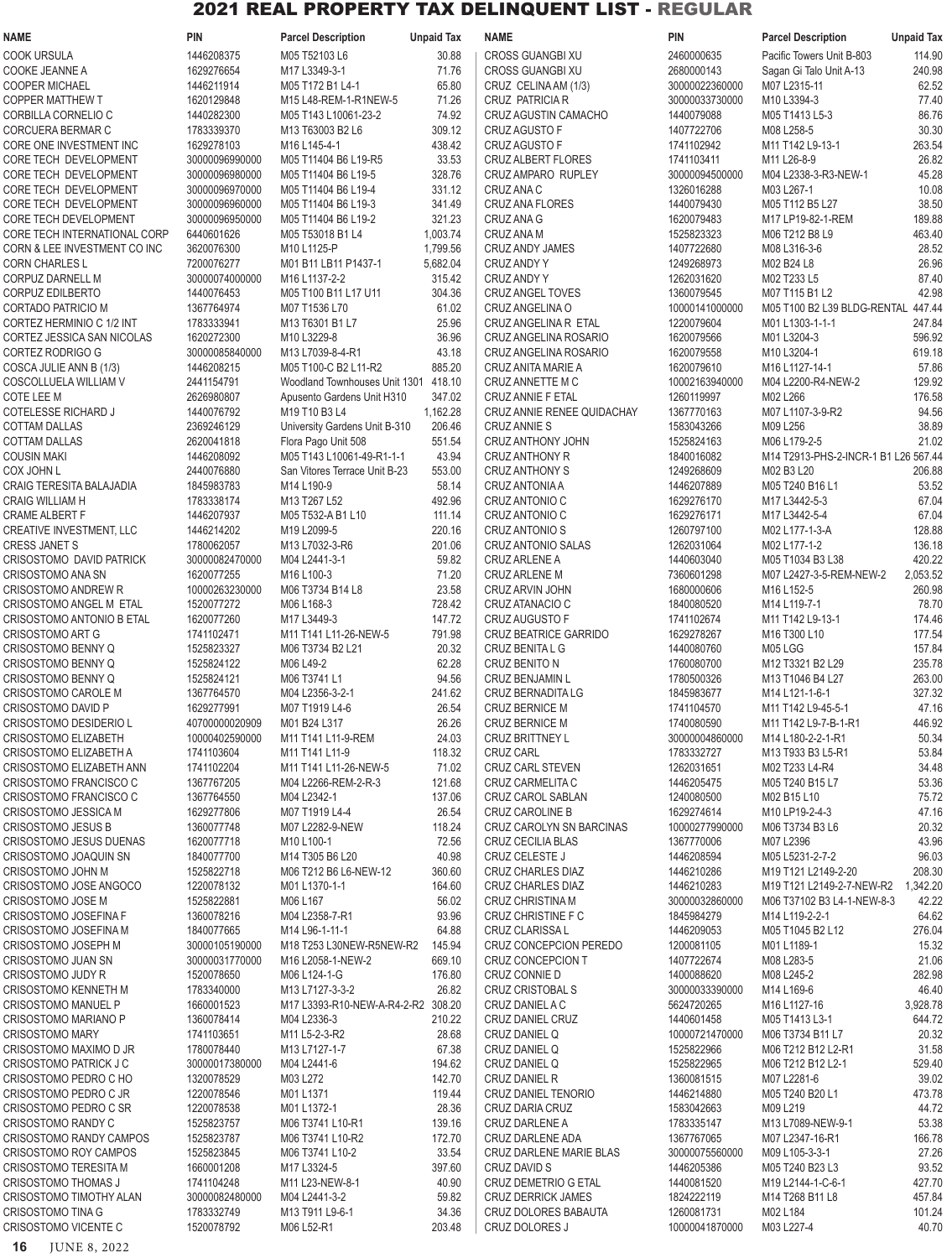| <b>NAME</b>                    | <b>PIN</b>     | <b>Parcel Description</b>            | <b>Unpaid Tax</b> | <b>NAME</b>                  | <b>PIN</b>     | <b>Parcel Description</b>            | <b>Unpaid Tax</b> |
|--------------------------------|----------------|--------------------------------------|-------------------|------------------------------|----------------|--------------------------------------|-------------------|
| COOK URSULA                    | 1446208375     | M05 T52103 L6                        | 30.88             | <b>CROSS GUANGBI XU</b>      | 2460000635     | Pacific Towers Unit B-803            | 114.90            |
| COOKE JEANNE A                 | 1629276654     | M17 L3349-3-1                        | 71.76             | <b>CROSS GUANGBI XU</b>      | 2680000143     | Sagan Gi Talo Unit A-13              | 240.98            |
| <b>COOPER MICHAEL</b>          | 1446211914     | M05 T172 B1 L4-1                     | 65.80             | CRUZ CELINA AM (1/3)         | 30000022360000 | M07 L2315-11                         | 62.52             |
| <b>COPPER MATTHEW T</b>        | 1620129848     | M15 L48-REM-1-R1NEW-5                | 71.26             | CRUZ PATRICIA R              | 30000033730000 | M10 L3394-3                          | 77.40             |
| CORBILLA CORNELIO C            | 1440282300     | M05 T143 L10061-23-2                 | 74.92             | <b>CRUZ AGUSTIN CAMACHO</b>  | 1440079088     | M05 T1413 L5-3                       | 86.76             |
| CORCUERA BERMAR C              | 1783339370     | M13 T63003 B2 L6                     | 309.12            | <b>CRUZ AGUSTO F</b>         | 1407722706     | M08 L258-5                           | 30.30             |
| CORE ONE INVESTMENT INC        | 1629278103     | M16 L145-4-1                         | 438.42            | <b>CRUZ AGUSTO F</b>         | 1741102942     | M11 T142 L9-13-1                     | 263.54            |
|                                |                |                                      | 33.53             |                              |                | M11 L26-8-9                          |                   |
| CORE TECH DEVELOPMENT          | 30000096990000 | M05 T11404 B6 L19-R5                 |                   | <b>CRUZ ALBERT FLORES</b>    | 1741103411     |                                      | 26.82             |
| CORE TECH DEVELOPMENT          | 30000096980000 | M05 T11404 B6 L19-5                  | 328.76            | CRUZ AMPARO RUPLEY           | 30000094500000 | M04 L2338-3-R3-NEW-1                 | 45.28             |
| CORE TECH DEVELOPMENT          | 30000096970000 | M05 T11404 B6 L19-4                  | 331.12            | CRUZ ANA C                   | 1326016288     | M03 L267-1                           | 10.08             |
| CORE TECH DEVELOPMENT          | 30000096960000 | M05 T11404 B6 L19-3                  | 341.49            | <b>CRUZ ANA FLORES</b>       | 1440079430     | M05 T112 B5 L27                      | 38.50             |
| CORE TECH DEVELOPMENT          | 30000096950000 | M05 T11404 B6 L19-2                  | 321.23            | CRUZ ANA G                   | 1620079483     | M17 LP19-82-1-REM                    | 189.88            |
| CORE TECH INTERNATIONAL CORP   | 6440601626     | M05 T53018 B1 L4                     | 1,003.74          | CRUZ ANA M                   | 1525823323     | M06 T212 B8 L9                       | 463.40            |
| CORN & LEE INVESTMENT CO INC   | 3620076300     | M10 L1125-P                          | 1,799.56          | <b>CRUZ ANDY JAMES</b>       | 1407722680     | M08 L316-3-6                         | 28.52             |
| <b>CORN CHARLES L</b>          | 7200076277     | M01 B11 LB11 P1437-1                 | 5,682.04          | CRUZ ANDY Y                  | 1249268973     | M02 B24 L8                           | 26.96             |
| CORPUZ DARNELL M               | 30000074000000 | M16 L1137-2-2                        | 315.42            | <b>CRUZ ANDY Y</b>           | 1262031620     | M02 T233 L5                          | 87.40             |
| CORPUZ EDILBERTO               | 1440076453     | M05 T100 B11 L17 U11                 | 304.36            | <b>CRUZ ANGEL TOVES</b>      | 1360079545     | M07 T115 B1 L2                       | 42.98             |
| <b>CORTADO PATRICIO M</b>      | 1367764974     | M07 T1536 L70                        | 61.02             | CRUZ ANGELINA O              | 10000141000000 | M05 T100 B2 L39 BLDG-RENTAL 447.44   |                   |
| CORTEZ HERMINIO C 1/2 INT      | 1783333941     | M13 T6301 B1 L7                      | 25.96             | CRUZ ANGELINA R ETAL         | 1220079604     | M01 L1303-1-1-1                      | 247.84            |
| CORTEZ JESSICA SAN NICOLAS     | 1620272300     | M10 L3229-8                          | 36.96             | CRUZ ANGELINA ROSARIO        | 1620079566     | M01 L3204-3                          | 596.92            |
| CORTEZ RODRIGO G               | 30000085840000 | M13 L7039-8-4-R1                     | 43.18             | CRUZ ANGELINA ROSARIO        | 1620079558     | M10 L3204-1                          | 619.18            |
| COSCA JULIE ANN B (1/3)        | 1446208215     | M05 T100-C B2 L11-R2                 | 885.20            | CRUZ ANITA MARIE A           | 1620079610     | M16 L1127-14-1                       | 57.86             |
| COSCOLLUELA WILLIAM V          | 2441154791     | Woodland Townhouses Unit 1301 418.10 |                   | CRUZ ANNETTE M C             | 10002163940000 | M04 L2200-R4-NEW-2                   | 129.92            |
| COTE LEE M                     | 2626980807     | Apusento Gardens Unit H310           | 347.02            | CRUZ ANNIE F ETAL            | 1260119997     | M02 L266                             | 176.58            |
| COTELESSE RICHARD J            | 1440076792     | M19 T10 B3 L4                        | 1,162.28          | CRUZ ANNIE RENEE QUIDACHAY   | 1367770163     | M07 L1107-3-9-R2                     | 94.56             |
| <b>COTTAM DALLAS</b>           | 2369246129     | University Gardens Unit B-310        | 206.46            | <b>CRUZ ANNIE S</b>          | 1583043266     | M09 L256                             | 38.89             |
| <b>COTTAM DALLAS</b>           |                |                                      | 551.54            |                              |                | M06 L179-2-5                         | 21.02             |
|                                | 2620041818     | Flora Pago Unit 508                  |                   | CRUZ ANTHONY JOHN            | 1525824163     |                                      |                   |
| <b>COUSIN MAKI</b>             | 1446208092     | M05 T143 L10061-49-R1-1-1            | 43.94             | <b>CRUZ ANTHONY R</b>        | 1840016082     | M14 T2913-PHS-2-INCR-1 B1 L26 567.44 |                   |
| <b>COX JOHN L</b>              | 2440076880     | San Vitores Terrace Unit B-23        | 553.00            | <b>CRUZ ANTHONY S</b>        | 1249268609     | M02 B3 L20                           | 206.88            |
| CRAIG TERESITA BALAJADIA       | 1845983783     | M14 L190-9                           | 58.14             | CRUZ ANTONIA A               | 1446207889     | M05 T240 B16 L1                      | 53.52             |
| <b>CRAIG WILLIAM H</b>         | 1783338174     | M13 T267 L52                         | 492.96            | CRUZ ANTONIO C               | 1629276170     | M17 L3442-5-3                        | 67.04             |
| <b>CRAME ALBERT F</b>          | 1446207937     | M05 T532-A B1 L10                    | 111.14            | CRUZ ANTONIO C               | 1629276171     | M17 L3442-5-4                        | 67.04             |
| CREATIVE INVESTMENT, LLC       | 1446214202     | M19 L2099-5                          | 220.16            | <b>CRUZ ANTONIO S</b>        | 1260797100     | M02 L177-1-3-A                       | 128.88            |
| <b>CRESS JANET S</b>           | 1780062057     | M13 L7032-3-R6                       | 201.06            | CRUZ ANTONIO SALAS           | 1262031064     | M02 L177-1-2                         | 136.18            |
| CRISOSTOMO DAVID PATRICK       | 30000082470000 | M04 L2441-3-1                        | 59.82             | <b>CRUZ ARLENE A</b>         | 1440603040     | M05 T1034 B3 L38                     | 420.22            |
| CRISOSTOMO ANA SN              | 1620077255     | M16 L100-3                           | 71.20             | <b>CRUZ ARLENE M</b>         | 7360601298     | M07 L2427-3-5-REM-NEW-2              | 2,053.52          |
| <b>CRISOSTOMO ANDREW R</b>     | 10000263230000 | M06 T3734 B14 L8                     | 23.58             | CRUZ ARVIN JOHN              | 1680000606     | M16 L152-5                           | 260.98            |
| CRISOSTOMO ANGEL M ETAL        | 1520077272     | M06 L168-3                           | 728.42            | CRUZ ATANACIO C              | 1840080520     | M14 L119-7-1                         | 78.70             |
| CRISOSTOMO ANTONIO B ETAL      | 1620077260     | M17 L3449-3                          | 147.72            | CRUZ AUGUSTO F               | 1741102674     | M11 T142 L9-13-1                     | 174.46            |
| <b>CRISOSTOMO ART G</b>        | 1741102471     | M11 T141 L11-26-NEW-5                | 791.98            | <b>CRUZ BEATRICE GARRIDO</b> | 1629278267     | M16 T300 L10                         | 177.54            |
| CRISOSTOMO BENNY Q             | 1525823327     | M06 T3734 B2 L21                     | 20.32             | CRUZ BENITA L G              | 1440080760     | M05 LGG                              | 157.84            |
| CRISOSTOMO BENNY Q             | 1525824122     | M06 L49-2                            | 62.28             | CRUZ BENITO N                | 1760080700     | M12 T3321 B2 L29                     | 235.78            |
| CRISOSTOMO BENNY Q             | 1525824121     | M06 T3741 L1                         | 94.56             | CRUZ BENJAMIN L              | 1780500326     | M13 T1046 B4 L27                     | 263.00            |
| CRISOSTOMO CAROLE M            | 1367764570     | M04 L2356-3-2-1                      | 241.62            | CRUZ BERNADITA LG            | 1845983677     | M14 L121-1-6-1                       | 327.32            |
| CRISOSTOMO DAVID P             | 1629277991     | M07 T1919 L4-6                       | 26.54             | CRUZ BERNICE M               | 1741104570     | M11 T142 L9-45-5-1                   | 47.16             |
| CRISOSTOMO DESIDERIO L         | 40700000020909 | M01 B24 L317                         | 26.26             | <b>CRUZ BERNICE M</b>        | 1740080590     | M11 T142 L9-7-B-1-R1                 | 446.92            |
| CRISOSTOMO ELIZABETH           | 10000402590000 | M11 T141 L11-9-REM                   | 24.03             | <b>CRUZ BRITTNEY L</b>       | 30000004860000 | M14 L180-2-2-1-R1                    | 50.34             |
| CRISOSTOMO ELIZABETH A         | 1741103604     |                                      | 118.32            | <b>CRUZ CARL</b>             | 1783332727     | M13 T933 B3 L5-R1                    | 53.84             |
|                                |                | M11 T141 L11-9                       |                   |                              |                |                                      |                   |
| CRISOSTOMO ELIZABETH ANN       | 1741102204     | M11 T141 L11-26-NEW-5                | 71.02             | <b>CRUZ CARL STEVEN</b>      | 1262031651     | M02 T233 L4-R4                       | 34.48             |
| CRISOSTOMO FRANCISCO C         | 1367767205     | M04 L2266-REM-2-R-3                  | 121.68            | CRUZ CARMELITA C             | 1446205475     | M05 T240 B15 L7                      | 53.36             |
| CRISOSTOMO FRANCISCO C         | 1367764550     | M04 L2342-1                          | 137.06            | CRUZ CAROL SABLAN            | 1240080500     | M02 B15 L10                          | 75.72             |
| CRISOSTOMO JESSICA M           | 1629277806     | M07 T1919 L4-4                       | 26.54             | <b>CRUZ CAROLINE B</b>       | 1629274614     | M10 LP19-2-4-3                       | 47.16             |
| <b>CRISOSTOMO JESUS B</b>      | 1360077748     | M07 L2282-9-NEW                      | 118.24            | CRUZ CAROLYN SN BARCINAS     | 10000277990000 | M06 T3734 B3 L6                      | 20.32             |
| CRISOSTOMO JESUS DUENAS        | 1620077718     | M10 L100-1                           | 72.56             | CRUZ CECILIA BLAS            | 1367770006     | M07 L2396                            | 43.96             |
| CRISOSTOMO JOAQUIN SN          | 1840077700     | M14 T305 B6 L20                      | 40.98             | <b>CRUZ CELESTE J</b>        | 1446208594     | M05 L5231-2-7-2                      | 96.03             |
| CRISOSTOMO JOHN M              | 1525822718     | M06 T212 B6 L6-NEW-12                | 360.60            | <b>CRUZ CHARLES DIAZ</b>     | 1446210286     | M19 T121 L2149-2-20                  | 208.30            |
| CRISOSTOMO JOSE ANGOCO         | 1220078132     | M01 L1370-1-1                        | 164.60            | CRUZ CHARLES DIAZ            | 1446210283     | M19 T121 L2149-2-7-NEW-R2            | 1,342.20          |
| CRISOSTOMO JOSE M              | 1525822881     | M06 L167                             | 56.02             | CRUZ CHRISTINA M             | 30000032860000 | M06 T37102 B3 L4-1-NEW-8-3           | 42.22             |
| CRISOSTOMO JOSEFINA F          | 1360078216     | M04 L2358-7-R1                       | 93.96             | CRUZ CHRISTINE F C           | 1845984279     | M14 L119-2-2-1                       | 64.62             |
| CRISOSTOMO JOSEFINA M          | 1840077665     | M14 L96-1-11-1                       | 64.88             | <b>CRUZ CLARISSA L</b>       | 1446209053     | M05 T1045 B2 L12                     | 276.04            |
| CRISOSTOMO JOSEPH M            | 30000105190000 | M18 T253 L30NEW-R5NEW-R2             | 145.94            | CRUZ CONCEPCION PEREDO       | 1200081105     | M01 L1189-1                          | 15.32             |
| CRISOSTOMO JUAN SN             | 30000031770000 | M16 L2058-1-NEW-2                    | 669.10            | CRUZ CONCEPCION T            | 1407722674     | M08 L283-5                           | 21.06             |
| CRISOSTOMO JUDY R              | 1520078650     | M06 L124-1-G                         | 176.80            | CRUZ CONNIE D                | 1400088620     | M08 L245-2                           | 282.98            |
| <b>CRISOSTOMO KENNETH M</b>    | 1783340000     | M13 L7127-3-3-2                      | 26.82             | <b>CRUZ CRISTOBAL S</b>      | 30000033390000 | M14 L169-6                           | 46.40             |
| CRISOSTOMO MANUEL P            | 1660001523     | M17 L3393-R10-NEW-A-R4-2-R2 308.20   |                   | CRUZ DANIEL A C              | 5624720265     | M16 L1127-16                         | 3,928.78          |
| CRISOSTOMO MARIANO P           | 1360078414     | M04 L2336-3                          | 210.22            | CRUZ DANIEL CRUZ             | 1440601458     | M05 T1413 L3-1                       | 644.72            |
| <b>CRISOSTOMO MARY</b>         | 1741103651     | M11 L5-2-3-R2                        | 28.68             | CRUZ DANIEL Q                | 10000721470000 |                                      | 20.32             |
|                                |                |                                      | 67.38             | CRUZ DANIEL Q                |                | M06 T3734 B11 L7                     | 31.58             |
| CRISOSTOMO MAXIMO D JR         | 1780078440     | M13 L7127-1-7                        |                   |                              | 1525822966     | M06 T212 B12 L2-R1                   |                   |
| CRISOSTOMO PATRICK J C         | 30000017380000 | M04 L2441-6                          | 194.62            | CRUZ DANIEL Q                | 1525822965     | M06 T212 B12 L2-1                    | 529.40            |
| CRISOSTOMO PEDRO C HO          | 1320078529     | M03 L272                             | 142.70            | CRUZ DANIEL R                | 1360081515     | M07 L2281-6                          | 39.02             |
| CRISOSTOMO PEDRO C JR          | 1220078546     | M01L1371                             | 119.44            | <b>CRUZ DANIEL TENORIO</b>   | 1446214880     | M05 T240 B20 L1                      | 473.78            |
| CRISOSTOMO PEDRO C SR          | 1220078538     | M01 L1372-1                          | 28.36             | CRUZ DARIA CRUZ              | 1583042663     | M09 L219                             | 44.72             |
| <b>CRISOSTOMO RANDY C</b>      | 1525823757     | M06 T3741 L10-R1                     | 139.16            | <b>CRUZ DARLENE A</b>        | 1783335147     | M13 L7089-NEW-9-1                    | 53.38             |
| <b>CRISOSTOMO RANDY CAMPOS</b> | 1525823787     | M06 T3741 L10-R2                     | 172.70            | CRUZ DARLENE ADA             | 1367767065     | M07 L2347-16-R1                      | 166.78            |
| CRISOSTOMO ROY CAMPOS          | 1525823845     | M06 T3741 L10-2                      | 33.54             | CRUZ DARLENE MARIE BLAS      | 30000075560000 | M09 L105-3-3-1                       | 27.26             |
| <b>CRISOSTOMO TERESITA M</b>   | 1660001208     | M17 L3324-5                          | 397.60            | CRUZ DAVID S                 | 1446205386     | M05 T240 B23 L3                      | 93.52             |
| <b>CRISOSTOMO THOMAS J</b>     | 1741104248     | M11 L23-NEW-8-1                      | 40.90             | CRUZ DEMETRIO G ETAL         | 1440081520     | M19 L2144-1-C-6-1                    | 427.70            |
| CRISOSTOMO TIMOTHY ALAN        | 30000082480000 | M04 L2441-3-2                        | 59.82             | <b>CRUZ DERRICK JAMES</b>    | 1824222119     | M14 T268 B11 L8                      | 457.84            |
|                                |                |                                      |                   |                              |                |                                      |                   |
| <b>CRISOSTOMO TINA G</b>       | 1783332749     | M13 T911 L9-6-1                      | 34.36             | CRUZ DOLORES BABAUTA         | 1260081731     | M02 L184                             | 101.24            |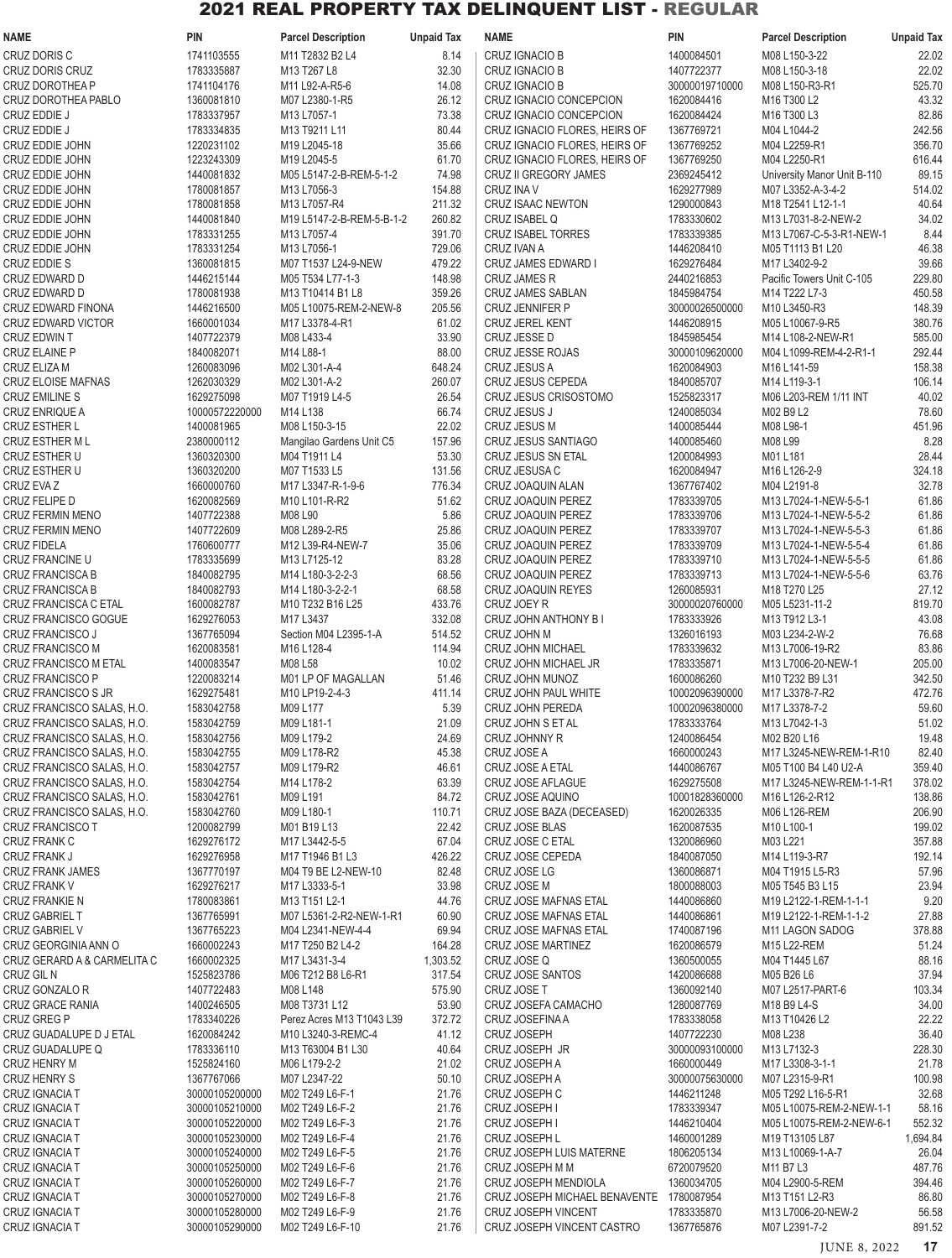| <b>NAME</b>                                              | <b>PIN</b>                       | <b>Parcel Description</b>                    | <b>Unpaid Tax</b> | <b>NAME</b>                                        | <b>PIN</b>                   | <b>Parcel Description</b>                            | <b>Unpaid Tax</b> |
|----------------------------------------------------------|----------------------------------|----------------------------------------------|-------------------|----------------------------------------------------|------------------------------|------------------------------------------------------|-------------------|
| CRUZ DORIS C                                             | 1741103555                       | M11 T2832 B2 L4                              | 8.14              | CRUZ IGNACIO B                                     | 1400084501                   | M08 L150-3-22                                        | 22.02             |
| CRUZ DORIS CRUZ                                          | 1783335887                       | M13 T267 L8                                  | 32.30             | CRUZ IGNACIO B                                     | 1407722377                   | M08 L150-3-18                                        | 22.02             |
| <b>CRUZ DOROTHEA P</b>                                   | 1741104176                       | M11 L92-A-R5-6                               | 14.08             | CRUZ IGNACIO B                                     | 30000019710000               | M08 L150-R3-R1                                       | 525.70            |
| CRUZ DOROTHEA PABLO<br>CRUZ EDDIE J                      | 1360081810<br>1783337957         | M07 L2380-1-R5<br>M13 L7057-1                | 26.12<br>73.38    | CRUZ IGNACIO CONCEPCION<br>CRUZ IGNACIO CONCEPCION | 1620084416<br>1620084424     | M16 T300 L2<br>M16 T300 L3                           | 43.32<br>82.86    |
| CRUZ EDDIE J                                             | 1783334835                       | M13 T9211 L11                                | 80.44             | CRUZ IGNACIO FLORES, HEIRS OF                      | 1367769721                   | M04 L1044-2                                          | 242.56            |
| CRUZ EDDIE JOHN                                          | 1220231102                       | M19 L2045-18                                 | 35.66             | CRUZ IGNACIO FLORES, HEIRS OF                      | 1367769252                   | M04 L2259-R1                                         | 356.70            |
| CRUZ EDDIE JOHN                                          | 1223243309                       | M19 L2045-5                                  | 61.70             | CRUZ IGNACIO FLORES, HEIRS OF                      | 1367769250                   | M04 L2250-R1                                         | 616.44            |
| CRUZ EDDIE JOHN                                          | 1440081832                       | M05 L5147-2-B-REM-5-1-2                      | 74.98             | <b>CRUZ II GREGORY JAMES</b>                       | 2369245412                   | University Manor Unit B-110                          | 89.15             |
| CRUZ EDDIE JOHN                                          | 1780081857                       | M13 L7056-3                                  | 154.88            | <b>CRUZ INA V</b>                                  | 1629277989                   | M07 L3352-A-3-4-2                                    | 514.02            |
| CRUZ EDDIE JOHN<br>CRUZ EDDIE JOHN                       | 1780081858<br>1440081840         | M13 L7057-R4<br>M19 L5147-2-B-REM-5-B-1-2    | 211.32<br>260.82  | CRUZ ISAAC NEWTON<br>CRUZ ISABEL Q                 | 1290000843<br>1783330602     | M18 T2541 L12-1-1<br>M13 L7031-8-2-NEW-2             | 40.64<br>34.02    |
| CRUZ EDDIE JOHN                                          | 1783331255                       | M13 L7057-4                                  | 391.70            | <b>CRUZ ISABEL TORRES</b>                          | 1783339385                   | M13 L7067-C-5-3-R1-NEW-1                             | 8.44              |
| CRUZ EDDIE JOHN                                          | 1783331254                       | M13 L7056-1                                  | 729.06            | CRUZ IVAN A                                        | 1446208410                   | M05 T1113 B1 L20                                     | 46.38             |
| CRUZ EDDIE S                                             | 1360081815                       | M07 T1537 L24-9-NEW                          | 479.22            | <b>CRUZ JAMES EDWARD I</b>                         | 1629276484                   | M17 L3402-9-2                                        | 39.66             |
| CRUZ EDWARD D                                            | 1446215144                       | M05 T534 L77-1-3                             | 148.98            | <b>CRUZ JAMES R</b>                                | 2440216853                   | Pacific Towers Unit C-105                            | 229.80            |
| CRUZ EDWARD D                                            | 1780081938                       | M13 T10414 B1 L8                             | 359.26            | CRUZ JAMES SABLAN                                  | 1845984754                   | M14 T222 L7-3                                        | 450.58            |
| <b>CRUZ EDWARD FINONA</b><br><b>CRUZ EDWARD VICTOR</b>   | 1446216500<br>1660001034         | M05 L10075-REM-2-NEW-8<br>M17 L3378-4-R1     | 205.56<br>61.02   | <b>CRUZ JENNIFER P</b><br><b>CRUZ JEREL KENT</b>   | 30000026500000<br>1446208915 | M10 L3450-R3<br>M05 L10067-9-R5                      | 148.39<br>380.76  |
| CRUZ EDWIN T                                             | 1407722379                       | M08 L433-4                                   | 33.90             | CRUZ JESSE D                                       | 1845985454                   | M14 L108-2-NEW-R1                                    | 585.00            |
| <b>CRUZ ELAINE P</b>                                     | 1840082071                       | M14 L88-1                                    | 88.00             | CRUZ JESSE ROJAS                                   | 30000109620000               | M04 L1099-REM-4-2-R1-1                               | 292.44            |
| CRUZ ELIZA M                                             | 1260083096                       | M02 L301-A-4                                 | 648.24            | <b>CRUZ JESUS A</b>                                | 1620084903                   | M <sub>16</sub> L <sub>141-59</sub>                  | 158.38            |
| CRUZ ELOISE MAFNAS                                       | 1262030329                       | M02 L301-A-2                                 | 260.07            | CRUZ JESUS CEPEDA                                  | 1840085707                   | M14 L119-3-1                                         | 106.14            |
| <b>CRUZ EMILINE S</b>                                    | 1629275098                       | M07 T1919 L4-5                               | 26.54             | CRUZ JESUS CRISOSTOMO                              | 1525823317                   | M06 L203-REM 1/11 INT                                | 40.02             |
| <b>CRUZ ENRIQUE A</b><br><b>CRUZ ESTHER L</b>            | 10000572220000<br>1400081965     | M14 L138<br>M08 L150-3-15                    | 66.74<br>22.02    | CRUZ JESUS J<br><b>CRUZ JESUS M</b>                | 1240085034<br>1400085444     | M02 B9 L2<br>M08 L98-1                               | 78.60<br>451.96   |
| <b>CRUZ ESTHER ML</b>                                    | 2380000112                       | Mangilao Gardens Unit C5                     | 157.96            | <b>CRUZ JESUS SANTIAGO</b>                         | 1400085460                   | M08 L99                                              | 8.28              |
| CRUZ ESTHER U                                            | 1360320300                       | M04 T1911 L4                                 | 53.30             | CRUZ JESUS SN ETAL                                 | 1200084993                   | M01L181                                              | 28.44             |
| CRUZ ESTHER U                                            | 1360320200                       | M07 T1533 L5                                 | 131.56            | CRUZ JESUSA C                                      | 1620084947                   | M16 L126-2-9                                         | 324.18            |
| CRUZ EVA Z                                               | 1660000760                       | M17 L3347-R-1-9-6                            | 776.34            | CRUZ JOAQUIN ALAN                                  | 1367767402                   | M04 L2191-8                                          | 32.78             |
| CRUZ FELIPE D                                            | 1620082569                       | M10 L101-R-R2                                | 51.62             | CRUZ JOAQUIN PEREZ                                 | 1783339705                   | M13 L7024-1-NEW-5-5-1                                | 61.86             |
| <b>CRUZ FERMIN MENO</b>                                  | 1407722388<br>1407722609         | M08 L90                                      | 5.86              | CRUZ JOAQUIN PEREZ                                 | 1783339706<br>1783339707     | M13 L7024-1-NEW-5-5-2                                | 61.86             |
| <b>CRUZ FERMIN MENO</b><br><b>CRUZ FIDELA</b>            | 1760600777                       | M08 L289-2-R5<br>M12 L39-R4-NEW-7            | 25.86<br>35.06    | CRUZ JOAQUIN PEREZ<br>CRUZ JOAQUIN PEREZ           | 1783339709                   | M13 L7024-1-NEW-5-5-3<br>M13 L7024-1-NEW-5-5-4       | 61.86<br>61.86    |
| CRUZ FRANCINE U                                          | 1783335699                       | M13 L7125-12                                 | 83.28             | CRUZ JOAQUIN PEREZ                                 | 1783339710                   | M13 L7024-1-NEW-5-5-5                                | 61.86             |
| CRUZ FRANCISCA B                                         | 1840082795                       | M14 L180-3-2-2-3                             | 68.56             | CRUZ JOAQUIN PEREZ                                 | 1783339713                   | M13 L7024-1-NEW-5-5-6                                | 63.76             |
| <b>CRUZ FRANCISCA B</b>                                  | 1840082793                       | M14 L180-3-2-2-1                             | 68.58             | <b>CRUZ JOAQUIN REYES</b>                          | 1260085931                   | M18 T270 L25                                         | 27.12             |
| CRUZ FRANCISCA C ETAL                                    | 1600082787                       | M10 T232 B16 L25                             | 433.76            | CRUZ JOEY R                                        | 30000020760000               | M05 L5231-11-2                                       | 819.70            |
| CRUZ FRANCISCO GOGUE<br>CRUZ FRANCISCO J                 | 1629276053<br>1367765094         | M17 L3437<br>Section M04 L2395-1-A           | 332.08<br>514.52  | CRUZ JOHN ANTHONY B I<br>CRUZ JOHN M               | 1783333926<br>1326016193     | M13 T912 L3-1<br>M03 L234-2-W-2                      | 43.08<br>76.68    |
| CRUZ FRANCISCO M                                         | 1620083581                       | M16 L128-4                                   | 114.94            | <b>CRUZ JOHN MICHAEL</b>                           | 1783339632                   | M13 L7006-19-R2                                      | 83.86             |
| <b>CRUZ FRANCISCO M ETAL</b>                             | 1400083547                       | M08 L58                                      | 10.02             | CRUZ JOHN MICHAEL JR                               | 1783335871                   | M13 L7006-20-NEW-1                                   | 205.00            |
| CRUZ FRANCISCO P                                         | 1220083214                       | M01 LP OF MAGALLAN                           | 51.46             | CRUZ JOHN MUNOZ                                    | 1600086260                   | M10 T232 B9 L31                                      | 342.50            |
| CRUZ FRANCISCO S JR                                      | 1629275481                       | M10 LP19-2-4-3                               | 411.14            | CRUZ JOHN PAUL WHITE                               | 10002096390000               | M17 L3378-7-R2                                       | 472.76            |
| CRUZ FRANCISCO SALAS, H.O.                               | 1583042758                       | M09 L177                                     | 5.39              | CRUZ JOHN PEREDA                                   | 10002096380000               | M17 L3378-7-2                                        | 59.60             |
| CRUZ FRANCISCO SALAS, H.O.<br>CRUZ FRANCISCO SALAS, H.O. | 1583042759<br>1583042756         | M09 L181-1<br>M09 L179-2                     | 21.09<br>24.69    | CRUZ JOHN S ET AL<br>CRUZ JOHNNY R                 | 1783333764<br>1240086454     | M13 L7042-1-3<br>M02 B20 L16                         | 51.02<br>19.48    |
| CRUZ FRANCISCO SALAS, H.O.                               | 1583042755                       | M09 L178-R2                                  | 45.38             | CRUZ JOSE A                                        | 1660000243                   | M17 L3245-NEW-REM-1-R10                              | 82.40             |
| CRUZ FRANCISCO SALAS, H.O.                               | 1583042757                       | M09 L179-R2                                  | 46.61             | CRUZ JOSE A ETAL                                   | 1440086767                   | M05 T100 B4 L40 U2-A                                 | 359.40            |
| CRUZ FRANCISCO SALAS, H.O.                               | 1583042754                       | M14 L178-2                                   | 63.39             | CRUZ JOSE AFLAGUE                                  | 1629275508                   | M17 L3245-NEW-REM-1-1-R1                             | 378.02            |
| CRUZ FRANCISCO SALAS, H.O.                               | 1583042761                       | M09 L191                                     | 84.72             | CRUZ JOSE AQUINO                                   | 10001828360000               | M16 L126-2-R12                                       | 138.86            |
| CRUZ FRANCISCO SALAS, H.O.                               | 1583042760                       | M09 L180-1                                   | 110.71<br>22.42   | CRUZ JOSE BAZA (DECEASED)<br><b>CRUZ JOSE BLAS</b> | 1620026335                   | M06 L126-REM                                         | 206.90<br>199.02  |
| CRUZ FRANCISCO T<br>CRUZ FRANK C                         | 1200082799<br>1629276172         | M01 B19 L13<br>M17 L3442-5-5                 | 67.04             | CRUZ JOSE C ETAL                                   | 1620087535<br>1320086960     | M10 L100-1<br>M03 L221                               | 357.88            |
| <b>CRUZ FRANK J</b>                                      | 1629276958                       | M17 T1946 B1 L3                              | 426.22            | CRUZ JOSE CEPEDA                                   | 1840087050                   | M14 L119-3-R7                                        | 192.14            |
| CRUZ FRANK JAMES                                         | 1367770197                       | M04 T9 BE L2-NEW-10                          | 82.48             | CRUZ JOSE LG                                       | 1360086871                   | M04 T1915 L5-R3                                      | 57.96             |
| <b>CRUZ FRANK V</b>                                      | 1629276217                       | M17 L3333-5-1                                | 33.98             | CRUZ JOSE M                                        | 1800088003                   | M05 T545 B3 L15                                      | 23.94             |
| <b>CRUZ FRANKIE N</b>                                    | 1780083861                       | M13 T151 L2-1                                | 44.76             | CRUZ JOSE MAFNAS ETAL                              | 1440086860                   | M19 L2122-1-REM-1-1-1                                | 9.20              |
| <b>CRUZ GABRIEL T</b><br><b>CRUZ GABRIEL V</b>           | 1367765991<br>1367765223         | M07 L5361-2-R2-NEW-1-R1<br>M04 L2341-NEW-4-4 | 60.90<br>69.94    | CRUZ JOSE MAFNAS ETAL<br>CRUZ JOSE MAFNAS ETAL     | 1440086861<br>1740087196     | M19 L2122-1-REM-1-1-2<br>M11 LAGON SADOG             | 27.88<br>378.88   |
| CRUZ GEORGINIA ANN O                                     | 1660002243                       | M17 T250 B2 L4-2                             | 164.28            | CRUZ JOSE MARTINEZ                                 | 1620086579                   | M15 L22-REM                                          | 51.24             |
| CRUZ GERARD A & CARMELITA C                              | 1660002325                       | M17 L3431-3-4                                | 1,303.52          | CRUZ JOSE Q                                        | 1360500055                   | M04 T1445 L67                                        | 88.16             |
| CRUZ GIL N                                               | 1525823786                       | M06 T212 B8 L6-R1                            | 317.54            | CRUZ JOSE SANTOS                                   | 1420086688                   | M05 B26 L6                                           | 37.94             |
| CRUZ GONZALO R                                           | 1407722483                       | M08 L148                                     | 575.90            | CRUZ JOSE T                                        | 1360092140                   | M07 L2517-PART-6                                     | 103.34            |
| CRUZ GRACE RANIA<br>CRUZ GREG P                          | 1400246505<br>1783340226         | M08 T3731 L12<br>Perez Acres M13 T1043 L39   | 53.90<br>372.72   | CRUZ JOSEFA CAMACHO<br>CRUZ JOSEFINA A             | 1280087769<br>1783338058     | M18 B9 L4-S<br>M13 T10426 L2                         | 34.00<br>22.22    |
| CRUZ GUADALUPE D J ETAL                                  | 1620084242                       | M10 L3240-3-REMC-4                           | 41.12             | <b>CRUZ JOSEPH</b>                                 | 1407722230                   | M08 L238                                             | 36.40             |
| CRUZ GUADALUPE Q                                         | 1783336110                       | M13 T63004 B1 L30                            | 40.64             | CRUZ JOSEPH JR                                     | 30000093100000               | M13 L7132-3                                          | 228.30            |
| <b>CRUZ HENRY M</b>                                      | 1525824160                       | M06 L179-2-2                                 | 21.02             | CRUZ JOSEPH A                                      | 1660000449                   | M17 L3308-3-1-1                                      | 21.78             |
| <b>CRUZ HENRY S</b>                                      | 1367767066                       | M07 L2347-22                                 | 50.10             | CRUZ JOSEPH A                                      | 30000075630000               | M07 L2315-9-R1                                       | 100.98            |
| <b>CRUZ IGNACIAT</b>                                     | 30000105200000                   | M02 T249 L6-F-1                              | 21.76             | CRUZ JOSEPH C                                      | 1446211248                   | M05 T292 L16-5-R1                                    | 32.68             |
| CRUZ IGNACIA T<br><b>CRUZ IGNACIA T</b>                  | 30000105210000<br>30000105220000 | M02 T249 L6-F-2<br>M02 T249 L6-F-3           | 21.76<br>21.76    | CRUZ JOSEPH I<br>CRUZ JOSEPH I                     | 1783339347<br>1446210404     | M05 L10075-REM-2-NEW-1-1<br>M05 L10075-REM-2-NEW-6-1 | 58.16<br>552.32   |
| <b>CRUZ IGNACIA T</b>                                    | 30000105230000                   | M02 T249 L6-F-4                              | 21.76             | <b>CRUZ JOSEPH L</b>                               | 1460001289                   | M19 T13105 L87                                       | 1,694.84          |
| <b>CRUZ IGNACIA T</b>                                    | 30000105240000                   | M02 T249 L6-F-5                              | 21.76             | CRUZ JOSEPH LUIS MATERNE                           | 1806205134                   | M13 L10069-1-A-7                                     | 26.04             |
| <b>CRUZ IGNACIAT</b>                                     | 30000105250000                   | M02 T249 L6-F-6                              | 21.76             | CRUZ JOSEPH M M                                    | 6720079520                   | M11 B7 L3                                            | 487.76            |
| CRUZ IGNACIA T                                           | 30000105260000                   | M02 T249 L6-F-7                              | 21.76             | CRUZ JOSEPH MENDIOLA                               | 1360034705                   | M04 L2900-5-REM                                      | 394.46            |
| <b>CRUZ IGNACIA T</b>                                    | 30000105270000                   | M02 T249 L6-F-8                              | 21.76             | CRUZ JOSEPH MICHAEL BENAVENTE 1780087954           | 1783335870                   | M13 T151 L2-R3                                       | 86.80<br>56.58    |
| <b>CRUZ IGNACIA T</b><br>CRUZ IGNACIA T                  | 30000105280000<br>30000105290000 | M02 T249 L6-F-9<br>M02 T249 L6-F-10          | 21.76<br>21.76    | CRUZ JOSEPH VINCENT<br>CRUZ JOSEPH VINCENT CASTRO  | 1367765876                   | M13 L7006-20-NEW-2<br>M07 L2391-7-2                  | 891.52            |
|                                                          |                                  |                                              |                   |                                                    |                              |                                                      |                   |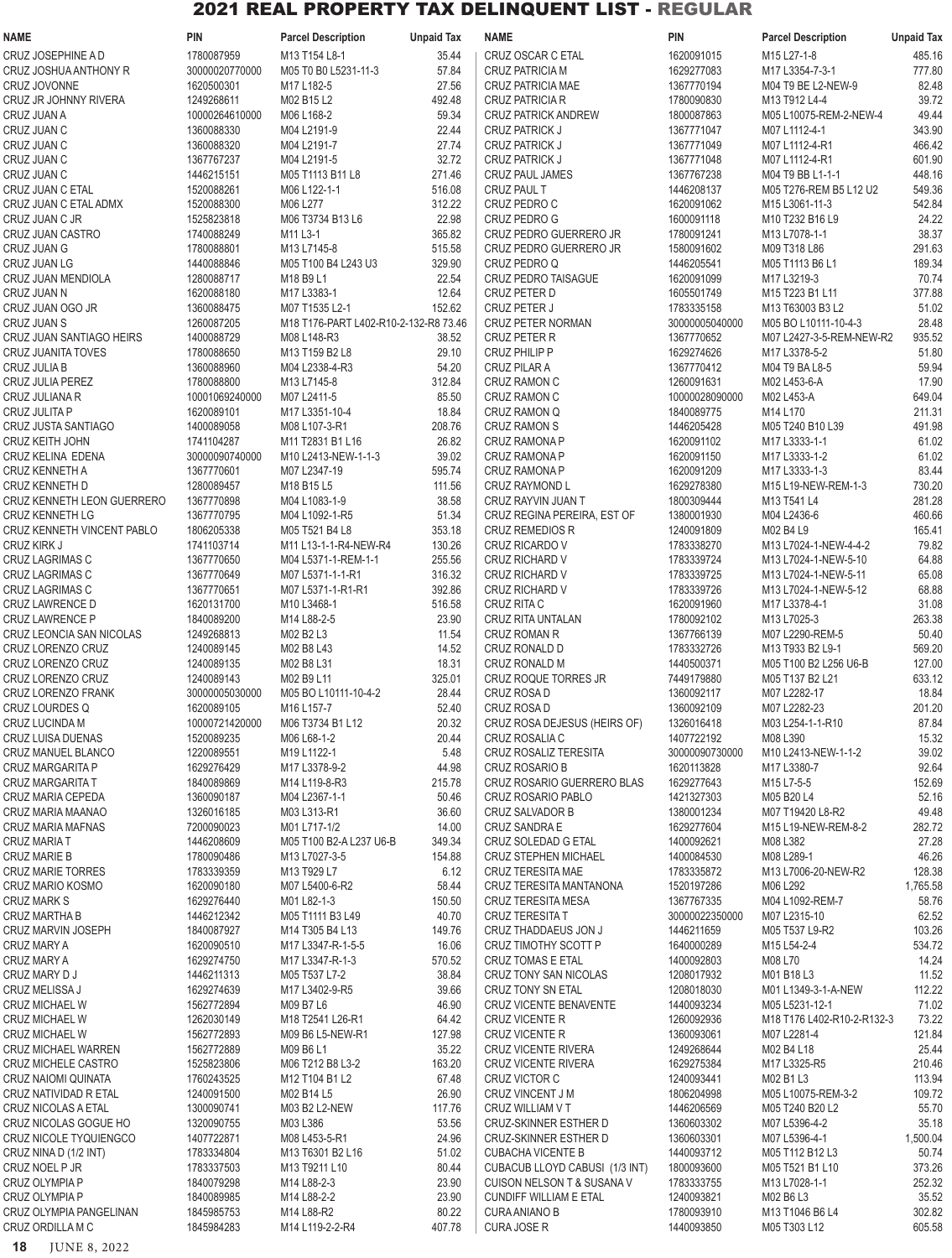| <b>NAME</b>                                         | <b>PIN</b>               | <b>Parcel Description</b>             | <b>Unpaid Tax</b> | <b>NAME</b>                                  | <b>PIN</b>               | <b>Parcel Description</b>                | <b>Unpaid Tax</b>  |
|-----------------------------------------------------|--------------------------|---------------------------------------|-------------------|----------------------------------------------|--------------------------|------------------------------------------|--------------------|
| <b>CRUZ JOSEPHINE A D</b>                           | 1780087959               | M13 T154 L8-1                         | 35.44             | CRUZ OSCAR C ETAL                            | 1620091015               | M15 L27-1-8                              | 485.16             |
| CRUZ JOSHUA ANTHONY R                               | 30000020770000           | M05 T0 B0 L5231-11-3                  | 57.84             | <b>CRUZ PATRICIA M</b>                       | 1629277083               | M17 L3354-7-3-1                          | 777.80             |
| <b>CRUZ JOVONNE</b>                                 | 1620500301               | M17 L182-5                            | 27.56             | CRUZ PATRICIA MAE                            | 1367770194               | M04 T9 BE L2-NEW-9                       | 82.48              |
| CRUZ JR JOHNNY RIVERA                               | 1249268611               | M02 B15 L2                            | 492.48            | <b>CRUZ PATRICIA R</b>                       | 1780090830               | M13 T912 L4-4                            | 39.72              |
| CRUZ JUAN A                                         | 10000264610000           | M06 L168-2                            | 59.34             | <b>CRUZ PATRICK ANDREW</b>                   | 1800087863               | M05 L10075-REM-2-NEW-4                   | 49.44              |
| CRUZ JUAN C                                         | 1360088330               | M04 L2191-9                           | 22.44             | <b>CRUZ PATRICK J</b>                        | 1367771047               | M07 L1112-4-1                            | 343.90             |
| CRUZ JUAN C                                         | 1360088320               | M04 L2191-7                           | 27.74             | <b>CRUZ PATRICK J</b>                        | 1367771049               | M07 L1112-4-R1                           | 466.42             |
| CRUZ JUAN C                                         | 1367767237               | M04 L2191-5                           | 32.72             | <b>CRUZ PATRICK J</b>                        | 1367771048               | M07 L1112-4-R1                           | 601.90             |
| CRUZ JUAN C                                         | 1446215151               | M05 T1113 B11 L8                      | 271.46            | <b>CRUZ PAUL JAMES</b>                       | 1367767238               | M04 T9 BB L1-1-1                         | 448.16             |
| CRUZ JUAN C ETAL<br>CRUZ JUAN C ETAL ADMX           | 1520088261<br>1520088300 | M06 L122-1-1<br>M06 L277              | 516.08<br>312.22  | <b>CRUZ PAUL T</b><br>CRUZ PEDRO C           | 1446208137<br>1620091062 | M05 T276-REM B5 L12 U2<br>M15 L3061-11-3 | 549.36<br>542.84   |
| CRUZ JUAN C JR                                      | 1525823818               | M06 T3734 B13 L6                      | 22.98             | CRUZ PEDRO G                                 | 1600091118               | M10 T232 B16 L9                          | 24.22              |
| CRUZ JUAN CASTRO                                    | 1740088249               | M11 L3-1                              | 365.82            | CRUZ PEDRO GUERRERO JR                       | 1780091241               | M13 L7078-1-1                            | 38.37              |
| CRUZ JUAN G                                         | 1780088801               | M13 L7145-8                           | 515.58            | CRUZ PEDRO GUERRERO JR                       | 1580091602               | M09 T318 L86                             | 291.63             |
| <b>CRUZ JUAN LG</b>                                 | 1440088846               | M05 T100 B4 L243 U3                   | 329.90            | CRUZ PEDRO Q                                 | 1446205541               | M05 T1113 B6 L1                          | 189.34             |
| CRUZ JUAN MENDIOLA                                  | 1280088717               | M18 B9 L1                             | 22.54             | <b>CRUZ PEDRO TAISAGUE</b>                   | 1620091099               | M17 L3219-3                              | 70.74              |
| CRUZ JUAN N                                         | 1620088180               | M17 L3383-1                           | 12.64             | CRUZ PETER D                                 | 1605501749               | M15 T223 B1 L11                          | 377.88             |
| CRUZ JUAN OGO JR                                    | 1360088475               | M07 T1535 L2-1                        | 152.62            | <b>CRUZ PETER J</b>                          | 1783335158               | M13 T63003 B3 L2                         | 51.02              |
| <b>CRUZ JUAN S</b>                                  | 1260087205               | M18 T176-PART L402-R10-2-132-R8 73.46 |                   | <b>CRUZ PETER NORMAN</b>                     | 30000005040000           | M05 BO L10111-10-4-3                     | 28.48              |
| CRUZ JUAN SANTIAGO HEIRS                            | 1400088729               | M08 L148-R3                           | 38.52             | <b>CRUZ PETER R</b>                          | 1367770652               | M07 L2427-3-5-REM-NEW-R2                 | 935.52             |
| <b>CRUZ JUANITA TOVES</b>                           | 1780088650               | M13 T159 B2 L8                        | 29.10             | <b>CRUZ PHILIP P</b>                         | 1629274626               | M17 L3378-5-2                            | 51.80              |
| CRUZ JULIA B                                        | 1360088960               | M04 L2338-4-R3                        | 54.20             | <b>CRUZ PILAR A</b>                          | 1367770412               | M04 T9 BA L8-5                           | 59.94              |
| CRUZ JULIA PEREZ                                    | 1780088800               | M13 L7145-8                           | 312.84            | <b>CRUZ RAMON C</b>                          | 1260091631               | M02 L453-6-A                             | 17.90              |
| CRUZ JULIANA R                                      | 10001069240000           | M07 L2411-5                           | 85.50             | <b>CRUZ RAMON C</b>                          | 10000028090000           | M02 L453-A                               | 649.04             |
| CRUZ JULITA P                                       | 1620089101<br>1400089058 | M17 L3351-10-4                        | 18.84             | CRUZ RAMON Q<br><b>CRUZ RAMON S</b>          | 1840089775<br>1446205428 | M14 L170                                 | 211.31             |
| CRUZ JUSTA SANTIAGO<br><b>CRUZ KEITH JOHN</b>       | 1741104287               | M08 L107-3-R1<br>M11 T2831 B1 L16     | 208.76<br>26.82   | <b>CRUZ RAMONA P</b>                         | 1620091102               | M05 T240 B10 L39<br>M17 L3333-1-1        | 491.98<br>61.02    |
| CRUZ KELINA EDENA                                   | 30000090740000           | M10 L2413-NEW-1-1-3                   | 39.02             | <b>CRUZ RAMONA P</b>                         | 1620091150               | M17 L3333-1-2                            | 61.02              |
| <b>CRUZ KENNETH A</b>                               | 1367770601               | M07 L2347-19                          | 595.74            | <b>CRUZ RAMONA P</b>                         | 1620091209               | M17 L3333-1-3                            | 83.44              |
| CRUZ KENNETH D                                      | 1280089457               | M18 B15 L5                            | 111.56            | CRUZ RAYMOND L                               | 1629278380               | M15 L19-NEW-REM-1-3                      | 730.20             |
| CRUZ KENNETH LEON GUERRERO                          | 1367770898               | M04 L1083-1-9                         | 38.58             | CRUZ RAYVIN JUAN T                           | 1800309444               | M13 T541 L4                              | 281.28             |
| <b>CRUZ KENNETH LG</b>                              | 1367770795               | M04 L1092-1-R5                        | 51.34             | CRUZ REGINA PEREIRA, EST OF                  | 1380001930               | M04 L2436-6                              | 460.66             |
| CRUZ KENNETH VINCENT PABLO                          | 1806205338               | M05 T521 B4 L8                        | 353.18            | CRUZ REMEDIOS R                              | 1240091809               | M02 B4 L9                                | 165.41             |
| CRUZ KIRK J                                         | 1741103714               | M11 L13-1-1-R4-NEW-R4                 | 130.26            | CRUZ RICARDO V                               | 1783338270               | M13 L7024-1-NEW-4-4-2                    | 79.82              |
| CRUZ LAGRIMAS C                                     | 1367770650               | M04 L5371-1-REM-1-1                   | 255.56            | <b>CRUZ RICHARD V</b>                        | 1783339724               | M13 L7024-1-NEW-5-10                     | 64.88              |
| CRUZ LAGRIMAS C                                     | 1367770649               | M07 L5371-1-1-R1                      | 316.32            | <b>CRUZ RICHARD V</b>                        | 1783339725               | M13 L7024-1-NEW-5-11                     | 65.08              |
| CRUZ LAGRIMAS C                                     | 1367770651               | M07 L5371-1-R1-R1                     | 392.86            | <b>CRUZ RICHARD V</b>                        | 1783339726               | M13 L7024-1-NEW-5-12                     | 68.88              |
| CRUZ LAWRENCE D                                     | 1620131700               | M10 L3468-1                           | 516.58            | CRUZ RITA C                                  | 1620091960               | M17 L3378-4-1                            | 31.08              |
| <b>CRUZ LAWRENCE P</b>                              | 1840089200               | M14 L88-2-5                           | 23.90             | CRUZ RITA UNTALAN                            | 1780092102               | M13 L7025-3                              | 263.38             |
| CRUZ LEONCIA SAN NICOLAS                            | 1249268813               | M02 B2 L3                             | 11.54             | <b>CRUZ ROMAN R</b>                          | 1367766139               | M07 L2290-REM-5                          | 50.40              |
| CRUZ LORENZO CRUZ                                   | 1240089145               | M02 B8 L43                            | 14.52             | CRUZ RONALD D                                | 1783332726               | M13 T933 B2 L9-1                         | 569.20             |
| CRUZ LORENZO CRUZ<br>CRUZ LORENZO CRUZ              | 1240089135<br>1240089143 | M02 B8 L31<br>M02 B9 L11              | 18.31<br>325.01   | <b>CRUZ RONALD M</b><br>CRUZ ROQUE TORRES JR | 1440500371<br>7449179880 | M05 T100 B2 L256 U6-B<br>M05 T137 B2 L21 | 127.00<br>633.12   |
| CRUZ LORENZO FRANK                                  | 30000005030000           | M05 BO L10111-10-4-2                  | 28.44             | CRUZ ROSA D                                  | 1360092117               | M07 L2282-17                             | 18.84              |
| <b>CRUZ LOURDES Q</b>                               | 1620089105               | M16 L157-7                            | 52.40             | CRUZ ROSA D                                  | 1360092109               | M07 L2282-23                             | 201.20             |
| <b>CRUZ LUCINDA M</b>                               | 10000721420000           | M06 T3734 B1 L12                      | 20.32             | CRUZ ROSA DEJESUS (HEIRS OF)                 | 1326016418               | M03 L254-1-1-R10                         | 87.84              |
| CRUZ LUISA DUENAS                                   | 1520089235               | M06 L68-1-2                           | 20.44             | CRUZ ROSALIA C                               | 1407722192               | M08 L390                                 | 15.32              |
| CRUZ MANUEL BLANCO                                  | 1220089551               | M19 L1122-1                           | 5.48              | CRUZ ROSALIZ TERESITA                        | 30000090730000           | M10 L2413-NEW-1-1-2                      | 39.02              |
| CRUZ MARGARITA P                                    | 1629276429               | M17 L3378-9-2                         | 44.98             | CRUZ ROSARIO B                               | 1620113828               | M17 L3380-7                              | 92.64              |
| CRUZ MARGARITA T                                    | 1840089869               | M14 L119-8-R3                         | 215.78            | CRUZ ROSARIO GUERRERO BLAS                   | 1629277643               | M15 L7-5-5                               | 152.69             |
| CRUZ MARIA CEPEDA                                   | 1360090187               | M04 L2367-1-1                         | 50.46             | CRUZ ROSARIO PABLO                           | 1421327303               | M05 B20 L4                               | 52.16              |
| CRUZ MARIA MAANAO                                   | 1326016185               | M03 L313-R1                           | 36.60             | CRUZ SALVADOR B                              | 1380001234               | M07 T19420 L8-R2                         | 49.48              |
| CRUZ MARIA MAFNAS                                   | 7200090023               | M01 L717-1/2                          | 14.00             | CRUZ SANDRA E                                | 1629277604               | M15 L19-NEW-REM-8-2                      | 282.72             |
| <b>CRUZ MARIAT</b>                                  | 1446208609               | M05 T100 B2-A L237 U6-B               | 349.34            | CRUZ SOLEDAD G ETAL                          | 1400092621               | M08 L382                                 | 27.28              |
| CRUZ MARIE B                                        | 1780090486               | M13 L7027-3-5                         | 154.88            | CRUZ STEPHEN MICHAEL                         | 1400084530               | M08 L289-1                               | 46.26              |
| CRUZ MARIE TORRES<br>CRUZ MARIO KOSMO               | 1783339359<br>1620090180 | M13 T929 L7<br>M07 L5400-6-R2         | 6.12<br>58.44     | CRUZ TERESITA MAE<br>CRUZ TERESITA MANTANONA | 1783335872<br>1520197286 | M13 L7006-20-NEW-R2<br>M06 L292          | 128.38<br>1,765.58 |
| <b>CRUZ MARK S</b>                                  | 1629276440               | M01 L82-1-3                           | 150.50            | CRUZ TERESITA MESA                           | 1367767335               | M04 L1092-REM-7                          | 58.76              |
| <b>CRUZ MARTHA B</b>                                | 1446212342               | M05 T1111 B3 L49                      | 40.70             | <b>CRUZ TERESITA T</b>                       | 30000022350000           | M07 L2315-10                             | 62.52              |
| <b>CRUZ MARVIN JOSEPH</b>                           | 1840087927               | M14 T305 B4 L13                       | 149.76            | CRUZ THADDAEUS JON J                         | 1446211659               | M05 T537 L9-R2                           | 103.26             |
| CRUZ MARY A                                         | 1620090510               | M17 L3347-R-1-5-5                     | 16.06             | CRUZ TIMOTHY SCOTT P                         | 1640000289               | M15 L54-2-4                              | 534.72             |
| CRUZ MARY A                                         | 1629274750               | M17 L3347-R-1-3                       | 570.52            | CRUZ TOMAS E ETAL                            | 1400092803               | M08 L70                                  | 14.24              |
| CRUZ MARY D J                                       | 1446211313               | M05 T537 L7-2                         | 38.84             | CRUZ TONY SAN NICOLAS                        | 1208017932               | M01 B18 L3                               | 11.52              |
| CRUZ MELISSA J                                      | 1629274639               | M17 L3402-9-R5                        | 39.66             | CRUZ TONY SN ETAL                            | 1208018030               | M01 L1349-3-1-A-NEW                      | 112.22             |
| <b>CRUZ MICHAEL W</b>                               | 1562772894               | M09 B7 L6                             | 46.90             | <b>CRUZ VICENTE BENAVENTE</b>                | 1440093234               | M05 L5231-12-1                           | 71.02              |
| CRUZ MICHAEL W                                      | 1262030149               | M18 T2541 L26-R1                      | 64.42             | <b>CRUZ VICENTE R</b>                        | 1260092936               | M18 T176 L402-R10-2-R132-3               | 73.22              |
| <b>CRUZ MICHAEL W</b>                               | 1562772893               | M09 B6 L5-NEW-R1                      | 127.98            | <b>CRUZ VICENTE R</b>                        | 1360093061               | M07 L2281-4                              | 121.84             |
| CRUZ MICHAEL WARREN                                 | 1562772889               | M09 B6 L1                             | 35.22             | <b>CRUZ VICENTE RIVERA</b>                   | 1249268644               | M02 B4 L18                               | 25.44              |
| CRUZ MICHELE CASTRO                                 | 1525823806               | M06 T212 B8 L3-2                      | 163.20            | <b>CRUZ VICENTE RIVERA</b>                   | 1629275384               | M17 L3325-R5                             | 210.46             |
| CRUZ NAIOMI QUINATA                                 | 1760243525               | M12 T104 B1 L2                        | 67.48             | <b>CRUZ VICTOR C</b>                         | 1240093441               | M02 B1 L3                                | 113.94             |
| CRUZ NATIVIDAD R ETAL<br><b>CRUZ NICOLAS A ETAL</b> | 1240091500<br>1300090741 | M02 B14 L5<br>M03 B2 L2-NEW           | 26.90<br>117.76   | CRUZ VINCENT J M<br>CRUZ WILLIAM V T         | 1806204998<br>1446206569 | M05 L10075-REM-3-2<br>M05 T240 B20 L2    | 109.72<br>55.70    |
| CRUZ NICOLAS GOGUE HO                               | 1320090755               | M03 L386                              | 53.56             | CRUZ-SKINNER ESTHER D                        | 1360603302               | M07 L5396-4-2                            | 35.18              |
| CRUZ NICOLE TYQUIENGCO                              | 1407722871               | M08 L453-5-R1                         | 24.96             | CRUZ-SKINNER ESTHER D                        | 1360603301               | M07 L5396-4-1                            | 1,500.04           |
| CRUZ NINA D (1/2 INT)                               | 1783334804               | M13 T6301 B2 L16                      | 51.02             | <b>CUBACHA VICENTE B</b>                     | 1440093712               | M05 T112 B12 L3                          | 50.74              |
| CRUZ NOEL P JR                                      | 1783337503               | M13 T9211 L10                         | 80.44             | CUBACUB LLOYD CABUSI (1/3 INT)               | 1800093600               | M05 T521 B1 L10                          | 373.26             |
| CRUZ OLYMPIA P                                      | 1840079298               | M14 L88-2-3                           | 23.90             | CUISON NELSON T & SUSANA V                   | 1783333755               | M13 L7028-1-1                            | 252.32             |
| CRUZ OLYMPIA P                                      | 1840089985               | M14 L88-2-2                           | 23.90             | <b>CUNDIFF WILLIAM E ETAL</b>                | 1240093821               | M02 B6 L3                                | 35.52              |
| CRUZ OLYMPIA PANGELINAN                             | 1845985753               | M14 L88-R2                            | 80.22             | <b>CURA ANIANO B</b>                         | 1780093910               | M13 T1046 B6 L4                          | 302.82             |
| CRUZ ORDILLA M C                                    | 1845984283               | M14 L119-2-2-R4                       | 407.78            | <b>CURA JOSE R</b>                           | 1440093850               | M05 T303 L12                             | 605.58             |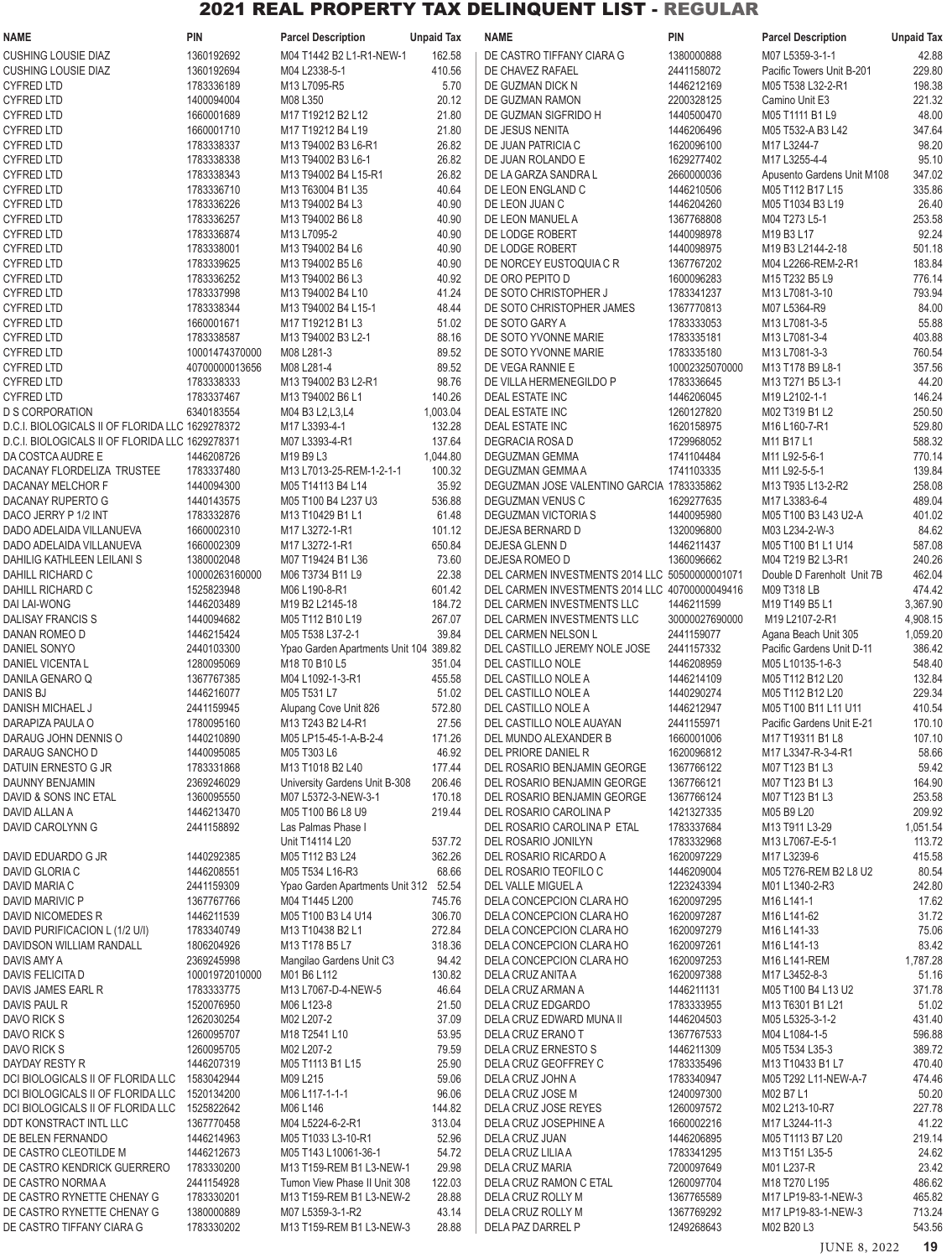| <b>NAME</b>                                                            | <b>PIN</b>                   | <b>Parcel Description</b>                                  | <b>Unpaid Tax</b>  | <b>NAME</b>                                                | PIN                          | <b>Parcel Description</b>                         | <b>Unpaid Tax</b>  |
|------------------------------------------------------------------------|------------------------------|------------------------------------------------------------|--------------------|------------------------------------------------------------|------------------------------|---------------------------------------------------|--------------------|
| <b>CUSHING LOUSIE DIAZ</b>                                             | 1360192692                   | M04 T1442 B2 L1-R1-NEW-1                                   | 162.58             | DE CASTRO TIFFANY CIARA G                                  | 1380000888                   | M07 L5359-3-1-1                                   | 42.88              |
| <b>CUSHING LOUSIE DIAZ</b>                                             | 1360192694                   | M04 L2338-5-1                                              | 410.56             | DE CHAVEZ RAFAEL                                           | 2441158072                   | Pacific Towers Unit B-201                         | 229.80             |
| <b>CYFRED LTD</b><br><b>CYFRED LTD</b>                                 | 1783336189<br>1400094004     | M13 L7095-R5<br>M08 L350                                   | 5.70<br>20.12      | DE GUZMAN DICK N<br>DE GUZMAN RAMON                        | 1446212169<br>2200328125     | M05 T538 L32-2-R1<br>Camino Unit E3               | 198.38<br>221.32   |
| <b>CYFRED LTD</b>                                                      | 1660001689                   | M17 T19212 B2 L12                                          | 21.80              | DE GUZMAN SIGFRIDO H                                       | 1440500470                   | M05 T1111 B1 L9                                   | 48.00              |
| <b>CYFRED LTD</b>                                                      | 1660001710                   | M17 T19212 B4 L19                                          | 21.80              | DE JESUS NENITA                                            | 1446206496                   | M05 T532-A B3 L42                                 | 347.64             |
| <b>CYFRED LTD</b>                                                      | 1783338337                   | M13 T94002 B3 L6-R1                                        | 26.82              | DE JUAN PATRICIA C                                         | 1620096100                   | M17 L3244-7                                       | 98.20              |
| <b>CYFRED LTD</b>                                                      | 1783338338                   | M13 T94002 B3 L6-1                                         | 26.82              | DE JUAN ROLANDO E                                          | 1629277402                   | M17 L3255-4-4                                     | 95.10              |
| <b>CYFRED LTD</b>                                                      | 1783338343                   | M13 T94002 B4 L15-R1                                       | 26.82              | DE LA GARZA SANDRA L                                       | 2660000036                   | Apusento Gardens Unit M108                        | 347.02             |
| <b>CYFRED LTD</b><br><b>CYFRED LTD</b>                                 | 1783336710<br>1783336226     | M13 T63004 B1 L35<br>M13 T94002 B4 L3                      | 40.64<br>40.90     | DE LEON ENGLAND C<br>DE LEON JUAN C                        | 1446210506<br>1446204260     | M05 T112 B17 L15<br>M05 T1034 B3 L19              | 335.86<br>26.40    |
| <b>CYFRED LTD</b>                                                      | 1783336257                   | M13 T94002 B6 L8                                           | 40.90              | DE LEON MANUEL A                                           | 1367768808                   | M04 T273 L5-1                                     | 253.58             |
| <b>CYFRED LTD</b>                                                      | 1783336874                   | M13 L7095-2                                                | 40.90              | DE LODGE ROBERT                                            | 1440098978                   | M19 B3 L17                                        | 92.24              |
| <b>CYFRED LTD</b>                                                      | 1783338001                   | M13 T94002 B4 L6                                           | 40.90              | DE LODGE ROBERT                                            | 1440098975                   | M19 B3 L2144-2-18                                 | 501.18             |
| <b>CYFRED LTD</b>                                                      | 1783339625                   | M13 T94002 B5 L6                                           | 40.90              | DE NORCEY EUSTOQUIA C R                                    | 1367767202                   | M04 L2266-REM-2-R1                                | 183.84             |
| <b>CYFRED LTD</b><br><b>CYFRED LTD</b>                                 | 1783336252<br>1783337998     | M13 T94002 B6 L3<br>M13 T94002 B4 L10                      | 40.92<br>41.24     | DE ORO PEPITO D<br>DE SOTO CHRISTOPHER J                   | 1600096283<br>1783341237     | M15 T232 B5 L9<br>M13 L7081-3-10                  | 776.14<br>793.94   |
| <b>CYFRED LTD</b>                                                      | 1783338344                   | M13 T94002 B4 L15-1                                        | 48.44              | DE SOTO CHRISTOPHER JAMES                                  | 1367770813                   | M07 L5364-R9                                      | 84.00              |
| <b>CYFRED LTD</b>                                                      | 1660001671                   | M17 T19212 B1 L3                                           | 51.02              | DE SOTO GARY A                                             | 1783333053                   | M13 L7081-3-5                                     | 55.88              |
| <b>CYFRED LTD</b>                                                      | 1783338587                   | M13 T94002 B3 L2-1                                         | 88.16              | DE SOTO YVONNE MARIE                                       | 1783335181                   | M13 L7081-3-4                                     | 403.88             |
| <b>CYFRED LTD</b>                                                      | 10001474370000               | M08 L281-3                                                 | 89.52              | DE SOTO YVONNE MARIE                                       | 1783335180                   | M13 L7081-3-3                                     | 760.54             |
| <b>CYFRED LTD</b><br><b>CYFRED LTD</b>                                 | 40700000013656<br>1783338333 | M08 L281-4<br>M13 T94002 B3 L2-R1                          | 89.52<br>98.76     | DE VEGA RANNIE E<br>DE VILLA HERMENEGILDO P                | 10002325070000<br>1783336645 | M13 T178 B9 L8-1<br>M13 T271 B5 L3-1              | 357.56<br>44.20    |
| <b>CYFRED LTD</b>                                                      | 1783337467                   | M13 T94002 B6 L1                                           | 140.26             | DEAL ESTATE INC                                            | 1446206045                   | M19 L2102-1-1                                     | 146.24             |
| <b>D S CORPORATION</b>                                                 | 6340183554                   | M04 B3 L2, L3, L4                                          | 1,003.04           | DEAL ESTATE INC                                            | 1260127820                   | M02 T319 B1 L2                                    | 250.50             |
| D.C.I. BIOLOGICALS II OF FLORIDA LLC 1629278372                        |                              | M17 L3393-4-1                                              | 132.28             | DEAL ESTATE INC                                            | 1620158975                   | M16 L160-7-R1                                     | 529.80             |
| D.C.I. BIOLOGICALS II OF FLORIDA LLC 1629278371                        |                              | M07 L3393-4-R1                                             | 137.64             | DEGRACIA ROSA D                                            | 1729968052                   | M11 B17 L1                                        | 588.32             |
| DA COSTCA AUDRE E<br>DACANAY FLORDELIZA TRUSTEE                        | 1446208726<br>1783337480     | M19 B9 L3<br>M13 L7013-25-REM-1-2-1-1                      | 1,044.80<br>100.32 | DEGUZMAN GEMMA<br>DEGUZMAN GEMMA A                         | 1741104484<br>1741103335     | M11 L92-5-6-1<br>M11 L92-5-5-1                    | 770.14<br>139.84   |
| DACANAY MELCHOR F                                                      | 1440094300                   | M05 T14113 B4 L14                                          | 35.92              | DEGUZMAN JOSE VALENTINO GARCIA 1783335862                  |                              | M13 T935 L13-2-R2                                 | 258.08             |
| DACANAY RUPERTO G                                                      | 1440143575                   | M05 T100 B4 L237 U3                                        | 536.88             | DEGUZMAN VENUS C                                           | 1629277635                   | M17 L3383-6-4                                     | 489.04             |
| DACO JERRY P 1/2 INT                                                   | 1783332876                   | M13 T10429 B1 L1                                           | 61.48              | DEGUZMAN VICTORIA S                                        | 1440095980                   | M05 T100 B3 L43 U2-A                              | 401.02             |
| DADO ADELAIDA VILLANUEVA                                               | 1660002310                   | M17 L3272-1-R1                                             | 101.12             | DEJESA BERNARD D                                           | 1320096800                   | M03 L234-2-W-3                                    | 84.62              |
| DADO ADELAIDA VILLANUEVA<br>DAHILIG KATHLEEN LEILANI S                 | 1660002309<br>1380002048     | M17 L3272-1-R1<br>M07 T19424 B1 L36                        | 650.84<br>73.60    | DEJESA GLENN D<br>DEJESA ROMEO D                           | 1446211437<br>1360096662     | M05 T100 B1 L1 U14<br>M04 T219 B2 L3-R1           | 587.08<br>240.26   |
| DAHILL RICHARD C                                                       | 10000263160000               | M06 T3734 B11 L9                                           | 22.38              | DEL CARMEN INVESTMENTS 2014 LLC 50500000001071             |                              | Double D Farenholt Unit 7B                        | 462.04             |
| DAHILL RICHARD C                                                       | 1525823948                   | M06 L190-8-R1                                              | 601.42             | DEL CARMEN INVESTMENTS 2014 LLC 40700000049416             |                              | M09 T318 LB                                       | 474.42             |
| DAI LAI-WONG                                                           | 1446203489                   | M <sub>19</sub> B <sub>2</sub> L <sub>2145-18</sub>        | 184.72             | DEL CARMEN INVESTMENTS LLC                                 | 1446211599                   | M19 T149 B5 L1                                    | 3.367.90           |
| <b>DALISAY FRANCIS S</b>                                               | 1440094682                   | M05 T112 B10 L19                                           | 267.07             | DEL CARMEN INVESTMENTS LLC                                 | 30000027690000               | M19 L2107-2-R1                                    | 4,908.15           |
| DANAN ROMEO D<br>DANIEL SONYO                                          | 1446215424<br>2440103300     | M05 T538 L37-2-1<br>Ypao Garden Apartments Unit 104 389.82 | 39.84              | DEL CARMEN NELSON L<br>DEL CASTILLO JEREMY NOLE JOSE       | 2441159077<br>2441157332     | Agana Beach Unit 305<br>Pacific Gardens Unit D-11 | 1,059.20<br>386.42 |
| DANIEL VICENTA L                                                       | 1280095069                   | M18 T0 B10 L5                                              | 351.04             | <b>DEL CASTILLO NOLE</b>                                   | 1446208959                   | M05 L10135-1-6-3                                  | 548.40             |
| DANILA GENARO Q                                                        | 1367767385                   | M04 L1092-1-3-R1                                           | 455.58             | DEL CASTILLO NOLE A                                        | 1446214109                   | M05 T112 B12 L20                                  | 132.84             |
| DANIS BJ                                                               | 1446216077                   | M05 T531 L7                                                | 51.02              | DEL CASTILLO NOLE A                                        | 1440290274                   | M05 T112 B12 L20                                  | 229.34             |
| DANISH MICHAEL J<br>DARAPIZA PAULA O                                   | 2441159945<br>1780095160     | Alupang Cove Unit 826<br>M13 T243 B2 L4-R1                 | 572.80<br>27.56    | DEL CASTILLO NOLE A<br>DEL CASTILLO NOLE AUAYAN            | 1446212947<br>2441155971     | M05 T100 B11 L11 U11<br>Pacific Gardens Unit E-21 | 410.54<br>170.10   |
| DARAUG JOHN DENNIS O                                                   | 1440210890                   | M05 LP15-45-1-A-B-2-4                                      | 171.26             | DEL MUNDO ALEXANDER B                                      | 1660001006                   | M17 T19311 B1 L8                                  | 107.10             |
| DARAUG SANCHO D                                                        | 1440095085                   | M05 T303 L6                                                | 46.92              | DEL PRIORE DANIEL R                                        | 1620096812                   | M17 L3347-R-3-4-R1                                | 58.66              |
| DATUIN ERNESTO G JR                                                    | 1783331868                   | M13 T1018 B2 L40                                           | 177.44             | DEL ROSARIO BENJAMIN GEORGE                                | 1367766122                   | M07 T123 B1 L3                                    | 59.42              |
| DAUNNY BENJAMIN<br>DAVID & SONS INC ETAL                               | 2369246029<br>1360095550     | University Gardens Unit B-308<br>M07 L5372-3-NEW-3-1       | 206.46<br>170.18   | DEL ROSARIO BENJAMIN GEORGE<br>DEL ROSARIO BENJAMIN GEORGE | 1367766121<br>1367766124     | M07 T123 B1 L3<br>M07 T123 B1 L3                  | 164.90<br>253.58   |
| DAVID ALLAN A                                                          | 1446213470                   | M05 T100 B6 L8 U9                                          | 219.44             | DEL ROSARIO CAROLINA P                                     | 1421327335                   | M05 B9 L20                                        | 209.92             |
| DAVID CAROLYNN G                                                       | 2441158892                   | Las Palmas Phase I                                         |                    | DEL ROSARIO CAROLINA PETAL                                 | 1783337684                   | M13 T911 L3-29                                    | 1,051.54           |
|                                                                        |                              | Unit T14114 L20                                            | 537.72             | DEL ROSARIO JONILYN                                        | 1783332968                   | M13 L7067-E-5-1                                   | 113.72             |
| DAVID EDUARDO G JR<br>DAVID GLORIA C                                   | 1440292385                   | M05 T112 B3 L24                                            | 362.26<br>68.66    | DEL ROSARIO RICARDO A                                      | 1620097229                   | M17 L3239-6                                       | 415.58             |
| DAVID MARIA C                                                          | 1446208551<br>2441159309     | M05 T534 L16-R3<br>Ypao Garden Apartments Unit 312 52.54   |                    | DEL ROSARIO TEOFILO C<br>DEL VALLE MIGUEL A                | 1446209004<br>1223243394     | M05 T276-REM B2 L8 U2<br>M01 L1340-2-R3           | 80.54<br>242.80    |
| DAVID MARIVIC P                                                        | 1367767766                   | M04 T1445 L200                                             | 745.76             | DELA CONCEPCION CLARA HO                                   | 1620097295                   | M16 L141-1                                        | 17.62              |
| DAVID NICOMEDES R                                                      | 1446211539                   | M05 T100 B3 L4 U14                                         | 306.70             | DELA CONCEPCION CLARA HO                                   | 1620097287                   | M16 L141-62                                       | 31.72              |
| DAVID PURIFICACION L (1/2 U/I)                                         | 1783340749                   | M13 T10438 B2 L1                                           | 272.84             | DELA CONCEPCION CLARA HO                                   | 1620097279                   | M <sub>16</sub> L <sub>141</sub> -33              | 75.06              |
| DAVIDSON WILLIAM RANDALL<br>DAVIS AMY A                                | 1806204926<br>2369245998     | M13 T178 B5 L7<br>Mangilao Gardens Unit C3                 | 318.36<br>94.42    | DELA CONCEPCION CLARA HO<br>DELA CONCEPCION CLARA HO       | 1620097261<br>1620097253     | M16 L141-13<br>M16 L141-REM                       | 83.42<br>1,787.28  |
| DAVIS FELICITA D                                                       | 10001972010000               | M01 B6 L112                                                | 130.82             | DELA CRUZ ANITA A                                          | 1620097388                   | M17 L3452-8-3                                     | 51.16              |
| DAVIS JAMES EARL R                                                     | 1783333775                   | M13 L7067-D-4-NEW-5                                        | 46.64              | DELA CRUZ ARMAN A                                          | 1446211131                   | M05 T100 B4 L13 U2                                | 371.78             |
| DAVIS PAUL R                                                           | 1520076950                   | M06 L123-8                                                 | 21.50              | DELA CRUZ EDGARDO                                          | 1783333955                   | M13 T6301 B1 L21                                  | 51.02              |
| DAVO RICK S<br>DAVO RICK S                                             | 1262030254<br>1260095707     | M02 L207-2<br>M18 T2541 L10                                | 37.09<br>53.95     | DELA CRUZ EDWARD MUNA II<br>DELA CRUZ ERANO T              | 1446204503<br>1367767533     | M05 L5325-3-1-2<br>M04 L1084-1-5                  | 431.40<br>596.88   |
| DAVO RICK S                                                            | 1260095705                   | M02 L207-2                                                 | 79.59              | DELA CRUZ ERNESTO S                                        | 1446211309                   | M05 T534 L35-3                                    | 389.72             |
| DAYDAY RESTY R                                                         | 1446207319                   | M05 T1113 B1 L15                                           | 25.90              | DELA CRUZ GEOFFREY C                                       | 1783335496                   | M13 T10433 B1 L7                                  | 470.40             |
| DCI BIOLOGICALS II OF FLORIDA LLC 1583042944                           |                              | M09 L215                                                   | 59.06              | DELA CRUZ JOHN A                                           | 1783340947                   | M05 T292 L11-NEW-A-7                              | 474.46             |
| DCI BIOLOGICALS II OF FLORIDA LLC<br>DCI BIOLOGICALS II OF FLORIDA LLC | 1520134200<br>1525822642     | M06 L117-1-1-1<br>M06 L146                                 | 96.06<br>144.82    | DELA CRUZ JOSE M<br>DELA CRUZ JOSE REYES                   | 1240097300<br>1260097572     | M02 B7 L1<br>M02 L213-10-R7                       | 50.20<br>227.78    |
| DDT KONSTRACT INTL LLC                                                 | 1367770458                   | M04 L5224-6-2-R1                                           | 313.04             | DELA CRUZ JOSEPHINE A                                      | 1660002216                   | M17 L3244-11-3                                    | 41.22              |
| DE BELEN FERNANDO                                                      | 1446214963                   | M05 T1033 L3-10-R1                                         | 52.96              | DELA CRUZ JUAN                                             | 1446206895                   | M05 T1113 B7 L20                                  | 219.14             |
| DE CASTRO CLEOTILDE M                                                  | 1446212673                   | M05 T143 L10061-36-1                                       | 54.72              | DELA CRUZ LILIA A                                          | 1783341295                   | M13 T151 L35-5                                    | 24.62              |
| DE CASTRO KENDRICK GUERRERO                                            | 1783330200                   | M13 T159-REM B1 L3-NEW-1                                   | 29.98              | DELA CRUZ MARIA                                            | 7200097649                   | M01 L237-R                                        | 23.42              |
| DE CASTRO NORMA A<br>DE CASTRO RYNETTE CHENAY G                        | 2441154928<br>1783330201     | Tumon View Phase II Unit 308<br>M13 T159-REM B1 L3-NEW-2   | 122.03<br>28.88    | DELA CRUZ RAMON C ETAL<br>DELA CRUZ ROLLY M                | 1260097704<br>1367765589     | M18 T270 L195<br>M17 LP19-83-1-NEW-3              | 486.62<br>465.82   |
| DE CASTRO RYNETTE CHENAY G                                             | 1380000889                   | M07 L5359-3-1-R2                                           | 43.14              | DELA CRUZ ROLLY M                                          | 1367769292                   | M17 LP19-83-1-NEW-3                               | 713.24             |
| DE CASTRO TIFFANY CIARA G                                              | 1783330202                   | M13 T159-REM B1 L3-NEW-3                                   | 28.88              | DELA PAZ DARREL P                                          | 1249268643                   | M02 B20 L3                                        | 543.56             |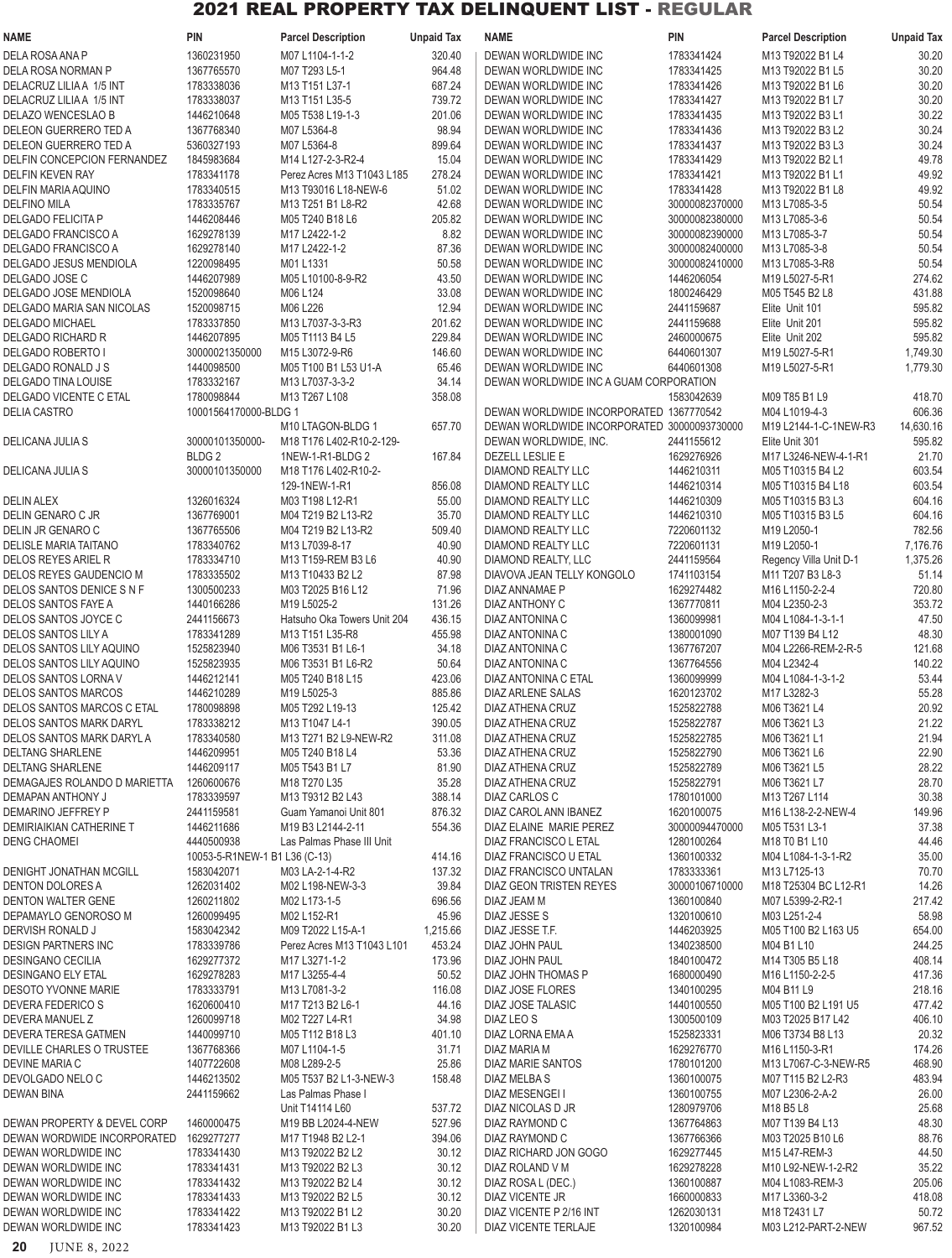| 1360231950<br>1783341424<br>30.20<br>DELA ROSA ANA P<br>M07 L1104-1-1-2<br>320.40<br>DEWAN WORLDWIDE INC<br>M13 T92022 B1 L4<br>964.48<br>1367765570<br>M07 T293 L5-1<br>DEWAN WORLDWIDE INC<br>1783341425<br>30.20<br>DELA ROSA NORMAN P<br>M13 T92022 B1 L5<br>1783338036<br>687.24<br>1783341426<br>DELACRUZ LILIA A 1/5 INT<br>M13 T151 L37-1<br>DEWAN WORLDWIDE INC<br>M13 T92022 B1 L6<br>30.20<br>1783338037<br>739.72<br>DEWAN WORLDWIDE INC<br>1783341427<br>M13 T92022 B1 L7<br>30.20<br>DELACRUZ LILIA A 1/5 INT<br>M13 T151 L35-5<br>1446210648<br>201.06<br>1783341435<br>30.22<br>DELAZO WENCESLAO B<br>M05 T538 L19-1-3<br>DEWAN WORLDWIDE INC<br>M13 T92022 B3 L1<br>1367768340<br>M07 L5364-8<br>98.94<br>30.24<br>DELEON GUERRERO TED A<br>DEWAN WORLDWIDE INC<br>1783341436<br>M13 T92022 B3 L2<br>5360327193<br>M07 L5364-8<br>899.64<br>1783341437<br>30.24<br>DELEON GUERRERO TED A<br>DEWAN WORLDWIDE INC<br>M13 T92022 B3 L3<br>1845983684<br>15.04<br>1783341429<br>49.78<br>DELFIN CONCEPCION FERNANDEZ<br>M14 L127-2-3-R2-4<br>DEWAN WORLDWIDE INC<br>M13 T92022 B2 L1<br><b>DELFIN KEVEN RAY</b><br>1783341178<br>Perez Acres M13 T1043 L185<br>278.24<br>DEWAN WORLDWIDE INC<br>1783341421<br>M13 T92022 B1 L1<br>49.92<br>1783340515<br>51.02<br>49.92<br>DELFIN MARIA AQUINO<br>M13 T93016 L18-NEW-6<br>DEWAN WORLDWIDE INC<br>1783341428<br>M13 T92022 B1 L8<br>42.68<br><b>DELFINO MILA</b><br>1783335767<br>M13 T251 B1 L8-R2<br>DEWAN WORLDWIDE INC<br>30000082370000<br>M13 L7085-3-5<br>50.54<br>1446208446<br>M05 T240 B18 L6<br>205.82<br>30000082380000<br>M13 L7085-3-6<br>50.54<br><b>DELGADO FELICITA P</b><br>DEWAN WORLDWIDE INC<br>1629278139<br>8.82<br>M13 L7085-3-7<br>50.54<br><b>DELGADO FRANCISCO A</b><br>M17 L2422-1-2<br>DEWAN WORLDWIDE INC<br>30000082390000<br>1629278140<br>87.36<br>M13 L7085-3-8<br>DELGADO FRANCISCO A<br>M17 L2422-1-2<br>DEWAN WORLDWIDE INC<br>30000082400000<br>50.54<br>1220098495<br>M01L1331<br>50.58<br>DEWAN WORLDWIDE INC<br>30000082410000<br>M13 L7085-3-R8<br>50.54<br>DELGADO JESUS MENDIOLA<br>1446207989<br>M05 L10100-8-9-R2<br>43.50<br>274.62<br>DELGADO JOSE C<br>DEWAN WORLDWIDE INC<br>1446206054<br>M19 L5027-5-R1<br>33.08<br>431.88<br>DELGADO JOSE MENDIOLA<br>1520098640<br>M06 L124<br>DEWAN WORLDWIDE INC<br>1800246429<br>M05 T545 B2 L8<br>1520098715<br>M06 L226<br>12.94<br>595.82<br>DELGADO MARIA SAN NICOLAS<br>DEWAN WORLDWIDE INC<br>2441159687<br>Elite Unit 101<br>1783337850<br>201.62<br>DEWAN WORLDWIDE INC<br>2441159688<br>Elite Unit 201<br>595.82<br><b>DELGADO MICHAEL</b><br>M13 L7037-3-3-R3<br>1446207895<br>M05 T1113 B4 L5<br>229.84<br>DEWAN WORLDWIDE INC<br>2460000675<br>595.82<br>DELGADO RICHARD R<br>Elite Unit 202<br>30000021350000<br>146.60<br>DELGADO ROBERTO I<br>M15 L3072-9-R6<br>DEWAN WORLDWIDE INC<br>6440601307<br>M19 L5027-5-R1<br>1,749.30<br>1440098500<br>DELGADO RONALD J S<br>M05 T100 B1 L53 U1-A<br>65.46<br>DEWAN WORLDWIDE INC<br>6440601308<br>M19 L5027-5-R1<br>1,779.30<br>1783332167<br>34.14<br>DEWAN WORLDWIDE INC A GUAM CORPORATION<br>DELGADO TINA LOUISE<br>M13 L7037-3-3-2<br>358.08<br><b>DELGADO VICENTE C ETAL</b><br>1780098844<br>M13 T267 L108<br>1583042639<br>M09 T85 B1 L9<br>418.70<br>DEWAN WORLDWIDE INCORPORATED 1367770542<br>606.36<br><b>DELIA CASTRO</b><br>10001564170000-BLDG 1<br>M04 L1019-4-3<br>M10 LTAGON-BLDG 1<br>DEWAN WORLDWIDE INCORPORATED 30000093730000<br>14,630.16<br>657.70<br>M19 L2144-1-C-1NEW-R3<br>595.82<br>30000101350000-<br>M18 T176 L402-R10-2-129-<br>DEWAN WORLDWIDE, INC.<br>2441155612<br>Elite Unit 301<br>DELICANA JULIA S<br>BLDG <sub>2</sub><br>1NEW-1-R1-BLDG 2<br>DEZELL LESLIE E<br>1629276926<br>M17 L3246-NEW-4-1-R1<br>21.70<br>167.84<br>603.54<br>30000101350000<br>M18 T176 L402-R10-2-<br>DIAMOND REALTY LLC<br>1446210311<br>M05 T10315 B4 L2<br>DELICANA JULIA S<br>603.54<br>129-1NEW-1-R1<br>856.08<br>DIAMOND REALTY LLC<br>1446210314<br>M05 T10315 B4 L18<br>1326016324<br>55.00<br>604.16<br><b>DELIN ALEX</b><br>M03 T198 L12-R1<br>DIAMOND REALTY LLC<br>1446210309<br>M05 T10315 B3 L3<br>1367769001<br>35.70<br>604.16<br>DELIN GENARO C JR<br>M04 T219 B2 L13-R2<br>DIAMOND REALTY LLC<br>1446210310<br>M05 T10315 B3 L5<br>1367765506<br>DELIN JR GENARO C<br>M04 T219 B2 L13-R2<br>509.40<br>DIAMOND REALTY LLC<br>7220601132<br>M19 L2050-1<br>782.56<br>1783340762<br>M13 L7039-8-17<br>40.90<br><b>DIAMOND REALTY LLC</b><br>7220601131<br>M19 L2050-1<br>7,176.76<br>DELISLE MARIA TAITANO<br>DELOS REYES ARIEL R<br>1783334710<br>40.90<br>2441159564<br>1,375.26<br>M13 T159-REM B3 L6<br>DIAMOND REALTY, LLC<br>Regency Villa Unit D-1<br>1783335502<br>DELOS REYES GAUDENCIO M<br>M13 T10433 B2 L2<br>87.98<br>DIAVOVA JEAN TELLY KONGOLO<br>1741103154<br>M11 T207 B3 L8-3<br>51.14<br>1300500233<br>71.96<br>720.80<br>DELOS SANTOS DENICE S N F<br>M03 T2025 B16 L12<br>DIAZ ANNAMAE P<br>1629274482<br>M16 L1150-2-2-4<br>1440166286<br>131.26<br>353.72<br>DELOS SANTOS FAYE A<br>M19 L5025-2<br>DIAZ ANTHONY C<br>1367770811<br>M04 L2350-2-3<br>2441156673<br>436.15<br>1360099981<br>47.50<br>Hatsuho Oka Towers Unit 204<br>DIAZ ANTONINA C<br>M04 L1084-1-3-1-1<br>48.30<br><b>DELOS SANTOS LILY A</b><br>1783341289<br>M13 T151 L35-R8<br>455.98<br>DIAZ ANTONINA C<br>1380001090<br>M07 T139 B4 L12<br>1525823940<br>DELOS SANTOS LILY AQUINO<br>M06 T3531 B1 L6-1<br>34.18<br>DIAZ ANTONINA C<br>1367767207<br>M04 L2266-REM-2-R-5<br>121.68<br>1525823935<br>50.64<br>1367764556<br>M04 L2342-4<br>140.22<br><b>DELOS SANTOS LILY AQUINO</b><br>M06 T3531 B1 L6-R2<br>DIAZ ANTONINA C<br>53.44<br>DELOS SANTOS LORNA V<br>1446212141<br>M05 T240 B18 L15<br>423.06<br>DIAZ ANTONINA C ETAL<br>1360099999<br>M04 L1084-1-3-1-2<br><b>DELOS SANTOS MARCOS</b><br>1446210289<br>M19 L5025-3<br>885.86<br>DIAZ ARLENE SALAS<br>1620123702<br>M17 L3282-3<br>55.28<br>1780098898<br>1525822788<br>M06 T3621 L4<br>20.92<br>DELOS SANTOS MARCOS C ETAL<br>M05 T292 L19-13<br>125.42<br>DIAZ ATHENA CRUZ<br>1783338212<br>390.05<br>21.22<br>DELOS SANTOS MARK DARYL<br>M13 T1047 L4-1<br>DIAZ ATHENA CRUZ<br>1525822787<br>M06 T3621 L3<br>DELOS SANTOS MARK DARYL A<br>1783340580<br>M13 T271 B2 L9-NEW-R2<br>311.08<br>DIAZ ATHENA CRUZ<br>1525822785<br>M06 T3621 L1<br>21.94<br>1446209951<br>1525822790<br>22.90<br>DELTANG SHARLENE<br>M05 T240 B18 L4<br>53.36<br>DIAZ ATHENA CRUZ<br>M06 T3621 L6<br>1446209117<br>1525822789<br>28.22<br><b>DELTANG SHARLENE</b><br>M05 T543 B1 L7<br>81.90<br>DIAZ ATHENA CRUZ<br>M06 T3621 L5<br>1260600676<br>M18 T270 L35<br>1525822791<br>28.70<br>DEMAGAJES ROLANDO D MARIETTA<br>35.28<br>DIAZ ATHENA CRUZ<br>M06 T3621 L7<br>30.38<br>DEMAPAN ANTHONY J<br>1783339597<br>M13 T9312 B2 L43<br>388.14<br>DIAZ CARLOS C<br>1780101000<br>M13 T267 L114<br>2441159581<br>Guam Yamanoi Unit 801<br>876.32<br>DIAZ CAROL ANN IBANEZ<br>1620100075<br>M16 L138-2-2-NEW-4<br>149.96<br>1446211686<br>M19 B3 L2144-2-11<br>554.36<br>DIAZ ELAINE MARIE PEREZ<br>30000094470000<br>M05 T531 L3-1<br>37.38<br>DEMIRIAIKIAN CATHERINE T<br><b>DENG CHAOMEI</b><br>4440500938<br>Las Palmas Phase III Unit<br>DIAZ FRANCISCO L ETAL<br>1280100264<br>M18 TO B1 L10<br>44.46<br>10053-5-R1NEW-1 B1 L36 (C-13)<br>414.16<br>DIAZ FRANCISCO U ETAL<br>1360100332<br>M04 L1084-1-3-1-R2<br>35.00<br>1583042071<br>137.32<br>DIAZ FRANCISCO UNTALAN<br>1783333361<br>M13 L7125-13<br>70.70<br>DENIGHT JONATHAN MCGILL<br>M03 LA-2-1-4-R2<br>39.84<br>14.26<br>DENTON DOLORES A<br>1262031402<br>M02 L198-NEW-3-3<br>DIAZ GEON TRISTEN REYES<br>30000106710000<br>M18 T25304 BC L12-R1<br><b>DENTON WALTER GENE</b><br>1260211802<br>M02 L173-1-5<br>696.56<br>DIAZ JEAM M<br>1360100840<br>M07 L5399-2-R2-1<br>217.42<br>1260099495<br>58.98<br>DEPAMAYLO GENOROSO M<br>M02 L152-R1<br>45.96<br>DIAZ JESSE S<br>1320100610<br>M03 L251-2-4<br>1583042342<br>1,215.66<br>654.00<br>DERVISH RONALD J<br>M09 T2022 L15-A-1<br>DIAZ JESSE T.F.<br>1446203925<br>M05 T100 B2 L163 U5<br>1783339786<br>244.25<br><b>DESIGN PARTNERS INC</b><br>Perez Acres M13 T1043 L101<br>453.24<br>DIAZ JOHN PAUL<br>1340238500<br>M04 B1 L10<br>1629277372<br><b>DESINGANO CECILIA</b><br>M17 L3271-1-2<br>173.96<br>DIAZ JOHN PAUL<br>1840100472<br>M14 T305 B5 L18<br>408.14<br>1629278283<br><b>DESINGANO ELY ETAL</b><br>M17 L3255-4-4<br>50.52<br>DIAZ JOHN THOMAS P<br>1680000490<br>M16 L1150-2-2-5<br>417.36<br>1783333791<br>M13 L7081-3-2<br>DIAZ JOSE FLORES<br>M04 B11 L9<br>218.16<br><b>DESOTO YVONNE MARIE</b><br>116.08<br>1340100295<br>1620600410<br>DEVERA FEDERICO S<br>M17 T213 B2 L6-1<br>44.16<br>DIAZ JOSE TALASIC<br>1440100550<br>M05 T100 B2 L191 U5<br>477.42<br>DEVERA MANUEL Z<br>1260099718<br>M02 T227 L4-R1<br>34.98<br>DIAZ LEO S<br>1300500109<br>M03 T2025 B17 L42<br>406.10<br>1440099710<br>20.32<br>DEVERA TERESA GATMEN<br>M05 T112 B18 L3<br>401.10<br>DIAZ LORNA EMA A<br>1525823331<br>M06 T3734 B8 L13<br>1367768366<br>1629276770<br>174.26<br>DEVILLE CHARLES O TRUSTEE<br>M07 L1104-1-5<br>31.71<br>DIAZ MARIA M<br>M16 L1150-3-R1<br>DEVINE MARIA C<br>1407722608<br>M08 L289-2-5<br>25.86<br>468.90<br>DIAZ MARIE SANTOS<br>1780101200<br>M13 L7067-C-3-NEW-R5<br>DEVOLGADO NELO C<br>1446213502<br>M05 T537 B2 L1-3-NEW-3<br>158.48<br>DIAZ MELBA S<br>1360100075<br>483.94<br>M07 T115 B2 L2-R3<br><b>DEWAN BINA</b><br>2441159662<br>Las Palmas Phase I<br>DIAZ MESENGEI I<br>1360100755<br>M07 L2306-2-A-2<br>26.00<br>25.68<br>Unit T14114 L60<br>537.72<br>DIAZ NICOLAS D JR<br>1280979706<br>M18 B5 L8<br>DEWAN PROPERTY & DEVEL CORP<br>1460000475<br>M19 BB L2024-4-NEW<br>527.96<br>DIAZ RAYMOND C<br>1367764863<br>M07 T139 B4 L13<br>48.30<br>1629277277<br>DEWAN WORDWIDE INCORPORATED<br>M17 T1948 B2 L2-1<br>394.06<br>DIAZ RAYMOND C<br>1367766366<br>M03 T2025 B10 L6<br>88.76<br>1783341430<br>M13 T92022 B2 L2<br>30.12<br>DIAZ RICHARD JON GOGO<br>1629277445<br>44.50<br>M15 L47-REM-3<br>1783341431<br>30.12<br>DIAZ ROLAND V M<br>35.22<br>DEWAN WORLDWIDE INC<br>M13 T92022 B2 L3<br>1629278228<br>M10 L92-NEW-1-2-R2<br>DEWAN WORLDWIDE INC<br>1783341432<br>M13 T92022 B2 L4<br>30.12<br>DIAZ ROSA L (DEC.)<br>1360100887<br>M04 L1083-REM-3<br>205.06<br>1783341433<br>DEWAN WORLDWIDE INC<br>M13 T92022 B2 L5<br>30.12<br>DIAZ VICENTE JR<br>1660000833<br>M17 L3360-3-2<br>418.08<br>1783341422<br>30.20<br>50.72<br>DEWAN WORLDWIDE INC<br>M13 T92022 B1 L2<br>DIAZ VICENTE P 2/16 INT<br>1262030131<br>M18 T2431 L7 | <b>NAME</b>          | <b>PIN</b> | <b>Parcel Description</b> | <b>Unpaid Tax</b> | <b>NAME</b>          | <b>PIN</b> | <b>Parcel Description</b> | <b>Unpaid Tax</b> |
|----------------------------------------------------------------------------------------------------------------------------------------------------------------------------------------------------------------------------------------------------------------------------------------------------------------------------------------------------------------------------------------------------------------------------------------------------------------------------------------------------------------------------------------------------------------------------------------------------------------------------------------------------------------------------------------------------------------------------------------------------------------------------------------------------------------------------------------------------------------------------------------------------------------------------------------------------------------------------------------------------------------------------------------------------------------------------------------------------------------------------------------------------------------------------------------------------------------------------------------------------------------------------------------------------------------------------------------------------------------------------------------------------------------------------------------------------------------------------------------------------------------------------------------------------------------------------------------------------------------------------------------------------------------------------------------------------------------------------------------------------------------------------------------------------------------------------------------------------------------------------------------------------------------------------------------------------------------------------------------------------------------------------------------------------------------------------------------------------------------------------------------------------------------------------------------------------------------------------------------------------------------------------------------------------------------------------------------------------------------------------------------------------------------------------------------------------------------------------------------------------------------------------------------------------------------------------------------------------------------------------------------------------------------------------------------------------------------------------------------------------------------------------------------------------------------------------------------------------------------------------------------------------------------------------------------------------------------------------------------------------------------------------------------------------------------------------------------------------------------------------------------------------------------------------------------------------------------------------------------------------------------------------------------------------------------------------------------------------------------------------------------------------------------------------------------------------------------------------------------------------------------------------------------------------------------------------------------------------------------------------------------------------------------------------------------------------------------------------------------------------------------------------------------------------------------------------------------------------------------------------------------------------------------------------------------------------------------------------------------------------------------------------------------------------------------------------------------------------------------------------------------------------------------------------------------------------------------------------------------------------------------------------------------------------------------------------------------------------------------------------------------------------------------------------------------------------------------------------------------------------------------------------------------------------------------------------------------------------------------------------------------------------------------------------------------------------------------------------------------------------------------------------------------------------------------------------------------------------------------------------------------------------------------------------------------------------------------------------------------------------------------------------------------------------------------------------------------------------------------------------------------------------------------------------------------------------------------------------------------------------------------------------------------------------------------------------------------------------------------------------------------------------------------------------------------------------------------------------------------------------------------------------------------------------------------------------------------------------------------------------------------------------------------------------------------------------------------------------------------------------------------------------------------------------------------------------------------------------------------------------------------------------------------------------------------------------------------------------------------------------------------------------------------------------------------------------------------------------------------------------------------------------------------------------------------------------------------------------------------------------------------------------------------------------------------------------------------------------------------------------------------------------------------------------------------------------------------------------------------------------------------------------------------------------------------------------------------------------------------------------------------------------------------------------------------------------------------------------------------------------------------------------------------------------------------------------------------------------------------------------------------------------------------------------------------------------------------------------------------------------------------------------------------------------------------------------------------------------------------------------------------------------------------------------------------------------------------------------------------------------------------------------------------------------------------------------------------------------------------------------------------------------------------------------------------------------------------------------------------------------------------------------------------------------------------------------------------------------------------------------------------------------------------------------------------------------------------------------------------------------------------------------------------------------------------------------------------------------------------------------------------------------------------------------------------------------------------------------------------------------------------------------------------------------------------------------------------------------------------------------------------------------------------------------------------------------------------------------------------------------------------------------------------------------------------------------------------------------------------------------------------------------------------------------------------------------------------------------------------------------------------------------------------------------------------------------------------------------------------------------------------------------------------------------------------------------------------------------------------------------------------------------------------------------------------------------------------------------------------------------------------------------------------------------------------------------------------------------------------------------------------------------------------------------------------------------------------------------------------------------------------------------------------------------------------------------------------------------------------------------------------------------------------------------------------------------------------------------------------------------------------------------------------------------------------------------------------------------------------------------------------------------------------------------------------------------------------------------------------------------------------------------------------------------------------------------------------------------------------------------------------------------------------------------------------------------------------------------------------------------------------------------------------------------------------------------------------------------------------------------------------------------------------------------------------------------------------------------------------------------------------------------------------------------------------------------------------------------------------------------------------------------------------------------------------------------------------------------------------------------------------------------------------------------------------------------------------------------------------------------------------------------------------------------------------------------------------------|----------------------|------------|---------------------------|-------------------|----------------------|------------|---------------------------|-------------------|
|                                                                                                                                                                                                                                                                                                                                                                                                                                                                                                                                                                                                                                                                                                                                                                                                                                                                                                                                                                                                                                                                                                                                                                                                                                                                                                                                                                                                                                                                                                                                                                                                                                                                                                                                                                                                                                                                                                                                                                                                                                                                                                                                                                                                                                                                                                                                                                                                                                                                                                                                                                                                                                                                                                                                                                                                                                                                                                                                                                                                                                                                                                                                                                                                                                                                                                                                                                                                                                                                                                                                                                                                                                                                                                                                                                                                                                                                                                                                                                                                                                                                                                                                                                                                                                                                                                                                                                                                                                                                                                                                                                                                                                                                                                                                                                                                                                                                                                                                                                                                                                                                                                                                                                                                                                                                                                                                                                                                                                                                                                                                                                                                                                                                                                                                                                                                                                                                                                                                                                                                                                                                                                                                                                                                                                                                                                                                                                                                                                                                                                                                                                                                                                                                                                                                                                                                                                                                                                                                                                                                                                                                                                                                                                                                                                                                                                                                                                                                                                                                                                                                                                                                                                                                                                                                                                                                                                                                                                                                                                                                                                                                                                                                                                                                                                                                                                                                                                                                                                                                                                                                                                                                                                                                                                                                                                                                                                                                                                                                                                                                                                                                                                                                                                                                                                                                                                                                                                                                                                                                                                                                                                                                                                                                                                                                                                                                                                                                                                                                                                                                                                                                                                                                                                                                                                                                                                                                                                                                                                                                                                                                                                                              |                      |            |                           |                   |                      |            |                           |                   |
|                                                                                                                                                                                                                                                                                                                                                                                                                                                                                                                                                                                                                                                                                                                                                                                                                                                                                                                                                                                                                                                                                                                                                                                                                                                                                                                                                                                                                                                                                                                                                                                                                                                                                                                                                                                                                                                                                                                                                                                                                                                                                                                                                                                                                                                                                                                                                                                                                                                                                                                                                                                                                                                                                                                                                                                                                                                                                                                                                                                                                                                                                                                                                                                                                                                                                                                                                                                                                                                                                                                                                                                                                                                                                                                                                                                                                                                                                                                                                                                                                                                                                                                                                                                                                                                                                                                                                                                                                                                                                                                                                                                                                                                                                                                                                                                                                                                                                                                                                                                                                                                                                                                                                                                                                                                                                                                                                                                                                                                                                                                                                                                                                                                                                                                                                                                                                                                                                                                                                                                                                                                                                                                                                                                                                                                                                                                                                                                                                                                                                                                                                                                                                                                                                                                                                                                                                                                                                                                                                                                                                                                                                                                                                                                                                                                                                                                                                                                                                                                                                                                                                                                                                                                                                                                                                                                                                                                                                                                                                                                                                                                                                                                                                                                                                                                                                                                                                                                                                                                                                                                                                                                                                                                                                                                                                                                                                                                                                                                                                                                                                                                                                                                                                                                                                                                                                                                                                                                                                                                                                                                                                                                                                                                                                                                                                                                                                                                                                                                                                                                                                                                                                                                                                                                                                                                                                                                                                                                                                                                                                                                                                                                              |                      |            |                           |                   |                      |            |                           |                   |
|                                                                                                                                                                                                                                                                                                                                                                                                                                                                                                                                                                                                                                                                                                                                                                                                                                                                                                                                                                                                                                                                                                                                                                                                                                                                                                                                                                                                                                                                                                                                                                                                                                                                                                                                                                                                                                                                                                                                                                                                                                                                                                                                                                                                                                                                                                                                                                                                                                                                                                                                                                                                                                                                                                                                                                                                                                                                                                                                                                                                                                                                                                                                                                                                                                                                                                                                                                                                                                                                                                                                                                                                                                                                                                                                                                                                                                                                                                                                                                                                                                                                                                                                                                                                                                                                                                                                                                                                                                                                                                                                                                                                                                                                                                                                                                                                                                                                                                                                                                                                                                                                                                                                                                                                                                                                                                                                                                                                                                                                                                                                                                                                                                                                                                                                                                                                                                                                                                                                                                                                                                                                                                                                                                                                                                                                                                                                                                                                                                                                                                                                                                                                                                                                                                                                                                                                                                                                                                                                                                                                                                                                                                                                                                                                                                                                                                                                                                                                                                                                                                                                                                                                                                                                                                                                                                                                                                                                                                                                                                                                                                                                                                                                                                                                                                                                                                                                                                                                                                                                                                                                                                                                                                                                                                                                                                                                                                                                                                                                                                                                                                                                                                                                                                                                                                                                                                                                                                                                                                                                                                                                                                                                                                                                                                                                                                                                                                                                                                                                                                                                                                                                                                                                                                                                                                                                                                                                                                                                                                                                                                                                                                                              |                      |            |                           |                   |                      |            |                           |                   |
|                                                                                                                                                                                                                                                                                                                                                                                                                                                                                                                                                                                                                                                                                                                                                                                                                                                                                                                                                                                                                                                                                                                                                                                                                                                                                                                                                                                                                                                                                                                                                                                                                                                                                                                                                                                                                                                                                                                                                                                                                                                                                                                                                                                                                                                                                                                                                                                                                                                                                                                                                                                                                                                                                                                                                                                                                                                                                                                                                                                                                                                                                                                                                                                                                                                                                                                                                                                                                                                                                                                                                                                                                                                                                                                                                                                                                                                                                                                                                                                                                                                                                                                                                                                                                                                                                                                                                                                                                                                                                                                                                                                                                                                                                                                                                                                                                                                                                                                                                                                                                                                                                                                                                                                                                                                                                                                                                                                                                                                                                                                                                                                                                                                                                                                                                                                                                                                                                                                                                                                                                                                                                                                                                                                                                                                                                                                                                                                                                                                                                                                                                                                                                                                                                                                                                                                                                                                                                                                                                                                                                                                                                                                                                                                                                                                                                                                                                                                                                                                                                                                                                                                                                                                                                                                                                                                                                                                                                                                                                                                                                                                                                                                                                                                                                                                                                                                                                                                                                                                                                                                                                                                                                                                                                                                                                                                                                                                                                                                                                                                                                                                                                                                                                                                                                                                                                                                                                                                                                                                                                                                                                                                                                                                                                                                                                                                                                                                                                                                                                                                                                                                                                                                                                                                                                                                                                                                                                                                                                                                                                                                                                                                              |                      |            |                           |                   |                      |            |                           |                   |
|                                                                                                                                                                                                                                                                                                                                                                                                                                                                                                                                                                                                                                                                                                                                                                                                                                                                                                                                                                                                                                                                                                                                                                                                                                                                                                                                                                                                                                                                                                                                                                                                                                                                                                                                                                                                                                                                                                                                                                                                                                                                                                                                                                                                                                                                                                                                                                                                                                                                                                                                                                                                                                                                                                                                                                                                                                                                                                                                                                                                                                                                                                                                                                                                                                                                                                                                                                                                                                                                                                                                                                                                                                                                                                                                                                                                                                                                                                                                                                                                                                                                                                                                                                                                                                                                                                                                                                                                                                                                                                                                                                                                                                                                                                                                                                                                                                                                                                                                                                                                                                                                                                                                                                                                                                                                                                                                                                                                                                                                                                                                                                                                                                                                                                                                                                                                                                                                                                                                                                                                                                                                                                                                                                                                                                                                                                                                                                                                                                                                                                                                                                                                                                                                                                                                                                                                                                                                                                                                                                                                                                                                                                                                                                                                                                                                                                                                                                                                                                                                                                                                                                                                                                                                                                                                                                                                                                                                                                                                                                                                                                                                                                                                                                                                                                                                                                                                                                                                                                                                                                                                                                                                                                                                                                                                                                                                                                                                                                                                                                                                                                                                                                                                                                                                                                                                                                                                                                                                                                                                                                                                                                                                                                                                                                                                                                                                                                                                                                                                                                                                                                                                                                                                                                                                                                                                                                                                                                                                                                                                                                                                                                                              |                      |            |                           |                   |                      |            |                           |                   |
|                                                                                                                                                                                                                                                                                                                                                                                                                                                                                                                                                                                                                                                                                                                                                                                                                                                                                                                                                                                                                                                                                                                                                                                                                                                                                                                                                                                                                                                                                                                                                                                                                                                                                                                                                                                                                                                                                                                                                                                                                                                                                                                                                                                                                                                                                                                                                                                                                                                                                                                                                                                                                                                                                                                                                                                                                                                                                                                                                                                                                                                                                                                                                                                                                                                                                                                                                                                                                                                                                                                                                                                                                                                                                                                                                                                                                                                                                                                                                                                                                                                                                                                                                                                                                                                                                                                                                                                                                                                                                                                                                                                                                                                                                                                                                                                                                                                                                                                                                                                                                                                                                                                                                                                                                                                                                                                                                                                                                                                                                                                                                                                                                                                                                                                                                                                                                                                                                                                                                                                                                                                                                                                                                                                                                                                                                                                                                                                                                                                                                                                                                                                                                                                                                                                                                                                                                                                                                                                                                                                                                                                                                                                                                                                                                                                                                                                                                                                                                                                                                                                                                                                                                                                                                                                                                                                                                                                                                                                                                                                                                                                                                                                                                                                                                                                                                                                                                                                                                                                                                                                                                                                                                                                                                                                                                                                                                                                                                                                                                                                                                                                                                                                                                                                                                                                                                                                                                                                                                                                                                                                                                                                                                                                                                                                                                                                                                                                                                                                                                                                                                                                                                                                                                                                                                                                                                                                                                                                                                                                                                                                                                                                              |                      |            |                           |                   |                      |            |                           |                   |
|                                                                                                                                                                                                                                                                                                                                                                                                                                                                                                                                                                                                                                                                                                                                                                                                                                                                                                                                                                                                                                                                                                                                                                                                                                                                                                                                                                                                                                                                                                                                                                                                                                                                                                                                                                                                                                                                                                                                                                                                                                                                                                                                                                                                                                                                                                                                                                                                                                                                                                                                                                                                                                                                                                                                                                                                                                                                                                                                                                                                                                                                                                                                                                                                                                                                                                                                                                                                                                                                                                                                                                                                                                                                                                                                                                                                                                                                                                                                                                                                                                                                                                                                                                                                                                                                                                                                                                                                                                                                                                                                                                                                                                                                                                                                                                                                                                                                                                                                                                                                                                                                                                                                                                                                                                                                                                                                                                                                                                                                                                                                                                                                                                                                                                                                                                                                                                                                                                                                                                                                                                                                                                                                                                                                                                                                                                                                                                                                                                                                                                                                                                                                                                                                                                                                                                                                                                                                                                                                                                                                                                                                                                                                                                                                                                                                                                                                                                                                                                                                                                                                                                                                                                                                                                                                                                                                                                                                                                                                                                                                                                                                                                                                                                                                                                                                                                                                                                                                                                                                                                                                                                                                                                                                                                                                                                                                                                                                                                                                                                                                                                                                                                                                                                                                                                                                                                                                                                                                                                                                                                                                                                                                                                                                                                                                                                                                                                                                                                                                                                                                                                                                                                                                                                                                                                                                                                                                                                                                                                                                                                                                                                                              |                      |            |                           |                   |                      |            |                           |                   |
|                                                                                                                                                                                                                                                                                                                                                                                                                                                                                                                                                                                                                                                                                                                                                                                                                                                                                                                                                                                                                                                                                                                                                                                                                                                                                                                                                                                                                                                                                                                                                                                                                                                                                                                                                                                                                                                                                                                                                                                                                                                                                                                                                                                                                                                                                                                                                                                                                                                                                                                                                                                                                                                                                                                                                                                                                                                                                                                                                                                                                                                                                                                                                                                                                                                                                                                                                                                                                                                                                                                                                                                                                                                                                                                                                                                                                                                                                                                                                                                                                                                                                                                                                                                                                                                                                                                                                                                                                                                                                                                                                                                                                                                                                                                                                                                                                                                                                                                                                                                                                                                                                                                                                                                                                                                                                                                                                                                                                                                                                                                                                                                                                                                                                                                                                                                                                                                                                                                                                                                                                                                                                                                                                                                                                                                                                                                                                                                                                                                                                                                                                                                                                                                                                                                                                                                                                                                                                                                                                                                                                                                                                                                                                                                                                                                                                                                                                                                                                                                                                                                                                                                                                                                                                                                                                                                                                                                                                                                                                                                                                                                                                                                                                                                                                                                                                                                                                                                                                                                                                                                                                                                                                                                                                                                                                                                                                                                                                                                                                                                                                                                                                                                                                                                                                                                                                                                                                                                                                                                                                                                                                                                                                                                                                                                                                                                                                                                                                                                                                                                                                                                                                                                                                                                                                                                                                                                                                                                                                                                                                                                                                                                              |                      |            |                           |                   |                      |            |                           |                   |
|                                                                                                                                                                                                                                                                                                                                                                                                                                                                                                                                                                                                                                                                                                                                                                                                                                                                                                                                                                                                                                                                                                                                                                                                                                                                                                                                                                                                                                                                                                                                                                                                                                                                                                                                                                                                                                                                                                                                                                                                                                                                                                                                                                                                                                                                                                                                                                                                                                                                                                                                                                                                                                                                                                                                                                                                                                                                                                                                                                                                                                                                                                                                                                                                                                                                                                                                                                                                                                                                                                                                                                                                                                                                                                                                                                                                                                                                                                                                                                                                                                                                                                                                                                                                                                                                                                                                                                                                                                                                                                                                                                                                                                                                                                                                                                                                                                                                                                                                                                                                                                                                                                                                                                                                                                                                                                                                                                                                                                                                                                                                                                                                                                                                                                                                                                                                                                                                                                                                                                                                                                                                                                                                                                                                                                                                                                                                                                                                                                                                                                                                                                                                                                                                                                                                                                                                                                                                                                                                                                                                                                                                                                                                                                                                                                                                                                                                                                                                                                                                                                                                                                                                                                                                                                                                                                                                                                                                                                                                                                                                                                                                                                                                                                                                                                                                                                                                                                                                                                                                                                                                                                                                                                                                                                                                                                                                                                                                                                                                                                                                                                                                                                                                                                                                                                                                                                                                                                                                                                                                                                                                                                                                                                                                                                                                                                                                                                                                                                                                                                                                                                                                                                                                                                                                                                                                                                                                                                                                                                                                                                                                                                                              |                      |            |                           |                   |                      |            |                           |                   |
|                                                                                                                                                                                                                                                                                                                                                                                                                                                                                                                                                                                                                                                                                                                                                                                                                                                                                                                                                                                                                                                                                                                                                                                                                                                                                                                                                                                                                                                                                                                                                                                                                                                                                                                                                                                                                                                                                                                                                                                                                                                                                                                                                                                                                                                                                                                                                                                                                                                                                                                                                                                                                                                                                                                                                                                                                                                                                                                                                                                                                                                                                                                                                                                                                                                                                                                                                                                                                                                                                                                                                                                                                                                                                                                                                                                                                                                                                                                                                                                                                                                                                                                                                                                                                                                                                                                                                                                                                                                                                                                                                                                                                                                                                                                                                                                                                                                                                                                                                                                                                                                                                                                                                                                                                                                                                                                                                                                                                                                                                                                                                                                                                                                                                                                                                                                                                                                                                                                                                                                                                                                                                                                                                                                                                                                                                                                                                                                                                                                                                                                                                                                                                                                                                                                                                                                                                                                                                                                                                                                                                                                                                                                                                                                                                                                                                                                                                                                                                                                                                                                                                                                                                                                                                                                                                                                                                                                                                                                                                                                                                                                                                                                                                                                                                                                                                                                                                                                                                                                                                                                                                                                                                                                                                                                                                                                                                                                                                                                                                                                                                                                                                                                                                                                                                                                                                                                                                                                                                                                                                                                                                                                                                                                                                                                                                                                                                                                                                                                                                                                                                                                                                                                                                                                                                                                                                                                                                                                                                                                                                                                                                                                              |                      |            |                           |                   |                      |            |                           |                   |
|                                                                                                                                                                                                                                                                                                                                                                                                                                                                                                                                                                                                                                                                                                                                                                                                                                                                                                                                                                                                                                                                                                                                                                                                                                                                                                                                                                                                                                                                                                                                                                                                                                                                                                                                                                                                                                                                                                                                                                                                                                                                                                                                                                                                                                                                                                                                                                                                                                                                                                                                                                                                                                                                                                                                                                                                                                                                                                                                                                                                                                                                                                                                                                                                                                                                                                                                                                                                                                                                                                                                                                                                                                                                                                                                                                                                                                                                                                                                                                                                                                                                                                                                                                                                                                                                                                                                                                                                                                                                                                                                                                                                                                                                                                                                                                                                                                                                                                                                                                                                                                                                                                                                                                                                                                                                                                                                                                                                                                                                                                                                                                                                                                                                                                                                                                                                                                                                                                                                                                                                                                                                                                                                                                                                                                                                                                                                                                                                                                                                                                                                                                                                                                                                                                                                                                                                                                                                                                                                                                                                                                                                                                                                                                                                                                                                                                                                                                                                                                                                                                                                                                                                                                                                                                                                                                                                                                                                                                                                                                                                                                                                                                                                                                                                                                                                                                                                                                                                                                                                                                                                                                                                                                                                                                                                                                                                                                                                                                                                                                                                                                                                                                                                                                                                                                                                                                                                                                                                                                                                                                                                                                                                                                                                                                                                                                                                                                                                                                                                                                                                                                                                                                                                                                                                                                                                                                                                                                                                                                                                                                                                                                                              |                      |            |                           |                   |                      |            |                           |                   |
|                                                                                                                                                                                                                                                                                                                                                                                                                                                                                                                                                                                                                                                                                                                                                                                                                                                                                                                                                                                                                                                                                                                                                                                                                                                                                                                                                                                                                                                                                                                                                                                                                                                                                                                                                                                                                                                                                                                                                                                                                                                                                                                                                                                                                                                                                                                                                                                                                                                                                                                                                                                                                                                                                                                                                                                                                                                                                                                                                                                                                                                                                                                                                                                                                                                                                                                                                                                                                                                                                                                                                                                                                                                                                                                                                                                                                                                                                                                                                                                                                                                                                                                                                                                                                                                                                                                                                                                                                                                                                                                                                                                                                                                                                                                                                                                                                                                                                                                                                                                                                                                                                                                                                                                                                                                                                                                                                                                                                                                                                                                                                                                                                                                                                                                                                                                                                                                                                                                                                                                                                                                                                                                                                                                                                                                                                                                                                                                                                                                                                                                                                                                                                                                                                                                                                                                                                                                                                                                                                                                                                                                                                                                                                                                                                                                                                                                                                                                                                                                                                                                                                                                                                                                                                                                                                                                                                                                                                                                                                                                                                                                                                                                                                                                                                                                                                                                                                                                                                                                                                                                                                                                                                                                                                                                                                                                                                                                                                                                                                                                                                                                                                                                                                                                                                                                                                                                                                                                                                                                                                                                                                                                                                                                                                                                                                                                                                                                                                                                                                                                                                                                                                                                                                                                                                                                                                                                                                                                                                                                                                                                                                                                              |                      |            |                           |                   |                      |            |                           |                   |
|                                                                                                                                                                                                                                                                                                                                                                                                                                                                                                                                                                                                                                                                                                                                                                                                                                                                                                                                                                                                                                                                                                                                                                                                                                                                                                                                                                                                                                                                                                                                                                                                                                                                                                                                                                                                                                                                                                                                                                                                                                                                                                                                                                                                                                                                                                                                                                                                                                                                                                                                                                                                                                                                                                                                                                                                                                                                                                                                                                                                                                                                                                                                                                                                                                                                                                                                                                                                                                                                                                                                                                                                                                                                                                                                                                                                                                                                                                                                                                                                                                                                                                                                                                                                                                                                                                                                                                                                                                                                                                                                                                                                                                                                                                                                                                                                                                                                                                                                                                                                                                                                                                                                                                                                                                                                                                                                                                                                                                                                                                                                                                                                                                                                                                                                                                                                                                                                                                                                                                                                                                                                                                                                                                                                                                                                                                                                                                                                                                                                                                                                                                                                                                                                                                                                                                                                                                                                                                                                                                                                                                                                                                                                                                                                                                                                                                                                                                                                                                                                                                                                                                                                                                                                                                                                                                                                                                                                                                                                                                                                                                                                                                                                                                                                                                                                                                                                                                                                                                                                                                                                                                                                                                                                                                                                                                                                                                                                                                                                                                                                                                                                                                                                                                                                                                                                                                                                                                                                                                                                                                                                                                                                                                                                                                                                                                                                                                                                                                                                                                                                                                                                                                                                                                                                                                                                                                                                                                                                                                                                                                                                                                                              |                      |            |                           |                   |                      |            |                           |                   |
|                                                                                                                                                                                                                                                                                                                                                                                                                                                                                                                                                                                                                                                                                                                                                                                                                                                                                                                                                                                                                                                                                                                                                                                                                                                                                                                                                                                                                                                                                                                                                                                                                                                                                                                                                                                                                                                                                                                                                                                                                                                                                                                                                                                                                                                                                                                                                                                                                                                                                                                                                                                                                                                                                                                                                                                                                                                                                                                                                                                                                                                                                                                                                                                                                                                                                                                                                                                                                                                                                                                                                                                                                                                                                                                                                                                                                                                                                                                                                                                                                                                                                                                                                                                                                                                                                                                                                                                                                                                                                                                                                                                                                                                                                                                                                                                                                                                                                                                                                                                                                                                                                                                                                                                                                                                                                                                                                                                                                                                                                                                                                                                                                                                                                                                                                                                                                                                                                                                                                                                                                                                                                                                                                                                                                                                                                                                                                                                                                                                                                                                                                                                                                                                                                                                                                                                                                                                                                                                                                                                                                                                                                                                                                                                                                                                                                                                                                                                                                                                                                                                                                                                                                                                                                                                                                                                                                                                                                                                                                                                                                                                                                                                                                                                                                                                                                                                                                                                                                                                                                                                                                                                                                                                                                                                                                                                                                                                                                                                                                                                                                                                                                                                                                                                                                                                                                                                                                                                                                                                                                                                                                                                                                                                                                                                                                                                                                                                                                                                                                                                                                                                                                                                                                                                                                                                                                                                                                                                                                                                                                                                                                                                              |                      |            |                           |                   |                      |            |                           |                   |
|                                                                                                                                                                                                                                                                                                                                                                                                                                                                                                                                                                                                                                                                                                                                                                                                                                                                                                                                                                                                                                                                                                                                                                                                                                                                                                                                                                                                                                                                                                                                                                                                                                                                                                                                                                                                                                                                                                                                                                                                                                                                                                                                                                                                                                                                                                                                                                                                                                                                                                                                                                                                                                                                                                                                                                                                                                                                                                                                                                                                                                                                                                                                                                                                                                                                                                                                                                                                                                                                                                                                                                                                                                                                                                                                                                                                                                                                                                                                                                                                                                                                                                                                                                                                                                                                                                                                                                                                                                                                                                                                                                                                                                                                                                                                                                                                                                                                                                                                                                                                                                                                                                                                                                                                                                                                                                                                                                                                                                                                                                                                                                                                                                                                                                                                                                                                                                                                                                                                                                                                                                                                                                                                                                                                                                                                                                                                                                                                                                                                                                                                                                                                                                                                                                                                                                                                                                                                                                                                                                                                                                                                                                                                                                                                                                                                                                                                                                                                                                                                                                                                                                                                                                                                                                                                                                                                                                                                                                                                                                                                                                                                                                                                                                                                                                                                                                                                                                                                                                                                                                                                                                                                                                                                                                                                                                                                                                                                                                                                                                                                                                                                                                                                                                                                                                                                                                                                                                                                                                                                                                                                                                                                                                                                                                                                                                                                                                                                                                                                                                                                                                                                                                                                                                                                                                                                                                                                                                                                                                                                                                                                                                                              |                      |            |                           |                   |                      |            |                           |                   |
|                                                                                                                                                                                                                                                                                                                                                                                                                                                                                                                                                                                                                                                                                                                                                                                                                                                                                                                                                                                                                                                                                                                                                                                                                                                                                                                                                                                                                                                                                                                                                                                                                                                                                                                                                                                                                                                                                                                                                                                                                                                                                                                                                                                                                                                                                                                                                                                                                                                                                                                                                                                                                                                                                                                                                                                                                                                                                                                                                                                                                                                                                                                                                                                                                                                                                                                                                                                                                                                                                                                                                                                                                                                                                                                                                                                                                                                                                                                                                                                                                                                                                                                                                                                                                                                                                                                                                                                                                                                                                                                                                                                                                                                                                                                                                                                                                                                                                                                                                                                                                                                                                                                                                                                                                                                                                                                                                                                                                                                                                                                                                                                                                                                                                                                                                                                                                                                                                                                                                                                                                                                                                                                                                                                                                                                                                                                                                                                                                                                                                                                                                                                                                                                                                                                                                                                                                                                                                                                                                                                                                                                                                                                                                                                                                                                                                                                                                                                                                                                                                                                                                                                                                                                                                                                                                                                                                                                                                                                                                                                                                                                                                                                                                                                                                                                                                                                                                                                                                                                                                                                                                                                                                                                                                                                                                                                                                                                                                                                                                                                                                                                                                                                                                                                                                                                                                                                                                                                                                                                                                                                                                                                                                                                                                                                                                                                                                                                                                                                                                                                                                                                                                                                                                                                                                                                                                                                                                                                                                                                                                                                                                                                              |                      |            |                           |                   |                      |            |                           |                   |
|                                                                                                                                                                                                                                                                                                                                                                                                                                                                                                                                                                                                                                                                                                                                                                                                                                                                                                                                                                                                                                                                                                                                                                                                                                                                                                                                                                                                                                                                                                                                                                                                                                                                                                                                                                                                                                                                                                                                                                                                                                                                                                                                                                                                                                                                                                                                                                                                                                                                                                                                                                                                                                                                                                                                                                                                                                                                                                                                                                                                                                                                                                                                                                                                                                                                                                                                                                                                                                                                                                                                                                                                                                                                                                                                                                                                                                                                                                                                                                                                                                                                                                                                                                                                                                                                                                                                                                                                                                                                                                                                                                                                                                                                                                                                                                                                                                                                                                                                                                                                                                                                                                                                                                                                                                                                                                                                                                                                                                                                                                                                                                                                                                                                                                                                                                                                                                                                                                                                                                                                                                                                                                                                                                                                                                                                                                                                                                                                                                                                                                                                                                                                                                                                                                                                                                                                                                                                                                                                                                                                                                                                                                                                                                                                                                                                                                                                                                                                                                                                                                                                                                                                                                                                                                                                                                                                                                                                                                                                                                                                                                                                                                                                                                                                                                                                                                                                                                                                                                                                                                                                                                                                                                                                                                                                                                                                                                                                                                                                                                                                                                                                                                                                                                                                                                                                                                                                                                                                                                                                                                                                                                                                                                                                                                                                                                                                                                                                                                                                                                                                                                                                                                                                                                                                                                                                                                                                                                                                                                                                                                                                                                                              |                      |            |                           |                   |                      |            |                           |                   |
|                                                                                                                                                                                                                                                                                                                                                                                                                                                                                                                                                                                                                                                                                                                                                                                                                                                                                                                                                                                                                                                                                                                                                                                                                                                                                                                                                                                                                                                                                                                                                                                                                                                                                                                                                                                                                                                                                                                                                                                                                                                                                                                                                                                                                                                                                                                                                                                                                                                                                                                                                                                                                                                                                                                                                                                                                                                                                                                                                                                                                                                                                                                                                                                                                                                                                                                                                                                                                                                                                                                                                                                                                                                                                                                                                                                                                                                                                                                                                                                                                                                                                                                                                                                                                                                                                                                                                                                                                                                                                                                                                                                                                                                                                                                                                                                                                                                                                                                                                                                                                                                                                                                                                                                                                                                                                                                                                                                                                                                                                                                                                                                                                                                                                                                                                                                                                                                                                                                                                                                                                                                                                                                                                                                                                                                                                                                                                                                                                                                                                                                                                                                                                                                                                                                                                                                                                                                                                                                                                                                                                                                                                                                                                                                                                                                                                                                                                                                                                                                                                                                                                                                                                                                                                                                                                                                                                                                                                                                                                                                                                                                                                                                                                                                                                                                                                                                                                                                                                                                                                                                                                                                                                                                                                                                                                                                                                                                                                                                                                                                                                                                                                                                                                                                                                                                                                                                                                                                                                                                                                                                                                                                                                                                                                                                                                                                                                                                                                                                                                                                                                                                                                                                                                                                                                                                                                                                                                                                                                                                                                                                                                                                              |                      |            |                           |                   |                      |            |                           |                   |
|                                                                                                                                                                                                                                                                                                                                                                                                                                                                                                                                                                                                                                                                                                                                                                                                                                                                                                                                                                                                                                                                                                                                                                                                                                                                                                                                                                                                                                                                                                                                                                                                                                                                                                                                                                                                                                                                                                                                                                                                                                                                                                                                                                                                                                                                                                                                                                                                                                                                                                                                                                                                                                                                                                                                                                                                                                                                                                                                                                                                                                                                                                                                                                                                                                                                                                                                                                                                                                                                                                                                                                                                                                                                                                                                                                                                                                                                                                                                                                                                                                                                                                                                                                                                                                                                                                                                                                                                                                                                                                                                                                                                                                                                                                                                                                                                                                                                                                                                                                                                                                                                                                                                                                                                                                                                                                                                                                                                                                                                                                                                                                                                                                                                                                                                                                                                                                                                                                                                                                                                                                                                                                                                                                                                                                                                                                                                                                                                                                                                                                                                                                                                                                                                                                                                                                                                                                                                                                                                                                                                                                                                                                                                                                                                                                                                                                                                                                                                                                                                                                                                                                                                                                                                                                                                                                                                                                                                                                                                                                                                                                                                                                                                                                                                                                                                                                                                                                                                                                                                                                                                                                                                                                                                                                                                                                                                                                                                                                                                                                                                                                                                                                                                                                                                                                                                                                                                                                                                                                                                                                                                                                                                                                                                                                                                                                                                                                                                                                                                                                                                                                                                                                                                                                                                                                                                                                                                                                                                                                                                                                                                                                                              |                      |            |                           |                   |                      |            |                           |                   |
|                                                                                                                                                                                                                                                                                                                                                                                                                                                                                                                                                                                                                                                                                                                                                                                                                                                                                                                                                                                                                                                                                                                                                                                                                                                                                                                                                                                                                                                                                                                                                                                                                                                                                                                                                                                                                                                                                                                                                                                                                                                                                                                                                                                                                                                                                                                                                                                                                                                                                                                                                                                                                                                                                                                                                                                                                                                                                                                                                                                                                                                                                                                                                                                                                                                                                                                                                                                                                                                                                                                                                                                                                                                                                                                                                                                                                                                                                                                                                                                                                                                                                                                                                                                                                                                                                                                                                                                                                                                                                                                                                                                                                                                                                                                                                                                                                                                                                                                                                                                                                                                                                                                                                                                                                                                                                                                                                                                                                                                                                                                                                                                                                                                                                                                                                                                                                                                                                                                                                                                                                                                                                                                                                                                                                                                                                                                                                                                                                                                                                                                                                                                                                                                                                                                                                                                                                                                                                                                                                                                                                                                                                                                                                                                                                                                                                                                                                                                                                                                                                                                                                                                                                                                                                                                                                                                                                                                                                                                                                                                                                                                                                                                                                                                                                                                                                                                                                                                                                                                                                                                                                                                                                                                                                                                                                                                                                                                                                                                                                                                                                                                                                                                                                                                                                                                                                                                                                                                                                                                                                                                                                                                                                                                                                                                                                                                                                                                                                                                                                                                                                                                                                                                                                                                                                                                                                                                                                                                                                                                                                                                                                                                              |                      |            |                           |                   |                      |            |                           |                   |
|                                                                                                                                                                                                                                                                                                                                                                                                                                                                                                                                                                                                                                                                                                                                                                                                                                                                                                                                                                                                                                                                                                                                                                                                                                                                                                                                                                                                                                                                                                                                                                                                                                                                                                                                                                                                                                                                                                                                                                                                                                                                                                                                                                                                                                                                                                                                                                                                                                                                                                                                                                                                                                                                                                                                                                                                                                                                                                                                                                                                                                                                                                                                                                                                                                                                                                                                                                                                                                                                                                                                                                                                                                                                                                                                                                                                                                                                                                                                                                                                                                                                                                                                                                                                                                                                                                                                                                                                                                                                                                                                                                                                                                                                                                                                                                                                                                                                                                                                                                                                                                                                                                                                                                                                                                                                                                                                                                                                                                                                                                                                                                                                                                                                                                                                                                                                                                                                                                                                                                                                                                                                                                                                                                                                                                                                                                                                                                                                                                                                                                                                                                                                                                                                                                                                                                                                                                                                                                                                                                                                                                                                                                                                                                                                                                                                                                                                                                                                                                                                                                                                                                                                                                                                                                                                                                                                                                                                                                                                                                                                                                                                                                                                                                                                                                                                                                                                                                                                                                                                                                                                                                                                                                                                                                                                                                                                                                                                                                                                                                                                                                                                                                                                                                                                                                                                                                                                                                                                                                                                                                                                                                                                                                                                                                                                                                                                                                                                                                                                                                                                                                                                                                                                                                                                                                                                                                                                                                                                                                                                                                                                                                                              |                      |            |                           |                   |                      |            |                           |                   |
|                                                                                                                                                                                                                                                                                                                                                                                                                                                                                                                                                                                                                                                                                                                                                                                                                                                                                                                                                                                                                                                                                                                                                                                                                                                                                                                                                                                                                                                                                                                                                                                                                                                                                                                                                                                                                                                                                                                                                                                                                                                                                                                                                                                                                                                                                                                                                                                                                                                                                                                                                                                                                                                                                                                                                                                                                                                                                                                                                                                                                                                                                                                                                                                                                                                                                                                                                                                                                                                                                                                                                                                                                                                                                                                                                                                                                                                                                                                                                                                                                                                                                                                                                                                                                                                                                                                                                                                                                                                                                                                                                                                                                                                                                                                                                                                                                                                                                                                                                                                                                                                                                                                                                                                                                                                                                                                                                                                                                                                                                                                                                                                                                                                                                                                                                                                                                                                                                                                                                                                                                                                                                                                                                                                                                                                                                                                                                                                                                                                                                                                                                                                                                                                                                                                                                                                                                                                                                                                                                                                                                                                                                                                                                                                                                                                                                                                                                                                                                                                                                                                                                                                                                                                                                                                                                                                                                                                                                                                                                                                                                                                                                                                                                                                                                                                                                                                                                                                                                                                                                                                                                                                                                                                                                                                                                                                                                                                                                                                                                                                                                                                                                                                                                                                                                                                                                                                                                                                                                                                                                                                                                                                                                                                                                                                                                                                                                                                                                                                                                                                                                                                                                                                                                                                                                                                                                                                                                                                                                                                                                                                                                                                              |                      |            |                           |                   |                      |            |                           |                   |
|                                                                                                                                                                                                                                                                                                                                                                                                                                                                                                                                                                                                                                                                                                                                                                                                                                                                                                                                                                                                                                                                                                                                                                                                                                                                                                                                                                                                                                                                                                                                                                                                                                                                                                                                                                                                                                                                                                                                                                                                                                                                                                                                                                                                                                                                                                                                                                                                                                                                                                                                                                                                                                                                                                                                                                                                                                                                                                                                                                                                                                                                                                                                                                                                                                                                                                                                                                                                                                                                                                                                                                                                                                                                                                                                                                                                                                                                                                                                                                                                                                                                                                                                                                                                                                                                                                                                                                                                                                                                                                                                                                                                                                                                                                                                                                                                                                                                                                                                                                                                                                                                                                                                                                                                                                                                                                                                                                                                                                                                                                                                                                                                                                                                                                                                                                                                                                                                                                                                                                                                                                                                                                                                                                                                                                                                                                                                                                                                                                                                                                                                                                                                                                                                                                                                                                                                                                                                                                                                                                                                                                                                                                                                                                                                                                                                                                                                                                                                                                                                                                                                                                                                                                                                                                                                                                                                                                                                                                                                                                                                                                                                                                                                                                                                                                                                                                                                                                                                                                                                                                                                                                                                                                                                                                                                                                                                                                                                                                                                                                                                                                                                                                                                                                                                                                                                                                                                                                                                                                                                                                                                                                                                                                                                                                                                                                                                                                                                                                                                                                                                                                                                                                                                                                                                                                                                                                                                                                                                                                                                                                                                                                                              |                      |            |                           |                   |                      |            |                           |                   |
|                                                                                                                                                                                                                                                                                                                                                                                                                                                                                                                                                                                                                                                                                                                                                                                                                                                                                                                                                                                                                                                                                                                                                                                                                                                                                                                                                                                                                                                                                                                                                                                                                                                                                                                                                                                                                                                                                                                                                                                                                                                                                                                                                                                                                                                                                                                                                                                                                                                                                                                                                                                                                                                                                                                                                                                                                                                                                                                                                                                                                                                                                                                                                                                                                                                                                                                                                                                                                                                                                                                                                                                                                                                                                                                                                                                                                                                                                                                                                                                                                                                                                                                                                                                                                                                                                                                                                                                                                                                                                                                                                                                                                                                                                                                                                                                                                                                                                                                                                                                                                                                                                                                                                                                                                                                                                                                                                                                                                                                                                                                                                                                                                                                                                                                                                                                                                                                                                                                                                                                                                                                                                                                                                                                                                                                                                                                                                                                                                                                                                                                                                                                                                                                                                                                                                                                                                                                                                                                                                                                                                                                                                                                                                                                                                                                                                                                                                                                                                                                                                                                                                                                                                                                                                                                                                                                                                                                                                                                                                                                                                                                                                                                                                                                                                                                                                                                                                                                                                                                                                                                                                                                                                                                                                                                                                                                                                                                                                                                                                                                                                                                                                                                                                                                                                                                                                                                                                                                                                                                                                                                                                                                                                                                                                                                                                                                                                                                                                                                                                                                                                                                                                                                                                                                                                                                                                                                                                                                                                                                                                                                                                                                              |                      |            |                           |                   |                      |            |                           |                   |
|                                                                                                                                                                                                                                                                                                                                                                                                                                                                                                                                                                                                                                                                                                                                                                                                                                                                                                                                                                                                                                                                                                                                                                                                                                                                                                                                                                                                                                                                                                                                                                                                                                                                                                                                                                                                                                                                                                                                                                                                                                                                                                                                                                                                                                                                                                                                                                                                                                                                                                                                                                                                                                                                                                                                                                                                                                                                                                                                                                                                                                                                                                                                                                                                                                                                                                                                                                                                                                                                                                                                                                                                                                                                                                                                                                                                                                                                                                                                                                                                                                                                                                                                                                                                                                                                                                                                                                                                                                                                                                                                                                                                                                                                                                                                                                                                                                                                                                                                                                                                                                                                                                                                                                                                                                                                                                                                                                                                                                                                                                                                                                                                                                                                                                                                                                                                                                                                                                                                                                                                                                                                                                                                                                                                                                                                                                                                                                                                                                                                                                                                                                                                                                                                                                                                                                                                                                                                                                                                                                                                                                                                                                                                                                                                                                                                                                                                                                                                                                                                                                                                                                                                                                                                                                                                                                                                                                                                                                                                                                                                                                                                                                                                                                                                                                                                                                                                                                                                                                                                                                                                                                                                                                                                                                                                                                                                                                                                                                                                                                                                                                                                                                                                                                                                                                                                                                                                                                                                                                                                                                                                                                                                                                                                                                                                                                                                                                                                                                                                                                                                                                                                                                                                                                                                                                                                                                                                                                                                                                                                                                                                                                                              |                      |            |                           |                   |                      |            |                           |                   |
|                                                                                                                                                                                                                                                                                                                                                                                                                                                                                                                                                                                                                                                                                                                                                                                                                                                                                                                                                                                                                                                                                                                                                                                                                                                                                                                                                                                                                                                                                                                                                                                                                                                                                                                                                                                                                                                                                                                                                                                                                                                                                                                                                                                                                                                                                                                                                                                                                                                                                                                                                                                                                                                                                                                                                                                                                                                                                                                                                                                                                                                                                                                                                                                                                                                                                                                                                                                                                                                                                                                                                                                                                                                                                                                                                                                                                                                                                                                                                                                                                                                                                                                                                                                                                                                                                                                                                                                                                                                                                                                                                                                                                                                                                                                                                                                                                                                                                                                                                                                                                                                                                                                                                                                                                                                                                                                                                                                                                                                                                                                                                                                                                                                                                                                                                                                                                                                                                                                                                                                                                                                                                                                                                                                                                                                                                                                                                                                                                                                                                                                                                                                                                                                                                                                                                                                                                                                                                                                                                                                                                                                                                                                                                                                                                                                                                                                                                                                                                                                                                                                                                                                                                                                                                                                                                                                                                                                                                                                                                                                                                                                                                                                                                                                                                                                                                                                                                                                                                                                                                                                                                                                                                                                                                                                                                                                                                                                                                                                                                                                                                                                                                                                                                                                                                                                                                                                                                                                                                                                                                                                                                                                                                                                                                                                                                                                                                                                                                                                                                                                                                                                                                                                                                                                                                                                                                                                                                                                                                                                                                                                                                                                              |                      |            |                           |                   |                      |            |                           |                   |
|                                                                                                                                                                                                                                                                                                                                                                                                                                                                                                                                                                                                                                                                                                                                                                                                                                                                                                                                                                                                                                                                                                                                                                                                                                                                                                                                                                                                                                                                                                                                                                                                                                                                                                                                                                                                                                                                                                                                                                                                                                                                                                                                                                                                                                                                                                                                                                                                                                                                                                                                                                                                                                                                                                                                                                                                                                                                                                                                                                                                                                                                                                                                                                                                                                                                                                                                                                                                                                                                                                                                                                                                                                                                                                                                                                                                                                                                                                                                                                                                                                                                                                                                                                                                                                                                                                                                                                                                                                                                                                                                                                                                                                                                                                                                                                                                                                                                                                                                                                                                                                                                                                                                                                                                                                                                                                                                                                                                                                                                                                                                                                                                                                                                                                                                                                                                                                                                                                                                                                                                                                                                                                                                                                                                                                                                                                                                                                                                                                                                                                                                                                                                                                                                                                                                                                                                                                                                                                                                                                                                                                                                                                                                                                                                                                                                                                                                                                                                                                                                                                                                                                                                                                                                                                                                                                                                                                                                                                                                                                                                                                                                                                                                                                                                                                                                                                                                                                                                                                                                                                                                                                                                                                                                                                                                                                                                                                                                                                                                                                                                                                                                                                                                                                                                                                                                                                                                                                                                                                                                                                                                                                                                                                                                                                                                                                                                                                                                                                                                                                                                                                                                                                                                                                                                                                                                                                                                                                                                                                                                                                                                                                                              |                      |            |                           |                   |                      |            |                           |                   |
|                                                                                                                                                                                                                                                                                                                                                                                                                                                                                                                                                                                                                                                                                                                                                                                                                                                                                                                                                                                                                                                                                                                                                                                                                                                                                                                                                                                                                                                                                                                                                                                                                                                                                                                                                                                                                                                                                                                                                                                                                                                                                                                                                                                                                                                                                                                                                                                                                                                                                                                                                                                                                                                                                                                                                                                                                                                                                                                                                                                                                                                                                                                                                                                                                                                                                                                                                                                                                                                                                                                                                                                                                                                                                                                                                                                                                                                                                                                                                                                                                                                                                                                                                                                                                                                                                                                                                                                                                                                                                                                                                                                                                                                                                                                                                                                                                                                                                                                                                                                                                                                                                                                                                                                                                                                                                                                                                                                                                                                                                                                                                                                                                                                                                                                                                                                                                                                                                                                                                                                                                                                                                                                                                                                                                                                                                                                                                                                                                                                                                                                                                                                                                                                                                                                                                                                                                                                                                                                                                                                                                                                                                                                                                                                                                                                                                                                                                                                                                                                                                                                                                                                                                                                                                                                                                                                                                                                                                                                                                                                                                                                                                                                                                                                                                                                                                                                                                                                                                                                                                                                                                                                                                                                                                                                                                                                                                                                                                                                                                                                                                                                                                                                                                                                                                                                                                                                                                                                                                                                                                                                                                                                                                                                                                                                                                                                                                                                                                                                                                                                                                                                                                                                                                                                                                                                                                                                                                                                                                                                                                                                                                                                              |                      |            |                           |                   |                      |            |                           |                   |
|                                                                                                                                                                                                                                                                                                                                                                                                                                                                                                                                                                                                                                                                                                                                                                                                                                                                                                                                                                                                                                                                                                                                                                                                                                                                                                                                                                                                                                                                                                                                                                                                                                                                                                                                                                                                                                                                                                                                                                                                                                                                                                                                                                                                                                                                                                                                                                                                                                                                                                                                                                                                                                                                                                                                                                                                                                                                                                                                                                                                                                                                                                                                                                                                                                                                                                                                                                                                                                                                                                                                                                                                                                                                                                                                                                                                                                                                                                                                                                                                                                                                                                                                                                                                                                                                                                                                                                                                                                                                                                                                                                                                                                                                                                                                                                                                                                                                                                                                                                                                                                                                                                                                                                                                                                                                                                                                                                                                                                                                                                                                                                                                                                                                                                                                                                                                                                                                                                                                                                                                                                                                                                                                                                                                                                                                                                                                                                                                                                                                                                                                                                                                                                                                                                                                                                                                                                                                                                                                                                                                                                                                                                                                                                                                                                                                                                                                                                                                                                                                                                                                                                                                                                                                                                                                                                                                                                                                                                                                                                                                                                                                                                                                                                                                                                                                                                                                                                                                                                                                                                                                                                                                                                                                                                                                                                                                                                                                                                                                                                                                                                                                                                                                                                                                                                                                                                                                                                                                                                                                                                                                                                                                                                                                                                                                                                                                                                                                                                                                                                                                                                                                                                                                                                                                                                                                                                                                                                                                                                                                                                                                                                                              |                      |            |                           |                   |                      |            |                           |                   |
|                                                                                                                                                                                                                                                                                                                                                                                                                                                                                                                                                                                                                                                                                                                                                                                                                                                                                                                                                                                                                                                                                                                                                                                                                                                                                                                                                                                                                                                                                                                                                                                                                                                                                                                                                                                                                                                                                                                                                                                                                                                                                                                                                                                                                                                                                                                                                                                                                                                                                                                                                                                                                                                                                                                                                                                                                                                                                                                                                                                                                                                                                                                                                                                                                                                                                                                                                                                                                                                                                                                                                                                                                                                                                                                                                                                                                                                                                                                                                                                                                                                                                                                                                                                                                                                                                                                                                                                                                                                                                                                                                                                                                                                                                                                                                                                                                                                                                                                                                                                                                                                                                                                                                                                                                                                                                                                                                                                                                                                                                                                                                                                                                                                                                                                                                                                                                                                                                                                                                                                                                                                                                                                                                                                                                                                                                                                                                                                                                                                                                                                                                                                                                                                                                                                                                                                                                                                                                                                                                                                                                                                                                                                                                                                                                                                                                                                                                                                                                                                                                                                                                                                                                                                                                                                                                                                                                                                                                                                                                                                                                                                                                                                                                                                                                                                                                                                                                                                                                                                                                                                                                                                                                                                                                                                                                                                                                                                                                                                                                                                                                                                                                                                                                                                                                                                                                                                                                                                                                                                                                                                                                                                                                                                                                                                                                                                                                                                                                                                                                                                                                                                                                                                                                                                                                                                                                                                                                                                                                                                                                                                                                                                              |                      |            |                           |                   |                      |            |                           |                   |
|                                                                                                                                                                                                                                                                                                                                                                                                                                                                                                                                                                                                                                                                                                                                                                                                                                                                                                                                                                                                                                                                                                                                                                                                                                                                                                                                                                                                                                                                                                                                                                                                                                                                                                                                                                                                                                                                                                                                                                                                                                                                                                                                                                                                                                                                                                                                                                                                                                                                                                                                                                                                                                                                                                                                                                                                                                                                                                                                                                                                                                                                                                                                                                                                                                                                                                                                                                                                                                                                                                                                                                                                                                                                                                                                                                                                                                                                                                                                                                                                                                                                                                                                                                                                                                                                                                                                                                                                                                                                                                                                                                                                                                                                                                                                                                                                                                                                                                                                                                                                                                                                                                                                                                                                                                                                                                                                                                                                                                                                                                                                                                                                                                                                                                                                                                                                                                                                                                                                                                                                                                                                                                                                                                                                                                                                                                                                                                                                                                                                                                                                                                                                                                                                                                                                                                                                                                                                                                                                                                                                                                                                                                                                                                                                                                                                                                                                                                                                                                                                                                                                                                                                                                                                                                                                                                                                                                                                                                                                                                                                                                                                                                                                                                                                                                                                                                                                                                                                                                                                                                                                                                                                                                                                                                                                                                                                                                                                                                                                                                                                                                                                                                                                                                                                                                                                                                                                                                                                                                                                                                                                                                                                                                                                                                                                                                                                                                                                                                                                                                                                                                                                                                                                                                                                                                                                                                                                                                                                                                                                                                                                                                                              |                      |            |                           |                   |                      |            |                           |                   |
|                                                                                                                                                                                                                                                                                                                                                                                                                                                                                                                                                                                                                                                                                                                                                                                                                                                                                                                                                                                                                                                                                                                                                                                                                                                                                                                                                                                                                                                                                                                                                                                                                                                                                                                                                                                                                                                                                                                                                                                                                                                                                                                                                                                                                                                                                                                                                                                                                                                                                                                                                                                                                                                                                                                                                                                                                                                                                                                                                                                                                                                                                                                                                                                                                                                                                                                                                                                                                                                                                                                                                                                                                                                                                                                                                                                                                                                                                                                                                                                                                                                                                                                                                                                                                                                                                                                                                                                                                                                                                                                                                                                                                                                                                                                                                                                                                                                                                                                                                                                                                                                                                                                                                                                                                                                                                                                                                                                                                                                                                                                                                                                                                                                                                                                                                                                                                                                                                                                                                                                                                                                                                                                                                                                                                                                                                                                                                                                                                                                                                                                                                                                                                                                                                                                                                                                                                                                                                                                                                                                                                                                                                                                                                                                                                                                                                                                                                                                                                                                                                                                                                                                                                                                                                                                                                                                                                                                                                                                                                                                                                                                                                                                                                                                                                                                                                                                                                                                                                                                                                                                                                                                                                                                                                                                                                                                                                                                                                                                                                                                                                                                                                                                                                                                                                                                                                                                                                                                                                                                                                                                                                                                                                                                                                                                                                                                                                                                                                                                                                                                                                                                                                                                                                                                                                                                                                                                                                                                                                                                                                                                                                                                              |                      |            |                           |                   |                      |            |                           |                   |
|                                                                                                                                                                                                                                                                                                                                                                                                                                                                                                                                                                                                                                                                                                                                                                                                                                                                                                                                                                                                                                                                                                                                                                                                                                                                                                                                                                                                                                                                                                                                                                                                                                                                                                                                                                                                                                                                                                                                                                                                                                                                                                                                                                                                                                                                                                                                                                                                                                                                                                                                                                                                                                                                                                                                                                                                                                                                                                                                                                                                                                                                                                                                                                                                                                                                                                                                                                                                                                                                                                                                                                                                                                                                                                                                                                                                                                                                                                                                                                                                                                                                                                                                                                                                                                                                                                                                                                                                                                                                                                                                                                                                                                                                                                                                                                                                                                                                                                                                                                                                                                                                                                                                                                                                                                                                                                                                                                                                                                                                                                                                                                                                                                                                                                                                                                                                                                                                                                                                                                                                                                                                                                                                                                                                                                                                                                                                                                                                                                                                                                                                                                                                                                                                                                                                                                                                                                                                                                                                                                                                                                                                                                                                                                                                                                                                                                                                                                                                                                                                                                                                                                                                                                                                                                                                                                                                                                                                                                                                                                                                                                                                                                                                                                                                                                                                                                                                                                                                                                                                                                                                                                                                                                                                                                                                                                                                                                                                                                                                                                                                                                                                                                                                                                                                                                                                                                                                                                                                                                                                                                                                                                                                                                                                                                                                                                                                                                                                                                                                                                                                                                                                                                                                                                                                                                                                                                                                                                                                                                                                                                                                                                                              |                      |            |                           |                   |                      |            |                           |                   |
|                                                                                                                                                                                                                                                                                                                                                                                                                                                                                                                                                                                                                                                                                                                                                                                                                                                                                                                                                                                                                                                                                                                                                                                                                                                                                                                                                                                                                                                                                                                                                                                                                                                                                                                                                                                                                                                                                                                                                                                                                                                                                                                                                                                                                                                                                                                                                                                                                                                                                                                                                                                                                                                                                                                                                                                                                                                                                                                                                                                                                                                                                                                                                                                                                                                                                                                                                                                                                                                                                                                                                                                                                                                                                                                                                                                                                                                                                                                                                                                                                                                                                                                                                                                                                                                                                                                                                                                                                                                                                                                                                                                                                                                                                                                                                                                                                                                                                                                                                                                                                                                                                                                                                                                                                                                                                                                                                                                                                                                                                                                                                                                                                                                                                                                                                                                                                                                                                                                                                                                                                                                                                                                                                                                                                                                                                                                                                                                                                                                                                                                                                                                                                                                                                                                                                                                                                                                                                                                                                                                                                                                                                                                                                                                                                                                                                                                                                                                                                                                                                                                                                                                                                                                                                                                                                                                                                                                                                                                                                                                                                                                                                                                                                                                                                                                                                                                                                                                                                                                                                                                                                                                                                                                                                                                                                                                                                                                                                                                                                                                                                                                                                                                                                                                                                                                                                                                                                                                                                                                                                                                                                                                                                                                                                                                                                                                                                                                                                                                                                                                                                                                                                                                                                                                                                                                                                                                                                                                                                                                                                                                                                                                              |                      |            |                           |                   |                      |            |                           |                   |
|                                                                                                                                                                                                                                                                                                                                                                                                                                                                                                                                                                                                                                                                                                                                                                                                                                                                                                                                                                                                                                                                                                                                                                                                                                                                                                                                                                                                                                                                                                                                                                                                                                                                                                                                                                                                                                                                                                                                                                                                                                                                                                                                                                                                                                                                                                                                                                                                                                                                                                                                                                                                                                                                                                                                                                                                                                                                                                                                                                                                                                                                                                                                                                                                                                                                                                                                                                                                                                                                                                                                                                                                                                                                                                                                                                                                                                                                                                                                                                                                                                                                                                                                                                                                                                                                                                                                                                                                                                                                                                                                                                                                                                                                                                                                                                                                                                                                                                                                                                                                                                                                                                                                                                                                                                                                                                                                                                                                                                                                                                                                                                                                                                                                                                                                                                                                                                                                                                                                                                                                                                                                                                                                                                                                                                                                                                                                                                                                                                                                                                                                                                                                                                                                                                                                                                                                                                                                                                                                                                                                                                                                                                                                                                                                                                                                                                                                                                                                                                                                                                                                                                                                                                                                                                                                                                                                                                                                                                                                                                                                                                                                                                                                                                                                                                                                                                                                                                                                                                                                                                                                                                                                                                                                                                                                                                                                                                                                                                                                                                                                                                                                                                                                                                                                                                                                                                                                                                                                                                                                                                                                                                                                                                                                                                                                                                                                                                                                                                                                                                                                                                                                                                                                                                                                                                                                                                                                                                                                                                                                                                                                                                                              |                      |            |                           |                   |                      |            |                           |                   |
|                                                                                                                                                                                                                                                                                                                                                                                                                                                                                                                                                                                                                                                                                                                                                                                                                                                                                                                                                                                                                                                                                                                                                                                                                                                                                                                                                                                                                                                                                                                                                                                                                                                                                                                                                                                                                                                                                                                                                                                                                                                                                                                                                                                                                                                                                                                                                                                                                                                                                                                                                                                                                                                                                                                                                                                                                                                                                                                                                                                                                                                                                                                                                                                                                                                                                                                                                                                                                                                                                                                                                                                                                                                                                                                                                                                                                                                                                                                                                                                                                                                                                                                                                                                                                                                                                                                                                                                                                                                                                                                                                                                                                                                                                                                                                                                                                                                                                                                                                                                                                                                                                                                                                                                                                                                                                                                                                                                                                                                                                                                                                                                                                                                                                                                                                                                                                                                                                                                                                                                                                                                                                                                                                                                                                                                                                                                                                                                                                                                                                                                                                                                                                                                                                                                                                                                                                                                                                                                                                                                                                                                                                                                                                                                                                                                                                                                                                                                                                                                                                                                                                                                                                                                                                                                                                                                                                                                                                                                                                                                                                                                                                                                                                                                                                                                                                                                                                                                                                                                                                                                                                                                                                                                                                                                                                                                                                                                                                                                                                                                                                                                                                                                                                                                                                                                                                                                                                                                                                                                                                                                                                                                                                                                                                                                                                                                                                                                                                                                                                                                                                                                                                                                                                                                                                                                                                                                                                                                                                                                                                                                                                                                              | DELOS SANTOS JOYCE C |            |                           |                   |                      |            |                           |                   |
|                                                                                                                                                                                                                                                                                                                                                                                                                                                                                                                                                                                                                                                                                                                                                                                                                                                                                                                                                                                                                                                                                                                                                                                                                                                                                                                                                                                                                                                                                                                                                                                                                                                                                                                                                                                                                                                                                                                                                                                                                                                                                                                                                                                                                                                                                                                                                                                                                                                                                                                                                                                                                                                                                                                                                                                                                                                                                                                                                                                                                                                                                                                                                                                                                                                                                                                                                                                                                                                                                                                                                                                                                                                                                                                                                                                                                                                                                                                                                                                                                                                                                                                                                                                                                                                                                                                                                                                                                                                                                                                                                                                                                                                                                                                                                                                                                                                                                                                                                                                                                                                                                                                                                                                                                                                                                                                                                                                                                                                                                                                                                                                                                                                                                                                                                                                                                                                                                                                                                                                                                                                                                                                                                                                                                                                                                                                                                                                                                                                                                                                                                                                                                                                                                                                                                                                                                                                                                                                                                                                                                                                                                                                                                                                                                                                                                                                                                                                                                                                                                                                                                                                                                                                                                                                                                                                                                                                                                                                                                                                                                                                                                                                                                                                                                                                                                                                                                                                                                                                                                                                                                                                                                                                                                                                                                                                                                                                                                                                                                                                                                                                                                                                                                                                                                                                                                                                                                                                                                                                                                                                                                                                                                                                                                                                                                                                                                                                                                                                                                                                                                                                                                                                                                                                                                                                                                                                                                                                                                                                                                                                                                                                              |                      |            |                           |                   |                      |            |                           |                   |
|                                                                                                                                                                                                                                                                                                                                                                                                                                                                                                                                                                                                                                                                                                                                                                                                                                                                                                                                                                                                                                                                                                                                                                                                                                                                                                                                                                                                                                                                                                                                                                                                                                                                                                                                                                                                                                                                                                                                                                                                                                                                                                                                                                                                                                                                                                                                                                                                                                                                                                                                                                                                                                                                                                                                                                                                                                                                                                                                                                                                                                                                                                                                                                                                                                                                                                                                                                                                                                                                                                                                                                                                                                                                                                                                                                                                                                                                                                                                                                                                                                                                                                                                                                                                                                                                                                                                                                                                                                                                                                                                                                                                                                                                                                                                                                                                                                                                                                                                                                                                                                                                                                                                                                                                                                                                                                                                                                                                                                                                                                                                                                                                                                                                                                                                                                                                                                                                                                                                                                                                                                                                                                                                                                                                                                                                                                                                                                                                                                                                                                                                                                                                                                                                                                                                                                                                                                                                                                                                                                                                                                                                                                                                                                                                                                                                                                                                                                                                                                                                                                                                                                                                                                                                                                                                                                                                                                                                                                                                                                                                                                                                                                                                                                                                                                                                                                                                                                                                                                                                                                                                                                                                                                                                                                                                                                                                                                                                                                                                                                                                                                                                                                                                                                                                                                                                                                                                                                                                                                                                                                                                                                                                                                                                                                                                                                                                                                                                                                                                                                                                                                                                                                                                                                                                                                                                                                                                                                                                                                                                                                                                                                                              |                      |            |                           |                   |                      |            |                           |                   |
|                                                                                                                                                                                                                                                                                                                                                                                                                                                                                                                                                                                                                                                                                                                                                                                                                                                                                                                                                                                                                                                                                                                                                                                                                                                                                                                                                                                                                                                                                                                                                                                                                                                                                                                                                                                                                                                                                                                                                                                                                                                                                                                                                                                                                                                                                                                                                                                                                                                                                                                                                                                                                                                                                                                                                                                                                                                                                                                                                                                                                                                                                                                                                                                                                                                                                                                                                                                                                                                                                                                                                                                                                                                                                                                                                                                                                                                                                                                                                                                                                                                                                                                                                                                                                                                                                                                                                                                                                                                                                                                                                                                                                                                                                                                                                                                                                                                                                                                                                                                                                                                                                                                                                                                                                                                                                                                                                                                                                                                                                                                                                                                                                                                                                                                                                                                                                                                                                                                                                                                                                                                                                                                                                                                                                                                                                                                                                                                                                                                                                                                                                                                                                                                                                                                                                                                                                                                                                                                                                                                                                                                                                                                                                                                                                                                                                                                                                                                                                                                                                                                                                                                                                                                                                                                                                                                                                                                                                                                                                                                                                                                                                                                                                                                                                                                                                                                                                                                                                                                                                                                                                                                                                                                                                                                                                                                                                                                                                                                                                                                                                                                                                                                                                                                                                                                                                                                                                                                                                                                                                                                                                                                                                                                                                                                                                                                                                                                                                                                                                                                                                                                                                                                                                                                                                                                                                                                                                                                                                                                                                                                                                                                              |                      |            |                           |                   |                      |            |                           |                   |
|                                                                                                                                                                                                                                                                                                                                                                                                                                                                                                                                                                                                                                                                                                                                                                                                                                                                                                                                                                                                                                                                                                                                                                                                                                                                                                                                                                                                                                                                                                                                                                                                                                                                                                                                                                                                                                                                                                                                                                                                                                                                                                                                                                                                                                                                                                                                                                                                                                                                                                                                                                                                                                                                                                                                                                                                                                                                                                                                                                                                                                                                                                                                                                                                                                                                                                                                                                                                                                                                                                                                                                                                                                                                                                                                                                                                                                                                                                                                                                                                                                                                                                                                                                                                                                                                                                                                                                                                                                                                                                                                                                                                                                                                                                                                                                                                                                                                                                                                                                                                                                                                                                                                                                                                                                                                                                                                                                                                                                                                                                                                                                                                                                                                                                                                                                                                                                                                                                                                                                                                                                                                                                                                                                                                                                                                                                                                                                                                                                                                                                                                                                                                                                                                                                                                                                                                                                                                                                                                                                                                                                                                                                                                                                                                                                                                                                                                                                                                                                                                                                                                                                                                                                                                                                                                                                                                                                                                                                                                                                                                                                                                                                                                                                                                                                                                                                                                                                                                                                                                                                                                                                                                                                                                                                                                                                                                                                                                                                                                                                                                                                                                                                                                                                                                                                                                                                                                                                                                                                                                                                                                                                                                                                                                                                                                                                                                                                                                                                                                                                                                                                                                                                                                                                                                                                                                                                                                                                                                                                                                                                                                                                                              |                      |            |                           |                   |                      |            |                           |                   |
|                                                                                                                                                                                                                                                                                                                                                                                                                                                                                                                                                                                                                                                                                                                                                                                                                                                                                                                                                                                                                                                                                                                                                                                                                                                                                                                                                                                                                                                                                                                                                                                                                                                                                                                                                                                                                                                                                                                                                                                                                                                                                                                                                                                                                                                                                                                                                                                                                                                                                                                                                                                                                                                                                                                                                                                                                                                                                                                                                                                                                                                                                                                                                                                                                                                                                                                                                                                                                                                                                                                                                                                                                                                                                                                                                                                                                                                                                                                                                                                                                                                                                                                                                                                                                                                                                                                                                                                                                                                                                                                                                                                                                                                                                                                                                                                                                                                                                                                                                                                                                                                                                                                                                                                                                                                                                                                                                                                                                                                                                                                                                                                                                                                                                                                                                                                                                                                                                                                                                                                                                                                                                                                                                                                                                                                                                                                                                                                                                                                                                                                                                                                                                                                                                                                                                                                                                                                                                                                                                                                                                                                                                                                                                                                                                                                                                                                                                                                                                                                                                                                                                                                                                                                                                                                                                                                                                                                                                                                                                                                                                                                                                                                                                                                                                                                                                                                                                                                                                                                                                                                                                                                                                                                                                                                                                                                                                                                                                                                                                                                                                                                                                                                                                                                                                                                                                                                                                                                                                                                                                                                                                                                                                                                                                                                                                                                                                                                                                                                                                                                                                                                                                                                                                                                                                                                                                                                                                                                                                                                                                                                                                                                              |                      |            |                           |                   |                      |            |                           |                   |
|                                                                                                                                                                                                                                                                                                                                                                                                                                                                                                                                                                                                                                                                                                                                                                                                                                                                                                                                                                                                                                                                                                                                                                                                                                                                                                                                                                                                                                                                                                                                                                                                                                                                                                                                                                                                                                                                                                                                                                                                                                                                                                                                                                                                                                                                                                                                                                                                                                                                                                                                                                                                                                                                                                                                                                                                                                                                                                                                                                                                                                                                                                                                                                                                                                                                                                                                                                                                                                                                                                                                                                                                                                                                                                                                                                                                                                                                                                                                                                                                                                                                                                                                                                                                                                                                                                                                                                                                                                                                                                                                                                                                                                                                                                                                                                                                                                                                                                                                                                                                                                                                                                                                                                                                                                                                                                                                                                                                                                                                                                                                                                                                                                                                                                                                                                                                                                                                                                                                                                                                                                                                                                                                                                                                                                                                                                                                                                                                                                                                                                                                                                                                                                                                                                                                                                                                                                                                                                                                                                                                                                                                                                                                                                                                                                                                                                                                                                                                                                                                                                                                                                                                                                                                                                                                                                                                                                                                                                                                                                                                                                                                                                                                                                                                                                                                                                                                                                                                                                                                                                                                                                                                                                                                                                                                                                                                                                                                                                                                                                                                                                                                                                                                                                                                                                                                                                                                                                                                                                                                                                                                                                                                                                                                                                                                                                                                                                                                                                                                                                                                                                                                                                                                                                                                                                                                                                                                                                                                                                                                                                                                                                                              |                      |            |                           |                   |                      |            |                           |                   |
|                                                                                                                                                                                                                                                                                                                                                                                                                                                                                                                                                                                                                                                                                                                                                                                                                                                                                                                                                                                                                                                                                                                                                                                                                                                                                                                                                                                                                                                                                                                                                                                                                                                                                                                                                                                                                                                                                                                                                                                                                                                                                                                                                                                                                                                                                                                                                                                                                                                                                                                                                                                                                                                                                                                                                                                                                                                                                                                                                                                                                                                                                                                                                                                                                                                                                                                                                                                                                                                                                                                                                                                                                                                                                                                                                                                                                                                                                                                                                                                                                                                                                                                                                                                                                                                                                                                                                                                                                                                                                                                                                                                                                                                                                                                                                                                                                                                                                                                                                                                                                                                                                                                                                                                                                                                                                                                                                                                                                                                                                                                                                                                                                                                                                                                                                                                                                                                                                                                                                                                                                                                                                                                                                                                                                                                                                                                                                                                                                                                                                                                                                                                                                                                                                                                                                                                                                                                                                                                                                                                                                                                                                                                                                                                                                                                                                                                                                                                                                                                                                                                                                                                                                                                                                                                                                                                                                                                                                                                                                                                                                                                                                                                                                                                                                                                                                                                                                                                                                                                                                                                                                                                                                                                                                                                                                                                                                                                                                                                                                                                                                                                                                                                                                                                                                                                                                                                                                                                                                                                                                                                                                                                                                                                                                                                                                                                                                                                                                                                                                                                                                                                                                                                                                                                                                                                                                                                                                                                                                                                                                                                                                                                              |                      |            |                           |                   |                      |            |                           |                   |
|                                                                                                                                                                                                                                                                                                                                                                                                                                                                                                                                                                                                                                                                                                                                                                                                                                                                                                                                                                                                                                                                                                                                                                                                                                                                                                                                                                                                                                                                                                                                                                                                                                                                                                                                                                                                                                                                                                                                                                                                                                                                                                                                                                                                                                                                                                                                                                                                                                                                                                                                                                                                                                                                                                                                                                                                                                                                                                                                                                                                                                                                                                                                                                                                                                                                                                                                                                                                                                                                                                                                                                                                                                                                                                                                                                                                                                                                                                                                                                                                                                                                                                                                                                                                                                                                                                                                                                                                                                                                                                                                                                                                                                                                                                                                                                                                                                                                                                                                                                                                                                                                                                                                                                                                                                                                                                                                                                                                                                                                                                                                                                                                                                                                                                                                                                                                                                                                                                                                                                                                                                                                                                                                                                                                                                                                                                                                                                                                                                                                                                                                                                                                                                                                                                                                                                                                                                                                                                                                                                                                                                                                                                                                                                                                                                                                                                                                                                                                                                                                                                                                                                                                                                                                                                                                                                                                                                                                                                                                                                                                                                                                                                                                                                                                                                                                                                                                                                                                                                                                                                                                                                                                                                                                                                                                                                                                                                                                                                                                                                                                                                                                                                                                                                                                                                                                                                                                                                                                                                                                                                                                                                                                                                                                                                                                                                                                                                                                                                                                                                                                                                                                                                                                                                                                                                                                                                                                                                                                                                                                                                                                                                                              |                      |            |                           |                   |                      |            |                           |                   |
|                                                                                                                                                                                                                                                                                                                                                                                                                                                                                                                                                                                                                                                                                                                                                                                                                                                                                                                                                                                                                                                                                                                                                                                                                                                                                                                                                                                                                                                                                                                                                                                                                                                                                                                                                                                                                                                                                                                                                                                                                                                                                                                                                                                                                                                                                                                                                                                                                                                                                                                                                                                                                                                                                                                                                                                                                                                                                                                                                                                                                                                                                                                                                                                                                                                                                                                                                                                                                                                                                                                                                                                                                                                                                                                                                                                                                                                                                                                                                                                                                                                                                                                                                                                                                                                                                                                                                                                                                                                                                                                                                                                                                                                                                                                                                                                                                                                                                                                                                                                                                                                                                                                                                                                                                                                                                                                                                                                                                                                                                                                                                                                                                                                                                                                                                                                                                                                                                                                                                                                                                                                                                                                                                                                                                                                                                                                                                                                                                                                                                                                                                                                                                                                                                                                                                                                                                                                                                                                                                                                                                                                                                                                                                                                                                                                                                                                                                                                                                                                                                                                                                                                                                                                                                                                                                                                                                                                                                                                                                                                                                                                                                                                                                                                                                                                                                                                                                                                                                                                                                                                                                                                                                                                                                                                                                                                                                                                                                                                                                                                                                                                                                                                                                                                                                                                                                                                                                                                                                                                                                                                                                                                                                                                                                                                                                                                                                                                                                                                                                                                                                                                                                                                                                                                                                                                                                                                                                                                                                                                                                                                                                                                              |                      |            |                           |                   |                      |            |                           |                   |
|                                                                                                                                                                                                                                                                                                                                                                                                                                                                                                                                                                                                                                                                                                                                                                                                                                                                                                                                                                                                                                                                                                                                                                                                                                                                                                                                                                                                                                                                                                                                                                                                                                                                                                                                                                                                                                                                                                                                                                                                                                                                                                                                                                                                                                                                                                                                                                                                                                                                                                                                                                                                                                                                                                                                                                                                                                                                                                                                                                                                                                                                                                                                                                                                                                                                                                                                                                                                                                                                                                                                                                                                                                                                                                                                                                                                                                                                                                                                                                                                                                                                                                                                                                                                                                                                                                                                                                                                                                                                                                                                                                                                                                                                                                                                                                                                                                                                                                                                                                                                                                                                                                                                                                                                                                                                                                                                                                                                                                                                                                                                                                                                                                                                                                                                                                                                                                                                                                                                                                                                                                                                                                                                                                                                                                                                                                                                                                                                                                                                                                                                                                                                                                                                                                                                                                                                                                                                                                                                                                                                                                                                                                                                                                                                                                                                                                                                                                                                                                                                                                                                                                                                                                                                                                                                                                                                                                                                                                                                                                                                                                                                                                                                                                                                                                                                                                                                                                                                                                                                                                                                                                                                                                                                                                                                                                                                                                                                                                                                                                                                                                                                                                                                                                                                                                                                                                                                                                                                                                                                                                                                                                                                                                                                                                                                                                                                                                                                                                                                                                                                                                                                                                                                                                                                                                                                                                                                                                                                                                                                                                                                                                                              |                      |            |                           |                   |                      |            |                           |                   |
|                                                                                                                                                                                                                                                                                                                                                                                                                                                                                                                                                                                                                                                                                                                                                                                                                                                                                                                                                                                                                                                                                                                                                                                                                                                                                                                                                                                                                                                                                                                                                                                                                                                                                                                                                                                                                                                                                                                                                                                                                                                                                                                                                                                                                                                                                                                                                                                                                                                                                                                                                                                                                                                                                                                                                                                                                                                                                                                                                                                                                                                                                                                                                                                                                                                                                                                                                                                                                                                                                                                                                                                                                                                                                                                                                                                                                                                                                                                                                                                                                                                                                                                                                                                                                                                                                                                                                                                                                                                                                                                                                                                                                                                                                                                                                                                                                                                                                                                                                                                                                                                                                                                                                                                                                                                                                                                                                                                                                                                                                                                                                                                                                                                                                                                                                                                                                                                                                                                                                                                                                                                                                                                                                                                                                                                                                                                                                                                                                                                                                                                                                                                                                                                                                                                                                                                                                                                                                                                                                                                                                                                                                                                                                                                                                                                                                                                                                                                                                                                                                                                                                                                                                                                                                                                                                                                                                                                                                                                                                                                                                                                                                                                                                                                                                                                                                                                                                                                                                                                                                                                                                                                                                                                                                                                                                                                                                                                                                                                                                                                                                                                                                                                                                                                                                                                                                                                                                                                                                                                                                                                                                                                                                                                                                                                                                                                                                                                                                                                                                                                                                                                                                                                                                                                                                                                                                                                                                                                                                                                                                                                                                                                              |                      |            |                           |                   |                      |            |                           |                   |
|                                                                                                                                                                                                                                                                                                                                                                                                                                                                                                                                                                                                                                                                                                                                                                                                                                                                                                                                                                                                                                                                                                                                                                                                                                                                                                                                                                                                                                                                                                                                                                                                                                                                                                                                                                                                                                                                                                                                                                                                                                                                                                                                                                                                                                                                                                                                                                                                                                                                                                                                                                                                                                                                                                                                                                                                                                                                                                                                                                                                                                                                                                                                                                                                                                                                                                                                                                                                                                                                                                                                                                                                                                                                                                                                                                                                                                                                                                                                                                                                                                                                                                                                                                                                                                                                                                                                                                                                                                                                                                                                                                                                                                                                                                                                                                                                                                                                                                                                                                                                                                                                                                                                                                                                                                                                                                                                                                                                                                                                                                                                                                                                                                                                                                                                                                                                                                                                                                                                                                                                                                                                                                                                                                                                                                                                                                                                                                                                                                                                                                                                                                                                                                                                                                                                                                                                                                                                                                                                                                                                                                                                                                                                                                                                                                                                                                                                                                                                                                                                                                                                                                                                                                                                                                                                                                                                                                                                                                                                                                                                                                                                                                                                                                                                                                                                                                                                                                                                                                                                                                                                                                                                                                                                                                                                                                                                                                                                                                                                                                                                                                                                                                                                                                                                                                                                                                                                                                                                                                                                                                                                                                                                                                                                                                                                                                                                                                                                                                                                                                                                                                                                                                                                                                                                                                                                                                                                                                                                                                                                                                                                                                                              | DEMARINO JEFFREY P   |            |                           |                   |                      |            |                           |                   |
|                                                                                                                                                                                                                                                                                                                                                                                                                                                                                                                                                                                                                                                                                                                                                                                                                                                                                                                                                                                                                                                                                                                                                                                                                                                                                                                                                                                                                                                                                                                                                                                                                                                                                                                                                                                                                                                                                                                                                                                                                                                                                                                                                                                                                                                                                                                                                                                                                                                                                                                                                                                                                                                                                                                                                                                                                                                                                                                                                                                                                                                                                                                                                                                                                                                                                                                                                                                                                                                                                                                                                                                                                                                                                                                                                                                                                                                                                                                                                                                                                                                                                                                                                                                                                                                                                                                                                                                                                                                                                                                                                                                                                                                                                                                                                                                                                                                                                                                                                                                                                                                                                                                                                                                                                                                                                                                                                                                                                                                                                                                                                                                                                                                                                                                                                                                                                                                                                                                                                                                                                                                                                                                                                                                                                                                                                                                                                                                                                                                                                                                                                                                                                                                                                                                                                                                                                                                                                                                                                                                                                                                                                                                                                                                                                                                                                                                                                                                                                                                                                                                                                                                                                                                                                                                                                                                                                                                                                                                                                                                                                                                                                                                                                                                                                                                                                                                                                                                                                                                                                                                                                                                                                                                                                                                                                                                                                                                                                                                                                                                                                                                                                                                                                                                                                                                                                                                                                                                                                                                                                                                                                                                                                                                                                                                                                                                                                                                                                                                                                                                                                                                                                                                                                                                                                                                                                                                                                                                                                                                                                                                                                                                              |                      |            |                           |                   |                      |            |                           |                   |
|                                                                                                                                                                                                                                                                                                                                                                                                                                                                                                                                                                                                                                                                                                                                                                                                                                                                                                                                                                                                                                                                                                                                                                                                                                                                                                                                                                                                                                                                                                                                                                                                                                                                                                                                                                                                                                                                                                                                                                                                                                                                                                                                                                                                                                                                                                                                                                                                                                                                                                                                                                                                                                                                                                                                                                                                                                                                                                                                                                                                                                                                                                                                                                                                                                                                                                                                                                                                                                                                                                                                                                                                                                                                                                                                                                                                                                                                                                                                                                                                                                                                                                                                                                                                                                                                                                                                                                                                                                                                                                                                                                                                                                                                                                                                                                                                                                                                                                                                                                                                                                                                                                                                                                                                                                                                                                                                                                                                                                                                                                                                                                                                                                                                                                                                                                                                                                                                                                                                                                                                                                                                                                                                                                                                                                                                                                                                                                                                                                                                                                                                                                                                                                                                                                                                                                                                                                                                                                                                                                                                                                                                                                                                                                                                                                                                                                                                                                                                                                                                                                                                                                                                                                                                                                                                                                                                                                                                                                                                                                                                                                                                                                                                                                                                                                                                                                                                                                                                                                                                                                                                                                                                                                                                                                                                                                                                                                                                                                                                                                                                                                                                                                                                                                                                                                                                                                                                                                                                                                                                                                                                                                                                                                                                                                                                                                                                                                                                                                                                                                                                                                                                                                                                                                                                                                                                                                                                                                                                                                                                                                                                                                                              |                      |            |                           |                   |                      |            |                           |                   |
|                                                                                                                                                                                                                                                                                                                                                                                                                                                                                                                                                                                                                                                                                                                                                                                                                                                                                                                                                                                                                                                                                                                                                                                                                                                                                                                                                                                                                                                                                                                                                                                                                                                                                                                                                                                                                                                                                                                                                                                                                                                                                                                                                                                                                                                                                                                                                                                                                                                                                                                                                                                                                                                                                                                                                                                                                                                                                                                                                                                                                                                                                                                                                                                                                                                                                                                                                                                                                                                                                                                                                                                                                                                                                                                                                                                                                                                                                                                                                                                                                                                                                                                                                                                                                                                                                                                                                                                                                                                                                                                                                                                                                                                                                                                                                                                                                                                                                                                                                                                                                                                                                                                                                                                                                                                                                                                                                                                                                                                                                                                                                                                                                                                                                                                                                                                                                                                                                                                                                                                                                                                                                                                                                                                                                                                                                                                                                                                                                                                                                                                                                                                                                                                                                                                                                                                                                                                                                                                                                                                                                                                                                                                                                                                                                                                                                                                                                                                                                                                                                                                                                                                                                                                                                                                                                                                                                                                                                                                                                                                                                                                                                                                                                                                                                                                                                                                                                                                                                                                                                                                                                                                                                                                                                                                                                                                                                                                                                                                                                                                                                                                                                                                                                                                                                                                                                                                                                                                                                                                                                                                                                                                                                                                                                                                                                                                                                                                                                                                                                                                                                                                                                                                                                                                                                                                                                                                                                                                                                                                                                                                                                                                              |                      |            |                           |                   |                      |            |                           |                   |
|                                                                                                                                                                                                                                                                                                                                                                                                                                                                                                                                                                                                                                                                                                                                                                                                                                                                                                                                                                                                                                                                                                                                                                                                                                                                                                                                                                                                                                                                                                                                                                                                                                                                                                                                                                                                                                                                                                                                                                                                                                                                                                                                                                                                                                                                                                                                                                                                                                                                                                                                                                                                                                                                                                                                                                                                                                                                                                                                                                                                                                                                                                                                                                                                                                                                                                                                                                                                                                                                                                                                                                                                                                                                                                                                                                                                                                                                                                                                                                                                                                                                                                                                                                                                                                                                                                                                                                                                                                                                                                                                                                                                                                                                                                                                                                                                                                                                                                                                                                                                                                                                                                                                                                                                                                                                                                                                                                                                                                                                                                                                                                                                                                                                                                                                                                                                                                                                                                                                                                                                                                                                                                                                                                                                                                                                                                                                                                                                                                                                                                                                                                                                                                                                                                                                                                                                                                                                                                                                                                                                                                                                                                                                                                                                                                                                                                                                                                                                                                                                                                                                                                                                                                                                                                                                                                                                                                                                                                                                                                                                                                                                                                                                                                                                                                                                                                                                                                                                                                                                                                                                                                                                                                                                                                                                                                                                                                                                                                                                                                                                                                                                                                                                                                                                                                                                                                                                                                                                                                                                                                                                                                                                                                                                                                                                                                                                                                                                                                                                                                                                                                                                                                                                                                                                                                                                                                                                                                                                                                                                                                                                                                                              |                      |            |                           |                   |                      |            |                           |                   |
|                                                                                                                                                                                                                                                                                                                                                                                                                                                                                                                                                                                                                                                                                                                                                                                                                                                                                                                                                                                                                                                                                                                                                                                                                                                                                                                                                                                                                                                                                                                                                                                                                                                                                                                                                                                                                                                                                                                                                                                                                                                                                                                                                                                                                                                                                                                                                                                                                                                                                                                                                                                                                                                                                                                                                                                                                                                                                                                                                                                                                                                                                                                                                                                                                                                                                                                                                                                                                                                                                                                                                                                                                                                                                                                                                                                                                                                                                                                                                                                                                                                                                                                                                                                                                                                                                                                                                                                                                                                                                                                                                                                                                                                                                                                                                                                                                                                                                                                                                                                                                                                                                                                                                                                                                                                                                                                                                                                                                                                                                                                                                                                                                                                                                                                                                                                                                                                                                                                                                                                                                                                                                                                                                                                                                                                                                                                                                                                                                                                                                                                                                                                                                                                                                                                                                                                                                                                                                                                                                                                                                                                                                                                                                                                                                                                                                                                                                                                                                                                                                                                                                                                                                                                                                                                                                                                                                                                                                                                                                                                                                                                                                                                                                                                                                                                                                                                                                                                                                                                                                                                                                                                                                                                                                                                                                                                                                                                                                                                                                                                                                                                                                                                                                                                                                                                                                                                                                                                                                                                                                                                                                                                                                                                                                                                                                                                                                                                                                                                                                                                                                                                                                                                                                                                                                                                                                                                                                                                                                                                                                                                                                                                              |                      |            |                           |                   |                      |            |                           |                   |
|                                                                                                                                                                                                                                                                                                                                                                                                                                                                                                                                                                                                                                                                                                                                                                                                                                                                                                                                                                                                                                                                                                                                                                                                                                                                                                                                                                                                                                                                                                                                                                                                                                                                                                                                                                                                                                                                                                                                                                                                                                                                                                                                                                                                                                                                                                                                                                                                                                                                                                                                                                                                                                                                                                                                                                                                                                                                                                                                                                                                                                                                                                                                                                                                                                                                                                                                                                                                                                                                                                                                                                                                                                                                                                                                                                                                                                                                                                                                                                                                                                                                                                                                                                                                                                                                                                                                                                                                                                                                                                                                                                                                                                                                                                                                                                                                                                                                                                                                                                                                                                                                                                                                                                                                                                                                                                                                                                                                                                                                                                                                                                                                                                                                                                                                                                                                                                                                                                                                                                                                                                                                                                                                                                                                                                                                                                                                                                                                                                                                                                                                                                                                                                                                                                                                                                                                                                                                                                                                                                                                                                                                                                                                                                                                                                                                                                                                                                                                                                                                                                                                                                                                                                                                                                                                                                                                                                                                                                                                                                                                                                                                                                                                                                                                                                                                                                                                                                                                                                                                                                                                                                                                                                                                                                                                                                                                                                                                                                                                                                                                                                                                                                                                                                                                                                                                                                                                                                                                                                                                                                                                                                                                                                                                                                                                                                                                                                                                                                                                                                                                                                                                                                                                                                                                                                                                                                                                                                                                                                                                                                                                                                                              |                      |            |                           |                   |                      |            |                           |                   |
|                                                                                                                                                                                                                                                                                                                                                                                                                                                                                                                                                                                                                                                                                                                                                                                                                                                                                                                                                                                                                                                                                                                                                                                                                                                                                                                                                                                                                                                                                                                                                                                                                                                                                                                                                                                                                                                                                                                                                                                                                                                                                                                                                                                                                                                                                                                                                                                                                                                                                                                                                                                                                                                                                                                                                                                                                                                                                                                                                                                                                                                                                                                                                                                                                                                                                                                                                                                                                                                                                                                                                                                                                                                                                                                                                                                                                                                                                                                                                                                                                                                                                                                                                                                                                                                                                                                                                                                                                                                                                                                                                                                                                                                                                                                                                                                                                                                                                                                                                                                                                                                                                                                                                                                                                                                                                                                                                                                                                                                                                                                                                                                                                                                                                                                                                                                                                                                                                                                                                                                                                                                                                                                                                                                                                                                                                                                                                                                                                                                                                                                                                                                                                                                                                                                                                                                                                                                                                                                                                                                                                                                                                                                                                                                                                                                                                                                                                                                                                                                                                                                                                                                                                                                                                                                                                                                                                                                                                                                                                                                                                                                                                                                                                                                                                                                                                                                                                                                                                                                                                                                                                                                                                                                                                                                                                                                                                                                                                                                                                                                                                                                                                                                                                                                                                                                                                                                                                                                                                                                                                                                                                                                                                                                                                                                                                                                                                                                                                                                                                                                                                                                                                                                                                                                                                                                                                                                                                                                                                                                                                                                                                                                              |                      |            |                           |                   |                      |            |                           |                   |
|                                                                                                                                                                                                                                                                                                                                                                                                                                                                                                                                                                                                                                                                                                                                                                                                                                                                                                                                                                                                                                                                                                                                                                                                                                                                                                                                                                                                                                                                                                                                                                                                                                                                                                                                                                                                                                                                                                                                                                                                                                                                                                                                                                                                                                                                                                                                                                                                                                                                                                                                                                                                                                                                                                                                                                                                                                                                                                                                                                                                                                                                                                                                                                                                                                                                                                                                                                                                                                                                                                                                                                                                                                                                                                                                                                                                                                                                                                                                                                                                                                                                                                                                                                                                                                                                                                                                                                                                                                                                                                                                                                                                                                                                                                                                                                                                                                                                                                                                                                                                                                                                                                                                                                                                                                                                                                                                                                                                                                                                                                                                                                                                                                                                                                                                                                                                                                                                                                                                                                                                                                                                                                                                                                                                                                                                                                                                                                                                                                                                                                                                                                                                                                                                                                                                                                                                                                                                                                                                                                                                                                                                                                                                                                                                                                                                                                                                                                                                                                                                                                                                                                                                                                                                                                                                                                                                                                                                                                                                                                                                                                                                                                                                                                                                                                                                                                                                                                                                                                                                                                                                                                                                                                                                                                                                                                                                                                                                                                                                                                                                                                                                                                                                                                                                                                                                                                                                                                                                                                                                                                                                                                                                                                                                                                                                                                                                                                                                                                                                                                                                                                                                                                                                                                                                                                                                                                                                                                                                                                                                                                                                                                                              |                      |            |                           |                   |                      |            |                           |                   |
|                                                                                                                                                                                                                                                                                                                                                                                                                                                                                                                                                                                                                                                                                                                                                                                                                                                                                                                                                                                                                                                                                                                                                                                                                                                                                                                                                                                                                                                                                                                                                                                                                                                                                                                                                                                                                                                                                                                                                                                                                                                                                                                                                                                                                                                                                                                                                                                                                                                                                                                                                                                                                                                                                                                                                                                                                                                                                                                                                                                                                                                                                                                                                                                                                                                                                                                                                                                                                                                                                                                                                                                                                                                                                                                                                                                                                                                                                                                                                                                                                                                                                                                                                                                                                                                                                                                                                                                                                                                                                                                                                                                                                                                                                                                                                                                                                                                                                                                                                                                                                                                                                                                                                                                                                                                                                                                                                                                                                                                                                                                                                                                                                                                                                                                                                                                                                                                                                                                                                                                                                                                                                                                                                                                                                                                                                                                                                                                                                                                                                                                                                                                                                                                                                                                                                                                                                                                                                                                                                                                                                                                                                                                                                                                                                                                                                                                                                                                                                                                                                                                                                                                                                                                                                                                                                                                                                                                                                                                                                                                                                                                                                                                                                                                                                                                                                                                                                                                                                                                                                                                                                                                                                                                                                                                                                                                                                                                                                                                                                                                                                                                                                                                                                                                                                                                                                                                                                                                                                                                                                                                                                                                                                                                                                                                                                                                                                                                                                                                                                                                                                                                                                                                                                                                                                                                                                                                                                                                                                                                                                                                                                                                              |                      |            |                           |                   |                      |            |                           |                   |
|                                                                                                                                                                                                                                                                                                                                                                                                                                                                                                                                                                                                                                                                                                                                                                                                                                                                                                                                                                                                                                                                                                                                                                                                                                                                                                                                                                                                                                                                                                                                                                                                                                                                                                                                                                                                                                                                                                                                                                                                                                                                                                                                                                                                                                                                                                                                                                                                                                                                                                                                                                                                                                                                                                                                                                                                                                                                                                                                                                                                                                                                                                                                                                                                                                                                                                                                                                                                                                                                                                                                                                                                                                                                                                                                                                                                                                                                                                                                                                                                                                                                                                                                                                                                                                                                                                                                                                                                                                                                                                                                                                                                                                                                                                                                                                                                                                                                                                                                                                                                                                                                                                                                                                                                                                                                                                                                                                                                                                                                                                                                                                                                                                                                                                                                                                                                                                                                                                                                                                                                                                                                                                                                                                                                                                                                                                                                                                                                                                                                                                                                                                                                                                                                                                                                                                                                                                                                                                                                                                                                                                                                                                                                                                                                                                                                                                                                                                                                                                                                                                                                                                                                                                                                                                                                                                                                                                                                                                                                                                                                                                                                                                                                                                                                                                                                                                                                                                                                                                                                                                                                                                                                                                                                                                                                                                                                                                                                                                                                                                                                                                                                                                                                                                                                                                                                                                                                                                                                                                                                                                                                                                                                                                                                                                                                                                                                                                                                                                                                                                                                                                                                                                                                                                                                                                                                                                                                                                                                                                                                                                                                                                                              |                      |            |                           |                   |                      |            |                           |                   |
|                                                                                                                                                                                                                                                                                                                                                                                                                                                                                                                                                                                                                                                                                                                                                                                                                                                                                                                                                                                                                                                                                                                                                                                                                                                                                                                                                                                                                                                                                                                                                                                                                                                                                                                                                                                                                                                                                                                                                                                                                                                                                                                                                                                                                                                                                                                                                                                                                                                                                                                                                                                                                                                                                                                                                                                                                                                                                                                                                                                                                                                                                                                                                                                                                                                                                                                                                                                                                                                                                                                                                                                                                                                                                                                                                                                                                                                                                                                                                                                                                                                                                                                                                                                                                                                                                                                                                                                                                                                                                                                                                                                                                                                                                                                                                                                                                                                                                                                                                                                                                                                                                                                                                                                                                                                                                                                                                                                                                                                                                                                                                                                                                                                                                                                                                                                                                                                                                                                                                                                                                                                                                                                                                                                                                                                                                                                                                                                                                                                                                                                                                                                                                                                                                                                                                                                                                                                                                                                                                                                                                                                                                                                                                                                                                                                                                                                                                                                                                                                                                                                                                                                                                                                                                                                                                                                                                                                                                                                                                                                                                                                                                                                                                                                                                                                                                                                                                                                                                                                                                                                                                                                                                                                                                                                                                                                                                                                                                                                                                                                                                                                                                                                                                                                                                                                                                                                                                                                                                                                                                                                                                                                                                                                                                                                                                                                                                                                                                                                                                                                                                                                                                                                                                                                                                                                                                                                                                                                                                                                                                                                                                                                              |                      |            |                           |                   |                      |            |                           |                   |
|                                                                                                                                                                                                                                                                                                                                                                                                                                                                                                                                                                                                                                                                                                                                                                                                                                                                                                                                                                                                                                                                                                                                                                                                                                                                                                                                                                                                                                                                                                                                                                                                                                                                                                                                                                                                                                                                                                                                                                                                                                                                                                                                                                                                                                                                                                                                                                                                                                                                                                                                                                                                                                                                                                                                                                                                                                                                                                                                                                                                                                                                                                                                                                                                                                                                                                                                                                                                                                                                                                                                                                                                                                                                                                                                                                                                                                                                                                                                                                                                                                                                                                                                                                                                                                                                                                                                                                                                                                                                                                                                                                                                                                                                                                                                                                                                                                                                                                                                                                                                                                                                                                                                                                                                                                                                                                                                                                                                                                                                                                                                                                                                                                                                                                                                                                                                                                                                                                                                                                                                                                                                                                                                                                                                                                                                                                                                                                                                                                                                                                                                                                                                                                                                                                                                                                                                                                                                                                                                                                                                                                                                                                                                                                                                                                                                                                                                                                                                                                                                                                                                                                                                                                                                                                                                                                                                                                                                                                                                                                                                                                                                                                                                                                                                                                                                                                                                                                                                                                                                                                                                                                                                                                                                                                                                                                                                                                                                                                                                                                                                                                                                                                                                                                                                                                                                                                                                                                                                                                                                                                                                                                                                                                                                                                                                                                                                                                                                                                                                                                                                                                                                                                                                                                                                                                                                                                                                                                                                                                                                                                                                                                                              |                      |            |                           |                   |                      |            |                           |                   |
|                                                                                                                                                                                                                                                                                                                                                                                                                                                                                                                                                                                                                                                                                                                                                                                                                                                                                                                                                                                                                                                                                                                                                                                                                                                                                                                                                                                                                                                                                                                                                                                                                                                                                                                                                                                                                                                                                                                                                                                                                                                                                                                                                                                                                                                                                                                                                                                                                                                                                                                                                                                                                                                                                                                                                                                                                                                                                                                                                                                                                                                                                                                                                                                                                                                                                                                                                                                                                                                                                                                                                                                                                                                                                                                                                                                                                                                                                                                                                                                                                                                                                                                                                                                                                                                                                                                                                                                                                                                                                                                                                                                                                                                                                                                                                                                                                                                                                                                                                                                                                                                                                                                                                                                                                                                                                                                                                                                                                                                                                                                                                                                                                                                                                                                                                                                                                                                                                                                                                                                                                                                                                                                                                                                                                                                                                                                                                                                                                                                                                                                                                                                                                                                                                                                                                                                                                                                                                                                                                                                                                                                                                                                                                                                                                                                                                                                                                                                                                                                                                                                                                                                                                                                                                                                                                                                                                                                                                                                                                                                                                                                                                                                                                                                                                                                                                                                                                                                                                                                                                                                                                                                                                                                                                                                                                                                                                                                                                                                                                                                                                                                                                                                                                                                                                                                                                                                                                                                                                                                                                                                                                                                                                                                                                                                                                                                                                                                                                                                                                                                                                                                                                                                                                                                                                                                                                                                                                                                                                                                                                                                                                                                              |                      |            |                           |                   |                      |            |                           |                   |
|                                                                                                                                                                                                                                                                                                                                                                                                                                                                                                                                                                                                                                                                                                                                                                                                                                                                                                                                                                                                                                                                                                                                                                                                                                                                                                                                                                                                                                                                                                                                                                                                                                                                                                                                                                                                                                                                                                                                                                                                                                                                                                                                                                                                                                                                                                                                                                                                                                                                                                                                                                                                                                                                                                                                                                                                                                                                                                                                                                                                                                                                                                                                                                                                                                                                                                                                                                                                                                                                                                                                                                                                                                                                                                                                                                                                                                                                                                                                                                                                                                                                                                                                                                                                                                                                                                                                                                                                                                                                                                                                                                                                                                                                                                                                                                                                                                                                                                                                                                                                                                                                                                                                                                                                                                                                                                                                                                                                                                                                                                                                                                                                                                                                                                                                                                                                                                                                                                                                                                                                                                                                                                                                                                                                                                                                                                                                                                                                                                                                                                                                                                                                                                                                                                                                                                                                                                                                                                                                                                                                                                                                                                                                                                                                                                                                                                                                                                                                                                                                                                                                                                                                                                                                                                                                                                                                                                                                                                                                                                                                                                                                                                                                                                                                                                                                                                                                                                                                                                                                                                                                                                                                                                                                                                                                                                                                                                                                                                                                                                                                                                                                                                                                                                                                                                                                                                                                                                                                                                                                                                                                                                                                                                                                                                                                                                                                                                                                                                                                                                                                                                                                                                                                                                                                                                                                                                                                                                                                                                                                                                                                                                                              |                      |            |                           |                   |                      |            |                           |                   |
|                                                                                                                                                                                                                                                                                                                                                                                                                                                                                                                                                                                                                                                                                                                                                                                                                                                                                                                                                                                                                                                                                                                                                                                                                                                                                                                                                                                                                                                                                                                                                                                                                                                                                                                                                                                                                                                                                                                                                                                                                                                                                                                                                                                                                                                                                                                                                                                                                                                                                                                                                                                                                                                                                                                                                                                                                                                                                                                                                                                                                                                                                                                                                                                                                                                                                                                                                                                                                                                                                                                                                                                                                                                                                                                                                                                                                                                                                                                                                                                                                                                                                                                                                                                                                                                                                                                                                                                                                                                                                                                                                                                                                                                                                                                                                                                                                                                                                                                                                                                                                                                                                                                                                                                                                                                                                                                                                                                                                                                                                                                                                                                                                                                                                                                                                                                                                                                                                                                                                                                                                                                                                                                                                                                                                                                                                                                                                                                                                                                                                                                                                                                                                                                                                                                                                                                                                                                                                                                                                                                                                                                                                                                                                                                                                                                                                                                                                                                                                                                                                                                                                                                                                                                                                                                                                                                                                                                                                                                                                                                                                                                                                                                                                                                                                                                                                                                                                                                                                                                                                                                                                                                                                                                                                                                                                                                                                                                                                                                                                                                                                                                                                                                                                                                                                                                                                                                                                                                                                                                                                                                                                                                                                                                                                                                                                                                                                                                                                                                                                                                                                                                                                                                                                                                                                                                                                                                                                                                                                                                                                                                                                                                              |                      |            |                           |                   |                      |            |                           |                   |
|                                                                                                                                                                                                                                                                                                                                                                                                                                                                                                                                                                                                                                                                                                                                                                                                                                                                                                                                                                                                                                                                                                                                                                                                                                                                                                                                                                                                                                                                                                                                                                                                                                                                                                                                                                                                                                                                                                                                                                                                                                                                                                                                                                                                                                                                                                                                                                                                                                                                                                                                                                                                                                                                                                                                                                                                                                                                                                                                                                                                                                                                                                                                                                                                                                                                                                                                                                                                                                                                                                                                                                                                                                                                                                                                                                                                                                                                                                                                                                                                                                                                                                                                                                                                                                                                                                                                                                                                                                                                                                                                                                                                                                                                                                                                                                                                                                                                                                                                                                                                                                                                                                                                                                                                                                                                                                                                                                                                                                                                                                                                                                                                                                                                                                                                                                                                                                                                                                                                                                                                                                                                                                                                                                                                                                                                                                                                                                                                                                                                                                                                                                                                                                                                                                                                                                                                                                                                                                                                                                                                                                                                                                                                                                                                                                                                                                                                                                                                                                                                                                                                                                                                                                                                                                                                                                                                                                                                                                                                                                                                                                                                                                                                                                                                                                                                                                                                                                                                                                                                                                                                                                                                                                                                                                                                                                                                                                                                                                                                                                                                                                                                                                                                                                                                                                                                                                                                                                                                                                                                                                                                                                                                                                                                                                                                                                                                                                                                                                                                                                                                                                                                                                                                                                                                                                                                                                                                                                                                                                                                                                                                                                                              |                      |            |                           |                   |                      |            |                           |                   |
|                                                                                                                                                                                                                                                                                                                                                                                                                                                                                                                                                                                                                                                                                                                                                                                                                                                                                                                                                                                                                                                                                                                                                                                                                                                                                                                                                                                                                                                                                                                                                                                                                                                                                                                                                                                                                                                                                                                                                                                                                                                                                                                                                                                                                                                                                                                                                                                                                                                                                                                                                                                                                                                                                                                                                                                                                                                                                                                                                                                                                                                                                                                                                                                                                                                                                                                                                                                                                                                                                                                                                                                                                                                                                                                                                                                                                                                                                                                                                                                                                                                                                                                                                                                                                                                                                                                                                                                                                                                                                                                                                                                                                                                                                                                                                                                                                                                                                                                                                                                                                                                                                                                                                                                                                                                                                                                                                                                                                                                                                                                                                                                                                                                                                                                                                                                                                                                                                                                                                                                                                                                                                                                                                                                                                                                                                                                                                                                                                                                                                                                                                                                                                                                                                                                                                                                                                                                                                                                                                                                                                                                                                                                                                                                                                                                                                                                                                                                                                                                                                                                                                                                                                                                                                                                                                                                                                                                                                                                                                                                                                                                                                                                                                                                                                                                                                                                                                                                                                                                                                                                                                                                                                                                                                                                                                                                                                                                                                                                                                                                                                                                                                                                                                                                                                                                                                                                                                                                                                                                                                                                                                                                                                                                                                                                                                                                                                                                                                                                                                                                                                                                                                                                                                                                                                                                                                                                                                                                                                                                                                                                                                                                              |                      |            |                           |                   |                      |            |                           |                   |
|                                                                                                                                                                                                                                                                                                                                                                                                                                                                                                                                                                                                                                                                                                                                                                                                                                                                                                                                                                                                                                                                                                                                                                                                                                                                                                                                                                                                                                                                                                                                                                                                                                                                                                                                                                                                                                                                                                                                                                                                                                                                                                                                                                                                                                                                                                                                                                                                                                                                                                                                                                                                                                                                                                                                                                                                                                                                                                                                                                                                                                                                                                                                                                                                                                                                                                                                                                                                                                                                                                                                                                                                                                                                                                                                                                                                                                                                                                                                                                                                                                                                                                                                                                                                                                                                                                                                                                                                                                                                                                                                                                                                                                                                                                                                                                                                                                                                                                                                                                                                                                                                                                                                                                                                                                                                                                                                                                                                                                                                                                                                                                                                                                                                                                                                                                                                                                                                                                                                                                                                                                                                                                                                                                                                                                                                                                                                                                                                                                                                                                                                                                                                                                                                                                                                                                                                                                                                                                                                                                                                                                                                                                                                                                                                                                                                                                                                                                                                                                                                                                                                                                                                                                                                                                                                                                                                                                                                                                                                                                                                                                                                                                                                                                                                                                                                                                                                                                                                                                                                                                                                                                                                                                                                                                                                                                                                                                                                                                                                                                                                                                                                                                                                                                                                                                                                                                                                                                                                                                                                                                                                                                                                                                                                                                                                                                                                                                                                                                                                                                                                                                                                                                                                                                                                                                                                                                                                                                                                                                                                                                                                                                                              |                      |            |                           |                   |                      |            |                           |                   |
|                                                                                                                                                                                                                                                                                                                                                                                                                                                                                                                                                                                                                                                                                                                                                                                                                                                                                                                                                                                                                                                                                                                                                                                                                                                                                                                                                                                                                                                                                                                                                                                                                                                                                                                                                                                                                                                                                                                                                                                                                                                                                                                                                                                                                                                                                                                                                                                                                                                                                                                                                                                                                                                                                                                                                                                                                                                                                                                                                                                                                                                                                                                                                                                                                                                                                                                                                                                                                                                                                                                                                                                                                                                                                                                                                                                                                                                                                                                                                                                                                                                                                                                                                                                                                                                                                                                                                                                                                                                                                                                                                                                                                                                                                                                                                                                                                                                                                                                                                                                                                                                                                                                                                                                                                                                                                                                                                                                                                                                                                                                                                                                                                                                                                                                                                                                                                                                                                                                                                                                                                                                                                                                                                                                                                                                                                                                                                                                                                                                                                                                                                                                                                                                                                                                                                                                                                                                                                                                                                                                                                                                                                                                                                                                                                                                                                                                                                                                                                                                                                                                                                                                                                                                                                                                                                                                                                                                                                                                                                                                                                                                                                                                                                                                                                                                                                                                                                                                                                                                                                                                                                                                                                                                                                                                                                                                                                                                                                                                                                                                                                                                                                                                                                                                                                                                                                                                                                                                                                                                                                                                                                                                                                                                                                                                                                                                                                                                                                                                                                                                                                                                                                                                                                                                                                                                                                                                                                                                                                                                                                                                                                                                              |                      |            |                           |                   |                      |            |                           |                   |
|                                                                                                                                                                                                                                                                                                                                                                                                                                                                                                                                                                                                                                                                                                                                                                                                                                                                                                                                                                                                                                                                                                                                                                                                                                                                                                                                                                                                                                                                                                                                                                                                                                                                                                                                                                                                                                                                                                                                                                                                                                                                                                                                                                                                                                                                                                                                                                                                                                                                                                                                                                                                                                                                                                                                                                                                                                                                                                                                                                                                                                                                                                                                                                                                                                                                                                                                                                                                                                                                                                                                                                                                                                                                                                                                                                                                                                                                                                                                                                                                                                                                                                                                                                                                                                                                                                                                                                                                                                                                                                                                                                                                                                                                                                                                                                                                                                                                                                                                                                                                                                                                                                                                                                                                                                                                                                                                                                                                                                                                                                                                                                                                                                                                                                                                                                                                                                                                                                                                                                                                                                                                                                                                                                                                                                                                                                                                                                                                                                                                                                                                                                                                                                                                                                                                                                                                                                                                                                                                                                                                                                                                                                                                                                                                                                                                                                                                                                                                                                                                                                                                                                                                                                                                                                                                                                                                                                                                                                                                                                                                                                                                                                                                                                                                                                                                                                                                                                                                                                                                                                                                                                                                                                                                                                                                                                                                                                                                                                                                                                                                                                                                                                                                                                                                                                                                                                                                                                                                                                                                                                                                                                                                                                                                                                                                                                                                                                                                                                                                                                                                                                                                                                                                                                                                                                                                                                                                                                                                                                                                                                                                                                                              |                      |            |                           |                   |                      |            |                           |                   |
|                                                                                                                                                                                                                                                                                                                                                                                                                                                                                                                                                                                                                                                                                                                                                                                                                                                                                                                                                                                                                                                                                                                                                                                                                                                                                                                                                                                                                                                                                                                                                                                                                                                                                                                                                                                                                                                                                                                                                                                                                                                                                                                                                                                                                                                                                                                                                                                                                                                                                                                                                                                                                                                                                                                                                                                                                                                                                                                                                                                                                                                                                                                                                                                                                                                                                                                                                                                                                                                                                                                                                                                                                                                                                                                                                                                                                                                                                                                                                                                                                                                                                                                                                                                                                                                                                                                                                                                                                                                                                                                                                                                                                                                                                                                                                                                                                                                                                                                                                                                                                                                                                                                                                                                                                                                                                                                                                                                                                                                                                                                                                                                                                                                                                                                                                                                                                                                                                                                                                                                                                                                                                                                                                                                                                                                                                                                                                                                                                                                                                                                                                                                                                                                                                                                                                                                                                                                                                                                                                                                                                                                                                                                                                                                                                                                                                                                                                                                                                                                                                                                                                                                                                                                                                                                                                                                                                                                                                                                                                                                                                                                                                                                                                                                                                                                                                                                                                                                                                                                                                                                                                                                                                                                                                                                                                                                                                                                                                                                                                                                                                                                                                                                                                                                                                                                                                                                                                                                                                                                                                                                                                                                                                                                                                                                                                                                                                                                                                                                                                                                                                                                                                                                                                                                                                                                                                                                                                                                                                                                                                                                                                                                              | DEWAN WORLDWIDE INC  |            |                           |                   |                      |            |                           |                   |
|                                                                                                                                                                                                                                                                                                                                                                                                                                                                                                                                                                                                                                                                                                                                                                                                                                                                                                                                                                                                                                                                                                                                                                                                                                                                                                                                                                                                                                                                                                                                                                                                                                                                                                                                                                                                                                                                                                                                                                                                                                                                                                                                                                                                                                                                                                                                                                                                                                                                                                                                                                                                                                                                                                                                                                                                                                                                                                                                                                                                                                                                                                                                                                                                                                                                                                                                                                                                                                                                                                                                                                                                                                                                                                                                                                                                                                                                                                                                                                                                                                                                                                                                                                                                                                                                                                                                                                                                                                                                                                                                                                                                                                                                                                                                                                                                                                                                                                                                                                                                                                                                                                                                                                                                                                                                                                                                                                                                                                                                                                                                                                                                                                                                                                                                                                                                                                                                                                                                                                                                                                                                                                                                                                                                                                                                                                                                                                                                                                                                                                                                                                                                                                                                                                                                                                                                                                                                                                                                                                                                                                                                                                                                                                                                                                                                                                                                                                                                                                                                                                                                                                                                                                                                                                                                                                                                                                                                                                                                                                                                                                                                                                                                                                                                                                                                                                                                                                                                                                                                                                                                                                                                                                                                                                                                                                                                                                                                                                                                                                                                                                                                                                                                                                                                                                                                                                                                                                                                                                                                                                                                                                                                                                                                                                                                                                                                                                                                                                                                                                                                                                                                                                                                                                                                                                                                                                                                                                                                                                                                                                                                                                                              |                      |            |                           |                   |                      |            |                           |                   |
|                                                                                                                                                                                                                                                                                                                                                                                                                                                                                                                                                                                                                                                                                                                                                                                                                                                                                                                                                                                                                                                                                                                                                                                                                                                                                                                                                                                                                                                                                                                                                                                                                                                                                                                                                                                                                                                                                                                                                                                                                                                                                                                                                                                                                                                                                                                                                                                                                                                                                                                                                                                                                                                                                                                                                                                                                                                                                                                                                                                                                                                                                                                                                                                                                                                                                                                                                                                                                                                                                                                                                                                                                                                                                                                                                                                                                                                                                                                                                                                                                                                                                                                                                                                                                                                                                                                                                                                                                                                                                                                                                                                                                                                                                                                                                                                                                                                                                                                                                                                                                                                                                                                                                                                                                                                                                                                                                                                                                                                                                                                                                                                                                                                                                                                                                                                                                                                                                                                                                                                                                                                                                                                                                                                                                                                                                                                                                                                                                                                                                                                                                                                                                                                                                                                                                                                                                                                                                                                                                                                                                                                                                                                                                                                                                                                                                                                                                                                                                                                                                                                                                                                                                                                                                                                                                                                                                                                                                                                                                                                                                                                                                                                                                                                                                                                                                                                                                                                                                                                                                                                                                                                                                                                                                                                                                                                                                                                                                                                                                                                                                                                                                                                                                                                                                                                                                                                                                                                                                                                                                                                                                                                                                                                                                                                                                                                                                                                                                                                                                                                                                                                                                                                                                                                                                                                                                                                                                                                                                                                                                                                                                                                              |                      |            |                           |                   |                      |            |                           |                   |
|                                                                                                                                                                                                                                                                                                                                                                                                                                                                                                                                                                                                                                                                                                                                                                                                                                                                                                                                                                                                                                                                                                                                                                                                                                                                                                                                                                                                                                                                                                                                                                                                                                                                                                                                                                                                                                                                                                                                                                                                                                                                                                                                                                                                                                                                                                                                                                                                                                                                                                                                                                                                                                                                                                                                                                                                                                                                                                                                                                                                                                                                                                                                                                                                                                                                                                                                                                                                                                                                                                                                                                                                                                                                                                                                                                                                                                                                                                                                                                                                                                                                                                                                                                                                                                                                                                                                                                                                                                                                                                                                                                                                                                                                                                                                                                                                                                                                                                                                                                                                                                                                                                                                                                                                                                                                                                                                                                                                                                                                                                                                                                                                                                                                                                                                                                                                                                                                                                                                                                                                                                                                                                                                                                                                                                                                                                                                                                                                                                                                                                                                                                                                                                                                                                                                                                                                                                                                                                                                                                                                                                                                                                                                                                                                                                                                                                                                                                                                                                                                                                                                                                                                                                                                                                                                                                                                                                                                                                                                                                                                                                                                                                                                                                                                                                                                                                                                                                                                                                                                                                                                                                                                                                                                                                                                                                                                                                                                                                                                                                                                                                                                                                                                                                                                                                                                                                                                                                                                                                                                                                                                                                                                                                                                                                                                                                                                                                                                                                                                                                                                                                                                                                                                                                                                                                                                                                                                                                                                                                                                                                                                                                                              |                      |            |                           |                   |                      |            |                           |                   |
|                                                                                                                                                                                                                                                                                                                                                                                                                                                                                                                                                                                                                                                                                                                                                                                                                                                                                                                                                                                                                                                                                                                                                                                                                                                                                                                                                                                                                                                                                                                                                                                                                                                                                                                                                                                                                                                                                                                                                                                                                                                                                                                                                                                                                                                                                                                                                                                                                                                                                                                                                                                                                                                                                                                                                                                                                                                                                                                                                                                                                                                                                                                                                                                                                                                                                                                                                                                                                                                                                                                                                                                                                                                                                                                                                                                                                                                                                                                                                                                                                                                                                                                                                                                                                                                                                                                                                                                                                                                                                                                                                                                                                                                                                                                                                                                                                                                                                                                                                                                                                                                                                                                                                                                                                                                                                                                                                                                                                                                                                                                                                                                                                                                                                                                                                                                                                                                                                                                                                                                                                                                                                                                                                                                                                                                                                                                                                                                                                                                                                                                                                                                                                                                                                                                                                                                                                                                                                                                                                                                                                                                                                                                                                                                                                                                                                                                                                                                                                                                                                                                                                                                                                                                                                                                                                                                                                                                                                                                                                                                                                                                                                                                                                                                                                                                                                                                                                                                                                                                                                                                                                                                                                                                                                                                                                                                                                                                                                                                                                                                                                                                                                                                                                                                                                                                                                                                                                                                                                                                                                                                                                                                                                                                                                                                                                                                                                                                                                                                                                                                                                                                                                                                                                                                                                                                                                                                                                                                                                                                                                                                                                                                              | DEWAN WORLDWIDE INC  | 1783341423 | M13 T92022 B1 L3          | 30.20             | DIAZ VICENTE TERLAJE | 1320100984 | M03 L212-PART-2-NEW       | 967.52            |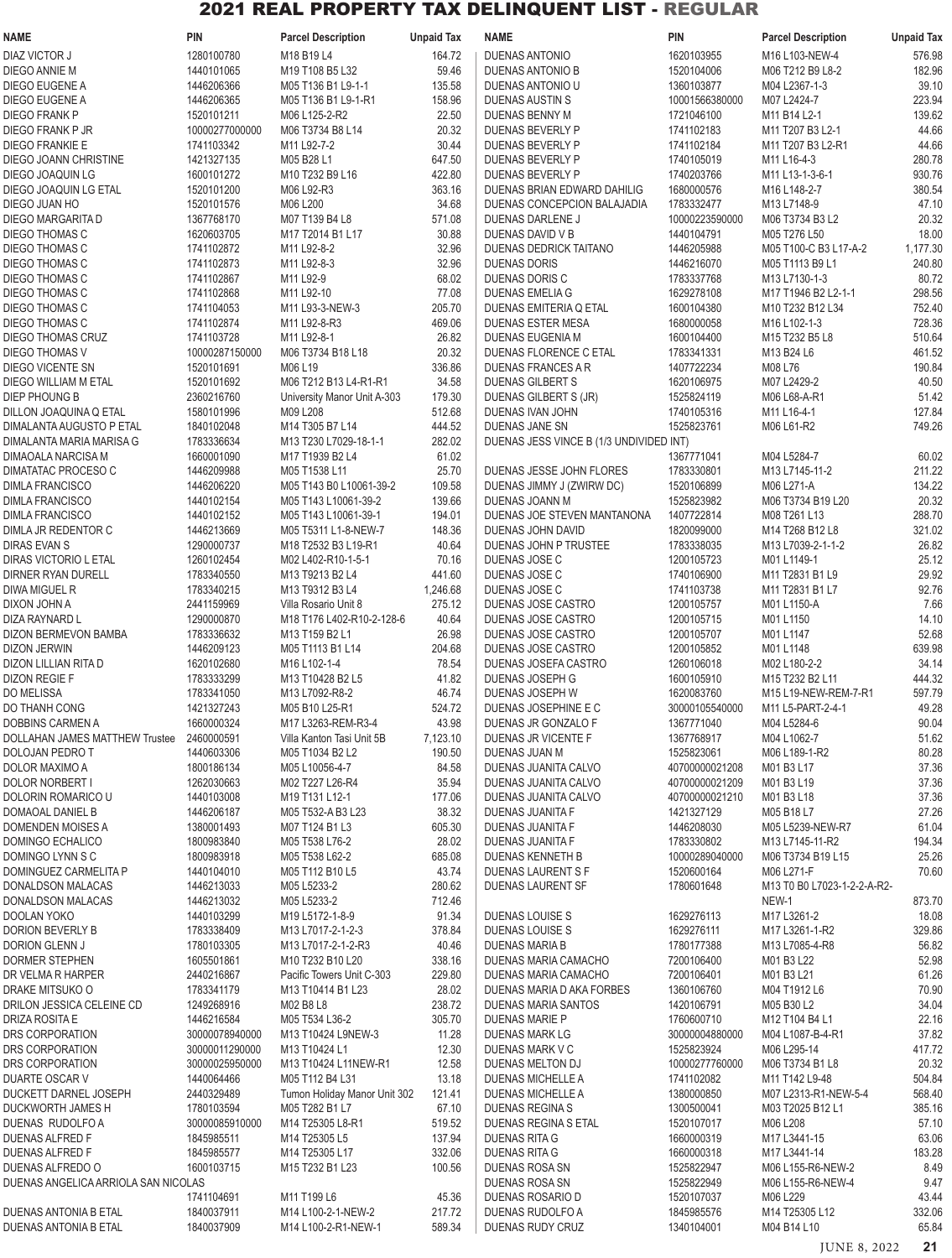| <b>NAME</b>                                      | <b>PIN</b>                   | <b>Parcel Description</b>                       | <b>Unpaid Tax</b> | <b>NAME</b>                                        | <b>PIN</b>                   | <b>Parcel Description</b>        | <b>Unpaid Tax</b> |
|--------------------------------------------------|------------------------------|-------------------------------------------------|-------------------|----------------------------------------------------|------------------------------|----------------------------------|-------------------|
| <b>DIAZ VICTOR J</b>                             | 1280100780                   | M18 B19 L4                                      | 164.72            | <b>DUENAS ANTONIO</b>                              | 1620103955                   | M16 L103-NEW-4                   | 576.98            |
| DIEGO ANNIE M                                    | 1440101065                   | M19 T108 B5 L32                                 | 59.46             | DUENAS ANTONIO B                                   | 1520104006                   | M06 T212 B9 L8-2                 | 182.96            |
| DIEGO EUGENE A                                   | 1446206366                   | M05 T136 B1 L9-1-1                              | 135.58            | DUENAS ANTONIO U                                   | 1360103877                   | M04 L2367-1-3                    | 39.10             |
| DIEGO EUGENE A                                   | 1446206365                   | M05 T136 B1 L9-1-R1                             | 158.96            | DUENAS AUSTIN S                                    | 10001566380000               | M07 L2424-7                      | 223.94            |
| <b>DIEGO FRANK P</b>                             | 1520101211                   | M06 L125-2-R2                                   | 22.50             | DUENAS BENNY M                                     | 1721046100                   | M11 B14 L2-1                     | 139.62            |
| DIEGO FRANK P JR                                 | 10000277000000               | M06 T3734 B8 L14                                | 20.32<br>30.44    | DUENAS BEVERLY P                                   | 1741102183<br>1741102184     | M11 T207 B3 L2-1                 | 44.66<br>44.66    |
| DIEGO FRANKIE E<br>DIEGO JOANN CHRISTINE         | 1741103342<br>1421327135     | M11 L92-7-2<br>M05 B28 L1                       | 647.50            | DUENAS BEVERLY P<br>DUENAS BEVERLY P               | 1740105019                   | M11 T207 B3 L2-R1<br>M11 L16-4-3 | 280.78            |
| DIEGO JOAQUIN LG                                 | 1600101272                   | M10 T232 B9 L16                                 | 422.80            | DUENAS BEVERLY P                                   | 1740203766                   | M11 L13-1-3-6-1                  | 930.76            |
| DIEGO JOAQUIN LG ETAL                            | 1520101200                   | M06 L92-R3                                      | 363.16            | DUENAS BRIAN EDWARD DAHILIG                        | 1680000576                   | M16 L148-2-7                     | 380.54            |
| DIEGO JUAN HO                                    | 1520101576                   | M06 L200                                        | 34.68             | DUENAS CONCEPCION BALAJADIA                        | 1783332477                   | M13 L7148-9                      | 47.10             |
| DIEGO MARGARITA D                                | 1367768170                   | M07 T139 B4 L8                                  | 571.08            | DUENAS DARLENE J                                   | 10000223590000               | M06 T3734 B3 L2                  | 20.32             |
| DIEGO THOMAS C                                   | 1620603705                   | M17 T2014 B1 L17                                | 30.88             | DUENAS DAVID V B                                   | 1440104791                   | M05 T276 L50                     | 18.00             |
| DIEGO THOMAS C                                   | 1741102872                   | M11 L92-8-2                                     | 32.96             | DUENAS DEDRICK TAITANO                             | 1446205988                   | M05 T100-C B3 L17-A-2            | 1,177.30          |
| DIEGO THOMAS C                                   | 1741102873                   | M11 L92-8-3                                     | 32.96             | <b>DUENAS DORIS</b>                                | 1446216070                   | M05 T1113 B9 L1                  | 240.80            |
| DIEGO THOMAS C                                   | 1741102867                   | M11 L92-9                                       | 68.02             | DUENAS DORIS C                                     | 1783337768                   | M13 L7130-1-3                    | 80.72             |
| DIEGO THOMAS C                                   | 1741102868                   | M11 L92-10                                      | 77.08             | DUENAS EMELIA G                                    | 1629278108                   | M17 T1946 B2 L2-1-1              | 298.56            |
| DIEGO THOMAS C<br>DIEGO THOMAS C                 | 1741104053<br>1741102874     | M11 L93-3-NEW-3<br>M11 L92-8-R3                 | 205.70<br>469.06  | DUENAS EMITERIA Q ETAL<br><b>DUENAS ESTER MESA</b> | 1600104380<br>1680000058     | M10 T232 B12 L34<br>M16 L102-1-3 | 752.40<br>728.36  |
| DIEGO THOMAS CRUZ                                | 1741103728                   | M11 L92-8-1                                     | 26.82             | <b>DUENAS EUGENIA M</b>                            | 1600104400                   | M15 T232 B5 L8                   | 510.64            |
| DIEGO THOMAS V                                   | 10000287150000               | M06 T3734 B18 L18                               | 20.32             | DUENAS FLORENCE C ETAL                             | 1783341331                   | M13 B24 L6                       | 461.52            |
| DIEGO VICENTE SN                                 | 1520101691                   | M06 L19                                         | 336.86            | DUENAS FRANCES A R                                 | 1407722234                   | M08 L76                          | 190.84            |
| DIEGO WILLIAM M ETAL                             | 1520101692                   | M06 T212 B13 L4-R1-R1                           | 34.58             | <b>DUENAS GILBERT S</b>                            | 1620106975                   | M07 L2429-2                      | 40.50             |
| DIEP PHOUNG B                                    | 2360216760                   | University Manor Unit A-303                     | 179.30            | DUENAS GILBERT S (JR)                              | 1525824119                   | M06 L68-A-R1                     | 51.42             |
| DILLON JOAQUINA Q ETAL                           | 1580101996                   | M09 L208                                        | 512.68            | <b>DUENAS IVAN JOHN</b>                            | 1740105316                   | M11 L16-4-1                      | 127.84            |
| DIMALANTA AUGUSTO P ETAL                         | 1840102048                   | M14 T305 B7 L14                                 | 444.52            | DUENAS JANE SN                                     | 1525823761                   | M06 L61-R2                       | 749.26            |
| DIMALANTA MARIA MARISA G                         | 1783336634                   | M13 T230 L7029-18-1-1                           | 282.02            | DUENAS JESS VINCE B (1/3 UNDIVIDED INT)            |                              |                                  |                   |
| DIMAOALA NARCISA M                               | 1660001090                   | M17 T1939 B2 L4                                 | 61.02             |                                                    | 1367771041                   | M04 L5284-7                      | 60.02             |
| DIMATATAC PROCESO C                              | 1446209988                   | M05 T1538 L11                                   | 25.70             | DUENAS JESSE JOHN FLORES                           | 1783330801                   | M13 L7145-11-2                   | 211.22            |
| <b>DIMLA FRANCISCO</b><br><b>DIMLA FRANCISCO</b> | 1446206220<br>1440102154     | M05 T143 B0 L10061-39-2<br>M05 T143 L10061-39-2 | 109.58<br>139.66  | DUENAS JIMMY J (ZWIRW DC)<br>DUENAS JOANN M        | 1520106899<br>1525823982     | M06 L271-A<br>M06 T3734 B19 L20  | 134.22<br>20.32   |
| <b>DIMLA FRANCISCO</b>                           | 1440102152                   | M05 T143 L10061-39-1                            | 194.01            | DUENAS JOE STEVEN MANTANONA                        | 1407722814                   | M08 T261 L13                     | 288.70            |
| DIMLA JR REDENTOR C                              | 1446213669                   | M05 T5311 L1-8-NEW-7                            | 148.36            | DUENAS JOHN DAVID                                  | 1820099000                   | M14 T268 B12 L8                  | 321.02            |
| <b>DIRAS EVAN S</b>                              | 1290000737                   | M18 T2532 B3 L19-R1                             | 40.64             | DUENAS JOHN P TRUSTEE                              | 1783338035                   | M13 L7039-2-1-1-2                | 26.82             |
| DIRAS VICTORIO L ETAL                            | 1260102454                   | M02 L402-R10-1-5-1                              | 70.16             | DUENAS JOSE C                                      | 1200105723                   | M01 L1149-1                      | 25.12             |
| <b>DIRNER RYAN DURELL</b>                        | 1783340550                   | M13 T9213 B2 L4                                 | 441.60            | DUENAS JOSE C                                      | 1740106900                   | M11 T2831 B1 L9                  | 29.92             |
| DIWA MIGUEL R                                    | 1783340215                   | M13 T9312 B3 L4                                 | 1,246.68          | DUENAS JOSE C                                      | 1741103738                   | M11 T2831 B1 L7                  | 92.76             |
| DIXON JOHN A                                     | 2441159969                   | Villa Rosario Unit 8                            | 275.12            | DUENAS JOSE CASTRO                                 | 1200105757                   | M01 L1150-A                      | 7.66              |
| DIZA RAYNARD L                                   | 1290000870                   | M18 T176 L402-R10-2-128-6                       | 40.64             | DUENAS JOSE CASTRO                                 | 1200105715                   | M01 L1150                        | 14.10             |
| DIZON BERMEVON BAMBA                             | 1783336632                   | M13 T159 B2 L1                                  | 26.98             | DUENAS JOSE CASTRO                                 | 1200105707                   | M01 L1147                        | 52.68             |
| DIZON JERWIN<br>DIZON LILLIAN RITA D             | 1446209123<br>1620102680     | M05 T1113 B1 L14<br>M16 L102-1-4                | 204.68<br>78.54   | DUENAS JOSE CASTRO<br>DUENAS JOSEFA CASTRO         | 1200105852<br>1260106018     | M01 L1148<br>M02 L180-2-2        | 639.98<br>34.14   |
| <b>DIZON REGIE F</b>                             | 1783333299                   | M13 T10428 B2 L5                                | 41.82             | DUENAS JOSEPH G                                    | 1600105910                   | M15 T232 B2 L11                  | 444.32            |
| DO MELISSA                                       | 1783341050                   | M13 L7092-R8-2                                  | 46.74             | DUENAS JOSEPH W                                    | 1620083760                   | M15 L19-NEW-REM-7-R1             | 597.79            |
| DO THANH CONG                                    | 1421327243                   | M05 B10 L25-R1                                  | 524.72            | DUENAS JOSEPHINE E C                               | 30000105540000               | M11 L5-PART-2-4-1                | 49.28             |
| DOBBINS CARMEN A                                 | 1660000324                   | M17 L3263-REM-R3-4                              | 43.98             | DUENAS JR GONZALO F                                | 1367771040                   | M04 L5284-6                      | 90.04             |
| DOLLAHAN JAMES MATTHEW Trustee                   | 2460000591                   | Villa Kanton Tasi Unit 5B                       | 7,123.10          | DUENAS JR VICENTE F                                | 1367768917                   | M04 L1062-7                      | 51.62             |
| DOLOJAN PEDRO T                                  | 1440603306                   | M05 T1034 B2 L2                                 | 190.50            | <b>DUENAS JUAN M</b>                               | 1525823061                   | M06 L189-1-R2                    | 80.28             |
| DOLOR MAXIMO A                                   | 1800186134                   | M05 L10056-4-7                                  | 84.58             | DUENAS JUANITA CALVO                               | 40700000021208               | M01 B3 L17                       | 37.36             |
| DOLOR NORBERT I                                  | 1262030663                   | M02 T227 L26-R4                                 | 35.94             | DUENAS JUANITA CALVO                               | 40700000021209               | M01 B3 L19                       | 37.36             |
| DOLORIN ROMARICO U<br>DOMAOAL DANIEL B           | 1440103008<br>1446206187     | M19 T131 L12-1<br>M05 T532-A B3 L23             | 177.06<br>38.32   | DUENAS JUANITA CALVO<br>DUENAS JUANITA F           | 40700000021210<br>1421327129 | M01 B3 L18<br>M05 B18 L7         | 37.36<br>27.26    |
| DOMENDEN MOISES A                                | 1380001493                   | M07 T124 B1 L3                                  | 605.30            | DUENAS JUANITA F                                   | 1446208030                   | M05 L5239-NEW-R7                 | 61.04             |
| DOMINGO ECHALICO                                 | 1800983840                   | M05 T538 L76-2                                  | 28.02             | <b>DUENAS JUANITA F</b>                            | 1783330802                   | M13 L7145-11-R2                  | 194.34            |
| DOMINGO LYNN S C                                 | 1800983918                   | M05 T538 L62-2                                  | 685.08            | DUENAS KENNETH B                                   | 10000289040000               | M06 T3734 B19 L15                | 25.26             |
| DOMINGUEZ CARMELITA P                            | 1440104010                   | M05 T112 B10 L5                                 | 43.74             | DUENAS LAURENT S F                                 | 1520600164                   | M06 L271-F                       | 70.60             |
| DONALDSON MALACAS                                | 1446213033                   | M05 L5233-2                                     | 280.62            | DUENAS LAURENT SF                                  | 1780601648                   | M13 T0 B0 L7023-1-2-2-A-R2-      |                   |
| DONALDSON MALACAS                                | 1446213032                   | M05 L5233-2                                     | 712.46            |                                                    |                              | NEW-1                            | 873.70            |
| DOOLAN YOKO                                      | 1440103299                   | M19 L5172-1-8-9                                 | 91.34             | DUENAS LOUISE S                                    | 1629276113                   | M17 L3261-2                      | 18.08             |
| DORION BEVERLY B                                 | 1783338409                   | M13 L7017-2-1-2-3                               | 378.84            | DUENAS LOUISE S                                    | 1629276111                   | M17 L3261-1-R2                   | 329.86            |
| DORION GLENN J<br><b>DORMER STEPHEN</b>          | 1780103305<br>1605501861     | M13 L7017-2-1-2-R3<br>M10 T232 B10 L20          | 40.46<br>338.16   | DUENAS MARIA B<br>DUENAS MARIA CAMACHO             | 1780177388<br>7200106400     | M13 L7085-4-R8<br>M01 B3 L22     | 56.82<br>52.98    |
| DR VELMA R HARPER                                | 2440216867                   | Pacific Towers Unit C-303                       | 229.80            | DUENAS MARIA CAMACHO                               | 7200106401                   | M01 B3 L21                       | 61.26             |
| DRAKE MITSUKO O                                  | 1783341179                   | M13 T10414 B1 L23                               | 28.02             | DUENAS MARIA D AKA FORBES                          | 1360106760                   | M04 T1912 L6                     | 70.90             |
| DRILON JESSICA CELEINE CD                        | 1249268916                   | M02 B8 L8                                       | 238.72            | DUENAS MARIA SANTOS                                | 1420106791                   | M05 B30 L2                       | 34.04             |
| DRIZA ROSITA E                                   | 1446216584                   | M05 T534 L36-2                                  | 305.70            | DUENAS MARIE P                                     | 1760600710                   | M12 T104 B4 L1                   | 22.16             |
| DRS CORPORATION                                  | 30000078940000               | M13 T10424 L9NEW-3                              | 11.28             | DUENAS MARK LG                                     | 30000004880000               | M04 L1087-B-4-R1                 | 37.82             |
| DRS CORPORATION                                  | 30000011290000               | M13 T10424 L1                                   | 12.30             | DUENAS MARK V C                                    | 1525823924                   | M06 L295-14                      | 417.72            |
| DRS CORPORATION                                  | 30000025950000               | M13 T10424 L11NEW-R1                            | 12.58             | DUENAS MELTON DJ                                   | 10000277760000               | M06 T3734 B1 L8                  | 20.32             |
| DUARTE OSCAR V                                   | 1440064466                   | M05 T112 B4 L31                                 | 13.18             | DUENAS MICHELLE A                                  | 1741102082                   | M11 T142 L9-48                   | 504.84            |
| DUCKETT DARNEL JOSEPH                            | 2440329489                   | Tumon Holiday Manor Unit 302                    | 121.41            | DUENAS MICHELLE A                                  | 1380000850                   | M07 L2313-R1-NEW-5-4             | 568.40            |
| DUCKWORTH JAMES H<br>DUENAS RUDOLFO A            | 1780103594<br>30000085910000 | M05 T282 B1 L7<br>M14 T25305 L8-R1              | 67.10<br>519.52   | <b>DUENAS REGINAS</b><br>DUENAS REGINA S ETAL      | 1300500041<br>1520107017     | M03 T2025 B12 L1<br>M06 L208     | 385.16<br>57.10   |
| <b>DUENAS ALFRED F</b>                           | 1845985511                   | M14 T25305 L5                                   | 137.94            | <b>DUENAS RITA G</b>                               | 1660000319                   | M17 L3441-15                     | 63.06             |
| DUENAS ALFRED F                                  | 1845985577                   | M14 T25305 L17                                  | 332.06            | <b>DUENAS RITA G</b>                               | 1660000318                   | M17 L3441-14                     | 183.28            |
| DUENAS ALFREDO O                                 | 1600103715                   | M15 T232 B1 L23                                 | 100.56            | DUENAS ROSA SN                                     | 1525822947                   | M06 L155-R6-NEW-2                | 8.49              |
| DUENAS ANGELICA ARRIOLA SAN NICOLAS              |                              |                                                 |                   | DUENAS ROSA SN                                     | 1525822949                   | M06 L155-R6-NEW-4                | 9.47              |
|                                                  | 1741104691                   | M11 T199 L6                                     | 45.36             | DUENAS ROSARIO D                                   | 1520107037                   | M06 L229                         | 43.44             |
| DUENAS ANTONIA B ETAL                            | 1840037911                   | M14 L100-2-1-NEW-2                              | 217.72            | DUENAS RUDOLFO A                                   | 1845985576                   | M14 T25305 L12                   | 332.06            |
| DUENAS ANTONIA B ETAL                            | 1840037909                   | M14 L100-2-R1-NEW-1                             | 589.34            | DUENAS RUDY CRUZ                                   | 1340104001                   | M04 B14 L10                      | 65.84             |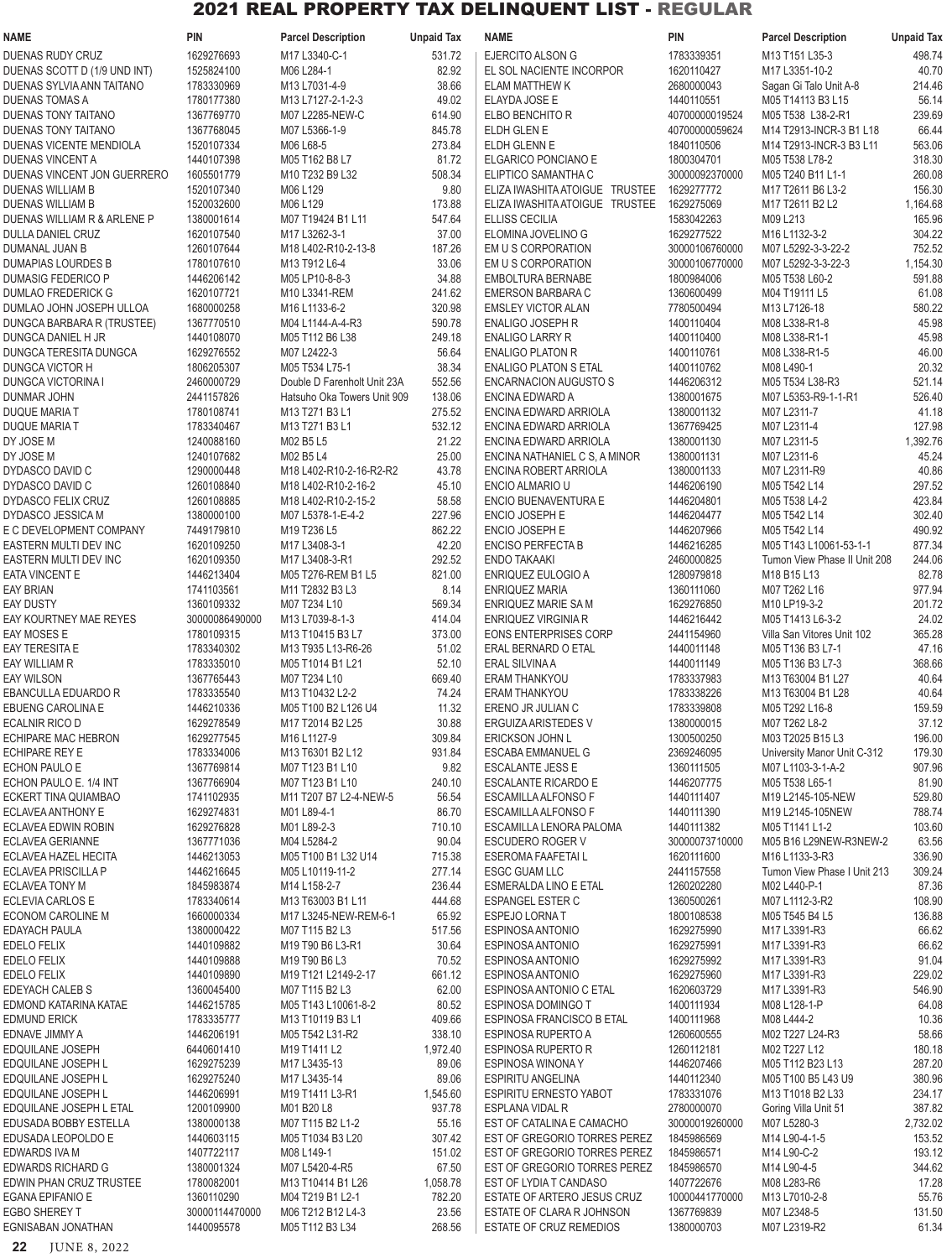| <b>NAME</b>                                         | <b>PIN</b>                   | <b>Parcel Description</b>                                     | <b>Unpaid Tax</b> | <b>NAME</b>                                               | <b>PIN</b>                   | <b>Parcel Description</b>                              | <b>Unpaid Tax</b> |
|-----------------------------------------------------|------------------------------|---------------------------------------------------------------|-------------------|-----------------------------------------------------------|------------------------------|--------------------------------------------------------|-------------------|
| DUENAS RUDY CRUZ                                    | 1629276693                   | M17 L3340-C-1                                                 | 531.72            | EJERCITO ALSON G                                          | 1783339351                   | M13 T151 L35-3                                         | 498.74            |
| DUENAS SCOTT D (1/9 UND INT)                        | 1525824100                   | M06 L284-1                                                    | 82.92             | EL SOL NACIENTE INCORPOR                                  | 1620110427                   | M17 L3351-10-2                                         | 40.70             |
| DUENAS SYLVIA ANN TAITANO                           | 1783330969                   | M13 L7031-4-9                                                 | 38.66             | <b>ELAM MATTHEW K</b>                                     | 2680000043                   | Sagan Gi Talo Unit A-8                                 | 214.46            |
| <b>DUENAS TOMAS A</b><br>DUENAS TONY TAITANO        | 1780177380<br>1367769770     | M13 L7127-2-1-2-3<br>M07 L2285-NEW-C                          | 49.02<br>614.90   | ELAYDA JOSE E<br>ELBO BENCHITO R                          | 1440110551<br>40700000019524 | M05 T14113 B3 L15<br>M05 T538 L38-2-R1                 | 56.14<br>239.69   |
| DUENAS TONY TAITANO                                 | 1367768045                   | M07 L5366-1-9                                                 | 845.78            | ELDH GLEN E                                               | 40700000059624               | M14 T2913-INCR-3 B1 L18                                | 66.44             |
| DUENAS VICENTE MENDIOLA                             | 1520107334                   | M06 L68-5                                                     | 273.84            | ELDH GLENN E                                              | 1840110506                   | M14 T2913-INCR-3 B3 L11                                | 563.06            |
| DUENAS VINCENT A                                    | 1440107398                   | M05 T162 B8 L7                                                | 81.72             | ELGARICO PONCIANO E                                       | 1800304701                   | M05 T538 L78-2                                         | 318.30            |
| DUENAS VINCENT JON GUERRERO                         | 1605501779                   | M10 T232 B9 L32                                               | 508.34            | ELIPTICO SAMANTHA C                                       | 30000092370000               | M05 T240 B11 L1-1                                      | 260.08            |
| DUENAS WILLIAM B                                    | 1520107340                   | M06 L129                                                      | 9.80              | ELIZA IWASHITA ATOIGUE TRUSTEE                            | 1629277772                   | M17 T2611 B6 L3-2                                      | 156.30            |
| <b>DUENAS WILLIAM B</b>                             | 1520032600                   | M06 L129                                                      | 173.88            | ELIZA IWASHITA ATOIGUE TRUSTEE                            | 1629275069                   | M17 T2611 B2 L2                                        | 1,164.68          |
| DUENAS WILLIAM R & ARLENE P<br>DULLA DANIEL CRUZ    | 1380001614<br>1620107540     | M07 T19424 B1 L11<br>M17 L3262-3-1                            | 547.64<br>37.00   | <b>ELLISS CECILIA</b><br>ELOMINA JOVELINO G               | 1583042263<br>1629277522     | M09 L213<br>M16 L1132-3-2                              | 165.96<br>304.22  |
| DUMANAL JUAN B                                      | 1260107644                   | M18 L402-R10-2-13-8                                           | 187.26            | EM U S CORPORATION                                        | 30000106760000               | M07 L5292-3-3-22-2                                     | 752.52            |
| <b>DUMAPIAS LOURDES B</b>                           | 1780107610                   | M13 T912 L6-4                                                 | 33.06             | EM U S CORPORATION                                        | 30000106770000               | M07 L5292-3-3-22-3                                     | 1,154.30          |
| DUMASIG FEDERICO P                                  | 1446206142                   | M05 LP10-8-8-3                                                | 34.88             | EMBOLTURA BERNABE                                         | 1800984006                   | M05 T538 L60-2                                         | 591.88            |
| DUMLAO FREDERICK G                                  | 1620107721                   | M10 L3341-REM                                                 | 241.62            | EMERSON BARBARA C                                         | 1360600499                   | M04 T19111 L5                                          | 61.08             |
| DUMLAO JOHN JOSEPH ULLOA                            | 1680000258                   | M16 L1133-6-2                                                 | 320.98            | <b>EMSLEY VICTOR ALAN</b>                                 | 7780500494                   | M13 L7126-18                                           | 580.22            |
| DUNGCA BARBARA R (TRUSTEE)<br>DUNGCA DANIEL H JR    | 1367770510<br>1440108070     | M04 L1144-A-4-R3<br>M05 T112 B6 L38                           | 590.78<br>249.18  | <b>ENALIGO JOSEPH R</b><br>ENALIGO LARRY R                | 1400110404<br>1400110400     | M08 L338-R1-8<br>M08 L338-R1-1                         | 45.98<br>45.98    |
| DUNGCA TERESITA DUNGCA                              | 1629276552                   | M07 L2422-3                                                   | 56.64             | <b>ENALIGO PLATON R</b>                                   | 1400110761                   | M08 L338-R1-5                                          | 46.00             |
| <b>DUNGCA VICTOR H</b>                              | 1806205307                   | M05 T534 L75-1                                                | 38.34             | <b>ENALIGO PLATON S ETAL</b>                              | 1400110762                   | M08 L490-1                                             | 20.32             |
| <b>DUNGCA VICTORINA I</b>                           | 2460000729                   | Double D Farenholt Unit 23A                                   | 552.56            | ENCARNACION AUGUSTO S                                     | 1446206312                   | M05 T534 L38-R3                                        | 521.14            |
| <b>DUNMAR JOHN</b>                                  | 2441157826                   | Hatsuho Oka Towers Unit 909                                   | 138.06            | ENCINA EDWARD A                                           | 1380001675                   | M07 L5353-R9-1-1-R1                                    | 526.40            |
| DUQUE MARIA T                                       | 1780108741                   | M13 T271 B3 L1                                                | 275.52            | ENCINA EDWARD ARRIOLA                                     | 1380001132                   | M07 L2311-7                                            | 41.18             |
| DUQUE MARIA T                                       | 1783340467                   | M13 T271 B3 L1                                                | 532.12            | ENCINA EDWARD ARRIOLA                                     | 1367769425                   | M07 L2311-4                                            | 127.98            |
| DY JOSE M<br>DY JOSE M                              | 1240088160<br>1240107682     | M02 B5 L5<br>M02 B5 L4                                        | 21.22<br>25.00    | ENCINA EDWARD ARRIOLA<br>ENCINA NATHANIEL C S, A MINOR    | 1380001130<br>1380001131     | M07 L2311-5<br>M07 L2311-6                             | 1,392.76<br>45.24 |
| DYDASCO DAVID C                                     | 1290000448                   | M18 L402-R10-2-16-R2-R2                                       | 43.78             | ENCINA ROBERT ARRIOLA                                     | 1380001133                   | M07 L2311-R9                                           | 40.86             |
| DYDASCO DAVID C                                     | 1260108840                   | M18 L402-R10-2-16-2                                           | 45.10             | ENCIO ALMARIO U                                           | 1446206190                   | M05 T542 L14                                           | 297.52            |
| DYDASCO FELIX CRUZ                                  | 1260108885                   | M18 L402-R10-2-15-2                                           | 58.58             | ENCIO BUENAVENTURA E                                      | 1446204801                   | M05 T538 L4-2                                          | 423.84            |
| DYDASCO JESSICA M                                   | 1380000100                   | M07 L5378-1-E-4-2                                             | 227.96            | ENCIO JOSEPH E                                            | 1446204477                   | M05 T542 L14                                           | 302.40            |
| E C DEVELOPMENT COMPANY                             | 7449179810                   | M19 T236 L5                                                   | 862.22            | ENCIO JOSEPH E                                            | 1446207966                   | M05 T542 L14                                           | 490.92            |
| EASTERN MULTI DEV INC<br>EASTERN MULTI DEV INC      | 1620109250<br>1620109350     | M17 L3408-3-1<br>M17 L3408-3-R1                               | 42.20<br>292.52   | <b>ENCISO PERFECTA B</b><br>ENDO TAKAAKI                  | 1446216285<br>2460000825     | M05 T143 L10061-53-1-1<br>Tumon View Phase II Unit 208 | 877.34<br>244.06  |
| <b>EATA VINCENT E</b>                               | 1446213404                   | M05 T276-REM B1 L5                                            | 821.00            | ENRIQUEZ EULOGIO A                                        | 1280979818                   | M18 B15 L13                                            | 82.78             |
| <b>EAY BRIAN</b>                                    | 1741103561                   | M11 T2832 B3 L3                                               | 8.14              | <b>ENRIQUEZ MARIA</b>                                     | 1360111060                   | M07 T262 L16                                           | 977.94            |
| <b>EAY DUSTY</b>                                    | 1360109332                   | M07 T234 L10                                                  | 569.34            | ENRIQUEZ MARIE SA M                                       | 1629276850                   | M10 LP19-3-2                                           | 201.72            |
| EAY KOURTNEY MAE REYES                              | 30000086490000               | M13 L7039-8-1-3                                               | 414.04            | ENRIQUEZ VIRGINIA R                                       | 1446216442                   | M05 T1413 L6-3-2                                       | 24.02             |
| EAY MOSES E                                         | 1780109315                   | M13 T10415 B3 L7                                              | 373.00            | <b>EONS ENTERPRISES CORP</b>                              | 2441154960                   | Villa San Vitores Unit 102                             | 365.28            |
| <b>EAY TERESITA E</b>                               | 1783340302                   | M13 T935 L13-R6-26                                            | 51.02             | ERAL BERNARD O ETAL                                       | 1440011148                   | M05 T136 B3 L7-1                                       | 47.16             |
| EAY WILLIAM R<br><b>EAY WILSON</b>                  | 1783335010<br>1367765443     | M05 T1014 B1 L21<br>M07 T234 L10                              | 52.10<br>669.40   | <b>ERAL SILVINA A</b><br>ERAM THANKYOU                    | 1440011149<br>1783337983     | M05 T136 B3 L7-3<br>M13 T63004 B1 L27                  | 368.66<br>40.64   |
| EBANCULLA EDUARDO R                                 | 1783335540                   | M13 T10432 L2-2                                               | 74.24             | ERAM THANKYOU                                             | 1783338226                   | M13 T63004 B1 L28                                      | 40.64             |
| EBUENG CAROLINA E                                   | 1446210336                   | M05 T100 B2 L126 U4                                           | 11.32             | ERENO JR JULIAN C                                         | 1783339808                   | M05 T292 L16-8                                         | 159.59            |
| <b>ECALNIR RICO D</b>                               | 1629278549                   | M17 T2014 B2 L25                                              | 30.88             | ERGUIZA ARISTEDES V                                       | 1380000015                   | M07 T262 L8-2                                          | 37.12             |
| <b>ECHIPARE MAC HEBRON</b>                          | 1629277545                   | M16 L1127-9                                                   | 309.84            | <b>ERICKSON JOHN L</b>                                    | 1300500250                   | M03 T2025 B15 L3                                       | 196.00            |
| <b>ECHIPARE REY E</b><br><b>ECHON PAULO E</b>       | 1783334006<br>1367769814     | M13 T6301 B2 L12                                              | 931.84<br>9.82    | ESCABA EMMANUEL G                                         | 2369246095                   | University Manor Unit C-312                            | 179.30<br>907.96  |
| ECHON PAULO E. 1/4 INT                              | 1367766904                   | M07 T123 B1 L10<br>M07 T123 B1 L10                            | 240.10            | <b>ESCALANTE JESS E</b><br><b>ESCALANTE RICARDO E</b>     | 1360111505<br>1446207775     | M07 L1103-3-1-A-2<br>M05 T538 L65-1                    | 81.90             |
| ECKERT TINA QUIAMBAO                                | 1741102935                   | M11 T207 B7 L2-4-NEW-5                                        | 56.54             | <b>ESCAMILLA ALFONSO F</b>                                | 1440111407                   | M19 L2145-105-NEW                                      | 529.80            |
| ECLAVEA ANTHONY E                                   | 1629274831                   | M01 L89-4-1                                                   | 86.70             | ESCAMILLA ALFONSO F                                       | 1440111390                   | M19 L2145-105NEW                                       | 788.74            |
| ECLAVEA EDWIN ROBIN                                 | 1629276828                   | M01 L89-2-3                                                   | 710.10            | ESCAMILLA LENORA PALOMA                                   | 1440111382                   | M05 T1141 L1-2                                         | 103.60            |
| <b>ECLAVEA GERIANNE</b>                             | 1367771036                   | M04 L5284-2                                                   | 90.04             | <b>ESCUDERO ROGER V</b>                                   | 30000073710000               | M05 B16 L29NEW-R3NEW-2                                 | 63.56             |
| ECLAVEA HAZEL HECITA                                | 1446213053                   | M05 T100 B1 L32 U14                                           | 715.38            | ESEROMA FAAFETAI L                                        | 1620111600                   | M16 L1133-3-R3                                         | 336.90            |
| <b>ECLAVEA PRISCILLA P</b><br><b>ECLAVEA TONY M</b> | 1446216645<br>1845983874     | M05 L10119-11-2<br>M14 L158-2-7                               | 277.14<br>236.44  | <b>ESGC GUAM LLC</b><br>ESMERALDA LINO E ETAL             | 2441157558<br>1260202280     | Tumon View Phase I Unit 213<br>M02 L440-P-1            | 309.24<br>87.36   |
| ECLEVIA CARLOS E                                    | 1783340614                   | M13 T63003 B1 L11                                             | 444.68            | <b>ESPANGEL ESTER C</b>                                   | 1360500261                   | M07 L1112-3-R2                                         | 108.90            |
| ECONOM CAROLINE M                                   | 1660000334                   | M17 L3245-NEW-REM-6-1                                         | 65.92             | <b>ESPEJO LORNAT</b>                                      | 1800108538                   | M05 T545 B4 L5                                         | 136.88            |
| EDAYACH PAULA                                       | 1380000422                   | M07 T115 B2 L3                                                | 517.56            | ESPINOSA ANTONIO                                          | 1629275990                   | M17 L3391-R3                                           | 66.62             |
| EDELO FELIX                                         | 1440109882                   | M19 T90 B6 L3-R1                                              | 30.64             | ESPINOSA ANTONIO                                          | 1629275991                   | M17 L3391-R3                                           | 66.62             |
| <b>EDELO FELIX</b>                                  | 1440109888                   | M <sub>19</sub> T <sub>90</sub> B <sub>6</sub> L <sub>3</sub> | 70.52             | ESPINOSA ANTONIO                                          | 1629275992                   | M17 L3391-R3                                           | 91.04             |
| EDELO FELIX<br>EDEYACH CALEB S                      | 1440109890<br>1360045400     | M19 T121 L2149-2-17<br>M07 T115 B2 L3                         | 661.12<br>62.00   | ESPINOSA ANTONIO<br>ESPINOSA ANTONIO C ETAL               | 1629275960<br>1620603729     | M17 L3391-R3<br>M17 L3391-R3                           | 229.02<br>546.90  |
| EDMOND KATARINA KATAE                               | 1446215785                   | M05 T143 L10061-8-2                                           | 80.52             | <b>ESPINOSA DOMINGO T</b>                                 | 1400111934                   | M08 L128-1-P                                           | 64.08             |
| <b>EDMUND ERICK</b>                                 | 1783335777                   | M13 T10119 B3 L1                                              | 409.66            | ESPINOSA FRANCISCO B ETAL                                 | 1400111968                   | M08 L444-2                                             | 10.36             |
| EDNAVE JIMMY A                                      | 1446206191                   | M05 T542 L31-R2                                               | 338.10            | ESPINOSA RUPERTO A                                        | 1260600555                   | M02 T227 L24-R3                                        | 58.66             |
| EDQUILANE JOSEPH                                    | 6440601410                   | M19 T1411 L2                                                  | 1,972.40          | <b>ESPINOSA RUPERTO R</b>                                 | 1260112181                   | M02 T227 L12                                           | 180.18            |
| EDQUILANE JOSEPH L                                  | 1629275239                   | M17 L3435-13                                                  | 89.06             | ESPINOSA WINONA Y                                         | 1446207466                   | M05 T112 B23 L13                                       | 287.20            |
| EDQUILANE JOSEPH L<br>EDQUILANE JOSEPH L            | 1629275240<br>1446206991     | M17 L3435-14<br>M19 T1411 L3-R1                               | 89.06<br>1,545.60 | <b>ESPIRITU ANGELINA</b><br><b>ESPIRITU ERNESTO YABOT</b> | 1440112340<br>1783331076     | M05 T100 B5 L43 U9<br>M13 T1018 B2 L33                 | 380.96<br>234.17  |
| EDQUILANE JOSEPH L ETAL                             | 1200109900                   | M01 B20 L8                                                    | 937.78            | ESPLANA VIDAL R                                           | 2780000070                   | Goring Villa Unit 51                                   | 387.82            |
| EDUSADA BOBBY ESTELLA                               | 1380000138                   | M07 T115 B2 L1-2                                              | 55.16             | EST OF CATALINA E CAMACHO                                 | 30000019260000               | M07 L5280-3                                            | 2,732.02          |
| EDUSADA LEOPOLDO E                                  | 1440603115                   | M05 T1034 B3 L20                                              | 307.42            | EST OF GREGORIO TORRES PEREZ                              | 1845986569                   | M14 L90-4-1-5                                          | 153.52            |
| EDWARDS IVA M                                       | 1407722117                   | M08 L149-1                                                    | 151.02            | EST OF GREGORIO TORRES PEREZ                              | 1845986571                   | M14 L90-C-2                                            | 193.12            |
| EDWARDS RICHARD G                                   | 1380001324                   | M07 L5420-4-R5                                                | 67.50             | EST OF GREGORIO TORRES PEREZ                              | 1845986570                   | M14 L90-4-5                                            | 344.62            |
| EDWIN PHAN CRUZ TRUSTEE                             | 1780082001                   | M13 T10414 B1 L26                                             | 1,058.78          | EST OF LYDIA T CANDASO                                    | 1407722676                   | M08 L283-R6                                            | 17.28             |
| EGANA EPIFANIO E<br>EGBO SHEREY T                   | 1360110290<br>30000114470000 | M04 T219 B1 L2-1<br>M06 T212 B12 L4-3                         | 782.20<br>23.56   | ESTATE OF ARTERO JESUS CRUZ<br>ESTATE OF CLARA R JOHNSON  | 10000441770000<br>1367769839 | M13 L7010-2-8<br>M07 L2348-5                           | 55.76<br>131.50   |
| EGNISABAN JONATHAN                                  | 1440095578                   | M05 T112 B3 L34                                               | 268.56            | ESTATE OF CRUZ REMEDIOS                                   | 1380000703                   | M07 L2319-R2                                           | 61.34             |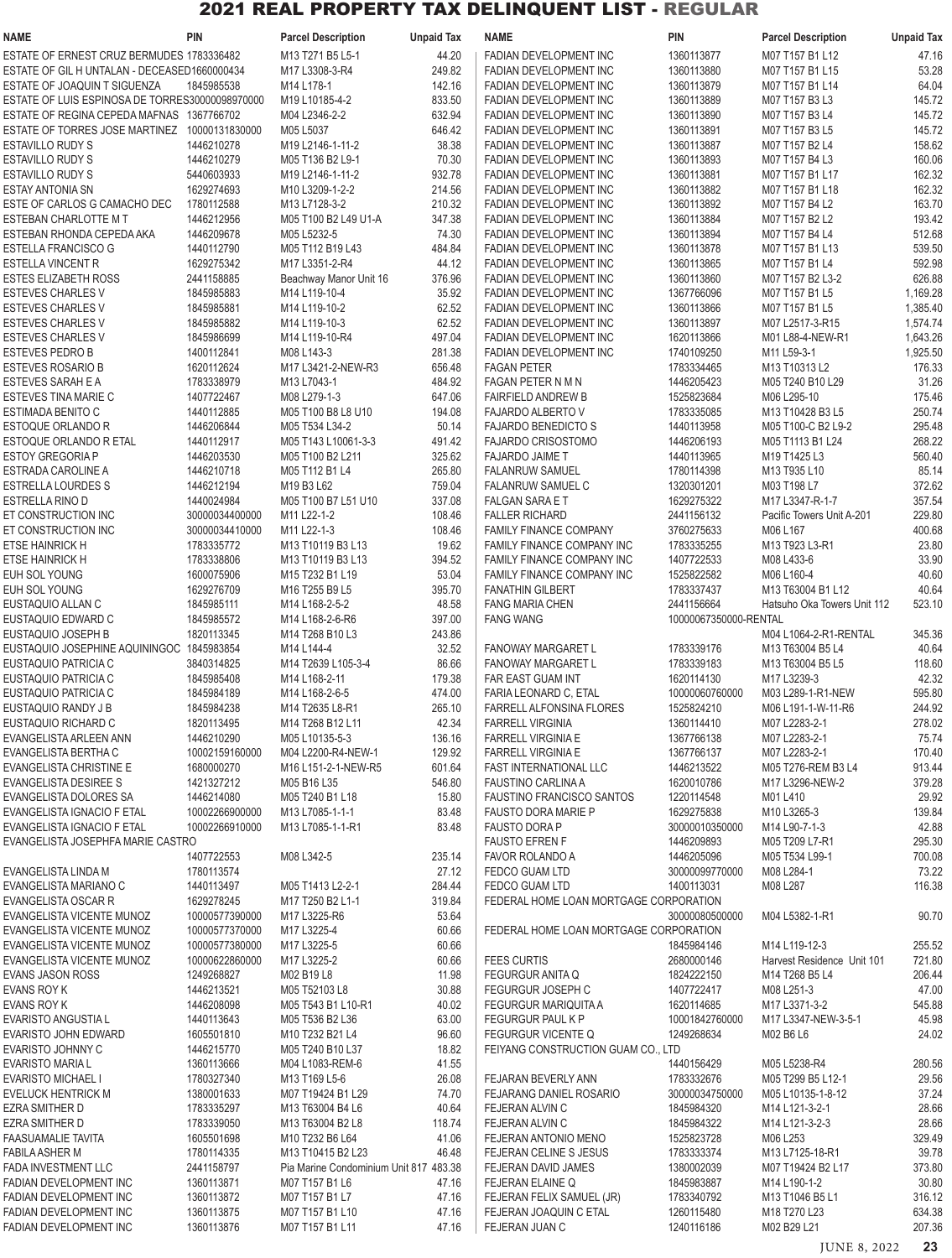| NAME                                                                     | <b>PIN</b>                   | <b>Parcel Description</b>              | <b>Unpaid Tax</b> | <b>NAME</b>                                             | <b>PIN</b>               | <b>Parcel Description</b>                                       | <b>Unpaid Tax</b>    |
|--------------------------------------------------------------------------|------------------------------|----------------------------------------|-------------------|---------------------------------------------------------|--------------------------|-----------------------------------------------------------------|----------------------|
| ESTATE OF ERNEST CRUZ BERMUDES 1783336482                                |                              | M13 T271 B5 L5-1                       | 44.20             | FADIAN DEVELOPMENT INC                                  | 1360113877               | M07 T157 B1 L12                                                 | 47.16                |
| ESTATE OF GIL H UNTALAN - DECEASED1660000434                             |                              | M17 L3308-3-R4                         | 249.82            | FADIAN DEVELOPMENT INC                                  | 1360113880               | M07 T157 B1 L15                                                 | 53.28                |
| ESTATE OF JOAQUIN T SIGUENZA                                             | 1845985538                   | M14 L178-1                             | 142.16            | FADIAN DEVELOPMENT INC                                  | 1360113879               | M07 T157 B1 L14                                                 | 64.04                |
| ESTATE OF LUIS ESPINOSA DE TORRES30000098970000                          |                              | M19 L10185-4-2                         | 833.50            | FADIAN DEVELOPMENT INC                                  | 1360113889               | M07 T157 B3 L3                                                  | 145.72               |
| ESTATE OF REGINA CEPEDA MAFNAS 1367766702                                |                              | M04 L2346-2-2<br>M05 L5037             | 632.94            | FADIAN DEVELOPMENT INC                                  | 1360113890<br>1360113891 | M07 T157 B3 L4                                                  | 145.72               |
| ESTATE OF TORRES JOSE MARTINEZ 10000131830000<br><b>ESTAVILLO RUDY S</b> | 1446210278                   | M19 L2146-1-11-2                       | 646.42<br>38.38   | FADIAN DEVELOPMENT INC<br>FADIAN DEVELOPMENT INC        | 1360113887               | M07 T157 B3 L5<br>M07 T157 B2 L4                                | 145.72<br>158.62     |
| <b>ESTAVILLO RUDY S</b>                                                  | 1446210279                   | M05 T136 B2 L9-1                       | 70.30             | FADIAN DEVELOPMENT INC                                  | 1360113893               | M07 T157 B4 L3                                                  | 160.06               |
| <b>ESTAVILLO RUDY S</b>                                                  | 5440603933                   | M19 L2146-1-11-2                       | 932.78            | FADIAN DEVELOPMENT INC                                  | 1360113881               | M07 T157 B1 L17                                                 | 162.32               |
| <b>ESTAY ANTONIA SN</b>                                                  | 1629274693                   | M10 L3209-1-2-2                        | 214.56            | FADIAN DEVELOPMENT INC                                  | 1360113882               | M07 T157 B1 L18                                                 | 162.32               |
| ESTE OF CARLOS G CAMACHO DEC                                             | 1780112588                   | M13 L7128-3-2                          | 210.32            | FADIAN DEVELOPMENT INC                                  | 1360113892               | M07 T157 B4 L2                                                  | 163.70               |
| ESTEBAN CHARLOTTE M T                                                    | 1446212956                   | M05 T100 B2 L49 U1-A                   | 347.38            | FADIAN DEVELOPMENT INC                                  | 1360113884               | M07 T157 B2 L2                                                  | 193.42               |
| ESTEBAN RHONDA CEPEDA AKA                                                | 1446209678                   | M05 L5232-5                            | 74.30             | FADIAN DEVELOPMENT INC                                  | 1360113894               | M07 T157 B4 L4                                                  | 512.68               |
| ESTELLA FRANCISCO G                                                      | 1440112790                   | M05 T112 B19 L43                       | 484.84            | FADIAN DEVELOPMENT INC                                  | 1360113878               | M07 T157 B1 L13                                                 | 539.50               |
| <b>ESTELLA VINCENT R</b>                                                 | 1629275342                   | M17 L3351-2-R4                         | 44.12             | FADIAN DEVELOPMENT INC                                  | 1360113865               | M07 T157 B1 L4                                                  | 592.98               |
| ESTES ELIZABETH ROSS                                                     | 2441158885                   | Beachway Manor Unit 16                 | 376.96            | FADIAN DEVELOPMENT INC                                  | 1360113860               | M07 T157 B2 L3-2                                                | 626.88               |
| <b>ESTEVES CHARLES V</b><br>ESTEVES CHARLES V                            | 1845985883<br>1845985881     | M14 L119-10-4<br>M14 L119-10-2         | 35.92<br>62.52    | FADIAN DEVELOPMENT INC<br>FADIAN DEVELOPMENT INC        | 1367766096<br>1360113866 | M07 T157 B1 L5                                                  | 1,169.28<br>1,385.40 |
| <b>ESTEVES CHARLES V</b>                                                 | 1845985882                   | M14 L119-10-3                          | 62.52             | FADIAN DEVELOPMENT INC                                  | 1360113897               | M07 T157 B1 L5<br>M07 L2517-3-R15                               | 1,574.74             |
| <b>ESTEVES CHARLES V</b>                                                 | 1845986699                   | M14 L119-10-R4                         | 497.04            | FADIAN DEVELOPMENT INC                                  | 1620113866               | M01 L88-4-NEW-R1                                                | 1,643.26             |
| <b>ESTEVES PEDRO B</b>                                                   | 1400112841                   | M08 L143-3                             | 281.38            | FADIAN DEVELOPMENT INC                                  | 1740109250               | M11 L59-3-1                                                     | 1,925.50             |
| <b>ESTEVES ROSARIO B</b>                                                 | 1620112624                   | M17 L3421-2-NEW-R3                     | 656.48            | <b>FAGAN PETER</b>                                      | 1783334465               | M13 T10313 L2                                                   | 176.33               |
| <b>ESTEVES SARAH E A</b>                                                 | 1783338979                   | M13 L7043-1                            | 484.92            | <b>FAGAN PETER N M N</b>                                | 1446205423               | M05 T240 B10 L29                                                | 31.26                |
| ESTEVES TINA MARIE C                                                     | 1407722467                   | M08 L279-1-3                           | 647.06            | <b>FAIRFIELD ANDREW B</b>                               | 1525823684               | M06 L295-10                                                     | 175.46               |
| <b>ESTIMADA BENITO C</b>                                                 | 1440112885                   | M05 T100 B8 L8 U10                     | 194.08            | <b>FAJARDO ALBERTO V</b>                                | 1783335085               | M13 T10428 B3 L5                                                | 250.74               |
| ESTOQUE ORLANDO R                                                        | 1446206844                   | M05 T534 L34-2                         | 50.14             | FAJARDO BENEDICTO S                                     | 1440113958               | M05 T100-C B2 L9-2                                              | 295.48               |
| <b>ESTOQUE ORLANDO R ETAL</b>                                            | 1440112917                   | M05 T143 L10061-3-3                    | 491.42            | <b>FAJARDO CRISOSTOMO</b>                               | 1446206193               | M05 T1113 B1 L24                                                | 268.22               |
| <b>ESTOY GREGORIA P</b>                                                  | 1446203530                   | M05 T100 B2 L211                       | 325.62            | <b>FAJARDO JAIME T</b>                                  | 1440113965               | M19 T1425 L3                                                    | 560.40               |
| ESTRADA CAROLINE A<br><b>ESTRELLA LOURDES S</b>                          | 1446210718<br>1446212194     | M05 T112 B1 L4<br>M19 B3 L62           | 265.80<br>759.04  | <b>FALANRUW SAMUEL</b><br>FALANRUW SAMUEL C             | 1780114398<br>1320301201 | M <sub>13</sub> T <sub>935</sub> L <sub>10</sub><br>M03 T198 L7 | 85.14<br>372.62      |
| <b>ESTRELLA RINO D</b>                                                   | 1440024984                   | M05 T100 B7 L51 U10                    | 337.08            | <b>FALGAN SARA E T</b>                                  | 1629275322               | M17 L3347-R-1-7                                                 | 357.54               |
| ET CONSTRUCTION INC                                                      | 30000034400000               | M11 L22-1-2                            | 108.46            | <b>FALLER RICHARD</b>                                   | 2441156132               | Pacific Towers Unit A-201                                       | 229.80               |
| ET CONSTRUCTION INC                                                      | 30000034410000               | M11 L22-1-3                            | 108.46            | <b>FAMILY FINANCE COMPANY</b>                           | 3760275633               | M06 L167                                                        | 400.68               |
| <b>ETSE HAINRICK H</b>                                                   | 1783335772                   | M13 T10119 B3 L13                      | 19.62             | FAMILY FINANCE COMPANY INC                              | 1783335255               | M13 T923 L3-R1                                                  | 23.80                |
| ETSE HAINRICK H                                                          | 1783338806                   | M13 T10119 B3 L13                      | 394.52            | FAMILY FINANCE COMPANY INC                              | 1407722533               | M08 L433-6                                                      | 33.90                |
| EUH SOL YOUNG                                                            | 1600075906                   | M15 T232 B1 L19                        | 53.04             | FAMILY FINANCE COMPANY INC                              | 1525822582               | M06 L160-4                                                      | 40.60                |
| EUH SOL YOUNG                                                            | 1629276709                   | M16 T255 B9 L5                         | 395.70            | <b>FANATHIN GILBERT</b>                                 | 1783337437               | M13 T63004 B1 L12                                               | 40.64                |
| EUSTAQUIO ALLAN C                                                        | 1845985111                   | M14 L168-2-5-2                         | 48.58             | <b>FANG MARIA CHEN</b>                                  | 2441156664               | Hatsuho Oka Towers Unit 112                                     | 523.10               |
| EUSTAQUIO EDWARD C                                                       | 1845985572                   | M14 L168-2-6-R6                        | 397.00            | <b>FANG WANG</b>                                        | 10000067350000-RENTAL    |                                                                 |                      |
| EUSTAQUIO JOSEPH B<br>EUSTAQUIO JOSEPHINE AQUININGOC                     | 1820113345<br>1845983854     | M14 T268 B10 L3<br>M14 L144-4          | 243.86<br>32.52   | <b>FANOWAY MARGARET L</b>                               | 1783339176               | M04 L1064-2-R1-RENTAL<br>M13 T63004 B5 L4                       | 345.36<br>40.64      |
| EUSTAQUIO PATRICIA C                                                     | 3840314825                   | M14 T2639 L105-3-4                     | 86.66             | <b>FANOWAY MARGARET L</b>                               | 1783339183               | M13 T63004 B5 L5                                                | 118.60               |
| EUSTAQUIO PATRICIA C                                                     | 1845985408                   | M14 L168-2-11                          | 179.38            | FAR EAST GUAM INT                                       | 1620114130               | M17 L3239-3                                                     | 42.32                |
| EUSTAQUIO PATRICIA C                                                     | 1845984189                   | M14 L168-2-6-5                         | 474.00            | FARIA LEONARD C, ETAL                                   | 10000060760000           | M03 L289-1-R1-NEW                                               | 595.80               |
| EUSTAQUIO RANDY J B                                                      | 1845984238                   | M14 T2635 L8-R1                        | 265.10            | <b>FARRELL ALFONSINA FLORES</b>                         | 1525824210               | M06 L191-1-W-11-R6                                              | 244.92               |
| EUSTAQUIO RICHARD C                                                      | 1820113495                   | M14 T268 B12 L11                       | 42.34             | <b>FARRELL VIRGINIA</b>                                 | 1360114410               | M07 L2283-2-1                                                   | 278.02               |
| EVANGELISTA ARLEEN ANN                                                   | 1446210290                   | M05 L10135-5-3                         | 136.16            | <b>FARRELL VIRGINIA E</b>                               | 1367766138               | M07 L2283-2-1                                                   | 75.74                |
| <b>EVANGELISTA BERTHA C</b>                                              | 10002159160000               | M04 L2200-R4-NEW-1                     | 129.92            | <b>FARRELL VIRGINIA E</b>                               | 1367766137               | M07 L2283-2-1                                                   | 170.40               |
| <b>EVANGELISTA CHRISTINE E</b>                                           | 1680000270                   | M16 L151-2-1-NEW-R5                    | 601.64            | <b>FAST INTERNATIONAL LLC</b>                           | 1446213522               | M05 T276-REM B3 L4                                              | 913.44               |
| EVANGELISTA DESIREE S                                                    | 1421327212                   | M05 B16 L35                            | 546.80            | FAUSTINO CARLINA A                                      | 1620010786               | M17 L3296-NEW-2                                                 | 379.28               |
| EVANGELISTA DOLORES SA<br>EVANGELISTA IGNACIO F ETAL                     | 1446214080<br>10002266900000 | M05 T240 B1 L18<br>M13 L7085-1-1-1     | 15.80<br>83.48    | FAUSTINO FRANCISCO SANTOS<br><b>FAUSTO DORA MARIE P</b> | 1220114548<br>1629275838 | M01 L410<br>M10 L3265-3                                         | 29.92<br>139.84      |
| EVANGELISTA IGNACIO F ETAL                                               | 10002266910000               | M13 L7085-1-1-R1                       | 83.48             | <b>FAUSTO DORA P</b>                                    | 30000010350000           | M14 L90-7-1-3                                                   | 42.88                |
| EVANGELISTA JOSEPHFA MARIE CASTRO                                        |                              |                                        |                   | <b>FAUSTO EFREN F</b>                                   | 1446209893               | M05 T209 L7-R1                                                  | 295.30               |
|                                                                          | 1407722553                   | M08 L342-5                             | 235.14            | FAVOR ROLANDO A                                         | 1446205096               | M05 T534 L99-1                                                  | 700.08               |
| EVANGELISTA LINDA M                                                      | 1780113574                   |                                        | 27.12             | <b>FEDCO GUAM LTD</b>                                   | 30000099770000           | M08 L284-1                                                      | 73.22                |
| EVANGELISTA MARIANO C                                                    | 1440113497                   | M05 T1413 L2-2-1                       | 284.44            | <b>FEDCO GUAM LTD</b>                                   | 1400113031               | M08 L287                                                        | 116.38               |
| EVANGELISTA OSCAR R                                                      | 1629278245                   | M17 T250 B2 L1-1                       | 319.84            | FEDERAL HOME LOAN MORTGAGE CORPORATION                  |                          |                                                                 |                      |
| EVANGELISTA VICENTE MUNOZ                                                | 10000577390000               | M17 L3225-R6                           | 53.64             |                                                         | 30000080500000           | M04 L5382-1-R1                                                  | 90.70                |
| EVANGELISTA VICENTE MUNOZ                                                | 10000577370000               | M17 L3225-4                            | 60.66             | FEDERAL HOME LOAN MORTGAGE CORPORATION                  |                          |                                                                 |                      |
| EVANGELISTA VICENTE MUNOZ<br>EVANGELISTA VICENTE MUNOZ                   | 10000577380000               | M17 L3225-5                            | 60.66             | <b>FEES CURTIS</b>                                      | 1845984146               | M14 L119-12-3                                                   | 255.52<br>721.80     |
| <b>EVANS JASON ROSS</b>                                                  | 10000622860000<br>1249268827 | M17 L3225-2<br>M02 B19 L8              | 60.66<br>11.98    | <b>FEGURGUR ANITA Q</b>                                 | 2680000146<br>1824222150 | Harvest Residence Unit 101<br>M14 T268 B5 L4                    | 206.44               |
| EVANS ROY K                                                              | 1446213521                   | M05 T52103 L8                          | 30.88             | <b>FEGURGUR JOSEPH C</b>                                | 1407722417               | M08 L251-3                                                      | 47.00                |
| EVANS ROY K                                                              | 1446208098                   | M05 T543 B1 L10-R1                     | 40.02             | FEGURGUR MARIQUITA A                                    | 1620114685               | M17 L3371-3-2                                                   | 545.88               |
| <b>EVARISTO ANGUSTIA L</b>                                               | 1440113643                   | M05 T536 B2 L36                        | 63.00             | FEGURGUR PAUL K P                                       | 10001842760000           | M17 L3347-NEW-3-5-1                                             | 45.98                |
| EVARISTO JOHN EDWARD                                                     | 1605501810                   | M10 T232 B21 L4                        | 96.60             | <b>FEGURGUR VICENTE Q</b>                               | 1249268634               | M02 B6 L6                                                       | 24.02                |
| <b>EVARISTO JOHNNY C</b>                                                 | 1446215770                   | M05 T240 B10 L37                       | 18.82             | FEIYANG CONSTRUCTION GUAM CO., LTD                      |                          |                                                                 |                      |
| <b>EVARISTO MARIA L</b>                                                  | 1360113666                   | M04 L1083-REM-6                        | 41.55             |                                                         | 1440156429               | M05 L5238-R4                                                    | 280.56               |
| <b>EVARISTO MICHAEL I</b>                                                | 1780327340                   | M13 T169 L5-6                          | 26.08             | FEJARAN BEVERLY ANN                                     | 1783332676               | M05 T299 B5 L12-1                                               | 29.56                |
| <b>EVELUCK HENTRICK M</b>                                                | 1380001633                   | M07 T19424 B1 L29                      | 74.70             | FEJARANG DANIEL ROSARIO                                 | 30000034750000           | M05 L10135-1-8-12                                               | 37.24                |
| <b>EZRA SMITHER D</b>                                                    | 1783335297                   | M13 T63004 B4 L6                       | 40.64             | FEJERAN ALVIN C                                         | 1845984320               | M14 L121-3-2-1                                                  | 28.66                |
| EZRA SMITHER D<br><b>FAASUAMALIE TAVITA</b>                              | 1783339050<br>1605501698     | M13 T63004 B2 L8<br>M10 T232 B6 L64    | 118.74<br>41.06   | FEJERAN ALVIN C<br>FEJERAN ANTONIO MENO                 | 1845984322<br>1525823728 | M14 L121-3-2-3<br>M06 L253                                      | 28.66<br>329.49      |
| <b>FABILA ASHER M</b>                                                    | 1780114335                   | M13 T10415 B2 L23                      | 46.48             | FEJERAN CELINE S JESUS                                  | 1783333374               | M13 L7125-18-R1                                                 | 39.78                |
| <b>FADA INVESTMENT LLC</b>                                               | 2441158797                   | Pia Marine Condominium Unit 817 483.38 |                   | FEJERAN DAVID JAMES                                     | 1380002039               | M07 T19424 B2 L17                                               | 373.80               |
| FADIAN DEVELOPMENT INC                                                   | 1360113871                   | M07 T157 B1 L6                         | 47.16             | FEJERAN ELAINE Q                                        | 1845983887               | M14 L190-1-2                                                    | 30.80                |
| FADIAN DEVELOPMENT INC                                                   | 1360113872                   | M07 T157 B1 L7                         | 47.16             | FEJERAN FELIX SAMUEL (JR)                               | 1783340792               | M13 T1046 B5 L1                                                 | 316.12               |
| FADIAN DEVELOPMENT INC                                                   | 1360113875                   | M07 T157 B1 L10                        | 47.16             | FEJERAN JOAQUIN C ETAL                                  | 1260115480               | M18 T270 L23                                                    | 634.38               |
| <b>FADIAN DEVELOPMENT INC</b>                                            | 1360113876                   | M07 T157 B1 L11                        | 47.16             | FEJERAN JUAN C                                          | 1240116186               | M02 B29 L21                                                     | 207.36               |
|                                                                          |                              |                                        |                   |                                                         |                          | JUNE 8, 2022                                                    | 23                   |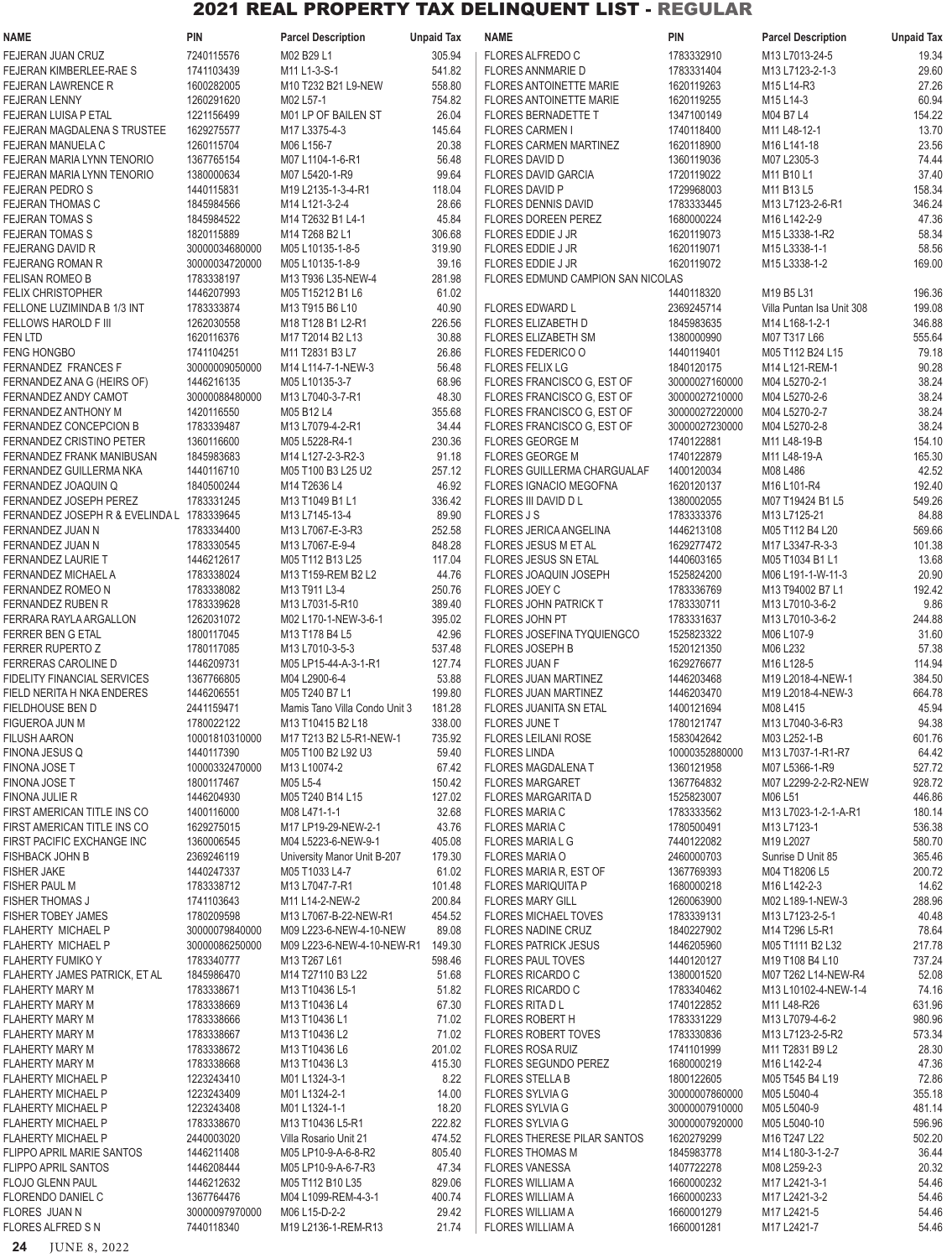| NAME                                                      | <b>PIN</b>                   | <b>Parcel Description</b>                                                      | <b>Unpaid Tax</b> | <b>NAME</b>                                                         | <b>PIN</b>                       | <b>Parcel Description</b>                                    | <b>Unpaid Tax</b> |
|-----------------------------------------------------------|------------------------------|--------------------------------------------------------------------------------|-------------------|---------------------------------------------------------------------|----------------------------------|--------------------------------------------------------------|-------------------|
| FEJERAN JUAN CRUZ                                         | 7240115576                   | M02 B29 L1                                                                     | 305.94            | <b>FLORES ALFREDO C</b>                                             | 1783332910                       | M13 L7013-24-5                                               | 19.34             |
| FEJERAN KIMBERLEE-RAE S                                   | 1741103439                   | M11 L1-3-S-1                                                                   | 541.82            | <b>FLORES ANNMARIE D</b>                                            | 1783331404                       | M13 L7123-2-1-3                                              | 29.60             |
| <b>FEJERAN LAWRENCE R</b><br><b>FEJERAN LENNY</b>         | 1600282005<br>1260291620     | M10 T232 B21 L9-NEW<br>M02 L57-1                                               | 558.80<br>754.82  | <b>FLORES ANTOINETTE MARIE</b><br><b>FLORES ANTOINETTE MARIE</b>    | 1620119263<br>1620119255         | M <sub>15</sub> L <sub>14</sub> -R <sub>3</sub><br>M15 L14-3 | 27.26<br>60.94    |
| FEJERAN LUISA P ETAL                                      | 1221156499                   | M01 LP OF BAILEN ST                                                            | 26.04             | <b>FLORES BERNADETTE T</b>                                          | 1347100149                       | M04 B7 L4                                                    | 154.22            |
| FEJERAN MAGDALENA S TRUSTEE                               | 1629275577                   | M17 L3375-4-3                                                                  | 145.64            | <b>FLORES CARMEN I</b>                                              | 1740118400                       | M11 L48-12-1                                                 | 13.70             |
| FEJERAN MANUELA C                                         | 1260115704                   | M06 L156-7                                                                     | 20.38             | <b>FLORES CARMEN MARTINEZ</b>                                       | 1620118900                       | M <sub>16</sub> L <sub>141-18</sub>                          | 23.56             |
| FEJERAN MARIA LYNN TENORIO                                | 1367765154                   | M07 L1104-1-6-R1                                                               | 56.48             | <b>FLORES DAVID D</b>                                               | 1360119036                       | M07 L2305-3                                                  | 74.44             |
| FEJERAN MARIA LYNN TENORIO<br><b>FEJERAN PEDROS</b>       | 1380000634<br>1440115831     | M07 L5420-1-R9<br>M19 L2135-1-3-4-R1                                           | 99.64<br>118.04   | FLORES DAVID GARCIA<br><b>FLORES DAVID P</b>                        | 1720119022<br>1729968003         | M11 B10 L1<br>M11 B13 L5                                     | 37.40<br>158.34   |
| <b>FEJERAN THOMAS C</b>                                   | 1845984566                   | M14 L121-3-2-4                                                                 | 28.66             | <b>FLORES DENNIS DAVID</b>                                          | 1783333445                       | M13 L7123-2-6-R1                                             | 346.24            |
| <b>FEJERAN TOMAS S</b>                                    | 1845984522                   | M14 T2632 B1 L4-1                                                              | 45.84             | <b>FLORES DOREEN PEREZ</b>                                          | 1680000224                       | M16 L142-2-9                                                 | 47.36             |
| <b>FEJERAN TOMAS S</b>                                    | 1820115889                   | M14 T268 B2 L1                                                                 | 306.68            | <b>FLORES EDDIE J JR</b>                                            | 1620119073                       | M15 L3338-1-R2                                               | 58.34             |
| <b>FEJERANG DAVID R</b>                                   | 30000034680000               | M05 L10135-1-8-5                                                               | 319.90            | FLORES EDDIE J JR                                                   | 1620119071                       | M15 L3338-1-1                                                | 58.56             |
| <b>FEJERANG ROMAN R</b><br>FELISAN ROMEO B                | 30000034720000<br>1783338197 | M05 L10135-1-8-9<br>M13 T936 L35-NEW-4                                         | 39.16<br>281.98   | FLORES EDDIE J JR<br>FLORES EDMUND CAMPION SAN NICOLAS              | 1620119072                       | M15 L3338-1-2                                                | 169.00            |
| <b>FELIX CHRISTOPHER</b>                                  | 1446207993                   | M05 T15212 B1 L6                                                               | 61.02             |                                                                     | 1440118320                       | M19 B5 L31                                                   | 196.36            |
| FELLONE LUZIMINDA B 1/3 INT                               | 1783333874                   | M13 T915 B6 L10                                                                | 40.90             | <b>FLORES EDWARD L</b>                                              | 2369245714                       | Villa Puntan Isa Unit 308                                    | 199.08            |
| FELLOWS HAROLD F III                                      | 1262030558                   | M <sub>18</sub> T <sub>128</sub> B <sub>1</sub> L <sub>2</sub> -R <sub>1</sub> | 226.56            | <b>FLORES ELIZABETH D</b>                                           | 1845983635                       | M14 L168-1-2-1                                               | 346.88            |
| <b>FEN LTD</b>                                            | 1620116376                   | M17 T2014 B2 L13                                                               | 30.88             | <b>FLORES ELIZABETH SM</b>                                          | 1380000990                       | M07 T317 L66                                                 | 555.64            |
| <b>FENG HONGBO</b><br>FERNANDEZ FRANCES F                 | 1741104251<br>30000009050000 | M11 T2831 B3 L7<br>M14 L114-7-1-NEW-3                                          | 26.86<br>56.48    | FLORES FEDERICO O<br><b>FLORES FELIX LG</b>                         | 1440119401<br>1840120175         | M05 T112 B24 L15<br>M14 L121-REM-1                           | 79.18<br>90.28    |
| FERNANDEZ ANA G (HEIRS OF)                                | 1446216135                   | M05 L10135-3-7                                                                 | 68.96             | FLORES FRANCISCO G, EST OF                                          | 30000027160000                   | M04 L5270-2-1                                                | 38.24             |
| FERNANDEZ ANDY CAMOT                                      | 30000088480000               | M13 L7040-3-7-R1                                                               | 48.30             | FLORES FRANCISCO G, EST OF                                          | 30000027210000                   | M04 L5270-2-6                                                | 38.24             |
| FERNANDEZ ANTHONY M                                       | 1420116550                   | M05 B12 L4                                                                     | 355.68            | FLORES FRANCISCO G, EST OF                                          | 30000027220000                   | M04 L5270-2-7                                                | 38.24             |
| FERNANDEZ CONCEPCION B                                    | 1783339487                   | M13 L7079-4-2-R1                                                               | 34.44             | FLORES FRANCISCO G, EST OF                                          | 30000027230000                   | M04 L5270-2-8                                                | 38.24             |
| <b>FERNANDEZ CRISTINO PETER</b>                           | 1360116600                   | M05 L5228-R4-1                                                                 | 230.36            | <b>FLORES GEORGE M</b>                                              | 1740122881                       | M11 L48-19-B                                                 | 154.10            |
| FERNANDEZ FRANK MANIBUSAN                                 | 1845983683                   | M14 L127-2-3-R2-3                                                              | 91.18             | <b>FLORES GEORGE M</b>                                              | 1740122879                       | M11 L48-19-A                                                 | 165.30            |
| FERNANDEZ GUILLERMA NKA<br>FERNANDEZ JOAQUIN Q            | 1440116710<br>1840500244     | M05 T100 B3 L25 U2<br>M14 T2636 L4                                             | 257.12<br>46.92   | <b>FLORES GUILLERMA CHARGUALAF</b><br><b>FLORES IGNACIO MEGOFNA</b> | 1400120034<br>1620120137         | M08 L486<br>M <sub>16</sub> L <sub>101</sub> -R <sub>4</sub> | 42.52<br>192.40   |
| FERNANDEZ JOSEPH PEREZ                                    | 1783331245                   | M13 T1049 B1 L1                                                                | 336.42            | FLORES III DAVID D L                                                | 1380002055                       | M07 T19424 B1 L5                                             | 549.26            |
| FERNANDEZ JOSEPH R & EVELINDA L 1783339645                |                              | M13 L7145-13-4                                                                 | 89.90             | <b>FLORES JS</b>                                                    | 1783333376                       | M13 L7125-21                                                 | 84.88             |
| FERNANDEZ JUAN N                                          | 1783334400                   | M13 L7067-E-3-R3                                                               | 252.58            | <b>FLORES JERICA ANGELINA</b>                                       | 1446213108                       | M05 T112 B4 L20                                              | 569.66            |
| FERNANDEZ JUAN N                                          | 1783330545                   | M13 L7067-E-9-4                                                                | 848.28            | <b>FLORES JESUS M ET AL</b>                                         | 1629277472                       | M17 L3347-R-3-3                                              | 101.38            |
| FERNANDEZ LAURIE T                                        | 1446212617                   | M05 T112 B13 L25                                                               | 117.04            | <b>FLORES JESUS SN ETAL</b>                                         | 1440603165                       | M05 T1034 B1 L1                                              | 13.68             |
| FERNANDEZ MICHAEL A                                       | 1783338024                   | M13 T159-REM B2 L2                                                             | 44.76<br>250.76   | <b>FLORES JOAQUIN JOSEPH</b>                                        | 1525824200                       | M06 L191-1-W-11-3                                            | 20.90<br>192.42   |
| FERNANDEZ ROMEO N<br>FERNANDEZ RUBEN R                    | 1783338082<br>1783339628     | M13 T911 L3-4<br>M13 L7031-5-R10                                               | 389.40            | FLORES JOEY C<br><b>FLORES JOHN PATRICK T</b>                       | 1783336769<br>1783330711         | M13 T94002 B7 L1<br>M13 L7010-3-6-2                          | 9.86              |
| <b>FERRARA RAYLA ARGALLON</b>                             | 1262031072                   | M02 L170-1-NEW-3-6-1                                                           | 395.02            | FLORES JOHN PT                                                      | 1783331637                       | M13 L7010-3-6-2                                              | 244.88            |
| FERRER BEN G ETAL                                         | 1800117045                   | M13 T178 B4 L5                                                                 | 42.96             | FLORES JOSEFINA TYQUIENGCO                                          | 1525823322                       | M06 L107-9                                                   | 31.60             |
| <b>FERRER RUPERTO Z</b>                                   | 1780117085                   | M13 L7010-3-5-3                                                                | 537.48            | <b>FLORES JOSEPH B</b>                                              | 1520121350                       | M06 L232                                                     | 57.38             |
| FERRERAS CAROLINE D                                       | 1446209731                   | M05 LP15-44-A-3-1-R1                                                           | 127.74            | <b>FLORES JUAN F</b>                                                | 1629276677                       | M16 L128-5                                                   | 114.94            |
| FIDELITY FINANCIAL SERVICES<br>FIELD NERITA H NKA ENDERES | 1367766805<br>1446206551     | M04 L2900-6-4<br>M05 T240 B7 L1                                                | 53.88<br>199.80   | <b>FLORES JUAN MARTINEZ</b><br><b>FLORES JUAN MARTINEZ</b>          | 1446203468<br>1446203470         | M19 L2018-4-NEW-1<br>M19 L2018-4-NEW-3                       | 384.50<br>664.78  |
| FIELDHOUSE BEN D                                          | 2441159471                   | Mamis Tano Villa Condo Unit 3                                                  | 181.28            | <b>FLORES JUANITA SN ETAL</b>                                       | 1400121694                       | M08 L415                                                     | 45.94             |
| FIGUEROA JUN M                                            | 1780022122                   | M13 T10415 B2 L18                                                              | 338.00            | <b>FLORES JUNE T</b>                                                | 1780121747                       | M13 L7040-3-6-R3                                             | 94.38             |
| <b>FILUSH AARON</b>                                       | 10001810310000               | M17 T213 B2 L5-R1-NEW-1                                                        | 735.92            | <b>FLORES LEILANI ROSE</b>                                          | 1583042642                       | M03 L252-1-B                                                 | 601.76            |
| FINONA JESUS Q                                            | 1440117390                   | M05 T100 B2 L92 U3                                                             | 59.40             | <b>FLORES LINDA</b>                                                 | 10000352880000                   | M13 L7037-1-R1-R7                                            | 64.42             |
| FINONA JOSE T                                             | 10000332470000               | M13 L10074-2                                                                   | 67.42             | <b>FLORES MAGDALENAT</b>                                            | 1360121958                       | M07 L5366-1-R9                                               | 527.72            |
| FINONA JOSE T<br>FINONA JULIE R                           | 1800117467<br>1446204930     | M05 L5-4<br>M05 T240 B14 L15                                                   | 150.42<br>127.02  | <b>FLORES MARGARET</b><br><b>FLORES MARGARITA D</b>                 | 1367764832<br>1525823007         | M07 L2299-2-2-R2-NEW<br>M06 L51                              | 928.72<br>446.86  |
| FIRST AMERICAN TITLE INS CO                               | 1400116000                   | M08 L471-1-1                                                                   | 32.68             | <b>FLORES MARIA C</b>                                               | 1783333562                       | M13 L7023-1-2-1-A-R1                                         | 180.14            |
| FIRST AMERICAN TITLE INS CO                               | 1629275015                   | M17 LP19-29-NEW-2-1                                                            | 43.76             | <b>FLORES MARIA C</b>                                               | 1780500491                       | M13 L7123-1                                                  | 536.38            |
| FIRST PACIFIC EXCHANGE INC                                | 1360006545                   | M04 L5223-6-NEW-9-1                                                            | 405.08            | <b>FLORES MARIA L G</b>                                             | 7440122082                       | M19 L2027                                                    | 580.70            |
| <b>FISHBACK JOHN B</b>                                    | 2369246119                   | University Manor Unit B-207                                                    | 179.30            | FLORES MARIA O                                                      | 2460000703                       | Sunrise D Unit 85                                            | 365.46            |
| <b>FISHER JAKE</b>                                        | 1440247337                   | M05 T1033 L4-7                                                                 | 61.02             | FLORES MARIA R, EST OF                                              | 1367769393                       | M04 T18206 L5                                                | 200.72            |
| FISHER PAUL M<br><b>FISHER THOMAS J</b>                   | 1783338712<br>1741103643     | M13 L7047-7-R1<br>M11 L14-2-NEW-2                                              | 101.48<br>200.84  | <b>FLORES MARIQUITA P</b><br><b>FLORES MARY GILL</b>                | 1680000218<br>1260063900         | M16 L142-2-3<br>M02 L189-1-NEW-3                             | 14.62<br>288.96   |
| <b>FISHER TOBEY JAMES</b>                                 | 1780209598                   | M13 L7067-B-22-NEW-R1                                                          | 454.52            | <b>FLORES MICHAEL TOVES</b>                                         | 1783339131                       | M13 L7123-2-5-1                                              | 40.48             |
| FLAHERTY MICHAEL P                                        | 30000079840000               | M09 L223-6-NEW-4-10-NEW                                                        | 89.08             | <b>FLORES NADINE CRUZ</b>                                           | 1840227902                       | M14 T296 L5-R1                                               | 78.64             |
| FLAHERTY MICHAEL P                                        | 30000086250000               | M09 L223-6-NEW-4-10-NEW-R1                                                     | 149.30            | <b>FLORES PATRICK JESUS</b>                                         | 1446205960                       | M05 T1111 B2 L32                                             | 217.78            |
| <b>FLAHERTY FUMIKO Y</b>                                  | 1783340777                   | M13 T267 L61                                                                   | 598.46            | <b>FLORES PAUL TOVES</b>                                            | 1440120127                       | M19 T108 B4 L10                                              | 737.24            |
| FLAHERTY JAMES PATRICK, ET AL                             | 1845986470                   | M14 T27110 B3 L22                                                              | 51.68             | <b>FLORES RICARDO C</b>                                             | 1380001520                       | M07 T262 L14-NEW-R4                                          | 52.08             |
| <b>FLAHERTY MARY M</b><br>FLAHERTY MARY M                 | 1783338671<br>1783338669     | M13 T10436 L5-1<br>M13 T10436 L4                                               | 51.82<br>67.30    | <b>FLORES RICARDO C</b><br><b>FLORES RITAD L</b>                    | 1783340462<br>1740122852         | M13 L10102-4-NEW-1-4<br>M11 L48-R26                          | 74.16<br>631.96   |
| <b>FLAHERTY MARY M</b>                                    | 1783338666                   | M13 T10436 L1                                                                  | 71.02             | <b>FLORES ROBERT H</b>                                              | 1783331229                       | M13 L7079-4-6-2                                              | 980.96            |
| <b>FLAHERTY MARY M</b>                                    | 1783338667                   | M13 T10436 L2                                                                  | 71.02             | <b>FLORES ROBERT TOVES</b>                                          | 1783330836                       | M13 L7123-2-5-R2                                             | 573.34            |
| FLAHERTY MARY M                                           | 1783338672                   | M13 T10436 L6                                                                  | 201.02            | <b>FLORES ROSA RUIZ</b>                                             | 1741101999                       | M11 T2831 B9 L2                                              | 28.30             |
| <b>FLAHERTY MARY M</b>                                    | 1783338668                   | M13 T10436 L3                                                                  | 415.30            | FLORES SEGUNDO PEREZ                                                | 1680000219                       | M16 L142-2-4                                                 | 47.36             |
| <b>FLAHERTY MICHAEL P</b>                                 | 1223243410                   | M01 L1324-3-1                                                                  | 8.22              | <b>FLORES STELLA B</b>                                              | 1800122605                       | M05 T545 B4 L19                                              | 72.86             |
| <b>FLAHERTY MICHAEL P</b><br><b>FLAHERTY MICHAEL P</b>    | 1223243409<br>1223243408     | M01 L1324-2-1<br>M01L1324-1-1                                                  | 14.00<br>18.20    | <b>FLORES SYLVIA G</b><br><b>FLORES SYLVIA G</b>                    | 30000007860000<br>30000007910000 | M05 L5040-4<br>M05 L5040-9                                   | 355.18<br>481.14  |
| <b>FLAHERTY MICHAEL P</b>                                 | 1783338670                   | M13 T10436 L5-R1                                                               | 222.82            | <b>FLORES SYLVIA G</b>                                              | 30000007920000                   | M05 L5040-10                                                 | 596.96            |
| <b>FLAHERTY MICHAEL P</b>                                 | 2440003020                   | Villa Rosario Unit 21                                                          | 474.52            | <b>FLORES THERESE PILAR SANTOS</b>                                  | 1620279299                       | M16 T247 L22                                                 | 502.20            |
| <b>FLIPPO APRIL MARIE SANTOS</b>                          | 1446211408                   | M05 LP10-9-A-6-8-R2                                                            | 805.40            | <b>FLORES THOMAS M</b>                                              | 1845983778                       | M14 L180-3-1-2-7                                             | 36.44             |
| <b>FLIPPO APRIL SANTOS</b>                                | 1446208444                   | M05 LP10-9-A-6-7-R3                                                            | 47.34             | <b>FLORES VANESSA</b>                                               | 1407722278                       | M08 L259-2-3                                                 | 20.32             |
| FLOJO GLENN PAUL                                          | 1446212632                   | M05 T112 B10 L35                                                               | 829.06            | <b>FLORES WILLIAM A</b>                                             | 1660000232                       | M17 L2421-3-1                                                | 54.46             |
| FLORENDO DANIEL C<br>FLORES JUAN N                        | 1367764476<br>30000097970000 | M04 L1099-REM-4-3-1<br>M06 L15-D-2-2                                           | 400.74<br>29.42   | FLORES WILLIAM A<br><b>FLORES WILLIAM A</b>                         | 1660000233<br>1660001279         | M17 L2421-3-2<br>M17 L2421-5                                 | 54.46<br>54.46    |
| <b>FLORES ALFRED S N</b>                                  | 7440118340                   | M19 L2136-1-REM-R13                                                            | 21.74             | FLORES WILLIAM A                                                    | 1660001281                       | M17 L2421-7                                                  | 54.46             |
|                                                           |                              |                                                                                |                   |                                                                     |                                  |                                                              |                   |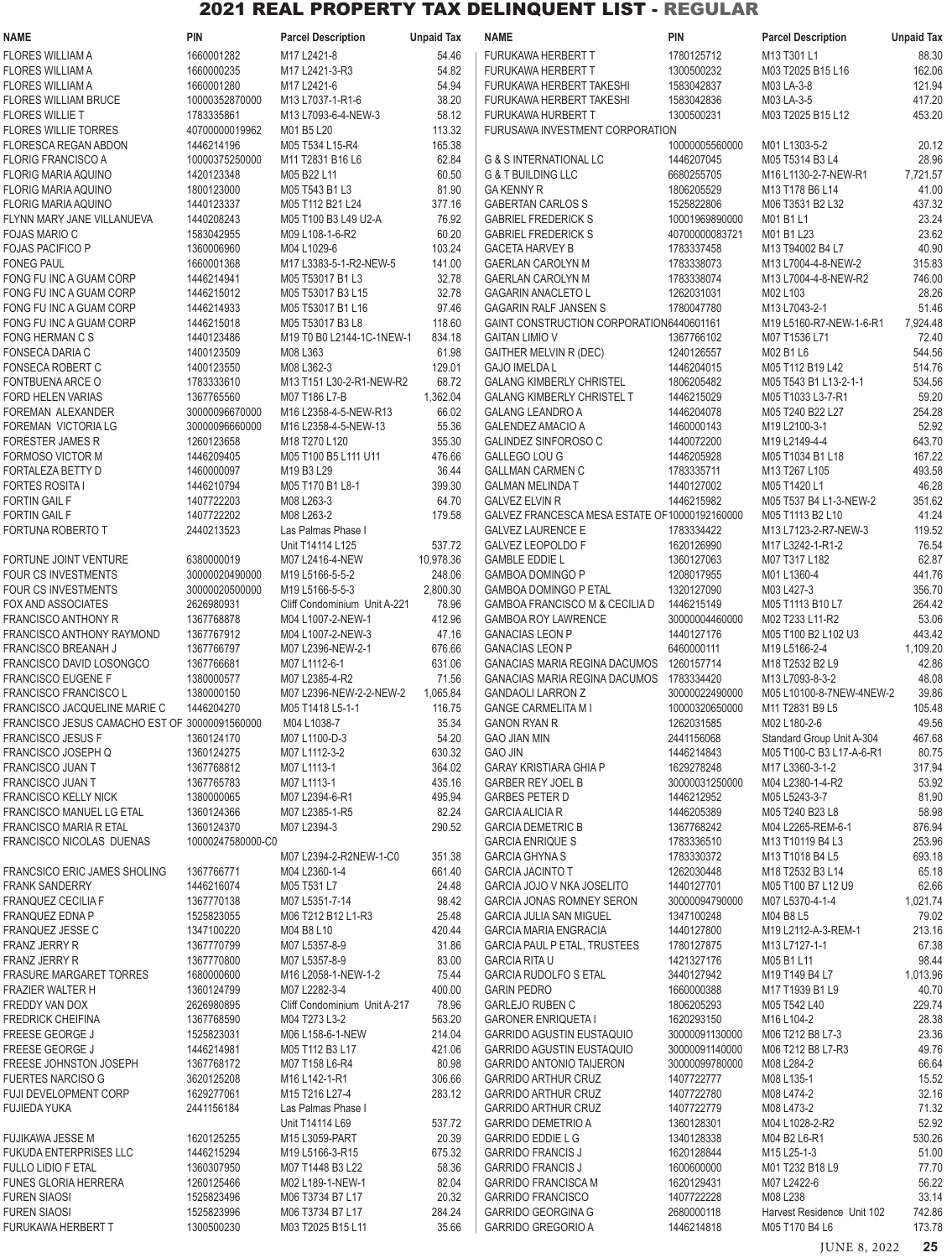| <b>NAME</b>                                              | <b>PIN</b>                       | <b>Parcel Description</b>           | <b>Unpaid Tax</b>   | NAME                                                               | <b>PIN</b>                   | <b>Parcel Description</b>                 | <b>Unpaid Tax</b> |
|----------------------------------------------------------|----------------------------------|-------------------------------------|---------------------|--------------------------------------------------------------------|------------------------------|-------------------------------------------|-------------------|
| <b>FLORES WILLIAM A</b>                                  | 1660001282                       | M17 L2421-8                         | 54.46               | FURUKAWA HERBERT T                                                 | 1780125712                   | M13 T301 L1                               | 88.30             |
| <b>FLORES WILLIAM A</b>                                  | 1660000235                       | M17 L2421-3-R3                      | 54.82               | <b>FURUKAWA HERBERT T</b>                                          | 1300500232                   | M03 T2025 B15 L16                         | 162.06            |
| <b>FLORES WILLIAM A</b>                                  | 1660001280                       | M17 L2421-6                         | 54.94               | FURUKAWA HERBERT TAKESHI                                           | 1583042837                   | M03 LA-3-8                                | 121.94            |
| FLORES WILLIAM BRUCE                                     | 10000352870000                   | M13 L7037-1-R1-6                    | 38.20               | FURUKAWA HERBERT TAKESHI                                           | 1583042836                   | M03 LA-3-5                                | 417.20            |
| <b>FLORES WILLIE T</b>                                   | 1783335861                       | M13 L7093-6-4-NEW-3                 | 58.12               | <b>FURUKAWA HURBERT T</b>                                          | 1300500231                   | M03 T2025 B15 L12                         | 453.20            |
| <b>FLORES WILLIE TORRES</b>                              | 40700000019962                   | M01 B5 L20                          | 113.32              | FURUSAWA INVESTMENT CORPORATION                                    |                              |                                           |                   |
| <b>FLORESCA REGAN ABDON</b>                              | 1446214196                       | M05 T534 L15-R4                     | 165.38              |                                                                    | 10000005560000               | M01 L1303-5-2                             | 20.12             |
| <b>FLORIG FRANCISCO A</b><br>FLORIG MARIA AQUINO         | 10000375250000<br>1420123348     | M11 T2831 B16 L6<br>M05 B22 L11     | 62.84<br>60.50      | <b>G &amp; S INTERNATIONAL LC</b><br><b>G &amp; T BUILDING LLC</b> | 1446207045<br>6680255705     | M05 T5314 B3 L4<br>M16 L1130-2-7-NEW-R1   | 28.96<br>7,721.57 |
| <b>FLORIG MARIA AQUINO</b>                               | 1800123000                       | M05 T543 B1 L3                      | 81.90               | <b>GA KENNY R</b>                                                  | 1806205529                   | M13 T178 B6 L14                           | 41.00             |
| <b>FLORIG MARIA AQUINO</b>                               | 1440123337                       | M05 T112 B21 L24                    | 377.16              | <b>GABERTAN CARLOS S</b>                                           | 1525822806                   | M06 T3531 B2 L32                          | 437.32            |
| FLYNN MARY JANE VILLANUEVA                               | 1440208243                       | M05 T100 B3 L49 U2-A                | 76.92               | <b>GABRIEL FREDERICK S</b>                                         | 10001969890000               | M01 B1 L1                                 | 23.24             |
| <b>FOJAS MARIO C</b>                                     | 1583042955                       | M09 L108-1-6-R2                     | 60.20               | <b>GABRIEL FREDERICK S</b>                                         | 40700000083721               | M01 B1 L23                                | 23.62             |
| <b>FOJAS PACIFICO P</b>                                  | 1360006960                       | M04 L1029-6                         | 103.24              | <b>GACETA HARVEY B</b>                                             | 1783337458                   | M13 T94002 B4 L7                          | 40.90             |
| <b>FONEG PAUL</b>                                        | 1660001368                       | M17 L3383-5-1-R2-NEW-5              | 141.00              | <b>GAERLAN CAROLYN M</b>                                           | 1783338073                   | M13 L7004-4-8-NEW-2                       | 315.83            |
| FONG FU INC A GUAM CORP                                  | 1446214941                       | M05 T53017 B1 L3                    | 32.78               | <b>GAERLAN CAROLYN M</b>                                           | 1783338074                   | M13 L7004-4-8-NEW-R2                      | 746.00            |
| FONG FU INC A GUAM CORP                                  | 1446215012                       | M05 T53017 B3 L15                   | 32.78               | <b>GAGARIN ANACLETO L</b>                                          | 1262031031                   | M02 L103                                  | 28.26             |
| FONG FU INC A GUAM CORP                                  | 1446214933                       | M05 T53017 B1 L16                   | 97.46               | <b>GAGARIN RALF JANSEN S</b>                                       | 1780047780                   | M13 L7043-2-1                             | 51.46             |
| FONG FU INC A GUAM CORP                                  | 1446215018                       | M05 T53017 B3 L8                    | 118.60              | GAINT CONSTRUCTION CORPORATION6440601161                           |                              | M19 L5160-R7-NEW-1-6-R1                   | 7,924.48          |
| <b>FONG HERMAN C S</b>                                   | 1440123486                       | M19 T0 B0 L2144-1C-1NEW-1           | 834.18              | <b>GAITAN LIMIO V</b>                                              | 1367766102                   | M07 T1536 L71                             | 72.40             |
| FONSECA DARIA C<br><b>FONSECA ROBERT C</b>               | 1400123509                       | M08 L363<br>M08 L362-3              | 61.98<br>129.01     | <b>GAITHER MELVIN R (DEC)</b>                                      | 1240126557<br>1446204015     | M02 B1 L6                                 | 544.56<br>514.76  |
| FONTBUENA ARCE O                                         | 1400123550<br>1783333610         | M13 T151 L30-2-R1-NEW-R2            | 68.72               | <b>GAJO IMELDA L</b><br><b>GALANG KIMBERLY CHRISTEL</b>            | 1806205482                   | M05 T112 B19 L42<br>M05 T543 B1 L13-2-1-1 | 534.56            |
| FORD HELEN VARIAS                                        | 1367765560                       | M07 T186 L7-B                       | 1,362.04            | <b>GALANG KIMBERLY CHRISTEL T</b>                                  | 1446215029                   | M05 T1033 L3-7-R1                         | 59.20             |
| FOREMAN ALEXANDER                                        | 30000096670000                   | M16 L2358-4-5-NEW-R13               | 66.02               | <b>GALANG LEANDRO A</b>                                            | 1446204078                   | M05 T240 B22 L27                          | 254.28            |
| FOREMAN VICTORIA LG                                      | 30000096660000                   | M16 L2358-4-5-NEW-13                | 55.36               | <b>GALENDEZ AMACIO A</b>                                           | 1460000143                   | M19 L2100-3-1                             | 52.92             |
| <b>FORESTER JAMES R</b>                                  | 1260123658                       | M18 T270 L120                       | 355.30              | GALINDEZ SINFOROSO C                                               | 1440072200                   | M19 L2149-4-4                             | 643.70            |
| FORMOSO VICTOR M                                         | 1446209405                       | M05 T100 B5 L111 U11                | 476.66              | GALLEGO LOU G                                                      | 1446205928                   | M05 T1034 B1 L18                          | 167.22            |
| FORTALEZA BETTY D                                        | 1460000097                       | M19 B3 L29                          | 36.44               | <b>GALLMAN CARMEN C</b>                                            | 1783335711                   | M13 T267 L105                             | 493.58            |
| <b>FORTES ROSITA I</b>                                   | 1446210794                       | M05 T170 B1 L8-1                    | 399.30              | <b>GALMAN MELINDA T</b>                                            | 1440127002                   | M05 T1420 L1                              | 46.28             |
| <b>FORTIN GAIL F</b>                                     | 1407722203                       | M08 L263-3                          | 64.70               | <b>GALVEZ ELVIN R</b>                                              | 1446215982                   | M05 T537 B4 L1-3-NEW-2                    | 351.62            |
| <b>FORTIN GAIL F</b>                                     | 1407722202                       | M08 L263-2                          | 179.58              | GALVEZ FRANCESCA MESA ESTATE OF 10000192160000                     |                              | M05 T1113 B2 L10                          | 41.24             |
| <b>FORTUNA ROBERTO T</b>                                 | 2440213523                       | Las Palmas Phase I                  |                     | <b>GALVEZ LAURENCE E</b>                                           | 1783334422                   | M13 L7123-2-R7-NEW-3                      | 119.52            |
|                                                          |                                  | Unit T14114 L125                    | 537.72              | <b>GALVEZ LEOPOLDO F</b>                                           | 1620126990                   | M17 L3242-1-R1-2                          | 76.54             |
| FORTUNE JOINT VENTURE                                    | 6380000019                       | M07 L2416-4-NEW                     | 10,978.36<br>248.06 | <b>GAMBLE EDDIE L</b>                                              | 1360127063                   | M07 T317 L182                             | 62.87             |
| <b>FOUR CS INVESTMENTS</b><br><b>FOUR CS INVESTMENTS</b> | 30000020490000<br>30000020500000 | M19 L5166-5-5-2<br>M19 L5166-5-5-3  | 2,800.30            | <b>GAMBOA DOMINGO P</b><br><b>GAMBOA DOMINGO P ETAL</b>            | 1208017955<br>1320127090     | M01 L1360-4<br>M03 L427-3                 | 441.76<br>356.70  |
| FOX AND ASSOCIATES                                       | 2626980931                       | Cliff Condominium Unit A-221        | 78.96               | GAMBOA FRANCISCO M & CECILIA D                                     | 1446215149                   | M05 T1113 B10 L7                          | 264.42            |
| <b>FRANCISCO ANTHONY R</b>                               | 1367768878                       | M04 L1007-2-NEW-1                   | 412.96              | <b>GAMBOA ROY LAWRENCE</b>                                         | 30000004460000               | M02 T233 L11-R2                           | 53.06             |
| <b>FRANCISCO ANTHONY RAYMOND</b>                         | 1367767912                       | M04 L1007-2-NEW-3                   | 47.16               | <b>GANACIAS LEON P</b>                                             | 1440127176                   | M05 T100 B2 L102 U3                       | 443.42            |
| FRANCISCO BREANAH J                                      | 1367766797                       | M07 L2396-NEW-2-1                   | 676.66              | <b>GANACIAS LEON P</b>                                             | 6460000111                   | M19 L5166-2-4                             | 1,109.20          |
| FRANCISCO DAVID LOSONGCO                                 | 1367766681                       | M07 L1112-6-1                       | 631.06              | GANACIAS MARIA REGINA DACUMOS                                      | 1260157714                   | M18 T2532 B2 L9                           | 42.86             |
| <b>FRANCISCO EUGENE F</b>                                | 1380000577                       | M07 L2385-4-R2                      | 71.56               | <b>GANACIAS MARIA REGINA DACUMOS</b>                               | 1783334420                   | M13 L7093-8-3-2                           | 48.08             |
| FRANCISCO FRANCISCO L                                    | 1380000150                       | M07 L2396-NEW-2-2-NEW-2             | 1,065.84            | <b>GANDAOLI LARRON Z</b>                                           | 30000022490000               | M05 L10100-8-7NEW-4NEW-2                  | 39.86             |
| <b>FRANCISCO JACQUELINE MARIE C</b>                      | 1446204270                       | M05 T1418 L5-1-1                    | 116.75              | <b>GANGE CARMELITA M I</b>                                         | 10000320650000               | M11 T2831 B9 L5                           | 105.48            |
| FRANCISCO JESUS CAMACHO EST OF 30000091560000            |                                  | M04 L1038-7                         | 35.34               | <b>GANON RYAN R</b>                                                | 1262031585                   | M02 L180-2-6                              | 49.56             |
| <b>FRANCISCO JESUS F</b>                                 | 1360124170                       | M07 L1100-D-3                       | 54.20               | <b>GAO JIAN MIN</b>                                                | 2441156068                   | Standard Group Unit A-304                 | 467.68            |
| <b>FRANCISCO JOSEPH Q</b>                                | 1360124275                       | M07 L1112-3-2<br>M07 L1113-1        | 630.32              | <b>GAO JIN</b>                                                     | 1446214843                   | M05 T100-C B3 L17-A-6-R1                  | 80.75             |
| FRANCISCO JUAN T<br>FRANCISCO JUAN T                     | 1367768812<br>1367765783         | M07 L1113-1                         | 364.02<br>435.16    | <b>GARAY KRISTIARA GHIA P</b><br><b>GARBER REY JOEL B</b>          | 1629278248<br>30000031250000 | M17 L3360-3-1-2<br>M04 L2380-1-4-R2       | 317.94<br>53.92   |
| <b>FRANCISCO KELLY NICK</b>                              | 1380000065                       | M07 L2394-6-R1                      | 495.94              | <b>GARBES PETER D</b>                                              | 1446212952                   | M05 L5243-3-7                             | 81.90             |
| <b>FRANCISCO MANUEL LG ETAL</b>                          | 1360124366                       | M07 L2385-1-R5                      | 82.24               | <b>GARCIA ALICIA R</b>                                             | 1446205389                   | M05 T240 B23 L8                           | 58.98             |
| <b>FRANCISCO MARIA R ETAL</b>                            | 1360124370                       | M07 L2394-3                         | 290.52              | <b>GARCIA DEMETRIC B</b>                                           | 1367768242                   | M04 L2265-REM-6-1                         | 876.94            |
| FRANCISCO NICOLAS DUENAS                                 | 10000247580000-C0                |                                     |                     | <b>GARCIA ENRIQUE S</b>                                            | 1783336510                   | M13 T10119 B4 L3                          | 253.96            |
|                                                          |                                  | M07 L2394-2-R2NEW-1-C0              | 351.38              | <b>GARCIA GHYNA S</b>                                              | 1783330372                   | M13 T1018 B4 L5                           | 693.18            |
| <b>FRANCSICO ERIC JAMES SHOLING</b>                      | 1367766771                       | M04 L2360-1-4                       | 661.40              | <b>GARCIA JACINTO T</b>                                            | 1262030448                   | M18 T2532 B3 L14                          | 65.18             |
| <b>FRANK SANDERRY</b>                                    | 1446216074                       | M05 T531 L7                         | 24.48               | GARCIA JOJO V NKA JOSELITO                                         | 1440127701                   | M05 T100 B7 L12 U9                        | 62.66             |
| <b>FRANQUEZ CECILIA F</b>                                | 1367770138                       | M07 L5351-7-14                      | 98.42               | <b>GARCIA JONAS ROMNEY SERON</b>                                   | 30000094790000               | M07 L5370-4-1-4                           | 1,021.74          |
| <b>FRANQUEZ EDNA P</b>                                   | 1525823055                       | M06 T212 B12 L1-R3                  | 25.48               | <b>GARCIA JULIA SAN MIGUEL</b>                                     | 1347100248                   | M04 B8 L5                                 | 79.02             |
| <b>FRANQUEZ JESSE C</b>                                  | 1347100220                       | M04 B8 L10                          | 420.44              | <b>GARCIA MARIA ENGRACIA</b>                                       | 1440127800                   | M19 L2112-A-3-REM-1                       | 213.16            |
| FRANZ JERRY R<br><b>FRANZ JERRY R</b>                    | 1367770799<br>1367770800         | M07 L5357-8-9<br>M07 L5357-8-9      | 31.86<br>83.00      | <b>GARCIA PAUL P ETAL, TRUSTEES</b><br><b>GARCIA RITA U</b>        | 1780127875<br>1421327176     | M13 L7127-1-1<br>M05 B1 L11               | 67.38<br>98.44    |
| <b>FRASURE MARGARET TORRES</b>                           | 1680000600                       | M16 L2058-1-NEW-1-2                 | 75.44               | <b>GARCIA RUDOLFO S ETAL</b>                                       | 3440127942                   | M19 T149 B4 L7                            | 1,013.96          |
| FRAZIER WALTER H                                         | 1360124799                       | M07 L2282-3-4                       | 400.00              | <b>GARIN PEDRO</b>                                                 | 1660000388                   | M17 T1939 B1 L9                           | 40.70             |
| FREDDY VAN DOX                                           | 2626980895                       | Cliff Condominium Unit A-217        | 78.96               | <b>GARLEJO RUBEN C</b>                                             | 1806205293                   | M05 T542 L40                              | 229.74            |
| <b>FREDRICK CHEIFINA</b>                                 | 1367768590                       | M04 T273 L3-2                       | 563.20              | <b>GARONER ENRIQUETA I</b>                                         | 1620293150                   | M16 L104-2                                | 28.38             |
| FREESE GEORGE J                                          | 1525823031                       | M06 L158-6-1-NEW                    | 214.04              | <b>GARRIDO AGUSTIN EUSTAQUIO</b>                                   | 30000091130000               | M06 T212 B8 L7-3                          | 23.36             |
| FREESE GEORGE J                                          | 1446214981                       | M05 T112 B3 L17                     | 421.06              | <b>GARRIDO AGUSTIN EUSTAQUIO</b>                                   | 30000091140000               | M06 T212 B8 L7-R3                         | 49.76             |
| FREESE JOHNSTON JOSEPH                                   | 1367768172                       | M07 T158 L6-R4                      | 80.98               | <b>GARRIDO ANTONIO TAIJERON</b>                                    | 30000099780000               | M08 L284-2                                | 66.64             |
| <b>FUERTES NARCISO G</b>                                 | 3620125208                       | M16 L142-1-R1                       | 306.66              | <b>GARRIDO ARTHUR CRUZ</b>                                         | 1407722777                   | M08 L135-1                                | 15.52             |
| FUJI DEVELOPMENT CORP                                    | 1629277061                       | M15 T216 L27-4                      | 283.12              | <b>GARRIDO ARTHUR CRUZ</b>                                         | 1407722780                   | M08 L474-2                                | 32.16             |
| <b>FUJIEDA YUKA</b>                                      | 2441156184                       | Las Palmas Phase I                  |                     | <b>GARRIDO ARTHUR CRUZ</b>                                         | 1407722779                   | M08 L473-2                                | 71.32             |
|                                                          |                                  | Unit T14114 L69                     | 537.72              | <b>GARRIDO DEMETRIO A</b>                                          | 1360128301                   | M04 L1028-2-R2                            | 52.92             |
| FUJIKAWA JESSE M<br><b>FUKUDA ENTERPRISES LLC</b>        | 1620125255<br>1446215294         | M15 L3059-PART                      | 20.39               | <b>GARRIDO EDDIE L G</b><br><b>GARRIDO FRANCIS J</b>               | 1340128338<br>1620128844     | M04 B2 L6-R1                              | 530.26            |
| <b>FULLO LIDIO F ETAL</b>                                | 1360307950                       | M19 L5166-3-R15<br>M07 T1448 B3 L22 | 675.32<br>58.36     | <b>GARRIDO FRANCIS J</b>                                           | 1600600000                   | M15 L25-1-3<br>M01 T232 B18 L9            | 51.00<br>77.70    |
| <b>FUNES GLORIA HERRERA</b>                              | 1260125466                       | M02 L189-1-NEW-1                    | 82.04               | <b>GARRIDO FRANCISCA M</b>                                         | 1620129431                   | M07 L2422-6                               | 56.22             |
| <b>FUREN SIAOSI</b>                                      | 1525823496                       | M06 T3734 B7 L17                    | 20.32               | <b>GARRIDO FRANCISCO</b>                                           | 1407722228                   | M08 L238                                  | 33.14             |
| <b>FUREN SIAOSI</b>                                      | 1525823996                       | M06 T3734 B7 L17                    | 284.24              | <b>GARRIDO GEORGINA G</b>                                          | 2680000118                   | Harvest Residence Unit 102                | 742.86            |
| FURUKAWA HERBERT T                                       | 1300500230                       | M03 T2025 B15 L11                   | 35.66               | GARRIDO GREGORIO A                                                 | 1446214818                   | M05 T170 B4 L6                            | 173.78            |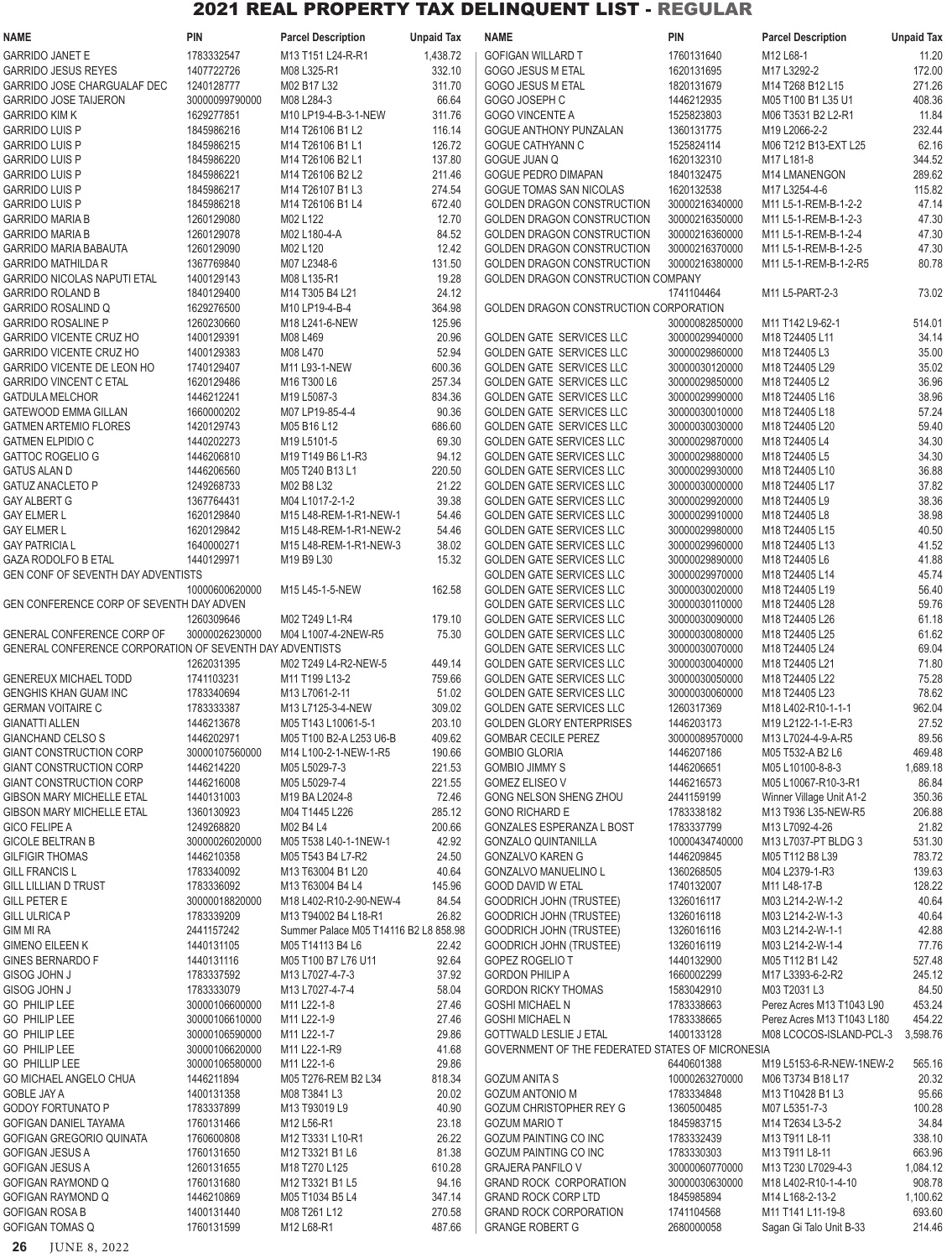| <b>NAME</b>                                                         | PIN                          | <b>Parcel Description</b>                                 | <b>Unpaid Tax</b> | <b>NAME</b>                                                        | PIN                              | <b>Parcel Description</b>            | <b>Unpaid Tax</b>  |
|---------------------------------------------------------------------|------------------------------|-----------------------------------------------------------|-------------------|--------------------------------------------------------------------|----------------------------------|--------------------------------------|--------------------|
| <b>GARRIDO JANET E</b>                                              | 1783332547                   | M13 T151 L24-R-R1                                         | 1,438.72          | <b>GOFIGAN WILLARD T</b>                                           | 1760131640                       | M12 L68-1                            | 11.20              |
| <b>GARRIDO JESUS REYES</b>                                          | 1407722726                   | M08 L325-R1                                               | 332.10            | GOGO JESUS M ETAL                                                  | 1620131695                       | M17 L3292-2                          | 172.00             |
| GARRIDO JOSE CHARGUALAF DEC                                         | 1240128777                   | M02 B17 L32                                               | 311.70            | GOGO JESUS M ETAL                                                  | 1820131679                       | M14 T268 B12 L15                     | 271.26             |
| <b>GARRIDO JOSE TAIJERON</b>                                        | 30000099790000               | M08 L284-3                                                | 66.64             | GOGO JOSEPH C                                                      | 1446212935                       | M05 T100 B1 L35 U1                   | 408.36             |
| <b>GARRIDO KIM K</b>                                                | 1629277851                   | M10 LP19-4-B-3-1-NEW                                      | 311.76            | <b>GOGO VINCENTE A</b>                                             | 1525823803                       | M06 T3531 B2 L2-R1                   | 11.84              |
| <b>GARRIDO LUIS P</b>                                               | 1845986216                   | M14 T26106 B1 L2                                          | 116.14            | GOGUE ANTHONY PUNZALAN                                             | 1360131775                       | M19 L2066-2-2                        | 232.44             |
| <b>GARRIDO LUIS P</b>                                               | 1845986215                   | M14 T26106 B1 L1                                          | 126.72            | <b>GOGUE CATHYANN C</b>                                            | 1525824114                       | M06 T212 B13-EXT L25                 | 62.16              |
| <b>GARRIDO LUIS P</b><br><b>GARRIDO LUIS P</b>                      | 1845986220<br>1845986221     | M14 T26106 B2 L1<br>M14 T26106 B2 L2                      | 137.80<br>211.46  | <b>GOGUE JUAN Q</b><br><b>GOGUE PEDRO DIMAPAN</b>                  | 1620132310<br>1840132475         | M17 L181-8<br><b>M14 LMANENGON</b>   | 344.52<br>289.62   |
| <b>GARRIDO LUIS P</b>                                               | 1845986217                   | M14 T26107 B1 L3                                          | 274.54            | <b>GOGUE TOMAS SAN NICOLAS</b>                                     | 1620132538                       | M17 L3254-4-6                        | 115.82             |
| <b>GARRIDO LUIS P</b>                                               | 1845986218                   | M14 T26106 B1 L4                                          | 672.40            | GOLDEN DRAGON CONSTRUCTION                                         | 30000216340000                   | M11 L5-1-REM-B-1-2-2                 | 47.14              |
| <b>GARRIDO MARIA B</b>                                              | 1260129080                   | M02 L122                                                  | 12.70             | <b>GOLDEN DRAGON CONSTRUCTION</b>                                  | 30000216350000                   | M11 L5-1-REM-B-1-2-3                 | 47.30              |
| <b>GARRIDO MARIA B</b>                                              | 1260129078                   | M02 L180-4-A                                              | 84.52             | GOLDEN DRAGON CONSTRUCTION                                         | 30000216360000                   | M11 L5-1-REM-B-1-2-4                 | 47.30              |
| <b>GARRIDO MARIA BABAUTA</b>                                        | 1260129090                   | M02 L120                                                  | 12.42             | GOLDEN DRAGON CONSTRUCTION                                         | 30000216370000                   | M11 L5-1-REM-B-1-2-5                 | 47.30              |
| <b>GARRIDO MATHILDA R</b>                                           | 1367769840                   | M07 L2348-6                                               | 131.50            | GOLDEN DRAGON CONSTRUCTION                                         | 30000216380000                   | M11 L5-1-REM-B-1-2-R5                | 80.78              |
| <b>GARRIDO NICOLAS NAPUTI ETAL</b>                                  | 1400129143                   | M08 L135-R1                                               | 19.28             | GOLDEN DRAGON CONSTRUCTION COMPANY                                 |                                  |                                      |                    |
| <b>GARRIDO ROLAND B</b>                                             | 1840129400                   | M14 T305 B4 L21                                           | 24.12             |                                                                    | 1741104464                       | M11 L5-PART-2-3                      | 73.02              |
| <b>GARRIDO ROSALIND Q</b>                                           | 1629276500                   | M10 LP19-4-B-4                                            | 364.98            | GOLDEN DRAGON CONSTRUCTION CORPORATION                             |                                  |                                      |                    |
| <b>GARRIDO ROSALINE P</b>                                           | 1260230660                   | M18 L241-6-NEW                                            | 125.96            |                                                                    | 30000082850000                   | M11 T142 L9-62-1                     | 514.01             |
| <b>GARRIDO VICENTE CRUZ HO</b>                                      | 1400129391                   | M08 L469                                                  | 20.96             | GOLDEN GATE SERVICES LLC                                           | 30000029940000                   | M18 T24405 L11                       | 34.14              |
| <b>GARRIDO VICENTE CRUZ HO</b><br><b>GARRIDO VICENTE DE LEON HO</b> | 1400129383<br>1740129407     | M08 L470<br>M11 L93-1-NEW                                 | 52.94<br>600.36   | <b>GOLDEN GATE SERVICES LLC</b><br><b>GOLDEN GATE SERVICES LLC</b> | 30000029860000<br>30000030120000 | M18 T24405 L3<br>M18 T24405 L29      | 35.00<br>35.02     |
| <b>GARRIDO VINCENT C ETAL</b>                                       | 1620129486                   | M16 T300 L6                                               | 257.34            | GOLDEN GATE SERVICES LLC                                           | 30000029850000                   | M18 T24405 L2                        | 36.96              |
| <b>GATDULA MELCHOR</b>                                              | 1446212241                   | M19 L5087-3                                               | 834.36            | GOLDEN GATE SERVICES LLC                                           | 30000029990000                   | M18 T24405 L16                       | 38.96              |
| <b>GATEWOOD EMMA GILLAN</b>                                         | 1660000202                   | M07 LP19-85-4-4                                           | 90.36             | <b>GOLDEN GATE SERVICES LLC</b>                                    | 30000030010000                   | M18 T24405 L18                       | 57.24              |
| <b>GATMEN ARTEMIO FLORES</b>                                        | 1420129743                   | M05 B16 L12                                               | 686.60            | GOLDEN GATE SERVICES LLC                                           | 30000030030000                   | M18 T24405 L20                       | 59.40              |
| <b>GATMEN ELPIDIO C</b>                                             | 1440202273                   | M19 L5101-5                                               | 69.30             | <b>GOLDEN GATE SERVICES LLC</b>                                    | 30000029870000                   | M18 T24405 L4                        | 34.30              |
| <b>GATTOC ROGELIO G</b>                                             | 1446206810                   | M19 T149 B6 L1-R3                                         | 94.12             | <b>GOLDEN GATE SERVICES LLC</b>                                    | 30000029880000                   | M18 T24405 L5                        | 34.30              |
| <b>GATUS ALAN D</b>                                                 | 1446206560                   | M05 T240 B13 L1                                           | 220.50            | <b>GOLDEN GATE SERVICES LLC</b>                                    | 30000029930000                   | M18 T24405 L10                       | 36.88              |
| <b>GATUZ ANACLETO P</b>                                             | 1249268733                   | M02 B8 L32                                                | 21.22             | <b>GOLDEN GATE SERVICES LLC</b>                                    | 30000030000000                   | M18 T24405 L17                       | 37.82              |
| <b>GAY ALBERT G</b>                                                 | 1367764431                   | M04 L1017-2-1-2                                           | 39.38             | <b>GOLDEN GATE SERVICES LLC</b>                                    | 30000029920000                   | M18 T24405 L9                        | 38.36              |
| <b>GAY ELMER L</b>                                                  | 1620129840                   | M15 L48-REM-1-R1-NEW-1                                    | 54.46             | <b>GOLDEN GATE SERVICES LLC</b>                                    | 30000029910000                   | M18 T24405 L8                        | 38.98              |
| <b>GAY ELMER L</b>                                                  | 1620129842                   | M15 L48-REM-1-R1-NEW-2                                    | 54.46             | <b>GOLDEN GATE SERVICES LLC</b>                                    | 30000029980000                   | M18 T24405 L15                       | 40.50              |
| <b>GAY PATRICIA L</b>                                               | 1640000271                   | M15 L48-REM-1-R1-NEW-3                                    | 38.02             | <b>GOLDEN GATE SERVICES LLC</b>                                    | 30000029960000                   | M18 T24405 L13                       | 41.52              |
| <b>GAZA RODOLFO B ETAL</b><br>GEN CONF OF SEVENTH DAY ADVENTISTS    | 1440129971                   | M19 B9 L30                                                | 15.32             | <b>GOLDEN GATE SERVICES LLC</b><br><b>GOLDEN GATE SERVICES LLC</b> | 30000029890000<br>30000029970000 | M18 T24405 L6<br>M18 T24405 L14      | 41.88<br>45.74     |
|                                                                     | 10000600620000               | M15 L45-1-5-NEW                                           | 162.58            | <b>GOLDEN GATE SERVICES LLC</b>                                    | 30000030020000                   | M18 T24405 L19                       | 56.40              |
| GEN CONFERENCE CORP OF SEVENTH DAY ADVEN                            |                              |                                                           |                   | <b>GOLDEN GATE SERVICES LLC</b>                                    | 30000030110000                   | M18 T24405 L28                       | 59.76              |
|                                                                     | 1260309646                   | M02 T249 L1-R4                                            | 179.10            | <b>GOLDEN GATE SERVICES LLC</b>                                    | 30000030090000                   | M18 T24405 L26                       | 61.18              |
| GENERAL CONFERENCE CORP OF                                          | 30000026230000               | M04 L1007-4-2NEW-R5                                       | 75.30             | <b>GOLDEN GATE SERVICES LLC</b>                                    | 30000030080000                   | M18 T24405 L25                       | 61.62              |
| GENERAL CONFERENCE CORPORATION OF SEVENTH DAY ADVENTISTS            |                              |                                                           |                   | <b>GOLDEN GATE SERVICES LLC</b>                                    | 30000030070000                   | M18 T24405 L24                       | 69.04              |
|                                                                     | 1262031395                   | M02 T249 L4-R2-NEW-5                                      | 449.14            | <b>GOLDEN GATE SERVICES LLC</b>                                    | 30000030040000                   | M18 T24405 L21                       | 71.80              |
| <b>GENEREUX MICHAEL TODD</b>                                        | 1741103231                   | M11 T199 L13-2                                            | 759.66            | <b>GOLDEN GATE SERVICES LLC</b>                                    | 30000030050000                   | M18 T24405 L22                       | 75.28              |
| GENGHIS KHAN GUAM INC                                               | 1783340694                   | M13 L7061-2-11                                            | 51.02             | <b>GOLDEN GATE SERVICES LLC</b>                                    | 30000030060000                   | M18 T24405 L23                       | 78.62              |
| <b>GERMAN VOITAIRE C</b>                                            | 1783333387                   | M13 L7125-3-4-NEW                                         | 309.02            | <b>GOLDEN GATE SERVICES LLC</b>                                    | 1260317369                       | M18 L402-R10-1-1-1                   | 962.04             |
| <b>GIANATTI ALLEN</b>                                               | 1446213678                   | M05 T143 L10061-5-1                                       | 203.10            | <b>GOLDEN GLORY ENTERPRISES</b>                                    | 1446203173                       | M19 L2122-1-1-E-R3                   | 27.52              |
| GIANCHAND CELSO S                                                   | 1446202971                   | M05 T100 B2-A L253 U6-B                                   | 409.62            | <b>GOMBAR CECILE PEREZ</b><br><b>GOMBIO GLORIA</b>                 | 30000089570000                   | M13 L7024-4-9-A-R5                   | 89.56              |
| <b>GIANT CONSTRUCTION CORP</b><br><b>GIANT CONSTRUCTION CORP</b>    | 30000107560000<br>1446214220 | M14 L100-2-1-NEW-1-R5<br>M05 L5029-7-3                    | 190.66<br>221.53  | <b>GOMBIO JIMMY S</b>                                              | 1446207186<br>1446206651         | M05 T532-A B2 L6<br>M05 L10100-8-8-3 | 469.48<br>1,689.18 |
| <b>GIANT CONSTRUCTION CORP</b>                                      | 1446216008                   | M05 L5029-7-4                                             | 221.55            | <b>GOMEZ ELISEO V</b>                                              | 1446216573                       | M05 L10067-R10-3-R1                  | 86.84              |
| <b>GIBSON MARY MICHELLE ETAL</b>                                    | 1440131003                   | M19 BA L2024-8                                            | 72.46             | GONG NELSON SHENG ZHOU                                             | 2441159199                       | Winner Village Unit A1-2             | 350.36             |
| <b>GIBSON MARY MICHELLE ETAL</b>                                    | 1360130923                   | M04 T1445 L226                                            | 285.12            | <b>GONO RICHARD E</b>                                              | 1783338182                       | M13 T936 L35-NEW-R5                  | 206.88             |
| <b>GICO FELIPE A</b>                                                | 1249268820                   | M02 B4 L4                                                 | 200.66            | GONZALES ESPERANZA L BOST                                          | 1783337799                       | M13 L7092-4-26                       | 21.82              |
| <b>GICOLE BELTRAN B</b>                                             | 30000026020000               | M05 T538 L40-1-1NEW-1                                     | 42.92             | <b>GONZALO QUINTANILLA</b>                                         | 10000434740000                   | M13 L7037-PT BLDG 3                  | 531.30             |
| <b>GILFIGIR THOMAS</b>                                              | 1446210358                   | M05 T543 B4 L7-R2                                         | 24.50             | <b>GONZALVO KAREN G</b>                                            | 1446209845                       | M05 T112 B8 L39                      | 783.72             |
| <b>GILL FRANCIS L</b>                                               | 1783340092                   | M13 T63004 B1 L20                                         | 40.64             | <b>GONZALVO MANUELINO L</b>                                        | 1360268505                       | M04 L2379-1-R3                       | 139.63             |
| <b>GILL LILLIAN D TRUST</b>                                         | 1783336092                   | M13 T63004 B4 L4                                          | 145.96            | <b>GOOD DAVID W ETAL</b>                                           | 1740132007                       | M11 L48-17-B                         | 128.22             |
| <b>GILL PETER E</b>                                                 | 30000018820000               | M18 L402-R10-2-90-NEW-4                                   | 84.54             | GOODRICH JOHN (TRUSTEE)                                            | 1326016117                       | M03 L214-2-W-1-2                     | 40.64              |
| <b>GILL ULRICA P</b>                                                | 1783339209                   | M13 T94002 B4 L18-R1                                      | 26.82             | <b>GOODRICH JOHN (TRUSTEE)</b>                                     | 1326016118                       | M03 L214-2-W-1-3                     | 40.64              |
| <b>GIM MI RA</b><br><b>GIMENO EILEEN K</b>                          | 2441157242<br>1440131105     | Summer Palace M05 T14116 B2 L8 858.98<br>M05 T14113 B4 L6 | 22.42             | <b>GOODRICH JOHN (TRUSTEE)</b><br><b>GOODRICH JOHN (TRUSTEE)</b>   | 1326016116<br>1326016119         | M03 L214-2-W-1-1<br>M03 L214-2-W-1-4 | 42.88<br>77.76     |
| <b>GINES BERNARDO F</b>                                             | 1440131116                   | M05 T100 B7 L76 U11                                       | 92.64             | <b>GOPEZ ROGELIO T</b>                                             | 1440132900                       | M05 T112 B1 L42                      | 527.48             |
| GISOG JOHN J                                                        | 1783337592                   | M13 L7027-4-7-3                                           | 37.92             | <b>GORDON PHILIP A</b>                                             | 1660002299                       | M17 L3393-6-2-R2                     | 245.12             |
| GISOG JOHN J                                                        | 1783333079                   | M13 L7027-4-7-4                                           | 58.04             | <b>GORDON RICKY THOMAS</b>                                         | 1583042910                       | M03 T2031 L3                         | 84.50              |
| <b>GO PHILIP LEE</b>                                                | 30000106600000               | M11 L22-1-8                                               | 27.46             | <b>GOSHI MICHAEL N</b>                                             | 1783338663                       | Perez Acres M13 T1043 L90            | 453.24             |
| <b>GO PHILIP LEE</b>                                                | 30000106610000               | M11 L22-1-9                                               | 27.46             | <b>GOSHI MICHAEL N</b>                                             | 1783338665                       | Perez Acres M13 T1043 L180           | 454.22             |
| GO PHILIP LEE                                                       | 30000106590000               | M11 L22-1-7                                               | 29.86             | <b>GOTTWALD LESLIE J ETAL</b>                                      | 1400133128                       | M08 LCOCOS-ISLAND-PCL-3              | 3,598.76           |
| GO PHILIP LEE                                                       | 30000106620000               | M11 L22-1-R9                                              | 41.68             | GOVERNMENT OF THE FEDERATED STATES OF MICRONESIA                   |                                  |                                      |                    |
| <b>GO PHILLIP LEE</b>                                               | 30000106580000               | M11 L22-1-6                                               | 29.86             |                                                                    | 6440601388                       | M19 L5153-6-R-NEW-1NEW-2             | 565.16             |
| GO MICHAEL ANGELO CHUA                                              | 1446211894                   | M05 T276-REM B2 L34                                       | 818.34            | <b>GOZUM ANITA S</b>                                               | 10000263270000                   | M06 T3734 B18 L17                    | 20.32              |
| <b>GOBLE JAY A</b>                                                  | 1400131358                   | M08 T3841 L3                                              | 20.02             | <b>GOZUM ANTONIO M</b>                                             | 1783334848                       | M13 T10428 B1 L3                     | 95.66              |
| <b>GODOY FORTUNATO P</b><br>GOFIGAN DANIEL TAYAMA                   | 1783337899<br>1760131466     | M13 T93019 L9<br>M12 L56-R1                               | 40.90<br>23.18    | <b>GOZUM CHRISTOPHER REY G</b><br><b>GOZUM MARIO T</b>             | 1360500485<br>1845983715         | M07 L5351-7-3<br>M14 T2634 L3-5-2    | 100.28<br>34.84    |
| GOFIGAN GREGORIO QUINATA                                            | 1760600808                   | M12 T3331 L10-R1                                          | 26.22             | GOZUM PAINTING CO INC                                              | 1783332439                       | M13 T911 L8-11                       | 338.10             |
| <b>GOFIGAN JESUS A</b>                                              | 1760131650                   | M12 T3321 B1 L6                                           | 81.38             | GOZUM PAINTING CO INC                                              | 1783330303                       | M13 T911 L8-11                       | 663.96             |
| <b>GOFIGAN JESUS A</b>                                              | 1260131655                   | M18 T270 L125                                             | 610.28            | <b>GRAJERA PANFILO V</b>                                           | 30000060770000                   | M13 T230 L7029-4-3                   | 1,084.12           |
| GOFIGAN RAYMOND Q                                                   | 1760131680                   | M12 T3321 B1 L5                                           | 94.16             | <b>GRAND ROCK CORPORATION</b>                                      | 30000030630000                   | M18 L402-R10-1-4-10                  | 908.78             |
| GOFIGAN RAYMOND Q                                                   | 1446210869                   | M05 T1034 B5 L4                                           | 347.14            | <b>GRAND ROCK CORP LTD</b>                                         | 1845985894                       | M14 L168-2-13-2                      | 1,100.62           |
| <b>GOFIGAN ROSA B</b>                                               | 1400131440                   | M08 T261 L12                                              | 270.58            | <b>GRAND ROCK CORPORATION</b>                                      | 1741104568                       | M11 T141 L11-19-8                    | 693.60             |
| <b>GOFIGAN TOMAS Q</b>                                              | 1760131599                   | M12 L68-R1                                                | 487.66            | <b>GRANGE ROBERT G</b>                                             | 2680000058                       | Sagan Gi Talo Unit B-33              | 214.46             |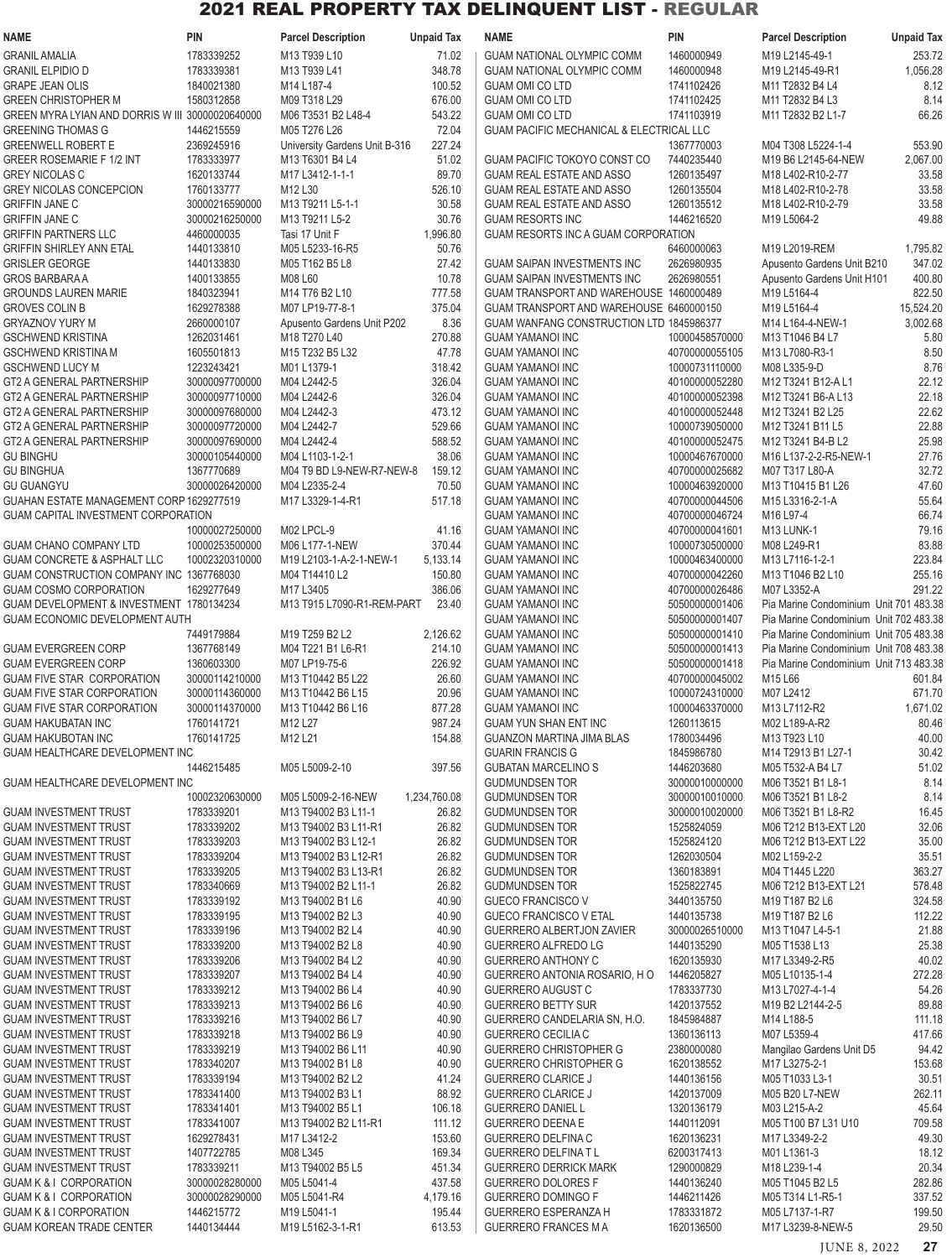| <b>NAME</b>                                                               | PIN                              | <b>Parcel Description</b>                 | <b>Unpaid Tax</b>     | <b>NAME</b>                                                      | PIN                              | <b>Parcel Description</b>                                         | <b>Unpaid Tax</b> |
|---------------------------------------------------------------------------|----------------------------------|-------------------------------------------|-----------------------|------------------------------------------------------------------|----------------------------------|-------------------------------------------------------------------|-------------------|
| <b>GRANIL AMALIA</b>                                                      | 1783339252                       | M13 T939 L10                              | 71.02                 | <b>GUAM NATIONAL OLYMPIC COMM</b>                                | 1460000949                       | M19 L2145-49-1                                                    | 253.72            |
| <b>GRANIL ELPIDIO D</b>                                                   | 1783339381                       | M13 T939 L41                              | 348.78                | <b>GUAM NATIONAL OLYMPIC COMM</b>                                | 1460000948                       | M19 L2145-49-R1                                                   | 1,056.28          |
| <b>GRAPE JEAN OLIS</b>                                                    | 1840021380                       | M14 L187-4                                | 100.52                | <b>GUAM OMI CO LTD</b>                                           | 1741102426                       | M11 T2832 B4 L4                                                   | 8.12              |
| <b>GREEN CHRISTOPHER M</b>                                                | 1580312858                       | M09 T318 L29                              | 676.00                | <b>GUAM OMI CO LTD</b>                                           | 1741102425                       | M11 T2832 B4 L3                                                   | 8.14              |
| GREEN MYRA LYIAN AND DORRIS W III 30000020640000                          |                                  | M06 T3531 B2 L48-4                        | 543.22                | <b>GUAM OMI CO LTD</b>                                           | 1741103919                       | M11 T2832 B2 L1-7                                                 | 66.26             |
| <b>GREENING THOMAS G</b>                                                  | 1446215559                       | M05 T276 L26                              | 72.04                 | GUAM PACIFIC MECHANICAL & ELECTRICAL LLC                         |                                  |                                                                   |                   |
| <b>GREENWELL ROBERT E</b>                                                 | 2369245916                       | University Gardens Unit B-316             | 227.24                |                                                                  | 1367770003                       | M04 T308 L5224-1-4                                                | 553.90            |
| <b>GREER ROSEMARIE F 1/2 INT</b><br><b>GREY NICOLAS C</b>                 | 1783333977<br>1620133744         | M13 T6301 B4 L4<br>M17 L3412-1-1-1        | 51.02<br>89.70        | GUAM PACIFIC TOKOYO CONST CO<br><b>GUAM REAL ESTATE AND ASSO</b> | 7440235440<br>1260135497         | M19 B6 L2145-64-NEW<br>M18 L402-R10-2-77                          | 2,067.00<br>33.58 |
| <b>GREY NICOLAS CONCEPCION</b>                                            | 1760133777                       | M12 L30                                   | 526.10                | <b>GUAM REAL ESTATE AND ASSO</b>                                 | 1260135504                       | M18 L402-R10-2-78                                                 | 33.58             |
| <b>GRIFFIN JANE C</b>                                                     | 30000216590000                   | M13 T9211 L5-1-1                          | 30.58                 | GUAM REAL ESTATE AND ASSO                                        | 1260135512                       | M18 L402-R10-2-79                                                 | 33.58             |
| <b>GRIFFIN JANE C</b>                                                     | 30000216250000                   | M13 T9211 L5-2                            | 30.76                 | <b>GUAM RESORTS INC</b>                                          | 1446216520                       | M19 L5064-2                                                       | 49.88             |
| <b>GRIFFIN PARTNERS LLC</b>                                               | 4460000035                       | Tasi 17 Unit F                            | 1,996.80              | GUAM RESORTS INC A GUAM CORPORATION                              |                                  |                                                                   |                   |
| GRIFFIN SHIRLEY ANN ETAL                                                  | 1440133810                       | M05 L5233-16-R5                           | 50.76                 |                                                                  | 6460000063                       | M19 L2019-REM                                                     | 1,795.82          |
| <b>GRISLER GEORGE</b>                                                     | 1440133830                       | M05 T162 B5 L8                            | 27.42                 | <b>GUAM SAIPAN INVESTMENTS INC</b>                               | 2626980935                       | Apusento Gardens Unit B210                                        | 347.02            |
| <b>GROS BARBARA A</b>                                                     | 1400133855                       | M08 L60                                   | 10.78                 | GUAM SAIPAN INVESTMENTS INC                                      | 2626980551                       | Apusento Gardens Unit H101                                        | 400.80            |
| <b>GROUNDS LAUREN MARIE</b>                                               | 1840323941                       | M14 T76 B2 L10                            | 777.58                | GUAM TRANSPORT AND WAREHOUSE 1460000489                          |                                  | M19 L5164-4                                                       | 822.50            |
| <b>GROVES COLIN B</b>                                                     | 1629278388                       | M07 LP19-77-8-1                           | 375.04                | GUAM TRANSPORT AND WAREHOUSE 6460000150                          |                                  | M19 L5164-4                                                       | 15,524.20         |
| <b>GRYAZNOV YURY M</b>                                                    | 2660000107                       | Apusento Gardens Unit P202                | 8.36                  | GUAM WANFANG CONSTRUCTION LTD 1845986377                         |                                  | M14 L164-4-NEW-1                                                  | 3,002.68          |
| <b>GSCHWEND KRISTINA</b>                                                  | 1262031461                       | M18 T270 L40                              | 270.88                | <b>GUAM YAMANOI INC</b>                                          | 10000458570000                   | M13 T1046 B4 L7                                                   | 5.80              |
| <b>GSCHWEND KRISTINA M</b><br><b>GSCHWEND LUCY M</b>                      | 1605501813<br>1223243421         | M15 T232 B5 L32<br>M01 L1379-1            | 47.78                 | <b>GUAM YAMANOI INC</b>                                          | 40700000055105                   | M13 L7080-R3-1                                                    | 8.50<br>8.76      |
| <b>GT2 A GENERAL PARTNERSHIP</b>                                          | 30000097700000                   | M04 L2442-5                               | 318.42<br>326.04      | <b>GUAM YAMANOI INC</b><br><b>GUAM YAMANOI INC</b>               | 10000731110000<br>40100000052280 | M08 L335-9-D<br>M12 T3241 B12-AL1                                 | 22.12             |
| <b>GT2 A GENERAL PARTNERSHIP</b>                                          | 30000097710000                   | M04 L2442-6                               | 326.04                | <b>GUAM YAMANOI INC</b>                                          | 40100000052398                   | M12 T3241 B6-A L13                                                | 22.18             |
| GT2 A GENERAL PARTNERSHIP                                                 | 30000097680000                   | M04 L2442-3                               | 473.12                | <b>GUAM YAMANOI INC</b>                                          | 40100000052448                   | M12 T3241 B2 L25                                                  | 22.62             |
| <b>GT2 A GENERAL PARTNERSHIP</b>                                          | 30000097720000                   | M04 L2442-7                               | 529.66                | <b>GUAM YAMANOI INC</b>                                          | 10000739050000                   | M12 T3241 B11 L5                                                  | 22.88             |
| GT2 A GENERAL PARTNERSHIP                                                 | 30000097690000                   | M04 L2442-4                               | 588.52                | <b>GUAM YAMANOI INC</b>                                          | 40100000052475                   | M12 T3241 B4-B L2                                                 | 25.98             |
| <b>GU BINGHU</b>                                                          | 30000105440000                   | M04 L1103-1-2-1                           | 38.06                 | <b>GUAM YAMANOI INC</b>                                          | 10000467670000                   | M16 L137-2-2-R5-NEW-1                                             | 27.76             |
| <b>GU BINGHUA</b>                                                         | 1367770689                       | M04 T9 BD L9-NEW-R7-NEW-8                 | 159.12                | <b>GUAM YAMANOI INC</b>                                          | 40700000025682                   | M07 T317 L80-A                                                    | 32.72             |
| <b>GU GUANGYU</b>                                                         | 30000026420000                   | M04 L2335-2-4                             | 70.50                 | <b>GUAM YAMANOI INC</b>                                          | 10000463920000                   | M <sub>13</sub> T <sub>10415</sub> B <sub>1</sub> L <sub>26</sub> | 47.60             |
| GUAHAN ESTATE MANAGEMENT CORP 1629277519                                  |                                  | M17 L3329-1-4-R1                          | 517.18                | <b>GUAM YAMANOI INC</b>                                          | 40700000044506                   | M15 L3316-2-1-A                                                   | 55.64             |
| <b>GUAM CAPITAL INVESTMENT CORPORATION</b>                                |                                  |                                           |                       | <b>GUAM YAMANOI INC</b>                                          | 40700000046724                   | M16 L97-4                                                         | 66.74             |
|                                                                           | 10000027250000                   | M02 LPCL-9                                | 41.16                 | <b>GUAM YAMANOI INC</b>                                          | 40700000041601                   | M13 LUNK-1                                                        | 79.16             |
| <b>GUAM CHANO COMPANY LTD</b>                                             | 10000253500000                   | M06 L177-1-NEW                            | 370.44                | <b>GUAM YAMANOI INC</b>                                          | 10000730500000                   | M08 L249-R1                                                       | 83.88             |
| <b>GUAM CONCRETE &amp; ASPHALT LLC</b>                                    | 10002320310000                   | M19 L2103-1-A-2-1-NEW-1                   | 5,133.14              | <b>GUAM YAMANOI INC</b>                                          | 10000463400000                   | M13 L7116-1-2-1                                                   | 223.84            |
| GUAM CONSTRUCTION COMPANY INC 1367768030                                  |                                  | M04 T14410 L2                             | 150.80                | <b>GUAM YAMANOI INC</b>                                          | 40700000042260                   | M13 T1046 B2 L10                                                  | 255.16            |
| <b>GUAM COSMO CORPORATION</b><br>GUAM DEVELOPMENT & INVESTMENT 1780134234 | 1629277649                       | M17 L3405<br>M13 T915 L7090-R1-REM-PART   | 386.06<br>23.40       | <b>GUAM YAMANOI INC</b><br><b>GUAM YAMANOI INC</b>               | 40700000026486<br>50500000001406 | M07 L3352-A<br>Pia Marine Condominium Unit 701 483.38             | 291.22            |
| <b>GUAM ECONOMIC DEVELOPMENT AUTH</b>                                     |                                  |                                           |                       | <b>GUAM YAMANOI INC</b>                                          | 50500000001407                   | Pia Marine Condominium Unit 702 483.38                            |                   |
|                                                                           | 7449179884                       | M19 T259 B2 L2                            | 2,126.62              | <b>GUAM YAMANOI INC</b>                                          | 50500000001410                   | Pia Marine Condominium Unit 705 483.38                            |                   |
| <b>GUAM EVERGREEN CORP</b>                                                | 1367768149                       | M04 T221 B1 L6-R1                         | 214.10                | <b>GUAM YAMANOI INC</b>                                          | 50500000001413                   | Pia Marine Condominium Unit 708 483.38                            |                   |
| <b>GUAM EVERGREEN CORP</b>                                                | 1360603300                       | M07 LP19-75-6                             | 226.92                | <b>GUAM YAMANOI INC</b>                                          | 50500000001418                   | Pia Marine Condominium Unit 713 483.38                            |                   |
| <b>GUAM FIVE STAR CORPORATION</b>                                         | 30000114210000                   | M13 T10442 B5 L22                         | 26.60                 | <b>GUAM YAMANOI INC</b>                                          | 40700000045002                   | M15 L66                                                           | 601.84            |
| <b>GUAM FIVE STAR CORPORATION</b>                                         | 30000114360000                   | M13 T10442 B6 L15                         | 20.96                 | <b>GUAM YAMANOI INC</b>                                          | 10000724310000                   | M07 L2412                                                         | 671.70            |
| <b>GUAM FIVE STAR CORPORATION</b>                                         | 30000114370000                   | M13 T10442 B6 L16                         | 877.28                | <b>GUAM YAMANOI INC</b>                                          | 10000463370000                   | M13 L7112-R2                                                      | 1,671.02          |
| <b>GUAM HAKUBATAN INC</b>                                                 | 1760141721                       | M12 L27                                   | 987.24                | <b>GUAM YUN SHAN ENT INC</b>                                     | 1260113615                       | M02 L189-A-R2                                                     | 80.46             |
| <b>GUAM HAKUBOTAN INC</b>                                                 | 1760141725                       | M12 L21                                   | 154.88                | GUANZON MARTINA JIMA BLAS                                        | 1780034496                       | M13 T923 L10                                                      | 40.00             |
| GUAM HEALTHCARE DEVELOPMENT INC                                           |                                  |                                           |                       | <b>GUARIN FRANCIS G</b>                                          | 1845986780                       | M14 T2913 B1 L27-1                                                | 30.42             |
|                                                                           | 1446215485                       | M05 L5009-2-10                            | 397.56                | <b>GUBATAN MARCELINO S</b>                                       | 1446203680                       | M05 T532-A B4 L7                                                  | 51.02             |
| GUAM HEALTHCARE DEVELOPMENT INC                                           |                                  |                                           |                       | <b>GUDMUNDSEN TOR</b>                                            | 30000010000000<br>30000010010000 | M06 T3521 B1 L8-1                                                 | 8.14<br>8.14      |
| <b>GUAM INVESTMENT TRUST</b>                                              | 10002320630000<br>1783339201     | M05 L5009-2-16-NEW<br>M13 T94002 B3 L11-1 | 1,234,760.08<br>26.82 | <b>GUDMUNDSEN TOR</b><br><b>GUDMUNDSEN TOR</b>                   | 30000010020000                   | M06 T3521 B1 L8-2<br>M06 T3521 B1 L8-R2                           | 16.45             |
| <b>GUAM INVESTMENT TRUST</b>                                              | 1783339202                       | M13 T94002 B3 L11-R1                      | 26.82                 | <b>GUDMUNDSEN TOR</b>                                            | 1525824059                       | M06 T212 B13-EXT L20                                              | 32.06             |
| <b>GUAM INVESTMENT TRUST</b>                                              | 1783339203                       | M13 T94002 B3 L12-1                       | 26.82                 | <b>GUDMUNDSEN TOR</b>                                            | 1525824120                       | M06 T212 B13-EXT L22                                              | 35.00             |
| <b>GUAM INVESTMENT TRUST</b>                                              | 1783339204                       | M13 T94002 B3 L12-R1                      | 26.82                 | <b>GUDMUNDSEN TOR</b>                                            | 1262030504                       | M02 L159-2-2                                                      | 35.51             |
| <b>GUAM INVESTMENT TRUST</b>                                              | 1783339205                       | M13 T94002 B3 L13-R1                      | 26.82                 | <b>GUDMUNDSEN TOR</b>                                            | 1360183891                       | M04 T1445 L220                                                    | 363.27            |
| <b>GUAM INVESTMENT TRUST</b>                                              | 1783340669                       | M13 T94002 B2 L11-1                       | 26.82                 | <b>GUDMUNDSEN TOR</b>                                            | 1525822745                       | M06 T212 B13-EXT L21                                              | 578.48            |
| <b>GUAM INVESTMENT TRUST</b>                                              | 1783339192                       | M13 T94002 B1 L6                          | 40.90                 | <b>GUECO FRANCISCO V</b>                                         | 3440135750                       | M19 T187 B2 L6                                                    | 324.58            |
| <b>GUAM INVESTMENT TRUST</b>                                              | 1783339195                       | M13 T94002 B2 L3                          | 40.90                 | GUECO FRANCISCO V ETAL                                           | 1440135738                       | M19 T187 B2 L6                                                    | 112.22            |
| <b>GUAM INVESTMENT TRUST</b>                                              | 1783339196                       | M13 T94002 B2 L4                          | 40.90                 | GUERRERO ALBERTJON ZAVIER                                        | 30000026510000                   | M13 T1047 L4-5-1                                                  | 21.88             |
| <b>GUAM INVESTMENT TRUST</b>                                              | 1783339200                       | M13 T94002 B2 L8                          | 40.90                 | GUERRERO ALFREDO LG                                              | 1440135290                       | M05 T1538 L13                                                     | 25.38             |
| <b>GUAM INVESTMENT TRUST</b>                                              | 1783339206                       | M13 T94002 B4 L2                          | 40.90                 | <b>GUERRERO ANTHONY C</b>                                        | 1620135930                       | M17 L3349-2-R5                                                    | 40.02             |
| <b>GUAM INVESTMENT TRUST</b><br><b>GUAM INVESTMENT TRUST</b>              | 1783339207<br>1783339212         | M13 T94002 B4 L4<br>M13 T94002 B6 L4      | 40.90<br>40.90        | GUERRERO ANTONIA ROSARIO, H O<br><b>GUERRERO AUGUST C</b>        | 1446205827<br>1783337730         | M05 L10135-1-4<br>M13 L7027-4-1-4                                 | 272.28<br>54.26   |
| <b>GUAM INVESTMENT TRUST</b>                                              | 1783339213                       | M13 T94002 B6 L6                          | 40.90                 | <b>GUERRERO BETTY SUR</b>                                        | 1420137552                       | M19 B2 L2144-2-5                                                  | 89.88             |
| <b>GUAM INVESTMENT TRUST</b>                                              | 1783339216                       | M13 T94002 B6 L7                          | 40.90                 | GUERRERO CANDELARIA SN, H.O.                                     | 1845984887                       | M14 L188-5                                                        | 111.18            |
| <b>GUAM INVESTMENT TRUST</b>                                              | 1783339218                       | M13 T94002 B6 L9                          | 40.90                 | <b>GUERRERO CECILIA C</b>                                        | 1360136113                       | M07 L5359-4                                                       | 417.66            |
| <b>GUAM INVESTMENT TRUST</b>                                              | 1783339219                       | M13 T94002 B6 L11                         | 40.90                 | <b>GUERRERO CHRISTOPHER G</b>                                    | 2380000080                       | Mangilao Gardens Unit D5                                          | 94.42             |
| <b>GUAM INVESTMENT TRUST</b>                                              | 1783340207                       | M13 T94002 B1 L8                          | 40.90                 | <b>GUERRERO CHRISTOPHER G</b>                                    | 1620138552                       | M17 L3275-2-1                                                     | 153.68            |
| <b>GUAM INVESTMENT TRUST</b>                                              | 1783339194                       | M13 T94002 B2 L2                          | 41.24                 | <b>GUERRERO CLARICE J</b>                                        | 1440136156                       | M05 T1033 L3-1                                                    | 30.51             |
| <b>GUAM INVESTMENT TRUST</b>                                              | 1783341400                       | M13 T94002 B3 L1                          | 88.92                 | <b>GUERRERO CLARICE J</b>                                        | 1420137009                       | M05 B20 L7-NEW                                                    | 262.11            |
| <b>GUAM INVESTMENT TRUST</b>                                              | 1783341401                       | M13 T94002 B5 L1                          | 106.18                | <b>GUERRERO DANIEL L</b>                                         | 1320136179                       | M03 L215-A-2                                                      | 45.64             |
| <b>GUAM INVESTMENT TRUST</b>                                              | 1783341007                       | M13 T94002 B2 L11-R1                      | 111.12                | <b>GUERRERO DEENA E</b>                                          | 1440112091                       | M05 T100 B7 L31 U10                                               | 709.58            |
| <b>GUAM INVESTMENT TRUST</b>                                              | 1629278431                       | M17 L3412-2                               | 153.60                | GUERRERO DELFINA C                                               | 1620136231                       | M17 L3349-2-2                                                     | 49.30             |
| <b>GUAM INVESTMENT TRUST</b>                                              | 1407722785                       | M08 L345                                  | 169.34                | <b>GUERRERO DELFINAT L</b>                                       | 6200317413                       | M01 L1361-3                                                       | 18.12             |
| <b>GUAM INVESTMENT TRUST</b>                                              | 1783339211                       | M13 T94002 B5 L5                          | 451.34                | <b>GUERRERO DERRICK MARK</b>                                     | 1290000829                       | M18 L239-1-4                                                      | 20.34             |
| <b>GUAM K &amp; I CORPORATION</b><br><b>GUAM K &amp; I CORPORATION</b>    | 30000028280000<br>30000028290000 | M05 L5041-4<br>M05 L5041-R4               | 437.58<br>4,179.16    | <b>GUERRERO DOLORES F</b><br><b>GUERRERO DOMINGO F</b>           | 1440136240<br>1446211426         | M05 T1045 B2 L5<br>M05 T314 L1-R5-1                               | 282.86<br>337.52  |
| <b>GUAM K &amp; I CORPORATION</b>                                         | 1446215772                       | M19 L5041-1                               | 195.44                | <b>GUERRERO ESPERANZA H</b>                                      | 1783331872                       | M05 L7137-1-R7                                                    | 199.50            |
| <b>GUAM KOREAN TRADE CENTER</b>                                           | 1440134444                       | M19 L5162-3-1-R1                          | 613.53                | <b>GUERRERO FRANCES M A</b>                                      | 1620136500                       | M17 L3239-8-NEW-5                                                 | 29.50             |
|                                                                           |                                  |                                           |                       |                                                                  |                                  |                                                                   |                   |

JUNE 8, 2022 **27**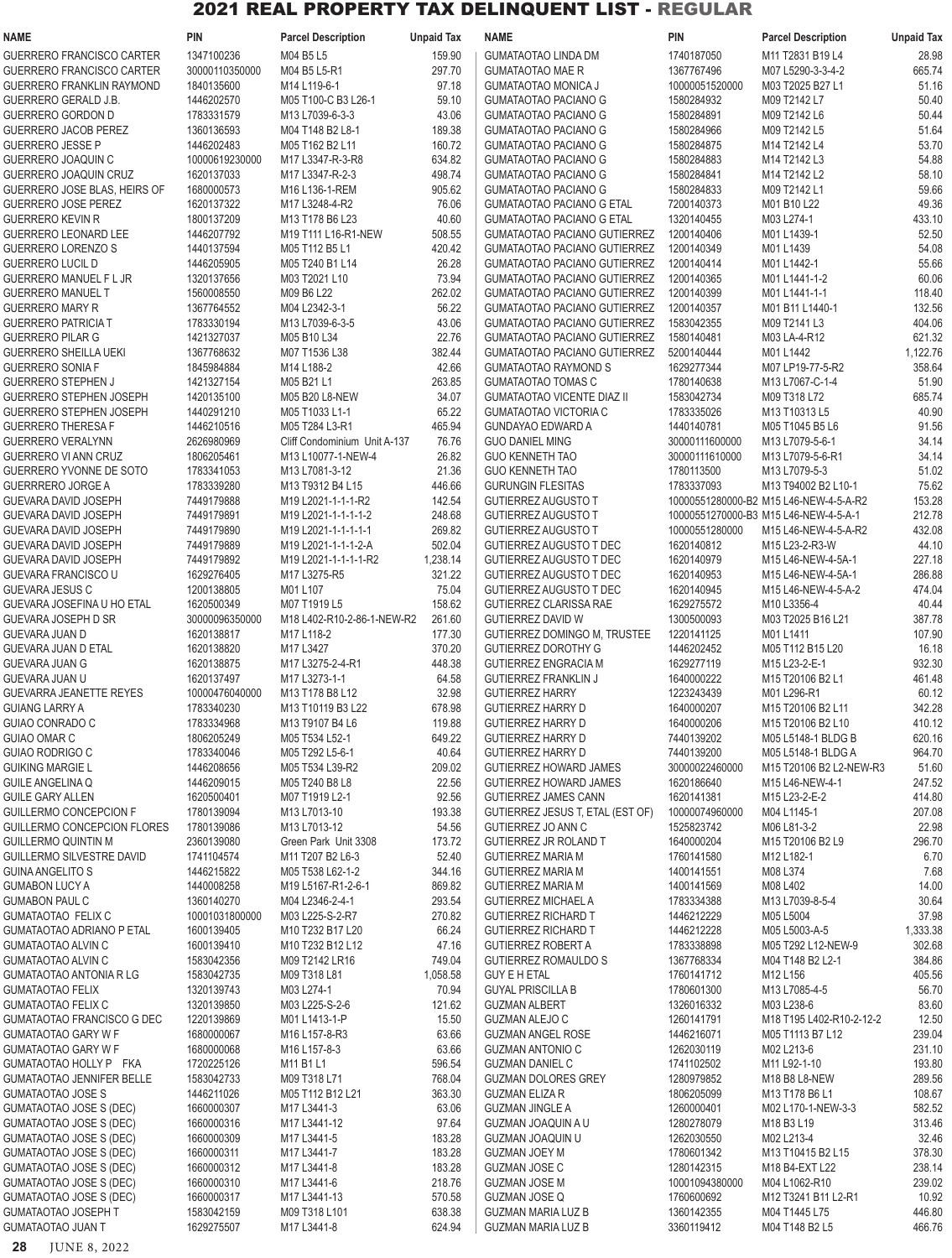| <b>NAME</b>                                                      | <b>PIN</b>                   | <b>Parcel Description</b>                  | <b>Unpaid Tax</b> | <b>NAME</b>                                                        | <b>PIN</b>                   | <b>Parcel Description</b>                                     | <b>Unpaid Tax</b>  |
|------------------------------------------------------------------|------------------------------|--------------------------------------------|-------------------|--------------------------------------------------------------------|------------------------------|---------------------------------------------------------------|--------------------|
| GUERRERO FRANCISCO CARTER                                        | 1347100236                   | M04 B5 L5                                  | 159.90            | <b>GUMATAOTAO LINDA DM</b>                                         | 1740187050                   | M11 T2831 B19 L4                                              | 28.98              |
| GUERRERO FRANCISCO CARTER                                        | 30000110350000               | M04 B5 L5-R1                               | 297.70            | <b>GUMATAOTAO MAE R</b>                                            | 1367767496                   | M07 L5290-3-3-4-2                                             | 665.74             |
| GUERRERO FRANKLIN RAYMOND                                        | 1840135600                   | M14 L119-6-1                               | 97.18             | <b>GUMATAOTAO MONICA J</b>                                         | 10000051520000               | M03 T2025 B27 L1                                              | 51.16              |
| <b>GUERRERO GERALD J.B.</b><br><b>GUERRERO GORDON D</b>          | 1446202570<br>1783331579     | M05 T100-C B3 L26-1<br>M13 L7039-6-3-3     | 59.10<br>43.06    | <b>GUMATAOTAO PACIANO G</b>                                        | 1580284932<br>1580284891     | M09 T2142 L7<br>M09 T2142 L6                                  | 50.40<br>50.44     |
| <b>GUERRERO JACOB PEREZ</b>                                      | 1360136593                   | M04 T148 B2 L8-1                           | 189.38            | <b>GUMATAOTAO PACIANO G</b><br><b>GUMATAOTAO PACIANO G</b>         | 1580284966                   | M09 T2142 L5                                                  | 51.64              |
| <b>GUERRERO JESSE P</b>                                          | 1446202483                   | M05 T162 B2 L11                            | 160.72            | <b>GUMATAOTAO PACIANO G</b>                                        | 1580284875                   | M14 T2142 L4                                                  | 53.70              |
| GUERRERO JOAQUIN C                                               | 10000619230000               | M17 L3347-R-3-R8                           | 634.82            | <b>GUMATAOTAO PACIANO G</b>                                        | 1580284883                   | M14 T2142 L3                                                  | 54.88              |
| <b>GUERRERO JOAQUIN CRUZ</b>                                     | 1620137033                   | M17 L3347-R-2-3                            | 498.74            | <b>GUMATAOTAO PACIANO G</b>                                        | 1580284841                   | M14 T2142 L2                                                  | 58.10              |
| GUERRERO JOSE BLAS, HEIRS OF                                     | 1680000573                   | M16 L136-1-REM                             | 905.62            | <b>GUMATAOTAO PACIANO G</b>                                        | 1580284833                   | M09 T2142 L1                                                  | 59.66              |
| <b>GUERRERO JOSE PEREZ</b>                                       | 1620137322                   | M17 L3248-4-R2                             | 76.06             | <b>GUMATAOTAO PACIANO G ETAL</b>                                   | 7200140373                   | M01 B10 L22                                                   | 49.36              |
| <b>GUERRERO KEVIN R</b>                                          | 1800137209                   | M13 T178 B6 L23                            | 40.60             | <b>GUMATAOTAO PACIANO G ETAL</b>                                   | 1320140455                   | M03 L274-1                                                    | 433.10             |
| GUERRERO LEONARD LEE<br><b>GUERRERO LORENZO S</b>                | 1446207792<br>1440137594     | M19 T111 L16-R1-NEW<br>M05 T112 B5 L1      | 508.55<br>420.42  | GUMATAOTAO PACIANO GUTIERREZ<br>GUMATAOTAO PACIANO GUTIERREZ       | 1200140406<br>1200140349     | M01 L1439-1<br>M01 L1439                                      | 52.50<br>54.08     |
| <b>GUERRERO LUCIL D</b>                                          | 1446205905                   | M05 T240 B1 L14                            | 26.28             | GUMATAOTAO PACIANO GUTIERREZ                                       | 1200140414                   | M01 L1442-1                                                   | 55.66              |
| GUERRERO MANUEL F L JR                                           | 1320137656                   | M03 T2021 L10                              | 73.94             | <b>GUMATAOTAO PACIANO GUTIERREZ</b>                                | 1200140365                   | M01 L1441-1-2                                                 | 60.06              |
| <b>GUERRERO MANUEL T</b>                                         | 1560008550                   | M09 B6 L22                                 | 262.02            | <b>GUMATAOTAO PACIANO GUTIERREZ</b>                                | 1200140399                   | M01 L1441-1-1                                                 | 118.40             |
| <b>GUERRERO MARY R</b>                                           | 1367764552                   | M04 L2342-3-1                              | 56.22             | <b>GUMATAOTAO PACIANO GUTIERREZ</b>                                | 1200140357                   | M01 B11 L1440-1                                               | 132.56             |
| <b>GUERRERO PATRICIA T</b>                                       | 1783330194                   | M13 L7039-6-3-5                            | 43.06             | <b>GUMATAOTAO PACIANO GUTIERREZ</b>                                | 1583042355                   | M09 T2141 L3                                                  | 404.06             |
| <b>GUERRERO PILAR G</b>                                          | 1421327037                   | M05 B10 L34                                | 22.76             | GUMATAOTAO PACIANO GUTIERREZ                                       | 1580140481<br>5200140444     | M03 LA-4-R12                                                  | 621.32             |
| <b>GUERRERO SHEILLA UEKI</b><br><b>GUERRERO SONIA F</b>          | 1367768632<br>1845984884     | M07 T1536 L38<br>M14 L188-2                | 382.44<br>42.66   | <b>GUMATAOTAO PACIANO GUTIERREZ</b><br><b>GUMATAOTAO RAYMOND S</b> | 1629277344                   | M01 L1442<br>M07 LP19-77-5-R2                                 | 1,122.76<br>358.64 |
| <b>GUERRERO STEPHEN J</b>                                        | 1421327154                   | M05 B21 L1                                 | 263.85            | <b>GUMATAOTAO TOMAS C</b>                                          | 1780140638                   | M13 L7067-C-1-4                                               | 51.90              |
| GUERRERO STEPHEN JOSEPH                                          | 1420135100                   | M05 B20 L8-NEW                             | 34.07             | <b>GUMATAOTAO VICENTE DIAZ II</b>                                  | 1583042734                   | M09 T318 L72                                                  | 685.74             |
| <b>GUERRERO STEPHEN JOSEPH</b>                                   | 1440291210                   | M05 T1033 L1-1                             | 65.22             | <b>GUMATAOTAO VICTORIA C</b>                                       | 1783335026                   | M13 T10313 L5                                                 | 40.90              |
| <b>GUERRERO THERESA F</b>                                        | 1446210516                   | M05 T284 L3-R1                             | 465.94            | <b>GUNDAYAO EDWARD A</b>                                           | 1440140781                   | M05 T1045 B5 L6                                               | 91.56              |
| <b>GUERRERO VERALYNN</b>                                         | 2626980969                   | Cliff Condominium Unit A-137               | 76.76             | <b>GUO DANIEL MING</b>                                             | 30000111600000               | M13 L7079-5-6-1                                               | 34.14              |
| GUERRERO VI ANN CRUZ                                             | 1806205461                   | M13 L10077-1-NEW-4                         | 26.82             | <b>GUO KENNETH TAO</b>                                             | 30000111610000               | M13 L7079-5-6-R1                                              | 34.14              |
| GUERRERO YVONNE DE SOTO                                          | 1783341053                   | M13 L7081-3-12                             | 21.36             | <b>GUO KENNETH TAO</b>                                             | 1780113500                   | M13 L7079-5-3                                                 | 51.02              |
| <b>GUERRRERO JORGE A</b><br>GUEVARA DAVID JOSEPH                 | 1783339280<br>7449179888     | M13 T9312 B4 L15<br>M19 L2021-1-1-1-R2     | 446.66<br>142.54  | <b>GURUNGIN FLESITAS</b><br><b>GUTIERREZ AUGUSTO T</b>             | 1783337093                   | M13 T94002 B2 L10-1<br>10000551280000-B2 M15 L46-NEW-4-5-A-R2 | 75.62<br>153.28    |
| GUEVARA DAVID JOSEPH                                             | 7449179891                   | M19 L2021-1-1-1-1-2                        | 248.68            | <b>GUTIERREZ AUGUSTO T</b>                                         |                              | 10000551270000-B3 M15 L46-NEW-4-5-A-1                         | 212.78             |
| GUEVARA DAVID JOSEPH                                             | 7449179890                   | M19 L2021-1-1-1-1-1                        | 269.82            | <b>GUTIERREZ AUGUSTO T</b>                                         | 10000551280000               | M15 L46-NEW-4-5-A-R2                                          | 432.08             |
| GUEVARA DAVID JOSEPH                                             | 7449179889                   | M19 L2021-1-1-1-2-A                        | 502.04            | <b>GUTIERREZ AUGUSTO T DEC</b>                                     | 1620140812                   | M15 L23-2-R3-W                                                | 44.10              |
| GUEVARA DAVID JOSEPH                                             | 7449179892                   | M19 L2021-1-1-1-1-R2                       | 1,238.14          | <b>GUTIERREZ AUGUSTO T DEC</b>                                     | 1620140979                   | M15 L46-NEW-4-5A-1                                            | 227.18             |
| GUEVARA FRANCISCO U                                              | 1629276405                   | M17 L3275-R5                               | 321.22            | <b>GUTIERREZ AUGUSTO T DEC</b>                                     | 1620140953                   | M15 L46-NEW-4-5A-1                                            | 286.88             |
| <b>GUEVARA JESUS C</b>                                           | 1200138805                   | M01 L107                                   | 75.04             | <b>GUTIERREZ AUGUSTO T DEC</b>                                     | 1620140945                   | M15 L46-NEW-4-5-A-2                                           | 474.04             |
| GUEVARA JOSEFINA U HO ETAL<br>GUEVARA JOSEPH D SR                | 1620500349<br>30000096350000 | M07 T1919 L5<br>M18 L402-R10-2-86-1-NEW-R2 | 158.62<br>261.60  | GUTIERREZ CLARISSA RAE<br><b>GUTIERREZ DAVID W</b>                 | 1629275572<br>1300500093     | M10 L3356-4<br>M03 T2025 B16 L21                              | 40.44<br>387.78    |
| GUEVARA JUAN D                                                   | 1620138817                   | M17 L118-2                                 | 177.30            | GUTIERREZ DOMINGO M, TRUSTEE                                       | 1220141125                   | M01 L1411                                                     | 107.90             |
| <b>GUEVARA JUAN D ETAL</b>                                       | 1620138820                   | M17 L3427                                  | 370.20            | <b>GUTIERREZ DOROTHY G</b>                                         | 1446202452                   | M05 T112 B15 L20                                              | 16.18              |
| <b>GUEVARA JUAN G</b>                                            | 1620138875                   | M17 L3275-2-4-R1                           | 448.38            | <b>GUTIERREZ ENGRACIA M</b>                                        | 1629277119                   | M15 L23-2-E-1                                                 | 932.30             |
| GUEVARA JUAN U                                                   | 1620137497                   | M17 L3273-1-1                              | 64.58             | <b>GUTIERREZ FRANKLIN J</b>                                        | 1640000222                   | M15 T20106 B2 L1                                              | 461.48             |
| <b>GUEVARRA JEANETTE REYES</b>                                   | 10000476040000               | M13 T178 B8 L12                            | 32.98             | <b>GUTIERREZ HARRY</b>                                             | 1223243439                   | M01 L296-R1                                                   | 60.12              |
| <b>GUIANG LARRY A</b><br>GUIAO CONRADO C                         | 1783340230<br>1783334968     | M13 T10119 B3 L22<br>M13 T9107 B4 L6       | 678.98<br>119.88  | <b>GUTIERREZ HARRY D</b><br><b>GUTIERREZ HARRY D</b>               | 1640000207<br>1640000206     | M15 T20106 B2 L11<br>M15 T20106 B2 L10                        | 342.28<br>410.12   |
| <b>GUIAO OMAR C</b>                                              | 1806205249                   | M05 T534 L52-1                             | 649.22            | <b>GUTIERREZ HARRY D</b>                                           | 7440139202                   | M05 L5148-1 BLDG B                                            | 620.16             |
| <b>GUIAO RODRIGO C</b>                                           | 1783340046                   | M05 T292 L5-6-1                            | 40.64             | <b>GUTIERREZ HARRY D</b>                                           | 7440139200                   | M05 L5148-1 BLDG A                                            | 964.70             |
| <b>GUIKING MARGIE L</b>                                          | 1446208656                   | M05 T534 L39-R2                            | 209.02            | <b>GUTIERREZ HOWARD JAMES</b>                                      | 30000022460000               | M15 T20106 B2 L2-NEW-R3                                       | 51.60              |
| <b>GUILE ANGELINA Q</b>                                          | 1446209015                   | M05 T240 B8 L8                             | 22.56             | <b>GUTIERREZ HOWARD JAMES</b>                                      | 1620186640                   | M15 L46-NEW-4-1                                               | 247.52             |
| <b>GUILE GARY ALLEN</b>                                          | 1620500401                   | M07 T1919 L2-1                             | 92.56             | <b>GUTIERREZ JAMES CANN</b>                                        | 1620141381                   | M15 L23-2-E-2                                                 | 414.80             |
| <b>GUILLERMO CONCEPCION F</b>                                    | 1780139094                   | M13 L7013-10                               | 193.38            | GUTIERREZ JESUS T, ETAL (EST OF)                                   | 10000074960000               | M04 L1145-1                                                   | 207.08             |
| GUILLERMO CONCEPCION FLORES<br><b>GUILLERMO QUINTIN M</b>        | 1780139086<br>2360139080     | M13 L7013-12<br>Green Park Unit 3308       | 54.56<br>173.72   | <b>GUTIERREZ JO ANN C</b><br>GUTIERREZ JR ROLAND T                 | 1525823742<br>1640000204     | M06 L81-3-2<br>M15 T20106 B2 L9                               | 22.98<br>296.70    |
| GUILLERMO SILVESTRE DAVID                                        | 1741104574                   | M11 T207 B2 L6-3                           | 52.40             | <b>GUTIERREZ MARIA M</b>                                           | 1760141580                   | M12 L182-1                                                    | 6.70               |
| <b>GUINA ANGELITO S</b>                                          | 1446215822                   | M05 T538 L62-1-2                           | 344.16            | <b>GUTIERREZ MARIA M</b>                                           | 1400141551                   | M08 L374                                                      | 7.68               |
| <b>GUMABON LUCY A</b>                                            | 1440008258                   | M19 L5167-R1-2-6-1                         | 869.82            | <b>GUTIERREZ MARIA M</b>                                           | 1400141569                   | M08 L402                                                      | 14.00              |
| <b>GUMABON PAUL C</b>                                            | 1360140270                   | M04 L2346-2-4-1                            | 293.54            | <b>GUTIERREZ MICHAEL A</b>                                         | 1783334388                   | M13 L7039-8-5-4                                               | 30.64              |
| <b>GUMATAOTAO FELIX C</b>                                        | 10001031800000               | M03 L225-S-2-R7                            | 270.82            | <b>GUTIERREZ RICHARD T</b>                                         | 1446212229                   | M05 L5004                                                     | 37.98              |
| <b>GUMATAOTAO ADRIANO P ETAL</b>                                 | 1600139405<br>1600139410     | M10 T232 B17 L20                           | 66.24<br>47.16    | <b>GUTIERREZ RICHARD T</b><br><b>GUTIERREZ ROBERT A</b>            | 1446212228<br>1783338898     | M05 L5003-A-5                                                 | 1,333.38           |
| <b>GUMATAOTAO ALVIN C</b><br><b>GUMATAOTAO ALVIN C</b>           | 1583042356                   | M10 T232 B12 L12<br>M09 T2142 LR16         | 749.04            | <b>GUTIERREZ ROMAULDO S</b>                                        | 1367768334                   | M05 T292 L12-NEW-9<br>M04 T148 B2 L2-1                        | 302.68<br>384.86   |
| <b>GUMATAOTAO ANTONIA R LG</b>                                   | 1583042735                   | M09 T318 L81                               | 1,058.58          | <b>GUY E H ETAL</b>                                                | 1760141712                   | M12 L156                                                      | 405.56             |
| <b>GUMATAOTAO FELIX</b>                                          | 1320139743                   | M03 L274-1                                 | 70.94             | <b>GUYAL PRISCILLA B</b>                                           | 1780601300                   | M13 L7085-4-5                                                 | 56.70              |
| <b>GUMATAOTAO FELIX C</b>                                        | 1320139850                   | M03 L225-S-2-6                             | 121.62            | <b>GUZMAN ALBERT</b>                                               | 1326016332                   | M03 L238-6                                                    | 83.60              |
| <b>GUMATAOTAO FRANCISCO G DEC</b>                                | 1220139869                   | M01 L1413-1-P                              | 15.50             | <b>GUZMAN ALEJO C</b>                                              | 1260141791                   | M18 T195 L402-R10-2-12-2                                      | 12.50              |
| <b>GUMATAOTAO GARY W F</b>                                       | 1680000067                   | M16 L157-8-R3                              | 63.66             | <b>GUZMAN ANGEL ROSE</b>                                           | 1446216071                   | M05 T1113 B7 L12                                              | 239.04             |
| <b>GUMATAOTAO GARY W F</b><br>GUMATAOTAO HOLLY P FKA             | 1680000068<br>1720225126     | M16 L157-8-3<br>M11 B1 L1                  | 63.66<br>596.54   | <b>GUZMAN ANTONIO C</b><br><b>GUZMAN DANIEL C</b>                  | 1262030119<br>1741102502     | M02 L213-6<br>M11 L92-1-10                                    | 231.10<br>193.80   |
| <b>GUMATAOTAO JENNIFER BELLE</b>                                 | 1583042733                   | M09 T318 L71                               | 768.04            | <b>GUZMAN DOLORES GREY</b>                                         | 1280979852                   | M18 B8 L8-NEW                                                 | 289.56             |
| <b>GUMATAOTAO JOSE S</b>                                         | 1446211026                   | M05 T112 B12 L21                           | 363.30            | <b>GUZMAN ELIZA R</b>                                              | 1806205099                   | M13 T178 B6 L1                                                | 108.67             |
| <b>GUMATAOTAO JOSE S (DEC)</b>                                   | 1660000307                   | M17 L3441-3                                | 63.06             | <b>GUZMAN JINGLE A</b>                                             | 1260000401                   | M02 L170-1-NEW-3-3                                            | 582.52             |
| <b>GUMATAOTAO JOSE S (DEC)</b>                                   | 1660000316                   | M17 L3441-12                               | 97.64             | <b>GUZMAN JOAQUIN A U</b>                                          | 1280278079                   | M18 B3 L19                                                    | 313.46             |
| <b>GUMATAOTAO JOSE S (DEC)</b>                                   | 1660000309                   | M17 L3441-5                                | 183.28            | <b>GUZMAN JOAQUIN U</b>                                            | 1262030550                   | M02 L213-4                                                    | 32.46              |
| <b>GUMATAOTAO JOSE S (DEC)</b>                                   | 1660000311                   | M17 L3441-7                                | 183.28            | <b>GUZMAN JOEY M</b>                                               | 1780601342                   | M13 T10415 B2 L15                                             | 378.30             |
| <b>GUMATAOTAO JOSE S (DEC)</b><br><b>GUMATAOTAO JOSE S (DEC)</b> | 1660000312<br>1660000310     | M17 L3441-8<br>M17 L3441-6                 | 183.28<br>218.76  | <b>GUZMAN JOSE C</b><br><b>GUZMAN JOSE M</b>                       | 1280142315<br>10001094380000 | M18 B4-EXT L22<br>M04 L1062-R10                               | 238.14<br>239.02   |
| <b>GUMATAOTAO JOSE S (DEC)</b>                                   | 1660000317                   | M17 L3441-13                               | 570.58            | <b>GUZMAN JOSE Q</b>                                               | 1760600692                   | M12 T3241 B11 L2-R1                                           | 10.92              |
| <b>GUMATAOTAO JOSEPH T</b>                                       | 1583042159                   | M09 T318 L101                              | 638.38            | <b>GUZMAN MARIA LUZ B</b>                                          | 1360142355                   | M04 T1445 L75                                                 | 446.80             |
| <b>GUMATAOTAO JUAN T</b>                                         | 1629275507                   | M17 L3441-8                                | 624.94            | <b>GUZMAN MARIA LUZ B</b>                                          | 3360119412                   | M04 T148 B2 L5                                                | 466.76             |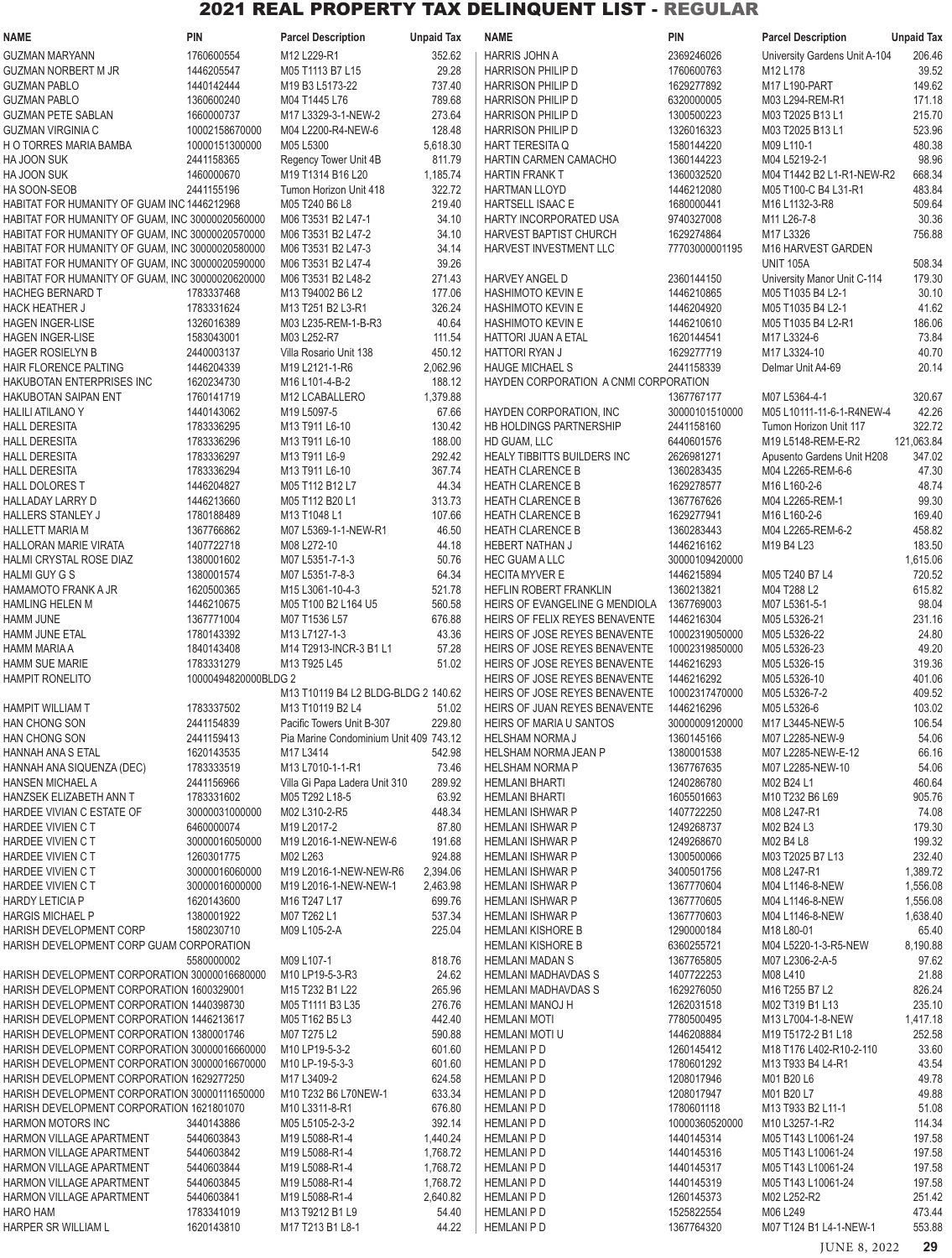| <b>NAME</b>                                                        | <b>PIN</b>               | <b>Parcel Description</b>                                                      | <b>Unpaid Tax</b>    | <b>NAME</b>                             | PIN                          | <b>Parcel Description</b>                | <b>Unpaid Tax</b>  |
|--------------------------------------------------------------------|--------------------------|--------------------------------------------------------------------------------|----------------------|-----------------------------------------|------------------------------|------------------------------------------|--------------------|
| <b>GUZMAN MARYANN</b>                                              | 1760600554               | M12 L229-R1                                                                    | 352.62               | HARRIS JOHN A                           | 2369246026                   | University Gardens Unit A-104            | 206.46             |
| <b>GUZMAN NORBERT M JR</b>                                         | 1446205547               | M05 T1113 B7 L15                                                               | 29.28                | <b>HARRISON PHILIP D</b>                | 1760600763                   | M12 L178                                 | 39.52              |
| <b>GUZMAN PABLO</b>                                                | 1440142444               | M19 B3 L5173-22                                                                | 737.40               | <b>HARRISON PHILIP D</b>                | 1629277892                   | M17 L190-PART                            | 149.62             |
| <b>GUZMAN PABLO</b>                                                | 1360600240               | M04 T1445 L76                                                                  | 789.68               | <b>HARRISON PHILIP D</b>                | 6320000005                   | M03 L294-REM-R1                          | 171.18             |
| <b>GUZMAN PETE SABLAN</b>                                          | 1660000737               | M17 L3329-3-1-NEW-2                                                            | 273.64               | <b>HARRISON PHILIP D</b>                | 1300500223                   | M03 T2025 B13 L1                         | 215.70             |
| <b>GUZMAN VIRGINIA C</b>                                           | 10002158670000           | M04 L2200-R4-NEW-6                                                             | 128.48               | <b>HARRISON PHILIP D</b>                | 1326016323                   | M03 T2025 B13 L1                         | 523.96             |
| H O TORRES MARIA BAMBA                                             | 10000151300000           | M05 L5300                                                                      | 5,618.30             | <b>HART TERESITA Q</b>                  | 1580144220                   | M09 L110-1                               | 480.38             |
| HA JOON SUK                                                        | 2441158365               | Regency Tower Unit 4B                                                          | 811.79               | HARTIN CARMEN CAMACHO                   | 1360144223                   | M04 L5219-2-1                            | 98.96              |
| HA JOON SUK                                                        | 1460000670               | M19 T1314 B16 L20                                                              | 1,185.74             | <b>HARTIN FRANK T</b>                   | 1360032520                   | M04 T1442 B2 L1-R1-NEW-R2                | 668.34             |
| HA SOON-SEOB                                                       | 2441155196               | Tumon Horizon Unit 418                                                         | 322.72               | HARTMAN LLOYD                           | 1446212080                   | M05 T100-C B4 L31-R1                     | 483.84             |
| HABITAT FOR HUMANITY OF GUAM INC 1446212968                        |                          | M05 T240 B6 L8                                                                 | 219.40               | HARTSELL ISAAC E                        | 1680000441                   | M16 L1132-3-R8                           | 509.64             |
| HABITAT FOR HUMANITY OF GUAM, INC 30000020560000                   |                          | M06 T3531 B2 L47-1                                                             | 34.10                | HARTY INCORPORATED USA                  | 9740327008                   | M11 L26-7-8                              | 30.36              |
| HABITAT FOR HUMANITY OF GUAM, INC 30000020570000                   |                          | M06 T3531 B2 L47-2                                                             | 34.10                | <b>HARVEST BAPTIST CHURCH</b>           | 1629274864                   | M17 L3326                                | 756.88             |
| HABITAT FOR HUMANITY OF GUAM, INC 30000020580000                   |                          | M06 T3531 B2 L47-3                                                             | 34.14                | HARVEST INVESTMENT LLC                  | 77703000001195               | M16 HARVEST GARDEN                       |                    |
| HABITAT FOR HUMANITY OF GUAM, INC 30000020590000                   |                          | M06 T3531 B2 L47-4                                                             | 39.26                |                                         |                              | <b>UNIT 105A</b>                         | 508.34             |
| HABITAT FOR HUMANITY OF GUAM, INC 30000020620000                   |                          | M06 T3531 B2 L48-2                                                             | 271.43               | <b>HARVEY ANGEL D</b>                   | 2360144150                   | University Manor Unit C-114              | 179.30             |
| <b>HACHEG BERNARD T</b>                                            | 1783337468               | M13 T94002 B6 L2                                                               | 177.06               | <b>HASHIMOTO KEVIN E</b>                | 1446210865                   | M05 T1035 B4 L2-1                        | 30.10              |
| <b>HACK HEATHER J</b>                                              | 1783331624               | M <sub>13</sub> T <sub>251</sub> B <sub>2</sub> L <sub>3</sub> -R <sub>1</sub> | 326.24               | <b>HASHIMOTO KEVIN E</b>                | 1446204920                   | M05 T1035 B4 L2-1                        | 41.62              |
| <b>HAGEN INGER-LISE</b>                                            | 1326016389               | M03 L235-REM-1-B-R3                                                            | 40.64                | <b>HASHIMOTO KEVIN E</b>                | 1446210610                   | M05 T1035 B4 L2-R1                       | 186.06             |
| HAGEN INGER-LISE                                                   | 1583043001               | M03 L252-R7                                                                    | 111.54               | <b>HATTORI JUAN A ETAL</b>              | 1620144541                   | M17 L3324-6                              | 73.84              |
| <b>HAGER ROSIELYN B</b>                                            | 2440003137               | Villa Rosario Unit 138                                                         | 450.12               | <b>HATTORI RYAN J</b>                   | 1629277719                   | M17 L3324-10                             | 40.70              |
| <b>HAIR FLORENCE PALTING</b>                                       | 1446204339               | M19 L2121-1-R6                                                                 | 2,062.96             | <b>HAUGE MICHAEL S</b>                  | 2441158339                   | Delmar Unit A4-69                        | 20.14              |
| HAKUBOTAN ENTERPRISES INC                                          | 1620234730               | M16 L101-4-B-2                                                                 | 188.12               | HAYDEN CORPORATION A CNMI CORPORATION   |                              |                                          |                    |
| HAKUBOTAN SAIPAN ENT                                               | 1760141719               | M12 LCABALLERO                                                                 | 1,379.88             |                                         | 1367767177                   | M07 L5364-4-1                            | 320.67             |
| <b>HALILI ATILANO Y</b>                                            | 1440143062               | M19 L5097-5                                                                    | 67.66                | HAYDEN CORPORATION, INC                 | 30000101510000               | M05 L10111-11-6-1-R4NEW-4                | 42.26              |
| <b>HALL DERESITA</b>                                               | 1783336295               | M13 T911 L6-10                                                                 | 130.42               | HB HOLDINGS PARTNERSHIP                 | 2441158160                   | Tumon Horizon Unit 117                   | 322.72             |
| <b>HALL DERESITA</b>                                               | 1783336296               | M13 T911 L6-10                                                                 | 188.00               | HD GUAM, LLC                            | 6440601576                   | M19 L5148-REM-E-R2                       | 121,063.84         |
| <b>HALL DERESITA</b>                                               | 1783336297               | M13 T911 L6-9                                                                  | 292.42               | <b>HEALY TIBBITTS BUILDERS INC</b>      | 2626981271                   | Apusento Gardens Unit H208               | 347.02             |
| <b>HALL DERESITA</b>                                               | 1783336294               | M13 T911 L6-10                                                                 | 367.74               | <b>HEATH CLARENCE B</b>                 | 1360283435                   | M04 L2265-REM-6-6                        | 47.30              |
| <b>HALL DOLORES T</b>                                              | 1446204827               | M05 T112 B12 L7                                                                | 44.34                | <b>HEATH CLARENCE B</b>                 | 1629278577                   | M16 L160-2-6                             | 48.74              |
| <b>HALLADAY LARRY D</b>                                            | 1446213660               | M05 T112 B20 L1                                                                | 313.73               | <b>HEATH CLARENCE B</b>                 | 1367767626                   | M04 L2265-REM-1                          | 99.30              |
| HALLERS STANLEY J                                                  | 1780188489               | M13 T1048 L1                                                                   | 107.66               | <b>HEATH CLARENCE B</b>                 | 1629277941                   | M <sub>16</sub> L <sub>160</sub> -2-6    | 169.40             |
| <b>HALLETT MARIA M</b>                                             | 1367766862               | M07 L5369-1-1-NEW-R1                                                           | 46.50                | <b>HEATH CLARENCE B</b>                 | 1360283443                   | M04 L2265-REM-6-2                        | 458.82             |
| <b>HALLORAN MARIE VIRATA</b>                                       | 1407722718               | M08 L272-10                                                                    | 44.18                | <b>HEBERT NATHAN J</b>                  | 1446216162                   | M19 B4 L23                               | 183.50             |
| HALMI CRYSTAL ROSE DIAZ<br><b>HALMI GUY G S</b>                    | 1380001602<br>1380001574 | M07 L5351-7-1-3<br>M07 L5351-7-8-3                                             | 50.76<br>64.34       | HEC GUAM A LLC<br><b>HECITA MYVER E</b> | 30000109420000<br>1446215894 |                                          | 1,615.06<br>720.52 |
| <b>HAMAMOTO FRANK A JR</b>                                         | 1620500365               |                                                                                | 521.78               | HEFLIN ROBERT FRANKLIN                  | 1360213821                   | M05 T240 B7 L4<br>M04 T288 L2            | 615.82             |
| <b>HAMLING HELEN M</b>                                             | 1446210675               | M15 L3061-10-4-3<br>M05 T100 B2 L164 U5                                        | 560.58               | HEIRS OF EVANGELINE G MENDIOLA          | 1367769003                   | M07 L5361-5-1                            | 98.04              |
| HAMM JUNE                                                          | 1367771004               | M07 T1536 L57                                                                  | 676.88               | HEIRS OF FELIX REYES BENAVENTE          | 1446216304                   | M05 L5326-21                             | 231.16             |
| HAMM JUNE ETAL                                                     | 1780143392               | M13 L7127-1-3                                                                  | 43.36                | HEIRS OF JOSE REYES BENAVENTE           | 10002319050000               | M05 L5326-22                             | 24.80              |
| <b>HAMM MARIA A</b>                                                | 1840143408               | M14 T2913-INCR-3 B1 L1                                                         | 57.28                | HEIRS OF JOSE REYES BENAVENTE           | 10002319850000               | M05 L5326-23                             | 49.20              |
| HAMM SUE MARIE                                                     | 1783331279               | M13 T925 L45                                                                   | 51.02                | HEIRS OF JOSE REYES BENAVENTE           | 1446216293                   | M05 L5326-15                             | 319.36             |
| <b>HAMPIT RONELITO</b>                                             | 10000494820000BLDG 2     |                                                                                |                      | HEIRS OF JOSE REYES BENAVENTE           | 1446216292                   | M05 L5326-10                             | 401.06             |
|                                                                    |                          | M13 T10119 B4 L2 BLDG-BLDG 2 140.62                                            |                      | HEIRS OF JOSE REYES BENAVENTE           | 10002317470000               | M05 L5326-7-2                            | 409.52             |
| <b>HAMPIT WILLIAM T</b>                                            | 1783337502               | M13 T10119 B2 L4                                                               | 51.02                | HEIRS OF JUAN REYES BENAVENTE           | 1446216296                   | M05 L5326-6                              | 103.02             |
| HAN CHONG SON                                                      | 2441154839               | Pacific Towers Unit B-307                                                      | 229.80               | HEIRS OF MARIA U SANTOS                 | 30000009120000               | M17 L3445-NEW-5                          | 106.54             |
| <b>HAN CHONG SON</b>                                               | 2441159413               | Pia Marine Condominium Unit 409 743.12                                         |                      | <b>HELSHAM NORMA J</b>                  | 1360145166                   | M07 L2285-NEW-9                          | 54.06              |
| HANNAH ANA S ETAL                                                  | 1620143535               | M17 L3414                                                                      | 542.98               | HELSHAM NORMA JEAN P                    | 1380001538                   | M07 L2285-NEW-E-12                       | 66.16              |
| HANNAH ANA SIQUENZA (DEC)                                          | 1783333519               | M13 L7010-1-1-R1                                                               | 73.46                | <b>HELSHAM NORMA P</b>                  | 1367767635                   | M07 L2285-NEW-10                         | 54.06              |
| <b>HANSEN MICHAEL A</b>                                            | 2441156966               | Villa Gi Papa Ladera Unit 310                                                  | 289.92               | <b>HEMLANI BHARTI</b>                   | 1240286780                   | M02 B24 L1                               | 460.64             |
| HANZSEK ELIZABETH ANN T                                            | 1783331602               | M05 T292 L18-5                                                                 | 63.92                | <b>HEMLANI BHARTI</b>                   | 1605501663                   | M10 T232 B6 L69                          | 905.76             |
| HARDEE VIVIAN C ESTATE OF                                          | 30000031000000           | M02 L310-2-R5                                                                  | 448.34               | HEMLANI ISHWAR P                        | 1407722250                   | M08 L247-R1                              | 74.08              |
| HARDEE VIVIEN C T                                                  | 6460000074               | M19 L2017-2                                                                    | 87.80                | <b>HEMLANI ISHWAR P</b>                 | 1249268737                   | M02 B24 L3                               | 179.30             |
| HARDEE VIVIEN C T                                                  | 30000016050000           | M19 L2016-1-NEW-NEW-6                                                          | 191.68               | <b>HEMLANI ISHWAR P</b>                 | 1249268670                   | M02 B4 L8                                | 199.32             |
| HARDEE VIVIEN C T                                                  | 1260301775               | M02 L263                                                                       | 924.88               | <b>HEMLANI ISHWAR P</b>                 | 1300500066                   | M03 T2025 B7 L13                         | 232.40             |
| HARDEE VIVIEN C T                                                  | 30000016060000           | M19 L2016-1-NEW-NEW-R6                                                         | 2,394.06             | <b>HEMLANI ISHWAR P</b>                 | 3400501756                   | M08 L247-R1                              | 1,389.72           |
| HARDEE VIVIEN C T                                                  | 30000016000000           | M19 L2016-1-NEW-NEW-1                                                          | 2,463.98             | HEMLANI ISHWAR P                        | 1367770604                   | M04 L1146-8-NEW                          | 1,556.08           |
| <b>HARDY LETICIA P</b>                                             | 1620143600               | M16 T247 L17                                                                   | 699.76               | HEMLANI ISHWAR P                        | 1367770605                   | M04 L1146-8-NEW                          | 1,556.08           |
| <b>HARGIS MICHAEL P</b>                                            | 1380001922               | M07 T262 L1                                                                    | 537.34               | HEMLANI ISHWAR P                        | 1367770603                   | M04 L1146-8-NEW                          | 1,638.40           |
| HARISH DEVELOPMENT CORP                                            | 1580230710               | M09 L105-2-A                                                                   | 225.04               | <b>HEMLANI KISHORE B</b>                | 1290000184                   | M18 L80-01                               | 65.40              |
| HARISH DEVELOPMENT CORP GUAM CORPORATION                           |                          |                                                                                |                      | <b>HEMLANI KISHORE B</b>                | 6360255721                   | M04 L5220-1-3-R5-NEW                     | 8,190.88           |
|                                                                    | 5580000002               | M09 L107-1                                                                     | 818.76               | <b>HEMLANI MADAN S</b>                  | 1367765805                   | M07 L2306-2-A-5                          | 97.62              |
| HARISH DEVELOPMENT CORPORATION 30000016680000                      |                          | M10 LP19-5-3-R3                                                                | 24.62                | <b>HEMLANI MADHAVDAS S</b>              | 1407722253                   | M08 L410                                 | 21.88              |
| HARISH DEVELOPMENT CORPORATION 1600329001                          |                          | M15 T232 B1 L22                                                                | 265.96               | HEMLANI MADHAVDAS S                     | 1629276050                   | M16 T255 B7 L2                           | 826.24             |
| HARISH DEVELOPMENT CORPORATION 1440398730                          |                          | M05 T1111 B3 L35                                                               | 276.76               | <b>HEMLANI MANOJ H</b>                  | 1262031518                   | M02 T319 B1 L13                          | 235.10             |
| HARISH DEVELOPMENT CORPORATION 1446213617                          |                          | M05 T162 B5 L3                                                                 | 442.40               | <b>HEMLANI MOTI</b>                     | 7780500495                   | M13 L7004-1-8-NEW                        | 1,417.18           |
| HARISH DEVELOPMENT CORPORATION 1380001746                          |                          | M07 T275 L2                                                                    | 590.88               | HEMLANI MOTI U                          | 1446208884                   | M19 T5172-2 B1 L18                       | 252.58             |
| HARISH DEVELOPMENT CORPORATION 30000016660000                      |                          | M10 LP19-5-3-2                                                                 | 601.60               | <b>HEMLANI P D</b>                      | 1260145412                   | M18 T176 L402-R10-2-110                  | 33.60              |
| HARISH DEVELOPMENT CORPORATION 30000016670000                      |                          | M10 LP-19-5-3-3                                                                | 601.60               | <b>HEMLANI P D</b>                      | 1780601292                   | M13 T933 B4 L4-R1                        | 43.54              |
| HARISH DEVELOPMENT CORPORATION 1629277250                          |                          | M17 L3409-2                                                                    | 624.58               | <b>HEMLANI P D</b>                      | 1208017946                   | M01 B20 L6                               | 49.78              |
| HARISH DEVELOPMENT CORPORATION 30000111650000                      |                          | M10 T232 B6 L70NEW-1                                                           | 633.34               | <b>HEMLANI P D</b>                      | 1208017947                   | M01 B20 L7                               | 49.88              |
| HARISH DEVELOPMENT CORPORATION 1621801070                          |                          | M10 L3311-8-R1                                                                 | 676.80               | <b>HEMLANI P D</b>                      | 1780601118                   | M13 T933 B2 L11-1                        | 51.08              |
| <b>HARMON MOTORS INC</b>                                           | 3440143886               | M05 L5105-2-3-2                                                                | 392.14               | <b>HEMLANI P D</b>                      | 10000360520000               | M10 L3257-1-R2                           | 114.34             |
| <b>HARMON VILLAGE APARTMENT</b><br><b>HARMON VILLAGE APARTMENT</b> | 5440603843<br>5440603842 | M19 L5088-R1-4<br>M19 L5088-R1-4                                               | 1,440.24<br>1,768.72 | <b>HEMLANI P D</b><br><b>HEMLANIPD</b>  | 1440145314<br>1440145316     | M05 T143 L10061-24<br>M05 T143 L10061-24 | 197.58<br>197.58   |
| <b>HARMON VILLAGE APARTMENT</b>                                    | 5440603844               | M19 L5088-R1-4                                                                 | 1,768.72             | <b>HEMLANI P D</b>                      | 1440145317                   | M05 T143 L10061-24                       | 197.58             |
| <b>HARMON VILLAGE APARTMENT</b>                                    | 5440603845               | M19 L5088-R1-4                                                                 | 1,768.72             | <b>HEMLANI P D</b>                      | 1440145319                   | M05 T143 L10061-24                       | 197.58             |
| <b>HARMON VILLAGE APARTMENT</b>                                    | 5440603841               | M19 L5088-R1-4                                                                 | 2,640.82             | <b>HEMLANIPD</b>                        | 1260145373                   | M02 L252-R2                              | 251.42             |
| <b>HARO HAM</b>                                                    | 1783341019               | M13 T9212 B1 L9                                                                | 54.40                | <b>HEMLANI P D</b>                      | 1525822554                   | M06 L249                                 | 473.44             |
| HARPER SR WILLIAM L                                                | 1620143810               | M17 T213 B1 L8-1                                                               | 44.22                | <b>HEMLANI P D</b>                      | 1367764320                   | M07 T124 B1 L4-1-NEW-1                   | 553.88             |
|                                                                    |                          |                                                                                |                      |                                         |                              |                                          |                    |
|                                                                    |                          |                                                                                |                      |                                         |                              | JUNE 8, 2022                             | 29                 |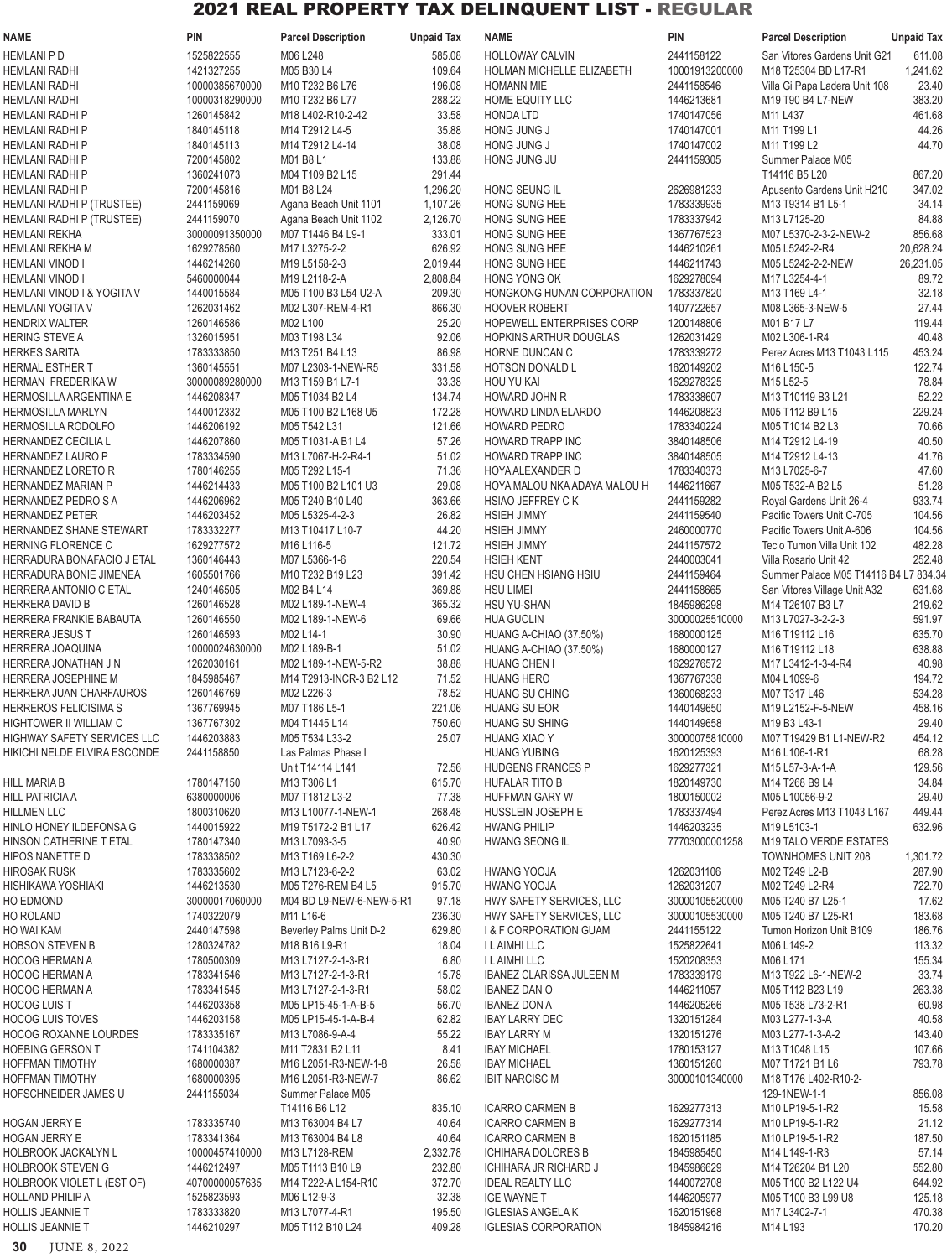| <b>NAME</b>                                           | <b>PIN</b>                   | <b>Parcel Description</b>                | <b>Unpaid Tax</b>  | NAME                                                   | <b>PIN</b>               | <b>Parcel Description</b>                        | <b>Unpaid Tax</b> |
|-------------------------------------------------------|------------------------------|------------------------------------------|--------------------|--------------------------------------------------------|--------------------------|--------------------------------------------------|-------------------|
| <b>HEMLANI P D</b>                                    | 1525822555                   | M06 L248                                 | 585.08             | <b>HOLLOWAY CALVIN</b>                                 | 2441158122               | San Vitores Gardens Unit G21                     | 611.08            |
| <b>HEMLANI RADHI</b>                                  | 1421327255                   | M05 B30 L4                               | 109.64             | HOLMAN MICHELLE ELIZABETH                              | 10001913200000           | M18 T25304 BD L17-R1                             | 1,241.62          |
| <b>HEMLANI RADHI</b>                                  | 10000385670000               | M10 T232 B6 L76                          | 196.08             | <b>HOMANN MIE</b>                                      | 2441158546               | Villa Gi Papa Ladera Unit 108                    | 23.40             |
| <b>HEMLANI RADHI</b>                                  | 10000318290000               | M10 T232 B6 L77                          | 288.22             | HOME EQUITY LLC                                        | 1446213681               | M19 T90 B4 L7-NEW                                | 383.20            |
| HEMLANI RADHI P                                       | 1260145842                   | M18 L402-R10-2-42                        | 33.58              | <b>HONDA LTD</b>                                       | 1740147056               | M11 L437                                         | 461.68            |
| HEMLANI RADHI P                                       | 1840145118                   | M14 T2912 L4-5                           | 35.88              | HONG JUNG J                                            | 1740147001               | M11 T199 L1                                      | 44.26             |
| <b>HEMLANI RADHI P</b>                                | 1840145113                   | M14 T2912 L4-14                          | 38.08              | HONG JUNG J                                            | 1740147002               | M11 T199 L2                                      | 44.70             |
| HEMLANI RADHI P                                       | 7200145802                   | M01 B8 L1                                | 133.88             | HONG JUNG JU                                           | 2441159305               | Summer Palace M05<br>T14116 B5 L20               |                   |
| HEMLANI RADHI P<br>HEMLANI RADHI P                    | 1360241073<br>7200145816     | M04 T109 B2 L15<br>M01 B8 L24            | 291.44<br>1,296.20 | HONG SEUNG IL                                          | 2626981233               | Apusento Gardens Unit H210                       | 867.20<br>347.02  |
| HEMLANI RADHI P (TRUSTEE)                             | 2441159069                   | Agana Beach Unit 1101                    | 1,107.26           | HONG SUNG HEE                                          | 1783339935               | M13 T9314 B1 L5-1                                | 34.14             |
| HEMLANI RADHI P (TRUSTEE)                             | 2441159070                   | Agana Beach Unit 1102                    | 2,126.70           | HONG SUNG HEE                                          | 1783337942               | M13 L7125-20                                     | 84.88             |
| <b>HEMLANI REKHA</b>                                  | 30000091350000               | M07 T1446 B4 L9-1                        | 333.01             | HONG SUNG HEE                                          | 1367767523               | M07 L5370-2-3-2-NEW-2                            | 856.68            |
| HEMLANI REKHA M                                       | 1629278560                   | M17 L3275-2-2                            | 626.92             | HONG SUNG HEE                                          | 1446210261               | M05 L5242-2-R4                                   | 20,628.24         |
| HEMLANI VINOD I                                       | 1446214260                   | M19 L5158-2-3                            | 2,019.44           | HONG SUNG HEE                                          | 1446211743               | M05 L5242-2-2-NEW                                | 26,231.05         |
| HEMLANI VINOD I                                       | 5460000044                   | M19 L2118-2-A                            | 2,808.84           | HONG YONG OK                                           | 1629278094               | M17 L3254-4-1                                    | 89.72             |
| HEMLANI VINOD I & YOGITA V                            | 1440015584                   | M05 T100 B3 L54 U2-A                     | 209.30             | HONGKONG HUNAN CORPORATION                             | 1783337820               | M13 T169 L4-1                                    | 32.18             |
| <b>HEMLANI YOGITA V</b>                               | 1262031462                   | M02 L307-REM-4-R1                        | 866.30             | <b>HOOVER ROBERT</b>                                   | 1407722657               | M08 L365-3-NEW-5                                 | 27.44             |
| <b>HENDRIX WALTER</b>                                 | 1260146586                   | M02 L100                                 | 25.20              | HOPEWELL ENTERPRISES CORP                              | 1200148806               | M01 B17 L7                                       | 119.44            |
| <b>HERING STEVE A</b>                                 | 1326015951                   | M03 T198 L34                             | 92.06              | <b>HOPKINS ARTHUR DOUGLAS</b>                          | 1262031429               | M02 L306-1-R4                                    | 40.48             |
| <b>HERKES SARITA</b>                                  | 1783333850                   | M13 T251 B4 L13                          | 86.98              | HORNE DUNCAN C                                         | 1783339272               | Perez Acres M13 T1043 L115                       | 453.24            |
| HERMAL ESTHER T                                       | 1360145551                   | M07 L2303-1-NEW-R5                       | 331.58             | <b>HOTSON DONALD L</b>                                 | 1620149202               | M16 L150-5                                       | 122.74            |
| HERMAN FREDERIKA W<br>HERMOSILLA ARGENTINA E          | 30000089280000<br>1446208347 | M13 T159 B1 L7-1<br>M05 T1034 B2 L4      | 33.38<br>134.74    | <b>HOU YU KAI</b><br>HOWARD JOHN R                     | 1629278325<br>1783338607 | M15 L52-5<br>M13 T10119 B3 L21                   | 78.84<br>52.22    |
| HERMOSILLA MARLYN                                     | 1440012332                   | M05 T100 B2 L168 U5                      | 172.28             | <b>HOWARD LINDA ELARDO</b>                             | 1446208823               | M05 T112 B9 L15                                  | 229.24            |
| <b>HERMOSILLA RODOLFO</b>                             | 1446206192                   | M05 T542 L31                             | 121.66             | HOWARD PEDRO                                           | 1783340224               | M05 T1014 B2 L3                                  | 70.66             |
| HERNANDEZ CECILIA L                                   | 1446207860                   | M05 T1031-A B1 L4                        | 57.26              | <b>HOWARD TRAPP INC</b>                                | 3840148506               | M14 T2912 L4-19                                  | 40.50             |
| HERNANDEZ LAURO P                                     | 1783334590                   | M13 L7067-H-2-R4-1                       | 51.02              | HOWARD TRAPP INC                                       | 3840148505               | M14 T2912 L4-13                                  | 41.76             |
| HERNANDEZ LORETO R                                    | 1780146255                   | M05 T292 L15-1                           | 71.36              | HOYA ALEXANDER D                                       | 1783340373               | M13 L7025-6-7                                    | 47.60             |
| HERNANDEZ MARIAN P                                    | 1446214433                   | M05 T100 B2 L101 U3                      | 29.08              | HOYA MALOU NKA ADAYA MALOU H                           | 1446211667               | M05 T532-A B2 L5                                 | 51.28             |
| HERNANDEZ PEDRO S A                                   | 1446206962                   | M05 T240 B10 L40                         | 363.66             | HSIAO JEFFREY C K                                      | 2441159282               | Royal Gardens Unit 26-4                          | 933.74            |
| <b>HERNANDEZ PETER</b>                                | 1446203452                   | M05 L5325-4-2-3                          | 26.82              | <b>HSIEH JIMMY</b>                                     | 2441159540               | Pacific Towers Unit C-705                        | 104.56            |
| HERNANDEZ SHANE STEWART                               | 1783332277                   | M13 T10417 L10-7                         | 44.20              | <b>HSIEH JIMMY</b>                                     | 2460000770               | Pacific Towers Unit A-606                        | 104.56            |
| HERNING FLORENCE C                                    | 1629277572                   | M16 L116-5                               | 121.72             | <b>HSIEH JIMMY</b>                                     | 2441157572               | Tecio Tumon Villa Unit 102                       | 482.28            |
| HERRADURA BONAFACIO J ETAL                            | 1360146443                   | M07 L5366-1-6                            | 220.54             | <b>HSIEH KENT</b>                                      | 2440003041               | Villa Rosario Unit 42                            | 252.48            |
| HERRADURA BONIE JIMENEA                               | 1605501766                   | M10 T232 B19 L23                         | 391.42             | HSU CHEN HSIANG HSIU                                   | 2441159464               | Summer Palace M05 T14116 B4 L7 834.34            |                   |
| HERRERA ANTONIO C ETAL                                | 1240146505                   | M02 B4 L14                               | 369.88             | <b>HSU LIMEI</b>                                       | 2441158665<br>1845986298 | San Vitores Village Unit A32<br>M14 T26107 B3 L7 | 631.68            |
| HERRERA DAVID B<br>HERRERA FRANKIE BABAUTA            | 1260146528<br>1260146550     | M02 L189-1-NEW-4<br>M02 L189-1-NEW-6     | 365.32<br>69.66    | <b>HSU YU-SHAN</b><br><b>HUA GUOLIN</b>                | 30000025510000           | M13 L7027-3-2-2-3                                | 219.62<br>591.97  |
| <b>HERRERA JESUS T</b>                                | 1260146593                   | M02 L14-1                                | 30.90              | HUANG A-CHIAO (37.50%)                                 | 1680000125               | M16 T19112 L16                                   | 635.70            |
| HERRERA JOAQUINA                                      | 10000024630000               | M02 L189-B-1                             | 51.02              | HUANG A-CHIAO (37.50%)                                 | 1680000127               | M16 T19112 L18                                   | 638.88            |
| HERRERA JONATHAN J N                                  | 1262030161                   | M02 L189-1-NEW-5-R2                      | 38.88              | HUANG CHEN I                                           | 1629276572               | M17 L3412-1-3-4-R4                               | 40.98             |
| HERRERA JOSEPHINE M                                   | 1845985467                   | M14 T2913-INCR-3 B2 L12                  | 71.52              | <b>HUANG HERO</b>                                      | 1367767338               | M04 L1099-6                                      | 194.72            |
| HERRERA JUAN CHARFAUROS                               | 1260146769                   | M02 L226-3                               | 78.52              | HUANG SU CHING                                         | 1360068233               | M07 T317 L46                                     | 534.28            |
| HERREROS FELICISIMA S                                 | 1367769945                   | M07 T186 L5-1                            | 221.06             | HUANG SU EOR                                           | 1440149650               | M19 L2152-F-5-NEW                                | 458.16            |
| <b>HIGHTOWER II WILLIAM C</b>                         | 1367767302                   | M04 T1445 L14                            | 750.60             | <b>HUANG SU SHING</b>                                  | 1440149658               | M19 B3 L43-1                                     | 29.40             |
| HIGHWAY SAFETY SERVICES LLC                           | 1446203883                   | M05 T534 L33-2                           | 25.07              | <b>HUANG XIAO Y</b>                                    | 30000075810000           | M07 T19429 B1 L1-NEW-R2                          | 454.12            |
| HIKICHI NELDE ELVIRA ESCONDE                          | 2441158850                   | Las Palmas Phase I                       |                    | <b>HUANG YUBING</b>                                    | 1620125393               | M16 L106-1-R1                                    | 68.28             |
|                                                       |                              | Unit T14114 L141                         | 72.56              | <b>HUDGENS FRANCES P</b>                               | 1629277321               | M15 L57-3-A-1-A                                  | 129.56            |
| HILL MARIA B                                          | 1780147150                   | M13 T306 L1                              | 615.70             | <b>HUFALAR TITO B</b>                                  | 1820149730               | M14 T268 B9 L4                                   | 34.84             |
| <b>HILL PATRICIA A</b><br><b>HILLMEN LLC</b>          | 6380000006<br>1800310620     | M07 T1812 L3-2<br>M13 L10077-1-NEW-1     | 77.38<br>268.48    | <b>HUFFMAN GARY W</b><br>HUSSLEIN JOSEPH E             | 1800150002<br>1783337494 | M05 L10056-9-2<br>Perez Acres M13 T1043 L167     | 29.40<br>449.44   |
| HINLO HONEY ILDEFONSA G                               | 1440015922                   | M19 T5172-2 B1 L17                       | 626.42             | <b>HWANG PHILIP</b>                                    | 1446203235               | M19 L5103-1                                      | 632.96            |
| HINSON CATHERINE T ETAL                               | 1780147340                   | M13 L7093-3-5                            | 40.90              | <b>HWANG SEONG IL</b>                                  | 77703000001258           | M19 TALO VERDE ESTATES                           |                   |
| <b>HIPOS NANETTE D</b>                                | 1783338502                   | M13 T169 L6-2-2                          | 430.30             |                                                        |                          | TOWNHOMES UNIT 208                               | 1,301.72          |
| <b>HIROSAK RUSK</b>                                   | 1783335602                   | M13 L7123-6-2-2                          | 63.02              | <b>HWANG YOOJA</b>                                     | 1262031106               | M02 T249 L2-B                                    | 287.90            |
| HISHIKAWA YOSHIAKI                                    | 1446213530                   | M05 T276-REM B4 L5                       | 915.70             | <b>HWANG YOOJA</b>                                     | 1262031207               | M02 T249 L2-R4                                   | 722.70            |
| <b>HO EDMOND</b>                                      | 30000017060000               | M04 BD L9-NEW-6-NEW-5-R1                 | 97.18              | HWY SAFETY SERVICES, LLC                               | 30000105520000           | M05 T240 B7 L25-1                                | 17.62             |
| HO ROLAND                                             | 1740322079                   | M11 L16-6                                | 236.30             | HWY SAFETY SERVICES, LLC                               | 30000105530000           | M05 T240 B7 L25-R1                               | 183.68            |
| HO WAI KAM                                            | 2440147598                   | Beverley Palms Unit D-2                  | 629.80             | <b>I &amp; F CORPORATION GUAM</b>                      | 2441155122               | Tumon Horizon Unit B109                          | 186.76            |
| <b>HOBSON STEVEN B</b>                                | 1280324782                   | M18 B16 L9-R1                            | 18.04              | <b>I LAIMHI LLC</b>                                    | 1525822641               | M06 L149-2                                       | 113.32            |
| <b>HOCOG HERMAN A</b>                                 | 1780500309                   | M13 L7127-2-1-3-R1                       | 6.80               | I LAIMHI LLC                                           | 1520208353               | M06 L171                                         | 155.34            |
| <b>HOCOG HERMAN A</b><br>HOCOG HERMAN A               | 1783341546<br>1783341545     | M13 L7127-2-1-3-R1<br>M13 L7127-2-1-3-R1 | 15.78<br>58.02     | <b>IBANEZ CLARISSA JULEEN M</b><br><b>IBANEZ DAN O</b> | 1783339179<br>1446211057 | M13 T922 L6-1-NEW-2<br>M05 T112 B23 L19          | 33.74<br>263.38   |
| <b>HOCOG LUIS T</b>                                   | 1446203358                   | M05 LP15-45-1-A-B-5                      | 56.70              | <b>IBANEZ DON A</b>                                    | 1446205266               | M05 T538 L73-2-R1                                | 60.98             |
| <b>HOCOG LUIS TOVES</b>                               | 1446203158                   | M05 LP15-45-1-A-B-4                      | 62.82              | <b>IBAY LARRY DEC</b>                                  | 1320151284               | M03 L277-1-3-A                                   | 40.58             |
| <b>HOCOG ROXANNE LOURDES</b>                          | 1783335167                   | M13 L7086-9-A-4                          | 55.22              | <b>IBAY LARRY M</b>                                    | 1320151276               | M03 L277-1-3-A-2                                 | 143.40            |
| <b>HOEBING GERSON T</b>                               | 1741104382                   | M11 T2831 B2 L11                         | 8.41               | <b>IBAY MICHAEL</b>                                    | 1780153127               | M13 T1048 L15                                    | 107.66            |
| HOFFMAN TIMOTHY                                       | 1680000387                   | M16 L2051-R3-NEW-1-8                     | 26.58              | <b>IBAY MICHAEL</b>                                    | 1360151260               | M07 T1721 B1 L6                                  | 793.78            |
| <b>HOFFMAN TIMOTHY</b>                                | 1680000395                   | M16 L2051-R3-NEW-7                       | 86.62              | <b>IBIT NARCISC M</b>                                  | 30000101340000           | M18 T176 L402-R10-2-                             |                   |
| HOFSCHNEIDER JAMES U                                  | 2441155034                   | Summer Palace M05                        |                    |                                                        |                          | 129-1NEW-1-1                                     | 856.08            |
|                                                       |                              | T14116 B6 L12                            | 835.10             | <b>ICARRO CARMEN B</b>                                 | 1629277313               | M10 LP19-5-1-R2                                  | 15.58             |
| <b>HOGAN JERRY E</b>                                  | 1783335740                   | M13 T63004 B4 L7                         | 40.64              | <b>ICARRO CARMEN B</b>                                 | 1629277314               | M10 LP19-5-1-R2                                  | 21.12             |
| HOGAN JERRY E                                         | 1783341364                   | M13 T63004 B4 L8                         | 40.64              | <b>ICARRO CARMEN B</b>                                 | 1620151185               | M10 LP19-5-1-R2                                  | 187.50            |
| <b>HOLBROOK JACKALYN L</b>                            | 10000457410000               | M13 L7128-REM                            | 2,332.78           | <b>ICHIHARA DOLORES B</b>                              | 1845985450               | M14 L149-1-R3                                    | 57.14             |
| <b>HOLBROOK STEVEN G</b>                              | 1446212497                   | M05 T1113 B10 L9<br>M14 T222-A L154-R10  | 232.80             | <b>ICHIHARA JR RICHARD J</b>                           | 1845986629               | M14 T26204 B1 L20                                | 552.80            |
| HOLBROOK VIOLET L (EST OF)<br><b>HOLLAND PHILIP A</b> | 40700000057635<br>1525823593 | M06 L12-9-3                              | 372.70<br>32.38    | <b>IDEAL REALTY LLC</b><br><b>IGE WAYNE T</b>          | 1440072708<br>1446205977 | M05 T100 B2 L122 U4<br>M05 T100 B3 L99 U8        | 644.92<br>125.18  |
| HOLLIS JEANNIE T                                      | 1783333820                   | M13 L7077-4-R1                           | 195.50             | <b>IGLESIAS ANGELA K</b>                               | 1620151968               | M17 L3402-7-1                                    | 470.38            |
| <b>HOLLIS JEANNIE T</b>                               | 1446210297                   | M05 T112 B10 L24                         | 409.28             | <b>IGLESIAS CORPORATION</b>                            | 1845984216               | M14 L193                                         | 170.20            |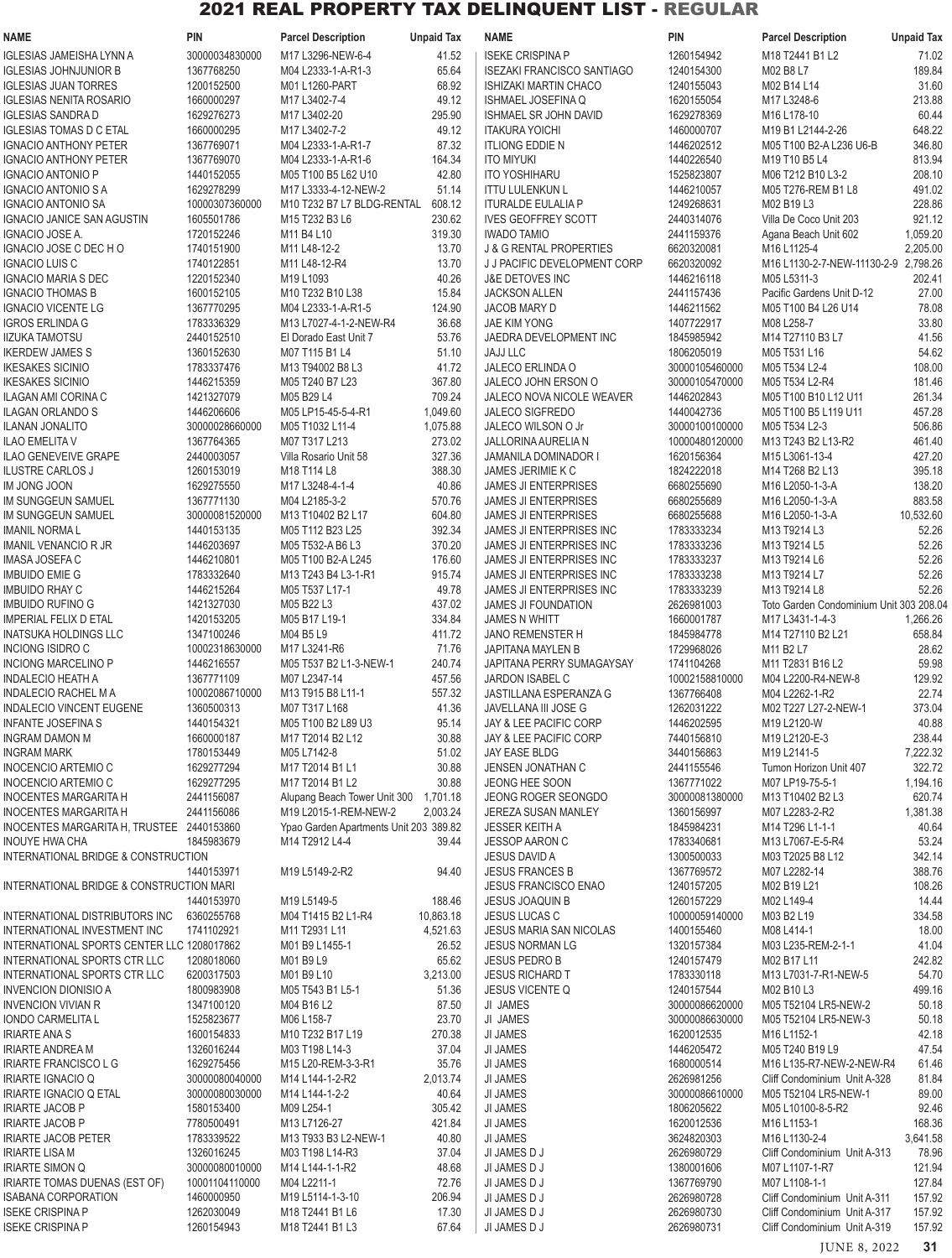| <b>NAME</b>                                                | <b>PIN</b>                   | <b>Parcel Description</b>              | <b>Unpaid Tax</b>   | <b>NAME</b>                                                        | <b>PIN</b>                       | <b>Parcel Description</b>                                                     | <b>Unpaid Tax</b>  |
|------------------------------------------------------------|------------------------------|----------------------------------------|---------------------|--------------------------------------------------------------------|----------------------------------|-------------------------------------------------------------------------------|--------------------|
| <b>IGLESIAS JAMEISHA LYNN A</b>                            | 30000034830000               | M17 L3296-NEW-6-4                      | 41.52               | <b>ISEKE CRISPINA P</b>                                            | 1260154942                       | M18 T2441 B1 L2                                                               | 71.02              |
| <b>IGLESIAS JOHNJUNIOR B</b>                               | 1367768250                   | M04 L2333-1-A-R1-3                     | 65.64               | <b>ISEZAKI FRANCISCO SANTIAGO</b>                                  | 1240154300                       | M02 B8 L7                                                                     | 189.84             |
| <b>IGLESIAS JUAN TORRES</b>                                | 1200152500                   | M01 L1260-PART                         | 68.92               | ISHIZAKI MARTIN CHACO                                              | 1240155043                       | M02 B14 L14                                                                   | 31.60              |
| <b>IGLESIAS NENITA ROSARIO</b>                             | 1660000297                   | M17 L3402-7-4                          | 49.12               | <b>ISHMAEL JOSEFINA Q</b>                                          | 1620155054                       | M17 L3248-6                                                                   | 213.88             |
| <b>IGLESIAS SANDRA D</b><br><b>IGLESIAS TOMAS D C ETAL</b> | 1629276273<br>1660000295     | M17 L3402-20<br>M17 L3402-7-2          | 295.90<br>49.12     | ISHMAEL SR JOHN DAVID<br><b>ITAKURA YOICHI</b>                     | 1629278369<br>1460000707         | M16 L178-10<br>M19 B1 L2144-2-26                                              | 60.44<br>648.22    |
| <b>IGNACIO ANTHONY PETER</b>                               | 1367769071                   | M04 L2333-1-A-R1-7                     | 87.32               | <b>ITLIONG EDDIE N</b>                                             | 1446202512                       | M05 T100 B2-A L236 U6-B                                                       | 346.80             |
| <b>IGNACIO ANTHONY PETER</b>                               | 1367769070                   | M04 L2333-1-A-R1-6                     | 164.34              | <b>ITO MIYUKI</b>                                                  | 1440226540                       | M19 T10 B5 L4                                                                 | 813.94             |
| <b>IGNACIO ANTONIO P</b>                                   | 1440152055                   | M05 T100 B5 L62 U10                    | 42.80               | <b>ITO YOSHIHARU</b>                                               | 1525823807                       | M06 T212 B10 L3-2                                                             | 208.10             |
| <b>IGNACIO ANTONIO S A</b>                                 | 1629278299                   | M17 L3333-4-12-NEW-2                   | 51.14               | <b>ITTU LULENKUN L</b>                                             | 1446210057                       | M05 T276-REM B1 L8                                                            | 491.02             |
| <b>IGNACIO ANTONIO SA</b>                                  | 10000307360000               | M10 T232 B7 L7 BLDG-RENTAL             | 608.12              | <b>ITURALDE EULALIA P</b>                                          | 1249268631                       | M02 B19 L3                                                                    | 228.86             |
| <b>IGNACIO JANICE SAN AGUSTIN</b>                          | 1605501786                   | M15 T232 B3 L6                         | 230.62              | <b>IVES GEOFFREY SCOTT</b>                                         | 2440314076                       | Villa De Coco Unit 203                                                        | 921.12             |
| IGNACIO JOSE A.                                            | 1720152246<br>1740151900     | M11 B4 L10                             | 319.30              | <b>IWADO TAMIO</b>                                                 | 2441159376                       | Agana Beach Unit 602<br>M16 L1125-4                                           | 1,059.20           |
| IGNACIO JOSE C DEC H O<br><b>IGNACIO LUIS C</b>            | 1740122851                   | M11 L48-12-2<br>M11 L48-12-R4          | 13.70<br>13.70      | <b>J &amp; G RENTAL PROPERTIES</b><br>J J PACIFIC DEVELOPMENT CORP | 6620320081<br>6620320092         | M16 L1130-2-7-NEW-11130-2-9 2.798.26                                          | 2,205.00           |
| <b>IGNACIO MARIA S DEC</b>                                 | 1220152340                   | M19 L1093                              | 40.26               | J&E DETOVES INC                                                    | 1446216118                       | M05 L5311-3                                                                   | 202.41             |
| <b>IGNACIO THOMAS B</b>                                    | 1600152105                   | M10 T232 B10 L38                       | 15.84               | <b>JACKSON ALLEN</b>                                               | 2441157436                       | Pacific Gardens Unit D-12                                                     | 27.00              |
| <b>IGNACIO VICENTE LG</b>                                  | 1367770295                   | M04 L2333-1-A-R1-5                     | 124.90              | JACOB MARY D                                                       | 1446211562                       | M05 T100 B4 L26 U14                                                           | 78.08              |
| <b>IGROS ERLINDA G</b>                                     | 1783336329                   | M13 L7027-4-1-2-NEW-R4                 | 36.68               | JAE KIM YONG                                                       | 1407722917                       | M08 L258-7                                                                    | 33.80              |
| <b>IIZUKA TAMOTSU</b>                                      | 2440152510                   | El Dorado East Unit 7                  | 53.76               | JAEDRA DEVELOPMENT INC                                             | 1845985942                       | M14 T27110 B3 L7                                                              | 41.56              |
| <b>IKERDEW JAMES S</b>                                     | 1360152630                   | M07 T115 B1 L4                         | 51.10               | <b>JAJJ LLC</b>                                                    | 1806205019                       | M05 T531 L16                                                                  | 54.62              |
| <b>IKESAKES SICINIO</b><br><b>IKESAKES SICINIO</b>         | 1783337476<br>1446215359     | M13 T94002 B8 L3<br>M05 T240 B7 L23    | 41.72<br>367.80     | JALECO ERLINDA O<br>JALECO JOHN ERSON O                            | 30000105460000<br>30000105470000 | M05 T534 L2-4<br>M05 T534 L2-R4                                               | 108.00<br>181.46   |
| <b>ILAGAN AMI CORINA C</b>                                 | 1421327079                   | M05 B29 L4                             | 709.24              | <b>JALECO NOVA NICOLE WEAVER</b>                                   | 1446202843                       | M05 T100 B10 L12 U11                                                          | 261.34             |
| <b>ILAGAN ORLANDO S</b>                                    | 1446206606                   | M05 LP15-45-5-4-R1                     | 1,049.60            | <b>JALECO SIGFREDO</b>                                             | 1440042736                       | M05 T100 B5 L119 U11                                                          | 457.28             |
| <b>ILANAN JONALITO</b>                                     | 30000028660000               | M05 T1032 L11-4                        | 1,075.88            | JALECO WILSON O Jr                                                 | 30000100100000                   | M05 T534 L2-3                                                                 | 506.86             |
| <b>ILAO EMELITA V</b>                                      | 1367764365                   | M07 T317 L213                          | 273.02              | JALLORINA AURELIA N                                                | 10000480120000                   | M13 T243 B2 L13-R2                                                            | 461.40             |
| ILAO GENEVEIVE GRAPE                                       | 2440003057                   | Villa Rosario Unit 58                  | 327.36              | <b>JAMANILA DOMINADOR I</b>                                        | 1620156364                       | M15 L3061-13-4                                                                | 427.20             |
| <b>ILUSTRE CARLOS J</b>                                    | 1260153019                   | M18 T114 L8                            | 388.30              | JAMES JERIMIE K C                                                  | 1824222018                       | M14 T268 B2 L13                                                               | 395.18             |
| IM JONG JOON                                               | 1629275550                   | M17 L3248-4-1-4                        | 40.86               | JAMES JI ENTERPRISES                                               | 6680255690                       | M16 L2050-1-3-A                                                               | 138.20             |
| IM SUNGGEUN SAMUEL                                         | 1367771130                   | M04 L2185-3-2                          | 570.76              | <b>JAMES JI ENTERPRISES</b>                                        | 6680255689                       | M16 L2050-1-3-A                                                               | 883.58             |
| IM SUNGGEUN SAMUEL<br><b>IMANIL NORMAL</b>                 | 30000081520000<br>1440153135 | M13 T10402 B2 L17<br>M05 T112 B23 L25  | 604.80<br>392.34    | <b>JAMES JI ENTERPRISES</b><br>JAMES JI ENTERPRISES INC            | 6680255688<br>1783333234         | M16 L2050-1-3-A<br>M13 T9214 L3                                               | 10,532.60<br>52.26 |
| <b>IMANIL VENANCIO R JR</b>                                | 1446203697                   | M05 T532-A B6 L3                       | 370.20              | JAMES JI ENTERPRISES INC                                           | 1783333236                       | M13 T9214 L5                                                                  | 52.26              |
| IMASA JOSEFA C                                             | 1446210801                   | M05 T100 B2-A L245                     | 176.60              | JAMES JI ENTERPRISES INC                                           | 1783333237                       | M13 T9214 L6                                                                  | 52.26              |
| <b>IMBUIDO EMIE G</b>                                      | 1783332640                   | M13 T243 B4 L3-1-R1                    | 915.74              | JAMES JI ENTERPRISES INC                                           | 1783333238                       | M13 T9214 L7                                                                  | 52.26              |
| <b>IMBUIDO RHAY C</b>                                      | 1446215264                   | M05 T537 L17-1                         | 49.78               | JAMES JI ENTERPRISES INC                                           | 1783333239                       | M13 T9214 L8                                                                  | 52.26              |
| <b>IMBUIDO RUFINO G</b>                                    | 1421327030                   | M05 B22 L3                             | 437.02              | <b>JAMES JI FOUNDATION</b>                                         | 2626981003                       | Toto Garden Condominium Unit 303 208.04                                       |                    |
| <b>IMPERIAL FELIX D ETAL</b>                               | 1420153205                   | M05 B17 L19-1                          | 334.84              | <b>JAMES N WHITT</b>                                               | 1660001787                       | M17 L3431-1-4-3                                                               | 1,266.26           |
| INATSUKA HOLDINGS LLC                                      | 1347100246<br>10002318630000 | M04 B5 L9                              | 411.72              | <b>JANO REMENSTER H</b>                                            | 1845984778                       | M14 T27110 B2 L21                                                             | 658.84             |
| INCIONG ISIDRO C<br><b>INCIONG MARCELINO P</b>             | 1446216557                   | M17 L3241-R6<br>M05 T537 B2 L1-3-NEW-1 | 71.76<br>240.74     | JAPITANA MAYLEN B<br>JAPITANA PERRY SUMAGAYSAY                     | 1729968026<br>1741104268         | M11 B2 L7<br>M <sub>11</sub> T <sub>2831</sub> B <sub>16</sub> L <sub>2</sub> | 28.62<br>59.98     |
| <b>INDALECIO HEATH A</b>                                   | 1367771109                   | M07 L2347-14                           | 457.56              | <b>JARDON ISABEL C</b>                                             | 10002158810000                   | M04 L2200-R4-NEW-8                                                            | 129.92             |
| <b>INDALECIO RACHEL M A</b>                                | 10002086710000               | M13 T915 B8 L11-1                      | 557.32              | <b>JASTILLANA ESPERANZA G</b>                                      | 1367766408                       | M04 L2262-1-R2                                                                | 22.74              |
| INDALECIO VINCENT EUGENE                                   | 1360500313                   | M07 T317 L168                          | 41.36               | JAVELLANA III JOSE G                                               | 1262031222                       | M02 T227 L27-2-NEW-1                                                          | 373.04             |
| <b>INFANTE JOSEFINAS</b>                                   | 1440154321                   | M05 T100 B2 L89 U3                     | 95.14               | JAY & LEE PACIFIC CORP                                             | 1446202595                       | M19 L2120-W                                                                   | 40.88              |
| <b>INGRAM DAMON M</b>                                      | 1660000187                   | M17 T2014 B2 L12                       | 30.88               | JAY & LEE PACIFIC CORP                                             | 7440156810                       | M19 L2120-E-3                                                                 | 238.44             |
| <b>INGRAM MARK</b>                                         | 1780153449                   | M05 L7142-8                            | 51.02               | <b>JAY EASE BLDG</b>                                               | 3440156863                       | M19 L2141-5                                                                   | 7,222.32           |
| INOCENCIO ARTEMIO C<br><b>INOCENCIO ARTEMIO C</b>          | 1629277294<br>1629277295     | M17 T2014 B1 L1<br>M17 T2014 B1 L2     | 30.88<br>30.88      | JENSEN JONATHAN C<br>JEONG HEE SOON                                | 2441155546<br>1367771022         | Tumon Horizon Unit 407<br>M07 LP19-75-5-1                                     | 322.72<br>1,194.16 |
| <b>INOCENTES MARGARITA H</b>                               | 2441156087                   | Alupang Beach Tower Unit 300 1,701.18  |                     | JEONG ROGER SEONGDO                                                | 30000081380000                   | M13 T10402 B2 L3                                                              | 620.74             |
| <b>INOCENTES MARGARITA H</b>                               | 2441156086                   | M19 L2015-1-REM-NEW-2                  | 2,003.24            | <b>JEREZA SUSAN MANLEY</b>                                         | 1360156997                       | M07 L2283-2-R2                                                                | 1,381.38           |
| INOCENTES MARGARITA H, TRUSTEE 2440153860                  |                              | Ypao Garden Apartments Unit 203 389.82 |                     | <b>JESSER KEITH A</b>                                              | 1845984231                       | M14 T296 L1-1-1                                                               | 40.64              |
| <b>INOUYE HWA CHA</b>                                      | 1845983679                   | M14 T2912 L4-4                         | 39.44               | <b>JESSOP AARON C</b>                                              | 1783340681                       | M13 L7067-E-5-R4                                                              | 53.24              |
| INTERNATIONAL BRIDGE & CONSTRUCTION                        |                              |                                        |                     | <b>JESUS DAVID A</b>                                               | 1300500033                       | M03 T2025 B8 L12                                                              | 342.14             |
|                                                            | 1440153971                   | M19 L5149-2-R2                         | 94.40               | <b>JESUS FRANCES B</b>                                             | 1367769572                       | M07 L2282-14                                                                  | 388.76             |
| INTERNATIONAL BRIDGE & CONSTRUCTION MARI                   |                              |                                        |                     | <b>JESUS FRANCISCO ENAO</b>                                        | 1240157205                       | M02 B19 L21                                                                   | 108.26             |
| INTERNATIONAL DISTRIBUTORS INC                             | 1440153970<br>6360255768     | M19 L5149-5<br>M04 T1415 B2 L1-R4      | 188.46<br>10,863.18 | JESUS JOAQUIN B<br><b>JESUS LUCAS C</b>                            | 1260157229<br>10000059140000     | M02 L149-4<br>M03 B2 L19                                                      | 14.44<br>334.58    |
| INTERNATIONAL INVESTMENT INC                               | 1741102921                   | M11 T2931 L11                          | 4,521.63            | <b>JESUS MARIA SAN NICOLAS</b>                                     | 1400155460                       | M08 L414-1                                                                    | 18.00              |
| INTERNATIONAL SPORTS CENTER LLC 1208017862                 |                              | M01 B9 L1455-1                         | 26.52               | <b>JESUS NORMAN LG</b>                                             | 1320157384                       | M03 L235-REM-2-1-1                                                            | 41.04              |
| INTERNATIONAL SPORTS CTR LLC                               | 1208018060                   | M01 B9 L9                              | 65.62               | <b>JESUS PEDRO B</b>                                               | 1240157479                       | M02 B17 L11                                                                   | 242.82             |
| INTERNATIONAL SPORTS CTR LLC                               | 6200317503                   | M01 B9 L10                             | 3,213.00            | <b>JESUS RICHARD T</b>                                             | 1783330118                       | M13 L7031-7-R1-NEW-5                                                          | 54.70              |
| <b>INVENCION DIONISIO A</b>                                | 1800983908                   | M05 T543 B1 L5-1                       | 51.36               | <b>JESUS VICENTE Q</b>                                             | 1240157544                       | M02 B10 L3                                                                    | 499.16             |
| <b>INVENCION VIVIAN R</b>                                  | 1347100120                   | M04 B16 L2                             | 87.50               | JI JAMES                                                           | 30000086620000                   | M05 T52104 LR5-NEW-2                                                          | 50.18              |
| IONDO CARMELITA L                                          | 1525823677                   | M06 L158-7                             | 23.70               | JI JAMES                                                           | 30000086630000                   | M05 T52104 LR5-NEW-3                                                          | 50.18              |
| <b>IRIARTE ANA S</b><br><b>IRIARTE ANDREA M</b>            | 1600154833<br>1326016244     | M10 T232 B17 L19<br>M03 T198 L14-3     | 270.38<br>37.04     | JI JAMES<br>JI JAMES                                               | 1620012535<br>1446205472         | M16 L1152-1<br>M05 T240 B19 L9                                                | 42.18<br>47.54     |
| <b>IRIARTE FRANCISCO L G</b>                               | 1629275456                   | M15 L20-REM-3-3-R1                     | 35.76               | <b>JI JAMES</b>                                                    | 1680000514                       | M16 L135-R7-NEW-2-NEW-R4                                                      | 61.46              |
| <b>IRIARTE IGNACIO Q</b>                                   | 30000080040000               | M14 L144-1-2-R2                        | 2,013.74            | JI JAMES                                                           | 2626981256                       | Cliff Condominium Unit A-328                                                  | 81.84              |
| IRIARTE IGNACIO Q ETAL                                     | 30000080030000               | M14 L144-1-2-2                         | 40.64               | JI JAMES                                                           | 30000086610000                   | M05 T52104 LR5-NEW-1                                                          | 89.00              |
| <b>IRIARTE JACOB P</b>                                     | 1580153400                   | M09 L254-1                             | 305.42              | JI JAMES                                                           | 1806205622                       | M05 L10100-8-5-R2                                                             | 92.46              |
| <b>IRIARTE JACOB P</b>                                     | 7780500491                   | M13 L7126-27                           | 421.84              | JI JAMES                                                           | 1620012536                       | M16 L1153-1                                                                   | 168.36             |
| <b>IRIARTE JACOB PETER</b>                                 | 1783339522                   | M13 T933 B3 L2-NEW-1                   | 40.80               | JI JAMES                                                           | 3624820303                       | M16 L1130-2-4                                                                 | 3,641.58           |
| <b>IRIARTE LISA M</b><br><b>IRIARTE SIMON Q</b>            | 1326016245<br>30000080010000 | M03 T198 L14-R3<br>M14 L144-1-1-R2     | 37.04<br>48.68      | JI JAMES D J<br>JI JAMES D J                                       | 2626980729<br>1380001606         | Cliff Condominium Unit A-313                                                  | 78.96<br>121.94    |
| IRIARTE TOMAS DUENAS (EST OF)                              | 10001104110000               | M04 L2211-1                            | 72.76               | JI JAMES D J                                                       | 1367769790                       | M07 L1107-1-R7<br>M07 L1108-1-1                                               | 127.84             |
| <b>ISABANA CORPORATION</b>                                 | 1460000950                   | M19 L5114-1-3-10                       | 206.94              | JI JAMES D J                                                       | 2626980728                       | Cliff Condominium Unit A-311                                                  | 157.92             |
| <b>ISEKE CRISPINA P</b>                                    | 1262030049                   | M18 T2441 B1 L6                        | 17.30               | JI JAMES D J                                                       | 2626980730                       | Cliff Condominium Unit A-317                                                  | 157.92             |
| <b>ISEKE CRISPINA P</b>                                    | 1260154943                   | M18 T2441 B1 L3                        | 67.64               | JI JAMES D J                                                       | 2626980731                       | Cliff Condominium Unit A-319                                                  | 157.92             |

JUNE 8, 2022 **31**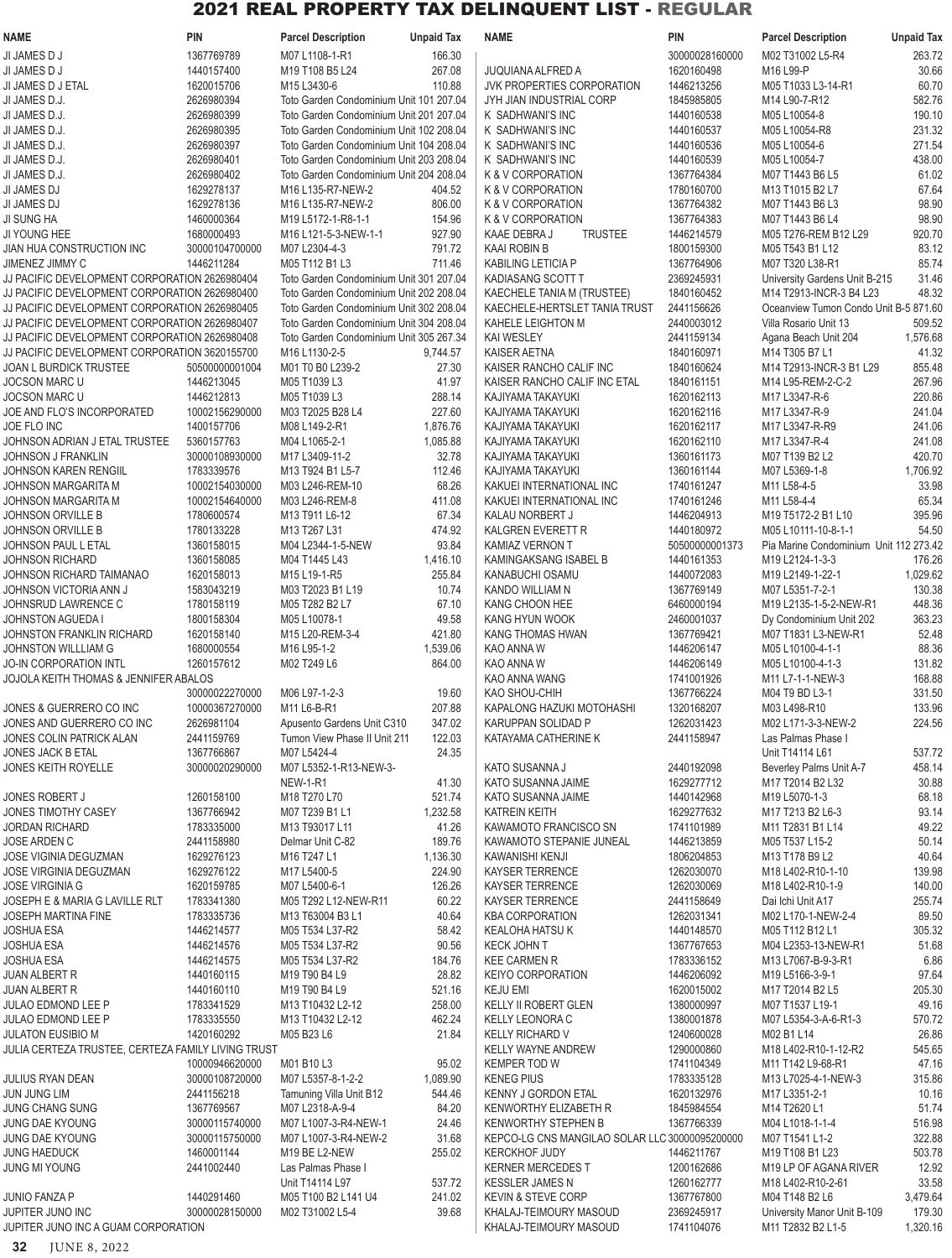| NAME                                                         | <b>PIN</b>               | <b>Parcel Description</b>                                       | <b>Unpaid Tax</b> | <b>NAME</b>                                    | <b>PIN</b>               | <b>Parcel Description</b>               | <b>Unpaid Tax</b> |
|--------------------------------------------------------------|--------------------------|-----------------------------------------------------------------|-------------------|------------------------------------------------|--------------------------|-----------------------------------------|-------------------|
| JI JAMES D J                                                 | 1367769789               | M07 L1108-1-R1                                                  | 166.30            |                                                | 30000028160000           | M02 T31002 L5-R4                        | 263.72            |
| JI JAMES D J                                                 | 1440157400               | M <sub>19</sub> T <sub>108</sub> B <sub>5</sub> L <sub>24</sub> | 267.08            | <b>JUQUIANA ALFRED A</b>                       | 1620160498               | M16 L99-P                               | 30.66             |
| JI JAMES D J ETAL                                            | 1620015706               | M15 L3430-6                                                     | 110.88            | <b>JVK PROPERTIES CORPORATION</b>              | 1446213256               | M05 T1033 L3-14-R1                      | 60.70             |
| JI JAMES D.J.                                                | 2626980394               | Toto Garden Condominium Unit 101 207.04                         |                   | JYH JIAN INDUSTRIAL CORP                       | 1845985805               | M14 L90-7-R12                           | 582.76            |
| JI JAMES D.J.                                                | 2626980399               | Toto Garden Condominium Unit 201 207.04                         |                   | K SADHWANI'S INC                               | 1440160538               | M05 L10054-8                            | 190.10            |
| JI JAMES D.J.                                                | 2626980395               | Toto Garden Condominium Unit 102 208.04                         |                   | K SADHWANI'S INC                               | 1440160537               | M05 L10054-R8                           | 231.32            |
| JI JAMES D.J.                                                | 2626980397               | Toto Garden Condominium Unit 104 208.04                         |                   | K SADHWANI'S INC                               | 1440160536               | M05 L10054-6                            | 271.54            |
| JI JAMES D.J.                                                | 2626980401               | Toto Garden Condominium Unit 203 208.04                         |                   | K SADHWANI'S INC                               | 1440160539               | M05 L10054-7                            | 438.00            |
| JI JAMES D.J.                                                | 2626980402               | Toto Garden Condominium Unit 204 208.04                         |                   | K & V CORPORATION                              | 1367764384               | M07 T1443 B6 L5                         | 61.02             |
| JI JAMES DJ                                                  | 1629278137               | M16 L135-R7-NEW-2                                               | 404.52            | K & V CORPORATION                              | 1780160700               | M13 T1015 B2 L7                         | 67.64             |
| JI JAMES DJ                                                  | 1629278136               | M16 L135-R7-NEW-2                                               | 806.00            | K & V CORPORATION                              | 1367764382               | M07 T1443 B6 L3                         | 98.90             |
| JI SUNG HA                                                   | 1460000364               | M19 L5172-1-R8-1-1                                              | 154.96            | K & V CORPORATION                              | 1367764383               | M07 T1443 B6 L4                         | 98.90             |
| JI YOUNG HEE                                                 | 1680000493               | M16 L121-5-3-NEW-1-1                                            | 927.90            | KAAE DEBRA J<br><b>TRUSTEE</b>                 | 1446214579               | M05 T276-REM B12 L29                    | 920.70            |
| JIAN HUA CONSTRUCTION INC                                    | 30000104700000           | M07 L2304-4-3                                                   | 791.72            | <b>KAAI ROBIN B</b>                            | 1800159300               | M05 T543 B1 L12                         | 83.12             |
| JIMENEZ JIMMY C                                              | 1446211284               | M05 T112 B1 L3                                                  | 711.46            | <b>KABILING LETICIA P</b>                      | 1367764906               | M07 T320 L38-R1                         | 85.74             |
| JJ PACIFIC DEVELOPMENT CORPORATION 2626980404                |                          | Toto Garden Condominium Unit 301 207.04                         |                   | KADIASANG SCOTT T                              | 2369245931               | University Gardens Unit B-215           | 31.46             |
| JJ PACIFIC DEVELOPMENT CORPORATION 2626980400                |                          | Toto Garden Condominium Unit 202 208.04                         |                   | KAECHELE TANIA M (TRUSTEE)                     | 1840160452               | M14 T2913-INCR-3 B4 L23                 | 48.32             |
| JJ PACIFIC DEVELOPMENT CORPORATION 2626980405                |                          | Toto Garden Condominium Unit 302 208.04                         |                   | KAECHELE-HERTSLET TANIA TRUST                  | 2441156626               | Oceanview Tumon Condo Unit B-5 871.60   |                   |
| JJ PACIFIC DEVELOPMENT CORPORATION 2626980407                |                          | Toto Garden Condominium Unit 304 208.04                         |                   | KAHELE LEIGHTON M                              | 2440003012               | Villa Rosario Unit 13                   | 509.52            |
| JJ PACIFIC DEVELOPMENT CORPORATION 2626980408                |                          | Toto Garden Condominium Unit 305 267.34                         |                   | <b>KAI WESLEY</b>                              | 2441159134               | Agana Beach Unit 204                    | 1,576.68          |
| JJ PACIFIC DEVELOPMENT CORPORATION 3620155700                |                          | M16 L1130-2-5                                                   | 9,744.57          | <b>KAISER AETNA</b>                            | 1840160971               | M14 T305 B7 L1                          | 41.32             |
| JOAN L BURDICK TRUSTEE                                       | 50500000001004           | M01 T0 B0 L239-2                                                | 27.30             | KAISER RANCHO CALIF INC                        | 1840160624               | M14 T2913-INCR-3 B1 L29                 | 855.48            |
| <b>JOCSON MARC U</b>                                         | 1446213045               | M05 T1039 L3                                                    | 41.97             | KAISER RANCHO CALIF INC ETAL                   | 1840161151               | M14 L95-REM-2-C-2                       | 267.96            |
| <b>JOCSON MARC U</b>                                         | 1446212813               | M05 T1039 L3                                                    | 288.14            | KAJIYAMA TAKAYUKI                              | 1620162113               | M17 L3347-R-6                           | 220.86            |
| JOE AND FLO'S INCORPORATED                                   | 10002156290000           | M03 T2025 B28 L4                                                | 227.60            | KAJIYAMA TAKAYUKI                              | 1620162116               | M17 L3347-R-9                           | 241.04            |
| JOE FLO INC                                                  | 1400157706               | M08 L149-2-R1                                                   | 1,876.76          | KAJIYAMA TAKAYUKI                              | 1620162117               | M17 L3347-R-R9                          | 241.06            |
| JOHNSON ADRIAN J ETAL TRUSTEE                                | 5360157763               | M04 L1065-2-1                                                   | 1,085.88          | KAJIYAMA TAKAYUKI                              | 1620162110               | M17 L3347-R-4                           | 241.08            |
| <b>JOHNSON J FRANKLIN</b>                                    | 30000108930000           | M17 L3409-11-2                                                  | 32.78             | KAJIYAMA TAKAYUKI                              | 1360161173               | M07 T139 B2 L2                          | 420.70            |
| JOHNSON KAREN RENGIIL                                        | 1783339576               | M13 T924 B1 L5-7                                                | 112.46            | KAJIYAMA TAKAYUKI                              | 1360161144               | M07 L5369-1-8                           | 1,706.92          |
| <b>JOHNSON MARGARITA M</b>                                   | 10002154030000           | M03 L246-REM-10                                                 | 68.26             | KAKUEI INTERNATIONAL INC                       | 1740161247               | M11 L58-4-5                             | 33.98             |
| JOHNSON MARGARITA M                                          | 10002154640000           | M03 L246-REM-8                                                  | 411.08            | KAKUEI INTERNATIONAL INC                       | 1740161246               | M11 L58-4-4                             | 65.34             |
| <b>JOHNSON ORVILLE B</b>                                     | 1780600574               | M13 T911 L6-12                                                  | 67.34             | KALAU NORBERT J                                | 1446204913               | M19 T5172-2 B1 L10                      | 395.96            |
| <b>JOHNSON ORVILLE B</b>                                     | 1780133228               | M13 T267 L31                                                    | 474.92            | KALGREN EVERETT R                              | 1440180972               | M05 L10111-10-8-1-1                     | 54.50             |
| JOHNSON PAUL L ETAL                                          | 1360158015               | M04 L2344-1-5-NEW                                               | 93.84             | <b>KAMIAZ VERNON T</b>                         | 50500000001373           | Pia Marine Condominium Unit 112 273.42  |                   |
| <b>JOHNSON RICHARD</b>                                       | 1360158085               | M04 T1445 L43                                                   | 1,416.10          | KAMINGAKSANG ISABEL B                          | 1440161353               | M19 L2124-1-3-3                         | 176.26            |
| JOHNSON RICHARD TAIMANAO                                     | 1620158013               | M <sub>15</sub> L <sub>19</sub> -1-R <sub>5</sub>               | 255.84            | KANABUCHI OSAMU                                | 1440072083               | M19 L2149-1-22-1                        | 1,029.62          |
| JOHNSON VICTORIA ANN J                                       | 1583043219               | M03 T2023 B1 L19                                                | 10.74             | <b>KANDO WILLIAM N</b>                         | 1367769149               | M07 L5351-7-2-1                         | 130.38            |
| JOHNSRUD LAWRENCE C                                          | 1780158119               | M05 T282 B2 L7                                                  | 67.10             | KANG CHOON HEE                                 | 6460000194               | M19 L2135-1-5-2-NEW-R1                  | 448.36            |
| JOHNSTON AGUEDA I                                            | 1800158304               | M05 L10078-1                                                    | 49.58             | <b>KANG HYUN WOOK</b>                          | 2460001037               | Dy Condominium Unit 202                 | 363.23            |
| JOHNSTON FRANKLIN RICHARD                                    | 1620158140               | M15 L20-REM-3-4                                                 | 421.80            | KANG THOMAS HWAN                               | 1367769421               | M07 T1831 L3-NEW-R1                     | 52.48             |
| JOHNSTON WILLLIAM G                                          | 1680000554               | M16 L95-1-2                                                     | 1,539.06          | KAO ANNA W                                     | 1446206147               | M05 L10100-4-1-1                        | 88.36             |
| <b>JO-IN CORPORATION INTL</b>                                | 1260157612               | M02 T249 L6                                                     | 864.00            | KAO ANNA W                                     | 1446206149               | M05 L10100-4-1-3                        | 131.82            |
| JOJOLA KEITH THOMAS & JENNIFER ABALOS                        |                          |                                                                 |                   | KAO ANNA WANG                                  | 1741001926               | M11 L7-1-1-NEW-3                        | 168.88            |
|                                                              | 30000022270000           | M06 L97-1-2-3                                                   | 19.60             | KAO SHOU-CHIH                                  | 1367766224               | M04 T9 BD L3-1                          | 331.50            |
| JONES & GUERRERO CO INC                                      | 10000367270000           | M11 L6-B-R1                                                     | 207.88            | KAPALONG HAZUKI MOTOHASHI                      | 1320168207               | M03 L498-R10                            | 133.96            |
| JONES AND GUERRERO CO INC                                    | 2626981104               | Apusento Gardens Unit C310                                      | 347.02            | KARUPPAN SOLIDAD P                             | 1262031423               | M02 L171-3-3-NEW-2                      | 224.56            |
| JONES COLIN PATRICK ALAN                                     | 2441159769               | Tumon View Phase II Unit 211                                    | 122.03            | KATAYAMA CATHERINE K                           | 2441158947               | Las Palmas Phase I                      |                   |
| JONES JACK B ETAL                                            | 1367766867               | M07 L5424-4                                                     | 24.35             |                                                |                          | Unit T14114 L61                         | 537.72            |
| <b>JONES KEITH ROYELLE</b>                                   | 30000020290000           | M07 L5352-1-R13-NEW-3-                                          |                   | KATO SUSANNA J                                 | 2440192098               | Beverley Palms Unit A-7                 | 458.14            |
|                                                              |                          | <b>NEW-1-R1</b>                                                 | 41.30             | KATO SUSANNA JAIME                             | 1629277712               | M17 T2014 B2 L32                        | 30.88             |
| <b>JONES ROBERT J</b>                                        | 1260158100               | M18 T270 L70                                                    | 521.74            | KATO SUSANNA JAIME                             | 1440142968               | M19 L5070-1-3                           | 68.18             |
| <b>JONES TIMOTHY CASEY</b>                                   | 1367766942               | M07 T239 B1 L1                                                  | 1,232.58          | <b>KATREIN KEITH</b>                           | 1629277632               | M17 T213 B2 L6-3                        | 93.14             |
| <b>JORDAN RICHARD</b>                                        | 1783335000               | M13 T93017 L11                                                  | 41.26             | KAWAMOTO FRANCISCO SN                          | 1741101989               | M11 T2831 B1 L14                        | 49.22             |
| <b>JOSE ARDEN C</b>                                          | 2441158980               | Delmar Unit C-82                                                | 189.76            | KAWAMOTO STEPANIE JUNEAL                       | 1446213859               | M05 T537 L15-2                          | 50.14             |
| <b>JOSE VIGINIA DEGUZMAN</b>                                 | 1629276123               | M16 T247 L1                                                     | 1,136.30          | KAWANISHI KENJI                                | 1806204853               | M13 T178 B9 L2                          | 40.64             |
| <b>JOSE VIRGINIA DEGUZMAN</b>                                | 1629276122               | M17 L5400-5                                                     | 224.90            | <b>KAYSER TERRENCE</b>                         | 1262030070               | M18 L402-R10-1-10                       | 139.98            |
| <b>JOSE VIRGINIA G</b>                                       | 1620159785               | M07 L5400-6-1                                                   | 126.26            | <b>KAYSER TERRENCE</b><br>KAYSER TERRENCE      | 1262030069               | M18 L402-R10-1-9                        | 140.00            |
| JOSEPH E & MARIA G LAVILLE RLT<br><b>JOSEPH MARTINA FINE</b> | 1783341380<br>1783335736 | M05 T292 L12-NEW-R11<br>M13 T63004 B3 L1                        | 60.22<br>40.64    | <b>KBA CORPORATION</b>                         | 2441158649<br>1262031341 | Dai Ichi Unit A17<br>M02 L170-1-NEW-2-4 | 255.74<br>89.50   |
| JOSHUA ESA                                                   | 1446214577               | M05 T534 L37-R2                                                 | 58.42             | <b>KEALOHA HATSU K</b>                         | 1440148570               | M05 T112 B12 L1                         | 305.32            |
| <b>JOSHUA ESA</b>                                            | 1446214576               | M05 T534 L37-R2                                                 | 90.56             | <b>KECK JOHN T</b>                             | 1367767653               | M04 L2353-13-NEW-R1                     | 51.68             |
| <b>JOSHUA ESA</b>                                            | 1446214575               | M05 T534 L37-R2                                                 | 184.76            | <b>KEE CARMEN R</b>                            | 1783336152               | M13 L7067-B-9-3-R1                      | 6.86              |
| <b>JUAN ALBERT R</b>                                         | 1440160115               | M19 T90 B4 L9                                                   | 28.82             | <b>KEIYO CORPORATION</b>                       | 1446206092               | M19 L5166-3-9-1                         | 97.64             |
| <b>JUAN ALBERT R</b>                                         | 1440160110               | M19 T90 B4 L9                                                   | 521.16            | <b>KEJU EMI</b>                                | 1620015002               | M17 T2014 B2 L5                         | 205.30            |
| <b>JULAO EDMOND LEE P</b>                                    | 1783341529               | M <sub>13</sub> T <sub>10432</sub> L <sub>2</sub> -12           | 258.00            | KELLY II ROBERT GLEN                           | 1380000997               | M07 T1537 L19-1                         | 49.16             |
| JULAO EDMOND LEE P                                           | 1783335550               | M <sub>13</sub> T <sub>10432</sub> L <sub>2</sub> -12           | 462.24            | KELLY LEONORA C                                | 1380001878               | M07 L5354-3-A-6-R1-3                    | 570.72            |
| <b>JULATON EUSIBIO M</b>                                     | 1420160292               | M05 B23 L6                                                      | 21.84             | <b>KELLY RICHARD V</b>                         | 1240600028               | M02 B1 L14                              | 26.86             |
| JULIA CERTEZA TRUSTEE, CERTEZA FAMILY LIVING TRUST           |                          |                                                                 |                   | <b>KELLY WAYNE ANDREW</b>                      | 1290000860               | M18 L402-R10-1-12-R2                    | 545.65            |
|                                                              | 10000946620000           | M01 B10 L3                                                      | 95.02             | <b>KEMPER TOD W</b>                            | 1741104349               | M11 T142 L9-68-R1                       | 47.16             |
| JULIUS RYAN DEAN                                             | 30000108720000           | M07 L5357-8-1-2-2                                               | 1,089.90          | <b>KENEG PIUS</b>                              | 1783335128               | M13 L7025-4-1-NEW-3                     | 315.86            |
| <b>JUN JUNG LIM</b>                                          | 2441156218               | Tamuning Villa Unit B12                                         | 544.46            | KENNY J GORDON ETAL                            | 1620132976               | M17 L3351-2-1                           | 10.16             |
| <b>JUNG CHANG SUNG</b>                                       | 1367769567               | M07 L2318-A-9-4                                                 | 84.20             | KENWORTHY ELIZABETH R                          | 1845984554               | M14 T2620 L1                            | 51.74             |
| <b>JUNG DAE KYOUNG</b>                                       | 30000115740000           | M07 L1007-3-R4-NEW-1                                            | 24.46             | KENWORTHY STEPHEN B                            | 1367766339               | M04 L1018-1-1-4                         | 516.98            |
| JUNG DAE KYOUNG                                              | 30000115750000           | M07 L1007-3-R4-NEW-2                                            | 31.68             | KEPCO-LG CNS MANGILAO SOLAR LLC 30000095200000 |                          | M07 T1541 L1-2                          | 322.88            |
| <b>JUNG HAEDUCK</b>                                          | 1460001144               | M19 BE L2-NEW                                                   | 255.02            | <b>KERCKHOF JUDY</b>                           | 1446211767               | M19 T108 B1 L23                         | 503.78            |
| <b>JUNG MI YOUNG</b>                                         | 2441002440               | Las Palmas Phase I                                              |                   | <b>KERNER MERCEDES T</b>                       | 1200162686               | M19 LP OF AGANA RIVER                   | 12.92             |
|                                                              |                          | Unit T14114 L97                                                 | 537.72            | <b>KESSLER JAMES N</b>                         | 1260162777               | M18 L402-R10-2-61                       | 33.58             |
| <b>JUNIO FANZA P</b>                                         | 1440291460               | M05 T100 B2 L141 U4                                             | 241.02            | <b>KEVIN &amp; STEVE CORP</b>                  | 1367767800               | M04 T148 B2 L6                          | 3,479.64          |
| JUPITER JUNO INC                                             | 30000028150000           | M02 T31002 L5-4                                                 | 39.68             | KHALAJ-TEIMOURY MASOUD                         | 2369245917               | University Manor Unit B-109             | 179.30            |
| JUPITER JUNO INC A GUAM CORPORATION                          |                          |                                                                 |                   | KHALAJ-TEIMOURY MASOUD                         | 1741104076               | M11 T2832 B2 L1-5                       | 1,320.16          |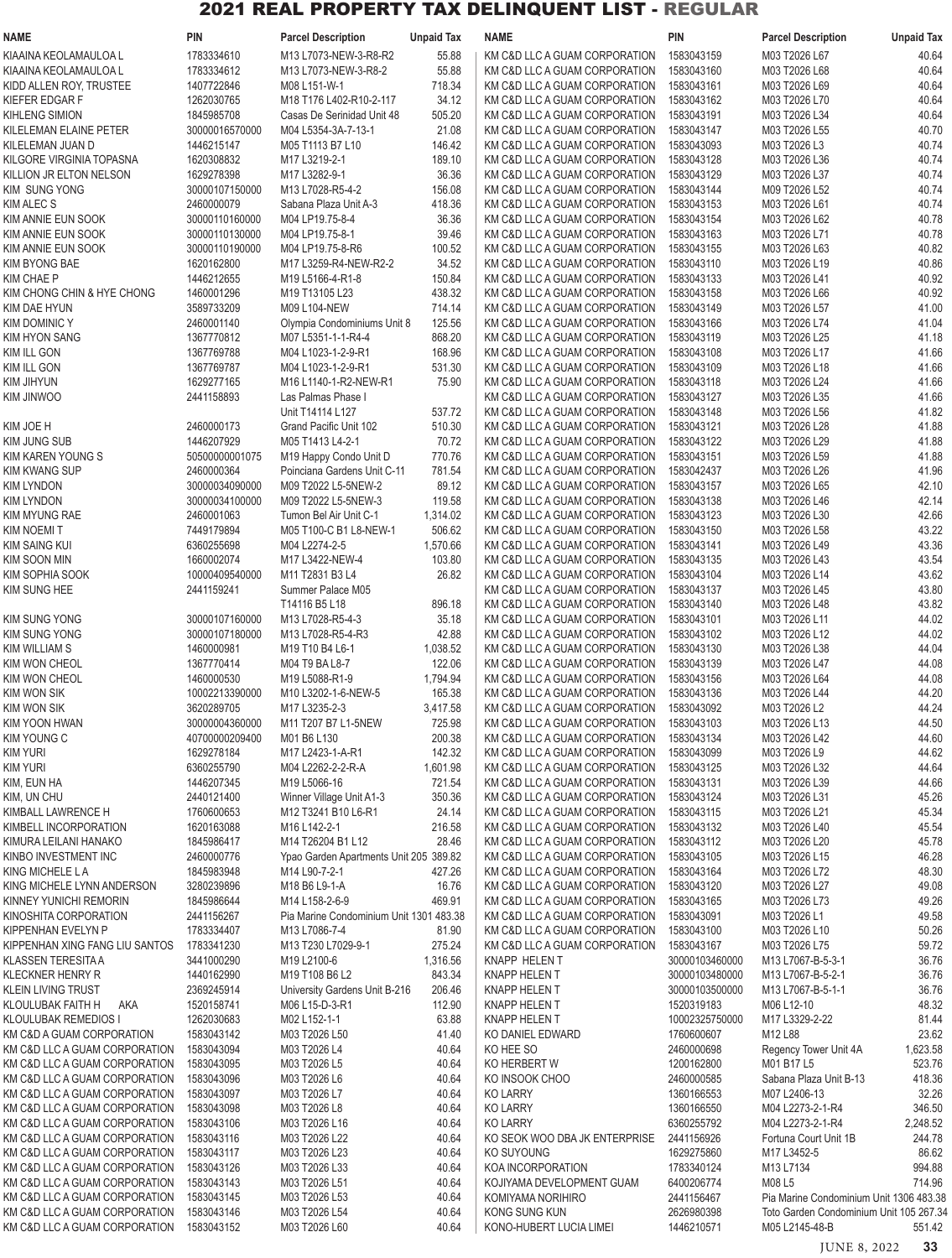| <b>NAME</b>                                                    | PIN                              | <b>Parcel Description</b>                                                          | <b>Unpaid Tax</b> | <b>NAME</b>                                                    | PIN                      | <b>Parcel Description</b>                                                          | <b>Unpaid Tax</b> |
|----------------------------------------------------------------|----------------------------------|------------------------------------------------------------------------------------|-------------------|----------------------------------------------------------------|--------------------------|------------------------------------------------------------------------------------|-------------------|
| KIAAINA KEOLAMAULOA L                                          | 1783334610                       | M13 L7073-NEW-3-R8-R2                                                              | 55.88             | KM C&D LLC A GUAM CORPORATION                                  | 1583043159               | M03 T2026 L67                                                                      | 40.64             |
| KIAAINA KEOLAMAULOA L                                          | 1783334612                       | M13 L7073-NEW-3-R8-2                                                               | 55.88             | KM C&D LLC A GUAM CORPORATION                                  | 1583043160               | M03 T2026 L68                                                                      | 40.64             |
| KIDD ALLEN ROY, TRUSTEE                                        | 1407722846                       | M08 L151-W-1                                                                       | 718.34            | KM C&D LLC A GUAM CORPORATION                                  | 1583043161               | M03 T2026 L69                                                                      | 40.64             |
| KIEFER EDGAR F                                                 | 1262030765                       | M18 T176 L402-R10-2-117                                                            | 34.12             | KM C&D LLC A GUAM CORPORATION                                  | 1583043162               | M03 T2026 L70                                                                      | 40.64             |
| KIHLENG SIMION                                                 | 1845985708                       | Casas De Serinidad Unit 48                                                         | 505.20            | KM C&D LLC A GUAM CORPORATION                                  | 1583043191               | M03 T2026 L34                                                                      | 40.64             |
| KILELEMAN ELAINE PETER                                         | 30000016570000                   | M04 L5354-3A-7-13-1                                                                | 21.08             | KM C&D LLC A GUAM CORPORATION                                  | 1583043147<br>1583043093 | M03 T2026 L55                                                                      | 40.70             |
| KILELEMAN JUAN D<br>KILGORE VIRGINIA TOPASNA                   | 1446215147<br>1620308832         | M05 T1113 B7 L10<br>M17 L3219-2-1                                                  | 146.42<br>189.10  | KM C&D LLC A GUAM CORPORATION<br>KM C&D LLC A GUAM CORPORATION | 1583043128               | M03 T2026 L3<br>M03 T2026 L36                                                      | 40.74<br>40.74    |
| KILLION JR ELTON NELSON                                        | 1629278398                       | M17 L3282-9-1                                                                      | 36.36             | KM C&D LLC A GUAM CORPORATION                                  | 1583043129               | M03 T2026 L37                                                                      | 40.74             |
| <b>KIM SUNG YONG</b>                                           | 30000107150000                   | M13 L7028-R5-4-2                                                                   | 156.08            | KM C&D LLC A GUAM CORPORATION                                  | 1583043144               | M09 T2026 L52                                                                      | 40.74             |
| <b>KIM ALEC S</b>                                              | 2460000079                       | Sabana Plaza Unit A-3                                                              | 418.36            | KM C&D LLC A GUAM CORPORATION                                  | 1583043153               | M03 T2026 L61                                                                      | 40.74             |
| KIM ANNIE EUN SOOK                                             | 30000110160000                   | M04 LP19.75-8-4                                                                    | 36.36             | KM C&D LLC A GUAM CORPORATION                                  | 1583043154               | M03 T2026 L62                                                                      | 40.78             |
| KIM ANNIE EUN SOOK                                             | 30000110130000                   | M04 LP19.75-8-1                                                                    | 39.46             | KM C&D LLC A GUAM CORPORATION                                  | 1583043163               | M03 T2026 L71                                                                      | 40.78             |
| KIM ANNIE EUN SOOK                                             | 30000110190000                   | M04 LP19.75-8-R6                                                                   | 100.52            | KM C&D LLC A GUAM CORPORATION                                  | 1583043155               | M03 T2026 L63                                                                      | 40.82             |
| <b>KIM BYONG BAE</b>                                           | 1620162800                       | M17 L3259-R4-NEW-R2-2                                                              | 34.52             | KM C&D LLC A GUAM CORPORATION                                  | 1583043110               | M03 T2026 L19                                                                      | 40.86             |
| KIM CHAE P                                                     | 1446212655                       | M <sub>19</sub> L <sub>5166</sub> -4-R <sub>1</sub> -8                             | 150.84            | KM C&D LLC A GUAM CORPORATION                                  | 1583043133               | M03 T2026 L41                                                                      | 40.92             |
| KIM CHONG CHIN & HYE CHONG                                     | 1460001296                       | M19 T13105 L23                                                                     | 438.32            | KM C&D LLC A GUAM CORPORATION                                  | 1583043158               | M03 T2026 L66                                                                      | 40.92             |
| KIM DAE HYUN<br><b>KIM DOMINIC Y</b>                           | 3589733209<br>2460001140         | M09 L104-NEW<br>Olympia Condominiums Unit 8                                        | 714.14<br>125.56  | KM C&D LLC A GUAM CORPORATION<br>KM C&D LLC A GUAM CORPORATION | 1583043149<br>1583043166 | M03 T2026 L57<br>M03 T2026 L74                                                     | 41.00<br>41.04    |
| <b>KIM HYON SANG</b>                                           | 1367770812                       | M07 L5351-1-1-R4-4                                                                 | 868.20            | KM C&D LLC A GUAM CORPORATION                                  | 1583043119               | M03 T2026 L25                                                                      | 41.18             |
| KIM ILL GON                                                    | 1367769788                       | M04 L1023-1-2-9-R1                                                                 | 168.96            | KM C&D LLC A GUAM CORPORATION                                  | 1583043108               | M03 T2026 L17                                                                      | 41.66             |
| KIM ILL GON                                                    | 1367769787                       | M04 L1023-1-2-9-R1                                                                 | 531.30            | KM C&D LLC A GUAM CORPORATION                                  | 1583043109               | M03 T2026 L18                                                                      | 41.66             |
| KIM JIHYUN                                                     | 1629277165                       | M16 L1140-1-R2-NEW-R1                                                              | 75.90             | KM C&D LLC A GUAM CORPORATION                                  | 1583043118               | M03 T2026 L24                                                                      | 41.66             |
| KIM JINWOO                                                     | 2441158893                       | Las Palmas Phase I                                                                 |                   | KM C&D LLC A GUAM CORPORATION                                  | 1583043127               | M03 T2026 L35                                                                      | 41.66             |
|                                                                |                                  | Unit T14114 L127                                                                   | 537.72            | KM C&D LLC A GUAM CORPORATION                                  | 1583043148               | M03 T2026 L56                                                                      | 41.82             |
| KIM JOE H                                                      | 2460000173                       | Grand Pacific Unit 102                                                             | 510.30            | KM C&D LLC A GUAM CORPORATION                                  | 1583043121               | M03 T2026 L28                                                                      | 41.88             |
| KIM JUNG SUB                                                   | 1446207929                       | M05 T1413 L4-2-1                                                                   | 70.72             | KM C&D LLC A GUAM CORPORATION                                  | 1583043122               | M03 T2026 L29                                                                      | 41.88             |
| KIM KAREN YOUNG S                                              | 50500000001075                   | M19 Happy Condo Unit D                                                             | 770.76            | KM C&D LLC A GUAM CORPORATION                                  | 1583043151               | M03 T2026 L59                                                                      | 41.88             |
| KIM KWANG SUP                                                  | 2460000364                       | Poinciana Gardens Unit C-11                                                        | 781.54            | KM C&D LLC A GUAM CORPORATION                                  | 1583042437               | M03 T2026 L26                                                                      | 41.96             |
| <b>KIM LYNDON</b><br><b>KIM LYNDON</b>                         | 30000034090000<br>30000034100000 | M09 T2022 L5-5NEW-2<br>M09 T2022 L5-5NEW-3                                         | 89.12<br>119.58   | KM C&D LLC A GUAM CORPORATION<br>KM C&D LLC A GUAM CORPORATION | 1583043157<br>1583043138 | M03 T2026 L65<br>M03 T2026 L46                                                     | 42.10<br>42.14    |
| KIM MYUNG RAE                                                  | 2460001063                       | Tumon Bel Air Unit C-1                                                             | 1,314.02          | KM C&D LLC A GUAM CORPORATION                                  | 1583043123               | M03 T2026 L30                                                                      | 42.66             |
| <b>KIM NOEMIT</b>                                              | 7449179894                       | M05 T100-C B1 L8-NEW-1                                                             | 506.62            | KM C&D LLC A GUAM CORPORATION                                  | 1583043150               | M03 T2026 L58                                                                      | 43.22             |
| <b>KIM SAING KUI</b>                                           | 6360255698                       | M04 L2274-2-5                                                                      | 1,570.66          | KM C&D LLC A GUAM CORPORATION                                  | 1583043141               | M03 T2026 L49                                                                      | 43.36             |
| <b>KIM SOON MIN</b>                                            | 1660002074                       | M17 L3422-NEW-4                                                                    | 103.80            | KM C&D LLC A GUAM CORPORATION                                  | 1583043135               | M03 T2026 L43                                                                      | 43.54             |
| KIM SOPHIA SOOK                                                | 10000409540000                   | M11 T2831 B3 L4                                                                    | 26.82             | KM C&D LLC A GUAM CORPORATION                                  | 1583043104               | M03 T2026 L14                                                                      | 43.62             |
| KIM SUNG HEE                                                   | 2441159241                       | Summer Palace M05                                                                  |                   | KM C&D LLC A GUAM CORPORATION                                  | 1583043137               | M03 T2026 L45                                                                      | 43.80             |
|                                                                |                                  | T14116 B5 L18                                                                      | 896.18            | KM C&D LLC A GUAM CORPORATION                                  | 1583043140               | M03 T2026 L48                                                                      | 43.82             |
| KIM SUNG YONG                                                  | 30000107160000                   | M13 L7028-R5-4-3                                                                   | 35.18             | KM C&D LLC A GUAM CORPORATION                                  | 1583043101               | M03 T2026 L11                                                                      | 44.02             |
| <b>KIM SUNG YONG</b><br>KIM WILLIAM S                          | 30000107180000<br>1460000981     | M13 L7028-R5-4-R3                                                                  | 42.88<br>1,038.52 | KM C&D LLC A GUAM CORPORATION<br>KM C&D LLC A GUAM CORPORATION | 1583043102<br>1583043130 | M03 T2026 L12<br>M03 T2026 L38                                                     | 44.02<br>44.04    |
| KIM WON CHEOL                                                  | 1367770414                       | M <sub>19</sub> T <sub>10</sub> B <sub>4</sub> L <sub>6</sub> -1<br>M04 T9 BA L8-7 | 122.06            | KM C&D LLC A GUAM CORPORATION                                  | 1583043139               | M03 T2026 L47                                                                      | 44.08             |
| KIM WON CHEOL                                                  | 1460000530                       | M <sub>19</sub> L <sub>5088</sub> -R <sub>1</sub> -9                               | 1,794.94          | KM C&D LLC A GUAM CORPORATION                                  | 1583043156               | M03 T2026 L64                                                                      | 44.08             |
| <b>KIM WON SIK</b>                                             | 10002213390000                   | M10 L3202-1-6-NEW-5                                                                | 165.38            | KM C&D LLC A GUAM CORPORATION                                  | 1583043136               | M03 T2026 L44                                                                      | 44.20             |
| <b>KIM WON SIK</b>                                             | 3620289705                       | M17 L3235-2-3                                                                      | 3,417.58          | KM C&D LLC A GUAM CORPORATION                                  | 1583043092               | M03 T2026 L2                                                                       | 44.24             |
| KIM YOON HWAN                                                  | 30000004360000                   | M11 T207 B7 L1-5NEW                                                                | 725.98            | KM C&D LLC A GUAM CORPORATION                                  | 1583043103               | M03 T2026 L13                                                                      | 44.50             |
| <b>KIM YOUNG C</b>                                             | 40700000209400                   | M01 B6 L130                                                                        | 200.38            | KM C&D LLC A GUAM CORPORATION                                  | 1583043134               | M03 T2026 L42                                                                      | 44.60             |
| <b>KIM YURI</b>                                                | 1629278184                       | M17 L2423-1-A-R1                                                                   | 142.32            | KM C&D LLC A GUAM CORPORATION                                  | 1583043099               | M03 T2026 L9                                                                       | 44.62             |
| <b>KIM YURI</b>                                                | 6360255790                       | M04 L2262-2-2-R-A                                                                  | 1,601.98          | KM C&D LLC A GUAM CORPORATION                                  | 1583043125               | M03 T2026 L32                                                                      | 44.64             |
| KIM, EUN HA<br>KIM, UN CHU                                     | 1446207345<br>2440121400         | M19 L5066-16<br>Winner Village Unit A1-3                                           | 721.54<br>350.36  | KM C&D LLC A GUAM CORPORATION<br>KM C&D LLC A GUAM CORPORATION | 1583043131<br>1583043124 | M03 T2026 L39<br>M03 T2026 L31                                                     | 44.66<br>45.26    |
| KIMBALL LAWRENCE H                                             | 1760600653                       | M12 T3241 B10 L6-R1                                                                | 24.14             | KM C&D LLC A GUAM CORPORATION                                  | 1583043115               | M03 T2026 L21                                                                      | 45.34             |
| KIMBELL INCORPORATION                                          | 1620163088                       | M16 L142-2-1                                                                       | 216.58            | KM C&D LLC A GUAM CORPORATION                                  | 1583043132               | M03 T2026 L40                                                                      | 45.54             |
| KIMURA LEILANI HANAKO                                          | 1845986417                       | M14 T26204 B1 L12                                                                  | 28.46             | KM C&D LLC A GUAM CORPORATION                                  | 1583043112               | M03 T2026 L20                                                                      | 45.78             |
| KINBO INVESTMENT INC                                           | 2460000776                       | Ypao Garden Apartments Unit 205 389.82                                             |                   | KM C&D LLC A GUAM CORPORATION                                  | 1583043105               | M03 T2026 L15                                                                      | 46.28             |
| KING MICHELE LA                                                | 1845983948                       | M14 L90-7-2-1                                                                      | 427.26            | KM C&D LLC A GUAM CORPORATION                                  | 1583043164               | M03 T2026 L72                                                                      | 48.30             |
| KING MICHELE LYNN ANDERSON                                     | 3280239896                       | M18 B6 L9-1-A                                                                      | 16.76             | KM C&D LLC A GUAM CORPORATION                                  | 1583043120               | M03 T2026 L27                                                                      | 49.08             |
| KINNEY YUNICHI REMORIN                                         | 1845986644                       | M14 L158-2-6-9                                                                     | 469.91            | KM C&D LLC A GUAM CORPORATION                                  | 1583043165               | M03 T2026 L73                                                                      | 49.26             |
| KINOSHITA CORPORATION<br>KIPPENHAN EVELYN P                    | 2441156267<br>1783334407         | Pia Marine Condominium Unit 1301 483.38<br>M13 L7086-7-4                           | 81.90             | KM C&D LLC A GUAM CORPORATION<br>KM C&D LLC A GUAM CORPORATION | 1583043091<br>1583043100 | M03 T2026 L1<br>M03 T2026 L10                                                      | 49.58<br>50.26    |
| KIPPENHAN XING FANG LIU SANTOS                                 | 1783341230                       | M13 T230 L7029-9-1                                                                 | 275.24            | KM C&D LLC A GUAM CORPORATION                                  | 1583043167               | M03 T2026 L75                                                                      | 59.72             |
| <b>KLASSEN TERESITA A</b>                                      | 3441000290                       | M19 L2100-6                                                                        | 1,316.56          | KNAPP HELEN T                                                  | 30000103460000           | M13 L7067-B-5-3-1                                                                  | 36.76             |
| <b>KLECKNER HENRY R</b>                                        | 1440162990                       | M19 T108 B6 L2                                                                     | 843.34            | KNAPP HELEN T                                                  | 30000103480000           | M13 L7067-B-5-2-1                                                                  | 36.76             |
| KLEIN LIVING TRUST                                             | 2369245914                       | University Gardens Unit B-216                                                      | 206.46            | KNAPP HELEN T                                                  | 30000103500000           | M13 L7067-B-5-1-1                                                                  | 36.76             |
| KLOULUBAK FAITH H<br>AKA                                       | 1520158741                       | M06 L15-D-3-R1                                                                     | 112.90            | KNAPP HELEN T                                                  | 1520319183               | M06 L12-10                                                                         | 48.32             |
| KLOULUBAK REMEDIOS I                                           | 1262030683                       | M02 L152-1-1                                                                       | 63.88             | KNAPP HELEN T                                                  | 10002325750000           | M17 L3329-2-22                                                                     | 81.44             |
| KM C&D A GUAM CORPORATION                                      | 1583043142                       | M03 T2026 L50                                                                      | 41.40             | KO DANIEL EDWARD                                               | 1760600607               | M12 L88                                                                            | 23.62             |
| KM C&D LLC A GUAM CORPORATION                                  | 1583043094                       | M03 T2026 L4                                                                       | 40.64             | KO HEE SO                                                      | 2460000698               | Regency Tower Unit 4A                                                              | 1,623.58          |
| KM C&D LLC A GUAM CORPORATION<br>KM C&D LLC A GUAM CORPORATION | 1583043095<br>1583043096         | M03 T2026 L5<br>M03 T2026 L6                                                       | 40.64<br>40.64    | KO HERBERT W<br>KO INSOOK CHOO                                 | 1200162800<br>2460000585 | M01 B17 L5<br>Sabana Plaza Unit B-13                                               | 523.76<br>418.36  |
| KM C&D LLC A GUAM CORPORATION                                  | 1583043097                       | M03 T2026 L7                                                                       | 40.64             | <b>KO LARRY</b>                                                | 1360166553               | M07 L2406-13                                                                       | 32.26             |
| KM C&D LLC A GUAM CORPORATION                                  | 1583043098                       | M03 T2026 L8                                                                       | 40.64             | <b>KO LARRY</b>                                                | 1360166550               | M04 L2273-2-1-R4                                                                   | 346.50            |
| KM C&D LLC A GUAM CORPORATION                                  | 1583043106                       | M03 T2026 L16                                                                      | 40.64             | <b>KO LARRY</b>                                                | 6360255792               | M04 L2273-2-1-R4                                                                   | 2,248.52          |
| KM C&D LLC A GUAM CORPORATION                                  | 1583043116                       | M03 T2026 L22                                                                      | 40.64             | KO SEOK WOO DBA JK ENTERPRISE                                  | 2441156926               | Fortuna Court Unit 1B                                                              | 244.78            |
| KM C&D LLC A GUAM CORPORATION                                  | 1583043117                       | M03 T2026 L23                                                                      | 40.64             | KO SUYOUNG                                                     | 1629275860               | M17 L3452-5                                                                        | 86.62             |
| KM C&D LLC A GUAM CORPORATION                                  | 1583043126                       | M03 T2026 L33                                                                      | 40.64             | KOA INCORPORATION                                              | 1783340124               | M13 L7134                                                                          | 994.88            |
| KM C&D LLC A GUAM CORPORATION                                  | 1583043143                       | M03 T2026 L51                                                                      | 40.64             | KOJIYAMA DEVELOPMENT GUAM                                      | 6400206774               | M08 L5                                                                             | 714.96            |
| KM C&D LLC A GUAM CORPORATION<br>KM C&D LLC A GUAM CORPORATION | 1583043145<br>1583043146         | M03 T2026 L53<br>M03 T2026 L54                                                     | 40.64<br>40.64    | KOMIYAMA NORIHIRO<br>KONG SUNG KUN                             | 2441156467<br>2626980398 | Pia Marine Condominium Unit 1306 483.38<br>Toto Garden Condominium Unit 105 267.34 |                   |
| KM C&D LLC A GUAM CORPORATION                                  | 1583043152                       | M03 T2026 L60                                                                      | 40.64             | KONO-HUBERT LUCIA LIMEI                                        | 1446210571               | M05 L2145-48-B                                                                     | 551.42            |
|                                                                |                                  |                                                                                    |                   |                                                                |                          |                                                                                    |                   |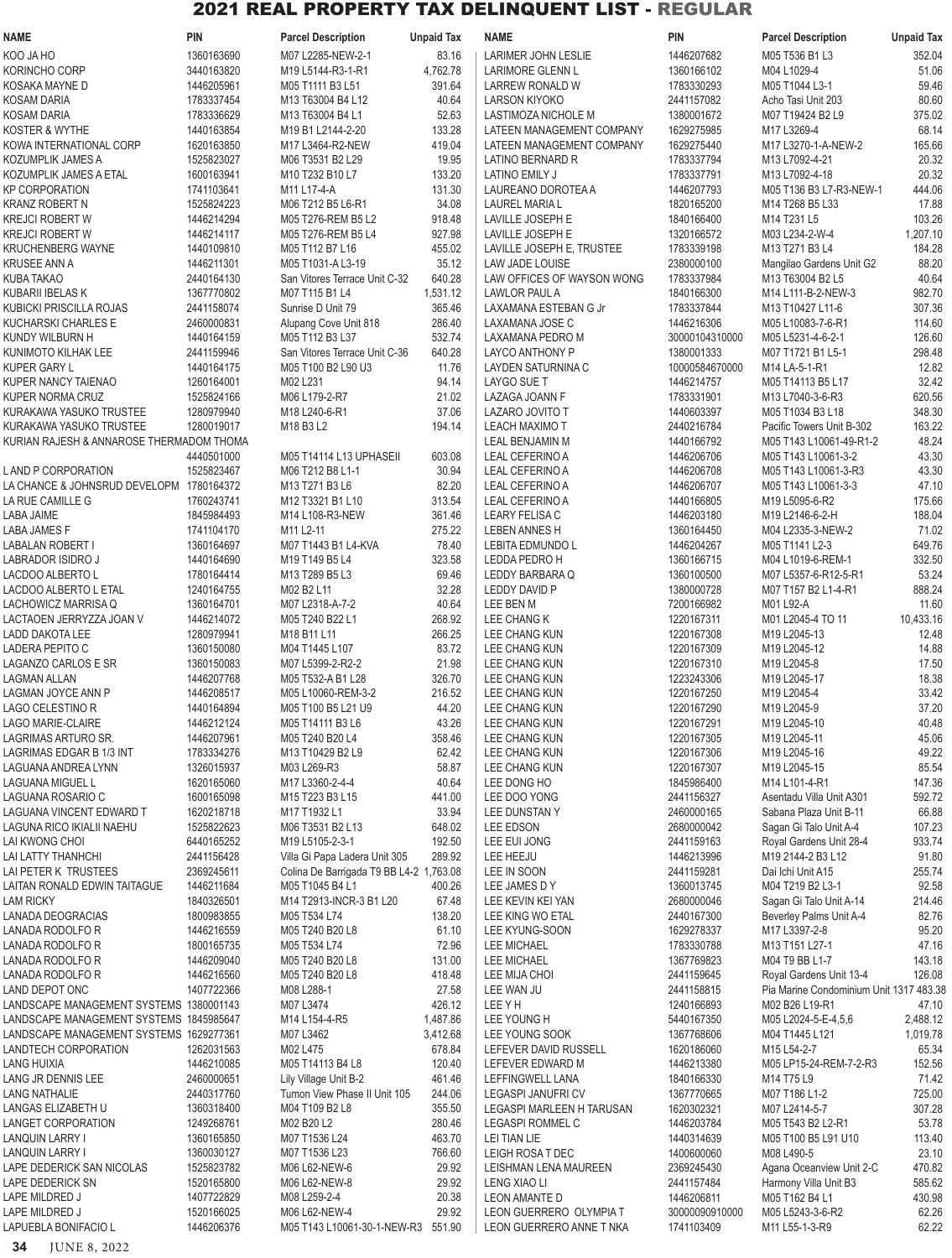| <b>NAME</b>                                     | <b>PIN</b>               | <b>Parcel Description</b>                      | <b>Unpaid Tax</b> | <b>NAME</b>                                     | <b>PIN</b>                   | <b>Parcel Description</b>                | <b>Unpaid Tax</b> |
|-------------------------------------------------|--------------------------|------------------------------------------------|-------------------|-------------------------------------------------|------------------------------|------------------------------------------|-------------------|
| KOO JA HO                                       | 1360163690               | M07 L2285-NEW-2-1                              | 83.16             | <b>LARIMER JOHN LESLIE</b>                      | 1446207682                   | M05 T536 B1 L3                           | 352.04            |
| KORINCHO CORP                                   | 3440163820               | M19 L5144-R3-1-R1                              | 4,762.78          | <b>LARIMORE GLENN L</b>                         | 1360166102                   | M04 L1029-4                              | 51.06             |
| KOSAKA MAYNE D                                  | 1446205961               | M05 T1111 B3 L51                               | 391.64            | LARREW RONALD W                                 | 1783330293                   | M05 T1044 L3-1                           | 59.46             |
| KOSAM DARIA                                     | 1783337454               | M13 T63004 B4 L12                              | 40.64             | <b>LARSON KIYOKO</b>                            | 2441157082                   | Acho Tasi Unit 203                       | 80.60             |
| <b>KOSAM DARIA</b>                              | 1783336629               | M13 T63004 B4 L1                               | 52.63             | LASTIMOZA NICHOLE M                             | 1380001672                   | M07 T19424 B2 L9                         | 375.02            |
| KOSTER & WYTHE                                  | 1440163854<br>1620163850 | M19 B1 L2144-2-20                              | 133.28<br>419.04  | <b>LATEEN MANAGEMENT COMPANY</b>                | 1629275985<br>1629275440     | M17 L3269-4<br>M17 L3270-1-A-NEW-2       | 68.14             |
| KOWA INTERNATIONAL CORP<br>KOZUMPLIK JAMES A    | 1525823027               | M17 L3464-R2-NEW<br>M06 T3531 B2 L29           | 19.95             | LATEEN MANAGEMENT COMPANY<br>LATINO BERNARD R   | 1783337794                   | M13 L7092-4-21                           | 165.66<br>20.32   |
| KOZUMPLIK JAMES A ETAL                          | 1600163941               | M10 T232 B10 L7                                | 133.20            | <b>LATINO EMILY J</b>                           | 1783337791                   | M13 L7092-4-18                           | 20.32             |
| <b>KP CORPORATION</b>                           | 1741103641               | M11 L17-4-A                                    | 131.30            | LAUREANO DOROTEA A                              | 1446207793                   | M05 T136 B3 L7-R3-NEW-1                  | 444.06            |
| <b>KRANZ ROBERT N</b>                           | 1525824223               | M06 T212 B5 L6-R1                              | 34.08             | <b>LAUREL MARIA L</b>                           | 1820165200                   | M14 T268 B5 L33                          | 17.88             |
| KREJCI ROBERT W                                 | 1446214294               | M05 T276-REM B5 L2                             | 918.48            | <b>LAVILLE JOSEPH E</b>                         | 1840166400                   | M14 T231 L5                              | 103.26            |
| <b>KREJCI ROBERT W</b>                          | 1446214117               | M05 T276-REM B5 L4                             | 927.98            | LAVILLE JOSEPH E                                | 1320166572                   | M03 L234-2-W-4                           | 1,207.10          |
| KRUCHENBERG WAYNE                               | 1440109810               | M05 T112 B7 L16                                | 455.02            | LAVILLE JOSEPH E, TRUSTEE                       | 1783339198                   | M13 T271 B3 L4                           | 184.28            |
| <b>KRUSEE ANN A</b>                             | 1446211301               | M05 T1031-A L3-19                              | 35.12             | LAW JADE LOUISE                                 | 2380000100                   | Mangilao Gardens Unit G2                 | 88.20             |
| KUBA TAKAO                                      | 2440164130               | San Vitores Terrace Unit C-32                  | 640.28            | LAW OFFICES OF WAYSON WONG                      | 1783337984                   | M13 T63004 B2 L5                         | 40.64             |
| KUBARII IBELAS K                                | 1367770802               | M07 T115 B1 L4                                 | 1,531.12          | LAWLOR PAUL A                                   | 1840166300                   | M14 L111-B-2-NEW-3                       | 982.70            |
| KUBICKI PRISCILLA ROJAS                         | 2441158074               | Sunrise D Unit 79                              | 365.46            | LAXAMANA ESTEBAN G Jr                           | 1783337844                   | M13 T10427 L11-6                         | 307.36            |
| <b>KUCHARSKI CHARLES E</b>                      | 2460000831               | Alupang Cove Unit 818<br>M05 T112 B3 L37       | 286.40            | LAXAMANA JOSE C                                 | 1446216306                   | M05 L10083-7-6-R1                        | 114.60            |
| KUNDY WILBURN H<br>KUNIMOTO KILHAK LEE          | 1440164159<br>2441159946 | San Vitores Terrace Unit C-36                  | 532.74<br>640.28  | LAXAMANA PEDRO M<br>LAYCO ANTHONY P             | 30000104310000<br>1380001333 | M05 L5231-4-6-2-1<br>M07 T1721 B1 L5-1   | 126.60<br>298.48  |
| <b>KUPER GARY L</b>                             | 1440164175               | M05 T100 B2 L90 U3                             | 11.76             | LAYDEN SATURNINA C                              | 10000584670000               | M14 LA-5-1-R1                            | 12.82             |
| KUPER NANCY TAIENAO                             | 1260164001               | M02 L231                                       | 94.14             | <b>LAYGO SUE T</b>                              | 1446214757                   | M05 T14113 B5 L17                        | 32.42             |
| <b>KUPER NORMA CRUZ</b>                         | 1525824166               | M06 L179-2-R7                                  | 21.02             | LAZAGA JOANN F                                  | 1783331901                   | M13 L7040-3-6-R3                         | 620.56            |
| KURAKAWA YASUKO TRUSTEE                         | 1280979940               | M18 L240-6-R1                                  | 37.06             | LAZARO JOVITO T                                 | 1440603397                   | M05 T1034 B3 L18                         | 348.30            |
| KURAKAWA YASUKO TRUSTEE                         | 1280019017               | M18 B3 L2                                      | 194.14            | <b>LEACH MAXIMO T</b>                           | 2440216784                   | Pacific Towers Unit B-302                | 163.22            |
| KURIAN RAJESH & ANNAROSE THERMADOM THOMA        |                          |                                                |                   | <b>LEAL BENJAMIN M</b>                          | 1440166792                   | M05 T143 L10061-49-R1-2                  | 48.24             |
|                                                 | 4440501000               | M05 T14114 L13 UPHASEII                        | 603.08            | <b>LEAL CEFERINO A</b>                          | 1446206706                   | M05 T143 L10061-3-2                      | 43.30             |
| LAND P CORPORATION                              | 1525823467               | M06 T212 B8 L1-1                               | 30.94             | <b>LEAL CEFERINO A</b>                          | 1446206708                   | M05 T143 L10061-3-R3                     | 43.30             |
| LA CHANCE & JOHNSRUD DEVELOPM 1780164372        |                          | M13 T271 B3 L6                                 | 82.20             | LEAL CEFERINO A                                 | 1446206707                   | M05 T143 L10061-3-3                      | 47.10             |
| LA RUE CAMILLE G                                | 1760243741               | M12 T3321 B1 L10                               | 313.54            | <b>LEAL CEFERINO A</b>                          | 1440166805                   | M19 L5095-6-R2                           | 175.66            |
| LABA JAIME                                      | 1845984493               | M14 L108-R3-NEW                                | 361.46            | <b>LEARY FELISA C</b>                           | 1446203180                   | M19 L2146-6-2-H                          | 188.04            |
| LABA JAMES F                                    | 1741104170<br>1360164697 | M11 L2-11<br>M07 T1443 B1 L4-KVA               | 275.22<br>78.40   | <b>LEBEN ANNES H</b>                            | 1360164450                   | M04 L2335-3-NEW-2<br>M05 T1141 L2-3      | 71.02             |
| LABALAN ROBERT I<br>LABRADOR ISIDRO J           | 1440164690               | M19 T149 B5 L4                                 | 323.58            | <b>LEBITA EDMUNDO L</b><br>LEDDA PEDRO H        | 1446204267<br>1360166715     | M04 L1019-6-REM-1                        | 649.76<br>332.50  |
| LACDOO ALBERTO L                                | 1780164414               | M13 T289 B5 L3                                 | 69.46             | LEDDY BARBARA Q                                 | 1360100500                   | M07 L5357-6-R12-5-R1                     | 53.24             |
| LACDOO ALBERTO L ETAL                           | 1240164755               | M02 B2 L11                                     | 32.28             | LEDDY DAVID P                                   | 1380000728                   | M07 T157 B2 L1-4-R1                      | 888.24            |
| LACHOWICZ MARRISA Q                             | 1360164701               | M07 L2318-A-7-2                                | 40.64             | LEE BEN M                                       | 7200166982                   | M01 L92-A                                | 11.60             |
| LACTAOEN JERRYZZA JOAN V                        | 1446214072               | M05 T240 B22 L1                                | 268.92            | LEE CHANG K                                     | 1220167311                   | M01 L2045-4 TO 11                        | 10,433.16         |
| LADD DAKOTA LEE                                 | 1280979941               | M18 B11 L11                                    | 266.25            | LEE CHANG KUN                                   | 1220167308                   | M19 L2045-13                             | 12.48             |
| LADERA PEPITO C                                 | 1360150080               | M04 T1445 L107                                 | 83.72             | LEE CHANG KUN                                   | 1220167309                   | M19 L2045-12                             | 14.88             |
| LAGANZO CARLOS E SR                             | 1360150083               | M07 L5399-2-R2-2                               | 21.98             | LEE CHANG KUN                                   | 1220167310                   | M19 L2045-8                              | 17.50             |
| <b>LAGMAN ALLAN</b>                             | 1446207768               | M05 T532-A B1 L28                              | 326.70            | LEE CHANG KUN                                   | 1223243306                   | M19 L2045-17                             | 18.38             |
| LAGMAN JOYCE ANN P                              | 1446208517               | M05 L10060-REM-3-2                             | 216.52            | LEE CHANG KUN                                   | 1220167250                   | M19 L2045-4                              | 33.42             |
| LAGO CELESTINO R                                | 1440164894               | M05 T100 B5 L21 U9                             | 44.20             | LEE CHANG KUN                                   | 1220167290                   | M19 L2045-9                              | 37.20             |
| <b>LAGO MARIE-CLAIRE</b>                        | 1446212124               | M05 T14111 B3 L6                               | 43.26             | LEE CHANG KUN<br>LEE CHANG KUN                  | 1220167291                   | M19 L2045-10                             | 40.48             |
| LAGRIMAS ARTURO SR.<br>LAGRIMAS EDGAR B 1/3 INT | 1446207961<br>1783334276 | M05 T240 B20 L4<br>M13 T10429 B2 L9            | 358.46<br>62.42   | LEE CHANG KUN                                   | 1220167305<br>1220167306     | M19 L2045-11<br>M19 L2045-16             | 45.06<br>49.22    |
| LAGUANA ANDREA LYNN                             | 1326015937               | M03 L269-R3                                    | 58.87             | LEE CHANG KUN                                   | 1220167307                   | M19 L2045-15                             | 85.54             |
| <b>LAGUANA MIGUEL L</b>                         | 1620165060               | M17 L3360-2-4-4                                | 40.64             | LEE DONG HO                                     | 1845986400                   | M14 L101-4-R1                            | 147.36            |
| LAGUANA ROSARIO C                               | 1600165098               | M15 T223 B3 L15                                | 441.00            | LEE DOO YONG                                    | 2441156327                   | Asentadu Villa Unit A301                 | 592.72            |
| LAGUANA VINCENT EDWARD T                        | 1620218718               | M17 T1932 L1                                   | 33.94             | LEE DUNSTAN Y                                   | 2460000165                   | Sabana Plaza Unit B-11                   | 66.88             |
| LAGUNA RICO IKIALII NAEHU                       | 1525822623               | M06 T3531 B2 L13                               | 648.02            | LEE EDSON                                       | 2680000042                   | Sagan Gi Talo Unit A-4                   | 107.23            |
| LAI KWONG CHOI                                  | 6440165252               | M19 L5105-2-3-1                                | 192.50            | LEE EUI JONG                                    | 2441159163                   | Royal Gardens Unit 28-4                  | 933.74            |
| LAI LATTY THANHCHI                              | 2441156428               | Villa Gi Papa Ladera Unit 305                  | 289.92            | LEE HEEJU                                       | 1446213996                   | M19 2144-2 B3 L12                        | 91.80             |
| LAI PETER K TRUSTEES                            | 2369245611               | Colina De Barrigada T9 BB L4-2 1,763.08        |                   | LEE IN SOON                                     | 2441159281                   | Dai Ichi Unit A15                        | 255.74            |
| LAITAN RONALD EDWIN TAITAGUE                    | 1446211684               | M05 T1045 B4 L1                                | 400.26            | LEE JAMES DY                                    | 1360013745                   | M04 T219 B2 L3-1                         | 92.58             |
| <b>LAM RICKY</b><br>LANADA DEOGRACIAS           | 1840326501<br>1800983855 | M14 T2913-INCR-3 B1 L20<br>M05 T534 L74        | 67.48<br>138.20   | LEE KEVIN KEI YAN<br>LEE KING WO ETAL           | 2680000046<br>2440167300     | Sagan Gi Talo Unit A-14                  | 214.46<br>82.76   |
| LANADA RODOLFO R                                | 1446216559               | M05 T240 B20 L8                                | 61.10             | LEE KYUNG-SOON                                  | 1629278337                   | Beverley Palms Unit A-4<br>M17 L3397-2-8 | 95.20             |
| LANADA RODOLFO R                                | 1800165735               | M05 T534 L74                                   | 72.96             | <b>LEE MICHAEL</b>                              | 1783330788                   | M13 T151 L27-1                           | 47.16             |
| LANADA RODOLFO R                                | 1446209040               | M05 T240 B20 L8                                | 131.00            | <b>LEE MICHAEL</b>                              | 1367769823                   | M04 T9 BB L1-7                           | 143.18            |
| LANADA RODOLFO R                                | 1446216560               | M05 T240 B20 L8                                | 418.48            | LEE MIJA CHOI                                   | 2441159645                   | Royal Gardens Unit 13-4                  | 126.08            |
| LAND DEPOT ONC                                  | 1407722366               | M08 L288-1                                     | 27.58             | LEE WAN JU                                      | 2441158815                   | Pia Marine Condominium Unit 1317 483.38  |                   |
| LANDSCAPE MANAGEMENT SYSTEMS 1380001143         |                          | M07 L3474                                      | 426.12            | LEE Y H                                         | 1240166893                   | M02 B26 L19-R1                           | 47.10             |
| LANDSCAPE MANAGEMENT SYSTEMS 1845985647         |                          | M14 L154-4-R5                                  | 1,487.86          | LEE YOUNG H                                     | 5440167350                   | M05 L2024-5-E-4,5,6                      | 2,488.12          |
| LANDSCAPE MANAGEMENT SYSTEMS 1629277361         |                          | M07 L3462                                      | 3,412.68          | LEE YOUNG SOOK                                  | 1367768606                   | M04 T1445 L121                           | 1,019.78          |
| LANDTECH CORPORATION                            | 1262031563               | M02 L475                                       | 678.84            | LEFEVER DAVID RUSSELL                           | 1620186060                   | M15 L54-2-7                              | 65.34             |
| <b>LANG HUIXIA</b>                              | 1446210085               | M05 T14113 B4 L8                               | 120.40            | LEFEVER EDWARD M                                | 1446213380                   | M05 LP15-24-REM-7-2-R3                   | 152.56            |
| LANG JR DENNIS LEE                              | 2460000651               | Lily Village Unit B-2                          | 461.46            | LEFFINGWELL LANA                                | 1840166330                   | M14 T75 L9                               | 71.42             |
| LANG NATHALIE<br>LANGAS ELIZABETH U             | 2440317760<br>1360318400 | Tumon View Phase II Unit 105<br>M04 T109 B2 L8 | 244.06<br>355.50  | LEGASPI JANUFRI CV<br>LEGASPI MARLEEN H TARUSAN | 1367770665<br>1620302321     | M07 T186 L1-2                            | 725.00<br>307.28  |
| LANGET CORPORATION                              | 1249268761               | M02 B20 L2                                     | 280.46            | LEGASPI ROMMEL C                                | 1446203784                   | M07 L2414-5-7<br>M05 T543 B2 L2-R1       | 53.78             |
| LANQUIN LARRY I                                 | 1360165850               | M07 T1536 L24                                  | 463.70            | LEI TIAN LIE                                    | 1440314639                   | M05 T100 B5 L91 U10                      | 113.40            |
| LANQUIN LARRY I                                 | 1360030127               | M07 T1536 L23                                  | 766.60            | LEIGH ROSA T DEC                                | 1400600060                   | M08 L490-5                               | 23.10             |
| LAPE DEDERICK SAN NICOLAS                       | 1525823782               | M06 L62-NEW-6                                  | 29.92             | LEISHMAN LENA MAUREEN                           | 2369245430                   | Agana Oceanview Unit 2-C                 | 470.82            |
| LAPE DEDERICK SN                                | 1520165800               | M06 L62-NEW-8                                  | 29.92             | LENG XIAO LI                                    | 2441157484                   | Harmony Villa Unit B3                    | 585.62            |
| LAPE MILDRED J                                  | 1407722829               | M08 L259-2-4                                   | 20.38             | LEON AMANTE D                                   | 1446206811                   | M05 T162 B4 L1                           | 430.98            |
| LAPE MILDRED J                                  | 1520166025               | M06 L62-NEW-4                                  | 29.92             | LEON GUERRERO OLYMPIA T                         | 30000090910000               | M05 L5243-3-6-R2                         | 62.26             |
| LAPUEBLA BONIFACIO L                            | 1446206376               | M05 T143 L10061-30-1-NEW-R3 551.90             |                   | LEON GUERRERO ANNE T NKA                        | 1741103409                   | M11 L55-1-3-R9                           | 62.22             |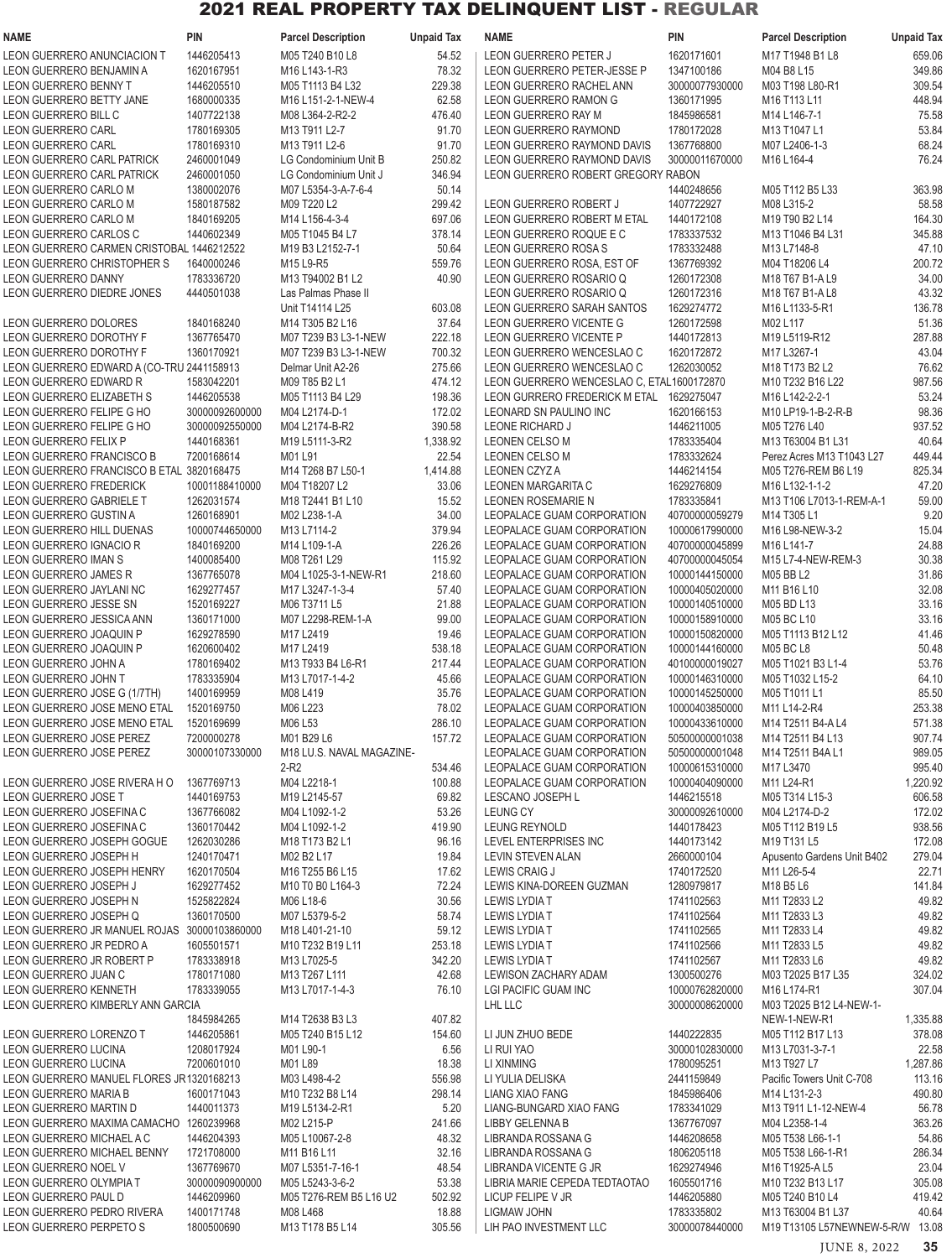| <b>NAME</b>                                                              | <b>PIN</b>                   | <b>Parcel Description</b>                           | <b>Unpaid Tax</b> | <b>NAME</b>                                              | PIN                              | <b>Parcel Description</b>                  | <b>Unpaid Tax</b>  |
|--------------------------------------------------------------------------|------------------------------|-----------------------------------------------------|-------------------|----------------------------------------------------------|----------------------------------|--------------------------------------------|--------------------|
| LEON GUERRERO ANUNCIACION T                                              | 1446205413                   | M05 T240 B10 L8                                     | 54.52             | LEON GUERRERO PETER J                                    | 1620171601                       | M17 T1948 B1 L8                            | 659.06             |
| LEON GUERRERO BENJAMIN A                                                 | 1620167951                   | M16 L143-1-R3                                       | 78.32             | LEON GUERRERO PETER-JESSE P                              | 1347100186                       | M04 B8 L15                                 | 349.86             |
| LEON GUERRERO BENNY T                                                    | 1446205510                   | M05 T1113 B4 L32                                    | 229.38            | LEON GUERRERO RACHEL ANN                                 | 30000077930000                   | M03 T198 L80-R1                            | 309.54             |
| LEON GUERRERO BETTY JANE<br>LEON GUERRERO BILL C                         | 1680000335<br>1407722138     | M16 L151-2-1-NEW-4<br>M08 L364-2-R2-2               | 62.58<br>476.40   | LEON GUERRERO RAMON G<br>LEON GUERRERO RAY M             | 1360171995<br>1845986581         | M16 T113 L11                               | 448.94<br>75.58    |
| LEON GUERRERO CARL                                                       | 1780169305                   | M13 T911 L2-7                                       | 91.70             | LEON GUERRERO RAYMOND                                    | 1780172028                       | M14 L146-7-1<br>M13 T1047 L1               | 53.84              |
| LEON GUERRERO CARL                                                       | 1780169310                   | M13 T911 L2-6                                       | 91.70             | LEON GUERRERO RAYMOND DAVIS                              | 1367768800                       | M07 L2406-1-3                              | 68.24              |
| LEON GUERRERO CARL PATRICK                                               | 2460001049                   | LG Condominium Unit B                               | 250.82            | LEON GUERRERO RAYMOND DAVIS                              | 30000011670000                   | M16 L164-4                                 | 76.24              |
| LEON GUERRERO CARL PATRICK                                               | 2460001050                   | LG Condominium Unit J                               | 346.94            | LEON GUERRERO ROBERT GREGORY RABON                       |                                  |                                            |                    |
| LEON GUERRERO CARLO M                                                    | 1380002076                   | M07 L5354-3-A-7-6-4                                 | 50.14             |                                                          | 1440248656                       | M05 T112 B5 L33                            | 363.98             |
| LEON GUERRERO CARLO M                                                    | 1580187582                   | M09 T220 L2                                         | 299.42            | LEON GUERRERO ROBERT J                                   | 1407722927                       | M08 L315-2                                 | 58.58              |
| LEON GUERRERO CARLO M                                                    | 1840169205                   | M14 L156-4-3-4                                      | 697.06            | LEON GUERRERO ROBERT M ETAL                              | 1440172108                       | M19 T90 B2 L14                             | 164.30             |
| LEON GUERRERO CARLOS C<br>LEON GUERRERO CARMEN CRISTOBAL 1446212522      | 1440602349                   | M05 T1045 B4 L7<br>M19 B3 L2152-7-1                 | 378.14<br>50.64   | LEON GUERRERO ROQUE E C<br>LEON GUERRERO ROSA S          | 1783337532<br>1783332488         | M13 T1046 B4 L31<br>M13 L7148-8            | 345.88<br>47.10    |
| LEON GUERRERO CHRISTOPHER S                                              | 1640000246                   | M15 L9-R5                                           | 559.76            | LEON GUERRERO ROSA, EST OF                               | 1367769392                       | M04 T18206 L4                              | 200.72             |
| LEON GUERRERO DANNY                                                      | 1783336720                   | M13 T94002 B1 L2                                    | 40.90             | LEON GUERRERO ROSARIO Q                                  | 1260172308                       | M18 T67 B1-A L9                            | 34.00              |
| LEON GUERRERO DIEDRE JONES                                               | 4440501038                   | Las Palmas Phase II                                 |                   | LEON GUERRERO ROSARIO Q                                  | 1260172316                       | M18 T67 B1-A L8                            | 43.32              |
|                                                                          |                              | Unit T14114 L25                                     | 603.08            | LEON GUERRERO SARAH SANTOS                               | 1629274772                       | M16 L1133-5-R1                             | 136.78             |
| LEON GUERRERO DOLORES                                                    | 1840168240                   | M14 T305 B2 L16                                     | 37.64             | LEON GUERRERO VICENTE G                                  | 1260172598                       | M02 L117                                   | 51.36              |
| <b>LEON GUERRERO DOROTHY F</b>                                           | 1367765470                   | M07 T239 B3 L3-1-NEW<br>M07 T239 B3 L3-1-NEW        | 222.18            | <b>LEON GUERRERO VICENTE P</b>                           | 1440172813                       | M19 L5119-R12                              | 287.88             |
| LEON GUERRERO DOROTHY F<br>LEON GUERRERO EDWARD A (CO-TRU 2441158913     | 1360170921                   | Delmar Unit A2-26                                   | 700.32<br>275.66  | LEON GUERRERO WENCESLAO C<br>LEON GUERRERO WENCESLAO C   | 1620172872<br>1262030052         | M17 L3267-1<br>M18 T173 B2 L2              | 43.04<br>76.62     |
| LEON GUERRERO EDWARD R                                                   | 1583042201                   | M09 T85 B2 L1                                       | 474.12            | LEON GUERRERO WENCESLAO C, ETAL1600172870                |                                  | M10 T232 B16 L22                           | 987.56             |
| LEON GUERRERO ELIZABETH S                                                | 1446205538                   | M05 T1113 B4 L29                                    | 198.36            | LEON GURRERO FREDERICK M ETAL 1629275047                 |                                  | M16 L142-2-2-1                             | 53.24              |
| LEON GUERRERO FELIPE G HO                                                | 30000092600000               | M04 L2174-D-1                                       | 172.02            | LEONARD SN PAULINO INC                                   | 1620166153                       | M10 LP19-1-B-2-R-B                         | 98.36              |
| LEON GUERRERO FELIPE G HO                                                | 30000092550000               | M04 L2174-B-R2                                      | 390.58            | LEONE RICHARD J                                          | 1446211005                       | M05 T276 L40                               | 937.52             |
| LEON GUERRERO FELIX P                                                    | 1440168361                   | M <sub>19</sub> L <sub>5111</sub> -3-R <sub>2</sub> | 1,338.92          | LEONEN CELSO M                                           | 1783335404                       | M13 T63004 B1 L31                          | 40.64              |
| LEON GUERRERO FRANCISCO B                                                | 7200168614                   | M01L91                                              | 22.54             | <b>LEONEN CELSO M</b>                                    | 1783332624                       | Perez Acres M13 T1043 L27                  | 449.44             |
| LEON GUERRERO FRANCISCO B ETAL 3820168475                                |                              | M14 T268 B7 L50-1                                   | 1,414.88<br>33.06 | <b>LEONEN CZYZA</b>                                      | 1446214154                       | M05 T276-REM B6 L19                        | 825.34<br>47.20    |
| LEON GUERRERO FREDERICK<br>LEON GUERRERO GABRIELE T                      | 10001188410000<br>1262031574 | M04 T18207 L2<br>M18 T2441 B1 L10                   | 15.52             | LEONEN MARGARITA C<br><b>LEONEN ROSEMARIE N</b>          | 1629276809<br>1783335841         | M16 L132-1-1-2<br>M13 T106 L7013-1-REM-A-1 | 59.00              |
| LEON GUERRERO GUSTIN A                                                   | 1260168901                   | M02 L238-1-A                                        | 34.00             | LEOPALACE GUAM CORPORATION                               | 40700000059279                   | M14 T305 L1                                | 9.20               |
| LEON GUERRERO HILL DUENAS                                                | 10000744650000               | M13 L7114-2                                         | 379.94            | LEOPALACE GUAM CORPORATION                               | 10000617990000                   | M16 L98-NEW-3-2                            | 15.04              |
| LEON GUERRERO IGNACIO R                                                  | 1840169200                   | M14 L109-1-A                                        | 226.26            | LEOPALACE GUAM CORPORATION                               | 40700000045899                   | M16 L141-7                                 | 24.88              |
| LEON GUERRERO IMAN S                                                     | 1400085400                   | M08 T261 L29                                        | 115.92            | LEOPALACE GUAM CORPORATION                               | 40700000045054                   | M15 L7-4-NEW-REM-3                         | 30.38              |
| LEON GUERRERO JAMES R                                                    | 1367765078                   | M04 L1025-3-1-NEW-R1                                | 218.60            | LEOPALACE GUAM CORPORATION                               | 10000144150000                   | M05 BB L2                                  | 31.86              |
| LEON GUERRERO JAYLANI NC                                                 | 1629277457                   | M17 L3247-1-3-4                                     | 57.40             | LEOPALACE GUAM CORPORATION                               | 10000405020000                   | M11 B16 L10                                | 32.08<br>33.16     |
| LEON GUERRERO JESSE SN<br>LEON GUERRERO JESSICA ANN                      | 1520169227<br>1360171000     | M06 T3711 L5<br>M07 L2298-REM-1-A                   | 21.88<br>99.00    | LEOPALACE GUAM CORPORATION<br>LEOPALACE GUAM CORPORATION | 10000140510000<br>10000158910000 | M05 BD L13<br>M05 BC L10                   | 33.16              |
| LEON GUERRERO JOAQUIN P                                                  | 1629278590                   | M17 L2419                                           | 19.46             | LEOPALACE GUAM CORPORATION                               | 10000150820000                   | M05 T1113 B12 L12                          | 41.46              |
| LEON GUERRERO JOAQUIN P                                                  | 1620600402                   | M17 L2419                                           | 538.18            | LEOPALACE GUAM CORPORATION                               | 10000144160000                   | <b>M05 BC L8</b>                           | 50.48              |
| LEON GUERRERO JOHN A                                                     | 1780169402                   | M13 T933 B4 L6-R1                                   | 217.44            | LEOPALACE GUAM CORPORATION                               | 40100000019027                   | M05 T1021 B3 L1-4                          | 53.76              |
| LEON GUERRERO JOHN T                                                     | 1783335904                   | M13 L7017-1-4-2                                     | 45.66             | LEOPALACE GUAM CORPORATION                               | 10000146310000                   | M05 T1032 L15-2                            | 64.10              |
| LEON GUERRERO JOSE G (1/7TH)                                             | 1400169959                   | M08 L419                                            | 35.76             | LEOPALACE GUAM CORPORATION                               | 10000145250000                   | M05 T1011 L1                               | 85.50              |
| LEON GUERRERO JOSE MENO ETAL<br>LEON GUERRERO JOSE MENO ETAL             | 1520169750<br>1520169699     | M06 L223<br>M06 L53                                 | 78.02<br>286.10   | LEOPALACE GUAM CORPORATION<br>LEOPALACE GUAM CORPORATION | 10000403850000<br>10000433610000 | M11 L14-2-R4<br>M14 T2511 B4-A L4          | 253.38<br>571.38   |
| LEON GUERRERO JOSE PEREZ                                                 | 7200000278                   | M01 B29 L6                                          | 157.72            | LEOPALACE GUAM CORPORATION                               | 50500000001038                   | M14 T2511 B4 L13                           | 907.74             |
| LEON GUERRERO JOSE PEREZ                                                 | 30000107330000               | M18 LU.S. NAVAL MAGAZINE-                           |                   | LEOPALACE GUAM CORPORATION                               | 50500000001048                   | M14 T2511 B4A L1                           | 989.05             |
|                                                                          |                              | $2-R2$                                              | 534.46            | LEOPALACE GUAM CORPORATION                               | 10000615310000                   | M17 L3470                                  | 995.40             |
| LEON GUERRERO JOSE RIVERA HO                                             | 1367769713                   | M04 L2218-1                                         | 100.88            | LEOPALACE GUAM CORPORATION                               | 10000404090000                   | M11 L24-R1                                 | 1,220.92           |
| LEON GUERRERO JOSE T                                                     | 1440169753                   | M19 L2145-57                                        | 69.82             | LESCANO JOSEPH L                                         | 1446215518                       | M05 T314 L15-3                             | 606.58             |
| LEON GUERRERO JOSEFINA C                                                 | 1367766082                   | M04 L1092-1-2                                       | 53.26             | <b>LEUNG CY</b>                                          | 30000092610000                   | M04 L2174-D-2                              | 172.02             |
| LEON GUERRERO JOSEFINA C<br>LEON GUERRERO JOSEPH GOGUE                   | 1360170442<br>1262030286     | M04 L1092-1-2<br>M18 T173 B2 L1                     | 419.90<br>96.16   | <b>LEUNG REYNOLD</b><br>LEVEL ENTERPRISES INC            | 1440178423<br>1440173142         | M05 T112 B19 L5<br>M19 T131 L5             | 938.56<br>172.08   |
| LEON GUERRERO JOSEPH H                                                   | 1240170471                   | M02 B2 L17                                          | 19.84             | LEVIN STEVEN ALAN                                        | 2660000104                       | Apusento Gardens Unit B402                 | 279.04             |
| <b>LEON GUERRERO JOSEPH HENRY</b>                                        | 1620170504                   | M16 T255 B6 L15                                     | 17.62             | LEWIS CRAIG J                                            | 1740172520                       | M11 L26-5-4                                | 22.71              |
| LEON GUERRERO JOSEPH J                                                   | 1629277452                   | M10 T0 B0 L164-3                                    | 72.24             | LEWIS KINA-DOREEN GUZMAN                                 | 1280979817                       | M18 B5 L6                                  | 141.84             |
| LEON GUERRERO JOSEPH N                                                   | 1525822824                   | M06 L18-6                                           | 30.56             | LEWIS LYDIA T                                            | 1741102563                       | M11 T2833 L2                               | 49.82              |
| LEON GUERRERO JOSEPH Q                                                   | 1360170500                   | M07 L5379-5-2                                       | 58.74             | LEWIS LYDIA T                                            | 1741102564                       | M11 T2833 L3                               | 49.82              |
| LEON GUERRERO JR MANUEL ROJAS 30000103860000<br>LEON GUERRERO JR PEDRO A | 1605501571                   | M18 L401-21-10                                      | 59.12             | LEWIS LYDIA T                                            | 1741102565<br>1741102566         | M11 T2833 L4                               | 49.82<br>49.82     |
| LEON GUERRERO JR ROBERT P                                                | 1783338918                   | M10 T232 B19 L11<br>M13 L7025-5                     | 253.18<br>342.20  | LEWIS LYDIA T<br>LEWIS LYDIA T                           | 1741102567                       | M11 T2833 L5<br>M11 T2833 L6               | 49.82              |
| LEON GUERRERO JUAN C                                                     | 1780171080                   | M13 T267 L111                                       | 42.68             | LEWISON ZACHARY ADAM                                     | 1300500276                       | M03 T2025 B17 L35                          | 324.02             |
| LEON GUERRERO KENNETH                                                    | 1783339055                   | M13 L7017-1-4-3                                     | 76.10             | LGI PACIFIC GUAM INC                                     | 10000762820000                   | M16 L174-R1                                | 307.04             |
| LEON GUERRERO KIMBERLY ANN GARCIA                                        |                              |                                                     |                   | LHL LLC                                                  | 30000008620000                   | M03 T2025 B12 L4-NEW-1-                    |                    |
|                                                                          | 1845984265                   | M14 T2638 B3 L3                                     | 407.82            |                                                          |                                  | NEW-1-NEW-R1                               | 1,335.88           |
| LEON GUERRERO LORENZO T                                                  | 1446205861                   | M05 T240 B15 L12                                    | 154.60            | LI JUN ZHUO BEDE                                         | 1440222835                       | M05 T112 B17 L13                           | 378.08             |
| LEON GUERRERO LUCINA<br>LEON GUERRERO LUCINA                             | 1208017924<br>7200601010     | M01 L90-1<br>M01L89                                 | 6.56              | LI RUI YAO<br>LI XINMING                                 | 30000102830000<br>1780095251     | M13 L7031-3-7-1<br>M13 T927 L7             | 22.58              |
| LEON GUERRERO MANUEL FLORES JR 1320168213                                |                              | M03 L498-4-2                                        | 18.38<br>556.98   | LI YULIA DELISKA                                         | 2441159849                       | Pacific Towers Unit C-708                  | 1,287.86<br>113.16 |
| LEON GUERRERO MARIA B                                                    | 1600171043                   | M10 T232 B8 L14                                     | 298.14            | LIANG XIAO FANG                                          | 1845986406                       | M14 L131-2-3                               | 490.80             |
| LEON GUERRERO MARTIN D                                                   | 1440011373                   | M19 L5134-2-R1                                      | 5.20              | LIANG-BUNGARD XIAO FANG                                  | 1783341029                       | M13 T911 L1-12-NEW-4                       | 56.78              |
| LEON GUERRERO MAXIMA CAMACHO 1260239968                                  |                              | M02 L215-P                                          | 241.66            | LIBBY GELENNA B                                          | 1367767097                       | M04 L2358-1-4                              | 363.26             |
| LEON GUERRERO MICHAEL A C                                                | 1446204393                   | M05 L10067-2-8                                      | 48.32             | LIBRANDA ROSSANA G                                       | 1446208658                       | M05 T538 L66-1-1                           | 54.86              |
| LEON GUERRERO MICHAEL BENNY                                              | 1721708000                   | M11 B16 L11                                         | 32.16             | LIBRANDA ROSSANA G                                       | 1806205118                       | M05 T538 L66-1-R1                          | 286.34             |
| LEON GUERRERO NOEL V                                                     | 1367769670                   | M07 L5351-7-16-1                                    | 48.54             | LIBRANDA VICENTE G JR                                    | 1629274946                       | M16 T1925-AL5                              | 23.04              |
| LEON GUERRERO OLYMPIA T<br>LEON GUERRERO PAUL D                          | 30000090900000<br>1446209960 | M05 L5243-3-6-2<br>M05 T276-REM B5 L16 U2           | 53.38<br>502.92   | LIBRIA MARIE CEPEDA TEDTAOTAO<br>LICUP FELIPE V JR       | 1605501716<br>1446205880         | M10 T232 B13 L17<br>M05 T240 B10 L4        | 305.08<br>419.42   |
| LEON GUERRERO PEDRO RIVERA                                               | 1400171748                   | M08 L468                                            | 18.88             | LIGMAW JOHN                                              | 1783335802                       | M13 T63004 B1 L37                          | 40.64              |
| LEON GUERRERO PERPETO S                                                  | 1800500690                   | M13 T178 B5 L14                                     | 305.56            | LIH PAO INVESTMENT LLC                                   | 30000078440000                   | M19 T13105 L57NEWNEW-5-R/W 13.08           |                    |

JUNE 8, 2022 **35**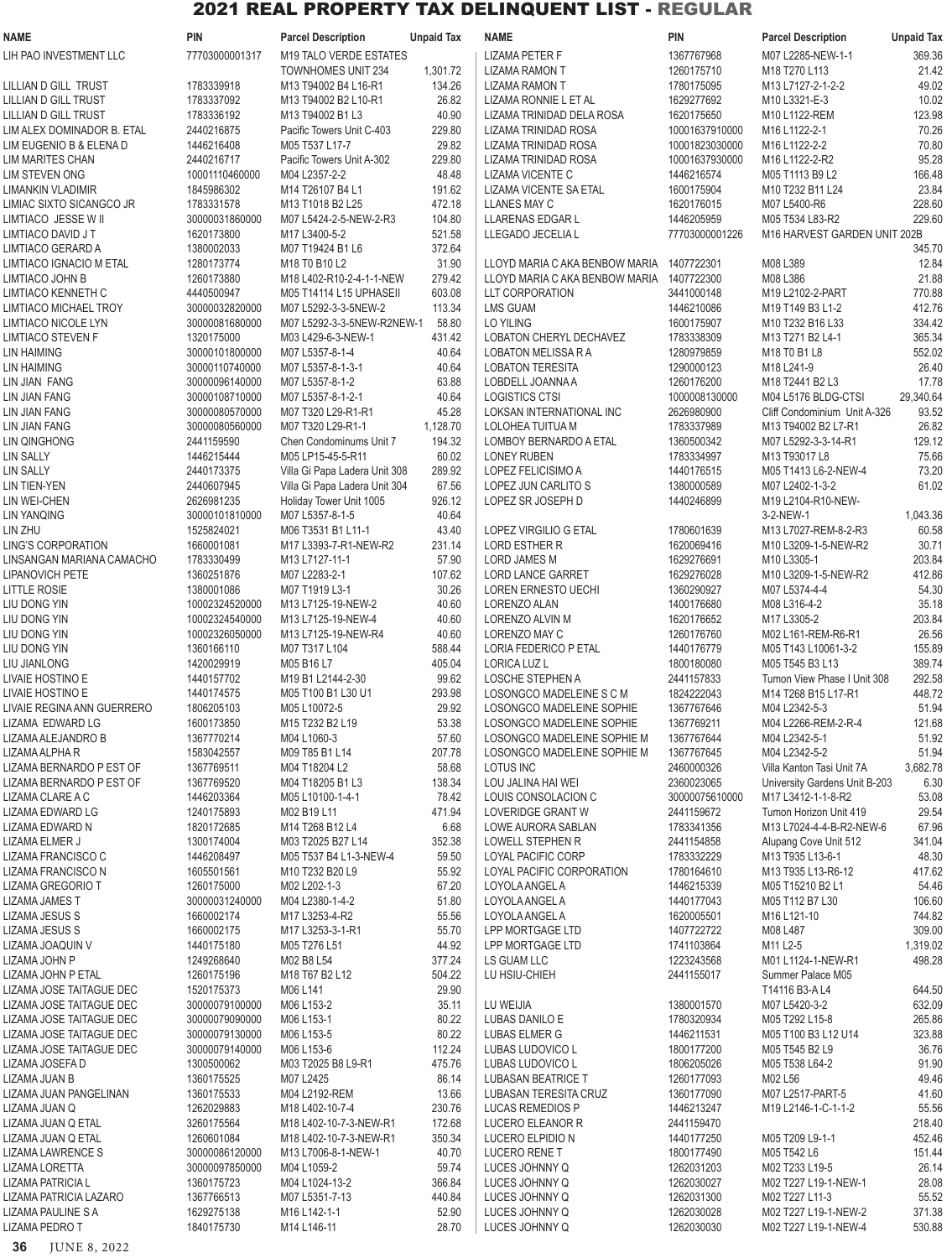| <b>NAME</b>                | PIN            | <b>Parcel Description</b>     | <b>Unpaid Tax</b> | <b>NAME</b>                               | <b>PIN</b>     | <b>Parcel Description</b>                                            | <b>Unpaid Tax</b> |
|----------------------------|----------------|-------------------------------|-------------------|-------------------------------------------|----------------|----------------------------------------------------------------------|-------------------|
| LIH PAO INVESTMENT LLC     | 77703000001317 | M19 TALO VERDE ESTATES        |                   | <b>LIZAMA PETER F</b>                     | 1367767968     | M07 L2285-NEW-1-1                                                    | 369.36            |
|                            |                | <b>TOWNHOMES UNIT 234</b>     | 1,301.72          | <b>LIZAMA RAMON T</b>                     | 1260175710     | M18 T270 L113                                                        | 21.42             |
| LILLIAN D GILL TRUST       | 1783339918     | M13 T94002 B4 L16-R1          | 134.26            | <b>LIZAMA RAMON T</b>                     | 1780175095     | M13 L7127-2-1-2-2                                                    | 49.02             |
| LILLIAN D GILL TRUST       | 1783337092     | M13 T94002 B2 L10-R1          | 26.82             | LIZAMA RONNIE L ET AL                     | 1629277692     | M10 L3321-E-3                                                        | 10.02             |
| LILLIAN D GILL TRUST       | 1783336192     | M13 T94002 B1 L3              | 40.90             | LIZAMA TRINIDAD DELA ROSA                 | 1620175650     | M10 L1122-REM                                                        | 123.98            |
| LIM ALEX DOMINADOR B. ETAL | 2440216875     | Pacific Towers Unit C-403     | 229.80            | LIZAMA TRINIDAD ROSA                      | 10001637910000 | M16 L1122-2-1                                                        | 70.26             |
| LIM EUGENIO B & ELENA D    | 1446216408     | M05 T537 L17-7                | 29.82             | LIZAMA TRINIDAD ROSA                      | 10001823030000 | M16 L1122-2-2                                                        | 70.80             |
| LIM MARITES CHAN           | 2440216717     | Pacific Towers Unit A-302     | 229.80            | LIZAMA TRINIDAD ROSA                      | 10001637930000 | M16 L1122-2-R2                                                       | 95.28             |
|                            |                |                               | 48.48             |                                           |                |                                                                      | 166.48            |
| <b>LIM STEVEN ONG</b>      | 10001110460000 | M04 L2357-2-2                 |                   | LIZAMA VICENTE C                          | 1446216574     | M05 T1113 B9 L2                                                      |                   |
| LIMANKIN VLADIMIR          | 1845986302     | M14 T26107 B4 L1              | 191.62            | LIZAMA VICENTE SA ETAL                    | 1600175904     | M10 T232 B11 L24                                                     | 23.84             |
| LIMIAC SIXTO SICANGCO JR   | 1783331578     | M13 T1018 B2 L25              | 472.18            | LLANES MAY C                              | 1620176015     | M07 L5400-R6                                                         | 228.60            |
| LIMTIACO JESSE W II        | 30000031860000 | M07 L5424-2-5-NEW-2-R3        | 104.80            | LLARENAS EDGAR L                          | 1446205959     | M05 T534 L83-R2                                                      | 229.60            |
| LIMTIACO DAVID J T         | 1620173800     | M17 L3400-5-2                 | 521.58            | LLEGADO JECELIA L                         | 77703000001226 | M16 HARVEST GARDEN UNIT 202B                                         |                   |
| LIMTIACO GERARD A          | 1380002033     | M07 T19424 B1 L6              | 372.64            |                                           |                |                                                                      | 345.70            |
| LIMTIACO IGNACIO M ETAL    | 1280173774     | M18 T0 B10 L2                 | 31.90             | LLOYD MARIA C AKA BENBOW MARIA            | 1407722301     | M08 L389                                                             | 12.84             |
| LIMTIACO JOHN B            | 1260173880     | M18 L402-R10-2-4-1-1-NEW      | 279.42            | LLOYD MARIA C AKA BENBOW MARIA 1407722300 |                | M08 L386                                                             | 21.88             |
| LIMTIACO KENNETH C         | 4440500947     | M05 T14114 L15 UPHASEII       | 603.08            | LLT CORPORATION                           | 3441000148     | M19 L2102-2-PART                                                     | 770.88            |
| LIMTIACO MICHAEL TROY      | 30000032820000 | M07 L5292-3-3-5NEW-2          | 113.34            | <b>LMS GUAM</b>                           | 1446210086     | M19 T149 B3 L1-2                                                     | 412.76            |
| LIMTIACO NICOLE LYN        | 30000081680000 | M07 L5292-3-3-5NEW-R2NEW-1    | 58.80             | <b>LO YILING</b>                          | 1600175907     | M10 T232 B16 L33                                                     | 334.42            |
| LIMTIACO STEVEN F          | 1320175000     | M03 L429-6-3-NEW-1            | 431.42            | LOBATON CHERYL DECHAVEZ                   | 1783338309     | M13 T271 B2 L4-1                                                     | 365.34            |
| <b>LIN HAIMING</b>         | 30000101800000 | M07 L5357-8-1-4               | 40.64             | <b>LOBATON MELISSA R A</b>                | 1280979859     | M18 T0 B1 L8                                                         | 552.02            |
| <b>LIN HAIMING</b>         | 30000110740000 | M07 L5357-8-1-3-1             | 40.64             | <b>LOBATON TERESITA</b>                   | 1290000123     | M18 L241-9                                                           | 26.40             |
| LIN JIAN FANG              | 30000096140000 | M07 L5357-8-1-2               | 63.88             | LOBDELL JOANNA A                          | 1260176200     | M18 T2441 B2 L3                                                      | 17.78             |
| LIN JIAN FANG              | 30000108710000 | M07 L5357-8-1-2-1             | 40.64             | <b>LOGISTICS CTSI</b>                     | 1000008130000  | M04 L5176 BLDG-CTSI                                                  | 29,340.64         |
| <b>LIN JIAN FANG</b>       | 30000080570000 | M07 T320 L29-R1-R1            | 45.28             | LOKSAN INTERNATIONAL INC                  | 2626980900     | Cliff Condominium Unit A-326                                         | 93.52             |
| <b>LIN JIAN FANG</b>       | 30000080560000 | M07 T320 L29-R1-1             | 1,128.70          | LOLOHEA TUITUA M                          | 1783337989     | M13 T94002 B2 L7-R1                                                  | 26.82             |
| <b>LIN QINGHONG</b>        | 2441159590     | Chen Condominums Unit 7       | 194.32            | <b>LOMBOY BERNARDO A ETAL</b>             | 1360500342     | M07 L5292-3-3-14-R1                                                  | 129.12            |
|                            |                |                               |                   |                                           |                |                                                                      |                   |
| <b>LIN SALLY</b>           | 1446215444     | M05 LP15-45-5-R11             | 60.02             | <b>LONEY RUBEN</b>                        | 1783334997     | M13 T93017 L8                                                        | 75.66             |
| <b>LIN SALLY</b>           | 2440173375     | Villa Gi Papa Ladera Unit 308 | 289.92            | LOPEZ FELICISIMO A                        | 1440176515     | M05 T1413 L6-2-NEW-4                                                 | 73.20             |
| LIN TIEN-YEN               | 2440607945     | Villa Gi Papa Ladera Unit 304 | 67.56             | LOPEZ JUN CARLITO S                       | 1380000589     | M07 L2402-1-3-2                                                      | 61.02             |
| LIN WEI-CHEN               | 2626981235     | Holiday Tower Unit 1005       | 926.12            | LOPEZ SR JOSEPH D                         | 1440246899     | M19 L2104-R10-NEW-                                                   |                   |
| <b>LIN YANQING</b>         | 30000101810000 | M07 L5357-8-1-5               | 40.64             |                                           |                | 3-2-NEW-1                                                            | 1,043.36          |
| LIN ZHU                    | 1525824021     | M06 T3531 B1 L11-1            | 43.40             | LOPEZ VIRGILIO G ETAL                     | 1780601639     | M13 L7027-REM-8-2-R3                                                 | 60.58             |
| LING'S CORPORATION         | 1660001081     | M17 L3393-7-R1-NEW-R2         | 231.14            | <b>LORD ESTHER R</b>                      | 1620069416     | M10 L3209-1-5-NEW-R2                                                 | 30.71             |
| LINSANGAN MARIANA CAMACHO  | 1783330499     | M13 L7127-11-1                | 57.90             | <b>LORD JAMES M</b>                       | 1629276691     | M10 L3305-1                                                          | 203.84            |
| <b>LIPANOVICH PETE</b>     | 1360251876     | M07 L2283-2-1                 | 107.62            | <b>LORD LANCE GARRET</b>                  | 1629276028     | M10 L3209-1-5-NEW-R2                                                 | 412.86            |
| <b>LITTLE ROSIE</b>        | 1380001086     | M07 T1919 L3-1                | 30.26             | <b>LOREN ERNESTO UECHI</b>                | 1360290927     | M07 L5374-4-4                                                        | 54.30             |
| LIU DONG YIN               | 10002324520000 | M13 L7125-19-NEW-2            | 40.60             | LORENZO ALAN                              | 1400176680     | M08 L316-4-2                                                         | 35.18             |
| LIU DONG YIN               | 10002324540000 | M13 L7125-19-NEW-4            | 40.60             | LORENZO ALVIN M                           | 1620176652     | M17 L3305-2                                                          | 203.84            |
| LIU DONG YIN               | 10002326050000 | M13 L7125-19-NEW-R4           | 40.60             | LORENZO MAY C                             | 1260176760     | M02 L161-REM-R6-R1                                                   | 26.56             |
| LIU DONG YIN               | 1360166110     | M07 T317 L104                 | 588.44            | LORIA FEDERICO P ETAL                     | 1440176779     | M05 T143 L10061-3-2                                                  | 155.89            |
| LIU JIANLONG               | 1420029919     | M05 B16 L7                    | 405.04            | LORICA LUZ L                              | 1800180080     | M05 T545 B3 L13                                                      | 389.74            |
| LIVAIE HOSTINO E           | 1440157702     | M19 B1 L2144-2-30             | 99.62             | <b>LOSCHE STEPHEN A</b>                   | 2441157833     | Tumon View Phase I Unit 308                                          | 292.58            |
| LIVAIE HOSTINO E           | 1440174575     | M05 T100 B1 L30 U1            | 293.98            | LOSONGCO MADELEINE S C M                  | 1824222043     | M <sub>14</sub> 1268 B <sub>15</sub> L <sub>1</sub> /-R <sub>1</sub> | 448.72            |
| LIVAIE REGINA ANN GUERRERO | 1806205103     | M05 L10072-5                  | 29.92             | LOSONGCO MADELEINE SOPHIE                 | 1367767646     | M04 L2342-5-3                                                        | 51.94             |
| LIZAMA EDWARD LG           | 1600173850     | M15 T232 B2 L19               | 53.38             | LOSONGCO MADELEINE SOPHIE                 | 1367769211     | M04 L2266-REM-2-R-4                                                  | 121.68            |
|                            |                |                               |                   |                                           |                |                                                                      |                   |
| LIZAMA ALEJANDRO B         | 1367770214     | M04 L1060-3                   | 57.60             | LOSONGCO MADELEINE SOPHIE M               | 1367767644     | M04 L2342-5-1                                                        | 51.92             |
| LIZAMA ALPHA R             | 1583042557     | M09 T85 B1 L14                | 207.78            | LOSONGCO MADELEINE SOPHIE M               | 1367767645     | M04 L2342-5-2                                                        | 51.94             |
| LIZAMA BERNARDO P EST OF   | 1367769511     | M04 T18204 L2                 | 58.68             | <b>LOTUS INC</b>                          | 2460000326     | Villa Kanton Tasi Unit 7A                                            | 3,682.78          |
| LIZAMA BERNARDO P EST OF   | 1367769520     | M04 T18205 B1 L3              | 138.34            | LOU JALINA HAI WEI                        | 2360023065     | University Gardens Unit B-203                                        | 6.30              |
| LIZAMA CLARE A C           | 1446203364     | M05 L10100-1-4-1              | 78.42             | LOUIS CONSOLACION C                       | 30000075610000 | M17 L3412-1-1-8-R2                                                   | 53.08             |
| LIZAMA EDWARD LG           | 1240175893     | M02 B19 L11                   | 471.94            | LOVERIDGE GRANT W                         | 2441159672     | Tumon Horizon Unit 419                                               | 29.54             |
| LIZAMA EDWARD N            | 1820172685     | M14 T268 B12 L4               | 6.68              | LOWE AURORA SABLAN                        | 1783341356     | M13 L7024-4-4-B-R2-NEW-6                                             | 67.96             |
| LIZAMA ELMER J             | 1300174004     | M03 T2025 B27 L14             | 352.38            | LOWELL STEPHEN R                          | 2441154858     | Alupang Cove Unit 512                                                | 341.04            |
| LIZAMA FRANCISCO C         | 1446208497     | M05 T537 B4 L1-3-NEW-4        | 59.50             | LOYAL PACIFIC CORP                        | 1783332229     | M13 T935 L13-6-1                                                     | 48.30             |
| LIZAMA FRANCISCO N         | 1605501561     | M10 T232 B20 L9               | 55.92             | LOYAL PACIFIC CORPORATION                 | 1780164610     | M13 T935 L13-R6-12                                                   | 417.62            |
| LIZAMA GREGORIO T          | 1260175000     | M02 L202-1-3                  | 67.20             | LOYOLA ANGEL A                            | 1446215339     | M05 T15210 B2 L1                                                     | 54.46             |
| LIZAMA JAMES T             | 30000031240000 | M04 L2380-1-4-2               | 51.80             | LOYOLA ANGEL A                            | 1440177043     | M05 T112 B7 L30                                                      | 106.60            |
| LIZAMA JESUS S             | 1660002174     | M17 L3253-4-R2                | 55.56             | LOYOLA ANGEL A                            | 1620005501     | M16 L121-10                                                          | 744.82            |
| LIZAMA JESUS S             | 1660002175     | M17 L3253-3-1-R1              | 55.70             | LPP MORTGAGE LTD                          | 1407722722     | M08 L487                                                             | 309.00            |
| LIZAMA JOAQUIN V           | 1440175180     | M05 T276 L51                  | 44.92             | LPP MORTGAGE LTD                          | 1741103864     | M11 L2-5                                                             | 1,319.02          |
| LIZAMA JOHN P              | 1249268640     | M02 B8 L54                    | 377.24            | LS GUAM LLC                               | 1223243568     | M01 L1124-1-NEW-R1                                                   | 498.28            |
| LIZAMA JOHN P ETAL         | 1260175196     | M18 T67 B2 L12                | 504.22            | LU HSIU-CHIEH                             | 2441155017     | Summer Palace M05                                                    |                   |
| LIZAMA JOSE TAITAGUE DEC   | 1520175373     | M06 L141                      | 29.90             |                                           |                | T14116 B3-A L4                                                       | 644.50            |
| LIZAMA JOSE TAITAGUE DEC   | 30000079100000 | M06 L153-2                    | 35.11             | LU WEIJIA                                 | 1380001570     | M07 L5420-3-2                                                        | 632.09            |
| LIZAMA JOSE TAITAGUE DEC   | 30000079090000 | M06 L153-1                    | 80.22             | LUBAS DANILO E                            | 1780320934     | M05 T292 L15-8                                                       | 265.86            |
| LIZAMA JOSE TAITAGUE DEC   | 30000079130000 |                               |                   | <b>LUBAS ELMER G</b>                      |                |                                                                      |                   |
|                            |                | M06 L153-5                    | 80.22             |                                           | 1446211531     | M05 T100 B3 L12 U14                                                  | 323.88            |
| LIZAMA JOSE TAITAGUE DEC   | 30000079140000 | M06 L153-6                    | 112.24            | LUBAS LUDOVICO L                          | 1800177200     | M05 T545 B2 L9                                                       | 36.76             |
| LIZAMA JOSEFA D            | 1300500062     | M03 T2025 B8 L9-R1            | 475.76            | LUBAS LUDOVICO L                          | 1806205026     | M05 T538 L64-2                                                       | 91.90             |
| LIZAMA JUAN B              | 1360175525     | M07 L2425                     | 86.14             | <b>LUBASAN BEATRICE T</b>                 | 1260177093     | M02 L56                                                              | 49.46             |
| LIZAMA JUAN PANGELINAN     | 1360175533     | M04 L2192-REM                 | 13.66             | LUBASAN TERESITA CRUZ                     | 1360177090     | M07 L2517-PART-5                                                     | 41.60             |
| LIZAMA JUAN Q              | 1262029883     | M18 L402-10-7-4               | 230.76            | LUCAS REMEDIOS P                          | 1446213247     | M19 L2146-1-C-1-1-2                                                  | 55.56             |
| LIZAMA JUAN Q ETAL         | 3260175564     | M18 L402-10-7-3-NEW-R1        | 172.68            | LUCERO ELEANOR R                          | 2441159470     |                                                                      | 218.40            |
| LIZAMA JUAN Q ETAL         | 1260601084     | M18 L402-10-7-3-NEW-R1        | 350.34            | LUCERO ELPIDIO N                          | 1440177250     | M05 T209 L9-1-1                                                      | 452.46            |
| LIZAMA LAWRENCE S          | 30000086120000 | M13 L7006-8-1-NEW-1           | 40.70             | <b>LUCERO RENE T</b>                      | 1800177490     | M05 T542 L6                                                          | 151.44            |
| LIZAMA LORETTA             | 30000097850000 | M04 L1059-2                   | 59.74             | LUCES JOHNNY Q                            | 1262031203     | M02 T233 L19-5                                                       | 26.14             |
| LIZAMA PATRICIA L          | 1360175723     | M04 L1024-13-2                | 366.84            | LUCES JOHNNY Q                            | 1262030027     | M02 T227 L19-1-NEW-1                                                 | 28.08             |
| LIZAMA PATRICIA LAZARO     | 1367766513     | M07 L5351-7-13                | 440.84            | LUCES JOHNNY Q                            | 1262031300     | M02 T227 L11-3                                                       | 55.52             |
| LIZAMA PAULINE S A         | 1629275138     | M16 L142-1-1                  | 52.90             | LUCES JOHNNY Q                            | 1262030028     | M02 T227 L19-1-NEW-2                                                 | 371.38            |
| LIZAMA PEDRO T             | 1840175730     | M14 L146-11                   | 28.70             | LUCES JOHNNY Q                            | 1262030030     | M02 T227 L19-1-NEW-4                                                 | 530.88            |
|                            |                |                               |                   |                                           |                |                                                                      |                   |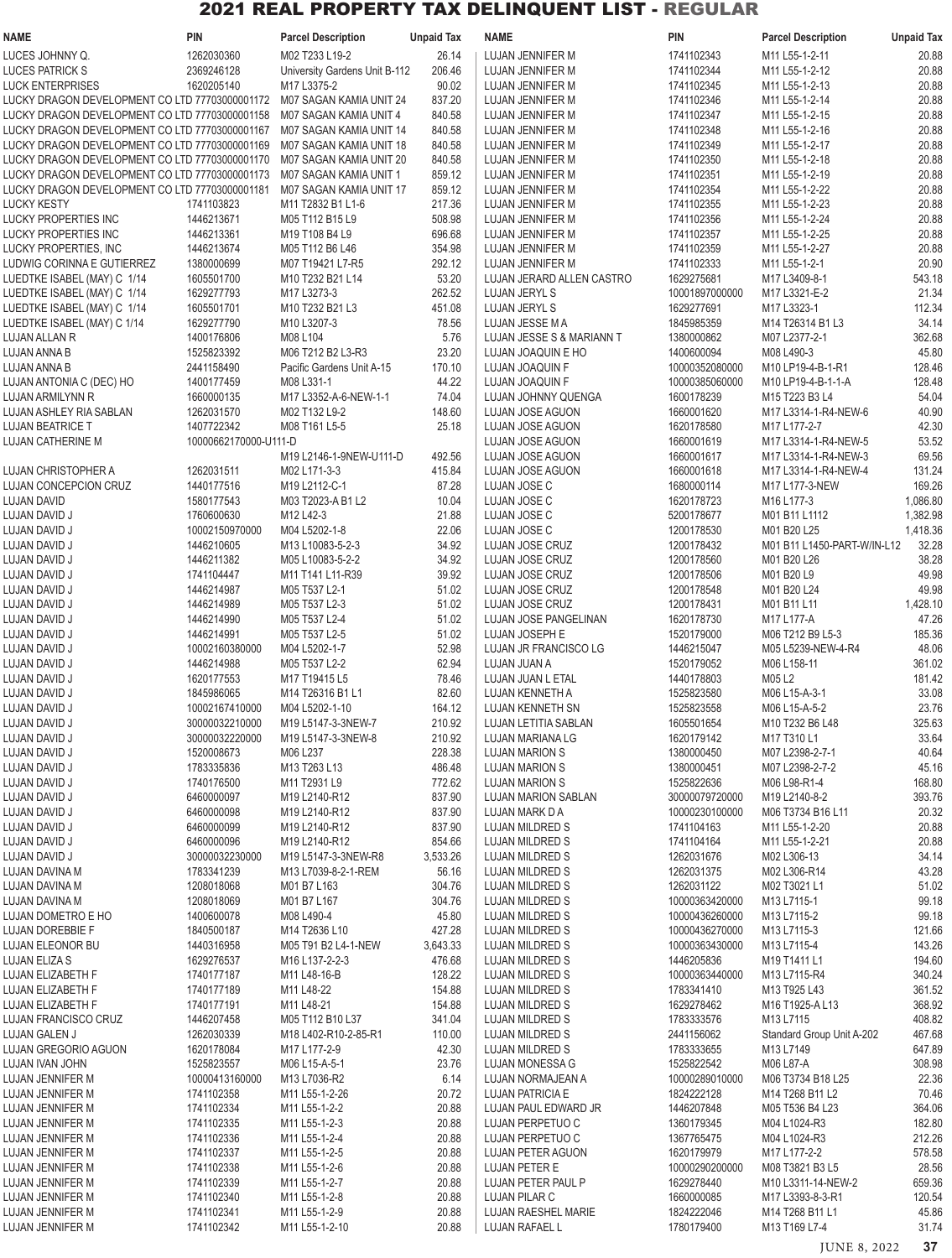| <b>NAME</b>                                                | <b>PIN</b>               | <b>Parcel Description</b>      | <b>Unpaid Tax</b>  | <b>NAME</b>                        | <b>PIN</b>                       | <b>Parcel Description</b>        | <b>Unpaid Tax</b> |
|------------------------------------------------------------|--------------------------|--------------------------------|--------------------|------------------------------------|----------------------------------|----------------------------------|-------------------|
| LUCES JOHNNY Q.                                            | 1262030360               | M02 T233 L19-2                 | 26.14              | LUJAN JENNIFER M                   | 1741102343                       | M11 L55-1-2-11                   | 20.88             |
| <b>LUCES PATRICK S</b>                                     | 2369246128               | University Gardens Unit B-112  | 206.46             | LUJAN JENNIFER M                   | 1741102344                       | M11 L55-1-2-12                   | 20.88             |
| <b>LUCK ENTERPRISES</b>                                    | 1620205140               | M17 L3375-2                    | 90.02              | LUJAN JENNIFER M                   | 1741102345                       | M11 L55-1-2-13                   | 20.88             |
| LUCKY DRAGON DEVELOPMENT CO LTD 77703000001172             |                          | M07 SAGAN KAMIA UNIT 24        | 837.20             | LUJAN JENNIFER M                   | 1741102346                       | M11 L55-1-2-14                   | 20.88             |
| LUCKY DRAGON DEVELOPMENT CO LTD 77703000001158             |                          | M07 SAGAN KAMIA UNIT 4         | 840.58             | LUJAN JENNIFER M                   | 1741102347                       | M11 L55-1-2-15                   | 20.88             |
| LUCKY DRAGON DEVELOPMENT CO LTD 77703000001167             |                          | M07 SAGAN KAMIA UNIT 14        | 840.58             | LUJAN JENNIFER M                   | 1741102348                       | M11 L55-1-2-16                   | 20.88             |
| LUCKY DRAGON DEVELOPMENT CO LTD 77703000001169             |                          | M07 SAGAN KAMIA UNIT 18        | 840.58             | LUJAN JENNIFER M                   | 1741102349                       | M11 L55-1-2-17                   | 20.88             |
| LUCKY DRAGON DEVELOPMENT CO LTD 77703000001170             |                          | M07 SAGAN KAMIA UNIT 20        | 840.58             | LUJAN JENNIFER M                   | 1741102350                       | M11 L55-1-2-18                   | 20.88             |
| LUCKY DRAGON DEVELOPMENT CO LTD 77703000001173             |                          | M07 SAGAN KAMIA UNIT 1         | 859.12             | LUJAN JENNIFER M                   | 1741102351                       | M11 L55-1-2-19                   | 20.88             |
| LUCKY DRAGON DEVELOPMENT CO LTD 77703000001181             |                          | M07 SAGAN KAMIA UNIT 17        | 859.12             | LUJAN JENNIFER M                   | 1741102354                       | M11 L55-1-2-22                   | 20.88             |
| <b>LUCKY KESTY</b>                                         | 1741103823               | M11 T2832 B1 L1-6              | 217.36             | LUJAN JENNIFER M                   | 1741102355                       | M11 L55-1-2-23                   | 20.88             |
| LUCKY PROPERTIES INC                                       | 1446213671               | M05 T112 B15 L9                | 508.98             | LUJAN JENNIFER M                   | 1741102356                       | M11 L55-1-2-24                   | 20.88             |
| LUCKY PROPERTIES INC                                       | 1446213361               | M19 T108 B4 L9                 | 696.68             | LUJAN JENNIFER M                   | 1741102357                       | M11 L55-1-2-25                   | 20.88             |
| LUCKY PROPERTIES, INC                                      | 1446213674               | M05 T112 B6 L46                | 354.98             | LUJAN JENNIFER M                   | 1741102359                       | M11 L55-1-2-27                   | 20.88             |
| LUDWIG CORINNA E GUTIERREZ                                 | 1380000699               | M07 T19421 L7-R5               | 292.12             | LUJAN JENNIFER M                   | 1741102333                       | M11 L55-1-2-1                    | 20.90             |
| LUEDTKE ISABEL (MAY) C 1/14                                | 1605501700               | M10 T232 B21 L14               | 53.20              | LUJAN JERARD ALLEN CASTRO          | 1629275681                       | M17 L3409-8-1                    | 543.18            |
| LUEDTKE ISABEL (MAY) C 1/14                                | 1629277793               | M17 L3273-3                    | 262.52             | LUJAN JERYL S                      | 10001897000000                   | M17 L3321-E-2                    | 21.34             |
| LUEDTKE ISABEL (MAY) C 1/14<br>LUEDTKE ISABEL (MAY) C 1/14 | 1605501701<br>1629277790 | M10 T232 B21 L3<br>M10 L3207-3 | 451.08<br>78.56    | LUJAN JERYL S<br>LUJAN JESSE M A   | 1629277691<br>1845985359         | M17 L3323-1<br>M14 T26314 B1 L3  | 112.34<br>34.14   |
| LUJAN ALLAN R                                              | 1400176806               | M08 L104                       | 5.76               | LUJAN JESSE S & MARIANN T          | 1380000862                       | M07 L2377-2-1                    | 362.68            |
| LUJAN ANNA B                                               | 1525823392               | M06 T212 B2 L3-R3              | 23.20              | LUJAN JOAQUIN E HO                 | 1400600094                       | M08 L490-3                       | 45.80             |
| LUJAN ANNA B                                               | 2441158490               | Pacific Gardens Unit A-15      | 170.10             | <b>LUJAN JOAQUIN F</b>             | 10000352080000                   | M10 LP19-4-B-1-R1                | 128.46            |
| LUJAN ANTONIA C (DEC) HO                                   | 1400177459               | M08 L331-1                     | 44.22              | LUJAN JOAQUIN F                    | 10000385060000                   | M10 LP19-4-B-1-1-A               | 128.48            |
| LUJAN ARMILYNN R                                           | 1660000135               | M17 L3352-A-6-NEW-1-1          | 74.04              | LUJAN JOHNNY QUENGA                | 1600178239                       | M15 T223 B3 L4                   | 54.04             |
| LUJAN ASHLEY RIA SABLAN                                    | 1262031570               | M02 T132 L9-2                  | 148.60             | LUJAN JOSE AGUON                   | 1660001620                       | M17 L3314-1-R4-NEW-6             | 40.90             |
| <b>LUJAN BEATRICE T</b>                                    | 1407722342               | M08 T161 L5-5                  | 25.18              | LUJAN JOSE AGUON                   | 1620178580                       | M17 L177-2-7                     | 42.30             |
| LUJAN CATHERINE M                                          | 10000662170000-U111-D    |                                |                    | LUJAN JOSE AGUON                   | 1660001619                       | M17 L3314-1-R4-NEW-5             | 53.52             |
|                                                            |                          | M19 L2146-1-9NEW-U111-D        | 492.56             | LUJAN JOSE AGUON                   | 1660001617                       | M17 L3314-1-R4-NEW-3             | 69.56             |
| LUJAN CHRISTOPHER A                                        | 1262031511               | M02 L171-3-3                   | 415.84             | LUJAN JOSE AGUON                   | 1660001618                       | M17 L3314-1-R4-NEW-4             | 131.24            |
| <b>LUJAN CONCEPCION CRUZ</b>                               | 1440177516               | M19 L2112-C-1                  | 87.28              | LUJAN JOSE C                       | 1680000114                       | M17 L177-3-NEW                   | 169.26            |
| <b>LUJAN DAVID</b>                                         | 1580177543               | M03 T2023-A B1 L2              | 10.04              | LUJAN JOSE C                       | 1620178723                       | M16 L177-3                       | 1,086.80          |
| LUJAN DAVID J                                              | 1760600630               | M12 L42-3                      | 21.88              | LUJAN JOSE C                       | 5200178677                       | M01 B11 L1112                    | 1,382.98          |
| LUJAN DAVID J                                              | 10002150970000           | M04 L5202-1-8                  | 22.06              | LUJAN JOSE C                       | 1200178530                       | M01 B20 L25                      | 1,418.36          |
| LUJAN DAVID J                                              | 1446210605               | M13 L10083-5-2-3               | 34.92              | LUJAN JOSE CRUZ                    | 1200178432                       | M01 B11 L1450-PART-W/IN-L12      | 32.28             |
| LUJAN DAVID J                                              | 1446211382               | M05 L10083-5-2-2               | 34.92              | LUJAN JOSE CRUZ                    | 1200178560                       | M01 B20 L26                      | 38.28             |
| LUJAN DAVID J                                              | 1741104447               | M11 T141 L11-R39               | 39.92              | LUJAN JOSE CRUZ                    | 1200178506                       | M01 B20 L9                       | 49.98             |
| LUJAN DAVID J                                              | 1446214987               | M05 T537 L2-1                  | 51.02              | LUJAN JOSE CRUZ                    | 1200178548                       | M01 B20 L24                      | 49.98             |
| LUJAN DAVID J                                              | 1446214989               | M05 T537 L2-3                  | 51.02              | LUJAN JOSE CRUZ                    | 1200178431                       | M01 B11 L11                      | 1,428.10          |
| LUJAN DAVID J                                              | 1446214990               | M05 T537 L2-4                  | 51.02              | LUJAN JOSE PANGELINAN              | 1620178730                       | M17 L177-A                       | 47.26             |
| LUJAN DAVID J                                              | 1446214991               | M05 T537 L2-5                  | 51.02              | LUJAN JOSEPH E                     | 1520179000                       | M06 T212 B9 L5-3                 | 185.36            |
| LUJAN DAVID J                                              | 10002160380000           | M04 L5202-1-7                  | 52.98              | LUJAN JR FRANCISCO LG              | 1446215047                       | M05 L5239-NEW-4-R4               | 48.06             |
| LUJAN DAVID J                                              | 1446214988               | M05 T537 L2-2                  | 62.94              | LUJAN JUAN A                       | 1520179052                       | M06 L158-11                      | 361.02            |
| LUJAN DAVID J                                              | 1620177553               | M17 T19415 L5                  | 78.46              | LUJAN JUAN L ETAL                  | 1440178803                       | M05 L2                           | 181.42            |
| LUJAN DAVID J                                              | 1845986065               | M14 T26316 B1 L1               | 82.60              | LUJAN KENNETH A                    | 1525823580                       | M06 L15-A-3-1                    | 33.08             |
| LUJAN DAVID J                                              | 10002167410000           | M04 L5202-1-10                 | 164.12             | LUJAN KENNETH SN                   | 1525823558                       | M06 L15-A-5-2                    | 23.76             |
| LUJAN DAVID J                                              | 30000032210000           | M19 L5147-3-3NEW-7             | 210.92             | LUJAN LETITIA SABLAN               | 1605501654                       | M10 T232 B6 L48                  | 325.63            |
| LUJAN DAVID J                                              | 30000032220000           | M19 L5147-3-3NEW-8             | 210.92             | LUJAN MARIANA LG                   | 1620179142                       | M17 T310 L1                      | 33.64             |
| LUJAN DAVID J                                              | 1520008673               | M06 L237                       | 228.38             | <b>LUJAN MARION S</b>              | 1380000450                       | M07 L2398-2-7-1                  | 40.64             |
| LUJAN DAVID J                                              | 1783335836               | M13 T263 L13                   | 486.48             | <b>LUJAN MARION S</b>              | 1380000451                       | M07 L2398-2-7-2                  | 45.16             |
| LUJAN DAVID J                                              | 1740176500               | M11 T2931 L9                   | 772.62             | <b>LUJAN MARION S</b>              | 1525822636                       | M06 L98-R1-4                     | 168.80            |
| LUJAN DAVID J                                              | 6460000097<br>6460000098 | M19 L2140-R12                  | 837.90             | <b>LUJAN MARION SABLAN</b>         | 30000079720000<br>10000230100000 | M19 L2140-8-2                    | 393.76            |
| LUJAN DAVID J                                              |                          | M19 L2140-R12                  | 837.90             | LUJAN MARK D A                     |                                  | M06 T3734 B16 L11                | 20.32             |
| LUJAN DAVID J                                              | 6460000099<br>6460000096 | M19 L2140-R12<br>M19 L2140-R12 | 837.90             | LUJAN MILDRED S                    | 1741104163                       | M11 L55-1-2-20<br>M11 L55-1-2-21 | 20.88             |
| LUJAN DAVID J<br>LUJAN DAVID J                             | 30000032230000           | M19 L5147-3-3NEW-R8            | 854.66<br>3,533.26 | LUJAN MILDRED S<br>LUJAN MILDRED S | 1741104164<br>1262031676         | M02 L306-13                      | 20.88<br>34.14    |
| LUJAN DAVINA M                                             | 1783341239               | M13 L7039-8-2-1-REM            | 56.16              | LUJAN MILDRED S                    | 1262031375                       | M02 L306-R14                     | 43.28             |
| LUJAN DAVINA M                                             | 1208018068               | M01 B7 L163                    | 304.76             | LUJAN MILDRED S                    | 1262031122                       | M02 T3021 L1                     | 51.02             |
| LUJAN DAVINA M                                             | 1208018069               | M01 B7 L167                    | 304.76             | LUJAN MILDRED S                    | 10000363420000                   | M13 L7115-1                      | 99.18             |
| LUJAN DOMETRO E HO                                         | 1400600078               | M08 L490-4                     | 45.80              | LUJAN MILDRED S                    | 10000436260000                   | M13 L7115-2                      | 99.18             |
| LUJAN DOREBBIE F                                           | 1840500187               | M14 T2636 L10                  | 427.28             | LUJAN MILDRED S                    | 10000436270000                   | M13 L7115-3                      | 121.66            |
| LUJAN ELEONOR BU                                           | 1440316958               | M05 T91 B2 L4-1-NEW            | 3,643.33           | LUJAN MILDRED S                    | 10000363430000                   | M13 L7115-4                      | 143.26            |
| LUJAN ELIZA S                                              | 1629276537               | M16 L137-2-2-3                 | 476.68             | LUJAN MILDRED S                    | 1446205836                       | M19 T1411 L1                     | 194.60            |
| LUJAN ELIZABETH F                                          | 1740177187               | M11 L48-16-B                   | 128.22             | LUJAN MILDRED S                    | 10000363440000                   | M13 L7115-R4                     | 340.24            |
| LUJAN ELIZABETH F                                          | 1740177189               | M11 L48-22                     | 154.88             | LUJAN MILDRED S                    | 1783341410                       | M13 T925 L43                     | 361.52            |
| LUJAN ELIZABETH F                                          | 1740177191               | M11 L48-21                     | 154.88             | LUJAN MILDRED S                    | 1629278462                       | M16 T1925-A L13                  | 368.92            |
| LUJAN FRANCISCO CRUZ                                       | 1446207458               | M05 T112 B10 L37               | 341.04             | LUJAN MILDRED S                    | 1783333576                       | M13 L7115                        | 408.82            |
| LUJAN GALEN J                                              | 1262030339               | M18 L402-R10-2-85-R1           | 110.00             | LUJAN MILDRED S                    | 2441156062                       | Standard Group Unit A-202        | 467.68            |
| LUJAN GREGORIO AGUON                                       | 1620178084               | M17 L177-2-9                   | 42.30              | LUJAN MILDRED S                    | 1783333655                       | M13 L7149                        | 647.89            |
| LUJAN IVAN JOHN                                            | 1525823557               | M06 L15-A-5-1                  | 23.76              | LUJAN MONESSA G                    | 1525822542                       | M06 L87-A                        | 308.98            |
| LUJAN JENNIFER M                                           | 10000413160000           | M13 L7036-R2                   | 6.14               | LUJAN NORMAJEAN A                  | 10000289010000                   | M06 T3734 B18 L25                | 22.36             |
| LUJAN JENNIFER M                                           | 1741102358               | M11 L55-1-2-26                 | 20.72              | LUJAN PATRICIA E                   | 1824222128                       | M14 T268 B11 L2                  | 70.46             |
| LUJAN JENNIFER M                                           | 1741102334               | M11 L55-1-2-2                  | 20.88              | LUJAN PAUL EDWARD JR               | 1446207848                       | M05 T536 B4 L23                  | 364.06            |
| LUJAN JENNIFER M                                           | 1741102335               | M11 L55-1-2-3                  | 20.88              | LUJAN PERPETUO C                   | 1360179345                       | M04 L1024-R3                     | 182.80            |
| LUJAN JENNIFER M                                           | 1741102336               | M11 L55-1-2-4                  | 20.88              | LUJAN PERPETUO C                   | 1367765475                       | M04 L1024-R3                     | 212.26            |
| LUJAN JENNIFER M                                           | 1741102337               | M11 L55-1-2-5                  | 20.88              | <b>LUJAN PETER AGUON</b>           | 1620179979                       | M17 L177-2-2                     | 578.58            |
| LUJAN JENNIFER M                                           | 1741102338               | M11 L55-1-2-6                  | 20.88              | <b>LUJAN PETER E</b>               | 10000290200000                   | M08 T3821 B3 L5                  | 28.56             |
| LUJAN JENNIFER M                                           | 1741102339               | M11 L55-1-2-7                  | 20.88              | LUJAN PETER PAUL P                 | 1629278440                       | M10 L3311-14-NEW-2               | 659.36            |
| LUJAN JENNIFER M                                           | 1741102340               | M11 L55-1-2-8                  | 20.88              | LUJAN PILAR C                      | 1660000085                       | M17 L3393-8-3-R1                 | 120.54            |
| LUJAN JENNIFER M                                           | 1741102341               | M11 L55-1-2-9                  | 20.88              | <b>LUJAN RAESHEL MARIE</b>         | 1824222046                       | M14 T268 B11 L1                  | 45.86             |
| LUJAN JENNIFER M                                           | 1741102342               | M11 L55-1-2-10                 | 20.88              | LUJAN RAFAEL L                     | 1780179400                       | M13 T169 L7-4                    | 31.74             |

JUNE 8, 2022 **37**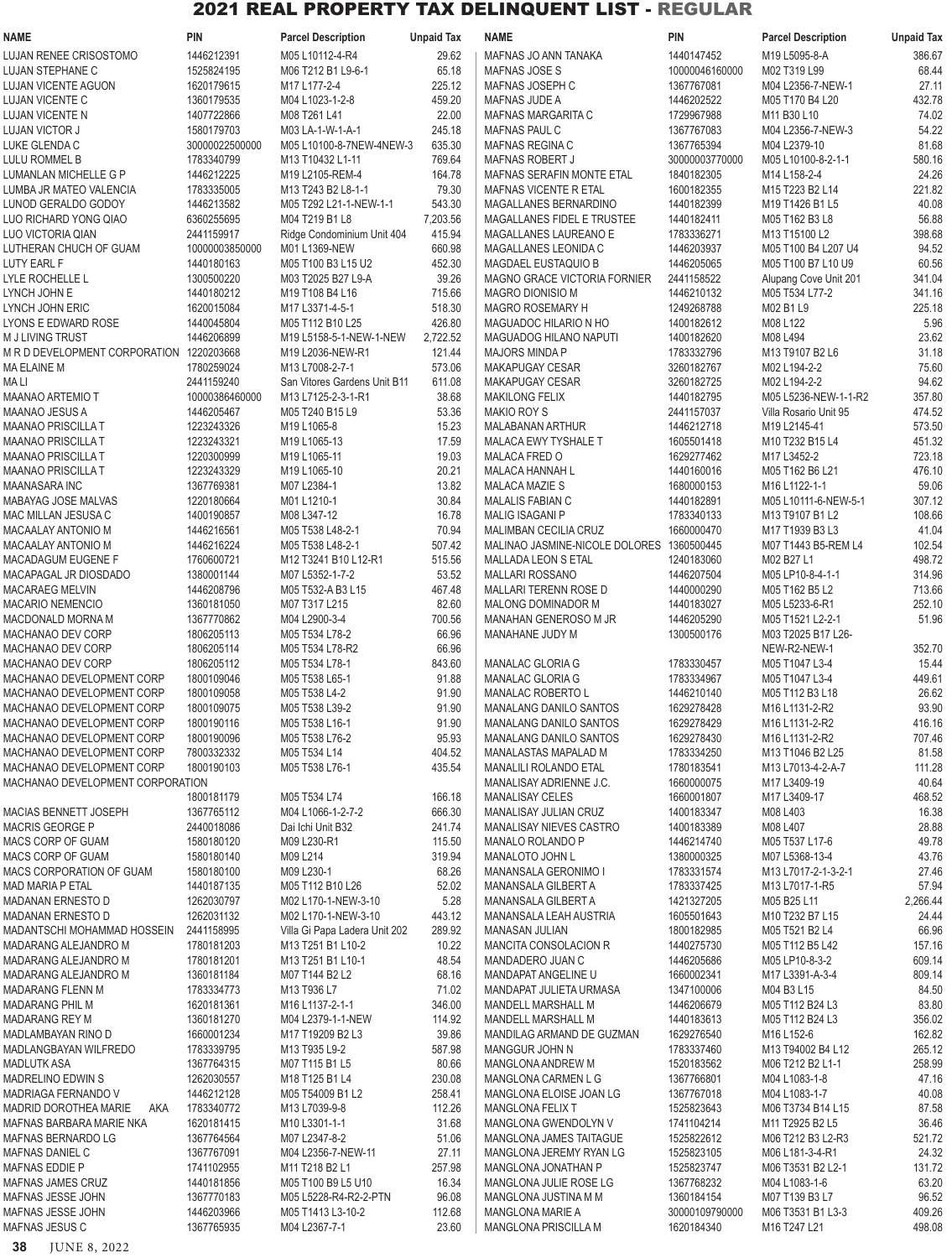| <b>NAME</b>                                    | <b>PIN</b>                   | <b>Parcel Description</b>                    | <b>Unpaid Tax</b> | <b>NAME</b>                                       | <b>PIN</b>               | <b>Parcel Description</b>               | <b>Unpaid Tax</b> |
|------------------------------------------------|------------------------------|----------------------------------------------|-------------------|---------------------------------------------------|--------------------------|-----------------------------------------|-------------------|
| <b>LUJAN RENEE CRISOSTOMO</b>                  | 1446212391                   | M05 L10112-4-R4                              | 29.62             | MAFNAS JO ANN TANAKA                              | 1440147452               | M19 L5095-8-A                           | 386.67            |
| LUJAN STEPHANE C                               | 1525824195                   | M06 T212 B1 L9-6-1                           | 65.18             | <b>MAFNAS JOSE S</b>                              | 10000046160000           | M02 T319 L99                            | 68.44             |
| LUJAN VICENTE AGUON                            | 1620179615                   | M17 L177-2-4                                 | 225.12            | MAFNAS JOSEPH C                                   | 1367767081               | M04 L2356-7-NEW-1                       | 27.11             |
| LUJAN VICENTE C                                | 1360179535                   | M04 L1023-1-2-8                              | 459.20            | <b>MAFNAS JUDE A</b>                              | 1446202522               | M05 T170 B4 L20                         | 432.78            |
| <b>LUJAN VICENTE N</b>                         | 1407722866                   | M08 T261 L41                                 | 22.00             | MAFNAS MARGARITA C                                | 1729967988               | M11 B30 L10                             | 74.02             |
| <b>LUJAN VICTOR J</b><br>LUKE GLENDA C         | 1580179703<br>30000022500000 | M03 LA-1-W-1-A-1<br>M05 L10100-8-7NEW-4NEW-3 | 245.18<br>635.30  | <b>MAFNAS PAUL C</b><br>MAFNAS REGINA C           | 1367767083<br>1367765394 | M04 L2356-7-NEW-3<br>M04 L2379-10       | 54.22<br>81.68    |
| LULU ROMMEL B                                  | 1783340799                   | M13 T10432 L1-11                             | 769.64            | <b>MAFNAS ROBERT J</b>                            | 30000003770000           | M05 L10100-8-2-1-1                      | 580.16            |
| LUMANLAN MICHELLE G P                          | 1446212225                   | M19 L2105-REM-4                              | 164.78            | <b>MAFNAS SERAFIN MONTE ETAL</b>                  | 1840182305               | M14 L158-2-4                            | 24.26             |
| LUMBA JR MATEO VALENCIA                        | 1783335005                   | M13 T243 B2 L8-1-1                           | 79.30             | <b>MAFNAS VICENTE R ETAL</b>                      | 1600182355               | M15 T223 B2 L14                         | 221.82            |
| LUNOD GERALDO GODOY                            | 1446213582                   | M05 T292 L21-1-NEW-1-1                       | 543.30            | MAGALLANES BERNARDINO                             | 1440182399               | M19 T1426 B1 L5                         | 40.08             |
| LUO RICHARD YONG QIAO                          | 6360255695                   | M04 T219 B1 L8                               | 7,203.56          | <b>MAGALLANES FIDEL E TRUSTEE</b>                 | 1440182411               | M05 T162 B3 L8                          | 56.88             |
| LUO VICTORIA QIAN                              | 2441159917                   | Ridge Condominium Unit 404                   | 415.94            | MAGALLANES LAUREANO E                             | 1783336271               | M13 T15100 L2                           | 398.68            |
| LUTHERAN CHUCH OF GUAM                         | 10000003850000               | M01 L1369-NEW                                | 660.98            | MAGALLANES LEONIDA C                              | 1446203937               | M05 T100 B4 L207 U4                     | 94.52             |
| LUTY EARL F                                    | 1440180163                   | M05 T100 B3 L15 U2                           | 452.30            | MAGDAEL EUSTAQUIO B                               | 1446205065               | M05 T100 B7 L10 U9                      | 60.56             |
| LYLE ROCHELLE L                                | 1300500220                   | M03 T2025 B27 L9-A                           | 39.26             | <b>MAGNO GRACE VICTORIA FORNIER</b>               | 2441158522               | Alupang Cove Unit 201                   | 341.04            |
| LYNCH JOHN E                                   | 1440180212                   | M19 T108 B4 L16                              | 715.66            | <b>MAGRO DIONISIO M</b>                           | 1446210132               | M05 T534 L77-2                          | 341.16            |
| LYNCH JOHN ERIC<br>LYONS E EDWARD ROSE         | 1620015084<br>1440045804     | M17 L3371-4-5-1<br>M05 T112 B10 L25          | 518.30<br>426.80  | <b>MAGRO ROSEMARY H</b><br>MAGUADOC HILARIO N HO  | 1249268788<br>1400182612 | M02 B1 L9<br>M08 L122                   | 225.18<br>5.96    |
| M J LIVING TRUST                               | 1446206899                   | M19 L5158-5-1-NEW-1-NEW                      | 2,722.52          | <b>MAGUADOG HILANO NAPUTI</b>                     | 1400182620               | M08 L494                                | 23.62             |
| M R D DEVELOPMENT CORPORATION 1220203668       |                              | M19 L2036-NEW-R1                             | 121.44            | <b>MAJORS MINDA P</b>                             | 1783332796               | M13 T9107 B2 L6                         | 31.18             |
| <b>MA ELAINE M</b>                             | 1780259024                   | M13 L7008-2-7-1                              | 573.06            | MAKAPUGAY CESAR                                   | 3260182767               | M02 L194-2-2                            | 75.60             |
| MA LI                                          | 2441159240                   | San Vitores Gardens Unit B11                 | 611.08            | <b>MAKAPUGAY CESAR</b>                            | 3260182725               | M02 L194-2-2                            | 94.62             |
| <b>MAANAO ARTEMIO T</b>                        | 10000386460000               | M13 L7125-2-3-1-R1                           | 38.68             | <b>MAKILONG FELIX</b>                             | 1440182795               | M05 L5236-NEW-1-1-R2                    | 357.80            |
| <b>MAANAO JESUS A</b>                          | 1446205467                   | M05 T240 B15 L9                              | 53.36             | MAKIO ROY S                                       | 2441157037               | Villa Rosario Unit 95                   | 474.52            |
| <b>MAANAO PRISCILLA T</b>                      | 1223243326                   | M19 L1065-8                                  | 15.23             | MALABANAN ARTHUR                                  | 1446212718               | M19 L2145-41                            | 573.50            |
| <b>MAANAO PRISCILLA T</b>                      | 1223243321                   | M19 L1065-13                                 | 17.59             | <b>MALACA EWY TYSHALE T</b>                       | 1605501418               | M10 T232 B15 L4                         | 451.32            |
| <b>MAANAO PRISCILLA T</b>                      | 1220300999                   | M19 L1065-11                                 | 19.03             | <b>MALACA FRED O</b>                              | 1629277462               | M17 L3452-2                             | 723.18            |
| <b>MAANAO PRISCILLA T</b>                      | 1223243329                   | M19 L1065-10                                 | 20.21             | MALACA HANNAH L                                   | 1440160016               | M05 T162 B6 L21                         | 476.10            |
| <b>MAANASARA INC</b>                           | 1367769381                   | M07 L2384-1                                  | 13.82<br>30.84    | MALACA MAZIE S                                    | 1680000153               | M <sub>16</sub> L <sub>1122</sub> -1-1  | 59.06             |
| MABAYAG JOSE MALVAS<br>MAC MILLAN JESUSA C     | 1220180664<br>1400190857     | M01L1210-1<br>M08 L347-12                    | 16.78             | <b>MALALIS FABIAN C</b><br><b>MALIG ISAGANI P</b> | 1440182891<br>1783340133 | M05 L10111-6-NEW-5-1<br>M13 T9107 B1 L2 | 307.12<br>108.66  |
| MACAALAY ANTONIO M                             | 1446216561                   | M05 T538 L48-2-1                             | 70.94             | MALIMBAN CECILIA CRUZ                             | 1660000470               | M17 T1939 B3 L3                         | 41.04             |
| <b>MACAALAY ANTONIO M</b>                      | 1446216224                   | M05 T538 L48-2-1                             | 507.42            | MALINAO JASMINE-NICOLE DOLORES 1360500445         |                          | M07 T1443 B5-REM L4                     | 102.54            |
| <b>MACADAGUM EUGENE F</b>                      | 1760600721                   | M12 T3241 B10 L12-R1                         | 515.56            | MALLADA LEON S ETAL                               | 1240183060               | M02 B27 L1                              | 498.72            |
| MACAPAGAL JR DIOSDADO                          | 1380001144                   | M07 L5352-1-7-2                              | 53.52             | <b>MALLARI ROSSANO</b>                            | 1446207504               | M05 LP10-8-4-1-1                        | 314.96            |
| <b>MACARAEG MELVIN</b>                         | 1446208796                   | M05 T532-A B3 L15                            | 467.48            | MALLARI TERENN ROSE D                             | 1440000290               | M05 T162 B5 L2                          | 713.66            |
| <b>MACARIO NEMENCIO</b>                        | 1360181050                   | M07 T317 L215                                | 82.60             | MALONG DOMINADOR M                                | 1440183027               | M05 L5233-6-R1                          | 252.10            |
| MACDONALD MORNA M                              | 1367770862                   | M04 L2900-3-4                                | 700.56            | MANAHAN GENEROSO M JR                             | 1446205290               | M05 T1521 L2-2-1                        | 51.96             |
| MACHANAO DEV CORP                              | 1806205113                   | M05 T534 L78-2                               | 66.96             | MANAHANE JUDY M                                   | 1300500176               | M03 T2025 B17 L26-                      |                   |
| MACHANAO DEV CORP                              | 1806205114                   | M05 T534 L78-R2                              | 66.96             |                                                   |                          | NEW-R2-NEW-1                            | 352.70            |
| MACHANAO DEV CORP<br>MACHANAO DEVELOPMENT CORP | 1806205112<br>1800109046     | M05 T534 L78-1<br>M05 T538 L65-1             | 843.60<br>91.88   | MANALAC GLORIA G<br>MANALAC GLORIA G              | 1783330457<br>1783334967 | M05 T1047 L3-4<br>M05 T1047 L3-4        | 15.44<br>449.61   |
| MACHANAO DEVELOPMENT CORP                      | 1800109058                   | M05 T538 L4-2                                | 91.90             | MANALAC ROBERTO L                                 | 1446210140               | M05 T112 B3 L18                         | 26.62             |
| MACHANAO DEVELOPMENT CORP                      | 1800109075                   | M05 T538 L39-2                               | 91.90             | <b>MANALANG DANILO SANTOS</b>                     | 1629278428               | M16 L1131-2-R2                          | 93.90             |
| MACHANAO DEVELOPMENT CORP                      | 1800190116                   | M05 T538 L16-1                               | 91.90             | <b>MANALANG DANILO SANTOS</b>                     | 1629278429               | M16 L1131-2-R2                          | 416.16            |
| MACHANAO DEVELOPMENT CORP                      | 1800190096                   | M05 T538 L76-2                               | 95.93             | MANALANG DANILO SANTOS                            | 1629278430               | M16 L1131-2-R2                          | 707.46            |
| MACHANAO DEVELOPMENT CORP                      | 7800332332                   | M05 T534 L14                                 | 404.52            | MANALASTAS MAPALAD M                              | 1783334250               | M13 T1046 B2 L25                        | 81.58             |
| MACHANAO DEVELOPMENT CORP                      | 1800190103                   | M05 T538 L76-1                               | 435.54            | MANALILI ROLANDO ETAL                             | 1780183541               | M13 L7013-4-2-A-7                       | 111.28            |
| MACHANAO DEVELOPMENT CORPORATION               |                              |                                              |                   | MANALISAY ADRIENNE J.C.                           | 1660000075               | M17 L3409-19                            | 40.64             |
|                                                | 1800181179                   | M05 T534 L74                                 | 166.18            | <b>MANALISAY CELES</b>                            | 1660001807               | M17 L3409-17                            | 468.52            |
| MACIAS BENNETT JOSEPH                          | 1367765112                   | M04 L1066-1-2-7-2                            | 666.30            | MANALISAY JULIAN CRUZ                             | 1400183347               | M08 L403                                | 16.38             |
| <b>MACRIS GEORGE P</b>                         | 2440018086                   | Dai Ichi Unit B32                            | 241.74            | MANALISAY NIEVES CASTRO                           | 1400183389               | M08 L407                                | 28.88             |
| MACS CORP OF GUAM<br>MACS CORP OF GUAM         | 1580180120<br>1580180140     | M09 L230-R1<br>M09 L214                      | 115.50<br>319.94  | MANALO ROLANDO P<br>MANALOTO JOHN L               | 1446214740<br>1380000325 | M05 T537 L17-6<br>M07 L5368-13-4        | 49.78<br>43.76    |
| MACS CORPORATION OF GUAM                       | 1580180100                   | M09 L230-1                                   | 68.26             | MANANSALA GERONIMO I                              | 1783331574               | M13 L7017-2-1-3-2-1                     | 27.46             |
| <b>MAD MARIA P ETAL</b>                        | 1440187135                   | M05 T112 B10 L26                             | 52.02             | MANANSALA GILBERT A                               | 1783337425               | M13 L7017-1-R5                          | 57.94             |
| MADANAN ERNESTO D                              | 1262030797                   | M02 L170-1-NEW-3-10                          | 5.28              | MANANSALA GILBERT A                               | 1421327205               | M05 B25 L11                             | 2,266.44          |
| <b>MADANAN ERNESTO D</b>                       | 1262031132                   | M02 L170-1-NEW-3-10                          | 443.12            | MANANSALA LEAH AUSTRIA                            | 1605501643               | M10 T232 B7 L15                         | 24.44             |
| MADANTSCHI MOHAMMAD HOSSEIN                    | 2441158995                   | Villa Gi Papa Ladera Unit 202                | 289.92            | <b>MANASAN JULIAN</b>                             | 1800182985               | M05 T521 B2 L4                          | 66.96             |
| MADARANG ALEJANDRO M                           | 1780181203                   | M13 T251 B1 L10-2                            | 10.22             | MANCITA CONSOLACION R                             | 1440275730               | M05 T112 B5 L42                         | 157.16            |
| MADARANG ALEJANDRO M                           | 1780181201                   | M13 T251 B1 L10-1                            | 48.54             | MANDADERO JUAN C                                  | 1446205686               | M05 LP10-8-3-2                          | 609.14            |
| MADARANG ALEJANDRO M                           | 1360181184                   | M07 T144 B2 L2                               | 68.16             | MANDAPAT ANGELINE U                               | 1660002341               | M17 L3391-A-3-4                         | 809.14            |
| MADARANG FLENN M<br><b>MADARANG PHIL M</b>     | 1783334773<br>1620181361     | M13 T936 L7<br>M16 L1137-2-1-1               | 71.02<br>346.00   | MANDAPAT JULIETA URMASA<br>MANDELL MARSHALL M     | 1347100006<br>1446206679 | M04 B3 L15<br>M05 T112 B24 L3           | 84.50<br>83.80    |
| <b>MADARANG REY M</b>                          | 1360181270                   | M04 L2379-1-1-NEW                            | 114.92            | MANDELL MARSHALL M                                | 1440183613               | M05 T112 B24 L3                         | 356.02            |
| MADLAMBAYAN RINO D                             | 1660001234                   | M17 T19209 B2 L3                             | 39.86             | MANDILAG ARMAND DE GUZMAN                         | 1629276540               | M16 L152-6                              | 162.82            |
| MADLANGBAYAN WILFREDO                          | 1783339795                   | M13 T935 L9-2                                | 587.98            | MANGGUR JOHN N                                    | 1783337460               | M13 T94002 B4 L12                       | 265.12            |
| <b>MADLUTK ASA</b>                             | 1367764315                   | M07 T115 B1 L5                               | 80.66             | MANGLONA ANDREW M                                 | 1520183562               | M06 T212 B2 L1-1                        | 258.99            |
| MADRELINO EDWIN S                              | 1262030557                   | M18 T125 B1 L4                               | 230.08            | MANGLONA CARMEN L G                               | 1367766801               | M04 L1083-1-8                           | 47.16             |
| MADRIAGA FERNANDO V                            | 1446212128                   | M05 T54009 B1 L2                             | 258.41            | MANGLONA ELOISE JOAN LG                           | 1367767018               | M04 L1083-1-7                           | 40.08             |
| MADRID DOROTHEA MARIE<br>AKA                   | 1783340772                   | M13 L7039-9-8                                | 112.26            | <b>MANGLONA FELIX T</b>                           | 1525823643               | M06 T3734 B14 L15                       | 87.58             |
| MAFNAS BARBARA MARIE NKA                       | 1620181415                   | M10 L3301-1-1                                | 31.68             | MANGLONA GWENDOLYN V                              | 1741104214               | M11 T2925 B2 L5                         | 36.46             |
| MAFNAS BERNARDO LG                             | 1367764564                   | M07 L2347-8-2                                | 51.06             | MANGLONA JAMES TAITAGUE                           | 1525822612               | M06 T212 B3 L2-R3                       | 521.72            |
| MAFNAS DANIEL C<br><b>MAFNAS EDDIE P</b>       | 1367767091                   | M04 L2356-7-NEW-11                           | 27.11             | MANGLONA JEREMY RYAN LG                           | 1525823105               | M06 L181-3-4-R1                         | 24.32             |
| MAFNAS JAMES CRUZ                              | 1741102955<br>1440181856     | M11 T218 B2 L1<br>M05 T100 B9 L5 U10         | 257.98<br>16.34   | MANGLONA JONATHAN P<br>MANGLONA JULIE ROSE LG     | 1525823747<br>1367768232 | M06 T3531 B2 L2-1<br>M04 L1083-1-6      | 131.72<br>63.20   |
| MAFNAS JESSE JOHN                              | 1367770183                   | M05 L5228-R4-R2-2-PTN                        | 96.08             | MANGLONA JUSTINA M M                              | 1360184154               | M07 T139 B3 L7                          | 96.52             |
| MAFNAS JESSE JOHN                              | 1446203966                   | M05 T1413 L3-10-2                            | 112.68            | MANGLONA MARIE A                                  | 30000109790000           | M06 T3531 B1 L3-3                       | 409.26            |
| MAFNAS JESUS C                                 | 1367765935                   | M04 L2367-7-1                                | 23.60             | MANGLONA PRISCILLA M                              | 1620184340               | M16 T247 L21                            | 498.08            |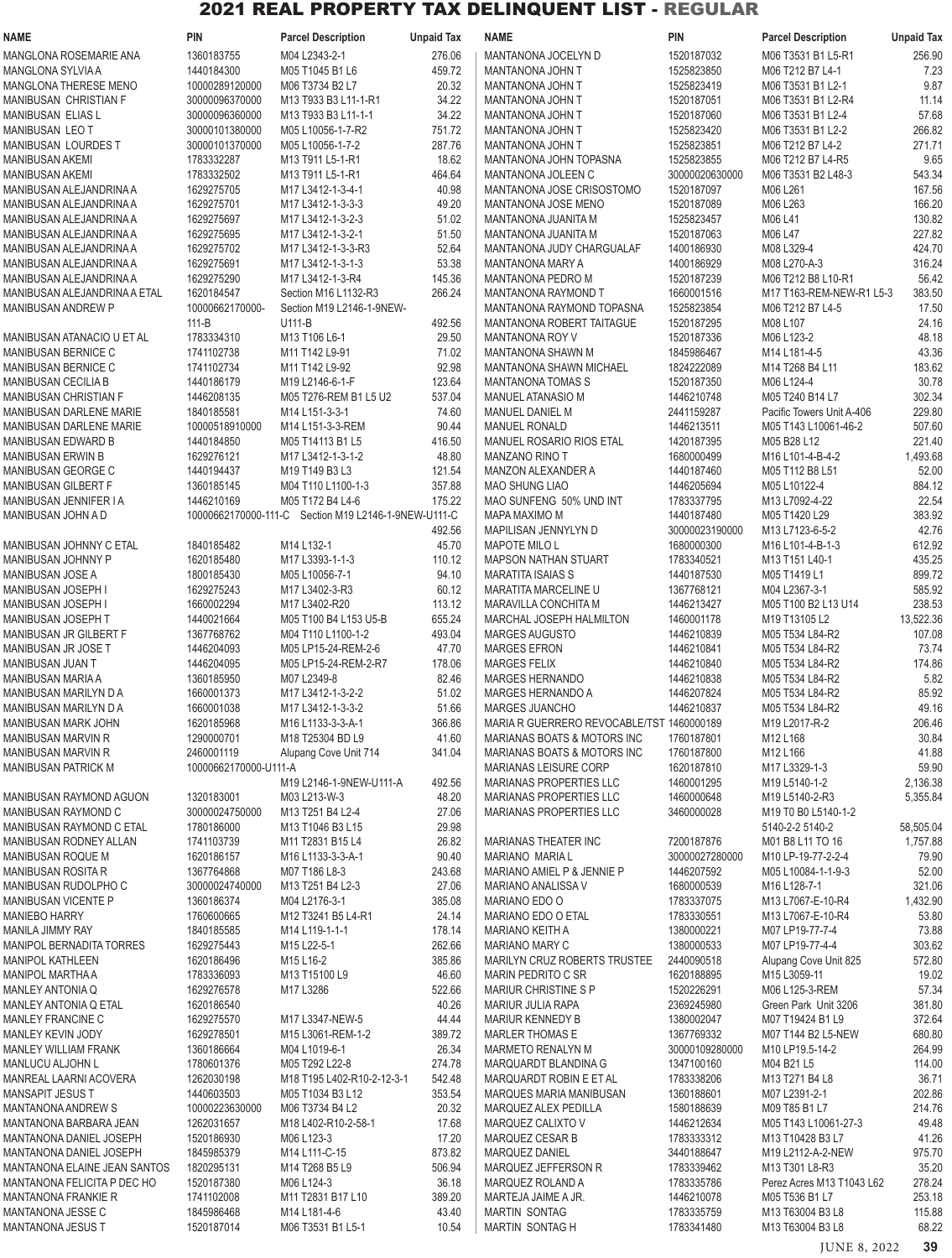| NAME                                             | <b>PIN</b>               | <b>Parcel Description</b>                            | <b>Unpaid Tax</b> | <b>NAME</b>                                                    | <b>PIN</b>                   | <b>Parcel Description</b>             | <b>Unpaid Tax</b> |
|--------------------------------------------------|--------------------------|------------------------------------------------------|-------------------|----------------------------------------------------------------|------------------------------|---------------------------------------|-------------------|
| MANGLONA ROSEMARIE ANA                           | 1360183755               | M04 L2343-2-1                                        | 276.06            | MANTANONA JOCELYN D                                            | 1520187032                   | M06 T3531 B1 L5-R1                    | 256.90            |
| MANGLONA SYLVIA A                                | 1440184300               | M05 T1045 B1 L6                                      | 459.72            | <b>MANTANONA JOHN T</b>                                        | 1525823850                   | M06 T212 B7 L4-1                      | 7.23              |
| MANGLONA THERESE MENO                            | 10000289120000           | M06 T3734 B2 L7                                      | 20.32             | MANTANONA JOHN T                                               | 1525823419                   | M06 T3531 B1 L2-1                     | 9.87              |
| MANIBUSAN CHRISTIAN F                            | 30000096370000           | M13 T933 B3 L11-1-R1                                 | 34.22             | MANTANONA JOHN T                                               | 1520187051                   | M06 T3531 B1 L2-R4                    | 11.14             |
| <b>MANIBUSAN ELIAS L</b>                         | 30000096360000           | M13 T933 B3 L11-1-1                                  | 34.22             | MANTANONA JOHN T                                               | 1520187060                   | M06 T3531 B1 L2-4                     | 57.68             |
| MANIBUSAN LEO T                                  | 30000101380000           | M05 L10056-1-7-R2                                    | 751.72            | MANTANONA JOHN T                                               | 1525823420                   | M06 T3531 B1 L2-2                     | 266.82            |
| MANIBUSAN LOURDES T                              | 30000101370000           | M05 L10056-1-7-2                                     | 287.76            | MANTANONA JOHN T                                               | 1525823851                   | M06 T212 B7 L4-2                      | 271.71            |
| MANIBUSAN AKEMI                                  | 1783332287               | M13 T911 L5-1-R1                                     | 18.62             | MANTANONA JOHN TOPASNA                                         | 1525823855                   | M06 T212 B7 L4-R5                     | 9.65              |
| MANIBUSAN AKEMI<br>MANIBUSAN ALEJANDRINA A       | 1783332502<br>1629275705 | M13 T911 L5-1-R1<br>M17 L3412-1-3-4-1                | 464.64<br>40.98   | MANTANONA JOLEEN C<br>MANTANONA JOSE CRISOSTOMO                | 30000020630000<br>1520187097 | M06 T3531 B2 L48-3<br>M06 L261        | 543.34<br>167.56  |
| MANIBUSAN ALEJANDRINA A                          | 1629275701               | M17 L3412-1-3-3-3                                    | 49.20             | <b>MANTANONA JOSE MENO</b>                                     | 1520187089                   | M06 L263                              | 166.20            |
| MANIBUSAN ALEJANDRINA A                          | 1629275697               | M17 L3412-1-3-2-3                                    | 51.02             | MANTANONA JUANITA M                                            | 1525823457                   | M06 L41                               | 130.82            |
| MANIBUSAN ALEJANDRINA A                          | 1629275695               | M17 L3412-1-3-2-1                                    | 51.50             | MANTANONA JUANITA M                                            | 1520187063                   | M06 L47                               | 227.82            |
| MANIBUSAN ALEJANDRINA A                          | 1629275702               | M17 L3412-1-3-3-R3                                   | 52.64             | MANTANONA JUDY CHARGUALAF                                      | 1400186930                   | M08 L329-4                            | 424.70            |
| MANIBUSAN ALEJANDRINA A                          | 1629275691               | M17 L3412-1-3-1-3                                    | 53.38             | <b>MANTANONA MARY A</b>                                        | 1400186929                   | M08 L270-A-3                          | 316.24            |
| MANIBUSAN ALEJANDRINA A                          | 1629275290               | M17 L3412-1-3-R4                                     | 145.36            | <b>MANTANONA PEDRO M</b>                                       | 1520187239                   | M06 T212 B8 L10-R1                    | 56.42             |
| MANIBUSAN ALEJANDRINA A ETAL                     | 1620184547               | Section M16 L1132-R3                                 | 266.24            | MANTANONA RAYMOND T                                            | 1660001516                   | M17 T163-REM-NEW-R1 L5-3              | 383.50            |
| MANIBUSAN ANDREW P                               | 10000662170000-          | Section M19 L2146-1-9NEW-                            |                   | MANTANONA RAYMOND TOPASNA                                      | 1525823854                   | M06 T212 B7 L4-5                      | 17.50             |
|                                                  | $111 - B$                | U111-B                                               | 492.56            | <b>MANTANONA ROBERT TAITAGUE</b>                               | 1520187295                   | M08 L107                              | 24.16             |
| MANIBUSAN ATANACIO U ET AL                       | 1783334310               | M13 T106 L6-1                                        | 29.50             | <b>MANTANONA ROY V</b>                                         | 1520187336                   | M06 L123-2                            | 48.18             |
| <b>MANIBUSAN BERNICE C</b>                       | 1741102738               | M11 T142 L9-91                                       | 71.02             | MANTANONA SHAWN M                                              | 1845986467                   | M14 L181-4-5                          | 43.36             |
| MANIBUSAN BERNICE C                              | 1741102734               | M11 T142 L9-92                                       | 92.98             | MANTANONA SHAWN MICHAEL                                        | 1824222089                   | M14 T268 B4 L11                       | 183.62            |
| MANIBUSAN CECILIA B                              | 1440186179               | M19 L2146-6-1-F                                      | 123.64            | <b>MANTANONA TOMAS S</b>                                       | 1520187350                   | M06 L124-4                            | 30.78             |
| MANIBUSAN CHRISTIAN F                            | 1446208135               | M05 T276-REM B1 L5 U2                                | 537.04            | MANUEL ATANASIO M                                              | 1446210748                   | M05 T240 B14 L7                       | 302.34            |
| MANIBUSAN DARLENE MARIE                          | 1840185581               | M14 L151-3-3-1                                       | 74.60             | MANUEL DANIEL M                                                | 2441159287                   | Pacific Towers Unit A-406             | 229.80            |
| MANIBUSAN DARLENE MARIE                          | 10000518910000           | M14 L151-3-3-REM                                     | 90.44             | <b>MANUEL RONALD</b>                                           | 1446213511                   | M05 T143 L10061-46-2                  | 507.60            |
| MANIBUSAN EDWARD B                               | 1440184850               | M05 T14113 B1 L5                                     | 416.50            | <b>MANUEL ROSARIO RIOS ETAL</b>                                | 1420187395                   | M05 B28 L12                           | 221.40            |
| MANIBUSAN ERWIN B<br>MANIBUSAN GEORGE C          | 1629276121<br>1440194437 | M17 L3412-1-3-1-2<br>M19 T149 B3 L3                  | 48.80<br>121.54   | <b>MANZANO RINO T</b><br>MANZON ALEXANDER A                    | 1680000499<br>1440187460     | M16 L101-4-B-4-2<br>M05 T112 B8 L51   | 1,493.68<br>52.00 |
| MANIBUSAN GILBERT F                              | 1360185145               | M04 T110 L1100-1-3                                   | 357.88            | <b>MAO SHUNG LIAO</b>                                          | 1446205694                   | M05 L10122-4                          | 884.12            |
| MANIBUSAN JENNIFER I A                           | 1446210169               | M05 T172 B4 L4-6                                     | 175.22            | MAO SUNFENG 50% UND INT                                        | 1783337795                   | M13 L7092-4-22                        | 22.54             |
| MANIBUSAN JOHN A D                               |                          | 10000662170000-111-C Section M19 L2146-1-9NEW-U111-C |                   | MAPA MAXIMO M                                                  | 1440187480                   | M05 T1420 L29                         | 383.92            |
|                                                  |                          |                                                      | 492.56            | MAPILISAN JENNYLYN D                                           | 30000023190000               | M13 L7123-6-5-2                       | 42.76             |
| MANIBUSAN JOHNNY C ETAL                          | 1840185482               | M14 L132-1                                           | 45.70             | <b>MAPOTE MILO L</b>                                           | 1680000300                   | M16 L101-4-B-1-3                      | 612.92            |
| MANIBUSAN JOHNNY P                               | 1620185480               | M17 L3393-1-1-3                                      | 110.12            | <b>MAPSON NATHAN STUART</b>                                    | 1783340521                   | M13 T151 L40-1                        | 435.25            |
| MANIBUSAN JOSE A                                 | 1800185430               | M05 L10056-7-1                                       | 94.10             | <b>MARATITA ISAIAS S</b>                                       | 1440187530                   | M05 T1419 L1                          | 899.72            |
| MANIBUSAN JOSEPH I                               | 1629275243               | M17 L3402-3-R3                                       | 60.12             | MARATITA MARCELINE U                                           | 1367768121                   | M04 L2367-3-1                         | 585.92            |
| MANIBUSAN JOSEPH I                               | 1660002294               | M17 L3402-R20                                        | 113.12            | MARAVILLA CONCHITA M                                           | 1446213427                   | M05 T100 B2 L13 U14                   | 238.53            |
| MANIBUSAN JOSEPH T                               | 1440021664               | M05 T100 B4 L153 U5-B                                | 655.24            | MARCHAL JOSEPH HALMILTON                                       | 1460001178                   | M19 T13105 L2                         | 13,522.36         |
| MANIBUSAN JR GILBERT F                           | 1367768762               | M04 T110 L1100-1-2                                   | 493.04            | <b>MARGES AUGUSTO</b>                                          | 1446210839                   | M05 T534 L84-R2                       | 107.08            |
| MANIBUSAN JR JOSE T                              | 1446204093               | M05 LP15-24-REM-2-6                                  | 47.70             | <b>MARGES EFRON</b>                                            | 1446210841                   | M05 T534 L84-R2                       | 73.74             |
| MANIBUSAN JUAN T                                 | 1446204095               | M05 LP15-24-REM-2-R7                                 | 178.06            | <b>MARGES FELIX</b>                                            | 1446210840                   | M05 T534 L84-R2                       | 174.86            |
| <b>MANIBUSAN MARIA A</b>                         | 1360185950               | M07 L2349-8                                          | 82.46             | <b>MARGES HERNANDO</b>                                         | 1446210838                   | M05 T534 L84-R2                       | 5.82              |
| MANIBUSAN MARILYN D A                            | 1660001373               | M17 L3412-1-3-2-2                                    | 51.02             | MARGES HERNANDO A                                              | 1446207824                   | M05 T534 L84-R2                       | 85.92             |
| MANIBUSAN MARILYN D A                            | 1660001038               | M17 L3412-1-3-3-2                                    | 51.66             | <b>MARGES JUANCHO</b>                                          | 1446210837                   | M05 T534 L84-R2                       | 49.16             |
| <b>MANIBUSAN MARK JOHN</b>                       | 1620185968               | M16 L1133-3-3-A-1                                    | 366.86            | MARIA R GUERRERO REVOCABLE/TST 1460000189                      |                              | M19 L2017-R-2                         | 206.46            |
| <b>MANIBUSAN MARVIN R</b>                        | 1290000701               | M18 T25304 BD L9                                     | 41.60             | <b>MARIANAS BOATS &amp; MOTORS INC</b>                         | 1760187801                   | M12 L168                              | 30.84             |
| MANIBUSAN MARVIN R                               | 2460001119               | Alupang Cove Unit 714                                | 341.04            | MARIANAS BOATS & MOTORS INC                                    | 1760187800                   | M12 L166                              | 41.88<br>59.90    |
| <b>MANIBUSAN PATRICK M</b>                       | 10000662170000-U111-A    | M19 L2146-1-9NEW-U111-A                              | 492.56            | <b>MARIANAS LEISURE CORP</b><br><b>MARIANAS PROPERTIES LLC</b> | 1620187810<br>1460001295     | M17 L3329-1-3<br>M19 L5140-1-2        | 2,136.38          |
| MANIBUSAN RAYMOND AGUON                          | 1320183001               | M03 L213-W-3                                         | 48.20             | <b>MARIANAS PROPERTIES LLC</b>                                 | 1460000648                   | M19 L5140-2-R3                        | 5.355.84          |
| MANIBUSAN RAYMOND C                              | 30000024750000           | M13 T251 B4 L2-4                                     | 27.06             | <b>MARIANAS PROPERTIES LLC</b>                                 | 3460000028                   | M19 T0 B0 L5140-1-2                   |                   |
| MANIBUSAN RAYMOND C ETAL                         | 1780186000               | M13 T1046 B3 L15                                     | 29.98             |                                                                |                              | 5140-2-2 5140-2                       | 58,505.04         |
| MANIBUSAN RODNEY ALLAN                           | 1741103739               | M11 T2831 B15 L4                                     | 26.82             | MARIANAS THEATER INC                                           | 7200187876                   | M01 B8 L11 TO 16                      | 1,757.88          |
| MANIBUSAN ROQUE M                                | 1620186157               | M16 L1133-3-3-A-1                                    | 90.40             | <b>MARIANO MARIAL</b>                                          | 30000027280000               | M10 LP-19-77-2-2-4                    | 79.90             |
| <b>MANIBUSAN ROSITA R</b>                        | 1367764868               | M07 T186 L8-3                                        | 243.68            | MARIANO AMIEL P & JENNIE P                                     | 1446207592                   | M05 L10084-1-1-9-3                    | 52.00             |
| MANIBUSAN RUDOLPHO C                             | 30000024740000           | M13 T251 B4 L2-3                                     | 27.06             | MARIANO ANALISSA V                                             | 1680000539                   | M16 L128-7-1                          | 321.06            |
| <b>MANIBUSAN VICENTE P</b>                       | 1360186374               | M04 L2176-3-1                                        | 385.08            | MARIANO EDO O                                                  | 1783337075                   | M13 L7067-E-10-R4                     | 1,432.90          |
| MANIEBO HARRY                                    | 1760600665               | M12 T3241 B5 L4-R1                                   | 24.14             | MARIANO EDO O ETAL                                             | 1783330551                   | M13 L7067-E-10-R4                     | 53.80             |
| <b>MANILA JIMMY RAY</b>                          | 1840185585               | M14 L119-1-1-1                                       | 178.14            | MARIANO KEITH A                                                | 1380000221                   | M07 LP19-77-7-4                       | 73.88             |
| <b>MANIPOL BERNADITA TORRES</b>                  | 1629275443               | M15 L22-5-1                                          | 262.66            | MARIANO MARY C                                                 | 1380000533                   | M07 LP19-77-4-4                       | 303.62            |
| <b>MANIPOL KATHLEEN</b>                          | 1620186496               | M15 L16-2                                            | 385.86            | MARILYN CRUZ ROBERTS TRUSTEE                                   | 2440090518                   | Alupang Cove Unit 825                 | 572.80            |
| MANIPOL MARTHA A                                 | 1783336093               | M13 T15100 L9                                        | 46.60             | MARIN PEDRITO C SR                                             | 1620188895                   | M15 L3059-11                          | 19.02             |
| MANLEY ANTONIA Q                                 | 1629276578               | M17 L3286                                            | 522.66            | <b>MARIUR CHRISTINE S P</b>                                    | 1520226291                   | M06 L125-3-REM                        | 57.34             |
| MANLEY ANTONIA Q ETAL                            | 1620186540               |                                                      | 40.26             | MARIUR JULIA RAPA                                              | 2369245980                   | Green Park Unit 3206                  | 381.80            |
| MANLEY FRANCINE C                                | 1629275570               | M17 L3347-NEW-5                                      | 44.44             | MARIUR KENNEDY B                                               | 1380002047                   | M07 T19424 B1 L9                      | 372.64            |
| <b>MANLEY KEVIN JODY</b><br>MANLEY WILLIAM FRANK | 1629278501<br>1360186664 | M15 L3061-REM-1-2<br>M04 L1019-6-1                   | 389.72<br>26.34   | MARLER THOMAS E<br><b>MARMETO RENALYN M</b>                    | 1367769332<br>30000109280000 | M07 T144 B2 L5-NEW<br>M10 LP19.5-14-2 | 680.80<br>264.99  |
| MANLUCU ALJOHN L                                 | 1780601376               | M05 T292 L22-8                                       | 274.78            | MARQUARDT BLANDINA G                                           | 1347100160                   |                                       | 114.00            |
| MANREAL LAARNI ACOVERA                           | 1262030198               | M18 T195 L402-R10-2-12-3-1                           | 542.48            | MARQUARDT ROBIN E ET AL                                        | 1783338206                   | M04 B21 L5<br>M13 T271 B4 L8          | 36.71             |
| <b>MANSAPIT JESUS T</b>                          | 1440603503               | M05 T1034 B3 L12                                     | 353.54            | MARQUES MARIA MANIBUSAN                                        | 1360188601                   | M07 L2391-2-1                         | 202.86            |
| <b>MANTANONA ANDREW S</b>                        | 10000223630000           | M06 T3734 B4 L2                                      | 20.32             | MARQUEZ ALEX PEDILLA                                           | 1580188639                   | M09 T85 B1 L7                         | 214.76            |
| MANTANONA BARBARA JEAN                           | 1262031657               | M18 L402-R10-2-58-1                                  | 17.68             | MARQUEZ CALIXTO V                                              | 1446212634                   | M05 T143 L10061-27-3                  | 49.48             |
| MANTANONA DANIEL JOSEPH                          | 1520186930               | M06 L123-3                                           | 17.20             | MARQUEZ CESAR B                                                | 1783333312                   | M13 T10428 B3 L7                      | 41.26             |
| MANTANONA DANIEL JOSEPH                          | 1845985379               | M14 L111-C-15                                        | 873.82            | MARQUEZ DANIEL                                                 | 3440188647                   | M19 L2112-A-2-NEW                     | 975.70            |
| MANTANONA ELAINE JEAN SANTOS                     | 1820295131               | M14 T268 B5 L9                                       | 506.94            | MARQUEZ JEFFERSON R                                            | 1783339462                   | M13 T301 L8-R3                        | 35.20             |
| MANTANONA FELICITA P DEC HO                      | 1520187380               | M06 L124-3                                           | 36.18             | MARQUEZ ROLAND A                                               | 1783335786                   | Perez Acres M13 T1043 L62             | 278.24            |
| MANTANONA FRANKIE R                              | 1741102008               | M11 T2831 B17 L10                                    | 389.20            | MARTEJA JAIME A JR.                                            | 1446210078                   | M05 T536 B1 L7                        | 253.18            |
| MANTANONA JESSE C                                | 1845986468               | M14 L181-4-6                                         | 43.40             | <b>MARTIN SONTAG</b>                                           | 1783335759                   | M13 T63004 B3 L8                      | 115.88            |
| <b>MANTANONA JESUS T</b>                         | 1520187014               | M06 T3531 B1 L5-1                                    | 10.54             | MARTIN SONTAG H                                                | 1783341480                   | M13 T63004 B3 L8                      | 68.22             |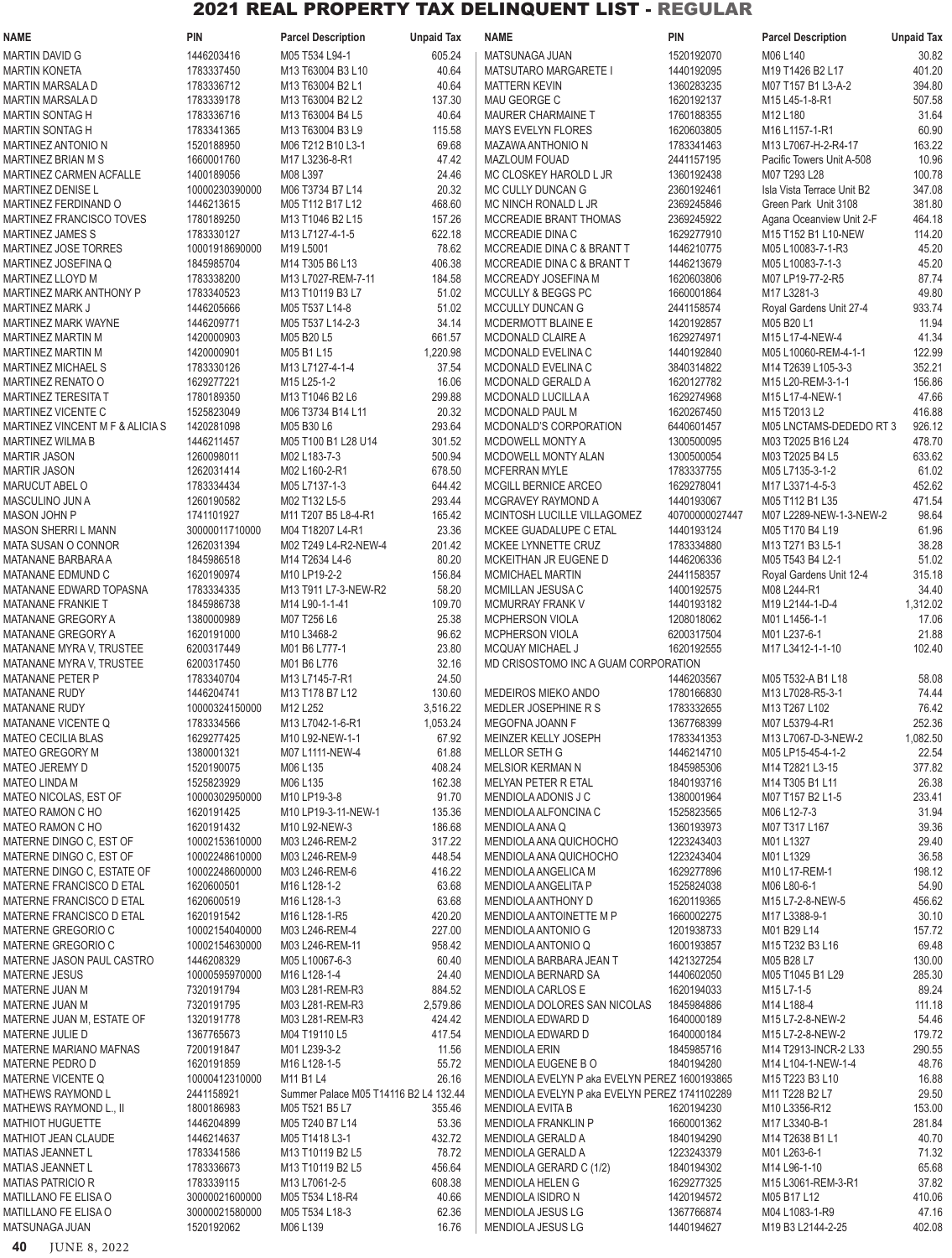| <b>NAME</b>                                           | <b>PIN</b>                   | <b>Parcel Description</b>             | <b>Unpaid Tax</b> | <b>NAME</b>                                                         | <b>PIN</b>               | <b>Parcel Description</b>                        | <b>Unpaid Tax</b> |
|-------------------------------------------------------|------------------------------|---------------------------------------|-------------------|---------------------------------------------------------------------|--------------------------|--------------------------------------------------|-------------------|
| MARTIN DAVID G                                        | 1446203416                   | M05 T534 L94-1                        | 605.24            | MATSUNAGA JUAN                                                      | 1520192070               | M06 L140                                         | 30.82             |
| <b>MARTIN KONETA</b>                                  | 1783337450                   | M13 T63004 B3 L10                     | 40.64             | <b>MATSUTARO MARGARETE I</b>                                        | 1440192095               | M19 T1426 B2 L17                                 | 401.20            |
| MARTIN MARSALA D                                      | 1783336712                   | M13 T63004 B2 L1                      | 40.64             | <b>MATTERN KEVIN</b>                                                | 1360283235               | M07 T157 B1 L3-A-2                               | 394.80            |
| <b>MARTIN MARSALA D</b>                               | 1783339178                   | M13 T63004 B2 L2                      | 137.30            | MAU GEORGE C                                                        | 1620192137               | M15 L45-1-8-R1                                   | 507.58            |
| <b>MARTIN SONTAG H</b>                                | 1783336716                   | M13 T63004 B4 L5                      | 40.64             | <b>MAURER CHARMAINE T</b>                                           | 1760188355               | M12 L180                                         | 31.64             |
| <b>MARTIN SONTAG H</b>                                | 1783341365                   | M13 T63004 B3 L9                      | 115.58<br>69.68   | <b>MAYS EVELYN FLORES</b>                                           | 1620603805               | M16 L1157-1-R1                                   | 60.90<br>163.22   |
| <b>MARTINEZ ANTONIO N</b><br>MARTINEZ BRIAN M S       | 1520188950<br>1660001760     | M06 T212 B10 L3-1<br>M17 L3236-8-R1   | 47.42             | MAZAWA ANTHONIO N<br>MAZLOUM FOUAD                                  | 1783341463<br>2441157195 | M13 L7067-H-2-R4-17<br>Pacific Towers Unit A-508 | 10.96             |
| MARTINEZ CARMEN ACFALLE                               | 1400189056                   | M08 L397                              | 24.46             | MC CLOSKEY HAROLD L JR                                              | 1360192438               | M07 T293 L28                                     | 100.78            |
| <b>MARTINEZ DENISE L</b>                              | 10000230390000               | M06 T3734 B7 L14                      | 20.32             | MC CULLY DUNCAN G                                                   | 2360192461               | Isla Vista Terrace Unit B2                       | 347.08            |
| MARTINEZ FERDINAND O                                  | 1446213615                   | M05 T112 B17 L12                      | 468.60            | MC NINCH RONALD L JR                                                | 2369245846               | Green Park Unit 3108                             | 381.80            |
| MARTINEZ FRANCISCO TOVES                              | 1780189250                   | M13 T1046 B2 L15                      | 157.26            | MCCREADIE BRANT THOMAS                                              | 2369245922               | Agana Oceanview Unit 2-F                         | 464.18            |
| MARTINEZ JAMES S                                      | 1783330127                   | M13 L7127-4-1-5                       | 622.18            | MCCREADIE DINA C                                                    | 1629277910               | M15 T152 B1 L10-NEW                              | 114.20            |
| <b>MARTINEZ JOSE TORRES</b>                           | 10001918690000               | M19 L5001                             | 78.62             | MCCREADIE DINA C & BRANT T                                          | 1446210775               | M05 L10083-7-1-R3                                | 45.20             |
| MARTINEZ JOSEFINA Q                                   | 1845985704                   | M14 T305 B6 L13                       | 406.38            | MCCREADIE DINA C & BRANT T                                          | 1446213679               | M05 L10083-7-1-3                                 | 45.20             |
| MARTINEZ LLOYD M                                      | 1783338200                   | M13 L7027-REM-7-11                    | 184.58            | MCCREADY JOSEFINA M                                                 | 1620603806               | M07 LP19-77-2-R5                                 | 87.74             |
| MARTINEZ MARK ANTHONY P<br><b>MARTINEZ MARK J</b>     | 1783340523<br>1446205666     | M13 T10119 B3 L7<br>M05 T537 L14-8    | 51.02<br>51.02    | MCCULLY & BEGGS PC<br>MCCULLY DUNCAN G                              | 1660001864<br>2441158574 | M17 L3281-3<br>Royal Gardens Unit 27-4           | 49.80<br>933.74   |
| <b>MARTINEZ MARK WAYNE</b>                            | 1446209771                   | M05 T537 L14-2-3                      | 34.14             | MCDERMOTT BLAINE E                                                  | 1420192857               | M05 B20 L1                                       | 11.94             |
| MARTINEZ MARTIN M                                     | 1420000903                   | M05 B20 L5                            | 661.57            | MCDONALD CLAIRE A                                                   | 1629274971               | M15 L17-4-NEW-4                                  | 41.34             |
| <b>MARTINEZ MARTIN M</b>                              | 1420000901                   | M05 B1 L15                            | 1,220.98          | MCDONALD EVELINA C                                                  | 1440192840               | M05 L10060-REM-4-1-1                             | 122.99            |
| <b>MARTINEZ MICHAEL S</b>                             | 1783330126                   | M13 L7127-4-1-4                       | 37.54             | MCDONALD EVELINA C                                                  | 3840314822               | M14 T2639 L105-3-3                               | 352.21            |
| <b>MARTINEZ RENATO O</b>                              | 1629277221                   | M15 L25-1-2                           | 16.06             | MCDONALD GERALD A                                                   | 1620127782               | M15 L20-REM-3-1-1                                | 156.86            |
| MARTINEZ TERESITA T                                   | 1780189350                   | M13 T1046 B2 L6                       | 299.88            | MCDONALD LUCILLA A                                                  | 1629274968               | M15 L17-4-NEW-1                                  | 47.66             |
| MARTINEZ VICENTE C                                    | 1525823049                   | M06 T3734 B14 L11                     | 20.32             | MCDONALD PAUL M                                                     | 1620267450               | M15 T2013 L2                                     | 416.88            |
| MARTINEZ VINCENT M F & ALICIA S                       | 1420281098                   | M05 B30 L6                            | 293.64            | MCDONALD'S CORPORATION                                              | 6440601457               | M05 LNCTAMS-DEDEDO RT 3                          | 926.12            |
| MARTINEZ WILMA B                                      | 1446211457                   | M05 T100 B1 L28 U14                   | 301.52            | MCDOWELL MONTY A                                                    | 1300500095               | M03 T2025 B16 L24                                | 478.70            |
| <b>MARTIR JASON</b>                                   | 1260098011                   | M02 L183-7-3                          | 500.94            | MCDOWELL MONTY ALAN                                                 | 1300500054               | M03 T2025 B4 L5                                  | 633.62<br>61.02   |
| <b>MARTIR JASON</b><br>MARUCUT ABEL O                 | 1262031414<br>1783334434     | M02 L160-2-R1<br>M05 L7137-1-3        | 678.50<br>644.42  | <b>MCFERRAN MYLE</b><br>MCGILL BERNICE ARCEO                        | 1783337755<br>1629278041 | M05 L7135-3-1-2<br>M17 L3371-4-5-3               | 452.62            |
| MASCULINO JUN A                                       | 1260190582                   | M02 T132 L5-5                         | 293.44            | MCGRAVEY RAYMOND A                                                  | 1440193067               | M05 T112 B1 L35                                  | 471.54            |
| <b>MASON JOHN P</b>                                   | 1741101927                   | M11 T207 B5 L8-4-R1                   | 165.42            | MCINTOSH LUCILLE VILLAGOMEZ                                         | 40700000027447           | M07 L2289-NEW-1-3-NEW-2                          | 98.64             |
| <b>MASON SHERRI L MANN</b>                            | 30000011710000               | M04 T18207 L4-R1                      | 23.36             | MCKEE GUADALUPE C ETAL                                              | 1440193124               | M05 T170 B4 L19                                  | 61.96             |
| <b>MATA SUSAN O CONNOR</b>                            | 1262031394                   | M02 T249 L4-R2-NEW-4                  | 201.42            | MCKEE LYNNETTE CRUZ                                                 | 1783334880               | M13 T271 B3 L5-1                                 | 38.28             |
| MATANANE BARBARA A                                    | 1845986518                   | M14 T2634 L4-6                        | 80.20             | MCKEITHAN JR EUGENE D                                               | 1446206336               | M05 T543 B4 L2-1                                 | 51.02             |
| MATANANE EDMUND C                                     | 1620190974                   | M10 LP19-2-2                          | 156.84            | <b>MCMICHAEL MARTIN</b>                                             | 2441158357               | Royal Gardens Unit 12-4                          | 315.18            |
| MATANANE EDWARD TOPASNA                               | 1783334335                   | M13 T911 L7-3-NEW-R2                  | 58.20             | MCMILLAN JESUSA C                                                   | 1400192575               | M08 L244-R1                                      | 34.40             |
| MATANANE FRANKIE T                                    | 1845986738                   | M14 L90-1-1-41                        | 109.70            | <b>MCMURRAY FRANK V</b>                                             | 1440193182               | M19 L2144-1-D-4                                  | 1,312.02          |
| MATANANE GREGORY A                                    | 1380000989                   | M07 T256 L6                           | 25.38             | MCPHERSON VIOLA                                                     | 1208018062               | M01 L1456-1-1                                    | 17.06             |
| <b>MATANANE GREGORY A</b><br>MATANANE MYRA V, TRUSTEE | 1620191000<br>6200317449     | M10 L3468-2<br>M01 B6 L777-1          | 96.62<br>23.80    | <b>MCPHERSON VIOLA</b><br>MCQUAY MICHAEL J                          | 6200317504<br>1620192555 | M01 L237-6-1<br>M17 L3412-1-1-10                 | 21.88<br>102.40   |
| MATANANE MYRA V, TRUSTEE                              | 6200317450                   | M01 B6 L776                           | 32.16             | MD CRISOSTOMO INC A GUAM CORPORATION                                |                          |                                                  |                   |
| <b>MATANANE PETER P</b>                               | 1783340704                   | M13 L7145-7-R1                        | 24.50             |                                                                     | 1446203567               | M05 T532-A B1 L18                                | 58.08             |
| MATANANE RUDY                                         | 1446204741                   | M13 T178 B7 L12                       | 130.60            | MEDEIROS MIEKO ANDO                                                 | 1780166830               | M13 L7028-R5-3-1                                 | 74.44             |
| <b>MATANANE RUDY</b>                                  | 10000324150000               | M12 L252                              | 3,516.22          | MEDLER JOSEPHINE R S                                                | 1783332655               | M13 T267 L102                                    | 76.42             |
| <b>MATANANE VICENTE Q</b>                             | 1783334566                   | M13 L7042-1-6-R1                      | 1,053.24          | MEGOFNA JOANN F                                                     | 1367768399               | M07 L5379-4-R1                                   | 252.36            |
| <b>MATEO CECILIA BLAS</b>                             | 1629277425                   | M10 L92-NEW-1-1                       | 67.92             | MEINZER KELLY JOSEPH                                                | 1783341353               | M13 L7067-D-3-NEW-2                              | 1,082.50          |
| MATEO GREGORY M                                       | 1380001321                   | M07 L1111-NEW-4                       | 61.88             | MELLOR SETH G                                                       | 1446214710               | M05 LP15-45-4-1-2                                | 22.54             |
| MATEO JEREMY D<br><b>MATEO LINDA M</b>                | 1520190075<br>1525823929     | M06 L135<br>M06 L135                  | 408.24<br>162.38  | MELSIOR KERMAN N<br>MELYAN PETER R ETAL                             | 1845985306<br>1840193716 | M14 T2821 L3-15<br>M14 T305 B1 L11               | 377.82<br>26.38   |
| MATEO NICOLAS, EST OF                                 | 10000302950000               | M10 LP19-3-8                          | 91.70             | MENDIOLA ADONIS J C                                                 | 1380001964               | M07 T157 B2 L1-5                                 | 233.41            |
| MATEO RAMON C HO                                      | 1620191425                   | M10 LP19-3-11-NEW-1                   | 135.36            | MENDIOLA ALFONCINA C                                                | 1525823565               | M06 L12-7-3                                      | 31.94             |
| MATEO RAMON C HO                                      | 1620191432                   | M10 L92-NEW-3                         | 186.68            | MENDIOLA ANA Q                                                      | 1360193973               | M07 T317 L167                                    | 39.36             |
| MATERNE DINGO C, EST OF                               | 10002153610000               | M03 L246-REM-2                        | 317.22            | MENDIOLA ANA QUICHOCHO                                              | 1223243403               | M01 L1327                                        | 29.40             |
| MATERNE DINGO C, EST OF                               | 10002248610000               | M03 L246-REM-9                        | 448.54            | MENDIOLA ANA QUICHOCHO                                              | 1223243404               | M01 L1329                                        | 36.58             |
| MATERNE DINGO C, ESTATE OF                            | 10002248600000               | M03 L246-REM-6                        | 416.22            | MENDIOLA ANGELICA M                                                 | 1629277896               | M10 L17-REM-1                                    | 198.12            |
| MATERNE FRANCISCO D ETAL                              | 1620600501                   | M16 L128-1-2                          | 63.68             | MENDIOLA ANGELITA P                                                 | 1525824038               | M06 L80-6-1                                      | 54.90             |
| MATERNE FRANCISCO D ETAL                              | 1620600519                   | M16 L128-1-3                          | 63.68             | MENDIOLA ANTHONY D                                                  | 1620119365               | M15 L7-2-8-NEW-5                                 | 456.62            |
| MATERNE FRANCISCO D ETAL<br>MATERNE GREGORIO C        | 1620191542<br>10002154040000 | M16 L128-1-R5<br>M03 L246-REM-4       | 420.20<br>227.00  | MENDIOLA ANTOINETTE M P<br>MENDIOLA ANTONIO G                       | 1660002275<br>1201938733 | M17 L3388-9-1<br>M01 B29 L14                     | 30.10<br>157.72   |
| MATERNE GREGORIO C                                    | 10002154630000               | M03 L246-REM-11                       | 958.42            | MENDIOLA ANTONIO Q                                                  | 1600193857               | M15 T232 B3 L16                                  | 69.48             |
| MATERNE JASON PAUL CASTRO                             | 1446208329                   | M05 L10067-6-3                        | 60.40             | MENDIOLA BARBARA JEAN T                                             | 1421327254               | M05 B28 L7                                       | 130.00            |
| <b>MATERNE JESUS</b>                                  | 10000595970000               | M16 L128-1-4                          | 24.40             | MENDIOLA BERNARD SA                                                 | 1440602050               | M05 T1045 B1 L29                                 | 285.30            |
| MATERNE JUAN M                                        | 7320191794                   | M03 L281-REM-R3                       | 884.52            | MENDIOLA CARLOS E                                                   | 1620194033               | M15 L7-1-5                                       | 89.24             |
| MATERNE JUAN M                                        | 7320191795                   | M03 L281-REM-R3                       | 2,579.86          | MENDIOLA DOLORES SAN NICOLAS                                        | 1845984886               | M14 L188-4                                       | 111.18            |
| MATERNE JUAN M, ESTATE OF                             | 1320191778                   | M03 L281-REM-R3                       | 424.42            | MENDIOLA EDWARD D                                                   | 1640000189               | M15 L7-2-8-NEW-2                                 | 54.46             |
| MATERNE JULIE D                                       | 1367765673                   | M04 T19110 L5                         | 417.54            | MENDIOLA EDWARD D                                                   | 1640000184               | M15 L7-2-8-NEW-2                                 | 179.72            |
| MATERNE MARIANO MAFNAS                                | 7200191847                   | M01 L239-3-2                          | 11.56             | <b>MENDIOLA ERIN</b>                                                | 1845985716               | M14 T2913-INCR-2 L33                             | 290.55            |
| MATERNE PEDRO D<br>MATERNE VICENTE Q                  | 1620191859<br>10000412310000 | M16 L128-1-5<br>M11 B1 L4             | 55.72<br>26.16    | MENDIOLA EUGENE BO<br>MENDIOLA EVELYN P aka EVELYN PEREZ 1600193865 | 1840194280               | M14 L104-1-NEW-1-4<br>M15 T223 B3 L10            | 48.76<br>16.88    |
| MATHEWS RAYMOND L                                     | 2441158921                   | Summer Palace M05 T14116 B2 L4 132.44 |                   | MENDIOLA EVELYN P aka EVELYN PEREZ 1741102289                       |                          | M11 T228 B2 L7                                   | 29.50             |
| MATHEWS RAYMOND L., II                                | 1800186983                   | M05 T521 B5 L7                        | 355.46            | <b>MENDIOLA EVITA B</b>                                             | 1620194230               | M10 L3356-R12                                    | 153.00            |
| <b>MATHIOT HUGUETTE</b>                               | 1446204899                   | M05 T240 B7 L14                       | 53.36             | <b>MENDIOLA FRANKLIN P</b>                                          | 1660001362               | M17 L3340-B-1                                    | 281.84            |
| <b>MATHIOT JEAN CLAUDE</b>                            | 1446214637                   | M05 T1418 L3-1                        | 432.72            | MENDIOLA GERALD A                                                   | 1840194290               | M14 T2638 B1 L1                                  | 40.70             |
| MATIAS JEANNET L                                      | 1783341586                   | M13 T10119 B2 L5                      | 78.72             | MENDIOLA GERALD A                                                   | 1223243379               | M01 L263-6-1                                     | 71.32             |
| MATIAS JEANNET L                                      | 1783336673                   | M13 T10119 B2 L5                      | 456.64            | MENDIOLA GERARD C (1/2)                                             | 1840194302               | M14 L96-1-10                                     | 65.68             |
| <b>MATIAS PATRICIO R</b>                              | 1783339115                   | M13 L7061-2-5                         | 608.38            | MENDIOLA HELEN G                                                    | 1629277325               | M15 L3061-REM-3-R1                               | 37.82             |
| MATILLANO FE ELISA O                                  | 30000021600000               | M05 T534 L18-R4                       | 40.66             | MENDIOLA ISIDRO N                                                   | 1420194572               | M05 B17 L12                                      | 410.06            |
| MATILLANO FE ELISA O<br>MATSUNAGA JUAN                | 30000021580000<br>1520192062 | M05 T534 L18-3<br>M06 L139            | 62.36<br>16.76    | MENDIOLA JESUS LG<br>MENDIOLA JESUS LG                              | 1367766874<br>1440194627 | M04 L1083-1-R9<br>M19 B3 L2144-2-25              | 47.16<br>402.08   |
|                                                       |                              |                                       |                   |                                                                     |                          |                                                  |                   |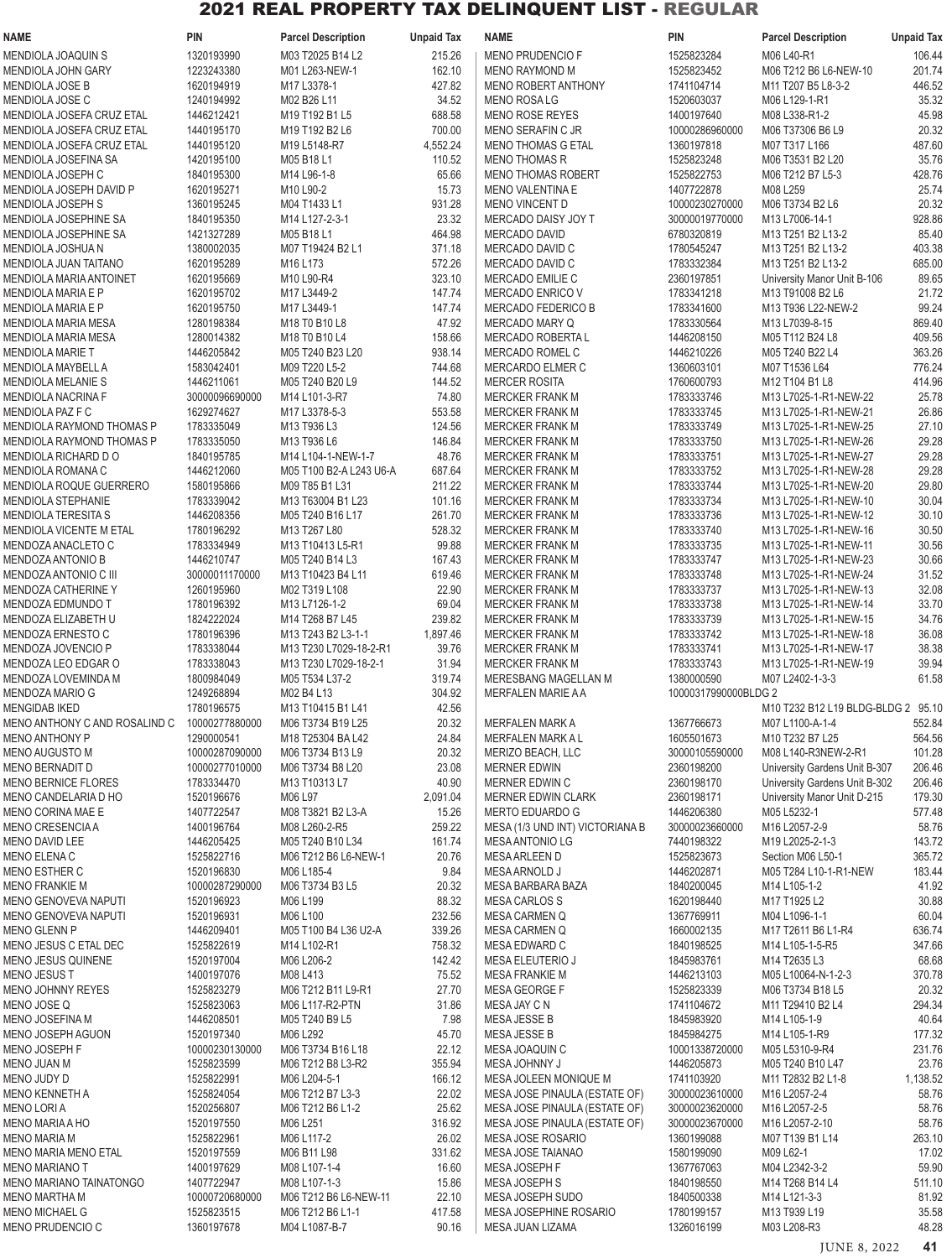| <b>NAME</b>                                     | <b>PIN</b>                   | <b>Parcel Description</b>             | <b>Unpaid Tax</b> | <b>NAME</b>                                       | PIN                      | <b>Parcel Description</b>                                    | <b>Unpaid Tax</b> |
|-------------------------------------------------|------------------------------|---------------------------------------|-------------------|---------------------------------------------------|--------------------------|--------------------------------------------------------------|-------------------|
| MENDIOLA JOAQUIN S                              | 1320193990                   | M03 T2025 B14 L2                      | 215.26            | <b>MENO PRUDENCIO F</b>                           | 1525823284               | M06 L40-R1                                                   | 106.44            |
| MENDIOLA JOHN GARY                              | 1223243380                   | M01 L263-NEW-1                        | 162.10            | <b>MENO RAYMOND M</b>                             | 1525823452               | M06 T212 B6 L6-NEW-10                                        | 201.74            |
| <b>MENDIOLA JOSE B</b>                          | 1620194919                   | M17 L3378-1                           | 427.82            | <b>MENO ROBERT ANTHONY</b>                        | 1741104714               | M11 T207 B5 L8-3-2                                           | 446.52            |
| MENDIOLA JOSE C                                 | 1240194992                   | M02 B26 L11                           | 34.52             | <b>MENO ROSALG</b>                                | 1520603037               | M06 L129-1-R1                                                | 35.32             |
| MENDIOLA JOSEFA CRUZ ETAL                       | 1446212421                   | M19 T192 B1 L5                        | 688.58            | <b>MENO ROSE REYES</b>                            | 1400197640               | M08 L338-R1-2                                                | 45.98             |
| MENDIOLA JOSEFA CRUZ ETAL                       | 1440195170                   | M19 T192 B2 L6                        | 700.00            | MENO SERAFIN C JR                                 | 10000286960000           | M06 T37306 B6 L9                                             | 20.32             |
| MENDIOLA JOSEFA CRUZ ETAL                       | 1440195120                   | M19 L5148-R7                          | 4,552.24          | <b>MENO THOMAS G ETAL</b>                         | 1360197818               | M07 T317 L166                                                | 487.60            |
| MENDIOLA JOSEFINA SA<br>MENDIOLA JOSEPH C       | 1420195100<br>1840195300     | M05 B18 L1<br>M14 L96-1-8             | 110.52<br>65.66   | <b>MENO THOMAS R</b><br><b>MENO THOMAS ROBERT</b> | 1525823248<br>1525822753 | M06 T3531 B2 L20<br>M06 T212 B7 L5-3                         | 35.76<br>428.76   |
| MENDIOLA JOSEPH DAVID P                         | 1620195271                   | M10 L90-2                             | 15.73             | <b>MENO VALENTINA E</b>                           | 1407722878               | M08 L259                                                     | 25.74             |
| <b>MENDIOLA JOSEPH S</b>                        | 1360195245                   | M04 T1433 L1                          | 931.28            | MENO VINCENT D                                    | 10000230270000           | M06 T3734 B2 L6                                              | 20.32             |
| MENDIOLA JOSEPHINE SA                           | 1840195350                   | M14 L127-2-3-1                        | 23.32             | MERCADO DAISY JOY T                               | 30000019770000           | M13 L7006-14-1                                               | 928.86            |
| MENDIOLA JOSEPHINE SA                           | 1421327289                   | M05 B18 L1                            | 464.98            | <b>MERCADO DAVID</b>                              | 6780320819               | M13 T251 B2 L13-2                                            | 85.40             |
| MENDIOLA JOSHUA N                               | 1380002035                   | M07 T19424 B2 L1                      | 371.18            | MERCADO DAVID C                                   | 1780545247               | M13 T251 B2 L13-2                                            | 403.38            |
| MENDIOLA JUAN TAITANO                           | 1620195289                   | M <sub>16</sub> L <sub>173</sub>      | 572.26            | MERCADO DAVID C                                   | 1783332384               | M13 T251 B2 L13-2                                            | 685.00            |
| <b>MENDIOLA MARIA ANTOINET</b>                  | 1620195669                   | M10 L90-R4                            | 323.10            | MERCADO EMILIE C                                  | 2360197851               | University Manor Unit B-106                                  | 89.65             |
| MENDIOLA MARIA E P                              | 1620195702                   | M17 L3449-2                           | 147.74            | MERCADO ENRICO V                                  | 1783341218               | M13 T91008 B2 L6                                             | 21.72             |
| MENDIOLA MARIA E P                              | 1620195750                   | M17 L3449-1                           | 147.74            | MERCADO FEDERICO B                                | 1783341600               | M13 T936 L22-NEW-2                                           | 99.24             |
| MENDIOLA MARIA MESA                             | 1280198384                   | M18 T0 B10 L8                         | 47.92             | <b>MERCADO MARY Q</b>                             | 1783330564               | M13 L7039-8-15                                               | 869.40            |
| MENDIOLA MARIA MESA                             | 1280014382                   | M18 T0 B10 L4                         | 158.66            | MERCADO ROBERTA L                                 | 1446208150               | M05 T112 B24 L8                                              | 409.56            |
| <b>MENDIOLA MARIE T</b>                         | 1446205842                   | M05 T240 B23 L20                      | 938.14            | MERCADO ROMEL C                                   | 1446210226               | M05 T240 B22 L4                                              | 363.26            |
| MENDIOLA MAYBELL A<br><b>MENDIOLA MELANIE S</b> | 1583042401<br>1446211061     | M09 T220 L5-2<br>M05 T240 B20 L9      | 744.68<br>144.52  | MERCARDO ELMER C<br><b>MERCER ROSITA</b>          | 1360603101<br>1760600793 | M07 T1536 L64<br>M12 T104 B1 L8                              | 776.24<br>414.96  |
| MENDIOLA NACRINA F                              | 30000096690000               | M14 L101-3-R7                         | 74.80             | <b>MERCKER FRANK M</b>                            | 1783333746               | M13 L7025-1-R1-NEW-22                                        | 25.78             |
| MENDIOLA PAZ F C                                | 1629274627                   | M17 L3378-5-3                         | 553.58            | <b>MERCKER FRANK M</b>                            | 1783333745               | M13 L7025-1-R1-NEW-21                                        | 26.86             |
| MENDIOLA RAYMOND THOMAS P                       | 1783335049                   | M13 T936 L3                           | 124.56            | <b>MERCKER FRANK M</b>                            | 1783333749               | M13 L7025-1-R1-NEW-25                                        | 27.10             |
| MENDIOLA RAYMOND THOMAS P                       | 1783335050                   | M13 T936 L6                           | 146.84            | <b>MERCKER FRANK M</b>                            | 1783333750               | M13 L7025-1-R1-NEW-26                                        | 29.28             |
| MENDIOLA RICHARD DO                             | 1840195785                   | M14 L104-1-NEW-1-7                    | 48.76             | <b>MERCKER FRANK M</b>                            | 1783333751               | M13 L7025-1-R1-NEW-27                                        | 29.28             |
| MENDIOLA ROMANA C                               | 1446212060                   | M05 T100 B2-A L243 U6-A               | 687.64            | <b>MERCKER FRANK M</b>                            | 1783333752               | M13 L7025-1-R1-NEW-28                                        | 29.28             |
| MENDIOLA ROQUE GUERRERO                         | 1580195866                   | M09 T85 B1 L31                        | 211.22            | MERCKER FRANK M                                   | 1783333744               | M13 L7025-1-R1-NEW-20                                        | 29.80             |
| <b>MENDIOLA STEPHANIE</b>                       | 1783339042                   | M13 T63004 B1 L23                     | 101.16            | <b>MERCKER FRANK M</b>                            | 1783333734               | M13 L7025-1-R1-NEW-10                                        | 30.04             |
| <b>MENDIOLA TERESITA S</b>                      | 1446208356                   | M05 T240 B16 L17                      | 261.70            | <b>MERCKER FRANK M</b>                            | 1783333736               | M13 L7025-1-R1-NEW-12                                        | 30.10             |
| MENDIOLA VICENTE M ETAL                         | 1780196292                   | M13 T267 L80                          | 528.32            | <b>MERCKER FRANK M</b>                            | 1783333740               | M13 L7025-1-R1-NEW-16                                        | 30.50             |
| MENDOZA ANACLETO C                              | 1783334949                   | M13 T10413 L5-R1                      | 99.88             | MERCKER FRANK M                                   | 1783333735               | M13 L7025-1-R1-NEW-11                                        | 30.56             |
| <b>MENDOZA ANTONIO B</b>                        | 1446210747                   | M05 T240 B14 L3                       | 167.43            | <b>MERCKER FRANK M</b>                            | 1783333747               | M13 L7025-1-R1-NEW-23                                        | 30.66             |
| MENDOZA ANTONIO C III                           | 30000011170000               | M13 T10423 B4 L11                     | 619.46            | <b>MERCKER FRANK M</b>                            | 1783333748               | M13 L7025-1-R1-NEW-24                                        | 31.52<br>32.08    |
| MENDOZA CATHERINE Y<br>MENDOZA EDMUNDO T        | 1260195960<br>1780196392     | M02 T319 L108<br>M13 L7126-1-2        | 22.90<br>69.04    | MERCKER FRANK M<br><b>MERCKER FRANK M</b>         | 1783333737<br>1783333738 | M13 L7025-1-R1-NEW-13<br>M13 L7025-1-R1-NEW-14               | 33.70             |
| MENDOZA ELIZABETH U                             | 1824222024                   | M14 T268 B7 L45                       | 239.82            | <b>MERCKER FRANK M</b>                            | 1783333739               | M13 L7025-1-R1-NEW-15                                        | 34.76             |
| MENDOZA ERNESTO C                               | 1780196396                   | M13 T243 B2 L3-1-1                    | 1,897.46          | MERCKER FRANK M                                   | 1783333742               | M13 L7025-1-R1-NEW-18                                        | 36.08             |
| MENDOZA JOVENCIO P                              | 1783338044                   | M13 T230 L7029-18-2-R1                | 39.76             | <b>MERCKER FRANK M</b>                            | 1783333741               | M13 L7025-1-R1-NEW-17                                        | 38.38             |
| MENDOZA LEO EDGAR O                             | 1783338043                   | M13 T230 L7029-18-2-1                 | 31.94             | <b>MERCKER FRANK M</b>                            | 1783333743               | M13 L7025-1-R1-NEW-19                                        | 39.94             |
| MENDOZA LOVEMINDA M                             | 1800984049                   | M05 T534 L37-2                        | 319.74            | MERESBANG MAGELLAN M                              | 1380000590               | M07 L2402-1-3-3                                              | 61.58             |
| MENDOZA MARIO G                                 | 1249268894                   | M02 B4 L13                            | 304.92            | MERFALEN MARIE A A                                | 10000317990000BLDG 2     |                                                              |                   |
| <b>MENGIDAB IKED</b>                            | 1780196575                   | M13 T10415 B1 L41                     | 42.56             |                                                   |                          | M10 T232 B12 L19 BLDG-BLDG 2 95.10                           |                   |
| MENO ANTHONY C AND ROSALIND C                   | 10000277880000               | M06 T3734 B19 L25                     | 20.32             | <b>MERFALEN MARK A</b>                            | 1367766673               | M07 L1100-A-1-4                                              | 552.84            |
| <b>MENO ANTHONY P</b>                           | 1290000541                   | M18 T25304 BA L42                     | 24.84             | <b>MERFALEN MARK A L</b>                          | 1605501673               | M10 T232 B7 L25                                              | 564.56            |
| <b>MENO AUGUSTO M</b>                           | 10000287090000               | M06 T3734 B13 L9                      | 20.32             | MERIZO BEACH, LLC                                 | 30000105590000           | M08 L140-R3NEW-2-R1                                          | 101.28            |
| MENO BERNADIT D                                 | 10000277010000               | M06 T3734 B8 L20                      | 23.08             | <b>MERNER EDWIN</b>                               | 2360198200               | University Gardens Unit B-307                                | 206.46            |
| MENO BERNICE FLORES<br>MENO CANDELARIA D HO     | 1783334470<br>1520196676     | M13 T10313 L7<br>M06 L97              | 40.90<br>2,091.04 | MERNER EDWIN C<br>MERNER EDWIN CLARK              | 2360198170<br>2360198171 | University Gardens Unit B-302<br>University Manor Unit D-215 | 206.46<br>179.30  |
| MENO CORINA MAE E                               | 1407722547                   | M08 T3821 B2 L3-A                     | 15.26             | MERTO EDUARDO G                                   | 1446206380               | M05 L5232-1                                                  | 577.48            |
| MENO CRESENCIA A                                | 1400196764                   | M08 L260-2-R5                         | 259.22            | MESA (1/3 UND INT) VICTORIANA B                   | 30000023660000           | M16 L2057-2-9                                                | 58.76             |
| MENO DAVID LEE                                  | 1446205425                   | M05 T240 B10 L34                      | 161.74            | <b>MESA ANTONIO LG</b>                            | 7440198322               | M19 L2025-2-1-3                                              | 143.72            |
| MENO ELENA C                                    | 1525822716                   | M06 T212 B6 L6-NEW-1                  | 20.76             | <b>MESA ARLEEN D</b>                              | 1525823673               | Section M06 L50-1                                            | 365.72            |
| MENO ESTHER C                                   | 1520196830                   | M06 L185-4                            | 9.84              | MESA ARNOLD J                                     | 1446202871               | M05 T284 L10-1-R1-NEW                                        | 183.44            |
| <b>MENO FRANKIE M</b>                           | 10000287290000               | M06 T3734 B3 L5                       | 20.32             | MESA BARBARA BAZA                                 | 1840200045               | M14 L105-1-2                                                 | 41.92             |
| MENO GENOVEVA NAPUTI                            | 1520196923                   | M06 L199                              | 88.32             | <b>MESA CARLOS S</b>                              | 1620198440               | M17 T1925 L2                                                 | 30.88             |
| MENO GENOVEVA NAPUTI                            | 1520196931                   | M06 L100                              | 232.56            | <b>MESA CARMEN Q</b>                              | 1367769911               | M04 L1096-1-1                                                | 60.04             |
| <b>MENO GLENN P</b>                             | 1446209401                   | M05 T100 B4 L36 U2-A                  | 339.26            | MESA CARMEN Q                                     | 1660002135               | M17 T2611 B6 L1-R4                                           | 636.74            |
| MENO JESUS C ETAL DEC                           | 1525822619                   | M14 L102-R1                           | 758.32            | MESA EDWARD C                                     | 1840198525               | M14 L105-1-5-R5                                              | 347.66            |
| MENO JESUS QUINENE                              | 1520197004                   | M06 L206-2                            | 142.42            | MESA ELEUTERIO J                                  | 1845983761               | M14 T2635 L3                                                 | 68.68             |
| MENO JESUS T<br>MENO JOHNNY REYES               | 1400197076<br>1525823279     | M08 L413<br>M06 T212 B11 L9-R1        | 75.52<br>27.70    | <b>MESA FRANKIE M</b><br>MESA GEORGE F            | 1446213103<br>1525823339 | M05 L10064-N-1-2-3<br>M06 T3734 B18 L5                       | 370.78<br>20.32   |
| MENO JOSE Q                                     | 1525823063                   | M06 L117-R2-PTN                       | 31.86             | MESA JAY C N                                      | 1741104672               | M11 T29410 B2 L4                                             | 294.34            |
| MENO JOSEFINA M                                 | 1446208501                   | M05 T240 B9 L5                        | 7.98              | MESA JESSE B                                      | 1845983920               | M14 L105-1-9                                                 | 40.64             |
| MENO JOSEPH AGUON                               | 1520197340                   | M06 L292                              | 45.70             | MESA JESSE B                                      | 1845984275               | M14 L105-1-R9                                                | 177.32            |
| MENO JOSEPH F                                   | 10000230130000               | M06 T3734 B16 L18                     | 22.12             | MESA JOAQUIN C                                    | 10001338720000           | M05 L5310-9-R4                                               | 231.76            |
| <b>MENO JUAN M</b>                              | 1525823599                   | M06 T212 B8 L3-R2                     | 355.94            | MESA JOHNNY J                                     | 1446205873               | M05 T240 B10 L47                                             | 23.76             |
| MENO JUDY D                                     | 1525822991                   | M06 L204-5-1                          | 166.12            | MESA JOLEEN MONIQUE M                             | 1741103920               | M11 T2832 B2 L1-8                                            | 1,138.52          |
| MENO KENNETH A                                  | 1525824054                   | M06 T212 B7 L3-3                      | 22.02             | MESA JOSE PINAULA (ESTATE OF)                     | 30000023610000           | M16 L2057-2-4                                                | 58.76             |
| <b>MENO LORIA</b>                               | 1520256807                   | M06 T212 B6 L1-2                      | 25.62             | MESA JOSE PINAULA (ESTATE OF)                     | 30000023620000           | M16 L2057-2-5                                                | 58.76             |
| <b>MENO MARIA A HO</b>                          | 1520197550                   | M06 L251                              | 316.92            | MESA JOSE PINAULA (ESTATE OF)                     | 30000023670000           | M16 L2057-2-10                                               | 58.76             |
| <b>MENO MARIA M</b>                             | 1525822961                   | M06 L117-2                            | 26.02             | MESA JOSE ROSARIO                                 | 1360199088               | M07 T139 B1 L14                                              | 263.10            |
| MENO MARIA MENO ETAL                            | 1520197559                   | M06 B11 L98                           | 331.62            | MESA JOSE TAIANAO                                 | 1580199090               | M09 L62-1                                                    | 17.02             |
| <b>MENO MARIANO T</b>                           | 1400197629                   | M08 L107-1-4                          | 16.60             | MESA JOSEPH F                                     | 1367767063               | M04 L2342-3-2                                                | 59.90             |
| MENO MARIANO TAINATONGO<br><b>MENO MARTHA M</b> | 1407722947<br>10000720680000 | M08 L107-1-3<br>M06 T212 B6 L6-NEW-11 | 15.86<br>22.10    | MESA JOSEPH S<br>MESA JOSEPH SUDO                 | 1840198550<br>1840500338 | M14 T268 B14 L4                                              | 511.10<br>81.92   |
| <b>MENO MICHAEL G</b>                           | 1525823515                   | M06 T212 B6 L1-1                      | 417.58            | MESA JOSEPHINE ROSARIO                            | 1780199157               | M14 L121-3-3<br>M13 T939 L19                                 | 35.58             |
| MENO PRUDENCIO C                                | 1360197678                   | M04 L1087-B-7                         | 90.16             | MESA JUAN LIZAMA                                  | 1326016199               | M03 L208-R3                                                  | 48.28             |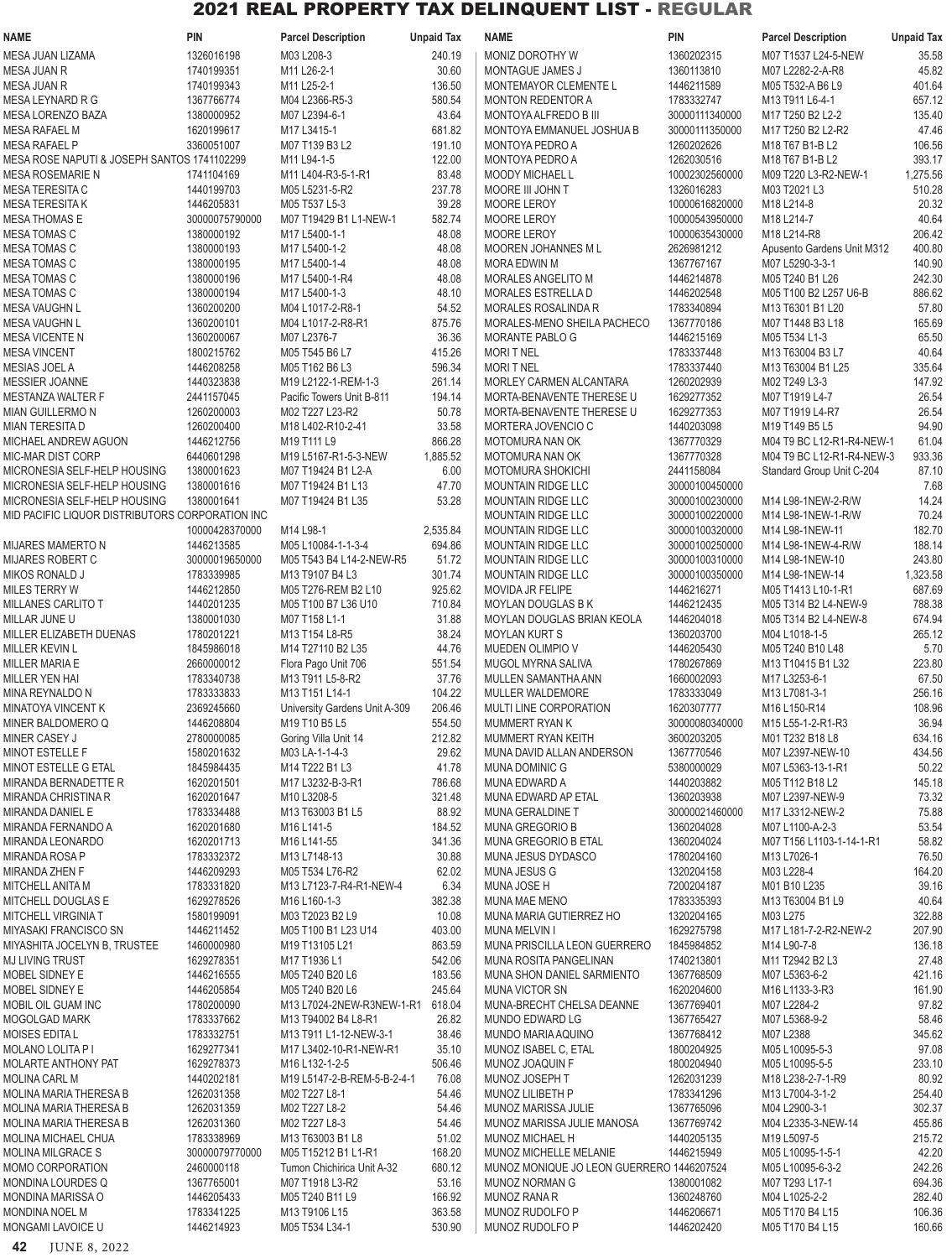| NAME                                                  | <b>PIN</b>                   | <b>Parcel Description</b>                        | <b>Unpaid Tax</b>  | <b>NAME</b>                                            | <b>PIN</b>                       | <b>Parcel Description</b>                   | <b>Unpaid Tax</b> |
|-------------------------------------------------------|------------------------------|--------------------------------------------------|--------------------|--------------------------------------------------------|----------------------------------|---------------------------------------------|-------------------|
| MESA JUAN LIZAMA                                      | 1326016198                   | M03 L208-3                                       | 240.19             | MONIZ DOROTHY W                                        | 1360202315                       | M07 T1537 L24-5-NEW                         | 35.58             |
| MESA JUAN R                                           | 1740199351                   | M11 L26-2-1                                      | 30.60              | MONTAGUE JAMES J                                       | 1360113810                       | M07 L2282-2-A-R8                            | 45.82             |
| MESA JUAN R                                           | 1740199343                   | M11 L25-2-1                                      | 136.50             | MONTEMAYOR CLEMENTE L                                  | 1446211589                       | M05 T532-A B6 L9                            | 401.64            |
| MESA LEYNARD R G<br>MESA LORENZO BAZA                 | 1367766774<br>1380000952     | M04 L2366-R5-3<br>M07 L2394-6-1                  | 580.54<br>43.64    | <b>MONTON REDENTOR A</b><br>MONTOYA ALFREDO B III      | 1783332747<br>30000111340000     | M13 T911 L6-4-1<br>M17 T250 B2 L2-2         | 657.12<br>135.40  |
| MESA RAFAEL M                                         | 1620199617                   | M17 L3415-1                                      | 681.82             | MONTOYA EMMANUEL JOSHUA B                              | 30000111350000                   | M17 T250 B2 L2-R2                           | 47.46             |
| MESA RAFAEL P                                         | 3360051007                   | M07 T139 B3 L2                                   | 191.10             | MONTOYA PEDRO A                                        | 1260202626                       | M18 T67 B1-B L2                             | 106.56            |
| MESA ROSE NAPUTI & JOSEPH SANTOS 1741102299           |                              | M11 L94-1-5                                      | 122.00             | MONTOYA PEDRO A                                        | 1262030516                       | M18 T67 B1-B L2                             | 393.17            |
| <b>MESA ROSEMARIE N</b>                               | 1741104169                   | M11 L404-R3-5-1-R1                               | 83.48              | <b>MOODY MICHAEL L</b>                                 | 10002302560000                   | M09 T220 L3-R2-NEW-1                        | 1,275.56          |
| MESA TERESITA C                                       | 1440199703                   | M05 L5231-5-R2                                   | 237.78             | MOORE III JOHN T                                       | 1326016283                       | M03 T2021 L3                                | 510.28            |
| MESA TERESITA K                                       | 1446205831                   | M05 T537 L5-3                                    | 39.28              | <b>MOORE LEROY</b>                                     | 10000616820000                   | M18 L214-8                                  | 20.32             |
| MESA THOMAS E<br>MESA TOMAS C                         | 30000075790000<br>1380000192 | M07 T19429 B1 L1-NEW-1<br>M17 L5400-1-1          | 582.74<br>48.08    | MOORE LEROY<br>MOORE LEROY                             | 10000543950000<br>10000635430000 | M18 L214-7<br>M18 L214-R8                   | 40.64<br>206.42   |
| MESA TOMAS C                                          | 1380000193                   | M17 L5400-1-2                                    | 48.08              | MOOREN JOHANNES M L                                    | 2626981212                       | Apusento Gardens Unit M312                  | 400.80            |
| MESA TOMAS C                                          | 1380000195                   | M17 L5400-1-4                                    | 48.08              | MORA EDWIN M                                           | 1367767167                       | M07 L5290-3-3-1                             | 140.90            |
| MESA TOMAS C                                          | 1380000196                   | M17 L5400-1-R4                                   | 48.08              | MORALES ANGELITO M                                     | 1446214878                       | M05 T240 B1 L26                             | 242.30            |
| MESA TOMAS C                                          | 1380000194                   | M17 L5400-1-3                                    | 48.10              | MORALES ESTRELLA D                                     | 1446202548                       | M05 T100 B2 L257 U6-B                       | 886.62            |
| MESA VAUGHN L<br>MESA VAUGHN L                        | 1360200200<br>1360200101     | M04 L1017-2-R8-1<br>M04 L1017-2-R8-R1            | 54.52<br>875.76    | MORALES ROSALINDA R<br>MORALES-MENO SHEILA PACHECO     | 1783340894<br>1367770186         | M13 T6301 B1 L20<br>M07 T1448 B3 L18        | 57.80<br>165.69   |
| MESA VICENTE N                                        | 1360200067                   | M07 L2376-7                                      | 36.36              | <b>MORANTE PABLO G</b>                                 | 1446215169                       | M05 T534 L1-3                               | 65.50             |
| <b>MESA VINCENT</b>                                   | 1800215762                   | M05 T545 B6 L7                                   | 415.26             | <b>MORITNEL</b>                                        | 1783337448                       | M13 T63004 B3 L7                            | 40.64             |
| MESIAS JOEL A                                         | 1446208258                   | M05 T162 B6 L3                                   | 596.34             | <b>MORITNEL</b>                                        | 1783337440                       | M13 T63004 B1 L25                           | 335.64            |
| MESSIER JOANNE                                        | 1440323838                   | M19 L2122-1-REM-1-3                              | 261.14             | MORLEY CARMEN ALCANTARA                                | 1260202939                       | M02 T249 L3-3                               | 147.92            |
| MESTANZA WALTER F                                     | 2441157045                   | Pacific Towers Unit B-811                        | 194.14             | MORTA-BENAVENTE THERESE U                              | 1629277352                       | M07 T1919 L4-7                              | 26.54             |
| MIAN GUILLERMO N                                      | 1260200003                   | M02 T227 L23-R2                                  | 50.78              | MORTA-BENAVENTE THERESE U                              | 1629277353                       | M07 T1919 L4-R7                             | 26.54             |
| <b>MIAN TERESITA D</b><br>MICHAEL ANDREW AGUON        | 1260200400<br>1446212756     | M18 L402-R10-2-41<br>M19 T111 L9                 | 33.58<br>866.28    | MORTERA JOVENCIO C<br>MOTOMURA NAN OK                  | 1440203098<br>1367770329         | M19 T149 B5 L5<br>M04 T9 BC L12-R1-R4-NEW-1 | 94.90<br>61.04    |
| MIC-MAR DIST CORP                                     | 6440601298                   | M19 L5167-R1-5-3-NEW                             | 1,885.52           | MOTOMURA NAN OK                                        | 1367770328                       | M04 T9 BC L12-R1-R4-NEW-3                   | 933.36            |
| MICRONESIA SELF-HELP HOUSING                          | 1380001623                   | M07 T19424 B1 L2-A                               | 6.00               | MOTOMURA SHOKICHI                                      | 2441158084                       | Standard Group Unit C-204                   | 87.10             |
| MICRONESIA SELF-HELP HOUSING                          | 1380001616                   | M07 T19424 B1 L13                                | 47.70              | <b>MOUNTAIN RIDGE LLC</b>                              | 30000100450000                   |                                             | 7.68              |
| MICRONESIA SELF-HELP HOUSING                          | 1380001641                   | M07 T19424 B1 L35                                | 53.28              | <b>MOUNTAIN RIDGE LLC</b>                              | 30000100230000                   | M14 L98-1NEW-2-R/W                          | 14.24             |
| MID PACIFIC LIQUOR DISTRIBUTORS CORPORATION INC       |                              |                                                  |                    | <b>MOUNTAIN RIDGE LLC</b>                              | 30000100220000                   | M14 L98-1NEW-1-R/W                          | 70.24             |
| MIJARES MAMERTO N                                     | 10000428370000<br>1446213585 | M14 L98-1<br>M05 L10084-1-1-3-4                  | 2,535.84<br>694.86 | <b>MOUNTAIN RIDGE LLC</b><br><b>MOUNTAIN RIDGE LLC</b> | 30000100320000<br>30000100250000 | M14 L98-1NEW-11<br>M14 L98-1NEW-4-R/W       | 182.70<br>188.14  |
| MIJARES ROBERT C                                      | 30000019650000               | M05 T543 B4 L14-2-NEW-R5                         | 51.72              | MOUNTAIN RIDGE LLC                                     | 30000100310000                   | M14 L98-1NEW-10                             | 243.80            |
| MIKOS RONALD J                                        | 1783339985                   | M13 T9107 B4 L3                                  | 301.74             | <b>MOUNTAIN RIDGE LLC</b>                              | 30000100350000                   | M14 L98-1NEW-14                             | 1,323.58          |
| MILES TERRY W                                         | 1446212850                   | M05 T276-REM B2 L10                              | 925.62             | MOVIDA JR FELIPE                                       | 1446216271                       | M05 T1413 L10-1-R1                          | 687.69            |
| MILLANES CARLITO T                                    | 1440201235                   | M05 T100 B7 L36 U10                              | 710.84             | MOYLAN DOUGLAS B K                                     | 1446212435                       | M05 T314 B2 L4-NEW-9                        | 788.38            |
| MILLAR JUNE U                                         | 1380001030                   | M07 T158 L1-1                                    | 31.88              | MOYLAN DOUGLAS BRIAN KEOLA                             | 1446204018                       | M05 T314 B2 L4-NEW-8                        | 674.94            |
| MILLER ELIZABETH DUENAS<br>MILLER KEVIN L             | 1780201221<br>1845986018     | M13 T154 L8-R5<br>M14 T27110 B2 L35              | 38.24<br>44.76     | <b>MOYLAN KURT S</b><br>MUEDEN OLIMPIO V               | 1360203700<br>1446205430         | M04 L1018-1-5<br>M05 T240 B10 L48           | 265.12<br>5.70    |
| MILLER MARIA E                                        | 2660000012                   | Flora Pago Unit 706                              | 551.54             | MUGOL MYRNA SALIVA                                     | 1780267869                       | M13 T10415 B1 L32                           | 223.80            |
| MILLER YEN HAI                                        | 1783340738                   | M13 T911 L5-8-R2                                 | 37.76              | MULLEN SAMANTHA ANN                                    | 1660002093                       | M17 L3253-6-1                               | 67.50             |
| MINA REYNALDO N                                       | 1783333833                   | M13 T151 L14-1                                   | 104.22             | MULLER WALDEMORE                                       | 1783333049                       | M13 L7081-3-1                               | 256.16            |
| MINATOYA VINCENT K                                    | 2369245660                   | University Gardens Unit A-309                    | 206.46             | MULTI LINE CORPORATION                                 | 1620307777                       | M16 L150-R14                                | 108.96            |
| MINER BALDOMERO Q<br>MINER CASEY J                    | 1446208804<br>2780000085     | M19 T10 B5 L5<br>Goring Villa Unit 14            | 554.50<br>212.82   | MUMMERT RYAN K<br>MUMMERT RYAN KEITH                   | 30000080340000<br>3600203205     | M15 L55-1-2-R1-R3<br>M01 T232 B18 L8        | 36.94<br>634.16   |
| MINOT ESTELLE F                                       | 1580201632                   | M03 LA-1-1-4-3                                   | 29.62              | MUNA DAVID ALLAN ANDERSON                              | 1367770546                       | M07 L2397-NEW-10                            | 434.56            |
| MINOT ESTELLE G ETAL                                  | 1845984435                   | M14 T222 B1 L3                                   | 41.78              | <b>MUNA DOMINIC G</b>                                  | 5380000029                       | M07 L5363-13-1-R1                           | 50.22             |
| MIRANDA BERNADETTE R                                  | 1620201501                   | M17 L3232-B-3-R1                                 | 786.68             | MUNA EDWARD A                                          | 1440203882                       | M05 T112 B18 L2                             | 145.18            |
| MIRANDA CHRISTINA R                                   | 1620201647                   | M10 L3208-5                                      | 321.48             | MUNA EDWARD AP ETAL                                    | 1360203938                       | M07 L2397-NEW-9                             | 73.32             |
| MIRANDA DANIEL E                                      | 1783334488                   | M13 T63003 B1 L5                                 | 88.92              | MUNA GERALDINE T                                       | 30000021460000                   | M17 L3312-NEW-2                             | 75.88             |
| MIRANDA FERNANDO A                                    | 1620201680                   | M16 L141-5                                       | 184.52             | <b>MUNA GREGORIO B</b>                                 | 1360204028<br>1360204024         | M07 L1100-A-2-3                             | 53.54             |
| MIRANDA LEONARDO<br>MIRANDA ROSA P                    | 1620201713<br>1783332372     | M16 L141-55<br>M13 L7148-13                      | 341.36<br>30.88    | MUNA GREGORIO B ETAL<br>MUNA JESUS DYDASCO             | 1780204160                       | M07 T156 L1103-1-14-1-R1<br>M13 L7026-1     | 58.82<br>76.50    |
| MIRANDA ZHEN F                                        | 1446209293                   | M05 T534 L76-R2                                  | 62.02              | MUNA JESUS G                                           | 1320204158                       | M03 L228-4                                  | 164.20            |
| MITCHELL ANITA M                                      | 1783331820                   | M13 L7123-7-R4-R1-NEW-4                          | 6.34               | MUNA JOSE H                                            | 7200204187                       | M01 B10 L235                                | 39.16             |
| MITCHELL DOUGLAS E                                    | 1629278526                   | M16 L160-1-3                                     | 382.38             | MUNA MAE MENO                                          | 1783335393                       | M13 T63004 B1 L9                            | 40.64             |
| MITCHELL VIRGINIA T                                   | 1580199091                   | M03 T2023 B2 L9                                  | 10.08              | MUNA MARIA GUTIERREZ HO                                | 1320204165                       | M03 L275                                    | 322.88            |
| MIYASAKI FRANCISCO SN<br>MIYASHITA JOCELYN B, TRUSTEE | 1446211452<br>1460000980     | M05 T100 B1 L23 U14<br>M19 T13105 L21            | 403.00<br>863.59   | MUNA MELVIN I<br>MUNA PRISCILLA LEON GUERRERO          | 1629275798<br>1845984852         | M17 L181-7-2-R2-NEW-2<br>M14 L90-7-8        | 207.90<br>136.18  |
| MJ LIVING TRUST                                       | 1629278351                   | M17 T1936 L1                                     | 542.06             | MUNA ROSITA PANGELINAN                                 | 1740213801                       | M11 T2942 B2 L3                             | 27.48             |
| MOBEL SIDNEY E                                        | 1446216555                   | M05 T240 B20 L6                                  | 183.56             | MUNA SHON DANIEL SARMIENTO                             | 1367768509                       | M07 L5363-6-2                               | 421.16            |
| MOBEL SIDNEY E                                        | 1446205854                   | M05 T240 B20 L6                                  | 245.64             | <b>MUNA VICTOR SN</b>                                  | 1620204600                       | M16 L1133-3-R3                              | 161.90            |
| MOBIL OIL GUAM INC                                    | 1780200090                   | M13 L7024-2NEW-R3NEW-1-R1                        | 618.04             | MUNA-BRECHT CHELSA DEANNE                              | 1367769401                       | M07 L2284-2                                 | 97.82             |
| MOGOLGAD MARK                                         | 1783337662                   | M13 T94002 B4 L8-R1                              | 26.82              | MUNDO EDWARD LG                                        | 1367765427                       | M07 L5368-9-2                               | 58.46<br>345.62   |
| MOISES EDITA L<br>MOLANO LOLITA P I                   | 1783332751<br>1629277341     | M13 T911 L1-12-NEW-3-1<br>M17 L3402-10-R1-NEW-R1 | 38.46<br>35.10     | MUNDO MARIA AQUINO<br>MUNOZ ISABEL C, ETAL             | 1367768412<br>1800204925         | M07 L2388<br>M05 L10095-5-3                 | 97.08             |
| MOLARTE ANTHONY PAT                                   | 1629278373                   | M16 L132-1-2-5                                   | 506.46             | MUNOZ JOAQUIN F                                        | 1800204940                       | M05 L10095-5-5                              | 233.10            |
| MOLINA CARL M                                         | 1440202181                   | M19 L5147-2-B-REM-5-B-2-4-1                      | 76.08              | MUNOZ JOSEPH T                                         | 1262031239                       | M18 L238-2-7-1-R9                           | 80.92             |
| MOLINA MARIA THERESA B                                | 1262031358                   | M02 T227 L8-1                                    | 54.46              | MUNOZ LILIBETH P                                       | 1783341296                       | M13 L7004-3-1-2                             | 254.40            |
| MOLINA MARIA THERESA B                                | 1262031359                   | M02 T227 L8-2                                    | 54.46              | MUNOZ MARISSA JULIE                                    | 1367765096                       | M04 L2900-3-1                               | 302.37            |
| MOLINA MARIA THERESA B                                | 1262031360                   | M02 T227 L8-3                                    | 54.46              | MUNOZ MARISSA JULIE MANOSA                             | 1367769742                       | M04 L2335-3-NEW-14                          | 455.86            |
| MOLINA MICHAEL CHUA<br>MOLINA MILGRACE S              | 1783338969<br>30000079770000 | M13 T63003 B1 L8<br>M05 T15212 B1 L1-R1          | 51.02<br>168.20    | MUNOZ MICHAEL H<br>MUNOZ MICHELLE MELANIE              | 1440205135<br>1446215949         | M19 L5097-5<br>M05 L10095-1-5-1             | 215.72<br>42.20   |
| MOMO CORPORATION                                      | 2460000118                   | Tumon Chichirica Unit A-32                       | 680.12             | MUNOZ MONIQUE JO LEON GUERRERO 1446207524              |                                  | M05 L10095-6-3-2                            | 242.26            |
| MONDINA LOURDES Q                                     | 1367765001                   | M07 T1918 L3-R2                                  | 53.16              | MUNOZ NORMAN G                                         | 1380001082                       | M07 T293 L17-1                              | 694.36            |
| MONDINA MARISSA O                                     | 1446205433                   | M05 T240 B11 L9                                  | 166.92             | MUNOZ RANA R                                           | 1360248760                       | M04 L1025-2-2                               | 282.40            |
| MONDINA NOEL M                                        | 1783341225                   | M13 T9106 L15                                    | 363.58             | MUNOZ RUDOLFO P                                        | 1446206671                       | M05 T170 B4 L15                             | 106.36            |
| MONGAMI LAVOICE U                                     | 1446214923                   | M05 T534 L34-1                                   | 530.90             | MUNOZ RUDOLFO P                                        | 1446202420                       | M05 T170 B4 L15                             | 160.66            |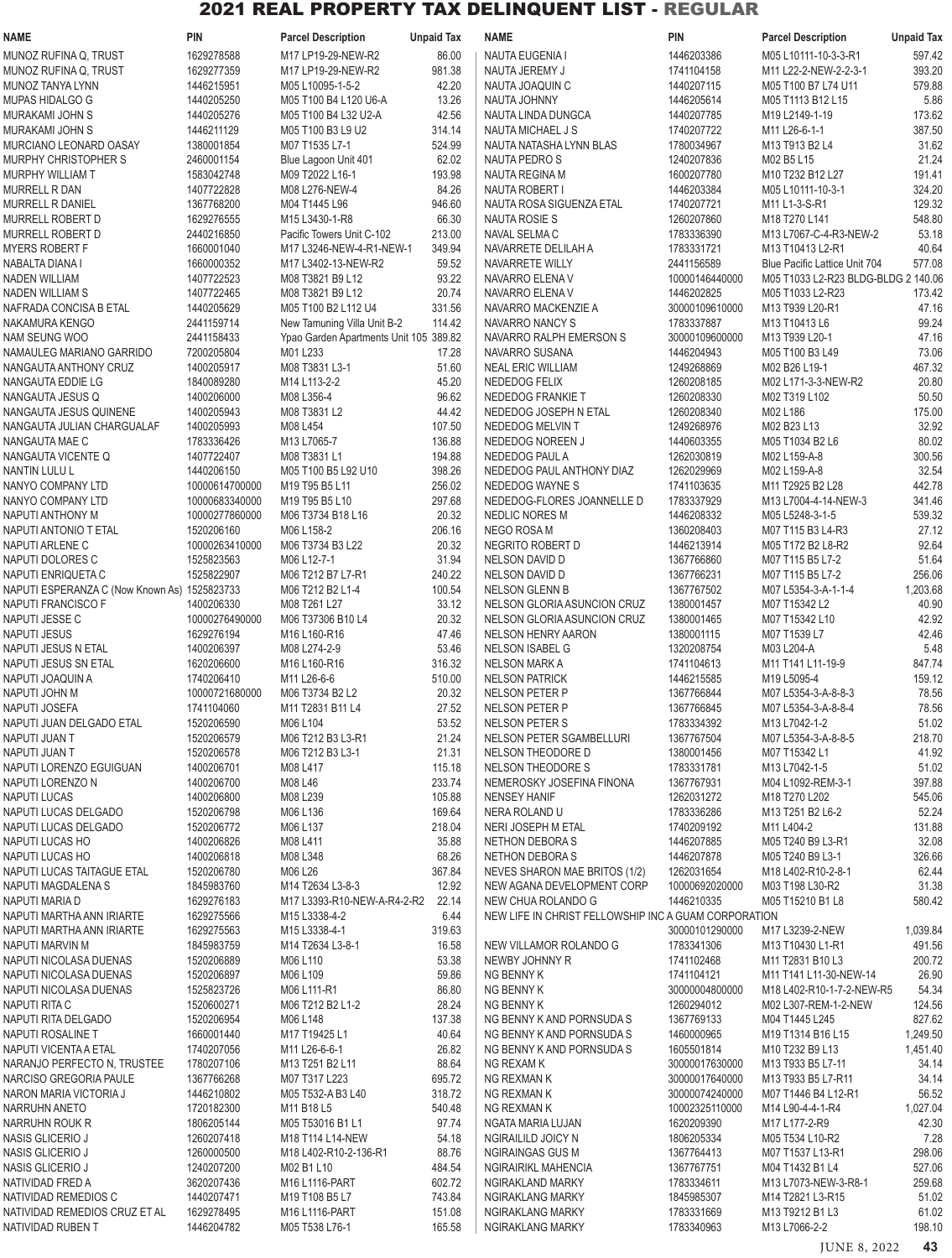| <b>NAME</b>                                                        | <b>PIN</b>                   | <b>Parcel Description</b>                                                 | <b>Unpaid Tax</b> | <b>NAME</b>                                                                | <b>PIN</b>                   | <b>Parcel Description</b>                          | <b>Unpaid Tax</b>  |
|--------------------------------------------------------------------|------------------------------|---------------------------------------------------------------------------|-------------------|----------------------------------------------------------------------------|------------------------------|----------------------------------------------------|--------------------|
| MUNOZ RUFINA Q, TRUST                                              | 1629278588                   | M17 LP19-29-NEW-R2                                                        | 86.00             | NAUTA EUGENIA I                                                            | 1446203386                   | M05 L10111-10-3-3-R1                               | 597.42             |
| MUNOZ RUFINA Q, TRUST                                              | 1629277359                   | M17 LP19-29-NEW-R2                                                        | 981.38            | NAUTA JEREMY J                                                             | 1741104158                   | M11 L22-2-NEW-2-2-3-1                              | 393.20             |
| MUNOZ TANYA LYNN                                                   | 1446215951                   | M05 L10095-1-5-2                                                          | 42.20             | NAUTA JOAQUIN C                                                            | 1440207115                   | M05 T100 B7 L74 U11                                | 579.88             |
| MUPAS HIDALGO G                                                    | 1440205250                   | M05 T100 B4 L120 U6-A                                                     | 13.26             | <b>NAUTA JOHNNY</b>                                                        | 1446205614                   | M05 T1113 B12 L15                                  | 5.86               |
| MURAKAMI JOHN S<br>MURAKAMI JOHN S                                 | 1440205276<br>1446211129     | M05 T100 B4 L32 U2-A<br>M05 T100 B3 L9 U2                                 | 42.56<br>314.14   | NAUTA LINDA DUNGCA<br>NAUTA MICHAEL J S                                    | 1440207785<br>1740207722     | M19 L2149-1-19<br>M11 L26-6-1-1                    | 173.62<br>387.50   |
| MURCIANO LEONARD OASAY                                             | 1380001854                   | M07 T1535 L7-1                                                            | 524.99            | NAUTA NATASHA LYNN BLAS                                                    | 1780034967                   | M13 T913 B2 L4                                     | 31.62              |
| MURPHY CHRISTOPHER S                                               | 2460001154                   | Blue Lagoon Unit 401                                                      | 62.02             | NAUTA PEDRO S                                                              | 1240207836                   | M02 B5 L15                                         | 21.24              |
| <b>MURPHY WILLIAM T</b>                                            | 1583042748                   | M09 T2022 L16-1                                                           | 193.98            | NAUTA REGINA M                                                             | 1600207780                   | M10 T232 B12 L27                                   | 191.41             |
| <b>MURRELL R DAN</b>                                               | 1407722828                   | M08 L276-NEW-4                                                            | 84.26             | <b>NAUTA ROBERT I</b>                                                      | 1446203384                   | M05 L10111-10-3-1                                  | 324.20             |
| MURRELL R DANIEL                                                   | 1367768200                   | M04 T1445 L96                                                             | 946.60            | NAUTA ROSA SIGUENZA ETAL                                                   | 1740207721                   | M <sub>11</sub> L <sub>1</sub> -3-S-R <sub>1</sub> | 129.32             |
| <b>MURRELL ROBERT D</b>                                            | 1629276555                   | M15 L3430-1-R8                                                            | 66.30<br>213.00   | NAUTA ROSIE S                                                              | 1260207860<br>1783336390     | M18 T270 L141                                      | 548.80<br>53.18    |
| MURRELL ROBERT D<br><b>MYERS ROBERT F</b>                          | 2440216850<br>1660001040     | Pacific Towers Unit C-102<br>M17 L3246-NEW-4-R1-NEW-1                     | 349.94            | NAVAL SELMA C<br>NAVARRETE DELILAH A                                       | 1783331721                   | M13 L7067-C-4-R3-NEW-2<br>M13 T10413 L2-R1         | 40.64              |
| NABALTA DIANA I                                                    | 1660000352                   | M17 L3402-13-NEW-R2                                                       | 59.52             | NAVARRETE WILLY                                                            | 2441156589                   | Blue Pacific Lattice Unit 704                      | 577.08             |
| <b>NADEN WILLIAM</b>                                               | 1407722523                   | M08 T3821 B9 L12                                                          | 93.22             | NAVARRO ELENA V                                                            | 10000146440000               | M05 T1033 L2-R23 BLDG-BLDG 2 140.06                |                    |
| <b>NADEN WILLIAM S</b>                                             | 1407722465                   | M08 T3821 B9 L12                                                          | 20.74             | NAVARRO ELENA V                                                            | 1446202825                   | M05 T1033 L2-R23                                   | 173.42             |
| NAFRADA CONCISA B ETAL                                             | 1440205629                   | M05 T100 B2 L112 U4                                                       | 331.56            | NAVARRO MACKENZIE A                                                        | 30000109610000               | M13 T939 L20-R1                                    | 47.16              |
| NAKAMURA KENGO                                                     | 2441159714                   | New Tamuning Villa Unit B-2                                               | 114.42            | NAVARRO NANCY S                                                            | 1783337887                   | M13 T10413 L6                                      | 99.24              |
| NAM SEUNG WOO<br>NAMAULEG MARIANO GARRIDO                          | 2441158433<br>7200205804     | Ypao Garden Apartments Unit 105 389.82<br>M01 L233                        | 17.28             | NAVARRO RALPH EMERSON S<br>NAVARRO SUSANA                                  | 30000109600000<br>1446204943 | M13 T939 L20-1<br>M05 T100 B3 L49                  | 47.16<br>73.06     |
| NANGAUTA ANTHONY CRUZ                                              | 1400205917                   | M08 T3831 L3-1                                                            | 51.60             | <b>NEAL ERIC WILLIAM</b>                                                   | 1249268869                   | M02 B26 L19-1                                      | 467.32             |
| NANGAUTA EDDIE LG                                                  | 1840089280                   | M14 L113-2-2                                                              | 45.20             | NEDEDOG FELIX                                                              | 1260208185                   | M02 L171-3-3-NEW-R2                                | 20.80              |
| NANGAUTA JESUS Q                                                   | 1400206000                   | M08 L356-4                                                                | 96.62             | NEDEDOG FRANKIE T                                                          | 1260208330                   | M02 T319 L102                                      | 50.50              |
| NANGAUTA JESUS QUINENE                                             | 1400205943                   | M08 T3831 L2                                                              | 44.42             | NEDEDOG JOSEPH N ETAL                                                      | 1260208340                   | M02 L186                                           | 175.00             |
| NANGAUTA JULIAN CHARGUALAF                                         | 1400205993                   | M08 L454                                                                  | 107.50            | NEDEDOG MELVIN T                                                           | 1249268976                   | M02 B23 L13                                        | 32.92              |
| NANGAUTA MAE C                                                     | 1783336426                   | M13 L7065-7                                                               | 136.88            | NEDEDOG NOREEN J                                                           | 1440603355                   | M05 T1034 B2 L6                                    | 80.02              |
| NANGAUTA VICENTE Q<br><b>NANTIN LULU L</b>                         | 1407722407<br>1440206150     | M08 T3831 L1<br>M05 T100 B5 L92 U10                                       | 194.88<br>398.26  | NEDEDOG PAUL A<br>NEDEDOG PAUL ANTHONY DIAZ                                | 1262030819<br>1262029969     | M02 L159-A-8<br>M02 L159-A-8                       | 300.56<br>32.54    |
| NANYO COMPANY LTD                                                  | 10000614700000               | M19 T95 B5 L11                                                            | 256.02            | NEDEDOG WAYNE S                                                            | 1741103635                   | M11 T2925 B2 L28                                   | 442.78             |
| NANYO COMPANY LTD                                                  | 10000683340000               | M19 T95 B5 L10                                                            | 297.68            | NEDEDOG-FLORES JOANNELLE D                                                 | 1783337929                   | M13 L7004-4-14-NEW-3                               | 341.46             |
| NAPUTI ANTHONY M                                                   | 10000277860000               | M06 T3734 B18 L16                                                         | 20.32             | NEDLIC NORES M                                                             | 1446208332                   | M05 L5248-3-1-5                                    | 539.32             |
| NAPUTI ANTONIO T ETAL                                              | 1520206160                   | M06 L158-2                                                                | 206.16            | NEGO ROSA M                                                                | 1360208403                   | M07 T115 B3 L4-R3                                  | 27.12              |
| NAPUTI ARLENE C                                                    | 10000263410000               | M06 T3734 B3 L22                                                          | 20.32             | NEGRITO ROBERT D                                                           | 1446213914                   | M05 T172 B2 L8-R2                                  | 92.64              |
| NAPUTI DOLORES C                                                   | 1525823563<br>1525822907     | M06 L12-7-1                                                               | 31.94             | NELSON DAVID D                                                             | 1367766860                   | M07 T115 B5 L7-2                                   | 51.64              |
| NAPUTI ENRIQUETA C<br>NAPUTI ESPERANZA C (Now Known As) 1525823733 |                              | M06 T212 B7 L7-R1<br>M06 T212 B2 L1-4                                     | 240.22<br>100.54  | NELSON DAVID D<br><b>NELSON GLENN B</b>                                    | 1367766231<br>1367767502     | M07 T115 B5 L7-2<br>M07 L5354-3-A-1-1-4            | 256.06<br>1,203.68 |
| NAPUTI FRANCISCO F                                                 | 1400206330                   | M08 T261 L27                                                              | 33.12             | NELSON GLORIA ASUNCION CRUZ                                                | 1380001457                   | M07 T15342 L2                                      | 40.90              |
| NAPUTI JESSE C                                                     | 10000276490000               | M06 T37306 B10 L4                                                         | 20.32             | NELSON GLORIA ASUNCION CRUZ                                                | 1380001465                   | M07 T15342 L10                                     | 42.92              |
| <b>NAPUTI JESUS</b>                                                | 1629276194                   | M16 L160-R16                                                              | 47.46             | <b>NELSON HENRY AARON</b>                                                  | 1380001115                   | M07 T1539 L7                                       | 42.46              |
| NAPUTI JESUS N ETAL                                                | 1400206397                   | M08 L274-2-9                                                              | 53.46             | <b>NELSON ISABEL G</b>                                                     | 1320208754                   | M03 L204-A                                         | 5.48               |
| NAPUTI JESUS SN ETAL                                               | 1620206600                   | M16 L160-R16                                                              | 316.32            | <b>NELSON MARK A</b>                                                       | 1741104613                   | M11 T141 L11-19-9                                  | 847.74             |
| NAPUTI JOAQUIN A<br>NAPUTI JOHN M                                  | 1740206410<br>10000721680000 | M11 L26-6-6<br>M06 T3734 B2 L2                                            | 510.00<br>20.32   | <b>NELSON PATRICK</b><br>NELSON PETER P                                    | 1446215585<br>1367766844     | M19 L5095-4<br>M07 L5354-3-A-8-8-3                 | 159.12<br>78.56    |
| NAPUTI JOSEFA                                                      | 1741104060                   | M11 T2831 B11 L4                                                          | 27.52             | <b>NELSON PETER P</b>                                                      | 1367766845                   | M07 L5354-3-A-8-8-4                                | 78.56              |
| NAPUTI JUAN DELGADO ETAL                                           | 1520206590                   | M06 L104                                                                  | 53.52             | NELSON PETER S                                                             | 1783334392                   | M13 L7042-1-2                                      | 51.02              |
| NAPUTI JUAN T                                                      | 1520206579                   | M06 T212 B3 L3-R1                                                         | 21.24             | NELSON PETER SGAMBELLURI                                                   | 1367767504                   | M07 L5354-3-A-8-8-5                                | 218.70             |
| NAPUTI JUAN T                                                      | 1520206578                   | M06 T212 B3 L3-1                                                          | 21.31             | NELSON THEODORE D                                                          | 1380001456                   | M07 T15342 L1                                      | 41.92              |
| NAPUTI LORENZO EGUIGUAN                                            | 1400206701                   | M08 L417                                                                  | 115.18            | NELSON THEODORE S                                                          | 1783331781                   | M13 L7042-1-5                                      | 51.02              |
| NAPUTI LORENZO N<br><b>NAPUTI LUCAS</b>                            | 1400206700<br>1400206800     | M08 L46<br>M08 L239                                                       | 233.74<br>105.88  | NEMEROSKY JOSEFINA FINONA<br><b>NENSEY HANIF</b>                           | 1367767931<br>1262031272     | M04 L1092-REM-3-1<br>M18 T270 L202                 | 397.88<br>545.06   |
| NAPUTI LUCAS DELGADO                                               | 1520206798                   | M06 L136                                                                  | 169.64            | NERA ROLAND U                                                              | 1783336286                   | M13 T251 B2 L6-2                                   | 52.24              |
| NAPUTI LUCAS DELGADO                                               | 1520206772                   | M06 L137                                                                  | 218.04            | NERI JOSEPH M ETAL                                                         | 1740209192                   | M11 L404-2                                         | 131.88             |
| NAPUTI LUCAS HO                                                    | 1400206826                   | M08 L411                                                                  | 35.88             | NETHON DEBORA S                                                            | 1446207885                   | M05 T240 B9 L3-R1                                  | 32.08              |
| NAPUTI LUCAS HO                                                    | 1400206818                   | M08 L348                                                                  | 68.26             | NETHON DEBORA S                                                            | 1446207878                   | M05 T240 B9 L3-1                                   | 326.66             |
| NAPUTI LUCAS TAITAGUE ETAL                                         | 1520206780                   | M06 L26                                                                   | 367.84            | NEVES SHARON MAE BRITOS (1/2)                                              | 1262031654                   | M18 L402-R10-2-8-1                                 | 62.44              |
| NAPUTI MAGDALENA S                                                 | 1845983760                   | M14 T2634 L3-8-3                                                          | 12.92             | NEW AGANA DEVELOPMENT CORP                                                 | 10000692020000               | M03 T198 L30-R2                                    | 31.38              |
| NAPUTI MARIA D<br>NAPUTI MARTHA ANN IRIARTE                        | 1629276183<br>1629275566     | M17 L3393-R10-NEW-A-R4-2-R2<br>M15 L3338-4-2                              | 22.14<br>6.44     | NEW CHUA ROLANDO G<br>NEW LIFE IN CHRIST FELLOWSHIP INC A GUAM CORPORATION | 1446210335                   | M05 T15210 B1 L8                                   | 580.42             |
| NAPUTI MARTHA ANN IRIARTE                                          | 1629275563                   | M15 L3338-4-1                                                             | 319.63            |                                                                            | 30000101290000               | M17 L3239-2-NEW                                    | 1,039.84           |
| NAPUTI MARVIN M                                                    | 1845983759                   | M14 T2634 L3-8-1                                                          | 16.58             | NEW VILLAMOR ROLANDO G                                                     | 1783341306                   | M13 T10430 L1-R1                                   | 491.56             |
| NAPUTI NICOLASA DUENAS                                             | 1520206889                   | M06 L110                                                                  | 53.38             | NEWBY JOHNNY R                                                             | 1741102468                   | M11 T2831 B10 L3                                   | 200.72             |
| NAPUTI NICOLASA DUENAS                                             | 1520206897                   | M06 L109                                                                  | 59.86             | NG BENNY K                                                                 | 1741104121                   | M11 T141 L11-30-NEW-14                             | 26.90              |
| NAPUTI NICOLASA DUENAS                                             | 1525823726                   | M06 L111-R1                                                               | 86.80             | NG BENNY K                                                                 | 30000004800000               | M18 L402-R10-1-7-2-NEW-R5                          | 54.34              |
| NAPUTI RITA C<br>NAPUTI RITA DELGADO                               | 1520600271<br>1520206954     | M06 T212 B2 L1-2<br>M06 L148                                              | 28.24<br>137.38   | NG BENNY K<br>NG BENNY K AND PORNSUDA S                                    | 1260294012<br>1367769133     | M02 L307-REM-1-2-NEW<br>M04 T1445 L245             | 124.56<br>827.62   |
| NAPUTI ROSALINE T                                                  | 1660001440                   | M17 T19425 L1                                                             | 40.64             | NG BENNY K AND PORNSUDA S                                                  | 1460000965                   | M19 T1314 B16 L15                                  | 1,249.50           |
| NAPUTI VICENTA A ETAL                                              | 1740207056                   | M11 L26-6-6-1                                                             | 26.82             | NG BENNY K AND PORNSUDA S                                                  | 1605501814                   | M10 T232 B9 L13                                    | 1,451.40           |
| NARANJO PERFECTO N, TRUSTEE                                        | 1780207106                   | M13 T251 B2 L11                                                           | 88.64             | NG REXAM K                                                                 | 30000017630000               | M13 T933 B5 L7-11                                  | 34.14              |
| NARCISO GREGORIA PAULE                                             | 1367766268                   | M07 T317 L223                                                             | 695.72            | NG REXMAN K                                                                | 30000017640000               | M13 T933 B5 L7-R11                                 | 34.14              |
| NARON MARIA VICTORIA J                                             | 1446210802                   | M05 T532-A B3 L40                                                         | 318.72            | NG REXMAN K                                                                | 30000074240000               | M07 T1446 B4 L12-R1                                | 56.52              |
| NARRUHN ANETO                                                      | 1720182300<br>1806205144     | M11 B18 L5                                                                | 540.48            | NG REXMAN K                                                                | 10002325110000<br>1620209390 | M14 L90-4-4-1-R4                                   | 1,027.04           |
| NARRUHN ROUK R<br>NASIS GLICERIO J                                 | 1260207418                   | M05 T53016 B1 L1<br>M <sub>18</sub> T <sub>114</sub> L <sub>14</sub> -NEW | 97.74<br>54.18    | NGATA MARIA LUJAN<br>NGIRAILILD JOICY N                                    | 1806205334                   | M17 L177-2-R9<br>M05 T534 L10-R2                   | 42.30<br>7.28      |
| NASIS GLICERIO J                                                   | 1260000500                   | M18 L402-R10-2-136-R1                                                     | 88.76             | <b>NGIRAINGAS GUS M</b>                                                    | 1367764413                   | M07 T1537 L13-R1                                   | 298.06             |
| NASIS GLICERIO J                                                   | 1240207200                   | M02 B1 L10                                                                | 484.54            | NGIRAIRIKL MAHENCIA                                                        | 1367767751                   | M04 T1432 B1 L4                                    | 527.06             |
| NATIVIDAD FRED A                                                   | 3620207436                   | M16 L1116-PART                                                            | 602.72            | NGIRAKLAND MARKY                                                           | 1783334611                   | M13 L7073-NEW-3-R8-1                               | 259.68             |
| NATIVIDAD REMEDIOS C                                               | 1440207471                   | M19 T108 B5 L7                                                            | 743.84            | NGIRAKLANG MARKY                                                           | 1845985307                   | M14 T2821 L3-R15                                   | 51.02              |
| NATIVIDAD REMEDIOS CRUZ ET AL                                      | 1629278495<br>1446204782     | M16 L1116-PART                                                            | 151.08            | NGIRAKLANG MARKY                                                           | 1783331669                   | M13 T9212 B1 L3                                    | 61.02<br>198.10    |
| NATIVIDAD RUBEN T                                                  |                              | M05 T538 L76-1                                                            | 165.58            | NGIRAKLANG MARKY                                                           | 1783340963                   | M13 L7066-2-2                                      |                    |

JUNE 8, 2022 **43**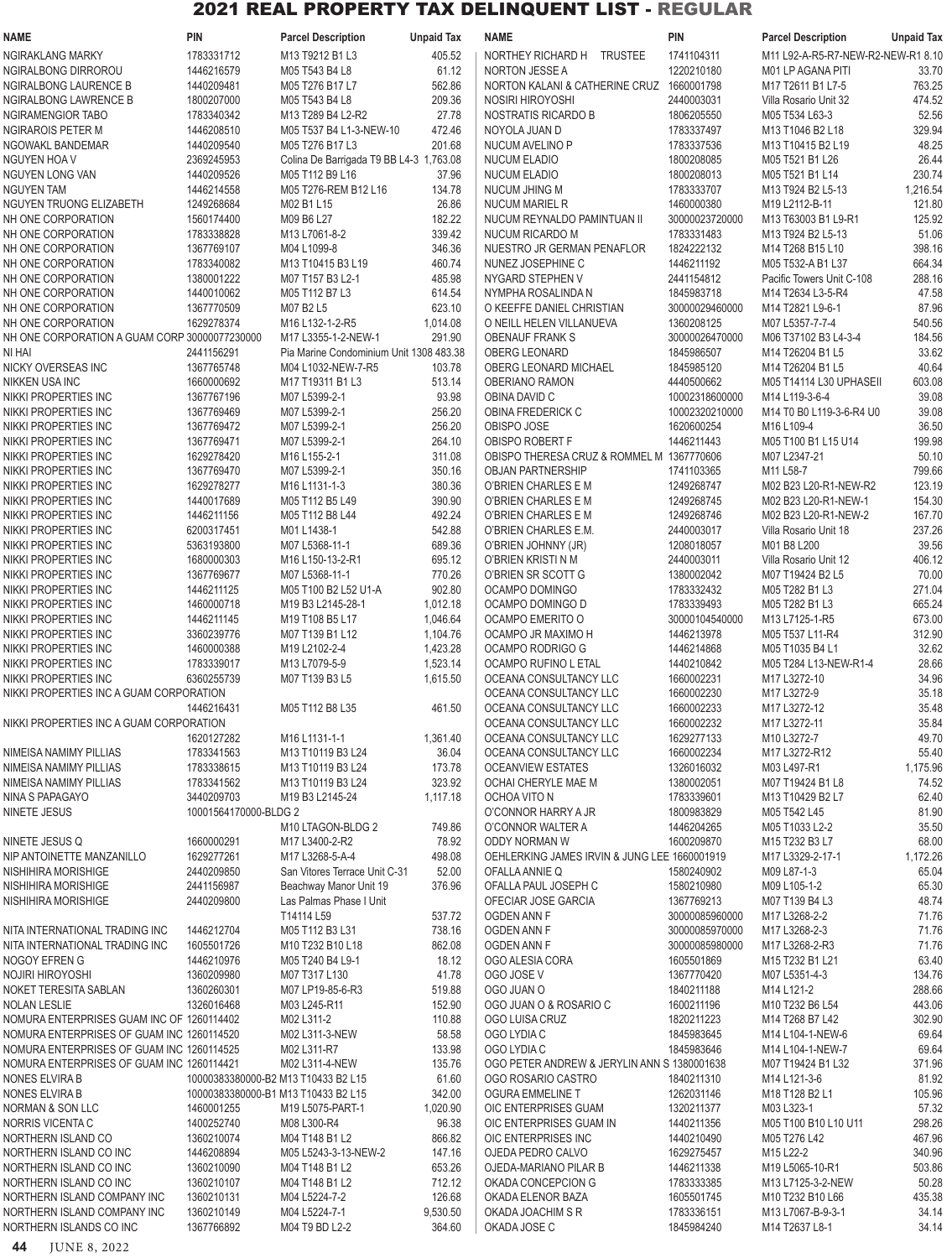| <b>NAME</b>                                                         | <b>PIN</b>                          | <b>Parcel Description</b>                                        | <b>Unpaid Tax</b>  | <b>NAME</b>                                                    | <b>PIN</b>                   | <b>Parcel Description</b>               | <b>Unpaid Tax</b> |
|---------------------------------------------------------------------|-------------------------------------|------------------------------------------------------------------|--------------------|----------------------------------------------------------------|------------------------------|-----------------------------------------|-------------------|
| <b>NGIRAKLANG MARKY</b>                                             | 1783331712                          | M13 T9212 B1 L3                                                  | 405.52             | NORTHEY RICHARD H TRUSTEE                                      | 1741104311                   | M11 L92-A-R5-R7-NEW-R2-NEW-R1 8.10      |                   |
| NGIRALBONG DIRROROU                                                 | 1446216579                          | M05 T543 B4 L8                                                   | 61.12              | <b>NORTON JESSE A</b>                                          | 1220210180                   | M01 LP AGANA PITI                       | 33.70             |
| NGIRALBONG LAURENCE B                                               | 1440209481                          | M05 T276 B17 L7                                                  | 562.86             | NORTON KALANI & CATHERINE CRUZ                                 | 1660001798                   | M17 T2611 B1 L7-5                       | 763.25            |
| <b>NGIRALBONG LAWRENCE B</b>                                        | 1800207000                          | M05 T543 B4 L8                                                   | 209.36             | NOSIRI HIROYOSHI                                               | 2440003031                   | Villa Rosario Unit 32                   | 474.52            |
| NGIRAMENGIOR TABO                                                   | 1783340342                          | M13 T289 B4 L2-R2                                                | 27.78              | NOSTRATIS RICARDO B                                            | 1806205550                   | M05 T534 L63-3                          | 52.56             |
| <b>NGIRAROIS PETER M</b>                                            | 1446208510                          | M05 T537 B4 L1-3-NEW-10                                          | 472.46             | NOYOLA JUAN D                                                  | 1783337497                   | M13 T1046 B2 L18                        | 329.94            |
| NGOWAKL BANDEMAR                                                    | 1440209540                          | M05 T276 B17 L3                                                  | 201.68             | NUCUM AVELINO P                                                | 1783337536                   | M13 T10415 B2 L19                       | 48.25<br>26.44    |
| <b>NGUYEN HOA V</b><br>NGUYEN LONG VAN                              | 2369245953<br>1440209526            | Colina De Barrigada T9 BB L4-3 1,763.08<br>M05 T112 B9 L16       | 37.96              | <b>NUCUM ELADIO</b><br><b>NUCUM ELADIO</b>                     | 1800208085<br>1800208013     | M05 T521 B1 L26<br>M05 T521 B1 L14      | 230.74            |
| <b>NGUYEN TAM</b>                                                   | 1446214558                          | M05 T276-REM B12 L16                                             | 134.78             | NUCUM JHING M                                                  | 1783333707                   | M13 T924 B2 L5-13                       | 1,216.54          |
| <b>NGUYEN TRUONG ELIZABETH</b>                                      | 1249268684                          | M02 B1 L15                                                       | 26.86              | <b>NUCUM MARIEL R</b>                                          | 1460000380                   | M19 L2112-B-11                          | 121.80            |
| NH ONE CORPORATION                                                  | 1560174400                          | M09 B6 L27                                                       | 182.22             | NUCUM REYNALDO PAMINTUAN II                                    | 30000023720000               | M13 T63003 B1 L9-R1                     | 125.92            |
| NH ONE CORPORATION                                                  | 1783338828                          | M13 L7061-8-2                                                    | 339.42             | NUCUM RICARDO M                                                | 1783331483                   | M13 T924 B2 L5-13                       | 51.06             |
| NH ONE CORPORATION                                                  | 1367769107                          | M04 L1099-8                                                      | 346.36             | NUESTRO JR GERMAN PENAFLOR                                     | 1824222132                   | M14 T268 B15 L10                        | 398.16            |
| NH ONE CORPORATION                                                  | 1783340082                          | M13 T10415 B3 L19                                                | 460.74             | NUNEZ JOSEPHINE C                                              | 1446211192                   | M05 T532-A B1 L37                       | 664.34            |
| NH ONE CORPORATION                                                  | 1380001222                          | M07 T157 B3 L2-1                                                 | 485.98             | NYGARD STEPHEN V                                               | 2441154812                   | Pacific Towers Unit C-108               | 288.16            |
| NH ONE CORPORATION                                                  | 1440010062                          | M05 T112 B7 L3                                                   | 614.54             | NYMPHA ROSALINDA N                                             | 1845983718                   | M14 T2634 L3-5-R4                       | 47.58             |
| NH ONE CORPORATION                                                  | 1367770509                          | M07 B2 L5                                                        | 623.10             | O KEEFFE DANIEL CHRISTIAN                                      | 30000029460000               | M14 T2821 L9-6-1                        | 87.96             |
| NH ONE CORPORATION<br>NH ONE CORPORATION A GUAM CORP 30000077230000 | 1629278374                          | M16 L132-1-2-R5                                                  | 1,014.08<br>291.90 | O NEILL HELEN VILLANUEVA                                       | 1360208125                   | M07 L5357-7-7-4<br>M06 T37102 B3 L4-3-4 | 540.56<br>184.56  |
| NI HAI                                                              | 2441156291                          | M17 L3355-1-2-NEW-1<br>Pia Marine Condominium Unit 1308 483.38   |                    | <b>OBENAUF FRANK S</b><br><b>OBERG LEONARD</b>                 | 30000026470000<br>1845986507 | M14 T26204 B1 L5                        | 33.62             |
| <b>NICKY OVERSEAS INC</b>                                           | 1367765748                          | M04 L1032-NEW-7-R5                                               | 103.78             | OBERG LEONARD MICHAEL                                          | 1845985120                   | M14 T26204 B1 L5                        | 40.64             |
| <b>NIKKEN USA INC</b>                                               | 1660000692                          | M <sub>17</sub> T <sub>19311</sub> B <sub>1</sub> L <sub>3</sub> | 513.14             | OBERIANO RAMON                                                 | 4440500662                   | M05 T14114 L30 UPHASEII                 | 603.08            |
| NIKKI PROPERTIES INC                                                | 1367767196                          | M07 L5399-2-1                                                    | 93.98              | OBINA DAVID C                                                  | 10002318600000               | M14 L119-3-6-4                          | 39.08             |
| NIKKI PROPERTIES INC                                                | 1367769469                          | M07 L5399-2-1                                                    | 256.20             | OBINA FREDERICK C                                              | 10002320210000               | M14 T0 B0 L119-3-6-R4 U0                | 39.08             |
| NIKKI PROPERTIES INC                                                | 1367769472                          | M07 L5399-2-1                                                    | 256.20             | OBISPO JOSE                                                    | 1620600254                   | M16 L109-4                              | 36.50             |
| NIKKI PROPERTIES INC                                                | 1367769471                          | M07 L5399-2-1                                                    | 264.10             | OBISPO ROBERT F                                                | 1446211443                   | M05 T100 B1 L15 U14                     | 199.98            |
| NIKKI PROPERTIES INC                                                | 1629278420                          | M16 L155-2-1                                                     | 311.08             | OBISPO THERESA CRUZ & ROMMEL M 1367770606                      |                              | M07 L2347-21                            | 50.10             |
| NIKKI PROPERTIES INC                                                | 1367769470                          | M07 L5399-2-1                                                    | 350.16             | <b>OBJAN PARTNERSHIP</b>                                       | 1741103365                   | M11 L58-7                               | 799.66            |
| NIKKI PROPERTIES INC                                                | 1629278277                          | M16 L1131-1-3                                                    | 380.36             | O'BRIEN CHARLES E M                                            | 1249268747                   | M02 B23 L20-R1-NEW-R2                   | 123.19            |
| NIKKI PROPERTIES INC                                                | 1440017689                          | M05 T112 B5 L49                                                  | 390.90             | O'BRIEN CHARLES E M                                            | 1249268745                   | M02 B23 L20-R1-NEW-1                    | 154.30            |
| NIKKI PROPERTIES INC                                                | 1446211156<br>6200317451            | M05 T112 B8 L44                                                  | 492.24             | O'BRIEN CHARLES E M                                            | 1249268746<br>2440003017     | M02 B23 L20-R1-NEW-2                    | 167.70            |
| NIKKI PROPERTIES INC<br>NIKKI PROPERTIES INC                        | 5363193800                          | M01 L1438-1<br>M07 L5368-11-1                                    | 542.88<br>689.36   | O'BRIEN CHARLES E.M.<br>O'BRIEN JOHNNY (JR)                    | 1208018057                   | Villa Rosario Unit 18<br>M01 B8 L200    | 237.26<br>39.56   |
| NIKKI PROPERTIES INC                                                | 1680000303                          | M16 L150-13-2-R1                                                 | 695.12             | O'BRIEN KRISTI N M                                             | 2440003011                   | Villa Rosario Unit 12                   | 406.12            |
| NIKKI PROPERTIES INC                                                | 1367769677                          | M07 L5368-11-1                                                   | 770.26             | O'BRIEN SR SCOTT G                                             | 1380002042                   | M07 T19424 B2 L5                        | 70.00             |
| NIKKI PROPERTIES INC                                                | 1446211125                          | M05 T100 B2 L52 U1-A                                             | 902.80             | OCAMPO DOMINGO                                                 | 1783332432                   | M05 T282 B1 L3                          | 271.04            |
| NIKKI PROPERTIES INC                                                | 1460000718                          | M19 B3 L2145-28-1                                                | 1,012.18           | OCAMPO DOMINGO D                                               | 1783339493                   | M05 T282 B1 L3                          | 665.24            |
| NIKKI PROPERTIES INC                                                | 1446211145                          | M19 T108 B5 L17                                                  | 1,046.64           | OCAMPO EMERITO O                                               | 30000104540000               | M13 L7125-1-R5                          | 673.00            |
| NIKKI PROPERTIES INC                                                | 3360239776                          | M07 T139 B1 L12                                                  | 1,104.76           | OCAMPO JR MAXIMO H                                             | 1446213978                   | M05 T537 L11-R4                         | 312.90            |
| NIKKI PROPERTIES INC                                                | 1460000388                          | M19 L2102-2-4                                                    | 1,423.28           | OCAMPO RODRIGO G                                               | 1446214868                   | M05 T1035 B4 L1                         | 32.62             |
| NIKKI PROPERTIES INC                                                | 1783339017                          | M13 L7079-5-9                                                    | 1,523.14           | OCAMPO RUFINO L ETAL                                           | 1440210842                   | M05 T284 L13-NEW-R1-4                   | 28.66             |
| NIKKI PROPERTIES INC                                                | 6360255739                          | M07 T139 B3 L5                                                   | 1,615.50           | OCEANA CONSULTANCY LLC                                         | 1660002231                   | M17 L3272-10                            | 34.96             |
| NIKKI PROPERTIES INC A GUAM CORPORATION                             | 1446216431                          | M05 T112 B8 L35                                                  | 461.50             | OCEANA CONSULTANCY LLC<br>OCEANA CONSULTANCY LLC               | 1660002230<br>1660002233     | M17 L3272-9<br>M17 L3272-12             | 35.18<br>35.48    |
| NIKKI PROPERTIES INC A GUAM CORPORATION                             |                                     |                                                                  |                    | OCEANA CONSULTANCY LLC                                         | 1660002232                   | M17 L3272-11                            | 35.84             |
|                                                                     | 1620127282                          | M16 L1131-1-1                                                    | 1,361.40           | OCEANA CONSULTANCY LLC                                         | 1629277133                   | M10 L3272-7                             | 49.70             |
| NIMEISA NAMIMY PILLIAS                                              | 1783341563                          | M13 T10119 B3 L24                                                | 36.04              | OCEANA CONSULTANCY LLC                                         | 1660002234                   | M17 L3272-R12                           | 55.40             |
| NIMEISA NAMIMY PILLIAS                                              | 1783338615                          | M13 T10119 B3 L24                                                | 173.78             | <b>OCEANVIEW ESTATES</b>                                       | 1326016032                   | M03 L497-R1                             | 1,175.96          |
| NIMEISA NAMIMY PILLIAS                                              | 1783341562                          | M13 T10119 B3 L24                                                | 323.92             | OCHAI CHERYLE MAE M                                            | 1380002051                   | M07 T19424 B1 L8                        | 74.52             |
| NINA S PAPAGAYO                                                     | 3440209703                          | M19 B3 L2145-24                                                  | 1,117.18           | OCHOA VITO N                                                   | 1783339601                   | M13 T10429 B2 L7                        | 62.40             |
| NINETE JESUS                                                        | 10001564170000-BLDG 2               |                                                                  |                    | O'CONNOR HARRY A JR                                            | 1800983829                   | M05 T542 L45                            | 81.90             |
|                                                                     |                                     | M10 LTAGON-BLDG 2                                                | 749.86             | O'CONNOR WALTER A                                              | 1446204265                   | M05 T1033 L2-2                          | 35.50             |
| NINETE JESUS Q                                                      | 1660000291                          | M17 L3400-2-R2                                                   | 78.92              | <b>ODDY NORMAN W</b>                                           | 1600209870                   | M15 T232 B3 L7                          | 68.00             |
| NIP ANTOINETTE MANZANILLO<br>NISHIHIRA MORISHIGE                    | 1629277261<br>2440209850            | M17 L3268-5-A-4<br>San Vitores Terrace Unit C-31                 | 498.08<br>52.00    | OEHLERKING JAMES IRVIN & JUNG LEE 1660001919<br>OFALLA ANNIE Q | 1580240902                   | M17 L3329-2-17-1<br>M09 L87-1-3         | 1,172.26<br>65.04 |
| NISHIHIRA MORISHIGE                                                 | 2441156987                          | Beachway Manor Unit 19                                           | 376.96             | OFALLA PAUL JOSEPH C                                           | 1580210980                   | M09 L105-1-2                            | 65.30             |
| NISHIHIRA MORISHIGE                                                 | 2440209800                          | Las Palmas Phase I Unit                                          |                    | OFECIAR JOSE GARCIA                                            | 1367769213                   | M07 T139 B4 L3                          | 48.74             |
|                                                                     |                                     | T14114 L59                                                       | 537.72             | OGDEN ANN F                                                    | 30000085960000               | M17 L3268-2-2                           | 71.76             |
| NITA INTERNATIONAL TRADING INC                                      | 1446212704                          | M05 T112 B3 L31                                                  | 738.16             | OGDEN ANN F                                                    | 30000085970000               | M17 L3268-2-3                           | 71.76             |
| NITA INTERNATIONAL TRADING INC                                      | 1605501726                          | M10 T232 B10 L18                                                 | 862.08             | OGDEN ANN F                                                    | 30000085980000               | M17 L3268-2-R3                          | 71.76             |
| NOGOY EFREN G                                                       | 1446210976                          | M05 T240 B4 L9-1                                                 | 18.12              | OGO ALESIA CORA                                                | 1605501869                   | M15 T232 B1 L21                         | 63.40             |
| NOJIRI HIROYOSHI                                                    | 1360209980                          | M07 T317 L130                                                    | 41.78              | OGO JOSE V                                                     | 1367770420                   | M07 L5351-4-3                           | 134.76            |
| NOKET TERESITA SABLAN                                               | 1360260301                          | M07 LP19-85-6-R3                                                 | 519.88             | OGO JUAN O                                                     | 1840211188                   | M14 L121-2                              | 288.66            |
| <b>NOLAN LESLIE</b><br>NOMURA ENTERPRISES GUAM INC OF 1260114402    | 1326016468                          | M03 L245-R11<br>M02 L311-2                                       | 152.90             | OGO JUAN O & ROSARIO C<br>OGO LUISA CRUZ                       | 1600211196<br>1820211223     | M10 T232 B6 L54                         | 443.06            |
| NOMURA ENTERPRISES OF GUAM INC 1260114520                           |                                     | M02 L311-3-NEW                                                   | 110.88<br>58.58    | OGO LYDIA C                                                    | 1845983645                   | M14 T268 B7 L42<br>M14 L104-1-NEW-6     | 302.90<br>69.64   |
| NOMURA ENTERPRISES OF GUAM INC 1260114525                           |                                     | M02 L311-R7                                                      | 133.98             | OGO LYDIA C                                                    | 1845983646                   | M14 L104-1-NEW-7                        | 69.64             |
| NOMURA ENTERPRISES OF GUAM INC 1260114421                           |                                     | M02 L311-4-NEW                                                   | 135.76             | OGO PETER ANDREW & JERYLIN ANN S 1380001638                    |                              | M07 T19424 B1 L32                       | 371.96            |
| NONES ELVIRA B                                                      | 10000383380000-B2 M13 T10433 B2 L15 |                                                                  | 61.60              | OGO ROSARIO CASTRO                                             | 1840211310                   | M14 L121-3-6                            | 81.92             |
| NONES ELVIRA B                                                      | 10000383380000-B1 M13 T10433 B2 L15 |                                                                  | 342.00             | OGURA EMMELINE T                                               | 1262031146                   | M18 T128 B2 L1                          | 105.96            |
| NORMAN & SON LLC                                                    | 1460001255                          | M19 L5075-PART-1                                                 | 1,020.90           | OIC ENTERPRISES GUAM                                           | 1320211377                   | M03 L323-1                              | 57.32             |
| NORRIS VICENTA C                                                    | 1400252740                          | M08 L300-R4                                                      | 96.38              | OIC ENTERPRISES GUAM IN                                        | 1440211356                   | M05 T100 B10 L10 U11                    | 298.26            |
| NORTHERN ISLAND CO                                                  | 1360210074                          | M04 T148 B1 L2                                                   | 866.82             | OIC ENTERPRISES INC                                            | 1440210490                   | M05 T276 L42                            | 467.96            |
| NORTHERN ISLAND CO INC                                              | 1446208894                          | M05 L5243-3-13-NEW-2                                             | 147.16             | OJEDA PEDRO CALVO                                              | 1629275457                   | M15 L22-2                               | 340.96            |
| NORTHERN ISLAND CO INC<br>NORTHERN ISLAND CO INC                    | 1360210090                          | M04 T148 B1 L2                                                   | 653.26             | OJEDA-MARIANO PILAR B                                          | 1446211338                   | M19 L5065-10-R1                         | 503.86            |
| NORTHERN ISLAND COMPANY INC                                         | 1360210107<br>1360210131            | M04 T148 B1 L2<br>M04 L5224-7-2                                  | 712.12<br>126.68   | OKADA CONCEPCION G<br>OKADA ELENOR BAZA                        | 1783333385<br>1605501745     | M13 L7125-3-2-NEW<br>M10 T232 B10 L66   | 50.28<br>435.38   |
| NORTHERN ISLAND COMPANY INC                                         | 1360210149                          | M04 L5224-7-1                                                    | 9,530.50           | OKADA JOACHIM S R                                              | 1783336151                   | M13 L7067-B-9-3-1                       | 34.14             |
| NORTHERN ISLANDS CO INC                                             | 1367766892                          | M04 T9 BD L2-2                                                   | 364.60             | OKADA JOSE C                                                   | 1845984240                   | M14 T2637 L8-1                          | 34.14             |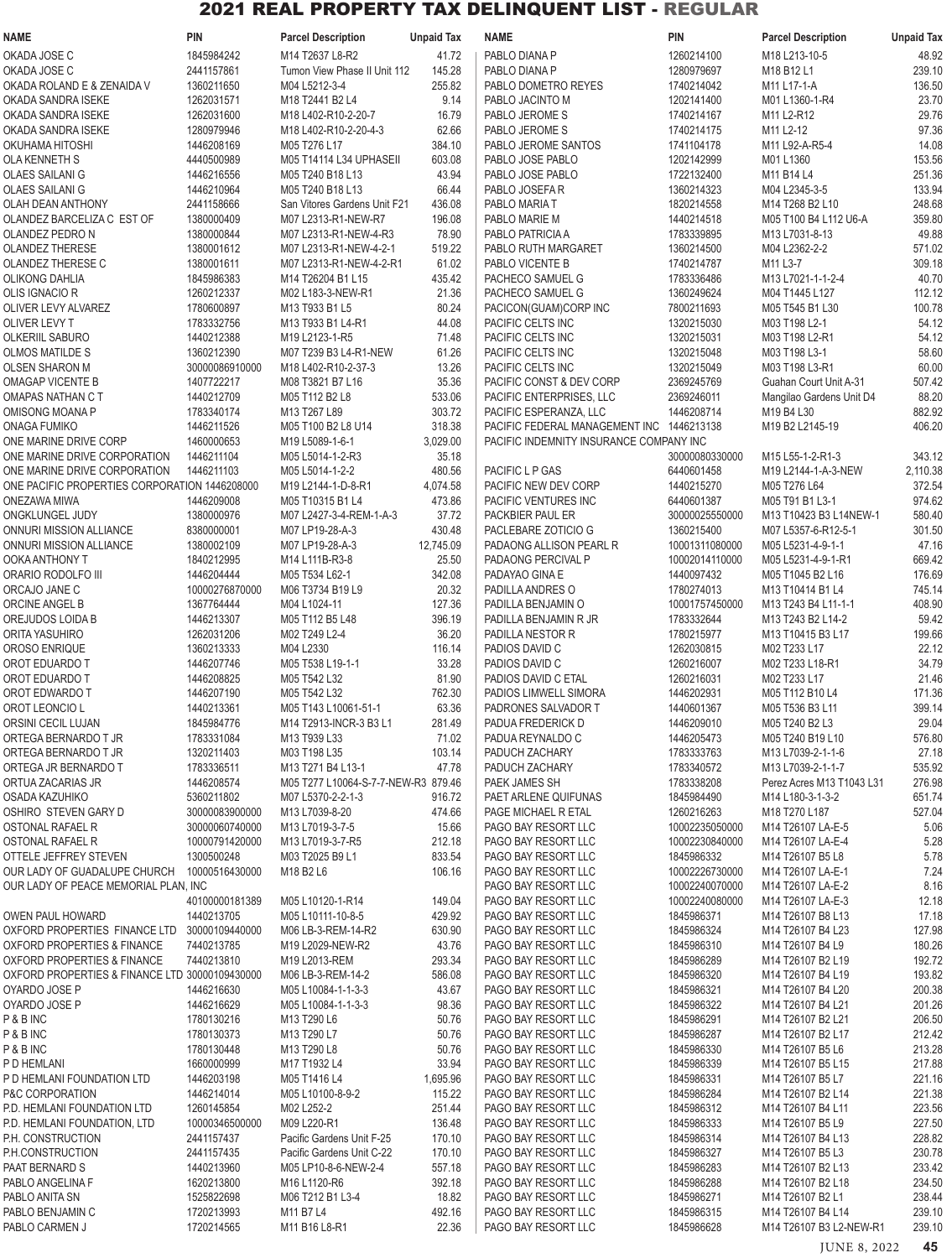| NAME                                           | <b>PIN</b>               | <b>Parcel Description</b>                   | <b>Unpaid Tax</b> | <b>NAME</b>                                | <b>PIN</b>                   | <b>Parcel Description</b>                                         | <b>Unpaid Tax</b> |
|------------------------------------------------|--------------------------|---------------------------------------------|-------------------|--------------------------------------------|------------------------------|-------------------------------------------------------------------|-------------------|
| OKADA JOSE C                                   | 1845984242               | M14 T2637 L8-R2                             | 41.72             | PABLO DIANA P                              | 1260214100                   | M18 L213-10-5                                                     | 48.92             |
| OKADA JOSE C                                   | 2441157861               | Tumon View Phase II Unit 112                | 145.28            | PABLO DIANA P                              | 1280979697                   | M18 B12 L1                                                        | 239.10            |
| OKADA ROLAND E & ZENAIDA V                     | 1360211650               | M04 L5212-3-4                               | 255.82            | PABLO DOMETRO REYES                        | 1740214042                   | M11 L17-1-A                                                       | 136.50            |
| OKADA SANDRA ISEKE                             | 1262031571               | M18 T2441 B2 L4                             | 9.14              | PABLO JACINTO M                            | 1202141400                   | M01 L1360-1-R4                                                    | 23.70             |
| OKADA SANDRA ISEKE                             | 1262031600               | M18 L402-R10-2-20-7                         | 16.79             | PABLO JEROME S                             | 1740214167                   | M11 L2-R12                                                        | 29.76             |
| OKADA SANDRA ISEKE                             | 1280979946               | M18 L402-R10-2-20-4-3                       | 62.66             | PABLO JEROME S                             | 1740214175                   | M11 L2-12                                                         | 97.36             |
| OKUHAMA HITOSHI                                | 1446208169               | M05 T276 L17                                | 384.10            | PABLO JEROME SANTOS                        | 1741104178                   | M11 L92-A-R5-4                                                    | 14.08             |
| OLA KENNETH S                                  | 4440500989               | M05 T14114 L34 UPHASEII                     | 603.08            | PABLO JOSE PABLO                           | 1202142999                   | M01 L1360                                                         | 153.56            |
| <b>OLAES SAILANI G</b>                         | 1446216556               | M05 T240 B18 L13                            | 43.94             | PABLO JOSE PABLO                           | 1722132400                   | M11 B14 L4                                                        | 251.36            |
| <b>OLAES SAILANI G</b>                         | 1446210964               | M05 T240 B18 L13                            | 66.44             | PABLO JOSEFA R                             | 1360214323                   | M04 L2345-3-5                                                     | 133.94            |
| OLAH DEAN ANTHONY                              | 2441158666               | San Vitores Gardens Unit F21                | 436.08            | PABLO MARIA T                              | 1820214558                   | M14 T268 B2 L10                                                   | 248.68            |
| OLANDEZ BARCELIZA C EST OF                     | 1380000409               | M07 L2313-R1-NEW-R7                         | 196.08            | PABLO MARIE M                              | 1440214518                   | M05 T100 B4 L112 U6-A                                             | 359.80            |
| OLANDEZ PEDRO N                                | 1380000844               | M07 L2313-R1-NEW-4-R3                       | 78.90             | PABLO PATRICIA A                           | 1783339895                   | M13 L7031-8-13                                                    | 49.88             |
| <b>OLANDEZ THERESE</b>                         | 1380001612               | M07 L2313-R1-NEW-4-2-1                      | 519.22            | PABLO RUTH MARGARET                        | 1360214500                   | M04 L2362-2-2                                                     | 571.02            |
| <b>OLANDEZ THERESE C</b>                       | 1380001611               | M07 L2313-R1-NEW-4-2-R1                     | 61.02             | PABLO VICENTE B                            | 1740214787                   | M11 L3-7                                                          | 309.18            |
| <b>OLIKONG DAHLIA</b>                          | 1845986383               | M14 T26204 B1 L15                           | 435.42            | PACHECO SAMUEL G                           | 1783336486                   | M13 L7021-1-1-2-4                                                 | 40.70             |
| OLIS IGNACIO R                                 | 1260212337               | M02 L183-3-NEW-R1                           | 21.36             | PACHECO SAMUEL G                           | 1360249624                   | M04 T1445 L127                                                    | 112.12            |
| OLIVER LEVY ALVAREZ                            | 1780600897               | M13 T933 B1 L5                              | 80.24             | PACICON(GUAM)CORP INC                      | 7800211693                   | M05 T545 B1 L30                                                   | 100.78            |
| OLIVER LEVY T                                  | 1783332756               | M13 T933 B1 L4-R1                           | 44.08             | PACIFIC CELTS INC                          | 1320215030                   | M03 T198 L2-1                                                     | 54.12             |
| <b>OLKERIIL SABURO</b>                         | 1440212388               | M19 L2123-1-R5                              | 71.48             | PACIFIC CELTS INC                          | 1320215031                   | M03 T198 L2-R1                                                    | 54.12             |
| <b>OLMOS MATILDE S</b>                         | 1360212390               | M07 T239 B3 L4-R1-NEW                       | 61.26             | PACIFIC CELTS INC                          | 1320215048                   | M03 T198 L3-1                                                     | 58.60             |
| <b>OLSEN SHARON M</b>                          | 30000086910000           | M18 L402-R10-2-37-3                         | 13.26             | PACIFIC CELTS INC                          | 1320215049                   | M03 T198 L3-R1                                                    | 60.00             |
| <b>OMAGAP VICENTE B</b>                        | 1407722217               | M08 T3821 B7 L16                            | 35.36             | PACIFIC CONST & DEV CORP                   | 2369245769                   | Guahan Court Unit A-31                                            | 507.42            |
| OMAPAS NATHAN C T                              | 1440212709               | M05 T112 B2 L8                              | 533.06            | PACIFIC ENTERPRISES, LLC                   | 2369246011                   | Mangilao Gardens Unit D4                                          | 88.20             |
| OMISONG MOANA P                                | 1783340174               | M13 T267 L89                                | 303.72            | PACIFIC ESPERANZA, LLC                     | 1446208714                   | M19 B4 L30                                                        | 882.92            |
| <b>ONAGA FUMIKO</b>                            | 1446211526               | M05 T100 B2 L8 U14                          | 318.38            | PACIFIC FEDERAL MANAGEMENT INC 1446213138  |                              | M19 B2 L2145-19                                                   | 406.20            |
| ONE MARINE DRIVE CORP                          | 1460000653               | M19 L5089-1-6-1                             | 3,029.00          | PACIFIC INDEMNITY INSURANCE COMPANY INC    |                              |                                                                   |                   |
| ONE MARINE DRIVE CORPORATION                   | 1446211104               | M05 L5014-1-2-R3                            | 35.18             |                                            | 30000080330000               | M15 L55-1-2-R1-3                                                  | 343.12            |
| ONE MARINE DRIVE CORPORATION                   | 1446211103               | M05 L5014-1-2-2                             | 480.56            | PACIFIC L P GAS                            | 6440601458                   | M19 L2144-1-A-3-NEW                                               | 2,110.38          |
| ONE PACIFIC PROPERTIES CORPORATION 1446208000  |                          | M19 L2144-1-D-8-R1                          | 4,074.58          | PACIFIC NEW DEV CORP                       | 1440215270                   | M05 T276 L64                                                      | 372.54            |
| ONEZAWA MIWA<br>ONGKLUNGEL JUDY                | 1446209008<br>1380000976 | M05 T10315 B1 L4<br>M07 L2427-3-4-REM-1-A-3 | 473.86<br>37.72   | PACIFIC VENTURES INC<br>PACKBIER PAUL ER   | 6440601387<br>30000025550000 | M05 T91 B1 L3-1<br>M13 T10423 B3 L14NEW-1                         | 974.62<br>580.40  |
| ONNURI MISSION ALLIANCE                        | 8380000001               | M07 LP19-28-A-3                             | 430.48            | PACLEBARE ZOTICIO G                        | 1360215400                   | M07 L5357-6-R12-5-1                                               | 301.50            |
| ONNURI MISSION ALLIANCE                        | 1380002109               | M07 LP19-28-A-3                             | 12,745.09         | PADAONG ALLISON PEARL R                    | 10001311080000               | M05 L5231-4-9-1-1                                                 | 47.16             |
| OOKA ANTHONY T                                 | 1840212995               | M14 L111B-R3-8                              | 25.50             | PADAONG PERCIVAL P                         | 10002014110000               | M05 L5231-4-9-1-R1                                                | 669.42            |
| ORARIO RODOLFO III                             | 1446204444               | M05 T534 L62-1                              | 342.08            | PADAYAO GINA E                             | 1440097432                   | M05 T1045 B2 L16                                                  | 176.69            |
| ORCAJO JANE C                                  | 10000276870000           | M06 T3734 B19 L9                            | 20.32             | PADILLA ANDRES O                           | 1780274013                   | M13 T10414 B1 L4                                                  | 745.14            |
| ORCINE ANGEL B                                 | 1367764444               | M04 L1024-11                                | 127.36            | PADILLA BENJAMIN O                         | 10001757450000               | M13 T243 B4 L11-1-1                                               | 408.90            |
| OREJUDOS LOIDA B                               | 1446213307               | M05 T112 B5 L48                             | 396.19            | PADILLA BENJAMIN R JR                      | 1783332644                   | M13 T243 B2 L14-2                                                 | 59.42             |
| ORITA YASUHIRO                                 | 1262031206               | M02 T249 L2-4                               | 36.20             | PADILLA NESTOR R                           | 1780215977                   | M <sub>13</sub> T <sub>10415</sub> B <sub>3</sub> L <sub>17</sub> | 199.66            |
| OROSO ENRIQUE                                  | 1360213333               | M04 L2330                                   | 116.14            | PADIOS DAVID C                             | 1262030815                   | M02 T233 L17                                                      | 22.12             |
| OROT EDUARDO T                                 | 1446207746               | M05 T538 L19-1-1                            | 33.28             | PADIOS DAVID C                             | 1260216007                   | M02 T233 L18-R1                                                   | 34.79             |
| OROT EDUARDO T                                 | 1446208825               | M05 T542 L32                                | 81.90             | PADIOS DAVID C ETAL                        | 1260216031                   | M02 T233 L17                                                      | 21.46             |
| OROT EDWARDO T                                 | 1446207190               | M05 T542 L32                                | 762.30            | PADIOS LIMWELL SIMORA                      | 1446202931                   | M05 T112 B10 L4                                                   | 171.36            |
| OROT LEONCIO L                                 | 1440213361               | M05 T143 L10061-51-1                        | 63.36             | PADRONES SALVADOR T                        | 1440601367                   | M05 T536 B3 L11                                                   | 399.14            |
| ORSINI CECIL LUJAN                             | 1845984776               | M14 T2913-INCR-3 B3 L1                      | 281.49            | PADUA FREDERICK D                          | 1446209010                   | M05 T240 B2 L3                                                    | 29.04             |
| ORTEGA BERNARDO T JR                           | 1783331084               | M13 T939 L33                                | 71.02             | PADUA REYNALDO C                           | 1446205473                   | M05 T240 B19 L10                                                  | 576.80            |
| ORTEGA BERNARDO T JR                           | 1320211403               | M03 T198 L35                                | 103.14            | PADUCH ZACHARY                             | 1783333763                   | M13 L7039-2-1-1-6                                                 | 27.18             |
| ORTEGA JR BERNARDO T                           | 1783336511               | M13 T271 B4 L13-1                           | 47.78             | PADUCH ZACHARY                             | 1783340572                   | M13 L7039-2-1-1-7                                                 | 535.92            |
| ORTUA ZACARIAS JR                              | 1446208574               | M05 T277 L10064-S-7-7-NEW-R3 879.46         |                   | PAEK JAMES SH                              | 1783338208                   | Perez Acres M13 T1043 L31                                         | 276.98            |
| OSADA KAZUHIKO                                 | 5360211802               | M07 L5370-2-2-1-3                           | 916.72            | PAET ARLENE QUIFUNAS                       | 1845984490                   | M14 L180-3-1-3-2                                                  | 651.74            |
| OSHIRO STEVEN GARY D                           | 30000083900000           | M13 L7039-8-20                              | 474.66            | PAGE MICHAEL R ETAL                        | 1260216263                   | M18 T270 L187                                                     | 527.04            |
| OSTONAL RAFAEL R                               | 30000060740000           | M13 L7019-3-7-5                             | 15.66             | PAGO BAY RESORT LLC                        | 10002235050000               | M14 T26107 LA-E-5                                                 | 5.06              |
| OSTONAL RAFAEL R                               | 10000791420000           | M13 L7019-3-7-R5                            | 212.18            | PAGO BAY RESORT LLC                        | 10002230840000               | M14 T26107 LA-E-4                                                 | 5.28              |
| OTTELE JEFFREY STEVEN                          | 1300500248               | M03 T2025 B9 L1                             | 833.54            | PAGO BAY RESORT LLC                        | 1845986332                   | M14 T26107 B5 L8                                                  | 5.78              |
| OUR LADY OF GUADALUPE CHURCH                   | 10000516430000           | M18 B2 L6                                   | 106.16            | PAGO BAY RESORT LLC                        | 10002226730000               | M14 T26107 LA-E-1                                                 | 7.24              |
| OUR LADY OF PEACE MEMORIAL PLAN, INC           |                          |                                             |                   | PAGO BAY RESORT LLC                        | 10002240070000               | M14 T26107 LA-E-2                                                 | 8.16              |
|                                                | 40100000181389           | M05 L10120-1-R14                            | 149.04            | PAGO BAY RESORT LLC                        | 10002240080000               | M14 T26107 LA-E-3                                                 | 12.18             |
| <b>OWEN PAUL HOWARD</b>                        | 1440213705               | M05 L10111-10-8-5                           | 429.92            | PAGO BAY RESORT LLC                        | 1845986371                   | M14 T26107 B8 L13                                                 | 17.18             |
| OXFORD PROPERTIES FINANCE LTD 30000109440000   |                          | M06 LB-3-REM-14-R2                          | 630.90            | PAGO BAY RESORT LLC                        | 1845986324                   | M14 T26107 B4 L23                                                 | 127.98            |
| OXFORD PROPERTIES & FINANCE                    | 7440213785               | M19 L2029-NEW-R2                            | 43.76             | PAGO BAY RESORT LLC                        | 1845986310                   | M14 T26107 B4 L9                                                  | 180.26            |
| <b>OXFORD PROPERTIES &amp; FINANCE</b>         | 7440213810               | M19 L2013-REM                               | 293.34            | PAGO BAY RESORT LLC                        | 1845986289                   | M14 T26107 B2 L19                                                 | 192.72            |
| OXFORD PROPERTIES & FINANCE LTD 30000109430000 |                          | M06 LB-3-REM-14-2                           | 586.08            | PAGO BAY RESORT LLC                        | 1845986320                   | M14 T26107 B4 L19                                                 | 193.82            |
| OYARDO JOSE P                                  | 1446216630               | M05 L10084-1-1-3-3                          | 43.67             | PAGO BAY RESORT LLC                        | 1845986321                   | M14 T26107 B4 L20                                                 | 200.38            |
| OYARDO JOSE P                                  | 1446216629               | M05 L10084-1-1-3-3                          | 98.36             | PAGO BAY RESORT LLC                        | 1845986322                   | M14 T26107 B4 L21                                                 | 201.26            |
| P & B INC<br>P & B INC                         | 1780130216<br>1780130373 | M13 T290 L6<br>M13 T290 L7                  | 50.76<br>50.76    | PAGO BAY RESORT LLC<br>PAGO BAY RESORT LLC | 1845986291<br>1845986287     | M14 T26107 B2 L21<br>M14 T26107 B2 L17                            | 206.50<br>212.42  |
| P & B INC                                      | 1780130448               | M13 T290 L8                                 | 50.76             | PAGO BAY RESORT LLC                        | 1845986330                   | M14 T26107 B5 L6                                                  | 213.28            |
| P D HEMLANI                                    | 1660000999               | M17 T1932 L4                                | 33.94             | PAGO BAY RESORT LLC                        | 1845986339                   | M14 T26107 B5 L15                                                 | 217.88            |
| P D HEMLANI FOUNDATION LTD                     | 1446203198               | M05 T1416 L4                                | 1,695.96          | PAGO BAY RESORT LLC                        | 1845986331                   | M14 T26107 B5 L7                                                  | 221.16            |
| P&C CORPORATION                                | 1446214014               | M05 L10100-8-9-2                            | 115.22            | PAGO BAY RESORT LLC                        | 1845986284                   | M14 T26107 B2 L14                                                 | 221.38            |
| P.D. HEMLANI FOUNDATION LTD                    | 1260145854               | M02 L252-2                                  | 251.44            | PAGO BAY RESORT LLC                        | 1845986312                   | M14 T26107 B4 L11                                                 | 223.56            |
| P.D. HEMLANI FOUNDATION, LTD                   | 10000346500000           | M09 L220-R1                                 | 136.48            | PAGO BAY RESORT LLC                        | 1845986333                   | M14 T26107 B5 L9                                                  | 227.50            |
| P.H. CONSTRUCTION                              | 2441157437               | Pacific Gardens Unit F-25                   | 170.10            | PAGO BAY RESORT LLC                        | 1845986314                   | M14 T26107 B4 L13                                                 | 228.82            |
| P.H.CONSTRUCTION                               | 2441157435               | Pacific Gardens Unit C-22                   | 170.10            | PAGO BAY RESORT LLC                        | 1845986327                   | M14 T26107 B5 L3                                                  | 230.78            |
| PAAT BERNARD S                                 | 1440213960               | M05 LP10-8-6-NEW-2-4                        | 557.18            | PAGO BAY RESORT LLC                        | 1845986283                   | M14 T26107 B2 L13                                                 | 233.42            |
| PABLO ANGELINA F                               | 1620213800               | M16 L1120-R6                                | 392.18            | PAGO BAY RESORT LLC                        | 1845986288                   | M14 T26107 B2 L18                                                 | 234.50            |
| PABLO ANITA SN                                 | 1525822698               | M06 T212 B1 L3-4                            | 18.82             | PAGO BAY RESORT LLC                        | 1845986271                   | M14 T26107 B2 L1                                                  | 238.44            |
| PABLO BENJAMIN C                               | 1720213993               | M11 B7 L4                                   | 492.16            | PAGO BAY RESORT LLC                        | 1845986315                   | M14 T26107 B4 L14                                                 | 239.10            |
| PABLO CARMEN J                                 | 1720214565               | M11 B16 L8-R1                               | 22.36             | PAGO BAY RESORT LLC                        | 1845986628                   | M14 T26107 B3 L2-NEW-R1                                           | 239.10            |
|                                                |                          |                                             |                   |                                            |                              |                                                                   |                   |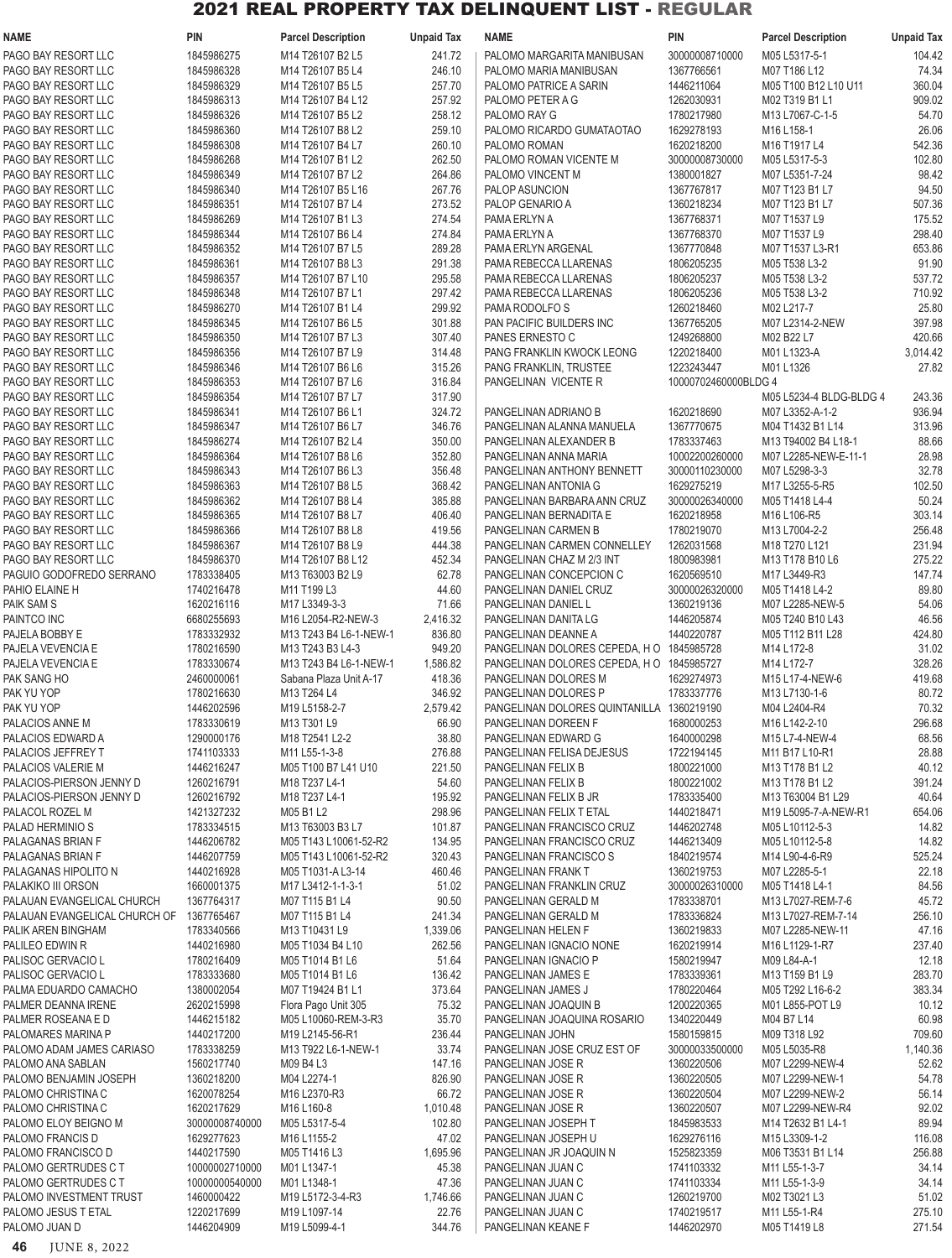| <b>NAME</b>                                 | <b>PIN</b>               | <b>Parcel Description</b>            | <b>Unpaid Tax</b> | <b>NAME</b>                                 | <b>PIN</b>               | <b>Parcel Description</b>           | <b>Unpaid Tax</b> |
|---------------------------------------------|--------------------------|--------------------------------------|-------------------|---------------------------------------------|--------------------------|-------------------------------------|-------------------|
| PAGO BAY RESORT LLC                         | 1845986275               | M14 T26107 B2 L5                     | 241.72            | PALOMO MARGARITA MANIBUSAN                  | 30000008710000           | M05 L5317-5-1                       | 104.42            |
| PAGO BAY RESORT LLC                         | 1845986328               | M14 T26107 B5 L4                     | 246.10            | PALOMO MARIA MANIBUSAN                      | 1367766561               | M07 T186 L12                        | 74.34             |
| PAGO BAY RESORT LLC                         | 1845986329               | M14 T26107 B5 L5                     | 257.70            | PALOMO PATRICE A SARIN                      | 1446211064               | M05 T100 B12 L10 U11                | 360.04            |
| PAGO BAY RESORT LLC                         | 1845986313               | M14 T26107 B4 L12                    | 257.92            | PALOMO PETER A G                            | 1262030931               | M02 T319 B1 L1                      | 909.02            |
| PAGO BAY RESORT LLC                         | 1845986326               | M14 T26107 B5 L2                     | 258.12            | PALOMO RAY G                                | 1780217980               | M13 L7067-C-1-5                     | 54.70             |
| PAGO BAY RESORT LLC                         | 1845986360               | M14 T26107 B8 L2                     | 259.10            | PALOMO RICARDO GUMATAOTAO                   | 1629278193               | M16 L158-1                          | 26.06             |
| PAGO BAY RESORT LLC                         | 1845986308               | M14 T26107 B4 L7                     | 260.10            | PALOMO ROMAN                                | 1620218200               | M16 T1917 L4                        | 542.36            |
| PAGO BAY RESORT LLC                         | 1845986268               | M14 T26107 B1 L2                     | 262.50            | PALOMO ROMAN VICENTE M                      | 30000008730000           | M05 L5317-5-3                       | 102.80            |
| PAGO BAY RESORT LLC                         | 1845986349               | M14 T26107 B7 L2                     | 264.86            | PALOMO VINCENT M                            | 1380001827               | M07 L5351-7-24                      | 98.42             |
| PAGO BAY RESORT LLC                         | 1845986340               | M14 T26107 B5 L16                    | 267.76            | PALOP ASUNCION                              | 1367767817               | M07 T123 B1 L7                      | 94.50             |
| PAGO BAY RESORT LLC                         | 1845986351               | M14 T26107 B7 L4                     | 273.52            | PALOP GENARIO A                             | 1360218234               | M07 T123 B1 L7                      | 507.36            |
| PAGO BAY RESORT LLC                         | 1845986269<br>1845986344 | M14 T26107 B1 L3                     | 274.54            | PAMA ERLYN A<br>PAMA ERLYN A                | 1367768371<br>1367768370 | M07 T1537 L9<br>M07 T1537 L9        | 175.52<br>298.40  |
| PAGO BAY RESORT LLC<br>PAGO BAY RESORT LLC  | 1845986352               | M14 T26107 B6 L4<br>M14 T26107 B7 L5 | 274.84<br>289.28  | PAMA ERLYN ARGENAL                          | 1367770848               | M07 T1537 L3-R1                     | 653.86            |
| PAGO BAY RESORT LLC                         | 1845986361               | M14 T26107 B8 L3                     | 291.38            | PAMA REBECCA LLARENAS                       | 1806205235               | M05 T538 L3-2                       | 91.90             |
| PAGO BAY RESORT LLC                         | 1845986357               | M14 T26107 B7 L10                    | 295.58            | PAMA REBECCA LLARENAS                       | 1806205237               | M05 T538 L3-2                       | 537.72            |
| PAGO BAY RESORT LLC                         | 1845986348               | M14 T26107 B7 L1                     | 297.42            | PAMA REBECCA LLARENAS                       | 1806205236               | M05 T538 L3-2                       | 710.92            |
| PAGO BAY RESORT LLC                         | 1845986270               | M14 T26107 B1 L4                     | 299.92            | PAMA RODOLFO S                              | 1260218460               | M02 L217-7                          | 25.80             |
| PAGO BAY RESORT LLC                         | 1845986345               | M14 T26107 B6 L5                     | 301.88            | PAN PACIFIC BUILDERS INC                    | 1367765205               | M07 L2314-2-NEW                     | 397.98            |
| PAGO BAY RESORT LLC                         | 1845986350               | M14 T26107 B7 L3                     | 307.40            | PANES ERNESTO C                             | 1249268800               | M02 B22 L7                          | 420.66            |
| PAGO BAY RESORT LLC                         | 1845986356               | M14 T26107 B7 L9                     | 314.48            | PANG FRANKLIN KWOCK LEONG                   | 1220218400               | M01 L1323-A                         | 3,014.42          |
| PAGO BAY RESORT LLC                         | 1845986346               | M14 T26107 B6 L6                     | 315.26            | PANG FRANKLIN, TRUSTEE                      | 1223243447               | M01 L1326                           | 27.82             |
| PAGO BAY RESORT LLC                         | 1845986353               | M14 T26107 B7 L6                     | 316.84            | PANGELINAN VICENTE R                        | 10000702460000BLDG 4     |                                     |                   |
| PAGO BAY RESORT LLC                         | 1845986354               | M14 T26107 B7 L7                     | 317.90            |                                             |                          | M05 L5234-4 BLDG-BLDG 4             | 243.36            |
| PAGO BAY RESORT LLC                         | 1845986341               | M14 T26107 B6 L1                     | 324.72            | PANGELINAN ADRIANO B                        | 1620218690               | M07 L3352-A-1-2                     | 936.94            |
| PAGO BAY RESORT LLC                         | 1845986347               | M14 T26107 B6 L7                     | 346.76            | PANGELINAN ALANNA MANUELA                   | 1367770675               | M04 T1432 B1 L14                    | 313.96            |
| PAGO BAY RESORT LLC                         | 1845986274               | M14 T26107 B2 L4                     | 350.00            | PANGELINAN ALEXANDER B                      | 1783337463               | M13 T94002 B4 L18-1                 | 88.66             |
| PAGO BAY RESORT LLC                         | 1845986364               | M14 T26107 B8 L6                     | 352.80            | PANGELINAN ANNA MARIA                       | 10002200260000           | M07 L2285-NEW-E-11-1                | 28.98             |
| PAGO BAY RESORT LLC                         | 1845986343               | M14 T26107 B6 L3                     | 356.48            | PANGELINAN ANTHONY BENNETT                  | 30000110230000           | M07 L5298-3-3                       | 32.78             |
| PAGO BAY RESORT LLC                         | 1845986363               | M14 T26107 B8 L5                     | 368.42            | PANGELINAN ANTONIA G                        | 1629275219               | M17 L3255-5-R5                      | 102.50            |
| PAGO BAY RESORT LLC                         | 1845986362               | M14 T26107 B8 L4                     | 385.88            | PANGELINAN BARBARA ANN CRUZ                 | 30000026340000           | M05 T1418 L4-4                      | 50.24             |
| PAGO BAY RESORT LLC                         | 1845986365               | M14 T26107 B8 L7                     | 406.40            | PANGELINAN BERNADITA E                      | 1620218958               | M16 L106-R5                         | 303.14            |
| PAGO BAY RESORT LLC                         | 1845986366               | M14 T26107 B8 L8                     | 419.56            | PANGELINAN CARMEN B                         | 1780219070               | M13 L7004-2-2                       | 256.48            |
| PAGO BAY RESORT LLC                         | 1845986367               | M14 T26107 B8 L9                     | 444.38            | PANGELINAN CARMEN CONNELLEY                 | 1262031568               | M18 T270 L121                       | 231.94            |
| PAGO BAY RESORT LLC                         | 1845986370               | M14 T26107 B8 L12                    | 452.34            | PANGELINAN CHAZ M 2/3 INT                   | 1800983981               | M13 T178 B10 L6                     | 275.22            |
| PAGUIO GODOFREDO SERRANO                    | 1783338405               | M13 T63003 B2 L9                     | 62.78             | PANGELINAN CONCEPCION C                     | 1620569510               | M17 L3449-R3                        | 147.74            |
| PAHIO ELAINE H                              | 1740216478               | M11 T199 L3                          | 44.60             | PANGELINAN DANIEL CRUZ                      | 30000026320000           | M05 T1418 L4-2                      | 89.80<br>54.06    |
| PAIK SAM S<br>PAINTCO INC                   | 1620216116<br>6680255693 | M17 L3349-3-3<br>M16 L2054-R2-NEW-3  | 71.66<br>2,416.32 | PANGELINAN DANIEL L<br>PANGELINAN DANITA LG | 1360219136<br>1446205874 | M07 L2285-NEW-5<br>M05 T240 B10 L43 | 46.56             |
| PAJELA BOBBY E                              | 1783332932               | M13 T243 B4 L6-1-NEW-1               | 836.80            | PANGELINAN DEANNE A                         | 1440220787               | M05 T112 B11 L28                    | 424.80            |
| PAJELA VEVENCIA E                           | 1780216590               | M13 T243 B3 L4-3                     | 949.20            | PANGELINAN DOLORES CEPEDA, HO 1845985728    |                          | M14 L172-8                          | 31.02             |
| PAJELA VEVENCIA E                           | 1783330674               | M13 T243 B4 L6-1-NEW-1               | 1,586.82          | PANGELINAN DOLORES CEPEDA, HO 1845985727    |                          | M14 L172-7                          | 328.26            |
| PAK SANG HO                                 | 2460000061               | Sabana Plaza Unit A-17               | 418.36            | PANGELINAN DOLORES M                        | 1629274973               | M15 L17-4-NEW-6                     | 419.68            |
| PAK YU YOP                                  | 1780216630               | M13 T264 L4                          | 346.92            | PANGELINAN DOLORES P                        | 1783337776               | M13 L7130-1-6                       | 80.72             |
| PAK YU YOP                                  | 1446202596               | M19 L5158-2-7                        | 2,579.42          | PANGELINAN DOLORES QUINTANILLA 1360219190   |                          | M04 L2404-R4                        | 70.32             |
| PALACIOS ANNE M                             | 1783330619               | M13 T301 L9                          | 66.90             | PANGELINAN DOREEN F                         | 1680000253               | M16 L142-2-10                       | 296.68            |
| PALACIOS EDWARD A                           | 1290000176               | M18 T2541 L2-2                       | 38.80             | PANGELINAN EDWARD G                         | 1640000298               | M15 L7-4-NEW-4                      | 68.56             |
| PALACIOS JEFFREY T                          | 1741103333               | M11 L55-1-3-8                        | 276.88            | PANGELINAN FELISA DEJESUS                   | 1722194145               | M11 B17 L10-R1                      | 28.88             |
| PALACIOS VALERIE M                          | 1446216247               | M05 T100 B7 L41 U10                  | 221.50            | PANGELINAN FELIX B                          | 1800221000               | M13 T178 B1 L2                      | 40.12             |
| PALACIOS-PIERSON JENNY D                    | 1260216791               | M18 T237 L4-1                        | 54.60             | PANGELINAN FELIX B                          | 1800221002               | M13 T178 B1 L2                      | 391.24            |
| PALACIOS-PIERSON JENNY D                    | 1260216792               | M18 T237 L4-1                        | 195.92            | PANGELINAN FELIX B JR                       | 1783335400               | M13 T63004 B1 L29                   | 40.64             |
| PALACOL ROZEL M                             | 1421327232               | M05 B1 L2                            | 298.96            | PANGELINAN FELIX T ETAL                     | 1440218471               | M19 L5095-7-A-NEW-R1                | 654.06            |
| PALAD HERMINIO S                            | 1783334515               | M13 T63003 B3 L7                     | 101.87            | PANGELINAN FRANCISCO CRUZ                   | 1446202748               | M05 L10112-5-3                      | 14.82             |
| PALAGANAS BRIAN F                           | 1446206782               | M05 T143 L10061-52-R2                | 134.95            | PANGELINAN FRANCISCO CRUZ                   | 1446213409               | M05 L10112-5-8                      | 14.82             |
| PALAGANAS BRIAN F                           | 1446207759               | M05 T143 L10061-52-R2                | 320.43            | PANGELINAN FRANCISCO S                      | 1840219574               | M14 L90-4-6-R9                      | 525.24            |
| PALAGANAS HIPOLITO N                        | 1440216928               | M05 T1031-A L3-14                    | 460.46            | PANGELINAN FRANK T                          | 1360219753               | M07 L2285-5-1                       | 22.18             |
| PALAKIKO III ORSON                          | 1660001375               | M17 L3412-1-1-3-1                    | 51.02             | PANGELINAN FRANKLIN CRUZ                    | 30000026310000           | M05 T1418 L4-1                      | 84.56             |
| PALAUAN EVANGELICAL CHURCH                  | 1367764317               | M07 T115 B1 L4                       | 90.50             | PANGELINAN GERALD M                         | 1783338701               | M13 L7027-REM-7-6                   | 45.72             |
| PALAUAN EVANGELICAL CHURCH OF               | 1367765467               | M07 T115 B1 L4                       | 241.34            | PANGELINAN GERALD M                         | 1783336824               | M13 L7027-REM-7-14                  | 256.10            |
| PALIK AREN BINGHAM                          | 1783340566               | M13 T10431 L9                        | 1,339.06          | PANGELINAN HELEN F                          | 1360219833               | M07 L2285-NEW-11                    | 47.16             |
| PALILEO EDWIN R                             | 1440216980               | M05 T1034 B4 L10                     | 262.56            | PANGELINAN IGNACIO NONE                     | 1620219914               | M16 L1129-1-R7                      | 237.40            |
| PALISOC GERVACIO L                          | 1780216409<br>1783333680 | M05 T1014 B1 L6                      | 51.64             | PANGELINAN IGNACIO P                        | 1580219947               | M09 L84-A-1                         | 12.18             |
| PALISOC GERVACIO L<br>PALMA EDUARDO CAMACHO | 1380002054               | M05 T1014 B1 L6<br>M07 T19424 B1 L1  | 136.42<br>373.64  | PANGELINAN JAMES E<br>PANGELINAN JAMES J    | 1783339361<br>1780220464 | M13 T159 B1 L9<br>M05 T292 L16-6-2  | 283.70<br>383.34  |
| PALMER DEANNA IRENE                         | 2620215998               | Flora Pago Unit 305                  | 75.32             | PANGELINAN JOAQUIN B                        | 1200220365               | M01 L855-POT L9                     | 10.12             |
| PALMER ROSEANA E D                          | 1446215182               | M05 L10060-REM-3-R3                  | 35.70             | PANGELINAN JOAQUINA ROSARIO                 | 1340220449               | M04 B7 L14                          | 60.98             |
| PALOMARES MARINA P                          | 1440217200               | M19 L2145-56-R1                      | 236.44            | PANGELINAN JOHN                             | 1580159815               | M09 T318 L92                        | 709.60            |
| PALOMO ADAM JAMES CARIASO                   | 1783338259               | M13 T922 L6-1-NEW-1                  | 33.74             | PANGELINAN JOSE CRUZ EST OF                 | 30000033500000           | M05 L5035-R8                        | 1,140.36          |
| PALOMO ANA SABLAN                           | 1560217740               | M09 B4 L3                            | 147.16            | PANGELINAN JOSE R                           | 1360220506               | M07 L2299-NEW-4                     | 52.62             |
| PALOMO BENJAMIN JOSEPH                      | 1360218200               | M04 L2274-1                          | 826.90            | PANGELINAN JOSE R                           | 1360220505               | M07 L2299-NEW-1                     | 54.78             |
| PALOMO CHRISTINA C                          | 1620078254               | M16 L2370-R3                         | 66.72             | PANGELINAN JOSE R                           | 1360220504               | M07 L2299-NEW-2                     | 56.14             |
| PALOMO CHRISTINA C                          | 1620217629               | M16 L160-8                           | 1,010.48          | PANGELINAN JOSE R                           | 1360220507               | M07 L2299-NEW-R4                    | 92.02             |
| PALOMO ELOY BEIGNO M                        | 30000008740000           | M05 L5317-5-4                        | 102.80            | PANGELINAN JOSEPH T                         | 1845983533               | M14 T2632 B1 L4-1                   | 89.94             |
| PALOMO FRANCIS D                            | 1629277623               | M16 L1155-2                          | 47.02             | PANGELINAN JOSEPH U                         | 1629276116               | M15 L3309-1-2                       | 116.08            |
| PALOMO FRANCISCO D                          | 1440217590               | M05 T1416 L3                         | 1,695.96          | PANGELINAN JR JOAQUIN N                     | 1525823359               | M06 T3531 B1 L14                    | 256.88            |
| PALOMO GERTRUDES C T                        | 10000002710000           | M01L1347-1                           | 45.38             | PANGELINAN JUAN C                           | 1741103332               | M11 L55-1-3-7                       | 34.14             |
| PALOMO GERTRUDES C T                        | 10000000540000           | M01 L1348-1                          | 47.36             | PANGELINAN JUAN C                           | 1741103334               | M11 L55-1-3-9                       | 34.14             |
| PALOMO INVESTMENT TRUST                     | 1460000422               | M19 L5172-3-4-R3                     | 1,746.66          | PANGELINAN JUAN C                           | 1260219700               | M02 T3021 L3                        | 51.02             |
| PALOMO JESUS T ETAL                         | 1220217699               | M19 L1097-14                         | 22.76             | PANGELINAN JUAN C                           | 1740219517               | M11 L55-1-R4                        | 275.10            |
| PALOMO JUAN D                               | 1446204909               | M19 L5099-4-1                        | 344.76            | PANGELINAN KEANE F                          | 1446202970               | M05 T1419 L8                        | 271.54            |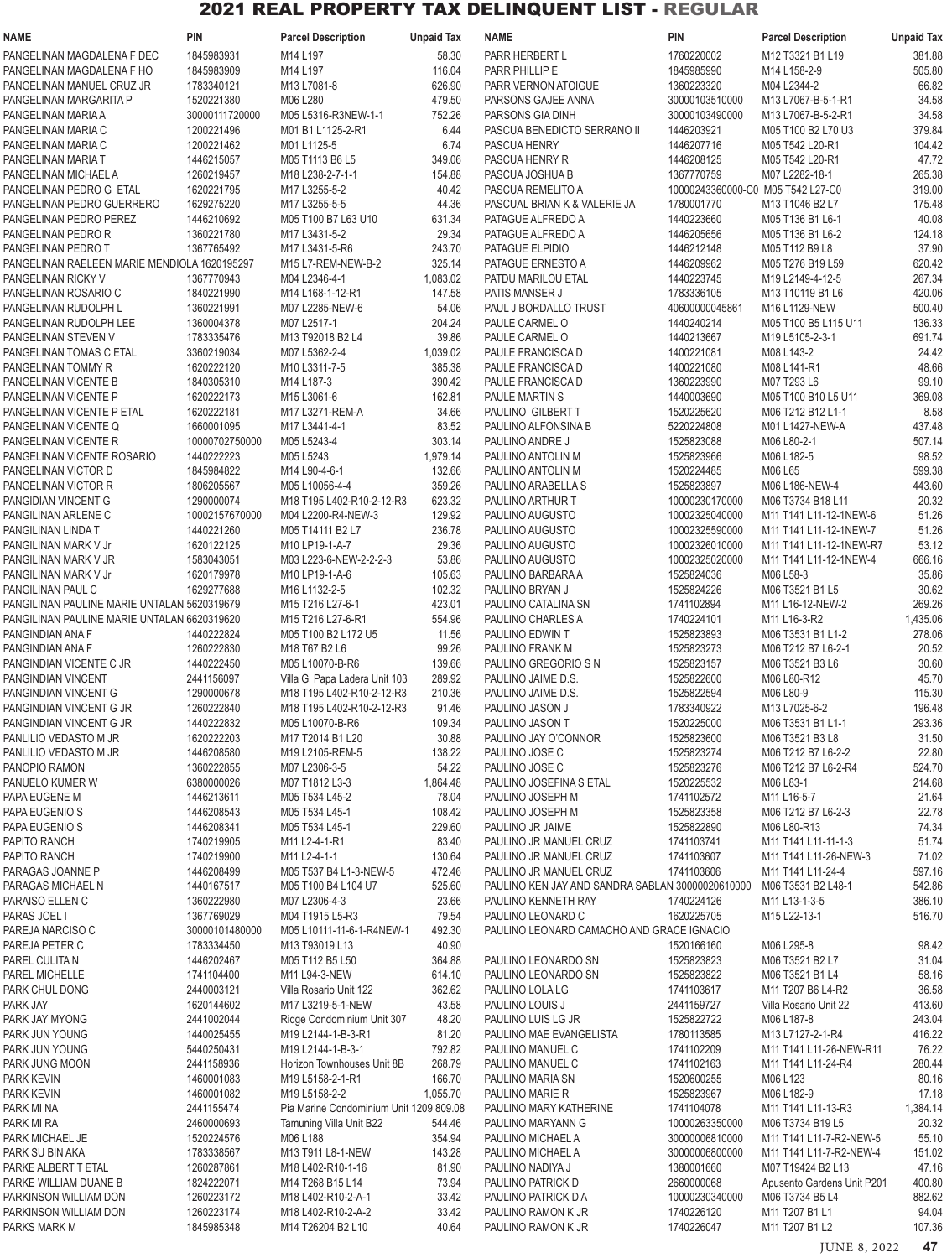| NAME                                         | <b>PIN</b>     | <b>Parcel Description</b>                                          | <b>Unpaid Tax</b> | <b>NAME</b>                                      | PIN                               | <b>Parcel Description</b>                                           | <b>Unpaid Tax</b> |
|----------------------------------------------|----------------|--------------------------------------------------------------------|-------------------|--------------------------------------------------|-----------------------------------|---------------------------------------------------------------------|-------------------|
| PANGELINAN MAGDALENA F DEC                   | 1845983931     | M14 L197                                                           | 58.30             | PARR HERBERT L                                   | 1760220002                        | M12 T3321 B1 L19                                                    | 381.88            |
| PANGELINAN MAGDALENA F HO                    | 1845983909     | M14 L197                                                           | 116.04            | PARR PHILLIP E                                   | 1845985990                        | M14 L158-2-9                                                        | 505.80            |
| PANGELINAN MANUEL CRUZ JR                    | 1783340121     | M13 L7081-8                                                        | 626.90            | PARR VERNON ATOIGUE                              | 1360223320                        | M04 L2344-2                                                         | 66.82             |
| PANGELINAN MARGARITA P                       | 1520221380     | M06 L280                                                           | 479.50            | PARSONS GAJEE ANNA                               | 30000103510000                    | M13 L7067-B-5-1-R1                                                  | 34.58             |
| PANGELINAN MARIA A                           | 30000111720000 | M05 L5316-R3NEW-1-1                                                | 752.26            | PARSONS GIA DINH                                 | 30000103490000                    | M13 L7067-B-5-2-R1                                                  | 34.58             |
| PANGELINAN MARIA C                           | 1200221496     | M01 B1 L1125-2-R1                                                  | 6.44              | PASCUA BENEDICTO SERRANO II                      | 1446203921                        | M05 T100 B2 L70 U3                                                  | 379.84            |
| PANGELINAN MARIA C                           | 1200221462     | M01 L1125-5                                                        | 6.74              | PASCUA HENRY                                     | 1446207716                        | M05 T542 L20-R1                                                     | 104.42            |
| PANGELINAN MARIA T                           | 1446215057     | M05 T1113 B6 L5                                                    | 349.06            | PASCUA HENRY R                                   | 1446208125                        | M05 T542 L20-R1                                                     | 47.72             |
| PANGELINAN MICHAEL A                         | 1260219457     | M18 L238-2-7-1-1                                                   | 154.88            | PASCUA JOSHUA B                                  | 1367770759                        | M07 L2282-18-1                                                      | 265.38            |
| PANGELINAN PEDRO G ETAL                      | 1620221795     | M17 L3255-5-2                                                      | 40.42             | PASCUA REMELITO A                                | 10000243360000-C0 M05 T542 L27-C0 |                                                                     | 319.00            |
| PANGELINAN PEDRO GUERRERO                    | 1629275220     | M17 L3255-5-5                                                      | 44.36             | PASCUAL BRIAN K & VALERIE JA                     | 1780001770                        | M13 T1046 B2 L7                                                     | 175.48            |
| PANGELINAN PEDRO PEREZ                       | 1446210692     | M05 T100 B7 L63 U10                                                | 631.34            | PATAGUE ALFREDO A                                | 1440223660                        | M05 T136 B1 L6-1                                                    | 40.08             |
|                                              |                |                                                                    |                   |                                                  |                                   |                                                                     |                   |
| PANGELINAN PEDRO R                           | 1360221780     | M17 L3431-5-2                                                      | 29.34             | PATAGUE ALFREDO A                                | 1446205656                        | M05 T136 B1 L6-2                                                    | 124.18            |
| PANGELINAN PEDRO T                           | 1367765492     | M17 L3431-5-R6                                                     | 243.70            | PATAGUE ELPIDIO                                  | 1446212148                        | M05 T112 B9 L8                                                      | 37.90             |
| PANGELINAN RAELEEN MARIE MENDIOLA 1620195297 |                | M15 L7-REM-NEW-B-2                                                 | 325.14            | PATAGUE ERNESTO A                                | 1446209962                        | M05 T276 B19 L59                                                    | 620.42            |
| PANGELINAN RICKY V                           | 1367770943     | M04 L2346-4-1                                                      | 1,083.02          | PATDU MARILOU ETAL                               | 1440223745                        | M19 L2149-4-12-5                                                    | 267.34            |
| PANGELINAN ROSARIO C                         | 1840221990     | M14 L168-1-12-R1                                                   | 147.58            | PATIS MANSER J                                   | 1783336105                        | M13 T10119 B1 L6                                                    | 420.06            |
| PANGELINAN RUDOLPH L                         | 1360221991     | M07 L2285-NEW-6                                                    | 54.06             | PAUL J BORDALLO TRUST                            | 40600000045861                    | M16 L1129-NEW                                                       | 500.40            |
| PANGELINAN RUDOLPH LEE                       | 1360004378     | M07 L2517-1                                                        | 204.24            | PAULE CARMEL O                                   | 1440240214                        | M05 T100 B5 L115 U11                                                | 136.33            |
| PANGELINAN STEVEN V                          | 1783335476     | M13 T92018 B2 L4                                                   | 39.86             | PAULE CARMEL O                                   | 1440213667                        | M19 L5105-2-3-1                                                     | 691.74            |
| PANGELINAN TOMAS C ETAL                      | 3360219034     | M07 L5362-2-4                                                      | 1,039.02          | PAULE FRANCISCA D                                | 1400221081                        | M08 L143-2                                                          | 24.42             |
| PANGELINAN TOMMY R                           | 1620222120     | M10 L3311-7-5                                                      | 385.38            | PAULE FRANCISCA D                                | 1400221080                        | M08 L141-R1                                                         | 48.66             |
| PANGELINAN VICENTE B                         | 1840305310     | M14 L187-3                                                         | 390.42            | PAULE FRANCISCA D                                | 1360223990                        | M07 T293 L6                                                         | 99.10             |
| PANGELINAN VICENTE P                         | 1620222173     | M15 L3061-6                                                        | 162.81            | PAULE MARTIN S                                   | 1440003690                        | M05 T100 B10 L5 U11                                                 | 369.08            |
| PANGELINAN VICENTE P ETAL                    | 1620222181     | M17 L3271-REM-A                                                    | 34.66             | PAULINO GILBERT T                                | 1520225620                        | M06 T212 B12 L1-1                                                   | 8.58              |
| PANGELINAN VICENTE Q                         | 1660001095     | M17 L3441-4-1                                                      | 83.52             | PAULINO ALFONSINA B                              | 5220224808                        | M01 L1427-NEW-A                                                     | 437.48            |
| PANGELINAN VICENTE R                         | 10000702750000 | M05 L5243-4                                                        | 303.14            | PAULINO ANDRE J                                  | 1525823088                        | M06 L80-2-1                                                         | 507.14            |
| PANGELINAN VICENTE ROSARIO                   | 1440222223     | M05 L5243                                                          | 1,979.14          | PAULINO ANTOLIN M                                | 1525823966                        | M06 L182-5                                                          | 98.52             |
| PANGELINAN VICTOR D                          | 1845984822     | M14 L90-4-6-1                                                      | 132.66            | PAULINO ANTOLIN M                                | 1520224485                        | M06 L65                                                             | 599.38            |
| PANGELINAN VICTOR R                          | 1806205567     | M05 L10056-4-4                                                     | 359.26            | PAULINO ARABELLA S                               | 1525823897                        | M06 L186-NEW-4                                                      | 443.60            |
| PANGIDIAN VINCENT G                          | 1290000074     | M18 T195 L402-R10-2-12-R3                                          | 623.32            | PAULINO ARTHUR T                                 | 10000230170000                    | M06 T3734 B18 L11                                                   | 20.32             |
| PANGILINAN ARLENE C                          | 10002157670000 | M04 L2200-R4-NEW-3                                                 | 129.92            | PAULINO AUGUSTO                                  | 10002325040000                    | M11 T141 L11-12-1NEW-6                                              | 51.26             |
| PANGILINAN LINDA T                           | 1440221260     | M05 T14111 B2 L7                                                   | 236.78            | PAULINO AUGUSTO                                  | 10002325590000                    | M11 T141 L11-12-1NEW-7                                              | 51.26             |
| PANGILINAN MARK V Jr                         | 1620122125     | M10 LP19-1-A-7                                                     | 29.36             | PAULINO AUGUSTO                                  | 10002326010000                    | M11 T141 L11-12-1NEW-R7                                             | 53.12             |
| PANGILINAN MARK V JR                         | 1583043051     | M03 L223-6-NEW-2-2-2-3                                             | 53.86             | PAULINO AUGUSTO                                  | 10002325020000                    | M11 T141 L11-12-1NEW-4                                              | 666.16            |
| PANGILINAN MARK V Jr                         | 1620179978     | M10 LP19-1-A-6                                                     | 105.63            | PAULINO BARBARA A                                | 1525824036                        | M06 L58-3                                                           | 35.86             |
|                                              | 1629277688     |                                                                    |                   |                                                  | 1525824226                        |                                                                     |                   |
| PANGILINAN PAUL C                            |                | M16 L1132-2-5                                                      | 102.32            | PAULINO BRYAN J                                  |                                   | M06 T3521 B1 L5                                                     | 30.62             |
| PANGILINAN PAULINE MARIE UNTALAN 5620319679  |                | M15 T216 L27-6-1                                                   | 423.01            | PAULINO CATALINA SN                              | 1741102894                        | M11 L16-12-NEW-2                                                    | 269.26            |
| PANGILINAN PAULINE MARIE UNTALAN 6620319620  |                | M <sub>15</sub> T <sub>216</sub> L <sub>27</sub> -6-R <sub>1</sub> | 554.96            | PAULINO CHARLES A                                | 1740224101                        | M11 L16-3-R2                                                        | 1,435.06          |
| PANGINDIAN ANA F                             | 1440222824     | M05 T100 B2 L172 U5                                                | 11.56             | PAULINO EDWIN T                                  | 1525823893                        | M06 T3531 B1 L1-2                                                   | 278.06            |
| PANGINDIAN ANA F                             | 1260222830     | M18 T67 B2 L6                                                      | 99.26             | PAULINO FRANK M                                  | 1525823273                        | M06 T212 B7 L6-2-1                                                  | 20.52             |
| PANGINDIAN VICENTE C JR                      | 1440222450     | M05 L10070-B-R6                                                    | 139.66            | PAULINO GREGORIO S N                             | 1525823157                        | M06 T3521 B3 L6                                                     | 30.60             |
| PANGINDIAN VINCENT                           | 2441156097     | Villa Gi Papa Ladera Unit 103                                      | 289.92            | PAULINO JAIME D.S.                               | 1525822600                        | M06 L80-R12                                                         | 45.70             |
| PANGINDIAN VINCENT G                         | 1290000678     | M18 T195 L402-R10-2-12-R3                                          | 210.36            | PAULINO JAIME D.S.                               | 1525822594                        | M06 L80-9                                                           | 115.30            |
| PANGINDIAN VINCENT G JR                      | 1260222840     | M18 T195 L402-R10-2-12-R3                                          | 91.46             | PAULINO JASON J                                  | 1783340922                        | M13 L7025-6-2                                                       | 196.48            |
| PANGINDIAN VINCENT G JR                      | 1440222832     | M05 L10070-B-R6                                                    | 109.34            | PAULINO JASON T                                  | 1520225000                        | M06 T3531 B1 L1-1                                                   | 293.36            |
| PANLILIO VEDASTO M JR                        | 1620222203     | M17 T2014 B1 L20                                                   | 30.88             | PAULINO JAY O'CONNOR                             | 1525823600                        | M06 T3521 B3 L8                                                     | 31.50             |
| PANLILIO VEDASTO M JR                        | 1446208580     | M19 L2105-REM-5                                                    | 138.22            | PAULINO JOSE C                                   | 1525823274                        | M06 T212 B7 L6-2-2                                                  | 22.80             |
| PANOPIO RAMON                                | 1360222855     | M07 L2306-3-5                                                      | 54.22             | PAULINO JOSE C                                   | 1525823276                        | M06 T212 B7 L6-2-R4                                                 | 524.70            |
| PANUELO KUMER W                              | 6380000026     | M07 T1812 L3-3                                                     | 1,864.48          | PAULINO JOSEFINA S ETAL                          | 1520225532                        | M06 L83-1                                                           | 214.68            |
| PAPA EUGENE M                                | 1446213611     | M05 T534 L45-2                                                     | 78.04             | PAULINO JOSEPH M                                 | 1741102572                        | M11 L16-5-7                                                         | 21.64             |
| PAPA EUGENIO S                               | 1446208543     | M05 T534 L45-1                                                     | 108.42            | PAULINO JOSEPH M                                 | 1525823358                        | M06 T212 B7 L6-2-3                                                  | 22.78             |
| PAPA EUGENIO S                               | 1446208341     | M05 T534 L45-1                                                     | 229.60            | PAULINO JR JAIME                                 | 1525822890                        | M06 L80-R13                                                         | 74.34             |
| PAPITO RANCH                                 | 1740219905     | M11 L2-4-1-R1                                                      | 83.40             | PAULINO JR MANUEL CRUZ                           | 1741103741                        | M11 T141 L11-11-1-3                                                 | 51.74             |
| PAPITO RANCH                                 | 1740219900     | M11 L2-4-1-1                                                       | 130.64            | PAULINO JR MANUEL CRUZ                           | 1741103607                        | M11 T141 L11-26-NEW-3                                               | 71.02             |
| PARAGAS JOANNE P                             | 1446208499     | M05 T537 B4 L1-3-NEW-5                                             | 472.46            | PAULINO JR MANUEL CRUZ                           | 1741103606                        | M11 T141 L11-24-4                                                   | 597.16            |
| PARAGAS MICHAEL N                            | 1440167517     | M05 T100 B4 L104 U7                                                | 525.60            | PAULINO KEN JAY AND SANDRA SABLAN 30000020610000 |                                   | M06 T3531 B2 L48-1                                                  | 542.86            |
| PARAISO ELLEN C                              | 1360222980     | M07 L2306-4-3                                                      | 23.66             | PAULINO KENNETH RAY                              | 1740224126                        | M11 L13-1-3-5                                                       | 386.10            |
| PARAS JOEL I                                 | 1367769029     | M04 T1915 L5-R3                                                    | 79.54             | PAULINO LEONARD C                                | 1620225705                        | M15 L22-13-1                                                        | 516.70            |
| PAREJA NARCISO C                             | 30000101480000 | M05 L10111-11-6-1-R4NEW-1                                          | 492.30            | PAULINO LEONARD CAMACHO AND GRACE IGNACIO        |                                   |                                                                     |                   |
| PAREJA PETER C                               | 1783334450     | M13 T93019 L13                                                     | 40.90             |                                                  | 1520166160                        | M06 L295-8                                                          | 98.42             |
| PAREL CULITA N                               | 1446202467     | M05 T112 B5 L50                                                    | 364.88            | PAULINO LEONARDO SN                              | 1525823823                        | M06 T3521 B2 L7                                                     | 31.04             |
| PAREL MICHELLE                               | 1741104400     | M11 L94-3-NEW                                                      | 614.10            | PAULINO LEONARDO SN                              | 1525823822                        | M06 T3521 B1 L4                                                     | 58.16             |
| PARK CHUL DONG                               | 2440003121     | Villa Rosario Unit 122                                             | 362.62            | PAULINO LOLA LG                                  | 1741103617                        | M11 T207 B6 L4-R2                                                   | 36.58             |
|                                              |                |                                                                    |                   |                                                  |                                   |                                                                     |                   |
| PARK JAY                                     | 1620144602     | M17 L3219-5-1-NEW                                                  | 43.58             | PAULINO LOUIS J                                  | 2441159727                        | Villa Rosario Unit 22                                               | 413.60            |
| PARK JAY MYONG                               | 2441002044     | Ridge Condominium Unit 307                                         | 48.20             | PAULINO LUIS LG JR                               | 1525822722                        | M06 L187-8                                                          | 243.04            |
| PARK JUN YOUNG                               | 1440025455     | M19 L2144-1-B-3-R1                                                 | 81.20             | PAULINO MAE EVANGELISTA                          | 1780113585                        | M13 L7127-2-1-R4                                                    | 416.22            |
| PARK JUN YOUNG                               | 5440250431     | M19 L2144-1-B-3-1                                                  | 792.82            | PAULINO MANUEL C                                 | 1741102209                        | M11 T141 L11-26-NEW-R11                                             | 76.22             |
| PARK JUNG MOON                               | 2441158936     | Horizon Townhouses Unit 8B                                         | 268.79            | PAULINO MANUEL C                                 | 1741102163                        | M11 T141 L11-24-R4                                                  | 280.44            |
| PARK KEVIN                                   | 1460001083     | M19 L5158-2-1-R1                                                   | 166.70            | PAULINO MARIA SN                                 | 1520600255                        | M06 L123                                                            | 80.16             |
| PARK KEVIN                                   | 1460001082     | M19 L5158-2-2                                                      | 1,055.70          | PAULINO MARIE R                                  | 1525823967                        | M06 L182-9                                                          | 17.18             |
| PARK MI NA                                   | 2441155474     | Pia Marine Condominium Unit 1209 809.08                            |                   | PAULINO MARY KATHERINE                           | 1741104078                        | M <sub>11</sub> T <sub>141</sub> L <sub>11</sub> -13-R <sub>3</sub> | 1,384.14          |
| PARK MI RA                                   | 2460000693     | Tamuning Villa Unit B22                                            | 544.46            | PAULINO MARYANN G                                | 10000263350000                    | M06 T3734 B19 L5                                                    | 20.32             |
| PARK MICHAEL JE                              | 1520224576     | M06 L188                                                           | 354.94            | PAULINO MICHAEL A                                | 30000006810000                    | M11 T141 L11-7-R2-NEW-5                                             | 55.10             |
| PARK SU BIN AKA                              | 1783338567     | M13 T911 L8-1-NEW                                                  | 143.28            | PAULINO MICHAEL A                                | 30000006800000                    | M11 T141 L11-7-R2-NEW-4                                             | 151.02            |
| PARKE ALBERT T ETAL                          | 1260287861     | M18 L402-R10-1-16                                                  | 81.90             | PAULINO NADIYA J                                 | 1380001660                        | M07 T19424 B2 L13                                                   | 47.16             |
| PARKE WILLIAM DUANE B                        | 1824222071     | M14 T268 B15 L14                                                   | 73.94             | PAULINO PATRICK D                                | 2660000068                        | Apusento Gardens Unit P201                                          | 400.80            |
| PARKINSON WILLIAM DON                        | 1260223172     | M18 L402-R10-2-A-1                                                 | 33.42             | PAULINO PATRICK D A                              | 10000230340000                    | M06 T3734 B5 L4                                                     | 882.62            |
| PARKINSON WILLIAM DON                        | 1260223174     | M18 L402-R10-2-A-2                                                 | 33.42             | PAULINO RAMON K JR                               | 1740226120                        | M11 T207 B1 L1                                                      | 94.04             |
| PARKS MARK M                                 | 1845985348     | M14 T26204 B2 L10                                                  | 40.64             | PAULINO RAMON K JR                               | 1740226047                        | M11 T207 B1 L2                                                      | 107.36            |

JUNE 8, 2022 **47**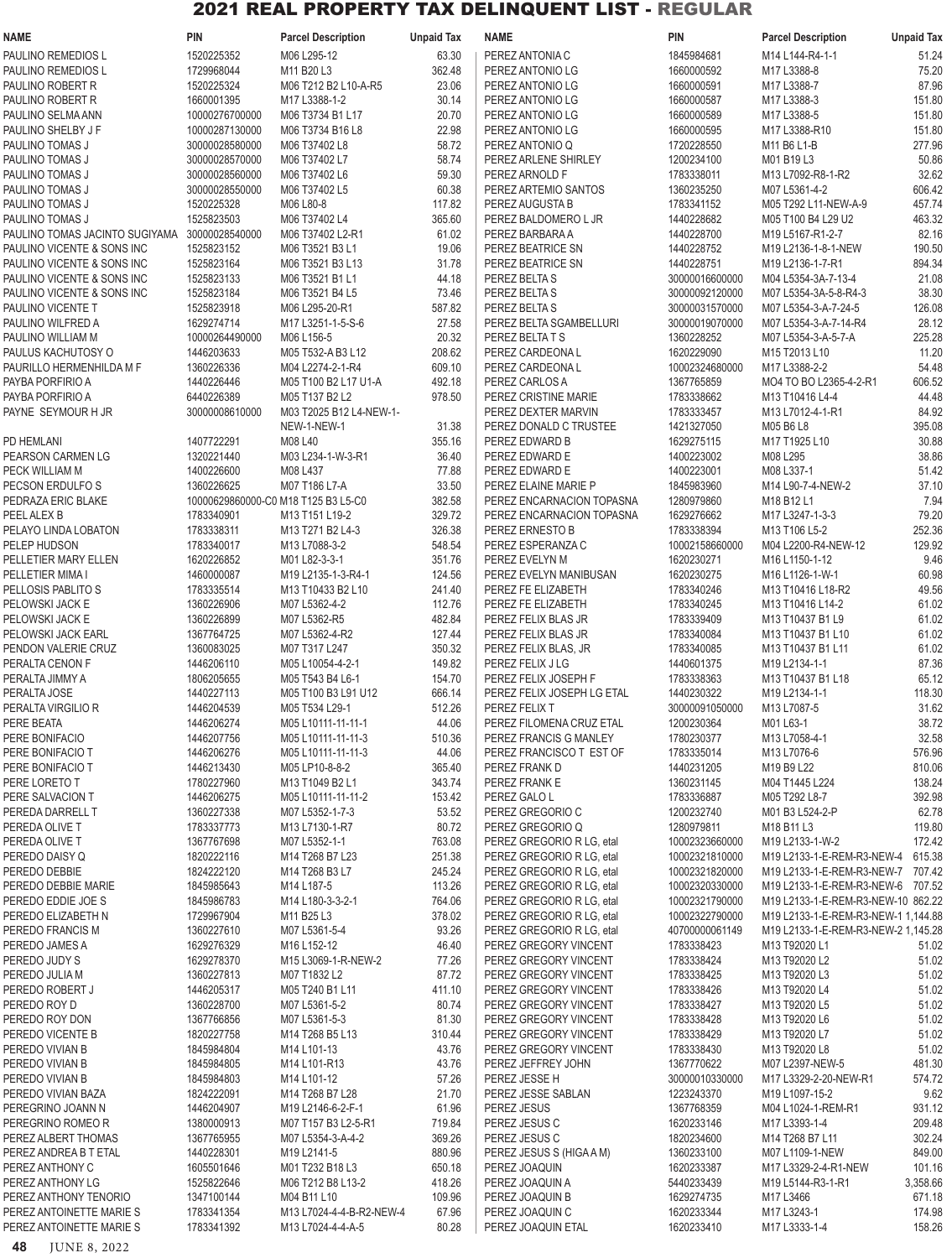| <b>NAME</b>                                  | <b>PIN</b>                   | <b>Parcel Description</b>            | <b>Unpaid Tax</b> | <b>NAME</b>                                            | <b>PIN</b>                       | <b>Parcel Description</b>                                                 | <b>Unpaid Tax</b> |
|----------------------------------------------|------------------------------|--------------------------------------|-------------------|--------------------------------------------------------|----------------------------------|---------------------------------------------------------------------------|-------------------|
| PAULINO REMEDIOS L                           | 1520225352                   | M06 L295-12                          | 63.30             | PEREZ ANTONIA C                                        | 1845984681                       | M14 L144-R4-1-1                                                           | 51.24             |
| PAULINO REMEDIOS L                           | 1729968044                   | M11 B20 L3                           | 362.48            | PEREZ ANTONIO LG                                       | 1660000592                       | M17 L3388-8                                                               | 75.20             |
| PAULINO ROBERT R                             | 1520225324                   | M06 T212 B2 L10-A-R5                 | 23.06             | PEREZ ANTONIO LG                                       | 1660000591                       | M17 L3388-7                                                               | 87.96             |
| PAULINO ROBERT R                             | 1660001395                   | M17 L3388-1-2                        | 30.14             | PEREZ ANTONIO LG                                       | 1660000587                       | M17 L3388-3                                                               | 151.80            |
| PAULINO SELMA ANN                            | 10000276700000               | M06 T3734 B1 L17                     | 20.70             | PEREZ ANTONIO LG                                       | 1660000589                       | M17 L3388-5                                                               | 151.80            |
| PAULINO SHELBY J F                           | 10000287130000               | M06 T3734 B16 L8                     | 22.98             | PEREZ ANTONIO LG                                       | 1660000595                       | M17 L3388-R10                                                             | 151.80            |
| PAULINO TOMAS J                              | 30000028580000               | M06 T37402 L8                        | 58.72             | PEREZ ANTONIO Q                                        | 1720228550                       | M11 B6 L1-B                                                               | 277.96            |
| PAULINO TOMAS J                              | 30000028570000               | M06 T37402 L7                        | 58.74             | PEREZ ARLENE SHIRLEY                                   | 1200234100                       | M01 B19 L3                                                                | 50.86             |
| PAULINO TOMAS J                              | 30000028560000               | M06 T37402 L6                        | 59.30             | PEREZ ARNOLD F                                         | 1783338011                       | M13 L7092-R8-1-R2                                                         | 32.62             |
| PAULINO TOMAS J<br>PAULINO TOMAS J           | 30000028550000<br>1520225328 | M06 T37402 L5<br>M06 L80-8           | 60.38<br>117.82   | PEREZ ARTEMIO SANTOS<br>PEREZ AUGUSTA B                | 1360235250<br>1783341152         | M07 L5361-4-2<br>M05 T292 L11-NEW-A-9                                     | 606.42<br>457.74  |
| PAULINO TOMAS J                              | 1525823503                   | M06 T37402 L4                        | 365.60            | PEREZ BALDOMERO L JR                                   | 1440228682                       | M05 T100 B4 L29 U2                                                        | 463.32            |
| PAULINO TOMAS JACINTO SUGIYAMA               | 30000028540000               | M06 T37402 L2-R1                     | 61.02             | PEREZ BARBARA A                                        | 1440228700                       | M19 L5167-R1-2-7                                                          | 82.16             |
| PAULINO VICENTE & SONS INC                   | 1525823152                   | M06 T3521 B3 L1                      | 19.06             | PEREZ BEATRICE SN                                      | 1440228752                       | M19 L2136-1-8-1-NEW                                                       | 190.50            |
| PAULINO VICENTE & SONS INC                   | 1525823164                   | M06 T3521 B3 L13                     | 31.78             | PEREZ BEATRICE SN                                      | 1440228751                       | M19 L2136-1-7-R1                                                          | 894.34            |
| PAULINO VICENTE & SONS INC                   | 1525823133                   | M06 T3521 B1 L1                      | 44.18             | PEREZ BELTA S                                          | 30000016600000                   | M04 L5354-3A-7-13-4                                                       | 21.08             |
| PAULINO VICENTE & SONS INC                   | 1525823184                   | M06 T3521 B4 L5                      | 73.46             | PEREZ BELTA S                                          | 30000092120000                   | M07 L5354-3A-5-8-R4-3                                                     | 38.30             |
| PAULINO VICENTE T                            | 1525823918                   | M06 L295-20-R1                       | 587.82            | PEREZ BELTA S                                          | 30000031570000                   | M07 L5354-3-A-7-24-5                                                      | 126.08            |
| PAULINO WILFRED A                            | 1629274714                   | M17 L3251-1-5-S-6                    | 27.58             | PEREZ BELTA SGAMBELLURI                                | 30000019070000                   | M07 L5354-3-A-7-14-R4                                                     | 28.12             |
| PAULINO WILLIAM M                            | 10000264490000               | M06 L156-5                           | 20.32             | PEREZ BELTA T S                                        | 1360228252                       | M07 L5354-3-A-5-7-A                                                       | 225.28            |
| PAULUS KACHUTOSY O                           | 1446203633                   | M05 T532-A B3 L12                    | 208.62            | PEREZ CARDEONA L                                       | 1620229090                       | M15 T2013 L10                                                             | 11.20             |
| PAURILLO HERMENHILDA M F                     | 1360226336                   | M04 L2274-2-1-R4                     | 609.10            | PEREZ CARDEONA L                                       | 10002324680000                   | M17 L3388-2-2                                                             | 54.48             |
| PAYBA PORFIRIO A                             | 1440226446                   | M05 T100 B2 L17 U1-A                 | 492.18            | PEREZ CARLOS A                                         | 1367765859                       | MO4 TO BO L2365-4-2-R1                                                    | 606.52            |
| PAYBA PORFIRIO A                             | 6440226389                   | M05 T137 B2 L2                       | 978.50            | PEREZ CRISTINE MARIE                                   | 1783338662                       | M13 T10416 L4-4                                                           | 44.48             |
| PAYNE SEYMOUR H JR                           | 30000008610000               | M03 T2025 B12 L4-NEW-1-              |                   | PEREZ DEXTER MARVIN                                    | 1783333457                       | M13 L7012-4-1-R1                                                          | 84.92             |
|                                              |                              | NEW-1-NEW-1                          | 31.38             | PEREZ DONALD C TRUSTEE                                 | 1421327050<br>1629275115         | M05 B6 L8                                                                 | 395.08<br>30.88   |
| PD HEMLANI<br>PEARSON CARMEN LG              | 1407722291<br>1320221440     | M08 L40<br>M03 L234-1-W-3-R1         | 355.16<br>36.40   | PEREZ EDWARD B<br>PEREZ EDWARD E                       | 1400223002                       | M17 T1925 L10<br>M08 L295                                                 | 38.86             |
| PECK WILLIAM M                               | 1400226600                   | M08 L437                             | 77.88             | PEREZ EDWARD E                                         | 1400223001                       | M08 L337-1                                                                | 51.42             |
| PECSON ERDULFO S                             | 1360226625                   | M07 T186 L7-A                        | 33.50             | PEREZ ELAINE MARIE P                                   | 1845983960                       | M14 L90-7-4-NEW-2                                                         | 37.10             |
| PEDRAZA ERIC BLAKE                           |                              | 10000629860000-C0 M18 T125 B3 L5-C0  | 382.58            | PEREZ ENCARNACION TOPASNA                              | 1280979860                       | M18 B12 L1                                                                | 7.94              |
| PEEL ALEX B                                  | 1783340901                   | M13 T151 L19-2                       | 329.72            | PEREZ ENCARNACION TOPASNA                              | 1629276662                       | M17 L3247-1-3-3                                                           | 79.20             |
| PELAYO LINDA LOBATON                         | 1783338311                   | M13 T271 B2 L4-3                     | 326.38            | PEREZ ERNESTO B                                        | 1783338394                       | M13 T106 L5-2                                                             | 252.36            |
| PELEP HUDSON                                 | 1783340017                   | M13 L7088-3-2                        | 548.54            | PEREZ ESPERANZA C                                      | 10002158660000                   | M04 L2200-R4-NEW-12                                                       | 129.92            |
| PELLETIER MARY ELLEN                         | 1620226852                   | M01 L82-3-3-1                        | 351.76            | PEREZ EVELYN M                                         | 1620230271                       | M16 L1150-1-12                                                            | 9.46              |
| PELLETIER MIMA I                             | 1460000087                   | M19 L2135-1-3-R4-1                   | 124.56            | PEREZ EVELYN MANIBUSAN                                 | 1620230275                       | M16 L1126-1-W-1                                                           | 60.98             |
| PELLOSIS PABLITO S                           | 1783335514                   | M13 T10433 B2 L10                    | 241.40            | PEREZ FE ELIZABETH                                     | 1783340246                       | M13 T10416 L18-R2                                                         | 49.56             |
| PELOWSKI JACK E                              | 1360226906                   | M07 L5362-4-2                        | 112.76            | PEREZ FE ELIZABETH                                     | 1783340245                       | M13 T10416 L14-2                                                          | 61.02             |
| PELOWSKI JACK E                              | 1360226899                   | M07 L5362-R5                         | 482.84            | PEREZ FELIX BLAS JR                                    | 1783339409                       | M13 T10437 B1 L9                                                          | 61.02             |
| PELOWSKI JACK EARL                           | 1367764725                   | M07 L5362-4-R2                       | 127.44            | PEREZ FELIX BLAS JR                                    | 1783340084                       | M13 T10437 B1 L10                                                         | 61.02             |
| PENDON VALERIE CRUZ                          | 1360083025                   | M07 T317 L247                        | 350.32            | PEREZ FELIX BLAS, JR                                   | 1783340085                       | M13 T10437 B1 L11                                                         | 61.02             |
| PERALTA CENON F<br>PERALTA JIMMY A           | 1446206110<br>1806205655     | M05 L10054-4-2-1<br>M05 T543 B4 L6-1 | 149.82<br>154.70  | PEREZ FELIX J LG<br>PEREZ FELIX JOSEPH F               | 1440601375<br>1783338363         | M19 L2134-1-1<br>M13 T10437 B1 L18                                        | 87.36<br>65.12    |
| PERALTA JOSE                                 | 1440227113                   | M05 T100 B3 L91 U12                  | 666.14            | PEREZ FELIX JOSEPH LG ETAL                             | 1440230322                       | M19 L2134-1-1                                                             | 118.30            |
| PERALTA VIRGILIO R                           | 1446204539                   | M05 T534 L29-1                       | 512.26            | PEREZ FELIX T                                          | 30000091050000                   | M13 L7087-5                                                               | 31.62             |
| PERE BEATA                                   | 1446206274                   | M05 L10111-11-11-1                   | 44.06             | PEREZ FILOMENA CRUZ ETAL                               | 1200230364                       | M01 L63-1                                                                 | 38.72             |
| PERE BONIFACIO                               | 1446207756                   | M05 L10111-11-11-3                   | 510.36            | PEREZ FRANCIS G MANLEY                                 | 1780230377                       | M13 L7058-4-1                                                             | 32.58             |
| PERE BONIFACIO T                             | 1446206276                   | M05 L10111-11-11-3                   | 44.06             | PEREZ FRANCISCO T EST OF                               | 1783335014                       | M13 L7076-6                                                               | 576.96            |
| PERE BONIFACIO T                             | 1446213430                   | M05 LP10-8-8-2                       | 365.40            | PEREZ FRANK D                                          | 1440231205                       | M19 B9 L22                                                                | 810.06            |
| PERE LORETO T                                | 1780227960                   | M13 T1049 B2 L1                      | 343.74            | PEREZ FRANK E                                          | 1360231145                       | M04 T1445 L224                                                            | 138.24            |
| PERE SALVACION T                             | 1446206275                   | M05 L10111-11-11-2                   | 153.42            | PEREZ GALO L                                           | 1783336887                       | M05 T292 L8-7                                                             | 392.98            |
| PEREDA DARRELL T                             | 1360227338                   | M07 L5352-1-7-3                      | 53.52             | PEREZ GREGORIO C                                       | 1200232740                       | M01 B3 L524-2-P                                                           | 62.78             |
| PEREDA OLIVE T                               | 1783337773                   | M13 L7130-1-R7                       | 80.72             | PEREZ GREGORIO Q                                       | 1280979811                       | M18 B11 L3                                                                | 119.80            |
| PEREDA OLIVE T                               | 1367767698                   | M07 L5352-1-1                        | 763.08            | PEREZ GREGORIO R LG, etal                              | 10002323660000                   | M19 L2133-1-W-2                                                           | 172.42            |
| PEREDO DAISY Q                               | 1820222116                   | M14 T268 B7 L23                      | 251.38            | PEREZ GREGORIO R LG, etal                              | 10002321810000                   | M19 L2133-1-E-REM-R3-NEW-4 615.38                                         |                   |
| PEREDO DEBBIE                                | 1824222120                   | M14 T268 B3 L7                       | 245.24            | PEREZ GREGORIO R LG, etal                              | 10002321820000                   | M19 L2133-1-E-REM-R3-NEW-7 707.42                                         |                   |
| PEREDO DEBBIE MARIE                          | 1845985643                   | M14 L187-5                           | 113.26            | PEREZ GREGORIO R LG, etal                              | 10002320330000                   | M19 L2133-1-E-REM-R3-NEW-6 707.52                                         |                   |
| PEREDO EDDIE JOE S<br>PEREDO ELIZABETH N     | 1845986783<br>1729967904     | M14 L180-3-3-2-1<br>M11 B25 L3       | 764.06<br>378.02  | PEREZ GREGORIO R LG, etal<br>PEREZ GREGORIO R LG, etal | 10002321790000<br>10002322790000 | M19 L2133-1-E-REM-R3-NEW-10 862.22<br>M19 L2133-1-E-REM-R3-NEW-1 1,144.88 |                   |
| PEREDO FRANCIS M                             | 1360227610                   | M07 L5361-5-4                        | 93.26             | PEREZ GREGORIO R LG, etal                              | 40700000061149                   | M19 L2133-1-E-REM-R3-NEW-2 1,145.28                                       |                   |
| PEREDO JAMES A                               | 1629276329                   | M16 L152-12                          | 46.40             | PEREZ GREGORY VINCENT                                  | 1783338423                       | M13 T92020 L1                                                             | 51.02             |
| PEREDO JUDY S                                | 1629278370                   | M15 L3069-1-R-NEW-2                  | 77.26             | PEREZ GREGORY VINCENT                                  | 1783338424                       | M13 T92020 L2                                                             | 51.02             |
| PEREDO JULIA M                               | 1360227813                   | M07 T1832 L2                         | 87.72             | PEREZ GREGORY VINCENT                                  | 1783338425                       | M13 T92020 L3                                                             | 51.02             |
| PEREDO ROBERT J                              | 1446205317                   | M05 T240 B1 L11                      | 411.10            | PEREZ GREGORY VINCENT                                  | 1783338426                       | M13 T92020 L4                                                             | 51.02             |
| PEREDO ROY D                                 | 1360228700                   | M07 L5361-5-2                        | 80.74             | PEREZ GREGORY VINCENT                                  | 1783338427                       | M13 T92020 L5                                                             | 51.02             |
| PEREDO ROY DON                               | 1367766856                   | M07 L5361-5-3                        | 81.30             | PEREZ GREGORY VINCENT                                  | 1783338428                       | M13 T92020 L6                                                             | 51.02             |
| PEREDO VICENTE B                             | 1820227758                   | M14 T268 B5 L13                      | 310.44            | PEREZ GREGORY VINCENT                                  | 1783338429                       | M13 T92020 L7                                                             | 51.02             |
| PEREDO VIVIAN B                              | 1845984804                   | M14 L101-13                          | 43.76             | PEREZ GREGORY VINCENT                                  | 1783338430                       | M13 T92020 L8                                                             | 51.02             |
| PEREDO VIVIAN B                              | 1845984805                   | M14 L101-R13                         | 43.76             | PEREZ JEFFREY JOHN                                     | 1367770622                       | M07 L2397-NEW-5                                                           | 481.30            |
| PEREDO VIVIAN B                              | 1845984803                   | M14 L101-12                          | 57.26             | PEREZ JESSE H                                          | 30000010330000                   | M17 L3329-2-20-NEW-R1                                                     | 574.72            |
| PEREDO VIVIAN BAZA                           | 1824222091                   | M14 T268 B7 L28                      | 21.70             | PEREZ JESSE SABLAN                                     | 1223243370                       | M19 L1097-15-2                                                            | 9.62              |
| PEREGRINO JOANN N                            | 1446204907                   | M19 L2146-6-2-F-1                    | 61.96             | PEREZ JESUS                                            | 1367768359                       | M04 L1024-1-REM-R1                                                        | 931.12            |
| PEREGRINO ROMEO R                            | 1380000913<br>1367765955     | M07 T157 B3 L2-5-R1                  | 719.84            | PEREZ JESUS C                                          | 1620233146<br>1820234600         | M17 L3393-1-4                                                             | 209.48            |
| PEREZ ALBERT THOMAS<br>PEREZ ANDREA B T ETAL | 1440228301                   | M07 L5354-3-A-4-2<br>M19 L2141-5     | 369.26<br>880.96  | PEREZ JESUS C<br>PEREZ JESUS S (HIGA A M)              | 1360233100                       | M14 T268 B7 L11<br>M07 L1109-1-NEW                                        | 302.24<br>849.00  |
| PEREZ ANTHONY C                              | 1605501646                   | M01 T232 B18 L3                      | 650.18            | PEREZ JOAQUIN                                          | 1620233387                       | M17 L3329-2-4-R1-NEW                                                      | 101.16            |
| PEREZ ANTHONY LG                             | 1525822646                   | M06 T212 B8 L13-2                    | 418.26            | PEREZ JOAQUIN A                                        | 5440233439                       | M19 L5144-R3-1-R1                                                         | 3,358.66          |
| PEREZ ANTHONY TENORIO                        | 1347100144                   | M04 B11 L10                          | 109.96            | PEREZ JOAQUIN B                                        | 1629274735                       | M17 L3466                                                                 | 671.18            |
| PEREZ ANTOINETTE MARIE S                     | 1783341354                   | M13 L7024-4-4-B-R2-NEW-4             | 67.96             | PEREZ JOAQUIN C                                        | 1620233344                       | M17 L3243-1                                                               | 174.98            |
| PEREZ ANTOINETTE MARIE S                     | 1783341392                   | M13 L7024-4-4-A-5                    | 80.28             | PEREZ JOAQUIN ETAL                                     | 1620233410                       | M17 L3333-1-4                                                             | 158.26            |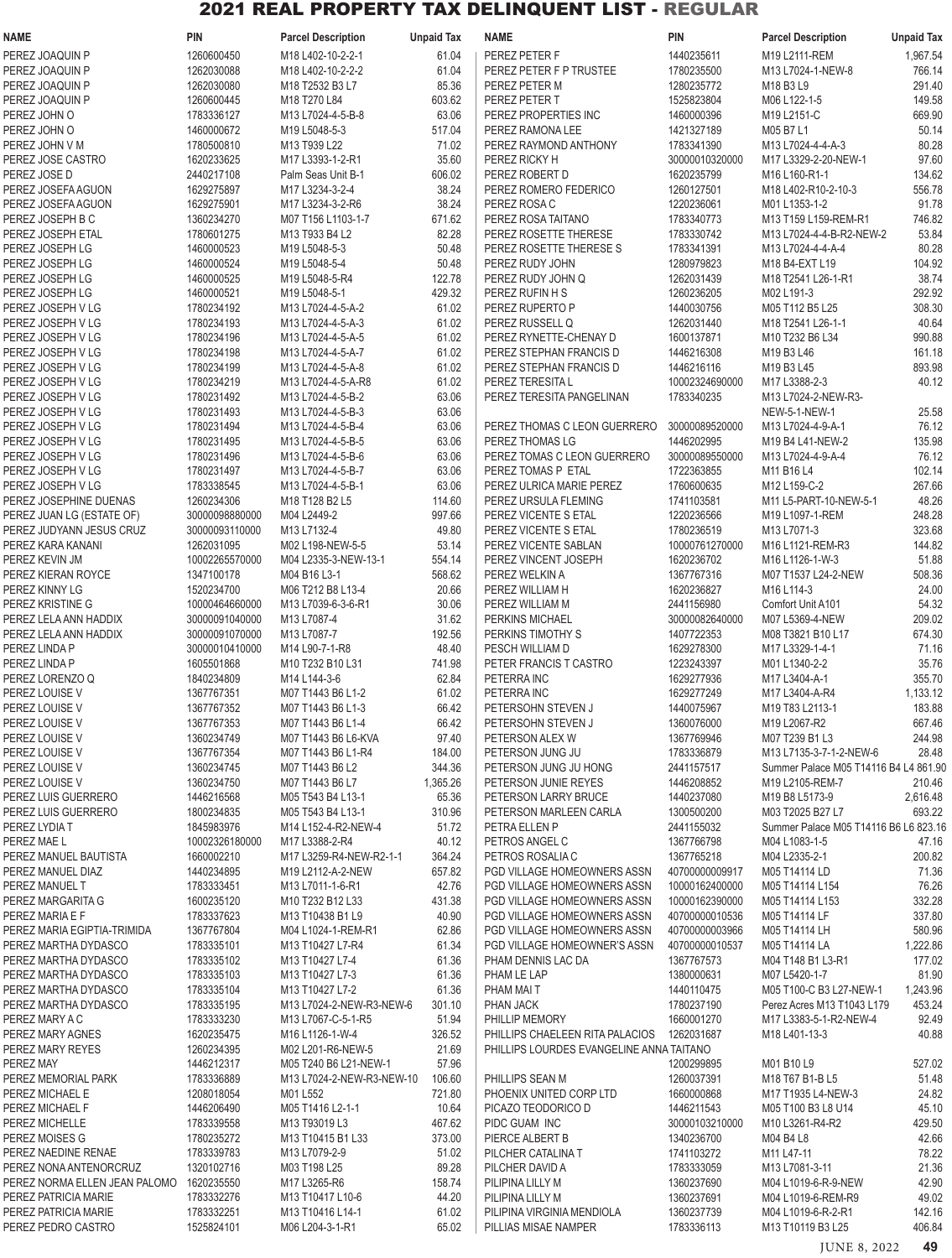| <b>NAME</b>                                    | <b>PIN</b>                       | <b>Parcel Description</b>            | <b>Unpaid Tax</b> | <b>NAME</b>                                                                 | PIN                          | <b>Parcel Description</b>             | <b>Unpaid Tax</b> |
|------------------------------------------------|----------------------------------|--------------------------------------|-------------------|-----------------------------------------------------------------------------|------------------------------|---------------------------------------|-------------------|
| PEREZ JOAQUIN P                                | 1260600450                       | M18 L402-10-2-2-1                    | 61.04             | PEREZ PETER F                                                               | 1440235611                   | M19 L2111-REM                         | 1,967.54          |
| PEREZ JOAQUIN P                                | 1262030088                       | M18 L402-10-2-2-2                    | 61.04             | PEREZ PETER F P TRUSTEE                                                     | 1780235500                   | M13 L7024-1-NEW-8                     | 766.14            |
| PEREZ JOAQUIN P                                | 1262030080                       | M18 T2532 B3 L7                      | 85.36             | PEREZ PETER M                                                               | 1280235772                   | M18 B3 L9                             | 291.40            |
| PEREZ JOAQUIN P                                | 1260600445                       | M18 T270 L84                         | 603.62            | PEREZ PETER T                                                               | 1525823804                   | M06 L122-1-5                          | 149.58            |
| PEREZ JOHN O                                   | 1783336127                       | M13 L7024-4-5-B-8                    | 63.06             | PEREZ PROPERTIES INC                                                        | 1460000396                   | M19 L2151-C                           | 669.90            |
| PEREZ JOHN O                                   | 1460000672                       | M19 L5048-5-3                        | 517.04            | PEREZ RAMONA LEE                                                            | 1421327189                   | M05 B7 L1                             | 50.14             |
| PEREZ JOHN V M                                 | 1780500810                       | M13 T939 L22                         | 71.02             | PEREZ RAYMOND ANTHONY                                                       | 1783341390                   | M13 L7024-4-4-A-3                     | 80.28             |
| PEREZ JOSE CASTRO                              | 1620233625                       | M17 L3393-1-2-R1                     | 35.60             | PEREZ RICKY H                                                               | 30000010320000               | M17 L3329-2-20-NEW-1                  | 97.60             |
| PEREZ JOSE D                                   | 2440217108                       | Palm Seas Unit B-1                   | 606.02            | PEREZ ROBERT D                                                              | 1620235799                   | M16 L160-R1-1                         | 134.62            |
| PEREZ JOSEFA AGUON                             | 1629275897                       | M17 L3234-3-2-4                      | 38.24             | PEREZ ROMERO FEDERICO                                                       | 1260127501                   | M18 L402-R10-2-10-3                   | 556.78            |
| PEREZ JOSEFA AGUON                             | 1629275901                       | M17 L3234-3-2-R6                     | 38.24             | PEREZ ROSA C                                                                | 1220236061                   | M01 L1353-1-2                         | 91.78             |
| PEREZ JOSEPH B C                               | 1360234270                       | M07 T156 L1103-1-7                   | 671.62            | PEREZ ROSA TAITANO                                                          | 1783340773                   | M13 T159 L159-REM-R1                  | 746.82            |
| PEREZ JOSEPH ETAL                              | 1780601275                       | M13 T933 B4 L2                       | 82.28<br>50.48    | PEREZ ROSETTE THERESE                                                       | 1783330742<br>1783341391     | M13 L7024-4-4-B-R2-NEW-2              | 53.84             |
| PEREZ JOSEPH LG<br>PEREZ JOSEPH LG             | 1460000523<br>1460000524         | M19 L5048-5-3<br>M19 L5048-5-4       | 50.48             | PEREZ ROSETTE THERESE S<br>PEREZ RUDY JOHN                                  | 1280979823                   | M13 L7024-4-4-A-4<br>M18 B4-EXT L19   | 80.28<br>104.92   |
| PEREZ JOSEPH LG                                | 1460000525                       | M19 L5048-5-R4                       | 122.78            | PEREZ RUDY JOHN Q                                                           | 1262031439                   | M18 T2541 L26-1-R1                    | 38.74             |
| PEREZ JOSEPH LG                                | 1460000521                       | M19 L5048-5-1                        | 429.32            | PEREZ RUFIN H S                                                             | 1260236205                   | M02 L191-3                            | 292.92            |
| PEREZ JOSEPH V LG                              | 1780234192                       | M13 L7024-4-5-A-2                    | 61.02             | PEREZ RUPERTO P                                                             | 1440030756                   | M05 T112 B5 L25                       | 308.30            |
| PEREZ JOSEPH V LG                              | 1780234193                       | M13 L7024-4-5-A-3                    | 61.02             | PEREZ RUSSELL Q                                                             | 1262031440                   | M18 T2541 L26-1-1                     | 40.64             |
| PEREZ JOSEPH V LG                              | 1780234196                       | M13 L7024-4-5-A-5                    | 61.02             | PEREZ RYNETTE-CHENAY D                                                      | 1600137871                   | M10 T232 B6 L34                       | 990.88            |
| PEREZ JOSEPH V LG                              | 1780234198                       | M13 L7024-4-5-A-7                    | 61.02             | PEREZ STEPHAN FRANCIS D                                                     | 1446216308                   | M19 B3 L46                            | 161.18            |
| PEREZ JOSEPH V LG                              | 1780234199                       | M13 L7024-4-5-A-8                    | 61.02             | PEREZ STEPHAN FRANCIS D                                                     | 1446216116                   | M19 B3 L45                            | 893.98            |
| PEREZ JOSEPH V LG                              | 1780234219                       | M13 L7024-4-5-A-R8                   | 61.02             | PEREZ TERESITA L                                                            | 10002324690000               | M17 L3388-2-3                         | 40.12             |
| PEREZ JOSEPH V LG                              | 1780231492                       | M13 L7024-4-5-B-2                    | 63.06             | PEREZ TERESITA PANGELINAN                                                   | 1783340235                   | M13 L7024-2-NEW-R3-                   |                   |
| PEREZ JOSEPH V LG                              | 1780231493                       | M13 L7024-4-5-B-3                    | 63.06             |                                                                             |                              | <b>NEW-5-1-NEW-1</b>                  | 25.58             |
| PEREZ JOSEPH V LG                              | 1780231494                       | M13 L7024-4-5-B-4                    | 63.06             | PEREZ THOMAS C LEON GUERRERO                                                | 30000089520000               | M13 L7024-4-9-A-1                     | 76.12             |
| PEREZ JOSEPH V LG                              | 1780231495                       | M13 L7024-4-5-B-5                    | 63.06             | PEREZ THOMAS LG                                                             | 1446202995                   | M19 B4 L41-NEW-2                      | 135.98            |
| PEREZ JOSEPH V LG                              | 1780231496                       | M13 L7024-4-5-B-6                    | 63.06             | PEREZ TOMAS C LEON GUERRERO                                                 | 30000089550000               | M13 L7024-4-9-A-4                     | 76.12             |
| PEREZ JOSEPH V LG                              | 1780231497                       | M13 L7024-4-5-B-7                    | 63.06             | PEREZ TOMAS P ETAL                                                          | 1722363855                   | M11 B16 L4                            | 102.14            |
| PEREZ JOSEPH V LG                              | 1783338545                       | M13 L7024-4-5-B-1                    | 63.06             | PEREZ ULRICA MARIE PEREZ                                                    | 1760600635                   | M12 L159-C-2                          | 267.66            |
| PEREZ JOSEPHINE DUENAS                         | 1260234306                       | M18 T128 B2 L5                       | 114.60            | PEREZ URSULA FLEMING                                                        | 1741103581                   | M11 L5-PART-10-NEW-5-1                | 48.26             |
| PEREZ JUAN LG (ESTATE OF)                      | 30000098880000                   | M04 L2449-2                          | 997.66            | PEREZ VICENTE S ETAL                                                        | 1220236566                   | M19 L1097-1-REM                       | 248.28            |
| PEREZ JUDYANN JESUS CRUZ                       | 30000093110000                   | M13 L7132-4                          | 49.80             | PEREZ VICENTE S ETAL                                                        | 1780236519                   | M13 L7071-3                           | 323.68            |
| PEREZ KARA KANANI                              | 1262031095                       | M02 L198-NEW-5-5                     | 53.14             | PEREZ VICENTE SABLAN                                                        | 10000761270000               | M16 L1121-REM-R3                      | 144.82            |
| PEREZ KEVIN JM                                 | 10002265570000                   | M04 L2335-3-NEW-13-1                 | 554.14            | PEREZ VINCENT JOSEPH                                                        | 1620236702                   | M16 L1126-1-W-3                       | 51.88             |
| PEREZ KIERAN ROYCE                             | 1347100178                       | M04 B16 L3-1                         | 568.62            | PEREZ WELKIN A                                                              | 1367767316                   | M07 T1537 L24-2-NEW                   | 508.36            |
| PEREZ KINNY LG                                 | 1520234700                       | M06 T212 B8 L13-4                    | 20.66             | PEREZ WILLIAM H                                                             | 1620236827                   | M16 L114-3                            | 24.00             |
| PEREZ KRISTINE G                               | 10000464660000                   | M13 L7039-6-3-6-R1<br>M13 L7087-4    | 30.06<br>31.62    | PEREZ WILLIAM M                                                             | 2441156980                   | Comfort Unit A101                     | 54.32<br>209.02   |
| PEREZ LELA ANN HADDIX<br>PEREZ LELA ANN HADDIX | 30000091040000<br>30000091070000 | M13 L7087-7                          | 192.56            | PERKINS MICHAEL<br>PERKINS TIMOTHY S                                        | 30000082640000<br>1407722353 | M07 L5369-4-NEW<br>M08 T3821 B10 L17  | 674.30            |
| PEREZ LINDA P                                  | 30000010410000                   | M14 L90-7-1-R8                       | 48.40             | PESCH WILLIAM D                                                             | 1629278300                   | M17 L3329-1-4-1                       | 71.16             |
| PEREZ LINDA P                                  | 1605501868                       | M10 T232 B10 L31                     | 741.98            | PETER FRANCIS T CASTRO                                                      | 1223243397                   | M01 L1340-2-2                         | 35.76             |
| PEREZ LORENZO Q                                | 1840234809                       | M14 L144-3-6                         | 62.84             | PETERRA INC                                                                 | 1629277936                   | M17 L3404-A-1                         | 355.70            |
| PEREZ LOUISE V                                 | 1367767351                       | M07 T1443 B6 L1-2                    | 61.02             | PETERRA INC                                                                 | 1629277249                   | M17 L3404-A-R4                        | 1,133.12          |
| PEREZ LOUISE V                                 | 1367767352                       | M07 T1443 B6 L1-3                    | 66.42             | PETERSOHN STEVEN J                                                          | 1440075967                   | M19 T83 L2113-1                       | 183.88            |
| PEREZ LOUISE V                                 | 1367767353                       | M07 T1443 B6 L1-4                    | 66.42             | PETERSOHN STEVEN J                                                          | 1360076000                   | M19 L2067-R2                          | 667.46            |
| PEREZ LOUISE V                                 | 1360234749                       | M07 T1443 B6 L6-KVA                  | 97.40             | PETERSON ALEX W                                                             | 1367769946                   | M07 T239 B1 L3                        | 244.98            |
| PEREZ LOUISE V                                 | 1367767354                       | M07 T1443 B6 L1-R4                   | 184.00            | PETERSON JUNG JU                                                            | 1783336879                   | M13 L7135-3-7-1-2-NEW-6               | 28.48             |
| PEREZ LOUISE V                                 | 1360234745                       | M07 T1443 B6 L2                      | 344.36            | PETERSON JUNG JU HONG                                                       | 2441157517                   | Summer Palace M05 T14116 B4 L4 861.90 |                   |
| PEREZ LOUISE V                                 | 1360234750                       | M07 T1443 B6 L7                      | 1,365.26          | PETERSON JUNIE REYES                                                        | 1446208852                   | M19 L2105-REM-7                       | 210.46            |
| PEREZ LUIS GUERRERO                            | 1446216568                       | M05 T543 B4 L13-1                    | 65.36             | PETERSON LARRY BRUCE                                                        | 1440237080                   | M19 B8 L5173-9                        | 2,616.48          |
| PEREZ LUIS GUERRERO                            | 1800234835                       | M05 T543 B4 L13-1                    | 310.96            | PETERSON MARLEEN CARLA                                                      | 1300500200                   | M03 T2025 B27 L7                      | 693.22            |
| PEREZ LYDIA T                                  | 1845983976                       | M14 L152-4-R2-NEW-4                  | 51.72             | PETRA ELLEN P                                                               | 2441155032                   | Summer Palace M05 T14116 B6 L6 823.16 |                   |
| PEREZ MAE L                                    | 10002326180000                   | M17 L3388-2-R4                       | 40.12             | PETROS ANGEL C                                                              | 1367766798                   | M04 L1083-1-5                         | 47.16             |
| PEREZ MANUEL BAUTISTA                          | 1660002210                       | M17 L3259-R4-NEW-R2-1-1              | 364.24            | PETROS ROSALIA C                                                            | 1367765218                   | M04 L2335-2-1                         | 200.82            |
| PEREZ MANUEL DIAZ                              | 1440234895                       | M19 L2112-A-2-NEW                    | 657.82            | PGD VILLAGE HOMEOWNERS ASSN                                                 | 40700000009917               | M05 T14114 LD                         | 71.36             |
| PEREZ MANUEL T                                 | 1783333451                       | M13 L7011-1-6-R1                     | 42.76             | PGD VILLAGE HOMEOWNERS ASSN                                                 | 10000162400000               | M05 T14114 L154                       | 76.26             |
| PEREZ MARGARITA G                              | 1600235120                       | M10 T232 B12 L33                     | 431.38            | PGD VILLAGE HOMEOWNERS ASSN                                                 | 10000162390000               | M05 T14114 L153                       | 332.28            |
| PEREZ MARIA E F                                | 1783337623                       | M13 T10438 B1 L9                     | 40.90             | PGD VILLAGE HOMEOWNERS ASSN                                                 | 40700000010536               | M05 T14114 LF                         | 337.80            |
| PEREZ MARIA EGIPTIA-TRIMIDA                    | 1367767804                       | M04 L1024-1-REM-R1                   | 62.86             | PGD VILLAGE HOMEOWNERS ASSN                                                 | 40700000003966               | M05 T14114 LH                         | 580.96            |
| PEREZ MARTHA DYDASCO                           | 1783335101                       | M13 T10427 L7-R4                     | 61.34             | PGD VILLAGE HOMEOWNER'S ASSN                                                | 40700000010537               | M05 T14114 LA                         | 1,222.86          |
| PEREZ MARTHA DYDASCO                           | 1783335102                       | M13 T10427 L7-4                      | 61.36             | PHAM DENNIS LAC DA                                                          | 1367767573                   | M04 T148 B1 L3-R1                     | 177.02            |
| PEREZ MARTHA DYDASCO                           | 1783335103                       | M13 T10427 L7-3                      | 61.36             | PHAM LE LAP                                                                 | 1380000631                   | M07 L5420-1-7                         | 81.90             |
| PEREZ MARTHA DYDASCO                           | 1783335104                       | M13 T10427 L7-2                      | 61.36             | PHAM MAI T                                                                  | 1440110475                   | M05 T100-C B3 L27-NEW-1               | 1,243.96          |
| PEREZ MARTHA DYDASCO                           | 1783335195                       | M13 L7024-2-NEW-R3-NEW-6             | 301.10            | PHAN JACK                                                                   | 1780237190                   | Perez Acres M13 T1043 L179            | 453.24            |
| PEREZ MARY A C                                 | 1783333230                       | M13 L7067-C-5-1-R5                   | 51.94             | PHILLIP MEMORY                                                              | 1660001270<br>1262031687     | M17 L3383-5-1-R2-NEW-4                | 92.49<br>40.88    |
| PEREZ MARY AGNES<br>PEREZ MARY REYES           | 1620235475<br>1260234395         | M16 L1126-1-W-4<br>M02 L201-R6-NEW-5 | 326.52<br>21.69   | PHILLIPS CHAELEEN RITA PALACIOS<br>PHILLIPS LOURDES EVANGELINE ANNA TAITANO |                              | M18 L401-13-3                         |                   |
| PEREZ MAY                                      | 1446212317                       | M05 T240 B6 L21-NEW-1                | 57.96             |                                                                             | 1200299895                   | M01 B10 L9                            | 527.02            |
| PEREZ MEMORIAL PARK                            | 1783336889                       | M13 L7024-2-NEW-R3-NEW-10            | 106.60            | PHILLIPS SEAN M                                                             | 1260037391                   | M18 T67 B1-B L5                       | 51.48             |
| PEREZ MICHAEL E                                | 1208018054                       | M01 L552                             | 721.80            | PHOENIX UNITED CORP LTD                                                     | 1660000868                   | M17 T1935 L4-NEW-3                    | 24.82             |
| PEREZ MICHAEL F                                | 1446206490                       | M05 T1416 L2-1-1                     | 10.64             | PICAZO TEODORICO D                                                          | 1446211543                   | M05 T100 B3 L8 U14                    | 45.10             |
| PEREZ MICHELLE                                 | 1783339558                       | M13 T93019 L3                        | 467.62            | PIDC GUAM INC                                                               | 30000103210000               | M10 L3261-R4-R2                       | 429.50            |
| PEREZ MOISES G                                 | 1780235272                       | M13 T10415 B1 L33                    | 373.00            | PIERCE ALBERT B                                                             | 1340236700                   | M04 B4 L8                             | 42.66             |
| PEREZ NAEDINE RENAE                            | 1783339783                       | M13 L7079-2-9                        | 51.02             | PILCHER CATALINA T                                                          | 1741103272                   | M11 L47-11                            | 78.22             |
| PEREZ NONA ANTENORCRUZ                         | 1320102716                       | M03 T198 L25                         | 89.28             | PILCHER DAVID A                                                             | 1783333059                   | M13 L7081-3-11                        | 21.36             |
| PEREZ NORMA ELLEN JEAN PALOMO                  | 1620235550                       | M17 L3265-R6                         | 158.74            | PILIPINA LILLY M                                                            | 1360237690                   | M04 L1019-6-R-9-NEW                   | 42.90             |
| PEREZ PATRICIA MARIE                           | 1783332276                       | M13 T10417 L10-6                     | 44.20             | PILIPINA LILLY M                                                            | 1360237691                   | M04 L1019-6-REM-R9                    | 49.02             |
| PEREZ PATRICIA MARIE                           | 1783332251                       | M13 T10416 L14-1                     | 61.02             | PILIPINA VIRGINIA MENDIOLA                                                  | 1360237739                   | M04 L1019-6-R-2-R1                    | 142.16            |
| PEREZ PEDRO CASTRO                             | 1525824101                       | M06 L204-3-1-R1                      | 65.02             | PILLIAS MISAE NAMPER                                                        | 1783336113                   | M13 T10119 B3 L25                     | 406.84            |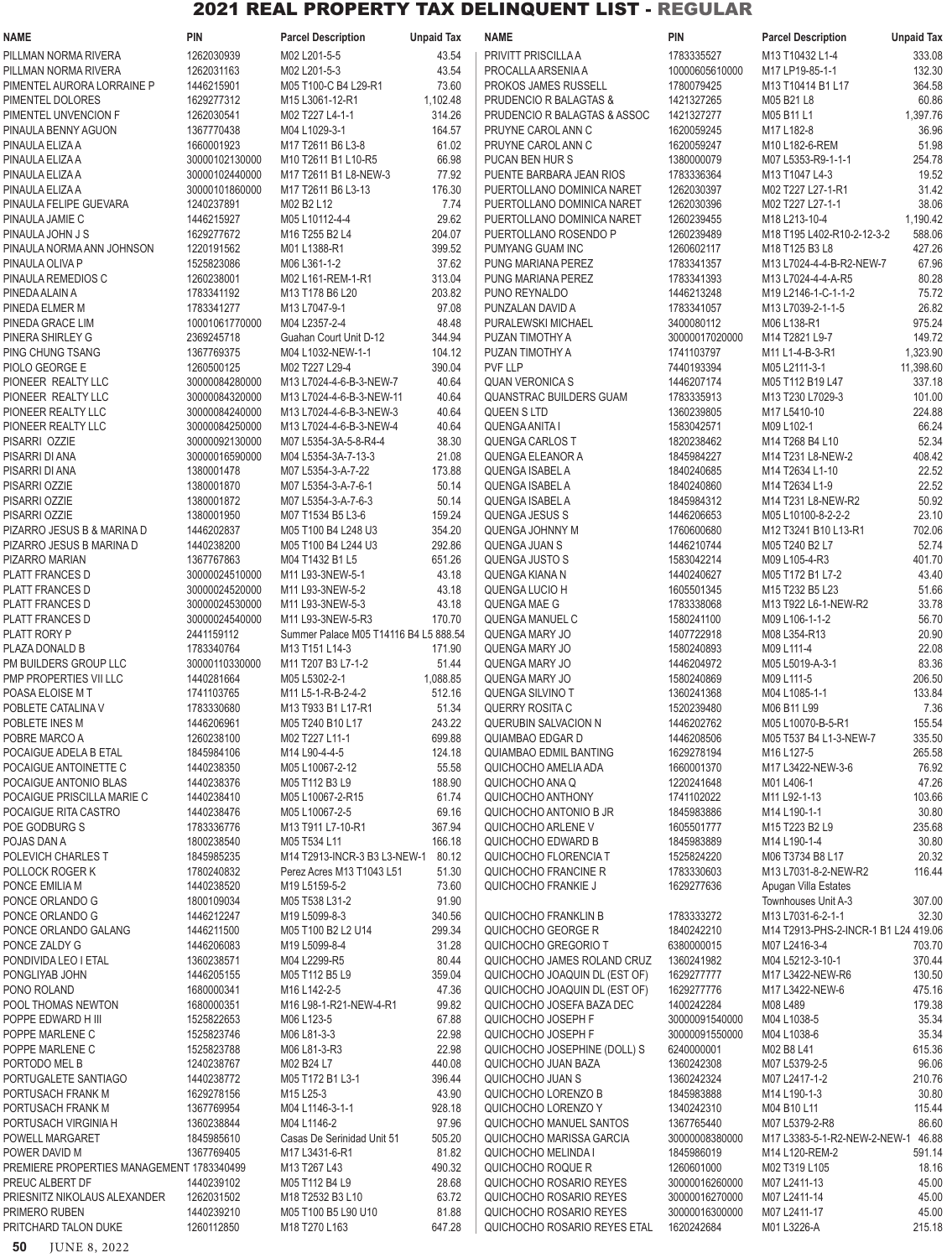| <b>NAME</b>                                | PIN                              | <b>Parcel Description</b>                    | <b>Unpaid Tax</b> | <b>NAME</b>                                            | <b>PIN</b>                   | <b>Parcel Description</b>                                       | <b>Unpaid Tax</b>  |
|--------------------------------------------|----------------------------------|----------------------------------------------|-------------------|--------------------------------------------------------|------------------------------|-----------------------------------------------------------------|--------------------|
| PILLMAN NORMA RIVERA                       | 1262030939                       | M02 L201-5-5                                 | 43.54             | PRIVITT PRISCILLA A                                    | 1783335527                   | M13 T10432 L1-4                                                 | 333.08             |
| PILLMAN NORMA RIVERA                       | 1262031163                       | M02 L201-5-3                                 | 43.54             | PROCALLA ARSENIA A                                     | 10000605610000               | M17 LP19-85-1-1                                                 | 132.30             |
| PIMENTEL AURORA LORRAINE P                 | 1446215901                       | M05 T100-C B4 L29-R1                         | 73.60             | PROKOS JAMES RUSSELL                                   | 1780079425                   | M13 T10414 B1 L17                                               | 364.58             |
| PIMENTEL DOLORES                           | 1629277312                       | M15 L3061-12-R1                              | 1,102.48          | PRUDENCIO R BALAGTAS &                                 | 1421327265                   | M05 B21 L8                                                      | 60.86              |
| PIMENTEL UNVENCION F                       | 1262030541                       | M02 T227 L4-1-1                              | 314.26            | PRUDENCIO R BALAGTAS & ASSOC                           | 1421327277                   | M05 B11 L1                                                      | 1,397.76           |
| PINAULA BENNY AGUON                        | 1367770438                       | M04 L1029-3-1                                | 164.57            | PRUYNE CAROL ANN C                                     | 1620059245                   | M17 L182-8                                                      | 36.96              |
| PINAULA ELIZA A                            | 1660001923                       | M17 T2611 B6 L3-8                            | 61.02             | PRUYNE CAROL ANN C                                     | 1620059247                   | M10 L182-6-REM                                                  | 51.98              |
| PINAULA ELIZA A<br>PINAULA ELIZA A         | 30000102130000<br>30000102440000 | M10 T2611 B1 L10-R5<br>M17 T2611 B1 L8-NEW-3 | 66.98<br>77.92    | PUCAN BEN HUR S<br>PUENTE BARBARA JEAN RIOS            | 1380000079<br>1783336364     | M07 L5353-R9-1-1-1<br>M13 T1047 L4-3                            | 254.78<br>19.52    |
| PINAULA ELIZA A                            | 30000101860000                   | M17 T2611 B6 L3-13                           | 176.30            | PUERTOLLANO DOMINICA NARET                             | 1262030397                   | M02 T227 L27-1-R1                                               | 31.42              |
| PINAULA FELIPE GUEVARA                     | 1240237891                       | M02 B2 L12                                   | 7.74              | PUERTOLLANO DOMINICA NARET                             | 1262030396                   | M02 T227 L27-1-1                                                | 38.06              |
| PINAULA JAMIE C                            | 1446215927                       | M05 L10112-4-4                               | 29.62             | PUERTOLLANO DOMINICA NARET                             | 1260239455                   | M18 L213-10-4                                                   | 1,190.42           |
| PINAULA JOHN J S                           | 1629277672                       | M16 T255 B2 L4                               | 204.07            | PUERTOLLANO ROSENDO P                                  | 1260239489                   | M18 T195 L402-R10-2-12-3-2                                      | 588.06             |
| PINAULA NORMA ANN JOHNSON                  | 1220191562                       | M01 L1388-R1                                 | 399.52            | PUMYANG GUAM INC                                       | 1260602117                   | M18 T125 B3 L8                                                  | 427.26             |
| PINAULA OLIVA P                            | 1525823086                       | M06 L361-1-2                                 | 37.62             | PUNG MARIANA PEREZ                                     | 1783341357                   | M13 L7024-4-4-B-R2-NEW-7                                        | 67.96              |
| PINAULA REMEDIOS C                         | 1260238001                       | M02 L161-REM-1-R1                            | 313.04            | PUNG MARIANA PEREZ                                     | 1783341393                   | M13 L7024-4-4-A-R5                                              | 80.28              |
| PINEDA ALAIN A                             | 1783341192                       | M13 T178 B6 L20                              | 203.82            | PUNO REYNALDO                                          | 1446213248                   | M19 L2146-1-C-1-1-2                                             | 75.72              |
| PINEDA ELMER M                             | 1783341277                       | M13 L7047-9-1                                | 97.08             | PUNZALAN DAVID A                                       | 1783341057                   | M13 L7039-2-1-1-5                                               | 26.82              |
| PINEDA GRACE LIM                           | 10001061770000                   | M04 L2357-2-4                                | 48.48             | PURALEWSKI MICHAEL                                     | 3400080112                   | M06 L138-R1                                                     | 975.24             |
| PINERA SHIRLEY G<br>PING CHUNG TSANG       | 2369245718<br>1367769375         | Guahan Court Unit D-12<br>M04 L1032-NEW-1-1  | 344.94<br>104.12  | PUZAN TIMOTHY A                                        | 30000017020000<br>1741103797 | M14 T2821 L9-7<br>M11 L1-4-B-3-R1                               | 149.72<br>1,323.90 |
| PIOLO GEORGE E                             | 1260500125                       | M02 T227 L29-4                               | 390.04            | PUZAN TIMOTHY A<br>PVF LLP                             | 7440193394                   | M05 L2111-3-1                                                   | 11,398.60          |
| PIONEER REALTY LLC                         | 30000084280000                   | M13 L7024-4-6-B-3-NEW-7                      | 40.64             | <b>QUAN VERONICA S</b>                                 | 1446207174                   | M05 T112 B19 L47                                                | 337.18             |
| PIONEER REALTY LLC                         | 30000084320000                   | M13 L7024-4-6-B-3-NEW-11                     | 40.64             | <b>QUANSTRAC BUILDERS GUAM</b>                         | 1783335913                   | M13 T230 L7029-3                                                | 101.00             |
| PIONEER REALTY LLC                         | 30000084240000                   | M13 L7024-4-6-B-3-NEW-3                      | 40.64             | <b>QUEEN S LTD</b>                                     | 1360239805                   | M17 L5410-10                                                    | 224.88             |
| PIONEER REALTY LLC                         | 30000084250000                   | M13 L7024-4-6-B-3-NEW-4                      | 40.64             | <b>QUENGA ANITA I</b>                                  | 1583042571                   | M09 L102-1                                                      | 66.24              |
| PISARRI OZZIE                              | 30000092130000                   | M07 L5354-3A-5-8-R4-4                        | 38.30             | <b>QUENGA CARLOS T</b>                                 | 1820238462                   | M14 T268 B4 L10                                                 | 52.34              |
| PISARRI DI ANA                             | 30000016590000                   | M04 L5354-3A-7-13-3                          | 21.08             | <b>QUENGA ELEANOR A</b>                                | 1845984227                   | M14 T231 L8-NEW-2                                               | 408.42             |
| PISARRI DI ANA                             | 1380001478                       | M07 L5354-3-A-7-22                           | 173.88            | <b>QUENGA ISABEL A</b>                                 | 1840240685                   | M14 T2634 L1-10                                                 | 22.52              |
| PISARRI OZZIE                              | 1380001870                       | M07 L5354-3-A-7-6-1                          | 50.14             | QUENGA ISABEL A                                        | 1840240860                   | M14 T2634 L1-9                                                  | 22.52              |
| PISARRI OZZIE                              | 1380001872                       | M07 L5354-3-A-7-6-3                          | 50.14             | QUENGA ISABEL A                                        | 1845984312                   | M14 T231 L8-NEW-R2                                              | 50.92              |
| PISARRI OZZIE                              | 1380001950                       | M07 T1534 B5 L3-6                            | 159.24            | <b>QUENGA JESUS S</b>                                  | 1446206653                   | M05 L10100-8-2-2-2                                              | 23.10              |
| PIZARRO JESUS B & MARINA D                 | 1446202837<br>1440238200         | M05 T100 B4 L248 U3                          | 354.20            | <b>QUENGA JOHNNY M</b>                                 | 1760600680<br>1446210744     | M12 T3241 B10 L13-R1                                            | 702.06<br>52.74    |
| PIZARRO JESUS B MARINA D<br>PIZARRO MARIAN | 1367767863                       | M05 T100 B4 L244 U3<br>M04 T1432 B1 L5       | 292.86<br>651.26  | QUENGA JUAN S<br><b>QUENGA JUSTO S</b>                 | 1583042214                   | M05 T240 B2 L7<br>M09 L105-4-R3                                 | 401.70             |
| <b>PLATT FRANCES D</b>                     | 30000024510000                   | M11 L93-3NEW-5-1                             | 43.18             | QUENGA KIANA N                                         | 1440240627                   | M05 T172 B1 L7-2                                                | 43.40              |
| <b>PLATT FRANCES D</b>                     | 30000024520000                   | M11 L93-3NEW-5-2                             | 43.18             | QUENGA LUCIO H                                         | 1605501345                   | M <sub>15</sub> T <sub>232</sub> B <sub>5</sub> L <sub>23</sub> | 51.66              |
| <b>PLATT FRANCES D</b>                     | 30000024530000                   | M11 L93-3NEW-5-3                             | 43.18             | QUENGA MAE G                                           | 1783338068                   | M13 T922 L6-1-NEW-R2                                            | 33.78              |
| <b>PLATT FRANCES D</b>                     | 30000024540000                   | M11 L93-3NEW-5-R3                            | 170.70            | QUENGA MANUEL C                                        | 1580241100                   | M09 L106-1-1-2                                                  | 56.70              |
| PLATT RORY P                               | 2441159112                       | Summer Palace M05 T14116 B4 L5 888.54        |                   | QUENGA MARY JO                                         | 1407722918                   | M08 L354-R13                                                    | 20.90              |
| PLAZA DONALD B                             | 1783340764                       | M13 T151 L14-3                               | 171.90            | QUENGA MARY JO                                         | 1580240893                   | M09 L111-4                                                      | 22.08              |
| PM BUILDERS GROUP LLC                      | 30000110330000                   | M11 T207 B3 L7-1-2                           | 51.44             | QUENGA MARY JO                                         | 1446204972                   | M05 L5019-A-3-1                                                 | 83.36              |
| PMP PROPERTIES VII LLC                     | 1440281664                       | M05 L5302-2-1                                | 1,088.85          | QUENGA MARY JO                                         | 1580240869                   | M09 L111-5                                                      | 206.50             |
| POASA ELOISE M T                           | 1741103765                       | M11 L5-1-R-B-2-4-2                           | 512.16            | QUENGA SILVINO T                                       | 1360241368                   | M04 L1085-1-1                                                   | 133.84             |
| POBLETE CATALINA V                         | 1783330680                       | M13 T933 B1 L17-R1                           | 51.34             | QUERRY ROSITA C                                        | 1520239480                   | M06 B11 L99                                                     | 7.36               |
| POBLETE INES M<br>POBRE MARCO A            | 1446206961<br>1260238100         | M05 T240 B10 L17<br>M02 T227 L11-1           | 243.22<br>699.88  | <b>QUERUBIN SALVACION N</b><br><b>QUIAMBAO EDGAR D</b> | 1446202762<br>1446208506     | M05 L10070-B-5-R1<br>M05 T537 B4 L1-3-NEW-7                     | 155.54<br>335.50   |
| POCAIGUE ADELA B ETAL                      | 1845984106                       | M14 L90-4-4-5                                | 124.18            | <b>QUIAMBAO EDMIL BANTING</b>                          | 1629278194                   | M16 L127-5                                                      | 265.58             |
| POCAIGUE ANTOINETTE C                      | 1440238350                       | M05 L10067-2-12                              | 55.58             | QUICHOCHO AMELIA ADA                                   | 1660001370                   | M17 L3422-NEW-3-6                                               | 76.92              |
| POCAIGUE ANTONIO BLAS                      | 1440238376                       | M05 T112 B3 L9                               | 188.90            | QUICHOCHO ANA Q                                        | 1220241648                   | M01 L406-1                                                      | 47.26              |
| POCAIGUE PRISCILLA MARIE C                 | 1440238410                       | M05 L10067-2-R15                             | 61.74             | QUICHOCHO ANTHONY                                      | 1741102022                   | M11 L92-1-13                                                    | 103.66             |
| POCAIGUE RITA CASTRO                       | 1440238476                       | M05 L10067-2-5                               | 69.16             | QUICHOCHO ANTONIO B JR                                 | 1845983886                   | M14 L190-1-1                                                    | 30.80              |
| POE GODBURG S                              | 1783336776                       | M13 T911 L7-10-R1                            | 367.94            | QUICHOCHO ARLENE V                                     | 1605501777                   | M15 T223 B2 L9                                                  | 235.68             |
| POJAS DAN A                                | 1800238540                       | M05 T534 L11                                 | 166.18            | QUICHOCHO EDWARD B                                     | 1845983889                   | M14 L190-1-4                                                    | 30.80              |
| POLEVICH CHARLES T                         | 1845985235                       | M14 T2913-INCR-3 B3 L3-NEW-1                 | 80.12             | QUICHOCHO FLORENCIA T                                  | 1525824220                   | M06 T3734 B8 L17                                                | 20.32              |
| POLLOCK ROGER K                            | 1780240832                       | Perez Acres M13 T1043 L51                    | 51.30             | QUICHOCHO FRANCINE R                                   | 1783330603                   | M13 L7031-8-2-NEW-R2                                            | 116.44             |
| PONCE EMILIA M                             | 1440238520<br>1800109034         | M19 L5159-5-2                                | 73.60             | QUICHOCHO FRANKIE J                                    | 1629277636                   | Apugan Villa Estates                                            |                    |
| PONCE ORLANDO G<br>PONCE ORLANDO G         | 1446212247                       | M05 T538 L31-2<br>M19 L5099-8-3              | 91.90<br>340.56   | QUICHOCHO FRANKLIN B                                   | 1783333272                   | Townhouses Unit A-3<br>M13 L7031-6-2-1-1                        | 307.00<br>32.30    |
| PONCE ORLANDO GALANG                       | 1446211500                       | M05 T100 B2 L2 U14                           | 299.34            | QUICHOCHO GEORGE R                                     | 1840242210                   | M14 T2913-PHS-2-INCR-1 B1 L24 419.06                            |                    |
| PONCE ZALDY G                              | 1446206083                       | M19 L5099-8-4                                | 31.28             | QUICHOCHO GREGORIO T                                   | 6380000015                   | M07 L2416-3-4                                                   | 703.70             |
| PONDIVIDA LEO I ETAL                       | 1360238571                       | M04 L2299-R5                                 | 80.44             | QUICHOCHO JAMES ROLAND CRUZ                            | 1360241982                   | M04 L5212-3-10-1                                                | 370.44             |
| PONGLIYAB JOHN                             | 1446205155                       | M05 T112 B5 L9                               | 359.04            | QUICHOCHO JOAQUIN DL (EST OF)                          | 1629277777                   | M17 L3422-NEW-R6                                                | 130.50             |
| PONO ROLAND                                | 1680000341                       | M16 L142-2-5                                 | 47.36             | QUICHOCHO JOAQUIN DL (EST OF)                          | 1629277776                   | M17 L3422-NEW-6                                                 | 475.16             |
| POOL THOMAS NEWTON                         | 1680000351                       | M16 L98-1-R21-NEW-4-R1                       | 99.82             | QUICHOCHO JOSEFA BAZA DEC                              | 1400242284                   | M08 L489                                                        | 179.38             |
| POPPE EDWARD H III                         | 1525822653                       | M06 L123-5                                   | 67.88             | QUICHOCHO JOSEPH F                                     | 30000091540000               | M04 L1038-5                                                     | 35.34              |
| POPPE MARLENE C                            | 1525823746                       | M06 L81-3-3                                  | 22.98             | QUICHOCHO JOSEPH F                                     | 30000091550000               | M04 L1038-6                                                     | 35.34              |
| POPPE MARLENE C                            | 1525823788                       | M06 L81-3-R3                                 | 22.98             | QUICHOCHO JOSEPHINE (DOLL) S                           | 6240000001                   | M02 B8 L41                                                      | 615.36             |
| PORTODO MEL B                              | 1240238767                       | M02 B24 L7                                   | 440.08            | QUICHOCHO JUAN BAZA                                    | 1360242308                   | M07 L5379-2-5                                                   | 96.06              |
| PORTUGALETE SANTIAGO<br>PORTUSACH FRANK M  | 1440238772<br>1629278156         | M05 T172 B1 L3-1<br>M15 L25-3                | 396.44<br>43.90   | QUICHOCHO JUAN S<br>QUICHOCHO LORENZO B                | 1360242324<br>1845983888     | M07 L2417-1-2<br>M14 L190-1-3                                   | 210.76<br>30.80    |
| PORTUSACH FRANK M                          | 1367769954                       | M04 L1146-3-1-1                              | 928.18            | QUICHOCHO LORENZO Y                                    | 1340242310                   | M04 B10 L11                                                     | 115.44             |
| PORTUSACH VIRGINIA H                       | 1360238844                       | M04 L1146-2                                  | 97.96             | QUICHOCHO MANUEL SANTOS                                | 1367765440                   | M07 L5379-2-R8                                                  | 86.60              |
| POWELL MARGARET                            | 1845985610                       | Casas De Serinidad Unit 51                   | 505.20            | QUICHOCHO MARISSA GARCIA                               | 30000008380000               | M17 L3383-5-1-R2-NEW-2-NEW-1 46.88                              |                    |
| POWER DAVID M                              | 1367769405                       | M17 L3431-6-R1                               | 81.82             | QUICHOCHO MELINDA I                                    | 1845986019                   | M14 L120-REM-2                                                  | 591.14             |
| PREMIERE PROPERTIES MANAGEMENT 1783340499  |                                  | M13 T267 L43                                 | 490.32            | QUICHOCHO ROQUE R                                      | 1260601000                   | M02 T319 L105                                                   | 18.16              |
| PREUC ALBERT DF                            | 1440239102                       | M05 T112 B4 L9                               | 28.68             | QUICHOCHO ROSARIO REYES                                | 30000016260000               | M07 L2411-13                                                    | 45.00              |
| PRIESNITZ NIKOLAUS ALEXANDER               | 1262031502                       | M18 T2532 B3 L10                             | 63.72             | QUICHOCHO ROSARIO REYES                                | 30000016270000               | M07 L2411-14                                                    | 45.00              |
| PRIMERO RUBEN                              | 1440239210                       | M05 T100 B5 L90 U10                          | 81.88             | QUICHOCHO ROSARIO REYES                                | 30000016300000               | M07 L2411-17                                                    | 45.00              |
| PRITCHARD TALON DUKE                       | 1260112850                       | M18 T270 L163                                | 647.28            | QUICHOCHO ROSARIO REYES ETAL                           | 1620242684                   | M01 L3226-A                                                     | 215.18             |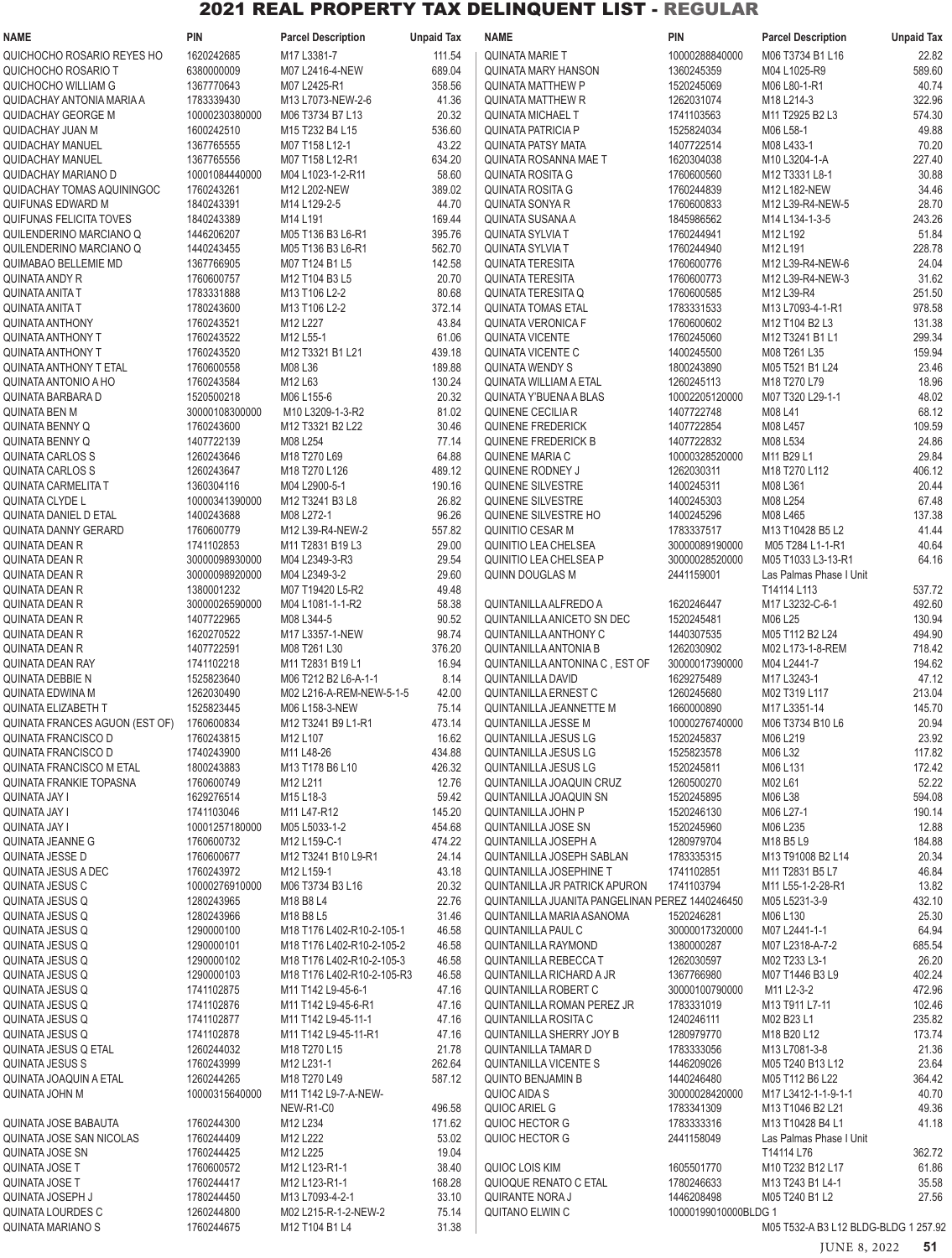| <b>NAME</b>                                          | <b>PIN</b>                   | <b>Parcel Description</b>                               | <b>Unpaid Tax</b> | <b>NAME</b>                                            | <b>PIN</b>                   | <b>Parcel Description</b>            | <b>Unpaid Tax</b> |
|------------------------------------------------------|------------------------------|---------------------------------------------------------|-------------------|--------------------------------------------------------|------------------------------|--------------------------------------|-------------------|
| QUICHOCHO ROSARIO REYES HO                           | 1620242685                   | M17 L3381-7                                             | 111.54            | <b>QUINATA MARIE T</b>                                 | 10000288840000               | M06 T3734 B1 L16                     | 22.82             |
| QUICHOCHO ROSARIO T                                  | 6380000009                   | M07 L2416-4-NEW                                         | 689.04            | <b>QUINATA MARY HANSON</b>                             | 1360245359                   | M04 L1025-R9                         | 589.60            |
| QUICHOCHO WILLIAM G                                  | 1367770643                   | M07 L2425-R1                                            | 358.56            | <b>QUINATA MATTHEW P</b>                               | 1520245069                   | M06 L80-1-R1                         | 40.74             |
| QUIDACHAY ANTONIA MARIA A                            | 1783339430                   | M13 L7073-NEW-2-6                                       | 41.36             | <b>QUINATA MATTHEW R</b>                               | 1262031074                   | M18 L214-3                           | 322.96            |
| <b>QUIDACHAY GEORGE M</b><br>QUIDACHAY JUAN M        | 10000230380000<br>1600242510 | M06 T3734 B7 L13<br>M15 T232 B4 L15                     | 20.32<br>536.60   | <b>QUINATA MICHAEL T</b><br>QUINATA PATRICIA P         | 1741103563<br>1525824034     | M11 T2925 B2 L3<br>M06 L58-1         | 574.30<br>49.88   |
| <b>QUIDACHAY MANUEL</b>                              | 1367765555                   | M07 T158 L12-1                                          | 43.22             | <b>QUINATA PATSY MATA</b>                              | 1407722514                   | M08 L433-1                           | 70.20             |
| <b>QUIDACHAY MANUEL</b>                              | 1367765556                   | M07 T158 L12-R1                                         | 634.20            | QUINATA ROSANNA MAE T                                  | 1620304038                   | M10 L3204-1-A                        | 227.40            |
| QUIDACHAY MARIANO D                                  | 10001084440000               | M04 L1023-1-2-R11                                       | 58.60             | <b>QUINATA ROSITA G</b>                                | 1760600560                   | M12 T3331 L8-1                       | 30.88             |
| QUIDACHAY TOMAS AQUININGOC                           | 1760243261                   | M12 L202-NEW                                            | 389.02            | <b>QUINATA ROSITA G</b>                                | 1760244839                   | M12 L182-NEW                         | 34.46             |
| QUIFUNAS EDWARD M                                    | 1840243391                   | M14 L129-2-5                                            | 44.70             | <b>QUINATA SONYA R</b>                                 | 1760600833                   | M12 L39-R4-NEW-5                     | 28.70             |
| QUIFUNAS FELICITA TOVES                              | 1840243389                   | M14 L191                                                | 169.44            | QUINATA SUSANA A                                       | 1845986562                   | M14 L134-1-3-5                       | 243.26            |
| QUILENDERINO MARCIANO Q                              | 1446206207                   | M05 T136 B3 L6-R1                                       | 395.76            | <b>QUINATA SYLVIA T</b>                                | 1760244941                   | M12 L192                             | 51.84             |
| QUILENDERINO MARCIANO Q<br>QUIMABAO BELLEMIE MD      | 1440243455<br>1367766905     | M05 T136 B3 L6-R1<br>M07 T124 B1 L5                     | 562.70<br>142.58  | <b>QUINATA SYLVIA T</b><br><b>QUINATA TERESITA</b>     | 1760244940<br>1760600776     | M12 L191<br>M12 L39-R4-NEW-6         | 228.78<br>24.04   |
| <b>QUINATA ANDY R</b>                                | 1760600757                   | M12 T104 B3 L5                                          | 20.70             | <b>QUINATA TERESITA</b>                                | 1760600773                   | M12 L39-R4-NEW-3                     | 31.62             |
| QUINATA ANITA T                                      | 1783331888                   | M13 T106 L2-2                                           | 80.68             | QUINATA TERESITA Q                                     | 1760600585                   | M12 L39-R4                           | 251.50            |
| <b>QUINATA ANITA T</b>                               | 1780243600                   | M13 T106 L2-2                                           | 372.14            | <b>QUINATA TOMAS ETAL</b>                              | 1783331533                   | M13 L7093-4-1-R1                     | 978.58            |
| <b>QUINATA ANTHONY</b>                               | 1760243521                   | M12 L227                                                | 43.84             | <b>QUINATA VERONICA F</b>                              | 1760600602                   | M12 T104 B2 L3                       | 131.38            |
| QUINATA ANTHONY T                                    | 1760243522                   | M12 L55-1                                               | 61.06             | <b>QUINATA VICENTE</b>                                 | 1760245060                   | M12 T3241 B1 L1                      | 299.34            |
| <b>QUINATA ANTHONY T</b>                             | 1760243520                   | M12 T3321 B1 L21                                        | 439.18            | <b>QUINATA VICENTE C</b>                               | 1400245500                   | M08 T261 L35                         | 159.94            |
| <b>QUINATA ANTHONY T ETAL</b>                        | 1760600558                   | M08 L36                                                 | 189.88            | <b>QUINATA WENDY S</b>                                 | 1800243890                   | M05 T521 B1 L24                      | 23.46             |
| QUINATA ANTONIO A HO<br>QUINATA BARBARA D            | 1760243584                   | M12 L63<br>M06 L155-6                                   | 130.24<br>20.32   | QUINATA WILLIAM A ETAL<br>QUINATA Y'BUENA A BLAS       | 1260245113<br>10002205120000 | M18 T270 L79<br>M07 T320 L29-1-1     | 18.96             |
| <b>QUINATA BEN M</b>                                 | 1520500218<br>30000108300000 | M10 L3209-1-3-R2                                        | 81.02             | QUINENE CECILIA R                                      | 1407722748                   | M08 L41                              | 48.02<br>68.12    |
| <b>QUINATA BENNY Q</b>                               | 1760243600                   | M12 T3321 B2 L22                                        | 30.46             | <b>QUINENE FREDERICK</b>                               | 1407722854                   | M08 L457                             | 109.59            |
| <b>QUINATA BENNY Q</b>                               | 1407722139                   | M08 L254                                                | 77.14             | <b>QUINENE FREDERICK B</b>                             | 1407722832                   | M08 L534                             | 24.86             |
| <b>QUINATA CARLOS S</b>                              | 1260243646                   | M18 T270 L69                                            | 64.88             | QUINENE MARIA C                                        | 10000328520000               | M11 B29 L1                           | 29.84             |
| <b>QUINATA CARLOS S</b>                              | 1260243647                   | M18 T270 L126                                           | 489.12            | QUINENE RODNEY J                                       | 1262030311                   | M18 T270 L112                        | 406.12            |
| QUINATA CARMELITA T                                  | 1360304116                   | M04 L2900-5-1                                           | 190.16            | <b>QUINENE SILVESTRE</b>                               | 1400245311                   | M08 L361                             | 20.44             |
| QUINATA CLYDE L                                      | 10000341390000               | M12 T3241 B3 L8                                         | 26.82             | QUINENE SILVESTRE                                      | 1400245303                   | M08 L254                             | 67.48             |
| <b>QUINATA DANIEL D ETAL</b>                         | 1400243688                   | M08 L272-1                                              | 96.26             | QUINENE SILVESTRE HO                                   | 1400245296                   | M08 L465                             | 137.38            |
| <b>QUINATA DANNY GERARD</b><br><b>QUINATA DEAN R</b> | 1760600779<br>1741102853     | M12 L39-R4-NEW-2<br>M11 T2831 B19 L3                    | 557.82<br>29.00   | <b>QUINITIO CESAR M</b><br><b>QUINITIO LEA CHELSEA</b> | 1783337517<br>30000089190000 | M13 T10428 B5 L2<br>M05 T284 L1-1-R1 | 41.44<br>40.64    |
| <b>QUINATA DEAN R</b>                                | 30000098930000               | M04 L2349-3-R3                                          | 29.54             | QUINITIO LEA CHELSEA P                                 | 30000028520000               | M05 T1033 L3-13-R1                   | 64.16             |
| <b>QUINATA DEAN R</b>                                | 30000098920000               | M04 L2349-3-2                                           | 29.60             | <b>QUINN DOUGLAS M</b>                                 | 2441159001                   | Las Palmas Phase I Unit              |                   |
| <b>QUINATA DEAN R</b>                                | 1380001232                   | M07 T19420 L5-R2                                        | 49.48             |                                                        |                              | T14114 L113                          | 537.72            |
| <b>QUINATA DEAN R</b>                                | 30000026590000               | M04 L1081-1-1-R2                                        | 58.38             | QUINTANILLA ALFREDO A                                  | 1620246447                   | M17 L3232-C-6-1                      | 492.60            |
| <b>QUINATA DEAN R</b>                                | 1407722965                   | M08 L344-5                                              | 90.52             | QUINTANILLA ANICETO SN DEC                             | 1520245481                   | M06 L25                              | 130.94            |
| <b>QUINATA DEAN R</b>                                | 1620270522                   | M17 L3357-1-NEW                                         | 98.74             | QUINTANILLA ANTHONY C                                  | 1440307535                   | M05 T112 B2 L24                      | 494.90            |
| <b>QUINATA DEAN R</b>                                | 1407722591                   | M08 T261 L30                                            | 376.20            | <b>QUINTANILLA ANTONIA B</b>                           | 1262030902                   | M02 L173-1-8-REM                     | 718.42            |
| QUINATA DEAN RAY<br><b>QUINATA DEBBIE N</b>          | 1741102218<br>1525823640     | M11 T2831 B19 L1<br>M06 T212 B2 L6-A-1-1                | 16.94<br>8.14     | QUINTANILLA ANTONINA C, EST OF<br>QUINTANILLA DAVID    | 30000017390000<br>1629275489 | M04 L2441-7<br>M17 L3243-1           | 194.62<br>47.12   |
| QUINATA EDWINA M                                     | 1262030490                   | M02 L216-A-REM-NEW-5-1-5                                | 42.00             | <b>QUINTANILLA ERNEST C</b>                            | 1260245680                   | M02 T319 L117                        | 213.04            |
| <b>QUINATA ELIZABETH T</b>                           | 1525823445                   | M06 L158-3-NEW                                          | 75.14             | QUINTANILLA JEANNETTE M                                | 1660000890                   | M17 L3351-14                         | 145.70            |
| QUINATA FRANCES AGUON (EST OF)                       | 1760600834                   | M12 T3241 B9 L1-R1                                      | 473.14            | <b>QUINTANILLA JESSE M</b>                             | 10000276740000               | M06 T3734 B10 L6                     | 20.94             |
| <b>QUINATA FRANCISCO D</b>                           | 1760243815                   | M12 L107                                                | 16.62             | QUINTANILLA JESUS LG                                   | 1520245837                   | M06 L219                             | 23.92             |
| <b>QUINATA FRANCISCO D</b>                           | 1740243900                   | M11 L48-26                                              | 434.88            | <b>QUINTANILLA JESUS LG</b>                            | 1525823578                   | M06 L32                              | 117.82            |
| <b>QUINATA FRANCISCO M ETAL</b>                      | 1800243883                   | M13 T178 B6 L10                                         | 426.32            | QUINTANILLA JESUS LG                                   | 1520245811                   | M06 L131                             | 172.42            |
| QUINATA FRANKIE TOPASNA                              | 1760600749                   | M12 L211                                                | 12.76             | QUINTANILLA JOAQUIN CRUZ                               | 1260500270                   | M02 L61                              | 52.22             |
| <b>QUINATA JAY I</b>                                 | 1629276514                   | M <sub>15</sub> L <sub>18</sub> -3                      | 59.42             | QUINTANILLA JOAQUIN SN                                 | 1520245895                   | M06 L38                              | 594.08            |
| <b>QUINATA JAY I</b><br><b>QUINATA JAY I</b>         | 1741103046<br>10001257180000 | M11 L47-R12<br>M05 L5033-1-2                            | 145.20<br>454.68  | <b>QUINTANILLA JOHN P</b><br>QUINTANILLA JOSE SN       | 1520246130<br>1520245960     | M06 L27-1<br>M06 L235                | 190.14<br>12.88   |
| <b>QUINATA JEANNE G</b>                              | 1760600732                   | M12 L159-C-1                                            | 474.22            | QUINTANILLA JOSEPH A                                   | 1280979704                   | M18 B5 L9                            | 184.88            |
| <b>QUINATA JESSE D</b>                               | 1760600677                   | M12 T3241 B10 L9-R1                                     | 24.14             | QUINTANILLA JOSEPH SABLAN                              | 1783335315                   | M13 T91008 B2 L14                    | 20.34             |
| QUINATA JESUS A DEC                                  | 1760243972                   | M12 L159-1                                              | 43.18             | QUINTANILLA JOSEPHINE T                                | 1741102851                   | M11 T2831 B5 L7                      | 46.84             |
| QUINATA JESUS C                                      | 10000276910000               | M06 T3734 B3 L16                                        | 20.32             | QUINTANILLA JR PATRICK APURON                          | 1741103794                   | M11 L55-1-2-28-R1                    | 13.82             |
| QUINATA JESUS Q                                      | 1280243965                   | M18 B8 L4                                               | 22.76             | QUINTANILLA JUANITA PANGELINAN PEREZ 1440246450        |                              | M05 L5231-3-9                        | 432.10            |
| QUINATA JESUS Q                                      | 1280243966                   | M18 B8 L5                                               | 31.46             | QUINTANILLA MARIA ASANOMA                              | 1520246281                   | M06 L130                             | 25.30             |
| QUINATA JESUS Q                                      | 1290000100                   | M18 T176 L402-R10-2-105-1                               | 46.58             | <b>QUINTANILLA PAUL C</b>                              | 30000017320000               | M07 L2441-1-1                        | 64.94             |
| QUINATA JESUS Q<br>QUINATA JESUS Q                   | 1290000101<br>1290000102     | M18 T176 L402-R10-2-105-2<br>M18 T176 L402-R10-2-105-3  | 46.58<br>46.58    | QUINTANILLA RAYMOND<br><b>QUINTANILLA REBECCA T</b>    | 1380000287<br>1262030597     | M07 L2318-A-7-2<br>M02 T233 L3-1     | 685.54<br>26.20   |
| QUINATA JESUS Q                                      | 1290000103                   | M18 T176 L402-R10-2-105-R3                              | 46.58             | QUINTANILLA RICHARD A JR                               | 1367766980                   | M07 T1446 B3 L9                      | 402.24            |
| QUINATA JESUS Q                                      | 1741102875                   | M <sub>11</sub> T <sub>142</sub> L <sub>9</sub> -45-6-1 | 47.16             | QUINTANILLA ROBERT C                                   | 30000100790000               | M11 L2-3-2                           | 472.96            |
| QUINATA JESUS Q                                      | 1741102876                   | M11 T142 L9-45-6-R1                                     | 47.16             | QUINTANILLA ROMAN PEREZ JR                             | 1783331019                   | M13 T911 L7-11                       | 102.46            |
| QUINATA JESUS Q                                      | 1741102877                   | M11 T142 L9-45-11-1                                     | 47.16             | QUINTANILLA ROSITA C                                   | 1240246111                   | M02 B23 L1                           | 235.82            |
| QUINATA JESUS Q                                      | 1741102878                   | M11 T142 L9-45-11-R1                                    | 47.16             | <b>QUINTANILLA SHERRY JOY B</b>                        | 1280979770                   | M18 B20 L12                          | 173.74            |
| QUINATA JESUS Q ETAL                                 | 1260244032                   | M18 T270 L15                                            | 21.78             | <b>QUINTANILLA TAMAR D</b>                             | 1783333056                   | M13 L7081-3-8                        | 21.36             |
| <b>QUINATA JESUS S</b>                               | 1760243999                   | M12 L231-1                                              | 262.64            | <b>QUINTANILLA VICENTE S</b>                           | 1446209026                   | M05 T240 B13 L12                     | 23.64             |
| QUINATA JOAQUIN A ETAL                               | 1260244265                   | M18 T270 L49                                            | 587.12            | <b>QUINTO BENJAMIN B</b>                               | 1440246480                   | M05 T112 B6 L22                      | 364.42            |
| QUINATA JOHN M                                       | 10000315640000               | M11 T142 L9-7-A-NEW-                                    |                   | QUIOC AIDA S                                           | 30000028420000               | M17 L3412-1-1-9-1-1                  | 40.70<br>49.36    |
| QUINATA JOSE BABAUTA                                 | 1760244300                   | NEW-R1-C0<br>M12 L234                                   | 496.58<br>171.62  | QUIOC ARIEL G<br>QUIOC HECTOR G                        | 1783341309<br>1783333316     | M13 T1046 B2 L21<br>M13 T10428 B4 L1 | 41.18             |
| QUINATA JOSE SAN NICOLAS                             | 1760244409                   | M12 L222                                                | 53.02             | QUIOC HECTOR G                                         | 2441158049                   | Las Palmas Phase I Unit              |                   |
| <b>QUINATA JOSE SN</b>                               | 1760244425                   | M12 L225                                                | 19.04             |                                                        |                              | T14114 L76                           | 362.72            |
| QUINATA JOSE T                                       | 1760600572                   | M12 L123-R1-1                                           | 38.40             | QUIOC LOIS KIM                                         | 1605501770                   | M10 T232 B12 L17                     | 61.86             |
| QUINATA JOSE T                                       | 1760244417                   | M12 L123-R1-1                                           | 168.28            | QUIOQUE RENATO C ETAL                                  | 1780246633                   | M13 T243 B1 L4-1                     | 35.58             |
| QUINATA JOSEPH J                                     | 1780244450                   | M13 L7093-4-2-1                                         | 33.10             | <b>QUIRANTE NORA J</b>                                 | 1446208498                   | M05 T240 B1 L2                       | 27.56             |
| <b>QUINATA LOURDES C</b>                             | 1260244800                   | M02 L215-R-1-2-NEW-2                                    | 75.14             | QUITANO ELWIN C                                        | 10000199010000BLDG 1         |                                      |                   |
| <b>QUINATA MARIANO S</b>                             | 1760244675                   | M12 T104 B1 L4                                          | 31.38             |                                                        |                              | M05 T532-A B3 L12 BLDG-BLDG 1 257.92 |                   |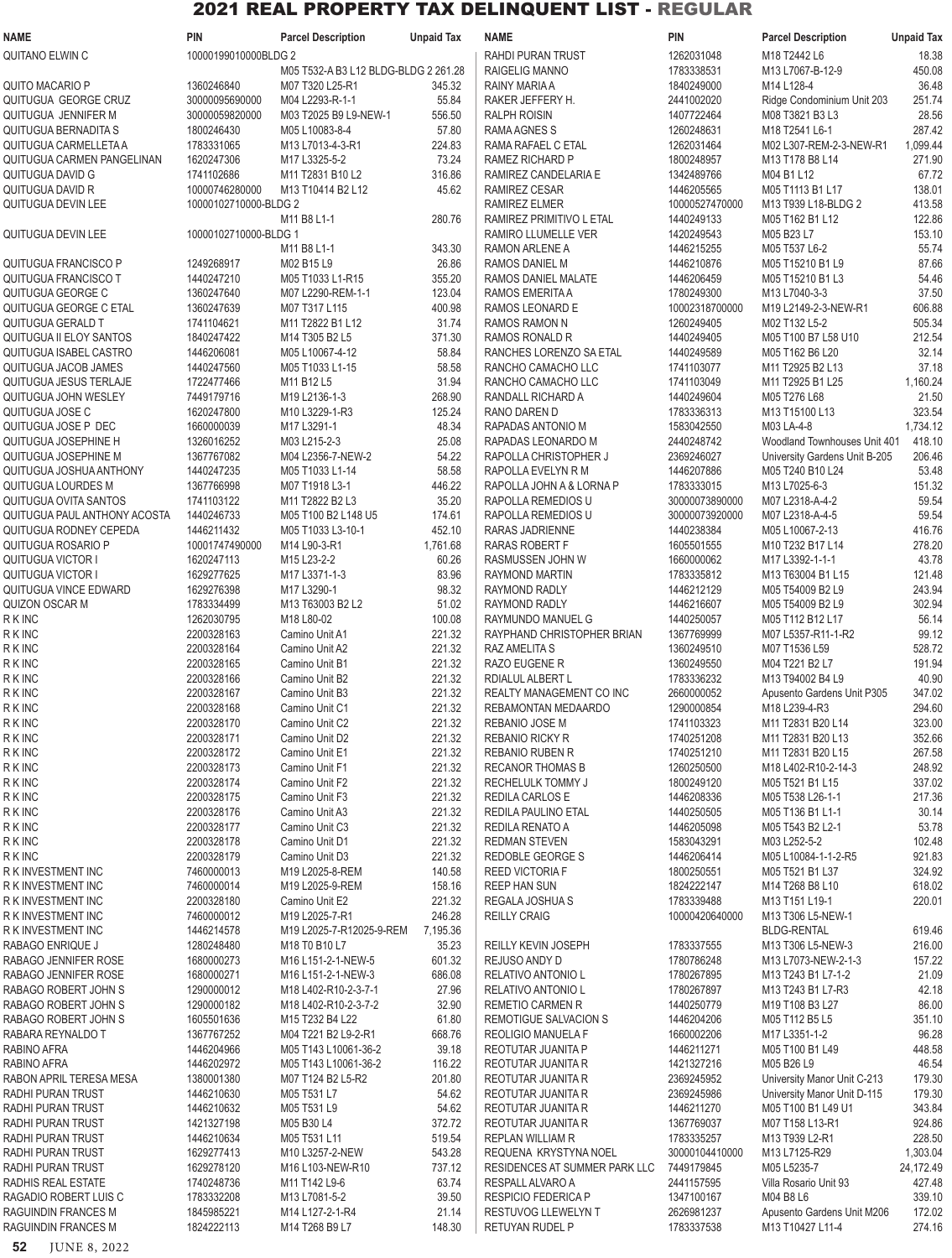| NAME                         | PIN                      | <b>Parcel Description</b>            | <b>Unpaid Tax</b> | <b>NAME</b>                                     | PIN                      | <b>Parcel Description</b>                   | <b>Unpaid Tax</b> |
|------------------------------|--------------------------|--------------------------------------|-------------------|-------------------------------------------------|--------------------------|---------------------------------------------|-------------------|
| QUITANO ELWIN C              | 10000199010000BLDG 2     |                                      |                   | RAHDI PURAN TRUST                               | 1262031048               | M18 T2442 L6                                | 18.38             |
|                              |                          | M05 T532-A B3 L12 BLDG-BLDG 2 261.28 |                   | RAIGELIG MANNO                                  | 1783338531               | M13 L7067-B-12-9                            | 450.08            |
| <b>QUITO MACARIO P</b>       | 1360246840               | M07 T320 L25-R1                      | 345.32            | RAINY MARIA A                                   | 1840249000               | M14 L128-4                                  | 36.48             |
| QUITUGUA GEORGE CRUZ         | 30000095690000           | M04 L2293-R-1-1                      | 55.84             | RAKER JEFFERY H.                                | 2441002020               | Ridge Condominium Unit 203                  | 251.74            |
| QUITUGUA JENNIFER M          | 30000059820000           | M03 T2025 B9 L9-NEW-1                | 556.50            | <b>RALPH ROISIN</b>                             | 1407722464               | M08 T3821 B3 L3                             | 28.56             |
| QUITUGUA BERNADITA S         | 1800246430               | M05 L10083-8-4                       | 57.80             | RAMA AGNES S                                    | 1260248631               | M18 T2541 L6-1                              | 287.42            |
| QUITUGUA CARMELLETA A        | 1783331065               | M13 L7013-4-3-R1                     | 224.83            | RAMA RAFAEL C ETAL                              | 1262031464               | M02 L307-REM-2-3-NEW-R1                     | 1,099.44          |
| QUITUGUA CARMEN PANGELINAN   | 1620247306               | M17 L3325-5-2                        | 73.24             | RAMEZ RICHARD P                                 | 1800248957               | M13 T178 B8 L14                             | 271.90            |
| QUITUGUA DAVID G             | 1741102686               | M11 T2831 B10 L2                     | 316.86            | RAMIREZ CANDELARIA E                            | 1342489766               | M04 B1 L12                                  | 67.72             |
| QUITUGUA DAVID R             | 10000746280000           | M13 T10414 B2 L12                    | 45.62             | RAMIREZ CESAR                                   | 1446205565               | M05 T1113 B1 L17                            | 138.01            |
| QUITUGUA DEVIN LEE           | 10000102710000-BLDG 2    |                                      |                   | RAMIREZ ELMER                                   | 10000527470000           | M13 T939 L18-BLDG 2                         | 413.58            |
|                              |                          | M11 B8 L1-1                          | 280.76            | RAMIREZ PRIMITIVO L ETAL                        | 1440249133               | M05 T162 B1 L12                             | 122.86            |
| QUITUGUA DEVIN LEE           | 10000102710000-BLDG 1    |                                      |                   | RAMIRO LLUMELLE VER                             | 1420249543               | M05 B23 L7                                  | 153.10            |
|                              |                          | M11 B8 L1-1                          | 343.30            | RAMON ARLENE A                                  | 1446215255               | M05 T537 L6-2                               | 55.74             |
| QUITUGUA FRANCISCO P         | 1249268917               | M02 B15 L9                           | 26.86             | RAMOS DANIEL M                                  | 1446210876               | M05 T15210 B1 L9                            | 87.66             |
| QUITUGUA FRANCISCO T         | 1440247210               | M05 T1033 L1-R15                     | 355.20            | RAMOS DANIEL MALATE                             | 1446206459               | M05 T15210 B1 L3                            | 54.46             |
| QUITUGUA GEORGE C            | 1360247640               | M07 L2290-REM-1-1                    | 123.04            | RAMOS EMERITA A                                 | 1780249300               | M13 L7040-3-3                               | 37.50             |
| QUITUGUA GEORGE C ETAL       | 1360247639               | M07 T317 L115                        | 400.98            | RAMOS LEONARD E                                 | 10002318700000           | M19 L2149-2-3-NEW-R1                        | 606.88            |
| QUITUGUA GERALD T            | 1741104621               | M11 T2822 B1 L12                     | 31.74             | RAMOS RAMON N                                   | 1260249405               | M02 T132 L5-2                               | 505.34            |
| QUITUGUA II ELOY SANTOS      | 1840247422               | M14 T305 B2 L5                       | 371.30            | RAMOS RONALD R                                  | 1440249405               | M05 T100 B7 L58 U10                         | 212.54            |
| QUITUGUA ISABEL CASTRO       | 1446206081               | M05 L10067-4-12                      | 58.84             | RANCHES LORENZO SA ETAL                         | 1440249589               | M05 T162 B6 L20                             | 32.14             |
| QUITUGUA JACOB JAMES         | 1440247560               | M05 T1033 L1-15                      | 58.58             | RANCHO CAMACHO LLC                              | 1741103077               | M11 T2925 B2 L13                            | 37.18             |
| QUITUGUA JESUS TERLAJE       | 1722477466               | M11 B12 L5                           | 31.94             | RANCHO CAMACHO LLC                              | 1741103049               | M11 T2925 B1 L25                            | 1,160.24          |
| QUITUGUA JOHN WESLEY         | 7449179716               | M19 L2136-1-3                        | 268.90            | RANDALL RICHARD A                               | 1440249604               | M05 T276 L68                                | 21.50             |
| QUITUGUA JOSE C              | 1620247800               | M10 L3229-1-R3                       | 125.24            | RANO DAREN D                                    | 1783336313               | M13 T15100 L13                              | 323.54            |
| QUITUGUA JOSE P DEC          | 1660000039               | M17 L3291-1                          | 48.34             | RAPADAS ANTONIO M                               | 1583042550               | M03 LA-4-8                                  | 1,734.12          |
| QUITUGUA JOSEPHINE H         | 1326016252               | M03 L215-2-3                         | 25.08             | RAPADAS LEONARDO M                              | 2440248742               | Woodland Townhouses Unit 401                | 418.10            |
| QUITUGUA JOSEPHINE M         | 1367767082               | M04 L2356-7-NEW-2                    | 54.22             | RAPOLLA CHRISTOPHER J                           | 2369246027               | University Gardens Unit B-205               | 206.46            |
| QUITUGUA JOSHUA ANTHONY      | 1440247235               | M05 T1033 L1-14                      | 58.58             | RAPOLLA EVELYN R M                              | 1446207886               | M05 T240 B10 L24                            | 53.48             |
| QUITUGUA LOURDES M           | 1367766998               | M07 T1918 L3-1                       | 446.22            | RAPOLLA JOHN A & LORNA P                        | 1783333015               | M13 L7025-6-3                               | 151.32            |
| QUITUGUA OVITA SANTOS        | 1741103122               | M11 T2822 B2 L3                      | 35.20             | RAPOLLA REMEDIOS U                              | 30000073890000           | M07 L2318-A-4-2                             | 59.54             |
| QUITUGUA PAUL ANTHONY ACOSTA | 1440246733               | M05 T100 B2 L148 U5                  | 174.61            | RAPOLLA REMEDIOS U                              | 30000073920000           | M07 L2318-A-4-5                             | 59.54             |
| QUITUGUA RODNEY CEPEDA       | 1446211432               | M05 T1033 L3-10-1                    | 452.10            | RARAS JADRIENNE                                 | 1440238384               | M05 L10067-2-13                             | 416.76            |
| QUITUGUA ROSARIO P           | 10001747490000           | M14 L90-3-R1                         | 1,761.68          | RARAS ROBERT F                                  | 1605501555               | M10 T232 B17 L14                            | 278.20            |
| QUITUGUA VICTOR I            | 1620247113               | M15 L23-2-2                          | 60.26             | RASMUSSEN JOHN W                                | 1660000062               | M17 L3392-1-1-1                             | 43.78             |
| <b>QUITUGUA VICTOR I</b>     | 1629277625               | M17 L3371-1-3                        | 83.96             | RAYMOND MARTIN                                  | 1783335812               | M13 T63004 B1 L15                           | 121.48            |
| QUITUGUA VINCE EDWARD        | 1629276398               | M17 L3290-1                          | 98.32             | RAYMOND RADLY                                   | 1446212129               | M05 T54009 B2 L9                            | 243.94            |
| QUIZON OSCAR M               | 1783334499               | M13 T63003 B2 L2                     | 51.02             | <b>RAYMOND RADLY</b>                            | 1446216607               | M05 T54009 B2 L9                            | 302.94            |
| <b>RKINC</b>                 | 1262030795               | M18 L80-02                           | 100.08            | RAYMUNDO MANUEL G                               | 1440250057               | M05 T112 B12 L17                            | 56.14             |
| <b>RKINC</b>                 | 2200328163               | Camino Unit A1                       | 221.32            | RAYPHAND CHRISTOPHER BRIAN                      | 1367769999               | M07 L5357-R11-1-R2                          | 99.12             |
| <b>RKINC</b>                 | 2200328164               | Camino Unit A2                       | 221.32            | RAZ AMELITA S                                   | 1360249510               | M07 T1536 L59                               | 528.72            |
| <b>RKINC</b>                 | 2200328165               | Camino Unit B1                       | 221.32            | RAZO EUGENE R                                   | 1360249550               | M04 T221 B2 L7                              | 191.94            |
| <b>RKINC</b>                 | 2200328166               | Camino Unit B2                       | 221.32            | RDIALUL ALBERT L                                | 1783336232               | M13 T94002 B4 L9                            | 40.90             |
| <b>RKINC</b><br><b>RKINC</b> | 2200328167<br>2200328168 | Camino Unit B3<br>Camino Unit C1     | 221.32<br>221.32  | REALTY MANAGEMENT CO INC<br>REBAMONTAN MEDAARDO | 2660000052<br>1290000854 | Apusento Gardens Unit P305<br>M18 L239-4-R3 | 347.02<br>294.60  |
| <b>RKINC</b>                 | 2200328170               | Camino Unit C2                       | 221.32            | REBANIO JOSE M                                  | 1741103323               | M11 T2831 B20 L14                           | 323.00            |
| <b>RKINC</b>                 | 2200328171               | Camino Unit D <sub>2</sub>           | 221.32            | <b>REBANIO RICKY R</b>                          | 1740251208               | M11 T2831 B20 L13                           | 352.66            |
| <b>RKINC</b>                 | 2200328172               | Camino Unit E1                       | 221.32            | <b>REBANIO RUBEN R</b>                          | 1740251210               | M11 T2831 B20 L15                           | 267.58            |
| <b>RKINC</b>                 | 2200328173               | Camino Unit F1                       | 221.32            | <b>RECANOR THOMAS B</b>                         | 1260250500               | M18 L402-R10-2-14-3                         | 248.92            |
| <b>RKINC</b>                 | 2200328174               | Camino Unit F2                       | 221.32            | RECHELULK TOMMY J                               | 1800249120               | M05 T521 B1 L15                             | 337.02            |
| <b>RKINC</b>                 | 2200328175               | Camino Unit F3                       | 221.32            | <b>REDILA CARLOS E</b>                          | 1446208336               | M05 T538 L26-1-1                            | 217.36            |
| <b>RKINC</b>                 | 2200328176               | Camino Unit A3                       | 221.32            | REDILA PAULINO ETAL                             | 1440250505               | M05 T136 B1 L1-1                            | 30.14             |
| <b>RKINC</b>                 | 2200328177               | Camino Unit C3                       | 221.32            | REDILA RENATO A                                 | 1446205098               | M05 T543 B2 L2-1                            | 53.78             |
| <b>RKINC</b>                 | 2200328178               | Camino Unit D1                       | 221.32            | <b>REDMAN STEVEN</b>                            | 1583043291               | M03 L252-5-2                                | 102.48            |
| <b>RKINC</b>                 | 2200328179               | Camino Unit D3                       | 221.32            | REDOBLE GEORGE S                                | 1446206414               | M05 L10084-1-1-2-R5                         | 921.83            |
| R K INVESTMENT INC           | 7460000013               | M19 L2025-8-REM                      | 140.58            | <b>REED VICTORIA F</b>                          | 1800250551               | M05 T521 B1 L37                             | 324.92            |
| R K INVESTMENT INC           | 7460000014               | M19 L2025-9-REM                      | 158.16            | <b>REEP HAN SUN</b>                             | 1824222147               | M14 T268 B8 L10                             | 618.02            |
| R K INVESTMENT INC           | 2200328180               | Camino Unit E2                       | 221.32            | REGALA JOSHUA S                                 | 1783339488               | M13 T151 L19-1                              | 220.01            |
| R K INVESTMENT INC           | 7460000012               | M19 L2025-7-R1                       | 246.28            | <b>REILLY CRAIG</b>                             | 10000420640000           | M13 T306 L5-NEW-1                           |                   |
| R K INVESTMENT INC           | 1446214578               | M19 L2025-7-R12025-9-REM             | 7,195.36          |                                                 |                          | <b>BLDG-RENTAL</b>                          | 619.46            |
| RABAGO ENRIQUE J             | 1280248480               | M18 T0 B10 L7                        | 35.23             | <b>REILLY KEVIN JOSEPH</b>                      | 1783337555               | M13 T306 L5-NEW-3                           | 216.00            |
| RABAGO JENNIFER ROSE         | 1680000273               | M16 L151-2-1-NEW-5                   | 601.32            | REJUSO ANDY D                                   | 1780786248               | M13 L7073-NEW-2-1-3                         | 157.22            |
| RABAGO JENNIFER ROSE         | 1680000271               | M16 L151-2-1-NEW-3                   | 686.08            | RELATIVO ANTONIO L                              | 1780267895               | M13 T243 B1 L7-1-2                          | 21.09             |
| RABAGO ROBERT JOHN S         | 1290000012               | M18 L402-R10-2-3-7-1                 | 27.96             | RELATIVO ANTONIO L                              | 1780267897               | M13 T243 B1 L7-R3                           | 42.18             |
| RABAGO ROBERT JOHN S         | 1290000182               | M18 L402-R10-2-3-7-2                 | 32.90             | <b>REMETIO CARMEN R</b>                         | 1440250779               | M19 T108 B3 L27                             | 86.00             |
| RABAGO ROBERT JOHN S         | 1605501636               | M15 T232 B4 L22                      | 61.80             | REMOTIGUE SALVACION S                           | 1446204206               | M05 T112 B5 L5                              | 351.10            |
| RABARA REYNALDO T            | 1367767252               | M04 T221 B2 L9-2-R1                  | 668.76            | <b>REOLIGIO MANUELA F</b>                       | 1660002206               | M17 L3351-1-2                               | 96.28             |
| RABINO AFRA                  | 1446204966               | M05 T143 L10061-36-2                 | 39.18             | REOTUTAR JUANITA P                              | 1446211271               | M05 T100 B1 L49                             | 448.58            |
| RABINO AFRA                  | 1446202972               | M05 T143 L10061-36-2                 | 116.22            | REOTUTAR JUANITA R                              | 1421327216               | M05 B26 L9                                  | 46.54             |
| RABON APRIL TERESA MESA      | 1380001380               | M07 T124 B2 L5-R2                    | 201.80            | REOTUTAR JUANITA R                              | 2369245952               | University Manor Unit C-213                 | 179.30            |
| RADHI PURAN TRUST            | 1446210630               | M05 T531 L7                          | 54.62             | REOTUTAR JUANITA R                              | 2369245986               | University Manor Unit D-115                 | 179.30            |
| RADHI PURAN TRUST            | 1446210632               | M05 T531 L9                          | 54.62             | REOTUTAR JUANITA R                              | 1446211270               | M05 T100 B1 L49 U1                          | 343.84            |
| RADHI PURAN TRUST            | 1421327198               | M05 B30 L4                           | 372.72            | REOTUTAR JUANITA R                              | 1367769037               | M07 T158 L13-R1                             | 924.86            |
| RADHI PURAN TRUST            | 1446210634               | M05 T531 L11                         | 519.54            | <b>REPLAN WILLIAM R</b>                         | 1783335257               | M13 T939 L2-R1                              | 228.50            |
| RADHI PURAN TRUST            | 1629277413               | M10 L3257-2-NEW                      | 543.28            | REQUENA KRYSTYNA NOEL                           | 30000104410000           | M13 L7125-R29                               | 1,303.04          |
| RADHI PURAN TRUST            | 1629278120               | M16 L103-NEW-R10                     | 737.12            | RESIDENCES AT SUMMER PARK LLC                   | 7449179845               | M05 L5235-7                                 | 24,172.49         |
| RADHIS REAL ESTATE           | 1740248736               | M11 T142 L9-6                        | 63.74             | RESPALL ALVARO A                                | 2441157595               | Villa Rosario Unit 93                       | 427.48            |
| RAGADIO ROBERT LUIS C        | 1783332208               | M13 L7081-5-2                        | 39.50             | <b>RESPICIO FEDERICA P</b>                      | 1347100167               | M04 B8 L6                                   | 339.10            |
| RAGUINDIN FRANCES M          | 1845985221               | M14 L127-2-1-R4                      | 21.14             | RESTUVOG LLEWELYN T                             | 2626981237               | Apusento Gardens Unit M206                  | 172.02<br>274.16  |
| RAGUINDIN FRANCES M          | 1824222113               | M14 T268 B9 L7                       | 148.30            | RETUYAN RUDEL P                                 | 1783337538               | M13 T10427 L11-4                            |                   |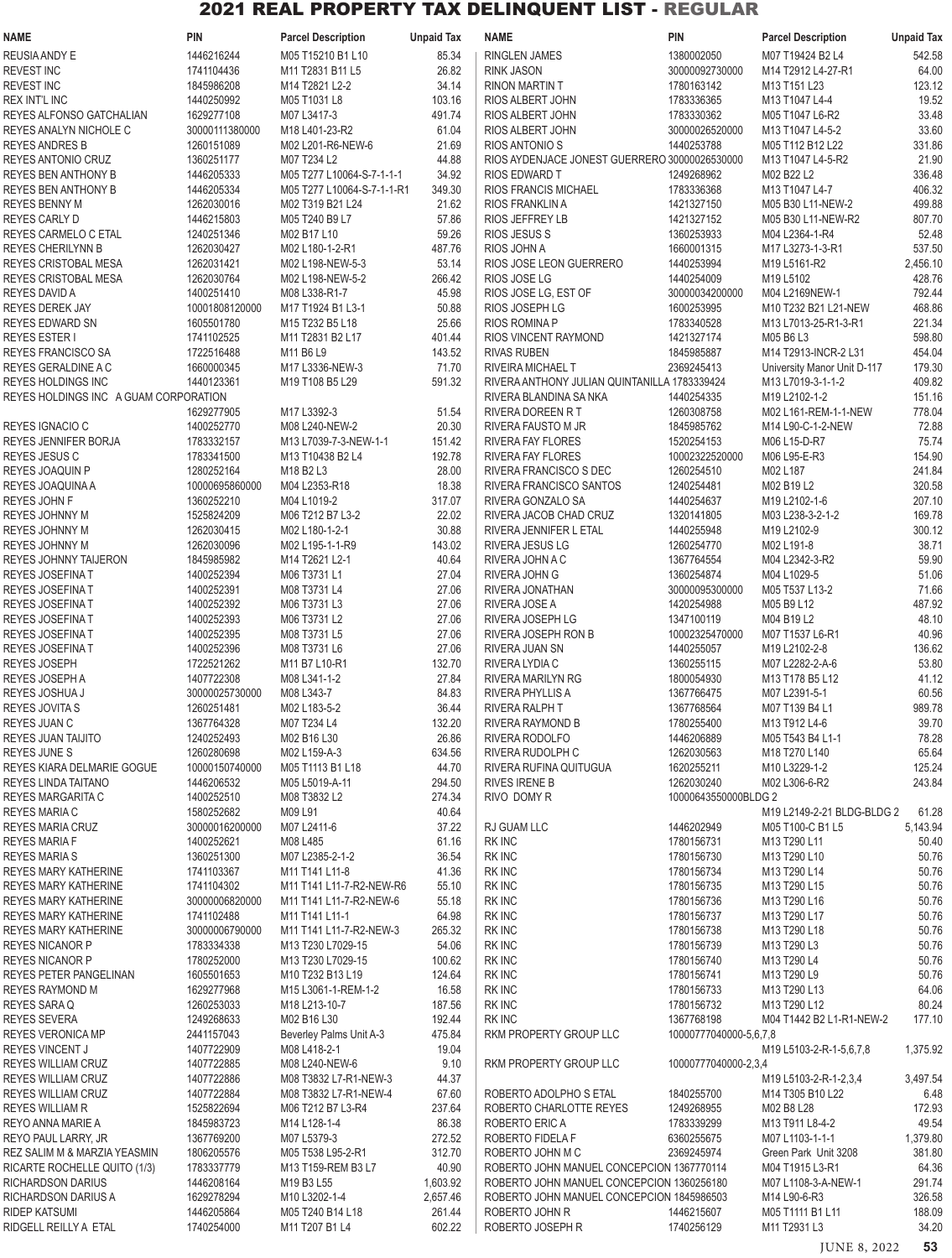| <b>NAME</b>                                         | <b>PIN</b>                   | <b>Parcel Description</b>             | <b>Unpaid Tax</b> | <b>NAME</b>                                   | <b>PIN</b>                   | <b>Parcel Description</b>                      | <b>Unpaid Tax</b>  |
|-----------------------------------------------------|------------------------------|---------------------------------------|-------------------|-----------------------------------------------|------------------------------|------------------------------------------------|--------------------|
| REUSIA ANDY E                                       | 1446216244                   | M05 T15210 B1 L10                     | 85.34             | <b>RINGLEN JAMES</b>                          | 1380002050                   | M07 T19424 B2 L4                               | 542.58             |
| <b>REVEST INC</b>                                   | 1741104436                   | M11 T2831 B11 L5                      | 26.82             | <b>RINK JASON</b>                             | 30000092730000               | M14 T2912 L4-27-R1                             | 64.00              |
| <b>REVEST INC</b>                                   | 1845986208                   | M14 T2821 L2-2                        | 34.14             | <b>RINON MARTIN T</b>                         | 1780163142                   | M13 T151 L23                                   | 123.12             |
| <b>REX INT'L INC</b>                                | 1440250992                   | M05 T1031 L8                          | 103.16            | RIOS ALBERT JOHN                              | 1783336365                   | M13 T1047 L4-4                                 | 19.52              |
| REYES ALFONSO GATCHALIAN                            | 1629277108                   | M07 L3417-3                           | 491.74            | RIOS ALBERT JOHN                              | 1783330362                   | M05 T1047 L6-R2                                | 33.48              |
| REYES ANALYN NICHOLE C                              | 30000111380000               | M18 L401-23-R2                        | 61.04<br>21.69    | RIOS ALBERT JOHN<br>RIOS ANTONIO S            | 30000026520000<br>1440253788 | M13 T1047 L4-5-2                               | 33.60<br>331.86    |
| <b>REYES ANDRES B</b><br>REYES ANTONIO CRUZ         | 1260151089<br>1360251177     | M02 L201-R6-NEW-6<br>M07 T234 L2      | 44.88             | RIOS AYDENJACE JONEST GUERRERO 30000026530000 |                              | M05 T112 B12 L22<br>M13 T1047 L4-5-R2          | 21.90              |
| <b>REYES BEN ANTHONY B</b>                          | 1446205333                   | M05 T277 L10064-S-7-1-1-1             | 34.92             | <b>RIOS EDWARD T</b>                          | 1249268962                   | M02 B22 L2                                     | 336.48             |
| <b>REYES BEN ANTHONY B</b>                          | 1446205334                   | M05 T277 L10064-S-7-1-1-R1            | 349.30            | <b>RIOS FRANCIS MICHAEL</b>                   | 1783336368                   | M13 T1047 L4-7                                 | 406.32             |
| REYES BENNY M                                       | 1262030016                   | M02 T319 B21 L24                      | 21.62             | RIOS FRANKLIN A                               | 1421327150                   | M05 B30 L11-NEW-2                              | 499.88             |
| REYES CARLY D                                       | 1446215803                   | M05 T240 B9 L7                        | 57.86             | <b>RIOS JEFFREY LB</b>                        | 1421327152                   | M05 B30 L11-NEW-R2                             | 807.70             |
| REYES CARMELO C ETAL                                | 1240251346                   | M02 B17 L10                           | 59.26             | <b>RIOS JESUS S</b>                           | 1360253933                   | M04 L2364-1-R4                                 | 52.48              |
| <b>REYES CHERILYNN B</b>                            | 1262030427                   | M02 L180-1-2-R1                       | 487.76            | RIOS JOHN A                                   | 1660001315                   | M17 L3273-1-3-R1                               | 537.50             |
| <b>REYES CRISTOBAL MESA</b>                         | 1262031421                   | M02 L198-NEW-5-3                      | 53.14             | RIOS JOSE LEON GUERRERO                       | 1440253994                   | M19 L5161-R2                                   | 2,456.10           |
| <b>REYES CRISTOBAL MESA</b>                         | 1262030764                   | M02 L198-NEW-5-2                      | 266.42            | RIOS JOSE LG                                  | 1440254009                   | M19 L5102                                      | 428.76             |
| <b>REYES DAVID A</b>                                | 1400251410                   | M08 L338-R1-7                         | 45.98             | RIOS JOSE LG, EST OF                          | 30000034200000               | M04 L2169NEW-1                                 | 792.44             |
| <b>REYES DEREK JAY</b><br><b>REYES EDWARD SN</b>    | 10001808120000<br>1605501780 | M17 T1924 B1 L3-1<br>M15 T232 B5 L18  | 50.88<br>25.66    | RIOS JOSEPH LG<br>RIOS ROMINA P               | 1600253995<br>1783340528     | M10 T232 B21 L21-NEW<br>M13 L7013-25-R1-3-R1   | 468.86<br>221.34   |
| <b>REYES ESTER I</b>                                | 1741102525                   | M11 T2831 B2 L17                      | 401.44            | RIOS VINCENT RAYMOND                          | 1421327174                   | M05 B6 L3                                      | 598.80             |
| <b>REYES FRANCISCO SA</b>                           | 1722516488                   | M11 B6 L9                             | 143.52            | <b>RIVAS RUBEN</b>                            | 1845985887                   | M14 T2913-INCR-2 L31                           | 454.04             |
| REYES GERALDINE A C                                 | 1660000345                   | M17 L3336-NEW-3                       | 71.70             | RIVEIRA MICHAEL T                             | 2369245413                   | University Manor Unit D-117                    | 179.30             |
| <b>REYES HOLDINGS INC</b>                           | 1440123361                   | M19 T108 B5 L29                       | 591.32            | RIVERA ANTHONY JULIAN QUINTANILLA 1783339424  |                              | M13 L7019-3-1-1-2                              | 409.82             |
| REYES HOLDINGS INC A GUAM CORPORATION               |                              |                                       |                   | RIVERA BLANDINA SA NKA                        | 1440254335                   | M19 L2102-1-2                                  | 151.16             |
|                                                     | 1629277905                   | M17 L3392-3                           | 51.54             | RIVERA DOREEN RT                              | 1260308758                   | M02 L161-REM-1-1-NEW                           | 778.04             |
| REYES IGNACIO C                                     | 1400252770                   | M08 L240-NEW-2                        | 20.30             | RIVERA FAUSTO M JR                            | 1845985762                   | M14 L90-C-1-2-NEW                              | 72.88              |
| REYES JENNIFER BORJA                                | 1783332157                   | M13 L7039-7-3-NEW-1-1                 | 151.42            | RIVERA FAY FLORES                             | 1520254153                   | M06 L15-D-R7                                   | 75.74              |
| REYES JESUS C                                       | 1783341500                   | M13 T10438 B2 L4                      | 192.78            | <b>RIVERA FAY FLORES</b>                      | 10002322520000               | M06 L95-E-R3                                   | 154.90             |
| <b>REYES JOAQUIN P</b>                              | 1280252164                   | M18 B2 L3                             | 28.00             | RIVERA FRANCISCO S DEC                        | 1260254510                   | M02 L187                                       | 241.84             |
| REYES JOAQUINA A                                    | 10000695860000               | M04 L2353-R18                         | 18.38             | RIVERA FRANCISCO SANTOS                       | 1240254481                   | M02 B19 L2                                     | 320.58             |
| REYES JOHN F<br>REYES JOHNNY M                      | 1360252210<br>1525824209     | M04 L1019-2<br>M06 T212 B7 L3-2       | 317.07<br>22.02   | RIVERA GONZALO SA<br>RIVERA JACOB CHAD CRUZ   | 1440254637<br>1320141805     | M19 L2102-1-6<br>M03 L238-3-2-1-2              | 207.10<br>169.78   |
| REYES JOHNNY M                                      | 1262030415                   | M02 L180-1-2-1                        | 30.88             | RIVERA JENNIFER L ETAL                        | 1440255948                   | M19 L2102-9                                    | 300.12             |
| REYES JOHNNY M                                      | 1262030096                   | M02 L195-1-1-R9                       | 143.02            | RIVERA JESUS LG                               | 1260254770                   | M02 L191-8                                     | 38.71              |
| REYES JOHNNY TAIJERON                               | 1845985982                   | M14 T2621 L2-1                        | 40.64             | RIVERA JOHN A C                               | 1367764554                   | M04 L2342-3-R2                                 | 59.90              |
| <b>REYES JOSEFINAT</b>                              | 1400252394                   | M06 T3731 L1                          | 27.04             | RIVERA JOHN G                                 | 1360254874                   | M04 L1029-5                                    | 51.06              |
| <b>REYES JOSEFINAT</b>                              | 1400252391                   | M08 T3731 L4                          | 27.06             | RIVERA JONATHAN                               | 30000095300000               | M05 T537 L13-2                                 | 71.66              |
| REYES JOSEFINAT                                     | 1400252392                   | M06 T3731 L3                          | 27.06             | RIVERA JOSE A                                 | 1420254988                   | M05 B9 L12                                     | 487.92             |
| REYES JOSEFINA T                                    | 1400252393                   | M06 T3731 L2                          | 27.06             | RIVERA JOSEPH LG                              | 1347100119                   | M04 B19 L2                                     | 48.10              |
| <b>REYES JOSEFINAT</b>                              | 1400252395                   | M08 T3731 L5                          | 27.06             | RIVERA JOSEPH RON B                           | 10002325470000               | M07 T1537 L6-R1                                | 40.96              |
| REYES JOSEFINA T                                    | 1400252396                   | M08 T3731 L6                          | 27.06             | RIVERA JUAN SN                                | 1440255057                   | M19 L2102-2-8                                  | 136.62             |
| REYES JOSEPH<br>REYES JOSEPH A                      | 1722521262<br>1407722308     | M11 B7 L10-R1<br>M08 L341-1-2         | 132.70<br>27.84   | RIVERA LYDIA C<br>RIVERA MARILYN RG           | 1360255115<br>1800054930     | M07 L2282-2-A-6<br>M13 T178 B5 L12             | 53.80<br>41.12     |
| REYES JOSHUA J                                      | 30000025730000               | M08 L343-7                            | 84.83             | RIVERA PHYLLIS A                              | 1367766475                   | M07 L2391-5-1                                  | 60.56              |
| <b>REYES JOVITA S</b>                               | 1260251481                   | M02 L183-5-2                          | 36.44             | RIVERA RALPH T                                | 1367768564                   | M07 T139 B4 L1                                 | 989.78             |
| REYES JUAN C                                        | 1367764328                   | M07 T234 L4                           | 132.20            | RIVERA RAYMOND B                              | 1780255400                   | M13 T912 L4-6                                  | 39.70              |
| REYES JUAN TAIJITO                                  | 1240252493                   | M02 B16 L30                           | 26.86             | RIVERA RODOLFO                                | 1446206889                   | M05 T543 B4 L1-1                               | 78.28              |
| <b>REYES JUNE S</b>                                 | 1260280698                   | M02 L159-A-3                          | 634.56            | RIVERA RUDOLPH C                              | 1262030563                   | M18 T270 L140                                  | 65.64              |
| REYES KIARA DELMARIE GOGUE                          | 10000150740000               | M05 T1113 B1 L18                      | 44.70             | RIVERA RUFINA QUITUGUA                        | 1620255211                   | M10 L3229-1-2                                  | 125.24             |
| <b>REYES LINDA TAITANO</b>                          | 1446206532                   | M05 L5019-A-11                        | 294.50            | <b>RIVES IRENE B</b>                          | 1262030240                   | M02 L306-6-R2                                  | 243.84             |
| REYES MARGARITA C                                   | 1400252510                   | M08 T3832 L2                          | 274.34            | RIVO DOMY R                                   | 10000643550000BLDG 2         |                                                |                    |
| REYES MARIA C<br><b>REYES MARIA CRUZ</b>            | 1580252682<br>30000016200000 | M09 L91<br>M07 L2411-6                | 40.64<br>37.22    | RJ GUAM LLC                                   | 1446202949                   | M19 L2149-2-21 BLDG-BLDG 2<br>M05 T100-C B1 L5 | 61.28<br>5,143.94  |
| <b>REYES MARIA F</b>                                | 1400252621                   | M08 L485                              | 61.16             | RK INC                                        | 1780156731                   | M13 T290 L11                                   | 50.40              |
| <b>REYES MARIA S</b>                                | 1360251300                   | M07 L2385-2-1-2                       | 36.54             | <b>RK INC</b>                                 | 1780156730                   | M13 T290 L10                                   | 50.76              |
| REYES MARY KATHERINE                                | 1741103367                   | M11 T141 L11-8                        | 41.36             | RK INC                                        | 1780156734                   | M13 T290 L14                                   | 50.76              |
| REYES MARY KATHERINE                                | 1741104302                   | M11 T141 L11-7-R2-NEW-R6              | 55.10             | RK INC                                        | 1780156735                   | M13 T290 L15                                   | 50.76              |
| REYES MARY KATHERINE                                | 30000006820000               | M11 T141 L11-7-R2-NEW-6               | 55.18             | <b>RK INC</b>                                 | 1780156736                   | M13 T290 L16                                   | 50.76              |
| REYES MARY KATHERINE                                | 1741102488                   | M11 T141 L11-1                        | 64.98             | RK INC                                        | 1780156737                   | M13 T290 L17                                   | 50.76              |
| REYES MARY KATHERINE                                | 30000006790000               | M11 T141 L11-7-R2-NEW-3               | 265.32            | <b>RK INC</b>                                 | 1780156738                   | M13 T290 L18                                   | 50.76              |
| <b>REYES NICANOR P</b>                              | 1783334338                   | M13 T230 L7029-15                     | 54.06             | <b>RK INC</b>                                 | 1780156739                   | M13 T290 L3                                    | 50.76              |
| <b>REYES NICANOR P</b><br>REYES PETER PANGELINAN    | 1780252000<br>1605501653     | M13 T230 L7029-15<br>M10 T232 B13 L19 | 100.62<br>124.64  | RK INC<br><b>RK INC</b>                       | 1780156740<br>1780156741     | M13 T290 L4<br>M13 T290 L9                     | 50.76<br>50.76     |
| <b>REYES RAYMOND M</b>                              | 1629277968                   | M15 L3061-1-REM-1-2                   | 16.58             | <b>RK INC</b>                                 | 1780156733                   | M13 T290 L13                                   | 64.06              |
| REYES SARA Q                                        | 1260253033                   | M18 L213-10-7                         | 187.56            | <b>RK INC</b>                                 | 1780156732                   | M13 T290 L12                                   | 80.24              |
| <b>REYES SEVERA</b>                                 | 1249268633                   | M02 B16 L30                           | 192.44            | <b>RK INC</b>                                 | 1367768198                   | M04 T1442 B2 L1-R1-NEW-2                       | 177.10             |
| <b>REYES VERONICA MP</b>                            | 2441157043                   | Beverley Palms Unit A-3               | 475.84            | RKM PROPERTY GROUP LLC                        | 10000777040000-5,6,7,8       |                                                |                    |
| REYES VINCENT J                                     | 1407722909                   | M08 L418-2-1                          | 19.04             |                                               |                              | M19 L5103-2-R-1-5,6,7,8                        | 1,375.92           |
| <b>REYES WILLIAM CRUZ</b>                           | 1407722885                   | M08 L240-NEW-6                        | 9.10              | RKM PROPERTY GROUP LLC                        | 10000777040000-2,3,4         |                                                |                    |
| REYES WILLIAM CRUZ                                  | 1407722886                   | M08 T3832 L7-R1-NEW-3                 | 44.37             |                                               |                              | M19 L5103-2-R-1-2,3,4                          | 3,497.54           |
| REYES WILLIAM CRUZ                                  | 1407722884                   | M08 T3832 L7-R1-NEW-4                 | 67.60             | ROBERTO ADOLPHO S ETAL                        | 1840255700                   | M14 T305 B10 L22                               | 6.48               |
| <b>REYES WILLIAM R</b>                              | 1525822694                   | M06 T212 B7 L3-R4                     | 237.64            | ROBERTO CHARLOTTE REYES                       | 1249268955                   | M02 B8 L28                                     | 172.93             |
| REYO ANNA MARIE A                                   | 1845983723<br>1367769200     | M14 L128-1-4                          | 86.38             | ROBERTO ERIC A                                | 1783339299                   | M13 T911 L8-4-2                                | 49.54              |
| REYO PAUL LARRY, JR<br>REZ SALIM M & MARZIA YEASMIN | 1806205576                   | M07 L5379-3<br>M05 T538 L95-2-R1      | 272.52<br>312.70  | ROBERTO FIDELA F<br>ROBERTO JOHN M C          | 6360255675<br>2369245974     | M07 L1103-1-1-1<br>Green Park Unit 3208        | 1,379.80<br>381.80 |
| RICARTE ROCHELLE QUITO (1/3)                        | 1783337779                   | M13 T159-REM B3 L7                    | 40.90             | ROBERTO JOHN MANUEL CONCEPCION 1367770114     |                              | M04 T1915 L3-R1                                | 64.36              |
| <b>RICHARDSON DARIUS</b>                            | 1446208164                   | M19 B3 L55                            | 1,603.92          | ROBERTO JOHN MANUEL CONCEPCION 1360256180     |                              | M07 L1108-3-A-NEW-1                            | 291.74             |
| <b>RICHARDSON DARIUS A</b>                          | 1629278294                   | M10 L3202-1-4                         | 2,657.46          | ROBERTO JOHN MANUEL CONCEPCION 1845986503     |                              | M14 L90-6-R3                                   | 326.58             |
| <b>RIDEP KATSUMI</b>                                | 1446205864                   | M05 T240 B14 L18                      | 261.44            | ROBERTO JOHN R                                | 1446215607                   | M05 T1111 B1 L11                               | 188.09             |
| RIDGELL REILLY A ETAL                               | 1740254000                   | M11 T207 B1 L4                        | 602.22            | ROBERTO JOSEPH R                              | 1740256129                   | M11 T2931 L3                                   | 34.20              |

JUNE 8, 2022 **53**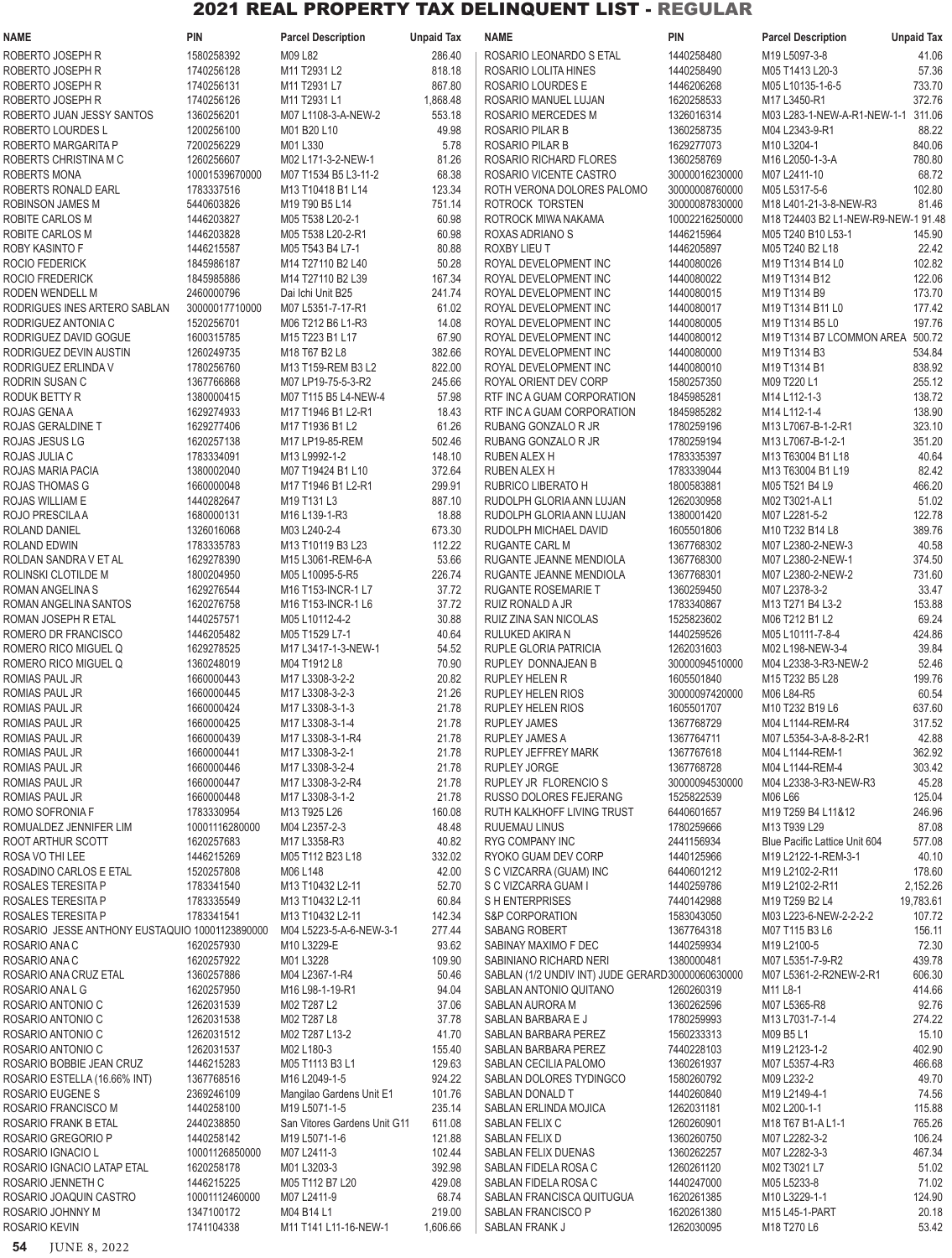| <b>NAME</b>                                                          | <b>PIN</b>                   | <b>Parcel Description</b>                                                                            | <b>Unpaid Tax</b> | <b>NAME</b>                                        | PIN                          | <b>Parcel Description</b>                     | <b>Unpaid Tax</b> |
|----------------------------------------------------------------------|------------------------------|------------------------------------------------------------------------------------------------------|-------------------|----------------------------------------------------|------------------------------|-----------------------------------------------|-------------------|
| ROBERTO JOSEPH R                                                     | 1580258392                   | M09 L82                                                                                              | 286.40            | ROSARIO LEONARDO S ETAL                            | 1440258480                   | M19 L5097-3-8                                 | 41.06             |
| ROBERTO JOSEPH R                                                     | 1740256128                   | M11 T2931 L2                                                                                         | 818.18            | ROSARIO LOLITA HINES                               | 1440258490                   | M05 T1413 L20-3                               | 57.36             |
| ROBERTO JOSEPH R                                                     | 1740256131                   | M11 T2931 L7                                                                                         | 867.80            | ROSARIO LOURDES E                                  | 1446206268                   | M05 L10135-1-6-5                              | 733.70            |
| ROBERTO JOSEPH R                                                     | 1740256126                   | M11 T2931 L1                                                                                         | 1,868.48          | ROSARIO MANUEL LUJAN                               | 1620258533                   | M17 L3450-R1                                  | 372.76            |
| ROBERTO JUAN JESSY SANTOS<br><b>ROBERTO LOURDES L</b>                | 1360256201<br>1200256100     | M07 L1108-3-A-NEW-2<br>M01 B20 L10                                                                   | 553.18<br>49.98   | ROSARIO MERCEDES M<br>ROSARIO PILAR B              | 1326016314<br>1360258735     | M03 L283-1-NEW-A-R1-NEW-1-1<br>M04 L2343-9-R1 | 311.06<br>88.22   |
| ROBERTO MARGARITA P                                                  | 7200256229                   | M01L330                                                                                              | 5.78              | ROSARIO PILAR B                                    | 1629277073                   | M10 L3204-1                                   | 840.06            |
| ROBERTS CHRISTINA M C                                                | 1260256607                   | M02 L171-3-2-NEW-1                                                                                   | 81.26             | ROSARIO RICHARD FLORES                             | 1360258769                   | M16 L2050-1-3-A                               | 780.80            |
| <b>ROBERTS MONA</b>                                                  | 10001539670000               | M07 T1534 B5 L3-11-2                                                                                 | 68.38             | ROSARIO VICENTE CASTRO                             | 30000016230000               | M07 L2411-10                                  | 68.72             |
| ROBERTS RONALD EARL                                                  | 1783337516                   | M13 T10418 B1 L14                                                                                    | 123.34            | ROTH VERONA DOLORES PALOMO                         | 30000008760000               | M05 L5317-5-6                                 | 102.80            |
| ROBINSON JAMES M                                                     | 5440603826                   | M <sub>19</sub> T <sub>90</sub> B <sub>5</sub> L <sub>14</sub>                                       | 751.14            | ROTROCK TORSTEN                                    | 30000087830000               | M18 L401-21-3-8-NEW-R3                        | 81.46             |
| ROBITE CARLOS M                                                      | 1446203827                   | M05 T538 L20-2-1                                                                                     | 60.98             | ROTROCK MIWA NAKAMA                                | 10002216250000               | M18 T24403 B2 L1-NEW-R9-NEW-1 91.48           |                   |
| ROBITE CARLOS M<br>ROBY KASINTO F                                    | 1446203828<br>1446215587     | M05 T538 L20-2-R1<br>M05 T543 B4 L7-1                                                                | 60.98<br>80.88    | ROXAS ADRIANO S<br>ROXBY LIEU T                    | 1446215964<br>1446205897     | M05 T240 B10 L53-1<br>M05 T240 B2 L18         | 145.90<br>22.42   |
| ROCIO FEDERICK                                                       | 1845986187                   | M14 T27110 B2 L40                                                                                    | 50.28             | ROYAL DEVELOPMENT INC                              | 1440080026                   | M19 T1314 B14 L0                              | 102.82            |
| ROCIO FREDERICK                                                      | 1845985886                   | M14 T27110 B2 L39                                                                                    | 167.34            | ROYAL DEVELOPMENT INC                              | 1440080022                   | M19 T1314 B12                                 | 122.06            |
| RODEN WENDELL M                                                      | 2460000796                   | Dai Ichi Unit B25                                                                                    | 241.74            | ROYAL DEVELOPMENT INC                              | 1440080015                   | M19 T1314 B9                                  | 173.70            |
| RODRIGUES INES ARTERO SABLAN                                         | 30000017710000               | M07 L5351-7-17-R1                                                                                    | 61.02             | ROYAL DEVELOPMENT INC                              | 1440080017                   | M19 T1314 B11 L0                              | 177.42            |
| RODRIGUEZ ANTONIA C                                                  | 1520256701                   | M06 T212 B6 L1-R3                                                                                    | 14.08             | ROYAL DEVELOPMENT INC                              | 1440080005                   | M19 T1314 B5 L0                               | 197.76            |
| RODRIGUEZ DAVID GOGUE<br>RODRIGUEZ DEVIN AUSTIN                      | 1600315785<br>1260249735     | M15 T223 B1 L17<br>M18 T67 B2 L8                                                                     | 67.90<br>382.66   | ROYAL DEVELOPMENT INC<br>ROYAL DEVELOPMENT INC     | 1440080012<br>1440080000     | M19 T1314 B7 LCOMMON AREA<br>M19 T1314 B3     | 500.72<br>534.84  |
| RODRIGUEZ ERLINDA V                                                  | 1780256760                   | M13 T159-REM B3 L2                                                                                   | 822.00            | ROYAL DEVELOPMENT INC                              | 1440080010                   | M19 T1314 B1                                  | 838.92            |
| RODRIN SUSAN C                                                       | 1367766868                   | M07 LP19-75-5-3-R2                                                                                   | 245.66            | ROYAL ORIENT DEV CORP                              | 1580257350                   | M09 T220 L1                                   | 255.12            |
| RODUK BETTY R                                                        | 1380000415                   | M07 T115 B5 L4-NEW-4                                                                                 | 57.98             | RTF INC A GUAM CORPORATION                         | 1845985281                   | M14 L112-1-3                                  | 138.72            |
| ROJAS GENA A                                                         | 1629274933                   | M17 T1946 B1 L2-R1                                                                                   | 18.43             | RTF INC A GUAM CORPORATION                         | 1845985282                   | M14 L112-1-4                                  | 138.90            |
| ROJAS GERALDINE T                                                    | 1629277406                   | M17 T1936 B1 L2                                                                                      | 61.26             | RUBANG GONZALO R JR                                | 1780259196                   | M13 L7067-B-1-2-R1                            | 323.10            |
| ROJAS JESUS LG                                                       | 1620257138                   | M17 LP19-85-REM                                                                                      | 502.46            | RUBANG GONZALO R JR                                | 1780259194                   | M13 L7067-B-1-2-1                             | 351.20            |
| ROJAS JULIA C                                                        | 1783334091                   | M13 L9992-1-2                                                                                        | 148.10            | RUBEN ALEX H                                       | 1783335397                   | M13 T63004 B1 L18                             | 40.64             |
| ROJAS MARIA PACIA<br>ROJAS THOMAS G                                  | 1380002040<br>1660000048     | M07 T19424 B1 L10<br>M <sub>17</sub> T <sub>1946</sub> B <sub>1</sub> L <sub>2</sub> -R <sub>1</sub> | 372.64<br>299.91  | <b>RUBEN ALEX H</b><br>RUBRICO LIBERATO H          | 1783339044<br>1800583881     | M13 T63004 B1 L19<br>M05 T521 B4 L9           | 82.42<br>466.20   |
| ROJAS WILLIAM E                                                      | 1440282647                   | M19 T131 L3                                                                                          | 887.10            | RUDOLPH GLORIA ANN LUJAN                           | 1262030958                   | M02 T3021-A L1                                | 51.02             |
| ROJO PRESCILA A                                                      | 1680000131                   | M16 L139-1-R3                                                                                        | 18.88             | RUDOLPH GLORIA ANN LUJAN                           | 1380001420                   | M07 L2281-5-2                                 | 122.78            |
| ROLAND DANIEL                                                        | 1326016068                   | M03 L240-2-4                                                                                         | 673.30            | RUDOLPH MICHAEL DAVID                              | 1605501806                   | M10 T232 B14 L8                               | 389.76            |
| ROLAND EDWIN                                                         | 1783335783                   | M13 T10119 B3 L23                                                                                    | 112.22            | RUGANTE CARL M                                     | 1367768302                   | M07 L2380-2-NEW-3                             | 40.58             |
| ROLDAN SANDRA V ET AL                                                | 1629278390                   | M15 L3061-REM-6-A                                                                                    | 53.66             | RUGANTE JEANNE MENDIOLA                            | 1367768300                   | M07 L2380-2-NEW-1                             | 374.50            |
| ROLINSKI CLOTILDE M<br>ROMAN ANGELINA S                              | 1800204950<br>1629276544     | M05 L10095-5-R5<br>M16 T153-INCR-1 L7                                                                | 226.74<br>37.72   | RUGANTE JEANNE MENDIOLA<br>RUGANTE ROSEMARIE T     | 1367768301<br>1360259450     | M07 L2380-2-NEW-2<br>M07 L2378-3-2            | 731.60<br>33.47   |
| ROMAN ANGELINA SANTOS                                                | 1620276758                   | M16 T153-INCR-1 L6                                                                                   | 37.72             | RUIZ RONALD A JR                                   | 1783340867                   | M13 T271 B4 L3-2                              | 153.88            |
| ROMAN JOSEPH R ETAL                                                  | 1440257571                   | M05 L10112-4-2                                                                                       | 30.88             | RUIZ ZINA SAN NICOLAS                              | 1525823602                   | M06 T212 B1 L2                                | 69.24             |
| ROMERO DR FRANCISCO                                                  | 1446205482                   | M05 T1529 L7-1                                                                                       | 40.64             | RULUKED AKIRA N                                    | 1440259526                   | M05 L10111-7-8-4                              | 424.86            |
| ROMERO RICO MIGUEL Q                                                 | 1629278525                   | M17 L3417-1-3-NEW-1                                                                                  | 54.52             | RUPLE GLORIA PATRICIA                              | 1262031603                   | M02 L198-NEW-3-4                              | 39.84             |
| ROMERO RICO MIGUEL Q                                                 | 1360248019                   | M04 T1912 L8                                                                                         | 70.90             | RUPLEY DONNAJEAN B                                 | 30000094510000               | M04 L2338-3-R3-NEW-2                          | 52.46             |
| ROMIAS PAUL JR                                                       | 1660000443                   | M17 L3308-3-2-2                                                                                      | 20.82             | <b>RUPLEY HELEN R</b>                              | 1605501840                   | M15 T232 B5 L28                               | 199.76            |
| ROMIAS PAUL JR<br>ROMIAS PAUL JR                                     | 1660000445<br>1660000424     | M17 L3308-3-2-3<br>M17 L3308-3-1-3                                                                   | 21.26<br>21.78    | RUPLEY HELEN RIOS<br><b>RUPLEY HELEN RIOS</b>      | 30000097420000<br>1605501707 | M06 L84-R5<br>M10 T232 B19 L6                 | 60.54<br>637.60   |
| ROMIAS PAUL JR                                                       | 1660000425                   | M17 L3308-3-1-4                                                                                      | 21.78             | <b>RUPLEY JAMES</b>                                | 1367768729                   | M04 L1144-REM-R4                              | 317.52            |
| ROMIAS PAUL JR                                                       | 1660000439                   | M17 L3308-3-1-R4                                                                                     | 21.78             | <b>RUPLEY JAMES A</b>                              | 1367764711                   | M07 L5354-3-A-8-8-2-R1                        | 42.88             |
| ROMIAS PAUL JR                                                       | 1660000441                   | M17 L3308-3-2-1                                                                                      | 21.78             | RUPLEY JEFFREY MARK                                | 1367767618                   | M04 L1144-REM-1                               | 362.92            |
| ROMIAS PAUL JR                                                       | 1660000446                   | M17 L3308-3-2-4                                                                                      | 21.78             | RUPLEY JORGE                                       | 1367768728                   | M04 L1144-REM-4                               | 303.42            |
| ROMIAS PAUL JR                                                       | 1660000447                   | M17 L3308-3-2-R4                                                                                     | 21.78             | <b>RUPLEY JR FLORENCIO S</b>                       | 30000094530000               | M04 L2338-3-R3-NEW-R3                         | 45.28             |
| ROMIAS PAUL JR                                                       | 1660000448                   | M17 L3308-3-1-2                                                                                      | 21.78             | RUSSO DOLORES FEJERANG                             | 1525822539                   | M06 L66                                       | 125.04            |
| ROMO SOFRONIA F<br>ROMUALDEZ JENNIFER LIM                            | 1783330954<br>10001116280000 | M13 T925 L26<br>M04 L2357-2-3                                                                        | 160.08<br>48.48   | RUTH KALKHOFF LIVING TRUST<br><b>RUUEMAU LINUS</b> | 6440601657<br>1780259666     | M19 T259 B4 L11&12<br>M13 T939 L29            | 246.96<br>87.08   |
| ROOT ARTHUR SCOTT                                                    | 1620257683                   | M17 L3358-R3                                                                                         | 40.82             | RYG COMPANY INC                                    | 2441156934                   | Blue Pacific Lattice Unit 604                 | 577.08            |
| ROSA VO THI LEE                                                      | 1446215269                   | M05 T112 B23 L18                                                                                     | 332.02            | RYOKO GUAM DEV CORP                                | 1440125966                   | M19 L2122-1-REM-3-1                           | 40.10             |
| ROSADINO CARLOS E ETAL                                               | 1520257808                   | M06 L148                                                                                             | 42.00             | S C VIZCARRA (GUAM) INC                            | 6440601212                   | M19 L2102-2-R11                               | 178.60            |
| ROSALES TERESITA P                                                   | 1783341540                   | M13 T10432 L2-11                                                                                     | 52.70             | S C VIZCARRA GUAM I                                | 1440259786                   | M19 L2102-2-R11                               | 2,152.26          |
| ROSALES TERESITA P                                                   | 1783335549                   | M13 T10432 L2-11                                                                                     | 60.84             | S H ENTERPRISES                                    | 7440142988                   | M19 T259 B2 L4                                | 19,783.61         |
| ROSALES TERESITA P<br>ROSARIO JESSE ANTHONY EUSTAQUIO 10001123890000 | 1783341541                   | M13 T10432 L2-11<br>M04 L5223-5-A-6-NEW-3-1                                                          | 142.34<br>277.44  | <b>S&amp;P CORPORATION</b><br><b>SABANG ROBERT</b> | 1583043050<br>1367764318     | M03 L223-6-NEW-2-2-2-2<br>M07 T115 B3 L6      | 107.72<br>156.11  |
| ROSARIO ANA C                                                        | 1620257930                   | M10 L3229-E                                                                                          | 93.62             | SABINAY MAXIMO F DEC                               | 1440259934                   | M19 L2100-5                                   | 72.30             |
| ROSARIO ANA C                                                        | 1620257922                   | M01L3228                                                                                             | 109.90            | SABINIANO RICHARD NERI                             | 1380000481                   | M07 L5351-7-9-R2                              | 439.78            |
| ROSARIO ANA CRUZ ETAL                                                | 1360257886                   | M04 L2367-1-R4                                                                                       | 50.46             | SABLAN (1/2 UNDIV INT) JUDE GERARD30000060630000   |                              | M07 L5361-2-R2NEW-2-R1                        | 606.30            |
| ROSARIO ANA L G                                                      | 1620257950                   | M16 L98-1-19-R1                                                                                      | 94.04             | SABLAN ANTONIO QUITANO                             | 1260260319                   | M11 L8-1                                      | 414.66            |
| ROSARIO ANTONIO C                                                    | 1262031539                   | M02 T287 L2                                                                                          | 37.06             | SABLAN AURORA M                                    | 1360262596                   | M07 L5365-R8                                  | 92.76             |
| ROSARIO ANTONIO C                                                    | 1262031538<br>1262031512     | M02 T287 L8                                                                                          | 37.78             | SABLAN BARBARA E J                                 | 1780259993<br>1560233313     | M13 L7031-7-1-4                               | 274.22            |
| ROSARIO ANTONIO C<br>ROSARIO ANTONIO C                               | 1262031537                   | M02 T287 L13-2<br>M02 L180-3                                                                         | 41.70<br>155.40   | SABLAN BARBARA PEREZ<br>SABLAN BARBARA PEREZ       | 7440228103                   | M09 B5 L1<br>M19 L2123-1-2                    | 15.10<br>402.90   |
| ROSARIO BOBBIE JEAN CRUZ                                             | 1446215283                   | M05 T1113 B3 L1                                                                                      | 129.63            | SABLAN CECILIA PALOMO                              | 1360261937                   | M07 L5357-4-R3                                | 466.68            |
| ROSARIO ESTELLA (16.66% INT)                                         | 1367768516                   | M16 L2049-1-5                                                                                        | 924.22            | SABLAN DOLORES TYDINGCO                            | 1580260792                   | M09 L232-2                                    | 49.70             |
| ROSARIO EUGENE S                                                     | 2369246109                   | Mangilao Gardens Unit E1                                                                             | 101.76            | SABLAN DONALD T                                    | 1440260840                   | M19 L2149-4-1                                 | 74.56             |
| ROSARIO FRANCISCO M                                                  | 1440258100                   | M19 L5071-1-5                                                                                        | 235.14            | SABLAN ERLINDA MOJICA                              | 1262031181                   | M02 L200-1-1                                  | 115.88            |
| ROSARIO FRANK B ETAL                                                 | 2440238850                   | San Vitores Gardens Unit G11                                                                         | 611.08            | SABLAN FELIX C                                     | 1260260901                   | M18 T67 B1-A L1-1                             | 765.26            |
| ROSARIO GREGORIO P<br>ROSARIO IGNACIO L                              | 1440258142<br>10001126850000 | M19 L5071-1-6<br>M07 L2411-3                                                                         | 121.88<br>102.44  | SABLAN FELIX D<br>SABLAN FELIX DUENAS              | 1360260750<br>1360262257     | M07 L2282-3-2<br>M07 L2282-3-3                | 106.24<br>467.34  |
| ROSARIO IGNACIO LATAP ETAL                                           | 1620258178                   | M01 L3203-3                                                                                          | 392.98            | SABLAN FIDELA ROSA C                               | 1260261120                   | M02 T3021 L7                                  | 51.02             |
| ROSARIO JENNETH C                                                    | 1446215225                   | M05 T112 B7 L20                                                                                      | 429.08            | SABLAN FIDELA ROSA C                               | 1440247000                   | M05 L5233-8                                   | 71.02             |
| ROSARIO JOAQUIN CASTRO                                               | 10001112460000               | M07 L2411-9                                                                                          | 68.74             | SABLAN FRANCISCA QUITUGUA                          | 1620261385                   | M10 L3229-1-1                                 | 124.90            |
| ROSARIO JOHNNY M                                                     | 1347100172                   | M04 B14 L1                                                                                           | 219.00            | SABLAN FRANCISCO P                                 | 1620261380                   | M15 L45-1-PART                                | 20.18             |
| ROSARIO KEVIN                                                        | 1741104338                   | M11 T141 L11-16-NEW-1                                                                                | 1,606.66          | SABLAN FRANK J                                     | 1262030095                   | M18 T270 L6                                   | 53.42             |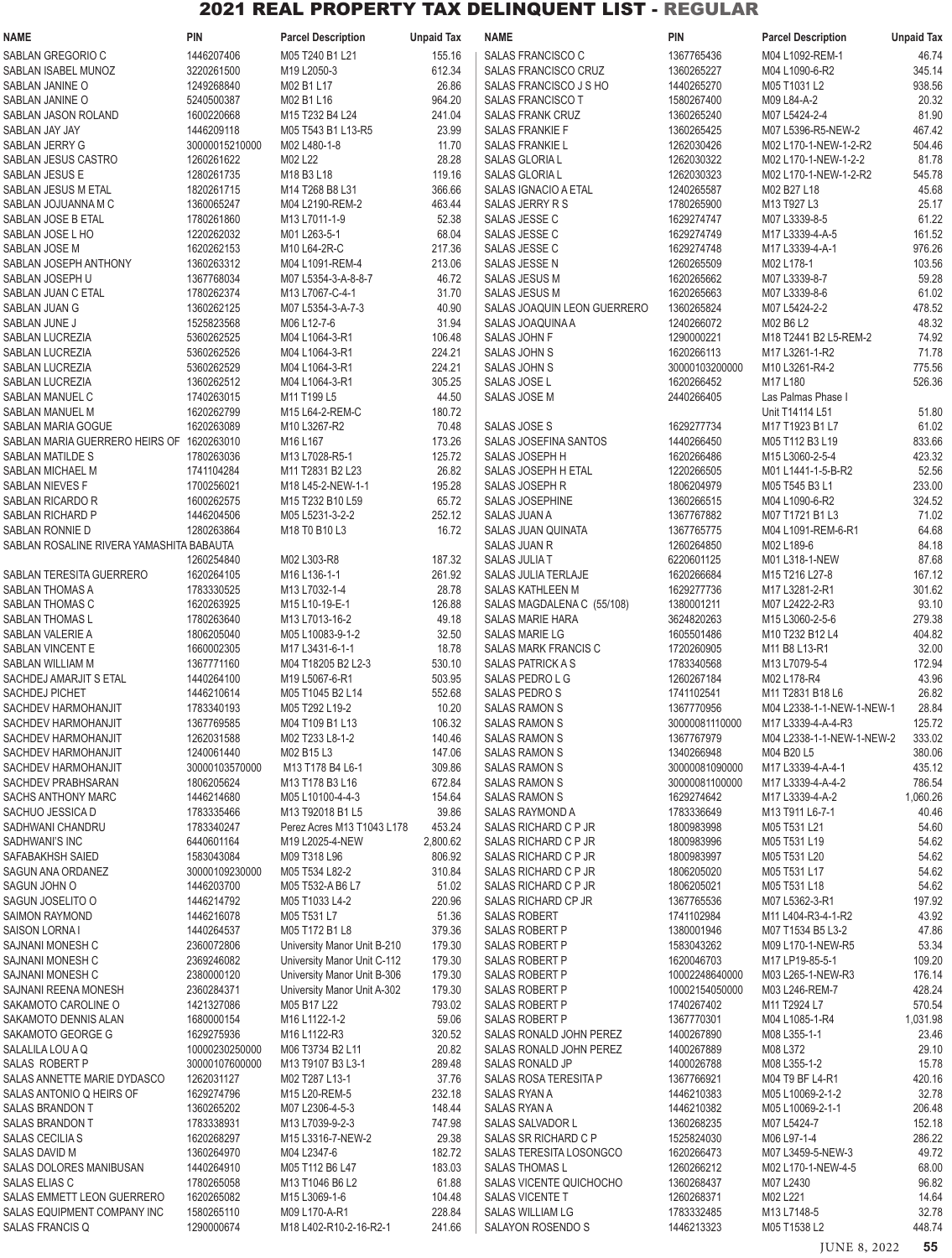| <b>NAME</b>                               | <b>PIN</b>               | <b>Parcel Description</b>        | <b>Unpaid Tax</b> | <b>NAME</b>                                | <b>PIN</b>               | <b>Parcel Description</b>            | <b>Unpaid Tax</b> |
|-------------------------------------------|--------------------------|----------------------------------|-------------------|--------------------------------------------|--------------------------|--------------------------------------|-------------------|
| SABLAN GREGORIO C                         | 1446207406               | M05 T240 B1 L21                  | 155.16            | SALAS FRANCISCO C                          | 1367765436               | M04 L1092-REM-1                      | 46.74             |
| SABLAN ISABEL MUNOZ                       | 3220261500               | M19 L2050-3                      | 612.34            | <b>SALAS FRANCISCO CRUZ</b>                | 1360265227               | M04 L1090-6-R2                       | 345.14            |
| SABLAN JANINE O                           | 1249268840               | M02 B1 L17                       | 26.86             | SALAS FRANCISCO J S HO                     | 1440265270               | M05 T1031 L2                         | 938.56            |
| SABLAN JANINE O                           | 5240500387               | M02 B1 L16                       | 964.20            | <b>SALAS FRANCISCO T</b>                   | 1580267400               | M09 L84-A-2                          | 20.32             |
| SABLAN JASON ROLAND                       | 1600220668               | M15 T232 B4 L24                  | 241.04            | <b>SALAS FRANK CRUZ</b>                    | 1360265240               | M07 L5424-2-4                        | 81.90             |
| SABLAN JAY JAY                            | 1446209118               | M05 T543 B1 L13-R5               | 23.99             | <b>SALAS FRANKIE F</b>                     | 1360265425               | M07 L5396-R5-NEW-2                   | 467.42            |
| SABLAN JERRY G                            | 30000015210000           | M02 L480-1-8                     | 11.70             | <b>SALAS FRANKIE L</b>                     | 1262030426               | M02 L170-1-NEW-1-2-R2                | 504.46            |
| SABLAN JESUS CASTRO                       | 1260261622               | M02 L22                          | 28.28             | <b>SALAS GLORIA L</b>                      | 1262030322               | M02 L170-1-NEW-1-2-2                 | 81.78             |
| <b>SABLAN JESUS E</b>                     | 1280261735               | M18 B3 L18                       | 119.16            | <b>SALAS GLORIAL</b>                       | 1262030323               | M02 L170-1-NEW-1-2-R2                | 545.78            |
| SABLAN JESUS M ETAL                       | 1820261715               | M14 T268 B8 L31                  | 366.66            | SALAS IGNACIO A ETAL                       | 1240265587               | M02 B27 L18                          | 45.68             |
| SABLAN JOJUANNA M C<br>SABLAN JOSE B ETAL | 1360065247               | M04 L2190-REM-2<br>M13 L7011-1-9 | 463.44            | SALAS JERRY R S                            | 1780265900               | M13 T927 L3                          | 25.17<br>61.22    |
| SABLAN JOSE L HO                          | 1780261860<br>1220262032 | M01 L263-5-1                     | 52.38<br>68.04    | SALAS JESSE C<br>SALAS JESSE C             | 1629274747<br>1629274749 | M07 L3339-8-5<br>M17 L3339-4-A-5     | 161.52            |
| SABLAN JOSE M                             | 1620262153               | M10 L64-2R-C                     | 217.36            | SALAS JESSE C                              | 1629274748               | M17 L3339-4-A-1                      | 976.26            |
| SABLAN JOSEPH ANTHONY                     | 1360263312               | M04 L1091-REM-4                  | 213.06            | <b>SALAS JESSEN</b>                        | 1260265509               | M02 L178-1                           | 103.56            |
| SABLAN JOSEPH U                           | 1367768034               | M07 L5354-3-A-8-8-7              | 46.72             | <b>SALAS JESUS M</b>                       | 1620265662               | M07 L3339-8-7                        | 59.28             |
| SABLAN JUAN C ETAL                        | 1780262374               | M13 L7067-C-4-1                  | 31.70             | <b>SALAS JESUS M</b>                       | 1620265663               | M07 L3339-8-6                        | 61.02             |
| SABLAN JUAN G                             | 1360262125               | M07 L5354-3-A-7-3                | 40.90             | SALAS JOAQUIN LEON GUERRERO                | 1360265824               | M07 L5424-2-2                        | 478.52            |
| SABLAN JUNE J                             | 1525823568               | M06 L12-7-6                      | 31.94             | SALAS JOAQUINA A                           | 1240266072               | M02 B6 L2                            | 48.32             |
| SABLAN LUCREZIA                           | 5360262525               | M04 L1064-3-R1                   | 106.48            | SALAS JOHN F                               | 1290000221               | M18 T2441 B2 L5-REM-2                | 74.92             |
| SABLAN LUCREZIA                           | 5360262526               | M04 L1064-3-R1                   | 224.21            | SALAS JOHN S                               | 1620266113               | M17 L3261-1-R2                       | 71.78             |
| SABLAN LUCREZIA                           | 5360262529               | M04 L1064-3-R1                   | 224.21            | <b>SALAS JOHN S</b>                        | 30000103200000           | M10 L3261-R4-2                       | 775.56            |
| SABLAN LUCREZIA                           | 1360262512               | M04 L1064-3-R1                   | 305.25            | SALAS JOSE L                               | 1620266452               | M17 L180                             | 526.36            |
| SABLAN MANUEL C                           | 1740263015               | M11 T199 L5                      | 44.50             | SALAS JOSE M                               | 2440266405               | Las Palmas Phase I                   |                   |
| SABLAN MANUEL M                           | 1620262799               | M15 L64-2-REM-C                  | 180.72            |                                            |                          | Unit T14114 L51                      | 51.80             |
| SABLAN MARIA GOGUE                        | 1620263089               | M10 L3267-R2                     | 70.48             | SALAS JOSE S                               | 1629277734               | M17 T1923 B1 L7                      | 61.02             |
| SABLAN MARIA GUERRERO HEIRS OF 1620263010 |                          | M16 L167                         | 173.26            | SALAS JOSEFINA SANTOS                      | 1440266450               | M05 T112 B3 L19                      | 833.66            |
| SABLAN MATILDE S                          | 1780263036               | M13 L7028-R5-1                   | 125.72            | SALAS JOSEPH H                             | 1620266486               | M15 L3060-2-5-4                      | 423.32            |
| SABLAN MICHAEL M                          | 1741104284               | M11 T2831 B2 L23                 | 26.82             | SALAS JOSEPH H ETAL                        | 1220266505               | M01 L1441-1-5-B-R2                   | 52.56             |
| SABLAN NIEVES F                           | 1700256021               | M18 L45-2-NEW-1-1                | 195.28            | SALAS JOSEPH R                             | 1806204979               | M05 T545 B3 L1                       | 233.00            |
| SABLAN RICARDO R                          | 1600262575               | M15 T232 B10 L59                 | 65.72             | <b>SALAS JOSEPHINE</b>                     | 1360266515               | M04 L1090-6-R2                       | 324.52            |
| SABLAN RICHARD P                          | 1446204506               | M05 L5231-3-2-2                  | 252.12            | <b>SALAS JUAN A</b>                        | 1367767882               | M07 T1721 B1 L3                      | 71.02             |
| SABLAN RONNIE D                           | 1280263864               | M18 T0 B10 L3                    | 16.72             | <b>SALAS JUAN QUINATA</b>                  | 1367765775               | M04 L1091-REM-6-R1                   | 64.68             |
| SABLAN ROSALINE RIVERA YAMASHITA BABAUTA  | 1260254840               | M02 L303-R8                      | 187.32            | <b>SALAS JUAN R</b><br><b>SALAS JULIAT</b> | 1260264850<br>6220601125 | M02 L189-6<br>M01 L318-1-NEW         | 84.18<br>87.68    |
| SABLAN TERESITA GUERRERO                  | 1620264105               | M16 L136-1-1                     | 261.92            | <b>SALAS JULIA TERLAJE</b>                 | 1620266684               | M15 T216 L27-8                       | 167.12            |
| SABLAN THOMAS A                           | 1783330525               | M13 L7032-1-4                    | 28.78             | SALAS KATHLEEN M                           | 1629277736               | M17 L3281-2-R1                       | 301.62            |
| SABLAN THOMAS C                           | 1620263925               | M15 L10-19-E-1                   | 126.88            | SALAS MAGDALENA C (55/108)                 | 1380001211               | M07 L2422-2-R3                       | 93.10             |
| <b>SABLAN THOMAS L</b>                    | 1780263640               | M13 L7013-16-2                   | 49.18             | SALAS MARIE HARA                           | 3624820263               | M15 L3060-2-5-6                      | 279.38            |
| SABLAN VALERIE A                          | 1806205040               | M05 L10083-9-1-2                 | 32.50             | <b>SALAS MARIE LG</b>                      | 1605501486               | M10 T232 B12 L4                      | 404.82            |
| <b>SABLAN VINCENT E</b>                   | 1660002305               | M17 L3431-6-1-1                  | 18.78             | SALAS MARK FRANCIS C                       | 1720260905               | M11 B8 L13-R1                        | 32.00             |
| SABLAN WILLIAM M                          | 1367771160               | M04 T18205 B2 L2-3               | 530.10            | <b>SALAS PATRICK A S</b>                   | 1783340568               | M13 L7079-5-4                        | 172.94            |
| SACHDEJ AMARJIT S ETAL                    | 1440264100               | M19 L5067-6-R1                   | 503.95            | SALAS PEDROLG                              | 1260267184               | M02 L178-R4                          | 43.96             |
| SACHDEJ PICHET                            | 1446210614               | M05 T1045 B2 L14                 | 552.68            | SALAS PEDRO S                              | 1741102541               | M11 T2831 B18 L6                     | 26.82             |
| <b>SACHDEV HARMOHANJIT</b>                | 1783340193               | M05 T292 L19-2                   | 10.20             | SALAS RAMON S                              | 1367770956               | M04 L2338-1-1-NEW-1-NEW-1            | 28.84             |
| SACHDEV HARMOHANJIT                       | 1367769585               | M04 T109 B1 L13                  | 106.32            | SALAS RAMON S                              | 30000081110000           | M17 L3339-4-A-4-R3                   | 125.72            |
| SACHDEV HARMOHANJIT                       | 1262031588               | M02 T233 L8-1-2                  | 140.46            | <b>SALAS RAMON S</b>                       | 1367767979               | M04 L2338-1-1-NEW-1-NEW-2            | 333.02            |
| SACHDEV HARMOHANJIT                       | 1240061440               | M02 B15 L3                       | 147.06            | <b>SALAS RAMON S</b>                       | 1340266948               | M04 B20 L5                           | 380.06            |
| SACHDEV HARMOHANJIT                       | 30000103570000           | M13 T178 B4 L6-1                 | 309.86            | <b>SALAS RAMON S</b>                       | 30000081090000           | M17 L3339-4-A-4-1                    | 435.12            |
| SACHDEV PRABHSARAN                        | 1806205624               | M13 T178 B3 L16                  | 672.84            | <b>SALAS RAMON S</b>                       | 30000081100000           | M17 L3339-4-A-4-2                    | 786.54            |
| <b>SACHS ANTHONY MARC</b>                 | 1446214680               | M05 L10100-4-4-3                 | 154.64            | <b>SALAS RAMON S</b>                       | 1629274642               | M17 L3339-4-A-2                      | 1,060.26          |
| SACHUO JESSICA D                          | 1783335466               | M13 T92018 B1 L5                 | 39.86             | SALAS RAYMOND A                            | 1783336649               | M13 T911 L6-7-1                      | 40.46             |
| SADHWANI CHANDRU                          | 1783340247               | Perez Acres M13 T1043 L178       | 453.24            | SALAS RICHARD C P JR                       | 1800983998               | M05 T531 L21                         | 54.60             |
| SADHWANI'S INC                            | 6440601164               | M19 L2025-4-NEW                  | 2,800.62          | SALAS RICHARD C P JR                       | 1800983996               | M05 T531 L19                         | 54.62             |
| SAFABAKHSH SAIED                          | 1583043084               | M09 T318 L96                     | 806.92            | SALAS RICHARD C P JR                       | 1800983997               | M05 T531 L20                         | 54.62             |
| SAGUN ANA ORDANEZ                         | 30000109230000           | M05 T534 L82-2                   | 310.84            | SALAS RICHARD C P JR                       | 1806205020               | M05 T531 L17                         | 54.62             |
| SAGUN JOHN O                              | 1446203700               | M05 T532-A B6 L7                 | 51.02             | SALAS RICHARD C P JR                       | 1806205021               | M05 T531 L18                         | 54.62             |
| SAGUN JOSELITO O<br>SAIMON RAYMOND        | 1446214792<br>1446216078 | M05 T1033 L4-2<br>M05 T531 L7    | 220.96<br>51.36   | SALAS RICHARD CP JR<br><b>SALAS ROBERT</b> | 1367765536<br>1741102984 | M07 L5362-3-R1<br>M11 L404-R3-4-1-R2 | 197.92<br>43.92   |
| SAISON LORNA I                            | 1440264537               | M05 T172 B1 L8                   | 379.36            | <b>SALAS ROBERT P</b>                      | 1380001946               | M07 T1534 B5 L3-2                    | 47.86             |
| SAJNANI MONESH C                          | 2360072806               | University Manor Unit B-210      | 179.30            | <b>SALAS ROBERT P</b>                      | 1583043262               | M09 L170-1-NEW-R5                    | 53.34             |
| SAJNANI MONESH C                          | 2369246082               | University Manor Unit C-112      | 179.30            | SALAS ROBERT P                             | 1620046703               | M17 LP19-85-5-1                      | 109.20            |
| SAJNANI MONESH C                          | 2380000120               | University Manor Unit B-306      | 179.30            | SALAS ROBERT P                             | 10002248640000           | M03 L265-1-NEW-R3                    | 176.14            |
| SAJNANI REENA MONESH                      | 2360284371               | University Manor Unit A-302      | 179.30            | <b>SALAS ROBERT P</b>                      | 10002154050000           | M03 L246-REM-7                       | 428.24            |
| SAKAMOTO CAROLINE O                       | 1421327086               | M05 B17 L22                      | 793.02            | SALAS ROBERT P                             | 1740267402               | M11 T2924 L7                         | 570.54            |
| SAKAMOTO DENNIS ALAN                      | 1680000154               | M16 L1122-1-2                    | 59.06             | SALAS ROBERT P                             | 1367770301               | M04 L1085-1-R4                       | 1,031.98          |
| SAKAMOTO GEORGE G                         | 1629275936               | M16 L1122-R3                     | 320.52            | SALAS RONALD JOHN PEREZ                    | 1400267890               | M08 L355-1-1                         | 23.46             |
| SALALILA LOU A Q                          | 10000230250000           | M06 T3734 B2 L11                 | 20.82             | SALAS RONALD JOHN PEREZ                    | 1400267889               | M08 L372                             | 29.10             |
| SALAS ROBERT P                            | 30000107600000           | M13 T9107 B3 L3-1                | 289.48            | SALAS RONALD JP                            | 1400026788               | M08 L355-1-2                         | 15.78             |
| SALAS ANNETTE MARIE DYDASCO               | 1262031127               | M02 T287 L13-1                   | 37.76             | SALAS ROSA TERESITA P                      | 1367766921               | M04 T9 BF L4-R1                      | 420.16            |
| SALAS ANTONIO Q HEIRS OF                  | 1629274796               | M15 L20-REM-5                    | 232.18            | SALAS RYAN A                               | 1446210383               | M05 L10069-2-1-2                     | 32.78             |
| SALAS BRANDON T                           | 1360265202               | M07 L2306-4-5-3                  | 148.44            | <b>SALAS RYAN A</b>                        | 1446210382               | M05 L10069-2-1-1                     | 206.48            |
| SALAS BRANDON T                           | 1783338931               | M13 L7039-9-2-3                  | 747.98            | SALAS SALVADOR L                           | 1360268235               | M07 L5424-7                          | 152.18            |
| SALAS CECILIA S                           | 1620268297               | M15 L3316-7-NEW-2                | 29.38             | SALAS SR RICHARD C P                       | 1525824030               | M06 L97-1-4                          | 286.22            |
| SALAS DAVID M                             | 1360264970               | M04 L2347-6                      | 182.72            | SALAS TERESITA LOSONGCO                    | 1620266473               | M07 L3459-5-NEW-3                    | 49.72             |
| SALAS DOLORES MANIBUSAN                   | 1440264910               | M05 T112 B6 L47                  | 183.03            | <b>SALAS THOMAS L</b>                      | 1260266212               | M02 L170-1-NEW-4-5                   | 68.00             |
| SALAS ELIAS C                             | 1780265058               | M13 T1046 B6 L2                  | 61.88             | SALAS VICENTE QUICHOCHO                    | 1360268437               | M07 L2430                            | 96.82             |
| SALAS EMMETT LEON GUERRERO                | 1620265082               | M15 L3069-1-6                    | 104.48            | SALAS VICENTE T                            | 1260268371               | M02 L221                             | 14.64             |
| <b>SALAS EQUIPMENT COMPANY INC</b>        | 1580265110               | M09 L170-A-R1                    | 228.84            | <b>SALAS WILLIAM LG</b>                    | 1783332485               | M13 L7148-5                          | 32.78             |
| SALAS FRANCIS Q                           | 1290000674               | M18 L402-R10-2-16-R2-1           | 241.66            | SALAYON ROSENDO S                          | 1446213323               | M05 T1538 L2                         | 448.74            |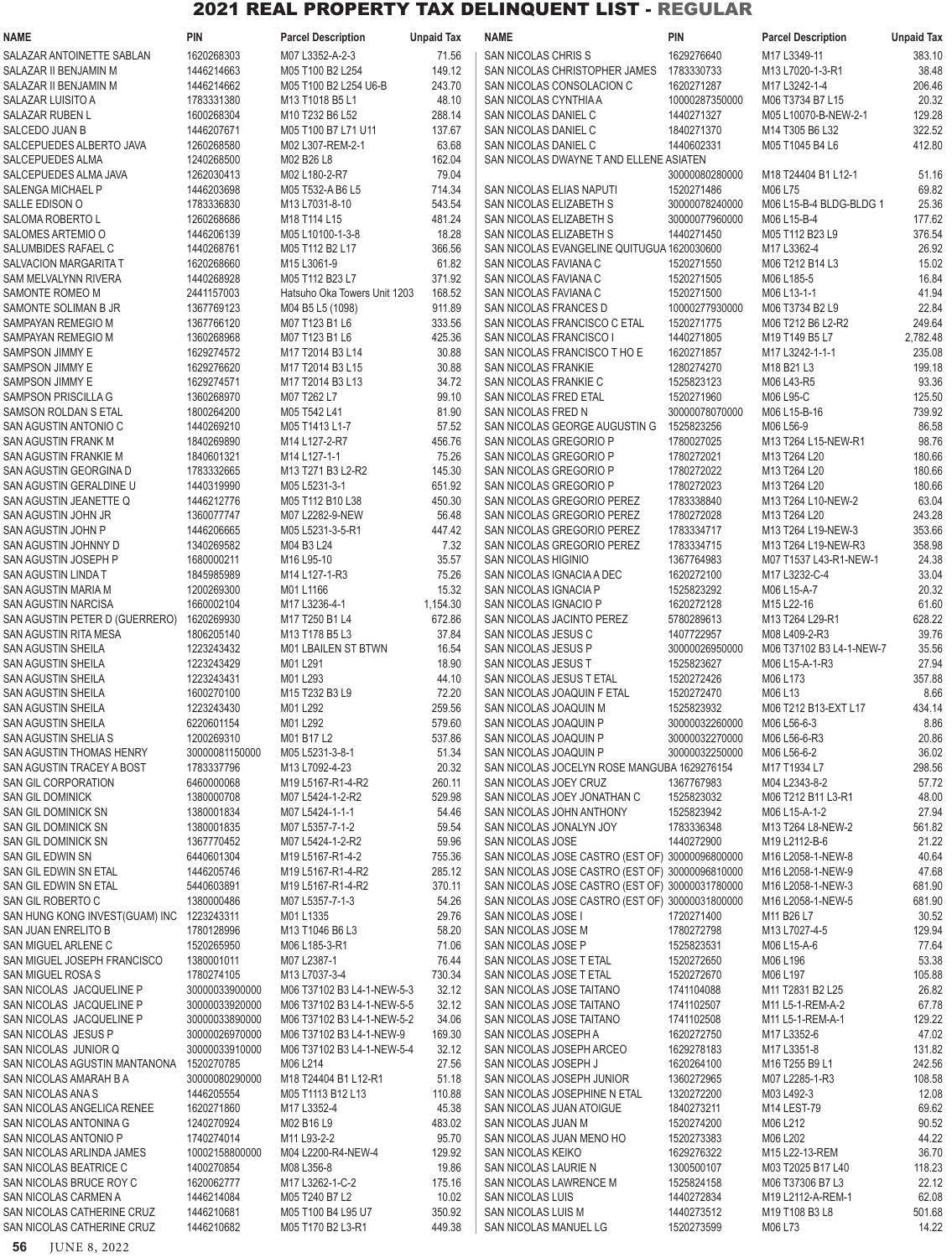| <b>NAME</b>                                                  | <b>PIN</b>                       | <b>Parcel Description</b>                                | <b>Unpaid Tax</b>  | <b>NAME</b>                                                                                        | PIN                          | <b>Parcel Description</b>              | <b>Unpaid Tax</b> |
|--------------------------------------------------------------|----------------------------------|----------------------------------------------------------|--------------------|----------------------------------------------------------------------------------------------------|------------------------------|----------------------------------------|-------------------|
| SALAZAR ANTOINETTE SABLAN                                    | 1620268303                       | M07 L3352-A-2-3                                          | 71.56              | SAN NICOLAS CHRIS S                                                                                | 1629276640                   | M17 L3349-11                           | 383.10            |
| SALAZAR II BENJAMIN M                                        | 1446214663                       | M05 T100 B2 L254                                         | 149.12             | SAN NICOLAS CHRISTOPHER JAMES                                                                      | 1783330733                   | M13 L7020-1-3-R1                       | 38.48             |
| SALAZAR II BENJAMIN M<br>SALAZAR LUISITO A                   | 1446214662<br>1783331380         | M05 T100 B2 L254 U6-B<br>M13 T1018 B5 L1                 | 243.70<br>48.10    | SAN NICOLAS CONSOLACION C<br>SAN NICOLAS CYNTHIA A                                                 | 1620271287<br>10000287350000 | M17 L3242-1-4<br>M06 T3734 B7 L15      | 206.46<br>20.32   |
| <b>SALAZAR RUBEN L</b>                                       | 1600268304                       | M10 T232 B6 L52                                          | 288.14             | SAN NICOLAS DANIEL C                                                                               | 1440271327                   | M05 L10070-B-NEW-2-1                   | 129.28            |
| SALCEDO JUAN B                                               | 1446207671                       | M05 T100 B7 L71 U11                                      | 137.67             | SAN NICOLAS DANIEL C                                                                               | 1840271370                   | M14 T305 B6 L32                        | 322.52            |
| SALCEPUEDES ALBERTO JAVA                                     | 1260268580                       | M02 L307-REM-2-1                                         | 63.68              | SAN NICOLAS DANIEL C                                                                               | 1440602331                   | M05 T1045 B4 L6                        | 412.80            |
| SALCEPUEDES ALMA                                             | 1240268500                       | M02 B26 L8                                               | 162.04             | SAN NICOLAS DWAYNE T AND ELLENE ASIATEN                                                            |                              |                                        |                   |
| SALCEPUEDES ALMA JAVA                                        | 1262030413                       | M02 L180-2-R7                                            | 79.04              |                                                                                                    | 30000080280000               | M18 T24404 B1 L12-1                    | 51.16             |
| <b>SALENGA MICHAEL P</b><br>SALLE EDISON O                   | 1446203698<br>1783336830         | M05 T532-A B6 L5<br>M13 L7031-8-10                       | 714.34<br>543.54   | SAN NICOLAS ELIAS NAPUTI<br>SAN NICOLAS ELIZABETH S                                                | 1520271486<br>30000078240000 | M06 L75<br>M06 L15-B-4 BLDG-BLDG 1     | 69.82<br>25.36    |
| SALOMA ROBERTO L                                             | 1260268686                       | M18 T114 L15                                             | 481.24             | SAN NICOLAS ELIZABETH S                                                                            | 30000077960000               | M06 L15-B-4                            | 177.62            |
| SALOMES ARTEMIO O                                            | 1446206139                       | M05 L10100-1-3-8                                         | 18.28              | SAN NICOLAS ELIZABETH S                                                                            | 1440271450                   | M05 T112 B23 L9                        | 376.54            |
| SALUMBIDES RAFAEL C                                          | 1440268761                       | M05 T112 B2 L17                                          | 366.56             | SAN NICOLAS EVANGELINE QUITUGUA 1620030600                                                         |                              | M17 L3362-4                            | 26.92             |
| SALVACION MARGARITA T                                        | 1620268660                       | M15 L3061-9                                              | 61.82              | SAN NICOLAS FAVIANA C                                                                              | 1520271550                   | M06 T212 B14 L3                        | 15.02             |
| <b>SAM MELVALYNN RIVERA</b>                                  | 1440268928                       | M05 T112 B23 L7                                          | 371.92             | SAN NICOLAS FAVIANA C                                                                              | 1520271505                   | M06 L185-5                             | 16.84             |
| SAMONTE ROMEO M<br>SAMONTE SOLIMAN B JR                      | 2441157003<br>1367769123         | Hatsuho Oka Towers Unit 1203<br>M04 B5 L5 (1098)         | 168.52<br>911.89   | SAN NICOLAS FAVIANA C<br>SAN NICOLAS FRANCES D                                                     | 1520271500<br>10000277930000 | M06 L13-1-1<br>M06 T3734 B2 L9         | 41.94<br>22.84    |
| SAMPAYAN REMEGIO M                                           | 1367766120                       | M07 T123 B1 L6                                           | 333.56             | SAN NICOLAS FRANCISCO C ETAL                                                                       | 1520271775                   | M06 T212 B6 L2-R2                      | 249.64            |
| SAMPAYAN REMEGIO M                                           | 1360268968                       | M07 T123 B1 L6                                           | 425.36             | SAN NICOLAS FRANCISCO I                                                                            | 1440271805                   | M19 T149 B5 L7                         | 2,782.48          |
| SAMPSON JIMMY E                                              | 1629274572                       | M17 T2014 B3 L14                                         | 30.88              | SAN NICOLAS FRANCISCO T HO E                                                                       | 1620271857                   | M17 L3242-1-1-1                        | 235.08            |
| SAMPSON JIMMY E                                              | 1629276620                       | M17 T2014 B3 L15                                         | 30.88              | <b>SAN NICOLAS FRANKIE</b>                                                                         | 1280274270                   | M18 B21 L3                             | 199.18            |
| SAMPSON JIMMY E                                              | 1629274571                       | M17 T2014 B3 L13                                         | 34.72              | SAN NICOLAS FRANKIE C                                                                              | 1525823123                   | M06 L43-R5                             | 93.36             |
| <b>SAMPSON PRISCILLA G</b><br>SAMSON ROLDAN S ETAL           | 1360268970<br>1800264200         | M07 T262 L7<br>M05 T542 L41                              | 99.10<br>81.90     | SAN NICOLAS FRED ETAL<br>SAN NICOLAS FRED N                                                        | 1520271960<br>30000078070000 | M06 L95-C<br>M06 L15-B-16              | 125.50<br>739.92  |
| SAN AGUSTIN ANTONIO C                                        | 1440269210                       | M05 T1413 L1-7                                           | 57.52              | SAN NICOLAS GEORGE AUGUSTIN G                                                                      | 1525823256                   | M06 L56-9                              | 86.58             |
| SAN AGUSTIN FRANK M                                          | 1840269890                       | M14 L127-2-R7                                            | 456.76             | SAN NICOLAS GREGORIO P                                                                             | 1780027025                   | M13 T264 L15-NEW-R1                    | 98.76             |
| SAN AGUSTIN FRANKIE M                                        | 1840601321                       | M14 L127-1-1                                             | 75.26              | SAN NICOLAS GREGORIO P                                                                             | 1780272021                   | M13 T264 L20                           | 180.66            |
| SAN AGUSTIN GEORGINA D                                       | 1783332665                       | M13 T271 B3 L2-R2                                        | 145.30             | SAN NICOLAS GREGORIO P                                                                             | 1780272022                   | M13 T264 L20                           | 180.66            |
| SAN AGUSTIN GERALDINE U                                      | 1440319990                       | M05 L5231-3-1                                            | 651.92             | SAN NICOLAS GREGORIO P                                                                             | 1780272023                   | M13 T264 L20                           | 180.66            |
| SAN AGUSTIN JEANETTE Q<br>SAN AGUSTIN JOHN JR                | 1446212776<br>1360077747         | M05 T112 B10 L38<br>M07 L2282-9-NEW                      | 450.30<br>56.48    | SAN NICOLAS GREGORIO PEREZ<br>SAN NICOLAS GREGORIO PEREZ                                           | 1783338840<br>1780272028     | M13 T264 L10-NEW-2<br>M13 T264 L20     | 63.04<br>243.28   |
| SAN AGUSTIN JOHN P                                           | 1446206665                       | M05 L5231-3-5-R1                                         | 447.42             | SAN NICOLAS GREGORIO PEREZ                                                                         | 1783334717                   | M13 T264 L19-NEW-3                     | 353.66            |
| SAN AGUSTIN JOHNNY D                                         | 1340269582                       | M04 B3 L24                                               | 7.32               | SAN NICOLAS GREGORIO PEREZ                                                                         | 1783334715                   | M13 T264 L19-NEW-R3                    | 358.98            |
| SAN AGUSTIN JOSEPH P                                         | 1680000211                       | M16 L95-10                                               | 35.57              | <b>SAN NICOLAS HIGINIO</b>                                                                         | 1367764983                   | M07 T1537 L43-R1-NEW-1                 | 24.38             |
| SAN AGUSTIN LINDA T                                          | 1845985989                       | M14 L127-1-R3                                            | 75.26              | SAN NICOLAS IGNACIA A DEC                                                                          | 1620272100                   | M17 L3232-C-4                          | 33.04             |
| SAN AGUSTIN MARIA M                                          | 1200269300                       | M01L1166                                                 | 15.32              | SAN NICOLAS IGNACIA P                                                                              | 1525823292                   | M06 L15-A-7                            | 20.32             |
| <b>SAN AGUSTIN NARCISA</b><br>SAN AGUSTIN PETER D (GUERRERO) | 1660002104<br>1620269930         | M17 L3236-4-1<br>M17 T250 B1 L4                          | 1,154.30<br>672.86 | SAN NICOLAS IGNACIO P<br>SAN NICOLAS JACINTO PEREZ                                                 | 1620272128<br>5780289613     | M15 L22-16<br>M13 T264 L29-R1          | 61.60<br>628.22   |
| SAN AGUSTIN RITA MESA                                        | 1806205140                       | M13 T178 B5 L3                                           | 37.84              | SAN NICOLAS JESUS C                                                                                | 1407722957                   | M08 L409-2-R3                          | 39.76             |
| SAN AGUSTIN SHEILA                                           | 1223243432                       | <b>M01 LBAILEN ST BTWN</b>                               | 16.54              | SAN NICOLAS JESUS P                                                                                | 30000026950000               | M06 T37102 B3 L4-1-NEW-7               | 35.56             |
| <b>SAN AGUSTIN SHEILA</b>                                    | 1223243429                       | M01 L291                                                 | 18.90              | SAN NICOLAS JESUS T                                                                                | 1525823627                   | M06 L15-A-1-R3                         | 27.94             |
| <b>SAN AGUSTIN SHEILA</b>                                    | 1223243431                       | M01 L293                                                 | 44.10              | SAN NICOLAS JESUS T ETAL                                                                           | 1520272426                   | M06 L173                               | 357.88            |
| SAN AGUSTIN SHEILA                                           | 1600270100<br>1223243430         | M15 T232 B3 L9                                           | 72.20              | SAN NICOLAS JOAQUIN F ETAL                                                                         | 1520272470<br>1525823932     | M06 L13                                | 8.66              |
| SAN AGUSTIN SHEILA<br><b>SAN AGUSTIN SHEILA</b>              | 6220601154                       | M01 L292<br>M01 L292                                     | 259.56<br>579.60   | SAN NICOLAS JOAQUIN M<br>SAN NICOLAS JOAQUIN P                                                     | 30000032260000               | M06 T212 B13-EXT L17<br>M06 L56-6-3    | 434.14<br>8.86    |
| SAN AGUSTIN SHELIA S                                         | 1200269310                       | M01 B17 L2                                               | 537.86             | SAN NICOLAS JOAQUIN P                                                                              | 30000032270000               | M06 L56-6-R3                           | 20.86             |
| <b>SAN AGUSTIN THOMAS HENRY</b>                              | 30000081150000                   | M05 L5231-3-8-1                                          | 51.34              | SAN NICOLAS JOAQUIN P                                                                              | 30000032250000               | M06 L56-6-2                            | 36.02             |
| SAN AGUSTIN TRACEY A BOST                                    | 1783337796                       | M13 L7092-4-23                                           | 20.32              | SAN NICOLAS JOCELYN ROSE MANGUBA 1629276154                                                        |                              | M17 T1934 L7                           | 298.56            |
| SAN GIL CORPORATION                                          | 6460000068                       | M19 L5167-R1-4-R2                                        | 260.11             | SAN NICOLAS JOEY CRUZ                                                                              | 1367767983                   | M04 L2343-8-2                          | 57.72             |
| <b>SAN GIL DOMINICK</b><br>SAN GIL DOMINICK SN               | 1380000708<br>1380001834         | M07 L5424-1-2-R2<br>M07 L5424-1-1-1                      | 529.98<br>54.46    | SAN NICOLAS JOEY JONATHAN C<br>SAN NICOLAS JOHN ANTHONY                                            | 1525823032<br>1525823942     | M06 T212 B11 L3-R1<br>M06 L15-A-1-2    | 48.00<br>27.94    |
| SAN GIL DOMINICK SN                                          | 1380001835                       | M07 L5357-7-1-2                                          | 59.54              | SAN NICOLAS JONALYN JOY                                                                            | 1783336348                   | M13 T264 L8-NEW-2                      | 561.82            |
| SAN GIL DOMINICK SN                                          | 1367770452                       | M07 L5424-1-2-R2                                         | 59.96              | <b>SAN NICOLAS JOSE</b>                                                                            | 1440272900                   | M19 L2112-B-6                          | 21.22             |
| SAN GIL EDWIN SN                                             | 6440601304                       | M19 L5167-R1-4-2                                         | 755.36             | SAN NICOLAS JOSE CASTRO (EST OF) 30000096800000                                                    |                              | M16 L2058-1-NEW-8                      | 40.64             |
| SAN GIL EDWIN SN ETAL                                        | 1446205746                       | M19 L5167-R1-4-R2                                        | 285.12             | SAN NICOLAS JOSE CASTRO (EST OF) 30000096810000                                                    |                              | M16 L2058-1-NEW-9                      | 47.68             |
| SAN GIL EDWIN SN ETAL<br>SAN GIL ROBERTO C                   | 5440603891<br>1380000486         | M19 L5167-R1-4-R2<br>M07 L5357-7-1-3                     | 370.11<br>54.26    | SAN NICOLAS JOSE CASTRO (EST OF) 30000031780000<br>SAN NICOLAS JOSE CASTRO (EST OF) 30000031800000 |                              | M16 L2058-1-NEW-3<br>M16 L2058-1-NEW-5 | 681.90<br>681.90  |
| SAN HUNG KONG INVEST(GUAM) INC                               | 1223243311                       | M01L1335                                                 | 29.76              | SAN NICOLAS JOSE I                                                                                 | 1720271400                   | M11 B26 L7                             | 30.52             |
| SAN JUAN ENRELITO B                                          | 1780128996                       | M13 T1046 B6 L3                                          | 58.20              | SAN NICOLAS JOSE M                                                                                 | 1780272798                   | M13 L7027-4-5                          | 129.94            |
| SAN MIGUEL ARLENE C                                          | 1520265950                       | M06 L185-3-R1                                            | 71.06              | SAN NICOLAS JOSE P                                                                                 | 1525823531                   | M06 L15-A-6                            | 77.64             |
| SAN MIGUEL JOSEPH FRANCISCO                                  | 1380001011                       | M07 L2387-1                                              | 76.44              | SAN NICOLAS JOSE T ETAL                                                                            | 1520272650                   | M06 L196                               | 53.38             |
| SAN MIGUEL ROSA S                                            | 1780274105                       | M13 L7037-3-4                                            | 730.34             | SAN NICOLAS JOSE T ETAL                                                                            | 1520272670                   | M06 L197                               | 105.88            |
| SAN NICOLAS JACQUELINE P<br>SAN NICOLAS JACQUELINE P         | 30000033900000<br>30000033920000 | M06 T37102 B3 L4-1-NEW-5-3<br>M06 T37102 B3 L4-1-NEW-5-5 | 32.12<br>32.12     | SAN NICOLAS JOSE TAITANO<br>SAN NICOLAS JOSE TAITANO                                               | 1741104088<br>1741102507     | M11 T2831 B2 L25<br>M11 L5-1-REM-A-2   | 26.82<br>67.78    |
| SAN NICOLAS JACQUELINE P                                     | 30000033890000                   | M06 T37102 B3 L4-1-NEW-5-2                               | 34.06              | SAN NICOLAS JOSE TAITANO                                                                           | 1741102508                   | M11 L5-1-REM-A-1                       | 129.22            |
| SAN NICOLAS JESUS P                                          | 30000026970000                   | M06 T37102 B3 L4-1-NEW-9                                 | 169.30             | SAN NICOLAS JOSEPH A                                                                               | 1620272750                   | M17 L3352-6                            | 47.02             |
| SAN NICOLAS JUNIOR Q                                         | 30000033910000                   | M06 T37102 B3 L4-1-NEW-5-4                               | 32.12              | SAN NICOLAS JOSEPH ARCEO                                                                           | 1629278183                   | M17 L3351-8                            | 131.82            |
| SAN NICOLAS AGUSTIN MANTANONA                                | 1520270785                       | M06 L214                                                 | 27.56              | SAN NICOLAS JOSEPH J                                                                               | 1620264100                   | M16 T255 B9 L1                         | 242.56            |
| SAN NICOLAS AMARAH B A                                       | 30000080290000                   | M18 T24404 B1 L12-R1                                     | 51.18              | SAN NICOLAS JOSEPH JUNIOR                                                                          | 1360272965                   | M07 L2285-1-R3                         | 108.58            |
| SAN NICOLAS ANA S<br>SAN NICOLAS ANGELICA RENEE              | 1446205554<br>1620271860         | M05 T1113 B12 L13<br>M17 L3352-4                         | 110.88<br>45.38    | SAN NICOLAS JOSEPHINE N ETAL<br>SAN NICOLAS JUAN ATOIGUE                                           | 1320272200<br>1840273211     | M03 L492-3<br>M14 LEST-79              | 12.08<br>69.62    |
| SAN NICOLAS ANTONINA G                                       | 1240270924                       | M02 B16 L9                                               | 483.02             | SAN NICOLAS JUAN M                                                                                 | 1520274200                   | M06 L212                               | 90.52             |
| SAN NICOLAS ANTONIO P                                        | 1740274014                       | M11 L93-2-2                                              | 95.70              | SAN NICOLAS JUAN MENO HO                                                                           | 1520273383                   | M06 L202                               | 44.22             |
| SAN NICOLAS ARLINDA JAMES                                    | 10002158800000                   | M04 L2200-R4-NEW-4                                       | 129.92             | SAN NICOLAS KEIKO                                                                                  | 1629276322                   | M15 L22-13-REM                         | 36.70             |
| SAN NICOLAS BEATRICE C                                       | 1400270854                       | M08 L356-8                                               | 19.86              | SAN NICOLAS LAURIE N                                                                               | 1300500107                   | M03 T2025 B17 L40                      | 118.23            |
| SAN NICOLAS BRUCE ROY C<br>SAN NICOLAS CARMEN A              | 1620062777<br>1446214084         | M17 L3262-1-C-2<br>M05 T240 B7 L2                        | 175.16<br>10.02    | SAN NICOLAS LAWRENCE M<br><b>SAN NICOLAS LUIS</b>                                                  | 1525824158<br>1440272834     | M06 T37306 B7 L3<br>M19 L2112-A-REM-1  | 22.12<br>62.08    |
| SAN NICOLAS CATHERINE CRUZ                                   | 1446210681                       | M05 T100 B4 L95 U7                                       | 350.92             | <b>SAN NICOLAS LUIS M</b>                                                                          | 1440273512                   | M19 T108 B3 L8                         | 501.68            |
| SAN NICOLAS CATHERINE CRUZ                                   | 1446210682                       | M05 T170 B2 L3-R1                                        | 449.38             | SAN NICOLAS MANUEL LG                                                                              | 1520273599                   | M06 L73                                | 14.22             |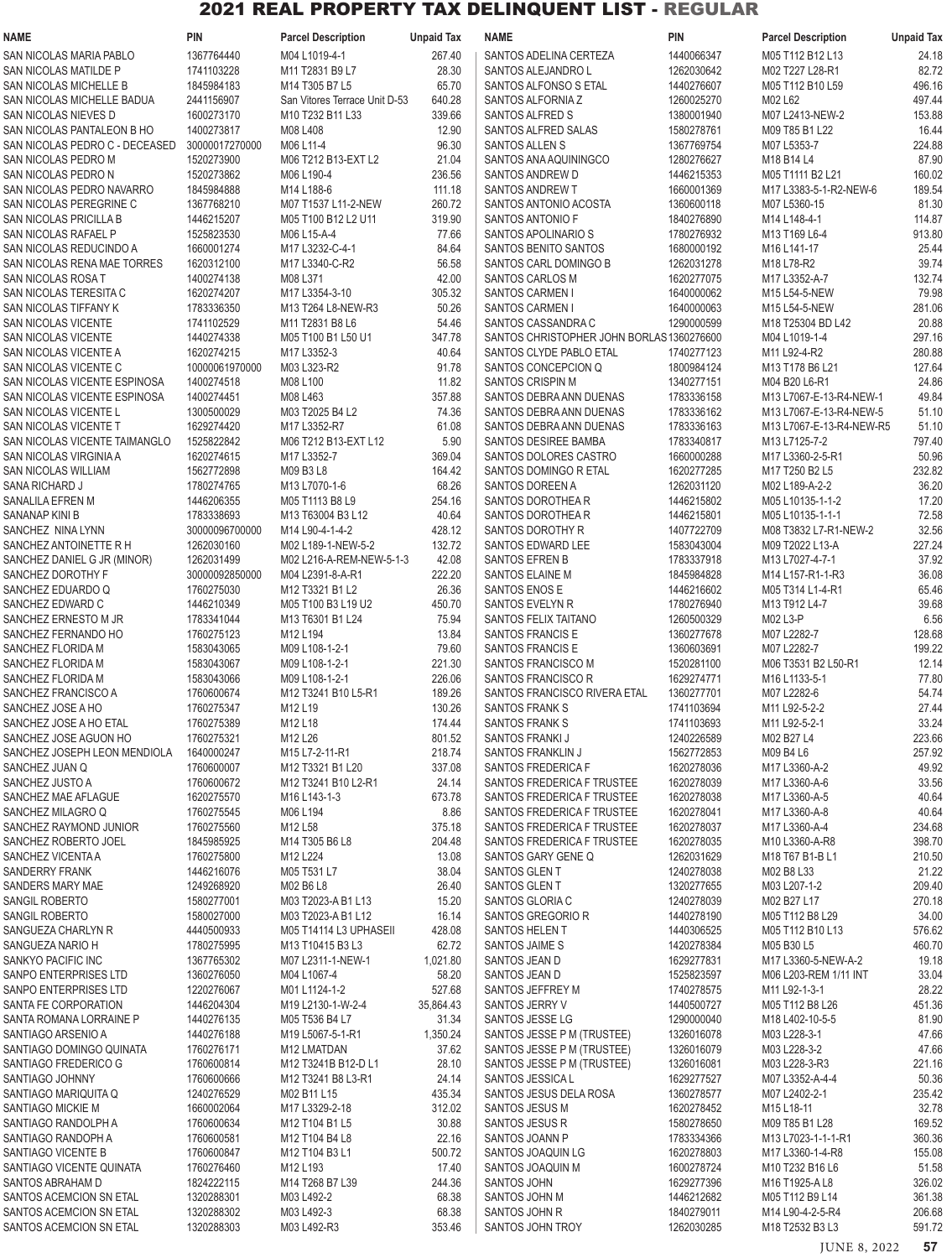| <b>NAME</b>                                           | <b>PIN</b>                   | <b>Parcel Description</b>                                                        | <b>Unpaid Tax</b> | <b>NAME</b>                                                    | <b>PIN</b>               | <b>Parcel Description</b>                | <b>Unpaid Tax</b> |
|-------------------------------------------------------|------------------------------|----------------------------------------------------------------------------------|-------------------|----------------------------------------------------------------|--------------------------|------------------------------------------|-------------------|
| SAN NICOLAS MARIA PABLO                               | 1367764440                   | M04 L1019-4-1                                                                    | 267.40            | SANTOS ADELINA CERTEZA                                         | 1440066347               | M05 T112 B12 L13                         | 24.18             |
| SAN NICOLAS MATILDE P                                 | 1741103228                   | M11 T2831 B9 L7                                                                  | 28.30             | SANTOS ALEJANDRO L                                             | 1262030642               | M02 T227 L28-R1                          | 82.72             |
| SAN NICOLAS MICHELLE B                                | 1845984183                   | M14 T305 B7 L5                                                                   | 65.70             | SANTOS ALFONSO S ETAL                                          | 1440276607               | M05 T112 B10 L59                         | 496.16            |
| SAN NICOLAS MICHELLE BADUA                            | 2441156907                   | San Vitores Terrace Unit D-53                                                    | 640.28            | SANTOS ALFORNIA Z                                              | 1260025270               | M02 L62                                  | 497.44            |
| SAN NICOLAS NIEVES D                                  | 1600273170                   | M10 T232 B11 L33                                                                 | 339.66            | SANTOS ALFRED S                                                | 1380001940               | M07 L2413-NEW-2                          | 153.88            |
| SAN NICOLAS PANTALEON B HO                            | 1400273817                   | M08 L408                                                                         | 12.90             | SANTOS ALFRED SALAS                                            | 1580278761               | M09 T85 B1 L22                           | 16.44             |
| SAN NICOLAS PEDRO C - DECEASED<br>SAN NICOLAS PEDRO M | 30000017270000<br>1520273900 | M06 L11-4<br>M06 T212 B13-EXT L2                                                 | 96.30<br>21.04    | SANTOS ALLEN S<br>SANTOS ANA AQUININGCO                        | 1367769754<br>1280276627 | M07 L5353-7<br>M18 B14 L4                | 224.88<br>87.90   |
| SAN NICOLAS PEDRO N                                   | 1520273862                   | M06 L190-4                                                                       | 236.56            | SANTOS ANDREW D                                                | 1446215353               | M05 T1111 B2 L21                         | 160.02            |
| SAN NICOLAS PEDRO NAVARRO                             | 1845984888                   | M14 L188-6                                                                       | 111.18            | <b>SANTOS ANDREW T</b>                                         | 1660001369               | M17 L3383-5-1-R2-NEW-6                   | 189.54            |
| SAN NICOLAS PEREGRINE C                               | 1367768210                   | M07 T1537 L11-2-NEW                                                              | 260.72            | SANTOS ANTONIO ACOSTA                                          | 1360600118               | M07 L5360-15                             | 81.30             |
| <b>SAN NICOLAS PRICILLA B</b>                         | 1446215207                   | M05 T100 B12 L2 U11                                                              | 319.90            | SANTOS ANTONIO F                                               | 1840276890               | M14 L148-4-1                             | 114.87            |
| SAN NICOLAS RAFAEL P                                  | 1525823530                   | M06 L15-A-4                                                                      | 77.66             | SANTOS APOLINARIO S                                            | 1780276932               | M13 T169 L6-4                            | 913.80            |
| SAN NICOLAS REDUCINDO A                               | 1660001274                   | M17 L3232-C-4-1                                                                  | 84.64             | <b>SANTOS BENITO SANTOS</b>                                    | 1680000192               | M16 L141-17                              | 25.44             |
| SAN NICOLAS RENA MAE TORRES                           | 1620312100                   | M17 L3340-C-R2                                                                   | 56.58             | SANTOS CARL DOMINGO B                                          | 1262031278               | M18 L78-R2                               | 39.74             |
| SAN NICOLAS ROSA T                                    | 1400274138                   | M08 L371                                                                         | 42.00             | <b>SANTOS CARLOS M</b>                                         | 1620277075               | M17 L3352-A-7                            | 132.74            |
| SAN NICOLAS TERESITA C                                | 1620274207                   | M17 L3354-3-10                                                                   | 305.32            | SANTOS CARMEN I                                                | 1640000062               | M15 L54-5-NEW                            | 79.98             |
| SAN NICOLAS TIFFANY K                                 | 1783336350                   | M13 T264 L8-NEW-R3                                                               | 50.26             | <b>SANTOS CARMEN I</b>                                         | 1640000063               | M15 L54-5-NEW                            | 281.06            |
| <b>SAN NICOLAS VICENTE</b><br>SAN NICOLAS VICENTE     | 1741102529<br>1440274338     | M11 T2831 B8 L6<br>M05 T100 B1 L50 U1                                            | 54.46<br>347.78   | SANTOS CASSANDRA C<br>SANTOS CHRISTOPHER JOHN BORLAS1360276600 | 1290000599               | M18 T25304 BD L42<br>M04 L1019-1-4       | 20.88<br>297.16   |
| <b>SAN NICOLAS VICENTE A</b>                          | 1620274215                   | M17 L3352-3                                                                      | 40.64             | SANTOS CLYDE PABLO ETAL                                        | 1740277123               | M11 L92-4-R2                             | 280.88            |
| SAN NICOLAS VICENTE C                                 | 10000061970000               | M03 L323-R2                                                                      | 91.78             | SANTOS CONCEPCION Q                                            | 1800984124               | M13 T178 B6 L21                          | 127.64            |
| SAN NICOLAS VICENTE ESPINOSA                          | 1400274518                   | M08 L100                                                                         | 11.82             | SANTOS CRISPIN M                                               | 1340277151               | M04 B20 L6-R1                            | 24.86             |
| SAN NICOLAS VICENTE ESPINOSA                          | 1400274451                   | M08 L463                                                                         | 357.88            | SANTOS DEBRA ANN DUENAS                                        | 1783336158               | M13 L7067-E-13-R4-NEW-1                  | 49.84             |
| SAN NICOLAS VICENTE L                                 | 1300500029                   | M03 T2025 B4 L2                                                                  | 74.36             | SANTOS DEBRA ANN DUENAS                                        | 1783336162               | M13 L7067-E-13-R4-NEW-5                  | 51.10             |
| SAN NICOLAS VICENTE T                                 | 1629274420                   | M17 L3352-R7                                                                     | 61.08             | SANTOS DEBRA ANN DUENAS                                        | 1783336163               | M13 L7067-E-13-R4-NEW-R5                 | 51.10             |
| SAN NICOLAS VICENTE TAIMANGLO                         | 1525822842                   | M06 T212 B13-EXT L12                                                             | 5.90              | <b>SANTOS DESIREE BAMBA</b>                                    | 1783340817               | M13 L7125-7-2                            | 797.40            |
| SAN NICOLAS VIRGINIA A                                | 1620274615                   | M17 L3352-7                                                                      | 369.04            | SANTOS DOLORES CASTRO                                          | 1660000288               | M17 L3360-2-5-R1                         | 50.96             |
| <b>SAN NICOLAS WILLIAM</b>                            | 1562772898                   | M09 B3 L8                                                                        | 164.42            | SANTOS DOMINGO R ETAL                                          | 1620277285               | M17 T250 B2 L5                           | 232.82            |
| <b>SANA RICHARD J</b>                                 | 1780274765                   | M13 L7070-1-6                                                                    | 68.26             | SANTOS DOREEN A                                                | 1262031120               | M02 L189-A-2-2                           | 36.20             |
| SANALILA EFREN M                                      | 1446206355                   | M05 T1113 B8 L9                                                                  | 254.16            | SANTOS DOROTHEAR                                               | 1446215802               | M05 L10135-1-1-2                         | 17.20             |
| SANANAP KINI B                                        | 1783338693                   | M13 T63004 B3 L12                                                                | 40.64             | SANTOS DOROTHEAR                                               | 1446215801               | M05 L10135-1-1-1                         | 72.58             |
| SANCHEZ NINA LYNN<br>SANCHEZ ANTOINETTE R H           | 30000096700000<br>1262030160 | M14 L90-4-1-4-2<br>M02 L189-1-NEW-5-2                                            | 428.12<br>132.72  | SANTOS DOROTHY R<br>SANTOS EDWARD LEE                          | 1407722709<br>1583043004 | M08 T3832 L7-R1-NEW-2<br>M09 T2022 L13-A | 32.56<br>227.24   |
| SANCHEZ DANIEL G JR (MINOR)                           | 1262031499                   | M02 L216-A-REM-NEW-5-1-3                                                         | 42.08             | <b>SANTOS EFREN B</b>                                          | 1783337918               | M13 L7027-4-7-1                          | 37.92             |
| SANCHEZ DOROTHY F                                     | 30000092850000               | M04 L2391-8-A-R1                                                                 | 222.20            | SANTOS ELAINE M                                                | 1845984828               | M14 L157-R1-1-R3                         | 36.08             |
| SANCHEZ EDUARDO Q                                     | 1760275030                   | M12 T3321 B1 L2                                                                  | 26.36             | SANTOS ENOS E                                                  | 1446216602               | M05 T314 L1-4-R1                         | 65.46             |
| SANCHEZ EDWARD C                                      | 1446210349                   | M05 T100 B3 L19 U2                                                               | 450.70            | SANTOS EVELYN R                                                | 1780276940               | M13 T912 L4-7                            | 39.68             |
| SANCHEZ ERNESTO M JR                                  | 1783341044                   | M13 T6301 B1 L24                                                                 | 75.94             | <b>SANTOS FELIX TAITANO</b>                                    | 1260500329               | M02 L3-P                                 | 6.56              |
| SANCHEZ FERNANDO HO                                   | 1760275123                   | M12 L194                                                                         | 13.84             | SANTOS FRANCIS E                                               | 1360277678               | M07 L2282-7                              | 128.68            |
| SANCHEZ FLORIDA M                                     | 1583043065                   | M09 L108-1-2-1                                                                   | 79.60             | SANTOS FRANCIS E                                               | 1360603691               | M07 L2282-7                              | 199.22            |
| SANCHEZ FLORIDA M                                     | 1583043067                   | M09 L108-1-2-1                                                                   | 221.30            | SANTOS FRANCISCO M                                             | 1520281100               | M06 T3531 B2 L50-R1                      | 12.14             |
| SANCHEZ FLORIDA M                                     | 1583043066                   | M09 L108-1-2-1                                                                   | 226.06            | SANTOS FRANCISCO R                                             | 1629274771               | M16 L1133-5-1                            | 77.80             |
| SANCHEZ FRANCISCO A                                   | 1760600674                   | M <sub>12</sub> T <sub>3241</sub> B <sub>10</sub> L <sub>5</sub> -R <sub>1</sub> | 189.26            | SANTOS FRANCISCO RIVERA ETAL                                   | 1360277701               | M07 L2282-6                              | 54.74             |
| SANCHEZ JOSE A HO<br>SANCHEZ JOSE A HO ETAL           | 1760275347<br>1760275389     | M12L19<br>M12 L18                                                                | 130.26<br>174.44  | SANTOS FRANK S<br>SANTOS FRANK S                               | 1741103694<br>1741103693 | M11 L92-5-2-2<br>M11 L92-5-2-1           | 27.44<br>33.24    |
| SANCHEZ JOSE AGUON HO                                 | 1760275321                   | M12 L26                                                                          | 801.52            | SANTOS FRANKI J                                                | 1240226589               | M02 B27 L4                               | 223.66            |
| SANCHEZ JOSEPH LEON MENDIOLA                          | 1640000247                   | M15 L7-2-11-R1                                                                   | 218.74            | SANTOS FRANKLIN J                                              | 1562772853               | M09 B4 L6                                | 257.92            |
| SANCHEZ JUAN Q                                        | 1760600007                   | M12 T3321 B1 L20                                                                 | 337.08            | SANTOS FREDERICA F                                             | 1620278036               | M17 L3360-A-2                            | 49.92             |
| SANCHEZ JUSTO A                                       | 1760600672                   | M12 T3241 B10 L2-R1                                                              | 24.14             | SANTOS FREDERICA F TRUSTEE                                     | 1620278039               | M17 L3360-A-6                            | 33.56             |
| SANCHEZ MAE AFLAGUE                                   | 1620275570                   | M16 L143-1-3                                                                     | 673.78            | SANTOS FREDERICA F TRUSTEE                                     | 1620278038               | M17 L3360-A-5                            | 40.64             |
| SANCHEZ MILAGRO Q                                     | 1760275545                   | M06 L194                                                                         | 8.86              | SANTOS FREDERICA F TRUSTEE                                     | 1620278041               | M17 L3360-A-8                            | 40.64             |
| SANCHEZ RAYMOND JUNIOR                                | 1760275560                   | M12L58                                                                           | 375.18            | SANTOS FREDERICA F TRUSTEE                                     | 1620278037               | M17 L3360-A-4                            | 234.68            |
| SANCHEZ ROBERTO JOEL                                  | 1845985925                   | M14 T305 B6 L8                                                                   | 204.48            | SANTOS FREDERICA F TRUSTEE                                     | 1620278035               | M10 L3360-A-R8                           | 398.70            |
| SANCHEZ VICENTA A                                     | 1760275800                   | M12 L224                                                                         | 13.08             | SANTOS GARY GENE Q                                             | 1262031629               | M18 T67 B1-B L1                          | 210.50            |
| SANDERRY FRANK<br>SANDERS MARY MAE                    | 1446216076<br>1249268920     | M05 T531 L7<br>M02 B6 L8                                                         | 38.04<br>26.40    | SANTOS GLENT<br>SANTOS GLENT                                   | 1240278038<br>1320277655 | M02 B8 L33<br>M03 L207-1-2               | 21.22<br>209.40   |
| SANGIL ROBERTO                                        | 1580277001                   | M03 T2023-A B1 L13                                                               | 15.20             | SANTOS GLORIA C                                                | 1240278039               | M02 B27 L17                              | 270.18            |
| SANGIL ROBERTO                                        | 1580027000                   | M03 T2023-A B1 L12                                                               | 16.14             | SANTOS GREGORIO R                                              | 1440278190               | M05 T112 B8 L29                          | 34.00             |
| SANGUEZA CHARLYN R                                    | 4440500933                   | M05 T14114 L3 UPHASEII                                                           | 428.08            | SANTOS HELEN T                                                 | 1440306525               | M05 T112 B10 L13                         | 576.62            |
| SANGUEZA NARIO H                                      | 1780275995                   | M13 T10415 B3 L3                                                                 | 62.72             | SANTOS JAIME S                                                 | 1420278384               | M05 B30 L5                               | 460.70            |
| SANKYO PACIFIC INC                                    | 1367765302                   | M07 L2311-1-NEW-1                                                                | 1,021.80          | SANTOS JEAN D                                                  | 1629277831               | M17 L3360-5-NEW-A-2                      | 19.18             |
| SANPO ENTERPRISES LTD                                 | 1360276050                   | M04 L1067-4                                                                      | 58.20             | SANTOS JEAN D                                                  | 1525823597               | M06 L203-REM 1/11 INT                    | 33.04             |
| SANPO ENTERPRISES LTD                                 | 1220276067                   | M01 L1124-1-2                                                                    | 527.68            | SANTOS JEFFREY M                                               | 1740278575               | M11 L92-1-3-1                            | 28.22             |
| SANTA FE CORPORATION                                  | 1446204304                   | M19 L2130-1-W-2-4                                                                | 35,864.43         | SANTOS JERRY V                                                 | 1440500727               | M05 T112 B8 L26                          | 451.36            |
| SANTA ROMANA LORRAINE P                               | 1440276135                   | M05 T536 B4 L7                                                                   | 31.34             | SANTOS JESSE LG                                                | 1290000040               | M18 L402-10-5-5                          | 81.90             |
| SANTIAGO ARSENIO A<br>SANTIAGO DOMINGO QUINATA        | 1440276188<br>1760276171     | M19 L5067-5-1-R1<br>M12 LMATDAN                                                  | 1,350.24<br>37.62 | SANTOS JESSE P M (TRUSTEE)<br>SANTOS JESSE P M (TRUSTEE)       | 1326016078<br>1326016079 | M03 L228-3-1<br>M03 L228-3-2             | 47.66<br>47.66    |
| SANTIAGO FREDERICO G                                  | 1760600814                   | M12 T3241B B12-D L1                                                              | 28.10             | SANTOS JESSE P M (TRUSTEE)                                     | 1326016081               | M03 L228-3-R3                            | 221.16            |
| SANTIAGO JOHNNY                                       | 1760600666                   | M12 T3241 B8 L3-R1                                                               | 24.14             | SANTOS JESSICA L                                               | 1629277527               | M07 L3352-A-4-4                          | 50.36             |
| SANTIAGO MARIQUITA Q                                  | 1240276529                   | M02 B11 L15                                                                      | 435.34            | SANTOS JESUS DELA ROSA                                         | 1360278577               | M07 L2402-2-1                            | 235.42            |
| SANTIAGO MICKIE M                                     | 1660002064                   | M17 L3329-2-18                                                                   | 312.02            | SANTOS JESUS M                                                 | 1620278452               | M15 L18-11                               | 32.78             |
| SANTIAGO RANDOLPH A                                   | 1760600634                   | M12 T104 B1 L5                                                                   | 30.88             | SANTOS JESUS R                                                 | 1580278650               | M09 T85 B1 L28                           | 169.52            |
| SANTIAGO RANDOPH A                                    | 1760600581                   | M12 T104 B4 L8                                                                   | 22.16             | SANTOS JOANN P                                                 | 1783334366               | M13 L7023-1-1-1-R1                       | 360.36            |
| SANTIAGO VICENTE B                                    | 1760600847                   | M12 T104 B3 L1                                                                   | 500.72            | SANTOS JOAQUIN LG                                              | 1620278803               | M17 L3360-1-4-R8                         | 155.08            |
| SANTIAGO VICENTE QUINATA                              | 1760276460                   | M12 L193                                                                         | 17.40             | SANTOS JOAQUIN M                                               | 1600278724               | M10 T232 B16 L6                          | 51.58             |
| SANTOS ABRAHAM D                                      | 1824222115                   | M14 T268 B7 L39                                                                  | 244.36            | <b>SANTOS JOHN</b>                                             | 1629277396               | M16 T1925-A L8                           | 326.02            |
| SANTOS ACEMCION SN ETAL<br>SANTOS ACEMCION SN ETAL    | 1320288301<br>1320288302     | M03 L492-2<br>M03 L492-3                                                         | 68.38<br>68.38    | SANTOS JOHN M<br>SANTOS JOHN R                                 | 1446212682<br>1840279011 | M05 T112 B9 L14<br>M14 L90-4-2-5-R4      | 361.38<br>206.68  |
| SANTOS ACEMCION SN ETAL                               | 1320288303                   | M03 L492-R3                                                                      | 353.46            | SANTOS JOHN TROY                                               | 1262030285               | M18 T2532 B3 L3                          | 591.72            |
|                                                       |                              |                                                                                  |                   |                                                                |                          |                                          |                   |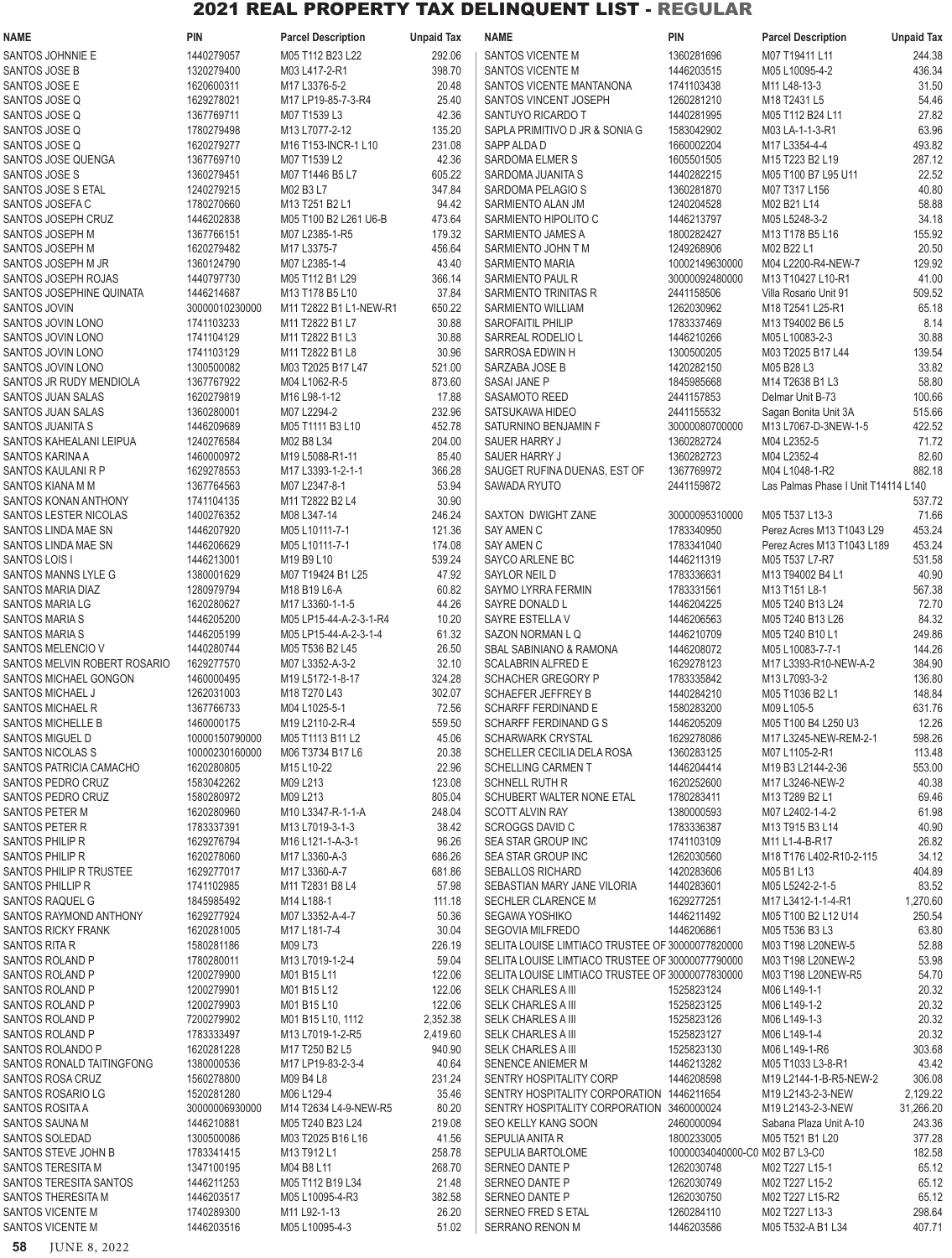| <b>NAME</b>                                          | <b>PIN</b>                   | <b>Parcel Description</b>                 | <b>Unpaid Tax</b> | <b>NAME</b>                                                            | <b>PIN</b>                                   | <b>Parcel Description</b>                   | <b>Unpaid Tax</b> |
|------------------------------------------------------|------------------------------|-------------------------------------------|-------------------|------------------------------------------------------------------------|----------------------------------------------|---------------------------------------------|-------------------|
| SANTOS JOHNNIE E                                     | 1440279057                   | M05 T112 B23 L22                          | 292.06            | SANTOS VICENTE M                                                       | 1360281696                                   | M07 T19411 L11                              | 244.38            |
| SANTOS JOSE B                                        | 1320279400                   | M03 L417-2-R1                             | 398.70            | SANTOS VICENTE M                                                       | 1446203515                                   | M05 L10095-4-2                              | 436.34            |
| SANTOS JOSE E<br>SANTOS JOSE Q                       | 1620600311<br>1629278021     | M17 L3376-5-2<br>M17 LP19-85-7-3-R4       | 20.48<br>25.40    | SANTOS VICENTE MANTANONA<br>SANTOS VINCENT JOSEPH                      | 1741103438<br>1260281210                     | M11 L48-13-3<br>M18 T2431 L5                | 31.50<br>54.46    |
| SANTOS JOSE Q                                        | 1367769711                   | M07 T1539 L3                              | 42.36             | SANTUYO RICARDO T                                                      | 1440281995                                   | M05 T112 B24 L11                            | 27.82             |
| SANTOS JOSE Q                                        | 1780279498                   | M13 L7077-2-12                            | 135.20            | SAPLA PRIMITIVO D JR & SONIA G                                         | 1583042902                                   | M03 LA-1-1-3-R1                             | 63.96             |
| SANTOS JOSE Q                                        | 1620279277                   | M16 T153-INCR-1 L10                       | 231.08            | SAPP ALDA D                                                            | 1660002204                                   | M17 L3354-4-4                               | 493.82            |
| SANTOS JOSE QUENGA                                   | 1367769710                   | M07 T1539 L2                              | 42.36             | SARDOMA ELMER S                                                        | 1605501505                                   | M15 T223 B2 L19                             | 287.12            |
| SANTOS JOSE S                                        | 1360279451                   | M07 T1446 B5 L7                           | 605.22            | SARDOMA JUANITA S                                                      | 1440282215                                   | M05 T100 B7 L95 U11                         | 22.52             |
| SANTOS JOSE S ETAL<br>SANTOS JOSEFA C                | 1240279215<br>1780270660     | M02 B3 L7<br>M13 T251 B2 L1               | 347.84<br>94.42   | SARDOMA PELAGIO S<br>SARMIENTO ALAN JM                                 | 1360281870<br>1240204528                     | M07 T317 L156<br>M02 B21 L14                | 40.80<br>58.88    |
| SANTOS JOSEPH CRUZ                                   | 1446202838                   | M05 T100 B2 L261 U6-B                     | 473.64            | SARMIENTO HIPOLITO C                                                   | 1446213797                                   | M05 L5248-3-2                               | 34.18             |
| SANTOS JOSEPH M                                      | 1367766151                   | M07 L2385-1-R5                            | 179.32            | SARMIENTO JAMES A                                                      | 1800282427                                   | M13 T178 B5 L16                             | 155.92            |
| SANTOS JOSEPH M                                      | 1620279482                   | M17 L3375-7                               | 456.64            | SARMIENTO JOHN T M                                                     | 1249268906                                   | M02 B22 L1                                  | 20.50             |
| SANTOS JOSEPH M JR                                   | 1360124790                   | M07 L2385-1-4                             | 43.40             | SARMIENTO MARIA                                                        | 10002149630000                               | M04 L2200-R4-NEW-7                          | 129.92            |
| SANTOS JOSEPH ROJAS                                  | 1440797730                   | M05 T112 B1 L29                           | 366.14            | SARMIENTO PAUL R                                                       | 30000092480000                               | M13 T10427 L10-R1                           | 41.00             |
| SANTOS JOSEPHINE QUINATA<br><b>SANTOS JOVIN</b>      | 1446214687<br>30000010230000 | M13 T178 B5 L10<br>M11 T2822 B1 L1-NEW-R1 | 37.84<br>650.22   | SARMIENTO TRINITAS R<br>SARMIENTO WILLIAM                              | 2441158506<br>1262030962                     | Villa Rosario Unit 91<br>M18 T2541 L25-R1   | 509.52<br>65.18   |
| SANTOS JOVIN LONO                                    | 1741103233                   | M11 T2822 B1 L7                           | 30.88             | <b>SAROFAITIL PHILIP</b>                                               | 1783337469                                   | M13 T94002 B6 L5                            | 8.14              |
| SANTOS JOVIN LONO                                    | 1741104129                   | M11 T2822 B1 L3                           | 30.88             | SARREAL RODELIO L                                                      | 1446210266                                   | M05 L10083-2-3                              | 30.88             |
| SANTOS JOVIN LONO                                    | 1741103129                   | M11 T2822 B1 L8                           | 30.96             | SARROSA EDWIN H                                                        | 1300500205                                   | M03 T2025 B17 L44                           | 139.54            |
| <b>SANTOS JOVIN LONO</b>                             | 1300500082                   | M03 T2025 B17 L47                         | 521.00            | SARZABA JOSE B                                                         | 1420282150                                   | M05 B28 L3                                  | 33.82             |
| SANTOS JR RUDY MENDIOLA                              | 1367767922                   | M04 L1062-R-5                             | 873.60            | <b>SASAI JANE P</b>                                                    | 1845985668                                   | M14 T2638 B1 L3                             | 58.80             |
| SANTOS JUAN SALAS<br>SANTOS JUAN SALAS               | 1620279819<br>1360280001     | M16 L98-1-12<br>M07 L2294-2               | 17.88<br>232.96   | SASAMOTO REED<br>SATSUKAWA HIDEO                                       | 2441157853<br>2441155532                     | Delmar Unit B-73<br>Sagan Bonita Unit 3A    | 100.66<br>515.66  |
| SANTOS JUANITA S                                     | 1446209689                   | M05 T1111 B3 L10                          | 452.78            | SATURNINO BENJAMIN F                                                   | 30000080700000                               | M13 L7067-D-3NEW-1-5                        | 422.52            |
| SANTOS KAHEALANI LEIPUA                              | 1240276584                   | M02 B8 L34                                | 204.00            | SAUER HARRY J                                                          | 1360282724                                   | M04 L2352-5                                 | 71.72             |
| SANTOS KARINA A                                      | 1460000972                   | M19 L5088-R1-11                           | 85.40             | SAUER HARRY J                                                          | 1360282723                                   | M04 L2352-4                                 | 82.60             |
| SANTOS KAULANI R P                                   | 1629278553                   | M17 L3393-1-2-1-1                         | 366.28            | SAUGET RUFINA DUENAS, EST OF                                           | 1367769972                                   | M04 L1048-1-R2                              | 882.18            |
| SANTOS KIANA M M                                     | 1367764563<br>1741104135     | M07 L2347-8-1<br>M11 T2822 B2 L4          | 53.94             | SAWADA RYUTO                                                           | 2441159872                                   | Las Palmas Phase I Unit T14114 L140         |                   |
| <b>SANTOS KONAN ANTHONY</b><br>SANTOS LESTER NICOLAS | 1400276352                   | M08 L347-14                               | 30.90<br>246.24   | SAXTON DWIGHT ZANE                                                     | 30000095310000                               | M05 T537 L13-3                              | 537.72<br>71.66   |
| SANTOS LINDA MAE SN                                  | 1446207920                   | M05 L10111-7-1                            | 121.36            | SAY AMEN C                                                             | 1783340950                                   | Perez Acres M13 T1043 L29                   | 453.24            |
| SANTOS LINDA MAE SN                                  | 1446206629                   | M05 L10111-7-1                            | 174.08            | SAY AMEN C                                                             | 1783341040                                   | Perez Acres M13 T1043 L189                  | 453.24            |
| SANTOS LOIS I                                        | 1446213001                   | M19 B9 L10                                | 539.24            | SAYCO ARLENE BC                                                        | 1446211319                                   | M05 T537 L7-R7                              | 531.58            |
| SANTOS MANNS LYLE G                                  | 1380001629                   | M07 T19424 B1 L25                         | 47.92             | SAYLOR NEIL D                                                          | 1783336631                                   | M13 T94002 B4 L1                            | 40.90             |
| SANTOS MARIA DIAZ<br><b>SANTOS MARIA LG</b>          | 1280979794<br>1620280627     | M18 B19 L6-A<br>M17 L3360-1-1-5           | 60.82<br>44.26    | SAYMO LYRRA FERMIN<br>SAYRE DONALD L                                   | 1783331561<br>1446204225                     | M13 T151 L8-1<br>M05 T240 B13 L24           | 567.38<br>72.70   |
| <b>SANTOS MARIA S</b>                                | 1446205200                   | M05 LP15-44-A-2-3-1-R4                    | 10.20             | SAYRE ESTELLA V                                                        | 1446206563                                   | M05 T240 B13 L26                            | 84.32             |
| <b>SANTOS MARIA S</b>                                | 1446205199                   | M05 LP15-44-A-2-3-1-4                     | 61.32             | SAZON NORMAN L Q                                                       | 1446210709                                   | M05 T240 B10 L1                             | 249.86            |
| SANTOS MELENCIO V                                    | 1440280744                   | M05 T536 B2 L45                           | 26.50             | <b>SBAL SABINIANO &amp; RAMONA</b>                                     | 1446208072                                   | M05 L10083-7-7-1                            | 144.26            |
| SANTOS MELVIN ROBERT ROSARIO                         | 1629277570                   | M07 L3352-A-3-2                           | 32.10             | <b>SCALABRIN ALFRED E</b>                                              | 1629278123                                   | M17 L3393-R10-NEW-A-2                       | 384.90            |
| SANTOS MICHAEL GONGON                                | 1460000495<br>1262031003     | M19 L5172-1-8-17                          | 324.28            | SCHACHER GREGORY P                                                     | 1783335842                                   | M13 L7093-3-2                               | 136.80            |
| SANTOS MICHAEL J<br><b>SANTOS MICHAEL R</b>          | 1367766733                   | M18 T270 L43<br>M04 L1025-5-1             | 302.07<br>72.56   | SCHAEFER JEFFREY B<br>SCHARFF FERDINAND E                              | 1440284210<br>1580283200                     | M05 T1036 B2 L1<br>M09 L105-5               | 148.84<br>631.76  |
| SANTOS MICHELLE B                                    | 1460000175                   | M19 L2110-2-R-4                           | 559.50            | <b>SCHARFF FERDINAND G S</b>                                           | 1446205209                                   | M05 T100 B4 L250 U3                         | 12.26             |
| <b>SANTOS MIGUEL D</b>                               | 10000150790000               | M05 T1113 B11 L2                          | 45.06             | <b>SCHARWARK CRYSTAL</b>                                               | 1629278086                                   | M17 L3245-NEW-REM-2-1                       | 598.26            |
| SANTOS NICOLAS S                                     | 10000230160000               | M06 T3734 B17 L6                          | 20.38             | SCHELLER CECILIA DELA ROSA                                             | 1360283125                                   | M07 L1105-2-R1                              | 113.48            |
| SANTOS PATRICIA CAMACHO                              | 1620280805                   | M15 L10-22                                | 22.96             | SCHELLING CARMEN T                                                     | 1446204414                                   | M19 B3 L2144-2-36                           | 553.00            |
| SANTOS PEDRO CRUZ<br>SANTOS PEDRO CRUZ               | 1583042262<br>1580280972     | M09 L213<br>M09 L213                      | 123.08<br>805.04  | <b>SCHNELL RUTH R</b><br>SCHUBERT WALTER NONE ETAL                     | 1620252600<br>1780283411                     | M17 L3246-NEW-2<br>M13 T289 B2 L1           | 40.38<br>69.46    |
| SANTOS PETER M                                       | 1620280960                   | M10 L3347-R-1-1-A                         | 248.04            | <b>SCOTT ALVIN RAY</b>                                                 | 1380000593                                   | M07 L2402-1-4-2                             | 61.98             |
| SANTOS PETER R                                       | 1783337391                   | M13 L7019-3-1-3                           | 38.42             | <b>SCROGGS DAVID C</b>                                                 | 1783336387                                   | M13 T915 B3 L14                             | 40.90             |
| SANTOS PHILIP R                                      | 1629276794                   | M16 L121-1-A-3-1                          | 96.26             | SEA STAR GROUP INC                                                     | 1741103109                                   | M11 L1-4-B-R17                              | 26.82             |
| SANTOS PHILIP R                                      | 1620278060                   | M17 L3360-A-3                             | 686.26            | SEA STAR GROUP INC                                                     | 1262030560                                   | M18 T176 L402-R10-2-115                     | 34.12             |
| SANTOS PHILIP R TRUSTEE<br>SANTOS PHILLIP R          | 1629277017<br>1741102985     | M17 L3360-A-7<br>M11 T2831 B8 L4          | 681.86<br>57.98   | <b>SEBALLOS RICHARD</b>                                                | 1420283606                                   | M05 B1 L13                                  | 404.89<br>83.52   |
| SANTOS RAQUEL G                                      | 1845985492                   | M14 L188-1                                | 111.18            | SEBASTIAN MARY JANE VILORIA<br>SECHLER CLARENCE M                      | 1440283601<br>1629277251                     | M05 L5242-2-1-5<br>M17 L3412-1-1-4-R1       | 1,270.60          |
| SANTOS RAYMOND ANTHONY                               | 1629277924                   | M07 L3352-A-4-7                           | 50.36             | SEGAWA YOSHIKO                                                         | 1446211492                                   | M05 T100 B2 L12 U14                         | 250.54            |
| <b>SANTOS RICKY FRANK</b>                            | 1620281005                   | M17 L181-7-4                              | 30.04             | SEGOVIA MILFREDO                                                       | 1446206861                                   | M05 T536 B3 L3                              | 63.80             |
| SANTOS RITA R                                        | 1580281186                   | M09 L73                                   | 226.19            | SELITA LOUISE LIMTIACO TRUSTEE OF 30000077820000                       |                                              | M03 T198 L20NEW-5                           | 52.88             |
| SANTOS ROLAND P                                      | 1780280011                   | M13 L7019-1-2-4<br>M01 B15 L11            | 59.04             | SELITA LOUISE LIMTIACO TRUSTEE OF 30000077790000                       |                                              | M03 T198 L20NEW-2                           | 53.98             |
| SANTOS ROLAND P<br>SANTOS ROLAND P                   | 1200279900<br>1200279901     | M01 B15 L12                               | 122.06<br>122.06  | SELITA LOUISE LIMTIACO TRUSTEE OF 30000077830000<br>SELK CHARLES A III | 1525823124                                   | M03 T198 L20NEW-R5<br>M06 L149-1-1          | 54.70<br>20.32    |
| SANTOS ROLAND P                                      | 1200279903                   | M01 B15 L10                               | 122.06            | SELK CHARLES A III                                                     | 1525823125                                   | M06 L149-1-2                                | 20.32             |
| SANTOS ROLAND P                                      | 7200279902                   | M01 B15 L10, 1112                         | 2,352.38          | SELK CHARLES A III                                                     | 1525823126                                   | M06 L149-1-3                                | 20.32             |
| SANTOS ROLAND P                                      | 1783333497                   | M13 L7019-1-2-R5                          | 2,419.60          | SELK CHARLES A III                                                     | 1525823127                                   | M06 L149-1-4                                | 20.32             |
| SANTOS ROLANDO P                                     | 1620281228                   | M17 T250 B2 L5                            | 940.90            | SELK CHARLES A III                                                     | 1525823130                                   | M06 L149-1-R6                               | 303.68            |
| SANTOS RONALD TAITINGFONG<br>SANTOS ROSA CRUZ        | 1380000536<br>1560278800     | M17 LP19-83-2-3-4<br>M09 B4 L8            | 40.64<br>231.24   | SENENCE ANIEMER M<br>SENTRY HOSPITALITY CORP                           | 1446213282<br>1446208598                     | M05 T1033 L3-8-R1<br>M19 L2144-1-B-R5-NEW-2 | 43.42<br>306.08   |
| SANTOS ROSARIO LG                                    | 1520281280                   | M06 L129-4                                | 35.46             | SENTRY HOSPITALITY CORPORATION 1446211654                              |                                              | M19 L2143-2-3-NEW                           | 2,129.22          |
| SANTOS ROSITA A                                      | 30000006930000               | M14 T2634 L4-9-NEW-R5                     | 80.20             | SENTRY HOSPITALITY CORPORATION 3460000024                              |                                              | M19 L2143-2-3-NEW                           | 31,266.20         |
| SANTOS SAUNA M                                       | 1446210881                   | M05 T240 B23 L24                          | 219.08            | SEO KELLY KANG SOON                                                    | 2460000094                                   | Sabana Plaza Unit A-10                      | 243.36            |
| SANTOS SOLEDAD                                       | 1300500086                   | M03 T2025 B16 L16                         | 41.56             | SEPULIA ANITA R                                                        | 1800233005                                   | M05 T521 B1 L20                             | 377.28            |
| SANTOS STEVE JOHN B                                  | 1783341415<br>1347100195     | M13 T912 L1                               | 258.78            | SEPULIA BARTOLOME<br><b>SERNEO DANTE P</b>                             | 10000034040000-C0 M02 B7 L3-C0<br>1262030748 | M02 T227 L15-1                              | 182.58            |
| SANTOS TERESITA M<br>SANTOS TERESITA SANTOS          | 1446211253                   | M04 B8 L11<br>M05 T112 B19 L34            | 268.70<br>21.48   | SERNEO DANTE P                                                         | 1262030749                                   | M02 T227 L15-2                              | 65.12<br>65.12    |
| SANTOS THERESITA M                                   | 1446203517                   | M05 L10095-4-R3                           | 382.58            | <b>SERNEO DANTE P</b>                                                  | 1262030750                                   | M02 T227 L15-R2                             | 65.12             |
| SANTOS VICENTE M                                     | 1740289300                   | M11 L92-1-13                              | 26.20             | SERNEO FRED S ETAL                                                     | 1260284110                                   | M02 T227 L13-3                              | 298.64            |
| SANTOS VICENTE M                                     | 1446203516                   | M05 L10095-4-3                            | 51.02             | SERRANO RENON M                                                        | 1446203586                                   | M05 T532-A B1 L34                           | 407.71            |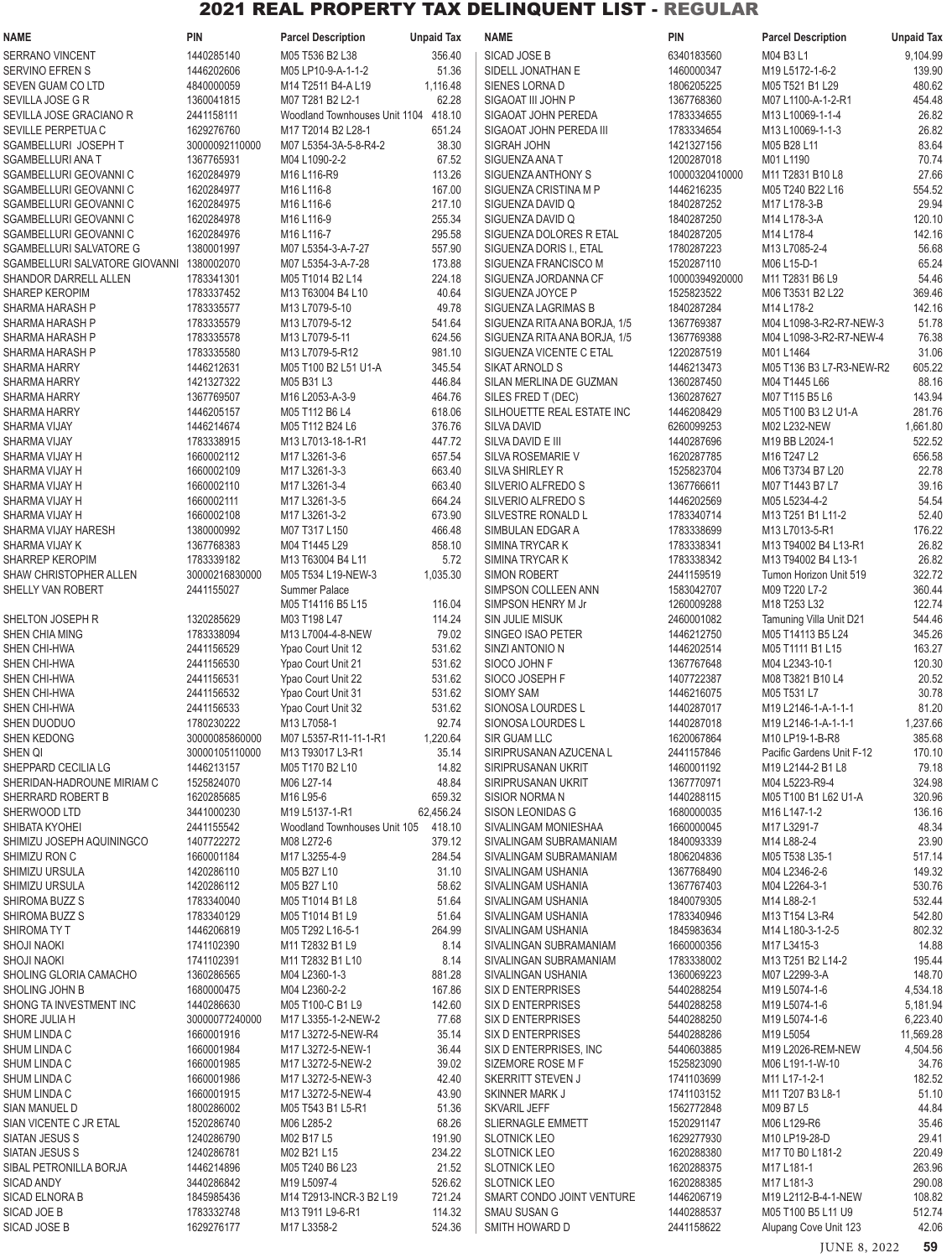| <b>NAME</b>                                      | <b>PIN</b>               | <b>Parcel Description</b>                      | <b>Unpaid Tax</b>   | <b>NAME</b>                                      | <b>PIN</b>                   | <b>Parcel Description</b>             | <b>Unpaid Tax</b>    |
|--------------------------------------------------|--------------------------|------------------------------------------------|---------------------|--------------------------------------------------|------------------------------|---------------------------------------|----------------------|
| <b>SERRANO VINCENT</b>                           | 1440285140               | M05 T536 B2 L38                                | 356.40              | SICAD JOSE B                                     | 6340183560                   | M04 B3 L1                             | 9,104.99             |
| SERVINO EFREN S                                  | 1446202606               | M05 LP10-9-A-1-1-2                             | 51.36               | SIDELL JONATHAN E                                | 1460000347                   | M19 L5172-1-6-2                       | 139.90               |
| SEVEN GUAM CO LTD                                | 4840000059               | M14 T2511 B4-A L19                             | 1,116.48            | SIENES LORNA D                                   | 1806205225                   | M05 T521 B1 L29                       | 480.62               |
| SEVILLA JOSE G R                                 | 1360041815               | M07 T281 B2 L2-1                               | 62.28               | SIGAOAT III JOHN P                               | 1367768360                   | M07 L1100-A-1-2-R1                    | 454.48               |
| SEVILLA JOSE GRACIANO R                          | 2441158111               | Woodland Townhouses Unit 1104 418.10           |                     | SIGAOAT JOHN PEREDA                              | 1783334655                   | M13 L10069-1-1-4                      | 26.82                |
| SEVILLE PERPETUA C                               | 1629276760               | M17 T2014 B2 L28-1                             | 651.24              | SIGAOAT JOHN PEREDA III                          | 1783334654                   | M13 L10069-1-1-3                      | 26.82                |
| SGAMBELLURI JOSEPH T                             | 30000092110000           | M07 L5354-3A-5-8-R4-2                          | 38.30               | SIGRAH JOHN                                      | 1421327156                   | M05 B28 L11                           | 83.64                |
| <b>SGAMBELLURI ANA T</b>                         | 1367765931               | M04 L1090-2-2                                  | 67.52               | SIGUENZA ANA T                                   | 1200287018                   | M01 L1190                             | 70.74                |
| SGAMBELLURI GEOVANNI C<br>SGAMBELLURI GEOVANNI C | 1620284979<br>1620284977 | M16 L116-R9<br>M16 L116-8                      | 113.26<br>167.00    | SIGUENZA ANTHONY S<br>SIGUENZA CRISTINA M P      | 10000320410000<br>1446216235 | M11 T2831 B10 L8<br>M05 T240 B22 L16  | 27.66<br>554.52      |
| SGAMBELLURI GEOVANNI C                           | 1620284975               | M16 L116-6                                     | 217.10              | SIGUENZA DAVID Q                                 | 1840287252                   | M17 L178-3-B                          | 29.94                |
| SGAMBELLURI GEOVANNI C                           | 1620284978               | M16 L116-9                                     | 255.34              | SIGUENZA DAVID Q                                 | 1840287250                   | M14 L178-3-A                          | 120.10               |
| SGAMBELLURI GEOVANNI C                           | 1620284976               | M16 L116-7                                     | 295.58              | SIGUENZA DOLORES R ETAL                          | 1840287205                   | M14 L178-4                            | 142.16               |
| SGAMBELLURI SALVATORE G                          | 1380001997               | M07 L5354-3-A-7-27                             | 557.90              | SIGUENZA DORIS I., ETAL                          | 1780287223                   | M13 L7085-2-4                         | 56.68                |
| SGAMBELLURI SALVATORE GIOVANNI                   | 1380002070               | M07 L5354-3-A-7-28                             | 173.88              | SIGUENZA FRANCISCO M                             | 1520287110                   | M06 L15-D-1                           | 65.24                |
| SHANDOR DARRELL ALLEN                            | 1783341301               | M05 T1014 B2 L14                               | 224.18              | SIGUENZA JORDANNA CF                             | 10000394920000               | M11 T2831 B6 L9                       | 54.46                |
| <b>SHAREP KEROPIM</b>                            | 1783337452               | M13 T63004 B4 L10                              | 40.64               | SIGUENZA JOYCE P                                 | 1525823522                   | M06 T3531 B2 L22                      | 369.46               |
| SHARMA HARASH P                                  | 1783335577               | M13 L7079-5-10                                 | 49.78               | SIGUENZA LAGRIMAS B                              | 1840287284                   | M14 L178-2                            | 142.16               |
| SHARMA HARASH P                                  | 1783335579               | M13 L7079-5-12                                 | 541.64              | SIGUENZA RITA ANA BORJA, 1/5                     | 1367769387                   | M04 L1098-3-R2-R7-NEW-3               | 51.78                |
| SHARMA HARASH P                                  | 1783335578               | M13 L7079-5-11                                 | 624.56              | SIGUENZA RITA ANA BORJA, 1/5                     | 1367769388                   | M04 L1098-3-R2-R7-NEW-4               | 76.38                |
| SHARMA HARASH P                                  | 1783335580               | M13 L7079-5-R12                                | 981.10              | SIGUENZA VICENTE C ETAL                          | 1220287519                   | M01 L1464                             | 31.06                |
| <b>SHARMA HARRY</b>                              | 1446212631               | M05 T100 B2 L51 U1-A                           | 345.54              | <b>SIKAT ARNOLD S</b>                            | 1446213473                   | M05 T136 B3 L7-R3-NEW-R2              | 605.22               |
| <b>SHARMA HARRY</b>                              | 1421327322<br>1367769507 | M05 B31 L3                                     | 446.84              | SILAN MERLINA DE GUZMAN<br>SILES FRED T (DEC)    | 1360287450<br>1360287627     | M04 T1445 L66                         | 88.16<br>143.94      |
| <b>SHARMA HARRY</b><br><b>SHARMA HARRY</b>       | 1446205157               | M16 L2053-A-3-9<br>M05 T112 B6 L4              | 464.76<br>618.06    | SILHOUETTE REAL ESTATE INC                       | 1446208429                   | M07 T115 B5 L6<br>M05 T100 B3 L2 U1-A | 281.76               |
| SHARMA VIJAY                                     | 1446214674               | M05 T112 B24 L6                                | 376.76              | <b>SILVA DAVID</b>                               | 6260099253                   | M02 L232-NEW                          | 1,661.80             |
| SHARMA VIJAY                                     | 1783338915               | M13 L7013-18-1-R1                              | 447.72              | SILVA DAVID E III                                | 1440287696                   | M19 BB L2024-1                        | 522.52               |
| SHARMA VIJAY H                                   | 1660002112               | M17 L3261-3-6                                  | 657.54              | SILVA ROSEMARIE V                                | 1620287785                   | M16 T247 L2                           | 656.58               |
| SHARMA VIJAY H                                   | 1660002109               | M17 L3261-3-3                                  | 663.40              | SILVA SHIRLEY R                                  | 1525823704                   | M06 T3734 B7 L20                      | 22.78                |
| SHARMA VIJAY H                                   | 1660002110               | M17 L3261-3-4                                  | 663.40              | SILVERIO ALFREDO S                               | 1367766611                   | M07 T1443 B7 L7                       | 39.16                |
| SHARMA VIJAY H                                   | 1660002111               | M17 L3261-3-5                                  | 664.24              | SILVERIO ALFREDO S                               | 1446202569                   | M05 L5234-4-2                         | 54.54                |
| SHARMA VIJAY H                                   | 1660002108               | M17 L3261-3-2                                  | 673.90              | SILVESTRE RONALD L                               | 1783340714                   | M13 T251 B1 L11-2                     | 52.40                |
| SHARMA VIJAY HARESH                              | 1380000992               | M07 T317 L150                                  | 466.48              | SIMBULAN EDGAR A                                 | 1783338699                   | M13 L7013-5-R1                        | 176.22               |
| SHARMA VIJAY K                                   | 1367768383               | M04 T1445 L29                                  | 858.10              | SIMINA TRYCAR K                                  | 1783338341                   | M13 T94002 B4 L13-R1                  | 26.82                |
| SHARREP KEROPIM                                  | 1783339182               | M13 T63004 B4 L11                              | 5.72                | SIMINA TRYCAR K                                  | 1783338342                   | M13 T94002 B4 L13-1                   | 26.82                |
| SHAW CHRISTOPHER ALLEN                           | 30000216830000           | M05 T534 L19-NEW-3                             | 1,035.30            | <b>SIMON ROBERT</b>                              | 2441159519                   | Tumon Horizon Unit 519                | 322.72               |
| SHELLY VAN ROBERT                                | 2441155027               | Summer Palace                                  |                     | SIMPSON COLLEEN ANN                              | 1583042707                   | M09 T220 L7-2<br>M18 T253 L32         | 360.44               |
| SHELTON JOSEPH R                                 | 1320285629               | M05 T14116 B5 L15<br>M03 T198 L47              | 116.04<br>114.24    | SIMPSON HENRY M Jr<br><b>SIN JULIE MISUK</b>     | 1260009288<br>2460001082     | Tamuning Villa Unit D21               | 122.74<br>544.46     |
| SHEN CHIA MING                                   | 1783338094               | M13 L7004-4-8-NEW                              | 79.02               | SINGEO ISAO PETER                                | 1446212750                   | M05 T14113 B5 L24                     | 345.26               |
| SHEN CHI-HWA                                     | 2441156529               | Ypao Court Unit 12                             | 531.62              | SINZI ANTONIO N                                  | 1446202514                   | M05 T1111 B1 L15                      | 163.27               |
| SHEN CHI-HWA                                     | 2441156530               | Ypao Court Unit 21                             | 531.62              | SIOCO JOHN F                                     | 1367767648                   | M04 L2343-10-1                        | 120.30               |
| SHEN CHI-HWA                                     | 2441156531               | Ypao Court Unit 22                             | 531.62              | SIOCO JOSEPH F                                   | 1407722387                   | M08 T3821 B10 L4                      | 20.52                |
| SHEN CHI-HWA                                     | 2441156532               | Ypao Court Unit 31                             | 531.62              | SIOMY SAM                                        | 1446216075                   | M05 T531 L7                           | 30.78                |
| SHEN CHI-HWA                                     | 2441156533               | Ypao Court Unit 32                             | 531.62              | SIONOSA LOURDES L                                | 1440287017                   | M19 L2146-1-A-1-1-1                   | 81.20                |
| SHEN DUODUO                                      | 1780230222               | M13 L7058-1                                    | 92.74               | SIONOSA LOURDES L                                | 1440287018                   | M19 L2146-1-A-1-1-1                   | 1,237.66             |
| SHEN KEDONG                                      | 30000085860000           | M07 L5357-R11-11-1-R1                          | 1,220.64            | SIR GUAM LLC                                     | 1620067864                   | M10 LP19-1-B-R8                       | 385.68               |
| SHEN QI                                          | 30000105110000           | M13 T93017 L3-R1                               | 35.14               | SIRIPRUSANAN AZUCENA L                           | 2441157846                   | Pacific Gardens Unit F-12             | 170.10               |
| SHEPPARD CECILIA LG                              | 1446213157               | M05 T170 B2 L10                                | 14.82               | SIRIPRUSANAN UKRIT                               | 1460001192                   | M19 L2144-2 B1 L8                     | 79.18                |
| SHERIDAN-HADROUNE MIRIAM C                       | 1525824070               | M06 L27-14                                     | 48.84               | SIRIPRUSANAN UKRIT                               | 1367770971                   | M04 L5223-R9-4                        | 324.98               |
| SHERRARD ROBERT B                                | 1620285685<br>3441000230 | M16 L95-6                                      | 659.32              | SISIOR NORMAN                                    | 1440288115                   | M05 T100 B1 L62 U1-A                  | 320.96               |
| SHERWOOD LTD<br>SHIBATA KYOHEI                   | 2441155542               | M19 L5137-1-R1<br>Woodland Townhouses Unit 105 | 62,456.24<br>418.10 | SISON LEONIDAS G<br>SIVALINGAM MONIESHAA         | 1680000035<br>1660000045     | M16 L147-1-2<br>M17 L3291-7           | 136.16<br>48.34      |
| SHIMIZU JOSEPH AQUININGCO                        | 1407722272               | M08 L272-6                                     | 379.12              | SIVALINGAM SUBRAMANIAM                           | 1840093339                   | M14 L88-2-4                           | 23.90                |
| SHIMIZU RON C                                    | 1660001184               | M17 L3255-4-9                                  | 284.54              | SIVALINGAM SUBRAMANIAM                           | 1806204836                   | M05 T538 L35-1                        | 517.14               |
| SHIMIZU URSULA                                   | 1420286110               | M05 B27 L10                                    | 31.10               | SIVALINGAM USHANIA                               | 1367768490                   | M04 L2346-2-6                         | 149.32               |
| SHIMIZU URSULA                                   | 1420286112               | M05 B27 L10                                    | 58.62               | SIVALINGAM USHANIA                               | 1367767403                   | M04 L2264-3-1                         | 530.76               |
| SHIROMA BUZZ S                                   | 1783340040               | M05 T1014 B1 L8                                | 51.64               | SIVALINGAM USHANIA                               | 1840079305                   | M14 L88-2-1                           | 532.44               |
| SHIROMA BUZZ S                                   | 1783340129               | M05 T1014 B1 L9                                | 51.64               | SIVALINGAM USHANIA                               | 1783340946                   | M13 T154 L3-R4                        | 542.80               |
| SHIROMATY T                                      | 1446206819               | M05 T292 L16-5-1                               | 264.99              | SIVALINGAM USHANIA                               | 1845983634                   | M14 L180-3-1-2-5                      | 802.32               |
| <b>SHOJI NAOKI</b>                               | 1741102390               | M11 T2832 B1 L9                                | 8.14                | SIVALINGAN SUBRAMANIAM                           | 1660000356                   | M17 L3415-3                           | 14.88                |
| <b>SHOJI NAOKI</b>                               | 1741102391               | M11 T2832 B1 L10                               | 8.14                | SIVALINGAN SUBRAMANIAM                           | 1783338002                   | M13 T251 B2 L14-2                     | 195.44               |
| SHOLING GLORIA CAMACHO                           | 1360286565               | M04 L2360-1-3                                  | 881.28              | SIVALINGAN USHANIA                               | 1360069223                   | M07 L2299-3-A                         | 148.70               |
| SHOLING JOHN B<br>SHONG TA INVESTMENT INC        | 1680000475<br>1440286630 | M04 L2360-2-2                                  | 167.86              | SIX D ENTERPRISES                                | 5440288254                   | M19 L5074-1-6                         | 4,534.18             |
| SHORE JULIA H                                    | 30000077240000           | M05 T100-C B1 L9<br>M17 L3355-1-2-NEW-2        | 142.60<br>77.68     | SIX D ENTERPRISES<br>SIX D ENTERPRISES           | 5440288258<br>5440288250     | M19 L5074-1-6<br>M19 L5074-1-6        | 5,181.94<br>6,223.40 |
| SHUM LINDA C                                     | 1660001916               | M17 L3272-5-NEW-R4                             | 35.14               | SIX D ENTERPRISES                                | 5440288286                   | M19 L5054                             | 11,569.28            |
| SHUM LINDA C                                     | 1660001984               | M17 L3272-5-NEW-1                              | 36.44               | SIX D ENTERPRISES, INC                           | 5440603885                   | M19 L2026-REM-NEW                     | 4,504.56             |
| SHUM LINDA C                                     | 1660001985               | M17 L3272-5-NEW-2                              | 39.02               | SIZEMORE ROSE M F                                | 1525823090                   | M06 L191-1-W-10                       | 34.76                |
| SHUM LINDA C                                     | 1660001986               | M17 L3272-5-NEW-3                              | 42.40               | SKERRITT STEVEN J                                | 1741103699                   | M11 L17-1-2-1                         | 182.52               |
| SHUM LINDA C                                     | 1660001915               | M17 L3272-5-NEW-4                              | 43.90               | SKINNER MARK J                                   | 1741103152                   | M11 T207 B3 L8-1                      | 51.10                |
| SIAN MANUEL D                                    | 1800286002               | M05 T543 B1 L5-R1                              | 51.36               | <b>SKVARIL JEFF</b>                              | 1562772848                   | M09 B7 L5                             | 44.84                |
| SIAN VICENTE C JR ETAL                           | 1520286740               | M06 L285-2                                     | 68.26               | <b>SLIERNAGLE EMMETT</b>                         | 1520291147                   | M06 L129-R6                           | 35.46                |
| SIATAN JESUS S                                   | 1240286790               | M02 B17 L5                                     | 191.90              | <b>SLOTNICK LEO</b>                              | 1629277930                   | M10 LP19-28-D                         | 29.41                |
| SIATAN JESUS S                                   | 1240286781               | M02 B21 L15                                    | 234.22              | <b>SLOTNICK LEO</b>                              | 1620288380                   | M17 T0 B0 L181-2                      | 220.49               |
| SIBAL PETRONILLA BORJA                           | 1446214896               | M05 T240 B6 L23                                | 21.52               | <b>SLOTNICK LEO</b>                              | 1620288375                   | M17 L181-1                            | 263.96               |
| <b>SICAD ANDY</b><br>SICAD ELNORA B              | 3440286842<br>1845985436 | M19 L5097-4<br>M14 T2913-INCR-3 B2 L19         | 526.62<br>721.24    | <b>SLOTNICK LEO</b><br>SMART CONDO JOINT VENTURE | 1620288385<br>1446206719     | M17 L181-3<br>M19 L2112-B-4-1-NEW     | 290.08<br>108.82     |
| SICAD JOE B                                      | 1783332748               | M13 T911 L9-6-R1                               | 114.32              | <b>SMAU SUSAN G</b>                              | 1440288537                   | M05 T100 B5 L11 U9                    | 512.74               |
| SICAD JOSE B                                     | 1629276177               | M17 L3358-2                                    | 524.36              | SMITH HOWARD D                                   | 2441158622                   | Alupang Cove Unit 123                 | 42.06                |
|                                                  |                          |                                                |                     |                                                  |                              |                                       |                      |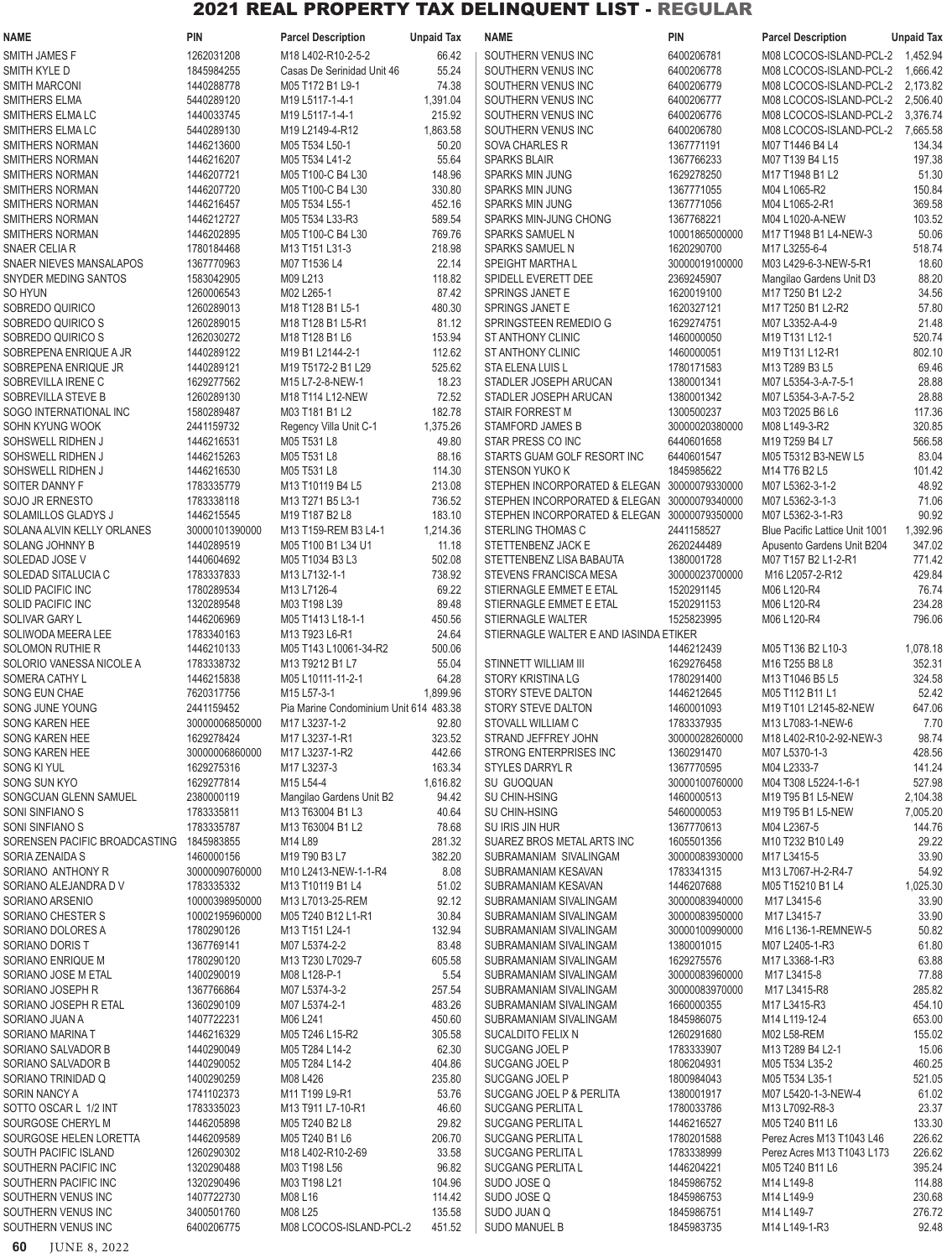| <b>NAME</b>                                | <b>PIN</b>                   | <b>Parcel Description</b>                                         | <b>Unpaid Tax</b> | <b>NAME</b>                                          | <b>PIN</b>                       | <b>Parcel Description</b>                                       | <b>Unpaid Tax</b> |
|--------------------------------------------|------------------------------|-------------------------------------------------------------------|-------------------|------------------------------------------------------|----------------------------------|-----------------------------------------------------------------|-------------------|
| SMITH JAMES F                              | 1262031208                   | M18 L402-R10-2-5-2                                                | 66.42             | SOUTHERN VENUS INC                                   | 6400206781                       | M08 LCOCOS-ISLAND-PCL-2 1,452.94                                |                   |
| SMITH KYLE D                               | 1845984255                   | Casas De Serinidad Unit 46                                        | 55.24             | SOUTHERN VENUS INC                                   | 6400206778                       | M08 LCOCOS-ISLAND-PCL-2                                         | 1,666.42          |
| <b>SMITH MARCONI</b>                       | 1440288778                   | M05 T172 B1 L9-1                                                  | 74.38             | SOUTHERN VENUS INC                                   | 6400206779                       | M08 LCOCOS-ISLAND-PCL-2                                         | 2,173.82          |
| SMITHERS ELMA                              | 5440289120                   | M19 L5117-1-4-1                                                   | 1,391.04          | SOUTHERN VENUS INC                                   | 6400206777                       | M08 LCOCOS-ISLAND-PCL-2                                         | 2,506.40          |
| SMITHERS ELMA LC                           | 1440033745                   | M19 L5117-1-4-1                                                   | 215.92            | SOUTHERN VENUS INC                                   | 6400206776                       | M08 LCOCOS-ISLAND-PCL-2                                         | 3,376.74          |
| SMITHERS ELMA LC                           | 5440289130                   | M19 L2149-4-R12                                                   | 1,863.58          | SOUTHERN VENUS INC                                   | 6400206780                       | M08 LCOCOS-ISLAND-PCL-2                                         | 7,665.58          |
| SMITHERS NORMAN                            | 1446213600                   | M05 T534 L50-1                                                    | 50.20             | <b>SOVA CHARLES R</b>                                | 1367771191                       | M07 T1446 B4 L4                                                 | 134.34            |
| SMITHERS NORMAN                            | 1446216207                   | M05 T534 L41-2                                                    | 55.64             | <b>SPARKS BLAIR</b>                                  | 1367766233                       | M07 T139 B4 L15                                                 | 197.38            |
| SMITHERS NORMAN<br>SMITHERS NORMAN         | 1446207721<br>1446207720     | M05 T100-C B4 L30<br>M05 T100-C B4 L30                            | 148.96<br>330.80  | <b>SPARKS MIN JUNG</b><br><b>SPARKS MIN JUNG</b>     | 1629278250<br>1367771055         | M17 T1948 B1 L2<br>M04 L1065-R2                                 | 51.30<br>150.84   |
| SMITHERS NORMAN                            | 1446216457                   | M05 T534 L55-1                                                    | 452.16            | <b>SPARKS MIN JUNG</b>                               | 1367771056                       | M04 L1065-2-R1                                                  | 369.58            |
| SMITHERS NORMAN                            | 1446212727                   | M05 T534 L33-R3                                                   | 589.54            | SPARKS MIN-JUNG CHONG                                | 1367768221                       | M04 L1020-A-NEW                                                 | 103.52            |
| SMITHERS NORMAN                            | 1446202895                   | M05 T100-C B4 L30                                                 | 769.76            | <b>SPARKS SAMUEL N</b>                               | 10001865000000                   | M17 T1948 B1 L4-NEW-3                                           | 50.06             |
| SNAER CELIA R                              | 1780184468                   | M13 T151 L31-3                                                    | 218.98            | <b>SPARKS SAMUEL N</b>                               | 1620290700                       | M17 L3255-6-4                                                   | 518.74            |
| SNAER NIEVES MANSALAPOS                    | 1367770963                   | M07 T1536 L4                                                      | 22.14             | <b>SPEIGHT MARTHAL</b>                               | 30000019100000                   | M03 L429-6-3-NEW-5-R1                                           | 18.60             |
| SNYDER MEDING SANTOS                       | 1583042905                   | M09 L213                                                          | 118.82            | SPIDELL EVERETT DEE                                  | 2369245907                       | Mangilao Gardens Unit D3                                        | 88.20             |
| SO HYUN                                    | 1260006543                   | M02 L265-1                                                        | 87.42             | SPRINGS JANET E                                      | 1620019100                       | M17 T250 B1 L2-2                                                | 34.56             |
| SOBREDO QUIRICO                            | 1260289013                   | M18 T128 B1 L5-1                                                  | 480.30            | SPRINGS JANET E                                      | 1620327121                       | M17 T250 B1 L2-R2                                               | 57.80             |
| SOBREDO QUIRICO S                          | 1260289015                   | M18 T128 B1 L5-R1                                                 | 81.12             | SPRINGSTEEN REMEDIO G                                | 1629274751                       | M07 L3352-A-4-9                                                 | 21.48             |
| SOBREDO QUIRICO S                          | 1262030272                   | M18 T128 B1 L6                                                    | 153.94            | <b>STANTHONY CLINIC</b>                              | 1460000050                       | M19 T131 L12-1                                                  | 520.74            |
| SOBREPENA ENRIQUE A JR                     | 1440289122<br>1440289121     | M19 B1 L2144-2-1                                                  | 112.62<br>525.62  | <b>STANTHONY CLINIC</b>                              | 1460000051                       | M19 T131 L12-R1                                                 | 802.10            |
| SOBREPENA ENRIQUE JR<br>SOBREVILLA IRENE C | 1629277562                   | M19 T5172-2 B1 L29<br>M15 L7-2-8-NEW-1                            | 18.23             | STA ELENA LUIS L<br>STADLER JOSEPH ARUCAN            | 1780171583<br>1380001341         | M13 T289 B3 L5<br>M07 L5354-3-A-7-5-1                           | 69.46<br>28.88    |
| SOBREVILLA STEVE B                         | 1260289130                   | M18 T114 L12-NEW                                                  | 72.52             | STADLER JOSEPH ARUCAN                                | 1380001342                       | M07 L5354-3-A-7-5-2                                             | 28.88             |
| SOGO INTERNATIONAL INC                     | 1580289487                   | M03 T181 B1 L2                                                    | 182.78            | <b>STAIR FORREST M</b>                               | 1300500237                       | M03 T2025 B6 L6                                                 | 117.36            |
| SOHN KYUNG WOOK                            | 2441159732                   | Regency Villa Unit C-1                                            | 1,375.26          | <b>STAMFORD JAMES B</b>                              | 30000020380000                   | M08 L149-3-R2                                                   | 320.85            |
| SOHSWELL RIDHEN J                          | 1446216531                   | M05 T531 L8                                                       | 49.80             | STAR PRESS CO INC                                    | 6440601658                       | M19 T259 B4 L7                                                  | 566.58            |
| SOHSWELL RIDHEN J                          | 1446215263                   | M05 T531 L8                                                       | 88.16             | STARTS GUAM GOLF RESORT INC                          | 6440601547                       | M05 T5312 B3-NEW L5                                             | 83.04             |
| SOHSWELL RIDHEN J                          | 1446216530                   | M05 T531 L8                                                       | 114.30            | <b>STENSON YUKO K</b>                                | 1845985622                       | M14 T76 B2 L5                                                   | 101.42            |
| SOITER DANNY F                             | 1783335779                   | M13 T10119 B4 L5                                                  | 213.08            | STEPHEN INCORPORATED & ELEGAN                        | 30000079330000                   | M07 L5362-3-1-2                                                 | 48.92             |
| SOJO JR ERNESTO                            | 1783338118                   | M <sub>13</sub> T <sub>271</sub> B <sub>5</sub> L <sub>3</sub> -1 | 736.52            | STEPHEN INCORPORATED & ELEGAN                        | 30000079340000                   | M07 L5362-3-1-3                                                 | 71.06             |
| <b>SOLAMILLOS GLADYS J</b>                 | 1446215545                   | M19 T187 B2 L8                                                    | 183.10            | STEPHEN INCORPORATED & ELEGAN                        | 30000079350000                   | M07 L5362-3-1-R3                                                | 90.92             |
| SOLANA ALVIN KELLY ORLANES                 | 30000101390000               | M13 T159-REM B3 L4-1                                              | 1,214.36          | STERLING THOMAS C                                    | 2441158527                       | Blue Pacific Lattice Unit 1001                                  | 1,392.96          |
| SOLANG JOHNNY B                            | 1440289519<br>1440604692     | M05 T100 B1 L34 U1<br>M05 T1034 B3 L3                             | 11.18             | STETTENBENZ JACK E                                   | 2620244489<br>1380001728         | Apusento Gardens Unit B204                                      | 347.02<br>771.42  |
| SOLEDAD JOSE V<br>SOLEDAD SITALUCIA C      | 1783337833                   | M13 L7132-1-1                                                     | 502.08<br>738.92  | STETTENBENZ LISA BABAUTA<br>STEVENS FRANCISCA MESA   | 30000023700000                   | M07 T157 B2 L1-2-R1<br>M16 L2057-2-R12                          | 429.84            |
| <b>SOLID PACIFIC INC</b>                   | 1780289534                   | M13 L7126-4                                                       | 69.22             | STIERNAGLE EMMET E ETAL                              | 1520291145                       | M06 L120-R4                                                     | 76.74             |
| <b>SOLID PACIFIC INC</b>                   | 1320289548                   | M03 T198 L39                                                      | 89.48             | STIERNAGLE EMMET E ETAL                              | 1520291153                       | M06 L120-R4                                                     | 234.28            |
| SOLIVAR GARY L                             | 1446206969                   | M05 T1413 L18-1-1                                                 | 450.56            | STIERNAGLE WALTER                                    | 1525823995                       | M06 L120-R4                                                     | 796.06            |
| SOLIWODA MEERA LEE                         | 1783340163                   | M13 T923 L6-R1                                                    | 24.64             | STIERNAGLE WALTER E AND IASINDA ETIKER               |                                  |                                                                 |                   |
| <b>SOLOMON RUTHIE R</b>                    | 1446210133                   | M05 T143 L10061-34-R2                                             | 500.06            |                                                      | 1446212439                       | M05 T136 B2 L10-3                                               | 1,078.18          |
| SOLORIO VANESSA NICOLE A                   | 1783338732                   | M13 T9212 B1 L7                                                   | 55.04             | STINNETT WILLIAM III                                 | 1629276458                       | M16 T255 B8 L8                                                  | 352.31            |
| SOMERA CATHY L                             | 1446215838                   | M05 L10111-11-2-1                                                 | 64.28             | STORY KRISTINA LG                                    | 1780291400                       | M <sub>13</sub> T <sub>1046</sub> B <sub>5</sub> L <sub>5</sub> | 324.58            |
| SONG EUN CHAE                              | 7620317756                   | M15 L57-3-1                                                       | 1,899.96          | STORY STEVE DALTON                                   | 1446212645                       | M05 T112 B11 L1                                                 | 52.42             |
| SONG JUNE YOUNG                            | 2441159452                   | Pia Marine Condominium Unit 614 483.38                            |                   | STORY STEVE DALTON                                   | 1460001093                       | M19 T101 L2145-82-NEW                                           | 647.06            |
| SONG KAREN HEE                             | 30000006850000               | M17 L3237-1-2                                                     | 92.80             | STOVALL WILLIAM C                                    | 1783337935                       | M13 L7083-1-NEW-6                                               | 7.70              |
| SONG KAREN HEE<br>SONG KAREN HEE           | 1629278424<br>30000006860000 | M17 L3237-1-R1<br>M17 L3237-1-R2                                  | 323.52<br>442.66  | STRAND JEFFREY JOHN<br><b>STRONG ENTERPRISES INC</b> | 30000028260000<br>1360291470     | M18 L402-R10-2-92-NEW-3<br>M07 L5370-1-3                        | 98.74<br>428.56   |
| SONG KI YUL                                | 1629275316                   | M17 L3237-3                                                       | 163.34            | <b>STYLES DARRYL R</b>                               | 1367770595                       | M04 L2333-7                                                     | 141.24            |
| SONG SUN KYO                               | 1629277814                   | M15 L54-4                                                         | 1,616.82          | SU GUOQUAN                                           | 30000100760000                   | M04 T308 L5224-1-6-1                                            | 527.98            |
| SONGCUAN GLENN SAMUEL                      | 2380000119                   | Mangilao Gardens Unit B2                                          | 94.42             | SU CHIN-HSING                                        | 1460000513                       | M19 T95 B1 L5-NEW                                               | 2,104.38          |
| SONI SINFIANO S                            | 1783335811                   | M13 T63004 B1 L3                                                  | 40.64             | SU CHIN-HSING                                        | 5460000053                       | M19 T95 B1 L5-NEW                                               | 7,005.20          |
| SONI SINFIANO S                            | 1783335787                   | M13 T63004 B1 L2                                                  | 78.68             | SU IRIS JIN HUR                                      | 1367770613                       | M04 L2367-5                                                     | 144.76            |
| SORENSEN PACIFIC BROADCASTING              | 1845983855                   | M14 L89                                                           | 281.32            | SUAREZ BROS METAL ARTS INC                           | 1605501356                       | M10 T232 B10 L49                                                | 29.22             |
| SORIA ZENAIDA S                            | 1460000156                   | M19 T90 B3 L7                                                     | 382.20            | SUBRAMANIAM SIVALINGAM                               | 30000083930000                   | M17 L3415-5                                                     | 33.90             |
| SORIANO ANTHONY R                          | 30000090760000               | M10 L2413-NEW-1-1-R4                                              | 8.08              | SUBRAMANIAM KESAVAN                                  | 1783341315                       | M13 L7067-H-2-R4-7                                              | 54.92             |
| SORIANO ALEJANDRA DV                       | 1783335332                   | M13 T10119 B1 L4                                                  | 51.02             | SUBRAMANIAM KESAVAN                                  | 1446207688                       | M05 T15210 B1 L4                                                | 1,025.30          |
| SORIANO ARSENIO                            | 10000398950000               | M13 L7013-25-REM                                                  | 92.12             | SUBRAMANIAM SIVALINGAM                               | 30000083940000                   | M17 L3415-6                                                     | 33.90             |
| SORIANO CHESTER S<br>SORIANO DOLORES A     | 10002195960000<br>1780290126 | M05 T240 B12 L1-R1<br>M13 T151 L24-1                              | 30.84<br>132.94   | SUBRAMANIAM SIVALINGAM<br>SUBRAMANIAM SIVALINGAM     | 30000083950000<br>30000100990000 | M17 L3415-7<br>M16 L136-1-REMNEW-5                              | 33.90<br>50.82    |
| SORIANO DORIS T                            | 1367769141                   | M07 L5374-2-2                                                     | 83.48             | SUBRAMANIAM SIVALINGAM                               | 1380001015                       | M07 L2405-1-R3                                                  | 61.80             |
| SORIANO ENRIQUE M                          | 1780290120                   | M13 T230 L7029-7                                                  | 605.58            | SUBRAMANIAM SIVALINGAM                               | 1629275576                       | M17 L3368-1-R3                                                  | 63.88             |
| SORIANO JOSE M ETAL                        | 1400290019                   | M08 L128-P-1                                                      | 5.54              | SUBRAMANIAM SIVALINGAM                               | 30000083960000                   | M17 L3415-8                                                     | 77.88             |
| SORIANO JOSEPH R                           | 1367766864                   | M07 L5374-3-2                                                     | 257.54            | SUBRAMANIAM SIVALINGAM                               | 30000083970000                   | M17 L3415-R8                                                    | 285.82            |
| SORIANO JOSEPH R ETAL                      | 1360290109                   | M07 L5374-2-1                                                     | 483.26            | SUBRAMANIAM SIVALINGAM                               | 1660000355                       | M17 L3415-R3                                                    | 454.10            |
| SORIANO JUAN A                             | 1407722231                   | M06 L241                                                          | 450.60            | SUBRAMANIAM SIVALINGAM                               | 1845986075                       | M14 L119-12-4                                                   | 653.00            |
| SORIANO MARINA T                           | 1446216329                   | M05 T246 L15-R2                                                   | 305.58            | SUCALDITO FELIX N                                    | 1260291680                       | M02 L58-REM                                                     | 155.02            |
| SORIANO SALVADOR B                         | 1440290049                   | M05 T284 L14-2                                                    | 62.30             | SUCGANG JOEL P                                       | 1783333907                       | M13 T289 B4 L2-1                                                | 15.06             |
| SORIANO SALVADOR B                         | 1440290052                   | M05 T284 L14-2                                                    | 404.86            | SUCGANG JOEL P                                       | 1806204931                       | M05 T534 L35-2                                                  | 460.25            |
| SORIANO TRINIDAD Q                         | 1400290259                   | M08 L426                                                          | 235.80            | SUCGANG JOEL P                                       | 1800984043                       | M05 T534 L35-1                                                  | 521.05            |
| SORIN NANCY A<br>SOTTO OSCAR L 1/2 INT     | 1741102373<br>1783335023     | M11 T199 L9-R1<br>M13 T911 L7-10-R1                               | 53.76<br>46.60    | SUCGANG JOEL P & PERLITA<br>SUCGANG PERLITA L        | 1380001917<br>1780033786         | M07 L5420-1-3-NEW-4<br>M13 L7092-R8-3                           | 61.02<br>23.37    |
| SOURGOSE CHERYL M                          | 1446205898                   | M05 T240 B2 L8                                                    | 29.82             | <b>SUCGANG PERLITA L</b>                             | 1446216527                       | M05 T240 B11 L6                                                 | 133.30            |
| SOURGOSE HELEN LORETTA                     | 1446209589                   | M05 T240 B1 L6                                                    | 206.70            | <b>SUCGANG PERLITA L</b>                             | 1780201588                       | Perez Acres M13 T1043 L46                                       | 226.62            |
| SOUTH PACIFIC ISLAND                       | 1260290302                   | M18 L402-R10-2-69                                                 | 33.58             | SUCGANG PERLITA L                                    | 1783338999                       | Perez Acres M13 T1043 L173                                      | 226.62            |
| SOUTHERN PACIFIC INC                       | 1320290488                   | M03 T198 L56                                                      | 96.82             | <b>SUCGANG PERLITA L</b>                             | 1446204221                       | M05 T240 B11 L6                                                 | 395.24            |
| SOUTHERN PACIFIC INC                       | 1320290496                   | M03 T198 L21                                                      | 104.96            | SUDO JOSE Q                                          | 1845986752                       | M14 L149-8                                                      | 114.88            |
| SOUTHERN VENUS INC                         | 1407722730                   | M08 L16                                                           | 114.42            | SUDO JOSE Q                                          | 1845986753                       | M14 L149-9                                                      | 230.68            |
| SOUTHERN VENUS INC                         | 3400501760                   | M08 L25                                                           | 135.58            | SUDO JUAN Q                                          | 1845986751                       | M14 L149-7                                                      | 276.72            |
| SOUTHERN VENUS INC                         | 6400206775                   | M08 LCOCOS-ISLAND-PCL-2                                           | 451.52            | SUDO MANUEL B                                        | 1845983735                       | M14 L149-1-R3                                                   | 92.48             |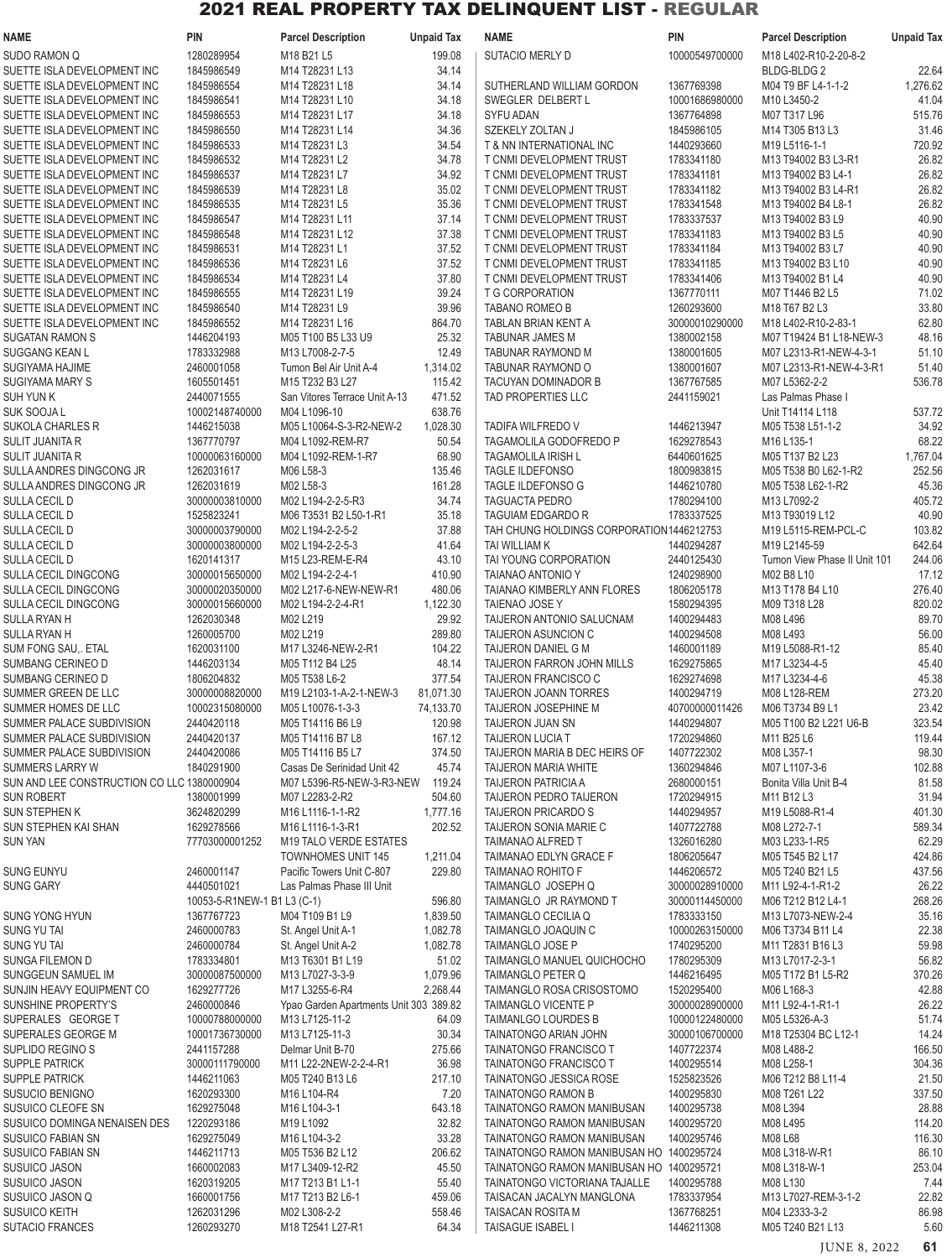| NAME                                                       | <b>PIN</b>                   | <b>Parcel Description</b>                                | <b>Unpaid Tax</b>  | <b>NAME</b>                                          | <b>PIN</b>                       | <b>Parcel Description</b>                 | <b>Unpaid Tax</b> |
|------------------------------------------------------------|------------------------------|----------------------------------------------------------|--------------------|------------------------------------------------------|----------------------------------|-------------------------------------------|-------------------|
| <b>SUDO RAMON Q</b>                                        | 1280289954                   | M18 B21 L5                                               | 199.08             | SUTACIO MERLY D                                      | 10000549700000                   | M18 L402-R10-2-20-8-2                     |                   |
| SUETTE ISLA DEVELOPMENT INC                                | 1845986549                   | M14 T28231 L13                                           | 34.14              |                                                      |                                  | <b>BLDG-BLDG2</b>                         | 22.64             |
| SUETTE ISLA DEVELOPMENT INC                                | 1845986554                   | M14 T28231 L18                                           | 34.14              | SUTHERLAND WILLIAM GORDON                            | 1367769398                       | M04 T9 BF L4-1-1-2                        | 1,276.62          |
| SUETTE ISLA DEVELOPMENT INC                                | 1845986541                   | M14 T28231 L10                                           | 34.18              | SWEGLER DELBERT L                                    | 10001686980000                   | M10 L3450-2                               | 41.04             |
| SUETTE ISLA DEVELOPMENT INC                                | 1845986553                   | M14 T28231 L17                                           | 34.18              | <b>SYFU ADAN</b>                                     | 1367764898                       | M07 T317 L96                              | 515.76            |
| SUETTE ISLA DEVELOPMENT INC                                | 1845986550                   | M14 T28231 L14                                           | 34.36              | SZEKELY ZOLTAN J                                     | 1845986105                       | M14 T305 B13 L3                           | 31.46             |
| SUETTE ISLA DEVELOPMENT INC                                | 1845986533                   | M14 T28231 L3                                            | 34.54              | T & NN INTERNATIONAL INC                             | 1440293660                       | M19 L5116-1-1                             | 720.92            |
| SUETTE ISLA DEVELOPMENT INC                                | 1845986532                   | M14 T28231 L2                                            | 34.78              | T CNMI DEVELOPMENT TRUST                             | 1783341180                       | M13 T94002 B3 L3-R1                       | 26.82             |
| SUETTE ISLA DEVELOPMENT INC                                | 1845986537                   | M14 T28231 L7                                            | 34.92              | T CNMI DEVELOPMENT TRUST                             | 1783341181                       | M13 T94002 B3 L4-1                        | 26.82             |
| SUETTE ISLA DEVELOPMENT INC                                | 1845986539                   | M14 T28231 L8<br>M14 T28231 L5                           | 35.02<br>35.36     | T CNMI DEVELOPMENT TRUST                             | 1783341182<br>1783341548         | M13 T94002 B3 L4-R1<br>M13 T94002 B4 L8-1 | 26.82<br>26.82    |
| SUETTE ISLA DEVELOPMENT INC<br>SUETTE ISLA DEVELOPMENT INC | 1845986535<br>1845986547     | M14 T28231 L11                                           | 37.14              | T CNMI DEVELOPMENT TRUST<br>T CNMI DEVELOPMENT TRUST | 1783337537                       | M13 T94002 B3 L9                          | 40.90             |
| SUETTE ISLA DEVELOPMENT INC                                | 1845986548                   | M14 T28231 L12                                           | 37.38              | T CNMI DEVELOPMENT TRUST                             | 1783341183                       | M13 T94002 B3 L5                          | 40.90             |
| SUETTE ISLA DEVELOPMENT INC                                | 1845986531                   | M14 T28231 L1                                            | 37.52              | T CNMI DEVELOPMENT TRUST                             | 1783341184                       | M13 T94002 B3 L7                          | 40.90             |
| SUETTE ISLA DEVELOPMENT INC                                | 1845986536                   | M14 T28231 L6                                            | 37.52              | T CNMI DEVELOPMENT TRUST                             | 1783341185                       | M13 T94002 B3 L10                         | 40.90             |
| SUETTE ISLA DEVELOPMENT INC                                | 1845986534                   | M14 T28231 L4                                            | 37.80              | T CNMI DEVELOPMENT TRUST                             | 1783341406                       | M13 T94002 B1 L4                          | 40.90             |
| SUETTE ISLA DEVELOPMENT INC                                | 1845986555                   | M14 T28231 L19                                           | 39.24              | T G CORPORATION                                      | 1367770111                       | M07 T1446 B2 L5                           | 71.02             |
| SUETTE ISLA DEVELOPMENT INC                                | 1845986540                   | M14 T28231 L9                                            | 39.96              | <b>TABANO ROMEO B</b>                                | 1260293600                       | M18 T67 B2 L3                             | 33.80             |
| SUETTE ISLA DEVELOPMENT INC                                | 1845986552                   | M14 T28231 L16                                           | 864.70             | <b>TABLAN BRIAN KENT A</b>                           | 30000010290000                   | M18 L402-R10-2-83-1                       | 62.80             |
| SUGATAN RAMON S                                            | 1446204193                   | M05 T100 B5 L33 U9                                       | 25.32              | <b>TABUNAR JAMES M</b>                               | 1380002158                       | M07 T19424 B1 L18-NEW-3                   | 48.16             |
| SUGGANG KEAN L                                             | 1783332988                   | M13 L7008-2-7-5                                          | 12.49              | TABUNAR RAYMOND M                                    | 1380001605                       | M07 L2313-R1-NEW-4-3-1                    | 51.10             |
| SUGIYAMA HAJIME                                            | 2460001058                   | Tumon Bel Air Unit A-4                                   | 1,314.02           | TABUNAR RAYMOND O                                    | 1380001607                       | M07 L2313-R1-NEW-4-3-R1                   | 51.40             |
| SUGIYAMA MARY S                                            | 1605501451                   | M15 T232 B3 L27                                          | 115.42             | TACUYAN DOMINADOR B                                  | 1367767585                       | M07 L5362-2-2                             | 536.78            |
| <b>SUH YUN K</b>                                           | 2440071555<br>10002148740000 | San Vitores Terrace Unit A-13                            | 471.52<br>638.76   | TAD PROPERTIES LLC                                   | 2441159021                       | Las Palmas Phase I                        |                   |
| SUK SOOJA L<br><b>SUKOLA CHARLES R</b>                     | 1446215038                   | M04 L1096-10<br>M05 L10064-S-3-R2-NEW-2                  | 1,028.30           | TADIFA WILFREDO V                                    | 1446213947                       | Unit T14114 L118<br>M05 T538 L51-1-2      | 537.72<br>34.92   |
| SULIT JUANITA R                                            | 1367770797                   | M04 L1092-REM-R7                                         | 50.54              | TAGAMOLILA GODOFREDO P                               | 1629278543                       | M16 L135-1                                | 68.22             |
| <b>SULIT JUANITA R</b>                                     | 10000063160000               | M04 L1092-REM-1-R7                                       | 68.90              | <b>TAGAMOLILA IRISH L</b>                            | 6440601625                       | M05 T137 B2 L23                           | 1,767.04          |
| SULLA ANDRES DINGCONG JR                                   | 1262031617                   | M06 L58-3                                                | 135.46             | <b>TAGLE ILDEFONSO</b>                               | 1800983815                       | M05 T538 B0 L62-1-R2                      | 252.56            |
| SULLA ANDRES DINGCONG JR                                   | 1262031619                   | M02 L58-3                                                | 161.28             | <b>TAGLE ILDEFONSO G</b>                             | 1446210780                       | M05 T538 L62-1-R2                         | 45.36             |
| SULLA CECIL D                                              | 30000003810000               | M02 L194-2-2-5-R3                                        | 34.74              | <b>TAGUACTA PEDRO</b>                                | 1780294100                       | M13 L7092-2                               | 405.72            |
| SULLA CECIL D                                              | 1525823241                   | M06 T3531 B2 L50-1-R1                                    | 35.18              | <b>TAGUIAM EDGARDO R</b>                             | 1783337525                       | M13 T93019 L12                            | 40.90             |
| SULLA CECIL D                                              | 30000003790000               | M02 L194-2-2-5-2                                         | 37.88              | TAH CHUNG HOLDINGS CORPORATION1446212753             |                                  | M19 L5115-REM-PCL-C                       | 103.82            |
| SULLA CECIL D                                              | 30000003800000               | M02 L194-2-2-5-3                                         | 41.64              | TAI WILLIAM K                                        | 1440294287                       | M19 L2145-59                              | 642.64            |
| SULLA CECIL D                                              | 1620141317                   | M15 L23-REM-E-R4                                         | 43.10              | TAI YOUNG CORPORATION                                | 2440125430                       | Tumon View Phase II Unit 101              | 244.06            |
| SULLA CECIL DINGCONG                                       | 30000015650000               | M02 L194-2-2-4-1                                         | 410.90             | <b>TAIANAO ANTONIO Y</b>                             | 1240298900                       | M02 B8 L10                                | 17.12             |
| SULLA CECIL DINGCONG                                       | 30000020350000               | M02 L217-6-NEW-NEW-R1                                    | 480.06             | TAIANAO KIMBERLY ANN FLORES                          | 1806205178                       | M13 T178 B4 L10                           | 276.40            |
| SULLA CECIL DINGCONG<br>SULLA RYAN H                       | 30000015660000<br>1262030348 | M02 L194-2-2-4-R1<br>M02 L219                            | 1,122.30<br>29.92  | TAIENAO JOSE Y<br>TAIJERON ANTONIO SALUCNAM          | 1580294395<br>1400294483         | M09 T318 L28<br>M08 L496                  | 820.02<br>89.70   |
| <b>SULLA RYAN H</b>                                        | 1260005700                   | M02 L219                                                 | 289.80             | TAIJERON ASUNCION C                                  | 1400294508                       | M08 L493                                  | 56.00             |
| SUM FONG SAU, ETAL                                         | 1620031100                   | M17 L3246-NEW-2-R1                                       | 104.22             | TAIJERON DANIEL G M                                  | 1460001189                       | M19 L5088-R1-12                           | 85.40             |
| SUMBANG CERINEO D                                          | 1446203134                   | M05 T112 B4 L25                                          | 48.14              | <b>TAIJERON FARRON JOHN MILLS</b>                    | 1629275865                       | M17 L3234-4-5                             | 45.40             |
| SUMBANG CERINEO D                                          | 1806204832                   | M05 T538 L6-2                                            | 377.54             | TAIJERON FRANCISCO C                                 | 1629274698                       | M17 L3234-4-6                             | 45.38             |
| SUMMER GREEN DE LLC                                        | 30000008820000               | M19 L2103-1-A-2-1-NEW-3                                  | 81,071.30          | TAIJERON JOANN TORRES                                | 1400294719                       | M08 L128-REM                              | 273.20            |
| SUMMER HOMES DE LLC                                        | 10002315080000               | M05 L10076-1-3-3                                         | 74,133.70          | TAIJERON JOSEPHINE M                                 | 40700000011426                   | M06 T3734 B9 L1                           | 23.42             |
| SUMMER PALACE SUBDIVISION                                  | 2440420118                   | M05 T14116 B6 L9                                         | 120.98             | TAIJERON JUAN SN                                     | 1440294807                       | M05 T100 B2 L221 U6-B                     | 323.54            |
| SUMMER PALACE SUBDIVISION                                  | 2440420137                   | M05 T14116 B7 L8                                         | 167.12             | TAIJERON LUCIA T                                     | 1720294860                       | M11 B25 L6                                | 119.44            |
| SUMMER PALACE SUBDIVISION                                  | 2440420086                   | M05 T14116 B5 L7                                         | 374.50             | TAIJERON MARIA B DEC HEIRS OF                        | 1407722302                       | M08 L357-1                                | 98.30             |
| <b>SUMMERS LARRY W</b>                                     | 1840291900                   | Casas De Serinidad Unit 42                               | 45.74              | <b>TAIJERON MARIA WHITE</b>                          | 1360294846                       | M07 L1107-3-6                             | 102.88            |
| SUN AND LEE CONSTRUCTION CO LLC 1380000904                 |                              | M07 L5396-R5-NEW-3-R3-NEW                                | 119.24             | <b>TAIJERON PATRICIA A</b>                           | 2680000151                       | Bonita Villa Unit B-4                     | 81.58             |
| <b>SUN ROBERT</b><br>SUN STEPHEN K                         | 1380001999                   | M07 L2283-2-R2                                           | 504.60             | <b>TAIJERON PEDRO TAIJERON</b>                       | 1720294915                       | M11 B12 L3                                | 31.94             |
| SUN STEPHEN KAI SHAN                                       | 3624820299<br>1629278566     | M16 L1116-1-1-R2<br>M16 L1116-1-3-R1                     | 1,777.16<br>202.52 | <b>TAIJERON PRICARDO S</b><br>TAIJERON SONIA MARIE C | 1440294957<br>1407722788         | M19 L5088-R1-4<br>M08 L272-7-1            | 401.30<br>589.34  |
| <b>SUN YAN</b>                                             | 77703000001252               | M19 TALO VERDE ESTATES                                   |                    | <b>TAIMANAO ALFRED T</b>                             | 1326016280                       | M03 L233-1-R5                             | 62.29             |
|                                                            |                              | <b>TOWNHOMES UNIT 145</b>                                | 1,211.04           | TAIMANAO EDLYN GRACE F                               | 1806205647                       | M05 T545 B2 L17                           | 424.86            |
| <b>SUNG EUNYU</b>                                          | 2460001147                   | Pacific Towers Unit C-807                                | 229.80             | TAIMANAO ROHITO F                                    | 1446206572                       | M05 T240 B21 L5                           | 437.56            |
| <b>SUNG GARY</b>                                           | 4440501021                   | Las Palmas Phase III Unit                                |                    | TAIMANGLO JOSEPH Q                                   | 30000028910000                   | M11 L92-4-1-R1-2                          | 26.22             |
|                                                            | 10053-5-R1NEW-1 B1 L3 (C-1)  |                                                          | 596.80             | TAIMANGLO JR RAYMOND T                               | 30000114450000                   | M06 T212 B12 L4-1                         | 268.26            |
| <b>SUNG YONG HYUN</b>                                      | 1367767723                   | M04 T109 B1 L9                                           | 1,839.50           | TAIMANGLO CECILIA Q                                  | 1783333150                       | M13 L7073-NEW-2-4                         | 35.16             |
| SUNG YU TAI                                                | 2460000783                   | St. Angel Unit A-1                                       | 1,082.78           | TAIMANGLO JOAQUIN C                                  | 10000263150000                   | M06 T3734 B11 L4                          | 22.38             |
| <b>SUNG YU TAI</b>                                         | 2460000784                   | St. Angel Unit A-2                                       | 1,082.78           | TAIMANGLO JOSE P                                     | 1740295200                       | M11 T2831 B16 L3                          | 59.98             |
| <b>SUNGA FILEMON D</b>                                     | 1783334801                   | M13 T6301 B1 L19                                         | 51.02              | TAIMANGLO MANUEL QUICHOCHO                           | 1780295309                       | M13 L7017-2-3-1                           | 56.82             |
| SUNGGEUN SAMUEL IM                                         | 30000087500000               | M13 L7027-3-3-9                                          | 1,079.96           | TAIMANGLO PETER Q                                    | 1446216495                       | M05 T172 B1 L5-R2                         | 370.26            |
| SUNJIN HEAVY EQUIPMENT CO                                  | 1629277726                   | M17 L3255-6-R4                                           | 2,268.44           | TAIMANGLO ROSA CRISOSTOMO                            | 1520295400                       | M06 L168-3                                | 42.88             |
| SUNSHINE PROPERTY'S<br>SUPERALES GEORGE T                  | 2460000846<br>10000788000000 | Ypao Garden Apartments Unit 303 389.82<br>M13 L7125-11-2 | 64.09              | TAIMANGLO VICENTE P<br>TAIMANLGO LOURDES B           | 30000028900000<br>10000122480000 | M11 L92-4-1-R1-1<br>M05 L5326-A-3         | 26.22<br>51.74    |
| SUPERALES GEORGE M                                         | 10001736730000               | M13 L7125-11-3                                           | 30.34              | TAINATONGO ARIAN JOHN                                | 30000106700000                   | M18 T25304 BC L12-1                       | 14.24             |
| SUPLIDO REGINO S                                           | 2441157288                   | Delmar Unit B-70                                         | 275.66             | TAINATONGO FRANCISCO T                               | 1407722374                       | M08 L488-2                                | 166.50            |
| <b>SUPPLE PATRICK</b>                                      | 30000111790000               | M11 L22-2NEW-2-2-4-R1                                    | 36.98              | TAINATONGO FRANCISCO T                               | 1400295514                       | M08 L258-1                                | 304.36            |
| SUPPLE PATRICK                                             | 1446211063                   | M05 T240 B13 L6                                          | 217.10             | TAINATONGO JESSICA ROSE                              | 1525823526                       | M06 T212 B8 L11-4                         | 21.50             |
| <b>SUSUCIO BENIGNO</b>                                     | 1620293300                   | M16 L104-R4                                              | 7.20               | TAINATONGO RAMON B                                   | 1400295830                       | M08 T261 L22                              | 337.50            |
| SUSUICO CLEOFE SN                                          | 1629275048                   | M16 L104-3-1                                             | 643.18             | TAINATONGO RAMON MANIBUSAN                           | 1400295738                       | M08 L394                                  | 28.88             |
| SUSUICO DOMINGA NENAISEN DES                               | 1220293186                   | M19 L1092                                                | 32.82              | TAINATONGO RAMON MANIBUSAN                           | 1400295720                       | M08 L495                                  | 114.20            |
| <b>SUSUICO FABIAN SN</b>                                   | 1629275049                   | M16 L104-3-2                                             | 33.28              | TAINATONGO RAMON MANIBUSAN                           | 1400295746                       | M08 L68                                   | 116.30            |
| <b>SUSUICO FABIAN SN</b>                                   | 1446211713                   | M05 T536 B2 L12                                          | 206.62             | TAINATONGO RAMON MANIBUSAN HO 1400295724             |                                  | M08 L318-W-R1                             | 86.10             |
| SUSUICO JASON                                              | 1660002083                   | M17 L3409-12-R2                                          | 45.50              | TAINATONGO RAMON MANIBUSAN HO 1400295721             |                                  | M08 L318-W-1                              | 253.04            |
| <b>SUSUICO JASON</b>                                       | 1620319205                   | M17 T213 B1 L1-1                                         | 55.40              | TAINATONGO VICTORIANA TAJALLE                        | 1400295788                       | M08 L130                                  | 7.44              |
| SUSUICO JASON Q<br>SUSUICO KEITH                           | 1660001756<br>1262031296     | M17 T213 B2 L6-1<br>M02 L308-2-2                         | 459.06<br>558.46   | TAISACAN JACALYN MANGLONA<br>TAISACAN ROSITA M       | 1783337954<br>1367768251         | M13 L7027-REM-3-1-2<br>M04 L2333-3-2      | 22.82<br>86.98    |
| SUTACIO FRANCES                                            | 1260293270                   | M18 T2541 L27-R1                                         | 64.34              | TAISAGUE ISABEL I                                    | 1446211308                       | M05 T240 B21 L13                          | 5.60              |
|                                                            |                              |                                                          |                    |                                                      |                                  |                                           |                   |

JUNE 8, 2022 **61**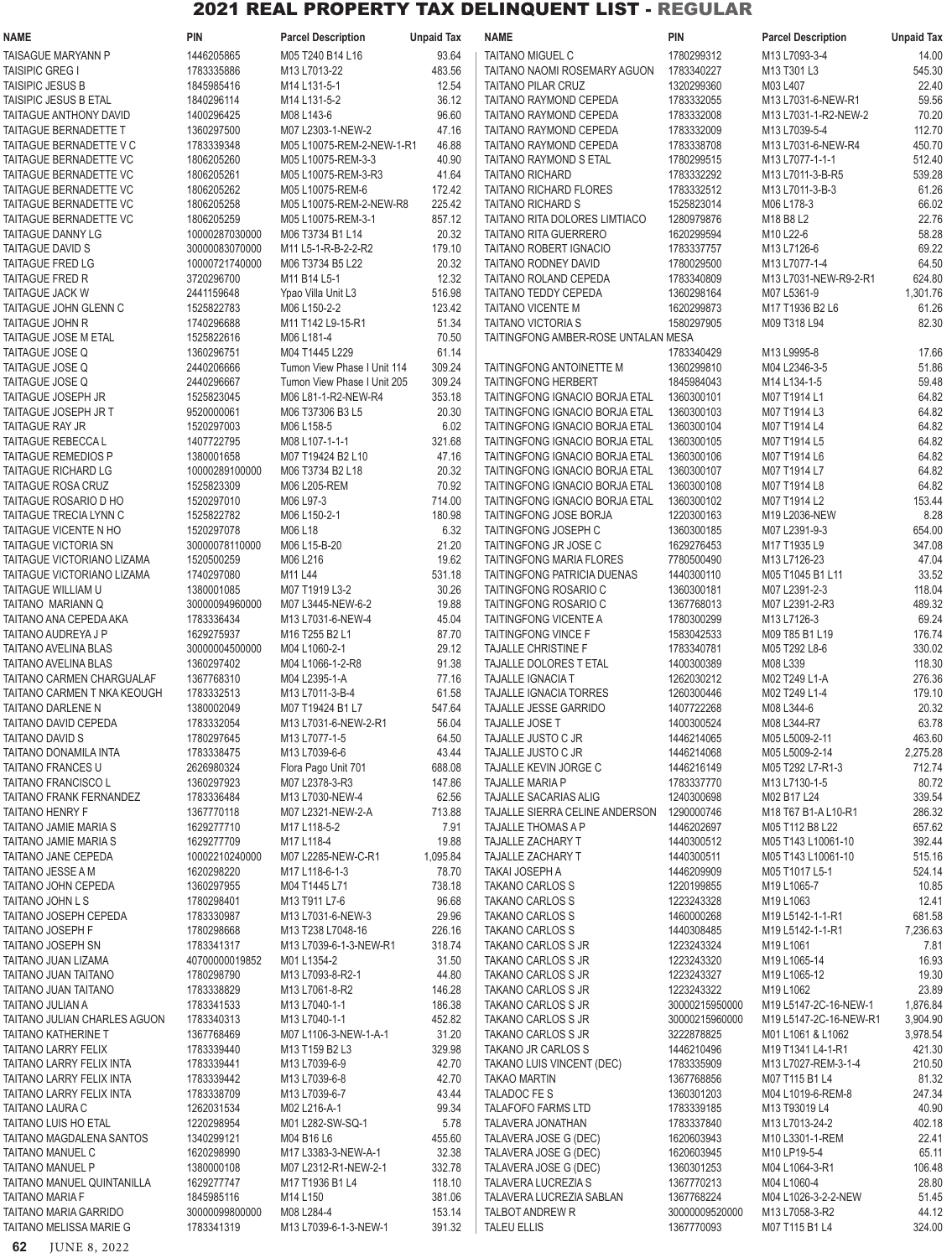| <b>NAME</b>                   | <b>PIN</b>     | <b>Parcel Description</b>                         | <b>Unpaid Tax</b> | <b>NAME</b>                          | PIN            | <b>Parcel Description</b>             | <b>Unpaid Tax</b> |
|-------------------------------|----------------|---------------------------------------------------|-------------------|--------------------------------------|----------------|---------------------------------------|-------------------|
| TAISAGUE MARYANN P            | 1446205865     | M05 T240 B14 L16                                  | 93.64             | <b>TAITANO MIGUEL C</b>              | 1780299312     | M13 L7093-3-4                         | 14.00             |
| <b>TAISIPIC GREG I</b>        | 1783335886     | M13 L7013-22                                      | 483.56            | TAITANO NAOMI ROSEMARY AGUON         | 1783340227     | M13 T301 L3                           | 545.30            |
| <b>TAISIPIC JESUS B</b>       | 1845985416     | M14 L131-5-1                                      | 12.54             | <b>TAITANO PILAR CRUZ</b>            | 1320299360     | M03 L407                              | 22.40             |
| TAISIPIC JESUS B ETAL         | 1840296114     | M14 L131-5-2                                      | 36.12             | TAITANO RAYMOND CEPEDA               | 1783332055     | M13 L7031-6-NEW-R1                    | 59.56             |
| TAITAGUE ANTHONY DAVID        | 1400296425     | M08 L143-6                                        | 96.60             | TAITANO RAYMOND CEPEDA               | 1783332008     | M13 L7031-1-R2-NEW-2                  | 70.20             |
| TAITAGUE BERNADETTE T         | 1360297500     | M07 L2303-1-NEW-2                                 | 47.16             | TAITANO RAYMOND CEPEDA               | 1783332009     | M13 L7039-5-4                         | 112.70            |
| TAITAGUE BERNADETTE V C       | 1783339348     | M05 L10075-REM-2-NEW-1-R1                         | 46.88             | TAITANO RAYMOND CEPEDA               | 1783338708     | M13 L7031-6-NEW-R4                    | 450.70            |
| TAITAGUE BERNADETTE VC        | 1806205260     | M05 L10075-REM-3-3                                | 40.90             | TAITANO RAYMOND S ETAL               | 1780299515     | M13 L7077-1-1-1                       | 512.40            |
| <b>TAITAGUE BERNADETTE VC</b> | 1806205261     | M05 L10075-REM-3-R3                               | 41.64             | <b>TAITANO RICHARD</b>               | 1783332292     | M13 L7011-3-B-R5                      | 539.28            |
| TAITAGUE BERNADETTE VC        | 1806205262     | M05 L10075-REM-6                                  | 172.42            | TAITANO RICHARD FLORES               | 1783332512     | M13 L7011-3-B-3                       | 61.26             |
| TAITAGUE BERNADETTE VC        | 1806205258     | M05 L10075-REM-2-NEW-R8                           | 225.42            | <b>TAITANO RICHARD S</b>             | 1525823014     | M06 L178-3                            | 66.02             |
| TAITAGUE BERNADETTE VC        | 1806205259     | M05 L10075-REM-3-1                                | 857.12            | <b>TAITANO RITA DOLORES LIMTIACO</b> | 1280979876     | M18 B8 L2                             | 22.76             |
| <b>TAITAGUE DANNY LG</b>      | 10000287030000 | M06 T3734 B1 L14                                  | 20.32             | TAITANO RITA GUERRERO                | 1620299594     | M10 L22-6                             | 58.28             |
| TAITAGUE DAVID S              | 30000083070000 | M11 L5-1-R-B-2-2-R2                               | 179.10            | TAITANO ROBERT IGNACIO               | 1783337757     | M13 L7126-6                           | 69.22             |
| <b>TAITAGUE FRED LG</b>       | 10000721740000 | M06 T3734 B5 L22                                  | 20.32             | TAITANO RODNEY DAVID                 | 1780029500     | M13 L7077-1-4                         | 64.50             |
| TAITAGUE FRED R               | 3720296700     | M <sub>11</sub> B <sub>14</sub> L <sub>5</sub> -1 | 12.32             | TAITANO ROLAND CEPEDA                | 1783340809     | M13 L7031-NEW-R9-2-R1                 | 624.80            |
| TAITAGUE JACK W               | 2441159648     | Ypao Villa Unit L3                                | 516.98            | TAITANO TEDDY CEPEDA                 | 1360298164     | M07 L5361-9                           | 1,301.76          |
| TAITAGUE JOHN GLENN C         | 1525822783     | M06 L150-2-2                                      | 123.42            | <b>TAITANO VICENTE M</b>             | 1620299873     | M17 T1936 B2 L6                       | 61.26             |
| TAITAGUE JOHN R               | 1740296688     | M11 T142 L9-15-R1                                 | 51.34             | <b>TAITANO VICTORIA S</b>            | 1580297905     | M09 T318 L94                          | 82.30             |
| TAITAGUE JOSE M ETAL          | 1525822616     | M06 L181-4                                        | 70.50             | TAITINGFONG AMBER-ROSE UNTALAN MESA  |                |                                       |                   |
| TAITAGUE JOSE Q               | 1360296751     | M04 T1445 L229                                    | 61.14             |                                      | 1783340429     | M13 L9995-8                           | 17.66             |
| TAITAGUE JOSE Q               | 2440206666     | Tumon View Phase I Unit 114                       | 309.24            | TAITINGFONG ANTOINETTE M             | 1360299810     | M04 L2346-3-5                         | 51.86             |
| TAITAGUE JOSE Q               | 2440296667     | Tumon View Phase I Unit 205                       | 309.24            | <b>TAITINGFONG HERBERT</b>           | 1845984043     | M14 L134-1-5                          | 59.48             |
| TAITAGUE JOSEPH JR            | 1525823045     | M06 L81-1-R2-NEW-R4                               | 353.18            | TAITINGFONG IGNACIO BORJA ETAL       | 1360300101     | M07 T1914 L1                          | 64.82             |
| TAITAGUE JOSEPH JR T          | 9520000061     | M06 T37306 B3 L5                                  | 20.30             | TAITINGFONG IGNACIO BORJA ETAL       | 1360300103     | M07 T1914 L3                          | 64.82             |
| TAITAGUE RAY JR               | 1520297003     | M06 L158-5                                        | 6.02              | TAITINGFONG IGNACIO BORJA ETAL       | 1360300104     | M07 T1914 L4                          | 64.82             |
| TAITAGUE REBECCA L            | 1407722795     | M08 L107-1-1-1                                    | 321.68            | TAITINGFONG IGNACIO BORJA ETAL       | 1360300105     | M07 T1914 L5                          | 64.82             |
| <b>TAITAGUE REMEDIOS P</b>    | 1380001658     | M07 T19424 B2 L10                                 | 47.16             | TAITINGFONG IGNACIO BORJA ETAL       | 1360300106     | M07 T1914 L6                          | 64.82             |
| TAITAGUE RICHARD LG           | 10000289100000 | M06 T3734 B2 L18                                  | 20.32             | TAITINGFONG IGNACIO BORJA ETAL       | 1360300107     | M07 T1914 L7                          | 64.82             |
| TAITAGUE ROSA CRUZ            | 1525823309     | M06 L205-REM                                      | 70.92             | TAITINGFONG IGNACIO BORJA ETAL       | 1360300108     | M07 T1914 L8                          | 64.82             |
| TAITAGUE ROSARIO D HO         | 1520297010     | M06 L97-3                                         | 714.00            | TAITINGFONG IGNACIO BORJA ETAL       | 1360300102     | M07 T1914 L2                          | 153.44            |
| TAITAGUE TRECIA LYNN C        | 1525822782     | M06 L150-2-1                                      | 180.98            | TAITINGFONG JOSE BORJA               | 1220300163     | M19 L2036-NEW                         | 8.28              |
| TAITAGUE VICENTE N HO         | 1520297078     | M06 L18                                           | 6.32              | TAITINGFONG JOSEPH C                 | 1360300185     | M07 L2391-9-3                         | 654.00            |
| TAITAGUE VICTORIA SN          | 30000078110000 | M06 L15-B-20                                      | 21.20             | TAITINGFONG JR JOSE C                | 1629276453     | M17 T1935 L9                          | 347.08            |
| TAITAGUE VICTORIANO LIZAMA    | 1520500259     | M06 L216                                          | 19.62             | <b>TAITINGFONG MARIA FLORES</b>      | 7780500490     | M <sub>13</sub> L <sub>7</sub> 126-23 | 47.04             |
| TAITAGUE VICTORIANO LIZAMA    | 1740297080     | M11 L44                                           | 531.18            | TAITINGFONG PATRICIA DUENAS          | 1440300110     | M05 T1045 B1 L11                      | 33.52             |
| TAITAGUE WILLIAM U            | 1380001085     | M07 T1919 L3-2                                    | 30.26             | TAITINGFONG ROSARIO C                | 1360300181     | M07 L2391-2-3                         | 118.04            |
| TAITANO MARIANN Q             | 30000094960000 | M07 L3445-NEW-6-2                                 | 19.88             | TAITINGFONG ROSARIO C                | 1367768013     | M07 L2391-2-R3                        | 489.32            |
| TAITANO ANA CEPEDA AKA        | 1783336434     | M13 L7031-6-NEW-4                                 | 45.04             | TAITINGFONG VICENTE A                | 1780300299     | M13 L7126-3                           | 69.24             |
| TAITANO AUDREYA J P           | 1629275937     | M16 T255 B2 L1                                    | 87.70             | TAITINGFONG VINCE F                  | 1583042533     | M09 T85 B1 L19                        | 176.74            |
| TAITANO AVELINA BLAS          | 30000004500000 | M04 L1060-2-1                                     | 29.12             | <b>TAJALLE CHRISTINE F</b>           | 1783340781     | M05 T292 L8-6                         | 330.02            |
| TAITANO AVELINA BLAS          | 1360297402     | M04 L1066-1-2-R8                                  | 91.38             | TAJALLE DOLORES T ETAL               | 1400300389     | M08 L339                              | 118.30            |
| TAITANO CARMEN CHARGUALAF     | 1367768310     | M04 L2395-1-A                                     | 77.16             | TAJALLE IGNACIA T                    | 1262030212     | M02 T249 L1-A                         | 276.36            |
| TAITANO CARMEN T NKA KEOUGH   | 1783332513     | M13 L7011-3-B-4                                   | 61.58             | TAJALLE IGNACIA TORRES               | 1260300446     | M02 T249 L1-4                         | 179.10            |
| TAITANO DARLENE N             | 1380002049     | M07 T19424 B1 L7                                  | 547.64            | TAJALLE JESSE GARRIDO                | 1407722268     | M08 L344-6                            | 20.32             |
| TAITANO DAVID CEPEDA          | 1783332054     | M13 L7031-6-NEW-2-R1                              | 56.04             | TAJALLE JOSE T                       | 1400300524     | M08 L344-R7                           | 63.78             |
| TAITANO DAVID S               | 1780297645     | M13 L7077-1-5                                     | 64.50             | TAJALLE JUSTO C JR                   | 1446214065     | M05 L5009-2-11                        | 463.60            |
| TAITANO DONAMILA INTA         | 1783338475     | M13 L7039-6-6                                     | 43.44             | TAJALLE JUSTO C JR                   | 1446214068     | M05 L5009-2-14                        | 2,275.28          |
| <b>TAITANO FRANCES U</b>      | 2626980324     | Flora Pago Unit 701                               | 688.08            | TAJALLE KEVIN JORGE C                | 1446216149     | M05 T292 L7-R1-3                      | 712.74            |
| <b>TAITANO FRANCISCO L</b>    | 1360297923     | M07 L2378-3-R3                                    | 147.86            | <b>TAJALLE MARIA P</b>               | 1783337770     | M13 L7130-1-5                         | 80.72             |
| TAITANO FRANK FERNANDEZ       | 1783336484     | M13 L7030-NEW-4                                   | 62.56             | TAJALLE SACARIAS ALIG                | 1240300698     | M02 B17 L24                           | 339.54            |
| TAITANO HENRY F               | 1367770118     | M07 L2321-NEW-2-A                                 | 713.88            | TAJALLE SIERRA CELINE ANDERSON       | 1290000746     | M18 T67 B1-A L10-R1                   | 286.32            |
| TAITANO JAMIE MARIA S         | 1629277710     | M17 L118-5-2                                      | 7.91              | <b>TAJALLE THOMAS A P</b>            | 1446202697     | M05 T112 B8 L22                       | 657.62            |
| TAITANO JAMIE MARIA S         | 1629277709     | M17 L118-4                                        | 19.88             | TAJALLE ZACHARY T                    | 1440300512     | M05 T143 L10061-10                    | 392.44            |
| TAITANO JANE CEPEDA           | 10002210240000 | M07 L2285-NEW-C-R1                                | 1,095.84          | TAJALLE ZACHARY T                    | 1440300511     | M05 T143 L10061-10                    | 515.16            |
| TAITANO JESSE A M             | 1620298220     | M17 L118-6-1-3                                    | 78.70             | TAKAI JOSEPH A                       | 1446209909     | M05 T1017 L5-1                        | 524.14            |
| TAITANO JOHN CEPEDA           | 1360297955     | M04 T1445 L71                                     | 738.18            | TAKANO CARLOS S                      | 1220199855     | M19 L1065-7                           | 10.85             |
| TAITANO JOHN L S              | 1780298401     | M13 T911 L7-6                                     | 96.68             | <b>TAKANO CARLOS S</b>               | 1223243328     | M19 L1063                             | 12.41             |
| TAITANO JOSEPH CEPEDA         | 1783330987     | M13 L7031-6-NEW-3                                 | 29.96             | <b>TAKANO CARLOS S</b>               | 1460000268     | M19 L5142-1-1-R1                      | 681.58            |
| TAITANO JOSEPH F              | 1780298668     | M13 T238 L7048-16                                 | 226.16            | <b>TAKANO CARLOS S</b>               | 1440308485     | M19 L5142-1-1-R1                      | 7,236.63          |
| TAITANO JOSEPH SN             | 1783341317     | M13 L7039-6-1-3-NEW-R1                            | 318.74            | TAKANO CARLOS S JR                   | 1223243324     | M19 L1061                             | 7.81              |
| TAITANO JUAN LIZAMA           | 40700000019852 | M01 L1354-2                                       | 31.50             | TAKANO CARLOS S JR                   | 1223243320     | M19 L1065-14                          | 16.93             |
| TAITANO JUAN TAITANO          | 1780298790     | M13 L7093-8-R2-1                                  | 44.80             | TAKANO CARLOS S JR                   | 1223243327     | M19 L1065-12                          | 19.30             |
| TAITANO JUAN TAITANO          | 1783338829     | M13 L7061-8-R2                                    | 146.28            | TAKANO CARLOS S JR                   | 1223243322     | M19 L1062                             | 23.89             |
| TAITANO JULIAN A              | 1783341533     | M13 L7040-1-1                                     | 186.38            | TAKANO CARLOS S JR                   | 30000215950000 | M19 L5147-2C-16-NEW-1                 | 1,876.84          |
| TAITANO JULIAN CHARLES AGUON  | 1783340313     | M13 L7040-1-1                                     | 452.82            | TAKANO CARLOS S JR                   | 30000215960000 | M19 L5147-2C-16-NEW-R1                | 3,904.90          |
| TAITANO KATHERINE T           | 1367768469     | M07 L1106-3-NEW-1-A-1                             | 31.20             | TAKANO CARLOS S JR                   | 3222878825     | M01 L1061 & L1062                     | 3,978.54          |
| <b>TAITANO LARRY FELIX</b>    | 1783339440     | M13 T159 B2 L3                                    | 329.98            | TAKANO JR CARLOS S                   | 1446210496     | M19 T1341 L4-1-R1                     | 421.30            |
| TAITANO LARRY FELIX INTA      | 1783339441     | M13 L7039-6-9                                     | 42.70             | TAKANO LUIS VINCENT (DEC)            | 1783335909     | M13 L7027-REM-3-1-4                   | 210.50            |
| TAITANO LARRY FELIX INTA      | 1783339442     | M13 L7039-6-8                                     | 42.70             | <b>TAKAO MARTIN</b>                  | 1367768856     | M07 T115 B1 L4                        | 81.32             |
| TAITANO LARRY FELIX INTA      | 1783338709     | M13 L7039-6-7                                     | 43.44             | TALADOC FE S                         | 1360301203     | M04 L1019-6-REM-8                     | 247.34            |
| TAITANO LAURA C               | 1262031534     | M02 L216-A-1                                      | 99.34             | <b>TALAFOFO FARMS LTD</b>            | 1783339185     | M13 T93019 L4                         | 40.90             |
| TAITANO LUIS HO ETAL          | 1220298954     | M01 L282-SW-SQ-1                                  | 5.78              | TALAVERA JONATHAN                    | 1783337840     | M13 L7013-24-2                        | 402.18            |
| TAITANO MAGDALENA SANTOS      | 1340299121     | M04 B16 L6                                        | 455.60            | TALAVERA JOSE G (DEC)                | 1620603943     | M10 L3301-1-REM                       | 22.41             |
| TAITANO MANUEL C              | 1620298990     | M17 L3383-3-NEW-A-1                               | 32.38             | TALAVERA JOSE G (DEC)                | 1620603945     | M10 LP19-5-4                          | 65.11             |
| <b>TAITANO MANUEL P</b>       | 1380000108     | M07 L2312-R1-NEW-2-1                              | 332.78            | TALAVERA JOSE G (DEC)                | 1360301253     | M04 L1064-3-R1                        | 106.48            |
| TAITANO MANUEL QUINTANILLA    | 1629277747     | M17 T1936 B1 L4                                   | 118.10            | TALAVERA LUCREZIA S                  | 1367770213     | M04 L1060-4                           | 28.80             |
| <b>TAITANO MARIA F</b>        | 1845985116     | M14 L150                                          | 381.06            | TALAVERA LUCREZIA SABLAN             | 1367768224     | M04 L1026-3-2-2-NEW                   | 51.45             |
| TAITANO MARIA GARRIDO         | 30000099800000 | M08 L284-4                                        | 153.14            | <b>TALBOT ANDREW R</b>               | 30000009520000 | M13 L7058-3-R2                        | 44.12             |
| TAITANO MELISSA MARIE G       | 1783341319     | M13 L7039-6-1-3-NEW-1                             | 391.32            | <b>TALEU ELLIS</b>                   | 1367770093     | M07 T115 B1 L4                        | 324.00            |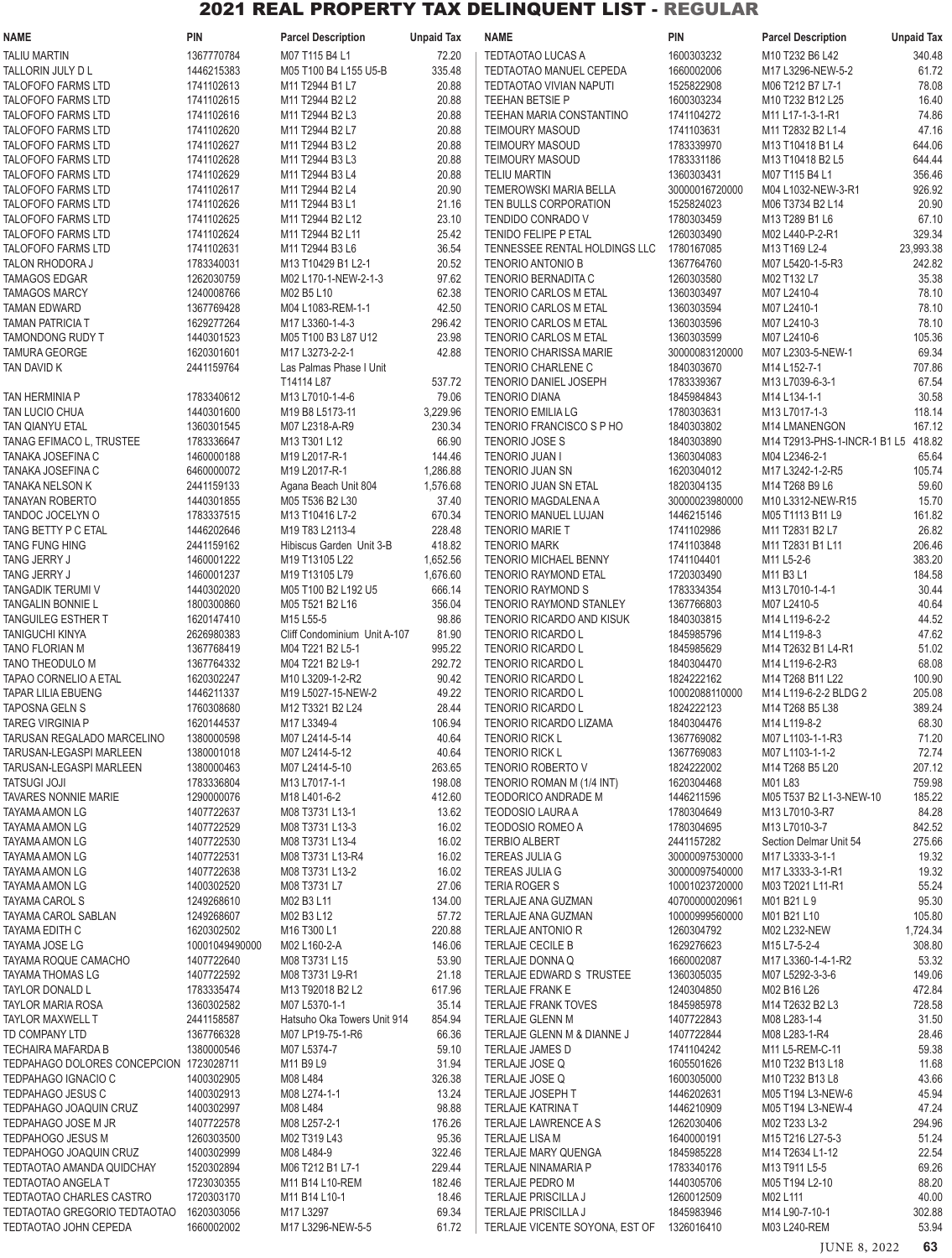| <b>NAME</b>                                            | <b>PIN</b>               | <b>Parcel Description</b>                  | <b>Unpaid Tax</b> | <b>NAME</b>                                                | <b>PIN</b>                   | <b>Parcel Description</b>             | <b>Unpaid Tax</b> |
|--------------------------------------------------------|--------------------------|--------------------------------------------|-------------------|------------------------------------------------------------|------------------------------|---------------------------------------|-------------------|
| <b>TALIU MARTIN</b>                                    | 1367770784               | M07 T115 B4 L1                             | 72.20             | <b>TEDTAOTAO LUCAS A</b>                                   | 1600303232                   | M10 T232 B6 L42                       | 340.48            |
| TALLORIN JULY D L                                      | 1446215383               | M05 T100 B4 L155 U5-B                      | 335.48            | TEDTAOTAO MANUEL CEPEDA                                    | 1660002006                   | M17 L3296-NEW-5-2                     | 61.72             |
| <b>TALOFOFO FARMS LTD</b>                              | 1741102613               | M11 T2944 B1 L7                            | 20.88             | TEDTAOTAO VIVIAN NAPUTI                                    | 1525822908                   | M06 T212 B7 L7-1                      | 78.08             |
| <b>TALOFOFO FARMS LTD</b>                              | 1741102615               | M11 T2944 B2 L2                            | 20.88             | <b>TEEHAN BETSIE P</b>                                     | 1600303234                   | M10 T232 B12 L25                      | 16.40             |
| <b>TALOFOFO FARMS LTD</b>                              | 1741102616               | M11 T2944 B2 L3                            | 20.88             | TEEHAN MARIA CONSTANTINO                                   | 1741104272                   | M11 L17-1-3-1-R1                      | 74.86             |
| <b>TALOFOFO FARMS LTD</b>                              | 1741102620               | M11 T2944 B2 L7                            | 20.88             | <b>TEIMOURY MASOUD</b>                                     | 1741103631                   | M11 T2832 B2 L1-4                     | 47.16             |
| <b>TALOFOFO FARMS LTD</b>                              | 1741102627               | M11 T2944 B3 L2                            | 20.88             | <b>TEIMOURY MASOUD</b>                                     | 1783339970                   | M13 T10418 B1 L4                      | 644.06            |
| <b>TALOFOFO FARMS LTD</b><br><b>TALOFOFO FARMS LTD</b> | 1741102628<br>1741102629 | M11 T2944 B3 L3<br>M11 T2944 B3 L4         | 20.88<br>20.88    | <b>TEIMOURY MASOUD</b><br><b>TELIU MARTIN</b>              | 1783331186<br>1360303431     | M13 T10418 B2 L5<br>M07 T115 B4 L1    | 644.44<br>356.46  |
| <b>TALOFOFO FARMS LTD</b>                              | 1741102617               | M11 T2944 B2 L4                            | 20.90             | <b>TEMEROWSKI MARIA BELLA</b>                              | 30000016720000               | M04 L1032-NEW-3-R1                    | 926.92            |
| <b>TALOFOFO FARMS LTD</b>                              | 1741102626               | M11 T2944 B3 L1                            | 21.16             | TEN BULLS CORPORATION                                      | 1525824023                   | M06 T3734 B2 L14                      | 20.90             |
| <b>TALOFOFO FARMS LTD</b>                              | 1741102625               | M11 T2944 B2 L12                           | 23.10             | TENDIDO CONRADO V                                          | 1780303459                   | M13 T289 B1 L6                        | 67.10             |
| <b>TALOFOFO FARMS LTD</b>                              | 1741102624               | M11 T2944 B2 L11                           | 25.42             | <b>TENIDO FELIPE P ETAL</b>                                | 1260303490                   | M02 L440-P-2-R1                       | 329.34            |
| <b>TALOFOFO FARMS LTD</b>                              | 1741102631               | M11 T2944 B3 L6                            | 36.54             | TENNESSEE RENTAL HOLDINGS LLC                              | 1780167085                   | M13 T169 L2-4                         | 23,993.38         |
| TALON RHODORA J                                        | 1783340031               | M13 T10429 B1 L2-1                         | 20.52             | <b>TENORIO ANTONIO B</b>                                   | 1367764760                   | M07 L5420-1-5-R3                      | 242.82            |
| <b>TAMAGOS EDGAR</b>                                   | 1262030759               | M02 L170-1-NEW-2-1-3                       | 97.62             | <b>TENORIO BERNADITA C</b>                                 | 1260303580                   | M02 T132 L7                           | 35.38             |
| <b>TAMAGOS MARCY</b>                                   | 1240008766               | M02 B5 L10                                 | 62.38             | <b>TENORIO CARLOS M ETAL</b>                               | 1360303497                   | M07 L2410-4                           | 78.10             |
| <b>TAMAN EDWARD</b>                                    | 1367769428               | M04 L1083-REM-1-1                          | 42.50             | TENORIO CARLOS M ETAL                                      | 1360303594                   | M07 L2410-1                           | 78.10             |
| <b>TAMAN PATRICIA T</b>                                | 1629277264               | M17 L3360-1-4-3                            | 296.42            | <b>TENORIO CARLOS M ETAL</b>                               | 1360303596                   | M07 L2410-3                           | 78.10             |
| TAMONDONG RUDY T                                       | 1440301523               | M05 T100 B3 L87 U12                        | 23.98             | <b>TENORIO CARLOS M ETAL</b>                               | 1360303599                   | M07 L2410-6                           | 105.36            |
| <b>TAMURA GEORGE</b>                                   | 1620301601<br>2441159764 | M17 L3273-2-2-1<br>Las Palmas Phase I Unit | 42.88             | <b>TENORIO CHARISSA MARIE</b><br>TENORIO CHARLENE C        | 30000083120000<br>1840303670 | M07 L2303-5-NEW-1<br>M14 L152-7-1     | 69.34             |
| TAN DAVID K                                            |                          | T14114 L87                                 | 537.72            | <b>TENORIO DANIEL JOSEPH</b>                               | 1783339367                   | M13 L7039-6-3-1                       | 707.86<br>67.54   |
| <b>TAN HERMINIA P</b>                                  | 1783340612               | M13 L7010-1-4-6                            | 79.06             | <b>TENORIO DIANA</b>                                       | 1845984843                   | M14 L134-1-1                          | 30.58             |
| TAN LUCIO CHUA                                         | 1440301600               | M19 B8 L5173-11                            | 3,229.96          | <b>TENORIO EMILIA LG</b>                                   | 1780303631                   | M13 L7017-1-3                         | 118.14            |
| <b>TAN QIANYU ETAL</b>                                 | 1360301545               | M07 L2318-A-R9                             | 230.34            | <b>TENORIO FRANCISCO S P HO</b>                            | 1840303802                   | M14 LMANENGON                         | 167.12            |
| TANAG EFIMACO L, TRUSTEE                               | 1783336647               | M13 T301 L12                               | 66.90             | <b>TENORIO JOSE S</b>                                      | 1840303890                   | M14 T2913-PHS-1-INCR-1 B1 L5 418.82   |                   |
| TANAKA JOSEFINA C                                      | 1460000188               | M19 L2017-R-1                              | 144.46            | <b>TENORIO JUAN I</b>                                      | 1360304083                   | M04 L2346-2-1                         | 65.64             |
| TANAKA JOSEFINA C                                      | 6460000072               | M19 L2017-R-1                              | 1,286.88          | <b>TENORIO JUAN SN</b>                                     | 1620304012                   | M17 L3242-1-2-R5                      | 105.74            |
| TANAKA NELSON K                                        | 2441159133               | Agana Beach Unit 804                       | 1,576.68          | <b>TENORIO JUAN SN ETAL</b>                                | 1820304135                   | M14 T268 B9 L6                        | 59.60             |
| <b>TANAYAN ROBERTO</b>                                 | 1440301855               | M05 T536 B2 L30                            | 37.40             | TENORIO MAGDALENA A                                        | 30000023980000               | M10 L3312-NEW-R15                     | 15.70             |
| TANDOC JOCELYN O                                       | 1783337515               | M13 T10416 L7-2                            | 670.34            | <b>TENORIO MANUEL LUJAN</b>                                | 1446215146                   | M05 T1113 B11 L9                      | 161.82            |
| TANG BETTY P C ETAL                                    | 1446202646               | M19 T83 L2113-4                            | 228.48            | <b>TENORIO MARIE T</b>                                     | 1741102986                   | M11 T2831 B2 L7                       | 26.82             |
| <b>TANG FUNG HING</b>                                  | 2441159162               | Hibiscus Garden Unit 3-B                   | 418.82            | <b>TENORIO MARK</b>                                        | 1741103848                   | M11 T2831 B1 L11                      | 206.46            |
| TANG JERRY J                                           | 1460001222               | M19 T13105 L22                             | 1,652.56          | <b>TENORIO MICHAEL BENNY</b>                               | 1741104401                   | M11 L5-2-6                            | 383.20            |
| TANG JERRY J                                           | 1460001237               | M19 T13105 L79                             | 1,676.60          | <b>TENORIO RAYMOND ETAL</b>                                | 1720303490<br>1783334354     | M11 B3 L1                             | 184.58            |
| TANGADIK TERUMI V<br>TANGALIN BONNIE L                 | 1440302020<br>1800300860 | M05 T100 B2 L192 U5<br>M05 T521 B2 L16     | 666.14<br>356.04  | <b>TENORIO RAYMOND S</b><br><b>TENORIO RAYMOND STANLEY</b> | 1367766803                   | M13 L7010-1-4-1<br>M07 L2410-5        | 30.44<br>40.64    |
| <b>TANGUILEG ESTHER T</b>                              | 1620147410               | M15 L55-5                                  | 98.86             | TENORIO RICARDO AND KISUK                                  | 1840303815                   | M14 L119-6-2-2                        | 44.52             |
| TANIGUCHI KINYA                                        | 2626980383               | Cliff Condominium Unit A-107               | 81.90             | TENORIO RICARDO L                                          | 1845985796                   | M14 L119-8-3                          | 47.62             |
| TANO FLORIAN M                                         | 1367768419               | M04 T221 B2 L5-1                           | 995.22            | TENORIO RICARDO L                                          | 1845985629                   | M14 T2632 B1 L4-R1                    | 51.02             |
| TANO THEODULO M                                        | 1367764332               | M04 T221 B2 L9-1                           | 292.72            | <b>TENORIO RICARDO L</b>                                   | 1840304470                   | M14 L119-6-2-R3                       | 68.08             |
| TAPAO CORNELIO A ETAL                                  | 1620302247               | M10 L3209-1-2-R2                           | 90.42             | TENORIO RICARDO L                                          | 1824222162                   | M14 T268 B11 L22                      | 100.90            |
| <b>TAPAR LILIA EBUENG</b>                              | 1446211337               | M19 L5027-15-NEW-2                         | 49.22             | TENORIO RICARDO L                                          | 10002088110000               | M14 L119-6-2-2 BLDG 2                 | 205.08            |
| <b>TAPOSNA GELN S</b>                                  | 1760308680               | M12 T3321 B2 L24                           | 28.44             | <b>TENORIO RICARDO L</b>                                   | 1824222123                   | M14 T268 B5 L38                       | 389.24            |
| <b>TAREG VIRGINIA P</b>                                | 1620144537               | M17 L3349-4                                | 106.94            | TENORIO RICARDO LIZAMA                                     | 1840304476                   | M14 L119-8-2                          | 68.30             |
| TARUSAN REGALADO MARCELINO                             | 1380000598               | M07 L2414-5-14                             | 40.64             | <b>TENORIO RICK L</b>                                      | 1367769082                   | M07 L1103-1-1-R3                      | 71.20             |
| TARUSAN-LEGASPI MARLEEN                                | 1380001018               | M07 L2414-5-12                             | 40.64             | <b>TENORIO RICK L</b>                                      | 1367769083                   | M07 L1103-1-1-2                       | 72.74             |
| TARUSAN-LEGASPI MARLEEN                                | 1380000463               | M07 L2414-5-10                             | 263.65            | TENORIO ROBERTO V                                          | 1824222002                   | M14 T268 B5 L20                       | 207.12            |
| <b>TATSUGI JOJI</b><br><b>TAVARES NONNIE MARIE</b>     | 1783336804<br>1290000076 | M13 L7017-1-1<br>M18 L401-6-2              | 198.08<br>412.60  | TENORIO ROMAN M (1/4 INT)<br>TEODORICO ANDRADE M           | 1620304468<br>1446211596     | M01 L83<br>M05 T537 B2 L1-3-NEW-10    | 759.98<br>185.22  |
| <b>TAYAMA AMON LG</b>                                  | 1407722637               | M08 T3731 L13-1                            | 13.62             | <b>TEODOSIO LAURA A</b>                                    | 1780304649                   | M13 L7010-3-R7                        | 84.28             |
| TAYAMA AMON LG                                         | 1407722529               | M08 T3731 L13-3                            | 16.02             | <b>TEODOSIO ROMEO A</b>                                    | 1780304695                   | M13 L7010-3-7                         | 842.52            |
| TAYAMA AMON LG                                         | 1407722530               | M08 T3731 L13-4                            | 16.02             | <b>TERBIO ALBERT</b>                                       | 2441157282                   | Section Delmar Unit 54                | 275.66            |
| TAYAMA AMON LG                                         | 1407722531               | M08 T3731 L13-R4                           | 16.02             | <b>TEREAS JULIA G</b>                                      | 30000097530000               | M17 L3333-3-1-1                       | 19.32             |
| TAYAMA AMON LG                                         | 1407722638               | M08 T3731 L13-2                            | 16.02             | <b>TEREAS JULIA G</b>                                      | 30000097540000               | M17 L3333-3-1-R1                      | 19.32             |
| TAYAMA AMON LG                                         | 1400302520               | M08 T3731 L7                               | 27.06             | <b>TERIA ROGER S</b>                                       | 10001023720000               | M03 T2021 L11-R1                      | 55.24             |
| TAYAMA CAROL S                                         | 1249268610               | M02 B3 L11                                 | 134.00            | TERLAJE ANA GUZMAN                                         | 40700000020961               | M01 B21 L 9                           | 95.30             |
| TAYAMA CAROL SABLAN                                    | 1249268607               | M02 B3 L12                                 | 57.72             | TERLAJE ANA GUZMAN                                         | 10000999560000               | M01 B21 L10                           | 105.80            |
| TAYAMA EDITH C                                         | 1620302502               | M16 T300 L1                                | 220.88            | TERLAJE ANTONIO R                                          | 1260304792                   | M02 L232-NEW                          | 1,724.34          |
| TAYAMA JOSE LG                                         | 10001049490000           | M02 L160-2-A                               | 146.06            | TERLAJE CECILE B                                           | 1629276623                   | M15 L7-5-2-4                          | 308.80            |
| TAYAMA ROQUE CAMACHO                                   | 1407722640<br>1407722592 | M08 T3731 L15                              | 53.90             | TERLAJE DONNA Q                                            | 1660002087<br>1360305035     | M17 L3360-1-4-1-R2<br>M07 L5292-3-3-6 | 53.32             |
| <b>TAYAMA THOMAS LG</b><br>TAYLOR DONALD L             | 1783335474               | M08 T3731 L9-R1<br>M13 T92018 B2 L2        | 21.18<br>617.96   | TERLAJE EDWARD S TRUSTEE<br>TERLAJE FRANK E                | 1240304850                   | M02 B16 L26                           | 149.06<br>472.84  |
| <b>TAYLOR MARIA ROSA</b>                               | 1360302582               | M07 L5370-1-1                              | 35.14             | <b>TERLAJE FRANK TOVES</b>                                 | 1845985978                   | M14 T2632 B2 L3                       | 728.58            |
| <b>TAYLOR MAXWELL T</b>                                | 2441158587               | Hatsuho Oka Towers Unit 914                | 854.94            | <b>TERLAJE GLENN M</b>                                     | 1407722843                   | M08 L283-1-4                          | 31.50             |
| TD COMPANY LTD                                         | 1367766328               | M07 LP19-75-1-R6                           | 66.36             | TERLAJE GLENN M & DIANNE J                                 | 1407722844                   | M08 L283-1-R4                         | 28.46             |
| TECHAIRA MAFARDA B                                     | 1380000546               | M07 L5374-7                                | 59.10             | TERLAJE JAMES D                                            | 1741104242                   | M11 L5-REM-C-11                       | 59.38             |
| TEDPAHAGO DOLORES CONCEPCION 1723028711                |                          | M11 B9 L9                                  | 31.94             | TERLAJE JOSE Q                                             | 1605501626                   | M10 T232 B13 L18                      | 11.68             |
| TEDPAHAGO IGNACIO C                                    | 1400302905               | M08 L484                                   | 326.38            | TERLAJE JOSE Q                                             | 1600305000                   | M10 T232 B13 L8                       | 43.66             |
| TEDPAHAGO JESUS C                                      | 1400302913               | M08 L274-1-1                               | 13.24             | TERLAJE JOSEPH T                                           | 1446202631                   | M05 T194 L3-NEW-6                     | 45.94             |
| TEDPAHAGO JOAQUIN CRUZ                                 | 1400302997               | M08 L484                                   | 98.88             | <b>TERLAJE KATRINA T</b>                                   | 1446210909                   | M05 T194 L3-NEW-4                     | 47.24             |
| TEDPAHAGO JOSE M JR                                    | 1407722578               | M08 L257-2-1                               | 176.26            | TERLAJE LAWRENCE A S                                       | 1262030406                   | M02 T233 L3-2                         | 294.96            |
| TEDPAHOGO JESUS M                                      | 1260303500               | M02 T319 L43                               | 95.36             | <b>TERLAJE LISA M</b>                                      | 1640000191                   | M15 T216 L27-5-3                      | 51.24             |
| TEDPAHOGO JOAQUIN CRUZ                                 | 1400302999               | M08 L484-9                                 | 322.46<br>229.44  | <b>TERLAJE MARY QUENGA</b><br><b>TERLAJE NINAMARIA P</b>   | 1845985228                   | M14 T2634 L1-12<br>M13 T911 L5-5      | 22.54             |
| TEDTAOTAO AMANDA QUIDCHAY<br><b>TEDTAOTAO ANGELA T</b> | 1520302894<br>1723030355 | M06 T212 B1 L7-1<br>M11 B14 L10-REM        | 182.46            | TERLAJE PEDRO M                                            | 1783340176<br>1440305706     | M05 T194 L2-10                        | 69.26<br>88.20    |
| TEDTAOTAO CHARLES CASTRO                               | 1720303170               | M11 B14 L10-1                              | 18.46             | TERLAJE PRISCILLA J                                        | 1260012509                   | M02 L111                              | 40.00             |
| TEDTAOTAO GREGORIO TEDTAOTAO 1620303056                |                          | M17 L3297                                  | 69.34             | TERLAJE PRISCILLA J                                        | 1845983946                   | M14 L90-7-10-1                        | 302.88            |
| TEDTAOTAO JOHN CEPEDA                                  | 1660002002               | M17 L3296-NEW-5-5                          | 61.72             | TERLAJE VICENTE SOYONA, EST OF 1326016410                  |                              | M03 L240-REM                          | 53.94             |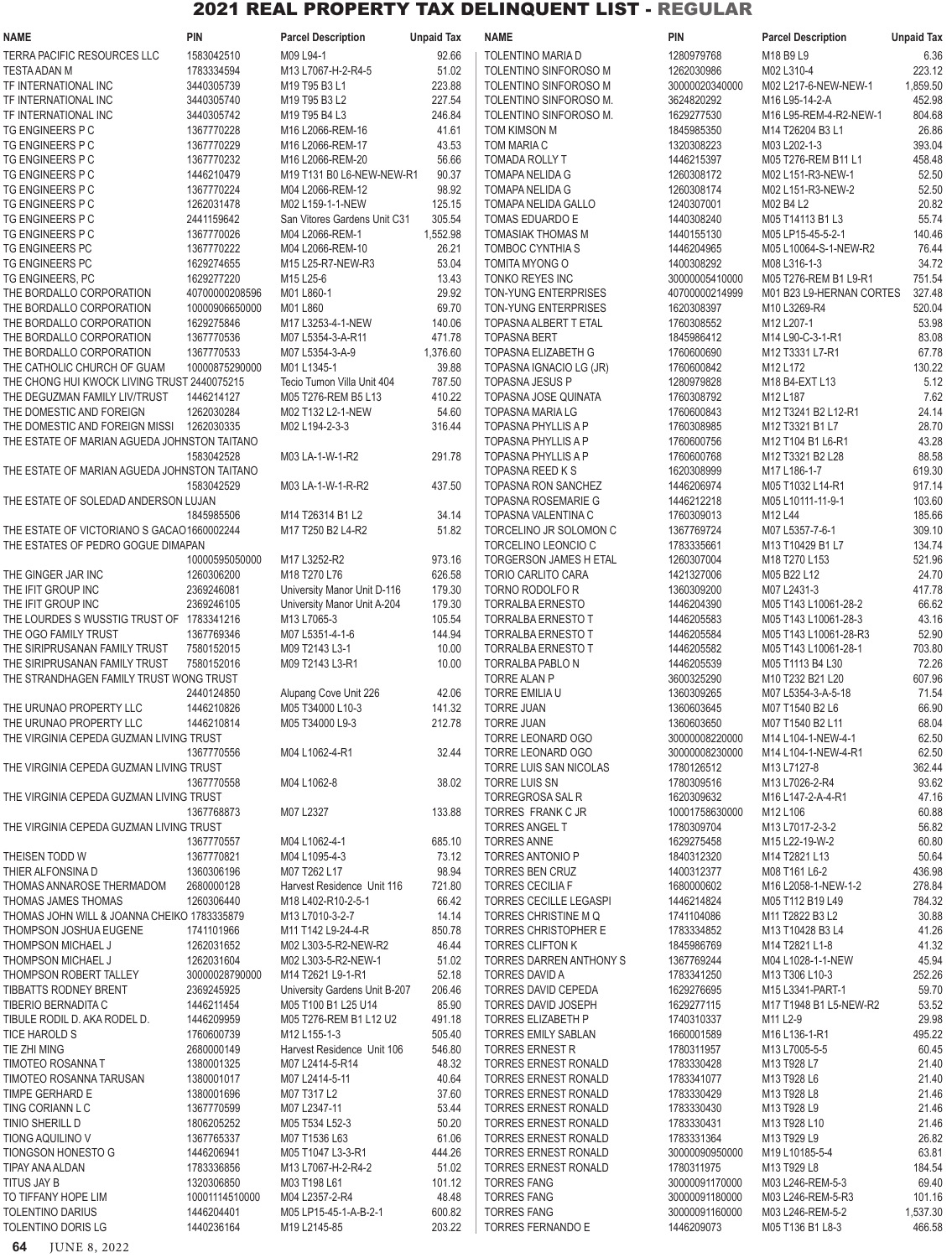| <b>NAME</b>                                  | PIN            | <b>Parcel Description</b>     | <b>Unpaid Tax</b> | <b>NAME</b>                   | PIN            | <b>Parcel Description</b> | <b>Unpaid Tax</b> |
|----------------------------------------------|----------------|-------------------------------|-------------------|-------------------------------|----------------|---------------------------|-------------------|
| <b>TERRA PACIFIC RESOURCES LLC</b>           | 1583042510     | M09 L94-1                     | 92.66             | <b>TOLENTINO MARIA D</b>      | 1280979768     | M18 B9 L9                 | 6.36              |
| <b>TESTA ADAN M</b>                          | 1783334594     | M13 L7067-H-2-R4-5            | 51.02             | TOLENTINO SINFOROSO M         | 1262030986     | M02 L310-4                | 223.12            |
| TF INTERNATIONAL INC                         | 3440305739     | M19 T95 B3 L1                 | 223.88            | TOLENTINO SINFOROSO M         | 30000020340000 | M02 L217-6-NEW-NEW-1      | 1,859.50          |
|                                              |                |                               |                   |                               |                |                           |                   |
| TF INTERNATIONAL INC                         | 3440305740     | M19 T95 B3 L2                 | 227.54            | TOLENTINO SINFOROSO M.        | 3624820292     | M16 L95-14-2-A            | 452.98            |
| TF INTERNATIONAL INC                         | 3440305742     | M19 T95 B4 L3                 | 246.84            | TOLENTINO SINFOROSO M.        | 1629277530     | M16 L95-REM-4-R2-NEW-1    | 804.68            |
| TG ENGINEERS P C                             | 1367770228     | M16 L2066-REM-16              | 41.61             | TOM KIMSON M                  | 1845985350     | M14 T26204 B3 L1          | 26.86             |
| TG ENGINEERS P C                             | 1367770229     | M16 L2066-REM-17              | 43.53             | TOM MARIA C                   | 1320308223     | M03 L202-1-3              | 393.04            |
| TG ENGINEERS P C                             | 1367770232     | M16 L2066-REM-20              | 56.66             | TOMADA ROLLY T                | 1446215397     | M05 T276-REM B11 L1       | 458.48            |
| TG ENGINEERS P C                             | 1446210479     | M19 T131 B0 L6-NEW-NEW-R1     | 90.37             | TOMAPA NELIDA G               | 1260308172     | M02 L151-R3-NEW-1         | 52.50             |
| TG ENGINEERS P C                             | 1367770224     | M04 L2066-REM-12              | 98.92             | TOMAPA NELIDA G               | 1260308174     | M02 L151-R3-NEW-2         | 52.50             |
|                                              |                |                               |                   |                               |                |                           |                   |
| TG ENGINEERS P C                             | 1262031478     | M02 L159-1-1-NEW              | 125.15            | TOMAPA NELIDA GALLO           | 1240307001     | M02 B4 L2                 | 20.82             |
| TG ENGINEERS P C                             | 2441159642     | San Vitores Gardens Unit C31  | 305.54            | TOMAS EDUARDO E               | 1440308240     | M05 T14113 B1 L3          | 55.74             |
| TG ENGINEERS P C                             | 1367770026     | M04 L2066-REM-1               | 1,552.98          | <b>TOMASIAK THOMAS M</b>      | 1440155130     | M05 LP15-45-5-2-1         | 140.46            |
| TG ENGINEERS PC                              | 1367770222     | M04 L2066-REM-10              | 26.21             | TOMBOC CYNTHIA S              | 1446204965     | M05 L10064-S-1-NEW-R2     | 76.44             |
| TG ENGINEERS PC                              | 1629274655     | M15 L25-R7-NEW-R3             | 53.04             | TOMITA MYONG O                | 1400308292     | M08 L316-1-3              | 34.72             |
| TG ENGINEERS, PC                             | 1629277220     | M15 L25-6                     | 13.43             | TONKO REYES INC               | 30000005410000 | M05 T276-REM B1 L9-R1     | 751.54            |
|                                              |                |                               |                   |                               |                |                           |                   |
| THE BORDALLO CORPORATION                     | 40700000208596 | M01 L860-1                    | 29.92             | TON-YUNG ENTERPRISES          | 40700000214999 | M01 B23 L9-HERNAN CORTES  | 327.48            |
| THE BORDALLO CORPORATION                     | 10000906650000 | M01 L860                      | 69.70             | TON-YUNG ENTERPRISES          | 1620308397     | M10 L3269-R4              | 520.04            |
| THE BORDALLO CORPORATION                     | 1629275846     | M17 L3253-4-1-NEW             | 140.06            | TOPASNA ALBERT T ETAL         | 1760308552     | M12 L207-1                | 53.98             |
| THE BORDALLO CORPORATION                     | 1367770536     | M07 L5354-3-A-R11             | 471.78            | <b>TOPASNA BERT</b>           | 1845986412     | M14 L90-C-3-1-R1          | 83.08             |
| THE BORDALLO CORPORATION                     | 1367770533     | M07 L5354-3-A-9               | 1,376.60          | TOPASNA ELIZABETH G           | 1760600690     | M12 T3331 L7-R1           | 67.78             |
| THE CATHOLIC CHURCH OF GUAM                  | 10000875290000 | M01 L1345-1                   | 39.88             | TOPASNA IGNACIO LG (JR)       | 1760600842     | M12 L172                  | 130.22            |
| THE CHONG HUI KWOCK LIVING TRUST 2440075215  |                | Tecio Tumon Villa Unit 404    | 787.50            | <b>TOPASNA JESUS P</b>        | 1280979828     | M18 B4-EXT L13            | 5.12              |
|                                              |                |                               |                   |                               |                |                           |                   |
| THE DEGUZMAN FAMILY LIV/TRUST                | 1446214127     | M05 T276-REM B5 L13           | 410.22            | TOPASNA JOSE QUINATA          | 1760308792     | M12 L187                  | 7.62              |
| THE DOMESTIC AND FOREIGN                     | 1262030284     | M02 T132 L2-1-NEW             | 54.60             | <b>TOPASNA MARIA LG</b>       | 1760600843     | M12 T3241 B2 L12-R1       | 24.14             |
| THE DOMESTIC AND FOREIGN MISSI               | 1262030335     | M02 L194-2-3-3                | 316.44            | TOPASNA PHYLLIS A P           | 1760308985     | M12 T3321 B1 L7           | 28.70             |
| THE ESTATE OF MARIAN AGUEDA JOHNSTON TAITANO |                |                               |                   | <b>TOPASNA PHYLLIS A P</b>    | 1760600756     | M12 T104 B1 L6-R1         | 43.28             |
|                                              | 1583042528     | M03 LA-1-W-1-R2               | 291.78            | TOPASNA PHYLLIS A P           | 1760600768     | M12 T3321 B2 L28          | 88.58             |
|                                              |                |                               |                   |                               |                |                           |                   |
| THE ESTATE OF MARIAN AGUEDA JOHNSTON TAITANO |                |                               |                   | TOPASNA REED K S              | 1620308999     | M17 L186-1-7              | 619.30            |
|                                              | 1583042529     | M03 LA-1-W-1-R-R2             | 437.50            | TOPASNA RON SANCHEZ           | 1446206974     | M05 T1032 L14-R1          | 917.14            |
| THE ESTATE OF SOLEDAD ANDERSON LUJAN         |                |                               |                   | <b>TOPASNA ROSEMARIE G</b>    | 1446212218     | M05 L10111-11-9-1         | 103.60            |
|                                              | 1845985506     | M14 T26314 B1 L2              | 34.14             | TOPASNA VALENTINA C           | 1760309013     | M12 L44                   | 185.66            |
| THE ESTATE OF VICTORIANO S GACAO1660002244   |                | M17 T250 B2 L4-R2             | 51.82             | TORCELINO JR SOLOMON C        | 1367769724     | M07 L5357-7-6-1           | 309.10            |
| THE ESTATES OF PEDRO GOGUE DIMAPAN           |                |                               |                   | TORCELINO LEONCIO C           | 1783335661     | M13 T10429 B1 L7          | 134.74            |
|                                              | 10000595050000 | M17 L3252-R2                  | 973.16            | TORGERSON JAMES H ETAL        | 1260307004     | M18 T270 L153             | 521.96            |
|                                              |                |                               |                   |                               |                |                           |                   |
| THE GINGER JAR INC                           | 1260306200     | M18 T270 L76                  | 626.58            | TORIO CARLITO CARA            | 1421327006     | M05 B22 L12               | 24.70             |
| THE IFIT GROUP INC                           | 2369246081     | University Manor Unit D-116   | 179.30            | TORNO RODOLFO R               | 1360309200     | M07 L2431-3               | 417.78            |
| THE IFIT GROUP INC                           | 2369246105     | University Manor Unit A-204   | 179.30            | <b>TORRALBA ERNESTO</b>       | 1446204390     | M05 T143 L10061-28-2      | 66.62             |
| THE LOURDES S WUSSTIG TRUST OF 1783341216    |                | M13 L7065-3                   | 105.54            | TORRALBA ERNESTO T            | 1446205583     | M05 T143 L10061-28-3      | 43.16             |
| THE OGO FAMILY TRUST                         | 1367769346     | M07 L5351-4-1-6               | 144.94            | <b>TORRALBA ERNESTO T</b>     | 1446205584     | M05 T143 L10061-28-R3     | 52.90             |
| THE SIRIPRUSANAN FAMILY TRUST                | 7580152015     | M09 T2143 L3-1                | 10.00             | <b>TORRALBA ERNESTO T</b>     | 1446205582     | M05 T143 L10061-28-1      | 703.80            |
|                                              |                |                               |                   |                               |                |                           |                   |
| THE SIRIPRUSANAN FAMILY TRUST                | 7580152016     | M09 T2143 L3-R1               | 10.00             | TORRALBA PABLO N              | 1446205539     | M05 T1113 B4 L30          | 72.26             |
| THE STRANDHAGEN FAMILY TRUST WONG TRUST      |                |                               |                   | <b>TORRE ALAN P</b>           | 3600325290     | M10 T232 B21 L20          | 607.96            |
|                                              | 2440124850     | Alupang Cove Unit 226         | 42.06             | TORRE EMILIA U                | 1360309265     | M07 L5354-3-A-5-18        | 71.54             |
| THE URUNAO PROPERTY LLC                      | 1446210826     | M05 T34000 L10-3              | 141.32            | <b>TORRE JUAN</b>             | 1360603645     | M07 T1540 B2 L6           | 66.90             |
| THE URUNAO PROPERTY LLC                      | 1446210814     | M05 T34000 L9-3               | 212.78            | <b>TORRE JUAN</b>             | 1360603650     | M07 T1540 B2 L11          | 68.04             |
| THE VIRGINIA CEPEDA GUZMAN LIVING TRUST      |                |                               |                   | TORRE LEONARD OGO             | 30000008220000 | M14 L104-1-NEW-4-1        | 62.50             |
|                                              | 1367770556     | M04 L1062-4-R1                | 32.44             | <b>TORRE LEONARD OGO</b>      | 30000008230000 |                           | 62.50             |
|                                              |                |                               |                   |                               |                | M14 L104-1-NEW-4-R1       |                   |
| THE VIRGINIA CEPEDA GUZMAN LIVING TRUST      |                |                               |                   | TORRE LUIS SAN NICOLAS        | 1780126512     | M13 L7127-8               | 362.44            |
|                                              | 1367770558     | M04 L1062-8                   | 38.02             | <b>TORRE LUIS SN</b>          | 1780309516     | M13 L7026-2-R4            | 93.62             |
| THE VIRGINIA CEPEDA GUZMAN LIVING TRUST      |                |                               |                   | TORREGROSA SAL R              | 1620309632     | M16 L147-2-A-4-R1         | 47.16             |
|                                              | 1367768873     | M07 L2327                     | 133.88            | TORRES FRANK C JR             | 10001758630000 | M12 L106                  | 60.88             |
| THE VIRGINIA CEPEDA GUZMAN LIVING TRUST      |                |                               |                   | TORRES ANGEL T                | 1780309704     | M13 L7017-2-3-2           | 56.82             |
|                                              | 1367770557     | M04 L1062-4-1                 | 685.10            | <b>TORRES ANNE</b>            | 1629275458     | M15 L22-19-W-2            | 60.80             |
|                                              | 1367770821     |                               |                   |                               | 1840312320     |                           | 50.64             |
| THEISEN TODD W                               |                | M04 L1095-4-3                 | 73.12             | TORRES ANTONIO P              |                | M14 T2821 L13             |                   |
| THIER ALFONSINA D                            | 1360306196     | M07 T262 L17                  | 98.94             | TORRES BEN CRUZ               | 1400312377     | M08 T161 L6-2             | 436.98            |
| THOMAS ANNAROSE THERMADOM                    | 2680000128     | Harvest Residence Unit 116    | 721.80            | <b>TORRES CECILIA F</b>       | 1680000602     | M16 L2058-1-NEW-1-2       | 278.84            |
| THOMAS JAMES THOMAS                          | 1260306440     | M18 L402-R10-2-5-1            | 66.42             | <b>TORRES CECILLE LEGASPI</b> | 1446214824     | M05 T112 B19 L49          | 784.32            |
| THOMAS JOHN WILL & JOANNA CHEIKO 1783335879  |                | M13 L7010-3-2-7               | 14.14             | TORRES CHRISTINE M Q          | 1741104086     | M11 T2822 B3 L2           | 30.88             |
| THOMPSON JOSHUA EUGENE                       | 1741101966     | M11 T142 L9-24-4-R            | 850.78            | <b>TORRES CHRISTOPHER E</b>   | 1783334852     | M13 T10428 B3 L4          | 41.26             |
| THOMPSON MICHAEL J                           | 1262031652     | M02 L303-5-R2-NEW-R2          | 46.44             | <b>TORRES CLIFTON K</b>       | 1845986769     | M14 T2821 L1-8            | 41.32             |
|                                              |                |                               |                   |                               |                |                           |                   |
| THOMPSON MICHAEL J                           | 1262031604     | M02 L303-5-R2-NEW-1           | 51.02             | TORRES DARREN ANTHONY S       | 1367769244     | M04 L1028-1-1-NEW         | 45.94             |
| THOMPSON ROBERT TALLEY                       | 30000028790000 | M14 T2621 L9-1-R1             | 52.18             | <b>TORRES DAVID A</b>         | 1783341250     | M13 T306 L10-3            | 252.26            |
| TIBBATTS RODNEY BRENT                        | 2369245925     | University Gardens Unit B-207 | 206.46            | <b>TORRES DAVID CEPEDA</b>    | 1629276695     | M15 L3341-PART-1          | 59.70             |
| TIBERIO BERNADITA C                          | 1446211454     | M05 T100 B1 L25 U14           | 85.90             | <b>TORRES DAVID JOSEPH</b>    | 1629277115     | M17 T1948 B1 L5-NEW-R2    | 53.52             |
| TIBULE RODIL D. AKA RODEL D.                 | 1446209959     | M05 T276-REM B1 L12 U2        | 491.18            | <b>TORRES ELIZABETH P</b>     | 1740310337     | M11 L2-9                  | 29.98             |
| <b>TICE HAROLD S</b>                         | 1760600739     | M12 L155-1-3                  | 505.40            | TORRES EMILY SABLAN           | 1660001589     | M16 L136-1-R1             | 495.22            |
| TIE ZHI MING                                 | 2680000149     | Harvest Residence Unit 106    | 546.80            | <b>TORRES ERNEST R</b>        | 1780311957     | M13 L7005-5-5             | 60.45             |
|                                              |                |                               |                   |                               |                |                           |                   |
| TIMOTEO ROSANNA T                            | 1380001325     | M07 L2414-5-R14               | 48.32             | <b>TORRES ERNEST RONALD</b>   | 1783330428     | M13 T928 L7               | 21.40             |
| TIMOTEO ROSANNA TARUSAN                      | 1380001017     | M07 L2414-5-11                | 40.64             | TORRES ERNEST RONALD          | 1783341077     | M13 T928 L6               | 21.40             |
| TIMPE GERHARD E                              | 1380001696     | M07 T317 L2                   | 37.60             | <b>TORRES ERNEST RONALD</b>   | 1783330429     | M13 T928 L8               | 21.46             |
| TING CORIANN L C                             | 1367770599     | M07 L2347-11                  | 53.44             | <b>TORRES ERNEST RONALD</b>   | 1783330430     | M13 T928 L9               | 21.46             |
| TINIO SHERILL D                              | 1806205252     | M05 T534 L52-3                | 50.20             | TORRES ERNEST RONALD          | 1783330431     | M13 T928 L10              | 21.46             |
| TIONG AQUILINO V                             | 1367765337     | M07 T1536 L63                 | 61.06             | <b>TORRES ERNEST RONALD</b>   | 1783331364     | M13 T929 L9               | 26.82             |
|                                              |                |                               |                   |                               |                |                           |                   |
| TIONGSON HONESTO G                           | 1446206941     | M05 T1047 L3-3-R1             | 444.26            | <b>TORRES ERNEST RONALD</b>   | 30000090950000 | M19 L10185-5-4            | 63.81             |
| <b>TIPAY ANA ALDAN</b>                       | 1783336856     | M13 L7067-H-2-R4-2            | 51.02             | <b>TORRES ERNEST RONALD</b>   | 1780311975     | M13 T929 L8               | 184.54            |
| TITUS JAY B                                  | 1320306850     | M03 T198 L61                  | 101.12            | <b>TORRES FANG</b>            | 30000091170000 | M03 L246-REM-5-3          | 69.40             |
| TO TIFFANY HOPE LIM                          | 10001114510000 | M04 L2357-2-R4                | 48.48             | <b>TORRES FANG</b>            | 30000091180000 | M03 L246-REM-5-R3         | 101.16            |
| TOLENTINO DARIUS                             | 1446204401     | M05 LP15-45-1-A-B-2-1         | 600.82            | <b>TORRES FANG</b>            | 30000091160000 | M03 L246-REM-5-2          | 1,537.30          |
| TOLENTINO DORIS LG                           | 1440236164     | M19 L2145-85                  | 203.22            | TORRES FERNANDO E             | 1446209073     | M05 T136 B1 L8-3          | 466.58            |
|                                              |                |                               |                   |                               |                |                           |                   |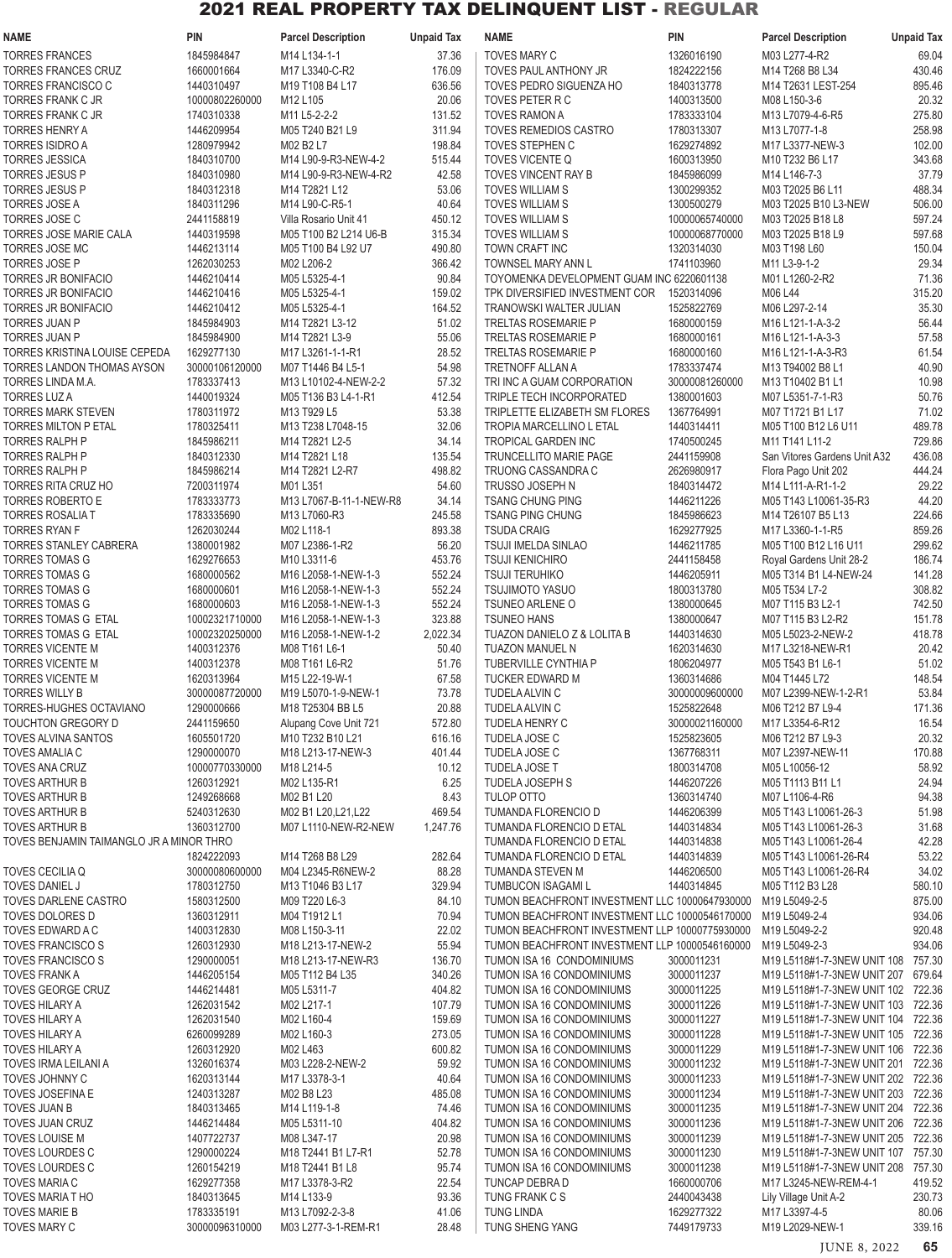| NAME                                                 | <b>PIN</b>                   | <b>Parcel Description</b>                  | <b>Unpaid Tax</b> | <b>NAME</b>                                                                                      | <b>PIN</b>               | <b>Parcel Description</b>                                                | <b>Unpaid Tax</b> |
|------------------------------------------------------|------------------------------|--------------------------------------------|-------------------|--------------------------------------------------------------------------------------------------|--------------------------|--------------------------------------------------------------------------|-------------------|
| <b>TORRES FRANCES</b>                                | 1845984847                   | M14 L134-1-1                               | 37.36             | TOVES MARY C                                                                                     | 1326016190               | M03 L277-4-R2                                                            | 69.04             |
| <b>TORRES FRANCES CRUZ</b>                           | 1660001664                   | M17 L3340-C-R2                             | 176.09            | TOVES PAUL ANTHONY JR                                                                            | 1824222156               | M14 T268 B8 L34                                                          | 430.46            |
| <b>TORRES FRANCISCO C</b>                            | 1440310497                   | M19 T108 B4 L17                            | 636.56            | TOVES PEDRO SIGUENZA HO                                                                          | 1840313778               | M14 T2631 LEST-254                                                       | 895.46            |
| TORRES FRANK C JR                                    | 10000802260000               | M12 L105                                   | 20.06             | TOVES PETER R C                                                                                  | 1400313500               | M08 L150-3-6                                                             | 20.32             |
| TORRES FRANK C JR                                    | 1740310338                   | M11 L5-2-2-2                               | 131.52            | <b>TOVES RAMON A</b>                                                                             | 1783333104               | M13 L7079-4-6-R5                                                         | 275.80            |
| <b>TORRES HENRY A</b>                                | 1446209954                   | M05 T240 B21 L9                            | 311.94            | TOVES REMEDIOS CASTRO                                                                            | 1780313307               | M13 L7077-1-8                                                            | 258.98            |
| TORRES ISIDRO A                                      | 1280979942                   | M02 B2 L7                                  | 198.84            | TOVES STEPHEN C                                                                                  | 1629274892               | M17 L3377-NEW-3                                                          | 102.00            |
| <b>TORRES JESSICA</b><br>TORRES JESUS P              | 1840310700<br>1840310980     | M14 L90-9-R3-NEW-4-2                       | 515.44<br>42.58   | TOVES VICENTE Q                                                                                  | 1600313950               | M10 T232 B6 L17                                                          | 343.68            |
| <b>TORRES JESUS P</b>                                | 1840312318                   | M14 L90-9-R3-NEW-4-R2<br>M14 T2821 L12     | 53.06             | TOVES VINCENT RAY B<br>TOVES WILLIAM S                                                           | 1845986099<br>1300299352 | M14 L146-7-3<br>M03 T2025 B6 L11                                         | 37.79<br>488.34   |
| <b>TORRES JOSE A</b>                                 | 1840311296                   | M14 L90-C-R5-1                             | 40.64             | <b>TOVES WILLIAM S</b>                                                                           | 1300500279               | M03 T2025 B10 L3-NEW                                                     | 506.00            |
| <b>TORRES JOSE C</b>                                 | 2441158819                   | Villa Rosario Unit 41                      | 450.12            | <b>TOVES WILLIAM S</b>                                                                           | 10000065740000           | M03 T2025 B18 L8                                                         | 597.24            |
| TORRES JOSE MARIE CALA                               | 1440319598                   | M05 T100 B2 L214 U6-B                      | 315.34            | TOVES WILLIAM S                                                                                  | 10000068770000           | M03 T2025 B18 L9                                                         | 597.68            |
| <b>TORRES JOSE MC</b>                                | 1446213114                   | M05 T100 B4 L92 U7                         | 490.80            | TOWN CRAFT INC                                                                                   | 1320314030               | M03 T198 L60                                                             | 150.04            |
| <b>TORRES JOSE P</b>                                 | 1262030253                   | M02 L206-2                                 | 366.42            | TOWNSEL MARY ANN L                                                                               | 1741103960               | M11 L3-9-1-2                                                             | 29.34             |
| TORRES JR BONIFACIO                                  | 1446210414                   | M05 L5325-4-1                              | 90.84             | TOYOMENKA DEVELOPMENT GUAM INC 6220601138                                                        |                          | M01 L1260-2-R2                                                           | 71.36             |
| <b>TORRES JR BONIFACIO</b>                           | 1446210416                   | M05 L5325-4-1                              | 159.02            | TPK DIVERSIFIED INVESTMENT COR                                                                   | 1520314096               | M06 L44                                                                  | 315.20            |
| <b>TORRES JR BONIFACIO</b>                           | 1446210412                   | M05 L5325-4-1                              | 164.52            | TRANOWSKI WALTER JULIAN                                                                          | 1525822769               | M06 L297-2-14                                                            | 35.30             |
| TORRES JUAN P                                        | 1845984903                   | M14 T2821 L3-12                            | 51.02             | TRELTAS ROSEMARIE P                                                                              | 1680000159               | M16 L121-1-A-3-2                                                         | 56.44             |
| <b>TORRES JUAN P</b>                                 | 1845984900                   | M14 T2821 L3-9                             | 55.06             | <b>TRELTAS ROSEMARIE P</b>                                                                       | 1680000161               | M16 L121-1-A-3-3                                                         | 57.58             |
| <b>TORRES KRISTINA LOUISE CEPEDA</b>                 | 1629277130                   | M17 L3261-1-1-R1                           | 28.52             | <b>TRELTAS ROSEMARIE P</b>                                                                       | 1680000160<br>1783337474 | M16 L121-1-A-3-R3                                                        | 61.54             |
| TORRES LANDON THOMAS AYSON<br>TORRES LINDA M.A.      | 30000106120000<br>1783337413 | M07 T1446 B4 L5-1<br>M13 L10102-4-NEW-2-2  | 54.98<br>57.32    | TRETNOFF ALLAN A<br>TRI INC A GUAM CORPORATION                                                   | 30000081260000           | M13 T94002 B8 L1<br>M13 T10402 B1 L1                                     | 40.90<br>10.98    |
| <b>TORRES LUZ A</b>                                  | 1440019324                   | M05 T136 B3 L4-1-R1                        | 412.54            | TRIPLE TECH INCORPORATED                                                                         | 1380001603               | M07 L5351-7-1-R3                                                         | 50.76             |
| <b>TORRES MARK STEVEN</b>                            | 1780311972                   | M13 T929 L5                                | 53.38             | TRIPLETTE ELIZABETH SM FLORES                                                                    | 1367764991               | M07 T1721 B1 L17                                                         | 71.02             |
| <b>TORRES MILTON P ETAL</b>                          | 1780325411                   | M13 T238 L7048-15                          | 32.06             | TROPIA MARCELLINO L ETAL                                                                         | 1440314411               | M05 T100 B12 L6 U11                                                      | 489.78            |
| TORRES RALPH P                                       | 1845986211                   | M14 T2821 L2-5                             | 34.14             | TROPICAL GARDEN INC                                                                              | 1740500245               | M11 T141 L11-2                                                           | 729.86            |
| TORRES RALPH P                                       | 1840312330                   | M14 T2821 L18                              | 135.54            | TRUNCELLITO MARIE PAGE                                                                           | 2441159908               | San Vitores Gardens Unit A32                                             | 436.08            |
| <b>TORRES RALPH P</b>                                | 1845986214                   | M14 T2821 L2-R7                            | 498.82            | TRUONG CASSANDRA C                                                                               | 2626980917               | Flora Pago Unit 202                                                      | 444.24            |
| TORRES RITA CRUZ HO                                  | 7200311974                   | M01 L351                                   | 54.60             | TRUSSO JOSEPH N                                                                                  | 1840314472               | M14 L111-A-R1-1-2                                                        | 29.22             |
| <b>TORRES ROBERTO E</b>                              | 1783333773                   | M13 L7067-B-11-1-NEW-R8                    | 34.14             | <b>TSANG CHUNG PING</b>                                                                          | 1446211226               | M05 T143 L10061-35-R3                                                    | 44.20             |
| TORRES ROSALIA T                                     | 1783335690                   | M13 L7060-R3                               | 245.58            | <b>TSANG PING CHUNG</b>                                                                          | 1845986623               | M14 T26107 B5 L13                                                        | 224.66            |
| <b>TORRES RYAN F</b>                                 | 1262030244                   | M02 L118-1                                 | 893.38            | <b>TSUDA CRAIG</b>                                                                               | 1629277925               | M17 L3360-1-1-R5                                                         | 859.26            |
| TORRES STANLEY CABRERA                               | 1380001982                   | M07 L2386-1-R2                             | 56.20             | <b>TSUJI IMELDA SINLAO</b>                                                                       | 1446211785               | M05 T100 B12 L16 U11                                                     | 299.62            |
| <b>TORRES TOMAS G</b>                                | 1629276653                   | M10 L3311-6                                | 453.76            | <b>TSUJI KENICHIRO</b>                                                                           | 2441158458               | Royal Gardens Unit 28-2                                                  | 186.74            |
| <b>TORRES TOMAS G</b><br><b>TORRES TOMAS G</b>       | 1680000562<br>1680000601     | M16 L2058-1-NEW-1-3<br>M16 L2058-1-NEW-1-3 | 552.24<br>552.24  | <b>TSUJI TERUHIKO</b><br>TSUJIMOTO YASUO                                                         | 1446205911<br>1800313780 | M05 T314 B1 L4-NEW-24<br>M05 T534 L7-2                                   | 141.28<br>308.82  |
| <b>TORRES TOMAS G</b>                                | 1680000603                   | M16 L2058-1-NEW-1-3                        | 552.24            | TSUNEO ARLENE O                                                                                  | 1380000645               | M07 T115 B3 L2-1                                                         | 742.50            |
| <b>TORRES TOMAS G ETAL</b>                           | 10002321710000               | M16 L2058-1-NEW-1-3                        | 323.88            | <b>TSUNEO HANS</b>                                                                               | 1380000647               | M07 T115 B3 L2-R2                                                        | 151.78            |
| TORRES TOMAS G ETAL                                  | 10002320250000               | M16 L2058-1-NEW-1-2                        | 2,022.34          | TUAZON DANIELO Z & LOLITA B                                                                      | 1440314630               | M05 L5023-2-NEW-2                                                        | 418.78            |
| <b>TORRES VICENTE M</b>                              | 1400312376                   | M08 T161 L6-1                              | 50.40             | TUAZON MANUEL N                                                                                  | 1620314630               | M17 L3218-NEW-R1                                                         | 20.42             |
| <b>TORRES VICENTE M</b>                              | 1400312378                   | M08 T161 L6-R2                             | 51.76             | <b>TUBERVILLE CYNTHIA P</b>                                                                      | 1806204977               | M05 T543 B1 L6-1                                                         | 51.02             |
| <b>TORRES VICENTE M</b>                              | 1620313964                   | M15 L22-19-W-1                             | 67.58             | TUCKER EDWARD M                                                                                  | 1360314686               | M04 T1445 L72                                                            | 148.54            |
| TORRES WILLY B                                       | 30000087720000               | M19 L5070-1-9-NEW-1                        | 73.78             | TUDELA ALVIN C                                                                                   | 30000009600000           | M07 L2399-NEW-1-2-R1                                                     | 53.84             |
| TORRES-HUGHES OCTAVIANO                              | 1290000666                   | M18 T25304 BB L5                           | 20.88             | TUDELA ALVIN C                                                                                   | 1525822648               | M06 T212 B7 L9-4                                                         | 171.36            |
| TOUCHTON GREGORY D                                   | 2441159650                   | Alupang Cove Unit 721                      | 572.80            | <b>TUDELA HENRY C</b>                                                                            | 30000021160000           | M17 L3354-6-R12                                                          | 16.54             |
| <b>TOVES ALVINA SANTOS</b>                           | 1605501720                   | M10 T232 B10 L21                           | 616.16            | TUDELA JOSE C                                                                                    | 1525823605               | M06 T212 B7 L9-3                                                         | 20.32             |
| <b>TOVES AMALIA C</b>                                | 1290000070                   | M18 L213-17-NEW-3                          | 401.44            | TUDELA JOSE C                                                                                    | 1367768311               | M07 L2397-NEW-11                                                         | 170.88            |
| TOVES ANA CRUZ<br><b>TOVES ARTHUR B</b>              | 10000770330000<br>1260312921 | M18 L214-5<br>M02 L135-R1                  | 10.12<br>6.25     | <b>TUDELA JOSE T</b><br><b>TUDELA JOSEPH S</b>                                                   | 1800314708<br>1446207226 | M05 L10056-12<br>M05 T1113 B11 L1                                        | 58.92<br>24.94    |
| <b>TOVES ARTHUR B</b>                                | 1249268668                   | M02 B1 L20                                 | 8.43              | <b>TULOP OTTO</b>                                                                                | 1360314740               | M07 L1106-4-R6                                                           | 94.38             |
| <b>TOVES ARTHUR B</b>                                | 5240312630                   | M02 B1 L20, L21, L22                       | 469.54            | TUMANDA FLORENCIO D                                                                              | 1446206399               | M05 T143 L10061-26-3                                                     | 51.98             |
| TOVES ARTHUR B                                       | 1360312700                   | M07 L1110-NEW-R2-NEW                       | 1,247.76          | TUMANDA FLORENCIO D ETAL                                                                         | 1440314834               | M05 T143 L10061-26-3                                                     | 31.68             |
| TOVES BENJAMIN TAIMANGLO JR A MINOR THRO             |                              |                                            |                   | TUMANDA FLORENCIO D ETAL                                                                         | 1440314838               | M05 T143 L10061-26-4                                                     | 42.28             |
|                                                      | 1824222093                   | M14 T268 B8 L29                            | 282.64            | TUMANDA FLORENCIO D ETAL                                                                         | 1440314839               | M05 T143 L10061-26-R4                                                    | 53.22             |
| TOVES CECILIA Q                                      | 30000080600000               | M04 L2345-R6NEW-2                          | 88.28             | TUMANDA STEVEN M                                                                                 | 1446206500               | M05 T143 L10061-26-R4                                                    | 34.02             |
| <b>TOVES DANIEL J</b>                                | 1780312750                   | M13 T1046 B3 L17                           | 329.94            | TUMBUCON ISAGAMI L                                                                               | 1440314845               | M05 T112 B3 L28                                                          | 580.10            |
| TOVES DARLENE CASTRO                                 | 1580312500                   | M09 T220 L6-3                              | 84.10             | TUMON BEACHFRONT INVESTMENT LLC 10000647930000                                                   |                          | M19 L5049-2-5                                                            | 875.00            |
| TOVES DOLORES D                                      | 1360312911                   | M04 T1912 L1                               | 70.94             | TUMON BEACHFRONT INVESTMENT LLC 10000546170000                                                   |                          | M19 L5049-2-4                                                            | 934.06            |
| TOVES EDWARD A C                                     | 1400312830                   | M08 L150-3-11                              | 22.02             | TUMON BEACHFRONT INVESTMENT LLP 10000775930000<br>TUMON BEACHFRONT INVESTMENT LLP 10000546160000 |                          | M19 L5049-2-2                                                            | 920.48<br>934.06  |
| <b>TOVES FRANCISCO S</b><br><b>TOVES FRANCISCO S</b> | 1260312930<br>1290000051     | M18 L213-17-NEW-2<br>M18 L213-17-NEW-R3    | 55.94<br>136.70   | TUMON ISA 16 CONDOMINIUMS                                                                        | 3000011231               | M19 L5049-2-3<br>M19 L5118#1-7-3NEW UNIT 108 757.30                      |                   |
| <b>TOVES FRANK A</b>                                 | 1446205154                   | M05 T112 B4 L35                            | 340.26            | TUMON ISA 16 CONDOMINIUMS                                                                        | 3000011237               | M19 L5118#1-7-3NEW UNIT 207 679.64                                       |                   |
| <b>TOVES GEORGE CRUZ</b>                             | 1446214481                   | M05 L5311-7                                | 404.82            | TUMON ISA 16 CONDOMINIUMS                                                                        | 3000011225               | M19 L5118#1-7-3NEW UNIT 102 722.36                                       |                   |
| <b>TOVES HILARY A</b>                                | 1262031542                   | M02 L217-1                                 | 107.79            | TUMON ISA 16 CONDOMINIUMS                                                                        | 3000011226               | M19 L5118#1-7-3NEW UNIT 103 722.36                                       |                   |
| <b>TOVES HILARY A</b>                                | 1262031540                   | M02 L160-4                                 | 159.69            | TUMON ISA 16 CONDOMINIUMS                                                                        | 3000011227               | M19 L5118#1-7-3NEW UNIT 104 722.36                                       |                   |
| <b>TOVES HILARY A</b>                                | 6260099289                   | M02 L160-3                                 | 273.05            | TUMON ISA 16 CONDOMINIUMS                                                                        | 3000011228               | M19 L5118#1-7-3NEW UNIT 105 722.36                                       |                   |
| TOVES HILARY A                                       | 1260312920                   | M02 L463                                   | 600.82            | TUMON ISA 16 CONDOMINIUMS                                                                        | 3000011229               | M19 L5118#1-7-3NEW UNIT 106 722.36                                       |                   |
| TOVES IRMA LEILANI A                                 | 1326016374                   | M03 L228-2-NEW-2                           | 59.92             | TUMON ISA 16 CONDOMINIUMS                                                                        | 3000011232               | M19 L5118#1-7-3NEW UNIT 201 722.36                                       |                   |
| TOVES JOHNNY C                                       | 1620313144                   | M17 L3378-3-1                              | 40.64             | TUMON ISA 16 CONDOMINIUMS                                                                        | 3000011233               | M19 L5118#1-7-3NEW UNIT 202 722.36                                       |                   |
| TOVES JOSEFINA E                                     | 1240313287                   | M02 B8 L23                                 | 485.08            | TUMON ISA 16 CONDOMINIUMS                                                                        | 3000011234               | M19 L5118#1-7-3NEW UNIT 203 722.36                                       |                   |
| TOVES JUAN B                                         | 1840313465                   | M14 L119-1-8                               | 74.46             | TUMON ISA 16 CONDOMINIUMS                                                                        | 3000011235               | M19 L5118#1-7-3NEW UNIT 204 722.36                                       |                   |
| <b>TOVES JUAN CRUZ</b><br><b>TOVES LOUISE M</b>      | 1446214484<br>1407722737     | M05 L5311-10<br>M08 L347-17                | 404.82<br>20.98   | TUMON ISA 16 CONDOMINIUMS<br>TUMON ISA 16 CONDOMINIUMS                                           | 3000011236<br>3000011239 | M19 L5118#1-7-3NEW UNIT 206 722.36<br>M19 L5118#1-7-3NEW UNIT 205 722.36 |                   |
| TOVES LOURDES C                                      | 1290000224                   | M18 T2441 B1 L7-R1                         | 52.78             | TUMON ISA 16 CONDOMINIUMS                                                                        | 3000011230               | M19 L5118#1-7-3NEW UNIT 107 757.30                                       |                   |
| TOVES LOURDES C                                      | 1260154219                   | M18 T2441 B1 L8                            | 95.74             | TUMON ISA 16 CONDOMINIUMS                                                                        | 3000011238               | M19 L5118#1-7-3NEW UNIT 208 757.30                                       |                   |
| <b>TOVES MARIA C</b>                                 | 1629277358                   | M17 L3378-3-R2                             | 22.54             | TUNCAP DEBRA D                                                                                   | 1660000706               | M17 L3245-NEW-REM-4-1                                                    | 419.52            |
| <b>TOVES MARIAT HO</b>                               | 1840313645                   | M14 L133-9                                 | 93.36             | TUNG FRANK C S                                                                                   | 2440043438               | Lily Village Unit A-2                                                    | 230.73            |
| <b>TOVES MARIE B</b>                                 | 1783335191                   | M13 L7092-2-3-8                            | 41.06             | <b>TUNG LINDA</b>                                                                                | 1629277322               | M17 L3397-4-5                                                            | 80.06             |
| <b>TOVES MARY C</b>                                  | 30000096310000               | M03 L277-3-1-REM-R1                        | 28.48             | TUNG SHENG YANG                                                                                  | 7449179733               | M19 L2029-NEW-1                                                          | 339.16            |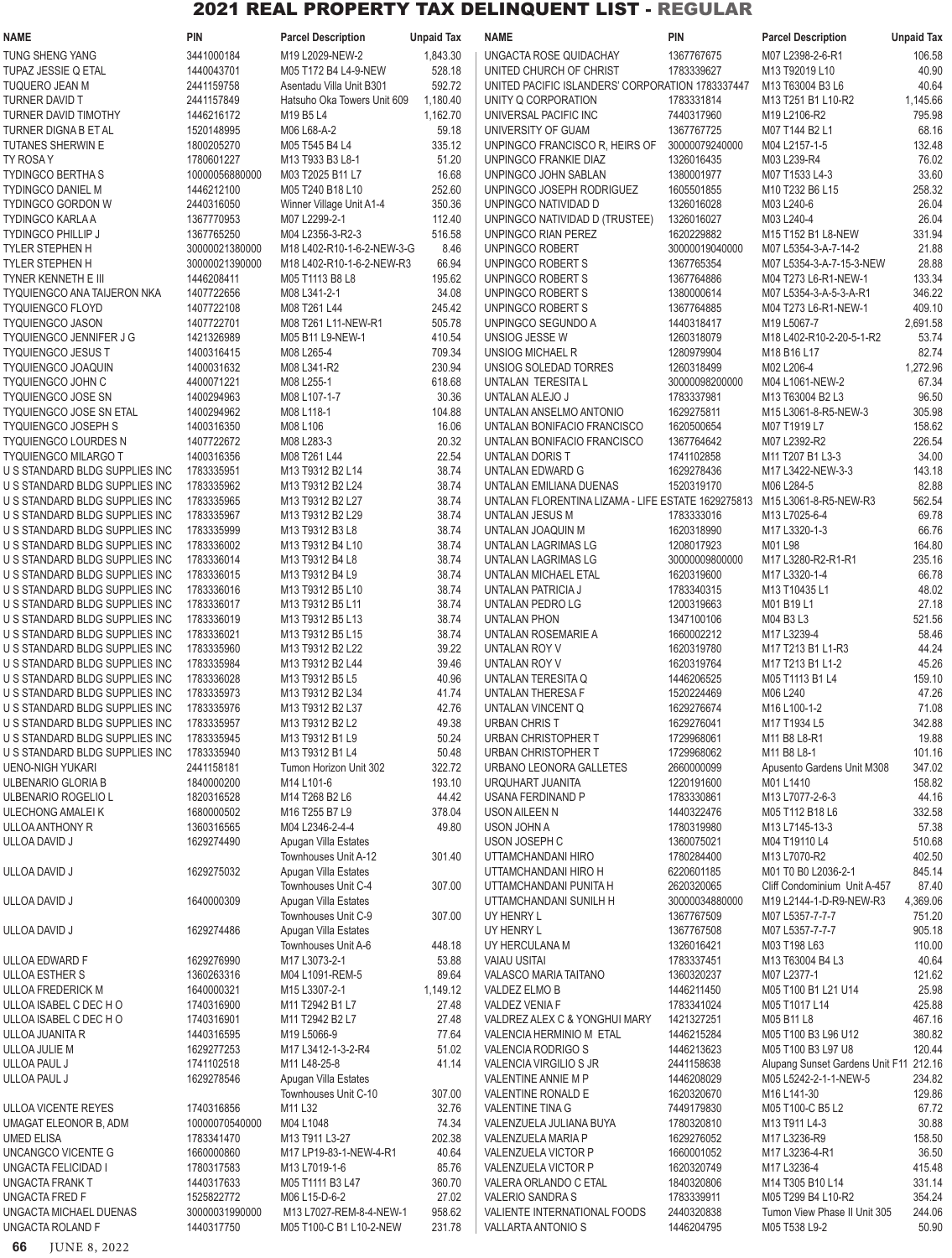| <b>NAME</b>                                                      | <b>PIN</b>                   | <b>Parcel Description</b>                                        | <b>Unpaid Tax</b> | <b>NAME</b>                                        | <b>PIN</b>               | <b>Parcel Description</b>                                                       | <b>Unpaid Tax</b> |
|------------------------------------------------------------------|------------------------------|------------------------------------------------------------------|-------------------|----------------------------------------------------|--------------------------|---------------------------------------------------------------------------------|-------------------|
| TUNG SHENG YANG                                                  | 3441000184                   | M19 L2029-NEW-2                                                  | 1,843.30          | UNGACTA ROSE QUIDACHAY                             | 1367767675               | M07 L2398-2-6-R1                                                                | 106.58            |
| <b>TUPAZ JESSIE Q ETAL</b>                                       | 1440043701                   | M05 T172 B4 L4-9-NEW                                             | 528.18            | UNITED CHURCH OF CHRIST                            | 1783339627               | M13 T92019 L10                                                                  | 40.90             |
| TUQUERO JEAN M                                                   | 2441159758                   | Asentadu Villa Unit B301                                         | 592.72            | UNITED PACIFIC ISLANDERS' CORPORATION 1783337447   |                          | M13 T63004 B3 L6                                                                | 40.64             |
| TURNER DAVID T                                                   | 2441157849                   | Hatsuho Oka Towers Unit 609                                      | 1,180.40          | UNITY Q CORPORATION                                | 1783331814               | M <sub>13</sub> T <sub>251</sub> B <sub>1</sub> L <sub>10</sub> -R <sub>2</sub> | 1,145.66          |
| TURNER DAVID TIMOTHY                                             | 1446216172                   | M19 B5 L4                                                        | 1,162.70          | UNIVERSAL PACIFIC INC                              | 7440317960               | M19 L2106-R2                                                                    | 795.98            |
| TURNER DIGNA B ET AL                                             | 1520148995                   | M06 L68-A-2                                                      | 59.18             | UNIVERSITY OF GUAM                                 | 1367767725               | M07 T144 B2 L1                                                                  | 68.16             |
| <b>TUTANES SHERWIN E</b>                                         | 1800205270                   | M05 T545 B4 L4                                                   | 335.12            | UNPINGCO FRANCISCO R, HEIRS OF                     | 30000079240000           | M04 L2157-1-5                                                                   | 132.48            |
| TY ROSA Y                                                        | 1780601227                   | M13 T933 B3 L8-1                                                 | 51.20             | UNPINGCO FRANKIE DIAZ                              | 1326016435               | M03 L239-R4                                                                     | 76.02             |
| <b>TYDINGCO BERTHAS</b><br><b>TYDINGCO DANIEL M</b>              | 10000056880000<br>1446212100 | M03 T2025 B11 L7<br>M05 T240 B18 L10                             | 16.68<br>252.60   | UNPINGCO JOHN SABLAN<br>UNPINGCO JOSEPH RODRIGUEZ  | 1380001977<br>1605501855 | M07 T1533 L4-3<br>M10 T232 B6 L15                                               | 33.60<br>258.32   |
| <b>TYDINGCO GORDON W</b>                                         | 2440316050                   | Winner Village Unit A1-4                                         | 350.36            | UNPINGCO NATIVIDAD D                               | 1326016028               | M03 L240-6                                                                      | 26.04             |
| <b>TYDINGCO KARLA A</b>                                          | 1367770953                   | M07 L2299-2-1                                                    | 112.40            | UNPINGCO NATIVIDAD D (TRUSTEE)                     | 1326016027               | M03 L240-4                                                                      | 26.04             |
| <b>TYDINGCO PHILLIP J</b>                                        | 1367765250                   | M04 L2356-3-R2-3                                                 | 516.58            | UNPINGCO RIAN PEREZ                                | 1620229882               | M15 T152 B1 L8-NEW                                                              | 331.94            |
| TYLER STEPHEN H                                                  | 30000021380000               | M18 L402-R10-1-6-2-NEW-3-G                                       | 8.46              | UNPINGCO ROBERT                                    | 30000019040000           | M07 L5354-3-A-7-14-2                                                            | 21.88             |
| <b>TYLER STEPHEN H</b>                                           | 30000021390000               | M18 L402-R10-1-6-2-NEW-R3                                        | 66.94             | UNPINGCO ROBERT S                                  | 1367765354               | M07 L5354-3-A-7-15-3-NEW                                                        | 28.88             |
| TYNER KENNETH E III                                              | 1446208411                   | M05 T1113 B8 L8                                                  | 195.62            | UNPINGCO ROBERT S                                  | 1367764886               | M04 T273 L6-R1-NEW-1                                                            | 133.34            |
| <b>TYQUIENGCO ANA TAIJERON NKA</b>                               | 1407722656                   | M08 L341-2-1                                                     | 34.08             | UNPINGCO ROBERT S                                  | 1380000614               | M07 L5354-3-A-5-3-A-R1                                                          | 346.22            |
| <b>TYQUIENGCO FLOYD</b>                                          | 1407722108                   | M08 T261 L44                                                     | 245.42            | UNPINGCO ROBERT S                                  | 1367764885               | M04 T273 L6-R1-NEW-1                                                            | 409.10            |
| <b>TYQUIENGCO JASON</b>                                          | 1407722701                   | M08 T261 L11-NEW-R1                                              | 505.78            | UNPINGCO SEGUNDO A                                 | 1440318417               | M19 L5067-7                                                                     | 2,691.58          |
| TYQUIENGCO JENNIFER J G<br><b>TYQUIENGCO JESUS T</b>             | 1421326989<br>1400316415     | M05 B11 L9-NEW-1<br>M08 L265-4                                   | 410.54<br>709.34  | UNSIOG JESSE W<br>UNSIOG MICHAEL R                 | 1260318079<br>1280979904 | M18 L402-R10-2-20-5-1-R2<br>M18 B16 L17                                         | 53.74<br>82.74    |
| <b>TYQUIENGCO JOAQUIN</b>                                        | 1400031632                   | M08 L341-R2                                                      | 230.94            | UNSIOG SOLEDAD TORRES                              | 1260318499               | M02 L206-4                                                                      | 1,272.96          |
| TYQUIENGCO JOHN C                                                | 4400071221                   | M08 L255-1                                                       | 618.68            | UNTALAN TERESITA L                                 | 30000098200000           | M04 L1061-NEW-2                                                                 | 67.34             |
| <b>TYQUIENGCO JOSE SN</b>                                        | 1400294963                   | M08 L107-1-7                                                     | 30.36             | UNTALAN ALEJO J                                    | 1783337981               | M13 T63004 B2 L3                                                                | 96.50             |
| <b>TYQUIENGCO JOSE SN ETAL</b>                                   | 1400294962                   | M08 L118-1                                                       | 104.88            | UNTALAN ANSELMO ANTONIO                            | 1629275811               | M15 L3061-8-R5-NEW-3                                                            | 305.98            |
| <b>TYQUIENGCO JOSEPH S</b>                                       | 1400316350                   | M08 L106                                                         | 16.06             | UNTALAN BONIFACIO FRANCISCO                        | 1620500654               | M07 T1919 L7                                                                    | 158.62            |
| <b>TYQUIENGCO LOURDES N</b>                                      | 1407722672                   | M08 L283-3                                                       | 20.32             | UNTALAN BONIFACIO FRANCISCO                        | 1367764642               | M07 L2392-R2                                                                    | 226.54            |
| <b>TYQUIENGCO MILARGO T</b>                                      | 1400316356                   | M08 T261 L44                                                     | 22.54             | UNTALAN DORIS T                                    | 1741102858               | M11 T207 B1 L3-3                                                                | 34.00             |
| U S STANDARD BLDG SUPPLIES INC                                   | 1783335951                   | M13 T9312 B2 L14                                                 | 38.74             | UNTALAN EDWARD G                                   | 1629278436               | M17 L3422-NEW-3-3                                                               | 143.18            |
| U S STANDARD BLDG SUPPLIES INC                                   | 1783335962                   | M13 T9312 B2 L24                                                 | 38.74             | UNTALAN EMILIANA DUENAS                            | 1520319170               | M06 L284-5                                                                      | 82.88             |
| U S STANDARD BLDG SUPPLIES INC                                   | 1783335965                   | M13 T9312 B2 L27                                                 | 38.74             | UNTALAN FLORENTINA LIZAMA - LIFE ESTATE 1629275813 |                          | M15 L3061-8-R5-NEW-R3                                                           | 562.54            |
| U S STANDARD BLDG SUPPLIES INC<br>U S STANDARD BLDG SUPPLIES INC | 1783335967<br>1783335999     | M13 T9312 B2 L29<br>M13 T9312 B3 L8                              | 38.74<br>38.74    | UNTALAN JESUS M<br>UNTALAN JOAQUIN M               | 1783333016<br>1620318990 | M13 L7025-6-4<br>M17 L3320-1-3                                                  | 69.78<br>66.76    |
| U S STANDARD BLDG SUPPLIES INC                                   | 1783336002                   | M <sub>13</sub> T <sub>9312</sub> B <sub>4</sub> L <sub>10</sub> | 38.74             | UNTALAN LAGRIMAS LG                                | 1208017923               | M01 L98                                                                         | 164.80            |
| U S STANDARD BLDG SUPPLIES INC                                   | 1783336014                   | M13 T9312 B4 L8                                                  | 38.74             | UNTALAN LAGRIMAS LG                                | 30000009800000           | M17 L3280-R2-R1-R1                                                              | 235.16            |
| U S STANDARD BLDG SUPPLIES INC                                   | 1783336015                   | M13 T9312 B4 L9                                                  | 38.74             | UNTALAN MICHAEL ETAL                               | 1620319600               | M17 L3320-1-4                                                                   | 66.78             |
| U S STANDARD BLDG SUPPLIES INC                                   | 1783336016                   | M13 T9312 B5 L10                                                 | 38.74             | UNTALAN PATRICIA J                                 | 1783340315               | M13 T10435 L1                                                                   | 48.02             |
| U S STANDARD BLDG SUPPLIES INC                                   | 1783336017                   | M13 T9312 B5 L11                                                 | 38.74             | UNTALAN PEDRO LG                                   | 1200319663               | M01 B19 L1                                                                      | 27.18             |
| U S STANDARD BLDG SUPPLIES INC                                   | 1783336019                   | M13 T9312 B5 L13                                                 | 38.74             | UNTALAN PHON                                       | 1347100106               | M04 B3 L3                                                                       | 521.56            |
| U S STANDARD BLDG SUPPLIES INC                                   | 1783336021                   | M13 T9312 B5 L15                                                 | 38.74             | UNTALAN ROSEMARIE A                                | 1660002212               | M17 L3239-4                                                                     | 58.46             |
| U S STANDARD BLDG SUPPLIES INC                                   | 1783335960                   | M13 T9312 B2 L22                                                 | 39.22             | UNTALAN ROY V                                      | 1620319780               | M17 T213 B1 L1-R3                                                               | 44.24             |
| U S STANDARD BLDG SUPPLIES INC                                   | 1783335984                   | M13 T9312 B2 L44                                                 | 39.46             | UNTALAN ROY V                                      | 1620319764               | M17 T213 B1 L1-2                                                                | 45.26             |
| U S STANDARD BLDG SUPPLIES INC<br>U S STANDARD BLDG SUPPLIES INC | 1783336028<br>1783335973     | M13 T9312 B5 L5<br>M13 T9312 B2 L34                              | 40.96<br>41.74    | UNTALAN TERESITA Q<br>UNTALAN THERESA F            | 1446206525<br>1520224469 | M05 T1113 B1 L4<br>M06 L240                                                     | 159.10<br>47.26   |
| U S STANDARD BLDG SUPPLIES INC                                   | 1783335976                   | M13 T9312 B2 L37                                                 | 42.76             | UNTALAN VINCENT Q                                  | 1629276674               | M16 L100-1-2                                                                    | 71.08             |
| U S STANDARD BLDG SUPPLIES INC                                   | 1783335957                   | M13 T9312 B2 L2                                                  | 49.38             | <b>URBAN CHRIST</b>                                | 1629276041               | M17 T1934 L5                                                                    | 342.88            |
| U S STANDARD BLDG SUPPLIES INC                                   | 1783335945                   | M13 T9312 B1 L9                                                  | 50.24             | URBAN CHRISTOPHER T                                | 1729968061               | M11 B8 L8-R1                                                                    | 19.88             |
| U S STANDARD BLDG SUPPLIES INC                                   | 1783335940                   | M13 T9312 B1 L4                                                  | 50.48             | URBAN CHRISTOPHER T                                | 1729968062               | M11 B8 L8-1                                                                     | 101.16            |
| <b>UENO-NIGH YUKARI</b>                                          | 2441158181                   | Tumon Horizon Unit 302                                           | 322.72            | URBANO LEONORA GALLETES                            | 2660000099               | Apusento Gardens Unit M308                                                      | 347.02            |
| ULBENARIO GLORIA B                                               | 1840000200                   | M14 L101-6                                                       | 193.10            | URQUHART JUANITA                                   | 1220191600               | M01 L1410                                                                       | 158.82            |
| ULBENARIO ROGELIO L                                              | 1820316528                   | M14 T268 B2 L6                                                   | 44.42             | USANA FERDINAND P                                  | 1783330861               | M13 L7077-2-6-3                                                                 | 44.16             |
| ULECHONG AMALEI K                                                | 1680000502                   | M16 T255 B7 L9                                                   | 378.04            | USON AILEEN N                                      | 1440322476               | M05 T112 B18 L6                                                                 | 332.58            |
| ULLOA ANTHONY R                                                  | 1360316565                   | M04 L2346-2-4-4                                                  | 49.80             | USON JOHN A                                        | 1780319980               | M13 L7145-13-3                                                                  | 57.38             |
| ULLOA DAVID J                                                    | 1629274490                   | Apugan Villa Estates<br>Townhouses Unit A-12                     | 301.40            | USON JOSEPH C<br>UTTAMCHANDANI HIRO                | 1360075021<br>1780284400 | M04 T19110 L4<br>M13 L7070-R2                                                   | 510.68<br>402.50  |
| ULLOA DAVID J                                                    | 1629275032                   | Apugan Villa Estates                                             |                   | UTTAMCHANDANI HIRO H                               | 6220601185               | M01 T0 B0 L2036-2-1                                                             | 845.14            |
|                                                                  |                              | Townhouses Unit C-4                                              | 307.00            | UTTAMCHANDANI PUNITA H                             | 2620320065               | Cliff Condominium Unit A-457                                                    | 87.40             |
| ULLOA DAVID J                                                    | 1640000309                   | Apugan Villa Estates                                             |                   | UTTAMCHANDANI SUNILH H                             | 30000034880000           | M19 L2144-1-D-R9-NEW-R3                                                         | 4,369.06          |
|                                                                  |                              | Townhouses Unit C-9                                              | 307.00            | UY HENRY L                                         | 1367767509               | M07 L5357-7-7-7                                                                 | 751.20            |
| ULLOA DAVID J                                                    | 1629274486                   | Apugan Villa Estates                                             |                   | UY HENRY L                                         | 1367767508               | M07 L5357-7-7-7                                                                 | 905.18            |
|                                                                  |                              | Townhouses Unit A-6                                              | 448.18            | UY HERCULANA M                                     | 1326016421               | M03 T198 L63                                                                    | 110.00            |
| ULLOA EDWARD F                                                   | 1629276990                   | M17 L3073-2-1                                                    | 53.88             | <b>VAIAU USITAI</b>                                | 1783337451               | M13 T63004 B4 L3                                                                | 40.64             |
| ULLOA ESTHER S                                                   | 1360263316                   | M04 L1091-REM-5                                                  | 89.64             | VALASCO MARIA TAITANO                              | 1360320237               | M07 L2377-1                                                                     | 121.62            |
| ULLOA FREDERICK M                                                | 1640000321<br>1740316900     | M15 L3307-2-1                                                    | 1,149.12          | VALDEZ ELMO B                                      | 1446211450               | M05 T100 B1 L21 U14                                                             | 25.98             |
| ULLOA ISABEL C DEC H O<br>ULLOA ISABEL C DEC H O                 | 1740316901                   | M11 T2942 B1 L7<br>M11 T2942 B2 L7                               | 27.48<br>27.48    | VALDEZ VENIA F<br>VALDREZ ALEX C & YONGHUI MARY    | 1783341024<br>1421327251 | M05 T1017 L14<br>M05 B11 L8                                                     | 425.88<br>467.16  |
| ULLOA JUANITA R                                                  | 1440316595                   | M19 L5066-9                                                      | 77.64             | VALENCIA HERMINIO M ETAL                           | 1446215284               | M05 T100 B3 L96 U12                                                             | 380.82            |
| ULLOA JULIE M                                                    | 1629277253                   | M17 L3412-1-3-2-R4                                               | 51.02             | VALENCIA RODRIGO S                                 | 1446213623               | M05 T100 B3 L97 U8                                                              | 120.44            |
| ULLOA PAUL J                                                     | 1741102518                   | M11 L48-25-8                                                     | 41.14             | VALENCIA VIRGILIO S JR                             | 2441158638               | Alupang Sunset Gardens Unit F11                                                 | 212.16            |
| ULLOA PAUL J                                                     | 1629278546                   | Apugan Villa Estates                                             |                   | VALENTINE ANNIE M P                                | 1446208029               | M05 L5242-2-1-1-NEW-5                                                           | 234.82            |
|                                                                  |                              | Townhouses Unit C-10                                             | 307.00            | VALENTINE RONALD E                                 | 1620320670               | M16 L141-30                                                                     | 129.86            |
| ULLOA VICENTE REYES                                              | 1740316856                   | M11 L32                                                          | 32.76             | <b>VALENTINE TINA G</b>                            | 7449179830               | M05 T100-C B5 L2                                                                | 67.72             |
| UMAGAT ELEONOR B, ADM                                            | 10000070540000               | M04 L1048                                                        | 74.34             | VALENZUELA JULIANA BUYA                            | 1780320810               | M13 T911 L4-3                                                                   | 30.88             |
| <b>UMED ELISA</b>                                                | 1783341470                   | M13 T911 L3-27                                                   | 202.38            | VALENZUELA MARIA P                                 | 1629276052               | M17 L3236-R9                                                                    | 158.50            |
| UNCANGCO VICENTE G                                               | 1660000860                   | M17 LP19-83-1-NEW-4-R1                                           | 40.64             | VALENZUELA VICTOR P                                | 1660001052               | M17 L3236-4-R1                                                                  | 36.50             |
| UNGACTA FELICIDAD I                                              | 1780317583                   | M13 L7019-1-6                                                    | 85.76             | VALENZUELA VICTOR P                                | 1620320749               | M17 L3236-4                                                                     | 415.48            |
| <b>UNGACTA FRANK T</b><br>UNGACTA FRED F                         | 1440317633<br>1525822772     | M05 T1111 B3 L47<br>M06 L15-D-6-2                                | 360.70<br>27.02   | VALERA ORLANDO C ETAL<br>VALERIO SANDRA S          | 1840320806<br>1783339911 | M14 T305 B10 L14<br>M05 T299 B4 L10-R2                                          | 331.14<br>354.24  |
| UNGACTA MICHAEL DUENAS                                           | 30000031990000               | M13 L7027-REM-8-4-NEW-1                                          | 958.62            | VALIENTE INTERNATIONAL FOODS                       | 2440320838               | Tumon View Phase II Unit 305                                                    | 244.06            |
| UNGACTA ROLAND F                                                 | 1440317750                   | M05 T100-C B1 L10-2-NEW                                          | 231.78            | VALLARTA ANTONIO S                                 | 1446204795               | M05 T538 L9-2                                                                   | 50.90             |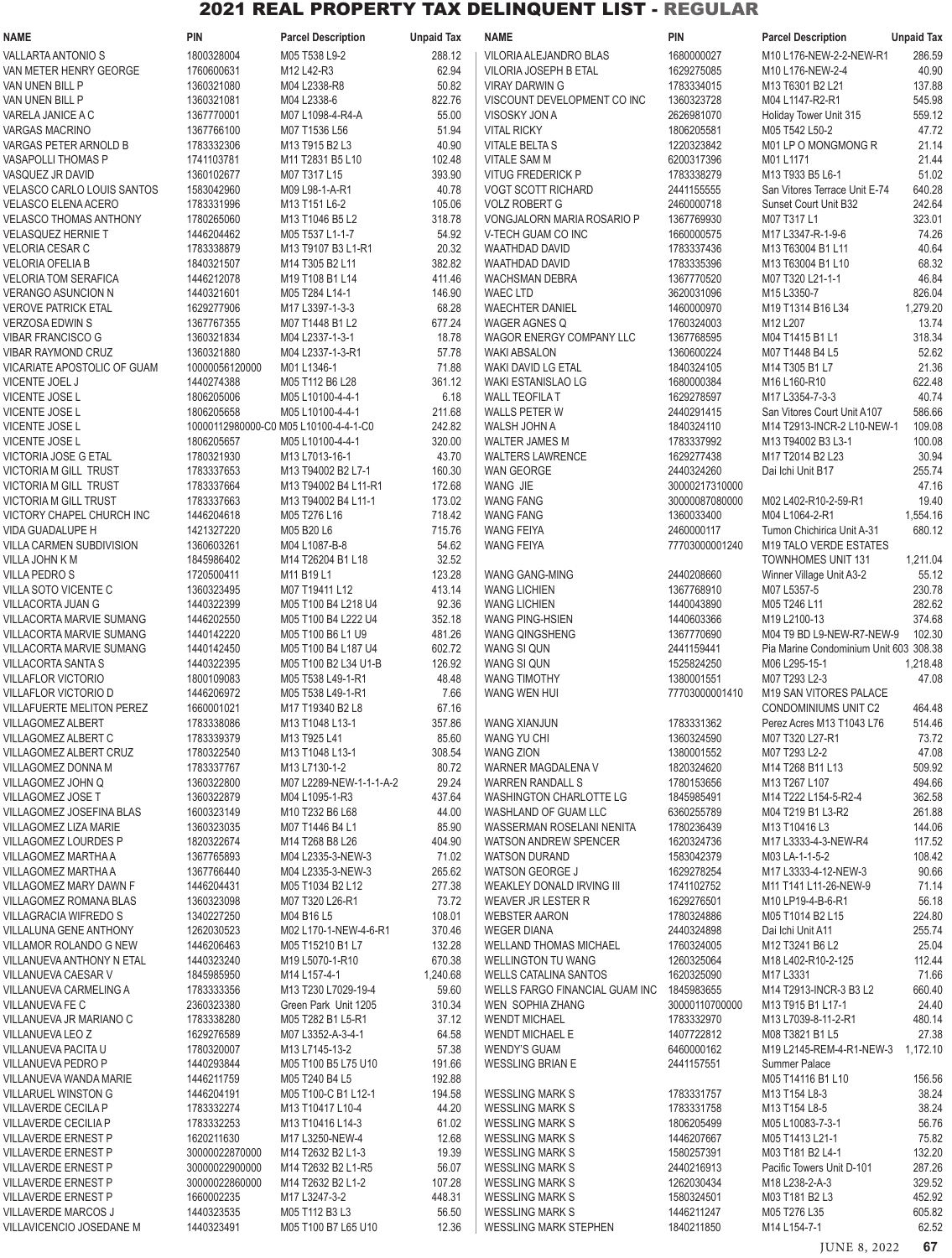| <b>NAME</b>                                                | <b>PIN</b>               | <b>Parcel Description</b>                                      | <b>Unpaid Tax</b> | <b>NAME</b>                                               | <b>PIN</b>                   | <b>Parcel Description</b>                         | <b>Unpaid Tax</b> |
|------------------------------------------------------------|--------------------------|----------------------------------------------------------------|-------------------|-----------------------------------------------------------|------------------------------|---------------------------------------------------|-------------------|
| VALLARTA ANTONIO S                                         | 1800328004               | M05 T538 L9-2                                                  | 288.12            | VILORIA ALEJANDRO BLAS                                    | 1680000027                   | M10 L176-NEW-2-2-NEW-R1                           | 286.59            |
| VAN METER HENRY GEORGE                                     | 1760600631               | M12 L42-R3                                                     | 62.94             | <b>VILORIA JOSEPH B ETAL</b>                              | 1629275085                   | M10 L176-NEW-2-4                                  | 40.90             |
| VAN UNEN BILL P                                            | 1360321080               | M04 L2338-R8                                                   | 50.82             | <b>VIRAY DARWING</b>                                      | 1783334015                   | M13 T6301 B2 L21                                  | 137.88            |
| VAN UNEN BILL P                                            | 1360321081               | M04 L2338-6                                                    | 822.76            | VISCOUNT DEVELOPMENT CO INC                               | 1360323728                   | M04 L1147-R2-R1                                   | 545.98            |
| VARELA JANICE A C<br><b>VARGAS MACRINO</b>                 | 1367770001<br>1367766100 | M07 L1098-4-R4-A<br>M07 T1536 L56                              | 55.00<br>51.94    | VISOSKY JON A<br><b>VITAL RICKY</b>                       | 2626981070<br>1806205581     | Holiday Tower Unit 315<br>M05 T542 L50-2          | 559.12<br>47.72   |
| VARGAS PETER ARNOLD B                                      | 1783332306               | M <sub>13</sub> T <sub>915</sub> B <sub>2</sub> L <sub>3</sub> | 40.90             | VITALE BELTA S                                            | 1220323842                   | M01 LP O MONGMONG R                               | 21.14             |
| <b>VASAPOLLI THOMAS P</b>                                  | 1741103781               | M11 T2831 B5 L10                                               | 102.48            | <b>VITALE SAM M</b>                                       | 6200317396                   | M01 L1171                                         | 21.44             |
| VASQUEZ JR DAVID                                           | 1360102677               | M07 T317 L15                                                   | 393.90            | <b>VITUG FREDERICK P</b>                                  | 1783338279                   | M13 T933 B5 L6-1                                  | 51.02             |
| <b>VELASCO CARLO LOUIS SANTOS</b>                          | 1583042960               | M09 L98-1-A-R1                                                 | 40.78             | <b>VOGT SCOTT RICHARD</b>                                 | 2441155555                   | San Vitores Terrace Unit E-74                     | 640.28            |
| <b>VELASCO ELENA ACERO</b>                                 | 1783331996               | M13 T151 L6-2                                                  | 105.06            | <b>VOLZ ROBERT G</b>                                      | 2460000718                   | Sunset Court Unit B32                             | 242.64            |
| <b>VELASCO THOMAS ANTHONY</b><br><b>VELASQUEZ HERNIE T</b> | 1780265060<br>1446204462 | M13 T1046 B5 L2<br>M05 T537 L1-1-7                             | 318.78<br>54.92   | VONGJALORN MARIA ROSARIO P<br>V-TECH GUAM CO INC          | 1367769930<br>1660000575     | M07 T317 L1<br>M17 L3347-R-1-9-6                  | 323.01<br>74.26   |
| <b>VELORIA CESAR C</b>                                     | 1783338879               | M13 T9107 B3 L1-R1                                             | 20.32             | <b>WAATHDAD DAVID</b>                                     | 1783337436                   | M13 T63004 B1 L11                                 | 40.64             |
| <b>VELORIA OFELIA B</b>                                    | 1840321507               | M14 T305 B2 L11                                                | 382.82            | <b>WAATHDAD DAVID</b>                                     | 1783335396                   | M13 T63004 B1 L10                                 | 68.32             |
| <b>VELORIA TOM SERAFICA</b>                                | 1446212078               | M19 T108 B1 L14                                                | 411.46            | <b>WACHSMAN DEBRA</b>                                     | 1367770520                   | M07 T320 L21-1-1                                  | 46.84             |
| VERANGO ASUNCION N                                         | 1440321601               | M05 T284 L14-1                                                 | 146.90            | <b>WAEC LTD</b>                                           | 3620031096                   | M15 L3350-7                                       | 826.04            |
| <b>VEROVE PATRICK ETAL</b>                                 | 1629277906               | M17 L3397-1-3-3                                                | 68.28             | <b>WAECHTER DANIEL</b>                                    | 1460000970                   | M19 T1314 B16 L34                                 | 1,279.20          |
| <b>VERZOSA EDWIN S</b>                                     | 1367767355               | M07 T1448 B1 L2                                                | 677.24            | <b>WAGER AGNES Q</b>                                      | 1760324003                   | M12 L207                                          | 13.74             |
| <b>VIBAR FRANCISCO G</b><br><b>VIBAR RAYMOND CRUZ</b>      | 1360321834<br>1360321880 | M04 L2337-1-3-1<br>M04 L2337-1-3-R1                            | 18.78<br>57.78    | WAGOR ENERGY COMPANY LLC<br><b>WAKI ABSALON</b>           | 1367768595<br>1360600224     | M04 T1415 B1 L1<br>M07 T1448 B4 L5                | 318.34<br>52.62   |
| VICARIATE APOSTOLIC OF GUAM                                | 10000056120000           | M01L1346-1                                                     | 71.88             | WAKI DAVID LG ETAL                                        | 1840324105                   | M14 T305 B1 L7                                    | 21.36             |
| VICENTE JOEL J                                             | 1440274388               | M05 T112 B6 L28                                                | 361.12            | WAKI ESTANISLAO LG                                        | 1680000384                   | M <sub>16</sub> L <sub>160</sub> -R <sub>10</sub> | 622.48            |
| VICENTE JOSE L                                             | 1806205006               | M05 L10100-4-4-1                                               | 6.18              | <b>WALL TEOFILA T</b>                                     | 1629278597                   | M17 L3354-7-3-3                                   | 40.74             |
| <b>VICENTE JOSE L</b>                                      | 1806205658               | M05 L10100-4-4-1                                               | 211.68            | <b>WALLS PETER W</b>                                      | 2440291415                   | San Vitores Court Unit A107                       | 586.66            |
| VICENTE JOSE L                                             |                          | 10000112980000-C0 M05 L10100-4-4-1-C0                          | 242.82            | WALSH JOHN A                                              | 1840324110                   | M14 T2913-INCR-2 L10-NEW-1                        | 109.08            |
| VICENTE JOSE L                                             | 1806205657               | M05 L10100-4-4-1                                               | 320.00            | <b>WALTER JAMES M</b>                                     | 1783337992                   | M13 T94002 B3 L3-1                                | 100.08            |
| VICTORIA JOSE G ETAL<br><b>VICTORIA M GILL TRUST</b>       | 1780321930<br>1783337653 | M13 L7013-16-1<br>M13 T94002 B2 L7-1                           | 43.70<br>160.30   | <b>WALTERS LAWRENCE</b><br>WAN GEORGE                     | 1629277438<br>2440324260     | M17 T2014 B2 L23<br>Dai Ichi Unit B17             | 30.94<br>255.74   |
| VICTORIA M GILL TRUST                                      | 1783337664               | M13 T94002 B4 L11-R1                                           | 172.68            | WANG JIE                                                  | 30000217310000               |                                                   | 47.16             |
| <b>VICTORIA M GILL TRUST</b>                               | 1783337663               | M13 T94002 B4 L11-1                                            | 173.02            | <b>WANG FANG</b>                                          | 30000087080000               | M02 L402-R10-2-59-R1                              | 19.40             |
| VICTORY CHAPEL CHURCH INC                                  | 1446204618               | M05 T276 L16                                                   | 718.42            | <b>WANG FANG</b>                                          | 1360033400                   | M04 L1064-2-R1                                    | 1,554.16          |
| <b>VIDA GUADALUPE H</b>                                    | 1421327220               | M05 B20 L6                                                     | 715.76            | <b>WANG FEIYA</b>                                         | 2460000117                   | Tumon Chichirica Unit A-31                        | 680.12            |
| VILLA CARMEN SUBDIVISION                                   | 1360603261               | M04 L1087-B-8                                                  | 54.62             | <b>WANG FEIYA</b>                                         | 77703000001240               | <b>M19 TALO VERDE ESTATES</b>                     |                   |
| VILLA JOHN K M                                             | 1845986402               | M14 T26204 B1 L18                                              | 32.52             |                                                           |                              | <b>TOWNHOMES UNIT 131</b>                         | 1,211.04          |
| <b>VILLA PEDRO S</b><br>VILLA SOTO VICENTE C               | 1720500411<br>1360323495 | M11 B19 L1<br>M07 T19411 L12                                   | 123.28<br>413.14  | WANG GANG-MING<br><b>WANG LICHIEN</b>                     | 2440208660<br>1367768910     | Winner Village Unit A3-2<br>M07 L5357-5           | 55.12<br>230.78   |
| VILLACORTA JUAN G                                          | 1440322399               | M05 T100 B4 L218 U4                                            | 92.36             | <b>WANG LICHIEN</b>                                       | 1440043890                   | M05 T246 L11                                      | 282.62            |
| VILLACORTA MARVIE SUMANG                                   | 1446202550               | M05 T100 B4 L222 U4                                            | 352.18            | WANG PING-HSIEN                                           | 1440603366                   | M19 L2100-13                                      | 374.68            |
| VILLACORTA MARVIE SUMANG                                   | 1440142220               | M05 T100 B6 L1 U9                                              | 481.26            | <b>WANG QINGSHENG</b>                                     | 1367770690                   | M04 T9 BD L9-NEW-R7-NEW-9                         | 102.30            |
| VILLACORTA MARVIE SUMANG                                   | 1440142450               | M05 T100 B4 L187 U4                                            | 602.72            | WANG SI QUN                                               | 2441159441                   | Pia Marine Condominium Unit 603 308.38            |                   |
| VILLACORTA SANTA S                                         | 1440322395               | M05 T100 B2 L34 U1-B                                           | 126.92            | WANG SI QUN                                               | 1525824250                   | M06 L295-15-1                                     | 1,218.48          |
| <b>VILLAFLOR VICTORIO</b><br>VILLAFLOR VICTORIO D          | 1800109083<br>1446206972 | M05 T538 L49-1-R1<br>M05 T538 L49-1-R1                         | 48.48<br>7.66     | <b>WANG TIMOTHY</b><br>WANG WEN HUI                       | 1380001551<br>77703000001410 | M07 T293 L2-3<br>M19 SAN VITORES PALACE           | 47.08             |
| <b>VILLAFUERTE MELITON PEREZ</b>                           | 1660001021               | M17 T19340 B2 L8                                               | 67.16             |                                                           |                              | CONDOMINIUMS UNIT C2                              | 464.48            |
| <b>VILLAGOMEZ ALBERT</b>                                   | 1783338086               | M13 T1048 L13-1                                                | 357.86            | WANG XIANJUN                                              | 1783331362                   | Perez Acres M13 T1043 L76                         | 514.46            |
| VILLAGOMEZ ALBERT C                                        | 1783339379               | M13 T925 L41                                                   | 85.60             | WANG YU CHI                                               | 1360324590                   | M07 T320 L27-R1                                   | 73.72             |
| <b>VILLAGOMEZ ALBERT CRUZ</b>                              | 1780322540               | M13 T1048 L13-1                                                | 308.54            | <b>WANG ZION</b>                                          | 1380001552                   | M07 T293 L2-2                                     | 47.08             |
| VILLAGOMEZ DONNA M                                         | 1783337767               | M13 L7130-1-2                                                  | 80.72             | WARNER MAGDALENA V                                        | 1820324620                   | M14 T268 B11 L13                                  | 509.92            |
| VILLAGOMEZ JOHN Q<br>VILLAGOMEZ JOSE T                     | 1360322800<br>1360322879 | M07 L2289-NEW-1-1-1-A-2<br>M04 L1095-1-R3                      | 29.24<br>437.64   | <b>WARREN RANDALL S</b><br><b>WASHINGTON CHARLOTTE LG</b> | 1780153656<br>1845985491     | M13 T267 L107<br>M14 T222 L154-5-R2-4             | 494.66<br>362.58  |
| VILLAGOMEZ JOSEFINA BLAS                                   | 1600323149               | M10 T232 B6 L68                                                | 44.00             | WASHLAND OF GUAM LLC                                      | 6360255789                   | M04 T219 B1 L3-R2                                 | 261.88            |
| VILLAGOMEZ LIZA MARIE                                      | 1360323035               | M07 T1446 B4 L1                                                | 85.90             | WASSERMAN ROSELANI NENITA                                 | 1780236439                   | M13 T10416 L3                                     | 144.06            |
| VILLAGOMEZ LOURDES P                                       | 1820322674               | M14 T268 B8 L26                                                | 404.90            | <b>WATSON ANDREW SPENCER</b>                              | 1620324736                   | M17 L3333-4-3-NEW-R4                              | 117.52            |
| VILLAGOMEZ MARTHA A                                        | 1367765893               | M04 L2335-3-NEW-3                                              | 71.02             | <b>WATSON DURAND</b>                                      | 1583042379                   | M03 LA-1-1-5-2                                    | 108.42            |
| VILLAGOMEZ MARTHA A                                        | 1367766440               | M04 L2335-3-NEW-3                                              | 265.62            | WATSON GEORGE J                                           | 1629278254                   | M17 L3333-4-12-NEW-3                              | 90.66             |
| VILLAGOMEZ MARY DAWN F<br>VILLAGOMEZ ROMANA BLAS           | 1446204431<br>1360323098 | M05 T1034 B2 L12<br>M07 T320 L26-R1                            | 277.38<br>73.72   | <b>WEAKLEY DONALD IRVING III</b><br>WEAVER JR LESTER R    | 1741102752<br>1629276501     | M11 T141 L11-26-NEW-9<br>M10 LP19-4-B-6-R1        | 71.14<br>56.18    |
| VILLAGRACIA WIFREDO S                                      | 1340227250               | M04 B16 L5                                                     | 108.01            | <b>WEBSTER AARON</b>                                      | 1780324886                   | M05 T1014 B2 L15                                  | 224.80            |
| VILLALUNA GENE ANTHONY                                     | 1262030523               | M02 L170-1-NEW-4-6-R1                                          | 370.46            | <b>WEGER DIANA</b>                                        | 2440324898                   | Dai Ichi Unit A11                                 | 255.74            |
| VILLAMOR ROLANDO G NEW                                     | 1446206463               | M05 T15210 B1 L7                                               | 132.28            | <b>WELLAND THOMAS MICHAEL</b>                             | 1760324005                   | M12 T3241 B6 L2                                   | 25.04             |
| VILLANUEVA ANTHONY N ETAL                                  | 1440323240               | M19 L5070-1-R10                                                | 670.38            | <b>WELLINGTON TU WANG</b>                                 | 1260325064                   | M18 L402-R10-2-125                                | 112.44            |
| VILLANUEVA CAESAR V                                        | 1845985950               | M14 L157-4-1                                                   | 1,240.68          | <b>WELLS CATALINA SANTOS</b>                              | 1620325090                   | M17 L3331                                         | 71.66             |
| VILLANUEVA CARMELING A                                     | 1783333356               | M13 T230 L7029-19-4                                            | 59.60             | WELLS FARGO FINANCIAL GUAM INC                            | 1845983655                   | M14 T2913-INCR-3 B3 L2                            | 660.40            |
| VILLANUEVA FE C<br>VILLANUEVA JR MARIANO C                 | 2360323380<br>1783338280 | Green Park Unit 1205<br>M05 T282 B1 L5-R1                      | 310.34<br>37.12   | WEN SOPHIA ZHANG<br><b>WENDT MICHAEL</b>                  | 30000110700000<br>1783332970 | M13 T915 B1 L17-1<br>M13 L7039-8-11-2-R1          | 24.40<br>480.14   |
| VILLANUEVA LEO Z                                           | 1629276589               | M07 L3352-A-3-4-1                                              | 64.58             | <b>WENDT MICHAEL E</b>                                    | 1407722812                   | M08 T3821 B1 L5                                   | 27.38             |
| VILLANUEVA PACITA U                                        | 1780320007               | M13 L7145-13-2                                                 | 57.38             | <b>WENDY'S GUAM</b>                                       | 6460000162                   | M19 L2145-REM-4-R1-NEW-3                          | 1,172.10          |
| VILLANUEVA PEDRO P                                         | 1440293844               | M05 T100 B5 L75 U10                                            | 191.66            | <b>WESSLING BRIAN E</b>                                   | 2441157551                   | Summer Palace                                     |                   |
| VILLANUEVA WANDA MARIE                                     | 1446211759               | M05 T240 B4 L5                                                 | 192.88            |                                                           |                              | M05 T14116 B1 L10                                 | 156.56            |
| <b>VILLARUEL WINSTON G</b>                                 | 1446204191               | M05 T100-C B1 L12-1                                            | 194.58            | <b>WESSLING MARK S</b>                                    | 1783331757                   | M13 T154 L8-3                                     | 38.24<br>38.24    |
| VILLAVERDE CECILA P<br>VILLAVERDE CECILIA P                | 1783332274<br>1783332253 | M13 T10417 L10-4<br>M13 T10416 L14-3                           | 44.20<br>61.02    | <b>WESSLING MARK S</b><br><b>WESSLING MARK S</b>          | 1783331758<br>1806205499     | M13 T154 L8-5<br>M05 L10083-7-3-1                 | 56.76             |
| <b>VILLAVERDE ERNEST P</b>                                 | 1620211630               | M17 L3250-NEW-4                                                | 12.68             | <b>WESSLING MARK S</b>                                    | 1446207667                   | M05 T1413 L21-1                                   | 75.82             |
| <b>VILLAVERDE ERNEST P</b>                                 | 30000022870000           | M14 T2632 B2 L1-3                                              | 19.39             | <b>WESSLING MARK S</b>                                    | 1580257391                   | M03 T181 B2 L4-1                                  | 132.20            |
| <b>VILLAVERDE ERNEST P</b>                                 | 30000022900000           | M14 T2632 B2 L1-R5                                             | 56.07             | <b>WESSLING MARK S</b>                                    | 2440216913                   | Pacific Towers Unit D-101                         | 287.26            |
| <b>VILLAVERDE ERNEST P</b>                                 | 30000022860000           | M14 T2632 B2 L1-2                                              | 107.28            | <b>WESSLING MARK S</b>                                    | 1262030434                   | M18 L238-2-A-3                                    | 329.52            |
| <b>VILLAVERDE ERNEST P</b>                                 | 1660002235               | M17 L3247-3-2                                                  | 448.31            | <b>WESSLING MARK S</b>                                    | 1580324501                   | M03 T181 B2 L3                                    | 452.92            |
| <b>VILLAVERDE MARCOS J</b><br>VILLAVICENCIO JOSEDANE M     | 1440323535<br>1440323491 | M05 T112 B3 L3<br>M05 T100 B7 L65 U10                          | 56.50<br>12.36    | <b>WESSLING MARK S</b><br><b>WESSLING MARK STEPHEN</b>    | 1446211247<br>1840211850     | M05 T276 L35<br>M14 L154-7-1                      | 605.82<br>62.52   |
|                                                            |                          |                                                                |                   |                                                           |                              |                                                   |                   |

JUNE 8, 2022 **67**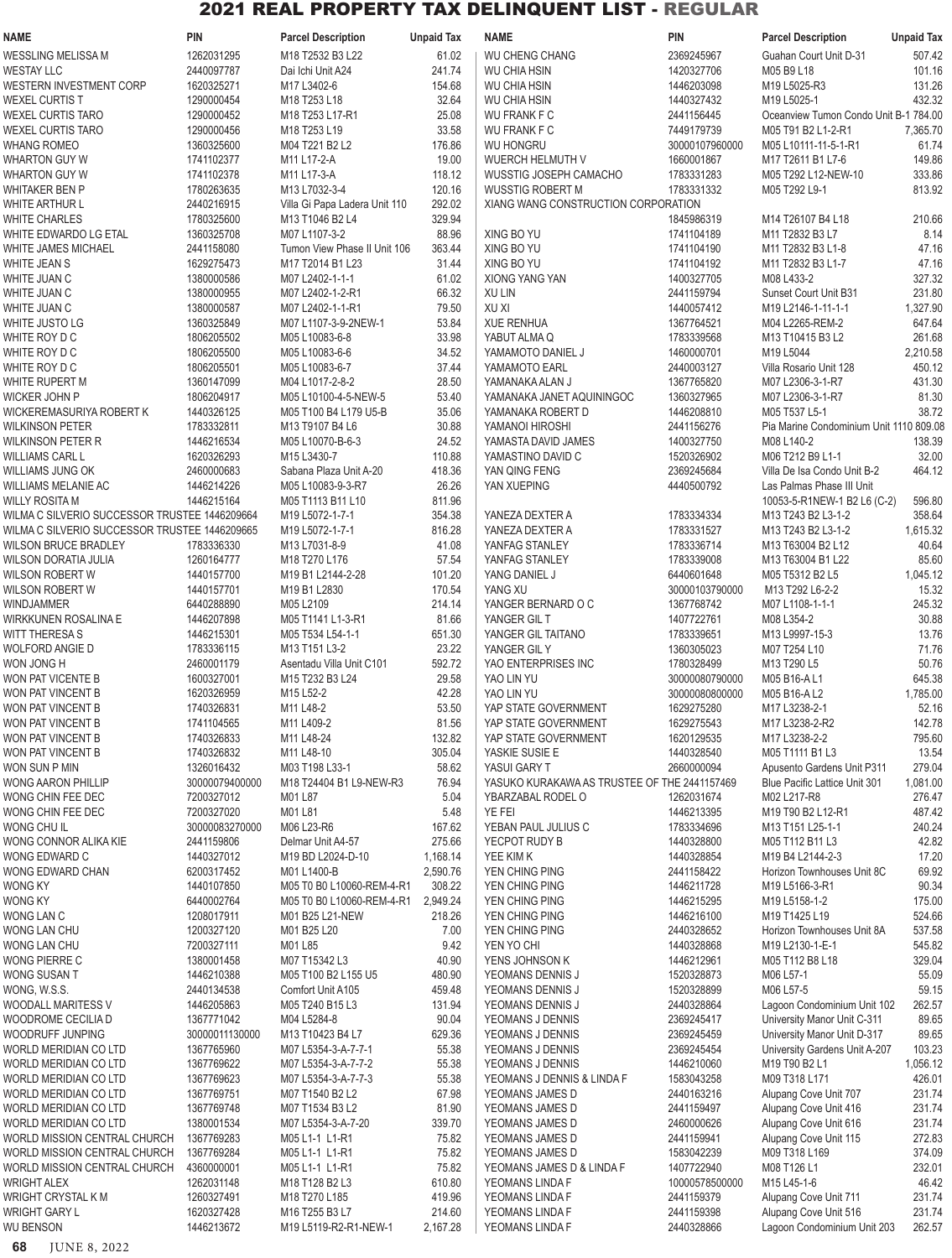| <b>NAME</b>                                    | <b>PIN</b>               | <b>Parcel Description</b>                   | <b>Unpaid Tax</b>  | <b>NAME</b>                                       | <b>PIN</b>               | <b>Parcel Description</b>                             | <b>Unpaid Tax</b> |
|------------------------------------------------|--------------------------|---------------------------------------------|--------------------|---------------------------------------------------|--------------------------|-------------------------------------------------------|-------------------|
| WESSLING MELISSA M                             | 1262031295               | M18 T2532 B3 L22                            | 61.02              | <b>WU CHENG CHANG</b>                             | 2369245967               | Guahan Court Unit D-31                                | 507.42            |
| <b>WESTAY LLC</b>                              | 2440097787               | Dai Ichi Unit A24                           | 241.74             | <b>WU CHIA HSIN</b>                               | 1420327706               | M05 B9 L18                                            | 101.16            |
| WESTERN INVESTMENT CORP                        | 1620325271               | M17 L3402-6                                 | 154.68             | <b>WU CHIA HSIN</b>                               | 1446203098               | M19 L5025-R3                                          | 131.26            |
| WEXEL CURTIS T                                 | 1290000454               | M18 T253 L18                                | 32.64              | <b>WU CHIA HSIN</b>                               | 1440327432               | M19 L5025-1                                           | 432.32            |
| <b>WEXEL CURTIS TARO</b>                       | 1290000452               | M18 T253 L17-R1                             | 25.08              | <b>WU FRANK F C</b>                               | 2441156445               | Oceanview Tumon Condo Unit B-1 784.00                 |                   |
| <b>WEXEL CURTIS TARO</b>                       | 1290000456               | M18 T253 L19                                | 33.58              | <b>WU FRANK F C</b>                               | 7449179739               | M05 T91 B2 L1-2-R1                                    | 7,365.70          |
| <b>WHANG ROMEO</b>                             | 1360325600               | M04 T221 B2 L2                              | 176.86             | <b>WU HONGRU</b>                                  | 30000107960000           | M05 L10111-11-5-1-R1                                  | 61.74             |
| <b>WHARTON GUY W</b>                           | 1741102377               | M11 L17-2-A                                 | 19.00              | WUERCH HELMUTH V                                  | 1660001867               | M17 T2611 B1 L7-6                                     | 149.86            |
| WHARTON GUY W<br><b>WHITAKER BEN P</b>         | 1741102378<br>1780263635 | M11 L17-3-A<br>M13 L7032-3-4                | 118.12<br>120.16   | WUSSTIG JOSEPH CAMACHO<br><b>WUSSTIG ROBERT M</b> | 1783331283<br>1783331332 | M05 T292 L12-NEW-10<br>M05 T292 L9-1                  | 333.86<br>813.92  |
| WHITE ARTHUR L                                 | 2440216915               | Villa Gi Papa Ladera Unit 110               | 292.02             | XIANG WANG CONSTRUCTION CORPORATION               |                          |                                                       |                   |
| <b>WHITE CHARLES</b>                           | 1780325600               | M13 T1046 B2 L4                             | 329.94             |                                                   | 1845986319               | M14 T26107 B4 L18                                     | 210.66            |
| WHITE EDWARDO LG ETAL                          | 1360325708               | M07 L1107-3-2                               | 88.96              | XING BO YU                                        | 1741104189               | M11 T2832 B3 L7                                       | 8.14              |
| WHITE JAMES MICHAEL                            | 2441158080               | Tumon View Phase II Unit 106                | 363.44             | XING BO YU                                        | 1741104190               | M11 T2832 B3 L1-8                                     | 47.16             |
| WHITE JEAN S                                   | 1629275473               | M17 T2014 B1 L23                            | 31.44              | XING BO YU                                        | 1741104192               | M11 T2832 B3 L1-7                                     | 47.16             |
| WHITE JUAN C                                   | 1380000586               | M07 L2402-1-1-1                             | 61.02              | XIONG YANG YAN                                    | 1400327705               | M08 L433-2                                            | 327.32            |
| WHITE JUAN C                                   | 1380000955               | M07 L2402-1-2-R1                            | 66.32              | XU LIN                                            | 2441159794               | Sunset Court Unit B31                                 | 231.80            |
| WHITE JUAN C                                   | 1380000587               | M07 L2402-1-1-R1                            | 79.50              | XU XI                                             | 1440057412               | M19 L2146-1-11-1-1                                    | 1,327.90          |
| WHITE JUSTO LG                                 | 1360325849               | M07 L1107-3-9-2NEW-1                        | 53.84              | <b>XUE RENHUA</b>                                 | 1367764521               | M04 L2265-REM-2                                       | 647.64            |
| WHITE ROY D C                                  | 1806205502               | M05 L10083-6-8                              | 33.98              | YABUT ALMA Q                                      | 1783339568               | M13 T10415 B3 L2                                      | 261.68            |
| WHITE ROY D C                                  | 1806205500               | M05 L10083-6-6                              | 34.52              | YAMAMOTO DANIEL J                                 | 1460000701               | M19 L5044                                             | 2,210.58          |
| WHITE ROY D C                                  | 1806205501               | M05 L10083-6-7                              | 37.44              | YAMAMOTO EARL                                     | 2440003127               | Villa Rosario Unit 128                                | 450.12            |
| WHITE RUPERT M                                 | 1360147099               | M04 L1017-2-8-2                             | 28.50              | YAMANAKA ALAN J                                   | 1367765820               | M07 L2306-3-1-R7                                      | 431.30            |
| WICKER JOHN P                                  | 1806204917               | M05 L10100-4-5-NEW-5                        | 53.40              | YAMANAKA JANET AQUININGOC                         | 1360327965               | M07 L2306-3-1-R7                                      | 81.30             |
| WICKEREMASURIYA ROBERT K                       | 1440326125               | M05 T100 B4 L179 U5-B                       | 35.06              | YAMANAKA ROBERT D                                 | 1446208810               | M05 T537 L5-1                                         | 38.72             |
| <b>WILKINSON PETER</b><br>WILKINSON PETER R    | 1783332811<br>1446216534 | M13 T9107 B4 L6<br>M05 L10070-B-6-3         | 30.88<br>24.52     | YAMANOI HIROSHI<br>YAMASTA DAVID JAMES            | 2441156276<br>1400327750 | Pia Marine Condominium Unit 1110 809.08<br>M08 L140-2 | 138.39            |
| WILLIAMS CARL L                                | 1620326293               | M15 L3430-7                                 | 110.88             | YAMASTINO DAVID C                                 | 1520326902               | M06 T212 B9 L1-1                                      | 32.00             |
| WILLIAMS JUNG OK                               | 2460000683               | Sabana Plaza Unit A-20                      | 418.36             | YAN QING FENG                                     | 2369245684               | Villa De Isa Condo Unit B-2                           | 464.12            |
| WILLIAMS MELANIE AC                            | 1446214226               | M05 L10083-9-3-R7                           | 26.26              | YAN XUEPING                                       | 4440500792               | Las Palmas Phase III Unit                             |                   |
| WILLY ROSITA M                                 | 1446215164               | M05 T1113 B11 L10                           | 811.96             |                                                   |                          | 10053-5-R1NEW-1 B2 L6 (C-2)                           | 596.80            |
| WILMA C SILVERIO SUCCESSOR TRUSTEE 1446209664  |                          | M19 L5072-1-7-1                             | 354.38             | YANEZA DEXTER A                                   | 1783334334               | M13 T243 B2 L3-1-2                                    | 358.64            |
| WILMA C SILVERIO SUCCESSOR TRUSTEE 1446209665  |                          | M19 L5072-1-7-1                             | 816.28             | YANEZA DEXTER A                                   | 1783331527               | M13 T243 B2 L3-1-2                                    | 1,615.32          |
| WILSON BRUCE BRADLEY                           | 1783336330               | M13 L7031-8-9                               | 41.08              | YANFAG STANLEY                                    | 1783336714               | M13 T63004 B2 L12                                     | 40.64             |
| WILSON DORATIA JULIA                           | 1260164777               | M18 T270 L176                               | 57.54              | YANFAG STANLEY                                    | 1783339008               | M13 T63004 B1 L22                                     | 85.60             |
| WILSON ROBERT W                                | 1440157700               | M19 B1 L2144-2-28                           | 101.20             | YANG DANIEL J                                     | 6440601648               | M05 T5312 B2 L5                                       | 1,045.12          |
| WILSON ROBERT W                                | 1440157701               | M19 B1 L2830                                | 170.54             | YANG XU                                           | 30000103790000           | M13 T292 L6-2-2                                       | 15.32             |
| WINDJAMMER                                     | 6440288890               | M05 L2109                                   | 214.14             | YANGER BERNARD O C                                | 1367768742               | M07 L1108-1-1-1                                       | 245.32            |
| WIRKKUNEN ROSALINA E                           | 1446207898               | M05 T1141 L1-3-R1                           | 81.66              | YANGER GIL T                                      | 1407722761               | M08 L354-2                                            | 30.88             |
| WITT THERESA S                                 | 1446215301               | M05 T534 L54-1-1                            | 651.30             | YANGER GIL TAITANO                                | 1783339651               | M13 L9997-15-3                                        | 13.76             |
| WOLFORD ANGIE D<br>WON JONG H                  | 1783336115<br>2460001179 | M13 T151 L3-2                               | 23.22<br>592.72    | YANGER GIL Y<br>YAO ENTERPRISES INC               | 1360305023<br>1780328499 | M07 T254 L10<br>M13 T290 L5                           | 71.76<br>50.76    |
| WON PAT VICENTE B                              | 1600327001               | Asentadu Villa Unit C101<br>M15 T232 B3 L24 | 29.58              | YAO LIN YU                                        | 30000080790000           | M05 B16-AL1                                           | 645.38            |
| WON PAT VINCENT B                              | 1620326959               | M15 L52-2                                   | 42.28              | YAO LIN YU                                        | 30000080800000           | M05 B16-A L2                                          | 1,785.00          |
| WON PAT VINCENT B                              | 1740326831               | M11 L48-2                                   | 53.50              | YAP STATE GOVERNMENT                              | 1629275280               | M17 L3238-2-1                                         | 52.16             |
| WON PAT VINCENT B                              | 1741104565               | M11 L409-2                                  | 81.56              | YAP STATE GOVERNMENT                              | 1629275543               | M17 L3238-2-R2                                        | 142.78            |
| WON PAT VINCENT B                              | 1740326833               | M11 L48-24                                  | 132.82             | YAP STATE GOVERNMENT                              | 1620129535               | M17 L3238-2-2                                         | 795.60            |
| WON PAT VINCENT B                              | 1740326832               | M11 L48-10                                  | 305.04             | YASKIE SUSIE E                                    | 1440328540               | M05 T1111 B1 L3                                       | 13.54             |
| WON SUN P MIN                                  | 1326016432               | M03 T198 L33-1                              | 58.62              | YASUI GARY T                                      | 2660000094               | Apusento Gardens Unit P311                            | 279.04            |
| <b>WONG AARON PHILLIP</b>                      | 30000079400000           | M18 T24404 B1 L9-NEW-R3                     | 76.94              | YASUKO KURAKAWA AS TRUSTEE OF THE 2441157469      |                          | Blue Pacific Lattice Unit 301                         | 1,081.00          |
| WONG CHIN FEE DEC                              | 7200327012               | M01 L87                                     | 5.04               | YBARZABAL RODEL O                                 | 1262031674               | M02 L217-R8                                           | 276.47            |
| WONG CHIN FEE DEC                              | 7200327020               | M01L81                                      | 5.48               | YE FEI                                            | 1446213395               | M19 T90 B2 L12-R1                                     | 487.42            |
| WONG CHU IL                                    | 30000083270000           | M06 L23-R6                                  | 167.62             | YEBAN PAUL JULIUS C                               | 1783334696               | M <sub>13</sub> T <sub>151</sub> L <sub>25</sub> -1-1 | 240.24            |
| WONG CONNOR ALIKA KIE                          | 2441159806               | Delmar Unit A4-57                           | 275.66             | YECPOT RUDY B                                     | 1440328800               | M05 T112 B11 L3                                       | 42.82             |
| WONG EDWARD C                                  | 1440327012               | M19 BD L2024-D-10                           | 1,168.14           | YEE KIM K                                         | 1440328854               | M19 B4 L2144-2-3                                      | 17.20             |
| WONG EDWARD CHAN<br>WONG KY                    | 6200317452<br>1440107850 | M01 L1400-B<br>M05 T0 B0 L10060-REM-4-R1    | 2,590.76<br>308.22 | YEN CHING PING<br>YEN CHING PING                  | 2441158422<br>1446211728 | Horizon Townhouses Unit 8C<br>M19 L5166-3-R1          | 69.92<br>90.34    |
| WONG KY                                        | 6440002764               | M05 T0 B0 L10060-REM-4-R1                   | 2,949.24           | YEN CHING PING                                    | 1446215295               | M19 L5158-1-2                                         | 175.00            |
| WONG LAN C                                     | 1208017911               | M01 B25 L21-NEW                             | 218.26             | YEN CHING PING                                    | 1446216100               | M19 T1425 L19                                         | 524.66            |
| WONG LAN CHU                                   | 1200327120               | M01 B25 L20                                 | 7.00               | YEN CHING PING                                    | 2440328652               | Horizon Townhouses Unit 8A                            | 537.58            |
| WONG LAN CHU                                   | 7200327111               | M01L85                                      | 9.42               | YEN YO CHI                                        | 1440328868               | M19 L2130-1-E-1                                       | 545.82            |
| WONG PIERRE C                                  | 1380001458               | M07 T15342 L3                               | 40.90              | YENS JOHNSON K                                    | 1446212961               | M05 T112 B8 L18                                       | 329.04            |
| WONG SUSAN T                                   | 1446210388               | M05 T100 B2 L155 U5                         | 480.90             | YEOMANS DENNIS J                                  | 1520328873               | M06 L57-1                                             | 55.09             |
| WONG, W.S.S.                                   | 2440134538               | Comfort Unit A105                           | 459.48             | YEOMANS DENNIS J                                  | 1520328899               | M06 L57-5                                             | 59.15             |
| WOODALL MARITESS V                             | 1446205863               | M05 T240 B15 L3                             | 131.94             | YEOMANS DENNIS J                                  | 2440328864               | Lagoon Condominium Unit 102                           | 262.57            |
| WOODROME CECILIA D                             | 1367771042               | M04 L5284-8                                 | 90.04              | YEOMANS J DENNIS                                  | 2369245417               | University Manor Unit C-311                           | 89.65             |
| WOODRUFF JUNPING                               | 30000011130000           | M13 T10423 B4 L7                            | 629.36             | YEOMANS J DENNIS                                  | 2369245459               | University Manor Unit D-317                           | 89.65             |
| WORLD MERIDIAN CO LTD                          | 1367765960               | M07 L5354-3-A-7-7-1                         | 55.38              | YEOMANS J DENNIS                                  | 2369245454               | University Gardens Unit A-207                         | 103.23            |
| WORLD MERIDIAN CO LTD                          | 1367769622               | M07 L5354-3-A-7-7-2                         | 55.38              | YEOMANS J DENNIS                                  | 1446210060               | M19 T90 B2 L1                                         | 1,056.12          |
| WORLD MERIDIAN CO LTD                          | 1367769623               | M07 L5354-3-A-7-7-3                         | 55.38              | YEOMANS J DENNIS & LINDA F                        | 1583043258               | M09 T318 L171                                         | 426.01            |
| WORLD MERIDIAN CO LTD<br>WORLD MERIDIAN CO LTD | 1367769751<br>1367769748 | M07 T1540 B2 L2                             | 67.98<br>81.90     | YEOMANS JAMES D<br>YEOMANS JAMES D                | 2440163216<br>2441159497 | Alupang Cove Unit 707<br>Alupang Cove Unit 416        | 231.74<br>231.74  |
| WORLD MERIDIAN CO LTD                          | 1380001534               | M07 T1534 B3 L2<br>M07 L5354-3-A-7-20       | 339.70             | YEOMANS JAMES D                                   | 2460000626               | Alupang Cove Unit 616                                 | 231.74            |
| WORLD MISSION CENTRAL CHURCH                   | 1367769283               | M05 L1-1 L1-R1                              | 75.82              | YEOMANS JAMES D                                   | 2441159941               | Alupang Cove Unit 115                                 | 272.83            |
| WORLD MISSION CENTRAL CHURCH                   | 1367769284               | M05 L1-1 L1-R1                              | 75.82              | YEOMANS JAMES D                                   | 1583042239               | M09 T318 L169                                         | 374.09            |
| WORLD MISSION CENTRAL CHURCH                   | 4360000001               | M05 L1-1 L1-R1                              | 75.82              | YEOMANS JAMES D & LINDA F                         | 1407722940               | M08 T126 L1                                           | 232.01            |
| <b>WRIGHT ALEX</b>                             | 1262031148               | M18 T128 B2 L3                              | 610.80             | YEOMANS LINDA F                                   | 10000578500000           | M15 L45-1-6                                           | 46.42             |
| WRIGHT CRYSTAL K M                             | 1260327491               | M18 T270 L185                               | 419.96             | YEOMANS LINDA F                                   | 2441159379               | Alupang Cove Unit 711                                 | 231.74            |
| <b>WRIGHT GARY L</b>                           | 1620327428               | M16 T255 B3 L7                              | 214.60             | YEOMANS LINDA F                                   | 2441159398               | Alupang Cove Unit 516                                 | 231.74            |
| WU BENSON                                      | 1446213672               | M19 L5119-R2-R1-NEW-1                       | 2,167.28           | YEOMANS LINDA F                                   | 2440328866               | Lagoon Condominium Unit 203                           | 262.57            |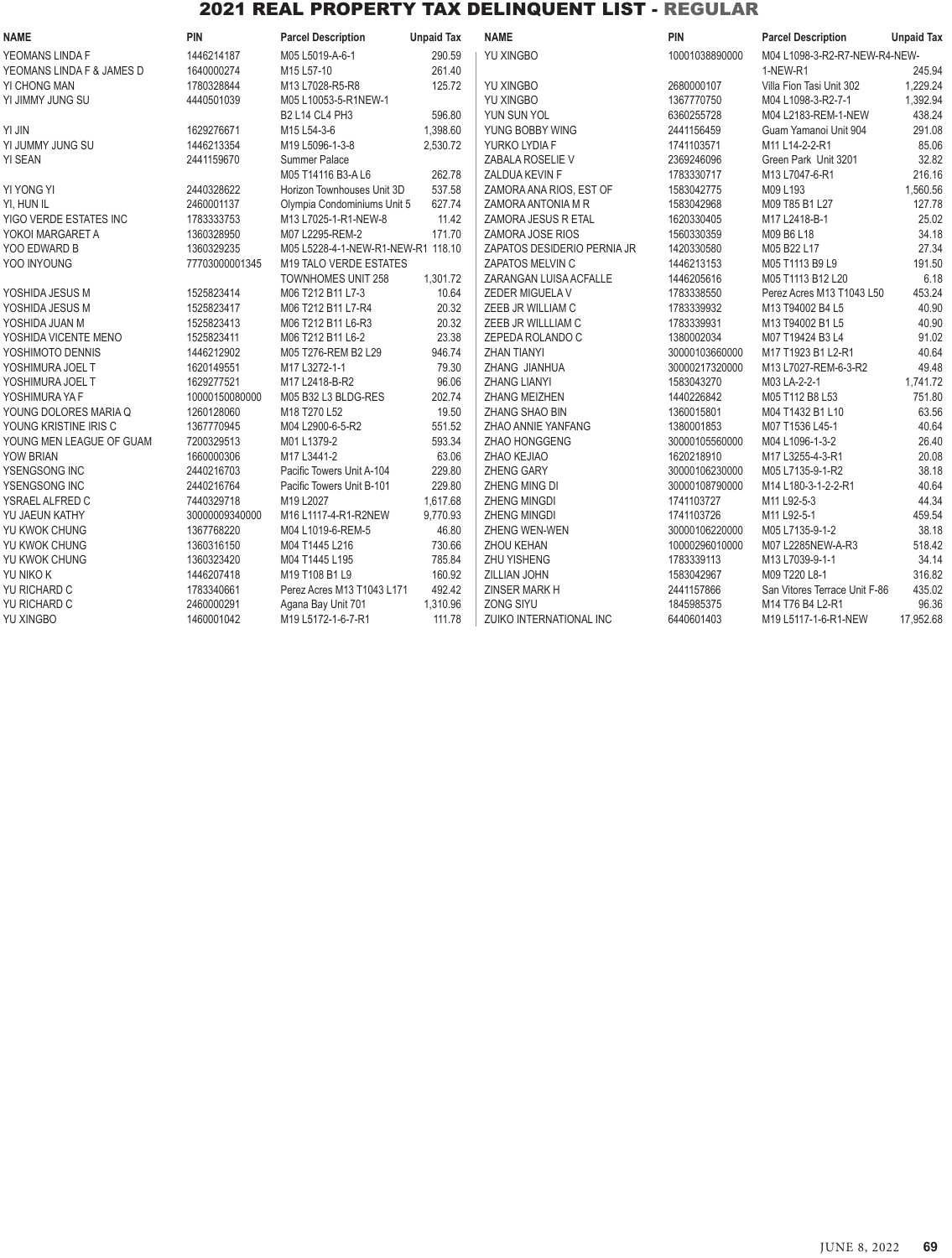| <b>NAME</b>               | PIN            | <b>Parcel Description</b>          | <b>Unpaid Tax</b> | <b>NAME</b>                 | PIN            | <b>Parcel Description</b>     | <b>Unpaid Tax</b> |
|---------------------------|----------------|------------------------------------|-------------------|-----------------------------|----------------|-------------------------------|-------------------|
| YEOMANS LINDA F           | 1446214187     | M05 L5019-A-6-1                    | 290.59            | <b>YU XINGBO</b>            | 10001038890000 | M04 L1098-3-R2-R7-NEW-R4-NEW- |                   |
| YEOMANS LINDA F & JAMES D | 1640000274     | M15 L57-10                         | 261.40            |                             |                | 1-NEW-R1                      | 245.94            |
| YI CHONG MAN              | 1780328844     | M13 L7028-R5-R8                    | 125.72            | YU XINGBO                   | 2680000107     | Villa Fion Tasi Unit 302      | 1,229.24          |
| YI JIMMY JUNG SU          | 4440501039     | M05 L10053-5-R1NEW-1               |                   | <b>YU XINGBO</b>            | 1367770750     | M04 L1098-3-R2-7-1            | 1,392.94          |
|                           |                | <b>B2 L14 CL4 PH3</b>              | 596.80            | YUN SUN YOL                 | 6360255728     | M04 L2183-REM-1-NEW           | 438.24            |
| YI JIN                    | 1629276671     | M15 L54-3-6                        | 1,398.60          | YUNG BOBBY WING             | 2441156459     | Guam Yamanoi Unit 904         | 291.08            |
| YI JUMMY JUNG SU          | 1446213354     | M19 L5096-1-3-8                    | 2,530.72          | YURKO LYDIA F               | 1741103571     | M11 L14-2-2-R1                | 85.06             |
| YI SEAN                   | 2441159670     | Summer Palace                      |                   | ZABALA ROSELIE V            | 2369246096     | Green Park Unit 3201          | 32.82             |
|                           |                | M05 T14116 B3-A L6                 | 262.78            | ZALDUA KEVIN F              | 1783330717     | M13 L7047-6-R1                | 216.16            |
| YI YONG YI                | 2440328622     | Horizon Townhouses Unit 3D         | 537.58            | ZAMORA ANA RIOS, EST OF     | 1583042775     | M09 L193                      | 1,560.56          |
| YI, HUN IL                | 2460001137     | Olympia Condominiums Unit 5        | 627.74            | ZAMORA ANTONIA M R          | 1583042968     | M09 T85 B1 L27                | 127.78            |
| YIGO VERDE ESTATES INC    | 1783333753     | M13 L7025-1-R1-NEW-8               | 11.42             | ZAMORA JESUS R ETAL         | 1620330405     | M17 L2418-B-1                 | 25.02             |
| YOKOI MARGARET A          | 1360328950     | M07 L2295-REM-2                    | 171.70            | ZAMORA JOSE RIOS            | 1560330359     | M09 B6 L18                    | 34.18             |
| YOO EDWARD B              | 1360329235     | M05 L5228-4-1-NEW-R1-NEW-R1 118.10 |                   | ZAPATOS DESIDERIO PERNIA JR | 1420330580     | M05 B22 L17                   | 27.34             |
| YOO INYOUNG               | 77703000001345 | M19 TALO VERDE ESTATES             |                   | ZAPATOS MELVIN C            | 1446213153     | M05 T1113 B9 L9               | 191.50            |
|                           |                | TOWNHOMES UNIT 258                 | 1,301.72          | ZARANGAN LUISA ACFALLE      | 1446205616     | M05 T1113 B12 L20             | 6.18              |
| YOSHIDA JESUS M           | 1525823414     | M06 T212 B11 L7-3                  | 10.64             | ZEDER MIGUELA V             | 1783338550     | Perez Acres M13 T1043 L50     | 453.24            |
| YOSHIDA JESUS M           | 1525823417     | M06 T212 B11 L7-R4                 | 20.32             | ZEEB JR WILLIAM C           | 1783339932     | M13 T94002 B4 L5              | 40.90             |
| YOSHIDA JUAN M            | 1525823413     | M06 T212 B11 L6-R3                 | 20.32             | ZEEB JR WILLLIAM C          | 1783339931     | M13 T94002 B1 L5              | 40.90             |
| YOSHIDA VICENTE MENO      | 1525823411     | M06 T212 B11 L6-2                  | 23.38             | ZEPEDA ROLANDO C            | 1380002034     | M07 T19424 B3 L4              | 91.02             |
| YOSHIMOTO DENNIS          | 1446212902     | M05 T276-REM B2 L29                | 946.74            | <b>ZHAN TIANYI</b>          | 30000103660000 | M17 T1923 B1 L2-R1            | 40.64             |
| YOSHIMURA JOEL T          | 1620149551     | M17 L3272-1-1                      | 79.30             | ZHANG JIANHUA               | 30000217320000 | M13 L7027-REM-6-3-R2          | 49.48             |
| YOSHIMURA JOEL T          | 1629277521     | M17 L2418-B-R2                     | 96.06             | <b>ZHANG LIANYI</b>         | 1583043270     | M03 LA-2-2-1                  | 1,741.72          |
| YOSHIMURA YA F            | 10000150080000 | M05 B32 L3 BLDG-RES                | 202.74            | ZHANG MEIZHEN               | 1440226842     | M05 T112 B8 L53               | 751.80            |
| YOUNG DOLORES MARIA Q     | 1260128060     | M18 T270 L52                       | 19.50             | ZHANG SHAO BIN              | 1360015801     | M04 T1432 B1 L10              | 63.56             |
| YOUNG KRISTINE IRIS C     | 1367770945     | M04 L2900-6-5-R2                   | 551.52            | ZHAO ANNIE YANFANG          | 1380001853     | M07 T1536 L45-1               | 40.64             |
| YOUNG MEN LEAGUE OF GUAM  | 7200329513     | M01 L1379-2                        | 593.34            | ZHAO HONGGENG               | 30000105560000 | M04 L1096-1-3-2               | 26.40             |
| YOW BRIAN                 | 1660000306     | M17 L3441-2                        | 63.06             | ZHAO KEJIAO                 | 1620218910     | M17 L3255-4-3-R1              | 20.08             |
| YSENGSONG INC             | 2440216703     | Pacific Towers Unit A-104          | 229.80            | <b>ZHENG GARY</b>           | 30000106230000 | M05 L7135-9-1-R2              | 38.18             |
| YSENGSONG INC             | 2440216764     | Pacific Towers Unit B-101          | 229.80            | ZHENG MING DI               | 30000108790000 | M14 L180-3-1-2-2-R1           | 40.64             |
| YSRAEL ALFRED C           | 7440329718     | M19 L2027                          | 1,617.68          | <b>ZHENG MINGDI</b>         | 1741103727     | M11 L92-5-3                   | 44.34             |
| YU JAEUN KATHY            | 30000009340000 | M16 L1117-4-R1-R2NEW               | 9,770.93          | <b>ZHENG MINGDI</b>         | 1741103726     | M11 L92-5-1                   | 459.54            |
| YU KWOK CHUNG             | 1367768220     | M04 L1019-6-REM-5                  | 46.80             | ZHENG WEN-WEN               | 30000106220000 | M05 L7135-9-1-2               | 38.18             |
| YU KWOK CHUNG             | 1360316150     | M04 T1445 L216                     | 730.66            | <b>ZHOU KEHAN</b>           | 10000296010000 | M07 L2285NEW-A-R3             | 518.42            |
| YU KWOK CHUNG             | 1360323420     | M04 T1445 L195                     | 785.84            | ZHU YISHENG                 | 1783339113     | M13 L7039-9-1-1               | 34.14             |
| YU NIKO K                 | 1446207418     | M19 T108 B1 L9                     | 160.92            | ZILLIAN JOHN                | 1583042967     | M09 T220 L8-1                 | 316.82            |
| YU RICHARD C              | 1783340661     | Perez Acres M13 T1043 L171         | 492.42            | ZINSER MARK H               | 2441157866     | San Vitores Terrace Unit F-86 | 435.02            |
| YU RICHARD C              | 2460000291     | Agana Bay Unit 701                 | 1,310.96          | <b>ZONG SIYU</b>            | 1845985375     | M14 T76 B4 L2-R1              | 96.36             |
| <b>YU XINGBO</b>          | 1460001042     | M19 L5172-1-6-7-R1                 | 111.78            | ZUIKO INTERNATIONAL INC     | 6440601403     | M19 L5117-1-6-R1-NEW          | 17,952.68         |
|                           |                |                                    |                   |                             |                |                               |                   |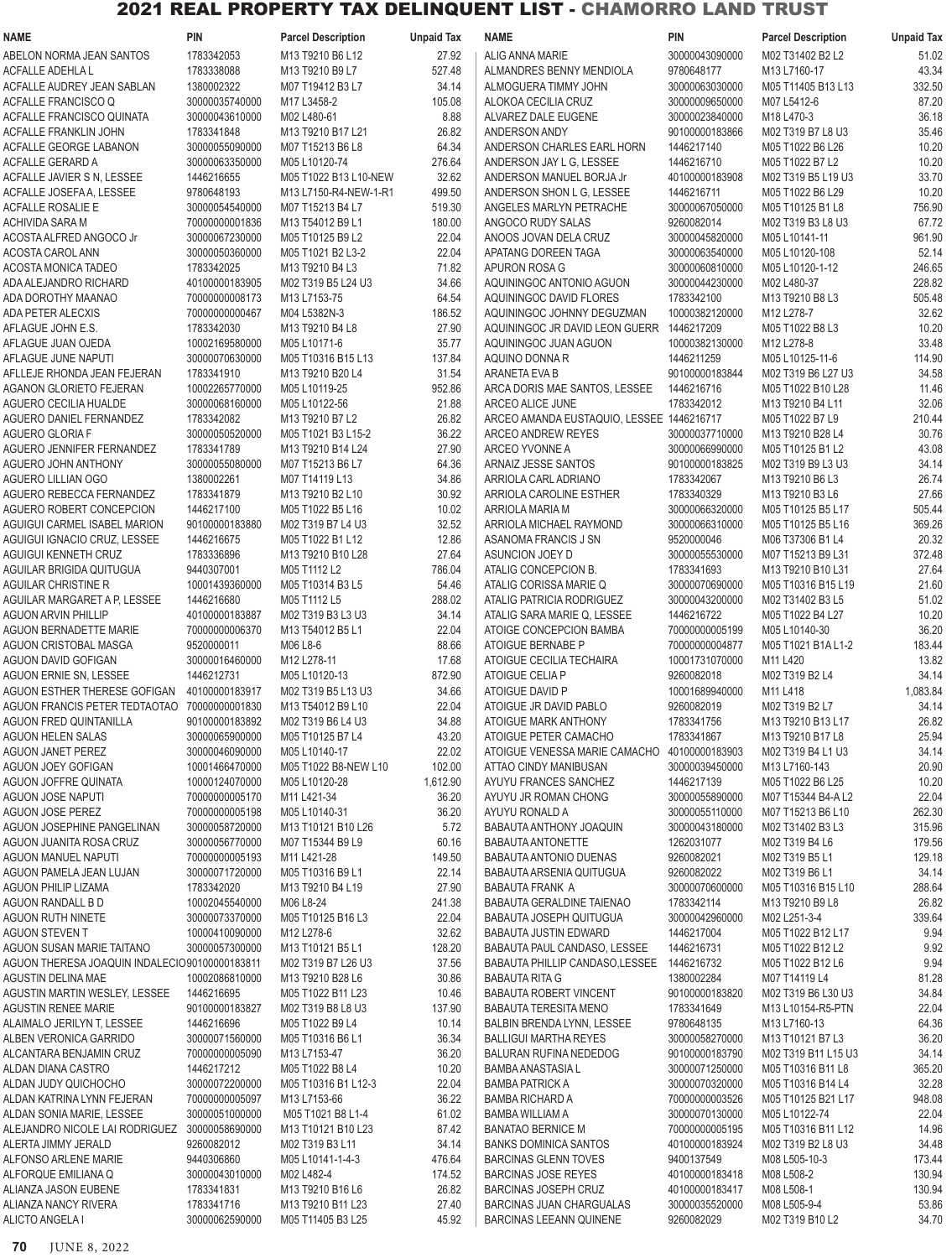## 2021 REAL PROPERTY TAX DELINQUENT LIST - CHAMORRO LAND TRUST

| 1783342053<br>ABELON NORMA JEAN SANTOS<br>M13 T9210 B6 L12<br>27.92<br>ALIG ANNA MARIE<br>30000043090000<br>M02 T31402 B2 L2<br>51.02<br>1783338088<br>527.48<br>43.34<br><b>ACFALLE ADEHLA L</b><br>M13 T9210 B9 L7<br>ALMANDRES BENNY MENDIOLA<br>9780648177<br>M13 L7160-17<br>1380002322<br>34.14<br>332.50<br>ACFALLE AUDREY JEAN SABLAN<br>M07 T19412 B3 L7<br>ALMOGUERA TIMMY JOHN<br>30000063030000<br>M05 T11405 B13 L13<br>87.20<br>ACFALLE FRANCISCO Q<br>30000035740000<br>M17 L3458-2<br>105.08<br>ALOKOA CECILIA CRUZ<br>30000009650000<br>M07 L5412-6<br>M02 L480-61<br>8.88<br>36.18<br>ACFALLE FRANCISCO QUINATA<br>30000043610000<br>ALVAREZ DALE EUGENE<br>30000023840000<br>M18 L470-3<br>26.82<br>35.46<br>ACFALLE FRANKLIN JOHN<br>1783341848<br>M13 T9210 B17 L21<br>ANDERSON ANDY<br>90100000183866<br>M02 T319 B7 L8 U3<br>64.34<br>ACFALLE GEORGE LABANON<br>30000055090000<br>M07 T15213 B6 L8<br>ANDERSON CHARLES EARL HORN<br>1446217140<br>M05 T1022 B6 L26<br>10.20<br>276.64<br>ACFALLE GERARD A<br>30000063350000<br>M05 L10120-74<br>ANDERSON JAY L G. LESSEE<br>1446216710<br>M05 T1022 B7 L2<br>10.20<br>32.62<br>33.70<br>ACFALLE JAVIER S N, LESSEE<br>1446216655<br>40100000183908<br>M02 T319 B5 L19 U3<br>M05 T1022 B13 L10-NEW<br>ANDERSON MANUEL BORJA Jr<br>499.50<br>1446216711<br>10.20<br>ACFALLE JOSEFA A, LESSEE<br>9780648193<br>M13 L7150-R4-NEW-1-R1<br>ANDERSON SHON L G, LESSEE<br>M05 T1022 B6 L29<br>519.30<br>756.90<br>ACFALLE ROSALIE E<br>30000054540000<br>M07 T15213 B4 L7<br>ANGELES MARLYN PETRACHE<br>30000067050000<br>M05 T10125 B1 L8<br><b>ACHIVIDA SARA M</b><br>70000000001836<br>M13 T54012 B9 L1<br>180.00<br>ANGOCO RUDY SALAS<br>9260082014<br>67.72<br>M02 T319 B3 L8 U3<br>22.04<br>961.90<br>ACOSTA ALFRED ANGOCO Jr<br>30000067230000<br>M05 T10125 B9 L2<br>ANOOS JOVAN DELA CRUZ<br>30000045820000<br>M05 L10141-11<br>22.04<br>52.14<br>ACOSTA CAROL ANN<br>30000050360000<br>M05 T1021 B2 L3-2<br>APATANG DOREEN TAGA<br>30000063540000<br>M05 L10120-108<br>71.82<br>246.65<br>ACOSTA MONICA TADEO<br>1783342025<br>M13 T9210 B4 L3<br>APURON ROSA G<br>30000060810000<br>M05 L10120-1-12<br>34.66<br>228.82<br>ADA ALEJANDRO RICHARD<br>M02 T319 B5 L24 U3<br>AQUININGOC ANTONIO AGUON<br>30000044230000<br>M02 L480-37<br>40100000183905<br>64.54<br>505.48<br>ADA DOROTHY MAANAO<br>70000000008173<br>M13 L7153-75<br>AQUININGOC DAVID FLORES<br>1783342100<br>M13 T9210 B8 L3<br>186.52<br>32.62<br>ADA PETER ALECXIS<br>70000000000467<br>M04 L5382N-3<br>AQUININGOC JOHNNY DEGUZMAN<br>10000382120000<br>M12 L278-7<br>1783342030<br>M13 T9210 B4 L8<br>27.90<br>1446217209<br>M05 T1022 B8 L3<br>10.20<br>AFLAGUE JOHN E.S.<br>AQUININGOC JR DAVID LEON GUERR<br>35.77<br>M12 L278-8<br>33.48<br>10002169580000<br>M05 L10171-6<br>AQUININGOC JUAN AGUON<br>10000382130000<br>AFLAGUE JUAN OJEDA<br>137.84<br>1446211259<br>114.90<br><b>AFLAGUE JUNE NAPUTI</b><br>30000070630000<br>M05 T10316 B15 L13<br>AQUINO DONNA R<br>M05 L10125-11-6<br>31.54<br>34.58<br>AFLLEJE RHONDA JEAN FEJERAN<br>1783341910<br>M13 T9210 B20 L4<br>ARANETA EVA B<br>90100000183844<br>M02 T319 B6 L27 U3<br>952.86<br>AGANON GLORIETO FEJERAN<br>10002265770000<br>M05 L10119-25<br>ARCA DORIS MAE SANTOS, LESSEE<br>1446216716<br>M05 T1022 B10 L28<br>11.46<br>21.88<br>32.06<br>AGUERO CECILIA HUALDE<br>30000068160000<br>M05 L10122-56<br><b>ARCEO ALICE JUNE</b><br>1783342012<br>M13 T9210 B4 L11<br>26.82<br>AGUERO DANIEL FERNANDEZ<br>1783342082<br>M13 T9210 B7 L2<br>ARCEO AMANDA EUSTAQUIO, LESSEE 1446216717<br>M05 T1022 B7 L9<br>210.44<br>30000050520000<br>36.22<br>M13 T9210 B28 L4<br>30.76<br><b>AGUERO GLORIA F</b><br>M05 T1021 B3 L15-2<br>ARCEO ANDREW REYES<br>30000037710000<br>1783341789<br>27.90<br>ARCEO YVONNE A<br>43.08<br>AGUERO JENNIFER FERNANDEZ<br>M13 T9210 B14 L24<br>30000066990000<br>M05 T10125 B1 L2<br>64.36<br>34.14<br>AGUERO JOHN ANTHONY<br>30000055080000<br>M07 T15213 B6 L7<br>ARNAIZ JESSE SANTOS<br>90100000183825<br>M02 T319 B9 L3 U3<br>34.86<br>26.74<br>AGUERO LILLIAN OGO<br>1380002261<br>M07 T14119 L13<br>1783342067<br>M13 T9210 B6 L3<br>ARRIOLA CARL ADRIANO<br>30.92<br>27.66<br>AGUERO REBECCA FERNANDEZ<br>1783341879<br>M13 T9210 B2 L10<br>ARRIOLA CAROLINE ESTHER<br>1783340329<br>M13 T9210 B3 L6<br>1446217100<br>10.02<br>505.44<br>AGUERO ROBERT CONCEPCION<br>M05 T1022 B5 L16<br>ARRIOLA MARIA M<br>30000066320000<br>M05 T10125 B5 L17<br>32.52<br>369.26<br>AGUIGUI CARMEL ISABEL MARION<br>90100000183880<br>M02 T319 B7 L4 U3<br>30000066310000<br>M05 T10125 B5 L16<br>ARRIOLA MICHAEL RAYMOND<br>1446216675<br>12.86<br>9520000046<br>M06 T37306 B1 L4<br>20.32<br>AGUIGUI IGNACIO CRUZ, LESSEE<br>M05 T1022 B1 L12<br>ASANOMA FRANCIS J SN<br>27.64<br>372.48<br>AGUIGUI KENNETH CRUZ<br>1783336896<br>M13 T9210 B10 L28<br>ASUNCION JOEY D<br>30000055530000<br>M07 T15213 B9 L31<br>9440307001<br>786.04<br>27.64<br>AGUILAR BRIGIDA QUITUGUA<br>M05 T1112 L2<br>ATALIG CONCEPCION B.<br>1783341693<br>M13 T9210 B10 L31<br>54.46<br>21.60<br>AGUILAR CHRISTINE R<br>10001439360000<br>M05 T10314 B3 L5<br>ATALIG CORISSA MARIE Q<br>30000070690000<br>M05 T10316 B15 L19<br>288.02<br>AGUILAR MARGARET A P, LESSEE<br>1446216680<br>M05 T1112 L5<br>ATALIG PATRICIA RODRIGUEZ<br>30000043200000<br>M02 T31402 B3 L5<br>51.02<br>34.14<br>10.20<br>AGUON ARVIN PHILLIP<br>40100000183887<br>M02 T319 B3 L3 U3<br>ATALIG SARA MARIE Q, LESSEE<br>1446216722<br>M05 T1022 B4 L27<br>22.04<br>36.20<br>AGUON BERNADETTE MARIE<br>70000000006370<br>M13 T54012 B5 L1<br>ATOIGE CONCEPCION BAMBA<br>70000000005199<br>M05 L10140-30<br>M06 L8-6<br>88.66<br>ATOIGUE BERNABE P<br>AGUON CRISTOBAL MASGA<br>9520000011<br>70000000004877<br>M05 T1021 B1A L1-2<br>183.44<br>17.68<br>13.82<br>AGUON DAVID GOFIGAN<br>30000016460000<br>M12 L278-11<br>ATOIGUE CECILIA TECHAIRA<br>10001731070000<br>M11 L420<br>872.90<br>1446212731<br>M05 L10120-13<br>ATOIGUE CELIA P<br>9260082018<br>M02 T319 B2 L4<br>34.14<br>AGUON ERNIE SN, LESSEE<br>AGUON ESTHER THERESE GOFIGAN<br>40100000183917<br>M02 T319 B5 L13 U3<br>ATOIGUE DAVID P<br>M11 L418<br>34.66<br>10001689940000<br>1,083.84<br>AGUON FRANCIS PETER TEDTAOTAO<br>70000000001830<br>M13 T54012 B9 L10<br>22.04<br>ATOIGUE JR DAVID PABLO<br>9260082019<br>M02 T319 B2 L7<br>34.14<br>34.88<br>26.82<br>AGUON FRED QUINTANILLA<br>90100000183892<br>M02 T319 B6 L4 U3<br>ATOIGUE MARK ANTHONY<br>1783341756<br>M13 T9210 B13 L17<br>25.94<br><b>AGUON HELEN SALAS</b><br>30000065900000<br>M05 T10125 B7 L4<br>43.20<br>ATOIGUE PETER CAMACHO<br>1783341867<br>M13 T9210 B17 L8<br>30000046090000<br>22.02<br>40100000183903<br>34.14<br>AGUON JANET PEREZ<br>M05 L10140-17<br>ATOIGUE VENESSA MARIE CAMACHO<br>M02 T319 B4 L1 U3<br>20.90<br>AGUON JOEY GOFIGAN<br>10001466470000<br>M05 T1022 B8-NEW L10<br>102.00<br>ATTAO CINDY MANIBUSAN<br>30000039450000<br>M13 L7160-143<br>1446217139<br>10.20<br>AGUON JOFFRE QUINATA<br>10000124070000<br>M05 L10120-28<br>1,612.90<br>AYUYU FRANCES SANCHEZ<br>M05 T1022 B6 L25<br>22.04<br><b>AGUON JOSE NAPUTI</b><br>70000000005170<br>M11 L421-34<br>36.20<br>AYUYU JR ROMAN CHONG<br>30000055890000<br>M07 T15344 B4-A L2<br>70000000005198<br>36.20<br>30000055110000<br>M07 T15213 B6 L10<br>AGUON JOSE PEREZ<br>M05 L10140-31<br>AYUYU RONALD A<br>262.30<br>315.96<br><b>AGUON JOSEPHINE PANGELINAN</b><br>30000058720000<br>M13 T10121 B10 L26<br>5.72<br>BABAUTA ANTHONY JOAQUIN<br>30000043180000<br>M02 T31402 B3 L3<br>30000056770000<br>60.16<br>BABAUTA ANTONETTE<br>1262031077<br>179.56<br>AGUON JUANITA ROSA CRUZ<br>M07 T15344 B9 L9<br>M02 T319 B4 L6<br>9260082021<br>129.18<br>AGUON MANUEL NAPUTI<br>70000000005193<br>M11 L421-28<br>149.50<br>BABAUTA ANTONIO DUENAS<br>M02 T319 B5 L1<br>22.14<br>34.14<br>AGUON PAMELA JEAN LUJAN<br>30000071720000<br>M05 T10316 B9 L1<br>BABAUTA ARSENIA QUITUGUA<br>9260082022<br>M02 T319 B6 L1<br>1783342020<br>27.90<br>30000070600000<br>288.64<br>AGUON PHILIP LIZAMA<br>M13 T9210 B4 L19<br><b>BABAUTA FRANK A</b><br>M05 T10316 B15 L10<br>26.82<br>AGUON RANDALL B D<br>10002045540000<br>M06 L8-24<br>241.38<br>BABAUTA GERALDINE TAIENAO<br>1783342114<br>M13 T9210 B9 L8<br>30000073370000<br>M05 T10125 B16 L3<br>22.04<br>30000042960000<br>M02 L251-3-4<br>339.64<br>AGUON RUTH NINETE<br>BABAUTA JOSEPH QUITUGUA<br>32.62<br>9.94<br>AGUON STEVEN T<br>10000410090000<br>M12 L278-6<br><b>BABAUTA JUSTIN EDWARD</b><br>1446217004<br>M05 T1022 B12 L17<br>9.92<br>AGUON SUSAN MARIE TAITANO<br>30000057300000<br>M13 T10121 B5 L1<br>128.20<br>BABAUTA PAUL CANDASO, LESSEE<br>1446216731<br>M05 T1022 B12 L2<br>1446216732<br>9.94<br>AGUON THERESA JOAQUIN INDALECIO90100000183811<br>M02 T319 B7 L26 U3<br>37.56<br>BABAUTA PHILLIP CANDASO, LESSEE<br>M05 T1022 B12 L6<br>30.86<br>81.28<br>AGUSTIN DELINA MAE<br>10002086810000<br>M13 T9210 B28 L6<br><b>BABAUTA RITA G</b><br>1380002284<br>M07 T14119 L4<br>1446216695<br>90100000183820<br>34.84<br>AGUSTIN MARTIN WESLEY, LESSEE<br>M05 T1022 B11 L23<br>10.46<br><b>BABAUTA ROBERT VINCENT</b><br>M02 T319 B6 L30 U3<br><b>AGUSTIN RENEE MARIE</b><br>90100000183827<br>M02 T319 B8 L8 U3<br>137.90<br><b>BABAUTA TERESITA MENO</b><br>1783341649<br>M13 L10154-R5-PTN<br>22.04<br>1446216696<br>64.36<br>ALAIMALO JERILYN T, LESSEE<br>M05 T1022 B9 L4<br>10.14<br>BALBIN BRENDA LYNN, LESSEE<br>9780648135<br>M13 L7160-13<br>36.34<br>36.20<br>ALBEN VERONICA GARRIDO<br>30000071560000<br>M05 T10316 B6 L1<br><b>BALLIGUI MARTHA REYES</b><br>30000058270000<br>M13 T10121 B7 L3<br>ALCANTARA BENJAMIN CRUZ<br>70000000005090<br>M13 L7153-47<br>36.20<br>BALURAN RUFINA NEDEDOG<br>90100000183790<br>M02 T319 B11 L15 U3<br>34.14<br>1446217212<br>365.20<br>ALDAN DIANA CASTRO<br>M05 T1022 B8 L4<br>10.20<br><b>BAMBA ANASTASIA L</b><br>30000071250000<br>M05 T10316 B11 L8<br>22.04<br>32.28<br>ALDAN JUDY QUICHOCHO<br>30000072200000<br>M05 T10316 B1 L12-3<br><b>BAMBA PATRICK A</b><br>30000070320000<br>M05 T10316 B14 L4<br>70000000005097<br>948.08<br>ALDAN KATRINA LYNN FEJERAN<br>M13 L7153-66<br>36.22<br><b>BAMBA RICHARD A</b><br>70000000003526<br>M05 T10125 B21 L17<br>22.04<br>ALDAN SONIA MARIE, LESSEE<br>30000051000000<br>M05 T1021 B8 L1-4<br>61.02<br><b>BAMBA WILLIAM A</b><br>30000070130000<br>M05 L10122-74<br>14.96<br>ALEJANDRO NICOLE LAI RODRIGUEZ<br>30000058690000<br>M13 T10121 B10 L23<br>87.42<br><b>BANATAO BERNICE M</b><br>70000000005195<br>M05 T10316 B11 L12<br>34.14<br>34.48<br>ALERTA JIMMY JERALD<br>9260082012<br>M02 T319 B3 L11<br><b>BANKS DOMINICA SANTOS</b><br>40100000183924<br>M02 T319 B2 L8 U3<br>ALFONSO ARLENE MARIE<br>9440306860<br>M05 L10141-1-4-3<br>476.64<br><b>BARCINAS GLENN TOVES</b><br>9400137549<br>M08 L505-10-3<br>173.44<br>130.94<br>ALFORQUE EMILIANA Q<br>30000043010000<br>M02 L482-4<br>174.52<br><b>BARCINAS JOSE REYES</b><br>40100000183418<br>M08 L508-2<br>26.82<br>ALIANZA JASON EUBENE<br>1783341831<br>M13 T9210 B16 L6<br><b>BARCINAS JOSEPH CRUZ</b><br>40100000183417<br>M08 L508-1<br>130.94<br>53.86<br>ALIANZA NANCY RIVERA<br>1783341716<br>M13 T9210 B11 L23<br>27.40<br><b>BARCINAS JUAN CHARGUALAS</b><br>30000035520000<br>M08 L505-9-4<br>ALICTO ANGELA I<br>30000062590000<br>M05 T11405 B3 L25<br>45.92<br><b>BARCINAS LEEANN QUINENE</b><br>9260082029<br>M02 T319 B10 L2<br>34.70 | NAME | PIN | <b>Parcel Description</b> | <b>Unpaid Tax</b> | <b>NAME</b> | <b>PIN</b> | <b>Parcel Description</b> | <b>Unpaid Tax</b> |
|-----------------------------------------------------------------------------------------------------------------------------------------------------------------------------------------------------------------------------------------------------------------------------------------------------------------------------------------------------------------------------------------------------------------------------------------------------------------------------------------------------------------------------------------------------------------------------------------------------------------------------------------------------------------------------------------------------------------------------------------------------------------------------------------------------------------------------------------------------------------------------------------------------------------------------------------------------------------------------------------------------------------------------------------------------------------------------------------------------------------------------------------------------------------------------------------------------------------------------------------------------------------------------------------------------------------------------------------------------------------------------------------------------------------------------------------------------------------------------------------------------------------------------------------------------------------------------------------------------------------------------------------------------------------------------------------------------------------------------------------------------------------------------------------------------------------------------------------------------------------------------------------------------------------------------------------------------------------------------------------------------------------------------------------------------------------------------------------------------------------------------------------------------------------------------------------------------------------------------------------------------------------------------------------------------------------------------------------------------------------------------------------------------------------------------------------------------------------------------------------------------------------------------------------------------------------------------------------------------------------------------------------------------------------------------------------------------------------------------------------------------------------------------------------------------------------------------------------------------------------------------------------------------------------------------------------------------------------------------------------------------------------------------------------------------------------------------------------------------------------------------------------------------------------------------------------------------------------------------------------------------------------------------------------------------------------------------------------------------------------------------------------------------------------------------------------------------------------------------------------------------------------------------------------------------------------------------------------------------------------------------------------------------------------------------------------------------------------------------------------------------------------------------------------------------------------------------------------------------------------------------------------------------------------------------------------------------------------------------------------------------------------------------------------------------------------------------------------------------------------------------------------------------------------------------------------------------------------------------------------------------------------------------------------------------------------------------------------------------------------------------------------------------------------------------------------------------------------------------------------------------------------------------------------------------------------------------------------------------------------------------------------------------------------------------------------------------------------------------------------------------------------------------------------------------------------------------------------------------------------------------------------------------------------------------------------------------------------------------------------------------------------------------------------------------------------------------------------------------------------------------------------------------------------------------------------------------------------------------------------------------------------------------------------------------------------------------------------------------------------------------------------------------------------------------------------------------------------------------------------------------------------------------------------------------------------------------------------------------------------------------------------------------------------------------------------------------------------------------------------------------------------------------------------------------------------------------------------------------------------------------------------------------------------------------------------------------------------------------------------------------------------------------------------------------------------------------------------------------------------------------------------------------------------------------------------------------------------------------------------------------------------------------------------------------------------------------------------------------------------------------------------------------------------------------------------------------------------------------------------------------------------------------------------------------------------------------------------------------------------------------------------------------------------------------------------------------------------------------------------------------------------------------------------------------------------------------------------------------------------------------------------------------------------------------------------------------------------------------------------------------------------------------------------------------------------------------------------------------------------------------------------------------------------------------------------------------------------------------------------------------------------------------------------------------------------------------------------------------------------------------------------------------------------------------------------------------------------------------------------------------------------------------------------------------------------------------------------------------------------------------------------------------------------------------------------------------------------------------------------------------------------------------------------------------------------------------------------------------------------------------------------------------------------------------------------------------------------------------------------------------------------------------------------------------------------------------------------------------------------------------------------------------------------------------------------------------------------------------------------------------------------------------------------------------------------------------------------------------------------------------------------------------------------------------------------------------------------------------------------------------------------------------------------------------------------------------------------------------------------------------------------------------------------------------------------------------------------------------------------------------------------------------------------------------------------------------------------------------------------------------------------------------------------------------------------------------------------------------------------------------------------------------------------------------------------------------------------------------------------------------------------------------------------------------------------------------------------------------------------------------------------------------------------------------------------------------------------------------------------------------------------------------------------------------------------------------------------------------------------------------------------------------------------------------------------------------------------------------------------------------------------------------------------------------------------------------------------------------------------------------------------------------------------------------------------------------------------------------------------------------------------------------------------------------------------------------------------------------------------------------------------------------------------------------------------------------------------------------------------------------------------------------------------------------------------------------------------------------------------------------------------------------------------------------------------------------------------------------------------------------------------------------------------------------------------------------------------------------------------------------------------------------------------------------------------------------------------------------------------------------------------------------------------------------------------------------------------------------------------------------------------------------------------------------------------------------------------------------------------------------------------------------------------------------------------------------------------------------------------------------------------------------------------------------------------------------------------------------------------------------------------------------------------------------------------------------------------------------------------------------------------------------------------------------------------------------------------------------------------------------------------------------------------------------------------------------------------------------------------------------------------|------|-----|---------------------------|-------------------|-------------|------------|---------------------------|-------------------|
|                                                                                                                                                                                                                                                                                                                                                                                                                                                                                                                                                                                                                                                                                                                                                                                                                                                                                                                                                                                                                                                                                                                                                                                                                                                                                                                                                                                                                                                                                                                                                                                                                                                                                                                                                                                                                                                                                                                                                                                                                                                                                                                                                                                                                                                                                                                                                                                                                                                                                                                                                                                                                                                                                                                                                                                                                                                                                                                                                                                                                                                                                                                                                                                                                                                                                                                                                                                                                                                                                                                                                                                                                                                                                                                                                                                                                                                                                                                                                                                                                                                                                                                                                                                                                                                                                                                                                                                                                                                                                                                                                                                                                                                                                                                                                                                                                                                                                                                                                                                                                                                                                                                                                                                                                                                                                                                                                                                                                                                                                                                                                                                                                                                                                                                                                                                                                                                                                                                                                                                                                                                                                                                                                                                                                                                                                                                                                                                                                                                                                                                                                                                                                                                                                                                                                                                                                                                                                                                                                                                                                                                                                                                                                                                                                                                                                                                                                                                                                                                                                                                                                                                                                                                                                                                                                                                                                                                                                                                                                                                                                                                                                                                                                                                                                                                                                                                                                                                                                                                                                                                                                                                                                                                                                                                                                                                                                                                                                                                                                                                                                                                                                                                                                                                                                                                                                                                                                                                                                                                                                                                                                                                                                                                                                                                                                                                                                                                                                                                                                                                                                                                                                                                                                                                                                                                                                                                                                                                                                                                                                                                                                                                                                                                                                                                                                                                                                                                                                                                                                                                                                                                                                                                                                                                                                                                                                                                                                                                                                                                                                                                 |      |     |                           |                   |             |            |                           |                   |
|                                                                                                                                                                                                                                                                                                                                                                                                                                                                                                                                                                                                                                                                                                                                                                                                                                                                                                                                                                                                                                                                                                                                                                                                                                                                                                                                                                                                                                                                                                                                                                                                                                                                                                                                                                                                                                                                                                                                                                                                                                                                                                                                                                                                                                                                                                                                                                                                                                                                                                                                                                                                                                                                                                                                                                                                                                                                                                                                                                                                                                                                                                                                                                                                                                                                                                                                                                                                                                                                                                                                                                                                                                                                                                                                                                                                                                                                                                                                                                                                                                                                                                                                                                                                                                                                                                                                                                                                                                                                                                                                                                                                                                                                                                                                                                                                                                                                                                                                                                                                                                                                                                                                                                                                                                                                                                                                                                                                                                                                                                                                                                                                                                                                                                                                                                                                                                                                                                                                                                                                                                                                                                                                                                                                                                                                                                                                                                                                                                                                                                                                                                                                                                                                                                                                                                                                                                                                                                                                                                                                                                                                                                                                                                                                                                                                                                                                                                                                                                                                                                                                                                                                                                                                                                                                                                                                                                                                                                                                                                                                                                                                                                                                                                                                                                                                                                                                                                                                                                                                                                                                                                                                                                                                                                                                                                                                                                                                                                                                                                                                                                                                                                                                                                                                                                                                                                                                                                                                                                                                                                                                                                                                                                                                                                                                                                                                                                                                                                                                                                                                                                                                                                                                                                                                                                                                                                                                                                                                                                                                                                                                                                                                                                                                                                                                                                                                                                                                                                                                                                                                                                                                                                                                                                                                                                                                                                                                                                                                                                                                                                                 |      |     |                           |                   |             |            |                           |                   |
|                                                                                                                                                                                                                                                                                                                                                                                                                                                                                                                                                                                                                                                                                                                                                                                                                                                                                                                                                                                                                                                                                                                                                                                                                                                                                                                                                                                                                                                                                                                                                                                                                                                                                                                                                                                                                                                                                                                                                                                                                                                                                                                                                                                                                                                                                                                                                                                                                                                                                                                                                                                                                                                                                                                                                                                                                                                                                                                                                                                                                                                                                                                                                                                                                                                                                                                                                                                                                                                                                                                                                                                                                                                                                                                                                                                                                                                                                                                                                                                                                                                                                                                                                                                                                                                                                                                                                                                                                                                                                                                                                                                                                                                                                                                                                                                                                                                                                                                                                                                                                                                                                                                                                                                                                                                                                                                                                                                                                                                                                                                                                                                                                                                                                                                                                                                                                                                                                                                                                                                                                                                                                                                                                                                                                                                                                                                                                                                                                                                                                                                                                                                                                                                                                                                                                                                                                                                                                                                                                                                                                                                                                                                                                                                                                                                                                                                                                                                                                                                                                                                                                                                                                                                                                                                                                                                                                                                                                                                                                                                                                                                                                                                                                                                                                                                                                                                                                                                                                                                                                                                                                                                                                                                                                                                                                                                                                                                                                                                                                                                                                                                                                                                                                                                                                                                                                                                                                                                                                                                                                                                                                                                                                                                                                                                                                                                                                                                                                                                                                                                                                                                                                                                                                                                                                                                                                                                                                                                                                                                                                                                                                                                                                                                                                                                                                                                                                                                                                                                                                                                                                                                                                                                                                                                                                                                                                                                                                                                                                                                                                                                 |      |     |                           |                   |             |            |                           |                   |
|                                                                                                                                                                                                                                                                                                                                                                                                                                                                                                                                                                                                                                                                                                                                                                                                                                                                                                                                                                                                                                                                                                                                                                                                                                                                                                                                                                                                                                                                                                                                                                                                                                                                                                                                                                                                                                                                                                                                                                                                                                                                                                                                                                                                                                                                                                                                                                                                                                                                                                                                                                                                                                                                                                                                                                                                                                                                                                                                                                                                                                                                                                                                                                                                                                                                                                                                                                                                                                                                                                                                                                                                                                                                                                                                                                                                                                                                                                                                                                                                                                                                                                                                                                                                                                                                                                                                                                                                                                                                                                                                                                                                                                                                                                                                                                                                                                                                                                                                                                                                                                                                                                                                                                                                                                                                                                                                                                                                                                                                                                                                                                                                                                                                                                                                                                                                                                                                                                                                                                                                                                                                                                                                                                                                                                                                                                                                                                                                                                                                                                                                                                                                                                                                                                                                                                                                                                                                                                                                                                                                                                                                                                                                                                                                                                                                                                                                                                                                                                                                                                                                                                                                                                                                                                                                                                                                                                                                                                                                                                                                                                                                                                                                                                                                                                                                                                                                                                                                                                                                                                                                                                                                                                                                                                                                                                                                                                                                                                                                                                                                                                                                                                                                                                                                                                                                                                                                                                                                                                                                                                                                                                                                                                                                                                                                                                                                                                                                                                                                                                                                                                                                                                                                                                                                                                                                                                                                                                                                                                                                                                                                                                                                                                                                                                                                                                                                                                                                                                                                                                                                                                                                                                                                                                                                                                                                                                                                                                                                                                                                                                                 |      |     |                           |                   |             |            |                           |                   |
|                                                                                                                                                                                                                                                                                                                                                                                                                                                                                                                                                                                                                                                                                                                                                                                                                                                                                                                                                                                                                                                                                                                                                                                                                                                                                                                                                                                                                                                                                                                                                                                                                                                                                                                                                                                                                                                                                                                                                                                                                                                                                                                                                                                                                                                                                                                                                                                                                                                                                                                                                                                                                                                                                                                                                                                                                                                                                                                                                                                                                                                                                                                                                                                                                                                                                                                                                                                                                                                                                                                                                                                                                                                                                                                                                                                                                                                                                                                                                                                                                                                                                                                                                                                                                                                                                                                                                                                                                                                                                                                                                                                                                                                                                                                                                                                                                                                                                                                                                                                                                                                                                                                                                                                                                                                                                                                                                                                                                                                                                                                                                                                                                                                                                                                                                                                                                                                                                                                                                                                                                                                                                                                                                                                                                                                                                                                                                                                                                                                                                                                                                                                                                                                                                                                                                                                                                                                                                                                                                                                                                                                                                                                                                                                                                                                                                                                                                                                                                                                                                                                                                                                                                                                                                                                                                                                                                                                                                                                                                                                                                                                                                                                                                                                                                                                                                                                                                                                                                                                                                                                                                                                                                                                                                                                                                                                                                                                                                                                                                                                                                                                                                                                                                                                                                                                                                                                                                                                                                                                                                                                                                                                                                                                                                                                                                                                                                                                                                                                                                                                                                                                                                                                                                                                                                                                                                                                                                                                                                                                                                                                                                                                                                                                                                                                                                                                                                                                                                                                                                                                                                                                                                                                                                                                                                                                                                                                                                                                                                                                                                                                 |      |     |                           |                   |             |            |                           |                   |
|                                                                                                                                                                                                                                                                                                                                                                                                                                                                                                                                                                                                                                                                                                                                                                                                                                                                                                                                                                                                                                                                                                                                                                                                                                                                                                                                                                                                                                                                                                                                                                                                                                                                                                                                                                                                                                                                                                                                                                                                                                                                                                                                                                                                                                                                                                                                                                                                                                                                                                                                                                                                                                                                                                                                                                                                                                                                                                                                                                                                                                                                                                                                                                                                                                                                                                                                                                                                                                                                                                                                                                                                                                                                                                                                                                                                                                                                                                                                                                                                                                                                                                                                                                                                                                                                                                                                                                                                                                                                                                                                                                                                                                                                                                                                                                                                                                                                                                                                                                                                                                                                                                                                                                                                                                                                                                                                                                                                                                                                                                                                                                                                                                                                                                                                                                                                                                                                                                                                                                                                                                                                                                                                                                                                                                                                                                                                                                                                                                                                                                                                                                                                                                                                                                                                                                                                                                                                                                                                                                                                                                                                                                                                                                                                                                                                                                                                                                                                                                                                                                                                                                                                                                                                                                                                                                                                                                                                                                                                                                                                                                                                                                                                                                                                                                                                                                                                                                                                                                                                                                                                                                                                                                                                                                                                                                                                                                                                                                                                                                                                                                                                                                                                                                                                                                                                                                                                                                                                                                                                                                                                                                                                                                                                                                                                                                                                                                                                                                                                                                                                                                                                                                                                                                                                                                                                                                                                                                                                                                                                                                                                                                                                                                                                                                                                                                                                                                                                                                                                                                                                                                                                                                                                                                                                                                                                                                                                                                                                                                                                                                                 |      |     |                           |                   |             |            |                           |                   |
|                                                                                                                                                                                                                                                                                                                                                                                                                                                                                                                                                                                                                                                                                                                                                                                                                                                                                                                                                                                                                                                                                                                                                                                                                                                                                                                                                                                                                                                                                                                                                                                                                                                                                                                                                                                                                                                                                                                                                                                                                                                                                                                                                                                                                                                                                                                                                                                                                                                                                                                                                                                                                                                                                                                                                                                                                                                                                                                                                                                                                                                                                                                                                                                                                                                                                                                                                                                                                                                                                                                                                                                                                                                                                                                                                                                                                                                                                                                                                                                                                                                                                                                                                                                                                                                                                                                                                                                                                                                                                                                                                                                                                                                                                                                                                                                                                                                                                                                                                                                                                                                                                                                                                                                                                                                                                                                                                                                                                                                                                                                                                                                                                                                                                                                                                                                                                                                                                                                                                                                                                                                                                                                                                                                                                                                                                                                                                                                                                                                                                                                                                                                                                                                                                                                                                                                                                                                                                                                                                                                                                                                                                                                                                                                                                                                                                                                                                                                                                                                                                                                                                                                                                                                                                                                                                                                                                                                                                                                                                                                                                                                                                                                                                                                                                                                                                                                                                                                                                                                                                                                                                                                                                                                                                                                                                                                                                                                                                                                                                                                                                                                                                                                                                                                                                                                                                                                                                                                                                                                                                                                                                                                                                                                                                                                                                                                                                                                                                                                                                                                                                                                                                                                                                                                                                                                                                                                                                                                                                                                                                                                                                                                                                                                                                                                                                                                                                                                                                                                                                                                                                                                                                                                                                                                                                                                                                                                                                                                                                                                                                                                 |      |     |                           |                   |             |            |                           |                   |
|                                                                                                                                                                                                                                                                                                                                                                                                                                                                                                                                                                                                                                                                                                                                                                                                                                                                                                                                                                                                                                                                                                                                                                                                                                                                                                                                                                                                                                                                                                                                                                                                                                                                                                                                                                                                                                                                                                                                                                                                                                                                                                                                                                                                                                                                                                                                                                                                                                                                                                                                                                                                                                                                                                                                                                                                                                                                                                                                                                                                                                                                                                                                                                                                                                                                                                                                                                                                                                                                                                                                                                                                                                                                                                                                                                                                                                                                                                                                                                                                                                                                                                                                                                                                                                                                                                                                                                                                                                                                                                                                                                                                                                                                                                                                                                                                                                                                                                                                                                                                                                                                                                                                                                                                                                                                                                                                                                                                                                                                                                                                                                                                                                                                                                                                                                                                                                                                                                                                                                                                                                                                                                                                                                                                                                                                                                                                                                                                                                                                                                                                                                                                                                                                                                                                                                                                                                                                                                                                                                                                                                                                                                                                                                                                                                                                                                                                                                                                                                                                                                                                                                                                                                                                                                                                                                                                                                                                                                                                                                                                                                                                                                                                                                                                                                                                                                                                                                                                                                                                                                                                                                                                                                                                                                                                                                                                                                                                                                                                                                                                                                                                                                                                                                                                                                                                                                                                                                                                                                                                                                                                                                                                                                                                                                                                                                                                                                                                                                                                                                                                                                                                                                                                                                                                                                                                                                                                                                                                                                                                                                                                                                                                                                                                                                                                                                                                                                                                                                                                                                                                                                                                                                                                                                                                                                                                                                                                                                                                                                                                                                                 |      |     |                           |                   |             |            |                           |                   |
|                                                                                                                                                                                                                                                                                                                                                                                                                                                                                                                                                                                                                                                                                                                                                                                                                                                                                                                                                                                                                                                                                                                                                                                                                                                                                                                                                                                                                                                                                                                                                                                                                                                                                                                                                                                                                                                                                                                                                                                                                                                                                                                                                                                                                                                                                                                                                                                                                                                                                                                                                                                                                                                                                                                                                                                                                                                                                                                                                                                                                                                                                                                                                                                                                                                                                                                                                                                                                                                                                                                                                                                                                                                                                                                                                                                                                                                                                                                                                                                                                                                                                                                                                                                                                                                                                                                                                                                                                                                                                                                                                                                                                                                                                                                                                                                                                                                                                                                                                                                                                                                                                                                                                                                                                                                                                                                                                                                                                                                                                                                                                                                                                                                                                                                                                                                                                                                                                                                                                                                                                                                                                                                                                                                                                                                                                                                                                                                                                                                                                                                                                                                                                                                                                                                                                                                                                                                                                                                                                                                                                                                                                                                                                                                                                                                                                                                                                                                                                                                                                                                                                                                                                                                                                                                                                                                                                                                                                                                                                                                                                                                                                                                                                                                                                                                                                                                                                                                                                                                                                                                                                                                                                                                                                                                                                                                                                                                                                                                                                                                                                                                                                                                                                                                                                                                                                                                                                                                                                                                                                                                                                                                                                                                                                                                                                                                                                                                                                                                                                                                                                                                                                                                                                                                                                                                                                                                                                                                                                                                                                                                                                                                                                                                                                                                                                                                                                                                                                                                                                                                                                                                                                                                                                                                                                                                                                                                                                                                                                                                                                                                 |      |     |                           |                   |             |            |                           |                   |
|                                                                                                                                                                                                                                                                                                                                                                                                                                                                                                                                                                                                                                                                                                                                                                                                                                                                                                                                                                                                                                                                                                                                                                                                                                                                                                                                                                                                                                                                                                                                                                                                                                                                                                                                                                                                                                                                                                                                                                                                                                                                                                                                                                                                                                                                                                                                                                                                                                                                                                                                                                                                                                                                                                                                                                                                                                                                                                                                                                                                                                                                                                                                                                                                                                                                                                                                                                                                                                                                                                                                                                                                                                                                                                                                                                                                                                                                                                                                                                                                                                                                                                                                                                                                                                                                                                                                                                                                                                                                                                                                                                                                                                                                                                                                                                                                                                                                                                                                                                                                                                                                                                                                                                                                                                                                                                                                                                                                                                                                                                                                                                                                                                                                                                                                                                                                                                                                                                                                                                                                                                                                                                                                                                                                                                                                                                                                                                                                                                                                                                                                                                                                                                                                                                                                                                                                                                                                                                                                                                                                                                                                                                                                                                                                                                                                                                                                                                                                                                                                                                                                                                                                                                                                                                                                                                                                                                                                                                                                                                                                                                                                                                                                                                                                                                                                                                                                                                                                                                                                                                                                                                                                                                                                                                                                                                                                                                                                                                                                                                                                                                                                                                                                                                                                                                                                                                                                                                                                                                                                                                                                                                                                                                                                                                                                                                                                                                                                                                                                                                                                                                                                                                                                                                                                                                                                                                                                                                                                                                                                                                                                                                                                                                                                                                                                                                                                                                                                                                                                                                                                                                                                                                                                                                                                                                                                                                                                                                                                                                                                                                                 |      |     |                           |                   |             |            |                           |                   |
|                                                                                                                                                                                                                                                                                                                                                                                                                                                                                                                                                                                                                                                                                                                                                                                                                                                                                                                                                                                                                                                                                                                                                                                                                                                                                                                                                                                                                                                                                                                                                                                                                                                                                                                                                                                                                                                                                                                                                                                                                                                                                                                                                                                                                                                                                                                                                                                                                                                                                                                                                                                                                                                                                                                                                                                                                                                                                                                                                                                                                                                                                                                                                                                                                                                                                                                                                                                                                                                                                                                                                                                                                                                                                                                                                                                                                                                                                                                                                                                                                                                                                                                                                                                                                                                                                                                                                                                                                                                                                                                                                                                                                                                                                                                                                                                                                                                                                                                                                                                                                                                                                                                                                                                                                                                                                                                                                                                                                                                                                                                                                                                                                                                                                                                                                                                                                                                                                                                                                                                                                                                                                                                                                                                                                                                                                                                                                                                                                                                                                                                                                                                                                                                                                                                                                                                                                                                                                                                                                                                                                                                                                                                                                                                                                                                                                                                                                                                                                                                                                                                                                                                                                                                                                                                                                                                                                                                                                                                                                                                                                                                                                                                                                                                                                                                                                                                                                                                                                                                                                                                                                                                                                                                                                                                                                                                                                                                                                                                                                                                                                                                                                                                                                                                                                                                                                                                                                                                                                                                                                                                                                                                                                                                                                                                                                                                                                                                                                                                                                                                                                                                                                                                                                                                                                                                                                                                                                                                                                                                                                                                                                                                                                                                                                                                                                                                                                                                                                                                                                                                                                                                                                                                                                                                                                                                                                                                                                                                                                                                                                                                 |      |     |                           |                   |             |            |                           |                   |
|                                                                                                                                                                                                                                                                                                                                                                                                                                                                                                                                                                                                                                                                                                                                                                                                                                                                                                                                                                                                                                                                                                                                                                                                                                                                                                                                                                                                                                                                                                                                                                                                                                                                                                                                                                                                                                                                                                                                                                                                                                                                                                                                                                                                                                                                                                                                                                                                                                                                                                                                                                                                                                                                                                                                                                                                                                                                                                                                                                                                                                                                                                                                                                                                                                                                                                                                                                                                                                                                                                                                                                                                                                                                                                                                                                                                                                                                                                                                                                                                                                                                                                                                                                                                                                                                                                                                                                                                                                                                                                                                                                                                                                                                                                                                                                                                                                                                                                                                                                                                                                                                                                                                                                                                                                                                                                                                                                                                                                                                                                                                                                                                                                                                                                                                                                                                                                                                                                                                                                                                                                                                                                                                                                                                                                                                                                                                                                                                                                                                                                                                                                                                                                                                                                                                                                                                                                                                                                                                                                                                                                                                                                                                                                                                                                                                                                                                                                                                                                                                                                                                                                                                                                                                                                                                                                                                                                                                                                                                                                                                                                                                                                                                                                                                                                                                                                                                                                                                                                                                                                                                                                                                                                                                                                                                                                                                                                                                                                                                                                                                                                                                                                                                                                                                                                                                                                                                                                                                                                                                                                                                                                                                                                                                                                                                                                                                                                                                                                                                                                                                                                                                                                                                                                                                                                                                                                                                                                                                                                                                                                                                                                                                                                                                                                                                                                                                                                                                                                                                                                                                                                                                                                                                                                                                                                                                                                                                                                                                                                                                                                                 |      |     |                           |                   |             |            |                           |                   |
|                                                                                                                                                                                                                                                                                                                                                                                                                                                                                                                                                                                                                                                                                                                                                                                                                                                                                                                                                                                                                                                                                                                                                                                                                                                                                                                                                                                                                                                                                                                                                                                                                                                                                                                                                                                                                                                                                                                                                                                                                                                                                                                                                                                                                                                                                                                                                                                                                                                                                                                                                                                                                                                                                                                                                                                                                                                                                                                                                                                                                                                                                                                                                                                                                                                                                                                                                                                                                                                                                                                                                                                                                                                                                                                                                                                                                                                                                                                                                                                                                                                                                                                                                                                                                                                                                                                                                                                                                                                                                                                                                                                                                                                                                                                                                                                                                                                                                                                                                                                                                                                                                                                                                                                                                                                                                                                                                                                                                                                                                                                                                                                                                                                                                                                                                                                                                                                                                                                                                                                                                                                                                                                                                                                                                                                                                                                                                                                                                                                                                                                                                                                                                                                                                                                                                                                                                                                                                                                                                                                                                                                                                                                                                                                                                                                                                                                                                                                                                                                                                                                                                                                                                                                                                                                                                                                                                                                                                                                                                                                                                                                                                                                                                                                                                                                                                                                                                                                                                                                                                                                                                                                                                                                                                                                                                                                                                                                                                                                                                                                                                                                                                                                                                                                                                                                                                                                                                                                                                                                                                                                                                                                                                                                                                                                                                                                                                                                                                                                                                                                                                                                                                                                                                                                                                                                                                                                                                                                                                                                                                                                                                                                                                                                                                                                                                                                                                                                                                                                                                                                                                                                                                                                                                                                                                                                                                                                                                                                                                                                                                                                 |      |     |                           |                   |             |            |                           |                   |
|                                                                                                                                                                                                                                                                                                                                                                                                                                                                                                                                                                                                                                                                                                                                                                                                                                                                                                                                                                                                                                                                                                                                                                                                                                                                                                                                                                                                                                                                                                                                                                                                                                                                                                                                                                                                                                                                                                                                                                                                                                                                                                                                                                                                                                                                                                                                                                                                                                                                                                                                                                                                                                                                                                                                                                                                                                                                                                                                                                                                                                                                                                                                                                                                                                                                                                                                                                                                                                                                                                                                                                                                                                                                                                                                                                                                                                                                                                                                                                                                                                                                                                                                                                                                                                                                                                                                                                                                                                                                                                                                                                                                                                                                                                                                                                                                                                                                                                                                                                                                                                                                                                                                                                                                                                                                                                                                                                                                                                                                                                                                                                                                                                                                                                                                                                                                                                                                                                                                                                                                                                                                                                                                                                                                                                                                                                                                                                                                                                                                                                                                                                                                                                                                                                                                                                                                                                                                                                                                                                                                                                                                                                                                                                                                                                                                                                                                                                                                                                                                                                                                                                                                                                                                                                                                                                                                                                                                                                                                                                                                                                                                                                                                                                                                                                                                                                                                                                                                                                                                                                                                                                                                                                                                                                                                                                                                                                                                                                                                                                                                                                                                                                                                                                                                                                                                                                                                                                                                                                                                                                                                                                                                                                                                                                                                                                                                                                                                                                                                                                                                                                                                                                                                                                                                                                                                                                                                                                                                                                                                                                                                                                                                                                                                                                                                                                                                                                                                                                                                                                                                                                                                                                                                                                                                                                                                                                                                                                                                                                                                                                                 |      |     |                           |                   |             |            |                           |                   |
|                                                                                                                                                                                                                                                                                                                                                                                                                                                                                                                                                                                                                                                                                                                                                                                                                                                                                                                                                                                                                                                                                                                                                                                                                                                                                                                                                                                                                                                                                                                                                                                                                                                                                                                                                                                                                                                                                                                                                                                                                                                                                                                                                                                                                                                                                                                                                                                                                                                                                                                                                                                                                                                                                                                                                                                                                                                                                                                                                                                                                                                                                                                                                                                                                                                                                                                                                                                                                                                                                                                                                                                                                                                                                                                                                                                                                                                                                                                                                                                                                                                                                                                                                                                                                                                                                                                                                                                                                                                                                                                                                                                                                                                                                                                                                                                                                                                                                                                                                                                                                                                                                                                                                                                                                                                                                                                                                                                                                                                                                                                                                                                                                                                                                                                                                                                                                                                                                                                                                                                                                                                                                                                                                                                                                                                                                                                                                                                                                                                                                                                                                                                                                                                                                                                                                                                                                                                                                                                                                                                                                                                                                                                                                                                                                                                                                                                                                                                                                                                                                                                                                                                                                                                                                                                                                                                                                                                                                                                                                                                                                                                                                                                                                                                                                                                                                                                                                                                                                                                                                                                                                                                                                                                                                                                                                                                                                                                                                                                                                                                                                                                                                                                                                                                                                                                                                                                                                                                                                                                                                                                                                                                                                                                                                                                                                                                                                                                                                                                                                                                                                                                                                                                                                                                                                                                                                                                                                                                                                                                                                                                                                                                                                                                                                                                                                                                                                                                                                                                                                                                                                                                                                                                                                                                                                                                                                                                                                                                                                                                                                                                 |      |     |                           |                   |             |            |                           |                   |
|                                                                                                                                                                                                                                                                                                                                                                                                                                                                                                                                                                                                                                                                                                                                                                                                                                                                                                                                                                                                                                                                                                                                                                                                                                                                                                                                                                                                                                                                                                                                                                                                                                                                                                                                                                                                                                                                                                                                                                                                                                                                                                                                                                                                                                                                                                                                                                                                                                                                                                                                                                                                                                                                                                                                                                                                                                                                                                                                                                                                                                                                                                                                                                                                                                                                                                                                                                                                                                                                                                                                                                                                                                                                                                                                                                                                                                                                                                                                                                                                                                                                                                                                                                                                                                                                                                                                                                                                                                                                                                                                                                                                                                                                                                                                                                                                                                                                                                                                                                                                                                                                                                                                                                                                                                                                                                                                                                                                                                                                                                                                                                                                                                                                                                                                                                                                                                                                                                                                                                                                                                                                                                                                                                                                                                                                                                                                                                                                                                                                                                                                                                                                                                                                                                                                                                                                                                                                                                                                                                                                                                                                                                                                                                                                                                                                                                                                                                                                                                                                                                                                                                                                                                                                                                                                                                                                                                                                                                                                                                                                                                                                                                                                                                                                                                                                                                                                                                                                                                                                                                                                                                                                                                                                                                                                                                                                                                                                                                                                                                                                                                                                                                                                                                                                                                                                                                                                                                                                                                                                                                                                                                                                                                                                                                                                                                                                                                                                                                                                                                                                                                                                                                                                                                                                                                                                                                                                                                                                                                                                                                                                                                                                                                                                                                                                                                                                                                                                                                                                                                                                                                                                                                                                                                                                                                                                                                                                                                                                                                                                                                                 |      |     |                           |                   |             |            |                           |                   |
|                                                                                                                                                                                                                                                                                                                                                                                                                                                                                                                                                                                                                                                                                                                                                                                                                                                                                                                                                                                                                                                                                                                                                                                                                                                                                                                                                                                                                                                                                                                                                                                                                                                                                                                                                                                                                                                                                                                                                                                                                                                                                                                                                                                                                                                                                                                                                                                                                                                                                                                                                                                                                                                                                                                                                                                                                                                                                                                                                                                                                                                                                                                                                                                                                                                                                                                                                                                                                                                                                                                                                                                                                                                                                                                                                                                                                                                                                                                                                                                                                                                                                                                                                                                                                                                                                                                                                                                                                                                                                                                                                                                                                                                                                                                                                                                                                                                                                                                                                                                                                                                                                                                                                                                                                                                                                                                                                                                                                                                                                                                                                                                                                                                                                                                                                                                                                                                                                                                                                                                                                                                                                                                                                                                                                                                                                                                                                                                                                                                                                                                                                                                                                                                                                                                                                                                                                                                                                                                                                                                                                                                                                                                                                                                                                                                                                                                                                                                                                                                                                                                                                                                                                                                                                                                                                                                                                                                                                                                                                                                                                                                                                                                                                                                                                                                                                                                                                                                                                                                                                                                                                                                                                                                                                                                                                                                                                                                                                                                                                                                                                                                                                                                                                                                                                                                                                                                                                                                                                                                                                                                                                                                                                                                                                                                                                                                                                                                                                                                                                                                                                                                                                                                                                                                                                                                                                                                                                                                                                                                                                                                                                                                                                                                                                                                                                                                                                                                                                                                                                                                                                                                                                                                                                                                                                                                                                                                                                                                                                                                                                                                 |      |     |                           |                   |             |            |                           |                   |
|                                                                                                                                                                                                                                                                                                                                                                                                                                                                                                                                                                                                                                                                                                                                                                                                                                                                                                                                                                                                                                                                                                                                                                                                                                                                                                                                                                                                                                                                                                                                                                                                                                                                                                                                                                                                                                                                                                                                                                                                                                                                                                                                                                                                                                                                                                                                                                                                                                                                                                                                                                                                                                                                                                                                                                                                                                                                                                                                                                                                                                                                                                                                                                                                                                                                                                                                                                                                                                                                                                                                                                                                                                                                                                                                                                                                                                                                                                                                                                                                                                                                                                                                                                                                                                                                                                                                                                                                                                                                                                                                                                                                                                                                                                                                                                                                                                                                                                                                                                                                                                                                                                                                                                                                                                                                                                                                                                                                                                                                                                                                                                                                                                                                                                                                                                                                                                                                                                                                                                                                                                                                                                                                                                                                                                                                                                                                                                                                                                                                                                                                                                                                                                                                                                                                                                                                                                                                                                                                                                                                                                                                                                                                                                                                                                                                                                                                                                                                                                                                                                                                                                                                                                                                                                                                                                                                                                                                                                                                                                                                                                                                                                                                                                                                                                                                                                                                                                                                                                                                                                                                                                                                                                                                                                                                                                                                                                                                                                                                                                                                                                                                                                                                                                                                                                                                                                                                                                                                                                                                                                                                                                                                                                                                                                                                                                                                                                                                                                                                                                                                                                                                                                                                                                                                                                                                                                                                                                                                                                                                                                                                                                                                                                                                                                                                                                                                                                                                                                                                                                                                                                                                                                                                                                                                                                                                                                                                                                                                                                                                                                                 |      |     |                           |                   |             |            |                           |                   |
|                                                                                                                                                                                                                                                                                                                                                                                                                                                                                                                                                                                                                                                                                                                                                                                                                                                                                                                                                                                                                                                                                                                                                                                                                                                                                                                                                                                                                                                                                                                                                                                                                                                                                                                                                                                                                                                                                                                                                                                                                                                                                                                                                                                                                                                                                                                                                                                                                                                                                                                                                                                                                                                                                                                                                                                                                                                                                                                                                                                                                                                                                                                                                                                                                                                                                                                                                                                                                                                                                                                                                                                                                                                                                                                                                                                                                                                                                                                                                                                                                                                                                                                                                                                                                                                                                                                                                                                                                                                                                                                                                                                                                                                                                                                                                                                                                                                                                                                                                                                                                                                                                                                                                                                                                                                                                                                                                                                                                                                                                                                                                                                                                                                                                                                                                                                                                                                                                                                                                                                                                                                                                                                                                                                                                                                                                                                                                                                                                                                                                                                                                                                                                                                                                                                                                                                                                                                                                                                                                                                                                                                                                                                                                                                                                                                                                                                                                                                                                                                                                                                                                                                                                                                                                                                                                                                                                                                                                                                                                                                                                                                                                                                                                                                                                                                                                                                                                                                                                                                                                                                                                                                                                                                                                                                                                                                                                                                                                                                                                                                                                                                                                                                                                                                                                                                                                                                                                                                                                                                                                                                                                                                                                                                                                                                                                                                                                                                                                                                                                                                                                                                                                                                                                                                                                                                                                                                                                                                                                                                                                                                                                                                                                                                                                                                                                                                                                                                                                                                                                                                                                                                                                                                                                                                                                                                                                                                                                                                                                                                                                                                 |      |     |                           |                   |             |            |                           |                   |
|                                                                                                                                                                                                                                                                                                                                                                                                                                                                                                                                                                                                                                                                                                                                                                                                                                                                                                                                                                                                                                                                                                                                                                                                                                                                                                                                                                                                                                                                                                                                                                                                                                                                                                                                                                                                                                                                                                                                                                                                                                                                                                                                                                                                                                                                                                                                                                                                                                                                                                                                                                                                                                                                                                                                                                                                                                                                                                                                                                                                                                                                                                                                                                                                                                                                                                                                                                                                                                                                                                                                                                                                                                                                                                                                                                                                                                                                                                                                                                                                                                                                                                                                                                                                                                                                                                                                                                                                                                                                                                                                                                                                                                                                                                                                                                                                                                                                                                                                                                                                                                                                                                                                                                                                                                                                                                                                                                                                                                                                                                                                                                                                                                                                                                                                                                                                                                                                                                                                                                                                                                                                                                                                                                                                                                                                                                                                                                                                                                                                                                                                                                                                                                                                                                                                                                                                                                                                                                                                                                                                                                                                                                                                                                                                                                                                                                                                                                                                                                                                                                                                                                                                                                                                                                                                                                                                                                                                                                                                                                                                                                                                                                                                                                                                                                                                                                                                                                                                                                                                                                                                                                                                                                                                                                                                                                                                                                                                                                                                                                                                                                                                                                                                                                                                                                                                                                                                                                                                                                                                                                                                                                                                                                                                                                                                                                                                                                                                                                                                                                                                                                                                                                                                                                                                                                                                                                                                                                                                                                                                                                                                                                                                                                                                                                                                                                                                                                                                                                                                                                                                                                                                                                                                                                                                                                                                                                                                                                                                                                                                                                                 |      |     |                           |                   |             |            |                           |                   |
|                                                                                                                                                                                                                                                                                                                                                                                                                                                                                                                                                                                                                                                                                                                                                                                                                                                                                                                                                                                                                                                                                                                                                                                                                                                                                                                                                                                                                                                                                                                                                                                                                                                                                                                                                                                                                                                                                                                                                                                                                                                                                                                                                                                                                                                                                                                                                                                                                                                                                                                                                                                                                                                                                                                                                                                                                                                                                                                                                                                                                                                                                                                                                                                                                                                                                                                                                                                                                                                                                                                                                                                                                                                                                                                                                                                                                                                                                                                                                                                                                                                                                                                                                                                                                                                                                                                                                                                                                                                                                                                                                                                                                                                                                                                                                                                                                                                                                                                                                                                                                                                                                                                                                                                                                                                                                                                                                                                                                                                                                                                                                                                                                                                                                                                                                                                                                                                                                                                                                                                                                                                                                                                                                                                                                                                                                                                                                                                                                                                                                                                                                                                                                                                                                                                                                                                                                                                                                                                                                                                                                                                                                                                                                                                                                                                                                                                                                                                                                                                                                                                                                                                                                                                                                                                                                                                                                                                                                                                                                                                                                                                                                                                                                                                                                                                                                                                                                                                                                                                                                                                                                                                                                                                                                                                                                                                                                                                                                                                                                                                                                                                                                                                                                                                                                                                                                                                                                                                                                                                                                                                                                                                                                                                                                                                                                                                                                                                                                                                                                                                                                                                                                                                                                                                                                                                                                                                                                                                                                                                                                                                                                                                                                                                                                                                                                                                                                                                                                                                                                                                                                                                                                                                                                                                                                                                                                                                                                                                                                                                                                                                 |      |     |                           |                   |             |            |                           |                   |
|                                                                                                                                                                                                                                                                                                                                                                                                                                                                                                                                                                                                                                                                                                                                                                                                                                                                                                                                                                                                                                                                                                                                                                                                                                                                                                                                                                                                                                                                                                                                                                                                                                                                                                                                                                                                                                                                                                                                                                                                                                                                                                                                                                                                                                                                                                                                                                                                                                                                                                                                                                                                                                                                                                                                                                                                                                                                                                                                                                                                                                                                                                                                                                                                                                                                                                                                                                                                                                                                                                                                                                                                                                                                                                                                                                                                                                                                                                                                                                                                                                                                                                                                                                                                                                                                                                                                                                                                                                                                                                                                                                                                                                                                                                                                                                                                                                                                                                                                                                                                                                                                                                                                                                                                                                                                                                                                                                                                                                                                                                                                                                                                                                                                                                                                                                                                                                                                                                                                                                                                                                                                                                                                                                                                                                                                                                                                                                                                                                                                                                                                                                                                                                                                                                                                                                                                                                                                                                                                                                                                                                                                                                                                                                                                                                                                                                                                                                                                                                                                                                                                                                                                                                                                                                                                                                                                                                                                                                                                                                                                                                                                                                                                                                                                                                                                                                                                                                                                                                                                                                                                                                                                                                                                                                                                                                                                                                                                                                                                                                                                                                                                                                                                                                                                                                                                                                                                                                                                                                                                                                                                                                                                                                                                                                                                                                                                                                                                                                                                                                                                                                                                                                                                                                                                                                                                                                                                                                                                                                                                                                                                                                                                                                                                                                                                                                                                                                                                                                                                                                                                                                                                                                                                                                                                                                                                                                                                                                                                                                                                                                                 |      |     |                           |                   |             |            |                           |                   |
|                                                                                                                                                                                                                                                                                                                                                                                                                                                                                                                                                                                                                                                                                                                                                                                                                                                                                                                                                                                                                                                                                                                                                                                                                                                                                                                                                                                                                                                                                                                                                                                                                                                                                                                                                                                                                                                                                                                                                                                                                                                                                                                                                                                                                                                                                                                                                                                                                                                                                                                                                                                                                                                                                                                                                                                                                                                                                                                                                                                                                                                                                                                                                                                                                                                                                                                                                                                                                                                                                                                                                                                                                                                                                                                                                                                                                                                                                                                                                                                                                                                                                                                                                                                                                                                                                                                                                                                                                                                                                                                                                                                                                                                                                                                                                                                                                                                                                                                                                                                                                                                                                                                                                                                                                                                                                                                                                                                                                                                                                                                                                                                                                                                                                                                                                                                                                                                                                                                                                                                                                                                                                                                                                                                                                                                                                                                                                                                                                                                                                                                                                                                                                                                                                                                                                                                                                                                                                                                                                                                                                                                                                                                                                                                                                                                                                                                                                                                                                                                                                                                                                                                                                                                                                                                                                                                                                                                                                                                                                                                                                                                                                                                                                                                                                                                                                                                                                                                                                                                                                                                                                                                                                                                                                                                                                                                                                                                                                                                                                                                                                                                                                                                                                                                                                                                                                                                                                                                                                                                                                                                                                                                                                                                                                                                                                                                                                                                                                                                                                                                                                                                                                                                                                                                                                                                                                                                                                                                                                                                                                                                                                                                                                                                                                                                                                                                                                                                                                                                                                                                                                                                                                                                                                                                                                                                                                                                                                                                                                                                                                                                 |      |     |                           |                   |             |            |                           |                   |
|                                                                                                                                                                                                                                                                                                                                                                                                                                                                                                                                                                                                                                                                                                                                                                                                                                                                                                                                                                                                                                                                                                                                                                                                                                                                                                                                                                                                                                                                                                                                                                                                                                                                                                                                                                                                                                                                                                                                                                                                                                                                                                                                                                                                                                                                                                                                                                                                                                                                                                                                                                                                                                                                                                                                                                                                                                                                                                                                                                                                                                                                                                                                                                                                                                                                                                                                                                                                                                                                                                                                                                                                                                                                                                                                                                                                                                                                                                                                                                                                                                                                                                                                                                                                                                                                                                                                                                                                                                                                                                                                                                                                                                                                                                                                                                                                                                                                                                                                                                                                                                                                                                                                                                                                                                                                                                                                                                                                                                                                                                                                                                                                                                                                                                                                                                                                                                                                                                                                                                                                                                                                                                                                                                                                                                                                                                                                                                                                                                                                                                                                                                                                                                                                                                                                                                                                                                                                                                                                                                                                                                                                                                                                                                                                                                                                                                                                                                                                                                                                                                                                                                                                                                                                                                                                                                                                                                                                                                                                                                                                                                                                                                                                                                                                                                                                                                                                                                                                                                                                                                                                                                                                                                                                                                                                                                                                                                                                                                                                                                                                                                                                                                                                                                                                                                                                                                                                                                                                                                                                                                                                                                                                                                                                                                                                                                                                                                                                                                                                                                                                                                                                                                                                                                                                                                                                                                                                                                                                                                                                                                                                                                                                                                                                                                                                                                                                                                                                                                                                                                                                                                                                                                                                                                                                                                                                                                                                                                                                                                                                                                                 |      |     |                           |                   |             |            |                           |                   |
|                                                                                                                                                                                                                                                                                                                                                                                                                                                                                                                                                                                                                                                                                                                                                                                                                                                                                                                                                                                                                                                                                                                                                                                                                                                                                                                                                                                                                                                                                                                                                                                                                                                                                                                                                                                                                                                                                                                                                                                                                                                                                                                                                                                                                                                                                                                                                                                                                                                                                                                                                                                                                                                                                                                                                                                                                                                                                                                                                                                                                                                                                                                                                                                                                                                                                                                                                                                                                                                                                                                                                                                                                                                                                                                                                                                                                                                                                                                                                                                                                                                                                                                                                                                                                                                                                                                                                                                                                                                                                                                                                                                                                                                                                                                                                                                                                                                                                                                                                                                                                                                                                                                                                                                                                                                                                                                                                                                                                                                                                                                                                                                                                                                                                                                                                                                                                                                                                                                                                                                                                                                                                                                                                                                                                                                                                                                                                                                                                                                                                                                                                                                                                                                                                                                                                                                                                                                                                                                                                                                                                                                                                                                                                                                                                                                                                                                                                                                                                                                                                                                                                                                                                                                                                                                                                                                                                                                                                                                                                                                                                                                                                                                                                                                                                                                                                                                                                                                                                                                                                                                                                                                                                                                                                                                                                                                                                                                                                                                                                                                                                                                                                                                                                                                                                                                                                                                                                                                                                                                                                                                                                                                                                                                                                                                                                                                                                                                                                                                                                                                                                                                                                                                                                                                                                                                                                                                                                                                                                                                                                                                                                                                                                                                                                                                                                                                                                                                                                                                                                                                                                                                                                                                                                                                                                                                                                                                                                                                                                                                                                                                 |      |     |                           |                   |             |            |                           |                   |
|                                                                                                                                                                                                                                                                                                                                                                                                                                                                                                                                                                                                                                                                                                                                                                                                                                                                                                                                                                                                                                                                                                                                                                                                                                                                                                                                                                                                                                                                                                                                                                                                                                                                                                                                                                                                                                                                                                                                                                                                                                                                                                                                                                                                                                                                                                                                                                                                                                                                                                                                                                                                                                                                                                                                                                                                                                                                                                                                                                                                                                                                                                                                                                                                                                                                                                                                                                                                                                                                                                                                                                                                                                                                                                                                                                                                                                                                                                                                                                                                                                                                                                                                                                                                                                                                                                                                                                                                                                                                                                                                                                                                                                                                                                                                                                                                                                                                                                                                                                                                                                                                                                                                                                                                                                                                                                                                                                                                                                                                                                                                                                                                                                                                                                                                                                                                                                                                                                                                                                                                                                                                                                                                                                                                                                                                                                                                                                                                                                                                                                                                                                                                                                                                                                                                                                                                                                                                                                                                                                                                                                                                                                                                                                                                                                                                                                                                                                                                                                                                                                                                                                                                                                                                                                                                                                                                                                                                                                                                                                                                                                                                                                                                                                                                                                                                                                                                                                                                                                                                                                                                                                                                                                                                                                                                                                                                                                                                                                                                                                                                                                                                                                                                                                                                                                                                                                                                                                                                                                                                                                                                                                                                                                                                                                                                                                                                                                                                                                                                                                                                                                                                                                                                                                                                                                                                                                                                                                                                                                                                                                                                                                                                                                                                                                                                                                                                                                                                                                                                                                                                                                                                                                                                                                                                                                                                                                                                                                                                                                                                                                                 |      |     |                           |                   |             |            |                           |                   |
|                                                                                                                                                                                                                                                                                                                                                                                                                                                                                                                                                                                                                                                                                                                                                                                                                                                                                                                                                                                                                                                                                                                                                                                                                                                                                                                                                                                                                                                                                                                                                                                                                                                                                                                                                                                                                                                                                                                                                                                                                                                                                                                                                                                                                                                                                                                                                                                                                                                                                                                                                                                                                                                                                                                                                                                                                                                                                                                                                                                                                                                                                                                                                                                                                                                                                                                                                                                                                                                                                                                                                                                                                                                                                                                                                                                                                                                                                                                                                                                                                                                                                                                                                                                                                                                                                                                                                                                                                                                                                                                                                                                                                                                                                                                                                                                                                                                                                                                                                                                                                                                                                                                                                                                                                                                                                                                                                                                                                                                                                                                                                                                                                                                                                                                                                                                                                                                                                                                                                                                                                                                                                                                                                                                                                                                                                                                                                                                                                                                                                                                                                                                                                                                                                                                                                                                                                                                                                                                                                                                                                                                                                                                                                                                                                                                                                                                                                                                                                                                                                                                                                                                                                                                                                                                                                                                                                                                                                                                                                                                                                                                                                                                                                                                                                                                                                                                                                                                                                                                                                                                                                                                                                                                                                                                                                                                                                                                                                                                                                                                                                                                                                                                                                                                                                                                                                                                                                                                                                                                                                                                                                                                                                                                                                                                                                                                                                                                                                                                                                                                                                                                                                                                                                                                                                                                                                                                                                                                                                                                                                                                                                                                                                                                                                                                                                                                                                                                                                                                                                                                                                                                                                                                                                                                                                                                                                                                                                                                                                                                                                                                 |      |     |                           |                   |             |            |                           |                   |
|                                                                                                                                                                                                                                                                                                                                                                                                                                                                                                                                                                                                                                                                                                                                                                                                                                                                                                                                                                                                                                                                                                                                                                                                                                                                                                                                                                                                                                                                                                                                                                                                                                                                                                                                                                                                                                                                                                                                                                                                                                                                                                                                                                                                                                                                                                                                                                                                                                                                                                                                                                                                                                                                                                                                                                                                                                                                                                                                                                                                                                                                                                                                                                                                                                                                                                                                                                                                                                                                                                                                                                                                                                                                                                                                                                                                                                                                                                                                                                                                                                                                                                                                                                                                                                                                                                                                                                                                                                                                                                                                                                                                                                                                                                                                                                                                                                                                                                                                                                                                                                                                                                                                                                                                                                                                                                                                                                                                                                                                                                                                                                                                                                                                                                                                                                                                                                                                                                                                                                                                                                                                                                                                                                                                                                                                                                                                                                                                                                                                                                                                                                                                                                                                                                                                                                                                                                                                                                                                                                                                                                                                                                                                                                                                                                                                                                                                                                                                                                                                                                                                                                                                                                                                                                                                                                                                                                                                                                                                                                                                                                                                                                                                                                                                                                                                                                                                                                                                                                                                                                                                                                                                                                                                                                                                                                                                                                                                                                                                                                                                                                                                                                                                                                                                                                                                                                                                                                                                                                                                                                                                                                                                                                                                                                                                                                                                                                                                                                                                                                                                                                                                                                                                                                                                                                                                                                                                                                                                                                                                                                                                                                                                                                                                                                                                                                                                                                                                                                                                                                                                                                                                                                                                                                                                                                                                                                                                                                                                                                                                                                                 |      |     |                           |                   |             |            |                           |                   |
|                                                                                                                                                                                                                                                                                                                                                                                                                                                                                                                                                                                                                                                                                                                                                                                                                                                                                                                                                                                                                                                                                                                                                                                                                                                                                                                                                                                                                                                                                                                                                                                                                                                                                                                                                                                                                                                                                                                                                                                                                                                                                                                                                                                                                                                                                                                                                                                                                                                                                                                                                                                                                                                                                                                                                                                                                                                                                                                                                                                                                                                                                                                                                                                                                                                                                                                                                                                                                                                                                                                                                                                                                                                                                                                                                                                                                                                                                                                                                                                                                                                                                                                                                                                                                                                                                                                                                                                                                                                                                                                                                                                                                                                                                                                                                                                                                                                                                                                                                                                                                                                                                                                                                                                                                                                                                                                                                                                                                                                                                                                                                                                                                                                                                                                                                                                                                                                                                                                                                                                                                                                                                                                                                                                                                                                                                                                                                                                                                                                                                                                                                                                                                                                                                                                                                                                                                                                                                                                                                                                                                                                                                                                                                                                                                                                                                                                                                                                                                                                                                                                                                                                                                                                                                                                                                                                                                                                                                                                                                                                                                                                                                                                                                                                                                                                                                                                                                                                                                                                                                                                                                                                                                                                                                                                                                                                                                                                                                                                                                                                                                                                                                                                                                                                                                                                                                                                                                                                                                                                                                                                                                                                                                                                                                                                                                                                                                                                                                                                                                                                                                                                                                                                                                                                                                                                                                                                                                                                                                                                                                                                                                                                                                                                                                                                                                                                                                                                                                                                                                                                                                                                                                                                                                                                                                                                                                                                                                                                                                                                                                                                 |      |     |                           |                   |             |            |                           |                   |
|                                                                                                                                                                                                                                                                                                                                                                                                                                                                                                                                                                                                                                                                                                                                                                                                                                                                                                                                                                                                                                                                                                                                                                                                                                                                                                                                                                                                                                                                                                                                                                                                                                                                                                                                                                                                                                                                                                                                                                                                                                                                                                                                                                                                                                                                                                                                                                                                                                                                                                                                                                                                                                                                                                                                                                                                                                                                                                                                                                                                                                                                                                                                                                                                                                                                                                                                                                                                                                                                                                                                                                                                                                                                                                                                                                                                                                                                                                                                                                                                                                                                                                                                                                                                                                                                                                                                                                                                                                                                                                                                                                                                                                                                                                                                                                                                                                                                                                                                                                                                                                                                                                                                                                                                                                                                                                                                                                                                                                                                                                                                                                                                                                                                                                                                                                                                                                                                                                                                                                                                                                                                                                                                                                                                                                                                                                                                                                                                                                                                                                                                                                                                                                                                                                                                                                                                                                                                                                                                                                                                                                                                                                                                                                                                                                                                                                                                                                                                                                                                                                                                                                                                                                                                                                                                                                                                                                                                                                                                                                                                                                                                                                                                                                                                                                                                                                                                                                                                                                                                                                                                                                                                                                                                                                                                                                                                                                                                                                                                                                                                                                                                                                                                                                                                                                                                                                                                                                                                                                                                                                                                                                                                                                                                                                                                                                                                                                                                                                                                                                                                                                                                                                                                                                                                                                                                                                                                                                                                                                                                                                                                                                                                                                                                                                                                                                                                                                                                                                                                                                                                                                                                                                                                                                                                                                                                                                                                                                                                                                                                                                                 |      |     |                           |                   |             |            |                           |                   |
|                                                                                                                                                                                                                                                                                                                                                                                                                                                                                                                                                                                                                                                                                                                                                                                                                                                                                                                                                                                                                                                                                                                                                                                                                                                                                                                                                                                                                                                                                                                                                                                                                                                                                                                                                                                                                                                                                                                                                                                                                                                                                                                                                                                                                                                                                                                                                                                                                                                                                                                                                                                                                                                                                                                                                                                                                                                                                                                                                                                                                                                                                                                                                                                                                                                                                                                                                                                                                                                                                                                                                                                                                                                                                                                                                                                                                                                                                                                                                                                                                                                                                                                                                                                                                                                                                                                                                                                                                                                                                                                                                                                                                                                                                                                                                                                                                                                                                                                                                                                                                                                                                                                                                                                                                                                                                                                                                                                                                                                                                                                                                                                                                                                                                                                                                                                                                                                                                                                                                                                                                                                                                                                                                                                                                                                                                                                                                                                                                                                                                                                                                                                                                                                                                                                                                                                                                                                                                                                                                                                                                                                                                                                                                                                                                                                                                                                                                                                                                                                                                                                                                                                                                                                                                                                                                                                                                                                                                                                                                                                                                                                                                                                                                                                                                                                                                                                                                                                                                                                                                                                                                                                                                                                                                                                                                                                                                                                                                                                                                                                                                                                                                                                                                                                                                                                                                                                                                                                                                                                                                                                                                                                                                                                                                                                                                                                                                                                                                                                                                                                                                                                                                                                                                                                                                                                                                                                                                                                                                                                                                                                                                                                                                                                                                                                                                                                                                                                                                                                                                                                                                                                                                                                                                                                                                                                                                                                                                                                                                                                                                                                 |      |     |                           |                   |             |            |                           |                   |
|                                                                                                                                                                                                                                                                                                                                                                                                                                                                                                                                                                                                                                                                                                                                                                                                                                                                                                                                                                                                                                                                                                                                                                                                                                                                                                                                                                                                                                                                                                                                                                                                                                                                                                                                                                                                                                                                                                                                                                                                                                                                                                                                                                                                                                                                                                                                                                                                                                                                                                                                                                                                                                                                                                                                                                                                                                                                                                                                                                                                                                                                                                                                                                                                                                                                                                                                                                                                                                                                                                                                                                                                                                                                                                                                                                                                                                                                                                                                                                                                                                                                                                                                                                                                                                                                                                                                                                                                                                                                                                                                                                                                                                                                                                                                                                                                                                                                                                                                                                                                                                                                                                                                                                                                                                                                                                                                                                                                                                                                                                                                                                                                                                                                                                                                                                                                                                                                                                                                                                                                                                                                                                                                                                                                                                                                                                                                                                                                                                                                                                                                                                                                                                                                                                                                                                                                                                                                                                                                                                                                                                                                                                                                                                                                                                                                                                                                                                                                                                                                                                                                                                                                                                                                                                                                                                                                                                                                                                                                                                                                                                                                                                                                                                                                                                                                                                                                                                                                                                                                                                                                                                                                                                                                                                                                                                                                                                                                                                                                                                                                                                                                                                                                                                                                                                                                                                                                                                                                                                                                                                                                                                                                                                                                                                                                                                                                                                                                                                                                                                                                                                                                                                                                                                                                                                                                                                                                                                                                                                                                                                                                                                                                                                                                                                                                                                                                                                                                                                                                                                                                                                                                                                                                                                                                                                                                                                                                                                                                                                                                                                                 |      |     |                           |                   |             |            |                           |                   |
|                                                                                                                                                                                                                                                                                                                                                                                                                                                                                                                                                                                                                                                                                                                                                                                                                                                                                                                                                                                                                                                                                                                                                                                                                                                                                                                                                                                                                                                                                                                                                                                                                                                                                                                                                                                                                                                                                                                                                                                                                                                                                                                                                                                                                                                                                                                                                                                                                                                                                                                                                                                                                                                                                                                                                                                                                                                                                                                                                                                                                                                                                                                                                                                                                                                                                                                                                                                                                                                                                                                                                                                                                                                                                                                                                                                                                                                                                                                                                                                                                                                                                                                                                                                                                                                                                                                                                                                                                                                                                                                                                                                                                                                                                                                                                                                                                                                                                                                                                                                                                                                                                                                                                                                                                                                                                                                                                                                                                                                                                                                                                                                                                                                                                                                                                                                                                                                                                                                                                                                                                                                                                                                                                                                                                                                                                                                                                                                                                                                                                                                                                                                                                                                                                                                                                                                                                                                                                                                                                                                                                                                                                                                                                                                                                                                                                                                                                                                                                                                                                                                                                                                                                                                                                                                                                                                                                                                                                                                                                                                                                                                                                                                                                                                                                                                                                                                                                                                                                                                                                                                                                                                                                                                                                                                                                                                                                                                                                                                                                                                                                                                                                                                                                                                                                                                                                                                                                                                                                                                                                                                                                                                                                                                                                                                                                                                                                                                                                                                                                                                                                                                                                                                                                                                                                                                                                                                                                                                                                                                                                                                                                                                                                                                                                                                                                                                                                                                                                                                                                                                                                                                                                                                                                                                                                                                                                                                                                                                                                                                                                                                 |      |     |                           |                   |             |            |                           |                   |
|                                                                                                                                                                                                                                                                                                                                                                                                                                                                                                                                                                                                                                                                                                                                                                                                                                                                                                                                                                                                                                                                                                                                                                                                                                                                                                                                                                                                                                                                                                                                                                                                                                                                                                                                                                                                                                                                                                                                                                                                                                                                                                                                                                                                                                                                                                                                                                                                                                                                                                                                                                                                                                                                                                                                                                                                                                                                                                                                                                                                                                                                                                                                                                                                                                                                                                                                                                                                                                                                                                                                                                                                                                                                                                                                                                                                                                                                                                                                                                                                                                                                                                                                                                                                                                                                                                                                                                                                                                                                                                                                                                                                                                                                                                                                                                                                                                                                                                                                                                                                                                                                                                                                                                                                                                                                                                                                                                                                                                                                                                                                                                                                                                                                                                                                                                                                                                                                                                                                                                                                                                                                                                                                                                                                                                                                                                                                                                                                                                                                                                                                                                                                                                                                                                                                                                                                                                                                                                                                                                                                                                                                                                                                                                                                                                                                                                                                                                                                                                                                                                                                                                                                                                                                                                                                                                                                                                                                                                                                                                                                                                                                                                                                                                                                                                                                                                                                                                                                                                                                                                                                                                                                                                                                                                                                                                                                                                                                                                                                                                                                                                                                                                                                                                                                                                                                                                                                                                                                                                                                                                                                                                                                                                                                                                                                                                                                                                                                                                                                                                                                                                                                                                                                                                                                                                                                                                                                                                                                                                                                                                                                                                                                                                                                                                                                                                                                                                                                                                                                                                                                                                                                                                                                                                                                                                                                                                                                                                                                                                                                                                                 |      |     |                           |                   |             |            |                           |                   |
|                                                                                                                                                                                                                                                                                                                                                                                                                                                                                                                                                                                                                                                                                                                                                                                                                                                                                                                                                                                                                                                                                                                                                                                                                                                                                                                                                                                                                                                                                                                                                                                                                                                                                                                                                                                                                                                                                                                                                                                                                                                                                                                                                                                                                                                                                                                                                                                                                                                                                                                                                                                                                                                                                                                                                                                                                                                                                                                                                                                                                                                                                                                                                                                                                                                                                                                                                                                                                                                                                                                                                                                                                                                                                                                                                                                                                                                                                                                                                                                                                                                                                                                                                                                                                                                                                                                                                                                                                                                                                                                                                                                                                                                                                                                                                                                                                                                                                                                                                                                                                                                                                                                                                                                                                                                                                                                                                                                                                                                                                                                                                                                                                                                                                                                                                                                                                                                                                                                                                                                                                                                                                                                                                                                                                                                                                                                                                                                                                                                                                                                                                                                                                                                                                                                                                                                                                                                                                                                                                                                                                                                                                                                                                                                                                                                                                                                                                                                                                                                                                                                                                                                                                                                                                                                                                                                                                                                                                                                                                                                                                                                                                                                                                                                                                                                                                                                                                                                                                                                                                                                                                                                                                                                                                                                                                                                                                                                                                                                                                                                                                                                                                                                                                                                                                                                                                                                                                                                                                                                                                                                                                                                                                                                                                                                                                                                                                                                                                                                                                                                                                                                                                                                                                                                                                                                                                                                                                                                                                                                                                                                                                                                                                                                                                                                                                                                                                                                                                                                                                                                                                                                                                                                                                                                                                                                                                                                                                                                                                                                                                                                 |      |     |                           |                   |             |            |                           |                   |
|                                                                                                                                                                                                                                                                                                                                                                                                                                                                                                                                                                                                                                                                                                                                                                                                                                                                                                                                                                                                                                                                                                                                                                                                                                                                                                                                                                                                                                                                                                                                                                                                                                                                                                                                                                                                                                                                                                                                                                                                                                                                                                                                                                                                                                                                                                                                                                                                                                                                                                                                                                                                                                                                                                                                                                                                                                                                                                                                                                                                                                                                                                                                                                                                                                                                                                                                                                                                                                                                                                                                                                                                                                                                                                                                                                                                                                                                                                                                                                                                                                                                                                                                                                                                                                                                                                                                                                                                                                                                                                                                                                                                                                                                                                                                                                                                                                                                                                                                                                                                                                                                                                                                                                                                                                                                                                                                                                                                                                                                                                                                                                                                                                                                                                                                                                                                                                                                                                                                                                                                                                                                                                                                                                                                                                                                                                                                                                                                                                                                                                                                                                                                                                                                                                                                                                                                                                                                                                                                                                                                                                                                                                                                                                                                                                                                                                                                                                                                                                                                                                                                                                                                                                                                                                                                                                                                                                                                                                                                                                                                                                                                                                                                                                                                                                                                                                                                                                                                                                                                                                                                                                                                                                                                                                                                                                                                                                                                                                                                                                                                                                                                                                                                                                                                                                                                                                                                                                                                                                                                                                                                                                                                                                                                                                                                                                                                                                                                                                                                                                                                                                                                                                                                                                                                                                                                                                                                                                                                                                                                                                                                                                                                                                                                                                                                                                                                                                                                                                                                                                                                                                                                                                                                                                                                                                                                                                                                                                                                                                                                                                                 |      |     |                           |                   |             |            |                           |                   |
|                                                                                                                                                                                                                                                                                                                                                                                                                                                                                                                                                                                                                                                                                                                                                                                                                                                                                                                                                                                                                                                                                                                                                                                                                                                                                                                                                                                                                                                                                                                                                                                                                                                                                                                                                                                                                                                                                                                                                                                                                                                                                                                                                                                                                                                                                                                                                                                                                                                                                                                                                                                                                                                                                                                                                                                                                                                                                                                                                                                                                                                                                                                                                                                                                                                                                                                                                                                                                                                                                                                                                                                                                                                                                                                                                                                                                                                                                                                                                                                                                                                                                                                                                                                                                                                                                                                                                                                                                                                                                                                                                                                                                                                                                                                                                                                                                                                                                                                                                                                                                                                                                                                                                                                                                                                                                                                                                                                                                                                                                                                                                                                                                                                                                                                                                                                                                                                                                                                                                                                                                                                                                                                                                                                                                                                                                                                                                                                                                                                                                                                                                                                                                                                                                                                                                                                                                                                                                                                                                                                                                                                                                                                                                                                                                                                                                                                                                                                                                                                                                                                                                                                                                                                                                                                                                                                                                                                                                                                                                                                                                                                                                                                                                                                                                                                                                                                                                                                                                                                                                                                                                                                                                                                                                                                                                                                                                                                                                                                                                                                                                                                                                                                                                                                                                                                                                                                                                                                                                                                                                                                                                                                                                                                                                                                                                                                                                                                                                                                                                                                                                                                                                                                                                                                                                                                                                                                                                                                                                                                                                                                                                                                                                                                                                                                                                                                                                                                                                                                                                                                                                                                                                                                                                                                                                                                                                                                                                                                                                                                                                                                 |      |     |                           |                   |             |            |                           |                   |
|                                                                                                                                                                                                                                                                                                                                                                                                                                                                                                                                                                                                                                                                                                                                                                                                                                                                                                                                                                                                                                                                                                                                                                                                                                                                                                                                                                                                                                                                                                                                                                                                                                                                                                                                                                                                                                                                                                                                                                                                                                                                                                                                                                                                                                                                                                                                                                                                                                                                                                                                                                                                                                                                                                                                                                                                                                                                                                                                                                                                                                                                                                                                                                                                                                                                                                                                                                                                                                                                                                                                                                                                                                                                                                                                                                                                                                                                                                                                                                                                                                                                                                                                                                                                                                                                                                                                                                                                                                                                                                                                                                                                                                                                                                                                                                                                                                                                                                                                                                                                                                                                                                                                                                                                                                                                                                                                                                                                                                                                                                                                                                                                                                                                                                                                                                                                                                                                                                                                                                                                                                                                                                                                                                                                                                                                                                                                                                                                                                                                                                                                                                                                                                                                                                                                                                                                                                                                                                                                                                                                                                                                                                                                                                                                                                                                                                                                                                                                                                                                                                                                                                                                                                                                                                                                                                                                                                                                                                                                                                                                                                                                                                                                                                                                                                                                                                                                                                                                                                                                                                                                                                                                                                                                                                                                                                                                                                                                                                                                                                                                                                                                                                                                                                                                                                                                                                                                                                                                                                                                                                                                                                                                                                                                                                                                                                                                                                                                                                                                                                                                                                                                                                                                                                                                                                                                                                                                                                                                                                                                                                                                                                                                                                                                                                                                                                                                                                                                                                                                                                                                                                                                                                                                                                                                                                                                                                                                                                                                                                                                                                                 |      |     |                           |                   |             |            |                           |                   |
|                                                                                                                                                                                                                                                                                                                                                                                                                                                                                                                                                                                                                                                                                                                                                                                                                                                                                                                                                                                                                                                                                                                                                                                                                                                                                                                                                                                                                                                                                                                                                                                                                                                                                                                                                                                                                                                                                                                                                                                                                                                                                                                                                                                                                                                                                                                                                                                                                                                                                                                                                                                                                                                                                                                                                                                                                                                                                                                                                                                                                                                                                                                                                                                                                                                                                                                                                                                                                                                                                                                                                                                                                                                                                                                                                                                                                                                                                                                                                                                                                                                                                                                                                                                                                                                                                                                                                                                                                                                                                                                                                                                                                                                                                                                                                                                                                                                                                                                                                                                                                                                                                                                                                                                                                                                                                                                                                                                                                                                                                                                                                                                                                                                                                                                                                                                                                                                                                                                                                                                                                                                                                                                                                                                                                                                                                                                                                                                                                                                                                                                                                                                                                                                                                                                                                                                                                                                                                                                                                                                                                                                                                                                                                                                                                                                                                                                                                                                                                                                                                                                                                                                                                                                                                                                                                                                                                                                                                                                                                                                                                                                                                                                                                                                                                                                                                                                                                                                                                                                                                                                                                                                                                                                                                                                                                                                                                                                                                                                                                                                                                                                                                                                                                                                                                                                                                                                                                                                                                                                                                                                                                                                                                                                                                                                                                                                                                                                                                                                                                                                                                                                                                                                                                                                                                                                                                                                                                                                                                                                                                                                                                                                                                                                                                                                                                                                                                                                                                                                                                                                                                                                                                                                                                                                                                                                                                                                                                                                                                                                                                                                 |      |     |                           |                   |             |            |                           |                   |
|                                                                                                                                                                                                                                                                                                                                                                                                                                                                                                                                                                                                                                                                                                                                                                                                                                                                                                                                                                                                                                                                                                                                                                                                                                                                                                                                                                                                                                                                                                                                                                                                                                                                                                                                                                                                                                                                                                                                                                                                                                                                                                                                                                                                                                                                                                                                                                                                                                                                                                                                                                                                                                                                                                                                                                                                                                                                                                                                                                                                                                                                                                                                                                                                                                                                                                                                                                                                                                                                                                                                                                                                                                                                                                                                                                                                                                                                                                                                                                                                                                                                                                                                                                                                                                                                                                                                                                                                                                                                                                                                                                                                                                                                                                                                                                                                                                                                                                                                                                                                                                                                                                                                                                                                                                                                                                                                                                                                                                                                                                                                                                                                                                                                                                                                                                                                                                                                                                                                                                                                                                                                                                                                                                                                                                                                                                                                                                                                                                                                                                                                                                                                                                                                                                                                                                                                                                                                                                                                                                                                                                                                                                                                                                                                                                                                                                                                                                                                                                                                                                                                                                                                                                                                                                                                                                                                                                                                                                                                                                                                                                                                                                                                                                                                                                                                                                                                                                                                                                                                                                                                                                                                                                                                                                                                                                                                                                                                                                                                                                                                                                                                                                                                                                                                                                                                                                                                                                                                                                                                                                                                                                                                                                                                                                                                                                                                                                                                                                                                                                                                                                                                                                                                                                                                                                                                                                                                                                                                                                                                                                                                                                                                                                                                                                                                                                                                                                                                                                                                                                                                                                                                                                                                                                                                                                                                                                                                                                                                                                                                                                                 |      |     |                           |                   |             |            |                           |                   |
|                                                                                                                                                                                                                                                                                                                                                                                                                                                                                                                                                                                                                                                                                                                                                                                                                                                                                                                                                                                                                                                                                                                                                                                                                                                                                                                                                                                                                                                                                                                                                                                                                                                                                                                                                                                                                                                                                                                                                                                                                                                                                                                                                                                                                                                                                                                                                                                                                                                                                                                                                                                                                                                                                                                                                                                                                                                                                                                                                                                                                                                                                                                                                                                                                                                                                                                                                                                                                                                                                                                                                                                                                                                                                                                                                                                                                                                                                                                                                                                                                                                                                                                                                                                                                                                                                                                                                                                                                                                                                                                                                                                                                                                                                                                                                                                                                                                                                                                                                                                                                                                                                                                                                                                                                                                                                                                                                                                                                                                                                                                                                                                                                                                                                                                                                                                                                                                                                                                                                                                                                                                                                                                                                                                                                                                                                                                                                                                                                                                                                                                                                                                                                                                                                                                                                                                                                                                                                                                                                                                                                                                                                                                                                                                                                                                                                                                                                                                                                                                                                                                                                                                                                                                                                                                                                                                                                                                                                                                                                                                                                                                                                                                                                                                                                                                                                                                                                                                                                                                                                                                                                                                                                                                                                                                                                                                                                                                                                                                                                                                                                                                                                                                                                                                                                                                                                                                                                                                                                                                                                                                                                                                                                                                                                                                                                                                                                                                                                                                                                                                                                                                                                                                                                                                                                                                                                                                                                                                                                                                                                                                                                                                                                                                                                                                                                                                                                                                                                                                                                                                                                                                                                                                                                                                                                                                                                                                                                                                                                                                                                                                 |      |     |                           |                   |             |            |                           |                   |
|                                                                                                                                                                                                                                                                                                                                                                                                                                                                                                                                                                                                                                                                                                                                                                                                                                                                                                                                                                                                                                                                                                                                                                                                                                                                                                                                                                                                                                                                                                                                                                                                                                                                                                                                                                                                                                                                                                                                                                                                                                                                                                                                                                                                                                                                                                                                                                                                                                                                                                                                                                                                                                                                                                                                                                                                                                                                                                                                                                                                                                                                                                                                                                                                                                                                                                                                                                                                                                                                                                                                                                                                                                                                                                                                                                                                                                                                                                                                                                                                                                                                                                                                                                                                                                                                                                                                                                                                                                                                                                                                                                                                                                                                                                                                                                                                                                                                                                                                                                                                                                                                                                                                                                                                                                                                                                                                                                                                                                                                                                                                                                                                                                                                                                                                                                                                                                                                                                                                                                                                                                                                                                                                                                                                                                                                                                                                                                                                                                                                                                                                                                                                                                                                                                                                                                                                                                                                                                                                                                                                                                                                                                                                                                                                                                                                                                                                                                                                                                                                                                                                                                                                                                                                                                                                                                                                                                                                                                                                                                                                                                                                                                                                                                                                                                                                                                                                                                                                                                                                                                                                                                                                                                                                                                                                                                                                                                                                                                                                                                                                                                                                                                                                                                                                                                                                                                                                                                                                                                                                                                                                                                                                                                                                                                                                                                                                                                                                                                                                                                                                                                                                                                                                                                                                                                                                                                                                                                                                                                                                                                                                                                                                                                                                                                                                                                                                                                                                                                                                                                                                                                                                                                                                                                                                                                                                                                                                                                                                                                                                                                                 |      |     |                           |                   |             |            |                           |                   |
|                                                                                                                                                                                                                                                                                                                                                                                                                                                                                                                                                                                                                                                                                                                                                                                                                                                                                                                                                                                                                                                                                                                                                                                                                                                                                                                                                                                                                                                                                                                                                                                                                                                                                                                                                                                                                                                                                                                                                                                                                                                                                                                                                                                                                                                                                                                                                                                                                                                                                                                                                                                                                                                                                                                                                                                                                                                                                                                                                                                                                                                                                                                                                                                                                                                                                                                                                                                                                                                                                                                                                                                                                                                                                                                                                                                                                                                                                                                                                                                                                                                                                                                                                                                                                                                                                                                                                                                                                                                                                                                                                                                                                                                                                                                                                                                                                                                                                                                                                                                                                                                                                                                                                                                                                                                                                                                                                                                                                                                                                                                                                                                                                                                                                                                                                                                                                                                                                                                                                                                                                                                                                                                                                                                                                                                                                                                                                                                                                                                                                                                                                                                                                                                                                                                                                                                                                                                                                                                                                                                                                                                                                                                                                                                                                                                                                                                                                                                                                                                                                                                                                                                                                                                                                                                                                                                                                                                                                                                                                                                                                                                                                                                                                                                                                                                                                                                                                                                                                                                                                                                                                                                                                                                                                                                                                                                                                                                                                                                                                                                                                                                                                                                                                                                                                                                                                                                                                                                                                                                                                                                                                                                                                                                                                                                                                                                                                                                                                                                                                                                                                                                                                                                                                                                                                                                                                                                                                                                                                                                                                                                                                                                                                                                                                                                                                                                                                                                                                                                                                                                                                                                                                                                                                                                                                                                                                                                                                                                                                                                                                                                 |      |     |                           |                   |             |            |                           |                   |
|                                                                                                                                                                                                                                                                                                                                                                                                                                                                                                                                                                                                                                                                                                                                                                                                                                                                                                                                                                                                                                                                                                                                                                                                                                                                                                                                                                                                                                                                                                                                                                                                                                                                                                                                                                                                                                                                                                                                                                                                                                                                                                                                                                                                                                                                                                                                                                                                                                                                                                                                                                                                                                                                                                                                                                                                                                                                                                                                                                                                                                                                                                                                                                                                                                                                                                                                                                                                                                                                                                                                                                                                                                                                                                                                                                                                                                                                                                                                                                                                                                                                                                                                                                                                                                                                                                                                                                                                                                                                                                                                                                                                                                                                                                                                                                                                                                                                                                                                                                                                                                                                                                                                                                                                                                                                                                                                                                                                                                                                                                                                                                                                                                                                                                                                                                                                                                                                                                                                                                                                                                                                                                                                                                                                                                                                                                                                                                                                                                                                                                                                                                                                                                                                                                                                                                                                                                                                                                                                                                                                                                                                                                                                                                                                                                                                                                                                                                                                                                                                                                                                                                                                                                                                                                                                                                                                                                                                                                                                                                                                                                                                                                                                                                                                                                                                                                                                                                                                                                                                                                                                                                                                                                                                                                                                                                                                                                                                                                                                                                                                                                                                                                                                                                                                                                                                                                                                                                                                                                                                                                                                                                                                                                                                                                                                                                                                                                                                                                                                                                                                                                                                                                                                                                                                                                                                                                                                                                                                                                                                                                                                                                                                                                                                                                                                                                                                                                                                                                                                                                                                                                                                                                                                                                                                                                                                                                                                                                                                                                                                                                                 |      |     |                           |                   |             |            |                           |                   |
|                                                                                                                                                                                                                                                                                                                                                                                                                                                                                                                                                                                                                                                                                                                                                                                                                                                                                                                                                                                                                                                                                                                                                                                                                                                                                                                                                                                                                                                                                                                                                                                                                                                                                                                                                                                                                                                                                                                                                                                                                                                                                                                                                                                                                                                                                                                                                                                                                                                                                                                                                                                                                                                                                                                                                                                                                                                                                                                                                                                                                                                                                                                                                                                                                                                                                                                                                                                                                                                                                                                                                                                                                                                                                                                                                                                                                                                                                                                                                                                                                                                                                                                                                                                                                                                                                                                                                                                                                                                                                                                                                                                                                                                                                                                                                                                                                                                                                                                                                                                                                                                                                                                                                                                                                                                                                                                                                                                                                                                                                                                                                                                                                                                                                                                                                                                                                                                                                                                                                                                                                                                                                                                                                                                                                                                                                                                                                                                                                                                                                                                                                                                                                                                                                                                                                                                                                                                                                                                                                                                                                                                                                                                                                                                                                                                                                                                                                                                                                                                                                                                                                                                                                                                                                                                                                                                                                                                                                                                                                                                                                                                                                                                                                                                                                                                                                                                                                                                                                                                                                                                                                                                                                                                                                                                                                                                                                                                                                                                                                                                                                                                                                                                                                                                                                                                                                                                                                                                                                                                                                                                                                                                                                                                                                                                                                                                                                                                                                                                                                                                                                                                                                                                                                                                                                                                                                                                                                                                                                                                                                                                                                                                                                                                                                                                                                                                                                                                                                                                                                                                                                                                                                                                                                                                                                                                                                                                                                                                                                                                                                                                 |      |     |                           |                   |             |            |                           |                   |
|                                                                                                                                                                                                                                                                                                                                                                                                                                                                                                                                                                                                                                                                                                                                                                                                                                                                                                                                                                                                                                                                                                                                                                                                                                                                                                                                                                                                                                                                                                                                                                                                                                                                                                                                                                                                                                                                                                                                                                                                                                                                                                                                                                                                                                                                                                                                                                                                                                                                                                                                                                                                                                                                                                                                                                                                                                                                                                                                                                                                                                                                                                                                                                                                                                                                                                                                                                                                                                                                                                                                                                                                                                                                                                                                                                                                                                                                                                                                                                                                                                                                                                                                                                                                                                                                                                                                                                                                                                                                                                                                                                                                                                                                                                                                                                                                                                                                                                                                                                                                                                                                                                                                                                                                                                                                                                                                                                                                                                                                                                                                                                                                                                                                                                                                                                                                                                                                                                                                                                                                                                                                                                                                                                                                                                                                                                                                                                                                                                                                                                                                                                                                                                                                                                                                                                                                                                                                                                                                                                                                                                                                                                                                                                                                                                                                                                                                                                                                                                                                                                                                                                                                                                                                                                                                                                                                                                                                                                                                                                                                                                                                                                                                                                                                                                                                                                                                                                                                                                                                                                                                                                                                                                                                                                                                                                                                                                                                                                                                                                                                                                                                                                                                                                                                                                                                                                                                                                                                                                                                                                                                                                                                                                                                                                                                                                                                                                                                                                                                                                                                                                                                                                                                                                                                                                                                                                                                                                                                                                                                                                                                                                                                                                                                                                                                                                                                                                                                                                                                                                                                                                                                                                                                                                                                                                                                                                                                                                                                                                                                                                                 |      |     |                           |                   |             |            |                           |                   |
|                                                                                                                                                                                                                                                                                                                                                                                                                                                                                                                                                                                                                                                                                                                                                                                                                                                                                                                                                                                                                                                                                                                                                                                                                                                                                                                                                                                                                                                                                                                                                                                                                                                                                                                                                                                                                                                                                                                                                                                                                                                                                                                                                                                                                                                                                                                                                                                                                                                                                                                                                                                                                                                                                                                                                                                                                                                                                                                                                                                                                                                                                                                                                                                                                                                                                                                                                                                                                                                                                                                                                                                                                                                                                                                                                                                                                                                                                                                                                                                                                                                                                                                                                                                                                                                                                                                                                                                                                                                                                                                                                                                                                                                                                                                                                                                                                                                                                                                                                                                                                                                                                                                                                                                                                                                                                                                                                                                                                                                                                                                                                                                                                                                                                                                                                                                                                                                                                                                                                                                                                                                                                                                                                                                                                                                                                                                                                                                                                                                                                                                                                                                                                                                                                                                                                                                                                                                                                                                                                                                                                                                                                                                                                                                                                                                                                                                                                                                                                                                                                                                                                                                                                                                                                                                                                                                                                                                                                                                                                                                                                                                                                                                                                                                                                                                                                                                                                                                                                                                                                                                                                                                                                                                                                                                                                                                                                                                                                                                                                                                                                                                                                                                                                                                                                                                                                                                                                                                                                                                                                                                                                                                                                                                                                                                                                                                                                                                                                                                                                                                                                                                                                                                                                                                                                                                                                                                                                                                                                                                                                                                                                                                                                                                                                                                                                                                                                                                                                                                                                                                                                                                                                                                                                                                                                                                                                                                                                                                                                                                                                                                 |      |     |                           |                   |             |            |                           |                   |
|                                                                                                                                                                                                                                                                                                                                                                                                                                                                                                                                                                                                                                                                                                                                                                                                                                                                                                                                                                                                                                                                                                                                                                                                                                                                                                                                                                                                                                                                                                                                                                                                                                                                                                                                                                                                                                                                                                                                                                                                                                                                                                                                                                                                                                                                                                                                                                                                                                                                                                                                                                                                                                                                                                                                                                                                                                                                                                                                                                                                                                                                                                                                                                                                                                                                                                                                                                                                                                                                                                                                                                                                                                                                                                                                                                                                                                                                                                                                                                                                                                                                                                                                                                                                                                                                                                                                                                                                                                                                                                                                                                                                                                                                                                                                                                                                                                                                                                                                                                                                                                                                                                                                                                                                                                                                                                                                                                                                                                                                                                                                                                                                                                                                                                                                                                                                                                                                                                                                                                                                                                                                                                                                                                                                                                                                                                                                                                                                                                                                                                                                                                                                                                                                                                                                                                                                                                                                                                                                                                                                                                                                                                                                                                                                                                                                                                                                                                                                                                                                                                                                                                                                                                                                                                                                                                                                                                                                                                                                                                                                                                                                                                                                                                                                                                                                                                                                                                                                                                                                                                                                                                                                                                                                                                                                                                                                                                                                                                                                                                                                                                                                                                                                                                                                                                                                                                                                                                                                                                                                                                                                                                                                                                                                                                                                                                                                                                                                                                                                                                                                                                                                                                                                                                                                                                                                                                                                                                                                                                                                                                                                                                                                                                                                                                                                                                                                                                                                                                                                                                                                                                                                                                                                                                                                                                                                                                                                                                                                                                                                                                                 |      |     |                           |                   |             |            |                           |                   |
|                                                                                                                                                                                                                                                                                                                                                                                                                                                                                                                                                                                                                                                                                                                                                                                                                                                                                                                                                                                                                                                                                                                                                                                                                                                                                                                                                                                                                                                                                                                                                                                                                                                                                                                                                                                                                                                                                                                                                                                                                                                                                                                                                                                                                                                                                                                                                                                                                                                                                                                                                                                                                                                                                                                                                                                                                                                                                                                                                                                                                                                                                                                                                                                                                                                                                                                                                                                                                                                                                                                                                                                                                                                                                                                                                                                                                                                                                                                                                                                                                                                                                                                                                                                                                                                                                                                                                                                                                                                                                                                                                                                                                                                                                                                                                                                                                                                                                                                                                                                                                                                                                                                                                                                                                                                                                                                                                                                                                                                                                                                                                                                                                                                                                                                                                                                                                                                                                                                                                                                                                                                                                                                                                                                                                                                                                                                                                                                                                                                                                                                                                                                                                                                                                                                                                                                                                                                                                                                                                                                                                                                                                                                                                                                                                                                                                                                                                                                                                                                                                                                                                                                                                                                                                                                                                                                                                                                                                                                                                                                                                                                                                                                                                                                                                                                                                                                                                                                                                                                                                                                                                                                                                                                                                                                                                                                                                                                                                                                                                                                                                                                                                                                                                                                                                                                                                                                                                                                                                                                                                                                                                                                                                                                                                                                                                                                                                                                                                                                                                                                                                                                                                                                                                                                                                                                                                                                                                                                                                                                                                                                                                                                                                                                                                                                                                                                                                                                                                                                                                                                                                                                                                                                                                                                                                                                                                                                                                                                                                                                                                                                 |      |     |                           |                   |             |            |                           |                   |
|                                                                                                                                                                                                                                                                                                                                                                                                                                                                                                                                                                                                                                                                                                                                                                                                                                                                                                                                                                                                                                                                                                                                                                                                                                                                                                                                                                                                                                                                                                                                                                                                                                                                                                                                                                                                                                                                                                                                                                                                                                                                                                                                                                                                                                                                                                                                                                                                                                                                                                                                                                                                                                                                                                                                                                                                                                                                                                                                                                                                                                                                                                                                                                                                                                                                                                                                                                                                                                                                                                                                                                                                                                                                                                                                                                                                                                                                                                                                                                                                                                                                                                                                                                                                                                                                                                                                                                                                                                                                                                                                                                                                                                                                                                                                                                                                                                                                                                                                                                                                                                                                                                                                                                                                                                                                                                                                                                                                                                                                                                                                                                                                                                                                                                                                                                                                                                                                                                                                                                                                                                                                                                                                                                                                                                                                                                                                                                                                                                                                                                                                                                                                                                                                                                                                                                                                                                                                                                                                                                                                                                                                                                                                                                                                                                                                                                                                                                                                                                                                                                                                                                                                                                                                                                                                                                                                                                                                                                                                                                                                                                                                                                                                                                                                                                                                                                                                                                                                                                                                                                                                                                                                                                                                                                                                                                                                                                                                                                                                                                                                                                                                                                                                                                                                                                                                                                                                                                                                                                                                                                                                                                                                                                                                                                                                                                                                                                                                                                                                                                                                                                                                                                                                                                                                                                                                                                                                                                                                                                                                                                                                                                                                                                                                                                                                                                                                                                                                                                                                                                                                                                                                                                                                                                                                                                                                                                                                                                                                                                                                                                                 |      |     |                           |                   |             |            |                           |                   |
|                                                                                                                                                                                                                                                                                                                                                                                                                                                                                                                                                                                                                                                                                                                                                                                                                                                                                                                                                                                                                                                                                                                                                                                                                                                                                                                                                                                                                                                                                                                                                                                                                                                                                                                                                                                                                                                                                                                                                                                                                                                                                                                                                                                                                                                                                                                                                                                                                                                                                                                                                                                                                                                                                                                                                                                                                                                                                                                                                                                                                                                                                                                                                                                                                                                                                                                                                                                                                                                                                                                                                                                                                                                                                                                                                                                                                                                                                                                                                                                                                                                                                                                                                                                                                                                                                                                                                                                                                                                                                                                                                                                                                                                                                                                                                                                                                                                                                                                                                                                                                                                                                                                                                                                                                                                                                                                                                                                                                                                                                                                                                                                                                                                                                                                                                                                                                                                                                                                                                                                                                                                                                                                                                                                                                                                                                                                                                                                                                                                                                                                                                                                                                                                                                                                                                                                                                                                                                                                                                                                                                                                                                                                                                                                                                                                                                                                                                                                                                                                                                                                                                                                                                                                                                                                                                                                                                                                                                                                                                                                                                                                                                                                                                                                                                                                                                                                                                                                                                                                                                                                                                                                                                                                                                                                                                                                                                                                                                                                                                                                                                                                                                                                                                                                                                                                                                                                                                                                                                                                                                                                                                                                                                                                                                                                                                                                                                                                                                                                                                                                                                                                                                                                                                                                                                                                                                                                                                                                                                                                                                                                                                                                                                                                                                                                                                                                                                                                                                                                                                                                                                                                                                                                                                                                                                                                                                                                                                                                                                                                                                                                 |      |     |                           |                   |             |            |                           |                   |
|                                                                                                                                                                                                                                                                                                                                                                                                                                                                                                                                                                                                                                                                                                                                                                                                                                                                                                                                                                                                                                                                                                                                                                                                                                                                                                                                                                                                                                                                                                                                                                                                                                                                                                                                                                                                                                                                                                                                                                                                                                                                                                                                                                                                                                                                                                                                                                                                                                                                                                                                                                                                                                                                                                                                                                                                                                                                                                                                                                                                                                                                                                                                                                                                                                                                                                                                                                                                                                                                                                                                                                                                                                                                                                                                                                                                                                                                                                                                                                                                                                                                                                                                                                                                                                                                                                                                                                                                                                                                                                                                                                                                                                                                                                                                                                                                                                                                                                                                                                                                                                                                                                                                                                                                                                                                                                                                                                                                                                                                                                                                                                                                                                                                                                                                                                                                                                                                                                                                                                                                                                                                                                                                                                                                                                                                                                                                                                                                                                                                                                                                                                                                                                                                                                                                                                                                                                                                                                                                                                                                                                                                                                                                                                                                                                                                                                                                                                                                                                                                                                                                                                                                                                                                                                                                                                                                                                                                                                                                                                                                                                                                                                                                                                                                                                                                                                                                                                                                                                                                                                                                                                                                                                                                                                                                                                                                                                                                                                                                                                                                                                                                                                                                                                                                                                                                                                                                                                                                                                                                                                                                                                                                                                                                                                                                                                                                                                                                                                                                                                                                                                                                                                                                                                                                                                                                                                                                                                                                                                                                                                                                                                                                                                                                                                                                                                                                                                                                                                                                                                                                                                                                                                                                                                                                                                                                                                                                                                                                                                                                                                                 |      |     |                           |                   |             |            |                           |                   |
|                                                                                                                                                                                                                                                                                                                                                                                                                                                                                                                                                                                                                                                                                                                                                                                                                                                                                                                                                                                                                                                                                                                                                                                                                                                                                                                                                                                                                                                                                                                                                                                                                                                                                                                                                                                                                                                                                                                                                                                                                                                                                                                                                                                                                                                                                                                                                                                                                                                                                                                                                                                                                                                                                                                                                                                                                                                                                                                                                                                                                                                                                                                                                                                                                                                                                                                                                                                                                                                                                                                                                                                                                                                                                                                                                                                                                                                                                                                                                                                                                                                                                                                                                                                                                                                                                                                                                                                                                                                                                                                                                                                                                                                                                                                                                                                                                                                                                                                                                                                                                                                                                                                                                                                                                                                                                                                                                                                                                                                                                                                                                                                                                                                                                                                                                                                                                                                                                                                                                                                                                                                                                                                                                                                                                                                                                                                                                                                                                                                                                                                                                                                                                                                                                                                                                                                                                                                                                                                                                                                                                                                                                                                                                                                                                                                                                                                                                                                                                                                                                                                                                                                                                                                                                                                                                                                                                                                                                                                                                                                                                                                                                                                                                                                                                                                                                                                                                                                                                                                                                                                                                                                                                                                                                                                                                                                                                                                                                                                                                                                                                                                                                                                                                                                                                                                                                                                                                                                                                                                                                                                                                                                                                                                                                                                                                                                                                                                                                                                                                                                                                                                                                                                                                                                                                                                                                                                                                                                                                                                                                                                                                                                                                                                                                                                                                                                                                                                                                                                                                                                                                                                                                                                                                                                                                                                                                                                                                                                                                                                                                                                 |      |     |                           |                   |             |            |                           |                   |
|                                                                                                                                                                                                                                                                                                                                                                                                                                                                                                                                                                                                                                                                                                                                                                                                                                                                                                                                                                                                                                                                                                                                                                                                                                                                                                                                                                                                                                                                                                                                                                                                                                                                                                                                                                                                                                                                                                                                                                                                                                                                                                                                                                                                                                                                                                                                                                                                                                                                                                                                                                                                                                                                                                                                                                                                                                                                                                                                                                                                                                                                                                                                                                                                                                                                                                                                                                                                                                                                                                                                                                                                                                                                                                                                                                                                                                                                                                                                                                                                                                                                                                                                                                                                                                                                                                                                                                                                                                                                                                                                                                                                                                                                                                                                                                                                                                                                                                                                                                                                                                                                                                                                                                                                                                                                                                                                                                                                                                                                                                                                                                                                                                                                                                                                                                                                                                                                                                                                                                                                                                                                                                                                                                                                                                                                                                                                                                                                                                                                                                                                                                                                                                                                                                                                                                                                                                                                                                                                                                                                                                                                                                                                                                                                                                                                                                                                                                                                                                                                                                                                                                                                                                                                                                                                                                                                                                                                                                                                                                                                                                                                                                                                                                                                                                                                                                                                                                                                                                                                                                                                                                                                                                                                                                                                                                                                                                                                                                                                                                                                                                                                                                                                                                                                                                                                                                                                                                                                                                                                                                                                                                                                                                                                                                                                                                                                                                                                                                                                                                                                                                                                                                                                                                                                                                                                                                                                                                                                                                                                                                                                                                                                                                                                                                                                                                                                                                                                                                                                                                                                                                                                                                                                                                                                                                                                                                                                                                                                                                                                                                                 |      |     |                           |                   |             |            |                           |                   |
|                                                                                                                                                                                                                                                                                                                                                                                                                                                                                                                                                                                                                                                                                                                                                                                                                                                                                                                                                                                                                                                                                                                                                                                                                                                                                                                                                                                                                                                                                                                                                                                                                                                                                                                                                                                                                                                                                                                                                                                                                                                                                                                                                                                                                                                                                                                                                                                                                                                                                                                                                                                                                                                                                                                                                                                                                                                                                                                                                                                                                                                                                                                                                                                                                                                                                                                                                                                                                                                                                                                                                                                                                                                                                                                                                                                                                                                                                                                                                                                                                                                                                                                                                                                                                                                                                                                                                                                                                                                                                                                                                                                                                                                                                                                                                                                                                                                                                                                                                                                                                                                                                                                                                                                                                                                                                                                                                                                                                                                                                                                                                                                                                                                                                                                                                                                                                                                                                                                                                                                                                                                                                                                                                                                                                                                                                                                                                                                                                                                                                                                                                                                                                                                                                                                                                                                                                                                                                                                                                                                                                                                                                                                                                                                                                                                                                                                                                                                                                                                                                                                                                                                                                                                                                                                                                                                                                                                                                                                                                                                                                                                                                                                                                                                                                                                                                                                                                                                                                                                                                                                                                                                                                                                                                                                                                                                                                                                                                                                                                                                                                                                                                                                                                                                                                                                                                                                                                                                                                                                                                                                                                                                                                                                                                                                                                                                                                                                                                                                                                                                                                                                                                                                                                                                                                                                                                                                                                                                                                                                                                                                                                                                                                                                                                                                                                                                                                                                                                                                                                                                                                                                                                                                                                                                                                                                                                                                                                                                                                                                                                                                 |      |     |                           |                   |             |            |                           |                   |
|                                                                                                                                                                                                                                                                                                                                                                                                                                                                                                                                                                                                                                                                                                                                                                                                                                                                                                                                                                                                                                                                                                                                                                                                                                                                                                                                                                                                                                                                                                                                                                                                                                                                                                                                                                                                                                                                                                                                                                                                                                                                                                                                                                                                                                                                                                                                                                                                                                                                                                                                                                                                                                                                                                                                                                                                                                                                                                                                                                                                                                                                                                                                                                                                                                                                                                                                                                                                                                                                                                                                                                                                                                                                                                                                                                                                                                                                                                                                                                                                                                                                                                                                                                                                                                                                                                                                                                                                                                                                                                                                                                                                                                                                                                                                                                                                                                                                                                                                                                                                                                                                                                                                                                                                                                                                                                                                                                                                                                                                                                                                                                                                                                                                                                                                                                                                                                                                                                                                                                                                                                                                                                                                                                                                                                                                                                                                                                                                                                                                                                                                                                                                                                                                                                                                                                                                                                                                                                                                                                                                                                                                                                                                                                                                                                                                                                                                                                                                                                                                                                                                                                                                                                                                                                                                                                                                                                                                                                                                                                                                                                                                                                                                                                                                                                                                                                                                                                                                                                                                                                                                                                                                                                                                                                                                                                                                                                                                                                                                                                                                                                                                                                                                                                                                                                                                                                                                                                                                                                                                                                                                                                                                                                                                                                                                                                                                                                                                                                                                                                                                                                                                                                                                                                                                                                                                                                                                                                                                                                                                                                                                                                                                                                                                                                                                                                                                                                                                                                                                                                                                                                                                                                                                                                                                                                                                                                                                                                                                                                                                                                                 |      |     |                           |                   |             |            |                           |                   |
|                                                                                                                                                                                                                                                                                                                                                                                                                                                                                                                                                                                                                                                                                                                                                                                                                                                                                                                                                                                                                                                                                                                                                                                                                                                                                                                                                                                                                                                                                                                                                                                                                                                                                                                                                                                                                                                                                                                                                                                                                                                                                                                                                                                                                                                                                                                                                                                                                                                                                                                                                                                                                                                                                                                                                                                                                                                                                                                                                                                                                                                                                                                                                                                                                                                                                                                                                                                                                                                                                                                                                                                                                                                                                                                                                                                                                                                                                                                                                                                                                                                                                                                                                                                                                                                                                                                                                                                                                                                                                                                                                                                                                                                                                                                                                                                                                                                                                                                                                                                                                                                                                                                                                                                                                                                                                                                                                                                                                                                                                                                                                                                                                                                                                                                                                                                                                                                                                                                                                                                                                                                                                                                                                                                                                                                                                                                                                                                                                                                                                                                                                                                                                                                                                                                                                                                                                                                                                                                                                                                                                                                                                                                                                                                                                                                                                                                                                                                                                                                                                                                                                                                                                                                                                                                                                                                                                                                                                                                                                                                                                                                                                                                                                                                                                                                                                                                                                                                                                                                                                                                                                                                                                                                                                                                                                                                                                                                                                                                                                                                                                                                                                                                                                                                                                                                                                                                                                                                                                                                                                                                                                                                                                                                                                                                                                                                                                                                                                                                                                                                                                                                                                                                                                                                                                                                                                                                                                                                                                                                                                                                                                                                                                                                                                                                                                                                                                                                                                                                                                                                                                                                                                                                                                                                                                                                                                                                                                                                                                                                                                                                 |      |     |                           |                   |             |            |                           |                   |
|                                                                                                                                                                                                                                                                                                                                                                                                                                                                                                                                                                                                                                                                                                                                                                                                                                                                                                                                                                                                                                                                                                                                                                                                                                                                                                                                                                                                                                                                                                                                                                                                                                                                                                                                                                                                                                                                                                                                                                                                                                                                                                                                                                                                                                                                                                                                                                                                                                                                                                                                                                                                                                                                                                                                                                                                                                                                                                                                                                                                                                                                                                                                                                                                                                                                                                                                                                                                                                                                                                                                                                                                                                                                                                                                                                                                                                                                                                                                                                                                                                                                                                                                                                                                                                                                                                                                                                                                                                                                                                                                                                                                                                                                                                                                                                                                                                                                                                                                                                                                                                                                                                                                                                                                                                                                                                                                                                                                                                                                                                                                                                                                                                                                                                                                                                                                                                                                                                                                                                                                                                                                                                                                                                                                                                                                                                                                                                                                                                                                                                                                                                                                                                                                                                                                                                                                                                                                                                                                                                                                                                                                                                                                                                                                                                                                                                                                                                                                                                                                                                                                                                                                                                                                                                                                                                                                                                                                                                                                                                                                                                                                                                                                                                                                                                                                                                                                                                                                                                                                                                                                                                                                                                                                                                                                                                                                                                                                                                                                                                                                                                                                                                                                                                                                                                                                                                                                                                                                                                                                                                                                                                                                                                                                                                                                                                                                                                                                                                                                                                                                                                                                                                                                                                                                                                                                                                                                                                                                                                                                                                                                                                                                                                                                                                                                                                                                                                                                                                                                                                                                                                                                                                                                                                                                                                                                                                                                                                                                                                                                                                                 |      |     |                           |                   |             |            |                           |                   |
|                                                                                                                                                                                                                                                                                                                                                                                                                                                                                                                                                                                                                                                                                                                                                                                                                                                                                                                                                                                                                                                                                                                                                                                                                                                                                                                                                                                                                                                                                                                                                                                                                                                                                                                                                                                                                                                                                                                                                                                                                                                                                                                                                                                                                                                                                                                                                                                                                                                                                                                                                                                                                                                                                                                                                                                                                                                                                                                                                                                                                                                                                                                                                                                                                                                                                                                                                                                                                                                                                                                                                                                                                                                                                                                                                                                                                                                                                                                                                                                                                                                                                                                                                                                                                                                                                                                                                                                                                                                                                                                                                                                                                                                                                                                                                                                                                                                                                                                                                                                                                                                                                                                                                                                                                                                                                                                                                                                                                                                                                                                                                                                                                                                                                                                                                                                                                                                                                                                                                                                                                                                                                                                                                                                                                                                                                                                                                                                                                                                                                                                                                                                                                                                                                                                                                                                                                                                                                                                                                                                                                                                                                                                                                                                                                                                                                                                                                                                                                                                                                                                                                                                                                                                                                                                                                                                                                                                                                                                                                                                                                                                                                                                                                                                                                                                                                                                                                                                                                                                                                                                                                                                                                                                                                                                                                                                                                                                                                                                                                                                                                                                                                                                                                                                                                                                                                                                                                                                                                                                                                                                                                                                                                                                                                                                                                                                                                                                                                                                                                                                                                                                                                                                                                                                                                                                                                                                                                                                                                                                                                                                                                                                                                                                                                                                                                                                                                                                                                                                                                                                                                                                                                                                                                                                                                                                                                                                                                                                                                                                                                                                 |      |     |                           |                   |             |            |                           |                   |
|                                                                                                                                                                                                                                                                                                                                                                                                                                                                                                                                                                                                                                                                                                                                                                                                                                                                                                                                                                                                                                                                                                                                                                                                                                                                                                                                                                                                                                                                                                                                                                                                                                                                                                                                                                                                                                                                                                                                                                                                                                                                                                                                                                                                                                                                                                                                                                                                                                                                                                                                                                                                                                                                                                                                                                                                                                                                                                                                                                                                                                                                                                                                                                                                                                                                                                                                                                                                                                                                                                                                                                                                                                                                                                                                                                                                                                                                                                                                                                                                                                                                                                                                                                                                                                                                                                                                                                                                                                                                                                                                                                                                                                                                                                                                                                                                                                                                                                                                                                                                                                                                                                                                                                                                                                                                                                                                                                                                                                                                                                                                                                                                                                                                                                                                                                                                                                                                                                                                                                                                                                                                                                                                                                                                                                                                                                                                                                                                                                                                                                                                                                                                                                                                                                                                                                                                                                                                                                                                                                                                                                                                                                                                                                                                                                                                                                                                                                                                                                                                                                                                                                                                                                                                                                                                                                                                                                                                                                                                                                                                                                                                                                                                                                                                                                                                                                                                                                                                                                                                                                                                                                                                                                                                                                                                                                                                                                                                                                                                                                                                                                                                                                                                                                                                                                                                                                                                                                                                                                                                                                                                                                                                                                                                                                                                                                                                                                                                                                                                                                                                                                                                                                                                                                                                                                                                                                                                                                                                                                                                                                                                                                                                                                                                                                                                                                                                                                                                                                                                                                                                                                                                                                                                                                                                                                                                                                                                                                                                                                                                                                                 |      |     |                           |                   |             |            |                           |                   |
|                                                                                                                                                                                                                                                                                                                                                                                                                                                                                                                                                                                                                                                                                                                                                                                                                                                                                                                                                                                                                                                                                                                                                                                                                                                                                                                                                                                                                                                                                                                                                                                                                                                                                                                                                                                                                                                                                                                                                                                                                                                                                                                                                                                                                                                                                                                                                                                                                                                                                                                                                                                                                                                                                                                                                                                                                                                                                                                                                                                                                                                                                                                                                                                                                                                                                                                                                                                                                                                                                                                                                                                                                                                                                                                                                                                                                                                                                                                                                                                                                                                                                                                                                                                                                                                                                                                                                                                                                                                                                                                                                                                                                                                                                                                                                                                                                                                                                                                                                                                                                                                                                                                                                                                                                                                                                                                                                                                                                                                                                                                                                                                                                                                                                                                                                                                                                                                                                                                                                                                                                                                                                                                                                                                                                                                                                                                                                                                                                                                                                                                                                                                                                                                                                                                                                                                                                                                                                                                                                                                                                                                                                                                                                                                                                                                                                                                                                                                                                                                                                                                                                                                                                                                                                                                                                                                                                                                                                                                                                                                                                                                                                                                                                                                                                                                                                                                                                                                                                                                                                                                                                                                                                                                                                                                                                                                                                                                                                                                                                                                                                                                                                                                                                                                                                                                                                                                                                                                                                                                                                                                                                                                                                                                                                                                                                                                                                                                                                                                                                                                                                                                                                                                                                                                                                                                                                                                                                                                                                                                                                                                                                                                                                                                                                                                                                                                                                                                                                                                                                                                                                                                                                                                                                                                                                                                                                                                                                                                                                                                                                                                 |      |     |                           |                   |             |            |                           |                   |
|                                                                                                                                                                                                                                                                                                                                                                                                                                                                                                                                                                                                                                                                                                                                                                                                                                                                                                                                                                                                                                                                                                                                                                                                                                                                                                                                                                                                                                                                                                                                                                                                                                                                                                                                                                                                                                                                                                                                                                                                                                                                                                                                                                                                                                                                                                                                                                                                                                                                                                                                                                                                                                                                                                                                                                                                                                                                                                                                                                                                                                                                                                                                                                                                                                                                                                                                                                                                                                                                                                                                                                                                                                                                                                                                                                                                                                                                                                                                                                                                                                                                                                                                                                                                                                                                                                                                                                                                                                                                                                                                                                                                                                                                                                                                                                                                                                                                                                                                                                                                                                                                                                                                                                                                                                                                                                                                                                                                                                                                                                                                                                                                                                                                                                                                                                                                                                                                                                                                                                                                                                                                                                                                                                                                                                                                                                                                                                                                                                                                                                                                                                                                                                                                                                                                                                                                                                                                                                                                                                                                                                                                                                                                                                                                                                                                                                                                                                                                                                                                                                                                                                                                                                                                                                                                                                                                                                                                                                                                                                                                                                                                                                                                                                                                                                                                                                                                                                                                                                                                                                                                                                                                                                                                                                                                                                                                                                                                                                                                                                                                                                                                                                                                                                                                                                                                                                                                                                                                                                                                                                                                                                                                                                                                                                                                                                                                                                                                                                                                                                                                                                                                                                                                                                                                                                                                                                                                                                                                                                                                                                                                                                                                                                                                                                                                                                                                                                                                                                                                                                                                                                                                                                                                                                                                                                                                                                                                                                                                                                                                                                                 |      |     |                           |                   |             |            |                           |                   |
|                                                                                                                                                                                                                                                                                                                                                                                                                                                                                                                                                                                                                                                                                                                                                                                                                                                                                                                                                                                                                                                                                                                                                                                                                                                                                                                                                                                                                                                                                                                                                                                                                                                                                                                                                                                                                                                                                                                                                                                                                                                                                                                                                                                                                                                                                                                                                                                                                                                                                                                                                                                                                                                                                                                                                                                                                                                                                                                                                                                                                                                                                                                                                                                                                                                                                                                                                                                                                                                                                                                                                                                                                                                                                                                                                                                                                                                                                                                                                                                                                                                                                                                                                                                                                                                                                                                                                                                                                                                                                                                                                                                                                                                                                                                                                                                                                                                                                                                                                                                                                                                                                                                                                                                                                                                                                                                                                                                                                                                                                                                                                                                                                                                                                                                                                                                                                                                                                                                                                                                                                                                                                                                                                                                                                                                                                                                                                                                                                                                                                                                                                                                                                                                                                                                                                                                                                                                                                                                                                                                                                                                                                                                                                                                                                                                                                                                                                                                                                                                                                                                                                                                                                                                                                                                                                                                                                                                                                                                                                                                                                                                                                                                                                                                                                                                                                                                                                                                                                                                                                                                                                                                                                                                                                                                                                                                                                                                                                                                                                                                                                                                                                                                                                                                                                                                                                                                                                                                                                                                                                                                                                                                                                                                                                                                                                                                                                                                                                                                                                                                                                                                                                                                                                                                                                                                                                                                                                                                                                                                                                                                                                                                                                                                                                                                                                                                                                                                                                                                                                                                                                                                                                                                                                                                                                                                                                                                                                                                                                                                                                                                 |      |     |                           |                   |             |            |                           |                   |
|                                                                                                                                                                                                                                                                                                                                                                                                                                                                                                                                                                                                                                                                                                                                                                                                                                                                                                                                                                                                                                                                                                                                                                                                                                                                                                                                                                                                                                                                                                                                                                                                                                                                                                                                                                                                                                                                                                                                                                                                                                                                                                                                                                                                                                                                                                                                                                                                                                                                                                                                                                                                                                                                                                                                                                                                                                                                                                                                                                                                                                                                                                                                                                                                                                                                                                                                                                                                                                                                                                                                                                                                                                                                                                                                                                                                                                                                                                                                                                                                                                                                                                                                                                                                                                                                                                                                                                                                                                                                                                                                                                                                                                                                                                                                                                                                                                                                                                                                                                                                                                                                                                                                                                                                                                                                                                                                                                                                                                                                                                                                                                                                                                                                                                                                                                                                                                                                                                                                                                                                                                                                                                                                                                                                                                                                                                                                                                                                                                                                                                                                                                                                                                                                                                                                                                                                                                                                                                                                                                                                                                                                                                                                                                                                                                                                                                                                                                                                                                                                                                                                                                                                                                                                                                                                                                                                                                                                                                                                                                                                                                                                                                                                                                                                                                                                                                                                                                                                                                                                                                                                                                                                                                                                                                                                                                                                                                                                                                                                                                                                                                                                                                                                                                                                                                                                                                                                                                                                                                                                                                                                                                                                                                                                                                                                                                                                                                                                                                                                                                                                                                                                                                                                                                                                                                                                                                                                                                                                                                                                                                                                                                                                                                                                                                                                                                                                                                                                                                                                                                                                                                                                                                                                                                                                                                                                                                                                                                                                                                                                                                                 |      |     |                           |                   |             |            |                           |                   |
|                                                                                                                                                                                                                                                                                                                                                                                                                                                                                                                                                                                                                                                                                                                                                                                                                                                                                                                                                                                                                                                                                                                                                                                                                                                                                                                                                                                                                                                                                                                                                                                                                                                                                                                                                                                                                                                                                                                                                                                                                                                                                                                                                                                                                                                                                                                                                                                                                                                                                                                                                                                                                                                                                                                                                                                                                                                                                                                                                                                                                                                                                                                                                                                                                                                                                                                                                                                                                                                                                                                                                                                                                                                                                                                                                                                                                                                                                                                                                                                                                                                                                                                                                                                                                                                                                                                                                                                                                                                                                                                                                                                                                                                                                                                                                                                                                                                                                                                                                                                                                                                                                                                                                                                                                                                                                                                                                                                                                                                                                                                                                                                                                                                                                                                                                                                                                                                                                                                                                                                                                                                                                                                                                                                                                                                                                                                                                                                                                                                                                                                                                                                                                                                                                                                                                                                                                                                                                                                                                                                                                                                                                                                                                                                                                                                                                                                                                                                                                                                                                                                                                                                                                                                                                                                                                                                                                                                                                                                                                                                                                                                                                                                                                                                                                                                                                                                                                                                                                                                                                                                                                                                                                                                                                                                                                                                                                                                                                                                                                                                                                                                                                                                                                                                                                                                                                                                                                                                                                                                                                                                                                                                                                                                                                                                                                                                                                                                                                                                                                                                                                                                                                                                                                                                                                                                                                                                                                                                                                                                                                                                                                                                                                                                                                                                                                                                                                                                                                                                                                                                                                                                                                                                                                                                                                                                                                                                                                                                                                                                                                                                 |      |     |                           |                   |             |            |                           |                   |
|                                                                                                                                                                                                                                                                                                                                                                                                                                                                                                                                                                                                                                                                                                                                                                                                                                                                                                                                                                                                                                                                                                                                                                                                                                                                                                                                                                                                                                                                                                                                                                                                                                                                                                                                                                                                                                                                                                                                                                                                                                                                                                                                                                                                                                                                                                                                                                                                                                                                                                                                                                                                                                                                                                                                                                                                                                                                                                                                                                                                                                                                                                                                                                                                                                                                                                                                                                                                                                                                                                                                                                                                                                                                                                                                                                                                                                                                                                                                                                                                                                                                                                                                                                                                                                                                                                                                                                                                                                                                                                                                                                                                                                                                                                                                                                                                                                                                                                                                                                                                                                                                                                                                                                                                                                                                                                                                                                                                                                                                                                                                                                                                                                                                                                                                                                                                                                                                                                                                                                                                                                                                                                                                                                                                                                                                                                                                                                                                                                                                                                                                                                                                                                                                                                                                                                                                                                                                                                                                                                                                                                                                                                                                                                                                                                                                                                                                                                                                                                                                                                                                                                                                                                                                                                                                                                                                                                                                                                                                                                                                                                                                                                                                                                                                                                                                                                                                                                                                                                                                                                                                                                                                                                                                                                                                                                                                                                                                                                                                                                                                                                                                                                                                                                                                                                                                                                                                                                                                                                                                                                                                                                                                                                                                                                                                                                                                                                                                                                                                                                                                                                                                                                                                                                                                                                                                                                                                                                                                                                                                                                                                                                                                                                                                                                                                                                                                                                                                                                                                                                                                                                                                                                                                                                                                                                                                                                                                                                                                                                                                                                                 |      |     |                           |                   |             |            |                           |                   |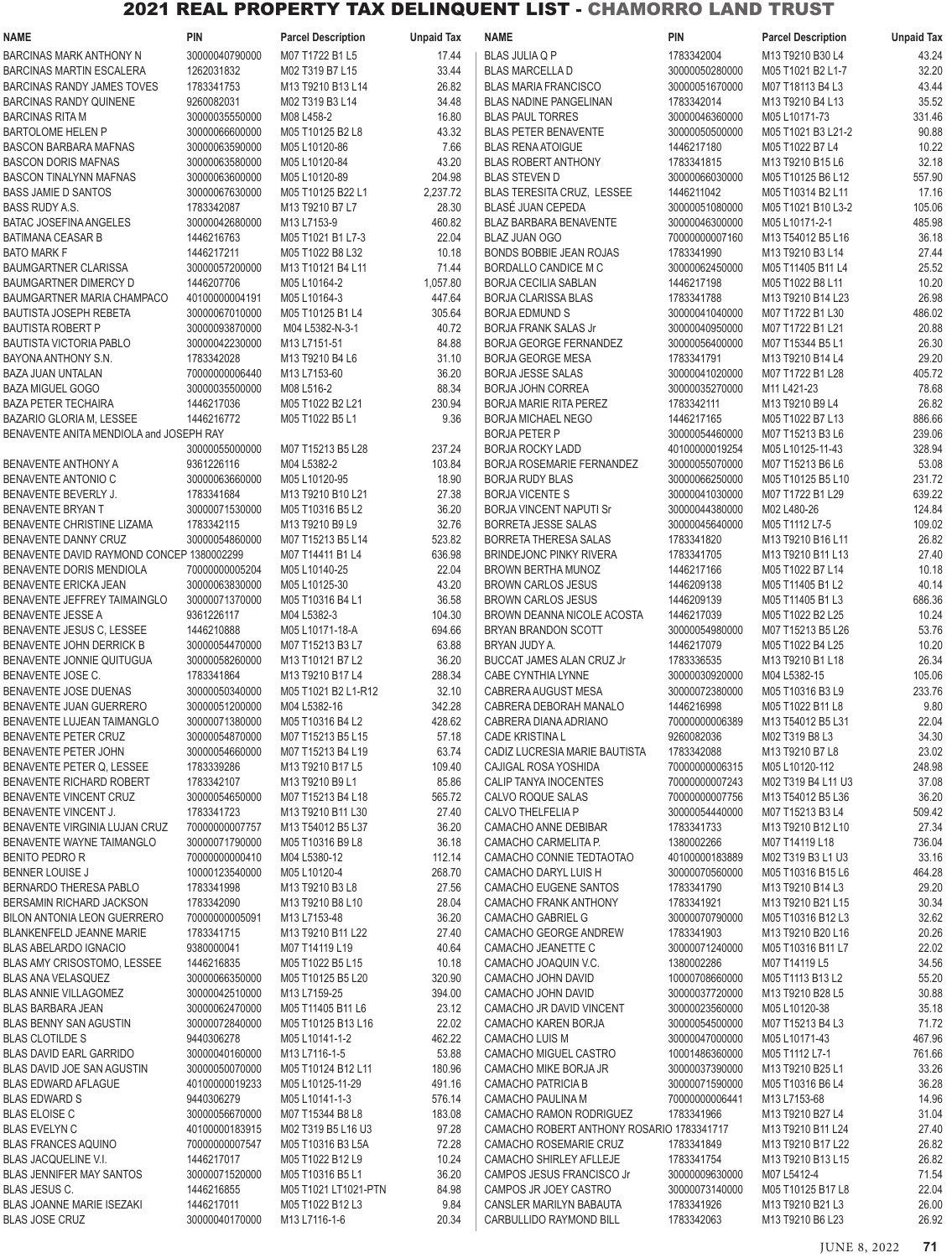# 2021 REAL PROPERTY TAX DELINQUENT LIST - CHAMORRO LAND TRUST

| NAME                                      | PIN            | <b>Parcel Description</b> | <b>Unpaid Tax</b> | <b>NAME</b>                               | PIN            | <b>Parcel Description</b> | <b>Unpaid Tax</b> |
|-------------------------------------------|----------------|---------------------------|-------------------|-------------------------------------------|----------------|---------------------------|-------------------|
| <b>BARCINAS MARK ANTHONY N</b>            | 30000040790000 | M07 T1722 B1 L5           | 17.44             | <b>BLAS JULIA Q P</b>                     | 1783342004     | M13 T9210 B30 L4          | 43.24             |
| <b>BARCINAS MARTIN ESCALERA</b>           | 1262031832     | M02 T319 B7 L15           | 33.44             | <b>BLAS MARCELLA D</b>                    | 30000050280000 | M05 T1021 B2 L1-7         | 32.20             |
| <b>BARCINAS RANDY JAMES TOVES</b>         | 1783341753     | M13 T9210 B13 L14         | 26.82             | <b>BLAS MARIA FRANCISCO</b>               | 30000051670000 | M07 T18113 B4 L3          | 43.44             |
| <b>BARCINAS RANDY QUINENE</b>             | 9260082031     | M02 T319 B3 L14           | 34.48             | <b>BLAS NADINE PANGELINAN</b>             | 1783342014     | M13 T9210 B4 L13          | 35.52             |
| <b>BARCINAS RITA M</b>                    | 30000035550000 | M08 L458-2                | 16.80             | <b>BLAS PAUL TORRES</b>                   | 30000046360000 | M05 L10171-73             | 331.46            |
| <b>BARTOLOME HELEN P</b>                  | 30000066600000 | M05 T10125 B2 L8          | 43.32             | <b>BLAS PETER BENAVENTE</b>               | 30000050500000 | M05 T1021 B3 L21-2        | 90.88             |
|                                           |                |                           |                   |                                           |                |                           |                   |
| <b>BASCON BARBARA MAFNAS</b>              | 30000063590000 | M05 L10120-86             | 7.66              | <b>BLAS RENA ATOIGUE</b>                  | 1446217180     | M05 T1022 B7 L4           | 10.22             |
| <b>BASCON DORIS MAFNAS</b>                | 30000063580000 | M05 L10120-84             | 43.20             | <b>BLAS ROBERT ANTHONY</b>                | 1783341815     | M13 T9210 B15 L6          | 32.18             |
| <b>BASCON TINALYNN MAFNAS</b>             | 30000063600000 | M05 L10120-89             | 204.98            | <b>BLAS STEVEN D</b>                      | 30000066030000 | M05 T10125 B6 L12         | 557.90            |
| <b>BASS JAMIE D SANTOS</b>                | 30000067630000 | M05 T10125 B22 L1         | 2,237.72          | BLAS TERESITA CRUZ, LESSEE                | 1446211042     | M05 T10314 B2 L11         | 17.16             |
| <b>BASS RUDY A.S.</b>                     | 1783342087     | M13 T9210 B7 L7           | 28.30             | BLASÉ JUAN CEPEDA                         | 30000051080000 | M05 T1021 B10 L3-2        | 105.06            |
| <b>BATAC JOSEFINA ANGELES</b>             | 30000042680000 | M13 L7153-9               | 460.82            | <b>BLAZ BARBARA BENAVENTE</b>             | 30000046300000 | M05 L10171-2-1            | 485.98            |
| <b>BATIMANA CEASAR B</b>                  | 1446216763     | M05 T1021 B1 L7-3         | 22.04             | <b>BLAZ JUAN OGO</b>                      | 70000000007160 | M13 T54012 B5 L16         | 36.18             |
| <b>BATO MARK F</b>                        | 1446217211     | M05 T1022 B8 L32          | 10.18             | BONDS BOBBIE JEAN ROJAS                   | 1783341990     | M13 T9210 B3 L14          | 27.44             |
| <b>BAUMGARTNER CLARISSA</b>               | 30000057200000 | M13 T10121 B4 L11         | 71.44             | BORDALLO CANDICE M C                      | 30000062450000 | M05 T11405 B11 L4         | 25.52             |
| <b>BAUMGARTNER DIMERCY D</b>              | 1446207706     | M05 L10164-2              | 1,057.80          | <b>BORJA CECILIA SABLAN</b>               | 1446217198     | M05 T1022 B8 L11          | 10.20             |
|                                           |                |                           |                   |                                           |                |                           |                   |
| BAUMGARTNER MARIA CHAMPACO                | 40100000004191 | M05 L10164-3              | 447.64            | <b>BORJA CLARISSA BLAS</b>                | 1783341788     | M13 T9210 B14 L23         | 26.98             |
| <b>BAUTISTA JOSEPH REBETA</b>             | 30000067010000 | M05 T10125 B1 L4          | 305.64            | <b>BORJA EDMUND S</b>                     | 30000041040000 | M07 T1722 B1 L30          | 486.02            |
| <b>BAUTISTA ROBERT P</b>                  | 30000093870000 | M04 L5382-N-3-1           | 40.72             | <b>BORJA FRANK SALAS Jr</b>               | 30000040950000 | M07 T1722 B1 L21          | 20.88             |
| BAUTISTA VICTORIA PABLO                   | 30000042230000 | M13 L7151-51              | 84.88             | <b>BORJA GEORGE FERNANDEZ</b>             | 30000056400000 | M07 T15344 B5 L1          | 26.30             |
| BAYONA ANTHONY S.N.                       | 1783342028     | M13 T9210 B4 L6           | 31.10             | <b>BORJA GEORGE MESA</b>                  | 1783341791     | M13 T9210 B14 L4          | 29.20             |
| <b>BAZA JUAN UNTALAN</b>                  | 70000000006440 | M13 L7153-60              | 36.20             | <b>BORJA JESSE SALAS</b>                  | 30000041020000 | M07 T1722 B1 L28          | 405.72            |
| <b>BAZA MIGUEL GOGO</b>                   | 30000035500000 | M08 L516-2                | 88.34             | <b>BORJA JOHN CORREA</b>                  | 30000035270000 | M11 L421-23               | 78.68             |
| <b>BAZA PETER TECHAIRA</b>                | 1446217036     | M05 T1022 B2 L21          | 230.94            | <b>BORJA MARIE RITA PEREZ</b>             | 1783342111     | M13 T9210 B9 L4           | 26.82             |
| BAZARIO GLORIA M, LESSEE                  | 1446216772     | M05 T1022 B5 L1           | 9.36              | <b>BORJA MICHAEL NEGO</b>                 | 1446217165     | M05 T1022 B7 L13          | 886.66            |
| BENAVENTE ANITA MENDIOLA and JOSEPH RAY   |                |                           |                   | <b>BORJA PETER P</b>                      | 30000054460000 | M07 T15213 B3 L6          | 239.06            |
|                                           | 30000055000000 | M07 T15213 B5 L28         | 237.24            | <b>BORJA ROCKY LADD</b>                   | 40100000019254 | M05 L10125-11-43          | 328.94            |
|                                           | 9361226116     | M04 L5382-2               |                   |                                           |                |                           | 53.08             |
| <b>BENAVENTE ANTHONY A</b>                |                |                           | 103.84            | <b>BORJA ROSEMARIE FERNANDEZ</b>          | 30000055070000 | M07 T15213 B6 L6          |                   |
| BENAVENTE ANTONIO C                       | 30000063660000 | M05 L10120-95             | 18.90             | <b>BORJA RUDY BLAS</b>                    | 30000066250000 | M05 T10125 B5 L10         | 231.72            |
| BENAVENTE BEVERLY J.                      | 1783341684     | M13 T9210 B10 L21         | 27.38             | <b>BORJA VICENTE S</b>                    | 30000041030000 | M07 T1722 B1 L29          | 639.22            |
| <b>BENAVENTE BRYAN T</b>                  | 30000071530000 | M05 T10316 B5 L2          | 36.20             | <b>BORJA VINCENT NAPUTI Sr</b>            | 30000044380000 | M02 L480-26               | 124.84            |
| BENAVENTE CHRISTINE LIZAMA                | 1783342115     | M13 T9210 B9 L9           | 32.76             | <b>BORRETA JESSE SALAS</b>                | 30000045640000 | M05 T1112 L7-5            | 109.02            |
| BENAVENTE DANNY CRUZ                      | 30000054860000 | M07 T15213 B5 L14         | 523.82            | <b>BORRETA THERESA SALAS</b>              | 1783341820     | M13 T9210 B16 L11         | 26.82             |
| BENAVENTE DAVID RAYMOND CONCEP 1380002299 |                | M07 T14411 B1 L4          | 636.98            | <b>BRINDEJONC PINKY RIVERA</b>            | 1783341705     | M13 T9210 B11 L13         | 27.40             |
| BENAVENTE DORIS MENDIOLA                  | 70000000005204 | M05 L10140-25             | 22.04             | <b>BROWN BERTHA MUNOZ</b>                 | 1446217166     | M05 T1022 B7 L14          | 10.18             |
| BENAVENTE ERICKA JEAN                     | 30000063830000 | M05 L10125-30             | 43.20             | <b>BROWN CARLOS JESUS</b>                 | 1446209138     | M05 T11405 B1 L2          | 40.14             |
| BENAVENTE JEFFREY TAIMAINGLO              | 30000071370000 | M05 T10316 B4 L1          | 36.58             | <b>BROWN CARLOS JESUS</b>                 | 1446209139     | M05 T11405 B1 L3          | 686.36            |
| <b>BENAVENTE JESSE A</b>                  | 9361226117     | M04 L5382-3               | 104.30            | <b>BROWN DEANNA NICOLE ACOSTA</b>         | 1446217039     | M05 T1022 B2 L25          | 10.24             |
| BENAVENTE JESUS C, LESSEE                 | 1446210888     | M05 L10171-18-A           | 694.66            | BRYAN BRANDON SCOTT                       | 30000054980000 | M07 T15213 B5 L26         | 53.76             |
| BENAVENTE JOHN DERRICK B                  | 30000054470000 | M07 T15213 B3 L7          | 63.88             | BRYAN JUDY A.                             | 1446217079     | M05 T1022 B4 L25          | 10.20             |
|                                           |                |                           |                   |                                           |                |                           |                   |
| BENAVENTE JONNIE QUITUGUA                 | 30000058260000 | M13 T10121 B7 L2          | 36.20             | <b>BUCCAT JAMES ALAN CRUZ Jr</b>          | 1783336535     | M13 T9210 B1 L18          | 26.34             |
| BENAVENTE JOSE C.                         | 1783341864     | M13 T9210 B17 L4          | 288.34            | CABE CYNTHIA LYNNE                        | 30000030920000 | M04 L5382-15              | 105.06            |
| BENAVENTE JOSE DUENAS                     | 30000050340000 | M05 T1021 B2 L1-R12       | 32.10             | CABRERA AUGUST MESA                       | 30000072380000 | M05 T10316 B3 L9          | 233.76            |
| BENAVENTE JUAN GUERRERO                   | 30000051200000 | M04 L5382-16              | 342.28            | CABRERA DEBORAH MANALO                    | 1446216998     | M05 T1022 B11 L8          | 9.80              |
| BENAVENTE LUJEAN TAIMANGLO                | 30000071380000 | M05 T10316 B4 L2          | 428.62            | CABRERA DIANA ADRIANO                     | 70000000006389 | M13 T54012 B5 L31         | 22.04             |
| BENAVENTE PETER CRUZ                      | 30000054870000 | M07 T15213 B5 L15         | 57.18             | <b>CADE KRISTINA L</b>                    | 9260082036     | M02 T319 B8 L3            | 34.30             |
| BENAVENTE PETER JOHN                      | 30000054660000 | M07 T15213 B4 L19         | 63.74             | CADIZ LUCRESIA MARIE BAUTISTA             | 1783342088     | M13 T9210 B7 L8           | 23.02             |
| BENAVENTE PETER Q, LESSEE                 | 1783339286     | M13 T9210 B17 L5          | 109.40            | CAJIGAL ROSA YOSHIDA                      | 70000000006315 | M05 L10120-112            | 248.98            |
| BENAVENTE RICHARD ROBERT                  | 1783342107     | M13 T9210 B9 L1           | 85.86             | CALIP TANYA INOCENTES                     | 70000000007243 | M02 T319 B4 L11 U3        | 37.08             |
| BENAVENTE VINCENT CRUZ                    | 30000054650000 | M07 T15213 B4 L18         | 565.72            | CALVO ROQUE SALAS                         | 70000000007756 | M13 T54012 B5 L36         | 36.20             |
| BENAVENTE VINCENT J.                      | 1783341723     | M13 T9210 B11 L30         | 27.40             | CALVO THELFELIA P                         | 30000054440000 | M07 T15213 B3 L4          | 509.42            |
| BENAVENTE VIRGINIA LUJAN CRUZ             | 70000000007757 | M13 T54012 B5 L37         | 36.20             | CAMACHO ANNE DEBIBAR                      | 1783341733     | M13 T9210 B12 L10         | 27.34             |
| BENAVENTE WAYNE TAIMANGLO                 | 30000071790000 | M05 T10316 B9 L8          | 36.18             | CAMACHO CARMELITA P.                      | 1380002266     | M07 T14119 L18            | 736.04            |
|                                           |                |                           |                   |                                           |                |                           |                   |
| <b>BENITO PEDRO R</b>                     | 70000000000410 | M04 L5380-12              | 112.14            | CAMACHO CONNIE TEDTAOTAO                  | 40100000183889 | M02 T319 B3 L1 U3         | 33.16             |
| <b>BENNER LOUISE J</b>                    | 10000123540000 | M05 L10120-4              | 268.70            | CAMACHO DARYL LUIS H                      | 30000070560000 | M05 T10316 B15 L6         | 464.28            |
| BERNARDO THERESA PABLO                    | 1783341998     | M13 T9210 B3 L8           | 27.56             | CAMACHO EUGENE SANTOS                     | 1783341790     | M13 T9210 B14 L3          | 29.20             |
| BERSAMIN RICHARD JACKSON                  | 1783342090     | M13 T9210 B8 L10          | 28.04             | CAMACHO FRANK ANTHONY                     | 1783341921     | M13 T9210 B21 L15         | 30.34             |
| BILON ANTONIA LEON GUERRERO               | 70000000005091 | M13 L7153-48              | 36.20             | CAMACHO GABRIEL G                         | 30000070790000 | M05 T10316 B12 L3         | 32.62             |
| BLANKENFELD JEANNE MARIE                  | 1783341715     | M13 T9210 B11 L22         | 27.40             | CAMACHO GEORGE ANDREW                     | 1783341903     | M13 T9210 B20 L16         | 20.26             |
| BLAS ABELARDO IGNACIO                     | 9380000041     | M07 T14119 L19            | 40.64             | CAMACHO JEANETTE C                        | 30000071240000 | M05 T10316 B11 L7         | 22.02             |
| <b>BLAS AMY CRISOSTOMO, LESSEE</b>        | 1446216835     | M05 T1022 B5 L15          | 10.18             | CAMACHO JOAQUIN V.C.                      | 1380002286     | M07 T14119 L5             | 34.56             |
| <b>BLAS ANA VELASQUEZ</b>                 | 30000066350000 | M05 T10125 B5 L20         | 320.90            | CAMACHO JOHN DAVID                        | 10000708660000 | M05 T1113 B13 L2          | 55.20             |
| <b>BLAS ANNIE VILLAGOMEZ</b>              | 30000042510000 | M13 L7159-25              | 394.00            | CAMACHO JOHN DAVID                        | 30000037720000 | M13 T9210 B28 L5          | 30.88             |
| <b>BLAS BARBARA JEAN</b>                  | 30000062470000 | M05 T11405 B11 L6         | 23.12             | CAMACHO JR DAVID VINCENT                  | 30000023560000 | M05 L10120-38             | 35.18             |
| <b>BLAS BENNY SAN AGUSTIN</b>             | 30000072840000 | M05 T10125 B13 L16        | 22.02             | CAMACHO KAREN BORJA                       | 30000054500000 | M07 T15213 B4 L3          | 71.72             |
| <b>BLAS CLOTILDE S</b>                    | 9440306278     | M05 L10141-1-2            | 462.22            | CAMACHO LUIS M                            | 30000047000000 | M05 L10171-43             | 467.96            |
|                                           |                |                           |                   |                                           |                |                           |                   |
| <b>BLAS DAVID EARL GARRIDO</b>            | 30000040160000 | M13 L7116-1-5             | 53.88             | CAMACHO MIGUEL CASTRO                     | 10001486360000 | M05 T1112 L7-1            | 761.66            |
| BLAS DAVID JOE SAN AGUSTIN                | 30000050070000 | M05 T10124 B12 L11        | 180.96            | CAMACHO MIKE BORJA JR                     | 30000037390000 | M13 T9210 B25 L1          | 33.26             |
| <b>BLAS EDWARD AFLAGUE</b>                | 40100000019233 | M05 L10125-11-29          | 491.16            | CAMACHO PATRICIA B                        | 30000071590000 | M05 T10316 B6 L4          | 36.28             |
| <b>BLAS EDWARD S</b>                      | 9440306279     | M05 L10141-1-3            | 576.14            | CAMACHO PAULINA M                         | 70000000006441 | M13 L7153-68              | 14.96             |
| <b>BLAS ELOISE C</b>                      | 30000056670000 | M07 T15344 B8 L8          | 183.08            | CAMACHO RAMON RODRIGUEZ                   | 1783341966     | M13 T9210 B27 L4          | 31.04             |
| <b>BLAS EVELYN C</b>                      | 40100000183915 | M02 T319 B5 L16 U3        | 97.28             | CAMACHO ROBERT ANTHONY ROSARIO 1783341717 |                | M13 T9210 B11 L24         | 27.40             |
| <b>BLAS FRANCES AQUINO</b>                | 70000000007547 | M05 T10316 B3 L5A         | 72.28             | CAMACHO ROSEMARIE CRUZ                    | 1783341849     | M13 T9210 B17 L22         | 26.82             |
| BLAS JACQUELINE V.I.                      | 1446217017     | M05 T1022 B12 L9          | 10.24             | CAMACHO SHIRLEY AFLLEJE                   | 1783341754     | M13 T9210 B13 L15         | 26.82             |
| <b>BLAS JENNIFER MAY SANTOS</b>           | 30000071520000 | M05 T10316 B5 L1          | 36.20             | CAMPOS JESUS FRANCISCO Jr                 | 30000009630000 | M07 L5412-4               | 71.54             |
| BLAS JESUS C.                             | 1446216855     | M05 T1021 LT1021-PTN      | 84.98             | CAMPOS JR JOEY CASTRO                     | 30000073140000 | M05 T10125 B17 L8         | 22.04             |
| <b>BLAS JOANNE MARIE ISEZAKI</b>          | 1446217011     | M05 T1022 B12 L3          | 9.84              | CANSLER MARILYN BABAUTA                   | 1783341926     | M13 T9210 B21 L3          | 26.00             |
| <b>BLAS JOSE CRUZ</b>                     | 30000040170000 | M13 L7116-1-6             | 20.34             | CARBULLIDO RAYMOND BILL                   | 1783342063     | M13 T9210 B6 L23          | 26.92             |
|                                           |                |                           |                   |                                           |                |                           |                   |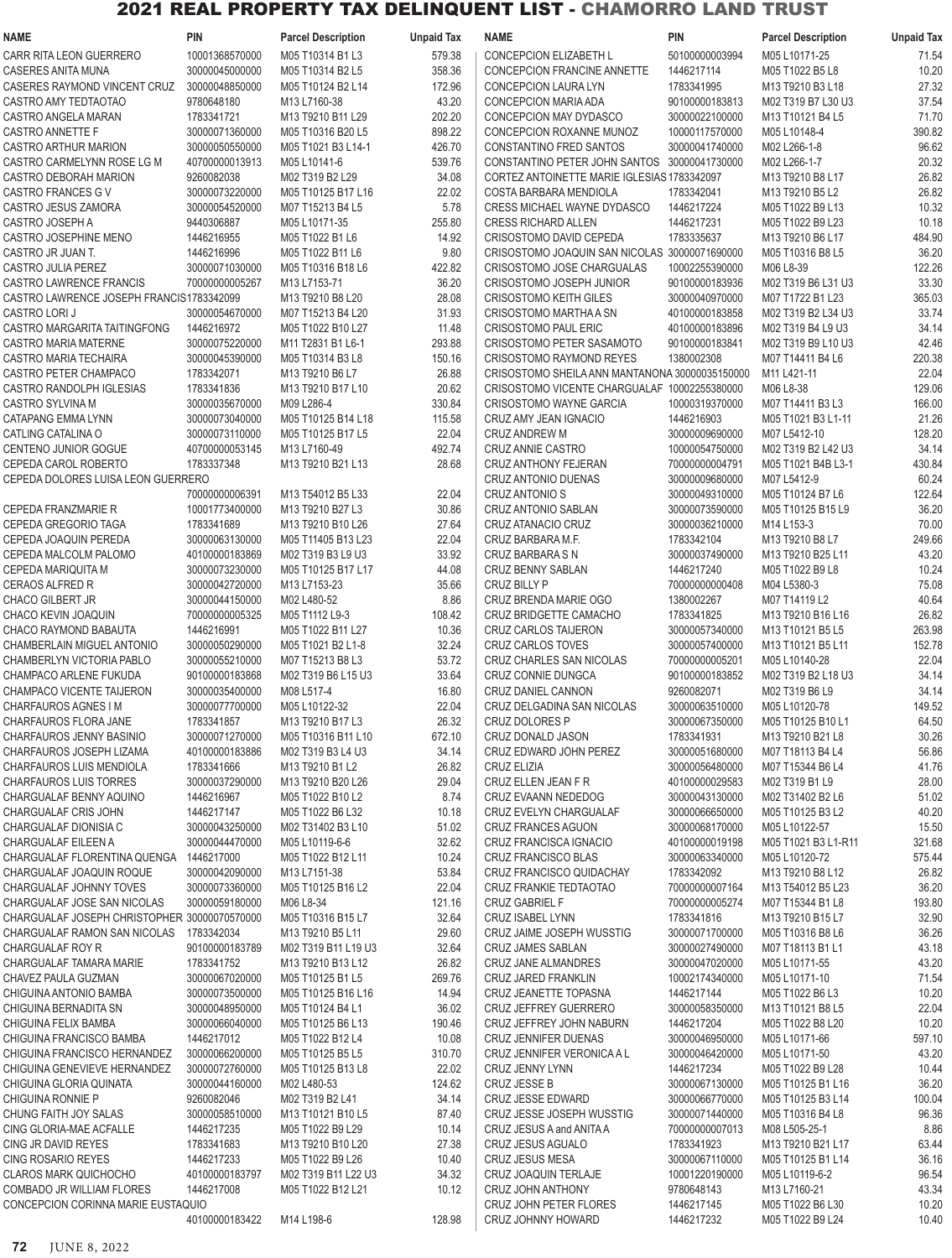# 2021 REAL PROPERTY TAX DELINQUENT LIST - CHAMORRO LAND TRUST

| NAME                                         | PIN            | <b>Parcel Description</b> | <b>Unpaid Tax</b> | <b>NAME</b>                                    | PIN            | <b>Parcel Description</b> | <b>Unpaid Tax</b> |
|----------------------------------------------|----------------|---------------------------|-------------------|------------------------------------------------|----------------|---------------------------|-------------------|
| CARR RITA LEON GUERRERO                      | 10001368570000 | M05 T10314 B1 L3          | 579.38            | <b>CONCEPCION ELIZABETH L</b>                  | 50100000003994 | M05 L10171-25             | 71.54             |
| CASERES ANITA MUNA                           | 30000045000000 | M05 T10314 B2 L5          | 358.36            | CONCEPCION FRANCINE ANNETTE                    | 1446217114     | M05 T1022 B5 L8           | 10.20             |
| CASERES RAYMOND VINCENT CRUZ                 | 30000048850000 | M05 T10124 B2 L14         | 172.96            | CONCEPCION LAURA LYN                           | 1783341995     | M13 T9210 B3 L18          | 27.32             |
| CASTRO AMY TEDTAOTAO                         | 9780648180     | M13 L7160-38              | 43.20             | CONCEPCION MARIA ADA                           | 90100000183813 | M02 T319 B7 L30 U3        | 37.54             |
| CASTRO ANGELA MARAN                          | 1783341721     | M13 T9210 B11 L29         | 202.20            | CONCEPCION MAY DYDASCO                         | 30000022100000 | M13 T10121 B4 L5          | 71.70             |
| CASTRO ANNETTE F                             | 30000071360000 | M05 T10316 B20 L5         | 898.22            | CONCEPCION ROXANNE MUNOZ                       | 10000117570000 | M05 L10148-4              | 390.82            |
|                                              |                |                           |                   |                                                |                |                           |                   |
| CASTRO ARTHUR MARION                         | 30000050550000 | M05 T1021 B3 L14-1        | 426.70            | CONSTANTINO FRED SANTOS                        | 30000041740000 | M02 L266-1-8              | 96.62             |
| CASTRO CARMELYNN ROSE LG M                   | 40700000013913 | M05 L10141-6              | 539.76            | CONSTANTINO PETER JOHN SANTOS 30000041730000   |                | M02 L266-1-7              | 20.32             |
| CASTRO DEBORAH MARION                        | 9260082038     | M02 T319 B2 L29           | 34.08             | CORTEZ ANTOINETTE MARIE IGLESIAS 1783342097    |                | M13 T9210 B8 L17          | 26.82             |
| CASTRO FRANCES G V                           | 30000073220000 | M05 T10125 B17 L16        | 22.02             | COSTA BARBARA MENDIOLA                         | 1783342041     | M13 T9210 B5 L2           | 26.82             |
| CASTRO JESUS ZAMORA                          | 30000054520000 | M07 T15213 B4 L5          | 5.78              | <b>CRESS MICHAEL WAYNE DYDASCO</b>             | 1446217224     | M05 T1022 B9 L13          | 10.32             |
| CASTRO JOSEPH A                              | 9440306887     | M05 L10171-35             | 255.80            | <b>CRESS RICHARD ALLEN</b>                     | 1446217231     | M05 T1022 B9 L23          | 10.18             |
| CASTRO JOSEPHINE MENO                        | 1446216955     | M05 T1022 B1 L6           | 14.92             | CRISOSTOMO DAVID CEPEDA                        | 1783335637     | M13 T9210 B6 L17          | 484.90            |
| CASTRO JR JUAN T.                            | 1446216996     | M05 T1022 B11 L6          | 9.80              | CRISOSTOMO JOAQUIN SAN NICOLAS 30000071690000  |                | M05 T10316 B8 L5          | 36.20             |
| CASTRO JULIA PEREZ                           | 30000071030000 | M05 T10316 B18 L6         | 422.82            | CRISOSTOMO JOSE CHARGUALAS                     | 10002255390000 | M06 L8-39                 | 122.26            |
| CASTRO LAWRENCE FRANCIS                      | 70000000005267 | M13 L7153-71              | 36.20             | CRISOSTOMO JOSEPH JUNIOR                       | 90100000183936 | M02 T319 B6 L31 U3        | 33.30             |
| CASTRO LAWRENCE JOSEPH FRANCIS1783342099     |                | M13 T9210 B8 L20          | 28.08             | <b>CRISOSTOMO KEITH GILES</b>                  | 30000040970000 | M07 T1722 B1 L23          | 365.03            |
| CASTRO LORI J                                | 30000054670000 | M07 T15213 B4 L20         | 31.93             | CRISOSTOMO MARTHA A SN                         | 40100000183858 | M02 T319 B2 L34 U3        | 33.74             |
| CASTRO MARGARITA TAITINGFONG                 | 1446216972     | M05 T1022 B10 L27         | 11.48             | <b>CRISOSTOMO PAUL ERIC</b>                    | 40100000183896 | M02 T319 B4 L9 U3         | 34.14             |
| CASTRO MARIA MATERNE                         | 30000075220000 | M11 T2831 B1 L6-1         | 293.88            | CRISOSTOMO PETER SASAMOTO                      | 90100000183841 | M02 T319 B9 L10 U3        | 42.46             |
| CASTRO MARIA TECHAIRA                        | 30000045390000 | M05 T10314 B3 L8          |                   | <b>CRISOSTOMO RAYMOND REYES</b>                | 1380002308     | M07 T14411 B4 L6          |                   |
|                                              |                |                           | 150.16            |                                                |                |                           | 220.38            |
| CASTRO PETER CHAMPACO                        | 1783342071     | M13 T9210 B6 L7           | 26.88             | CRISOSTOMO SHEILA ANN MANTANONA 30000035150000 |                | M11 L421-11               | 22.04             |
| CASTRO RANDOLPH IGLESIAS                     | 1783341836     | M13 T9210 B17 L10         | 20.62             | CRISOSTOMO VICENTE CHARGUALAF 10002255380000   |                | M06 L8-38                 | 129.06            |
| CASTRO SYLVINA M                             | 30000035670000 | M09 L286-4                | 330.84            | CRISOSTOMO WAYNE GARCIA                        | 10000319370000 | M07 T14411 B3 L3          | 166.00            |
| CATAPANG EMMA LYNN                           | 30000073040000 | M05 T10125 B14 L18        | 115.58            | CRUZ AMY JEAN IGNACIO                          | 1446216903     | M05 T1021 B3 L1-11        | 21.26             |
| CATLING CATALINA O                           | 30000073110000 | M05 T10125 B17 L5         | 22.04             | CRUZ ANDREW M                                  | 30000009690000 | M07 L5412-10              | 128.20            |
| <b>CENTENO JUNIOR GOGUE</b>                  | 40700000053145 | M13 L7160-49              | 492.74            | <b>CRUZ ANNIE CASTRO</b>                       | 10000054750000 | M02 T319 B2 L42 U3        | 34.14             |
| CEPEDA CAROL ROBERTO                         | 1783337348     | M13 T9210 B21 L13         | 28.68             | CRUZ ANTHONY FEJERAN                           | 70000000004791 | M05 T1021 B4B L3-1        | 430.84            |
| CEPEDA DOLORES LUISA LEON GUERRERO           |                |                           |                   | CRUZ ANTONIO DUENAS                            | 30000009680000 | M07 L5412-9               | 60.24             |
|                                              | 70000000006391 | M13 T54012 B5 L33         | 22.04             | CRUZ ANTONIO S                                 | 30000049310000 | M05 T10124 B7 L6          | 122.64            |
| CEPEDA FRANZMARIE R                          | 10001773400000 | M13 T9210 B27 L3          | 30.86             | CRUZ ANTONIO SABLAN                            | 30000073590000 | M05 T10125 B15 L9         | 36.20             |
| CEPEDA GREGORIO TAGA                         | 1783341689     | M13 T9210 B10 L26         | 27.64             | CRUZ ATANACIO CRUZ                             | 30000036210000 | M14 L153-3                | 70.00             |
| CEPEDA JOAQUIN PEREDA                        | 30000063130000 | M05 T11405 B13 L23        | 22.04             | CRUZ BARBARA M.F.                              | 1783342104     | M13 T9210 B8 L7           | 249.66            |
|                                              |                |                           | 33.92             |                                                |                |                           | 43.20             |
| CEPEDA MALCOLM PALOMO                        | 40100000183869 | M02 T319 B3 L9 U3         |                   | CRUZ BARBARA S N                               | 30000037490000 | M13 T9210 B25 L11         |                   |
| CEPEDA MARIQUITA M                           | 30000073230000 | M05 T10125 B17 L17        | 44.08             | CRUZ BENNY SABLAN                              | 1446217240     | M05 T1022 B9 L8           | 10.24             |
| CERAOS ALFRED R                              | 30000042720000 | M13 L7153-23              | 35.66             | CRUZ BILLY P                                   | 70000000000408 | M04 L5380-3               | 75.08             |
| CHACO GILBERT JR                             | 30000044150000 | M02 L480-52               | 8.86              | CRUZ BRENDA MARIE OGO                          | 1380002267     | M07 T14119 L2             | 40.64             |
| CHACO KEVIN JOAQUIN                          | 70000000005325 | M05 T1112 L9-3            | 108.42            | CRUZ BRIDGETTE CAMACHO                         | 1783341825     | M13 T9210 B16 L16         | 26.82             |
| CHACO RAYMOND BABAUTA                        | 1446216991     | M05 T1022 B11 L27         | 10.36             | <b>CRUZ CARLOS TAIJERON</b>                    | 30000057340000 | M13 T10121 B5 L5          | 263.98            |
| CHAMBERLAIN MIGUEL ANTONIO                   | 30000050290000 | M05 T1021 B2 L1-8         | 32.24             | CRUZ CARLOS TOVES                              | 30000057400000 | M13 T10121 B5 L11         | 152.78            |
| CHAMBERLYN VICTORIA PABLO                    | 30000055210000 | M07 T15213 B8 L3          | 53.72             | <b>CRUZ CHARLES SAN NICOLAS</b>                | 70000000005201 | M05 L10140-28             | 22.04             |
| CHAMPACO ARLENE FUKUDA                       | 90100000183868 | M02 T319 B6 L15 U3        | 33.64             | CRUZ CONNIE DUNGCA                             | 90100000183852 | M02 T319 B2 L18 U3        | 34.14             |
| CHAMPACO VICENTE TAIJERON                    | 30000035400000 | M08 L517-4                | 16.80             | CRUZ DANIEL CANNON                             | 9260082071     | M02 T319 B6 L9            | 34.14             |
| CHARFAUROS AGNES I M                         | 30000077700000 | M05 L10122-32             | 22.04             | CRUZ DELGADINA SAN NICOLAS                     | 30000063510000 | M05 L10120-78             | 149.52            |
| CHARFAUROS FLORA JANE                        | 1783341857     | M13 T9210 B17 L3          | 26.32             | CRUZ DOLORES P                                 | 30000067350000 | M05 T10125 B10 L1         | 64.50             |
| CHARFAUROS JENNY BASINIO                     | 30000071270000 | M05 T10316 B11 L10        | 672.10            | CRUZ DONALD JASON                              | 1783341931     | M13 T9210 B21 L8          | 30.26             |
| CHARFAUROS JOSEPH LIZAMA                     | 40100000183886 | M02 T319 B3 L4 U3         | 34.14             | CRUZ EDWARD JOHN PEREZ                         | 30000051680000 | M07 T18113 B4 L4          | 56.86             |
| CHARFAUROS LUIS MENDIOLA                     |                | M13 T9210 B1 L2           |                   |                                                |                |                           | 41.76             |
|                                              | 1783341666     |                           | 26.82             | CRUZ ELIZIA                                    | 30000056480000 | M07 T15344 B6 L4          |                   |
| <b>CHARFAUROS LUIS TORRES</b>                | 30000037290000 | M13 T9210 B20 L26         | 29.04             | CRUZ ELLEN JEAN F R                            | 40100000029583 | M02 T319 B1 L9            | 28.00             |
| CHARGUALAF BENNY AQUINO                      | 1446216967     | M05 T1022 B10 L2          | 8.74              | CRUZ EVAANN NEDEDOG                            | 30000043130000 | M02 T31402 B2 L6          | 51.02             |
| CHARGUALAF CRIS JOHN                         | 1446217147     | M05 T1022 B6 L32          | 10.18             | CRUZ EVELYN CHARGUALAF                         | 30000066650000 | M05 T10125 B3 L2          | 40.20             |
| CHARGUALAF DIONISIA C                        | 30000043250000 | M02 T31402 B3 L10         | 51.02             | CRUZ FRANCES AGUON                             | 30000068170000 | M05 L10122-57             | 15.50             |
| <b>CHARGUALAF EILEEN A</b>                   | 30000044470000 | M05 L10119-6-6            | 32.62             | CRUZ FRANCISCA IGNACIO                         | 40100000019198 | M05 T1021 B3 L1-R11       | 321.68            |
| CHARGUALAF FLORENTINA QUENGA 1446217000      |                | M05 T1022 B12 L11         | 10.24             | CRUZ FRANCISCO BLAS                            | 30000063340000 | M05 L10120-72             | 575.44            |
| CHARGUALAF JOAQUIN ROQUE                     | 30000042090000 | M13 L7151-38              | 53.84             | CRUZ FRANCISCO QUIDACHAY                       | 1783342092     | M13 T9210 B8 L12          | 26.82             |
| CHARGUALAF JOHNNY TOVES                      | 30000073360000 | M05 T10125 B16 L2         | 22.04             | CRUZ FRANKIE TEDTAOTAO                         | 70000000007164 | M13 T54012 B5 L23         | 36.20             |
| CHARGUALAF JOSE SAN NICOLAS                  | 30000059180000 | M06 L8-34                 | 121.16            | CRUZ GABRIEL F                                 | 70000000005274 | M07 T15344 B1 L8          | 193.80            |
| CHARGUALAF JOSEPH CHRISTOPHER 30000070570000 |                | M05 T10316 B15 L7         | 32.64             | CRUZ ISABEL LYNN                               | 1783341816     | M13 T9210 B15 L7          | 32.90             |
| CHARGUALAF RAMON SAN NICOLAS 1783342034      |                | M13 T9210 B5 L11          | 29.60             | CRUZ JAIME JOSEPH WUSSTIG                      | 30000071700000 | M05 T10316 B8 L6          | 36.26             |
| CHARGUALAF ROY R                             | 90100000183789 | M02 T319 B11 L19 U3       | 32.64             | CRUZ JAMES SABLAN                              | 30000027490000 | M07 T18113 B1 L1          | 43.18             |
| CHARGUALAF TAMARA MARIE                      | 1783341752     | M13 T9210 B13 L12         | 26.82             | CRUZ JANE ALMANDRES                            | 30000047020000 | M05 L10171-55             | 43.20             |
|                                              |                |                           |                   |                                                |                |                           |                   |
| CHAVEZ PAULA GUZMAN                          | 30000067020000 | M05 T10125 B1 L5          | 269.76            | CRUZ JARED FRANKLIN                            | 10002174340000 | M05 L10171-10             | 71.54             |
| CHIGUINA ANTONIO BAMBA                       | 30000073500000 | M05 T10125 B16 L16        | 14.94             | CRUZ JEANETTE TOPASNA                          | 1446217144     | M05 T1022 B6 L3           | 10.20             |
| CHIGUINA BERNADITA SN                        | 30000048950000 | M05 T10124 B4 L1          | 36.02             | CRUZ JEFFREY GUERRERO                          | 30000058350000 | M13 T10121 B8 L5          | 22.04             |
| CHIGUINA FELIX BAMBA                         | 30000066040000 | M05 T10125 B6 L13         | 190.46            | CRUZ JEFFREY JOHN NABURN                       | 1446217204     | M05 T1022 B8 L20          | 10.20             |
| CHIGUINA FRANCISCO BAMBA                     | 1446217012     | M05 T1022 B12 L4          | 10.08             | CRUZ JENNIFER DUENAS                           | 30000046950000 | M05 L10171-66             | 597.10            |
| CHIGUINA FRANCISCO HERNANDEZ                 | 30000066200000 | M05 T10125 B5 L5          | 310.70            | CRUZ JENNIFER VERONICA A L                     | 30000046420000 | M05 L10171-50             | 43.20             |
| CHIGUINA GENEVIEVE HERNANDEZ                 | 30000072760000 | M05 T10125 B13 L8         | 22.02             | <b>CRUZ JENNY LYNN</b>                         | 1446217234     | M05 T1022 B9 L28          | 10.44             |
| CHIGUINA GLORIA QUINATA                      | 30000044160000 | M02 L480-53               | 124.62            | <b>CRUZ JESSE B</b>                            | 30000067130000 | M05 T10125 B1 L16         | 36.20             |
| CHIGUINA RONNIE P                            | 9260082046     | M02 T319 B2 L41           | 34.14             | CRUZ JESSE EDWARD                              | 30000066770000 | M05 T10125 B3 L14         | 100.04            |
| CHUNG FAITH JOY SALAS                        | 30000058510000 | M13 T10121 B10 L5         | 87.40             | CRUZ JESSE JOSEPH WUSSTIG                      | 30000071440000 | M05 T10316 B4 L8          | 96.36             |
| CING GLORIA-MAE ACFALLE                      | 1446217235     | M05 T1022 B9 L29          | 10.14             | CRUZ JESUS A and ANITA A                       | 70000000007013 | M08 L505-25-1             | 8.86              |
| CING JR DAVID REYES                          | 1783341683     | M13 T9210 B10 L20         | 27.38             | CRUZ JESUS AGUALO                              | 1783341923     | M13 T9210 B21 L17         | 63.44             |
| <b>CING ROSARIO REYES</b>                    | 1446217233     | M05 T1022 B9 L26          | 10.40             | CRUZ JESUS MESA                                | 30000067110000 | M05 T10125 B1 L14         | 36.16             |
| <b>CLAROS MARK QUICHOCHO</b>                 | 40100000183797 | M02 T319 B11 L22 U3       | 34.32             | CRUZ JOAQUIN TERLAJE                           | 10001220190000 | M05 L10119-6-2            | 96.54             |
| COMBADO JR WILLIAM FLORES                    |                | M05 T1022 B12 L21         |                   |                                                |                | M13 L7160-21              |                   |
| CONCEPCION CORINNA MARIE EUSTAQUIO           | 1446217008     |                           | 10.12             | CRUZ JOHN ANTHONY                              | 9780648143     |                           | 43.34             |
|                                              |                |                           |                   | CRUZ JOHN PETER FLORES                         | 1446217145     | M05 T1022 B6 L30          | 10.20             |
|                                              | 40100000183422 | M14 L198-6                | 128.98            | CRUZ JOHNNY HOWARD                             | 1446217232     | M05 T1022 B9 L24          | 10.40             |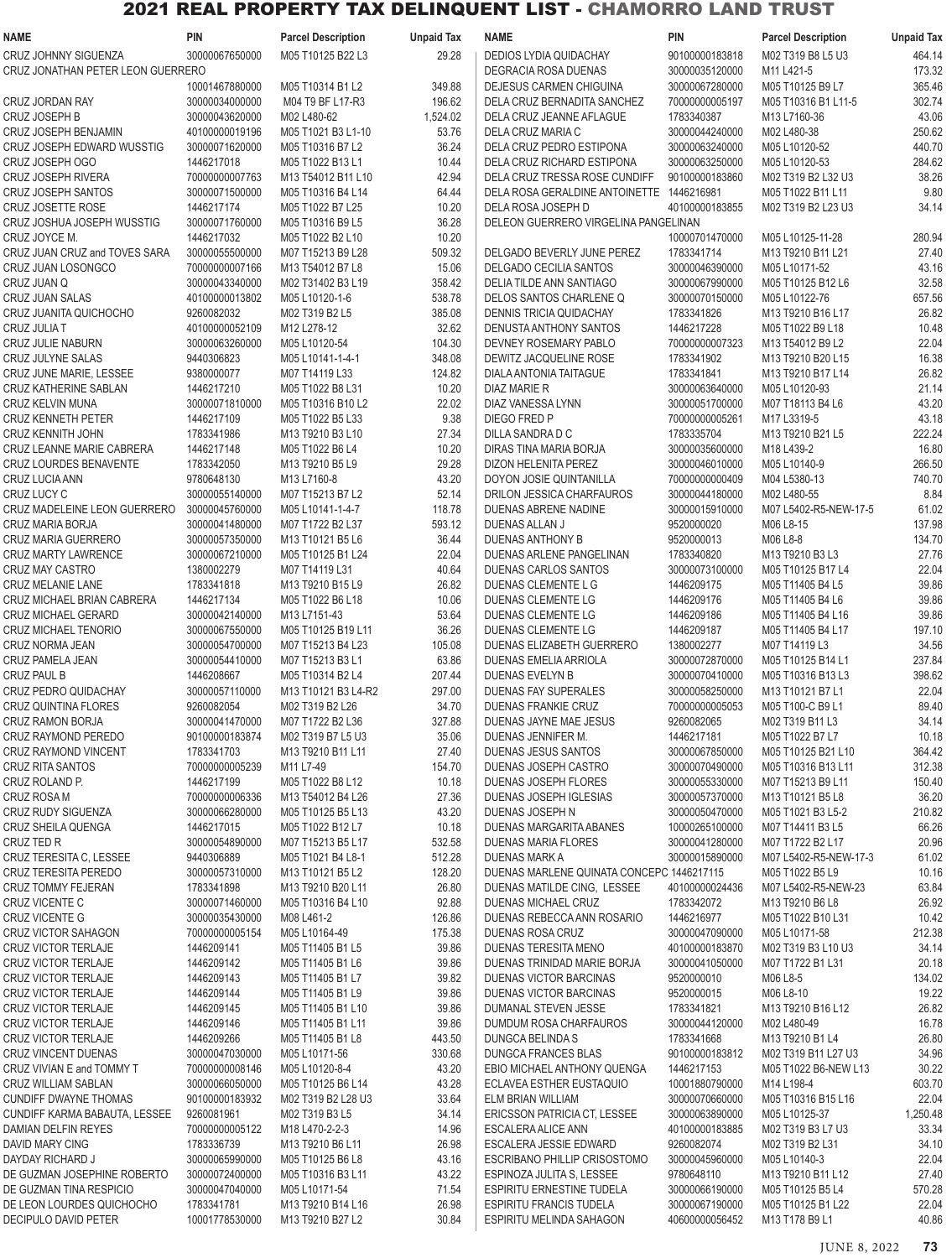| <b>NAME</b>                       | PIN            | <b>Parcel Description</b>              | <b>Unpaid Tax</b> | NAME                                      | PIN            | <b>Parcel Description</b>             | <b>Unpaid Tax</b> |
|-----------------------------------|----------------|----------------------------------------|-------------------|-------------------------------------------|----------------|---------------------------------------|-------------------|
| CRUZ JOHNNY SIGUENZA              | 30000067650000 | M05 T10125 B22 L3                      | 29.28             | <b>DEDIOS LYDIA QUIDACHAY</b>             | 90100000183818 | M02 T319 B8 L5 U3                     | 464.14            |
| CRUZ JONATHAN PETER LEON GUERRERO |                |                                        |                   | DEGRACIA ROSA DUENAS                      | 30000035120000 | M11 L421-5                            | 173.32            |
|                                   | 10001467880000 | M05 T10314 B1 L2                       | 349.88            | DEJESUS CARMEN CHIGUINA                   | 30000067280000 | M05 T10125 B9 L7                      | 365.46            |
| CRUZ JORDAN RAY                   | 30000034000000 | M04 T9 BF L17-R3                       | 196.62            | DELA CRUZ BERNADITA SANCHEZ               | 70000000005197 | M05 T10316 B1 L11-5                   | 302.74            |
| <b>CRUZ JOSEPH B</b>              | 30000043620000 | M02 L480-62                            | 1,524.02          | DELA CRUZ JEANNE AFLAGUE                  | 1783340387     | M13 L7160-36                          | 43.06             |
|                                   | 40100000019196 |                                        |                   |                                           | 30000044240000 | M02 L480-38                           |                   |
| CRUZ JOSEPH BENJAMIN              |                | M05 T1021 B3 L1-10<br>M05 T10316 B7 L2 | 53.76             | DELA CRUZ MARIA C                         |                | M05 L10120-52                         | 250.62            |
| CRUZ JOSEPH EDWARD WUSSTIG        | 30000071620000 |                                        | 36.24             | DELA CRUZ PEDRO ESTIPONA                  | 30000063240000 |                                       | 440.70            |
| CRUZ JOSEPH OGO                   | 1446217018     | M05 T1022 B13 L1                       | 10.44             | DELA CRUZ RICHARD ESTIPONA                | 30000063250000 | M05 L10120-53                         | 284.62            |
| <b>CRUZ JOSEPH RIVERA</b>         | 70000000007763 | M13 T54012 B11 L10                     | 42.94             | DELA CRUZ TRESSA ROSE CUNDIFF             | 90100000183860 | M02 T319 B2 L32 U3                    | 38.26             |
| CRUZ JOSEPH SANTOS                | 30000071500000 | M05 T10316 B4 L14                      | 64.44             | DELA ROSA GERALDINE ANTOINETTE 1446216981 |                | M05 T1022 B11 L11                     | 9.80              |
| <b>CRUZ JOSETTE ROSE</b>          | 1446217174     | M05 T1022 B7 L25                       | 10.20             | DELA ROSA JOSEPH D                        | 40100000183855 | M02 T319 B2 L23 U3                    | 34.14             |
| CRUZ JOSHUA JOSEPH WUSSTIG        | 30000071760000 | M05 T10316 B9 L5                       | 36.28             | DELEON GUERRERO VIRGELINA PANGELINAN      |                |                                       |                   |
| CRUZ JOYCE M.                     | 1446217032     | M05 T1022 B2 L10                       | 10.20             |                                           | 10000701470000 | M05 L10125-11-28                      | 280.94            |
| CRUZ JUAN CRUZ and TOVES SARA     | 30000055500000 | M07 T15213 B9 L28                      | 509.32            | DELGADO BEVERLY JUNE PEREZ                | 1783341714     | M13 T9210 B11 L21                     | 27.40             |
| CRUZ JUAN LOSONGCO                | 70000000007166 | M13 T54012 B7 L8                       | 15.06             | DELGADO CECILIA SANTOS                    | 30000046390000 | M05 L10171-52                         | 43.16             |
| CRUZ JUAN Q                       | 30000043340000 | M02 T31402 B3 L19                      | 358.42            | DELIA TILDE ANN SANTIAGO                  | 30000067990000 | M05 T10125 B12 L6                     | 32.58             |
| CRUZ JUAN SALAS                   | 40100000013802 | M05 L10120-1-6                         | 538.78            | DELOS SANTOS CHARLENE Q                   | 30000070150000 | M05 L10122-76                         | 657.56            |
| CRUZ JUANITA QUICHOCHO            | 9260082032     | M02 T319 B2 L5                         | 385.08            | <b>DENNIS TRICIA QUIDACHAY</b>            | 1783341826     | M13 T9210 B16 L17                     | 26.82             |
| CRUZ JULIA T                      | 40100000052109 | M12 L278-12                            | 32.62             | DENUSTA ANTHONY SANTOS                    | 1446217228     | M05 T1022 B9 L18                      | 10.48             |
| CRUZ JULIE NABURN                 | 30000063260000 | M05 L10120-54                          | 104.30            | DEVNEY ROSEMARY PABLO                     | 70000000007323 | M13 T54012 B9 L2                      | 22.04             |
|                                   | 9440306823     |                                        |                   |                                           | 1783341902     | M13 T9210 B20 L15                     | 16.38             |
| <b>CRUZ JULYNE SALAS</b>          |                | M05 L10141-1-4-1                       | 348.08            | DEWITZ JACQUELINE ROSE                    |                |                                       |                   |
| CRUZ JUNE MARIE, LESSEE           | 9380000077     | M07 T14119 L33                         | 124.82            | DIALA ANTONIA TAITAGUE                    | 1783341841     | M13 T9210 B17 L14                     | 26.82             |
| CRUZ KATHERINE SABLAN             | 1446217210     | M05 T1022 B8 L31                       | 10.20             | DIAZ MARIE R                              | 30000063640000 | M05 L10120-93                         | 21.14             |
| CRUZ KELVIN MUNA                  | 30000071810000 | M05 T10316 B10 L2                      | 22.02             | DIAZ VANESSA LYNN                         | 30000051700000 | M07 T18113 B4 L6                      | 43.20             |
| <b>CRUZ KENNETH PETER</b>         | 1446217109     | M05 T1022 B5 L33                       | 9.38              | DIEGO FRED P                              | 70000000005261 | M17 L3319-5                           | 43.18             |
| <b>CRUZ KENNITH JOHN</b>          | 1783341986     | M13 T9210 B3 L10                       | 27.34             | DILLA SANDRA D C                          | 1783335704     | M13 T9210 B21 L5                      | 222.24            |
| CRUZ LEANNE MARIE CABRERA         | 1446217148     | M05 T1022 B6 L4                        | 10.20             | DIRAS TINA MARIA BORJA                    | 30000035600000 | M18 L439-2                            | 16.80             |
| <b>CRUZ LOURDES BENAVENTE</b>     | 1783342050     | M13 T9210 B5 L9                        | 29.28             | DIZON HELENITA PEREZ                      | 30000046010000 | M05 L10140-9                          | 266.50            |
| CRUZ LUCIA ANN                    | 9780648130     | M13 L7160-8                            | 43.20             | DOYON JOSIE QUINTANILLA                   | 70000000000409 | M04 L5380-13                          | 740.70            |
| CRUZ LUCY C                       | 30000055140000 | M07 T15213 B7 L2                       | 52.14             | DRILON JESSICA CHARFAUROS                 | 30000044180000 | M02 L480-55                           | 8.84              |
| CRUZ MADELEINE LEON GUERRERO      | 30000045760000 | M05 L10141-1-4-7                       | 118.78            | DUENAS ABRENE NADINE                      | 30000015910000 | M07 L5402-R5-NEW-17-5                 | 61.02             |
| CRUZ MARIA BORJA                  | 30000041480000 | M07 T1722 B2 L37                       | 593.12            | DUENAS ALLAN J                            | 9520000020     | M06 L8-15                             | 137.98            |
| CRUZ MARIA GUERRERO               | 30000057350000 | M13 T10121 B5 L6                       | 36.44             | <b>DUENAS ANTHONY B</b>                   | 9520000013     | M06 L8-8                              | 134.70            |
| <b>CRUZ MARTY LAWRENCE</b>        | 30000067210000 | M05 T10125 B1 L24                      | 22.04             | DUENAS ARLENE PANGELINAN                  | 1783340820     | M13 T9210 B3 L3                       | 27.76             |
|                                   | 1380002279     | M07 T14119 L31                         |                   | <b>DUENAS CARLOS SANTOS</b>               | 30000073100000 |                                       | 22.04             |
| <b>CRUZ MAY CASTRO</b>            |                |                                        | 40.64             |                                           |                | M05 T10125 B17 L4                     |                   |
| <b>CRUZ MELANIE LANE</b>          | 1783341818     | M13 T9210 B15 L9                       | 26.82             | DUENAS CLEMENTE L G                       | 1446209175     | M05 T11405 B4 L5                      | 39.86             |
| CRUZ MICHAEL BRIAN CABRERA        | 1446217134     | M05 T1022 B6 L18                       | 10.06             | DUENAS CLEMENTE LG                        | 1446209176     | M05 T11405 B4 L6                      | 39.86             |
| <b>CRUZ MICHAEL GERARD</b>        | 30000042140000 | M13 L7151-43                           | 53.64             | DUENAS CLEMENTE LG                        | 1446209186     | M05 T11405 B4 L16                     | 39.86             |
| <b>CRUZ MICHAEL TENORIO</b>       | 30000067550000 | M05 T10125 B19 L11                     | 36.26             | DUENAS CLEMENTE LG                        | 1446209187     | M05 T11405 B4 L17                     | 197.10            |
| CRUZ NORMA JEAN                   | 30000054700000 | M07 T15213 B4 L23                      | 105.08            | DUENAS ELIZABETH GUERRERO                 | 1380002277     | M07 T14119 L3                         | 34.56             |
| CRUZ PAMELA JEAN                  | 30000054410000 | M07 T15213 B3 L1                       | 63.86             | <b>DUENAS EMELIA ARRIOLA</b>              | 30000072870000 | M05 T10125 B14 L1                     | 237.84            |
| CRUZ PAUL B                       | 1446208667     | M05 T10314 B2 L4                       | 207.44            | <b>DUENAS EVELYN B</b>                    | 30000070410000 | M05 T10316 B13 L3                     | 398.62            |
| CRUZ PEDRO QUIDACHAY              | 30000057110000 | M13 T10121 B3 L4-R2                    | 297.00            | DUENAS FAY SUPERALES                      | 30000058250000 | M13 T10121 B7 L1                      | 22.04             |
| <b>CRUZ QUINTINA FLORES</b>       | 9260082054     | M02 T319 B2 L26                        | 34.70             | DUENAS FRANKIE CRUZ                       | 70000000005053 | M05 T100-C B9 L1                      | 89.40             |
| <b>CRUZ RAMON BORJA</b>           | 30000041470000 | M07 T1722 B2 L36                       | 327.88            | DUENAS JAYNE MAE JESUS                    | 9260082065     | M02 T319 B11 L3                       | 34.14             |
| CRUZ RAYMOND PEREDO               | 90100000183874 | M02 T319 B7 L5 U3                      | 35.06             | DUENAS JENNIFER M.                        | 1446217181     | M05 T1022 B7 L7                       | 10.18             |
| CRUZ RAYMOND VINCENT              | 1783341703     | M13 T9210 B11 L11                      | 27.40             | DUENAS JESUS SANTOS                       | 30000067850000 | M05 T10125 B21 L10                    | 364.42            |
|                                   |                |                                        |                   |                                           |                |                                       |                   |
| <b>CRUZ RITA SANTOS</b>           | 70000000005239 | M11 L7-49                              | 154.70            | DUENAS JOSEPH CASTRO                      | 30000070490000 | M05 T10316 B13 L11                    | 312.38            |
| CRUZ ROLAND P.                    | 1446217199     | M05 T1022 B8 L12                       | 10.18             | DUENAS JOSEPH FLORES                      | 30000055330000 | M07 T15213 B9 L11                     | 150.40            |
| CRUZ ROSA M                       | 70000000006336 | M13 T54012 B4 L26                      | 27.36             | DUENAS JOSEPH IGLESIAS                    | 30000057370000 | M13 T10121 B5 L8                      | 36.20             |
| CRUZ RUDY SIGUENZA                | 30000066280000 | M05 T10125 B5 L13                      | 43.20             | DUENAS JOSEPH N                           | 30000050470000 | M05 T1021 B3 L5-2                     | 210.82            |
| CRUZ SHEILA QUENGA                | 1446217015     | M05 T1022 B12 L7                       | 10.18             | DUENAS MARGARITA ABANES                   | 10000265100000 | M07 T14411 B3 L5                      | 66.26             |
| CRUZ TED R                        | 30000054890000 | M07 T15213 B5 L17                      | 532.58            | DUENAS MARIA FLORES                       | 30000041280000 | M07 T1722 B2 L17                      | 20.96             |
| CRUZ TERESITA C. LESSEE           | 9440306889     | M05 T1021 B4 L8-1                      | 512.28            | DUENAS MARK A                             | 30000015890000 | M07 L5402-R5-NEW-17-3                 | 61.02             |
| CRUZ TERESITA PEREDO              | 30000057310000 | M13 T10121 B5 L2                       | 128.20            | DUENAS MARLENE QUINATA CONCEPC 1446217115 |                | M05 T1022 B5 L9                       | 10.16             |
| CRUZ TOMMY FEJERAN                | 1783341898     | M13 T9210 B20 L11                      | 26.80             | DUENAS MATILDE CING, LESSEE               | 40100000024436 | M07 L5402-R5-NEW-23                   | 63.84             |
| CRUZ VICENTE C                    | 30000071460000 | M05 T10316 B4 L10                      | 92.88             | DUENAS MICHAEL CRUZ                       | 1783342072     | M13 T9210 B6 L8                       | 26.92             |
| CRUZ VICENTE G                    | 30000035430000 | M08 L461-2                             | 126.86            | DUENAS REBECCA ANN ROSARIO                | 1446216977     | M05 T1022 B10 L31                     | 10.42             |
| CRUZ VICTOR SAHAGON               | 70000000005154 | M05 L10164-49                          | 175.38            | DUENAS ROSA CRUZ                          | 30000047090000 | M05 L10171-58                         | 212.38            |
| CRUZ VICTOR TERLAJE               | 1446209141     | M05 T11405 B1 L5                       | 39.86             | DUENAS TERESITA MENO                      | 40100000183870 | M02 T319 B3 L10 U3                    | 34.14             |
| <b>CRUZ VICTOR TERLAJE</b>        | 1446209142     | M05 T11405 B1 L6                       | 39.86             | DUENAS TRINIDAD MARIE BORJA               | 30000041050000 | M07 T1722 B1 L31                      | 20.18             |
|                                   |                |                                        |                   |                                           |                |                                       |                   |
| <b>CRUZ VICTOR TERLAJE</b>        | 1446209143     | M05 T11405 B1 L7                       | 39.82             | DUENAS VICTOR BARCINAS                    | 9520000010     | M06 L8-5                              | 134.02            |
| CRUZ VICTOR TERLAJE               | 1446209144     | M05 T11405 B1 L9                       | 39.86             | DUENAS VICTOR BARCINAS                    | 9520000015     | M06 L8-10                             | 19.22             |
| <b>CRUZ VICTOR TERLAJE</b>        | 1446209145     | M05 T11405 B1 L10                      | 39.86             | DUMANAL STEVEN JESSE                      | 1783341821     | M13 T9210 B16 L12                     | 26.82             |
| CRUZ VICTOR TERLAJE               | 1446209146     | M05 T11405 B1 L11                      | 39.86             | DUMDUM ROSA CHARFAUROS                    | 30000044120000 | M02 L480-49                           | 16.78             |
| CRUZ VICTOR TERLAJE               | 1446209266     | M05 T11405 B1 L8                       | 443.50            | DUNGCA BELINDA S                          | 1783341668     | M13 T9210 B1 L4                       | 26.80             |
| <b>CRUZ VINCENT DUENAS</b>        | 30000047030000 | M05 L10171-56                          | 330.68            | DUNGCA FRANCES BLAS                       | 90100000183812 | M02 T319 B11 L27 U3                   | 34.96             |
| CRUZ VIVIAN E and TOMMY T         | 70000000008146 | M05 L10120-8-4                         | 43.20             | EBIO MICHAEL ANTHONY QUENGA               | 1446217153     | M05 T1022 B6-NEW L13                  | 30.22             |
| CRUZ WILLIAM SABLAN               | 30000066050000 | M05 T10125 B6 L14                      | 43.28             | ECLAVEA ESTHER EUSTAQUIO                  | 10001880790000 | M14 L198-4                            | 603.70            |
| <b>CUNDIFF DWAYNE THOMAS</b>      | 90100000183932 | M02 T319 B2 L28 U3                     | 33.64             | ELM BRIAN WILLIAM                         | 30000070660000 | M05 T10316 B15 L16                    | 22.04             |
| CUNDIFF KARMA BABAUTA, LESSEE     | 9260081961     | M02 T319 B3 L5                         | 34.14             | ERICSSON PATRICIA CT, LESSEE              | 30000063890000 | M05 L10125-37                         | 1,250.48          |
| DAMIAN DELFIN REYES               | 70000000005122 | M18 L470-2-2-3                         | 14.96             | ESCALERA ALICE ANN                        | 40100000183885 | M02 T319 B3 L7 U3                     | 33.34             |
| DAVID MARY CING                   | 1783336739     | M13 T9210 B6 L11                       | 26.98             | ESCALERA JESSIE EDWARD                    | 9260082074     | M02 T319 B2 L31                       | 34.10             |
| DAYDAY RICHARD J                  | 30000065990000 | M05 T10125 B6 L8                       | 43.16             | ESCRIBANO PHILLIP CRISOSTOMO              | 30000045960000 | M05 L10140-3                          | 22.04             |
| DE GUZMAN JOSEPHINE ROBERTO       |                |                                        |                   | ESPINOZA JULITA S. LESSEE                 | 9780648110     |                                       | 27.40             |
| DE GUZMAN TINA RESPICIO           | 30000072400000 | M05 T10316 B3 L11                      | 43.22             |                                           | 30000066190000 | M13 T9210 B11 L12<br>M05 T10125 B5 L4 |                   |
|                                   | 30000047040000 | M05 L10171-54                          | 71.54             | ESPIRITU ERNESTINE TUDELA                 |                |                                       | 570.28            |
| DE LEON LOURDES QUICHOCHO         | 1783341781     | M13 T9210 B14 L16                      | 26.98             | ESPIRITU FRANCIS TUDELA                   | 30000067190000 | M05 T10125 B1 L22                     | 22.04             |
| DECIPULO DAVID PETER              | 10001778530000 | M13 T9210 B27 L2                       | 30.84             | ESPIRITU MELINDA SAHAGON                  | 40600000056452 | M13 T178 B9 L1                        | 40.86             |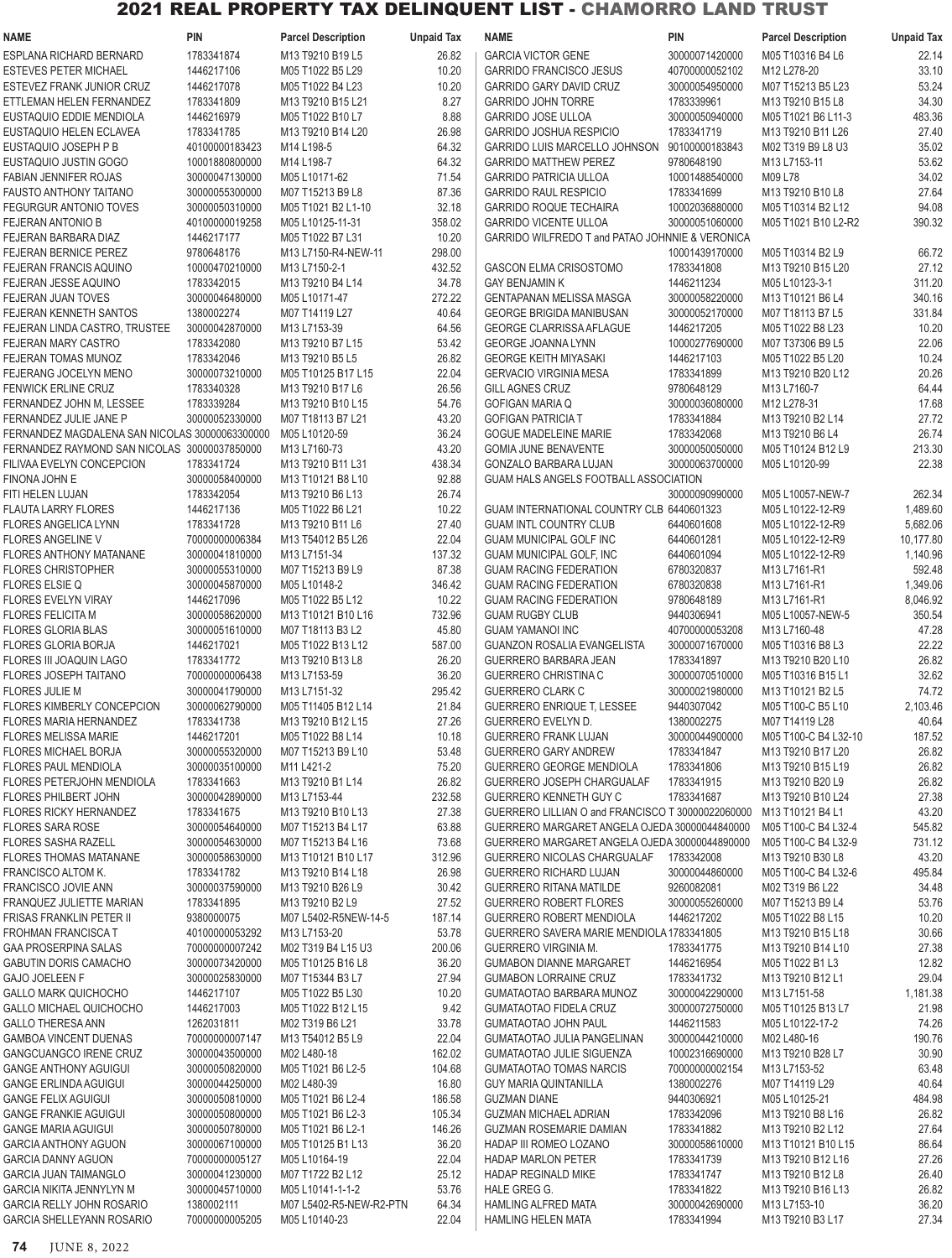| <b>NAME</b>                                                | <b>PIN</b>                       | <b>Parcel Description</b>        | <b>Unpaid Tax</b> | NAME                                                             | PIN                      | <b>Parcel Description</b>                                             | <b>Unpaid Tax</b>  |
|------------------------------------------------------------|----------------------------------|----------------------------------|-------------------|------------------------------------------------------------------|--------------------------|-----------------------------------------------------------------------|--------------------|
| ESPLANA RICHARD BERNARD                                    | 1783341874                       | M13 T9210 B19 L5                 | 26.82             | <b>GARCIA VICTOR GENE</b>                                        | 30000071420000           | M05 T10316 B4 L6                                                      | 22.14              |
| <b>ESTEVES PETER MICHAEL</b>                               | 1446217106                       | M05 T1022 B5 L29                 | 10.20             | <b>GARRIDO FRANCISCO JESUS</b>                                   | 40700000052102           | M12 L278-20                                                           | 33.10              |
| ESTEVEZ FRANK JUNIOR CRUZ                                  | 1446217078                       | M05 T1022 B4 L23                 | 10.20             | <b>GARRIDO GARY DAVID CRUZ</b>                                   | 30000054950000           | M07 T15213 B5 L23                                                     | 53.24              |
| ETTLEMAN HELEN FERNANDEZ                                   | 1783341809                       | M13 T9210 B15 L21                | 8.27              | <b>GARRIDO JOHN TORRE</b>                                        | 1783339961               | M13 T9210 B15 L8                                                      | 34.30              |
| EUSTAQUIO EDDIE MENDIOLA                                   | 1446216979                       | M05 T1022 B10 L7                 | 8.88              | <b>GARRIDO JOSE ULLOA</b>                                        | 30000050940000           | M05 T1021 B6 L11-3                                                    | 483.36             |
| EUSTAQUIO HELEN ECLAVEA                                    | 1783341785                       | M13 T9210 B14 L20                | 26.98             | <b>GARRIDO JOSHUA RESPICIO</b>                                   | 1783341719               | M13 T9210 B11 L26                                                     | 27.40              |
| EUSTAQUIO JOSEPH P B                                       | 40100000183423                   | M14 L198-5                       | 64.32             | GARRIDO LUIS MARCELLO JOHNSON                                    | 90100000183843           | M02 T319 B9 L8 U3                                                     | 35.02              |
| EUSTAQUIO JUSTIN GOGO                                      | 10001880800000                   | M14 L198-7                       | 64.32             | <b>GARRIDO MATTHEW PEREZ</b>                                     | 9780648190               | M13 L7153-11                                                          | 53.62              |
| <b>FABIAN JENNIFER ROJAS</b>                               | 30000047130000                   | M05 L10171-62                    | 71.54             | <b>GARRIDO PATRICIA ULLOA</b>                                    | 10001488540000           | M09 L78                                                               | 34.02              |
| <b>FAUSTO ANTHONY TAITANO</b>                              | 30000055300000                   | M07 T15213 B9 L8                 | 87.36             | <b>GARRIDO RAUL RESPICIO</b>                                     | 1783341699               | M13 T9210 B10 L8                                                      | 27.64              |
| <b>FEGURGUR ANTONIO TOVES</b>                              | 30000050310000                   | M05 T1021 B2 L1-10               | 32.18             | <b>GARRIDO ROQUE TECHAIRA</b>                                    | 10002036880000           | M05 T10314 B2 L12                                                     | 94.08              |
| <b>FEJERAN ANTONIO B</b>                                   | 40100000019258                   | M05 L10125-11-31                 | 358.02            | <b>GARRIDO VICENTE ULLOA</b>                                     | 30000051060000           | M05 T1021 B10 L2-R2                                                   | 390.32             |
| FEJERAN BARBARA DIAZ                                       | 1446217177                       | M05 T1022 B7 L31                 | 10.20             | GARRIDO WILFREDO T and PATAO JOHNNIE & VERONICA                  |                          |                                                                       |                    |
| <b>FEJERAN BERNICE PEREZ</b>                               | 9780648176                       | M13 L7150-R4-NEW-11              | 298.00            |                                                                  | 10001439170000           | M05 T10314 B2 L9                                                      | 66.72              |
| FEJERAN FRANCIS AQUINO                                     | 10000470210000                   | M13 L7150-2-1                    | 432.52            | GASCON ELMA CRISOSTOMO                                           | 1783341808               | M13 T9210 B15 L20                                                     | 27.12              |
| FEJERAN JESSE AQUINO                                       | 1783342015                       | M13 T9210 B4 L14                 | 34.78             | <b>GAY BENJAMIN K</b>                                            | 1446211234               | M05 L10123-3-1                                                        | 311.20             |
| <b>FEJERAN JUAN TOVES</b>                                  | 30000046480000                   | M05 L10171-47                    | 272.22            | GENTAPANAN MELISSA MASGA                                         | 30000058220000           | M13 T10121 B6 L4                                                      | 340.16             |
| FEJERAN KENNETH SANTOS                                     | 1380002274                       | M07 T14119 L27                   | 40.64             | <b>GEORGE BRIGIDA MANIBUSAN</b>                                  | 30000052170000           | M07 T18113 B7 L5                                                      | 331.84             |
| FEJERAN LINDA CASTRO, TRUSTEE                              | 30000042870000                   | M13 L7153-39                     | 64.56             | <b>GEORGE CLARRISSA AFLAGUE</b>                                  | 1446217205               | M05 T1022 B8 L23                                                      | 10.20              |
| <b>FEJERAN MARY CASTRO</b>                                 | 1783342080                       | M13 T9210 B7 L15                 | 53.42             | <b>GEORGE JOANNA LYNN</b>                                        | 10000277690000           | M07 T37306 B9 L5                                                      | 22.06              |
| FEJERAN TOMAS MUNOZ                                        | 1783342046                       | M13 T9210 B5 L5                  | 26.82             | <b>GEORGE KEITH MIYASAKI</b>                                     | 1446217103               | M05 T1022 B5 L20                                                      | 10.24              |
| FEJERANG JOCELYN MENO                                      | 30000073210000                   | M05 T10125 B17 L15               | 22.04             | <b>GERVACIO VIRGINIA MESA</b>                                    | 1783341899               | M13 T9210 B20 L12                                                     | 20.26              |
| <b>FENWICK ERLINE CRUZ</b>                                 | 1783340328                       | M13 T9210 B17 L6                 | 26.56             | <b>GILL AGNES CRUZ</b>                                           | 9780648129               | M13 L7160-7                                                           | 64.44              |
| FERNANDEZ JOHN M, LESSEE                                   | 1783339284                       | M13 T9210 B10 L15                | 54.76             | <b>GOFIGAN MARIA Q</b>                                           | 30000036080000           | M12 L278-31                                                           | 17.68              |
| FERNANDEZ JULIE JANE P                                     | 30000052330000                   | M07 T18113 B7 L21                | 43.20             | <b>GOFIGAN PATRICIA T</b>                                        | 1783341884               | M13 T9210 B2 L14                                                      | 27.72              |
| FERNANDEZ MAGDALENA SAN NICOLAS 30000063300000             |                                  | M05 L10120-59                    | 36.24             | <b>GOGUE MADELEINE MARIE</b>                                     | 1783342068               | M13 T9210 B6 L4                                                       | 26.74              |
| FERNANDEZ RAYMOND SAN NICOLAS 30000037850000               |                                  | M13 L7160-73                     | 43.20             | <b>GOMIA JUNE BENAVENTE</b>                                      | 30000050050000           | M05 T10124 B12 L9                                                     | 213.30             |
| FILIVAA EVELYN CONCEPCION                                  | 1783341724                       | M13 T9210 B11 L31                | 438.34            | GONZALO BARBARA LUJAN                                            | 30000063700000           | M05 L10120-99                                                         | 22.38              |
| FINONA JOHN E                                              | 30000058400000                   | M13 T10121 B8 L10                | 92.88             | GUAM HALS ANGELS FOOTBALL ASSOCIATION                            |                          |                                                                       |                    |
| FITI HELEN LUJAN                                           | 1783342054<br>1446217136         | M13 T9210 B6 L13                 | 26.74             |                                                                  | 30000090990000           | M05 L10057-NEW-7                                                      | 262.34             |
| <b>FLAUTA LARRY FLORES</b>                                 |                                  | M05 T1022 B6 L21                 | 10.22             | GUAM INTERNATIONAL COUNTRY CLB 6440601323                        |                          | M05 L10122-12-R9                                                      | 1,489.60           |
| <b>FLORES ANGELICA LYNN</b>                                | 1783341728                       | M13 T9210 B11 L6                 | 27.40<br>22.04    | <b>GUAM INTL COUNTRY CLUB</b>                                    | 6440601608               | M05 L10122-12-R9                                                      | 5,682.06           |
| <b>FLORES ANGELINE V</b><br><b>FLORES ANTHONY MATANANE</b> | 70000000006384                   | M13 T54012 B5 L26                | 137.32            | <b>GUAM MUNICIPAL GOLF INC</b>                                   | 6440601281               | M05 L10122-12-R9                                                      | 10,177.80          |
| <b>FLORES CHRISTOPHER</b>                                  | 30000041810000<br>30000055310000 | M13 L7151-34<br>M07 T15213 B9 L9 | 87.38             | <b>GUAM MUNICIPAL GOLF, INC</b><br><b>GUAM RACING FEDERATION</b> | 6440601094<br>6780320837 | M05 L10122-12-R9<br>M <sub>13</sub> L <sub>7161</sub> -R <sub>1</sub> | 1,140.96<br>592.48 |
| <b>FLORES ELSIE Q</b>                                      | 30000045870000                   | M05 L10148-2                     | 346.42            | <b>GUAM RACING FEDERATION</b>                                    | 6780320838               | M13 L7161-R1                                                          | 1,349.06           |
| FLORES EVELYN VIRAY                                        | 1446217096                       | M05 T1022 B5 L12                 | 10.22             | <b>GUAM RACING FEDERATION</b>                                    | 9780648189               | M13 L7161-R1                                                          | 8,046.92           |
| <b>FLORES FELICITA M</b>                                   | 30000058620000                   | M13 T10121 B10 L16               | 732.96            | <b>GUAM RUGBY CLUB</b>                                           | 9440306941               | M05 L10057-NEW-5                                                      | 350.54             |
| <b>FLORES GLORIA BLAS</b>                                  | 30000051610000                   | M07 T18113 B3 L2                 | 45.80             | <b>GUAM YAMANOI INC</b>                                          | 40700000053208           | M13 L7160-48                                                          | 47.28              |
| <b>FLORES GLORIA BORJA</b>                                 | 1446217021                       | M05 T1022 B13 L12                | 587.00            | <b>GUANZON ROSALIA EVANGELISTA</b>                               | 30000071670000           | M05 T10316 B8 L3                                                      | 22.22              |
| FLORES III JOAQUIN LAGO                                    | 1783341772                       | M13 T9210 B13 L8                 | 26.20             | <b>GUERRERO BARBARA JEAN</b>                                     | 1783341897               | M13 T9210 B20 L10                                                     | 26.82              |
| <b>FLORES JOSEPH TAITANO</b>                               | 70000000006438                   | M13 L7153-59                     | 36.20             | <b>GUERRERO CHRISTINA C</b>                                      | 30000070510000           | M05 T10316 B15 L1                                                     | 32.62              |
| FLORES JULIE M                                             | 30000041790000                   | M13 L7151-32                     | 295.42            | GUERRERO CLARK C                                                 | 30000021980000           | M13 T10121 B2 L5                                                      | 74.72              |
| FLORES KIMBERLY CONCEPCION                                 | 30000062790000                   | M05 T11405 B12 L14               | 21.84             | GUERRERO ENRIQUE T, LESSEE                                       | 9440307042               | M05 T100-C B5 L10                                                     | 2,103.46           |
| <b>FLORES MARIA HERNANDEZ</b>                              | 1783341738                       | M13 T9210 B12 L15                | 27.26             | GUERRERO EVELYN D.                                               | 1380002275               | M07 T14119 L28                                                        | 40.64              |
| <b>FLORES MELISSA MARIE</b>                                | 1446217201                       | M05 T1022 B8 L14                 | 10.18             | <b>GUERRERO FRANK LUJAN</b>                                      | 30000044900000           | M05 T100-C B4 L32-10                                                  | 187.52             |
| FLORES MICHAEL BORJA                                       | 30000055320000                   | M07 T15213 B9 L10                | 53.48             | <b>GUERRERO GARY ANDREW</b>                                      | 1783341847               | M13 T9210 B17 L20                                                     | 26.82              |
| <b>FLORES PAUL MENDIOLA</b>                                | 30000035100000                   | M11 L421-2                       | 75.20             | <b>GUERRERO GEORGE MENDIOLA</b>                                  | 1783341806               | M13 T9210 B15 L19                                                     | 26.82              |
| FLORES PETERJOHN MENDIOLA                                  | 1783341663                       | M13 T9210 B1 L14                 | 26.82             | GUERRERO JOSEPH CHARGUALAF                                       | 1783341915               | M13 T9210 B20 L9                                                      | 26.82              |
| <b>FLORES PHILBERT JOHN</b>                                | 30000042890000                   | M13 L7153-44                     | 232.58            | GUERRERO KENNETH GUY C                                           | 1783341687               | M13 T9210 B10 L24                                                     | 27.38              |
| FLORES RICKY HERNANDEZ                                     | 1783341675                       | M13 T9210 B10 L13                | 27.38             | GUERRERO LILLIAN O and FRANCISCO T 30000022060000                |                          | M13 T10121 B4 L1                                                      | 43.20              |
| <b>FLORES SARA ROSE</b>                                    | 30000054640000                   | M07 T15213 B4 L17                | 63.88             | GUERRERO MARGARET ANGELA OJEDA 30000044840000                    |                          | M05 T100-C B4 L32-4                                                   | 545.82             |
| <b>FLORES SASHA RAZELL</b>                                 | 30000054630000                   | M07 T15213 B4 L16                | 73.68             | GUERRERO MARGARET ANGELA OJEDA 30000044890000                    |                          | M05 T100-C B4 L32-9                                                   | 731.12             |
| <b>FLORES THOMAS MATANANE</b>                              | 30000058630000                   | M13 T10121 B10 L17               | 312.96            | GUERRERO NICOLAS CHARGUALAF                                      | 1783342008               | M13 T9210 B30 L8                                                      | 43.20              |
| FRANCISCO ALTOM K.                                         | 1783341782                       | M13 T9210 B14 L18                | 26.98             | GUERRERO RICHARD LUJAN                                           | 30000044860000           | M05 T100-C B4 L32-6                                                   | 495.84             |
| <b>FRANCISCO JOVIE ANN</b>                                 | 30000037590000                   | M13 T9210 B26 L9                 | 30.42             | <b>GUERRERO RITANA MATILDE</b>                                   | 9260082081               | M02 T319 B6 L22                                                       | 34.48              |
| FRANQUEZ JULIETTE MARIAN                                   | 1783341895                       | M13 T9210 B2 L9                  | 27.52             | <b>GUERRERO ROBERT FLORES</b>                                    | 30000055260000           | M07 T15213 B9 L4                                                      | 53.76              |
| <b>FRISAS FRANKLIN PETER II</b>                            | 9380000075                       | M07 L5402-R5NEW-14-5             | 187.14            | <b>GUERRERO ROBERT MENDIOLA</b>                                  | 1446217202               | M05 T1022 B8 L15                                                      | 10.20              |
| <b>FROHMAN FRANCISCA T</b>                                 | 40100000053292                   | M13 L7153-20                     | 53.78             | GUERRERO SAVERA MARIE MENDIOLA 1783341805                        |                          | M13 T9210 B15 L18                                                     | 30.66              |
| <b>GAA PROSERPINA SALAS</b>                                | 70000000007242                   | M02 T319 B4 L15 U3               | 200.06            | GUERRERO VIRGINIA M.                                             | 1783341775               | M13 T9210 B14 L10                                                     | 27.38              |
| <b>GABUTIN DORIS CAMACHO</b>                               | 30000073420000                   | M05 T10125 B16 L8                | 36.20             | <b>GUMABON DIANNE MARGARET</b>                                   | 1446216954               | M05 T1022 B1 L3                                                       | 12.82              |
| GAJO JOELEEN F                                             | 30000025830000                   | M07 T15344 B3 L7                 | 27.94             | <b>GUMABON LORRAINE CRUZ</b>                                     | 1783341732               | M13 T9210 B12 L1                                                      | 29.04              |
| <b>GALLO MARK QUICHOCHO</b>                                | 1446217107                       | M05 T1022 B5 L30                 | 10.20             | GUMATAOTAO BARBARA MUNOZ                                         | 30000042290000           | M13 L7151-58                                                          | 1,181.38           |
| GALLO MICHAEL QUICHOCHO                                    | 1446217003                       | M05 T1022 B12 L15                | 9.42              | <b>GUMATAOTAO FIDELA CRUZ</b>                                    | 30000072750000           | M05 T10125 B13 L7                                                     | 21.98              |
| <b>GALLO THERESA ANN</b>                                   | 1262031811                       | M02 T319 B6 L21                  | 33.78             | <b>GUMATAOTAO JOHN PAUL</b>                                      | 1446211583               | M05 L10122-17-2                                                       | 74.26              |
| <b>GAMBOA VINCENT DUENAS</b>                               | 70000000007147                   | M13 T54012 B5 L9                 | 22.04             | <b>GUMATAOTAO JULIA PANGELINAN</b>                               | 30000044210000           | M02 L480-16                                                           | 190.76             |
| GANGCUANGCO IRENE CRUZ                                     | 30000043500000                   | M02 L480-18                      | 162.02            | <b>GUMATAOTAO JULIE SIGUENZA</b>                                 | 10002316690000           | M13 T9210 B28 L7                                                      | 30.90              |
| <b>GANGE ANTHONY AGUIGUI</b>                               | 30000050820000                   | M05 T1021 B6 L2-5                | 104.68            | <b>GUMATAOTAO TOMAS NARCIS</b>                                   | 70000000002154           | M13 L7153-52                                                          | 63.48              |
| <b>GANGE ERLINDA AGUIGUI</b>                               | 30000044250000                   | M02 L480-39                      | 16.80             | <b>GUY MARIA QUINTANILLA</b>                                     | 1380002276               | M07 T14119 L29                                                        | 40.64              |
| <b>GANGE FELIX AGUIGUI</b>                                 | 30000050810000                   | M05 T1021 B6 L2-4                | 186.58            | <b>GUZMAN DIANE</b>                                              | 9440306921               | M05 L10125-21                                                         | 484.98             |
| <b>GANGE FRANKIE AGUIGUI</b>                               | 30000050800000                   | M05 T1021 B6 L2-3                | 105.34            | <b>GUZMAN MICHAEL ADRIAN</b>                                     | 1783342096               | M13 T9210 B8 L16                                                      | 26.82              |
| <b>GANGE MARIA AGUIGUI</b>                                 | 30000050780000                   | M05 T1021 B6 L2-1                | 146.26            | <b>GUZMAN ROSEMARIE DAMIAN</b>                                   | 1783341882               | M13 T9210 B2 L12                                                      | 27.64              |
| <b>GARCIA ANTHONY AGUON</b>                                | 30000067100000                   | M05 T10125 B1 L13                | 36.20             | HADAP III ROMEO LOZANO                                           | 30000058610000           | M13 T10121 B10 L15                                                    | 86.64              |
| <b>GARCIA DANNY AGUON</b>                                  | 70000000005127                   | M05 L10164-19                    | 22.04             | HADAP MARLON PETER                                               | 1783341739               | M13 T9210 B12 L16                                                     | 27.26              |
| <b>GARCIA JUAN TAIMANGLO</b>                               | 30000041230000                   | M07 T1722 B2 L12                 | 25.12             | <b>HADAP REGINALD MIKE</b>                                       | 1783341747               | M13 T9210 B12 L8                                                      | 26.40              |
| <b>GARCIA NIKITA JENNYLYN M</b>                            | 30000045710000                   | M05 L10141-1-1-2                 | 53.76             | <b>HALE GREG G.</b>                                              | 1783341822               | M13 T9210 B16 L13                                                     | 26.82              |
| <b>GARCIA RELLY JOHN ROSARIO</b>                           | 1380002111                       | M07 L5402-R5-NEW-R2-PTN          | 64.34             | <b>HAMLING ALFRED MATA</b>                                       | 30000042690000           | M13 L7153-10                                                          | 36.20              |
| <b>GARCIA SHELLEYANN ROSARIO</b>                           | 70000000005205                   | M05 L10140-23                    | 22.04             | HAMLING HELEN MATA                                               | 1783341994               | M13 T9210 B3 L17                                                      | 27.34              |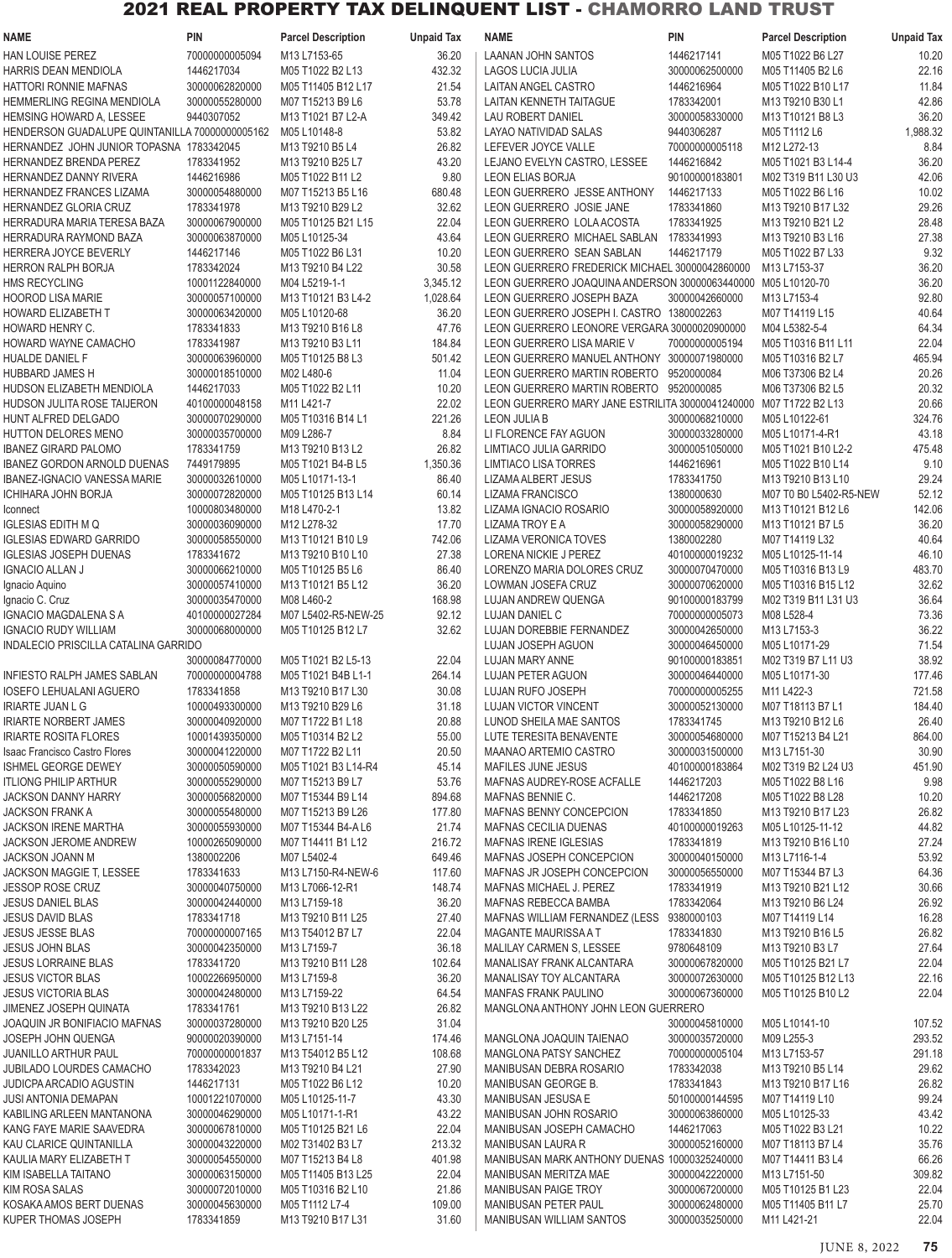| <b>NAME</b>                                    | <b>PIN</b>     | <b>Parcel Description</b> | <b>Unpaid Tax</b> | <b>NAME</b>                                                       | PIN            | <b>Parcel Description</b> | <b>Unpaid Tax</b> |
|------------------------------------------------|----------------|---------------------------|-------------------|-------------------------------------------------------------------|----------------|---------------------------|-------------------|
| <b>HAN LOUISE PEREZ</b>                        | 70000000005094 | M13 L7153-65              | 36.20             | LAANAN JOHN SANTOS                                                | 1446217141     | M05 T1022 B6 L27          | 10.20             |
| HARRIS DEAN MENDIOLA                           | 1446217034     | M05 T1022 B2 L13          | 432.32            | <b>LAGOS LUCIA JULIA</b>                                          | 30000062500000 | M05 T11405 B2 L6          | 22.16             |
| HATTORI RONNIE MAFNAS                          | 30000062820000 | M05 T11405 B12 L17        | 21.54             | LAITAN ANGEL CASTRO                                               | 1446216964     | M05 T1022 B10 L17         | 11.84             |
| HEMMERLING REGINA MENDIOLA                     | 30000055280000 | M07 T15213 B9 L6          | 53.78             | LAITAN KENNETH TAITAGUE                                           | 1783342001     | M13 T9210 B30 L1          | 42.86             |
| HEMSING HOWARD A, LESSEE                       | 9440307052     | M13 T1021 B7 L2-A         | 349.42            | <b>LAU ROBERT DANIEL</b>                                          | 30000058330000 | M13 T10121 B8 L3          | 36.20             |
| HENDERSON GUADALUPE QUINTANILLA 70000000005162 |                | M05 L10148-8              | 53.82             | LAYAO NATIVIDAD SALAS                                             | 9440306287     | M05 T1112 L6              | 1,988.32          |
| HERNANDEZ JOHN JUNIOR TOPASNA 1783342045       |                |                           |                   | LEFEVER JOYCE VALLE                                               |                | M12 L272-13               |                   |
|                                                |                | M13 T9210 B5 L4           | 26.82             |                                                                   | 70000000005118 |                           | 8.84              |
| HERNANDEZ BRENDA PEREZ                         | 1783341952     | M13 T9210 B25 L7          | 43.20             | LEJANO EVELYN CASTRO, LESSEE                                      | 1446216842     | M05 T1021 B3 L14-4        | 36.20             |
| HERNANDEZ DANNY RIVERA                         | 1446216986     | M05 T1022 B11 L2          | 9.80              | LEON ELIAS BORJA                                                  | 90100000183801 | M02 T319 B11 L30 U3       | 42.06             |
| HERNANDEZ FRANCES LIZAMA                       | 30000054880000 | M07 T15213 B5 L16         | 680.48            | LEON GUERRERO JESSE ANTHONY                                       | 1446217133     | M05 T1022 B6 L16          | 10.02             |
| HERNANDEZ GLORIA CRUZ                          | 1783341978     | M13 T9210 B29 L2          | 32.62             | LEON GUERRERO JOSIE JANE                                          | 1783341860     | M13 T9210 B17 L32         | 29.26             |
| HERRADURA MARIA TERESA BAZA                    | 30000067900000 | M05 T10125 B21 L15        | 22.04             | LEON GUERRERO LOLA ACOSTA                                         | 1783341925     | M13 T9210 B21 L2          | 28.48             |
| HERRADURA RAYMOND BAZA                         | 30000063870000 | M05 L10125-34             | 43.64             | LEON GUERRERO MICHAEL SABLAN                                      | 1783341993     | M13 T9210 B3 L16          | 27.38             |
| HERRERA JOYCE BEVERLY                          | 1446217146     | M05 T1022 B6 L31          | 10.20             | LEON GUERRERO SEAN SABLAN                                         | 1446217179     | M05 T1022 B7 L33          | 9.32              |
| HERRON RALPH BORJA                             | 1783342024     | M13 T9210 B4 L22          | 30.58             | LEON GUERRERO FREDERICK MICHAEL 30000042860000                    |                | M13 L7153-37              | 36.20             |
| HMS RECYCLING                                  | 10001122840000 | M04 L5219-1-1             | 3,345.12          | LEON GUERRERO JOAQUINA ANDERSON 30000063440000 M05 L10120-70      |                |                           | 36.20             |
| <b>HOOROD LISA MARIE</b>                       | 30000057100000 | M13 T10121 B3 L4-2        | 1,028.64          | LEON GUERRERO JOSEPH BAZA                                         | 30000042660000 | M13 L7153-4               | 92.80             |
| HOWARD ELIZABETH T                             | 30000063420000 | M05 L10120-68             | 36.20             | LEON GUERRERO JOSEPH I. CASTRO 1380002263                         |                | M07 T14119 L15            | 40.64             |
| HOWARD HENRY C.                                | 1783341833     | M13 T9210 B16 L8          | 47.76             | LEON GUERRERO LEONORE VERGARA 30000020900000                      |                | M04 L5382-5-4             | 64.34             |
| HOWARD WAYNE CAMACHO                           | 1783341987     | M13 T9210 B3 L11          | 184.84            | LEON GUERRERO LISA MARIE V                                        | 70000000005194 | M05 T10316 B11 L11        | 22.04             |
| HUALDE DANIEL F                                | 30000063960000 | M05 T10125 B8 L3          | 501.42            | LEON GUERRERO MANUEL ANTHONY 30000071980000                       |                | M05 T10316 B2 L7          | 465.94            |
|                                                |                |                           |                   |                                                                   |                |                           |                   |
| <b>HUBBARD JAMES H</b>                         | 30000018510000 | M02 L480-6                | 11.04             | LEON GUERRERO MARTIN ROBERTO                                      | 9520000084     | M06 T37306 B2 L4          | 20.26             |
| HUDSON ELIZABETH MENDIOLA                      | 1446217033     | M05 T1022 B2 L11          | 10.20             | LEON GUERRERO MARTIN ROBERTO                                      | 9520000085     | M06 T37306 B2 L5          | 20.32             |
| <b>HUDSON JULITA ROSE TAIJERON</b>             | 40100000048158 | M11 L421-7                | 22.02             | LEON GUERRERO MARY JANE ESTRILITA 30000041240000 M07 T1722 B2 L13 |                |                           | 20.66             |
| HUNT ALFRED DELGADO                            | 30000070290000 | M05 T10316 B14 L1         | 221.26            | <b>LEON JULIA B</b>                                               | 30000068210000 | M05 L10122-61             | 324.76            |
| HUTTON DELORES MENO                            | 30000035700000 | M09 L286-7                | 8.84              | LI FLORENCE FAY AGUON                                             | 30000033280000 | M05 L10171-4-R1           | 43.18             |
| <b>IBANEZ GIRARD PALOMO</b>                    | 1783341759     | M13 T9210 B13 L2          | 26.82             | LIMTIACO JULIA GARRIDO                                            | 30000051050000 | M05 T1021 B10 L2-2        | 475.48            |
| <b>IBANEZ GORDON ARNOLD DUENAS</b>             | 7449179895     | M05 T1021 B4-B L5         | 1,350.36          | <b>LIMTIACO LISA TORRES</b>                                       | 1446216961     | M05 T1022 B10 L14         | 9.10              |
| IBANEZ-IGNACIO VANESSA MARIE                   | 30000032610000 | M05 L10171-13-1           | 86.40             | LIZAMA ALBERT JESUS                                               | 1783341750     | M13 T9210 B13 L10         | 29.24             |
| ICHIHARA JOHN BORJA                            | 30000072820000 | M05 T10125 B13 L14        | 60.14             | LIZAMA FRANCISCO                                                  | 1380000630     | M07 T0 B0 L5402-R5-NEW    | 52.12             |
| Iconnect                                       | 10000803480000 | M18 L470-2-1              | 13.82             | LIZAMA IGNACIO ROSARIO                                            | 30000058920000 | M13 T10121 B12 L6         | 142.06            |
| IGLESIAS EDITH M Q                             | 30000036090000 | M12 L278-32               | 17.70             | LIZAMA TROY E A                                                   | 30000058290000 | M13 T10121 B7 L5          | 36.20             |
| <b>IGLESIAS EDWARD GARRIDO</b>                 | 30000058550000 | M13 T10121 B10 L9         | 742.06            | LIZAMA VERONICA TOVES                                             | 1380002280     | M07 T14119 L32            | 40.64             |
| <b>IGLESIAS JOSEPH DUENAS</b>                  | 1783341672     | M13 T9210 B10 L10         | 27.38             | LORENA NICKIE J PEREZ                                             | 40100000019232 | M05 L10125-11-14          | 46.10             |
| <b>IGNACIO ALLAN J</b>                         | 30000066210000 | M05 T10125 B5 L6          | 86.40             | LORENZO MARIA DOLORES CRUZ                                        | 30000070470000 | M05 T10316 B13 L9         | 483.70            |
|                                                |                |                           |                   |                                                                   |                |                           |                   |
| Ignacio Aquino                                 | 30000057410000 | M13 T10121 B5 L12         | 36.20             | LOWMAN JOSEFA CRUZ                                                | 30000070620000 | M05 T10316 B15 L12        | 32.62             |
| Ignacio C. Cruz                                | 30000035470000 | M08 L460-2                | 168.98            | LUJAN ANDREW QUENGA                                               | 90100000183799 | M02 T319 B11 L31 U3       | 36.64             |
| IGNACIO MAGDALENA S A                          | 40100000027284 | M07 L5402-R5-NEW-25       | 92.12             | LUJAN DANIEL C                                                    | 70000000005073 | M08 L528-4                | 73.36             |
| <b>IGNACIO RUDY WILLIAM</b>                    | 30000068000000 | M05 T10125 B12 L7         | 32.62             | <b>LUJAN DOREBBIE FERNANDEZ</b>                                   | 30000042650000 | M13 L7153-3               | 36.22             |
| INDALECIO PRISCILLA CATALINA GARRIDO           |                |                           |                   | LUJAN JOSEPH AGUON                                                | 30000046450000 | M05 L10171-29             | 71.54             |
|                                                | 30000084770000 | M05 T1021 B2 L5-13        | 22.04             | <b>LUJAN MARY ANNE</b>                                            | 90100000183851 | M02 T319 B7 L11 U3        | 38.92             |
| <b>INFIESTO RALPH JAMES SABLAN</b>             | 70000000004788 | M05 T1021 B4B L1-1        | 264.14            | <b>LUJAN PETER AGUON</b>                                          | 30000046440000 | M05 L10171-30             | 177.46            |
| IOSEFO LEHUALANI AGUERO                        | 1783341858     | M13 T9210 B17 L30         | 30.08             | LUJAN RUFO JOSEPH                                                 | 70000000005255 | M11 L422-3                | 721.58            |
| <b>IRIARTE JUAN L G</b>                        | 10000493300000 | M13 T9210 B29 L6          | 31.18             | LUJAN VICTOR VINCENT                                              | 30000052130000 | M07 T18113 B7 L1          | 184.40            |
| <b>IRIARTE NORBERT JAMES</b>                   | 30000040920000 | M07 T1722 B1 L18          | 20.88             | LUNOD SHEILA MAE SANTOS                                           | 1783341745     | M13 T9210 B12 L6          | 26.40             |
| <b>IRIARTE ROSITA FLORES</b>                   | 10001439350000 | M05 T10314 B2 L2          | 55.00             | LUTE TERESITA BENAVENTE                                           | 30000054680000 | M07 T15213 B4 L21         | 864.00            |
| <b>Isaac Francisco Castro Flores</b>           | 30000041220000 | M07 T1722 B2 L11          | 20.50             | MAANAO ARTEMIO CASTRO                                             | 30000031500000 | M13 L7151-30              | 30.90             |
| ISHMEL GEORGE DEWEY                            | 30000050590000 | M05 T1021 B3 L14-R4       | 45.14             | MAFILES JUNE JESUS                                                | 40100000183864 | M02 T319 B2 L24 U3        | 451.90            |
|                                                |                |                           |                   |                                                                   |                |                           |                   |
| <b>ITLIONG PHILIP ARTHUR</b>                   | 30000055290000 | M07 T15213 B9 L7          | 53.76             | MAFNAS AUDREY-ROSE ACFALLE                                        | 1446217203     | M05 T1022 B8 L16          | 9.98              |
| JACKSON DANNY HARRY                            | 30000056820000 | M07 T15344 B9 L14         | 894.68            | MAFNAS BENNIE C.                                                  | 1446217208     | M05 T1022 B8 L28          | 10.20             |
| <b>JACKSON FRANK A</b>                         | 30000055480000 | M07 T15213 B9 L26         | 177.80            | MAFNAS BENNY CONCEPCION                                           | 1783341850     | M13 T9210 B17 L23         | 26.82             |
| JACKSON IRENE MARTHA                           | 30000055930000 | M07 T15344 B4-A L6        | 21.74             | <b>MAFNAS CECILIA DUENAS</b>                                      | 40100000019263 | M05 L10125-11-12          | 44.82             |
| <b>JACKSON JEROME ANDREW</b>                   | 10000265090000 | M07 T14411 B1 L12         | 216.72            | MAFNAS IRENE IGLESIAS                                             | 1783341819     | M13 T9210 B16 L10         | 27.24             |
| <b>JACKSON JOANN M</b>                         | 1380002206     | M07 L5402-4               | 649.46            | MAFNAS JOSEPH CONCEPCION                                          | 30000040150000 | M13 L7116-1-4             | 53.92             |
| JACKSON MAGGIE T, LESSEE                       | 1783341633     | M13 L7150-R4-NEW-6        | 117.60            | MAFNAS JR JOSEPH CONCEPCION                                       | 30000056550000 | M07 T15344 B7 L3          | 64.36             |
| <b>JESSOP ROSE CRUZ</b>                        | 30000040750000 | M13 L7066-12-R1           | 148.74            | MAFNAS MICHAEL J. PEREZ                                           | 1783341919     | M13 T9210 B21 L12         | 30.66             |
| <b>JESUS DANIEL BLAS</b>                       | 30000042440000 | M13 L7159-18              | 36.20             | MAFNAS REBECCA BAMBA                                              | 1783342064     | M13 T9210 B6 L24          | 26.92             |
| <b>JESUS DAVID BLAS</b>                        | 1783341718     | M13 T9210 B11 L25         | 27.40             | MAFNAS WILLIAM FERNANDEZ (LESS 9380000103                         |                | M07 T14119 L14            | 16.28             |
| <b>JESUS JESSE BLAS</b>                        | 70000000007165 | M13 T54012 B7 L7          | 22.04             | MAGANTE MAURISSA A T                                              | 1783341830     | M13 T9210 B16 L5          | 26.82             |
| <b>JESUS JOHN BLAS</b>                         | 30000042350000 | M13 L7159-7               | 36.18             | MALILAY CARMEN S, LESSEE                                          | 9780648109     | M13 T9210 B3 L7           | 27.64             |
| <b>JESUS LORRAINE BLAS</b>                     | 1783341720     | M13 T9210 B11 L28         | 102.64            | MANALISAY FRANK ALCANTARA                                         | 30000067820000 | M05 T10125 B21 L7         | 22.04             |
|                                                |                |                           |                   |                                                                   |                |                           |                   |
| <b>JESUS VICTOR BLAS</b>                       | 10002266950000 | M13 L7159-8               | 36.20             | MANALISAY TOY ALCANTARA                                           | 30000072630000 | M05 T10125 B12 L13        | 22.16             |
| <b>JESUS VICTORIA BLAS</b>                     | 30000042480000 | M13 L7159-22              | 64.54             | MANFAS FRANK PAULINO                                              | 30000067360000 | M05 T10125 B10 L2         | 22.04             |
| JIMENEZ JOSEPH QUINATA                         | 1783341761     | M13 T9210 B13 L22         | 26.82             | MANGLONA ANTHONY JOHN LEON GUERRERO                               |                |                           |                   |
| JOAQUIN JR BONIFIACIO MAFNAS                   | 30000037280000 | M13 T9210 B20 L25         | 31.04             |                                                                   | 30000045810000 | M05 L10141-10             | 107.52            |
| JOSEPH JOHN QUENGA                             | 90000020390000 | M13 L7151-14              | 174.46            | MANGLONA JOAQUIN TAIENAO                                          | 30000035720000 | M09 L255-3                | 293.52            |
| <b>JUANILLO ARTHUR PAUL</b>                    | 70000000001837 | M13 T54012 B5 L12         | 108.68            | MANGLONA PATSY SANCHEZ                                            | 70000000005104 | M13 L7153-57              | 291.18            |
| <b>JUBILADO LOURDES CAMACHO</b>                | 1783342023     | M13 T9210 B4 L21          | 27.90             | MANIBUSAN DEBRA ROSARIO                                           | 1783342038     | M13 T9210 B5 L14          | 29.62             |
| <b>JUDICPA ARCADIO AGUSTIN</b>                 | 1446217131     | M05 T1022 B6 L12          | 10.20             | MANIBUSAN GEORGE B.                                               | 1783341843     | M13 T9210 B17 L16         | 26.82             |
| <b>JUSI ANTONIA DEMAPAN</b>                    | 10001221070000 | M05 L10125-11-7           | 43.30             | MANIBUSAN JESUSA E                                                | 50100000144595 | M07 T14119 L10            | 99.24             |
| KABILING ARLEEN MANTANONA                      | 30000046290000 | M05 L10171-1-R1           | 43.22             | MANIBUSAN JOHN ROSARIO                                            | 30000063860000 | M05 L10125-33             | 43.42             |
| KANG FAYE MARIE SAAVEDRA                       | 30000067810000 | M05 T10125 B21 L6         | 22.04             | MANIBUSAN JOSEPH CAMACHO                                          | 1446217063     | M05 T1022 B3 L21          | 10.22             |
| KAU CLARICE QUINTANILLA                        | 30000043220000 | M02 T31402 B3 L7          | 213.32            | MANIBUSAN LAURA R                                                 | 30000052160000 | M07 T18113 B7 L4          | 35.76             |
| KAULIA MARY ELIZABETH T                        | 30000054550000 | M07 T15213 B4 L8          | 401.98            | MANIBUSAN MARK ANTHONY DUENAS 10000325240000                      |                | M07 T14411 B3 L4          | 66.26             |
| KIM ISABELLA TAITANO                           | 30000063150000 | M05 T11405 B13 L25        | 22.04             | MANIBUSAN MERITZA MAE                                             | 30000042220000 | M13 L7151-50              | 309.82            |
|                                                |                |                           |                   |                                                                   | 30000067200000 | M05 T10125 B1 L23         |                   |
| <b>KIM ROSA SALAS</b>                          | 30000072010000 | M05 T10316 B2 L10         | 21.86             | MANIBUSAN PAIGE TROY                                              |                |                           | 22.04             |
| KOSAKA AMOS BERT DUENAS                        | 30000045630000 | M05 T1112 L7-4            | 109.00            | MANIBUSAN PETER PAUL                                              | 30000062480000 | M05 T11405 B11 L7         | 25.70             |
| KUPER THOMAS JOSEPH                            | 1783341859     | M13 T9210 B17 L31         | 31.60             | <b>MANIBUSAN WILLIAM SANTOS</b>                                   | 30000035250000 | M11 L421-21               | 22.04             |

JUNE 8, 2022 **75**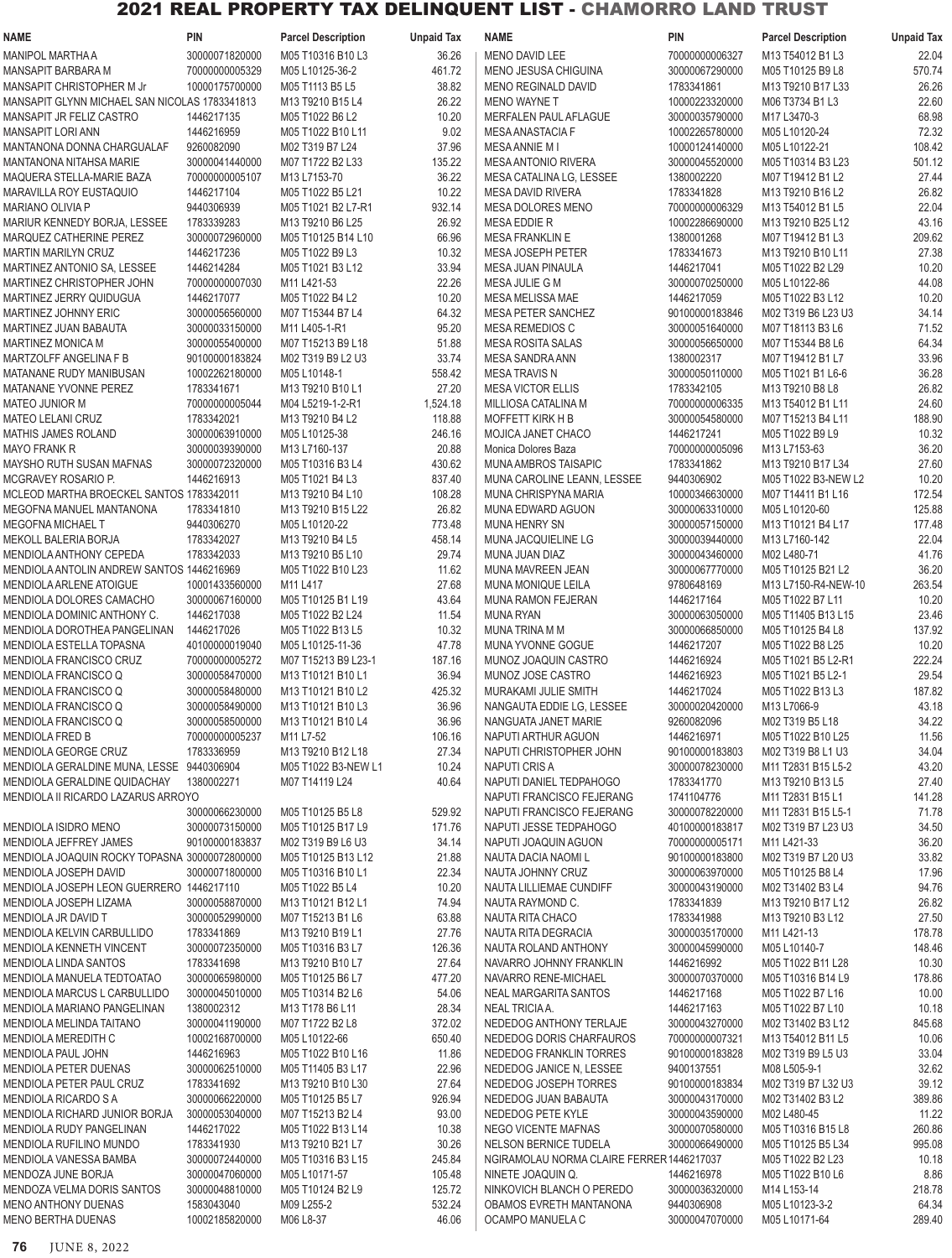| NAME                                          | <b>PIN</b>     | <b>Parcel Description</b> | <b>Unpaid Tax</b> | NAME                                      | <b>PIN</b>     | <b>Parcel Description</b> | <b>Unpaid Tax</b> |
|-----------------------------------------------|----------------|---------------------------|-------------------|-------------------------------------------|----------------|---------------------------|-------------------|
| <b>MANIPOL MARTHA A</b>                       | 30000071820000 | M05 T10316 B10 L3         | 36.26             | <b>MENO DAVID LEE</b>                     | 70000000006327 | M13 T54012 B1 L3          | 22.04             |
| MANSAPIT BARBARA M                            | 70000000005329 | M05 L10125-36-2           | 461.72            | MENO JESUSA CHIGUINA                      | 30000067290000 | M05 T10125 B9 L8          | 570.74            |
|                                               |                |                           | 38.82             |                                           |                |                           | 26.26             |
| MANSAPIT CHRISTOPHER M Jr                     | 10000175700000 | M05 T1113 B5 L5           |                   | MENO REGINALD DAVID                       | 1783341861     | M13 T9210 B17 L33         |                   |
| MANSAPIT GLYNN MICHAEL SAN NICOLAS 1783341813 |                | M13 T9210 B15 L4          | 26.22             | <b>MENO WAYNE T</b>                       | 10000223320000 | M06 T3734 B1 L3           | 22.60             |
| MANSAPIT JR FELIZ CASTRO                      | 1446217135     | M05 T1022 B6 L2           | 10.20             | MERFALEN PAUL AFLAGUE                     | 30000035790000 | M17 L3470-3               | 68.98             |
| <b>MANSAPIT LORI ANN</b>                      | 1446216959     | M05 T1022 B10 L11         | 9.02              | MESA ANASTACIA F                          | 10002265780000 | M05 L10120-24             | 72.32             |
| MANTANONA DONNA CHARGUALAF                    | 9260082090     | M02 T319 B7 L24           | 37.96             | <b>MESA ANNIE MI</b>                      | 10000124140000 | M05 L10122-21             | 108.42            |
| MANTANONA NITAHSA MARIE                       | 30000041440000 | M07 T1722 B2 L33          | 135.22            | <b>MESA ANTONIO RIVERA</b>                | 30000045520000 | M05 T10314 B3 L23         | 501.12            |
| MAQUERA STELLA-MARIE BAZA                     | 70000000005107 | M13 L7153-70              | 36.22             | MESA CATALINA LG, LESSEE                  | 1380002220     | M07 T19412 B1 L2          | 27.44             |
| <b>MARAVILLA ROY EUSTAQUIO</b>                | 1446217104     | M05 T1022 B5 L21          | 10.22             | <b>MESA DAVID RIVERA</b>                  | 1783341828     | M13 T9210 B16 L2          | 26.82             |
| <b>MARIANO OLIVIA P</b>                       | 9440306939     | M05 T1021 B2 L7-R1        | 932.14            | <b>MESA DOLORES MENO</b>                  | 70000000006329 | M13 T54012 B1 L5          | 22.04             |
|                                               |                |                           |                   |                                           |                |                           |                   |
| MARIUR KENNEDY BORJA, LESSEE                  | 1783339283     | M13 T9210 B6 L25          | 26.92             | <b>MESA EDDIE R</b>                       | 10002286690000 | M13 T9210 B25 L12         | 43.16             |
| MARQUEZ CATHERINE PEREZ                       | 30000072960000 | M05 T10125 B14 L10        | 66.96             | <b>MESA FRANKLIN E</b>                    | 1380001268     | M07 T19412 B1 L3          | 209.62            |
| MARTIN MARILYN CRUZ                           | 1446217236     | M05 T1022 B9 L3           | 10.32             | <b>MESA JOSEPH PETER</b>                  | 1783341673     | M13 T9210 B10 L11         | 27.38             |
| MARTINEZ ANTONIO SA, LESSEE                   | 1446214284     | M05 T1021 B3 L12          | 33.94             | <b>MESA JUAN PINAULA</b>                  | 1446217041     | M05 T1022 B2 L29          | 10.20             |
| MARTINEZ CHRISTOPHER JOHN                     | 70000000007030 | M11 L421-53               | 22.26             | MESA JULIE G M                            | 30000070250000 | M05 L10122-86             | 44.08             |
| MARTINEZ JERRY QUIDUGUA                       | 1446217077     | M05 T1022 B4 L2           | 10.20             | MESA MELISSA MAE                          | 1446217059     | M05 T1022 B3 L12          | 10.20             |
| MARTINEZ JOHNNY ERIC                          | 30000056560000 | M07 T15344 B7 L4          | 64.32             | MESA PETER SANCHEZ                        | 90100000183846 | M02 T319 B6 L23 U3        | 34.14             |
| MARTINEZ JUAN BABAUTA                         | 30000033150000 | M11 L405-1-R1             | 95.20             | <b>MESA REMEDIOS C</b>                    | 30000051640000 | M07 T18113 B3 L6          | 71.52             |
|                                               |                |                           |                   |                                           |                |                           |                   |
| <b>MARTINEZ MONICA M</b>                      | 30000055400000 | M07 T15213 B9 L18         | 51.88             | <b>MESA ROSITA SALAS</b>                  | 30000056650000 | M07 T15344 B8 L6          | 64.34             |
| MARTZOLFF ANGELINA F B                        | 90100000183824 | M02 T319 B9 L2 U3         | 33.74             | <b>MESA SANDRA ANN</b>                    | 1380002317     | M07 T19412 B1 L7          | 33.96             |
| MATANANE RUDY MANIBUSAN                       | 10002262180000 | M05 L10148-1              | 558.42            | <b>MESA TRAVIS N</b>                      | 30000050110000 | M05 T1021 B1 L6-6         | 36.28             |
| MATANANE YVONNE PEREZ                         | 1783341671     | M13 T9210 B10 L1          | 27.20             | <b>MESA VICTOR ELLIS</b>                  | 1783342105     | M13 T9210 B8 L8           | 26.82             |
| MATEO JUNIOR M                                | 70000000005044 | M04 L5219-1-2-R1          | 1,524.18          | MILLIOSA CATALINA M                       | 70000000006335 | M13 T54012 B1 L11         | 24.60             |
| <b>MATEO LELANI CRUZ</b>                      | 1783342021     | M13 T9210 B4 L2           | 118.88            | <b>MOFFETT KIRK H B</b>                   | 30000054580000 | M07 T15213 B4 L11         | 188.90            |
| <b>MATHIS JAMES ROLAND</b>                    | 30000063910000 | M05 L10125-38             | 246.16            | MOJICA JANET CHACO                        | 1446217241     | M05 T1022 B9 L9           | 10.32             |
| <b>MAYO FRANK R</b>                           | 30000039390000 | M13 L7160-137             | 20.88             | Monica Dolores Baza                       | 70000000005096 | M13 L7153-63              | 36.20             |
|                                               |                |                           |                   |                                           |                |                           |                   |
| MAYSHO RUTH SUSAN MAFNAS                      | 30000072320000 | M05 T10316 B3 L4          | 430.62            | MUNA AMBROS TAISAPIC                      | 1783341862     | M13 T9210 B17 L34         | 27.60             |
| MCGRAVEY ROSARIO P.                           | 1446216913     | M05 T1021 B4 L3           | 837.40            | MUNA CAROLINE LEANN, LESSEE               | 9440306902     | M05 T1022 B3-NEW L2       | 10.20             |
| MCLEOD MARTHA BROECKEL SANTOS 1783342011      |                | M13 T9210 B4 L10          | 108.28            | MUNA CHRISPYNA MARIA                      | 10000346630000 | M07 T14411 B1 L16         | 172.54            |
| MEGOFNA MANUEL MANTANONA                      | 1783341810     | M13 T9210 B15 L22         | 26.82             | MUNA EDWARD AGUON                         | 30000063310000 | M05 L10120-60             | 125.88            |
| <b>MEGOFNA MICHAEL T</b>                      | 9440306270     | M05 L10120-22             | 773.48            | <b>MUNA HENRY SN</b>                      | 30000057150000 | M13 T10121 B4 L17         | 177.48            |
| MEKOLL BALERIA BORJA                          | 1783342027     | M13 T9210 B4 L5           | 458.14            | <b>MUNA JACQUIELINE LG</b>                | 30000039440000 | M13 L7160-142             | 22.04             |
| MENDIOLA ANTHONY CEPEDA                       | 1783342033     | M13 T9210 B5 L10          | 29.74             | MUNA JUAN DIAZ                            | 30000043460000 | M02 L480-71               | 41.76             |
| MENDIOLA ANTOLIN ANDREW SANTOS 1446216969     |                | M05 T1022 B10 L23         | 11.62             | MUNA MAVREEN JEAN                         | 30000067770000 | M05 T10125 B21 L2         | 36.20             |
|                                               |                |                           |                   |                                           |                |                           |                   |
| MENDIOLA ARLENE ATOIGUE                       | 10001433560000 | M11 L417                  | 27.68             | MUNA MONIQUE LEILA                        | 9780648169     | M13 L7150-R4-NEW-10       | 263.54            |
| MENDIOLA DOLORES CAMACHO                      | 30000067160000 | M05 T10125 B1 L19         | 43.64             | <b>MUNA RAMON FEJERAN</b>                 | 1446217164     | M05 T1022 B7 L11          | 10.20             |
| MENDIOLA DOMINIC ANTHONY C.                   | 1446217038     | M05 T1022 B2 L24          | 11.54             | <b>MUNA RYAN</b>                          | 30000063050000 | M05 T11405 B13 L15        | 23.46             |
| MENDIOLA DOROTHEA PANGELINAN                  | 1446217026     | M05 T1022 B13 L5          | 10.32             | <b>MUNA TRINA M M</b>                     | 30000066850000 | M05 T10125 B4 L8          | 137.92            |
| MENDIOLA ESTELLA TOPASNA                      | 40100000019040 | M05 L10125-11-36          | 47.78             | MUNA YVONNE GOGUE                         | 1446217207     | M05 T1022 B8 L25          | 10.20             |
| MENDIOLA FRANCISCO CRUZ                       | 70000000005272 | M07 T15213 B9 L23-1       | 187.16            | MUNOZ JOAQUIN CASTRO                      | 1446216924     | M05 T1021 B5 L2-R1        | 222.24            |
| MENDIOLA FRANCISCO Q                          | 30000058470000 | M13 T10121 B10 L1         | 36.94             | MUNOZ JOSE CASTRO                         | 1446216923     | M05 T1021 B5 L2-1         | 29.54             |
| MENDIOLA FRANCISCO Q                          | 30000058480000 | M13 T10121 B10 L2         | 425.32            | MURAKAMI JULIE SMITH                      | 1446217024     | M05 T1022 B13 L3          | 187.82            |
| MENDIOLA FRANCISCO Q                          | 30000058490000 | M13 T10121 B10 L3         | 36.96             | NANGAUTA EDDIE LG, LESSEE                 | 30000020420000 | M13 L7066-9               | 43.18             |
|                                               |                |                           |                   |                                           |                |                           |                   |
| MENDIOLA FRANCISCO Q                          | 30000058500000 | M13 T10121 B10 L4         | 36.96             | NANGUATA JANET MARIE                      | 9260082096     | M02 T319 B5 L18           | 34.22             |
| <b>MENDIOLA FRED B</b>                        | 70000000005237 | M11 L7-52                 | 106.16            | NAPUTI ARTHUR AGUON                       | 1446216971     | M05 T1022 B10 L25         | 11.56             |
| MENDIOLA GEORGE CRUZ                          | 1783336959     | M13 T9210 B12 L18         | 27.34             | NAPUTI CHRISTOPHER JOHN                   | 90100000183803 | M02 T319 B8 L1 U3         | 34.04             |
| MENDIOLA GERALDINE MUNA, LESSE 9440306904     |                | M05 T1022 B3-NEW L1       | 10.24             | NAPUTI CRIS A                             | 30000078230000 | M11 T2831 B15 L5-2        | 43.20             |
| MENDIOLA GERALDINE QUIDACHAY                  | 1380002271     | M07 T14119 L24            | 40.64             | NAPUTI DANIEL TEDPAHOGO                   | 1783341770     | M13 T9210 B13 L5          | 27.40             |
| MENDIOLA II RICARDO LAZARUS ARROYO            |                |                           |                   | NAPUTI FRANCISCO FEJERANG                 | 1741104776     | M11 T2831 B15 L1          | 141.28            |
|                                               | 30000066230000 | M05 T10125 B5 L8          | 529.92            | NAPUTI FRANCISCO FEJERANG                 | 30000078220000 | M11 T2831 B15 L5-1        | 71.78             |
| MENDIOLA ISIDRO MENO                          | 30000073150000 | M05 T10125 B17 L9         | 171.76            | NAPUTI JESSE TEDPAHOGO                    | 40100000183817 | M02 T319 B7 L23 U3        | 34.50             |
|                                               | 90100000183837 |                           |                   |                                           |                |                           |                   |
| MENDIOLA JEFFREY JAMES                        |                | M02 T319 B9 L6 U3         | 34.14             | NAPUTI JOAQUIN AGUON                      | 70000000005171 | M11 L421-33               | 36.20             |
| MENDIOLA JOAQUIN ROCKY TOPASNA 30000072800000 |                | M05 T10125 B13 L12        | 21.88             | NAUTA DACIA NAOMI L                       | 90100000183800 | M02 T319 B7 L20 U3        | 33.82             |
| MENDIOLA JOSEPH DAVID                         | 30000071800000 | M05 T10316 B10 L1         | 22.34             | NAUTA JOHNNY CRUZ                         | 30000063970000 | M05 T10125 B8 L4          | 17.96             |
| MENDIOLA JOSEPH LEON GUERRERO 1446217110      |                | M05 T1022 B5 L4           | 10.20             | NAUTA LILLIEMAE CUNDIFF                   | 30000043190000 | M02 T31402 B3 L4          | 94.76             |
| MENDIOLA JOSEPH LIZAMA                        | 30000058870000 | M13 T10121 B12 L1         | 74.94             | NAUTA RAYMOND C.                          | 1783341839     | M13 T9210 B17 L12         | 26.82             |
| MENDIOLA JR DAVID T                           | 30000052990000 | M07 T15213 B1 L6          | 63.88             | NAUTA RITA CHACO                          | 1783341988     | M13 T9210 B3 L12          | 27.50             |
| MENDIOLA KELVIN CARBULLIDO                    | 1783341869     | M13 T9210 B19 L1          | 27.76             | NAUTA RITA DEGRACIA                       | 30000035170000 | M11 L421-13               | 178.78            |
| MENDIOLA KENNETH VINCENT                      | 30000072350000 | M05 T10316 B3 L7          | 126.36            | NAUTA ROLAND ANTHONY                      | 30000045990000 | M05 L10140-7              | 148.46            |
| MENDIOLA LINDA SANTOS                         | 1783341698     | M13 T9210 B10 L7          | 27.64             | NAVARRO JOHNNY FRANKLIN                   | 1446216992     | M05 T1022 B11 L28         | 10.30             |
|                                               |                |                           |                   |                                           |                |                           |                   |
| MENDIOLA MANUELA TEDTOATAO                    | 30000065980000 | M05 T10125 B6 L7          | 477.20            | NAVARRO RENE-MICHAEL                      | 30000070370000 | M05 T10316 B14 L9         | 178.86            |
| MENDIOLA MARCUS L CARBULLIDO                  | 30000045010000 | M05 T10314 B2 L6          | 54.06             | NEAL MARGARITA SANTOS                     | 1446217168     | M05 T1022 B7 L16          | 10.00             |
| MENDIOLA MARIANO PANGELINAN                   | 1380002312     | M13 T178 B6 L11           | 28.34             | NEAL TRICIA A.                            | 1446217163     | M05 T1022 B7 L10          | 10.18             |
| MENDIOLA MELINDA TAITANO                      | 30000041190000 | M07 T1722 B2 L8           | 372.02            | NEDEDOG ANTHONY TERLAJE                   | 30000043270000 | M02 T31402 B3 L12         | 845.68            |
| MENDIOLA MEREDITH C                           | 10002168700000 | M05 L10122-66             | 650.40            | NEDEDOG DORIS CHARFAUROS                  | 70000000007321 | M13 T54012 B11 L5         | 10.06             |
| MENDIOLA PAUL JOHN                            | 1446216963     | M05 T1022 B10 L16         | 11.86             | NEDEDOG FRANKLIN TORRES                   | 90100000183828 | M02 T319 B9 L5 U3         | 33.04             |
| MENDIOLA PETER DUENAS                         | 30000062510000 | M05 T11405 B3 L17         | 22.96             | NEDEDOG JANICE N, LESSEE                  | 9400137551     | M08 L505-9-1              | 32.62             |
| MENDIOLA PETER PAUL CRUZ                      | 1783341692     | M13 T9210 B10 L30         | 27.64             | NEDEDOG JOSEPH TORRES                     | 90100000183834 | M02 T319 B7 L32 U3        | 39.12             |
|                                               |                |                           |                   |                                           |                |                           |                   |
| MENDIOLA RICARDO S A                          | 30000066220000 | M05 T10125 B5 L7          | 926.94            | NEDEDOG JUAN BABAUTA                      | 30000043170000 | M02 T31402 B3 L2          | 389.86            |
| MENDIOLA RICHARD JUNIOR BORJA                 | 30000053040000 | M07 T15213 B2 L4          | 93.00             | NEDEDOG PETE KYLE                         | 30000043590000 | M02 L480-45               | 11.22             |
| MENDIOLA RUDY PANGELINAN                      | 1446217022     | M05 T1022 B13 L14         | 10.38             | NEGO VICENTE MAFNAS                       | 30000070580000 | M05 T10316 B15 L8         | 260.86            |
| MENDIOLA RUFILINO MUNDO                       | 1783341930     | M13 T9210 B21 L7          | 30.26             | NELSON BERNICE TUDELA                     | 30000066490000 | M05 T10125 B5 L34         | 995.08            |
| MENDIOLA VANESSA BAMBA                        | 30000072440000 | M05 T10316 B3 L15         | 245.84            | NGIRAMOLAU NORMA CLAIRE FERRER 1446217037 |                | M05 T1022 B2 L23          | 10.18             |
| MENDOZA JUNE BORJA                            | 30000047060000 | M05 L10171-57             | 105.48            | NINETE JOAQUIN Q.                         | 1446216978     | M05 T1022 B10 L6          | 8.86              |
| MENDOZA VELMA DORIS SANTOS                    | 30000048810000 | M05 T10124 B2 L9          | 125.72            | NINKOVICH BLANCH O PEREDO                 | 30000036320000 | M14 L153-14               | 218.78            |
| MENO ANTHONY DUENAS                           | 1583043040     | M09 L255-2                | 532.24            | OBAMOS EVRETH MANTANONA                   | 9440306908     | M05 L10123-3-2            | 64.34             |
| MENO BERTHA DUENAS                            | 10002185820000 | M06 L8-37                 | 46.06             | OCAMPO MANUELA C                          | 30000047070000 | M05 L10171-64             | 289.40            |
|                                               |                |                           |                   |                                           |                |                           |                   |

**76** JUNE 8, 2022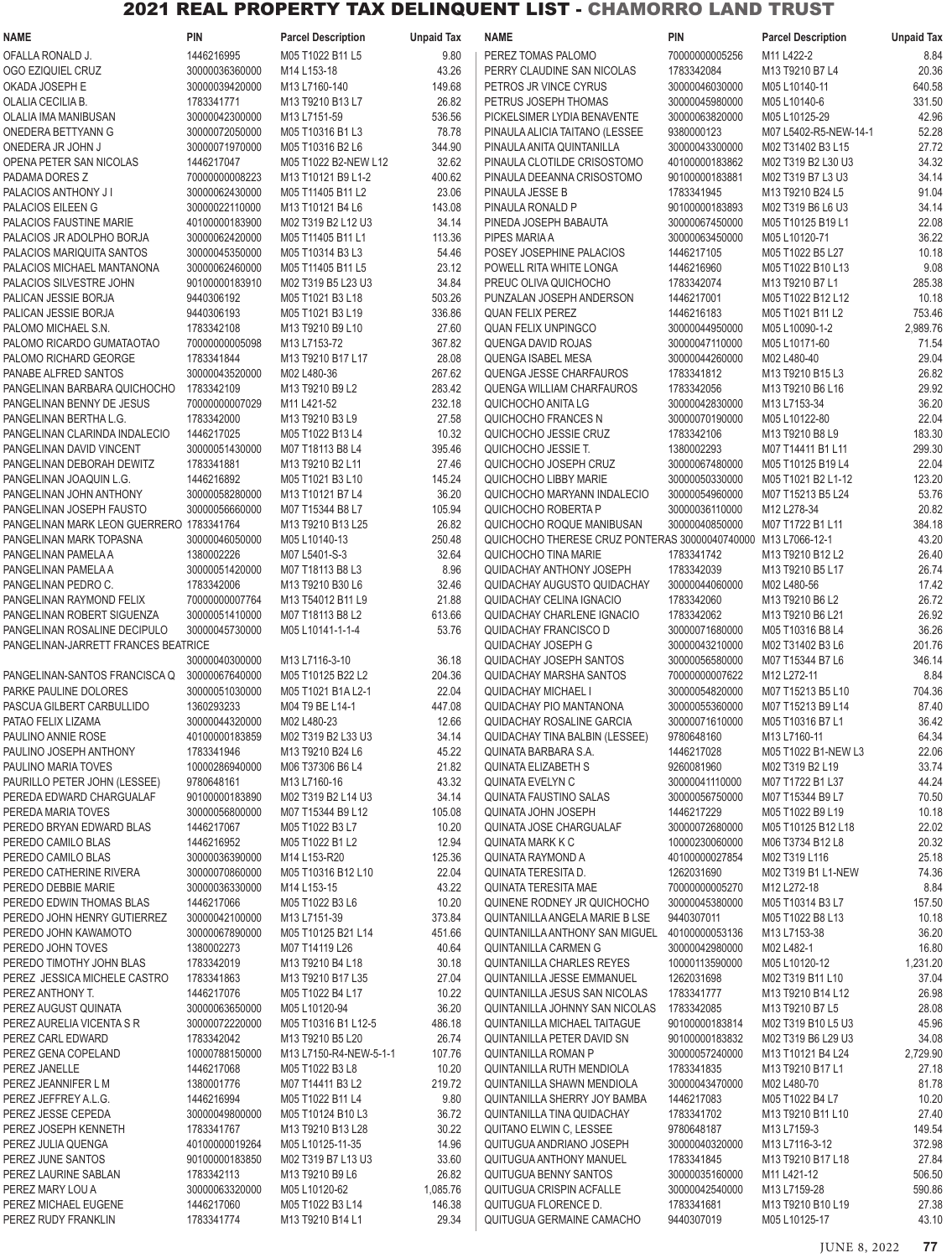| <b>NAME</b>                              | <b>PIN</b>     | <b>Parcel Description</b> | <b>Unpaid Tax</b> | <b>NAME</b>                                                   | <b>PIN</b>     | <b>Parcel Description</b> | <b>Unpaid Tax</b> |
|------------------------------------------|----------------|---------------------------|-------------------|---------------------------------------------------------------|----------------|---------------------------|-------------------|
| OFALLA RONALD J.                         | 1446216995     | M05 T1022 B11 L5          | 9.80              | PEREZ TOMAS PALOMO                                            | 70000000005256 | M11 L422-2                | 8.84              |
| OGO EZIQUIEL CRUZ                        | 30000036360000 | M14 L153-18               | 43.26             | PERRY CLAUDINE SAN NICOLAS                                    | 1783342084     | M13 T9210 B7 L4           | 20.36             |
| OKADA JOSEPH E                           | 30000039420000 | M13 L7160-140             | 149.68            | PETROS JR VINCE CYRUS                                         | 30000046030000 | M05 L10140-11             | 640.58            |
| OLALIA CECILIA B.                        | 1783341771     | M13 T9210 B13 L7          | 26.82             | PETRUS JOSEPH THOMAS                                          | 30000045980000 | M05 L10140-6              | 331.50            |
| OLALIA IMA MANIBUSAN                     | 30000042300000 | M13 L7151-59              | 536.56            | PICKELSIMER LYDIA BENAVENTE                                   | 30000063820000 | M05 L10125-29             | 42.96             |
| ONEDERA BETTYANN G                       | 30000072050000 | M05 T10316 B1 L3          | 78.78             | PINAULA ALICIA TAITANO (LESSEE                                | 9380000123     | M07 L5402-R5-NEW-14-1     | 52.28             |
| ONEDERA JR JOHN J                        | 30000071970000 | M05 T10316 B2 L6          | 344.90            | PINAULA ANITA QUINTANILLA                                     | 30000043300000 | M02 T31402 B3 L15         | 27.72             |
|                                          |                |                           |                   |                                                               |                |                           |                   |
| OPENA PETER SAN NICOLAS                  | 1446217047     | M05 T1022 B2-NEW L12      | 32.62             | PINAULA CLOTILDE CRISOSTOMO                                   | 40100000183862 | M02 T319 B2 L30 U3        | 34.32             |
| PADAMA DORES Z                           | 70000000008223 | M13 T10121 B9 L1-2        | 400.62            | PINAULA DEEANNA CRISOSTOMO                                    | 90100000183881 | M02 T319 B7 L3 U3         | 34.14             |
| PALACIOS ANTHONY J I                     | 30000062430000 | M05 T11405 B11 L2         | 23.06             | PINAULA JESSE B                                               | 1783341945     | M13 T9210 B24 L5          | 91.04             |
| PALACIOS EILEEN G                        | 30000022110000 | M13 T10121 B4 L6          | 143.08            | PINAULA RONALD P                                              | 90100000183893 | M02 T319 B6 L6 U3         | 34.14             |
| PALACIOS FAUSTINE MARIE                  | 40100000183900 | M02 T319 B2 L12 U3        | 34.14             | PINEDA JOSEPH BABAUTA                                         | 30000067450000 | M05 T10125 B19 L1         | 22.08             |
| PALACIOS JR ADOLPHO BORJA                | 30000062420000 | M05 T11405 B11 L1         | 113.36            | PIPES MARIA A                                                 | 30000063450000 | M05 L10120-71             | 36.22             |
| PALACIOS MARIQUITA SANTOS                | 30000045350000 | M05 T10314 B3 L3          | 54.46             | POSEY JOSEPHINE PALACIOS                                      | 1446217105     | M05 T1022 B5 L27          | 10.18             |
| PALACIOS MICHAEL MANTANONA               | 30000062460000 | M05 T11405 B11 L5         | 23.12             | POWELL RITA WHITE LONGA                                       | 1446216960     | M05 T1022 B10 L13         | 9.08              |
| PALACIOS SILVESTRE JOHN                  | 90100000183910 | M02 T319 B5 L23 U3        | 34.84             | PREUC OLIVA QUICHOCHO                                         | 1783342074     | M13 T9210 B7 L1           | 285.38            |
| PALICAN JESSIE BORJA                     | 9440306192     | M05 T1021 B3 L18          | 503.26            | PUNZALAN JOSEPH ANDERSON                                      | 1446217001     | M05 T1022 B12 L12         | 10.18             |
| PALICAN JESSIE BORJA                     | 9440306193     | M05 T1021 B3 L19          | 336.86            | <b>QUAN FELIX PEREZ</b>                                       | 1446216183     | M05 T1021 B11 L2          | 753.46            |
| PALOMO MICHAEL S.N.                      | 1783342108     | M13 T9210 B9 L10          | 27.60             | <b>QUAN FELIX UNPINGCO</b>                                    | 30000044950000 | M05 L10090-1-2            | 2,989.76          |
| PALOMO RICARDO GUMATAOTAO                | 70000000005098 | M13 L7153-72              | 367.82            | QUENGA DAVID ROJAS                                            | 30000047110000 | M05 L10171-60             | 71.54             |
| PALOMO RICHARD GEORGE                    | 1783341844     | M13 T9210 B17 L17         | 28.08             | QUENGA ISABEL MESA                                            | 30000044260000 | M02 L480-40               | 29.04             |
| PANABE ALFRED SANTOS                     | 30000043520000 | M02 L480-36               | 267.62            | QUENGA JESSE CHARFAUROS                                       | 1783341812     | M13 T9210 B15 L3          | 26.82             |
| PANGELINAN BARBARA QUICHOCHO             | 1783342109     | M13 T9210 B9 L2           | 283.42            | QUENGA WILLIAM CHARFAUROS                                     | 1783342056     | M13 T9210 B6 L16          | 29.92             |
|                                          |                |                           |                   |                                                               |                |                           |                   |
| PANGELINAN BENNY DE JESUS                | 70000000007029 | M11 L421-52               | 232.18            | QUICHOCHO ANITA LG                                            | 30000042830000 | M13 L7153-34              | 36.20             |
| PANGELINAN BERTHA L.G.                   | 1783342000     | M13 T9210 B3 L9           | 27.58             | QUICHOCHO FRANCES N                                           | 30000070190000 | M05 L10122-80             | 22.04             |
| PANGELINAN CLARINDA INDALECIO            | 1446217025     | M05 T1022 B13 L4          | 10.32             | QUICHOCHO JESSIE CRUZ                                         | 1783342106     | M13 T9210 B8 L9           | 183.30            |
| PANGELINAN DAVID VINCENT                 | 30000051430000 | M07 T18113 B8 L4          | 395.46            | QUICHOCHO JESSIE T.                                           | 1380002293     | M07 T14411 B1 L11         | 299.30            |
| PANGELINAN DEBORAH DEWITZ                | 1783341881     | M13 T9210 B2 L11          | 27.46             | QUICHOCHO JOSEPH CRUZ                                         | 30000067480000 | M05 T10125 B19 L4         | 22.04             |
| PANGELINAN JOAQUIN L.G.                  | 1446216892     | M05 T1021 B3 L10          | 145.24            | QUICHOCHO LIBBY MARIE                                         | 30000050330000 | M05 T1021 B2 L1-12        | 123.20            |
| PANGELINAN JOHN ANTHONY                  | 30000058280000 | M13 T10121 B7 L4          | 36.20             | QUICHOCHO MARYANN INDALECIO                                   | 30000054960000 | M07 T15213 B5 L24         | 53.76             |
| PANGELINAN JOSEPH FAUSTO                 | 30000056660000 | M07 T15344 B8 L7          | 105.94            | QUICHOCHO ROBERTA P                                           | 30000036110000 | M12 L278-34               | 20.82             |
| PANGELINAN MARK LEON GUERRERO 1783341764 |                | M13 T9210 B13 L25         | 26.82             | QUICHOCHO ROQUE MANIBUSAN                                     | 30000040850000 | M07 T1722 B1 L11          | 384.18            |
| PANGELINAN MARK TOPASNA                  | 30000046050000 | M05 L10140-13             | 250.48            | QUICHOCHO THERESE CRUZ PONTERAS 30000040740000 M13 L7066-12-1 |                |                           | 43.20             |
| PANGELINAN PAMELA A                      | 1380002226     | M07 L5401-S-3             | 32.64             | QUICHOCHO TINA MARIE                                          | 1783341742     | M13 T9210 B12 L2          | 26.40             |
| PANGELINAN PAMELA A                      | 30000051420000 | M07 T18113 B8 L3          | 8.96              | <b>QUIDACHAY ANTHONY JOSEPH</b>                               | 1783342039     | M13 T9210 B5 L17          | 26.74             |
| PANGELINAN PEDRO C.                      | 1783342006     | M13 T9210 B30 L6          | 32.46             | QUIDACHAY AUGUSTO QUIDACHAY                                   | 30000044060000 | M02 L480-56               | 17.42             |
| PANGELINAN RAYMOND FELIX                 | 70000000007764 | M13 T54012 B11 L9         | 21.88             | <b>QUIDACHAY CELINA IGNACIO</b>                               | 1783342060     | M13 T9210 B6 L2           | 26.72             |
|                                          |                |                           |                   |                                                               | 1783342062     |                           | 26.92             |
| PANGELINAN ROBERT SIGUENZA               | 30000051410000 | M07 T18113 B8 L2          | 613.66            | <b>QUIDACHAY CHARLENE IGNACIO</b>                             |                | M13 T9210 B6 L21          |                   |
| PANGELINAN ROSALINE DECIPULO             | 30000045730000 | M05 L10141-1-1-4          | 53.76             | <b>QUIDACHAY FRANCISCO D</b>                                  | 30000071680000 | M05 T10316 B8 L4          | 36.26             |
| PANGELINAN-JARRETT FRANCES BEATRICE      |                |                           |                   | QUIDACHAY JOSEPH G                                            | 30000043210000 | M02 T31402 B3 L6          | 201.76            |
|                                          | 30000040300000 | M13 L7116-3-10            | 36.18             | QUIDACHAY JOSEPH SANTOS                                       | 30000056580000 | M07 T15344 B7 L6          | 346.14            |
| PANGELINAN-SANTOS FRANCISCA Q            | 30000067640000 | M05 T10125 B22 L2         | 204.36            | <b>QUIDACHAY MARSHA SANTOS</b>                                | 70000000007622 | M12 L272-11               | 8.84              |
| PARKE PAULINE DOLORES                    | 30000051030000 | M05 T1021 B1A L2-1        | 22.04             | QUIDACHAY MICHAEL I                                           | 30000054820000 | M07 T15213 B5 L10         | 704.36            |
| PASCUA GILBERT CARBULLIDO                | 1360293233     | M04 T9 BE L14-1           | 447.08            | QUIDACHAY PIO MANTANONA                                       | 30000055360000 | M07 T15213 B9 L14         | 87.40             |
| PATAO FELIX LIZAMA                       | 30000044320000 | M02 L480-23               | 12.66             | QUIDACHAY ROSALINE GARCIA                                     | 30000071610000 | M05 T10316 B7 L1          | 36.42             |
| PAULINO ANNIE ROSE                       | 40100000183859 | M02 T319 B2 L33 U3        | 34.14             | <b>QUIDACHAY TINA BALBIN (LESSEE)</b>                         | 9780648160     | M13 L7160-11              | 64.34             |
| PAULINO JOSEPH ANTHONY                   | 1783341946     | M13 T9210 B24 L6          | 45.22             | QUINATA BARBARA S.A.                                          | 1446217028     | M05 T1022 B1-NEW L3       | 22.06             |
| PAULINO MARIA TOVES                      | 10000286940000 | M06 T37306 B6 L4          | 21.82             | <b>QUINATA ELIZABETH S</b>                                    | 9260081960     | M02 T319 B2 L19           | 33.74             |
| PAURILLO PETER JOHN (LESSEE)             | 9780648161     | M13 L7160-16              | 43.32             | QUINATA EVELYN C                                              | 30000041110000 | M07 T1722 B1 L37          | 44.24             |
| PEREDA EDWARD CHARGUALAF                 | 90100000183890 | M02 T319 B2 L14 U3        | 34.14             | <b>QUINATA FAUSTINO SALAS</b>                                 | 30000056750000 | M07 T15344 B9 L7          | 70.50             |
| PEREDA MARIA TOVES                       | 30000056800000 | M07 T15344 B9 L12         | 105.08            | <b>QUINATA JOHN JOSEPH</b>                                    | 1446217229     | M05 T1022 B9 L19          | 10.18             |
| PEREDO BRYAN EDWARD BLAS                 | 1446217067     | M05 T1022 B3 L7           | 10.20             | QUINATA JOSE CHARGUALAF                                       | 30000072680000 | M05 T10125 B12 L18        | 22.02             |
| PEREDO CAMILO BLAS                       | 1446216952     | M05 T1022 B1 L2           | 12.94             | QUINATA MARK K C                                              | 10000230060000 | M06 T3734 B12 L8          | 20.32             |
| PEREDO CAMILO BLAS                       | 30000036390000 | M14 L153-R20              | 125.36            | QUINATA RAYMOND A                                             | 40100000027854 | M02 T319 L116             | 25.18             |
| PEREDO CATHERINE RIVERA                  | 30000070860000 | M05 T10316 B12 L10        | 22.04             | QUINATA TERESITA D.                                           | 1262031690     | M02 T319 B1 L1-NEW        | 74.36             |
|                                          |                |                           |                   |                                                               |                |                           |                   |
| PEREDO DEBBIE MARIE                      | 30000036330000 | M14 L153-15               | 43.22             | QUINATA TERESITA MAE                                          | 70000000005270 | M12 L272-18               | 8.84              |
| PEREDO EDWIN THOMAS BLAS                 | 1446217066     | M05 T1022 B3 L6           | 10.20             | QUINENE RODNEY JR QUICHOCHO                                   | 30000045380000 | M05 T10314 B3 L7          | 157.50            |
| PEREDO JOHN HENRY GUTIERREZ              | 30000042100000 | M13 L7151-39              | 373.84            | QUINTANILLA ANGELA MARIE B LSE                                | 9440307011     | M05 T1022 B8 L13          | 10.18             |
| PEREDO JOHN KAWAMOTO                     | 30000067890000 | M05 T10125 B21 L14        | 451.66            | QUINTANILLA ANTHONY SAN MIGUEL 40100000053136                 |                | M13 L7153-38              | 36.20             |
| PEREDO JOHN TOVES                        | 1380002273     | M07 T14119 L26            | 40.64             | <b>QUINTANILLA CARMEN G</b>                                   | 30000042980000 | M02 L482-1                | 16.80             |
| PEREDO TIMOTHY JOHN BLAS                 | 1783342019     | M13 T9210 B4 L18          | 30.18             | QUINTANILLA CHARLES REYES                                     | 10000113590000 | M05 L10120-12             | 1,231.20          |
| PEREZ JESSICA MICHELE CASTRO             | 1783341863     | M13 T9210 B17 L35         | 27.04             | QUINTANILLA JESSE EMMANUEL                                    | 1262031698     | M02 T319 B11 L10          | 37.04             |
| PEREZ ANTHONY T.                         | 1446217076     | M05 T1022 B4 L17          | 10.22             | QUINTANILLA JESUS SAN NICOLAS                                 | 1783341777     | M13 T9210 B14 L12         | 26.98             |
| PEREZ AUGUST QUINATA                     | 30000063650000 | M05 L10120-94             | 36.20             | QUINTANILLA JOHNNY SAN NICOLAS                                | 1783342085     | M13 T9210 B7 L5           | 28.08             |
| PEREZ AURELIA VICENTA S R                | 30000072220000 | M05 T10316 B1 L12-5       | 486.18            | QUINTANILLA MICHAEL TAITAGUE                                  | 90100000183814 | M02 T319 B10 L5 U3        | 45.96             |
| PEREZ CARL EDWARD                        | 1783342042     | M13 T9210 B5 L20          | 26.74             | QUINTANILLA PETER DAVID SN                                    | 90100000183832 | M02 T319 B6 L29 U3        | 34.08             |
| PEREZ GENA COPELAND                      | 10000788150000 | M13 L7150-R4-NEW-5-1-1    | 107.76            | <b>QUINTANILLA ROMAN P</b>                                    | 30000057240000 | M13 T10121 B4 L24         | 2,729.90          |
| PEREZ JANELLE                            | 1446217068     | M05 T1022 B3 L8           | 10.20             | QUINTANILLA RUTH MENDIOLA                                     | 1783341835     | M13 T9210 B17 L1          | 27.18             |
| PEREZ JEANNIFER L M                      | 1380001776     | M07 T14411 B3 L2          | 219.72            | QUINTANILLA SHAWN MENDIOLA                                    | 30000043470000 | M02 L480-70               | 81.78             |
|                                          | 1446216994     |                           |                   | QUINTANILLA SHERRY JOY BAMBA                                  |                |                           | 10.20             |
| PEREZ JEFFREY A.L.G.                     |                | M05 T1022 B11 L4          | 9.80              |                                                               | 1446217083     | M05 T1022 B4 L7           |                   |
| PEREZ JESSE CEPEDA                       | 30000049800000 | M05 T10124 B10 L3         | 36.72             | QUINTANILLA TINA QUIDACHAY                                    | 1783341702     | M13 T9210 B11 L10         | 27.40             |
| PEREZ JOSEPH KENNETH                     | 1783341767     | M13 T9210 B13 L28         | 30.22             | QUITANO ELWIN C, LESSEE                                       | 9780648187     | M13 L7159-3               | 149.54            |
| PEREZ JULIA QUENGA                       | 40100000019264 | M05 L10125-11-35          | 14.96             | QUITUGUA ANDRIANO JOSEPH                                      | 30000040320000 | M13 L7116-3-12            | 372.98            |
| PEREZ JUNE SANTOS                        | 90100000183850 | M02 T319 B7 L13 U3        | 33.60             | QUITUGUA ANTHONY MANUEL                                       | 1783341845     | M13 T9210 B17 L18         | 27.84             |
| PEREZ LAURINE SABLAN                     | 1783342113     | M13 T9210 B9 L6           | 26.82             | <b>QUITUGUA BENNY SANTOS</b>                                  | 30000035160000 | M11 L421-12               | 506.50            |
| PEREZ MARY LOU A                         | 30000063320000 | M05 L10120-62             | 1,085.76          | QUITUGUA CRISPIN ACFALLE                                      | 30000042540000 | M13 L7159-28              | 590.86            |
| PEREZ MICHAEL EUGENE                     | 1446217060     | M05 T1022 B3 L14          | 146.38            | QUITUGUA FLORENCE D.                                          | 1783341681     | M13 T9210 B10 L19         | 27.38             |
| PEREZ RUDY FRANKLIN                      | 1783341774     | M13 T9210 B14 L1          | 29.34             | QUITUGUA GERMAINE CAMACHO                                     | 9440307019     | M05 L10125-17             | 43.10             |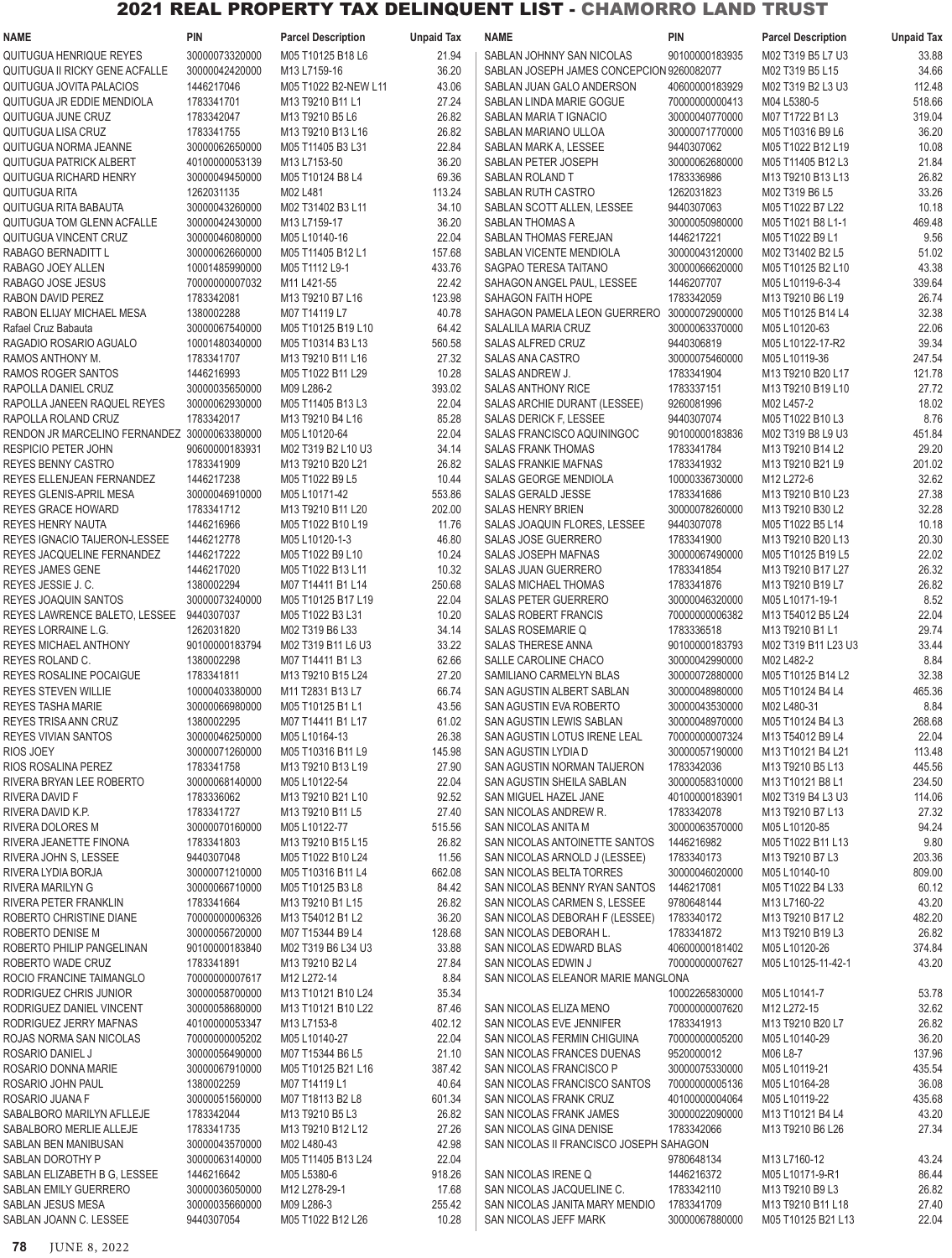| NAME                                         | <b>PIN</b>     | <b>Parcel Description</b> | <b>Unpaid Tax</b> | <b>NAME</b>                                 | <b>PIN</b>     | <b>Parcel Description</b>                                       | <b>Unpaid Tax</b> |
|----------------------------------------------|----------------|---------------------------|-------------------|---------------------------------------------|----------------|-----------------------------------------------------------------|-------------------|
| QUITUGUA HENRIQUE REYES                      | 30000073320000 | M05 T10125 B18 L6         | 21.94             | SABLAN JOHNNY SAN NICOLAS                   | 90100000183935 | M02 T319 B5 L7 U3                                               | 33.88             |
| QUITUGUA II RICKY GENE ACFALLE               | 30000042420000 | M13 L7159-16              | 36.20             | SABLAN JOSEPH JAMES CONCEPCION 9260082077   |                | M02 T319 B5 L15                                                 | 34.66             |
| QUITUGUA JOVITA PALACIOS                     | 1446217046     | M05 T1022 B2-NEW L11      | 43.06             | SABLAN JUAN GALO ANDERSON                   | 40600000183929 | M02 T319 B2 L3 U3                                               | 112.48            |
| QUITUGUA JR EDDIE MENDIOLA                   | 1783341701     | M13 T9210 B11 L1          | 27.24             | SABLAN LINDA MARIE GOGUE                    | 70000000000413 | M04 L5380-5                                                     | 518.66            |
| QUITUGUA JUNE CRUZ                           | 1783342047     | M13 T9210 B5 L6           | 26.82             | SABLAN MARIA T IGNACIO                      | 30000040770000 | M07 T1722 B1 L3                                                 | 319.04            |
| QUITUGUA LISA CRUZ                           | 1783341755     | M13 T9210 B13 L16         | 26.82             | SABLAN MARIANO ULLOA                        | 30000071770000 | M05 T10316 B9 L6                                                | 36.20             |
|                                              |                |                           |                   |                                             |                |                                                                 |                   |
| QUITUGUA NORMA JEANNE                        | 30000062650000 | M05 T11405 B3 L31         | 22.84             | SABLAN MARK A, LESSEE                       | 9440307062     | M05 T1022 B12 L19                                               | 10.08             |
| <b>QUITUGUA PATRICK ALBERT</b>               | 40100000053139 | M13 L7153-50              | 36.20             | SABLAN PETER JOSEPH                         | 30000062680000 | M05 T11405 B12 L3                                               | 21.84             |
| QUITUGUA RICHARD HENRY                       | 30000049450000 | M05 T10124 B8 L4          | 69.36             | <b>SABLAN ROLAND T</b>                      | 1783336986     | M13 T9210 B13 L13                                               | 26.82             |
| QUITUGUA RITA                                | 1262031135     | M02 L481                  | 113.24            | SABLAN RUTH CASTRO                          | 1262031823     | M02 T319 B6 L5                                                  | 33.26             |
| QUITUGUA RITA BABAUTA                        | 30000043260000 | M02 T31402 B3 L11         | 34.10             | SABLAN SCOTT ALLEN, LESSEE                  | 9440307063     | M05 T1022 B7 L22                                                | 10.18             |
| QUITUGUA TOM GLENN ACFALLE                   | 30000042430000 | M13 L7159-17              | 36.20             | SABLAN THOMAS A                             | 30000050980000 | M05 T1021 B8 L1-1                                               | 469.48            |
| QUITUGUA VINCENT CRUZ                        | 30000046080000 | M05 L10140-16             | 22.04             | SABLAN THOMAS FEREJAN                       | 1446217221     | M05 T1022 B9 L1                                                 | 9.56              |
| RABAGO BERNADITT L                           | 30000062660000 | M05 T11405 B12 L1         | 157.68            | SABLAN VICENTE MENDIOLA                     | 30000043120000 | M02 T31402 B2 L5                                                | 51.02             |
| RABAGO JOEY ALLEN                            | 10001485990000 | M05 T1112 L9-1            | 433.76            | SAGPAO TERESA TAITANO                       | 30000066620000 | M05 T10125 B2 L10                                               | 43.38             |
| RABAGO JOSE JESUS                            | 70000000007032 | M11 L421-55               | 22.42             | SAHAGON ANGEL PAUL, LESSEE                  | 1446207707     | M05 L10119-6-3-4                                                | 339.64            |
| RABON DAVID PEREZ                            | 1783342081     | M13 T9210 B7 L16          | 123.98            | SAHAGON FAITH HOPE                          | 1783342059     | M13 T9210 B6 L19                                                | 26.74             |
| RABON ELIJAY MICHAEL MESA                    | 1380002288     | M07 T14119 L7             | 40.78             | SAHAGON PAMELA LEON GUERRERO 30000072900000 |                | M05 T10125 B14 L4                                               | 32.38             |
|                                              | 30000067540000 |                           |                   | SALALILA MARIA CRUZ                         |                |                                                                 | 22.06             |
| Rafael Cruz Babauta                          |                | M05 T10125 B19 L10        | 64.42             |                                             | 30000063370000 | M05 L10120-63                                                   |                   |
| RAGADIO ROSARIO AGUALO                       | 10001480340000 | M05 T10314 B3 L13         | 560.58            | SALAS ALFRED CRUZ                           | 9440306819     | M05 L10122-17-R2                                                | 39.34             |
| RAMOS ANTHONY M.                             | 1783341707     | M13 T9210 B11 L16         | 27.32             | SALAS ANA CASTRO                            | 30000075460000 | M05 L10119-36                                                   | 247.54            |
| RAMOS ROGER SANTOS                           | 1446216993     | M05 T1022 B11 L29         | 10.28             | SALAS ANDREW J.                             | 1783341904     | M13 T9210 B20 L17                                               | 121.78            |
| RAPOLLA DANIEL CRUZ                          | 30000035650000 | M09 L286-2                | 393.02            | <b>SALAS ANTHONY RICE</b>                   | 1783337151     | M13 T9210 B19 L10                                               | 27.72             |
| RAPOLLA JANEEN RAQUEL REYES                  | 30000062930000 | M05 T11405 B13 L3         | 22.04             | SALAS ARCHIE DURANT (LESSEE)                | 9260081996     | M02 L457-2                                                      | 18.02             |
| RAPOLLA ROLAND CRUZ                          | 1783342017     | M13 T9210 B4 L16          | 85.28             | SALAS DERICK F, LESSEE                      | 9440307074     | M05 T1022 B10 L3                                                | 8.76              |
| RENDON JR MARCELINO FERNANDEZ 30000063380000 |                | M05 L10120-64             | 22.04             | SALAS FRANCISCO AQUININGOC                  | 90100000183836 | M02 T319 B8 L9 U3                                               | 451.84            |
| RESPICIO PETER JOHN                          | 90600000183931 | M02 T319 B2 L10 U3        | 34.14             | <b>SALAS FRANK THOMAS</b>                   | 1783341784     | M13 T9210 B14 L2                                                | 29.20             |
| REYES BENNY CASTRO                           | 1783341909     | M13 T9210 B20 L21         | 26.82             | SALAS FRANKIE MAFNAS                        | 1783341932     | M13 T9210 B21 L9                                                | 201.02            |
| REYES ELLENJEAN FERNANDEZ                    | 1446217238     | M05 T1022 B9 L5           | 10.44             | SALAS GEORGE MENDIOLA                       | 10000336730000 | M12 L272-6                                                      | 32.62             |
| REYES GLENIS-APRIL MESA                      | 30000046910000 | M05 L10171-42             | 553.86            | SALAS GERALD JESSE                          | 1783341686     | M13 T9210 B10 L23                                               | 27.38             |
|                                              |                |                           |                   |                                             |                |                                                                 | 32.28             |
| REYES GRACE HOWARD                           | 1783341712     | M13 T9210 B11 L20         | 202.00            | <b>SALAS HENRY BRIEN</b>                    | 30000078260000 | M13 T9210 B30 L2                                                |                   |
| REYES HENRY NAUTA                            | 1446216966     | M05 T1022 B10 L19         | 11.76             | SALAS JOAQUIN FLORES, LESSEE                | 9440307078     | M05 T1022 B5 L14                                                | 10.18             |
| REYES IGNACIO TAIJERON-LESSEE                | 1446212778     | M05 L10120-1-3            | 46.80             | SALAS JOSE GUERRERO                         | 1783341900     | M13 T9210 B20 L13                                               | 20.30             |
| REYES JACQUELINE FERNANDEZ                   | 1446217222     | M05 T1022 B9 L10          | 10.24             | SALAS JOSEPH MAFNAS                         | 30000067490000 | M05 T10125 B19 L5                                               | 22.02             |
| REYES JAMES GENE                             | 1446217020     | M05 T1022 B13 L11         | 10.32             | SALAS JUAN GUERRERO                         | 1783341854     | M13 T9210 B17 L27                                               | 26.32             |
| REYES JESSIE J. C.                           | 1380002294     | M07 T14411 B1 L14         | 250.68            | SALAS MICHAEL THOMAS                        | 1783341876     | M13 T9210 B19 L7                                                | 26.82             |
| <b>REYES JOAQUIN SANTOS</b>                  | 30000073240000 | M05 T10125 B17 L19        | 22.04             | SALAS PETER GUERRERO                        | 30000046320000 | M05 L10171-19-1                                                 | 8.52              |
| REYES LAWRENCE BALETO, LESSEE                | 9440307037     | M05 T1022 B3 L31          | 10.20             | <b>SALAS ROBERT FRANCIS</b>                 | 70000000006382 | M13 T54012 B5 L24                                               | 22.04             |
| <b>REYES LORRAINE L.G.</b>                   | 1262031820     | M02 T319 B6 L33           | 34.14             | <b>SALAS ROSEMARIE Q</b>                    | 1783336518     | M <sub>13</sub> T <sub>9210</sub> B <sub>1</sub> L <sub>1</sub> | 29.74             |
| REYES MICHAEL ANTHONY                        | 90100000183794 | M02 T319 B11 L6 U3        | 33.22             | <b>SALAS THERESE ANNA</b>                   | 90100000183793 | M02 T319 B11 L23 U3                                             | 33.44             |
| <b>REYES ROLAND C.</b>                       | 1380002298     | M07 T14411 B1 L3          | 62.66             | SALLE CAROLINE CHACO                        | 30000042990000 | M02 L482-2                                                      | 8.84              |
| REYES ROSALINE POCAIGUE                      | 1783341811     | M13 T9210 B15 L24         | 27.20             | SAMILIANO CARMELYN BLAS                     | 30000072880000 | M05 T10125 B14 L2                                               | 32.38             |
|                                              |                |                           |                   |                                             |                |                                                                 |                   |
| REYES STEVEN WILLIE                          | 10000403380000 | M11 T2831 B13 L7          | 66.74             | SAN AGUSTIN ALBERT SABLAN                   | 30000048980000 | M05 T10124 B4 L4                                                | 465.36            |
| REYES TASHA MARIE                            | 30000066980000 | M05 T10125 B1 L1          | 43.56             | SAN AGUSTIN EVA ROBERTO                     | 30000043530000 | M02 L480-31                                                     | 8.84              |
| REYES TRISA ANN CRUZ                         | 1380002295     | M07 T14411 B1 L17         | 61.02             | SAN AGUSTIN LEWIS SABLAN                    | 30000048970000 | M05 T10124 B4 L3                                                | 268.68            |
| <b>REYES VIVIAN SANTOS</b>                   | 30000046250000 | M05 L10164-13             | 26.38             | SAN AGUSTIN LOTUS IRENE LEAL                | 70000000007324 | M13 T54012 B9 L4                                                | 22.04             |
| RIOS JOEY                                    | 30000071260000 | M05 T10316 B11 L9         | 145.98            | SAN AGUSTIN LYDIA D                         | 30000057190000 | M13 T10121 B4 L21                                               | 113.48            |
| RIOS ROSALINA PEREZ                          | 1783341758     | M13 T9210 B13 L19         | 27.90             | SAN AGUSTIN NORMAN TAIJERON                 | 1783342036     | M13 T9210 B5 L13                                                | 445.56            |
| RIVERA BRYAN LEE ROBERTO                     | 30000068140000 | M05 L10122-54             | 22.04             | SAN AGUSTIN SHEILA SABLAN                   | 30000058310000 | M13 T10121 B8 L1                                                | 234.50            |
| RIVERA DAVID F                               | 1783336062     | M13 T9210 B21 L10         | 92.52             | SAN MIGUEL HAZEL JANE                       | 40100000183901 | M02 T319 B4 L3 U3                                               | 114.06            |
| RIVERA DAVID K.P.                            | 1783341727     | M13 T9210 B11 L5          | 27.40             | SAN NICOLAS ANDREW R.                       | 1783342078     | M13 T9210 B7 L13                                                | 27.32             |
| RIVERA DOLORES M                             | 30000070160000 | M05 L10122-77             | 515.56            | SAN NICOLAS ANITA M                         | 30000063570000 | M05 L10120-85                                                   | 94.24             |
| RIVERA JEANETTE FINONA                       | 1783341803     | M13 T9210 B15 L15         | 26.82             | SAN NICOLAS ANTOINETTE SANTOS               | 1446216982     | M05 T1022 B11 L13                                               | 9.80              |
| RIVERA JOHN S. LESSEE                        | 9440307048     | M05 T1022 B10 L24         | 11.56             | SAN NICOLAS ARNOLD J (LESSEE)               | 1783340173     | M13 T9210 B7 L3                                                 | 203.36            |
| RIVERA LYDIA BORJA                           | 30000071210000 | M05 T10316 B11 L4         | 662.08            | SAN NICOLAS BELTA TORRES                    | 30000046020000 | M05 L10140-10                                                   | 809.00            |
| RIVERA MARILYN G                             | 30000066710000 | M05 T10125 B3 L8          | 84.42             | SAN NICOLAS BENNY RYAN SANTOS               | 1446217081     | M05 T1022 B4 L33                                                | 60.12             |
|                                              |                |                           |                   |                                             |                |                                                                 |                   |
| RIVERA PETER FRANKLIN                        | 1783341664     | M13 T9210 B1 L15          | 26.82             | SAN NICOLAS CARMEN S, LESSEE                | 9780648144     | M13 L7160-22                                                    | 43.20             |
| ROBERTO CHRISTINE DIANE                      | 70000000006326 | M13 T54012 B1 L2          | 36.20             | SAN NICOLAS DEBORAH F (LESSEE)              | 1783340172     | M13 T9210 B17 L2                                                | 482.20            |
| ROBERTO DENISE M                             | 30000056720000 | M07 T15344 B9 L4          | 128.68            | SAN NICOLAS DEBORAH L.                      | 1783341872     | M13 T9210 B19 L3                                                | 26.82             |
| ROBERTO PHILIP PANGELINAN                    | 90100000183840 | M02 T319 B6 L34 U3        | 33.88             | SAN NICOLAS EDWARD BLAS                     | 40600000181402 | M05 L10120-26                                                   | 374.84            |
| ROBERTO WADE CRUZ                            | 1783341891     | M13 T9210 B2 L4           | 27.84             | SAN NICOLAS EDWIN J                         | 70000000007627 | M05 L10125-11-42-1                                              | 43.20             |
| ROCIO FRANCINE TAIMANGLO                     | 70000000007617 | M12 L272-14               | 8.84              | SAN NICOLAS ELEANOR MARIE MANGLONA          |                |                                                                 |                   |
| RODRIGUEZ CHRIS JUNIOR                       | 30000058700000 | M13 T10121 B10 L24        | 35.34             |                                             | 10002265830000 | M05 L10141-7                                                    | 53.78             |
| RODRIGUEZ DANIEL VINCENT                     | 30000058680000 | M13 T10121 B10 L22        | 87.46             | SAN NICOLAS ELIZA MENO                      | 70000000007620 | M12 L272-15                                                     | 32.62             |
| RODRIGUEZ JERRY MAFNAS                       | 40100000053347 | M13 L7153-8               | 402.12            | SAN NICOLAS EVE JENNIFER                    | 1783341913     | M13 T9210 B20 L7                                                | 26.82             |
| ROJAS NORMA SAN NICOLAS                      | 70000000005202 | M05 L10140-27             | 22.04             | SAN NICOLAS FERMIN CHIGUINA                 | 70000000005200 | M05 L10140-29                                                   | 36.20             |
| ROSARIO DANIEL J                             | 30000056490000 | M07 T15344 B6 L5          | 21.10             | SAN NICOLAS FRANCES DUENAS                  | 9520000012     | M06 L8-7                                                        | 137.96            |
| ROSARIO DONNA MARIE                          | 30000067910000 | M05 T10125 B21 L16        | 387.42            | SAN NICOLAS FRANCISCO P                     | 30000075330000 | M05 L10119-21                                                   | 435.54            |
| ROSARIO JOHN PAUL                            | 1380002259     | M07 T14119 L1             | 40.64             | SAN NICOLAS FRANCISCO SANTOS                | 70000000005136 | M05 L10164-28                                                   | 36.08             |
| ROSARIO JUANA F                              | 30000051560000 | M07 T18113 B2 L8          | 601.34            | SAN NICOLAS FRANK CRUZ                      | 40100000004064 | M05 L10119-22                                                   | 435.68            |
|                                              |                |                           |                   |                                             |                |                                                                 |                   |
| SABALBORO MARILYN AFLLEJE                    | 1783342044     | M13 T9210 B5 L3           | 26.82             | SAN NICOLAS FRANK JAMES                     | 30000022090000 | M13 T10121 B4 L4                                                | 43.20             |
| SABALBORO MERLIE ALLEJE                      | 1783341735     | M13 T9210 B12 L12         | 27.26             | SAN NICOLAS GINA DENISE                     | 1783342066     | M13 T9210 B6 L26                                                | 27.34             |
| SABLAN BEN MANIBUSAN                         | 30000043570000 | M02 L480-43               | 42.98             | SAN NICOLAS II FRANCISCO JOSEPH SAHAGON     |                |                                                                 |                   |
| SABLAN DOROTHY P                             | 30000063140000 | M05 T11405 B13 L24        | 22.04             |                                             | 9780648134     | M13 L7160-12                                                    | 43.24             |
| SABLAN ELIZABETH B G. LESSEE                 | 1446216642     | M05 L5380-6               | 918.26            | SAN NICOLAS IRENE Q                         | 1446216372     | M05 L10171-9-R1                                                 | 86.44             |
| SABLAN EMILY GUERRERO                        | 30000036050000 | M12 L278-29-1             | 17.68             | SAN NICOLAS JACQUELINE C.                   | 1783342110     | M13 T9210 B9 L3                                                 | 26.82             |
| SABLAN JESUS MESA                            | 30000035660000 | M09 L286-3                | 255.42            | SAN NICOLAS JANITA MARY MENDIO              | 1783341709     | M13 T9210 B11 L18                                               | 27.40             |
| SABLAN JOANN C. LESSEE                       | 9440307054     | M05 T1022 B12 L26         | 10.28             | SAN NICOLAS JEFF MARK                       | 30000067880000 | M05 T10125 B21 L13                                              | 22.04             |
|                                              |                |                           |                   |                                             |                |                                                                 |                   |

**78** JUNE 8, 2022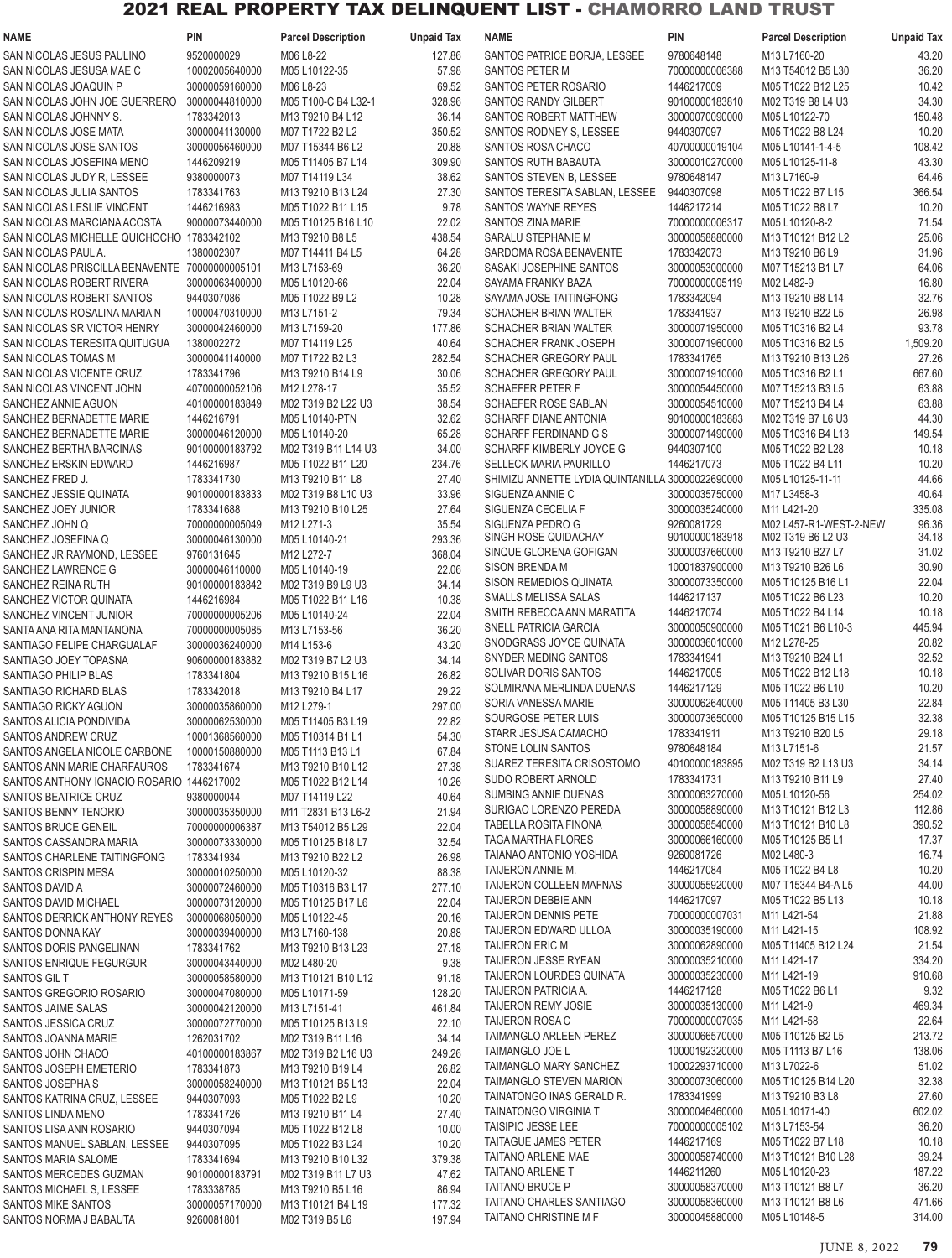| NAME                                               | <b>PIN</b>     | <b>Parcel Description</b> | <b>Unpaid Tax</b> | NAME                                             | PIN            | <b>Parcel Description</b> | <b>Unpaid Tax</b> |
|----------------------------------------------------|----------------|---------------------------|-------------------|--------------------------------------------------|----------------|---------------------------|-------------------|
| SAN NICOLAS JESUS PAULINO                          | 9520000029     | M06 L8-22                 | 127.86            | SANTOS PATRICE BORJA, LESSEE                     | 9780648148     | M13 L7160-20              | 43.20             |
| SAN NICOLAS JESUSA MAE C                           | 10002005640000 | M05 L10122-35             | 57.98             | SANTOS PETER M                                   | 70000000006388 | M13 T54012 B5 L30         | 36.20             |
| SAN NICOLAS JOAQUIN P                              | 30000059160000 | M06 L8-23                 | 69.52             | SANTOS PETER ROSARIO                             | 1446217009     | M05 T1022 B12 L25         | 10.42             |
| SAN NICOLAS JOHN JOE GUERRERO                      | 30000044810000 | M05 T100-C B4 L32-1       | 328.96            | <b>SANTOS RANDY GILBERT</b>                      | 90100000183810 | M02 T319 B8 L4 U3         | 34.30             |
| SAN NICOLAS JOHNNY S.                              | 1783342013     | M13 T9210 B4 L12          | 36.14             | SANTOS ROBERT MATTHEW                            | 30000070090000 | M05 L10122-70             | 150.48            |
|                                                    |                |                           |                   |                                                  |                |                           |                   |
| SAN NICOLAS JOSE MATA                              | 30000041130000 | M07 T1722 B2 L2           | 350.52            | SANTOS RODNEY S, LESSEE                          | 9440307097     | M05 T1022 B8 L24          | 10.20             |
| SAN NICOLAS JOSE SANTOS                            | 30000056460000 | M07 T15344 B6 L2          | 20.88             | SANTOS ROSA CHACO                                | 40700000019104 | M05 L10141-1-4-5          | 108.42            |
| SAN NICOLAS JOSEFINA MENO                          | 1446209219     | M05 T11405 B7 L14         | 309.90            | SANTOS RUTH BABAUTA                              | 30000010270000 | M05 L10125-11-8           | 43.30             |
| SAN NICOLAS JUDY R, LESSEE                         | 9380000073     | M07 T14119 L34            | 38.62             | SANTOS STEVEN B, LESSEE                          | 9780648147     | M13 L7160-9               | 64.46             |
| SAN NICOLAS JULIA SANTOS                           | 1783341763     | M13 T9210 B13 L24         | 27.30             | SANTOS TERESITA SABLAN, LESSEE                   | 9440307098     | M05 T1022 B7 L15          | 366.54            |
| SAN NICOLAS LESLIE VINCENT                         | 1446216983     | M05 T1022 B11 L15         | 9.78              | <b>SANTOS WAYNE REYES</b>                        | 1446217214     | M05 T1022 B8 L7           | 10.20             |
| SAN NICOLAS MARCIANA ACOSTA                        | 90000073440000 | M05 T10125 B16 L10        | 22.02             | <b>SANTOS ZINA MARIE</b>                         | 70000000006317 | M05 L10120-8-2            | 71.54             |
| SAN NICOLAS MICHELLE QUICHOCHO 1783342102          |                | M13 T9210 B8 L5           | 438.54            | SARALU STEPHANIE M                               | 30000058880000 | M13 T10121 B12 L2         | 25.06             |
| SAN NICOLAS PAUL A.                                | 1380002307     | M07 T14411 B4 L5          | 64.28             | SARDOMA ROSA BENAVENTE                           | 1783342073     | M13 T9210 B6 L9           | 31.96             |
| SAN NICOLAS PRISCILLA BENAVENTE                    | 70000000005101 | M13 L7153-69              | 36.20             | SASAKI JOSEPHINE SANTOS                          | 30000053000000 | M07 T15213 B1 L7          | 64.06             |
| SAN NICOLAS ROBERT RIVERA                          | 30000063400000 | M05 L10120-66             | 22.04             | SAYAMA FRANKY BAZA                               | 70000000005119 | M02 L482-9                | 16.80             |
|                                                    |                |                           |                   |                                                  |                |                           |                   |
| SAN NICOLAS ROBERT SANTOS                          | 9440307086     | M05 T1022 B9 L2           | 10.28             | SAYAMA JOSE TAITINGFONG                          | 1783342094     | M13 T9210 B8 L14          | 32.76             |
| SAN NICOLAS ROSALINA MARIA N                       | 10000470310000 | M13 L7151-2               | 79.34             | <b>SCHACHER BRIAN WALTER</b>                     | 1783341937     | M13 T9210 B22 L5          | 26.98             |
| SAN NICOLAS SR VICTOR HENRY                        | 30000042460000 | M13 L7159-20              | 177.86            | <b>SCHACHER BRIAN WALTER</b>                     | 30000071950000 | M05 T10316 B2 L4          | 93.78             |
| SAN NICOLAS TERESITA QUITUGUA                      | 1380002272     | M07 T14119 L25            | 40.64             | SCHACHER FRANK JOSEPH                            | 30000071960000 | M05 T10316 B2 L5          | 1,509.20          |
| SAN NICOLAS TOMAS M                                | 30000041140000 | M07 T1722 B2 L3           | 282.54            | SCHACHER GREGORY PAUL                            | 1783341765     | M13 T9210 B13 L26         | 27.26             |
| SAN NICOLAS VICENTE CRUZ                           | 1783341796     | M13 T9210 B14 L9          | 30.06             | SCHACHER GREGORY PAUL                            | 30000071910000 | M05 T10316 B2 L1          | 667.60            |
| SAN NICOLAS VINCENT JOHN                           | 40700000052106 | M12 L278-17               | 35.52             | <b>SCHAEFER PETER F</b>                          | 30000054450000 | M07 T15213 B3 L5          | 63.88             |
| SANCHEZ ANNIE AGUON                                | 40100000183849 | M02 T319 B2 L22 U3        | 38.54             | SCHAEFER ROSE SABLAN                             | 30000054510000 | M07 T15213 B4 L4          | 63.88             |
| SANCHEZ BERNADETTE MARIE                           | 1446216791     | M05 L10140-PTN            | 32.62             | <b>SCHARFF DIANE ANTONIA</b>                     | 90100000183883 | M02 T319 B7 L6 U3         | 44.30             |
| SANCHEZ BERNADETTE MARIE                           | 30000046120000 | M05 L10140-20             | 65.28             | SCHARFF FERDINAND G S                            | 30000071490000 | M05 T10316 B4 L13         | 149.54            |
| SANCHEZ BERTHA BARCINAS                            | 90100000183792 | M02 T319 B11 L14 U3       | 34.00             | SCHARFF KIMBERLY JOYCE G                         | 9440307100     | M05 T1022 B2 L28          | 10.18             |
| SANCHEZ ERSKIN EDWARD                              | 1446216987     | M05 T1022 B11 L20         | 234.76            | SELLECK MARIA PAURILLO                           | 1446217073     | M05 T1022 B4 L11          | 10.20             |
| SANCHEZ FRED J.                                    | 1783341730     | M13 T9210 B11 L8          | 27.40             | SHIMIZU ANNETTE LYDIA QUINTANILLA 30000022690000 |                | M05 L10125-11-11          | 44.66             |
|                                                    |                |                           |                   |                                                  |                |                           |                   |
| SANCHEZ JESSIE QUINATA                             | 90100000183833 | M02 T319 B8 L10 U3        | 33.96             | SIGUENZA ANNIE C                                 | 30000035750000 | M17 L3458-3               | 40.64             |
| SANCHEZ JOEY JUNIOR                                | 1783341688     | M13 T9210 B10 L25         | 27.64             | SIGUENZA CECELIA F                               | 30000035240000 | M11 L421-20               | 335.08            |
| SANCHEZ JOHN Q                                     | 70000000005049 | M12 L271-3                | 35.54             | SIGUENZA PEDRO G                                 | 9260081729     | M02 L457-R1-WEST-2-NEW    | 96.36             |
| SANCHEZ JOSEFINA Q                                 | 30000046130000 | M05 L10140-21             | 293.36            | SINGH ROSE QUIDACHAY                             | 90100000183918 | M02 T319 B6 L2 U3         | 34.18             |
| SANCHEZ JR RAYMOND, LESSEE                         | 9760131645     | M12 L272-7                | 368.04            | SINQUE GLORENA GOFIGAN                           | 30000037660000 | M13 T9210 B27 L7          | 31.02             |
| SANCHEZ LAWRENCE G                                 | 30000046110000 | M05 L10140-19             | 22.06             | <b>SISON BRENDA M</b>                            | 10001837900000 | M13 T9210 B26 L6          | 30.90             |
| SANCHEZ REINA RUTH                                 | 90100000183842 | M02 T319 B9 L9 U3         | 34.14             | SISON REMEDIOS QUINATA                           | 30000073350000 | M05 T10125 B16 L1         | 22.04             |
| SANCHEZ VICTOR QUINATA                             | 1446216984     | M05 T1022 B11 L16         | 10.38             | SMALLS MELISSA SALAS                             | 1446217137     | M05 T1022 B6 L23          | 10.20             |
| SANCHEZ VINCENT JUNIOR                             | 70000000005206 | M05 L10140-24             | 22.04             | SMITH REBECCA ANN MARATITA                       | 1446217074     | M05 T1022 B4 L14          | 10.18             |
| SANTA ANA RITA MANTANONA                           | 70000000005085 | M13 L7153-56              | 36.20             | <b>SNELL PATRICIA GARCIA</b>                     | 30000050900000 | M05 T1021 B6 L10-3        | 445.94            |
| SANTIAGO FELIPE CHARGUALAF                         | 30000036240000 | M14 L153-6                | 43.20             | SNODGRASS JOYCE QUINATA                          | 30000036010000 | M12 L278-25               | 20.82             |
| SANTIAGO JOEY TOPASNA                              | 90600000183882 | M02 T319 B7 L2 U3         | 34.14             | SNYDER MEDING SANTOS                             | 1783341941     | M13 T9210 B24 L1          | 32.52             |
| SANTIAGO PHILIP BLAS                               | 1783341804     | M13 T9210 B15 L16         | 26.82             | SOLIVAR DORIS SANTOS                             | 1446217005     | M05 T1022 B12 L18         | 10.18             |
| SANTIAGO RICHARD BLAS                              | 1783342018     | M13 T9210 B4 L17          | 29.22             | SOLMIRANA MERLINDA DUENAS                        | 1446217129     | M05 T1022 B6 L10          | 10.20             |
| SANTIAGO RICKY AGUON                               | 30000035860000 | M12 L279-1                | 297.00            | SORIA VANESSA MARIE                              | 30000062640000 | M05 T11405 B3 L30         | 22.84             |
|                                                    |                |                           | 22.82             | SOURGOSE PETER LUIS                              | 30000073650000 | M05 T10125 B15 L15        | 32.38             |
| SANTOS ALICIA PONDIVIDA                            | 30000062530000 | M05 T11405 B3 L19         |                   | STARR JESUSA CAMACHO                             | 1783341911     | M13 T9210 B20 L5          | 29.18             |
| SANTOS ANDREW CRUZ                                 | 10001368560000 | M05 T10314 B1 L1          | 54.30             | <b>STONE LOLIN SANTOS</b>                        | 9780648184     | M13 L7151-6               | 21.57             |
| SANTOS ANGELA NICOLE CARBONE                       | 10000150880000 | M05 T1113 B13 L1          | 67.84             | SUAREZ TERESITA CRISOSTOMO                       | 40100000183895 | M02 T319 B2 L13 U3        | 34.14             |
| SANTOS ANN MARIE CHARFAUROS                        | 1783341674     | M13 T9210 B10 L12         | 27.38             |                                                  |                |                           |                   |
| SANTOS ANTHONY IGNACIO ROSARIO 1446217002          |                | M05 T1022 B12 L14         | 10.26             | SUDO ROBERT ARNOLD                               | 1783341731     | M13 T9210 B11 L9          | 27.40             |
| SANTOS BEATRICE CRUZ                               | 9380000044     | M07 T14119 L22            | 40.64             | SUMBING ANNIE DUENAS                             | 30000063270000 | M05 L10120-56             | 254.02            |
| SANTOS BENNY TENORIO                               | 30000035350000 | M11 T2831 B13 L6-2        | 21.94             | SURIGAO LORENZO PEREDA                           | 30000058890000 | M13 T10121 B12 L3         | 112.86            |
| SANTOS BRUCE GENEIL                                | 70000000006387 | M13 T54012 B5 L29         | 22.04             | <b>TABELLA ROSITA FINONA</b>                     | 30000058540000 | M13 T10121 B10 L8         | 390.52            |
| SANTOS CASSANDRA MARIA                             | 30000073330000 | M05 T10125 B18 L7         | 32.54             | <b>TAGA MARTHA FLORES</b>                        | 30000066160000 | M05 T10125 B5 L1          | 17.37             |
| SANTOS CHARLENE TAITINGFONG                        | 1783341934     | M13 T9210 B22 L2          | 26.98             | TAIANAO ANTONIO YOSHIDA                          | 9260081726     | M02 L480-3                | 16.74             |
| <b>SANTOS CRISPIN MESA</b>                         | 30000010250000 | M05 L10120-32             | 88.38             | TAIJERON ANNIE M.                                | 1446217084     | M05 T1022 B4 L8           | 10.20             |
| SANTOS DAVID A                                     | 30000072460000 | M05 T10316 B3 L17         | 277.10            | TAIJERON COLLEEN MAFNAS                          | 30000055920000 | M07 T15344 B4-A L5        | 44.00             |
| SANTOS DAVID MICHAEL                               | 30000073120000 | M05 T10125 B17 L6         | 22.04             | TAIJERON DEBBIE ANN                              | 1446217097     | M05 T1022 B5 L13          | 10.18             |
| SANTOS DERRICK ANTHONY REYES                       | 30000068050000 | M05 L10122-45             | 20.16             | <b>TAIJERON DENNIS PETE</b>                      | 70000000007031 | M11 L421-54               | 21.88             |
| SANTOS DONNA KAY                                   | 30000039400000 | M13 L7160-138             | 20.88             | TAIJERON EDWARD ULLOA                            | 30000035190000 | M11 L421-15               | 108.92            |
|                                                    |                |                           |                   | <b>TAIJERON ERIC M</b>                           | 30000062890000 | M05 T11405 B12 L24        | 21.54             |
| SANTOS DORIS PANGELINAN                            | 1783341762     | M13 T9210 B13 L23         | 27.18             | TAIJERON JESSE RYEAN                             | 30000035210000 | M11 L421-17               | 334.20            |
| SANTOS ENRIQUE FEGURGUR                            | 30000043440000 | M02 L480-20               | 9.38              | TAIJERON LOURDES QUINATA                         | 30000035230000 | M11 L421-19               | 910.68            |
| SANTOS GIL T                                       | 30000058580000 | M13 T10121 B10 L12        | 91.18             |                                                  |                |                           |                   |
| SANTOS GREGORIO ROSARIO                            | 30000047080000 | M05 L10171-59             | 128.20            | TAIJERON PATRICIA A.                             | 1446217128     | M05 T1022 B6 L1           | 9.32              |
| SANTOS JAIME SALAS                                 | 30000042120000 | M13 L7151-41              | 461.84            | <b>TAIJERON REMY JOSIE</b>                       | 30000035130000 | M11 L421-9                | 469.34            |
| SANTOS JESSICA CRUZ                                | 30000072770000 | M05 T10125 B13 L9         | 22.10             | TAIJERON ROSA C                                  | 70000000007035 | M11 L421-58               | 22.64             |
| SANTOS JOANNA MARIE                                | 1262031702     | M02 T319 B11 L16          | 34.14             | TAIMANGLO ARLEEN PEREZ                           | 30000066570000 | M05 T10125 B2 L5          | 213.72            |
| SANTOS JOHN CHACO                                  | 40100000183867 | M02 T319 B2 L16 U3        | 249.26            | TAIMANGLO JOE L                                  | 10000192320000 | M05 T1113 B7 L16          | 138.06            |
| SANTOS JOSEPH EMETERIO                             | 1783341873     | M13 T9210 B19 L4          | 26.82             | TAIMANGLO MARY SANCHEZ                           | 10002293710000 | M13 L7022-6               | 51.02             |
| SANTOS JOSEPHA S                                   | 30000058240000 | M13 T10121 B5 L13         | 22.04             | TAIMANGLO STEVEN MARION                          | 30000073060000 | M05 T10125 B14 L20        | 32.38             |
| SANTOS KATRINA CRUZ, LESSEE                        | 9440307093     | M05 T1022 B2 L9           | 10.20             | TAINATONGO INAS GERALD R.                        | 1783341999     | M13 T9210 B3 L8           | 27.60             |
| <b>SANTOS LINDA MENO</b>                           | 1783341726     | M13 T9210 B11 L4          | 27.40             | <b>TAINATONGO VIRGINIA T</b>                     | 30000046460000 | M05 L10171-40             | 602.02            |
| SANTOS LISA ANN ROSARIO                            | 9440307094     | M05 T1022 B12 L8          | 10.00             | TAISIPIC JESSE LEE                               | 70000000005102 | M13 L7153-54              | 36.20             |
| SANTOS MANUEL SABLAN, LESSEE                       | 9440307095     | M05 T1022 B3 L24          | 10.20             | TAITAGUE JAMES PETER                             | 1446217169     | M05 T1022 B7 L18          | 10.18             |
| SANTOS MARIA SALOME                                | 1783341694     | M13 T9210 B10 L32         | 379.38            | <b>TAITANO ARLENE MAE</b>                        | 30000058740000 | M13 T10121 B10 L28        | 39.24             |
|                                                    |                |                           | 47.62             | <b>TAITANO ARLENE T</b>                          | 1446211260     | M05 L10120-23             | 187.22            |
| SANTOS MERCEDES GUZMAN<br>SANTOS MICHAEL S. LESSEE | 90100000183791 | M02 T319 B11 L7 U3        |                   | <b>TAITANO BRUCE P</b>                           | 30000058370000 | M13 T10121 B8 L7          | 36.20             |
|                                                    | 1783338785     | M13 T9210 B5 L16          | 86.94             | TAITANO CHARLES SANTIAGO                         | 30000058360000 | M13 T10121 B8 L6          | 471.66            |
| SANTOS MIKE SANTOS                                 | 30000057170000 | M13 T10121 B4 L19         | 177.32            | TAITANO CHRISTINE M F                            | 30000045880000 | M05 L10148-5              | 314.00            |
| SANTOS NORMA J BABAUTA                             | 9260081801     | M02 T319 B5 L6            | 197.94            |                                                  |                |                           |                   |